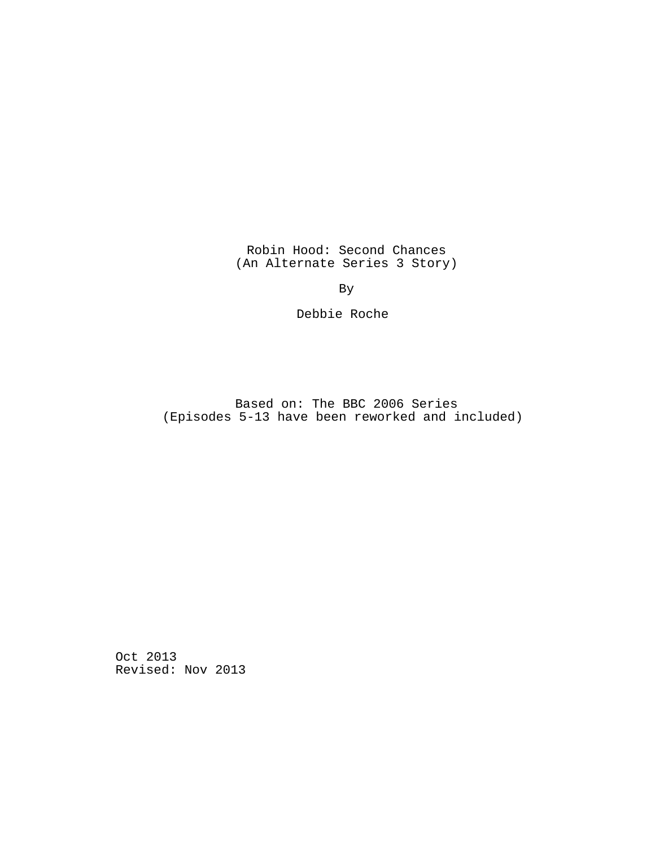Robin Hood: Second Chances (An Alternate Series 3 Story)

By

Debbie Roche

Based on: The BBC 2006 Series (Episodes 5-13 have been reworked and included)

Oct 2013 Revised: Nov 2013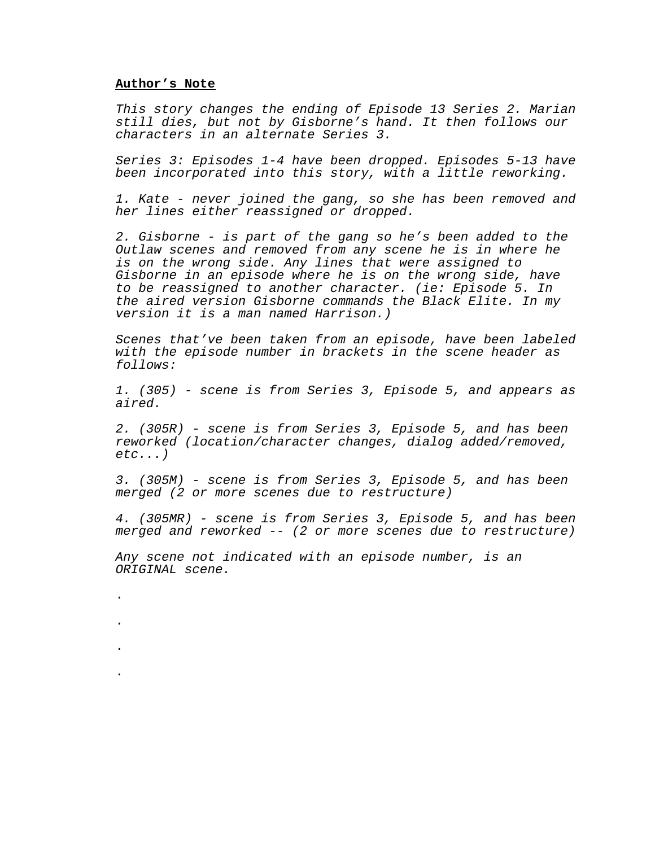#### **Author's Note**

.

.

.

.

This story changes the ending of Episode 13 Series 2. Marian still dies, but not by Gisborne's hand. It then follows our characters in an alternate Series 3.

Series 3: Episodes 1-4 have been dropped. Episodes 5-13 have been incorporated into this story, with a little reworking.

1. Kate - never joined the gang, so she has been removed and her lines either reassigned or dropped.

2. Gisborne - is part of the gang so he's been added to the Outlaw scenes and removed from any scene he is in where he is on the wrong side. Any lines that were assigned to Gisborne in an episode where he is on the wrong side, have to be reassigned to another character. (ie: Episode 5. In the aired version Gisborne commands the Black Elite. In my version it is a man named Harrison.)

Scenes that've been taken from an episode, have been labeled with the episode number in brackets in the scene header as follows:

1. (305) - scene is from Series 3, Episode 5, and appears as aired.

2. (305R) - scene is from Series 3, Episode 5, and has been reworked (location/character changes, dialog added/removed,  $etc.$ ... $)$ 

3. (305M) - scene is from Series 3, Episode 5, and has been merged (2 or more scenes due to restructure)

4. (305MR) - scene is from Series 3, Episode 5, and has been merged and reworked -- (2 or more scenes due to restructure)

Any scene not indicated with an episode number, is an ORIGINAL scene.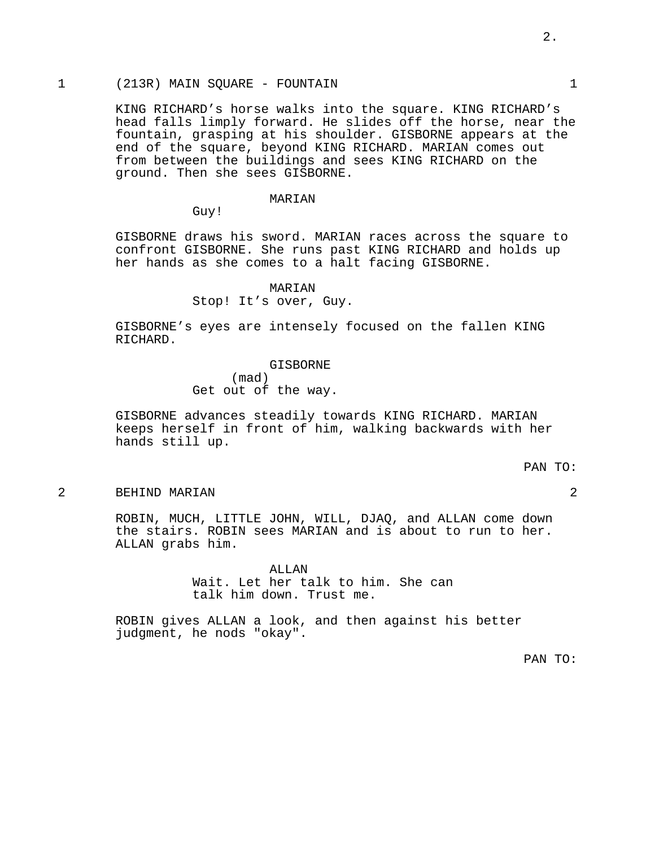# 1 (213R) MAIN SQUARE - FOUNTAIN 1

KING RICHARD's horse walks into the square. KING RICHARD's head falls limply forward. He slides off the horse, near the fountain, grasping at his shoulder. GISBORNE appears at the end of the square, beyond KING RICHARD. MARIAN comes out from between the buildings and sees KING RICHARD on the ground. Then she sees GISBORNE.

### MARIAN

Guy!

GISBORNE draws his sword. MARIAN races across the square to confront GISBORNE. She runs past KING RICHARD and holds up her hands as she comes to a halt facing GISBORNE.

### MARIAN

Stop! It's over, Guy.

GISBORNE's eyes are intensely focused on the fallen KING RICHARD.

> GISBORNE (mad) Get out of the way.

GISBORNE advances steadily towards KING RICHARD. MARIAN keeps herself in front of him, walking backwards with her hands still up.

### PAN TO:

2 BEHIND MARIAN 2

ROBIN, MUCH, LITTLE JOHN, WILL, DJAQ, and ALLAN come down the stairs. ROBIN sees MARIAN and is about to run to her. ALLAN grabs him.

> ALLAN Wait. Let her talk to him. She can talk him down. Trust me.

ROBIN gives ALLAN a look, and then against his better judgment, he nods "okay".

PAN TO: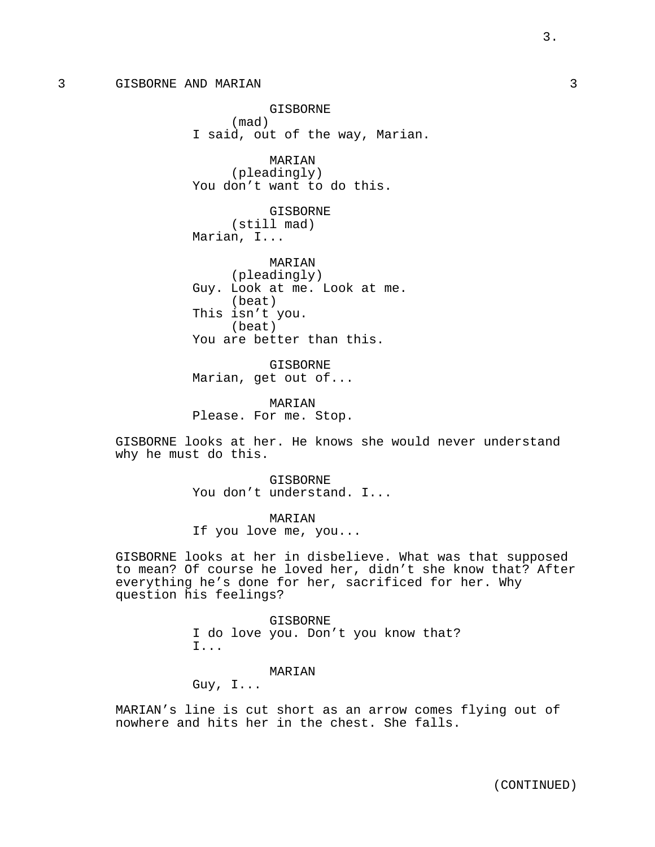GISBORNE (mad) I said, out of the way, Marian.

MARIAN (pleadingly) You don't want to do this.

GISBORNE (still mad) Marian, I...

MARIAN (pleadingly) Guy. Look at me. Look at me. (beat) This isn't you. (beat) You are better than this.

GISBORNE Marian, get out of...

MARIAN Please. For me. Stop.

GISBORNE looks at her. He knows she would never understand why he must do this.

> GISBORNE You don't understand. I...

MARIAN If you love me, you...

GISBORNE looks at her in disbelieve. What was that supposed to mean? Of course he loved her, didn't she know that? After everything he's done for her, sacrificed for her. Why question his feelings?

> GISBORNE I do love you. Don't you know that? I...

> > MARIAN

Guy, I...

MARIAN's line is cut short as an arrow comes flying out of nowhere and hits her in the chest. She falls.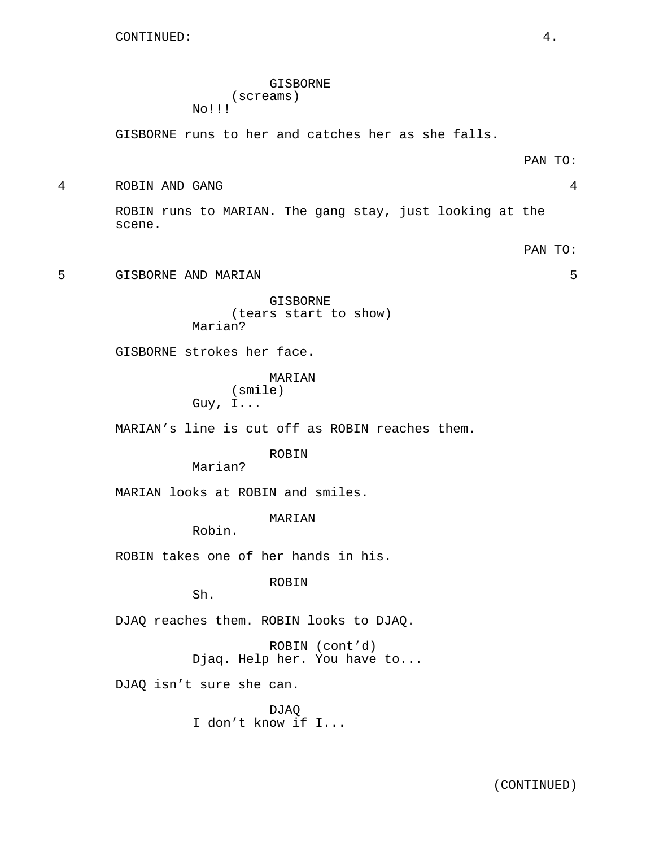## GISBORNE (screams) No!!!

GISBORNE runs to her and catches her as she falls.

PAN TO:

4 ROBIN AND GANG 4

ROBIN runs to MARIAN. The gang stay, just looking at the scene.

PAN TO:

5 GISBORNE AND MARIAN 5

GISBORNE (tears start to show) Marian?

GISBORNE strokes her face.

MARIAN (smile) Guy, I...

MARIAN's line is cut off as ROBIN reaches them.

ROBIN

Marian?

MARIAN looks at ROBIN and smiles.

MARIAN

Robin.

ROBIN takes one of her hands in his.

ROBIN

Sh.

DJAQ reaches them. ROBIN looks to DJAQ.

ROBIN (cont'd) Djaq. Help her. You have to...

DJAQ isn't sure she can.

DJAQ I don't know if I...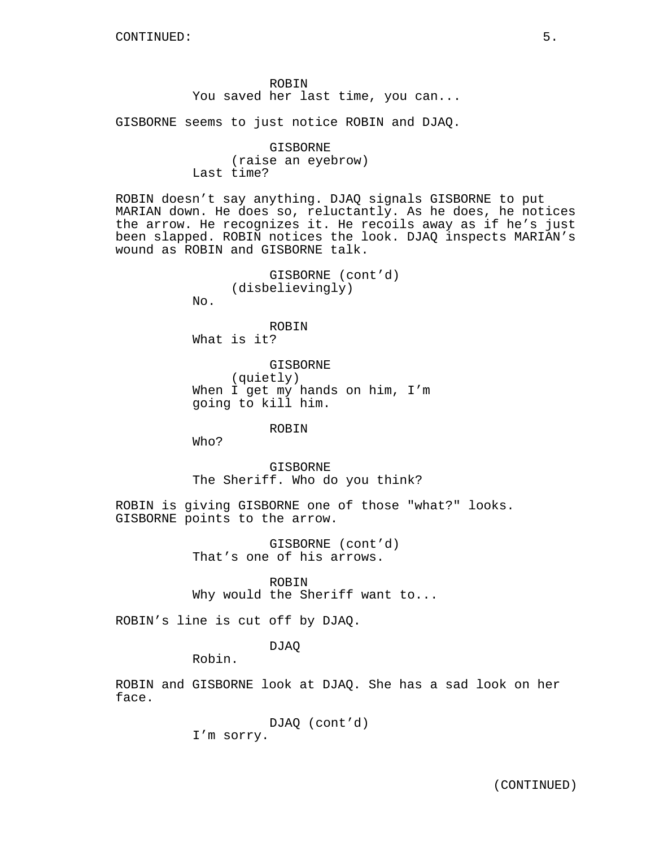ROBIN You saved her last time, you can...

GISBORNE seems to just notice ROBIN and DJAQ.

GISBORNE (raise an eyebrow) Last time?

ROBIN doesn't say anything. DJAQ signals GISBORNE to put MARIAN down. He does so, reluctantly. As he does, he notices the arrow. He recognizes it. He recoils away as if he's just been slapped. ROBIN notices the look. DJAQ inspects MARIAN's wound as ROBIN and GISBORNE talk.

```
GISBORNE (cont'd)
(disbelievingly)
```
No.

ROBIN What is it?

GISBORNE (quietly) When I get my hands on him, I'm going to kill him.

## ROBIN

Who?

GISBORNE The Sheriff. Who do you think?

ROBIN is giving GISBORNE one of those "what?" looks. GISBORNE points to the arrow.

> GISBORNE (cont'd) That's one of his arrows.

ROBIN Why would the Sheriff want to...

ROBIN's line is cut off by DJAQ.

# DJAQ

Robin.

ROBIN and GISBORNE look at DJAQ. She has a sad look on her face.

> DJAQ (cont'd) I'm sorry.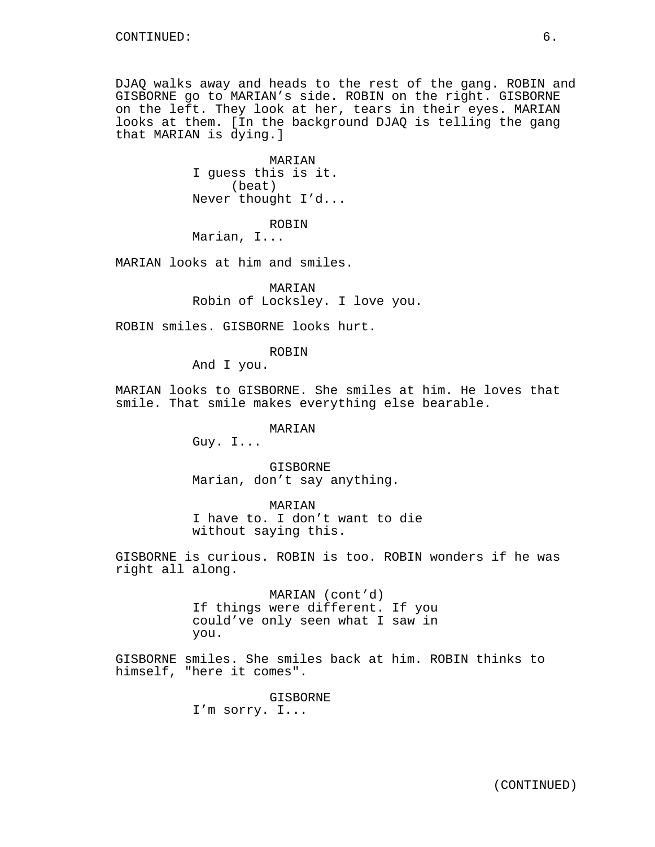DJAQ walks away and heads to the rest of the gang. ROBIN and GISBORNE go to MARIAN's side. ROBIN on the right. GISBORNE on the left. They look at her, tears in their eyes. MARIAN looks at them. [In the background DJAQ is telling the gang that MARIAN is dying.]

> MARIAN I guess this is it. (beat) Never thought I'd...

> > ROBIN

Marian, I...

MARIAN looks at him and smiles.

MARIAN Robin of Locksley. I love you.

ROBIN smiles. GISBORNE looks hurt.

ROBIN

And I you.

MARIAN looks to GISBORNE. She smiles at him. He loves that smile. That smile makes everything else bearable.

MARIAN

Guy. I...

GISBORNE Marian, don't say anything.

MARIAN

I have to. I don't want to die without saying this.

GISBORNE is curious. ROBIN is too. ROBIN wonders if he was right all along.

> MARIAN (cont'd) If things were different. If you could've only seen what I saw in you.

GISBORNE smiles. She smiles back at him. ROBIN thinks to himself, "here it comes".

> GISBORNE I'm sorry. I...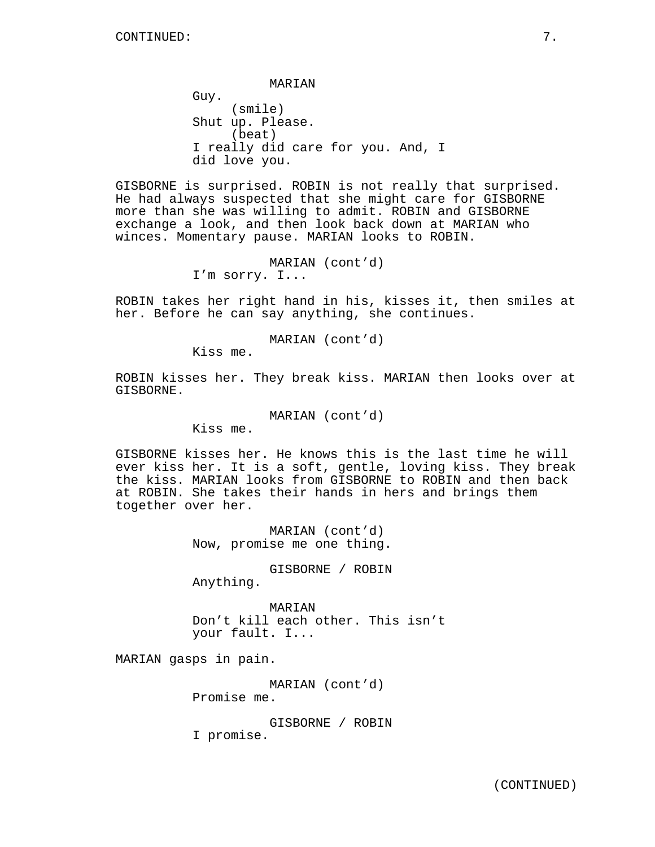MARIAN

Guy. (smile) Shut up. Please. (beat) I really did care for you. And, I did love you.

GISBORNE is surprised. ROBIN is not really that surprised. He had always suspected that she might care for GISBORNE more than she was willing to admit. ROBIN and GISBORNE exchange a look, and then look back down at MARIAN who winces. Momentary pause. MARIAN looks to ROBIN.

> MARIAN (cont'd) I'm sorry. I...

ROBIN takes her right hand in his, kisses it, then smiles at her. Before he can say anything, she continues.

MARIAN (cont'd)

Kiss me.

ROBIN kisses her. They break kiss. MARIAN then looks over at GISBORNE.

MARIAN (cont'd)

Kiss me.

GISBORNE kisses her. He knows this is the last time he will ever kiss her. It is a soft, gentle, loving kiss. They break the kiss. MARIAN looks from GISBORNE to ROBIN and then back at ROBIN. She takes their hands in hers and brings them together over her.

> MARIAN (cont'd) Now, promise me one thing.

> GISBORNE / ROBIN Anything.

MARIAN Don't kill each other. This isn't your fault. I...

MARIAN gasps in pain.

MARIAN (cont'd) Promise me.

GISBORNE / ROBIN I promise.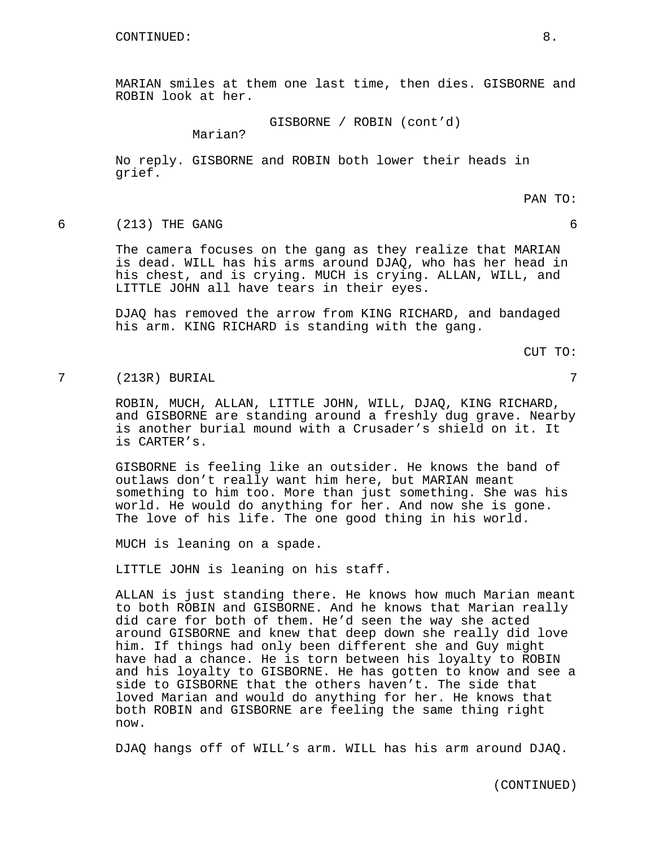MARIAN smiles at them one last time, then dies. GISBORNE and ROBIN look at her.

GISBORNE / ROBIN (cont'd)

Marian?

No reply. GISBORNE and ROBIN both lower their heads in grief.

PAN TO:

## 6 (213) THE GANG 6

The camera focuses on the gang as they realize that MARIAN is dead. WILL has his arms around DJAQ, who has her head in his chest, and is crying. MUCH is crying. ALLAN, WILL, and LITTLE JOHN all have tears in their eyes.

DJAQ has removed the arrow from KING RICHARD, and bandaged his arm. KING RICHARD is standing with the gang.

CUT TO:

7 (213R) BURIAL 7

ROBIN, MUCH, ALLAN, LITTLE JOHN, WILL, DJAQ, KING RICHARD, and GISBORNE are standing around a freshly dug grave. Nearby is another burial mound with a Crusader's shield on it. It is CARTER's.

GISBORNE is feeling like an outsider. He knows the band of outlaws don't really want him here, but MARIAN meant something to him too. More than just something. She was his world. He would do anything for her. And now she is gone. The love of his life. The one good thing in his world.

MUCH is leaning on a spade.

LITTLE JOHN is leaning on his staff.

ALLAN is just standing there. He knows how much Marian meant to both ROBIN and GISBORNE. And he knows that Marian really did care for both of them. He'd seen the way she acted around GISBORNE and knew that deep down she really did love him. If things had only been different she and Guy might have had a chance. He is torn between his loyalty to ROBIN and his loyalty to GISBORNE. He has gotten to know and see a side to GISBORNE that the others haven't. The side that loved Marian and would do anything for her. He knows that both ROBIN and GISBORNE are feeling the same thing right now.

DJAQ hangs off of WILL's arm. WILL has his arm around DJAQ.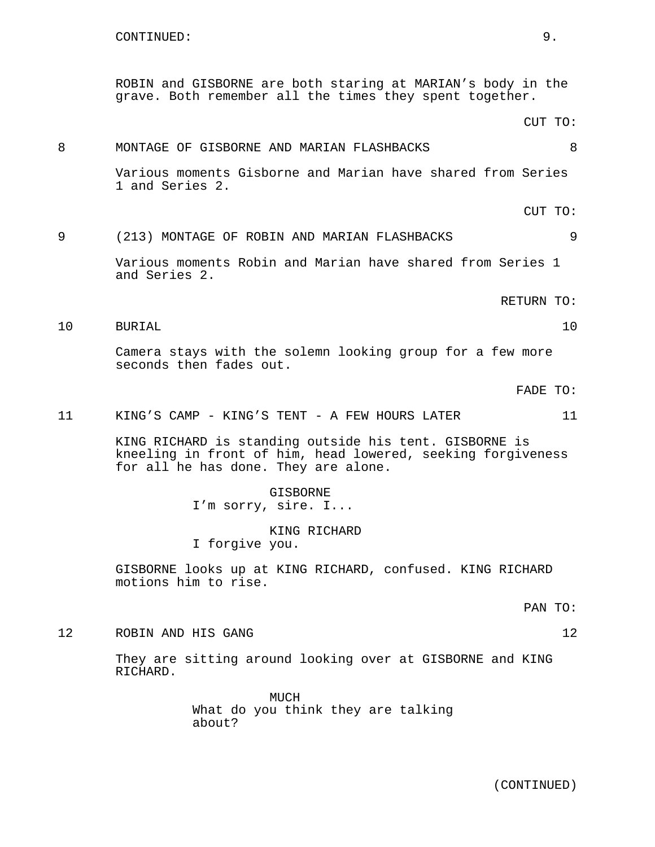ROBIN and GISBORNE are both staring at MARIAN's body in the grave. Both remember all the times they spent together.

CUT TO: 8 MONTAGE OF GISBORNE AND MARIAN FLASHBACKS 8 Various moments Gisborne and Marian have shared from Series 1 and Series 2. CUT TO: 9 (213) MONTAGE OF ROBIN AND MARIAN FLASHBACKS 9 Various moments Robin and Marian have shared from Series 1 and Series 2. RETURN TO: 10 BURIAL 10 Camera stays with the solemn looking group for a few more seconds then fades out. FADE TO: 11 KING'S CAMP - KING'S TENT - A FEW HOURS LATER 11 KING RICHARD is standing outside his tent. GISBORNE is kneeling in front of him, head lowered, seeking forgiveness for all he has done. They are alone. GISBORNE I'm sorry, sire. I... KING RICHARD I forgive you. GISBORNE looks up at KING RICHARD, confused. KING RICHARD

motions him to rise.

PAN TO:

12 ROBIN AND HIS GANG 12

They are sitting around looking over at GISBORNE and KING RICHARD.

> MUCH What do you think they are talking about?

> > (CONTINUED)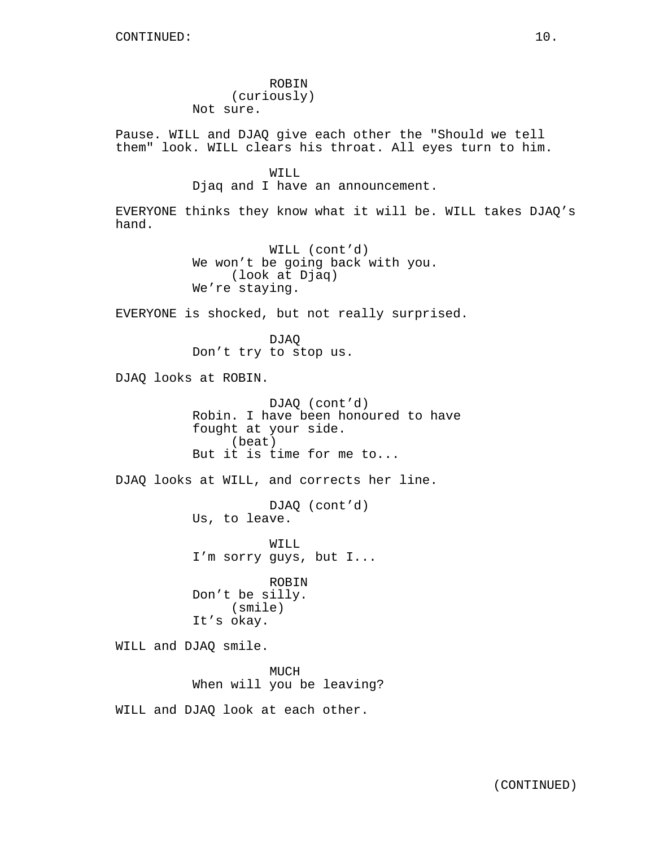ROBIN (curiously) Not sure.

Pause. WILL and DJAQ give each other the "Should we tell them" look. WILL clears his throat. All eyes turn to him.

> WILL Djaq and I have an announcement.

EVERYONE thinks they know what it will be. WILL takes DJAQ's hand.

> WILL (cont'd) We won't be going back with you. (look at Djaq) We're staying.

EVERYONE is shocked, but not really surprised.

DJAQ Don't try to stop us.

DJAQ looks at ROBIN.

DJAQ (cont'd) Robin. I have been honoured to have fought at your side. (beat) But it is time for me to...

DJAQ looks at WILL, and corrects her line.

DJAQ (cont'd) Us, to leave.

WILL I'm sorry guys, but I...

ROBIN Don't be silly. (smile) It's okay.

WILL and DJAQ smile.

MUCH When will you be leaving?

WILL and DJAQ look at each other.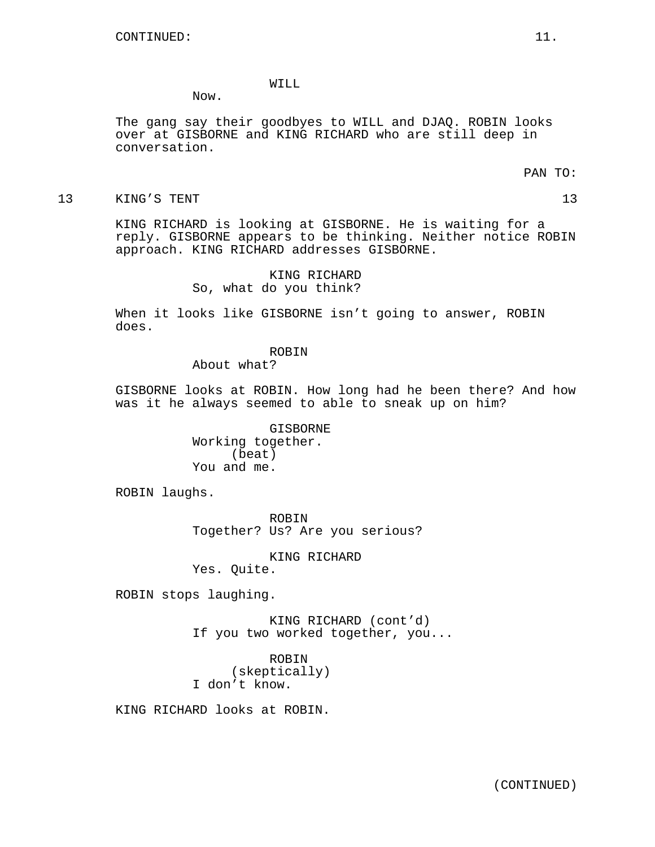# WILL

Now.

The gang say their goodbyes to WILL and DJAQ. ROBIN looks over at GISBORNE and KING RICHARD who are still deep in conversation.

PAN TO:

13 KING'S TENT 13

KING RICHARD is looking at GISBORNE. He is waiting for a reply. GISBORNE appears to be thinking. Neither notice ROBIN approach. KING RICHARD addresses GISBORNE.

> KING RICHARD So, what do you think?

When it looks like GISBORNE isn't going to answer, ROBIN does.

ROBIN

About what?

GISBORNE looks at ROBIN. How long had he been there? And how was it he always seemed to able to sneak up on him?

> GISBORNE Working together. (beat) You and me.

ROBIN laughs.

ROBIN Together? Us? Are you serious?

KING RICHARD

Yes. Quite.

ROBIN stops laughing.

KING RICHARD (cont'd) If you two worked together, you...

ROBIN (skeptically) I don't know.

KING RICHARD looks at ROBIN.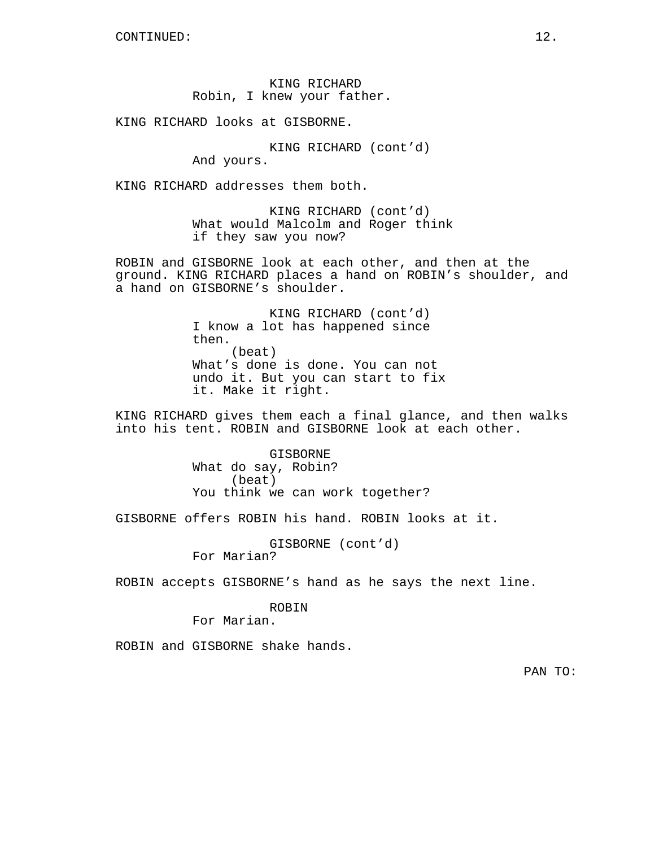KING RICHARD Robin, I knew your father.

KING RICHARD looks at GISBORNE.

KING RICHARD (cont'd) And yours.

KING RICHARD addresses them both.

KING RICHARD (cont'd) What would Malcolm and Roger think if they saw you now?

ROBIN and GISBORNE look at each other, and then at the ground. KING RICHARD places a hand on ROBIN's shoulder, and a hand on GISBORNE's shoulder.

> KING RICHARD (cont'd) I know a lot has happened since then. (beat) What's done is done. You can not undo it. But you can start to fix it. Make it right.

KING RICHARD gives them each a final glance, and then walks into his tent. ROBIN and GISBORNE look at each other.

> GISBORNE What do say, Robin? (beat) You think we can work together?

GISBORNE offers ROBIN his hand. ROBIN looks at it.

GISBORNE (cont'd) For Marian?

ROBIN accepts GISBORNE's hand as he says the next line.

# ROBIN

For Marian.

ROBIN and GISBORNE shake hands.

PAN TO: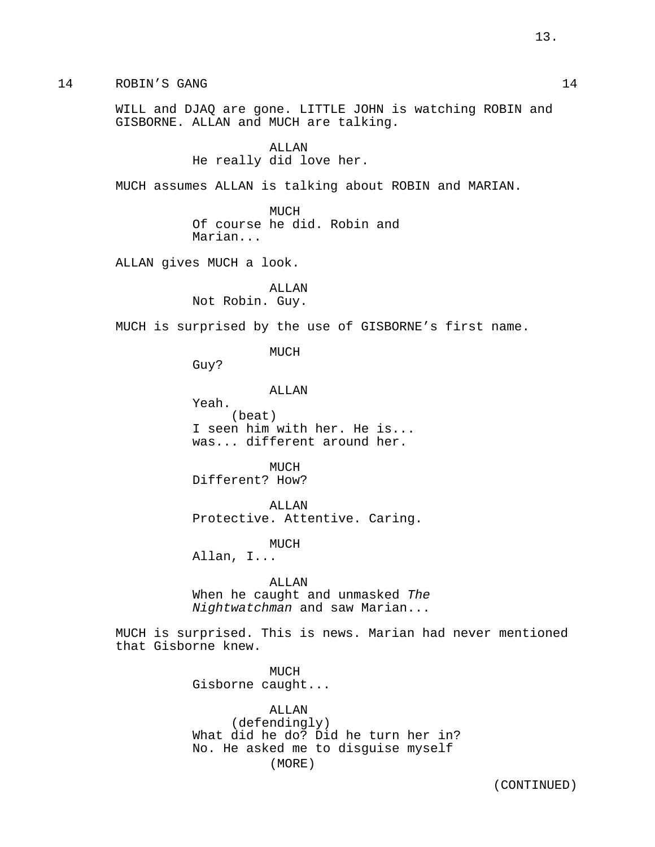14 ROBIN'S GANG 14

WILL and DJAQ are gone. LITTLE JOHN is watching ROBIN and GISBORNE. ALLAN and MUCH are talking.

> ALLAN He really did love her.

MUCH assumes ALLAN is talking about ROBIN and MARIAN.

MUCH Of course he did. Robin and Marian...

ALLAN gives MUCH a look.

ALLAN Not Robin. Guy.

MUCH is surprised by the use of GISBORNE's first name.

MUCH

Guy?

ALLAN

Yeah. (beat) I seen him with her. He is... was... different around her.

MUCH Different? How?

ALLAN Protective. Attentive. Caring.

MUCH

Allan, I...

ALLAN When he caught and unmasked The Nightwatchman and saw Marian...

MUCH is surprised. This is news. Marian had never mentioned that Gisborne knew.

> MUCH Gisborne caught...

ALLAN (defendingly) What did he do? Did he turn her in? No. He asked me to disguise myself (MORE)

(CONTINUED)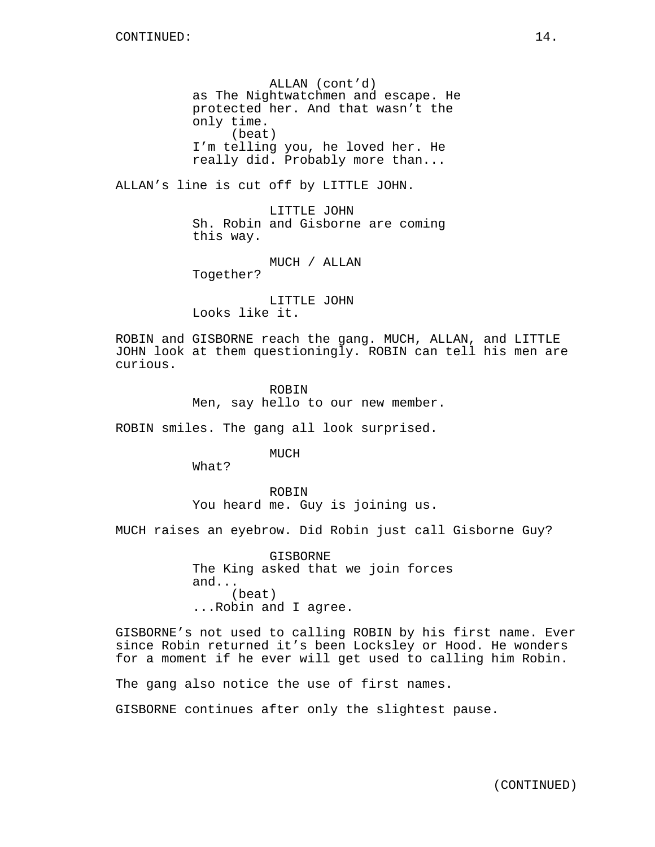ALLAN (cont'd) as The Nightwatchmen and escape. He protected her. And that wasn't the only time. (beat) I'm telling you, he loved her. He really did. Probably more than...

ALLAN's line is cut off by LITTLE JOHN.

LITTLE JOHN Sh. Robin and Gisborne are coming this way.

MUCH / ALLAN

Together?

LITTLE JOHN Looks like it.

ROBIN and GISBORNE reach the gang. MUCH, ALLAN, and LITTLE JOHN look at them questioningly. ROBIN can tell his men are curious.

> ROBIN Men, say hello to our new member.

ROBIN smiles. The gang all look surprised.

MUCH

What?

ROBIN You heard me. Guy is joining us.

MUCH raises an eyebrow. Did Robin just call Gisborne Guy?

GISBORNE The King asked that we join forces and... (beat) ...Robin and I agree.

GISBORNE's not used to calling ROBIN by his first name. Ever since Robin returned it's been Locksley or Hood. He wonders for a moment if he ever will get used to calling him Robin.

The gang also notice the use of first names.

GISBORNE continues after only the slightest pause.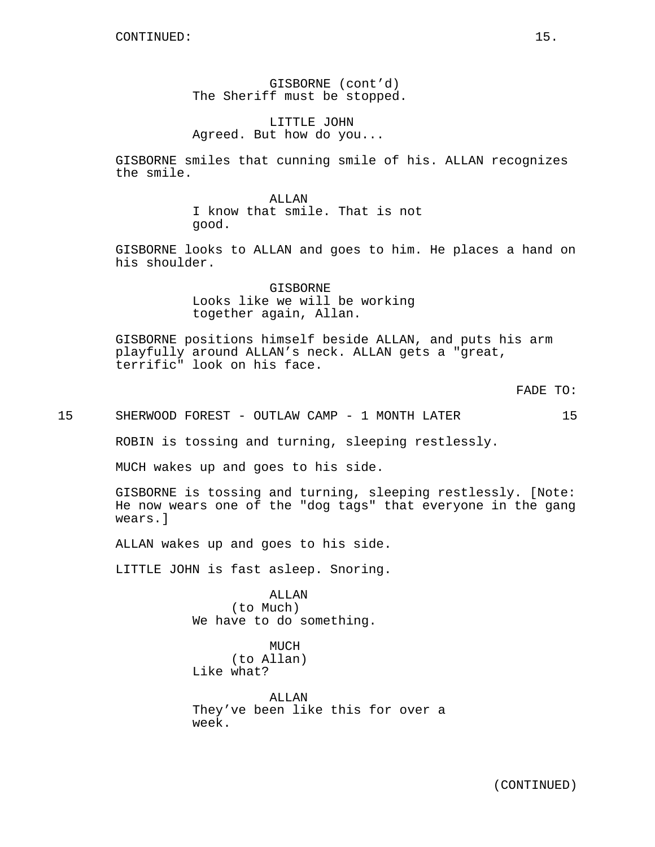GISBORNE (cont'd) The Sheriff must be stopped.

LITTLE JOHN Agreed. But how do you...

GISBORNE smiles that cunning smile of his. ALLAN recognizes the smile.

> ALLAN I know that smile. That is not good.

GISBORNE looks to ALLAN and goes to him. He places a hand on his shoulder.

> GISBORNE Looks like we will be working together again, Allan.

GISBORNE positions himself beside ALLAN, and puts his arm playfully around ALLAN's neck. ALLAN gets a "great, terrific" look on his face.

FADE TO:

15 SHERWOOD FOREST - OUTLAW CAMP - 1 MONTH LATER 15

ROBIN is tossing and turning, sleeping restlessly.

MUCH wakes up and goes to his side.

GISBORNE is tossing and turning, sleeping restlessly. [Note: He now wears one of the "dog tags" that everyone in the gang wears.]

ALLAN wakes up and goes to his side.

LITTLE JOHN is fast asleep. Snoring.

ALLAN (to Much) We have to do something.

MUCH (to Allan) Like what?

ALLAN They've been like this for over a week.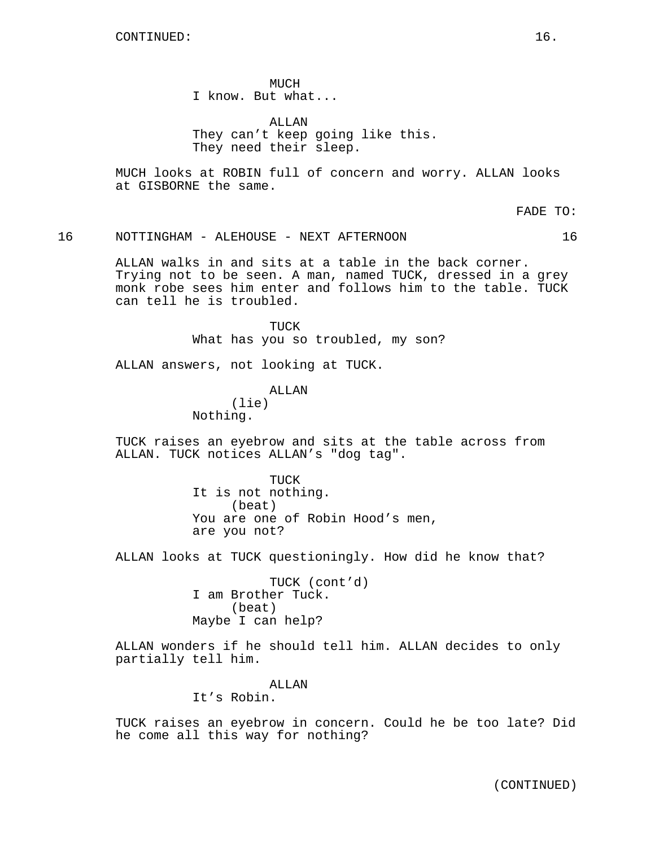**MUCH** I know. But what...

ALLAN They can't keep going like this. They need their sleep.

MUCH looks at ROBIN full of concern and worry. ALLAN looks at GISBORNE the same.

FADE TO:

## 16 NOTTINGHAM - ALEHOUSE - NEXT AFTERNOON 16

ALLAN walks in and sits at a table in the back corner. Trying not to be seen. A man, named TUCK, dressed in a grey monk robe sees him enter and follows him to the table. TUCK can tell he is troubled.

> TUCK What has you so troubled, my son?

ALLAN answers, not looking at TUCK.

ALLAN

(lie) Nothing.

TUCK raises an eyebrow and sits at the table across from ALLAN. TUCK notices ALLAN's "dog tag".

> TUCK It is not nothing. (beat) You are one of Robin Hood's men, are you not?

ALLAN looks at TUCK questioningly. How did he know that?

TUCK (cont'd) I am Brother Tuck. (beat) Maybe I can help?

ALLAN wonders if he should tell him. ALLAN decides to only partially tell him.

ALLAN

It's Robin.

TUCK raises an eyebrow in concern. Could he be too late? Did he come all this way for nothing?

(CONTINUED)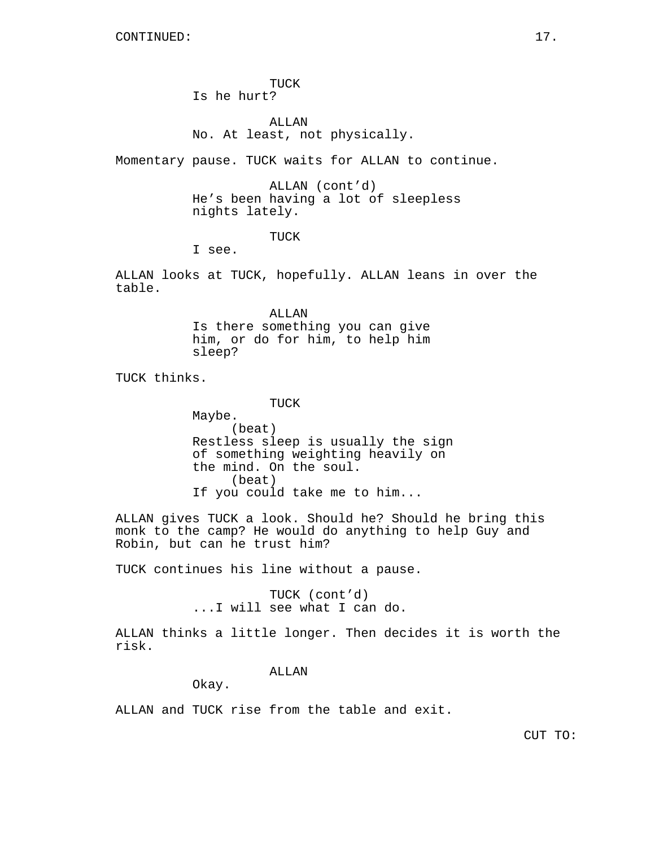TUCK Is he hurt?

ALLAN No. At least, not physically.

Momentary pause. TUCK waits for ALLAN to continue.

ALLAN (cont'd) He's been having a lot of sleepless nights lately.

TUCK

I see.

ALLAN looks at TUCK, hopefully. ALLAN leans in over the table.

> ALLAN Is there something you can give him, or do for him, to help him sleep?

TUCK thinks.

TUCK

Maybe. (beat) Restless sleep is usually the sign of something weighting heavily on the mind. On the soul. (beat) If you could take me to him...

ALLAN gives TUCK a look. Should he? Should he bring this monk to the camp? He would do anything to help Guy and Robin, but can he trust him?

TUCK continues his line without a pause.

TUCK (cont'd) ...I will see what I can do.

ALLAN thinks a little longer. Then decides it is worth the risk.

ALLAN

Okay.

ALLAN and TUCK rise from the table and exit.

CUT TO: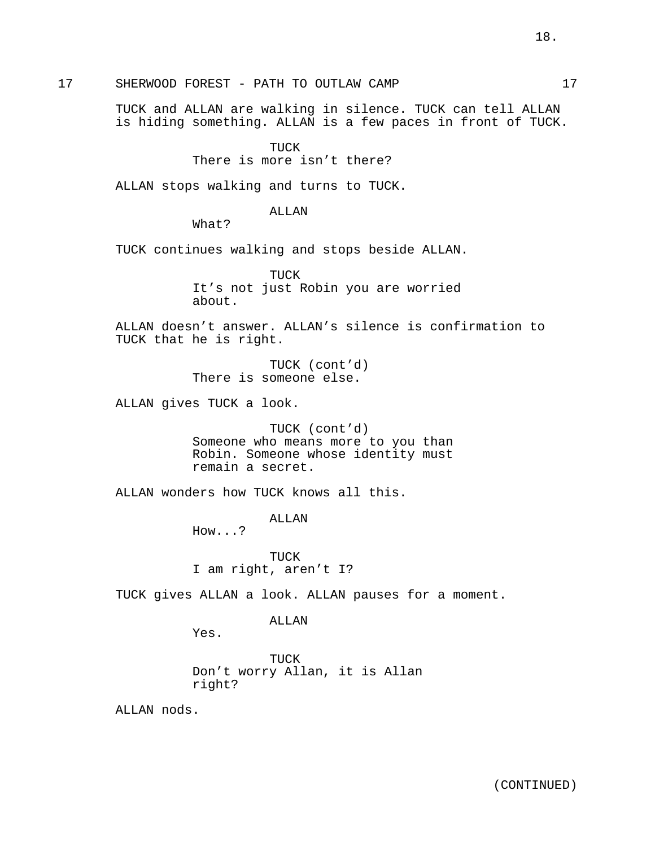17 SHERWOOD FOREST - PATH TO OUTLAW CAMP 17

TUCK and ALLAN are walking in silence. TUCK can tell ALLAN is hiding something. ALLAN is a few paces in front of TUCK.

## TUCK

# There is more isn't there?

ALLAN stops walking and turns to TUCK.

# ALLAN

What?

TUCK continues walking and stops beside ALLAN.

TUCK It's not just Robin you are worried about.

ALLAN doesn't answer. ALLAN's silence is confirmation to TUCK that he is right.

> TUCK (cont'd) There is someone else.

ALLAN gives TUCK a look.

TUCK (cont'd) Someone who means more to you than Robin. Someone whose identity must remain a secret.

ALLAN wonders how TUCK knows all this.

ALLAN

How...?

TUCK I am right, aren't I?

TUCK gives ALLAN a look. ALLAN pauses for a moment.

### ALLAN

Yes.

TUCK Don't worry Allan, it is Allan right?

ALLAN nods.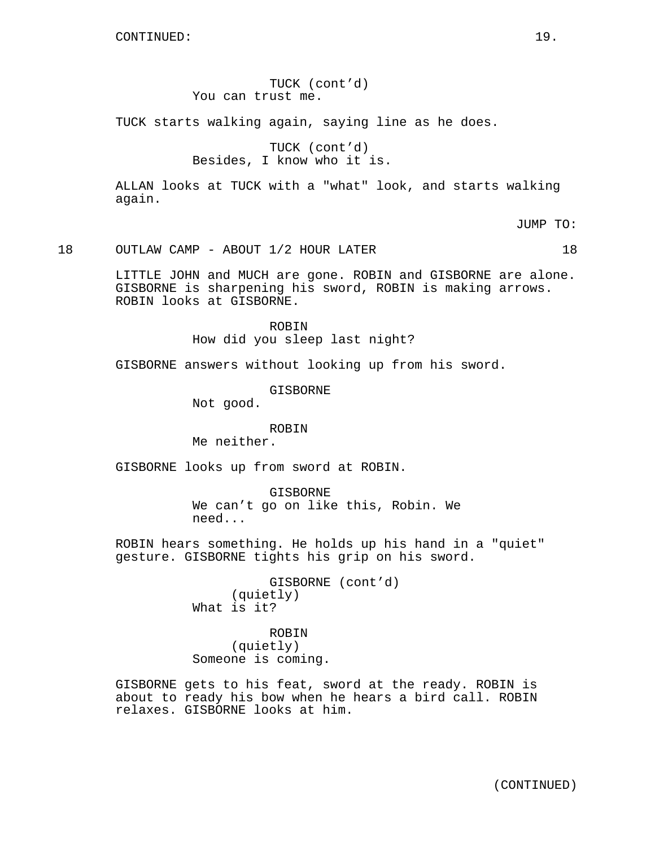TUCK (cont'd) You can trust me.

TUCK starts walking again, saying line as he does.

TUCK (cont'd) Besides, I know who it is.

ALLAN looks at TUCK with a "what" look, and starts walking again.

JUMP TO:

18 OUTLAW CAMP - ABOUT 1/2 HOUR LATER 18

LITTLE JOHN and MUCH are gone. ROBIN and GISBORNE are alone. GISBORNE is sharpening his sword, ROBIN is making arrows. ROBIN looks at GISBORNE.

> ROBIN How did you sleep last night?

GISBORNE answers without looking up from his sword.

GISBORNE

Not good.

## ROBIN

Me neither.

GISBORNE looks up from sword at ROBIN.

GISBORNE We can't go on like this, Robin. We need...

ROBIN hears something. He holds up his hand in a "quiet" gesture. GISBORNE tights his grip on his sword.

> GISBORNE (cont'd) (quietly) What is it?

ROBIN (quietly) Someone is coming.

GISBORNE gets to his feat, sword at the ready. ROBIN is about to ready his bow when he hears a bird call. ROBIN relaxes. GISBORNE looks at him.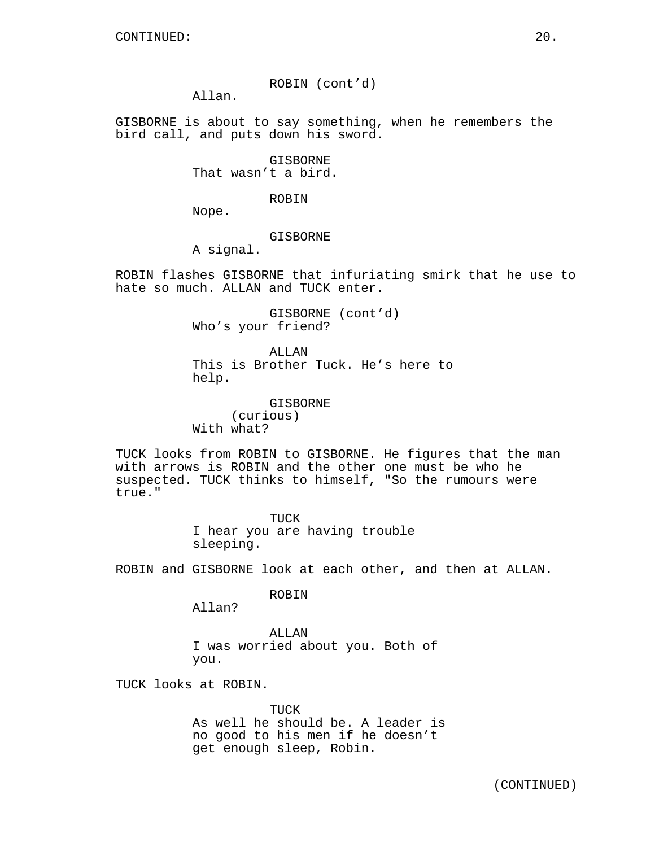ROBIN (cont'd)

Allan.

GISBORNE is about to say something, when he remembers the bird call, and puts down his sword.

> GISBORNE That wasn't a bird.

> > ROBIN

Nope.

# GISBORNE

A signal.

ROBIN flashes GISBORNE that infuriating smirk that he use to hate so much. ALLAN and TUCK enter.

> GISBORNE (cont'd) Who's your friend?

ALLAN This is Brother Tuck. He's here to help.

GISBORNE (curious) With what?

TUCK looks from ROBIN to GISBORNE. He figures that the man with arrows is ROBIN and the other one must be who he suspected. TUCK thinks to himself, "So the rumours were true."

> TUCK I hear you are having trouble sleeping.

ROBIN and GISBORNE look at each other, and then at ALLAN.

ROBIN

Allan?

ALLAN I was worried about you. Both of you.

TUCK looks at ROBIN.

TIJCK As well he should be. A leader is no good to his men if he doesn't get enough sleep, Robin.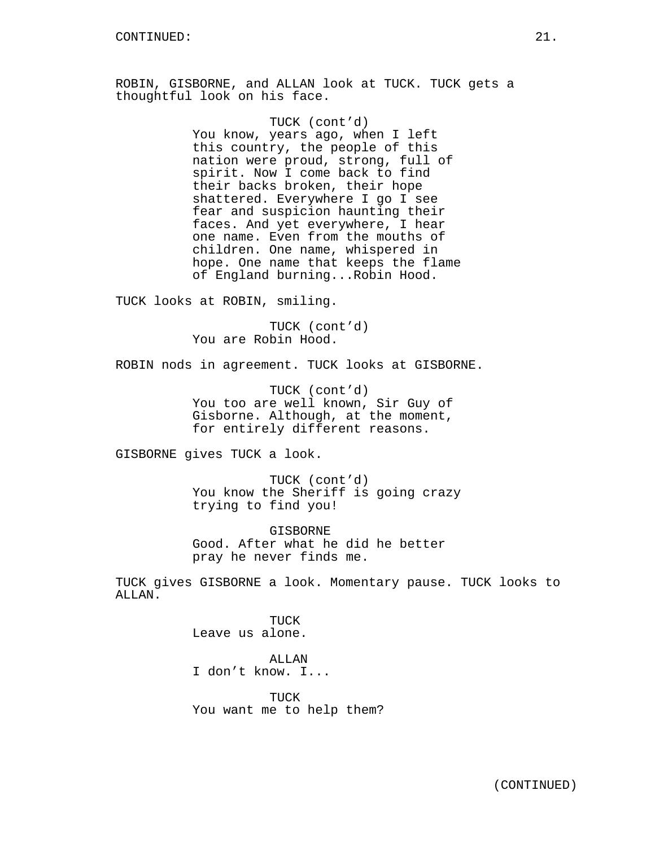ROBIN, GISBORNE, and ALLAN look at TUCK. TUCK gets a thoughtful look on his face.

> TUCK (cont'd) You know, years ago, when I left this country, the people of this nation were proud, strong, full of spirit. Now I come back to find their backs broken, their hope shattered. Everywhere I go I see fear and suspicion haunting their faces. And yet everywhere, I hear one name. Even from the mouths of children. One name, whispered in hope. One name that keeps the flame of England burning...Robin Hood.

TUCK looks at ROBIN, smiling.

TUCK (cont'd) You are Robin Hood.

ROBIN nods in agreement. TUCK looks at GISBORNE.

TUCK (cont'd) You too are well known, Sir Guy of Gisborne. Although, at the moment, for entirely different reasons.

GISBORNE gives TUCK a look.

TUCK (cont'd) You know the Sheriff is going crazy trying to find you!

GISBORNE Good. After what he did he better pray he never finds me.

TUCK gives GISBORNE a look. Momentary pause. TUCK looks to ALLAN.

> TUCK Leave us alone.

ALLAN I don't know. I...

TUCK You want me to help them?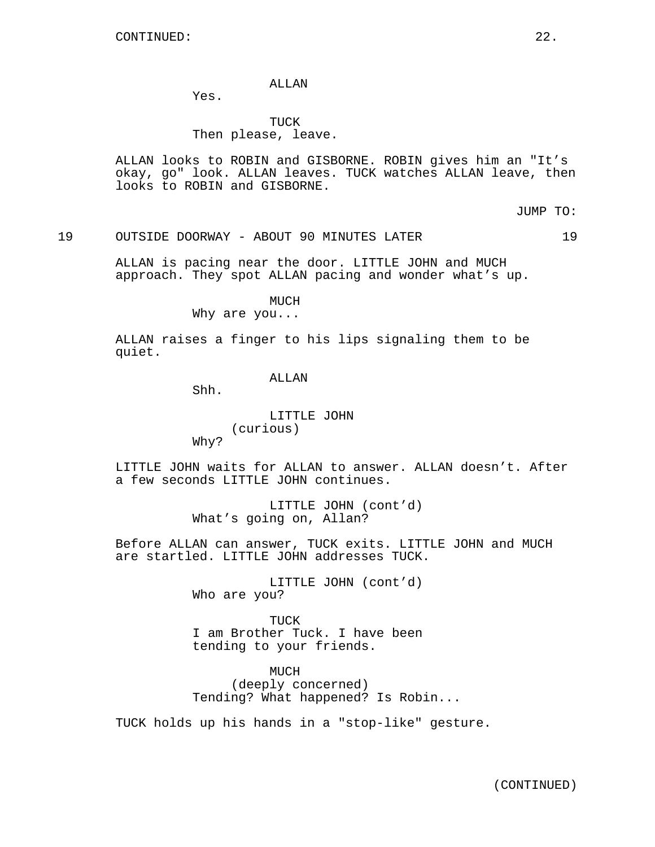## ALLAN

Yes.

# TUCK Then please, leave.

ALLAN looks to ROBIN and GISBORNE. ROBIN gives him an "It's okay, go" look. ALLAN leaves. TUCK watches ALLAN leave, then looks to ROBIN and GISBORNE.

JUMP TO:

### 19 OUTSIDE DOORWAY - ABOUT 90 MINUTES LATER 19

ALLAN is pacing near the door. LITTLE JOHN and MUCH approach. They spot ALLAN pacing and wonder what's up.

MUCH

Why are you...

ALLAN raises a finger to his lips signaling them to be quiet.

## ALLAN

Shh.

LITTLE JOHN (curious)

Why?

LITTLE JOHN waits for ALLAN to answer. ALLAN doesn't. After a few seconds LITTLE JOHN continues.

> LITTLE JOHN (cont'd) What's going on, Allan?

Before ALLAN can answer, TUCK exits. LITTLE JOHN and MUCH are startled. LITTLE JOHN addresses TUCK.

> LITTLE JOHN (cont'd) Who are you?

> TUCK I am Brother Tuck. I have been tending to your friends.

MUCH (deeply concerned) Tending? What happened? Is Robin...

TUCK holds up his hands in a "stop-like" gesture.

(CONTINUED)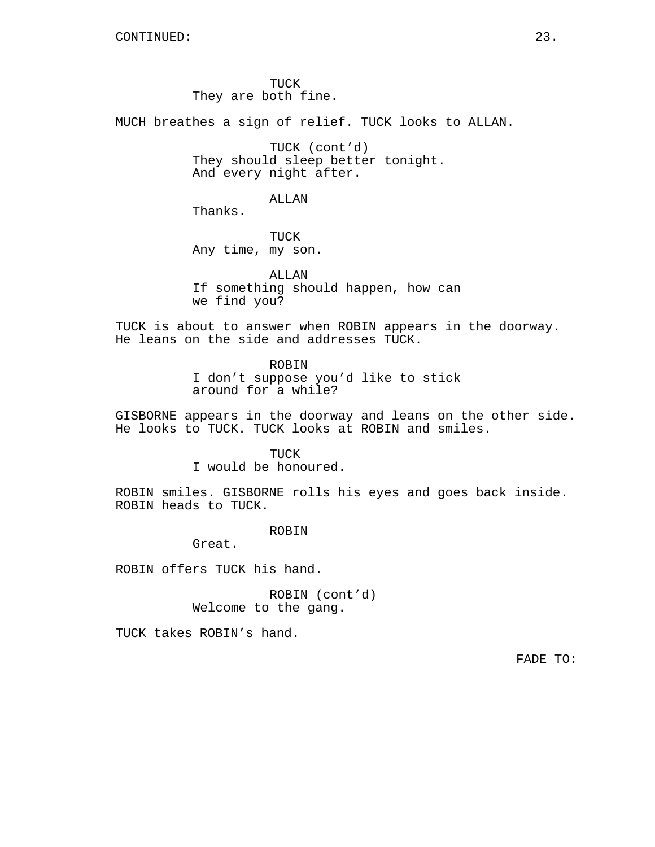TUCK They are both fine.

MUCH breathes a sign of relief. TUCK looks to ALLAN.

TUCK (cont'd) They should sleep better tonight. And every night after.

## ALLAN

Thanks.

TUCK Any time, my son.

ALLAN If something should happen, how can we find you?

TUCK is about to answer when ROBIN appears in the doorway. He leans on the side and addresses TUCK.

> ROBIN I don't suppose you'd like to stick around for a while?

GISBORNE appears in the doorway and leans on the other side. He looks to TUCK. TUCK looks at ROBIN and smiles.

#### TUCK

I would be honoured.

ROBIN smiles. GISBORNE rolls his eyes and goes back inside. ROBIN heads to TUCK.

## ROBIN

Great.

ROBIN offers TUCK his hand.

ROBIN (cont'd) Welcome to the gang.

TUCK takes ROBIN's hand.

FADE TO: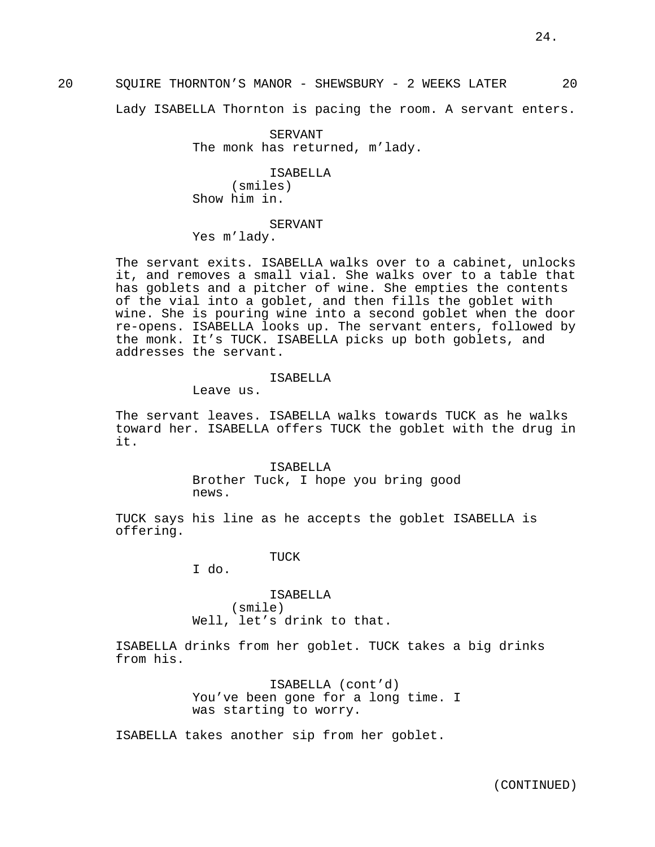20 SQUIRE THORNTON'S MANOR - SHEWSBURY - 2 WEEKS LATER 20

Lady ISABELLA Thornton is pacing the room. A servant enters.

SERVANT The monk has returned, m'lady.

ISABELLA (smiles) Show him in.

SERVANT

Yes m'lady.

The servant exits. ISABELLA walks over to a cabinet, unlocks it, and removes a small vial. She walks over to a table that has goblets and a pitcher of wine. She empties the contents of the vial into a goblet, and then fills the goblet with wine. She is pouring wine into a second goblet when the door re-opens. ISABELLA looks up. The servant enters, followed by the monk. It's TUCK. ISABELLA picks up both goblets, and addresses the servant.

#### ISABELLA

Leave us.

The servant leaves. ISABELLA walks towards TUCK as he walks toward her. ISABELLA offers TUCK the goblet with the drug in it.

> ISABELLA Brother Tuck, I hope you bring good news.

TUCK says his line as he accepts the goblet ISABELLA is offering.

TUCK

I do.

ISABELLA (smile) Well, let's drink to that.

ISABELLA drinks from her goblet. TUCK takes a big drinks from his.

> ISABELLA (cont'd) You've been gone for a long time. I was starting to worry.

ISABELLA takes another sip from her goblet.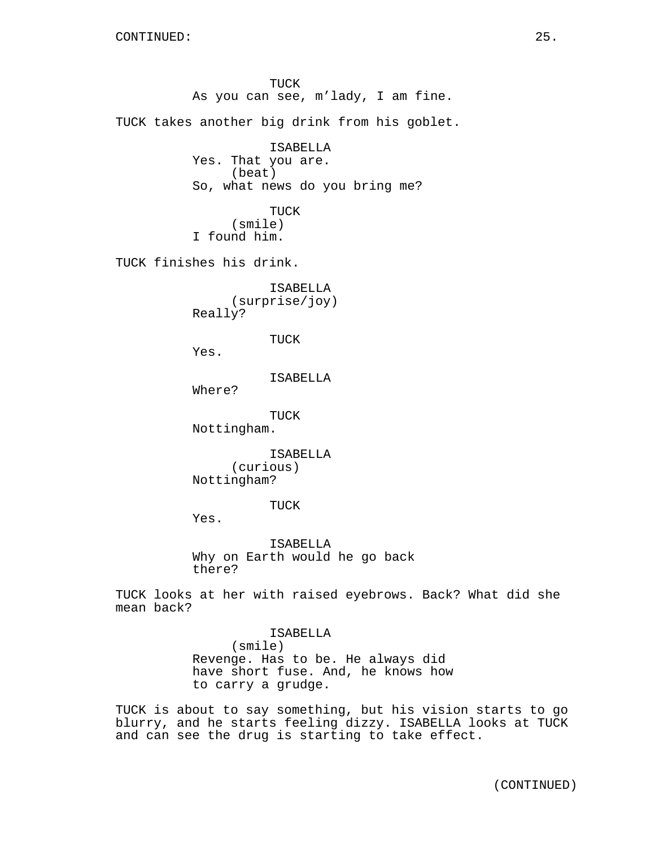TUCK As you can see, m'lady, I am fine. TUCK takes another big drink from his goblet. ISABELLA Yes. That you are. (beat) So, what news do you bring me? TUCK (smile) I found him. TUCK finishes his drink. ISABELLA (surprise/joy) Really? TUCK Yes. ISABELLA Where? TUCK Nottingham. ISABELLA (curious) Nottingham? TUCK Yes. ISABELLA Why on Earth would he go back there? TUCK looks at her with raised eyebrows. Back? What did she mean back? ISABELLA (smile)

Revenge. Has to be. He always did have short fuse. And, he knows how to carry a grudge.

TUCK is about to say something, but his vision starts to go blurry, and he starts feeling dizzy. ISABELLA looks at TUCK and can see the drug is starting to take effect.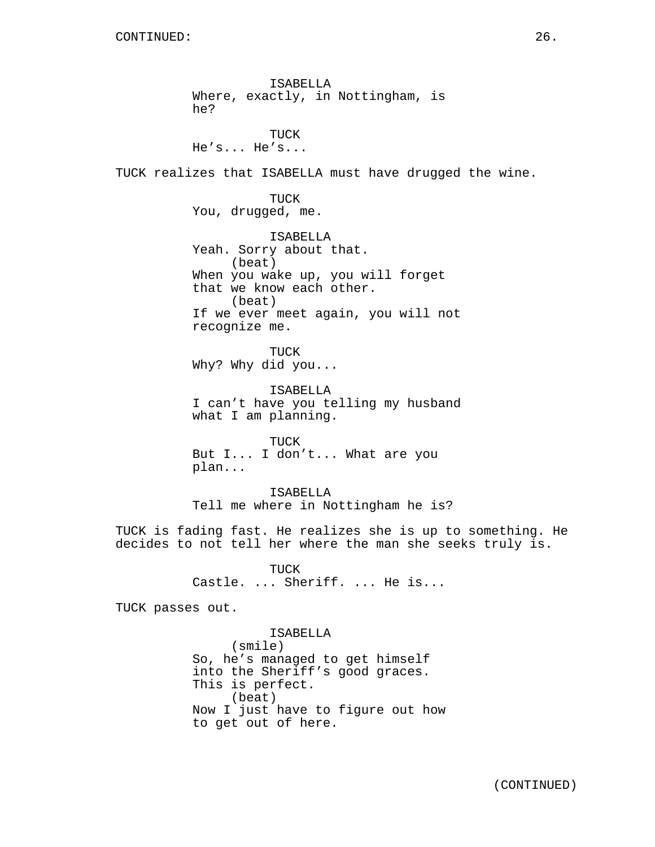ISABELLA Where, exactly, in Nottingham, is he? TUCK He's... He's... TUCK realizes that ISABELLA must have drugged the wine. TUCK You, drugged, me. ISABELLA Yeah. Sorry about that. (beat) When you wake up, you will forget that we know each other. (beat) If we ever meet again, you will not recognize me. TUCK Why? Why did you... ISABELLA I can't have you telling my husband what I am planning. TUCK But I... I don't... What are you plan... ISABELLA Tell me where in Nottingham he is? TUCK is fading fast. He realizes she is up to something. He decides to not tell her where the man she seeks truly is. TUCK Castle. ... Sheriff. ... He is... TUCK passes out. ISABELLA (smile) So, he's managed to get himself into the Sheriff's good graces.

> This is perfect. (beat) Now I just have to figure out how to get out of here.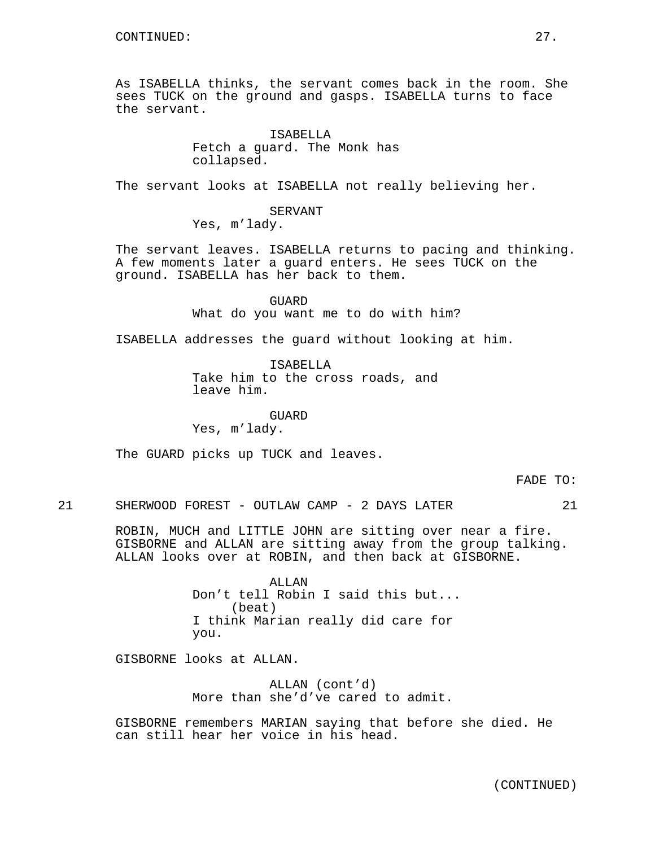As ISABELLA thinks, the servant comes back in the room. She sees TUCK on the ground and gasps. ISABELLA turns to face the servant.

> ISABELLA Fetch a guard. The Monk has collapsed.

The servant looks at ISABELLA not really believing her.

SERVANT Yes, m'lady.

The servant leaves. ISABELLA returns to pacing and thinking. A few moments later a guard enters. He sees TUCK on the ground. ISABELLA has her back to them.

> GUARD What do you want me to do with him?

ISABELLA addresses the guard without looking at him.

ISABELLA Take him to the cross roads, and leave him.

GUARD Yes, m'lady.

The GUARD picks up TUCK and leaves.

FADE TO:

21 SHERWOOD FOREST - OUTLAW CAMP - 2 DAYS LATER 21

ROBIN, MUCH and LITTLE JOHN are sitting over near a fire. GISBORNE and ALLAN are sitting away from the group talking. ALLAN looks over at ROBIN, and then back at GISBORNE.

> **ALLAN** Don't tell Robin I said this but... (beat) I think Marian really did care for you.

GISBORNE looks at ALLAN.

ALLAN (cont'd) More than she'd've cared to admit.

GISBORNE remembers MARIAN saying that before she died. He can still hear her voice in his head.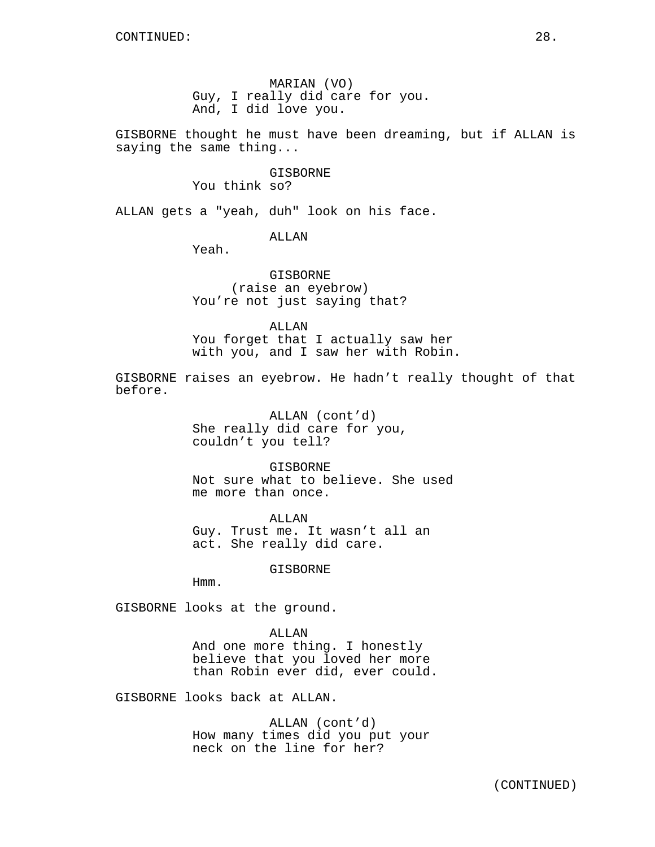MARIAN (VO) Guy, I really did care for you. And, I did love you.

GISBORNE thought he must have been dreaming, but if ALLAN is saying the same thing...

> GISBORNE You think so?

ALLAN gets a "yeah, duh" look on his face.

# ALLAN

Yeah.

GISBORNE (raise an eyebrow) You're not just saying that?

ALLAN You forget that I actually saw her with you, and I saw her with Robin.

GISBORNE raises an eyebrow. He hadn't really thought of that before.

> ALLAN (cont'd) She really did care for you, couldn't you tell?

GISBORNE Not sure what to believe. She used me more than once.

ALLAN Guy. Trust me. It wasn't all an act. She really did care.

GISBORNE

Hmm.

GISBORNE looks at the ground.

## ALLAN

And one more thing. I honestly believe that you loved her more than Robin ever did, ever could.

GISBORNE looks back at ALLAN.

ALLAN (cont'd) How many times did you put your neck on the line for her?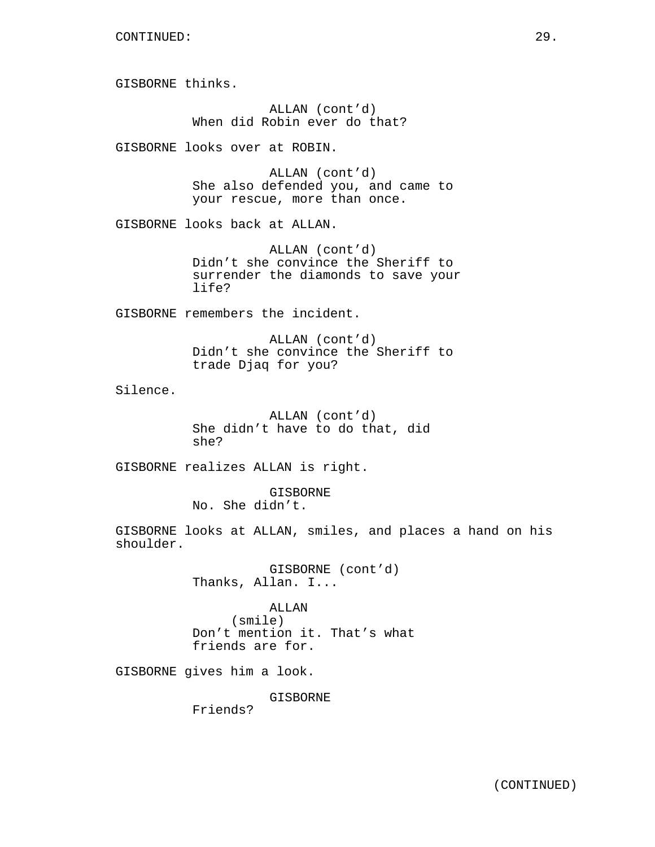GISBORNE thinks.

ALLAN (cont'd) When did Robin ever do that?

GISBORNE looks over at ROBIN.

ALLAN (cont'd) She also defended you, and came to your rescue, more than once.

GISBORNE looks back at ALLAN.

ALLAN (cont'd) Didn't she convince the Sheriff to surrender the diamonds to save your life?

GISBORNE remembers the incident.

ALLAN (cont'd) Didn't she convince the Sheriff to trade Djaq for you?

Silence.

ALLAN (cont'd) She didn't have to do that, did she?

GISBORNE realizes ALLAN is right.

GISBORNE No. She didn't.

GISBORNE looks at ALLAN, smiles, and places a hand on his shoulder.

> GISBORNE (cont'd) Thanks, Allan. I...

ALLAN (smile) Don't mention it. That's what friends are for.

GISBORNE gives him a look.

GISBORNE

Friends?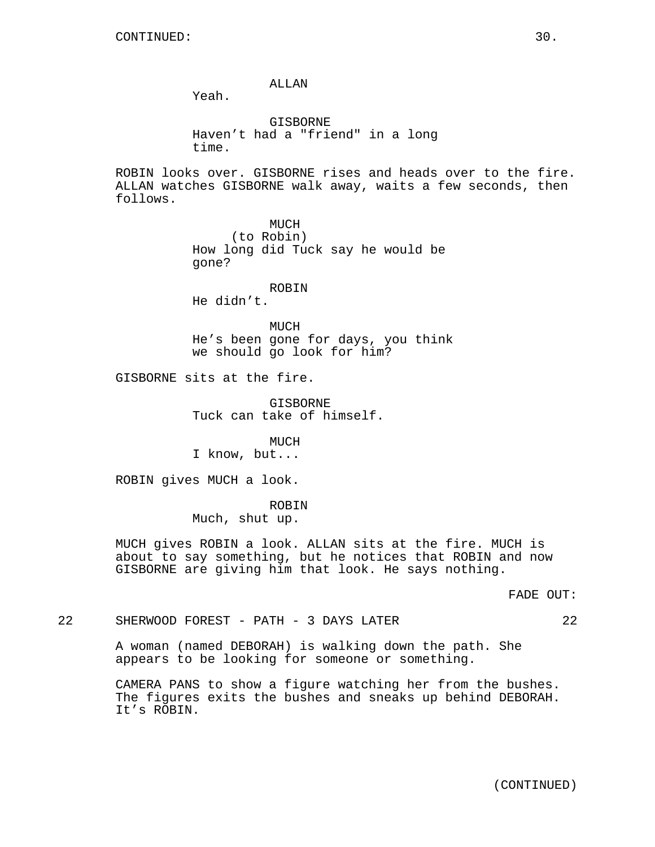ALLAN

Yeah.

GISBORNE Haven't had a "friend" in a long time.

ROBIN looks over. GISBORNE rises and heads over to the fire. ALLAN watches GISBORNE walk away, waits a few seconds, then follows.

> MUCH (to Robin) How long did Tuck say he would be gone?

ROBIN He didn't.

MUCH He's been gone for days, you think we should go look for him?

GISBORNE sits at the fire.

**GISBORNE** Tuck can take of himself.

MUCH I know, but...

ROBIN gives MUCH a look.

ROBIN

Much, shut up.

MUCH gives ROBIN a look. ALLAN sits at the fire. MUCH is about to say something, but he notices that ROBIN and now GISBORNE are giving him that look. He says nothing.

FADE OUT:

22 SHERWOOD FOREST - PATH - 3 DAYS LATER 22

A woman (named DEBORAH) is walking down the path. She appears to be looking for someone or something.

CAMERA PANS to show a figure watching her from the bushes. The figures exits the bushes and sneaks up behind DEBORAH. It's ROBIN.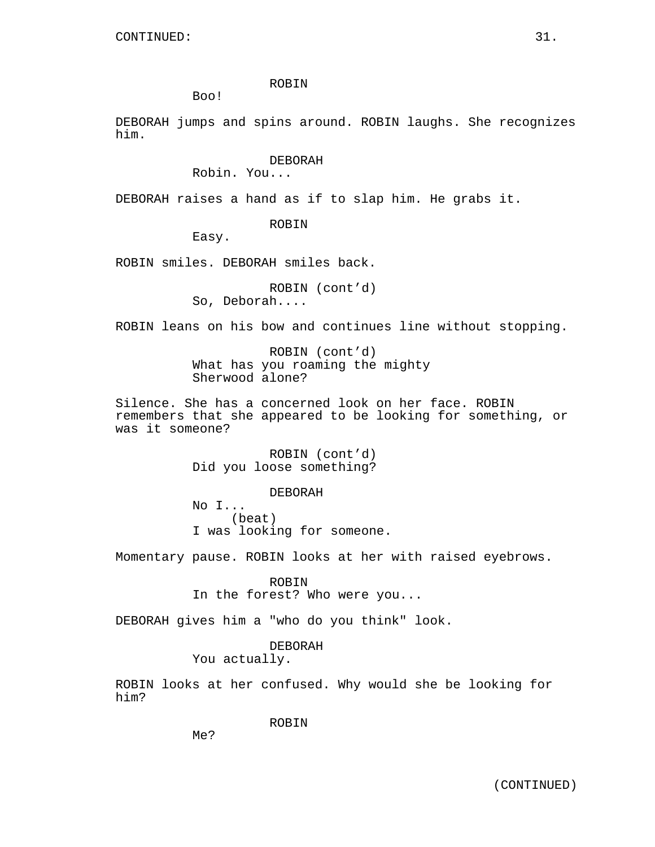## ROBIN

Boo!

DEBORAH jumps and spins around. ROBIN laughs. She recognizes him.

## DEBORAH

Robin. You...

DEBORAH raises a hand as if to slap him. He grabs it.

### ROBIN

Easy.

ROBIN smiles. DEBORAH smiles back.

ROBIN (cont'd) So, Deborah....

ROBIN leans on his bow and continues line without stopping.

ROBIN (cont'd) What has you roaming the mighty Sherwood alone?

Silence. She has a concerned look on her face. ROBIN remembers that she appeared to be looking for something, or was it someone?

> ROBIN (cont'd) Did you loose something?

> > DEBORAH

No I... (beat) I was looking for someone.

Momentary pause. ROBIN looks at her with raised eyebrows.

ROBIN

In the forest? Who were you...

DEBORAH gives him a "who do you think" look.

# DEBORAH

You actually.

ROBIN looks at her confused. Why would she be looking for him?

ROBIN

Me?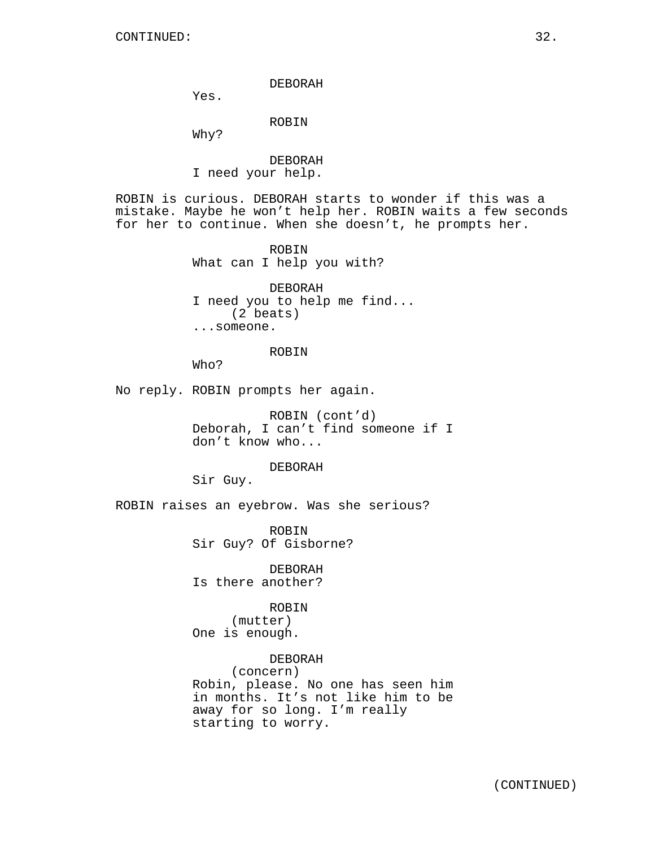### DEBORAH

Yes.

# ROBIN

Why?

# DEBORAH I need your help.

ROBIN is curious. DEBORAH starts to wonder if this was a mistake. Maybe he won't help her. ROBIN waits a few seconds for her to continue. When she doesn't, he prompts her.

> ROBIN What can I help you with?

DEBORAH I need you to help me find... (2 beats) ...someone.

## ROBIN

Who?

No reply. ROBIN prompts her again.

ROBIN (cont'd) Deborah, I can't find someone if I don't know who...

## DEBORAH

Sir Guy.

ROBIN raises an eyebrow. Was she serious?

ROBIN Sir Guy? Of Gisborne?

DEBORAH Is there another?

## ROBIN

(mutter) One is enough.

DEBORAH (concern) Robin, please. No one has seen him in months. It's not like him to be away for so long. I'm really starting to worry.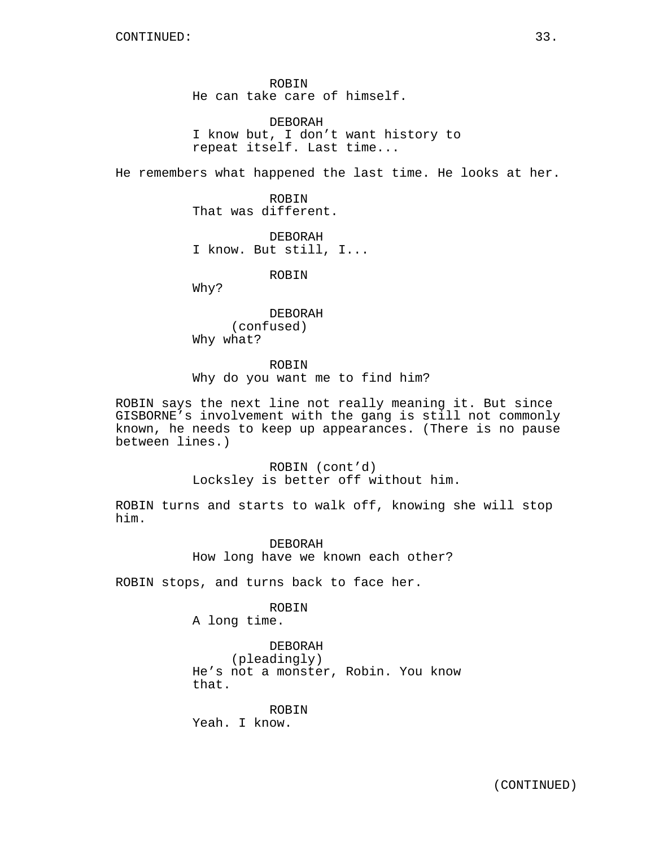ROBIN He can take care of himself.

DEBORAH I know but, I don't want history to repeat itself. Last time...

He remembers what happened the last time. He looks at her.

ROBIN That was different.

DEBORAH I know. But still, I...

ROBIN

Why?

DEBORAH (confused) Why what?

ROBIN

Why do you want me to find him?

ROBIN says the next line not really meaning it. But since GISBORNE's involvement with the gang is still not commonly known, he needs to keep up appearances. (There is no pause between lines.)

> ROBIN (cont'd) Locksley is better off without him.

ROBIN turns and starts to walk off, knowing she will stop him.

> DEBORAH How long have we known each other?

ROBIN stops, and turns back to face her.

# ROBIN

A long time.

# DEBORAH

(pleadingly) He's not a monster, Robin. You know that.

ROBIN Yeah. I know.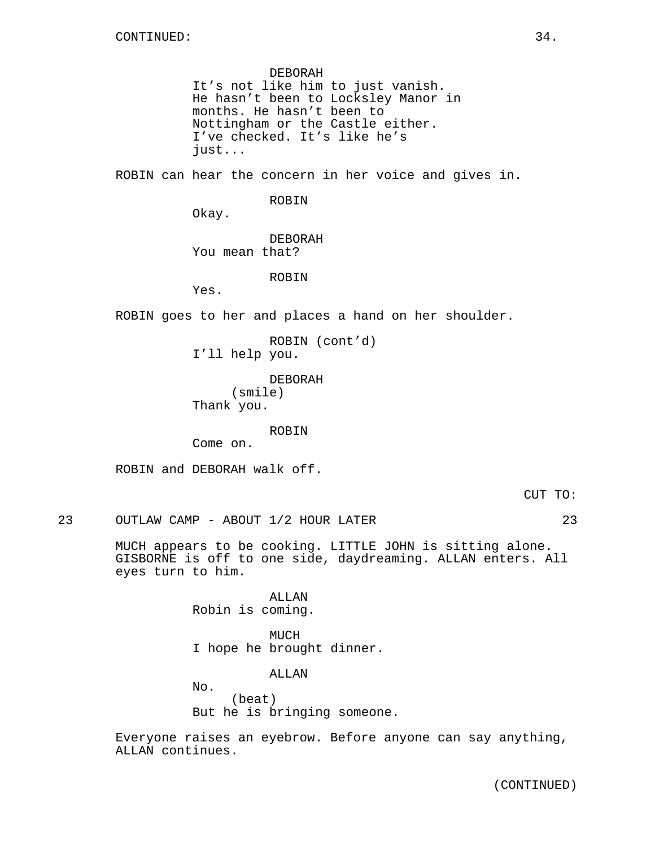#### DEBORAH

It's not like him to just vanish. He hasn't been to Locksley Manor in months. He hasn't been to Nottingham or the Castle either. I've checked. It's like he's just...

ROBIN can hear the concern in her voice and gives in.

## ROBIN

Okay.

DEBORAH You mean that?

ROBIN

Yes.

ROBIN goes to her and places a hand on her shoulder.

ROBIN (cont'd) I'll help you.

DEBORAH (smile) Thank you.

ROBIN

Come on.

ROBIN and DEBORAH walk off.

CUT TO:

23 OUTLAW CAMP - ABOUT 1/2 HOUR LATER 23

MUCH appears to be cooking. LITTLE JOHN is sitting alone. GISBORNE is off to one side, daydreaming. ALLAN enters. All eyes turn to him.

> ALLAN Robin is coming.

MUCH I hope he brought dinner.

ALLAN

No. (beat) But he is bringing someone.

Everyone raises an eyebrow. Before anyone can say anything, ALLAN continues.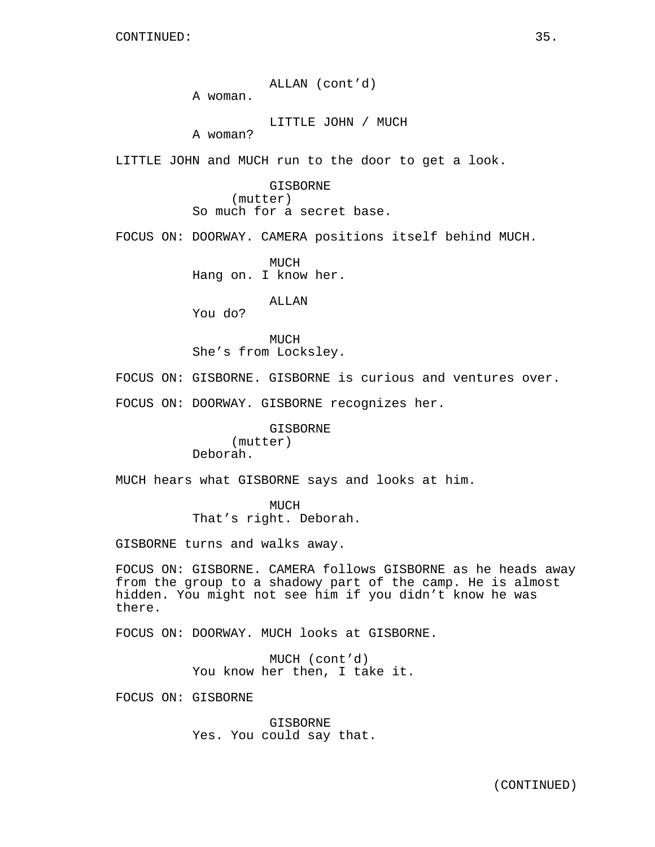ALLAN (cont'd) A woman.

LITTLE JOHN / MUCH

A woman?

LITTLE JOHN and MUCH run to the door to get a look.

GISBORNE (mutter) So much for a secret base.

FOCUS ON: DOORWAY. CAMERA positions itself behind MUCH.

MUCH Hang on. I know her.

ALLAN

You do?

**MUCH** She's from Locksley.

FOCUS ON: GISBORNE. GISBORNE is curious and ventures over.

FOCUS ON: DOORWAY. GISBORNE recognizes her.

GISBORNE (mutter) Deborah.

MUCH hears what GISBORNE says and looks at him.

MUCH That's right. Deborah.

GISBORNE turns and walks away.

FOCUS ON: GISBORNE. CAMERA follows GISBORNE as he heads away from the group to a shadowy part of the camp. He is almost hidden. You might not see him if you didn't know he was there.

FOCUS ON: DOORWAY. MUCH looks at GISBORNE.

MUCH (cont'd) You know her then, I take it.

FOCUS ON: GISBORNE

GISBORNE Yes. You could say that.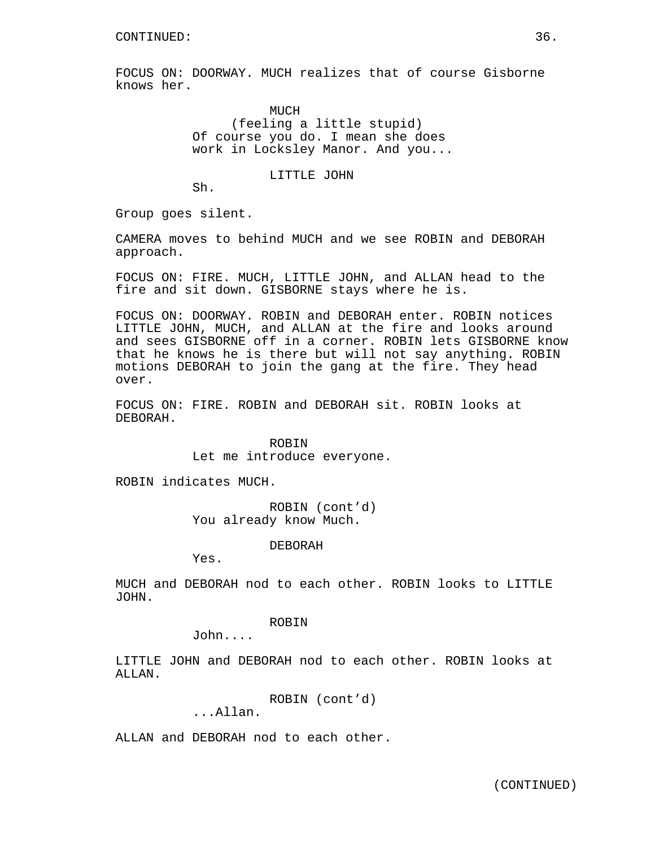FOCUS ON: DOORWAY. MUCH realizes that of course Gisborne knows her.

> MUCH (feeling a little stupid) Of course you do. I mean she does work in Locksley Manor. And you...

> > LITTLE JOHN

Sh.

Group goes silent.

CAMERA moves to behind MUCH and we see ROBIN and DEBORAH approach.

FOCUS ON: FIRE. MUCH, LITTLE JOHN, and ALLAN head to the fire and sit down. GISBORNE stays where he is.

FOCUS ON: DOORWAY. ROBIN and DEBORAH enter. ROBIN notices LITTLE JOHN, MUCH, and ALLAN at the fire and looks around and sees GISBORNE off in a corner. ROBIN lets GISBORNE know that he knows he is there but will not say anything. ROBIN motions DEBORAH to join the gang at the fire. They head over.

FOCUS ON: FIRE. ROBIN and DEBORAH sit. ROBIN looks at DEBORAH.

> ROBIN Let me introduce everyone.

ROBIN indicates MUCH.

ROBIN (cont'd) You already know Much.

DEBORAH

Yes.

MUCH and DEBORAH nod to each other. ROBIN looks to LITTLE JOHN.

ROBIN

John....

LITTLE JOHN and DEBORAH nod to each other. ROBIN looks at ALLAN.

ROBIN (cont'd)

...Allan.

ALLAN and DEBORAH nod to each other.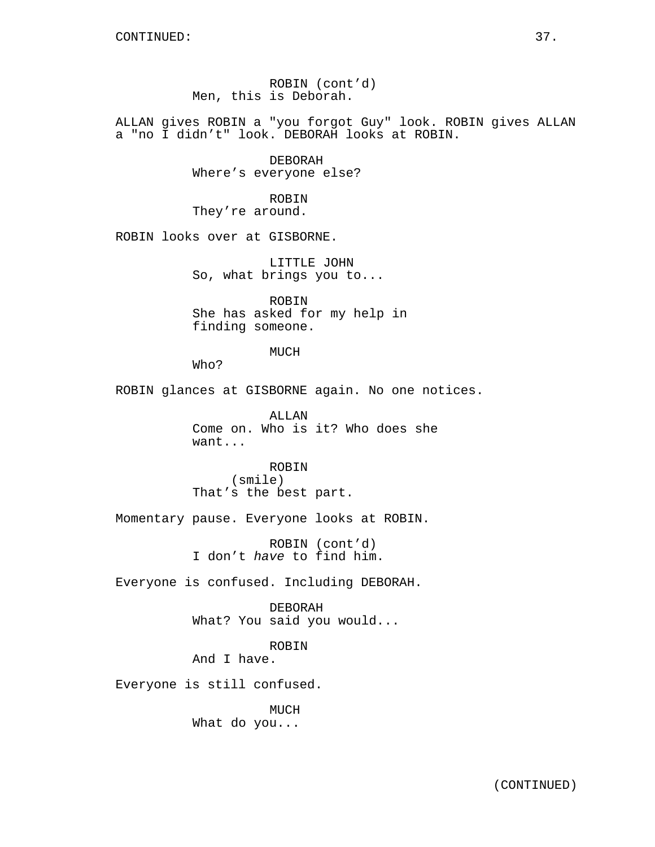ROBIN (cont'd) Men, this is Deborah.

ALLAN gives ROBIN a "you forgot Guy" look. ROBIN gives ALLAN a "no I didn't" look. DEBORAH looks at ROBIN.

> DEBORAH Where's everyone else?

ROBIN They're around.

ROBIN looks over at GISBORNE.

LITTLE JOHN So, what brings you to...

ROBIN She has asked for my help in finding someone.

#### MUCH

Who?

ROBIN glances at GISBORNE again. No one notices.

ALLAN Come on. Who is it? Who does she want...

ROBIN (smile) That's the best part.

Momentary pause. Everyone looks at ROBIN.

ROBIN (cont'd) I don't have to find him.

Everyone is confused. Including DEBORAH.

DEBORAH What? You said you would...

### ROBIN

And I have.

Everyone is still confused.

MUCH What do you...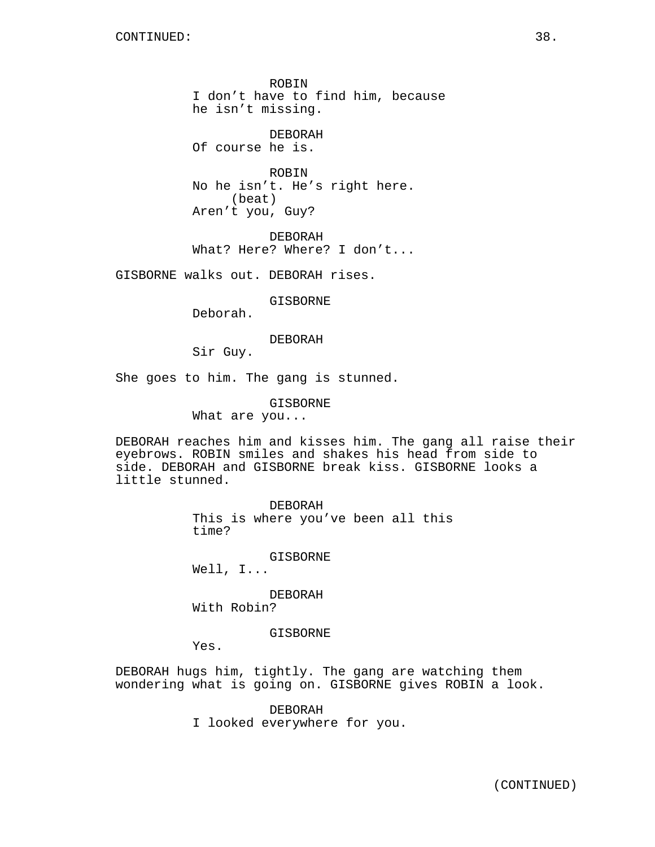ROBIN I don't have to find him, because he isn't missing.

DEBORAH Of course he is.

ROBIN No he isn't. He's right here. (beat) Aren't you, Guy?

DEBORAH What? Here? Where? I don't...

GISBORNE walks out. DEBORAH rises.

GISBORNE

Deborah.

### DEBORAH

Sir Guy.

She goes to him. The gang is stunned.

GISBORNE

What are you...

DEBORAH reaches him and kisses him. The gang all raise their eyebrows. ROBIN smiles and shakes his head from side to side. DEBORAH and GISBORNE break kiss. GISBORNE looks a little stunned.

> DEBORAH This is where you've been all this time?

> > GISBORNE

Well, I...

DEBORAH With Robin?

GISBORNE

Yes.

DEBORAH hugs him, tightly. The gang are watching them wondering what is going on. GISBORNE gives ROBIN a look.

> DEBORAH I looked everywhere for you.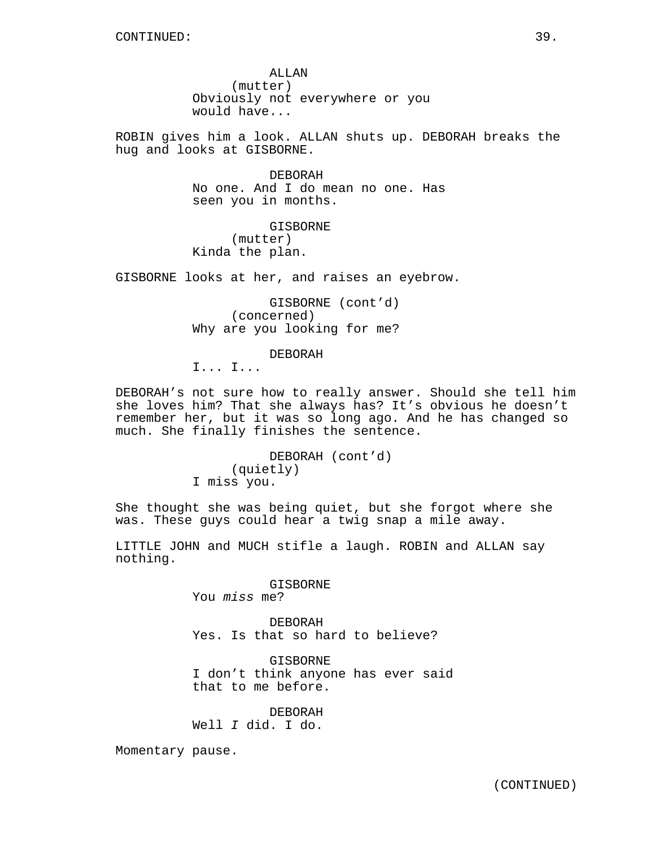ALLAN (mutter) Obviously not everywhere or you would have...

ROBIN gives him a look. ALLAN shuts up. DEBORAH breaks the hug and looks at GISBORNE.

> DEBORAH No one. And I do mean no one. Has seen you in months.

GISBORNE (mutter) Kinda the plan.

GISBORNE looks at her, and raises an eyebrow.

GISBORNE (cont'd) (concerned) Why are you looking for me?

DEBORAH

I... I...

DEBORAH's not sure how to really answer. Should she tell him she loves him? That she always has? It's obvious he doesn't remember her, but it was so long ago. And he has changed so much. She finally finishes the sentence.

> DEBORAH (cont'd) (quietly) I miss you.

She thought she was being quiet, but she forgot where she was. These guys could hear a twig snap a mile away.

LITTLE JOHN and MUCH stifle a laugh. ROBIN and ALLAN say nothing.

> GISBORNE You miss me?

DEBORAH Yes. Is that so hard to believe?

GISBORNE I don't think anyone has ever said that to me before.

DEBORAH Well I did. I do.

Momentary pause.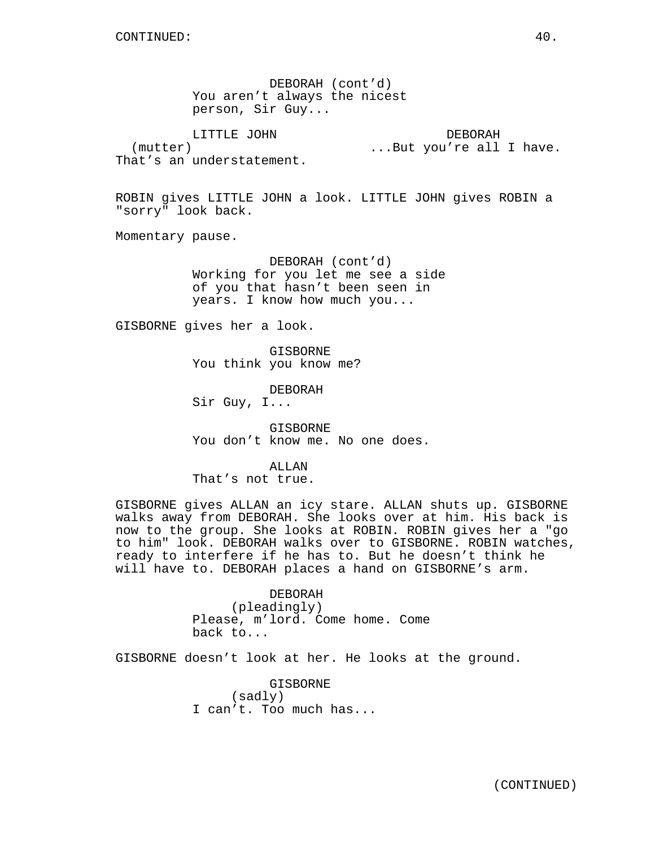DEBORAH (cont'd) You aren't always the nicest person, Sir Guy...

LITTLE JOHN (mutter) That's an understatement. DEBORAH ...But you're all I have.

ROBIN gives LITTLE JOHN a look. LITTLE JOHN gives ROBIN a "sorry" look back.

Momentary pause.

DEBORAH (cont'd) Working for you let me see a side of you that hasn't been seen in years. I know how much you...

GISBORNE gives her a look.

GISBORNE You think you know me?

DEBORAH Sir Guy, I...

GISBORNE You don't know me. No one does.

ALLAN That's not true.

GISBORNE gives ALLAN an icy stare. ALLAN shuts up. GISBORNE walks away from DEBORAH. She looks over at him. His back is now to the group. She looks at ROBIN. ROBIN gives her a "go to him" look. DEBORAH walks over to GISBORNE. ROBIN watches, ready to interfere if he has to. But he doesn't think he will have to. DEBORAH places a hand on GISBORNE's arm.

> DEBORAH (pleadingly) Please, m'lord. Come home. Come back to...

GISBORNE doesn't look at her. He looks at the ground.

GISBORNE (sadly) I can't. Too much has...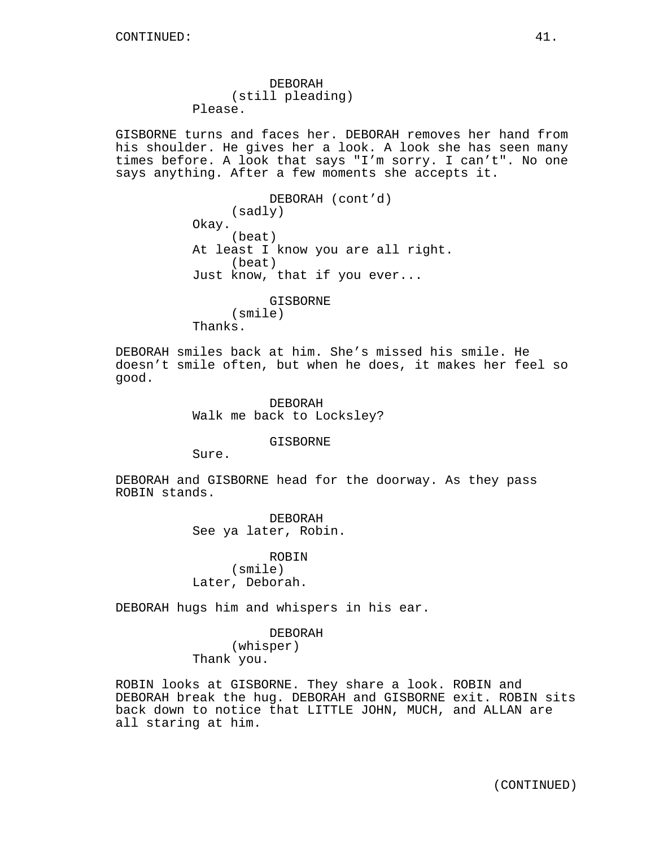DEBORAH (still pleading) Please.

GISBORNE turns and faces her. DEBORAH removes her hand from his shoulder. He gives her a look. A look she has seen many times before. A look that says "I'm sorry. I can't". No one says anything. After a few moments she accepts it.

> DEBORAH (cont'd) (sadly) Okay. (beat) At least I know you are all right. (beat) Just know, that if you ever...

GISBORNE (smile) Thanks.

DEBORAH smiles back at him. She's missed his smile. He doesn't smile often, but when he does, it makes her feel so good.

> DEBORAH Walk me back to Locksley?

> > GISBORNE

Sure.

DEBORAH and GISBORNE head for the doorway. As they pass ROBIN stands.

> DEBORAH See ya later, Robin.

ROBIN (smile) Later, Deborah.

DEBORAH hugs him and whispers in his ear.

DEBORAH (whisper) Thank you.

ROBIN looks at GISBORNE. They share a look. ROBIN and DEBORAH break the hug. DEBORAH and GISBORNE exit. ROBIN sits back down to notice that LITTLE JOHN, MUCH, and ALLAN are all staring at him.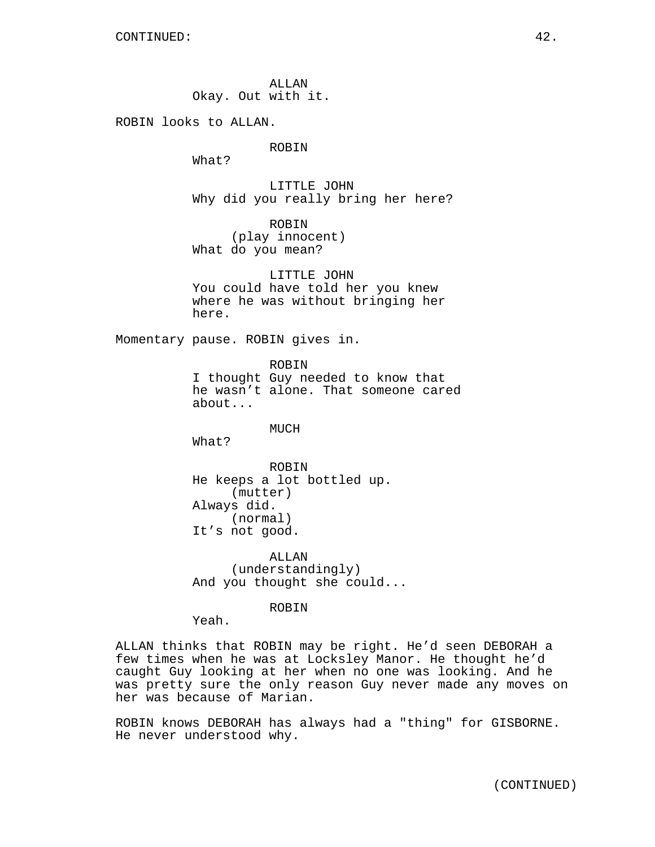ALLAN Okay. Out with it.

ROBIN looks to ALLAN.

ROBIN

What?

LITTLE JOHN Why did you really bring her here?

ROBIN (play innocent) What do you mean?

LITTLE JOHN You could have told her you knew where he was without bringing her here.

Momentary pause. ROBIN gives in.

ROBIN I thought Guy needed to know that he wasn't alone. That someone cared about...

MUCH

What?

ROBIN He keeps a lot bottled up. (mutter) Always did. (normal) It's not good.

ALLAN (understandingly) And you thought she could...

ROBIN

Yeah.

ALLAN thinks that ROBIN may be right. He'd seen DEBORAH a few times when he was at Locksley Manor. He thought he'd caught Guy looking at her when no one was looking. And he was pretty sure the only reason Guy never made any moves on her was because of Marian.

ROBIN knows DEBORAH has always had a "thing" for GISBORNE. He never understood why.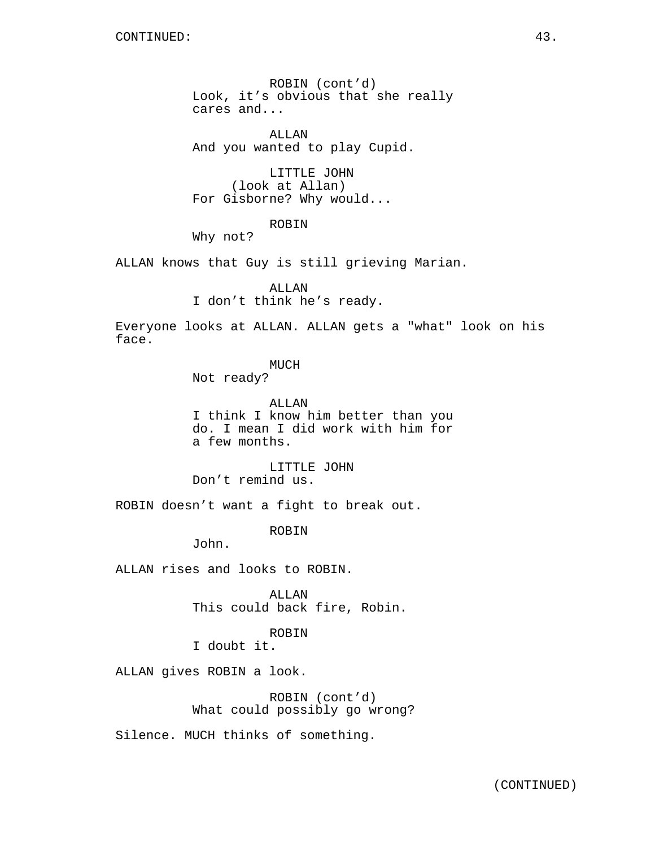ROBIN (cont'd) Look, it's obvious that she really cares and...

ALLAN And you wanted to play Cupid.

LITTLE JOHN (look at Allan) For Gisborne? Why would...

ROBIN

Why not?

ALLAN knows that Guy is still grieving Marian.

ALLAN I don't think he's ready.

Everyone looks at ALLAN. ALLAN gets a "what" look on his face.

MUCH

Not ready?

ALLAN I think I know him better than you do. I mean I did work with him for a few months.

LITTLE JOHN Don't remind us.

ROBIN doesn't want a fight to break out.

ROBIN

John.

ALLAN rises and looks to ROBIN.

ALLAN This could back fire, Robin.

ROBIN

I doubt it.

ALLAN gives ROBIN a look.

ROBIN (cont'd) What could possibly go wrong?

Silence. MUCH thinks of something.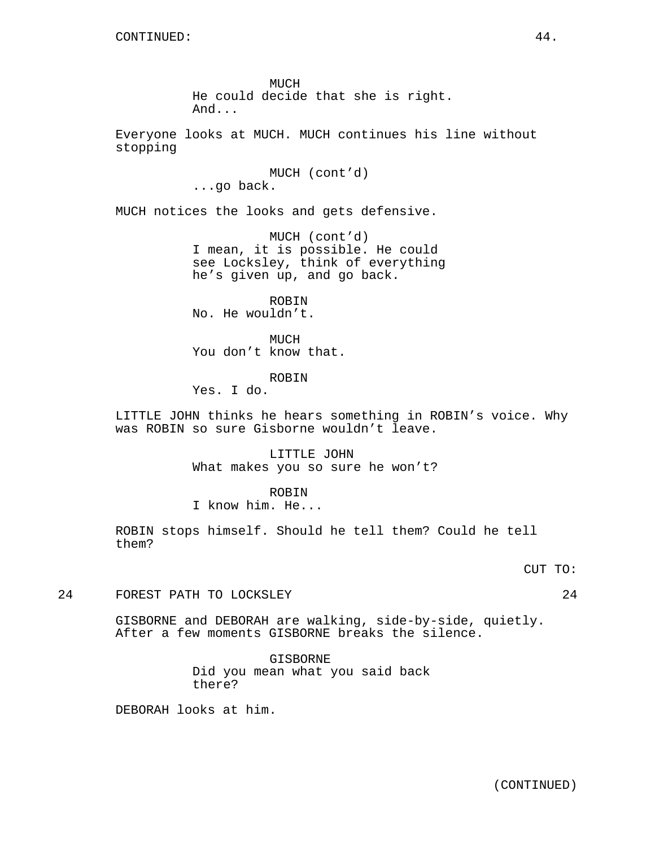MUCH He could decide that she is right. And...

Everyone looks at MUCH. MUCH continues his line without stopping

> MUCH (cont'd) ...go back.

MUCH notices the looks and gets defensive.

MUCH (cont'd) I mean, it is possible. He could see Locksley, think of everything he's given up, and go back.

ROBIN No. He wouldn't.

MUCH You don't know that.

ROBIN

Yes. I do.

LITTLE JOHN thinks he hears something in ROBIN's voice. Why was ROBIN so sure Gisborne wouldn't leave.

> LITTLE JOHN What makes you so sure he won't?

> > ROBIN

I know him. He...

ROBIN stops himself. Should he tell them? Could he tell them?

## CUT TO:

24 FOREST PATH TO LOCKSLEY 24

GISBORNE and DEBORAH are walking, side-by-side, quietly. After a few moments GISBORNE breaks the silence.

> GISBORNE Did you mean what you said back there?

DEBORAH looks at him.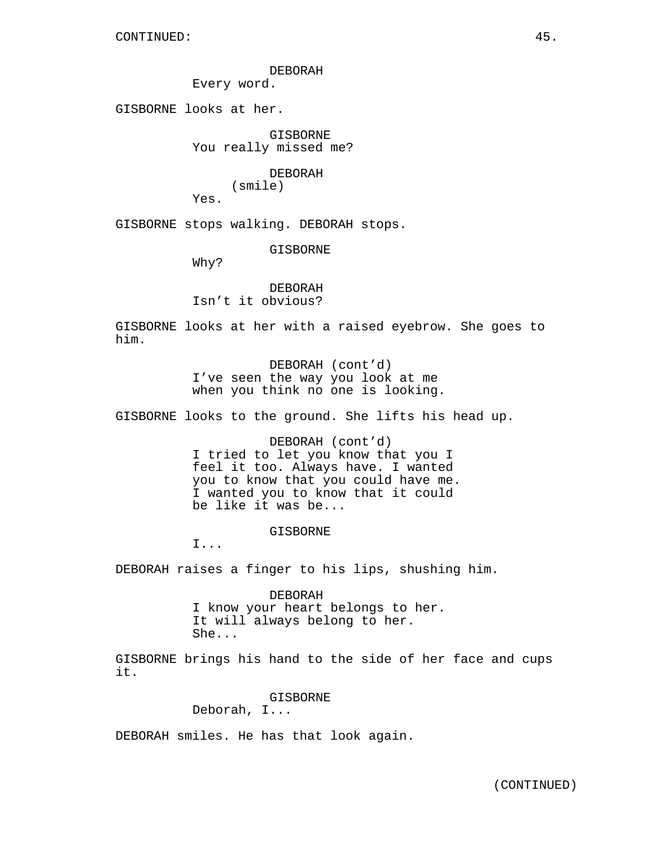DEBORAH

Every word.

GISBORNE looks at her.

GISBORNE You really missed me?

> DEBORAH (smile)

Yes.

GISBORNE stops walking. DEBORAH stops.

GISBORNE

Why?

DEBORAH Isn't it obvious?

GISBORNE looks at her with a raised eyebrow. She goes to him.

> DEBORAH (cont'd) I've seen the way you look at me when you think no one is looking.

GISBORNE looks to the ground. She lifts his head up.

DEBORAH (cont'd) I tried to let you know that you I feel it too. Always have. I wanted you to know that you could have me. I wanted you to know that it could be like it was be...

GISBORNE

I...

DEBORAH raises a finger to his lips, shushing him.

DEBORAH I know your heart belongs to her. It will always belong to her. She...

GISBORNE brings his hand to the side of her face and cups it.

> GISBORNE Deborah, I...

DEBORAH smiles. He has that look again.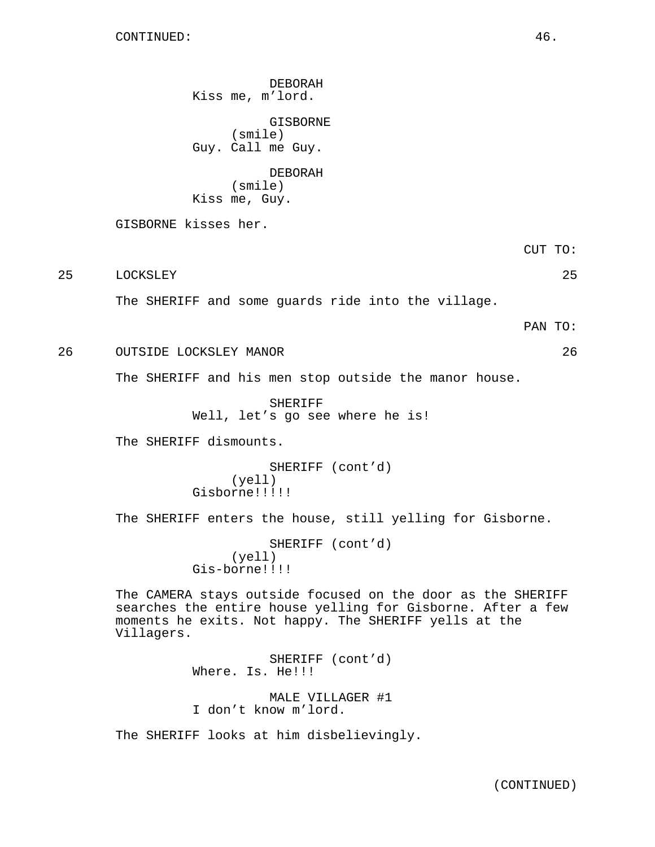DEBORAH Kiss me, m'lord.

GISBORNE (smile) Guy. Call me Guy.

DEBORAH (smile) Kiss me, Guy.

GISBORNE kisses her.

CUT TO:

25 LOCKSLEY 25

The SHERIFF and some guards ride into the village.

PAN TO:

26 OUTSIDE LOCKSLEY MANOR 26

The SHERIFF and his men stop outside the manor house.

SHERIFF Well, let's go see where he is!

The SHERIFF dismounts.

SHERIFF (cont'd) (yell) Gisborne!!!!!

The SHERIFF enters the house, still yelling for Gisborne.

SHERIFF (cont'd) (yell) Gis-borne!!!!

The CAMERA stays outside focused on the door as the SHERIFF searches the entire house yelling for Gisborne. After a few moments he exits. Not happy. The SHERIFF yells at the Villagers.

SHERIFF (cont'd) Where. Is. He!!! MALE VILLAGER #1 I don't know m'lord.

The SHERIFF looks at him disbelievingly.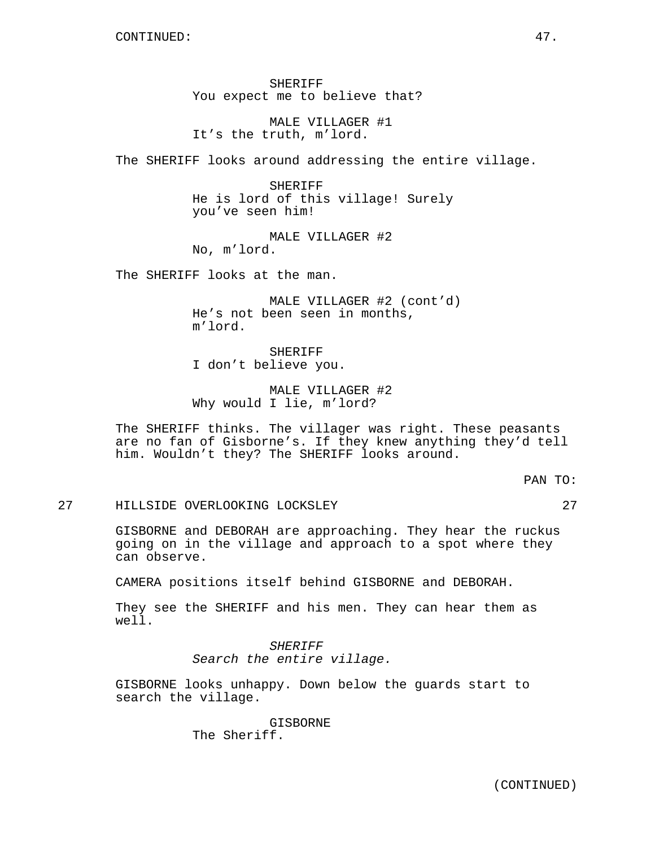SHERIFF You expect me to believe that?

MALE VILLAGER #1 It's the truth, m'lord.

The SHERIFF looks around addressing the entire village.

SHERIFF He is lord of this village! Surely you've seen him!

MALE VILLAGER #2 No, m'lord.

The SHERIFF looks at the man.

MALE VILLAGER #2 (cont'd) He's not been seen in months, m'lord.

SHERIFF I don't believe you.

MALE VILLAGER #2 Why would I lie, m'lord?

The SHERIFF thinks. The villager was right. These peasants are no fan of Gisborne's. If they knew anything they'd tell him. Wouldn't they? The SHERIFF looks around.

PAN TO:

27 HILLSIDE OVERLOOKING LOCKSLEY 27

GISBORNE and DEBORAH are approaching. They hear the ruckus going on in the village and approach to a spot where they can observe.

CAMERA positions itself behind GISBORNE and DEBORAH.

They see the SHERIFF and his men. They can hear them as well.

> SHERIFF Search the entire village.

GISBORNE looks unhappy. Down below the guards start to search the village.

> GISBORNE The Sheriff.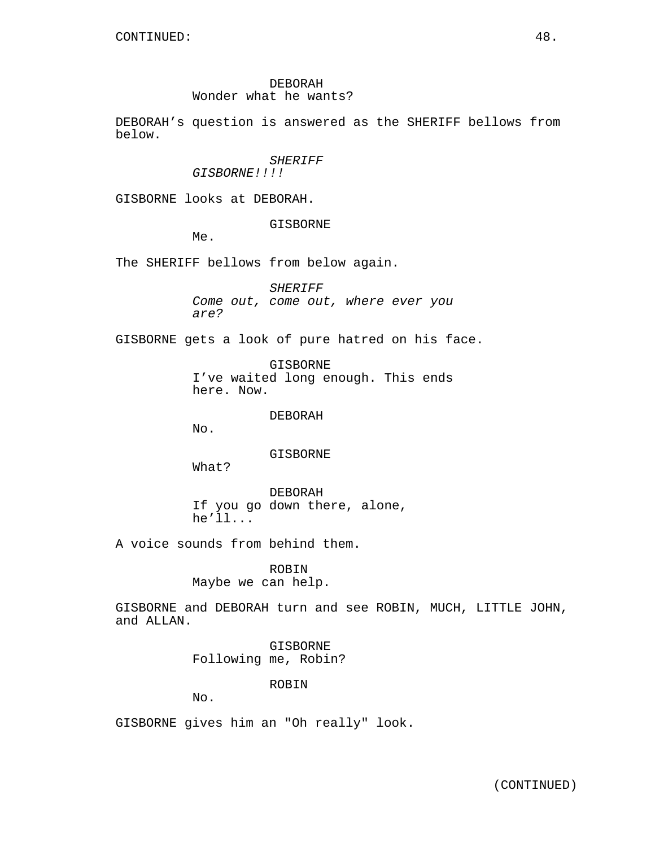## DEBORAH

# Wonder what he wants?

DEBORAH's question is answered as the SHERIFF bellows from below.

#### SHERIFF

GISBORNE!!!!

GISBORNE looks at DEBORAH.

#### GISBORNE

Me.

The SHERIFF bellows from below again.

SHERIFF Come out, come out, where ever you are?

GISBORNE gets a look of pure hatred on his face.

GISBORNE I've waited long enough. This ends here. Now.

DEBORAH

No.

#### GISBORNE

What?

DEBORAH If you go down there, alone, he'll...

A voice sounds from behind them.

ROBIN Maybe we can help.

GISBORNE and DEBORAH turn and see ROBIN, MUCH, LITTLE JOHN, and ALLAN.

> GISBORNE Following me, Robin?

## ROBIN

No.

GISBORNE gives him an "Oh really" look.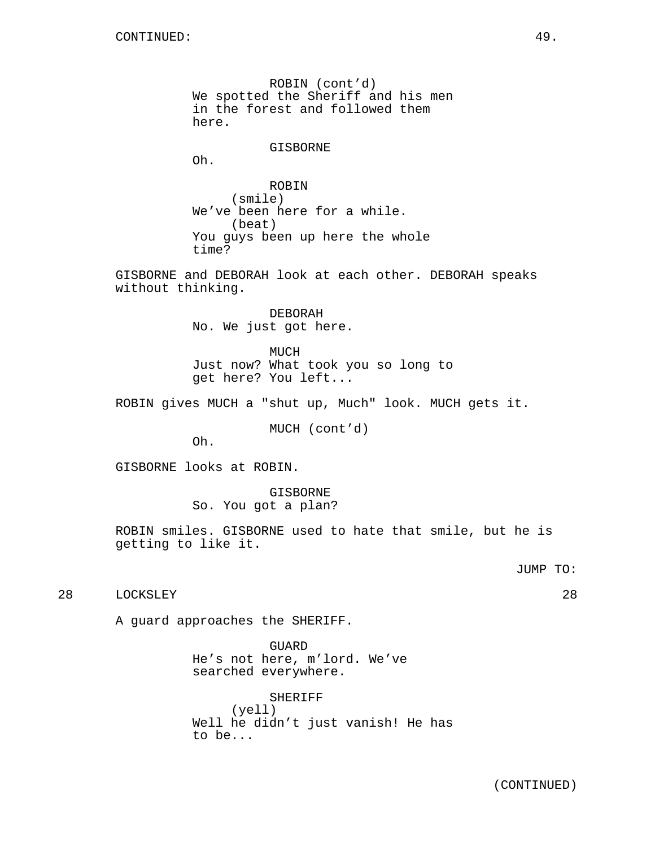ROBIN (cont'd) We spotted the Sheriff and his men in the forest and followed them here.

GISBORNE

Oh.

ROBIN (smile) We've been here for a while. (beat) You guys been up here the whole time?

GISBORNE and DEBORAH look at each other. DEBORAH speaks without thinking.

> DEBORAH No. We just got here.

MUCH Just now? What took you so long to get here? You left...

ROBIN gives MUCH a "shut up, Much" look. MUCH gets it.

MUCH (cont'd)

Oh.

GISBORNE looks at ROBIN.

GISBORNE So. You got a plan?

ROBIN smiles. GISBORNE used to hate that smile, but he is getting to like it.

JUMP TO:

28 LOCKSLEY 28

A guard approaches the SHERIFF.

GUARD He's not here, m'lord. We've searched everywhere.

SHERIFF (yell) Well he didn't just vanish! He has to be...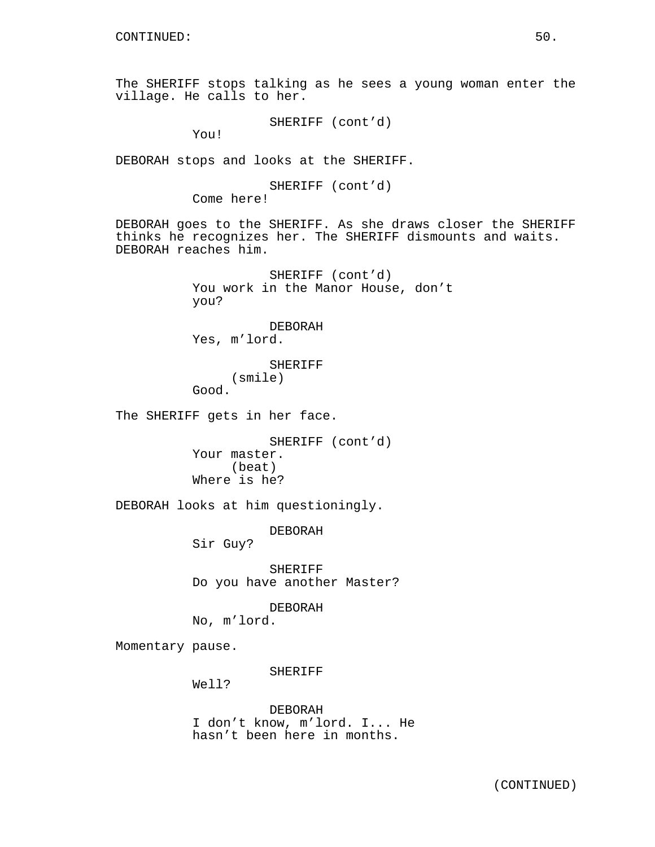The SHERIFF stops talking as he sees a young woman enter the village. He calls to her.

SHERIFF (cont'd)

You!

DEBORAH stops and looks at the SHERIFF.

SHERIFF (cont'd) Come here!

DEBORAH goes to the SHERIFF. As she draws closer the SHERIFF thinks he recognizes her. The SHERIFF dismounts and waits. DEBORAH reaches him.

> SHERIFF (cont'd) You work in the Manor House, don't you?

DEBORAH Yes, m'lord.

SHERIFF (smile) Good.

The SHERIFF gets in her face.

SHERIFF (cont'd) Your master. (beat) Where is he?

DEBORAH looks at him questioningly.

DEBORAH

Sir Guy?

SHERIFF Do you have another Master?

DEBORAH No, m'lord.

Momentary pause.

SHERIFF

Well?

DEBORAH I don't know, m'lord. I... He hasn't been here in months.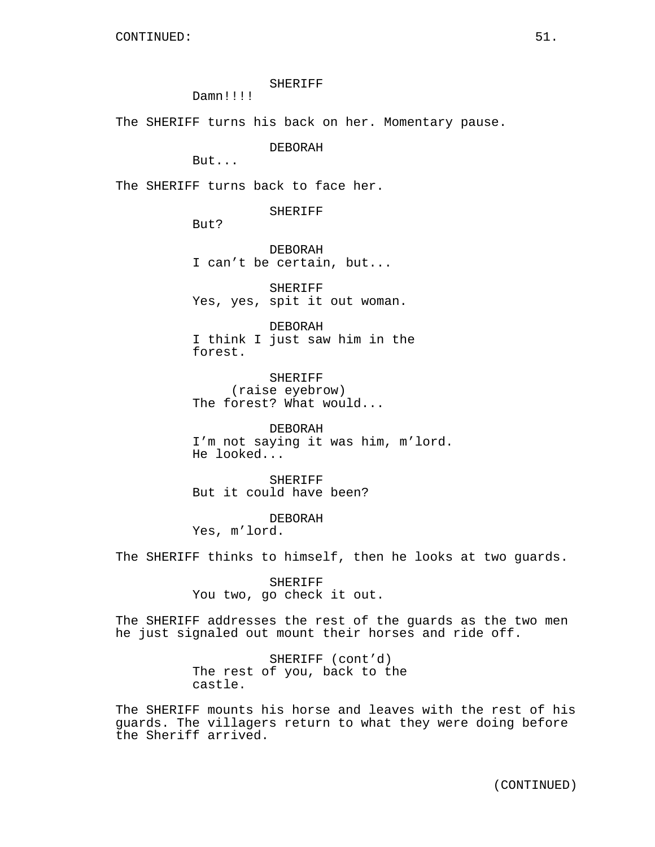### SHERIFF

Damn!!!!

The SHERIFF turns his back on her. Momentary pause.

DEBORAH

But...

The SHERIFF turns back to face her.

SHERIFF

But?

DEBORAH I can't be certain, but...

SHERIFF Yes, yes, spit it out woman.

DEBORAH I think I just saw him in the forest.

SHERIFF (raise eyebrow) The forest? What would...

DEBORAH I'm not saying it was him, m'lord. He looked...

SHERIFF But it could have been?

DEBORAH Yes, m'lord.

The SHERIFF thinks to himself, then he looks at two guards.

SHERIFF You two, go check it out.

The SHERIFF addresses the rest of the guards as the two men he just signaled out mount their horses and ride off.

> SHERIFF (cont'd) The rest of you, back to the castle.

The SHERIFF mounts his horse and leaves with the rest of his guards. The villagers return to what they were doing before the Sheriff arrived.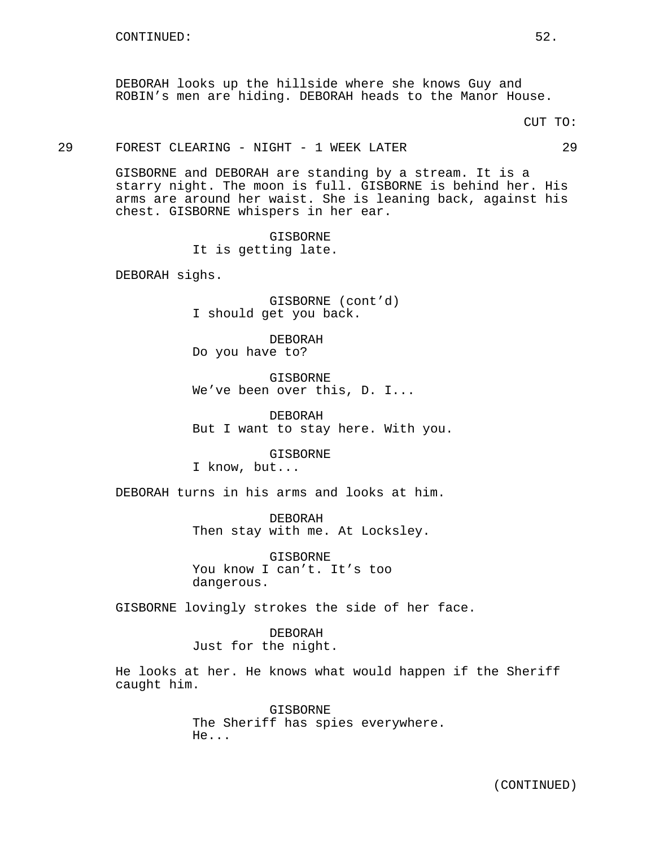DEBORAH looks up the hillside where she knows Guy and ROBIN's men are hiding. DEBORAH heads to the Manor House.

CUT TO:

### 29 FOREST CLEARING - NIGHT - 1 WEEK LATER 29

GISBORNE and DEBORAH are standing by a stream. It is a starry night. The moon is full. GISBORNE is behind her. His arms are around her waist. She is leaning back, against his chest. GISBORNE whispers in her ear.

> GISBORNE It is getting late.

DEBORAH sighs.

GISBORNE (cont'd) I should get you back.

DEBORAH Do you have to?

GISBORNE We've been over this, D. I...

DEBORAH But I want to stay here. With you.

GISBORNE I know, but...

DEBORAH turns in his arms and looks at him.

DEBORAH Then stay with me. At Locksley.

**GISBORNE** You know I can't. It's too dangerous.

GISBORNE lovingly strokes the side of her face.

DEBORAH Just for the night.

He looks at her. He knows what would happen if the Sheriff caught him.

> GISBORNE The Sheriff has spies everywhere. He...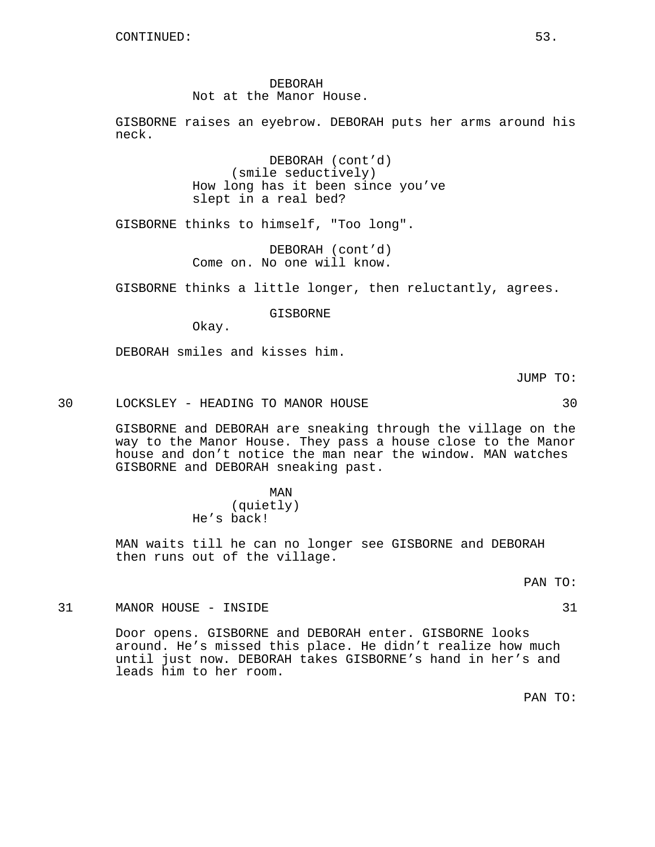### DEBORAH Not at the Manor House.

GISBORNE raises an eyebrow. DEBORAH puts her arms around his neck.

> DEBORAH (cont'd) (smile seductively) How long has it been since you've slept in a real bed?

GISBORNE thinks to himself, "Too long".

DEBORAH (cont'd) Come on. No one will know.

GISBORNE thinks a little longer, then reluctantly, agrees.

GISBORNE

Okay.

DEBORAH smiles and kisses him.

JUMP TO:

30 LOCKSLEY - HEADING TO MANOR HOUSE 30

GISBORNE and DEBORAH are sneaking through the village on the way to the Manor House. They pass a house close to the Manor house and don't notice the man near the window. MAN watches GISBORNE and DEBORAH sneaking past.

> MAN (quietly) He's back!

MAN waits till he can no longer see GISBORNE and DEBORAH then runs out of the village.

PAN TO:

31 MANOR HOUSE - INSIDE 31

Door opens. GISBORNE and DEBORAH enter. GISBORNE looks around. He's missed this place. He didn't realize how much until just now. DEBORAH takes GISBORNE's hand in her's and leads him to her room.

PAN TO: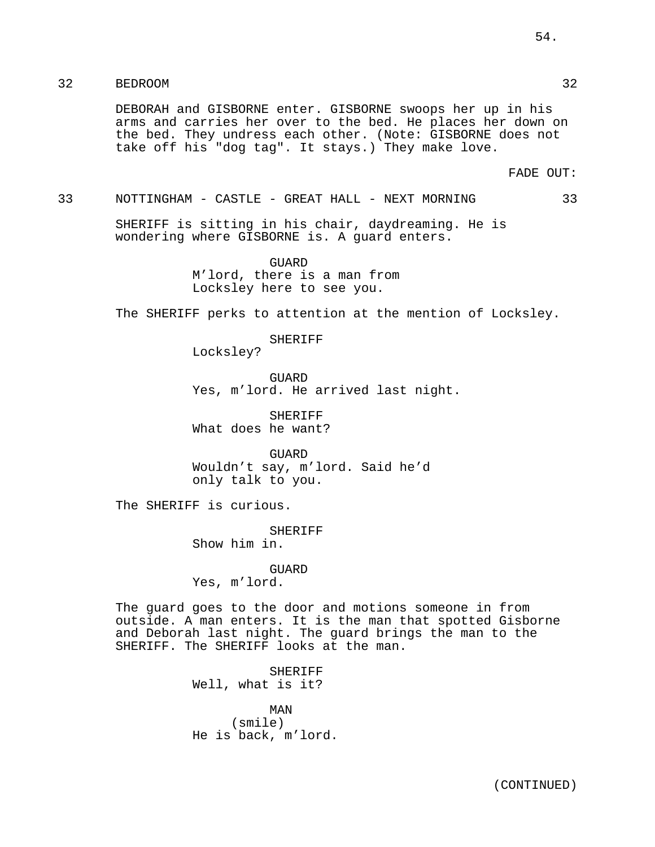# 32 BEDROOM 32

DEBORAH and GISBORNE enter. GISBORNE swoops her up in his arms and carries her over to the bed. He places her down on the bed. They undress each other. (Note: GISBORNE does not take off his "dog tag". It stays.) They make love.

FADE OUT:

#### 33 NOTTINGHAM - CASTLE - GREAT HALL - NEXT MORNING 33

SHERIFF is sitting in his chair, daydreaming. He is wondering where GISBORNE is. A guard enters.

> GUARD M'lord, there is a man from Locksley here to see you.

The SHERIFF perks to attention at the mention of Locksley.

SHERIFF

Locksley?

GUARD Yes, m'lord. He arrived last night.

SHERIFF What does he want?

GUARD Wouldn't say, m'lord. Said he'd only talk to you.

The SHERIFF is curious.

SHERIFF Show him in.

GUARD Yes, m'lord.

The guard goes to the door and motions someone in from outside. A man enters. It is the man that spotted Gisborne and Deborah last night. The guard brings the man to the SHERIFF. The SHERIFF looks at the man.

> SHERIFF Well, what is it?

MAN (smile) He is back, m'lord.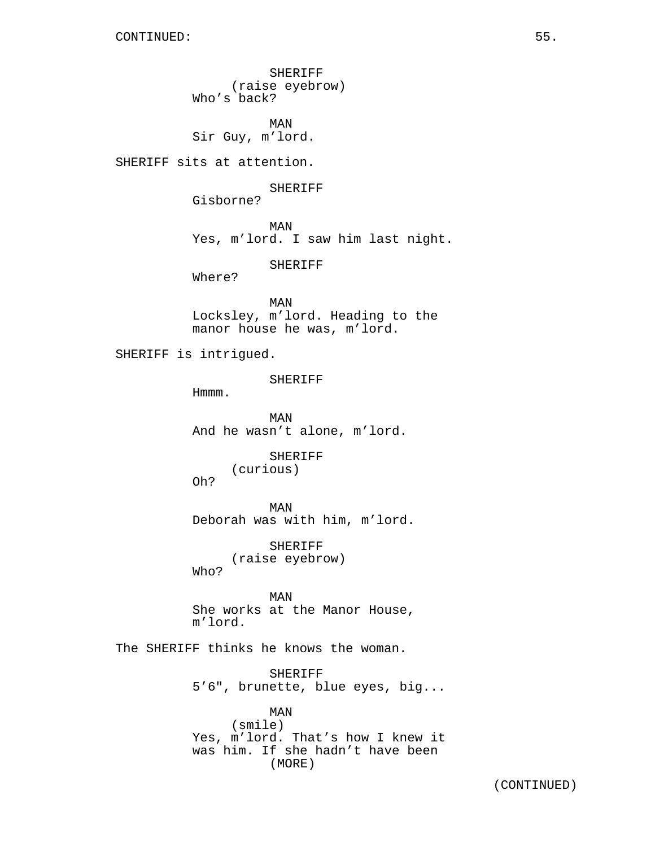SHERIFF (raise eyebrow) Who's back?

MAN Sir Guy, m'lord.

SHERIFF sits at attention.

SHERIFF

Gisborne?

MAN

Yes, m'lord. I saw him last night.

SHERIFF

Where?

MAN Locksley, m'lord. Heading to the manor house he was, m'lord.

SHERIFF is intrigued.

SHERIFF

Hmmm.

MAN And he wasn't alone, m'lord.

> SHERIFF (curious)

Oh?

MAN Deborah was with him, m'lord.

SHERIFF (raise eyebrow) Who?

MAN She works at the Manor House, m'lord.

The SHERIFF thinks he knows the woman.

SHERIFF 5'6", brunette, blue eyes, big...

MAN (smile) Yes, m'lord. That's how I knew it was him. If she hadn't have been (MORE)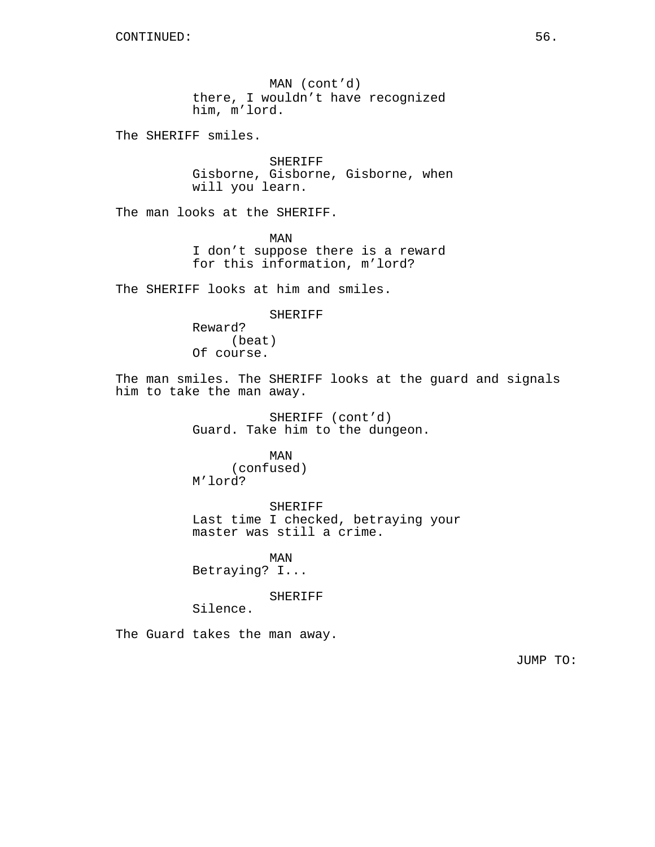MAN (cont'd) there, I wouldn't have recognized him, m'lord.

The SHERIFF smiles.

SHERIFF Gisborne, Gisborne, Gisborne, when will you learn.

The man looks at the SHERIFF.

MAN I don't suppose there is a reward for this information, m'lord?

The SHERIFF looks at him and smiles.

SHERIFF Reward? (beat) Of course.

The man smiles. The SHERIFF looks at the guard and signals him to take the man away.

> SHERIFF (cont'd) Guard. Take him to the dungeon.

MAN (confused) M'lord?

SHERIFF Last time I checked, betraying your master was still a crime.

MAN Betraying? I...

SHERIFF

Silence.

The Guard takes the man away.

JUMP TO: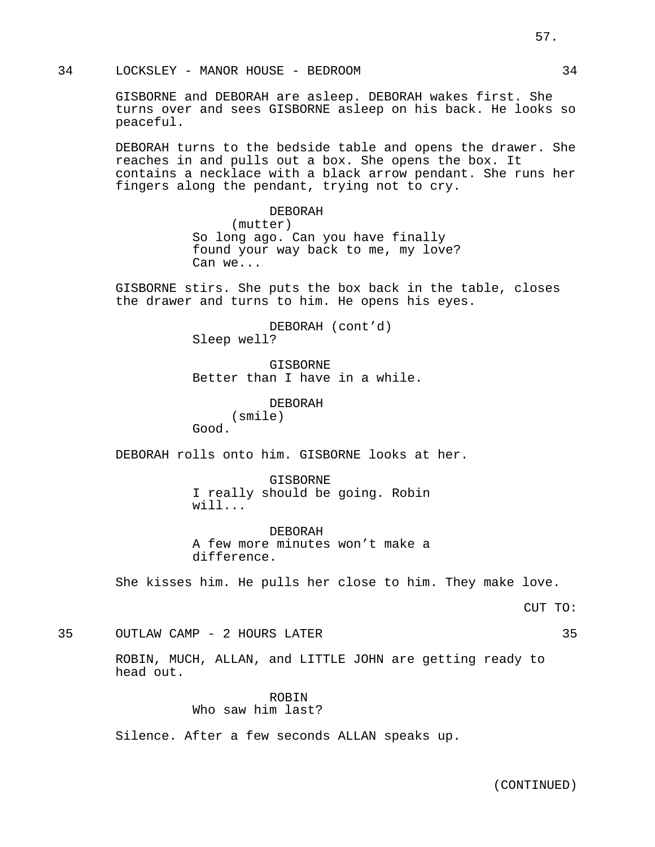34 LOCKSLEY - MANOR HOUSE - BEDROOM 34

GISBORNE and DEBORAH are asleep. DEBORAH wakes first. She turns over and sees GISBORNE asleep on his back. He looks so peaceful.

DEBORAH turns to the bedside table and opens the drawer. She reaches in and pulls out a box. She opens the box. It contains a necklace with a black arrow pendant. She runs her fingers along the pendant, trying not to cry.

> DEBORAH (mutter) So long ago. Can you have finally found your way back to me, my love? Can we...

GISBORNE stirs. She puts the box back in the table, closes the drawer and turns to him. He opens his eyes.

> DEBORAH (cont'd) Sleep well?

GISBORNE Better than I have in a while.

DEBORAH

(smile)

Good.

DEBORAH rolls onto him. GISBORNE looks at her.

GISBORNE I really should be going. Robin will...

DEBORAH A few more minutes won't make a difference.

She kisses him. He pulls her close to him. They make love.

CUT TO:

35 OUTLAW CAMP - 2 HOURS LATER 35

ROBIN, MUCH, ALLAN, and LITTLE JOHN are getting ready to head out.

> ROBIN Who saw him last?

Silence. After a few seconds ALLAN speaks up.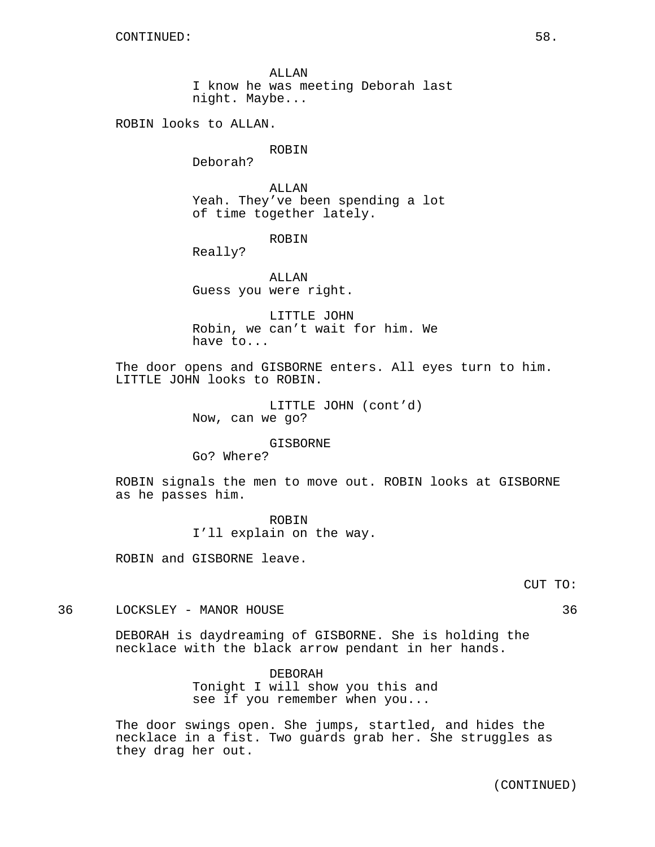ALLAN I know he was meeting Deborah last night. Maybe...

ROBIN looks to ALLAN.

### ROBIN

Deborah?

ALLAN Yeah. They've been spending a lot of time together lately.

ROBIN

Really?

ALLAN Guess you were right.

LITTLE JOHN Robin, we can't wait for him. We have to...

The door opens and GISBORNE enters. All eyes turn to him. LITTLE JOHN looks to ROBIN.

> LITTLE JOHN (cont'd) Now, can we go?

> > GISBORNE

Go? Where?

ROBIN signals the men to move out. ROBIN looks at GISBORNE as he passes him.

> ROBIN I'll explain on the way.

ROBIN and GISBORNE leave.

36 LOCKSLEY - MANOR HOUSE 36

DEBORAH is daydreaming of GISBORNE. She is holding the necklace with the black arrow pendant in her hands.

> DEBORAH Tonight I will show you this and see if you remember when you...

The door swings open. She jumps, startled, and hides the necklace in a fist. Two guards grab her. She struggles as they drag her out.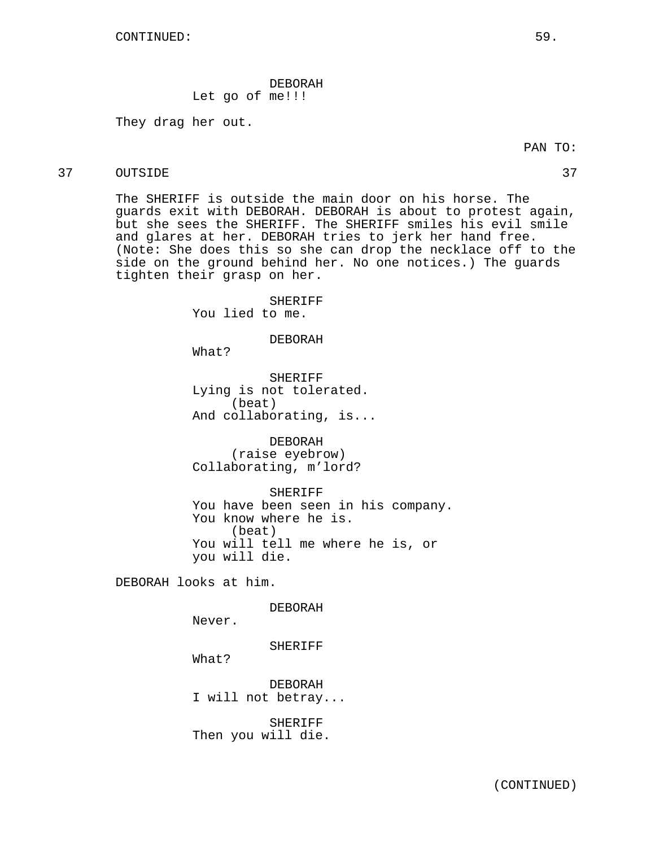## DEBORAH Let go of me!!!

They drag her out.

# 37 OUTSIDE 37

The SHERIFF is outside the main door on his horse. The guards exit with DEBORAH. DEBORAH is about to protest again, but she sees the SHERIFF. The SHERIFF smiles his evil smile and glares at her. DEBORAH tries to jerk her hand free. (Note: She does this so she can drop the necklace off to the side on the ground behind her. No one notices.) The guards tighten their grasp on her.

> SHERIFF You lied to me.

## DEBORAH

What?

SHERIFF Lying is not tolerated. (beat) And collaborating, is...

DEBORAH (raise eyebrow) Collaborating, m'lord?

SHERIFF You have been seen in his company. You know where he is. (beat) You will tell me where he is, or you will die.

DEBORAH looks at him.

DEBORAH

Never.

SHERIFF

What?

DEBORAH I will not betray...

SHERIFF Then you will die.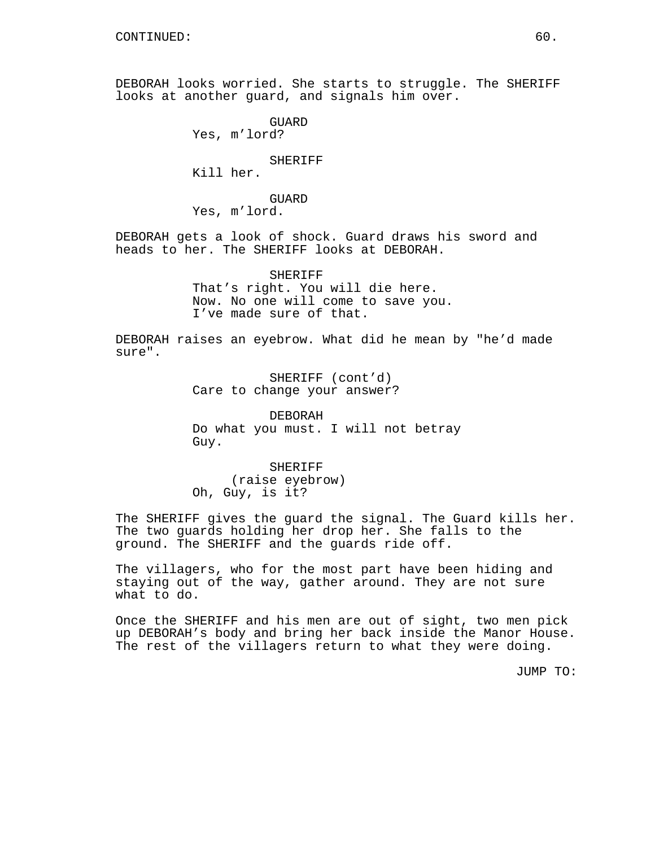DEBORAH looks worried. She starts to struggle. The SHERIFF looks at another guard, and signals him over.

GUARD Yes, m'lord? SHERIFF Kill her. GUARD Yes, m'lord. DEBORAH gets a look of shock. Guard draws his sword and heads to her. The SHERIFF looks at DEBORAH. SHERIFF That's right. You will die here. Now. No one will come to save you. I've made sure of that.

DEBORAH raises an eyebrow. What did he mean by "he'd made sure".

> SHERIFF (cont'd) Care to change your answer?

DEBORAH Do what you must. I will not betray Guy.

SHERIFF (raise eyebrow) Oh, Guy, is it?

The SHERIFF gives the guard the signal. The Guard kills her. The two guards holding her drop her. She falls to the ground. The SHERIFF and the guards ride off.

The villagers, who for the most part have been hiding and staying out of the way, gather around. They are not sure what to do.

Once the SHERIFF and his men are out of sight, two men pick up DEBORAH's body and bring her back inside the Manor House. The rest of the villagers return to what they were doing.

JUMP TO: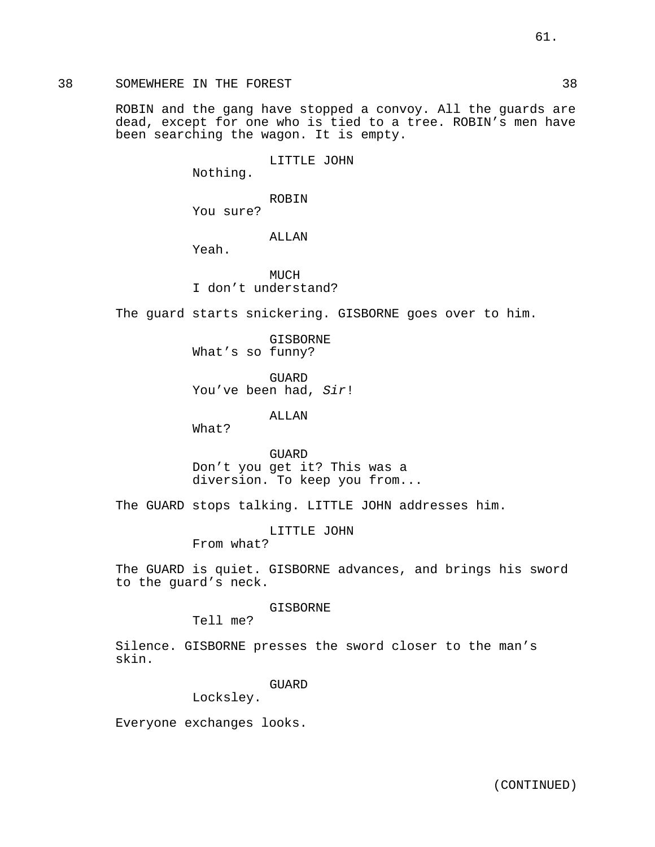ROBIN and the gang have stopped a convoy. All the guards are dead, except for one who is tied to a tree. ROBIN's men have been searching the wagon. It is empty.

LITTLE JOHN

Nothing.

ROBIN

You sure?

ALLAN

Yeah.

**MUCH** I don't understand?

The guard starts snickering. GISBORNE goes over to him.

GISBORNE What's so funny?

GUARD You've been had, Sir!

ALLAN

What?

GUARD Don't you get it? This was a diversion. To keep you from...

The GUARD stops talking. LITTLE JOHN addresses him.

LITTLE JOHN

From what?

The GUARD is quiet. GISBORNE advances, and brings his sword to the guard's neck.

GISBORNE

Tell me?

Silence. GISBORNE presses the sword closer to the man's skin.

GUARD

Locksley.

Everyone exchanges looks.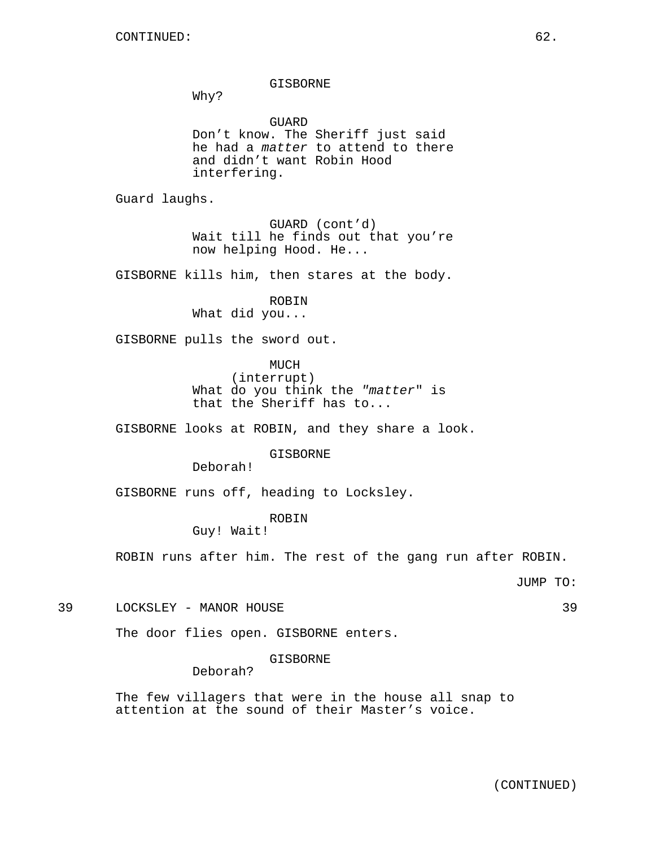GISBORNE

Why?

GUARD Don't know. The Sheriff just said he had a matter to attend to there and didn't want Robin Hood interfering.

Guard laughs.

GUARD (cont'd) Wait till he finds out that you're now helping Hood. He...

GISBORNE kills him, then stares at the body.

ROBIN What did you...

GISBORNE pulls the sword out.

MUCH (interrupt) What do you think the "matter" is that the Sheriff has to...

GISBORNE looks at ROBIN, and they share a look.

GISBORNE

Deborah!

GISBORNE runs off, heading to Locksley.

ROBIN

Guy! Wait!

ROBIN runs after him. The rest of the gang run after ROBIN.

JUMP TO:

39 LOCKSLEY - MANOR HOUSE 39

The door flies open. GISBORNE enters.

GISBORNE

Deborah?

The few villagers that were in the house all snap to attention at the sound of their Master's voice.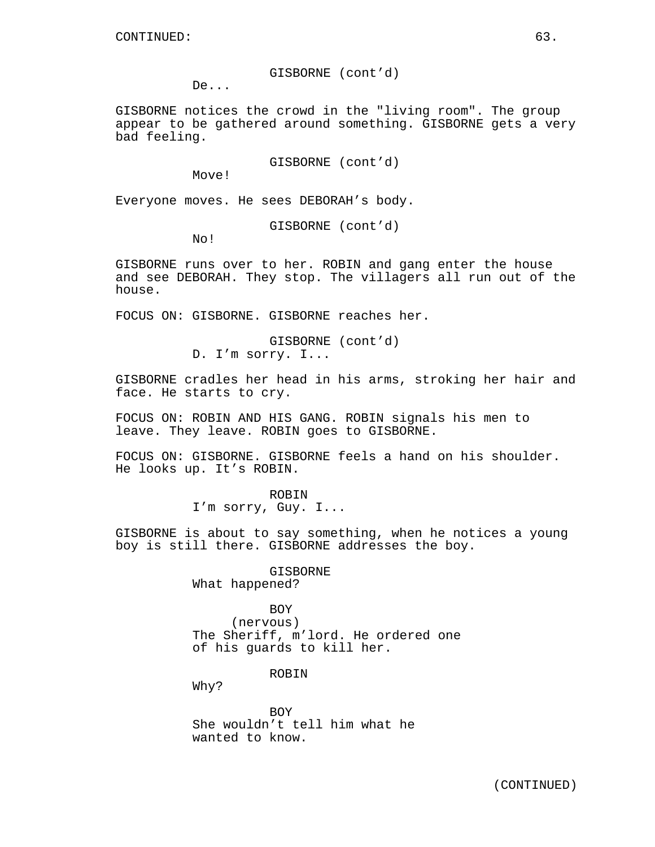GISBORNE (cont'd)

De...

GISBORNE notices the crowd in the "living room". The group appear to be gathered around something. GISBORNE gets a very bad feeling.

GISBORNE (cont'd)

Move!

Everyone moves. He sees DEBORAH's body.

GISBORNE (cont'd)

No!

GISBORNE runs over to her. ROBIN and gang enter the house and see DEBORAH. They stop. The villagers all run out of the house.

FOCUS ON: GISBORNE. GISBORNE reaches her.

GISBORNE (cont'd) D. I'm sorry. I...

GISBORNE cradles her head in his arms, stroking her hair and face. He starts to cry.

FOCUS ON: ROBIN AND HIS GANG. ROBIN signals his men to leave. They leave. ROBIN goes to GISBORNE.

FOCUS ON: GISBORNE. GISBORNE feels a hand on his shoulder. He looks up. It's ROBIN.

> ROBIN I'm sorry, Guy. I...

GISBORNE is about to say something, when he notices a young boy is still there. GISBORNE addresses the boy.

> GISBORNE What happened?

BOY (nervous) The Sheriff, m'lord. He ordered one of his guards to kill her.

ROBIN

Why?

**BOY** She wouldn't tell him what he wanted to know.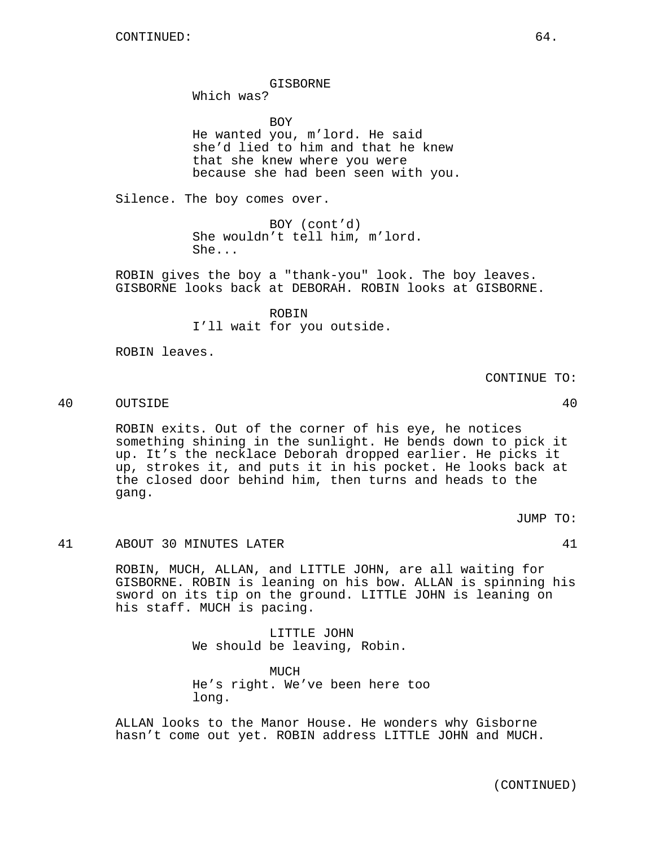GISBORNE

Which was?

**BOY** He wanted you, m'lord. He said she'd lied to him and that he knew that she knew where you were because she had been seen with you.

Silence. The boy comes over.

BOY (cont'd) She wouldn't tell him, m'lord. She...

ROBIN gives the boy a "thank-you" look. The boy leaves. GISBORNE looks back at DEBORAH. ROBIN looks at GISBORNE.

> ROBIN I'll wait for you outside.

ROBIN leaves.

CONTINUE TO:

40 OUTSIDE 40

ROBIN exits. Out of the corner of his eye, he notices something shining in the sunlight. He bends down to pick it up. It's the necklace Deborah dropped earlier. He picks it up, strokes it, and puts it in his pocket. He looks back at the closed door behind him, then turns and heads to the gang.

JUMP TO:

41 ABOUT 30 MINUTES LATER 41

ROBIN, MUCH, ALLAN, and LITTLE JOHN, are all waiting for GISBORNE. ROBIN is leaning on his bow. ALLAN is spinning his sword on its tip on the ground. LITTLE JOHN is leaning on his staff. MUCH is pacing.

> LITTLE JOHN We should be leaving, Robin.

MUCH He's right. We've been here too long.

ALLAN looks to the Manor House. He wonders why Gisborne hasn't come out yet. ROBIN address LITTLE JOHN and MUCH.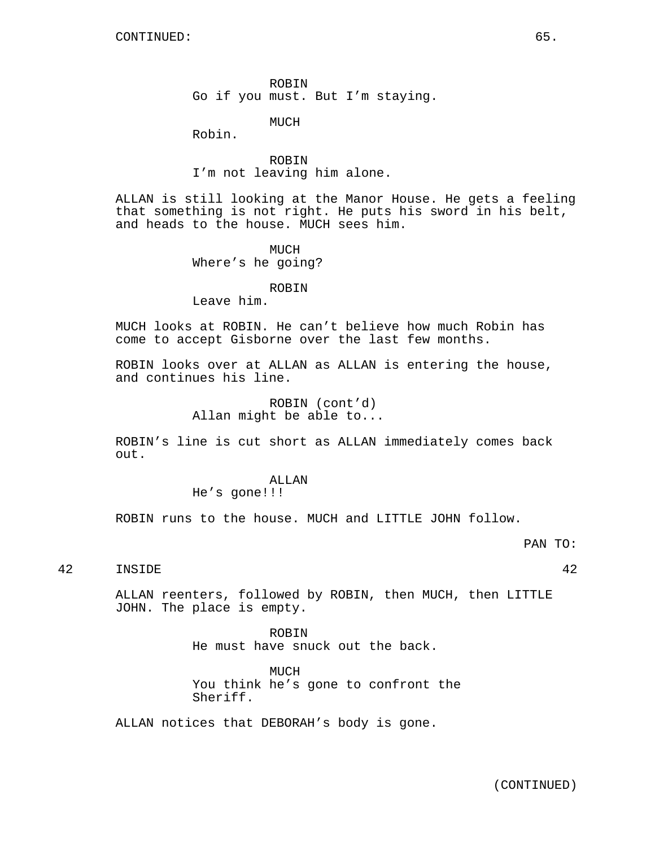ROBIN Go if you must. But I'm staying.

MUCH

Robin.

ROBIN I'm not leaving him alone.

ALLAN is still looking at the Manor House. He gets a feeling that something is not right. He puts his sword in his belt, and heads to the house. MUCH sees him.

> MUCH Where's he going?

### ROBIN

Leave him.

MUCH looks at ROBIN. He can't believe how much Robin has come to accept Gisborne over the last few months.

ROBIN looks over at ALLAN as ALLAN is entering the house, and continues his line.

> ROBIN (cont'd) Allan might be able to...

ROBIN's line is cut short as ALLAN immediately comes back out.

### ALLAN

He's gone!!!

ROBIN runs to the house. MUCH and LITTLE JOHN follow.

# 42 INSIDE 42

ALLAN reenters, followed by ROBIN, then MUCH, then LITTLE JOHN. The place is empty.

> ROBIN He must have snuck out the back.

MUCH You think he's gone to confront the Sheriff.

ALLAN notices that DEBORAH's body is gone.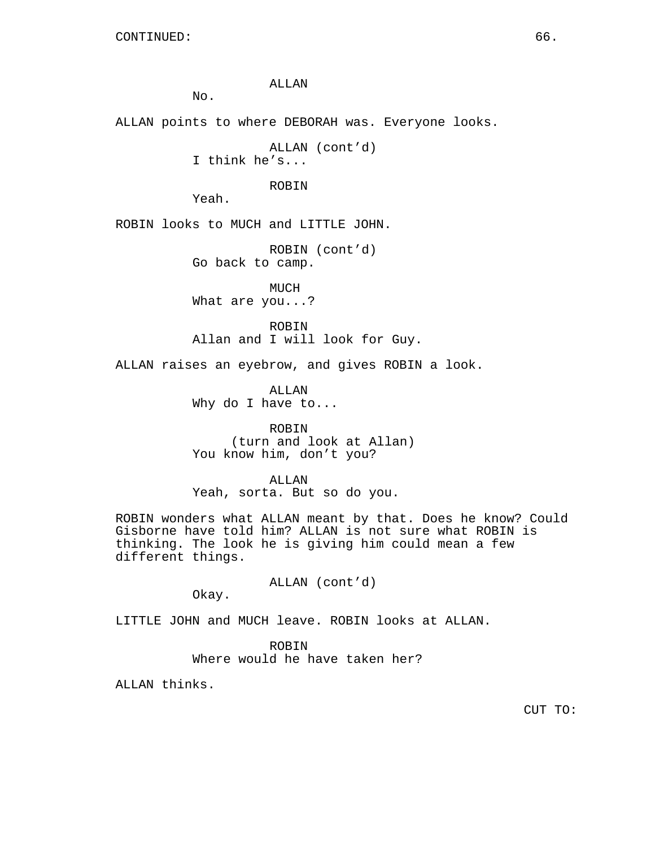ALLAN

 $N<sub>O</sub>$ .

ALLAN points to where DEBORAH was. Everyone looks.

ALLAN (cont'd) I think he's...

ROBIN

Yeah.

ROBIN looks to MUCH and LITTLE JOHN.

ROBIN (cont'd) Go back to camp.

MUCH What are you...?

ROBIN Allan and I will look for Guy.

ALLAN raises an eyebrow, and gives ROBIN a look.

ALLAN Why do I have to...

ROBIN (turn and look at Allan) You know him, don't you?

ALLAN Yeah, sorta. But so do you.

ROBIN wonders what ALLAN meant by that. Does he know? Could Gisborne have told him? ALLAN is not sure what ROBIN is thinking. The look he is giving him could mean a few different things.

ALLAN (cont'd)

Okay.

LITTLE JOHN and MUCH leave. ROBIN looks at ALLAN.

ROBIN

Where would he have taken her?

ALLAN thinks.

CUT TO: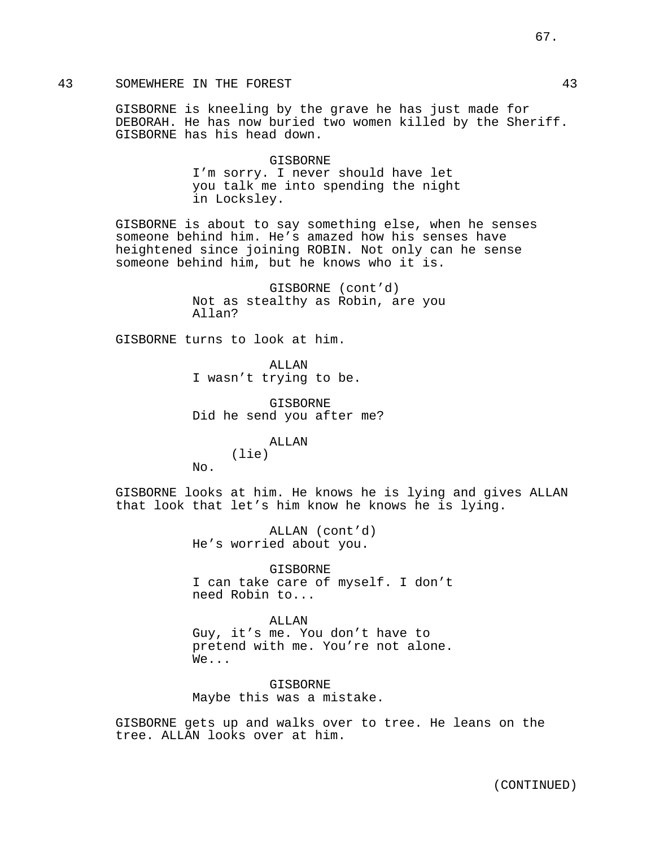## 43 SOMEWHERE IN THE FOREST 43

GISBORNE is kneeling by the grave he has just made for DEBORAH. He has now buried two women killed by the Sheriff. GISBORNE has his head down.

# GISBORNE I'm sorry. I never should have let you talk me into spending the night in Locksley.

GISBORNE is about to say something else, when he senses someone behind him. He's amazed how his senses have heightened since joining ROBIN. Not only can he sense someone behind him, but he knows who it is.

> GISBORNE (cont'd) Not as stealthy as Robin, are you Allan?

GISBORNE turns to look at him.

ALLAN I wasn't trying to be.

GISBORNE Did he send you after me?

ALLAN

(lie)

 $N<sub>O</sub>$ .

GISBORNE looks at him. He knows he is lying and gives ALLAN that look that let's him know he knows he is lying.

> ALLAN (cont'd) He's worried about you.

GISBORNE I can take care of myself. I don't need Robin to...

ALLAN Guy, it's me. You don't have to pretend with me. You're not alone. We...

GISBORNE Maybe this was a mistake.

GISBORNE gets up and walks over to tree. He leans on the tree. ALLAN looks over at him.

67.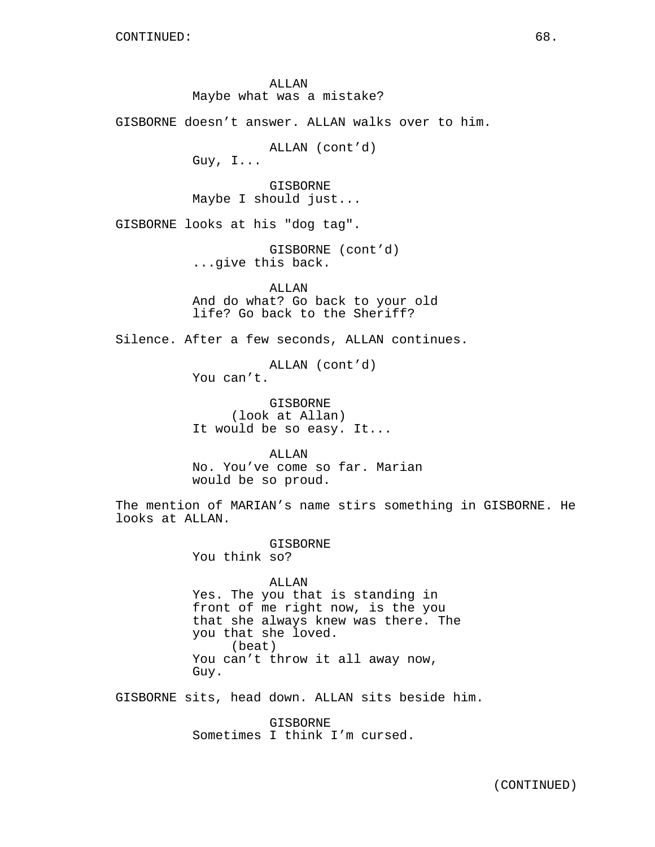ALLAN Maybe what was a mistake?

GISBORNE doesn't answer. ALLAN walks over to him.

ALLAN (cont'd) Guy, I...

GISBORNE

Maybe I should just...

GISBORNE looks at his "dog tag".

GISBORNE (cont'd) ...give this back.

ALLAN And do what? Go back to your old life? Go back to the Sheriff?

Silence. After a few seconds, ALLAN continues.

ALLAN (cont'd) You can't.

GISBORNE (look at Allan) It would be so easy. It...

ALLAN No. You've come so far. Marian would be so proud.

The mention of MARIAN's name stirs something in GISBORNE. He looks at ALLAN.

> GISBORNE You think so?

ALLAN Yes. The you that is standing in front of me right now, is the you that she always knew was there. The you that she loved. (beat) You can't throw it all away now, Guy.

GISBORNE sits, head down. ALLAN sits beside him.

GISBORNE Sometimes I think I'm cursed.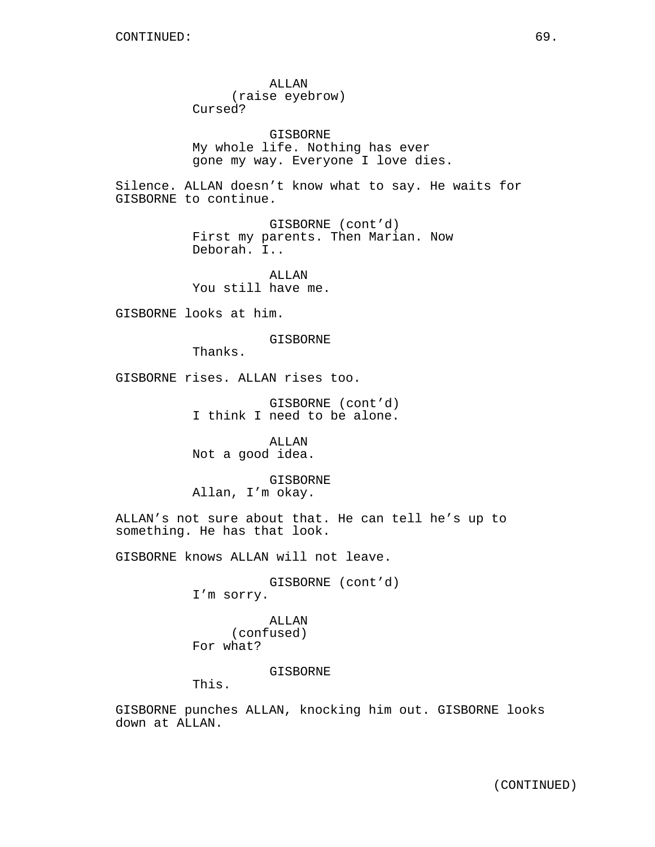ALLAN (raise eyebrow) Cursed? GISBORNE My whole life. Nothing has ever gone my way. Everyone I love dies. Silence. ALLAN doesn't know what to say. He waits for GISBORNE to continue. GISBORNE (cont'd) First my parents. Then Marian. Now Deborah. I.. ALLAN You still have me. GISBORNE looks at him. GISBORNE Thanks. GISBORNE rises. ALLAN rises too. GISBORNE (cont'd) I think I need to be alone. ALLAN Not a good idea. GISBORNE Allan, I'm okay. ALLAN's not sure about that. He can tell he's up to something. He has that look. GISBORNE knows ALLAN will not leave. GISBORNE (cont'd) I'm sorry. ALLAN (confused) For what?

GISBORNE

This.

GISBORNE punches ALLAN, knocking him out. GISBORNE looks down at ALLAN.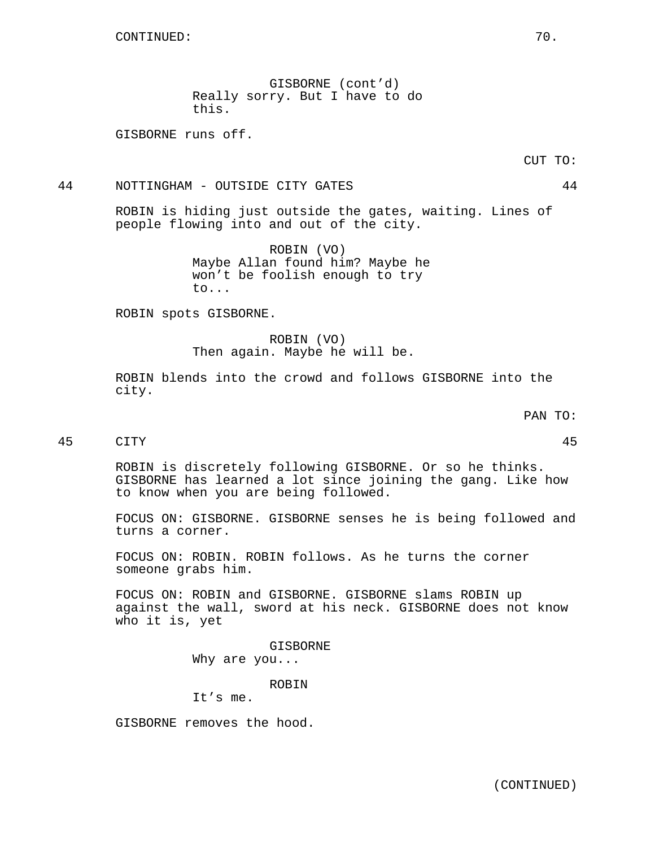GISBORNE (cont'd) Really sorry. But I have to do this.

GISBORNE runs off.

## 44 NOTTINGHAM - OUTSIDE CITY GATES 44

ROBIN is hiding just outside the gates, waiting. Lines of people flowing into and out of the city.

> ROBIN (VO) Maybe Allan found him? Maybe he won't be foolish enough to try to...

ROBIN spots GISBORNE.

ROBIN (VO) Then again. Maybe he will be.

ROBIN blends into the crowd and follows GISBORNE into the city.

PAN TO:

45 CITY 45

ROBIN is discretely following GISBORNE. Or so he thinks. GISBORNE has learned a lot since joining the gang. Like how to know when you are being followed.

FOCUS ON: GISBORNE. GISBORNE senses he is being followed and turns a corner.

FOCUS ON: ROBIN. ROBIN follows. As he turns the corner someone grabs him.

FOCUS ON: ROBIN and GISBORNE. GISBORNE slams ROBIN up against the wall, sword at his neck. GISBORNE does not know who it is, yet

> GISBORNE Why are you...

> > ROBIN

It's me.

GISBORNE removes the hood.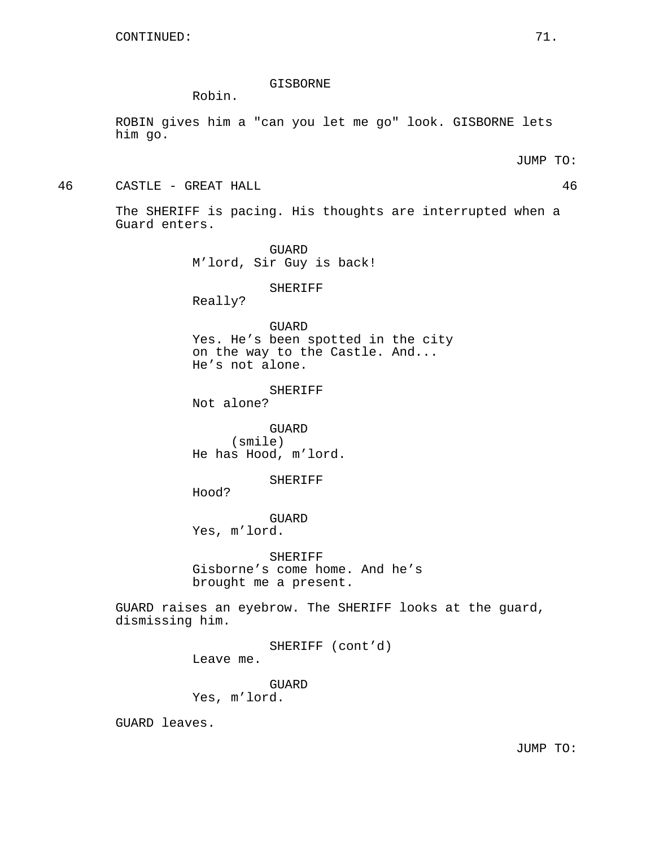### GISBORNE

Robin.

ROBIN gives him a "can you let me go" look. GISBORNE lets him go.

JUMP TO:

46 CASTLE - GREAT HALL 46

The SHERIFF is pacing. His thoughts are interrupted when a Guard enters.

> GUARD M'lord, Sir Guy is back!

# SHERIFF

Really?

GUARD

Yes. He's been spotted in the city on the way to the Castle. And... He's not alone.

### SHERIFF

Not alone?

GUARD (smile) He has Hood, m'lord.

#### SHERIFF

Hood?

GUARD Yes, m'lord.

SHERIFF Gisborne's come home. And he's brought me a present.

GUARD raises an eyebrow. The SHERIFF looks at the guard, dismissing him.

> SHERIFF (cont'd) Leave me.

GUARD Yes, m'lord.

GUARD leaves.

JUMP TO: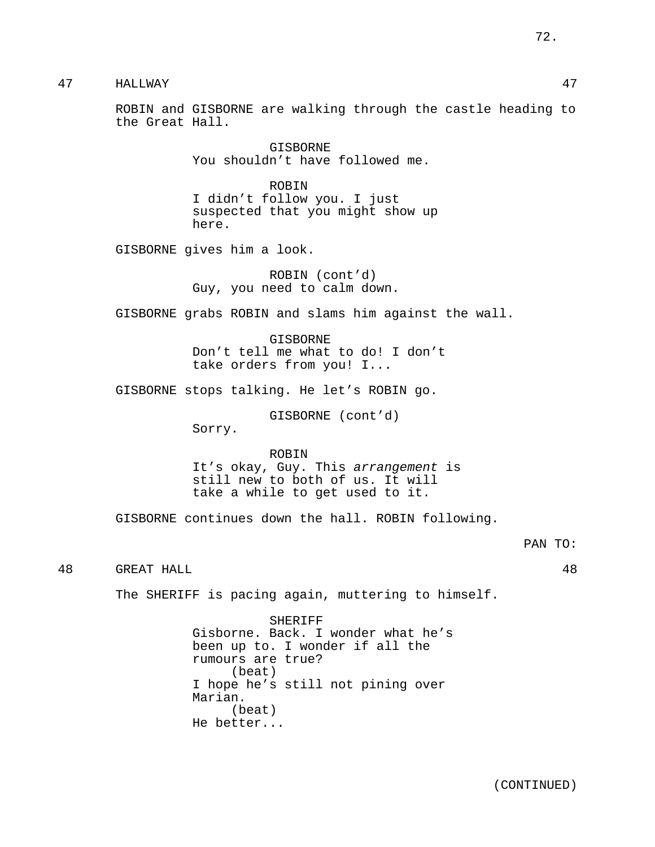47 HALLWAY 47

ROBIN and GISBORNE are walking through the castle heading to the Great Hall.

> GISBORNE You shouldn't have followed me.

ROBIN I didn't follow you. I just suspected that you might show up here.

GISBORNE gives him a look.

ROBIN (cont'd) Guy, you need to calm down.

GISBORNE grabs ROBIN and slams him against the wall.

**GISBORNE** Don't tell me what to do! I don't take orders from you! I...

GISBORNE stops talking. He let's ROBIN go.

GISBORNE (cont'd)

Sorry.

ROBIN It's okay, Guy. This arrangement is still new to both of us. It will take a while to get used to it.

GISBORNE continues down the hall. ROBIN following.

48 GREAT HALL 48

The SHERIFF is pacing again, muttering to himself.

SHERIFF Gisborne. Back. I wonder what he's been up to. I wonder if all the rumours are true? (beat) I hope he's still not pining over Marian. (beat) He better...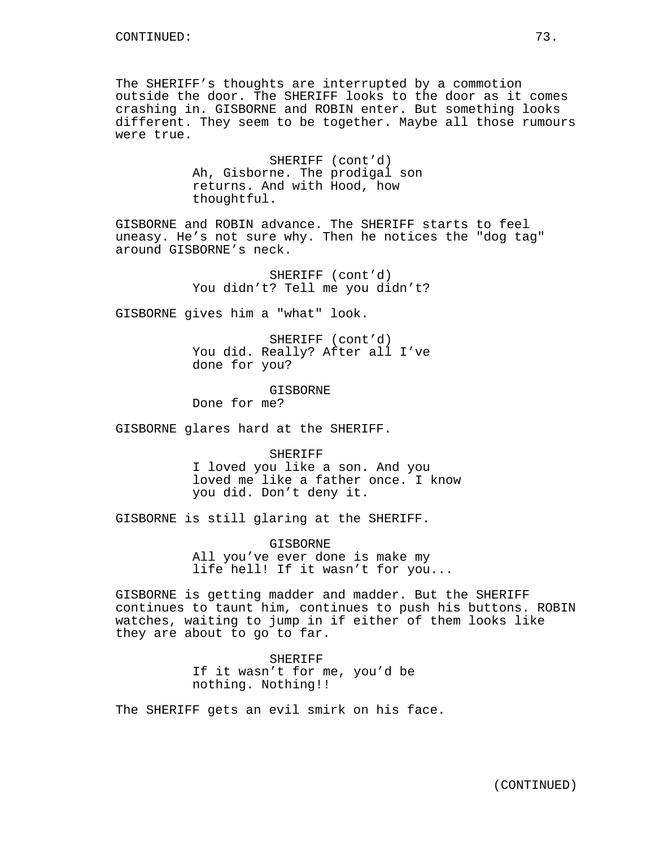The SHERIFF's thoughts are interrupted by a commotion outside the door. The SHERIFF looks to the door as it comes crashing in. GISBORNE and ROBIN enter. But something looks different. They seem to be together. Maybe all those rumours were true.

> SHERIFF (cont'd) Ah, Gisborne. The prodigal son returns. And with Hood, how thoughtful.

GISBORNE and ROBIN advance. The SHERIFF starts to feel uneasy. He's not sure why. Then he notices the "dog tag" around GISBORNE's neck.

> SHERIFF (cont'd) You didn't? Tell me you didn't?

GISBORNE gives him a "what" look.

SHERIFF (cont'd) You did. Really? After all I've done for you?

GISBORNE Done for me?

GISBORNE glares hard at the SHERIFF.

SHERIFF I loved you like a son. And you loved me like a father once. I know you did. Don't deny it.

GISBORNE is still glaring at the SHERIFF.

GISBORNE All you've ever done is make my life hell! If it wasn't for you...

GISBORNE is getting madder and madder. But the SHERIFF continues to taunt him, continues to push his buttons. ROBIN watches, waiting to jump in if either of them looks like they are about to go to far.

> SHERIFF If it wasn't for me, you'd be nothing. Nothing!!

The SHERIFF gets an evil smirk on his face.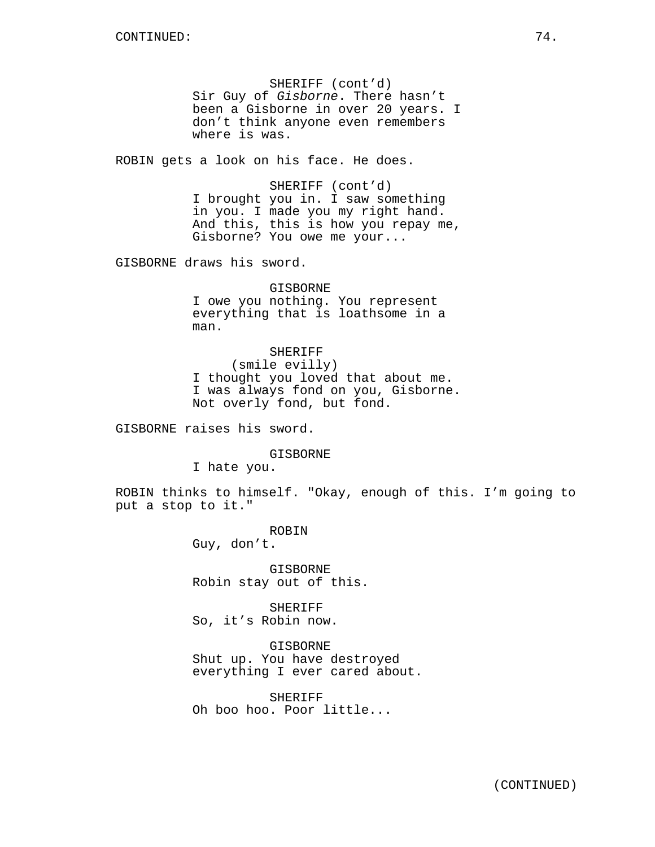SHERIFF (cont'd) Sir Guy of Gisborne. There hasn't been a Gisborne in over 20 years. I don't think anyone even remembers where is was.

ROBIN gets a look on his face. He does.

SHERIFF (cont'd) I brought you in. I saw something in you. I made you my right hand. And this, this is how you repay me, Gisborne? You owe me your...

GISBORNE draws his sword.

GISBORNE I owe you nothing. You represent everything that is loathsome in a man.

SHERIFF (smile evilly) I thought you loved that about me. I was always fond on you, Gisborne. Not overly fond, but fond.

GISBORNE raises his sword.

GISBORNE

I hate you.

ROBIN thinks to himself. "Okay, enough of this. I'm going to put a stop to it."

> ROBIN Guy, don't.

GISBORNE Robin stay out of this.

SHERIFF So, it's Robin now.

GISBORNE Shut up. You have destroyed everything I ever cared about.

SHERIFF Oh boo hoo. Poor little...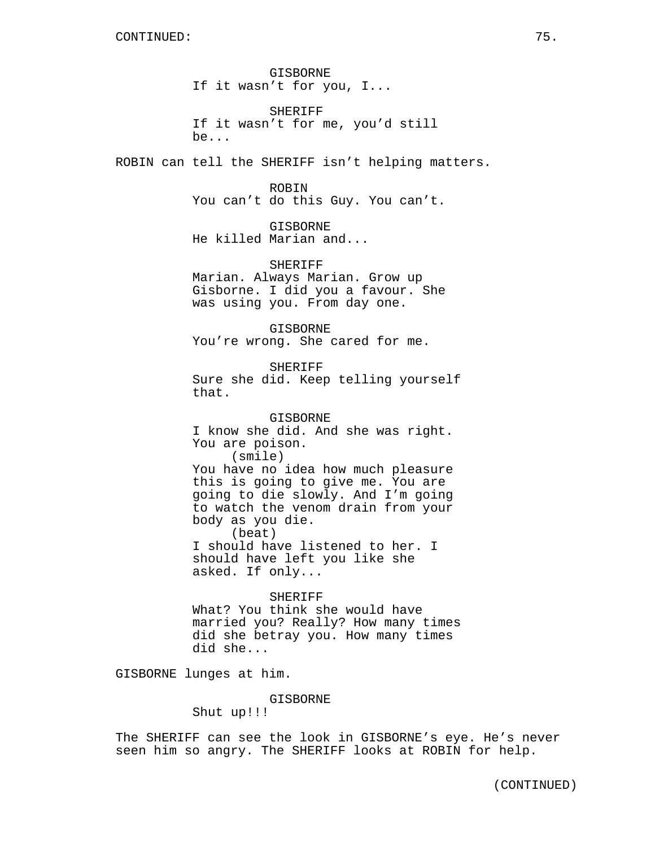GISBORNE If it wasn't for you, I...

SHERIFF If it wasn't for me, you'd still be...

ROBIN can tell the SHERIFF isn't helping matters.

#### ROBIN

You can't do this Guy. You can't.

GISBORNE He killed Marian and...

### SHERIFF

Marian. Always Marian. Grow up Gisborne. I did you a favour. She was using you. From day one.

GISBORNE You're wrong. She cared for me.

SHERIFF Sure she did. Keep telling yourself that.

GISBORNE I know she did. And she was right. You are poison. (smile) You have no idea how much pleasure this is going to give me. You are going to die slowly. And I'm going to watch the venom drain from your body as you die. (beat) I should have listened to her. I should have left you like she asked. If only...

SHERIFF What? You think she would have married you? Really? How many times did she betray you. How many times did she...

GISBORNE lunges at him.

GISBORNE

Shut up!!!

The SHERIFF can see the look in GISBORNE's eye. He's never seen him so angry. The SHERIFF looks at ROBIN for help.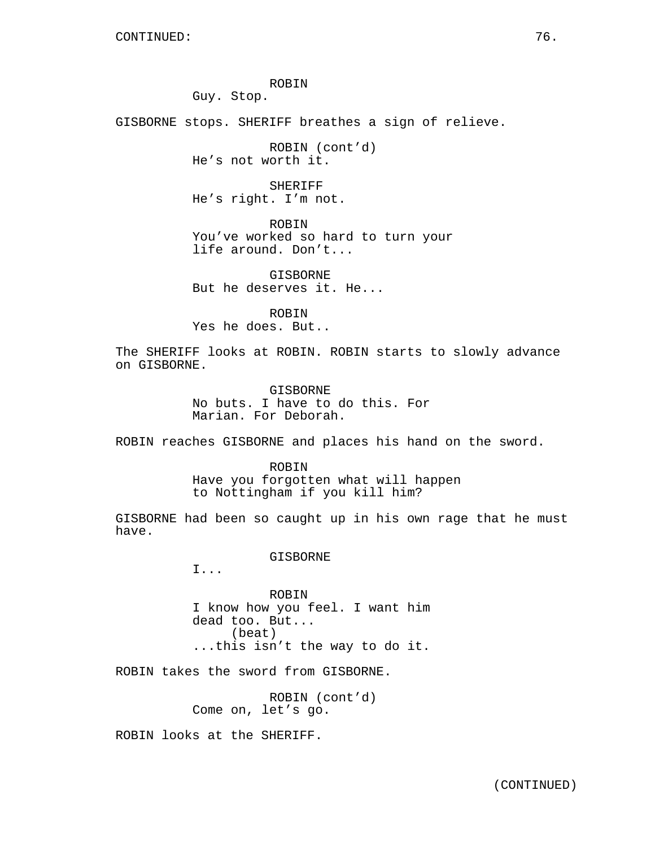ROBIN

Guy. Stop.

GISBORNE stops. SHERIFF breathes a sign of relieve.

ROBIN (cont'd) He's not worth it.

SHERIFF He's right. I'm not.

ROBIN You've worked so hard to turn your life around. Don't...

GISBORNE But he deserves it. He...

ROBIN Yes he does. But..

The SHERIFF looks at ROBIN. ROBIN starts to slowly advance on GISBORNE.

> GISBORNE No buts. I have to do this. For Marian. For Deborah.

ROBIN reaches GISBORNE and places his hand on the sword.

ROBIN Have you forgotten what will happen to Nottingham if you kill him?

GISBORNE had been so caught up in his own rage that he must have.

GISBORNE

I...

ROBIN I know how you feel. I want him dead too. But... (beat) ...this isn't the way to do it.

ROBIN takes the sword from GISBORNE.

ROBIN (cont'd) Come on, let's go.

ROBIN looks at the SHERIFF.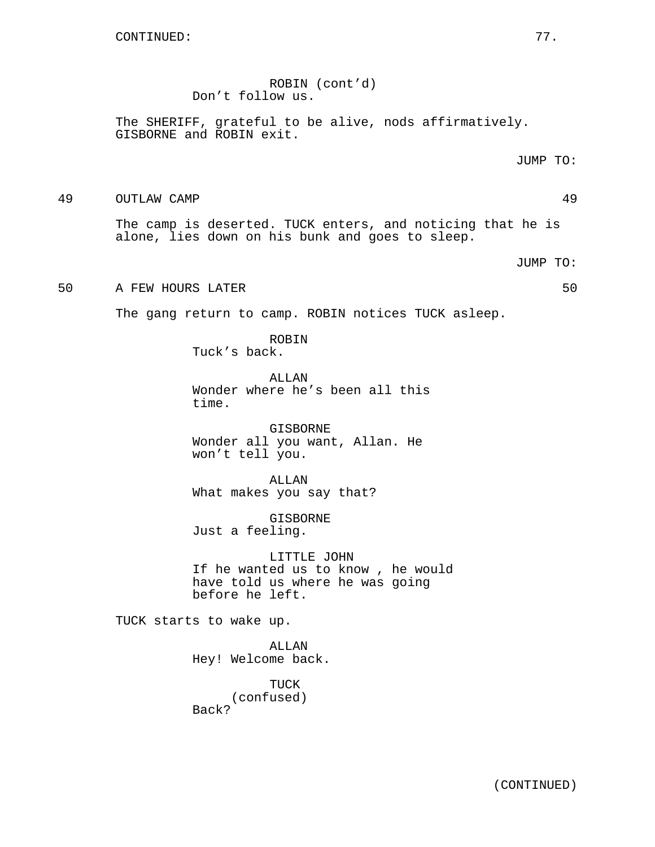ROBIN (cont'd) Don't follow us.

The SHERIFF, grateful to be alive, nods affirmatively. GISBORNE and ROBIN exit.

JUMP TO:

49 OUTLAW CAMP 49

The camp is deserted. TUCK enters, and noticing that he is alone, lies down on his bunk and goes to sleep.

JUMP TO:

## 50 A FEW HOURS LATER **50 SO SO SO SO SO SO**

The gang return to camp. ROBIN notices TUCK asleep.

ROBIN Tuck's back.

ALLAN Wonder where he's been all this time.

GISBORNE Wonder all you want, Allan. He won't tell you.

ALLAN What makes you say that?

GISBORNE Just a feeling.

LITTLE JOHN If he wanted us to know , he would have told us where he was going before he left.

TUCK starts to wake up.

ALLAN Hey! Welcome back.

TUCK (confused) Back?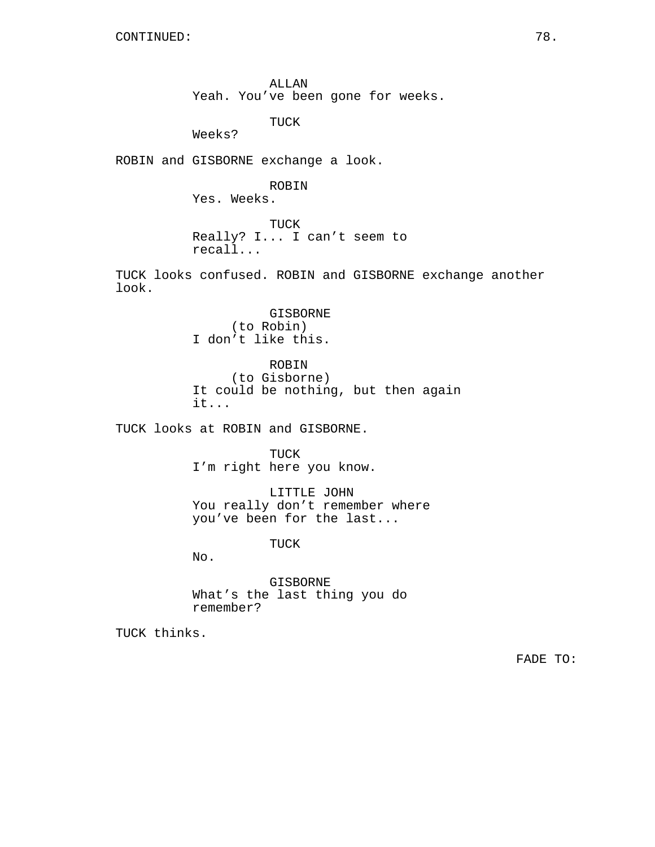ALLAN Yeah. You've been gone for weeks.

TUCK

Weeks?

ROBIN and GISBORNE exchange a look.

ROBIN Yes. Weeks.

TUCK Really? I... I can't seem to

recall...

TUCK looks confused. ROBIN and GISBORNE exchange another look.

> GISBORNE (to Robin) I don't like this.

ROBIN (to Gisborne) It could be nothing, but then again it...

TUCK looks at ROBIN and GISBORNE.

TUCK I'm right here you know.

LITTLE JOHN You really don't remember where you've been for the last...

TUCK

No.

GISBORNE What's the last thing you do remember?

TUCK thinks.

FADE TO: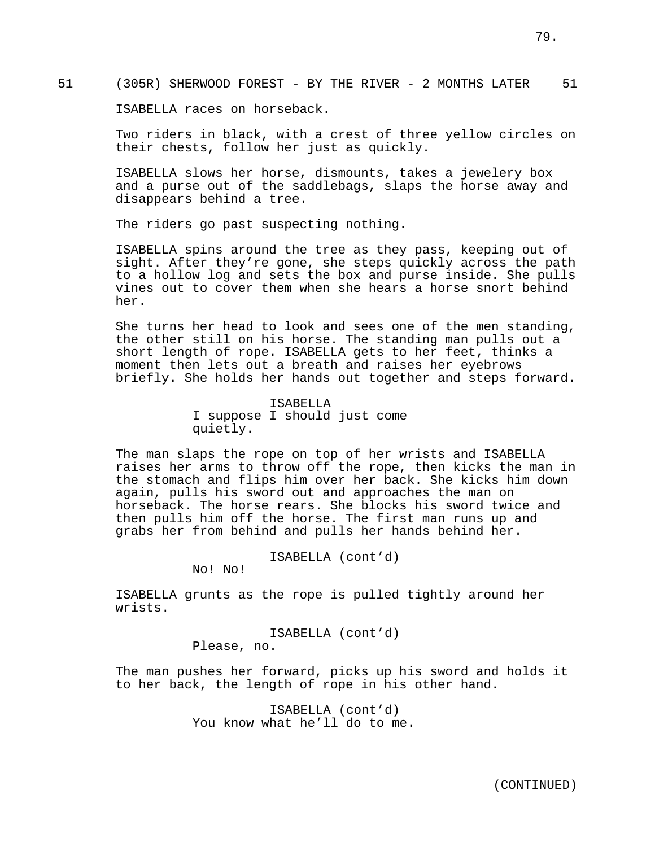ISABELLA races on horseback.

Two riders in black, with a crest of three yellow circles on their chests, follow her just as quickly.

ISABELLA slows her horse, dismounts, takes a jewelery box and a purse out of the saddlebags, slaps the horse away and disappears behind a tree.

The riders go past suspecting nothing.

ISABELLA spins around the tree as they pass, keeping out of sight. After they're gone, she steps quickly across the path to a hollow log and sets the box and purse inside. She pulls vines out to cover them when she hears a horse snort behind her.

She turns her head to look and sees one of the men standing, the other still on his horse. The standing man pulls out a short length of rope. ISABELLA gets to her feet, thinks a moment then lets out a breath and raises her eyebrows briefly. She holds her hands out together and steps forward.

> ISABELLA I suppose I should just come quietly.

The man slaps the rope on top of her wrists and ISABELLA raises her arms to throw off the rope, then kicks the man in the stomach and flips him over her back. She kicks him down again, pulls his sword out and approaches the man on horseback. The horse rears. She blocks his sword twice and then pulls him off the horse. The first man runs up and grabs her from behind and pulls her hands behind her.

ISABELLA (cont'd)

No! No!

ISABELLA grunts as the rope is pulled tightly around her wrists.

> ISABELLA (cont'd) Please, no.

The man pushes her forward, picks up his sword and holds it to her back, the length of rope in his other hand.

> ISABELLA (cont'd) You know what he'll do to me.

> > (CONTINUED)

79.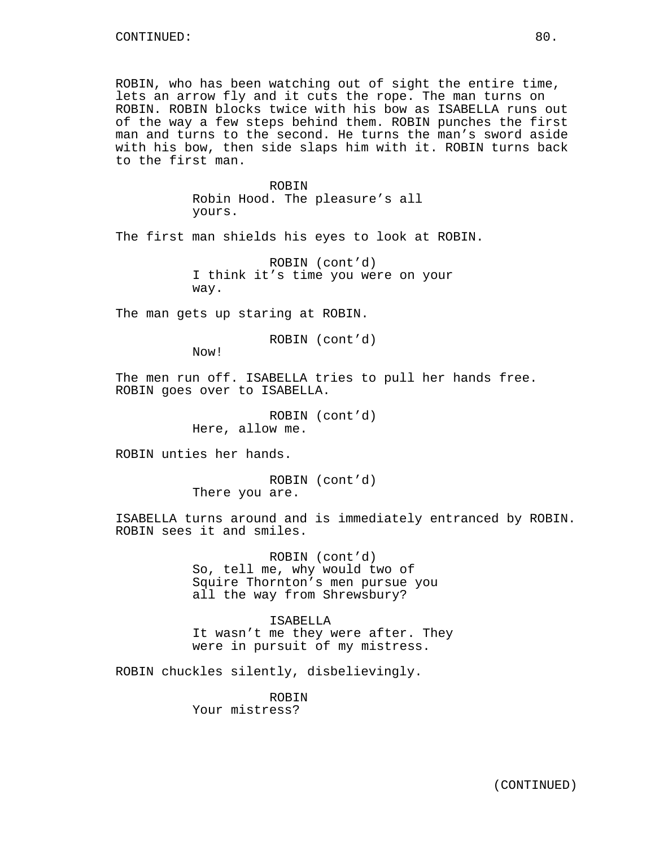ROBIN, who has been watching out of sight the entire time, lets an arrow fly and it cuts the rope. The man turns on ROBIN. ROBIN blocks twice with his bow as ISABELLA runs out of the way a few steps behind them. ROBIN punches the first man and turns to the second. He turns the man's sword aside with his bow, then side slaps him with it. ROBIN turns back to the first man.

> ROBIN Robin Hood. The pleasure's all yours.

The first man shields his eyes to look at ROBIN.

ROBIN (cont'd) I think it's time you were on your way.

The man gets up staring at ROBIN.

ROBIN (cont'd)

Now!

The men run off. ISABELLA tries to pull her hands free. ROBIN goes over to ISABELLA.

> ROBIN (cont'd) Here, allow me.

ROBIN unties her hands.

ROBIN (cont'd) There you are.

ISABELLA turns around and is immediately entranced by ROBIN. ROBIN sees it and smiles.

> ROBIN (cont'd) So, tell me, why would two of Squire Thornton's men pursue you all the way from Shrewsbury?

ISABELLA It wasn't me they were after. They were in pursuit of my mistress.

ROBIN chuckles silently, disbelievingly.

ROBIN Your mistress?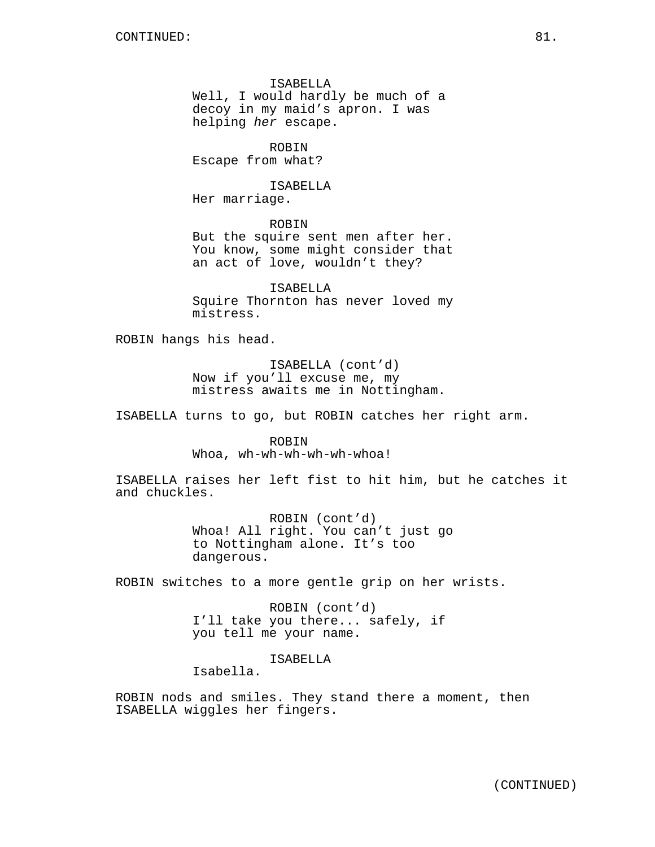ISABELLA

Well, I would hardly be much of a decoy in my maid's apron. I was helping her escape.

ROBIN Escape from what?

ISABELLA Her marriage.

ROBIN

But the squire sent men after her. You know, some might consider that an act of love, wouldn't they?

ISABELLA Squire Thornton has never loved my mistress.

ROBIN hangs his head.

ISABELLA (cont'd) Now if you'll excuse me, my mistress awaits me in Nottingham.

ISABELLA turns to go, but ROBIN catches her right arm.

ROBIN Whoa, wh-wh-wh-wh-wh-whoa!

ISABELLA raises her left fist to hit him, but he catches it and chuckles.

> ROBIN (cont'd) Whoa! All right. You can't just go to Nottingham alone. It's too dangerous.

ROBIN switches to a more gentle grip on her wrists.

ROBIN (cont'd) I'll take you there... safely, if you tell me your name.

ISABELLA

Isabella.

ROBIN nods and smiles. They stand there a moment, then ISABELLA wiggles her fingers.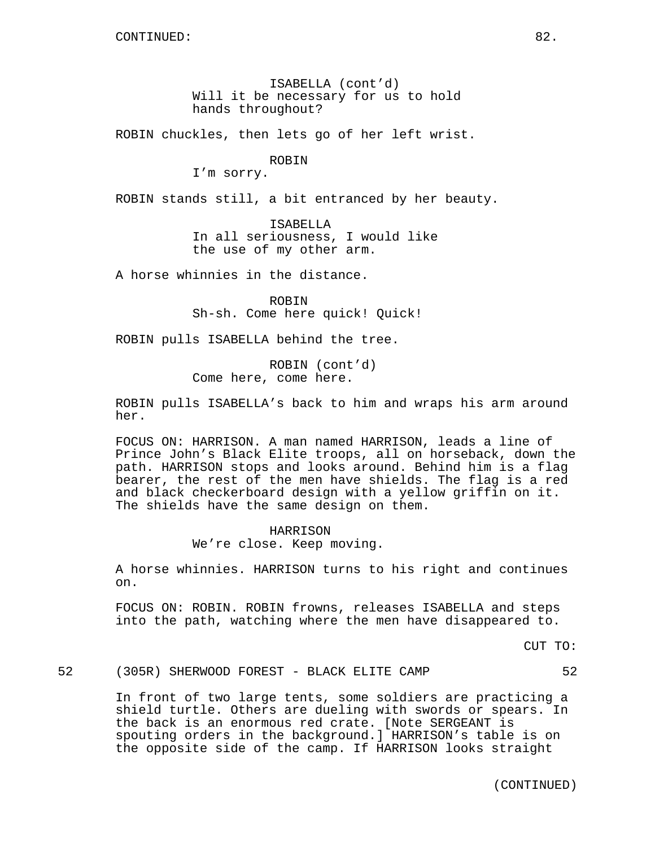ISABELLA (cont'd) Will it be necessary for us to hold hands throughout?

ROBIN chuckles, then lets go of her left wrist.

#### ROBIN

I'm sorry.

ROBIN stands still, a bit entranced by her beauty.

ISABELLA In all seriousness, I would like the use of my other arm.

A horse whinnies in the distance.

ROBIN Sh-sh. Come here quick! Quick!

ROBIN pulls ISABELLA behind the tree.

ROBIN (cont'd) Come here, come here.

ROBIN pulls ISABELLA's back to him and wraps his arm around her.

FOCUS ON: HARRISON. A man named HARRISON, leads a line of Prince John's Black Elite troops, all on horseback, down the path. HARRISON stops and looks around. Behind him is a flag bearer, the rest of the men have shields. The flag is a red and black checkerboard design with a yellow griffin on it. The shields have the same design on them.

## HARRISON We're close. Keep moving.

A horse whinnies. HARRISON turns to his right and continues on.

FOCUS ON: ROBIN. ROBIN frowns, releases ISABELLA and steps into the path, watching where the men have disappeared to.

CUT TO:

52 (305R) SHERWOOD FOREST - BLACK ELITE CAMP 52

In front of two large tents, some soldiers are practicing a shield turtle. Others are dueling with swords or spears. In the back is an enormous red crate. [Note SERGEANT is spouting orders in the background.] HARRISON's table is on the opposite side of the camp. If HARRISON looks straight

(CONTINUED)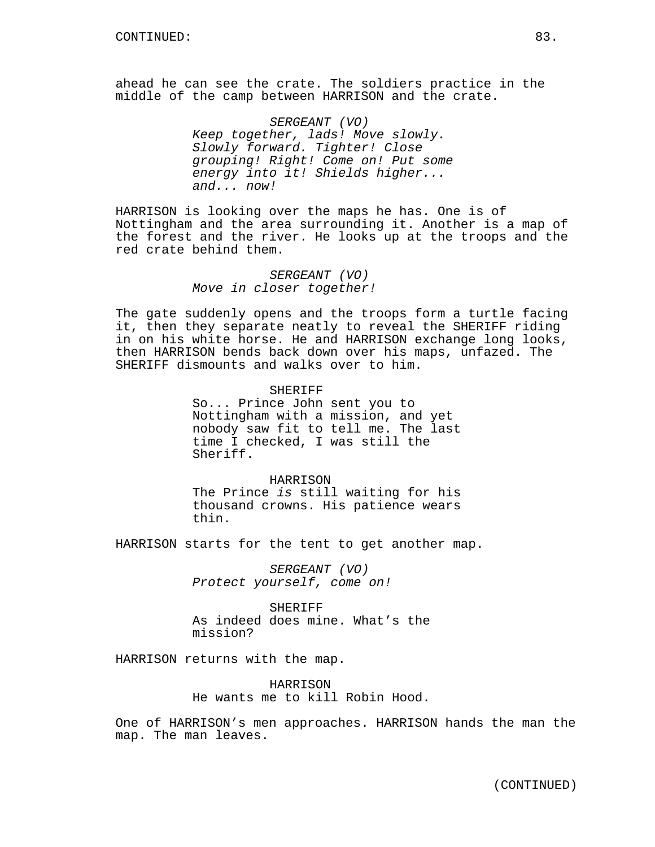ahead he can see the crate. The soldiers practice in the middle of the camp between HARRISON and the crate.

> SERGEANT (VO) Keep together, lads! Move slowly. Slowly forward. Tighter! Close grouping! Right! Come on! Put some energy into it! Shields higher... and... now!

HARRISON is looking over the maps he has. One is of Nottingham and the area surrounding it. Another is a map of the forest and the river. He looks up at the troops and the red crate behind them.

## SERGEANT (VO) Move in closer together!

The gate suddenly opens and the troops form a turtle facing it, then they separate neatly to reveal the SHERIFF riding in on his white horse. He and HARRISON exchange long looks, then HARRISON bends back down over his maps, unfazed. The SHERIFF dismounts and walks over to him.

### SHERIFF

So... Prince John sent you to Nottingham with a mission, and yet nobody saw fit to tell me. The last time I checked, I was still the Sheriff.

HARRISON The Prince is still waiting for his thousand crowns. His patience wears thin.

HARRISON starts for the tent to get another map.

SERGEANT (VO) Protect yourself, come on!

**SHERIFF** As indeed does mine. What's the mission?

HARRISON returns with the map.

HARRISON He wants me to kill Robin Hood.

One of HARRISON's men approaches. HARRISON hands the man the map. The man leaves.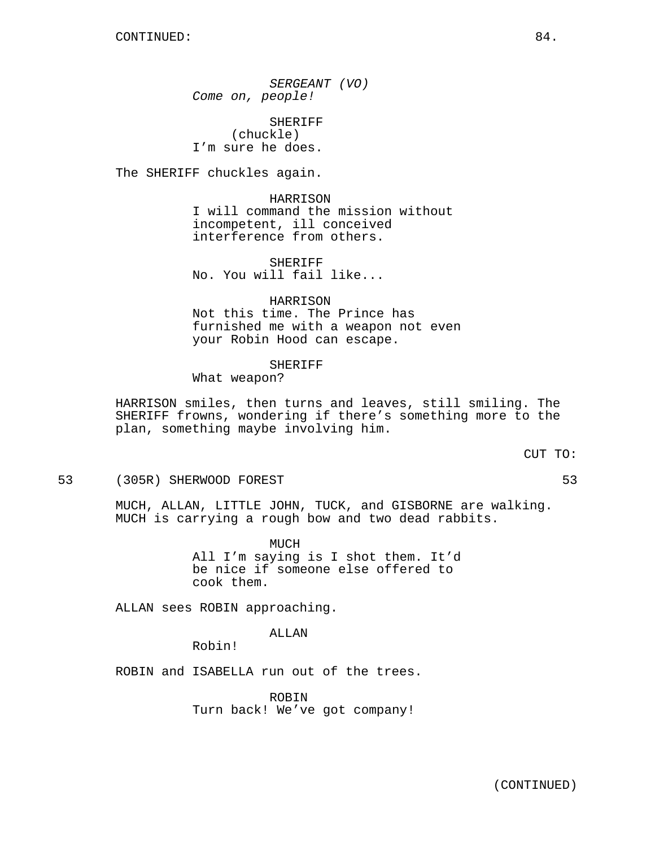SERGEANT (VO) Come on, people!

SHERIFF (chuckle) I'm sure he does.

The SHERIFF chuckles again.

HARRISON I will command the mission without incompetent, ill conceived interference from others.

SHERIFF No. You will fail like...

HARRISON Not this time. The Prince has furnished me with a weapon not even your Robin Hood can escape.

### SHERIFF

What weapon?

HARRISON smiles, then turns and leaves, still smiling. The SHERIFF frowns, wondering if there's something more to the plan, something maybe involving him.

CUT TO:

53 (305R) SHERWOOD FOREST 53

MUCH, ALLAN, LITTLE JOHN, TUCK, and GISBORNE are walking. MUCH is carrying a rough bow and two dead rabbits.

> MUCH All I'm saying is I shot them. It'd be nice if someone else offered to cook them.

ALLAN sees ROBIN approaching.

ALLAN

Robin!

ROBIN and ISABELLA run out of the trees.

ROBIN Turn back! We've got company!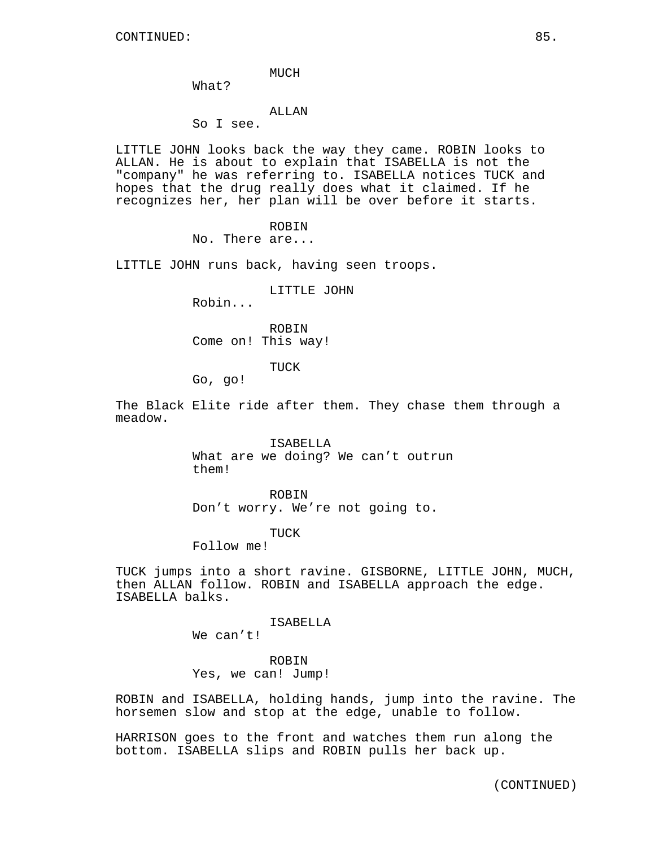#### MUCH

What?

## ALLAN

So I see.

LITTLE JOHN looks back the way they came. ROBIN looks to ALLAN. He is about to explain that ISABELLA is not the "company" he was referring to. ISABELLA notices TUCK and hopes that the drug really does what it claimed. If he recognizes her, her plan will be over before it starts.

ROBIN

No. There are...

LITTLE JOHN runs back, having seen troops.

#### LITTLE JOHN

Robin...

ROBIN Come on! This way!

TUCK

Go, go!

The Black Elite ride after them. They chase them through a meadow.

> ISABELLA What are we doing? We can't outrun them!

ROBIN Don't worry. We're not going to.

TUCK

Follow me!

TUCK jumps into a short ravine. GISBORNE, LITTLE JOHN, MUCH, then ALLAN follow. ROBIN and ISABELLA approach the edge. ISABELLA balks.

ISABELLA

We can't!

ROBIN Yes, we can! Jump!

ROBIN and ISABELLA, holding hands, jump into the ravine. The horsemen slow and stop at the edge, unable to follow.

HARRISON goes to the front and watches them run along the bottom. ISABELLA slips and ROBIN pulls her back up.

(CONTINUED)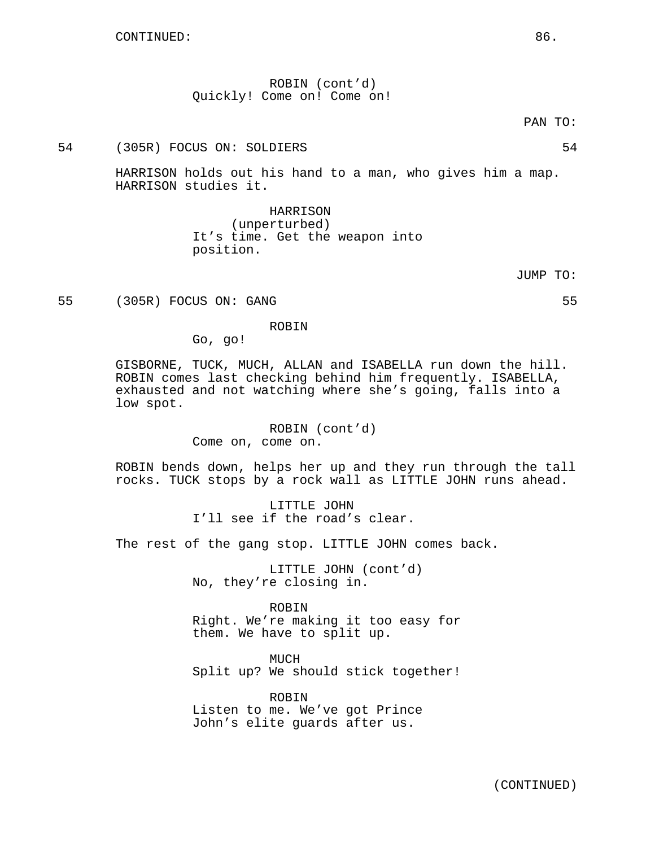ROBIN (cont'd) Quickly! Come on! Come on!

PAN TO:

# 54 (305R) FOCUS ON: SOLDIERS 54

HARRISON holds out his hand to a man, who gives him a map. HARRISON studies it.

> HARRISON (unperturbed) It's time. Get the weapon into position.

> > JUMP TO:

55 (305R) FOCUS ON: GANG 55

#### ROBIN

Go, go!

GISBORNE, TUCK, MUCH, ALLAN and ISABELLA run down the hill. ROBIN comes last checking behind him frequently. ISABELLA, exhausted and not watching where she's going, falls into a low spot.

> ROBIN (cont'd) Come on, come on.

ROBIN bends down, helps her up and they run through the tall rocks. TUCK stops by a rock wall as LITTLE JOHN runs ahead.

> LITTLE JOHN I'll see if the road's clear.

The rest of the gang stop. LITTLE JOHN comes back.

LITTLE JOHN (cont'd) No, they're closing in.

ROBIN Right. We're making it too easy for them. We have to split up.

MUCH Split up? We should stick together!

ROBIN Listen to me. We've got Prince John's elite guards after us.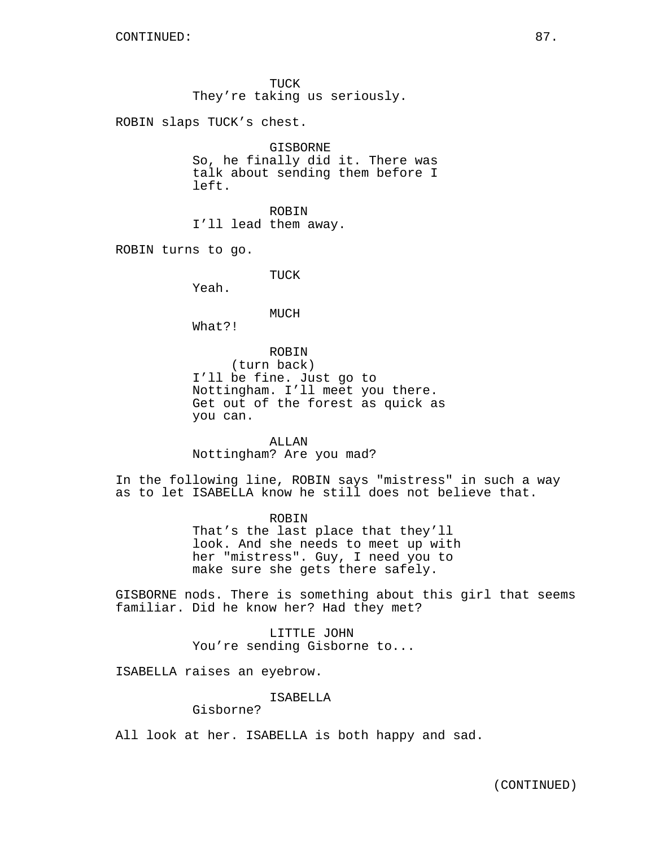TUCK They're taking us seriously.

ROBIN slaps TUCK's chest.

GISBORNE So, he finally did it. There was talk about sending them before I left.

ROBIN I'll lead them away.

ROBIN turns to go.

TUCK

Yeah.

#### MUCH

What?!

ROBIN (turn back) I'll be fine. Just go to Nottingham. I'll meet you there. Get out of the forest as quick as you can.

ALLAN Nottingham? Are you mad?

In the following line, ROBIN says "mistress" in such a way as to let ISABELLA know he still does not believe that.

> ROBIN That's the last place that they'll look. And she needs to meet up with her "mistress". Guy, I need you to make sure she gets there safely.

GISBORNE nods. There is something about this girl that seems familiar. Did he know her? Had they met?

> LITTLE JOHN You're sending Gisborne to...

ISABELLA raises an eyebrow.

ISABELLA

Gisborne?

All look at her. ISABELLA is both happy and sad.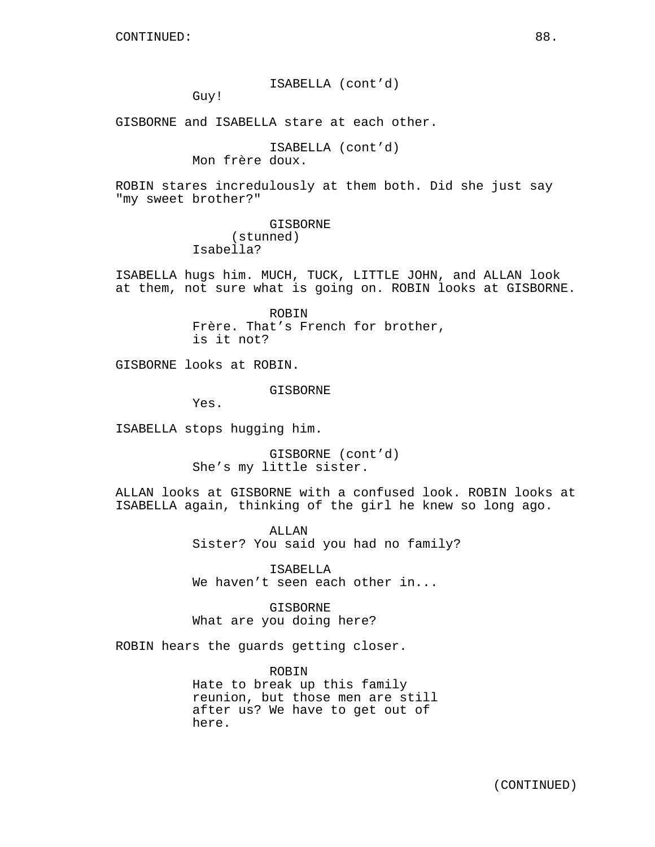ISABELLA (cont'd)

Guy!

GISBORNE and ISABELLA stare at each other.

ISABELLA (cont'd) Mon frère doux.

ROBIN stares incredulously at them both. Did she just say "my sweet brother?"

> GISBORNE (stunned) Isabella?

ISABELLA hugs him. MUCH, TUCK, LITTLE JOHN, and ALLAN look at them, not sure what is going on. ROBIN looks at GISBORNE.

> ROBIN Frère. That's French for brother, is it not?

GISBORNE looks at ROBIN.

GISBORNE

Yes.

ISABELLA stops hugging him.

GISBORNE (cont'd) She's my little sister.

ALLAN looks at GISBORNE with a confused look. ROBIN looks at ISABELLA again, thinking of the girl he knew so long ago.

> ALLAN Sister? You said you had no family?

ISABELLA We haven't seen each other in...

GISBORNE What are you doing here?

ROBIN hears the guards getting closer.

ROBIN Hate to break up this family reunion, but those men are still after us? We have to get out of here.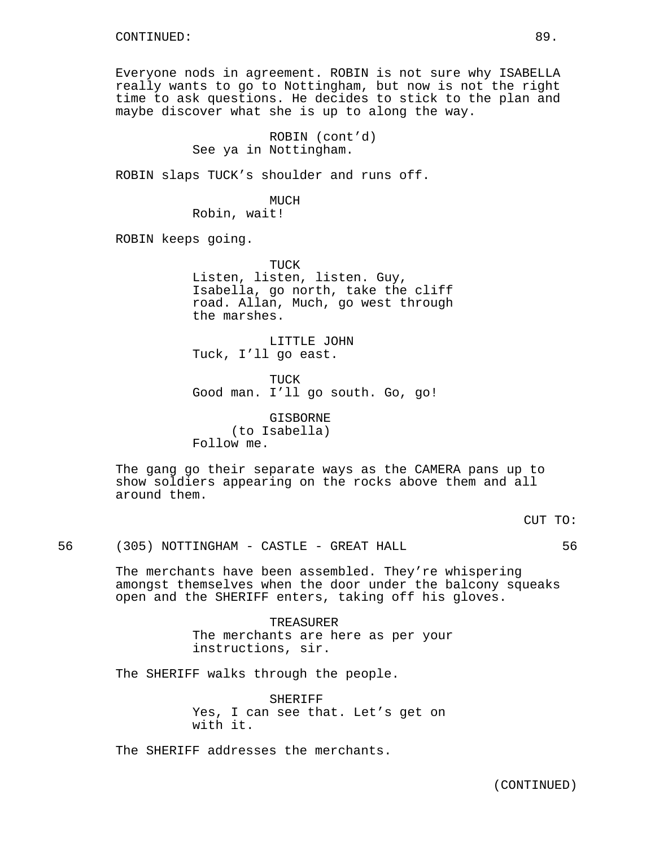Everyone nods in agreement. ROBIN is not sure why ISABELLA really wants to go to Nottingham, but now is not the right time to ask questions. He decides to stick to the plan and maybe discover what she is up to along the way.

> ROBIN (cont'd) See ya in Nottingham.

ROBIN slaps TUCK's shoulder and runs off.

MUCH Robin, wait!

ROBIN keeps going.

TUCK Listen, listen, listen. Guy, Isabella, go north, take the cliff road. Allan, Much, go west through the marshes.

LITTLE JOHN Tuck, I'll go east.

TUCK Good man. I'll go south. Go, go!

GISBORNE (to Isabella) Follow me.

The gang go their separate ways as the CAMERA pans up to show soldiers appearing on the rocks above them and all around them.

56 (305) NOTTINGHAM - CASTLE - GREAT HALL 56

The merchants have been assembled. They're whispering amongst themselves when the door under the balcony squeaks open and the SHERIFF enters, taking off his gloves.

> TREASURER The merchants are here as per your instructions, sir.

The SHERIFF walks through the people.

SHERIFF Yes, I can see that. Let's get on with it.

The SHERIFF addresses the merchants.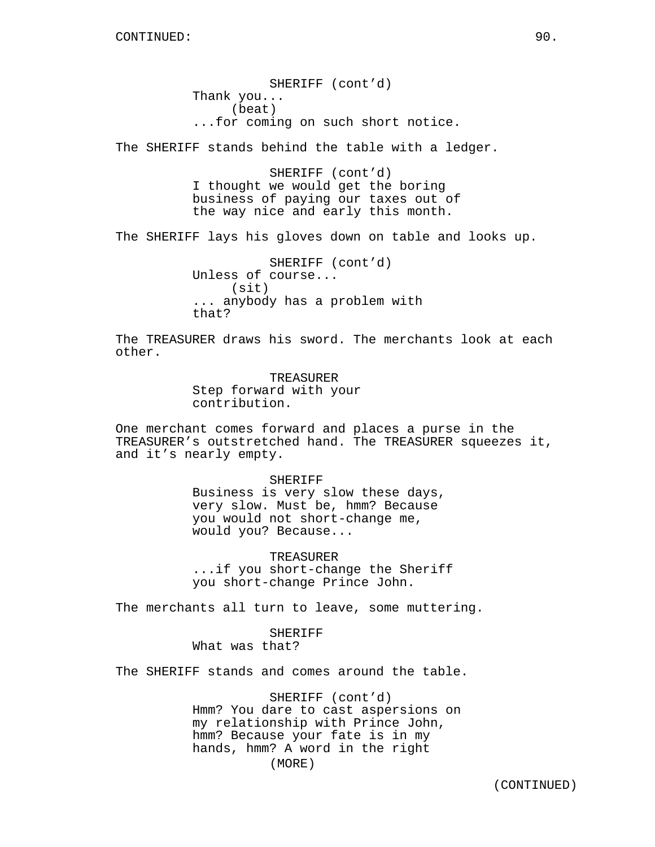SHERIFF (cont'd) Thank you... (beat) ...for coming on such short notice.

The SHERIFF stands behind the table with a ledger.

SHERIFF (cont'd) I thought we would get the boring business of paying our taxes out of the way nice and early this month.

The SHERIFF lays his gloves down on table and looks up.

SHERIFF (cont'd) Unless of course... (sit) ... anybody has a problem with that?

The TREASURER draws his sword. The merchants look at each other.

> TREASURER Step forward with your contribution.

One merchant comes forward and places a purse in the TREASURER's outstretched hand. The TREASURER squeezes it, and it's nearly empty.

> SHERIFF Business is very slow these days, very slow. Must be, hmm? Because you would not short-change me, would you? Because...

TREASURER ...if you short-change the Sheriff you short-change Prince John.

The merchants all turn to leave, some muttering.

SHERIFF What was that?

The SHERIFF stands and comes around the table.

SHERIFF (cont'd) Hmm? You dare to cast aspersions on my relationship with Prince John, hmm? Because your fate is in my hands, hmm? A word in the right (MORE)

(CONTINUED)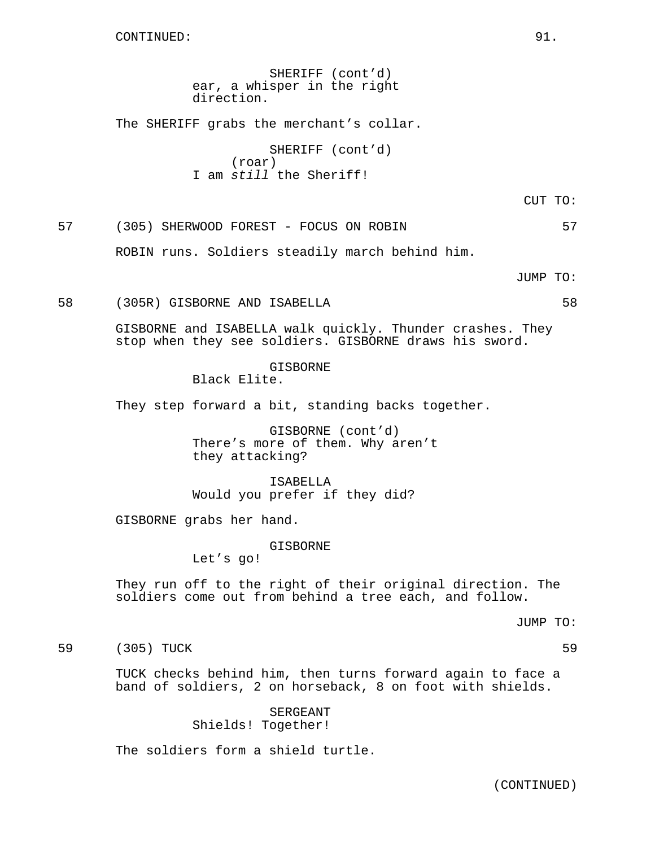SHERIFF (cont'd) ear, a whisper in the right direction.

The SHERIFF grabs the merchant's collar.

SHERIFF (cont'd) (roar) I am still the Sheriff!

CUT TO:

57 (305) SHERWOOD FOREST - FOCUS ON ROBIN 57

ROBIN runs. Soldiers steadily march behind him.

JUMP TO:

#### 58 (305R) GISBORNE AND ISABELLA 58

GISBORNE and ISABELLA walk quickly. Thunder crashes. They stop when they see soldiers. GISBORNE draws his sword.

> GISBORNE Black Elite.

They step forward a bit, standing backs together.

GISBORNE (cont'd) There's more of them. Why aren't they attacking?

ISABELLA Would you prefer if they did?

GISBORNE grabs her hand.

GISBORNE

Let's go!

They run off to the right of their original direction. The soldiers come out from behind a tree each, and follow.

JUMP TO:

59 (305) TUCK 59

TUCK checks behind him, then turns forward again to face a band of soldiers, 2 on horseback, 8 on foot with shields.

> SERGEANT Shields! Together!

The soldiers form a shield turtle.

(CONTINUED)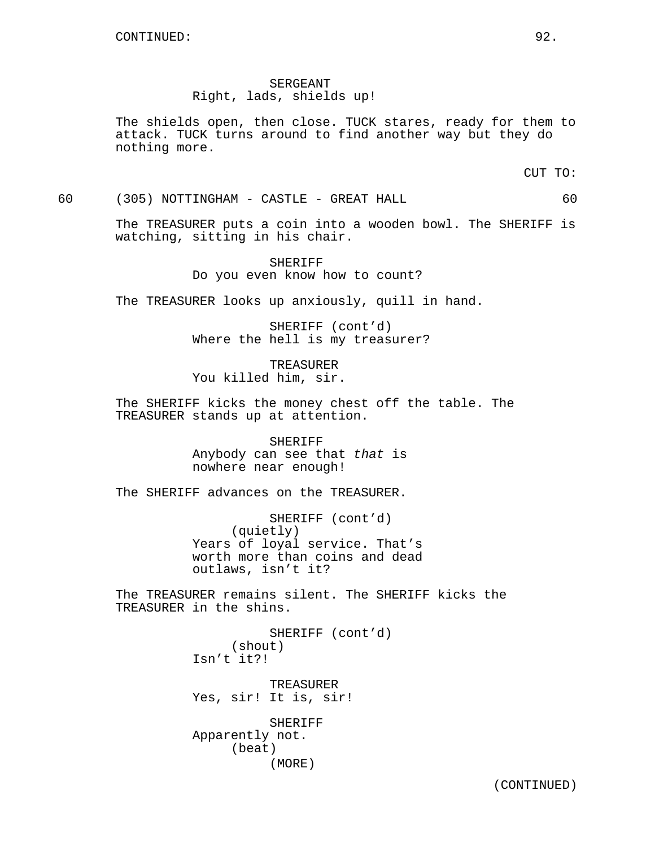SERGEANT Right, lads, shields up!

The shields open, then close. TUCK stares, ready for them to attack. TUCK turns around to find another way but they do nothing more.

CUT TO:

60 (305) NOTTINGHAM - CASTLE - GREAT HALL 60

The TREASURER puts a coin into a wooden bowl. The SHERIFF is watching, sitting in his chair.

> SHERIFF Do you even know how to count?

The TREASURER looks up anxiously, quill in hand.

SHERIFF (cont'd) Where the hell is my treasurer?

TREASURER You killed him, sir.

The SHERIFF kicks the money chest off the table. The TREASURER stands up at attention.

> SHERIFF Anybody can see that that is nowhere near enough!

The SHERIFF advances on the TREASURER.

SHERIFF (cont'd) (quietly) Years of loyal service. That's worth more than coins and dead outlaws, isn't it?

The TREASURER remains silent. The SHERIFF kicks the TREASURER in the shins.

> SHERIFF (cont'd) (shout) Isn't it?!

TREASURER Yes, sir! It is, sir!

SHERIFF Apparently not. (beat) (MORE)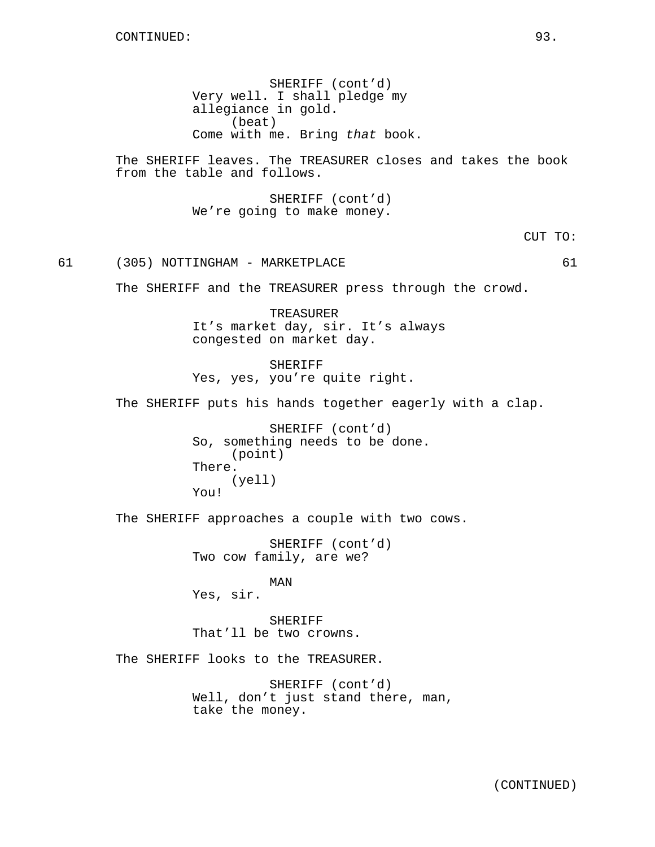SHERIFF (cont'd) Very well. I shall pledge my allegiance in gold. (beat) Come with me. Bring that book.

The SHERIFF leaves. The TREASURER closes and takes the book from the table and follows.

> SHERIFF (cont'd) We're going to make money.

> > CUT TO:

61 (305) NOTTINGHAM - MARKETPLACE 61

The SHERIFF and the TREASURER press through the crowd.

TREASURER It's market day, sir. It's always congested on market day.

SHERIFF Yes, yes, you're quite right.

The SHERIFF puts his hands together eagerly with a clap.

SHERIFF (cont'd) So, something needs to be done. (point) There. (yell) You!

The SHERIFF approaches a couple with two cows.

SHERIFF (cont'd) Two cow family, are we?

MAN Yes, sir.

SHERIFF That'll be two crowns.

The SHERIFF looks to the TREASURER.

SHERIFF (cont'd) Well, don't just stand there, man, take the money.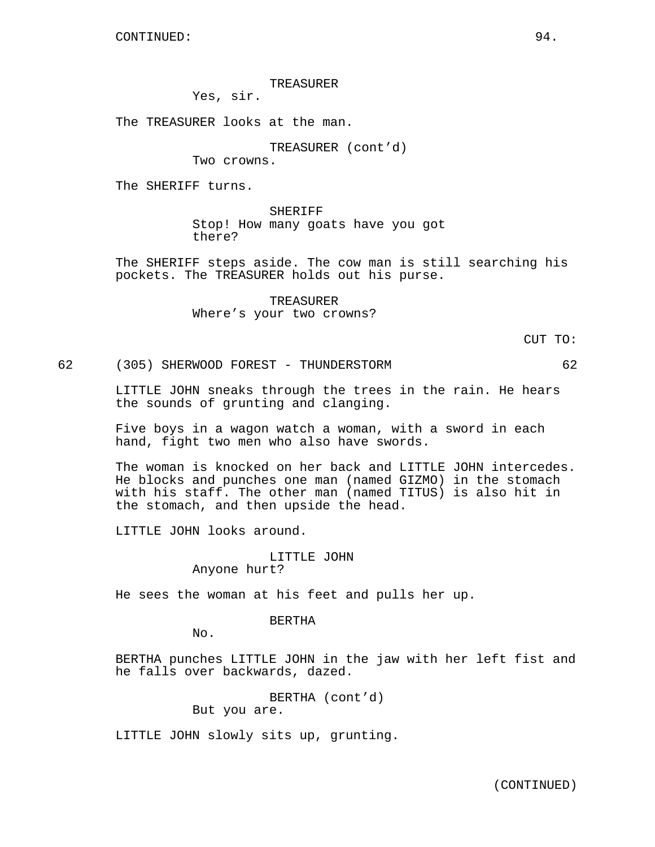TREASURER

Yes, sir.

The TREASURER looks at the man.

TREASURER (cont'd)

Two crowns.

The SHERIFF turns.

SHERIFF Stop! How many goats have you got there?

The SHERIFF steps aside. The cow man is still searching his pockets. The TREASURER holds out his purse.

> TREASURER Where's your two crowns?

> > CUT TO:

62 (305) SHERWOOD FOREST - THUNDERSTORM 62

LITTLE JOHN sneaks through the trees in the rain. He hears the sounds of grunting and clanging.

Five boys in a wagon watch a woman, with a sword in each hand, fight two men who also have swords.

The woman is knocked on her back and LITTLE JOHN intercedes. He blocks and punches one man (named GIZMO) in the stomach with his staff. The other man (named TITUS) is also hit in the stomach, and then upside the head.

LITTLE JOHN looks around.

LITTLE JOHN Anyone hurt?

He sees the woman at his feet and pulls her up.

BERTHA

No.

BERTHA punches LITTLE JOHN in the jaw with her left fist and he falls over backwards, dazed.

> BERTHA (cont'd) But you are.

LITTLE JOHN slowly sits up, grunting.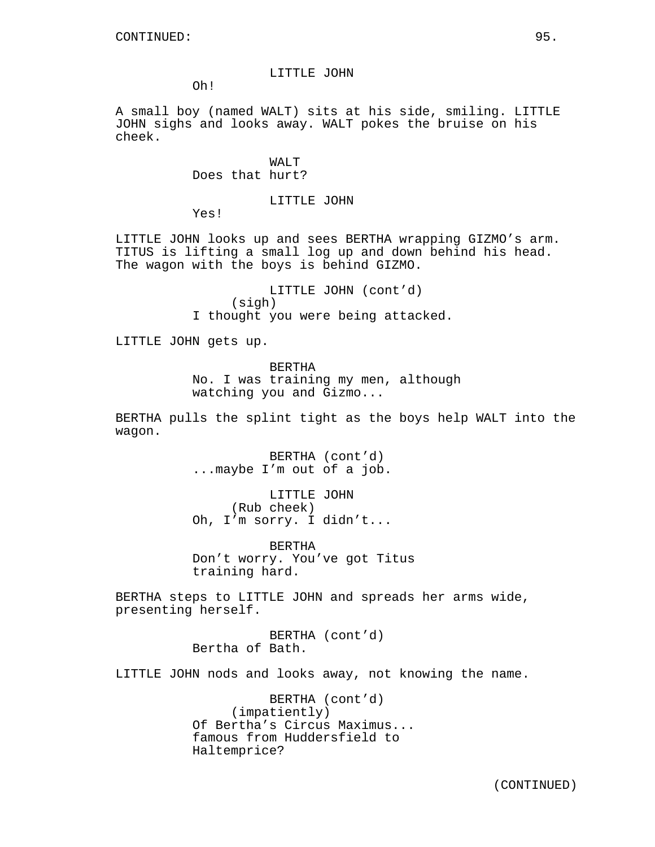#### LITTLE JOHN

Oh!

A small boy (named WALT) sits at his side, smiling. LITTLE JOHN sighs and looks away. WALT pokes the bruise on his cheek.

### WALT Does that hurt?

### LITTLE JOHN

Yes!

LITTLE JOHN looks up and sees BERTHA wrapping GIZMO's arm. TITUS is lifting a small log up and down behind his head. The wagon with the boys is behind GIZMO.

> LITTLE JOHN (cont'd) (sigh) I thought you were being attacked.

LITTLE JOHN gets up.

BERTHA

No. I was training my men, although watching you and Gizmo...

BERTHA pulls the splint tight as the boys help WALT into the wagon.

> BERTHA (cont'd) ...maybe I'm out of a job.

LITTLE JOHN (Rub cheek) Oh, I'm sorry. I didn't...

BERTHA Don't worry. You've got Titus training hard.

BERTHA steps to LITTLE JOHN and spreads her arms wide, presenting herself.

> BERTHA (cont'd) Bertha of Bath.

LITTLE JOHN nods and looks away, not knowing the name.

BERTHA (cont'd) (impatiently) Of Bertha's Circus Maximus... famous from Huddersfield to Haltemprice?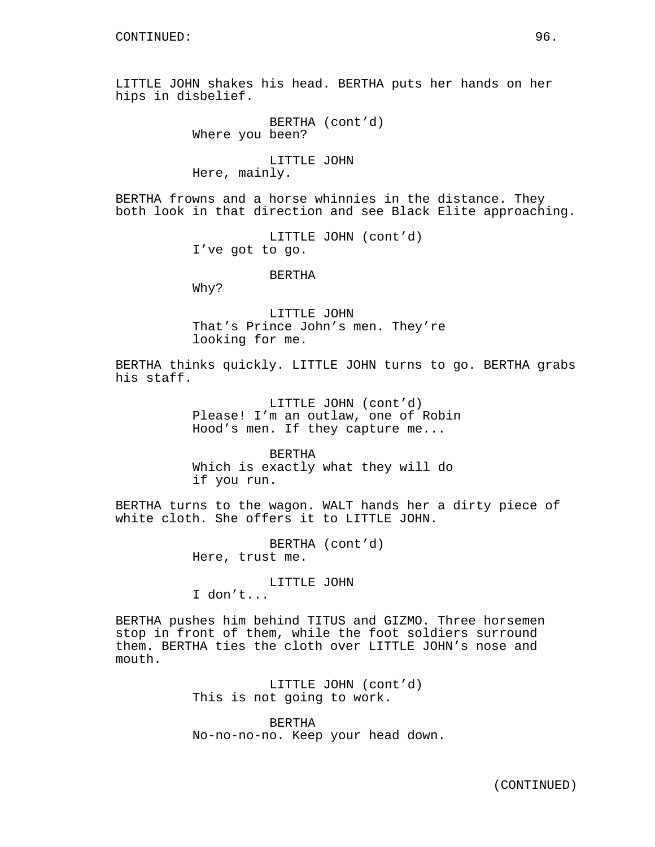LITTLE JOHN shakes his head. BERTHA puts her hands on her hips in disbelief.

> BERTHA (cont'd) Where you been?

LITTLE JOHN Here, mainly.

BERTHA frowns and a horse whinnies in the distance. They both look in that direction and see Black Elite approaching.

> LITTLE JOHN (cont'd) I've got to go.

> > BERTHA

Why?

LITTLE JOHN That's Prince John's men. They're looking for me.

BERTHA thinks quickly. LITTLE JOHN turns to go. BERTHA grabs his staff.

> LITTLE JOHN (cont'd) Please! I'm an outlaw, one of Robin Hood's men. If they capture me...

BERTHA Which is exactly what they will do if you run.

BERTHA turns to the wagon. WALT hands her a dirty piece of white cloth. She offers it to LITTLE JOHN.

> BERTHA (cont'd) Here, trust me.

> > LITTLE JOHN

I don't...

BERTHA pushes him behind TITUS and GIZMO. Three horsemen stop in front of them, while the foot soldiers surround them. BERTHA ties the cloth over LITTLE JOHN's nose and mouth.

> LITTLE JOHN (cont'd) This is not going to work.

BERTHA No-no-no-no. Keep your head down.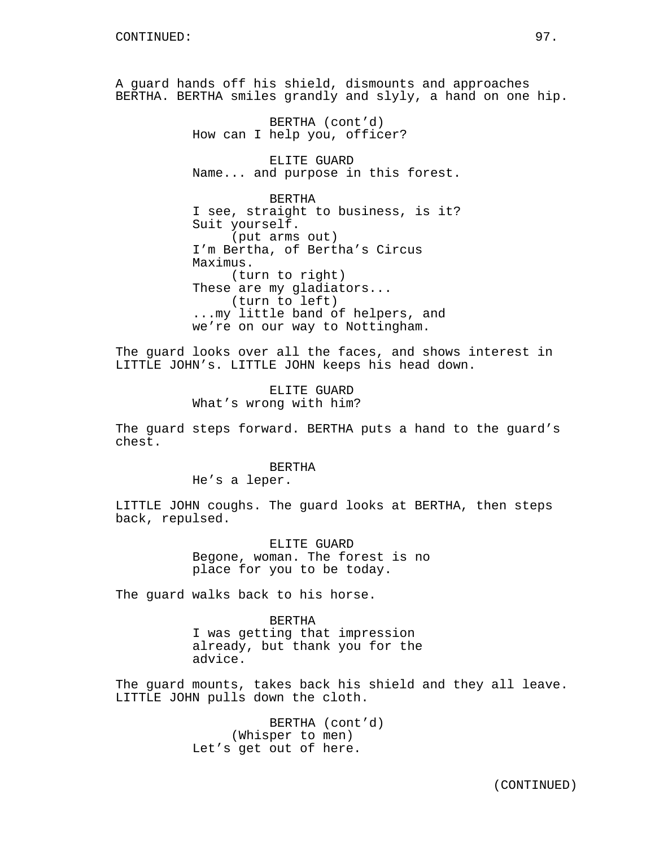A guard hands off his shield, dismounts and approaches BERTHA. BERTHA smiles grandly and slyly, a hand on one hip.

> BERTHA (cont'd) How can I help you, officer?

ELITE GUARD Name... and purpose in this forest.

BERTHA I see, straight to business, is it? Suit yourself. (put arms out) I'm Bertha, of Bertha's Circus Maximus. (turn to right) These are my gladiators... (turn to left) ...my little band of helpers, and we're on our way to Nottingham.

The guard looks over all the faces, and shows interest in LITTLE JOHN's. LITTLE JOHN keeps his head down.

> ELITE GUARD What's wrong with him?

The guard steps forward. BERTHA puts a hand to the guard's chest.

### **BERTHA**

He's a leper.

LITTLE JOHN coughs. The guard looks at BERTHA, then steps back, repulsed.

> ELITE GUARD Begone, woman. The forest is no place for you to be today.

The guard walks back to his horse.

BERTHA I was getting that impression already, but thank you for the advice.

The guard mounts, takes back his shield and they all leave. LITTLE JOHN pulls down the cloth.

> BERTHA (cont'd) (Whisper to men) Let's get out of here.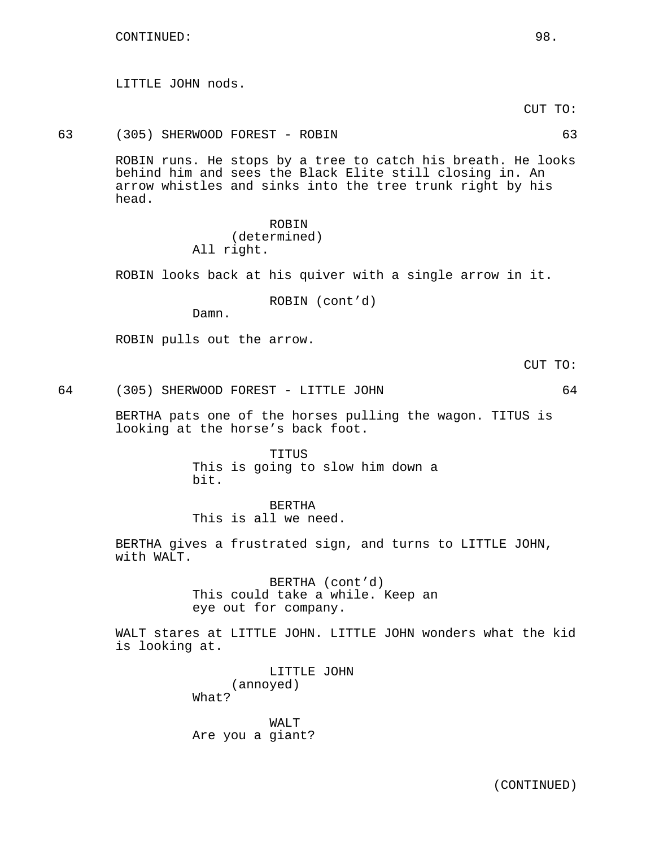LITTLE JOHN nods.

CUT TO:

63 (305) SHERWOOD FOREST - ROBIN 63

ROBIN runs. He stops by a tree to catch his breath. He looks behind him and sees the Black Elite still closing in. An arrow whistles and sinks into the tree trunk right by his head.

> ROBIN (determined) All right.

ROBIN looks back at his quiver with a single arrow in it.

ROBIN (cont'd)

Damn.

ROBIN pulls out the arrow.

CUT TO:

64 (305) SHERWOOD FOREST - LITTLE JOHN 64

BERTHA pats one of the horses pulling the wagon. TITUS is looking at the horse's back foot.

> TITUS This is going to slow him down a bit.

BERTHA This is all we need.

BERTHA gives a frustrated sign, and turns to LITTLE JOHN, with WALT.

> BERTHA (cont'd) This could take a while. Keep an eye out for company.

WALT stares at LITTLE JOHN. LITTLE JOHN wonders what the kid is looking at.

> LITTLE JOHN (annoyed) What?

WALT Are you a giant?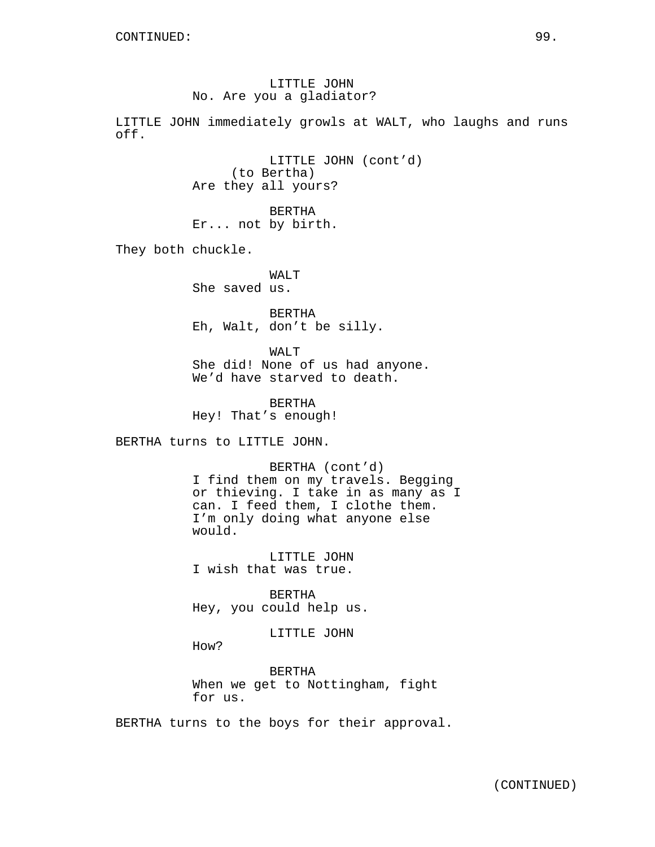# LITTLE JOHN No. Are you a gladiator?

LITTLE JOHN immediately growls at WALT, who laughs and runs off.

> LITTLE JOHN (cont'd) (to Bertha) Are they all yours?

BERTHA Er... not by birth.

They both chuckle.

WALT<sub>T</sub> She saved us.

BERTHA Eh, Walt, don't be silly.

WALT She did! None of us had anyone. We'd have starved to death.

BERTHA Hey! That's enough!

BERTHA turns to LITTLE JOHN.

BERTHA (cont'd) I find them on my travels. Begging or thieving. I take in as many as I can. I feed them, I clothe them. I'm only doing what anyone else would.

LITTLE JOHN I wish that was true.

BERTHA Hey, you could help us.

LITTLE JOHN

How?

BERTHA When we get to Nottingham, fight for us.

BERTHA turns to the boys for their approval.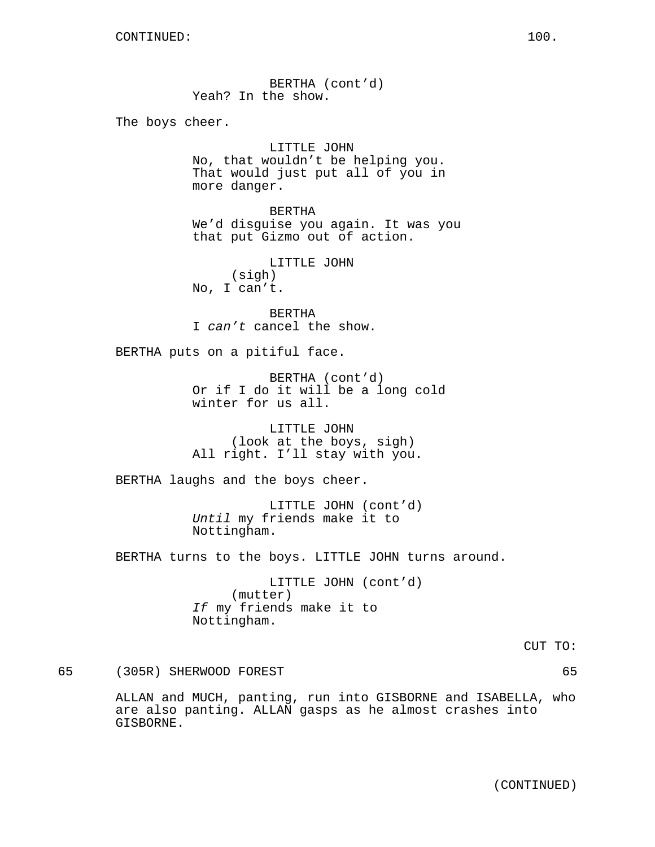BERTHA (cont'd) Yeah? In the show.

The boys cheer.

LITTLE JOHN No, that wouldn't be helping you. That would just put all of you in more danger.

BERTHA We'd disguise you again. It was you that put Gizmo out of action.

LITTLE JOHN (sigh) No, I can't.

BERTHA I can't cancel the show.

BERTHA puts on a pitiful face.

BERTHA (cont'd) Or if I do it will be a long cold winter for us all.

LITTLE JOHN (look at the boys, sigh) All right. I'll stay with you.

BERTHA laughs and the boys cheer.

LITTLE JOHN (cont'd) Until my friends make it to Nottingham.

BERTHA turns to the boys. LITTLE JOHN turns around.

LITTLE JOHN (cont'd) (mutter) If my friends make it to Nottingham.

CUT TO:

65 (305R) SHERWOOD FOREST 65

ALLAN and MUCH, panting, run into GISBORNE and ISABELLA, who are also panting. ALLAN gasps as he almost crashes into GISBORNE.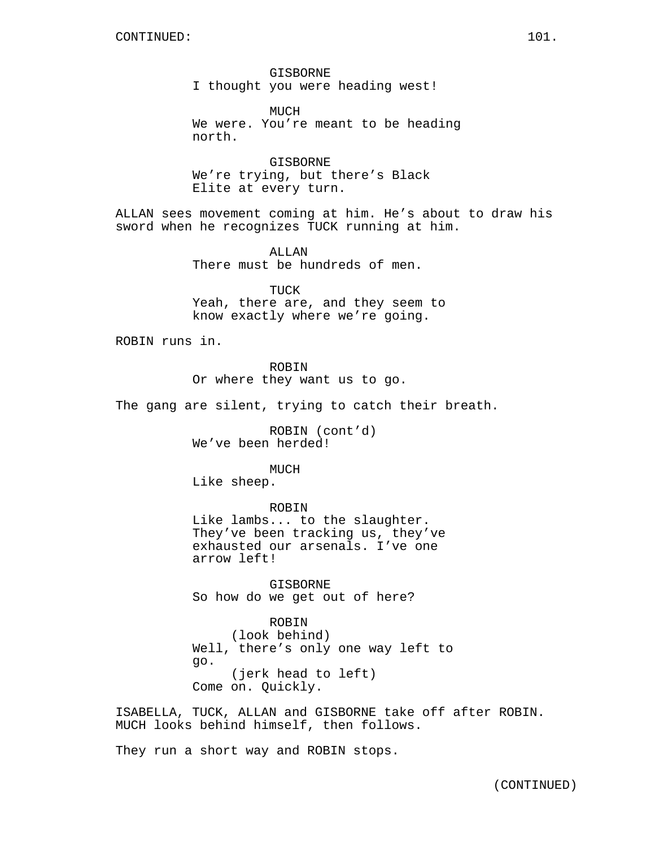GISBORNE I thought you were heading west!

MUCH We were. You're meant to be heading north.

GISBORNE We're trying, but there's Black Elite at every turn.

ALLAN sees movement coming at him. He's about to draw his sword when he recognizes TUCK running at him.

> ALLAN There must be hundreds of men.

TUCK Yeah, there are, and they seem to know exactly where we're going.

ROBIN runs in.

ROBIN

Or where they want us to go.

The gang are silent, trying to catch their breath.

ROBIN (cont'd) We've been herded!

MUCH Like sheep.

ROBIN

Like lambs... to the slaughter. They've been tracking us, they've exhausted our arsenals. I've one arrow left!

GISBORNE So how do we get out of here?

ROBIN (look behind) Well, there's only one way left to go. (jerk head to left) Come on. Quickly.

ISABELLA, TUCK, ALLAN and GISBORNE take off after ROBIN. MUCH looks behind himself, then follows.

They run a short way and ROBIN stops.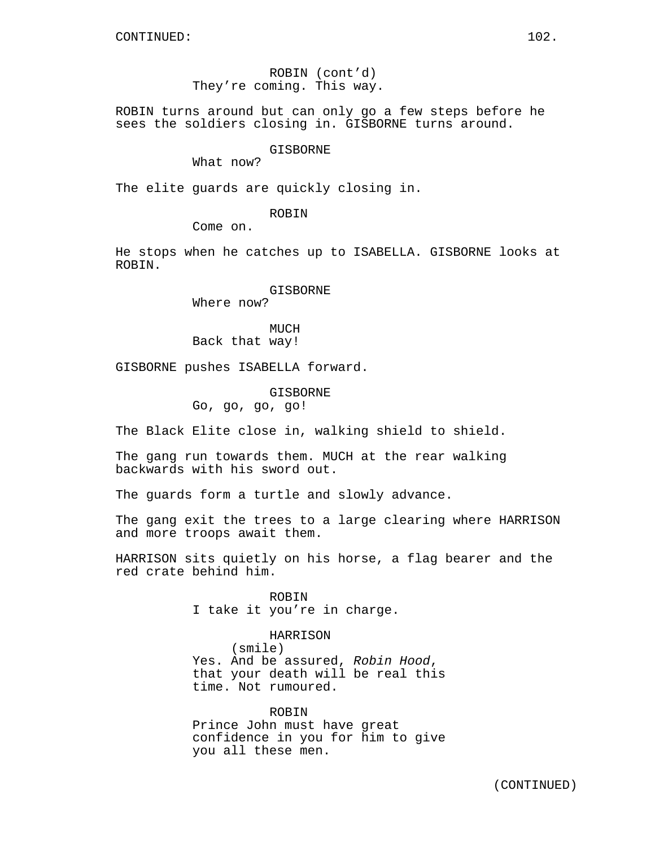ROBIN (cont'd) They're coming. This way.

ROBIN turns around but can only go a few steps before he sees the soldiers closing in. GISBORNE turns around.

#### GISBORNE

What now?

The elite guards are quickly closing in.

ROBIN

Come on.

He stops when he catches up to ISABELLA. GISBORNE looks at ROBIN.

# GISBORNE

Where now?

MUCH Back that way!

GISBORNE pushes ISABELLA forward.

GISBORNE Go, go, go, go!

The Black Elite close in, walking shield to shield.

The gang run towards them. MUCH at the rear walking backwards with his sword out.

The guards form a turtle and slowly advance.

The gang exit the trees to a large clearing where HARRISON and more troops await them.

HARRISON sits quietly on his horse, a flag bearer and the red crate behind him.

> ROBIN I take it you're in charge.

HARRISON (smile) Yes. And be assured, Robin Hood, that your death will be real this time. Not rumoured.

ROBIN Prince John must have great confidence in you for him to give you all these men.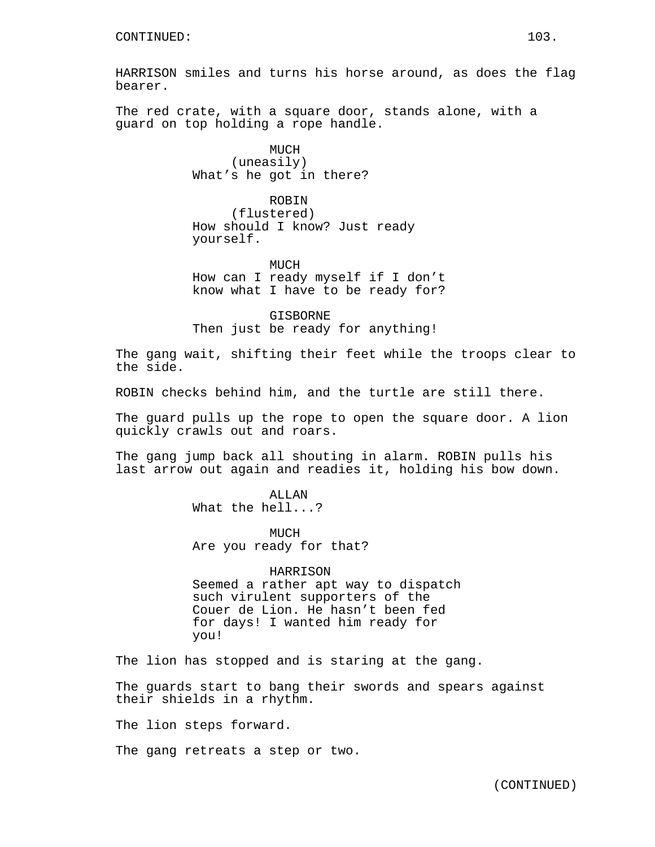HARRISON smiles and turns his horse around, as does the flag bearer.

The red crate, with a square door, stands alone, with a guard on top holding a rope handle.

> MUCH (uneasily) What's he got in there?

ROBIN (flustered) How should I know? Just ready yourself.

MUCH How can I ready myself if I don't know what I have to be ready for?

GISBORNE Then just be ready for anything!

The gang wait, shifting their feet while the troops clear to the side.

ROBIN checks behind him, and the turtle are still there.

The guard pulls up the rope to open the square door. A lion quickly crawls out and roars.

The gang jump back all shouting in alarm. ROBIN pulls his last arrow out again and readies it, holding his bow down.

> **ALLAN** What the hell...?

MUCH Are you ready for that?

HARRISON Seemed a rather apt way to dispatch such virulent supporters of the Couer de Lion. He hasn't been fed for days! I wanted him ready for you!

The lion has stopped and is staring at the gang.

The guards start to bang their swords and spears against their shields in a rhythm.

The lion steps forward.

The gang retreats a step or two.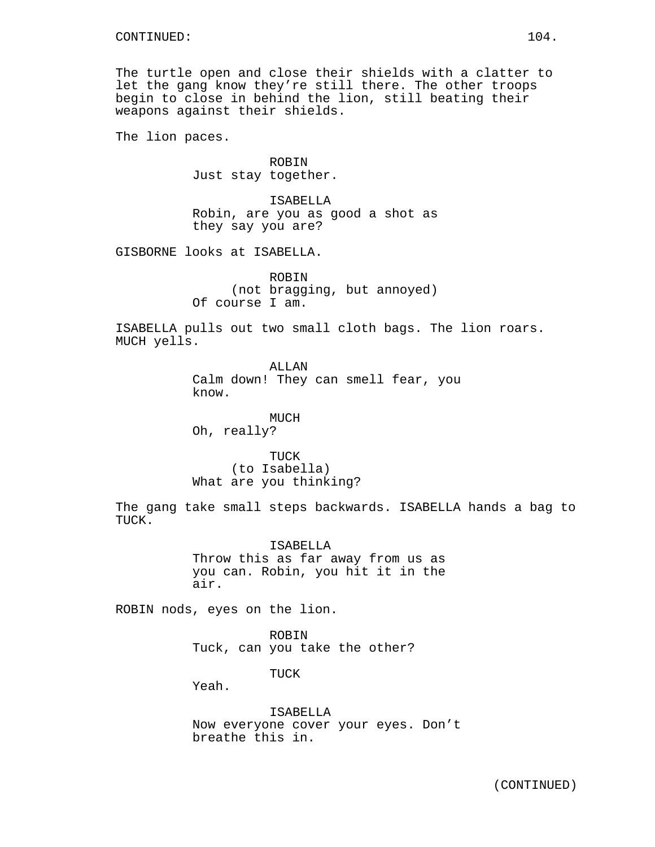The turtle open and close their shields with a clatter to let the gang know they're still there. The other troops begin to close in behind the lion, still beating their weapons against their shields.

The lion paces.

**ROBIN** Just stay together.

ISABELLA Robin, are you as good a shot as they say you are?

GISBORNE looks at ISABELLA.

ROBIN (not bragging, but annoyed) Of course I am.

ISABELLA pulls out two small cloth bags. The lion roars. MUCH yells.

> ALLAN Calm down! They can smell fear, you know.

MUCH Oh, really?

TUCK (to Isabella) What are you thinking?

The gang take small steps backwards. ISABELLA hands a bag to TUCK.

> ISABELLA Throw this as far away from us as you can. Robin, you hit it in the air.

ROBIN nods, eyes on the lion.

ROBIN Tuck, can you take the other?

TUCK

Yeah.

ISABELLA Now everyone cover your eyes. Don't breathe this in.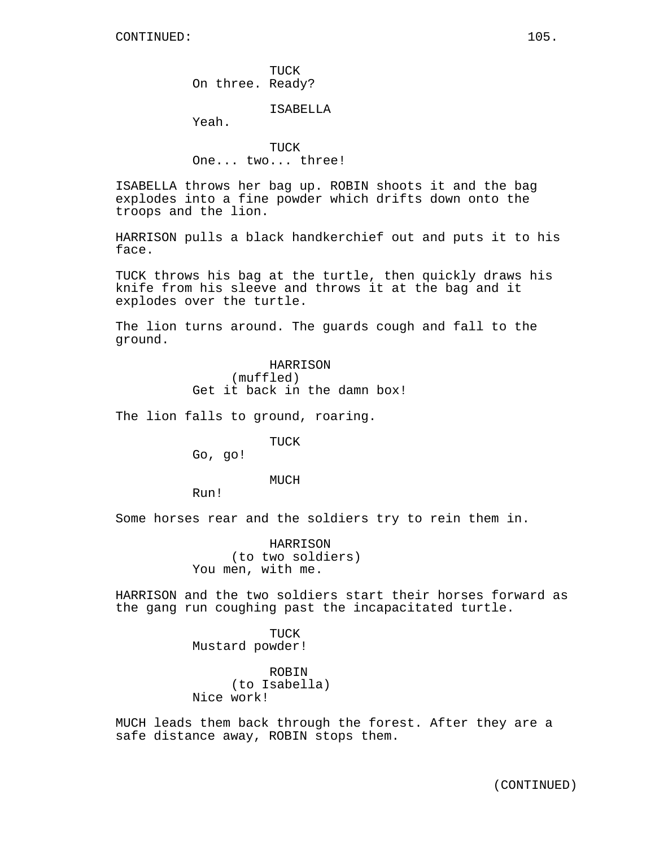TUCK On three. Ready?

#### ISABELLA

Yeah.

TUCK One... two... three!

ISABELLA throws her bag up. ROBIN shoots it and the bag explodes into a fine powder which drifts down onto the troops and the lion.

HARRISON pulls a black handkerchief out and puts it to his face.

TUCK throws his bag at the turtle, then quickly draws his knife from his sleeve and throws it at the bag and it explodes over the turtle.

The lion turns around. The guards cough and fall to the ground.

> HARRISON (muffled) Get it back in the damn box!

The lion falls to ground, roaring.

TUCK

Go, go!

MUCH

Run!

Some horses rear and the soldiers try to rein them in.

HARRISON (to two soldiers) You men, with me.

HARRISON and the two soldiers start their horses forward as the gang run coughing past the incapacitated turtle.

> TUCK Mustard powder!

ROBIN (to Isabella) Nice work!

MUCH leads them back through the forest. After they are a safe distance away, ROBIN stops them.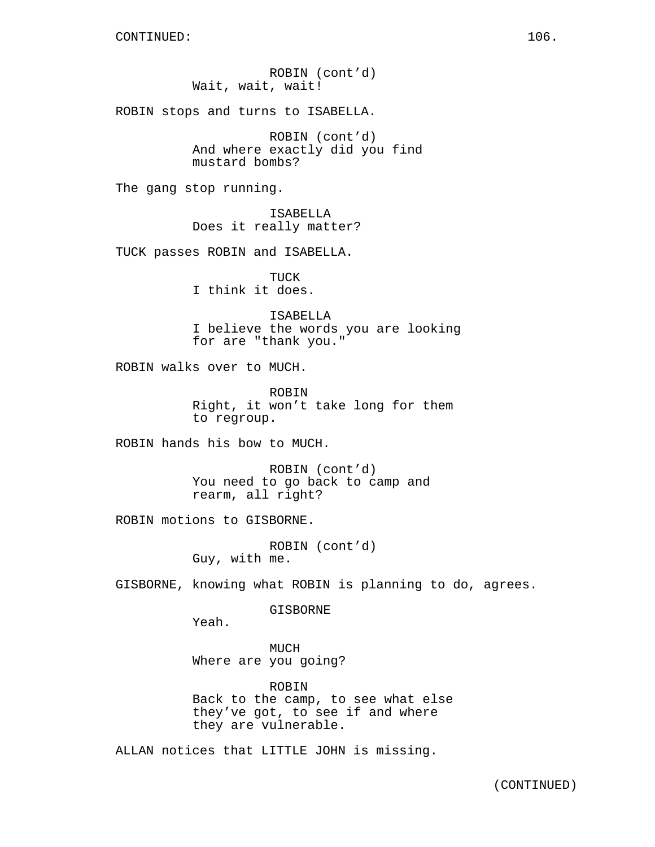ROBIN (cont'd) Wait, wait, wait!

ROBIN stops and turns to ISABELLA.

ROBIN (cont'd) And where exactly did you find mustard bombs?

The gang stop running.

ISABELLA Does it really matter?

TUCK passes ROBIN and ISABELLA.

TUCK I think it does.

ISABELLA I believe the words you are looking for are "thank you."

ROBIN walks over to MUCH.

ROBIN Right, it won't take long for them to regroup.

ROBIN hands his bow to MUCH.

ROBIN (cont'd) You need to go back to camp and rearm, all right?

ROBIN motions to GISBORNE.

ROBIN (cont'd) Guy, with me.

GISBORNE, knowing what ROBIN is planning to do, agrees.

GISBORNE

Yeah.

MUCH Where are you going?

ROBIN Back to the camp, to see what else they've got, to see if and where they are vulnerable.

ALLAN notices that LITTLE JOHN is missing.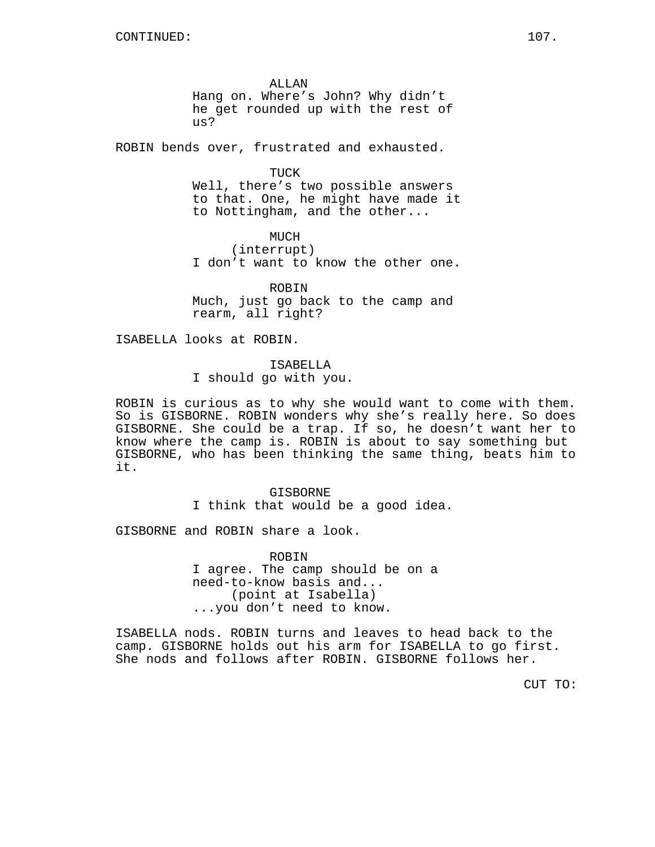ALLAN Hang on. Where's John? Why didn't he get rounded up with the rest of us?

ROBIN bends over, frustrated and exhausted.

TUCK

Well, there's two possible answers to that. One, he might have made it to Nottingham, and the other...

MUCH (interrupt) I don't want to know the other one.

ROBIN Much, just go back to the camp and rearm, all right?

ISABELLA looks at ROBIN.

ISABELLA

I should go with you.

ROBIN is curious as to why she would want to come with them. So is GISBORNE. ROBIN wonders why she's really here. So does GISBORNE. She could be a trap. If so, he doesn't want her to know where the camp is. ROBIN is about to say something but GISBORNE, who has been thinking the same thing, beats him to it.

> GISBORNE I think that would be a good idea.

GISBORNE and ROBIN share a look.

ROBIN I agree. The camp should be on a need-to-know basis and... (point at Isabella) ...you don't need to know.

ISABELLA nods. ROBIN turns and leaves to head back to the camp. GISBORNE holds out his arm for ISABELLA to go first. She nods and follows after ROBIN. GISBORNE follows her.

CUT TO: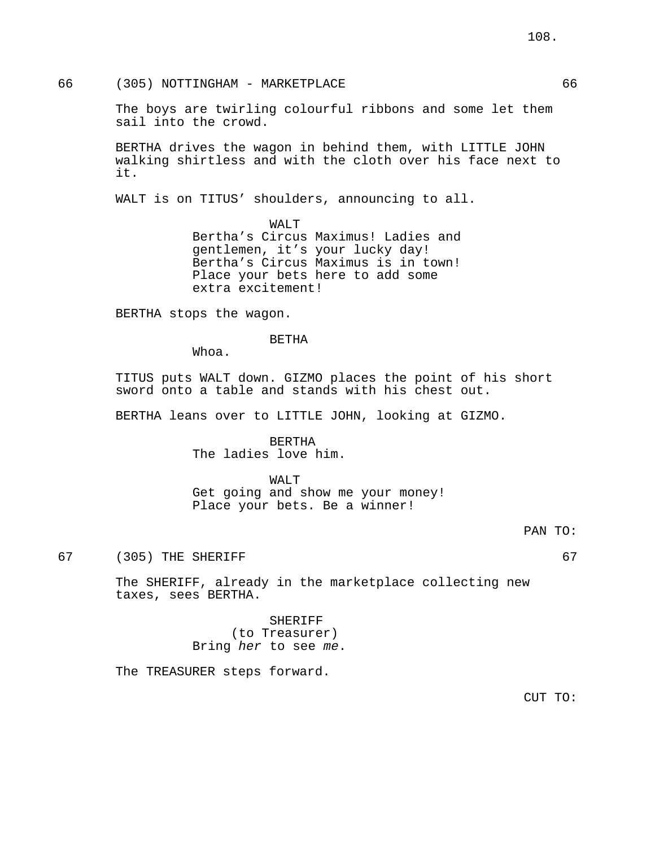66 (305) NOTTINGHAM - MARKETPLACE 66

The boys are twirling colourful ribbons and some let them sail into the crowd.

BERTHA drives the wagon in behind them, with LITTLE JOHN walking shirtless and with the cloth over his face next to it.

WALT is on TITUS' shoulders, announcing to all.

WALT Bertha's Circus Maximus! Ladies and gentlemen, it's your lucky day! Bertha's Circus Maximus is in town! Place your bets here to add some extra excitement!

BERTHA stops the wagon.

BETHA

Whoa.

TITUS puts WALT down. GIZMO places the point of his short sword onto a table and stands with his chest out.

BERTHA leans over to LITTLE JOHN, looking at GIZMO.

BERTHA The ladies love him.

WALT

Get going and show me your money! Place your bets. Be a winner!

67 (305) THE SHERIFF 67

The SHERIFF, already in the marketplace collecting new taxes, sees BERTHA.

> SHERIFF (to Treasurer) Bring her to see me.

The TREASURER steps forward.

CUT TO: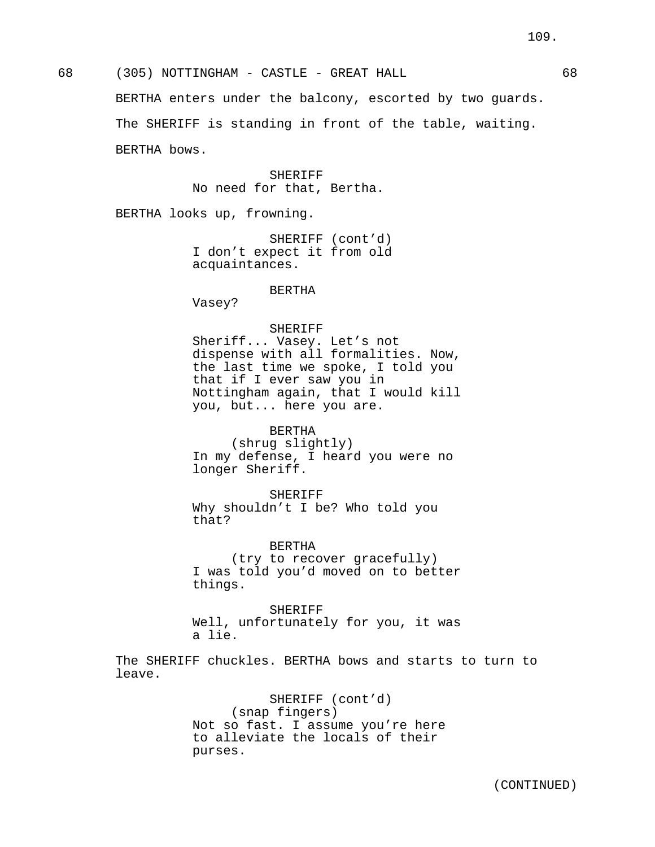68 (305) NOTTINGHAM - CASTLE - GREAT HALL 68 BERTHA enters under the balcony, escorted by two guards. The SHERIFF is standing in front of the table, waiting. BERTHA bows.

> SHERIFF No need for that, Bertha.

BERTHA looks up, frowning.

SHERIFF (cont'd) I don't expect it from old acquaintances.

#### BERTHA

Vasey?

## SHERIFF

Sheriff... Vasey. Let's not dispense with all formalities. Now, the last time we spoke, I told you that if I ever saw you in Nottingham again, that I would kill you, but... here you are.

BERTHA

(shrug slightly) In my defense, I heard you were no longer Sheriff.

SHERIFF Why shouldn't I be? Who told you that?

BERTHA (try to recover gracefully) I was told you'd moved on to better things.

SHERIFF Well, unfortunately for you, it was a lie.

The SHERIFF chuckles. BERTHA bows and starts to turn to leave.

> SHERIFF (cont'd) (snap fingers) Not so fast. I assume you're here to alleviate the locals of their purses.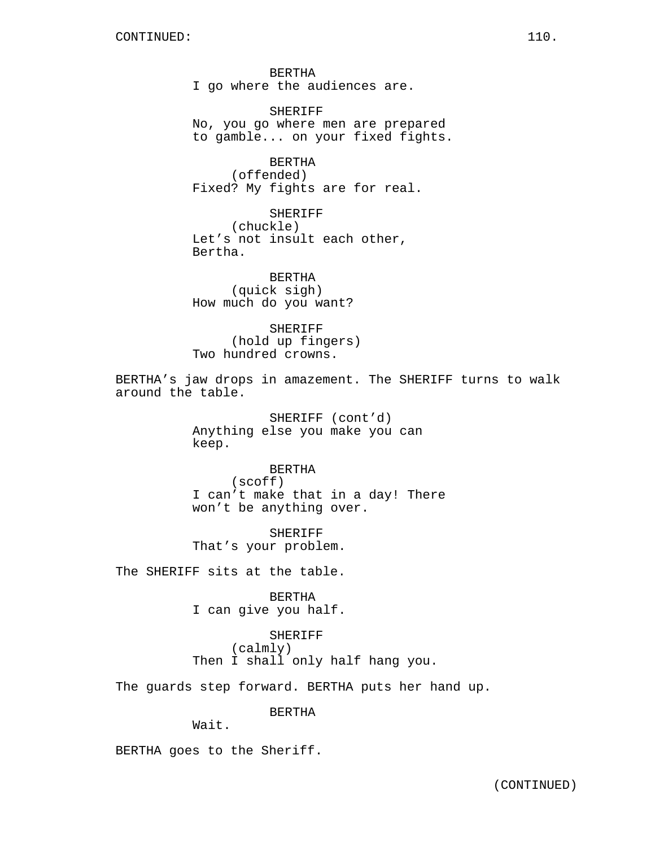BERTHA I go where the audiences are.

SHERIFF No, you go where men are prepared to gamble... on your fixed fights.

BERTHA (offended) Fixed? My fights are for real.

SHERIFF (chuckle) Let's not insult each other, Bertha.

BERTHA (quick sigh) How much do you want?

SHERIFF (hold up fingers) Two hundred crowns.

BERTHA's jaw drops in amazement. The SHERIFF turns to walk around the table.

> SHERIFF (cont'd) Anything else you make you can keep.

BERTHA (scoff) I can't make that in a day! There won't be anything over.

SHERIFF That's your problem.

The SHERIFF sits at the table.

BERTHA I can give you half.

SHERIFF (calmly) Then I shall only half hang you.

The guards step forward. BERTHA puts her hand up.

BERTHA

Wait.

BERTHA goes to the Sheriff.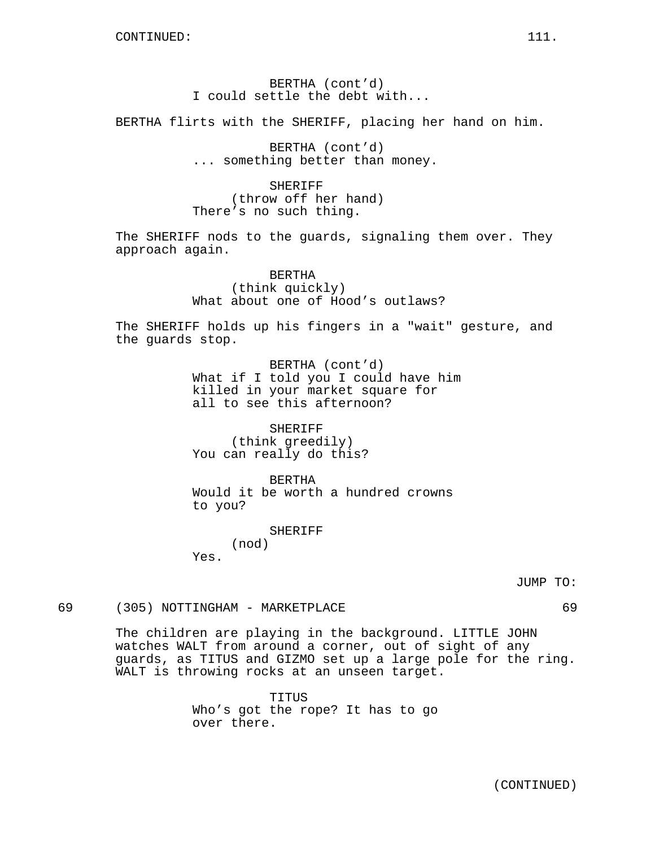BERTHA (cont'd) I could settle the debt with...

BERTHA flirts with the SHERIFF, placing her hand on him.

BERTHA (cont'd) ... something better than money.

SHERIFF (throw off her hand) There's no such thing.

The SHERIFF nods to the guards, signaling them over. They approach again.

> BERTHA (think quickly) What about one of Hood's outlaws?

The SHERIFF holds up his fingers in a "wait" gesture, and the guards stop.

> BERTHA (cont'd) What if I told you I could have him killed in your market square for all to see this afternoon?

SHERIFF (think greedily) You can really do this?

BERTHA Would it be worth a hundred crowns to you?

> SHERIFF (nod)

Yes.

JUMP TO:

69 (305) NOTTINGHAM - MARKETPLACE 69

The children are playing in the background. LITTLE JOHN watches WALT from around a corner, out of sight of any guards, as TITUS and GIZMO set up a large pole for the ring. WALT is throwing rocks at an unseen target.

> TITUS Who's got the rope? It has to go over there.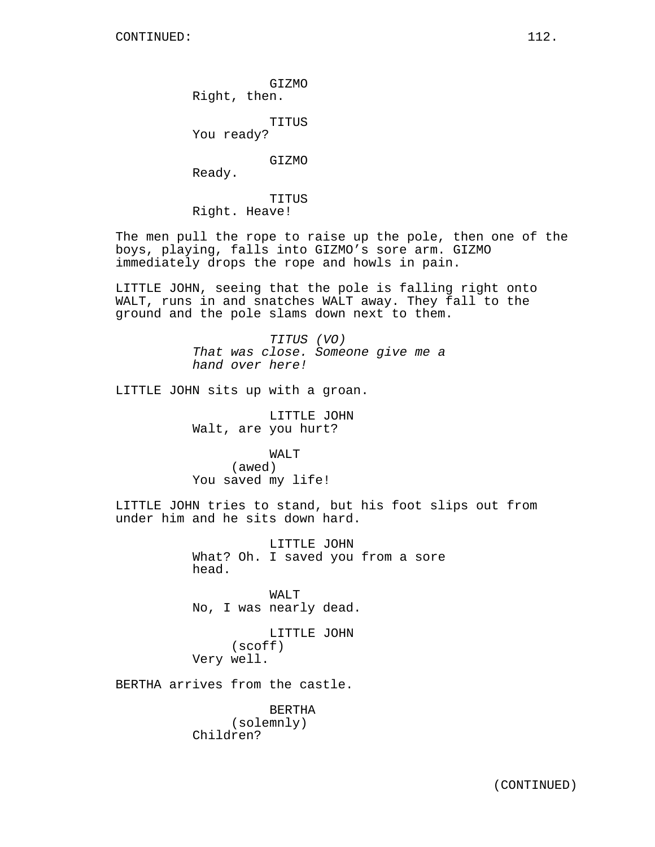GIZMO Right, then.

TITUS

You ready?

GIZMO

Ready.

TITUS Right. Heave!

The men pull the rope to raise up the pole, then one of the boys, playing, falls into GIZMO's sore arm. GIZMO immediately drops the rope and howls in pain.

LITTLE JOHN, seeing that the pole is falling right onto WALT, runs in and snatches WALT away. They fall to the ground and the pole slams down next to them.

> TITUS (VO) That was close. Someone give me a hand over here!

LITTLE JOHN sits up with a groan.

LITTLE JOHN Walt, are you hurt?

WALT (awed) You saved my life!

LITTLE JOHN tries to stand, but his foot slips out from under him and he sits down hard.

> LITTLE JOHN What? Oh. I saved you from a sore head.

WALT No, I was nearly dead.

LITTLE JOHN (scoff) Very well.

BERTHA arrives from the castle.

BERTHA (solemnly) Children?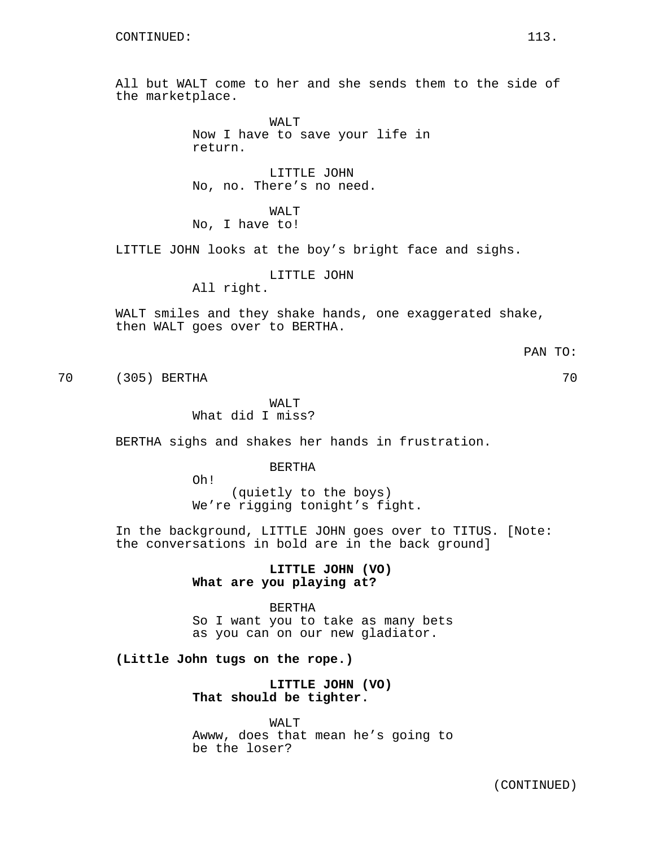All but WALT come to her and she sends them to the side of the marketplace.

> WALT Now I have to save your life in return.

LITTLE JOHN No, no. There's no need.

WALT No, I have to!

LITTLE JOHN looks at the boy's bright face and sighs.

LITTLE JOHN

All right.

WALT smiles and they shake hands, one exaggerated shake, then WALT goes over to BERTHA.

70 (305) BERTHA 70

WAT.T What did I miss?

BERTHA sighs and shakes her hands in frustration.

BERTHA

Oh! (quietly to the boys) We're rigging tonight's fight.

In the background, LITTLE JOHN goes over to TITUS. [Note: the conversations in bold are in the back ground]

> **LITTLE JOHN (VO) What are you playing at?**

BERTHA So I want you to take as many bets as you can on our new gladiator.

**(Little John tugs on the rope.)**

**LITTLE JOHN (VO) That should be tighter.**

WALT Awww, does that mean he's going to be the loser?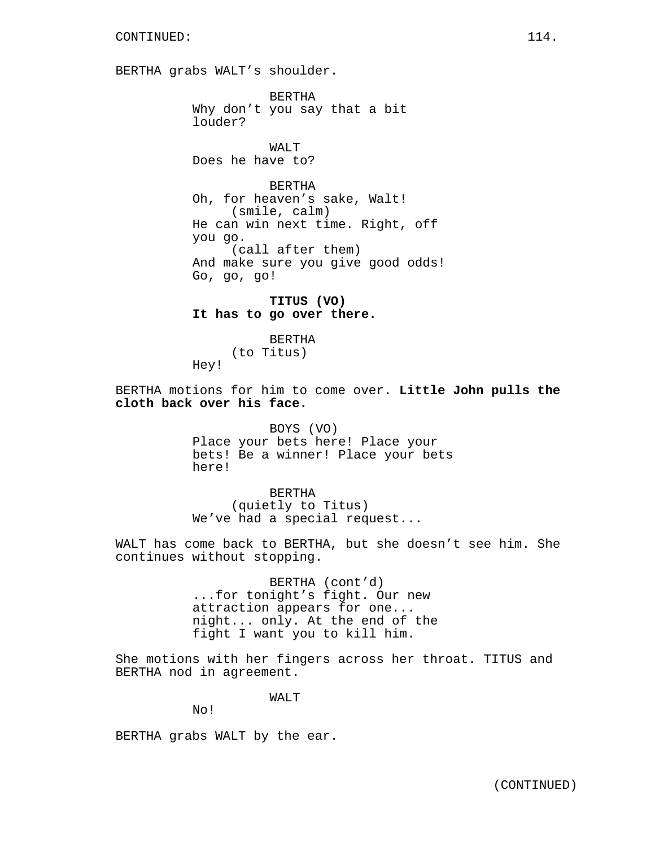BERTHA grabs WALT's shoulder.

BERTHA Why don't you say that a bit louder?

WAT<sub>T</sub> Does he have to?

BERTHA Oh, for heaven's sake, Walt! (smile, calm) He can win next time. Right, off you go. (call after them) And make sure you give good odds! Go, go, go!

**TITUS (VO) It has to go over there.**

**BERTHA** (to Titus) Hey!

BERTHA motions for him to come over. **Little John pulls the cloth back over his face.**

> BOYS (VO) Place your bets here! Place your bets! Be a winner! Place your bets here!

> > BERTHA (quietly to Titus)

We've had a special request...

WALT has come back to BERTHA, but she doesn't see him. She continues without stopping.

> BERTHA (cont'd) ...for tonight's fight. Our new attraction appears for one... night... only. At the end of the fight I want you to kill him.

She motions with her fingers across her throat. TITUS and BERTHA nod in agreement.

WALT

No!

BERTHA grabs WALT by the ear.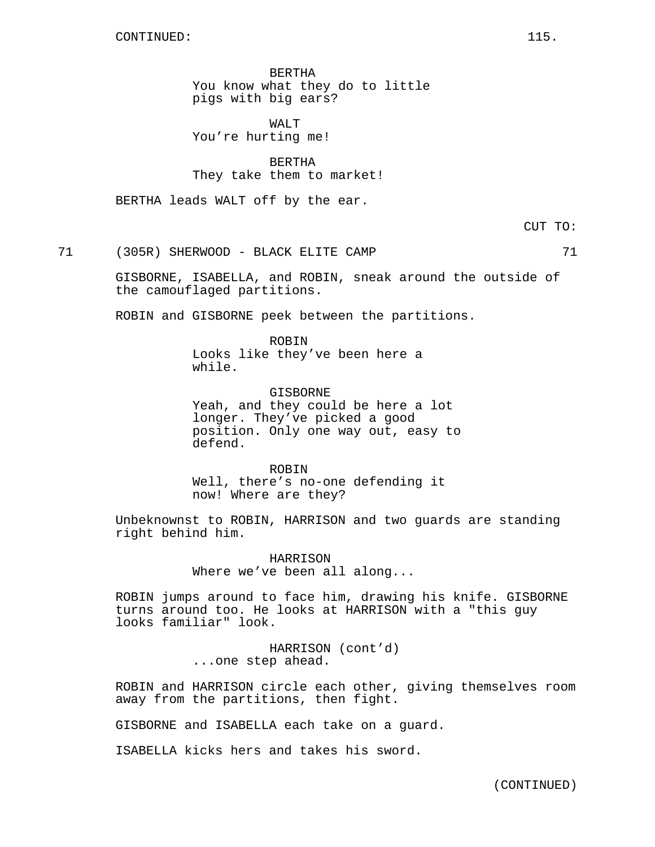BERTHA You know what they do to little pigs with big ears?

WALT You're hurting me!

BERTHA They take them to market!

BERTHA leads WALT off by the ear.

CUT TO:

71 (305R) SHERWOOD - BLACK ELITE CAMP 71

GISBORNE, ISABELLA, and ROBIN, sneak around the outside of the camouflaged partitions.

ROBIN and GISBORNE peek between the partitions.

ROBIN Looks like they've been here a while.

GISBORNE Yeah, and they could be here a lot longer. They've picked a good position. Only one way out, easy to defend.

ROBIN Well, there's no-one defending it now! Where are they?

Unbeknownst to ROBIN, HARRISON and two guards are standing right behind him.

> HARRISON Where we've been all along...

ROBIN jumps around to face him, drawing his knife. GISBORNE turns around too. He looks at HARRISON with a "this guy looks familiar" look.

> HARRISON (cont'd) ...one step ahead.

ROBIN and HARRISON circle each other, giving themselves room away from the partitions, then fight.

GISBORNE and ISABELLA each take on a guard.

ISABELLA kicks hers and takes his sword.

(CONTINUED)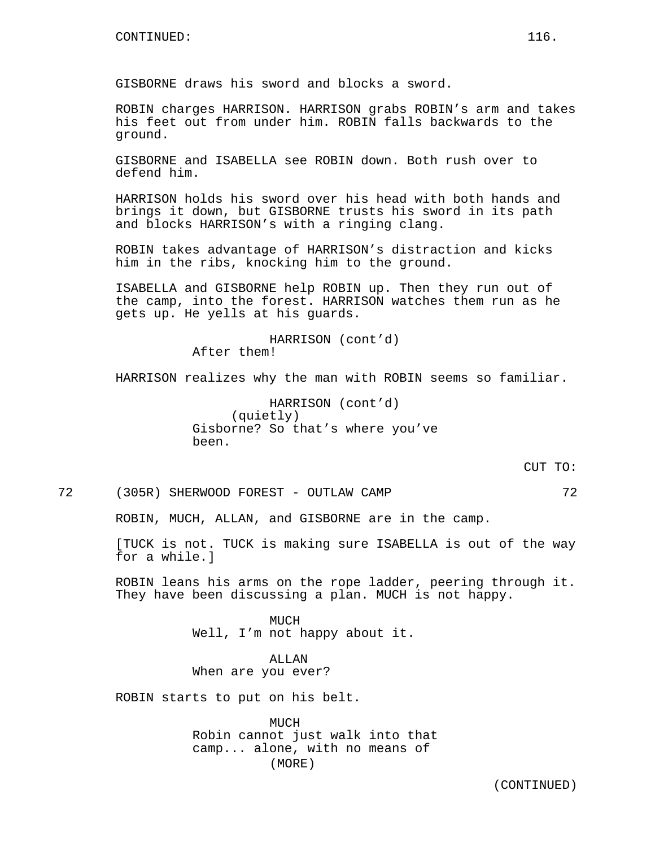GISBORNE draws his sword and blocks a sword.

ROBIN charges HARRISON. HARRISON grabs ROBIN's arm and takes his feet out from under him. ROBIN falls backwards to the ground.

GISBORNE and ISABELLA see ROBIN down. Both rush over to defend him.

HARRISON holds his sword over his head with both hands and brings it down, but GISBORNE trusts his sword in its path and blocks HARRISON's with a ringing clang.

ROBIN takes advantage of HARRISON's distraction and kicks him in the ribs, knocking him to the ground.

ISABELLA and GISBORNE help ROBIN up. Then they run out of the camp, into the forest. HARRISON watches them run as he gets up. He yells at his guards.

> HARRISON (cont'd) After them!

HARRISON realizes why the man with ROBIN seems so familiar.

HARRISON (cont'd) (quietly) Gisborne? So that's where you've been.

 $C$ UT  $TO:$ 

72 (305R) SHERWOOD FOREST - OUTLAW CAMP 72

ROBIN, MUCH, ALLAN, and GISBORNE are in the camp.

[TUCK is not. TUCK is making sure ISABELLA is out of the way for a while.]

ROBIN leans his arms on the rope ladder, peering through it. They have been discussing a plan. MUCH is not happy.

> MUCH Well, I'm not happy about it.

ALLAN When are you ever?

ROBIN starts to put on his belt.

MUCH Robin cannot just walk into that camp... alone, with no means of (MORE)

(CONTINUED)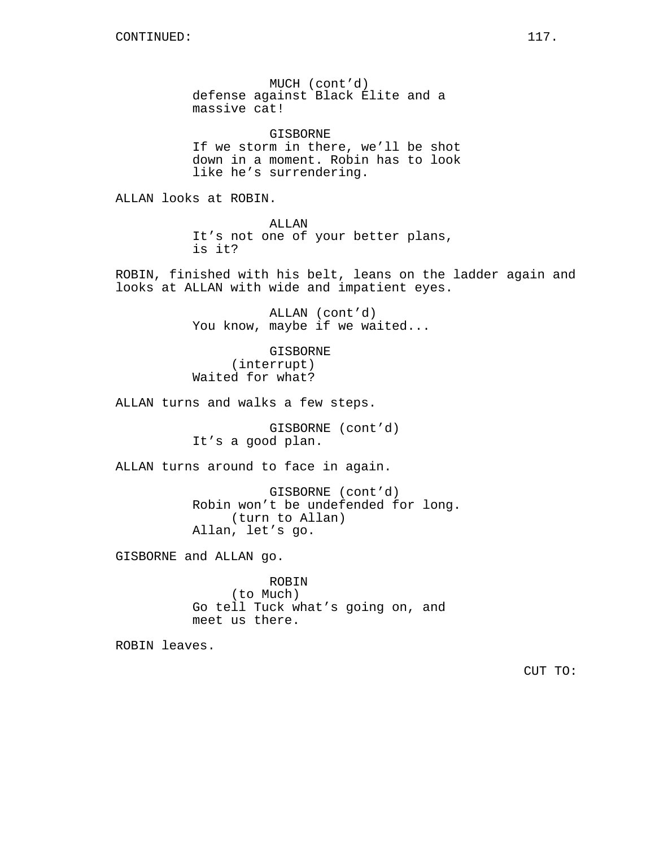MUCH (cont'd) defense against Black Elite and a massive cat!

GISBORNE If we storm in there, we'll be shot down in a moment. Robin has to look like he's surrendering.

ALLAN looks at ROBIN.

ALLAN It's not one of your better plans, is it?

ROBIN, finished with his belt, leans on the ladder again and looks at ALLAN with wide and impatient eyes.

> ALLAN (cont'd) You know, maybe if we waited...

GISBORNE (interrupt) Waited for what?

ALLAN turns and walks a few steps.

GISBORNE (cont'd) It's a good plan.

ALLAN turns around to face in again.

GISBORNE (cont'd) Robin won't be undefended for long. (turn to Allan) Allan, let's go.

GISBORNE and ALLAN go.

ROBIN (to Much) Go tell Tuck what's going on, and meet us there.

ROBIN leaves.

CUT TO: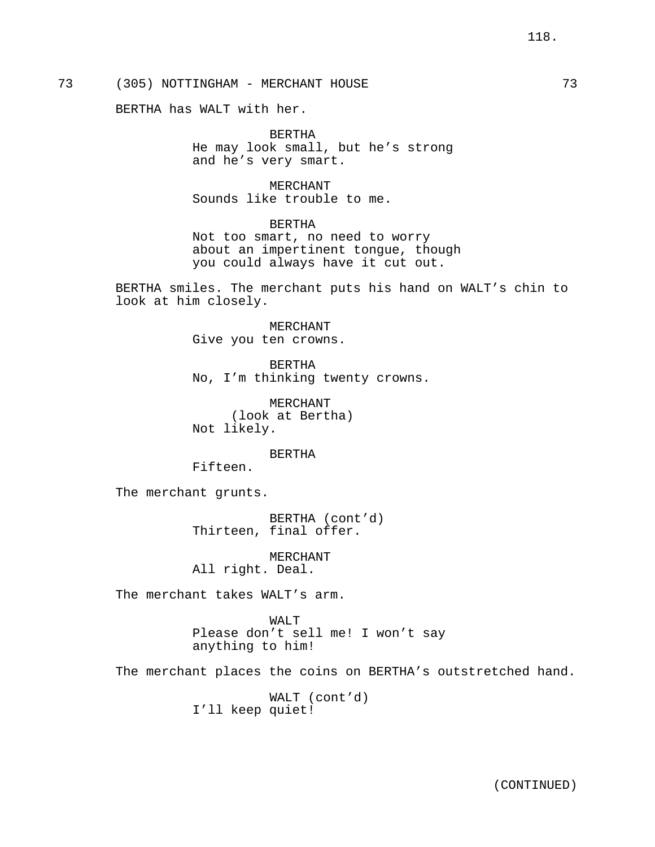# 73 (305) NOTTINGHAM - MERCHANT HOUSE 73

BERTHA has WALT with her.

BERTHA He may look small, but he's strong and he's very smart.

MERCHANT Sounds like trouble to me.

BERTHA

Not too smart, no need to worry about an impertinent tongue, though you could always have it cut out.

BERTHA smiles. The merchant puts his hand on WALT's chin to look at him closely.

> MERCHANT Give you ten crowns.

BERTHA No, I'm thinking twenty crowns.

MERCHANT (look at Bertha) Not likely.

BERTHA

Fifteen.

The merchant grunts.

BERTHA (cont'd) Thirteen, final offer.

MERCHANT All right. Deal.

The merchant takes WALT's arm.

WALT Please don't sell me! I won't say anything to him!

The merchant places the coins on BERTHA's outstretched hand.

WALT (cont'd) I'll keep quiet!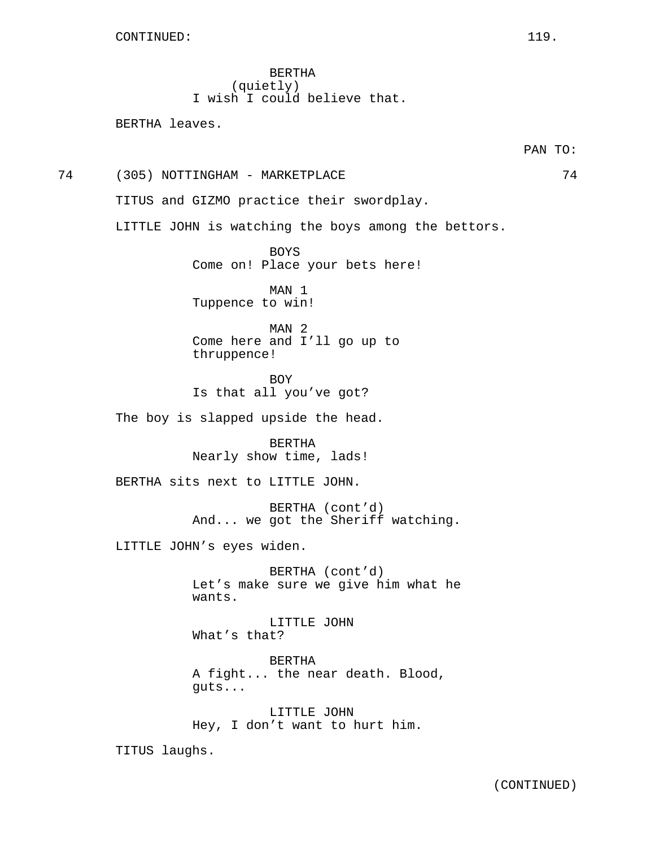BERTHA (quietly) I wish I could believe that.

BERTHA leaves.

74 (305) NOTTINGHAM - MARKETPLACE 74

TITUS and GIZMO practice their swordplay.

LITTLE JOHN is watching the boys among the bettors.

BOYS Come on! Place your bets here!

MAN 1 Tuppence to win!

MAN 2 Come here and I'll go up to thruppence!

BOY Is that all you've got?

The boy is slapped upside the head.

BERTHA Nearly show time, lads!

BERTHA sits next to LITTLE JOHN.

BERTHA (cont'd) And... we got the Sheriff watching.

LITTLE JOHN's eyes widen.

BERTHA (cont'd) Let's make sure we give him what he wants.

LITTLE JOHN What's that?

BERTHA A fight... the near death. Blood, guts...

LITTLE JOHN Hey, I don't want to hurt him.

TITUS laughs.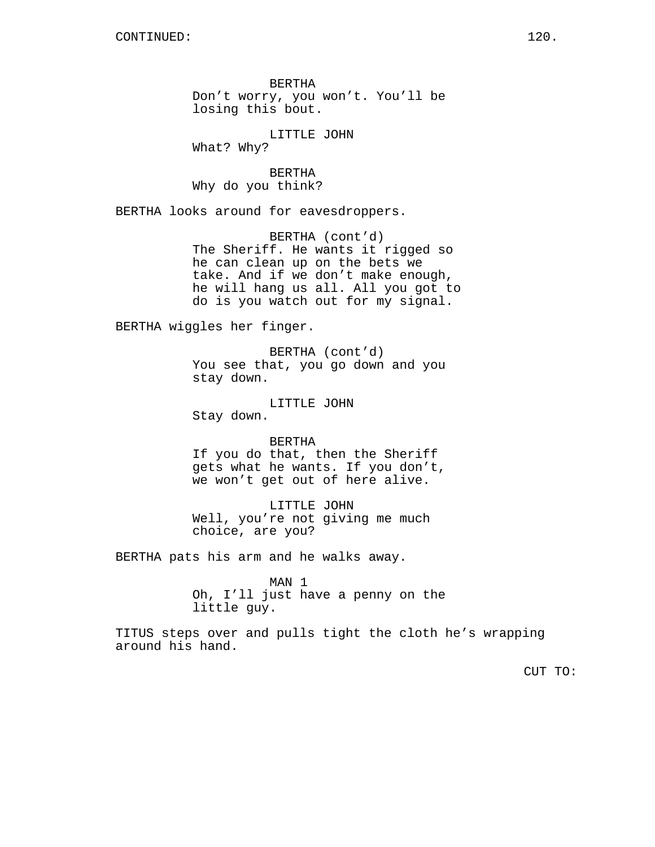BERTHA Don't worry, you won't. You'll be losing this bout.

LITTLE JOHN What? Why?

BERTHA Why do you think?

BERTHA looks around for eavesdroppers.

BERTHA (cont'd) The Sheriff. He wants it rigged so he can clean up on the bets we take. And if we don't make enough, he will hang us all. All you got to do is you watch out for my signal.

BERTHA wiggles her finger.

BERTHA (cont'd) You see that, you go down and you stay down.

LITTLE JOHN Stay down.

BERTHA If you do that, then the Sheriff gets what he wants. If you don't, we won't get out of here alive.

LITTLE JOHN Well, you're not giving me much choice, are you?

BERTHA pats his arm and he walks away.

MAN 1 Oh, I'll just have a penny on the little guy.

TITUS steps over and pulls tight the cloth he's wrapping around his hand.

CUT TO: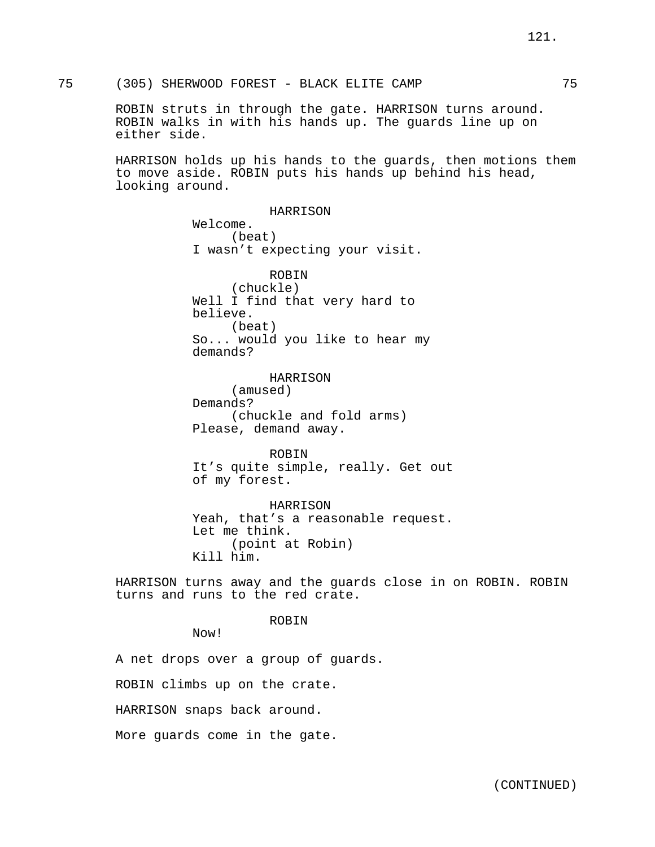ROBIN struts in through the gate. HARRISON turns around. ROBIN walks in with his hands up. The guards line up on either side.

HARRISON holds up his hands to the guards, then motions them to move aside. ROBIN puts his hands up behind his head, looking around.

> HARRISON Welcome. (beat) I wasn't expecting your visit. ROBIN (chuckle) Well I find that very hard to believe. (beat) So... would you like to hear my demands?

HARRISON (amused) Demands? (chuckle and fold arms) Please, demand away.

ROBIN It's quite simple, really. Get out of my forest.

HARRISON Yeah, that's a reasonable request. Let me think. (point at Robin) Kill him.

HARRISON turns away and the guards close in on ROBIN. ROBIN turns and runs to the red crate.

ROBIN

Now!

A net drops over a group of guards.

ROBIN climbs up on the crate.

HARRISON snaps back around.

More guards come in the gate.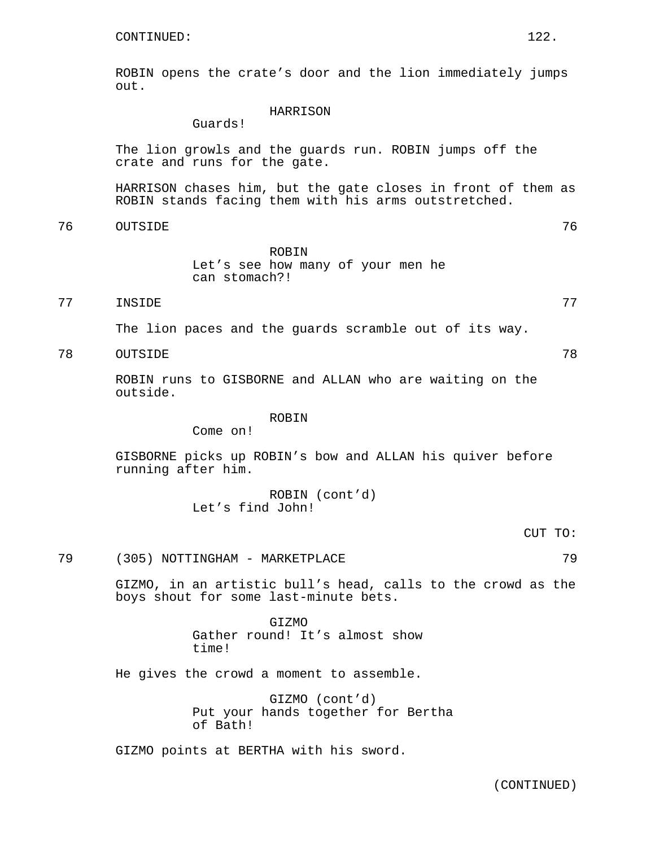ROBIN opens the crate's door and the lion immediately jumps out.

## HARRISON

Guards!

The lion growls and the guards run. ROBIN jumps off the crate and runs for the gate.

HARRISON chases him, but the gate closes in front of them as ROBIN stands facing them with his arms outstretched.

76 OUTSIDE 76

ROBIN Let's see how many of your men he can stomach?!

# 77 INSIDE 77

The lion paces and the guards scramble out of its way.

78 OUTSIDE 78

ROBIN runs to GISBORNE and ALLAN who are waiting on the outside.

## ROBIN

Come on!

GISBORNE picks up ROBIN's bow and ALLAN his quiver before running after him.

> ROBIN (cont'd) Let's find John!

> > CUT TO:

# 79 (305) NOTTINGHAM - MARKETPLACE 79

GIZMO, in an artistic bull's head, calls to the crowd as the boys shout for some last-minute bets.

> GIZMO Gather round! It's almost show time!

He gives the crowd a moment to assemble.

GIZMO (cont'd) Put your hands together for Bertha of Bath!

GIZMO points at BERTHA with his sword.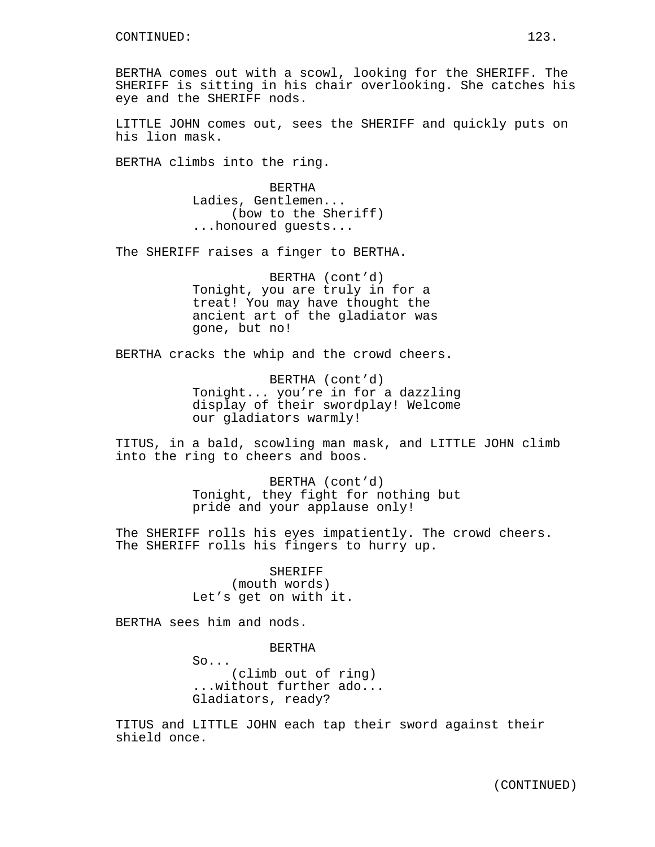BERTHA comes out with a scowl, looking for the SHERIFF. The SHERIFF is sitting in his chair overlooking. She catches his eye and the SHERIFF nods.

LITTLE JOHN comes out, sees the SHERIFF and quickly puts on his lion mask.

BERTHA climbs into the ring.

BERTHA Ladies, Gentlemen... (bow to the Sheriff) ...honoured guests...

The SHERIFF raises a finger to BERTHA.

BERTHA (cont'd) Tonight, you are truly in for a treat! You may have thought the ancient art of the gladiator was gone, but no!

BERTHA cracks the whip and the crowd cheers.

BERTHA (cont'd) Tonight... you're in for a dazzling display of their swordplay! Welcome our gladiators warmly!

TITUS, in a bald, scowling man mask, and LITTLE JOHN climb into the ring to cheers and boos.

> BERTHA (cont'd) Tonight, they fight for nothing but pride and your applause only!

The SHERIFF rolls his eyes impatiently. The crowd cheers. The SHERIFF rolls his fingers to hurry up.

> SHERIFF (mouth words) Let's get on with it.

BERTHA sees him and nods.

BERTHA

So... (climb out of ring) ...without further ado... Gladiators, ready?

TITUS and LITTLE JOHN each tap their sword against their shield once.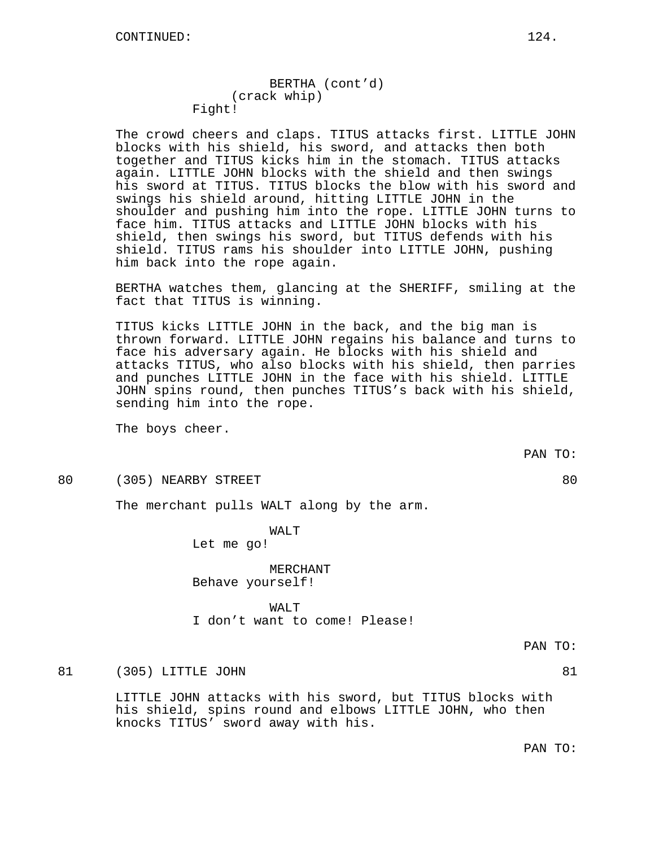BERTHA (cont'd) (crack whip) Fight!

The crowd cheers and claps. TITUS attacks first. LITTLE JOHN blocks with his shield, his sword, and attacks then both together and TITUS kicks him in the stomach. TITUS attacks again. LITTLE JOHN blocks with the shield and then swings his sword at TITUS. TITUS blocks the blow with his sword and swings his shield around, hitting LITTLE JOHN in the shoulder and pushing him into the rope. LITTLE JOHN turns to face him. TITUS attacks and LITTLE JOHN blocks with his shield, then swings his sword, but TITUS defends with his shield. TITUS rams his shoulder into LITTLE JOHN, pushing him back into the rope again.

BERTHA watches them, glancing at the SHERIFF, smiling at the fact that TITUS is winning.

TITUS kicks LITTLE JOHN in the back, and the big man is thrown forward. LITTLE JOHN regains his balance and turns to face his adversary again. He blocks with his shield and attacks TITUS, who also blocks with his shield, then parries and punches LITTLE JOHN in the face with his shield. LITTLE JOHN spins round, then punches TITUS's back with his shield, sending him into the rope.

The boys cheer.

80 (305) NEARBY STREET 80

The merchant pulls WALT along by the arm.

WALT Let me go!

MERCHANT Behave yourself!

## WAT<sub>U</sub>T

I don't want to come! Please!

PAN TO:

81 (305) LITTLE JOHN 81

LITTLE JOHN attacks with his sword, but TITUS blocks with his shield, spins round and elbows LITTLE JOHN, who then knocks TITUS' sword away with his.

PAN TO:

PAN TO: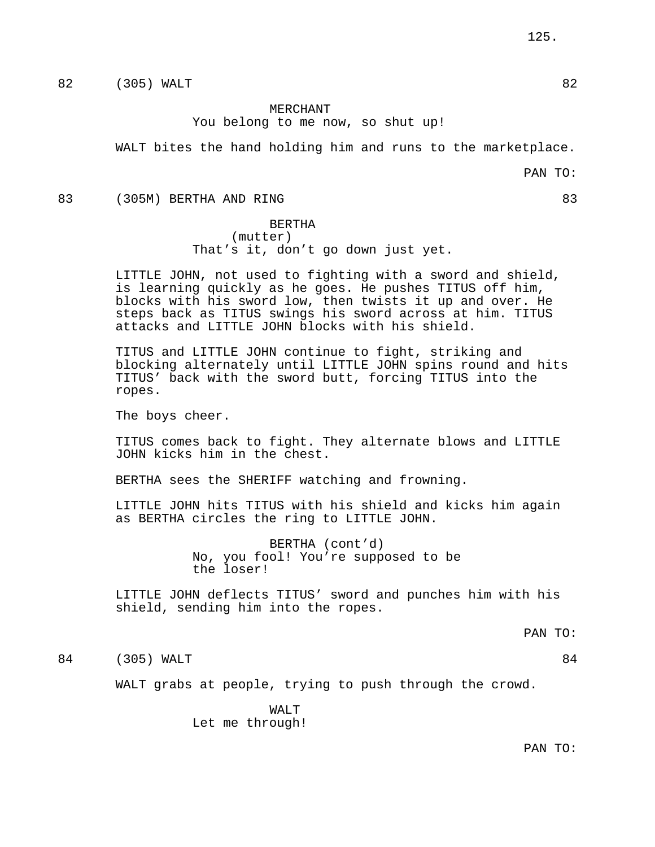82 (305) WALT 82

## MERCHANT You belong to me now, so shut up!

WALT bites the hand holding him and runs to the marketplace.

PAN TO:

83 (305M) BERTHA AND RING 83

BERTHA (mutter) That's it, don't go down just yet.

LITTLE JOHN, not used to fighting with a sword and shield, is learning quickly as he goes. He pushes TITUS off him, blocks with his sword low, then twists it up and over. He steps back as TITUS swings his sword across at him. TITUS attacks and LITTLE JOHN blocks with his shield.

TITUS and LITTLE JOHN continue to fight, striking and blocking alternately until LITTLE JOHN spins round and hits TITUS' back with the sword butt, forcing TITUS into the ropes.

The boys cheer.

TITUS comes back to fight. They alternate blows and LITTLE JOHN kicks him in the chest.

BERTHA sees the SHERIFF watching and frowning.

LITTLE JOHN hits TITUS with his shield and kicks him again as BERTHA circles the ring to LITTLE JOHN.

> BERTHA (cont'd) No, you fool! You're supposed to be the loser!

LITTLE JOHN deflects TITUS' sword and punches him with his shield, sending him into the ropes.

PAN TO:

84 (305) WALT 84

WALT grabs at people, trying to push through the crowd.

WALT Let me through!

PAN TO: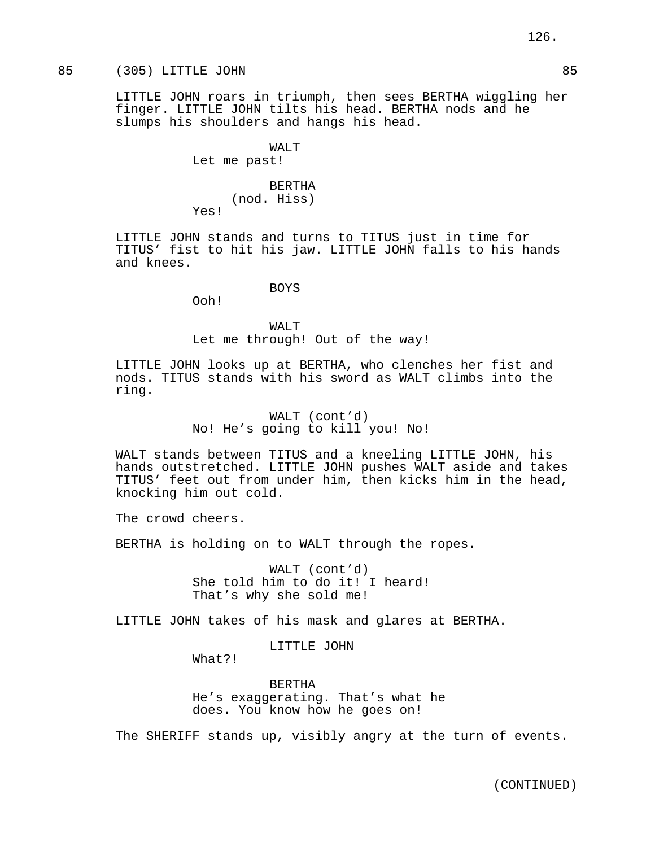# 85 (305) LITTLE JOHN 85

LITTLE JOHN roars in triumph, then sees BERTHA wiggling her finger. LITTLE JOHN tilts his head. BERTHA nods and he slumps his shoulders and hangs his head.

> WALT Let me past!

BERTHA (nod. Hiss) Yes!

LITTLE JOHN stands and turns to TITUS just in time for TITUS' fist to hit his jaw. LITTLE JOHN falls to his hands and knees.

BOYS

Ooh!

WALT Let me through! Out of the way!

LITTLE JOHN looks up at BERTHA, who clenches her fist and nods. TITUS stands with his sword as WALT climbs into the ring.

> WALT (cont'd) No! He's going to kill you! No!

WALT stands between TITUS and a kneeling LITTLE JOHN, his hands outstretched. LITTLE JOHN pushes WALT aside and takes TITUS' feet out from under him, then kicks him in the head, knocking him out cold.

The crowd cheers.

BERTHA is holding on to WALT through the ropes.

WALT (cont'd) She told him to do it! I heard! That's why she sold me!

LITTLE JOHN takes of his mask and glares at BERTHA.

LITTLE JOHN

What?!

BERTHA He's exaggerating. That's what he does. You know how he goes on!

The SHERIFF stands up, visibly angry at the turn of events.

126.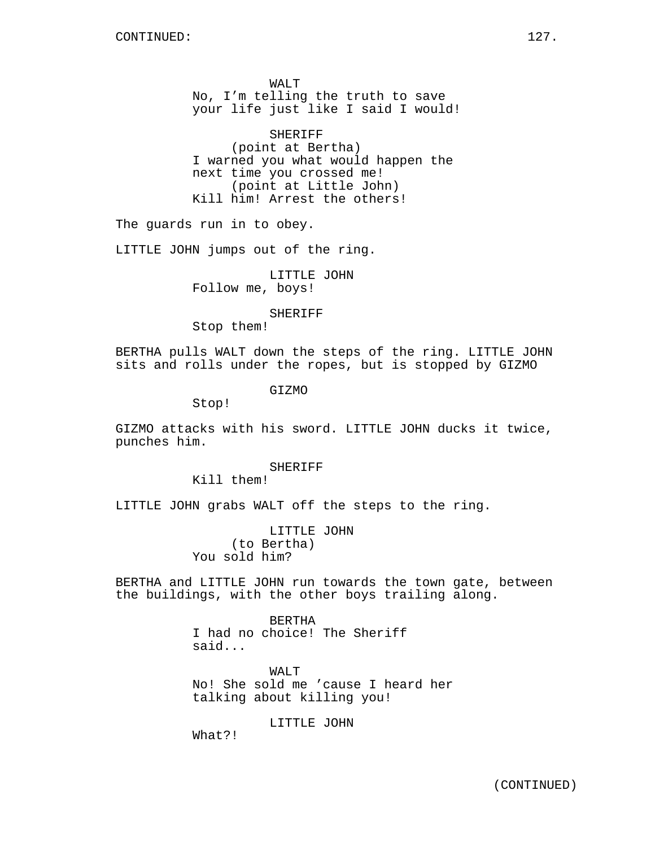WALT No, I'm telling the truth to save your life just like I said I would!

SHERIFF (point at Bertha) I warned you what would happen the next time you crossed me! (point at Little John) Kill him! Arrest the others!

The guards run in to obey.

LITTLE JOHN jumps out of the ring.

LITTLE JOHN Follow me, boys!

## SHERIFF

Stop them!

BERTHA pulls WALT down the steps of the ring. LITTLE JOHN sits and rolls under the ropes, but is stopped by GIZMO

GIZMO

Stop!

GIZMO attacks with his sword. LITTLE JOHN ducks it twice, punches him.

## **SHERIFF**

Kill them!

LITTLE JOHN grabs WALT off the steps to the ring.

LITTLE JOHN (to Bertha) You sold him?

BERTHA and LITTLE JOHN run towards the town gate, between the buildings, with the other boys trailing along.

> BERTHA I had no choice! The Sheriff said...

WALT No! She sold me 'cause I heard her talking about killing you!

LITTLE JOHN

What?!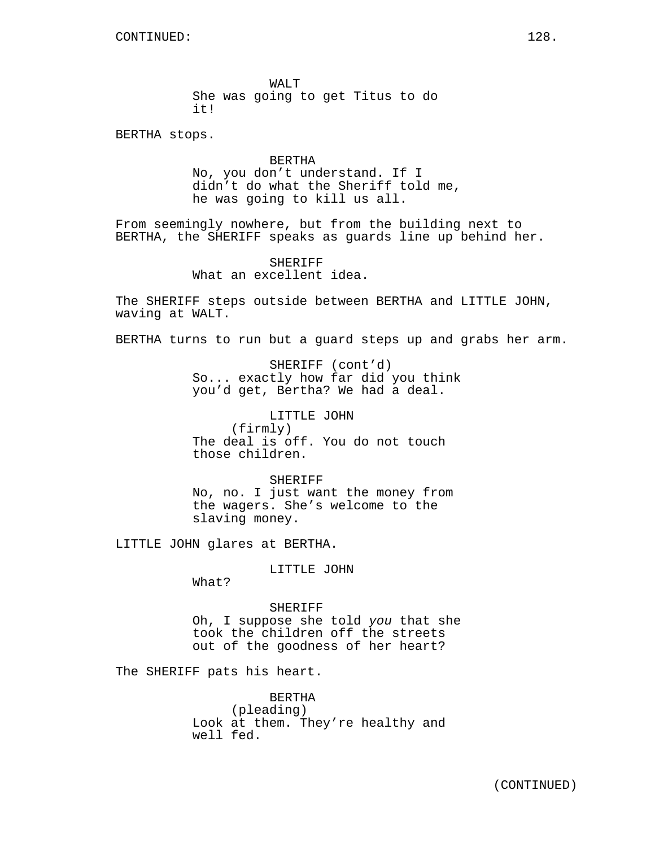WALT She was going to get Titus to do it!

BERTHA stops.

BERTHA No, you don't understand. If I didn't do what the Sheriff told me, he was going to kill us all.

From seemingly nowhere, but from the building next to BERTHA, the SHERIFF speaks as guards line up behind her.

> SHERIFF What an excellent idea.

The SHERIFF steps outside between BERTHA and LITTLE JOHN, waving at WALT.

BERTHA turns to run but a guard steps up and grabs her arm.

SHERIFF (cont'd) So... exactly how far did you think you'd get, Bertha? We had a deal.

LITTLE JOHN (firmly) The deal is off. You do not touch those children.

SHERIFF No, no. I just want the money from the wagers. She's welcome to the slaving money.

LITTLE JOHN glares at BERTHA.

LITTLE JOHN

What?

SHERIFF Oh, I suppose she told you that she took the children off the streets out of the goodness of her heart?

The SHERIFF pats his heart.

BERTHA (pleading) Look at them. They're healthy and well fed.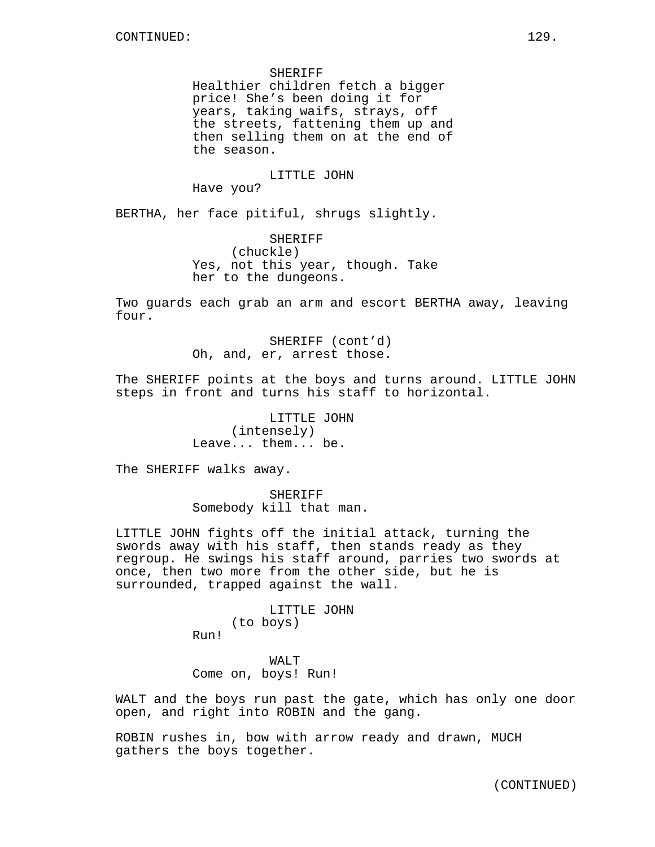SHERIFF Healthier children fetch a bigger price! She's been doing it for years, taking waifs, strays, off the streets, fattening them up and then selling them on at the end of the season.

# LITTLE JOHN

Have you?

BERTHA, her face pitiful, shrugs slightly.

SHERIFF (chuckle) Yes, not this year, though. Take her to the dungeons.

Two guards each grab an arm and escort BERTHA away, leaving four.

> SHERIFF (cont'd) Oh, and, er, arrest those.

The SHERIFF points at the boys and turns around. LITTLE JOHN steps in front and turns his staff to horizontal.

> LITTLE JOHN (intensely) Leave... them... be.

The SHERIFF walks away.

SHERIFF Somebody kill that man.

LITTLE JOHN fights off the initial attack, turning the swords away with his staff, then stands ready as they regroup. He swings his staff around, parries two swords at once, then two more from the other side, but he is surrounded, trapped against the wall.

> LITTLE JOHN (to boys) Run!

WAT.T Come on, boys! Run!

WALT and the boys run past the gate, which has only one door open, and right into ROBIN and the gang.

ROBIN rushes in, bow with arrow ready and drawn, MUCH gathers the boys together.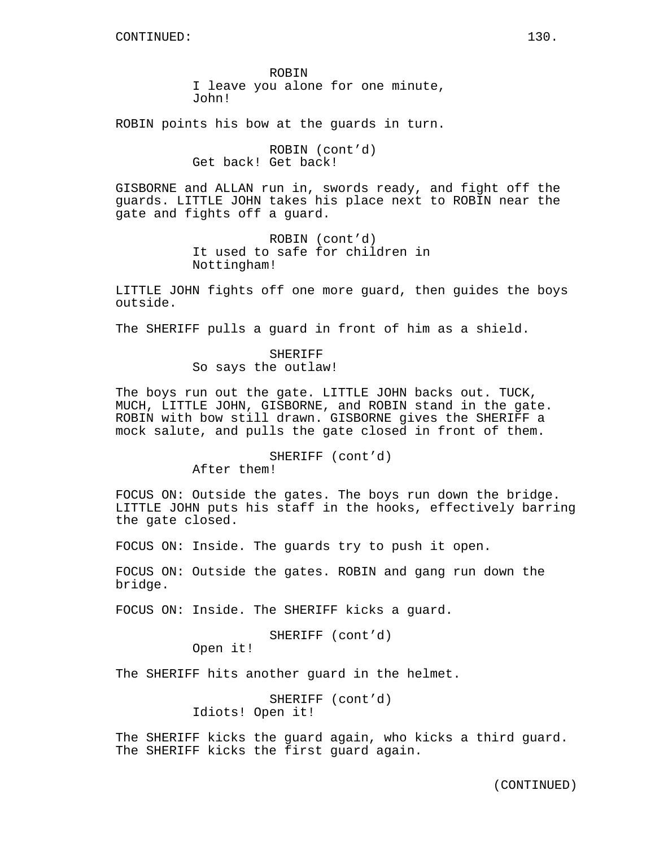ROBIN I leave you alone for one minute, John!

ROBIN points his bow at the guards in turn.

ROBIN (cont'd) Get back! Get back!

GISBORNE and ALLAN run in, swords ready, and fight off the guards. LITTLE JOHN takes his place next to ROBIN near the gate and fights off a guard.

> ROBIN (cont'd) It used to safe for children in Nottingham!

LITTLE JOHN fights off one more guard, then guides the boys outside.

The SHERIFF pulls a guard in front of him as a shield.

SHERIFF So says the outlaw!

The boys run out the gate. LITTLE JOHN backs out. TUCK, MUCH, LITTLE JOHN, GISBORNE, and ROBIN stand in the gate. ROBIN with bow still drawn. GISBORNE gives the SHERIFF a mock salute, and pulls the gate closed in front of them.

SHERIFF (cont'd)

After them!

FOCUS ON: Outside the gates. The boys run down the bridge. LITTLE JOHN puts his staff in the hooks, effectively barring the gate closed.

FOCUS ON: Inside. The guards try to push it open.

FOCUS ON: Outside the gates. ROBIN and gang run down the bridge.

FOCUS ON: Inside. The SHERIFF kicks a guard.

SHERIFF (cont'd)

Open it!

The SHERIFF hits another guard in the helmet.

SHERIFF (cont'd) Idiots! Open it!

The SHERIFF kicks the guard again, who kicks a third guard. The SHERIFF kicks the first guard again.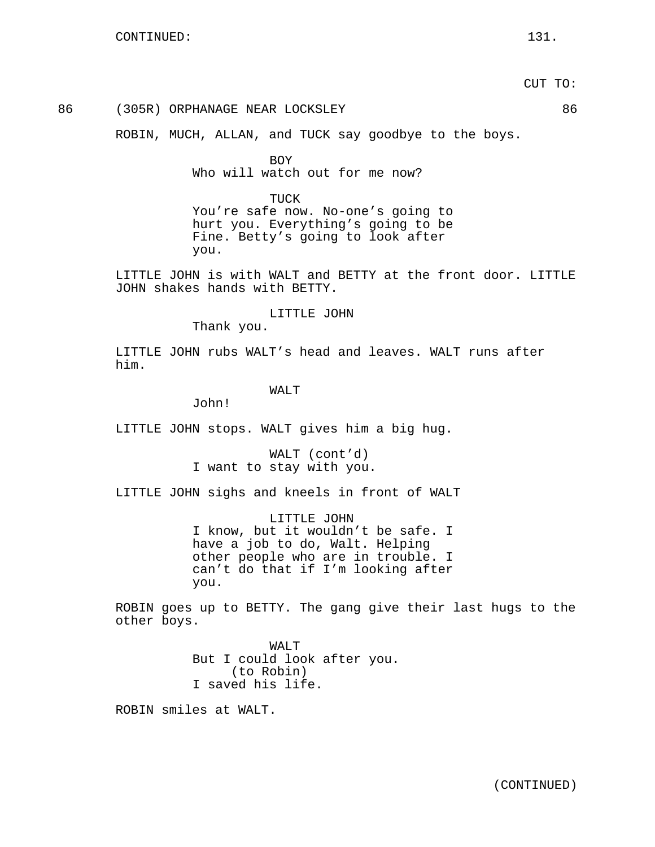## 86 (305R) ORPHANAGE NEAR LOCKSLEY 86

ROBIN, MUCH, ALLAN, and TUCK say goodbye to the boys.

BOY Who will watch out for me now?

TUCK You're safe now. No-one's going to hurt you. Everything's going to be Fine. Betty's going to look after you.

LITTLE JOHN is with WALT and BETTY at the front door. LITTLE JOHN shakes hands with BETTY.

LITTLE JOHN

Thank you.

LITTLE JOHN rubs WALT's head and leaves. WALT runs after him.

WAT<sub>T</sub>

John!

LITTLE JOHN stops. WALT gives him a big hug.

WALT (cont'd) I want to stay with you.

LITTLE JOHN sighs and kneels in front of WALT

LITTLE JOHN I know, but it wouldn't be safe. I have a job to do, Walt. Helping other people who are in trouble. I can't do that if I'm looking after you.

ROBIN goes up to BETTY. The gang give their last hugs to the other boys.

> WALT But I could look after you. (to Robin) I saved his life.

ROBIN smiles at WALT.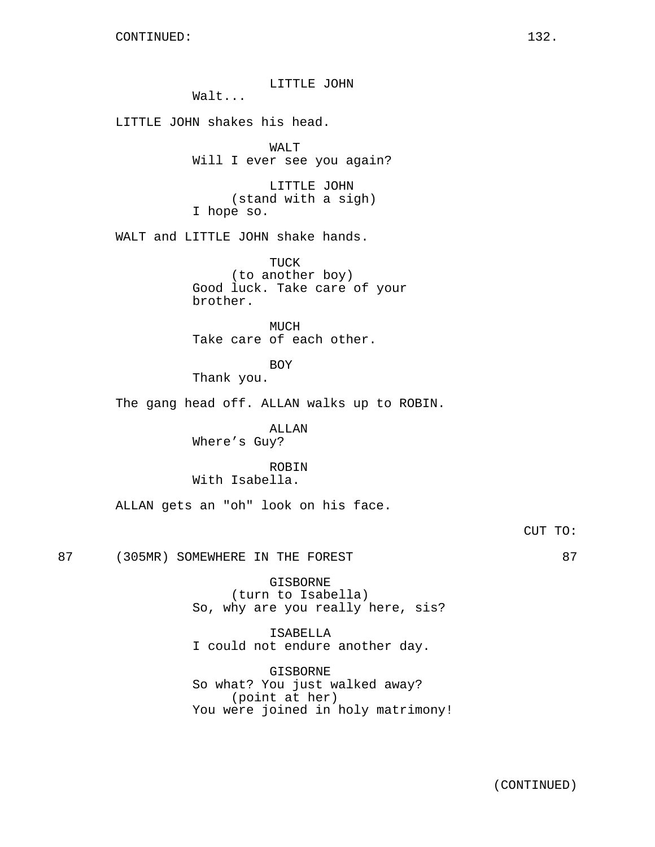LITTLE JOHN Walt... LITTLE JOHN shakes his head. WALT Will I ever see you again? LITTLE JOHN (stand with a sigh) I hope so. WALT and LITTLE JOHN shake hands. TUCK (to another boy) Good luck. Take care of your brother. MUCH Take care of each other. BOY Thank you. The gang head off. ALLAN walks up to ROBIN. ALLAN Where's Guy? ROBIN With Isabella. ALLAN gets an "oh" look on his face. CUT TO: 87 (305MR) SOMEWHERE IN THE FOREST 87 GISBORNE (turn to Isabella) So, why are you really here, sis? ISABELLA I could not endure another day.

> GISBORNE So what? You just walked away? (point at her) You were joined in holy matrimony!

> > (CONTINUED)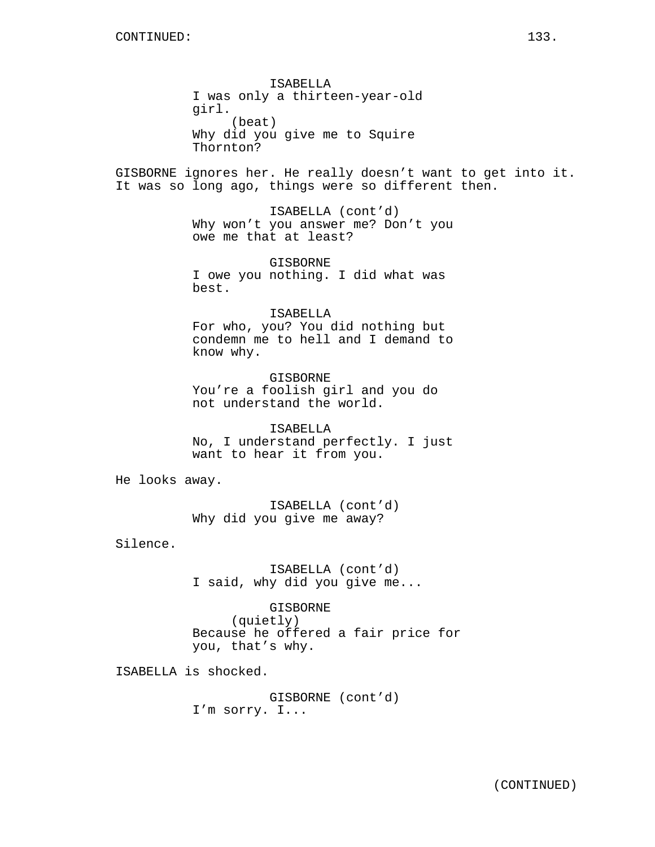ISABELLA I was only a thirteen-year-old girl. (beat) Why did you give me to Squire Thornton?

GISBORNE ignores her. He really doesn't want to get into it. It was so long ago, things were so different then.

> ISABELLA (cont'd) Why won't you answer me? Don't you owe me that at least?

GISBORNE I owe you nothing. I did what was best.

#### ISABELLA

For who, you? You did nothing but condemn me to hell and I demand to know why.

GISBORNE You're a foolish girl and you do not understand the world.

ISABELLA No, I understand perfectly. I just want to hear it from you.

He looks away.

ISABELLA (cont'd) Why did you give me away?

Silence.

ISABELLA (cont'd) I said, why did you give me...

GISBORNE (quietly) Because he offered a fair price for you, that's why.

ISABELLA is shocked.

GISBORNE (cont'd) I'm sorry. I...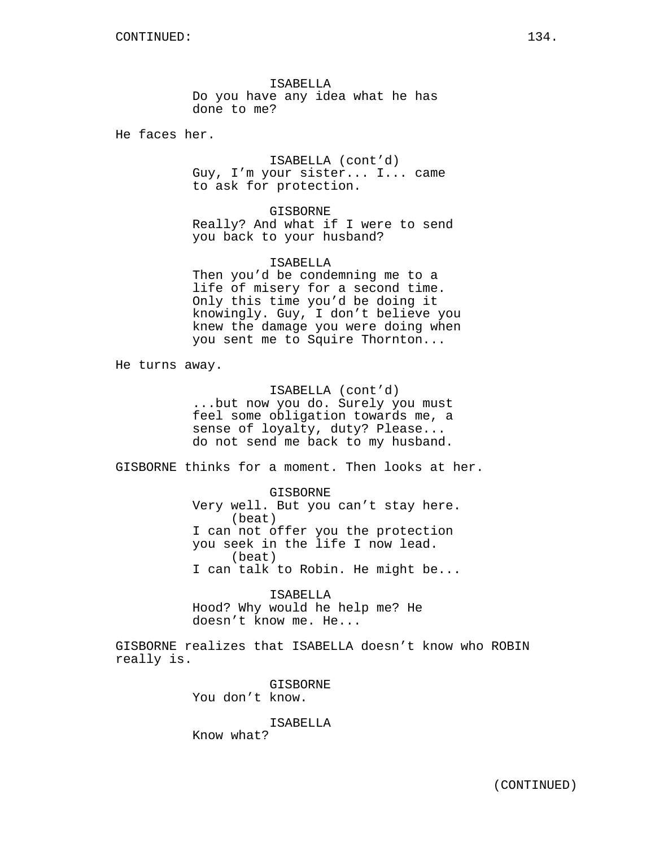ISABELLA Do you have any idea what he has done to me?

He faces her.

ISABELLA (cont'd) Guy, I'm your sister... I... came to ask for protection.

## GISBORNE

Really? And what if I were to send you back to your husband?

## ISABELLA

Then you'd be condemning me to a life of misery for a second time. Only this time you'd be doing it knowingly. Guy, I don't believe you knew the damage you were doing when you sent me to Squire Thornton...

He turns away.

ISABELLA (cont'd) ...but now you do. Surely you must feel some obligation towards me, a sense of loyalty, duty? Please... do not send me back to my husband.

GISBORNE thinks for a moment. Then looks at her.

GISBORNE Very well. But you can't stay here. (beat) I can not offer you the protection you seek in the life I now lead. (beat) I can talk to Robin. He might be...

ISABELLA Hood? Why would he help me? He doesn't know me. He...

GISBORNE realizes that ISABELLA doesn't know who ROBIN really is.

> GISBORNE You don't know.

# ISABELLA

Know what?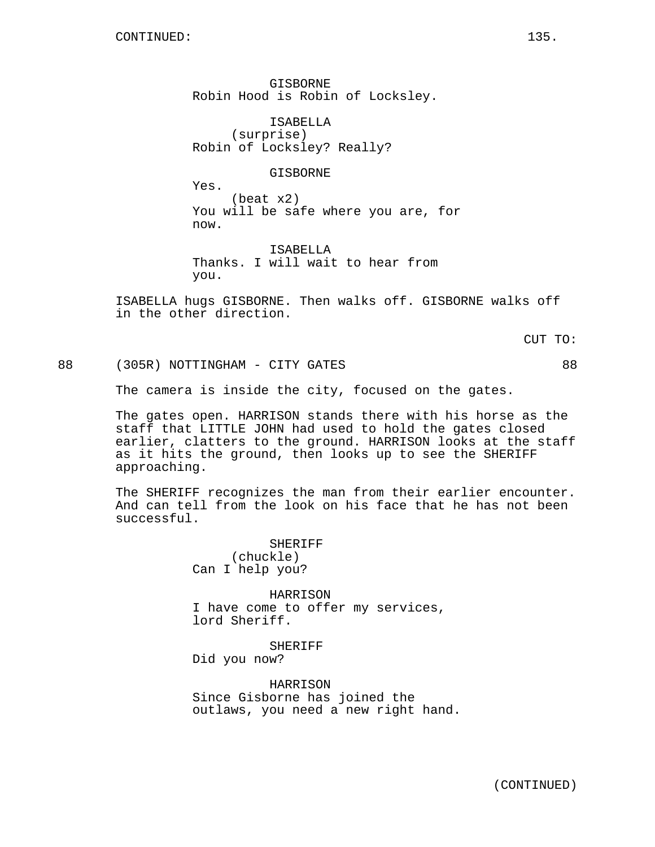GISBORNE Robin Hood is Robin of Locksley.

ISABELLA (surprise) Robin of Locksley? Really?

## GISBORNE

Yes.

(beat x2) You will be safe where you are, for now.

ISABELLA Thanks. I will wait to hear from you.

ISABELLA hugs GISBORNE. Then walks off. GISBORNE walks off in the other direction.

CUT TO:

88 (305R) NOTTINGHAM - CITY GATES 88

The camera is inside the city, focused on the gates.

The gates open. HARRISON stands there with his horse as the staff that LITTLE JOHN had used to hold the gates closed earlier, clatters to the ground. HARRISON looks at the staff as it hits the ground, then looks up to see the SHERIFF approaching.

The SHERIFF recognizes the man from their earlier encounter. And can tell from the look on his face that he has not been successful.

> SHERIFF (chuckle) Can I help you?

HARRISON I have come to offer my services, lord Sheriff.

SHERIFF Did you now?

HARRISON Since Gisborne has joined the outlaws, you need a new right hand.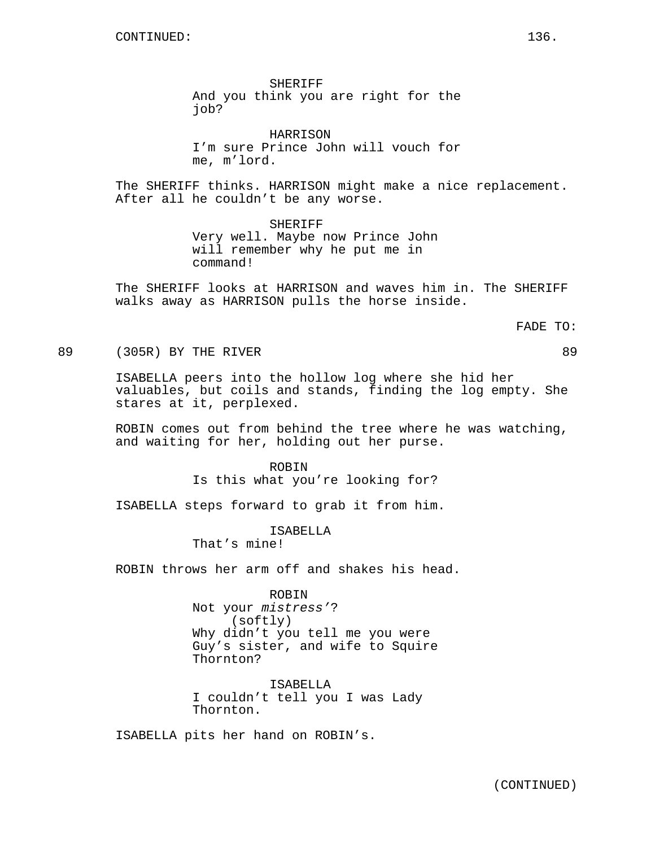SHERIFF And you think you are right for the job?

HARRISON I'm sure Prince John will vouch for me, m'lord.

The SHERIFF thinks. HARRISON might make a nice replacement. After all he couldn't be any worse.

> SHERIFF Very well. Maybe now Prince John will remember why he put me in command!

The SHERIFF looks at HARRISON and waves him in. The SHERIFF walks away as HARRISON pulls the horse inside.

FADE TO:

89 (305R) BY THE RIVER **89** 

ISABELLA peers into the hollow log where she hid her valuables, but coils and stands, finding the log empty. She stares at it, perplexed.

ROBIN comes out from behind the tree where he was watching, and waiting for her, holding out her purse.

> **ROBIN** Is this what you're looking for?

ISABELLA steps forward to grab it from him.

ISABELLA That's mine!

ROBIN throws her arm off and shakes his head.

ROBIN Not your mistress'? (softly) Why didn't you tell me you were Guy's sister, and wife to Squire Thornton?

ISABELLA I couldn't tell you I was Lady Thornton.

ISABELLA pits her hand on ROBIN's.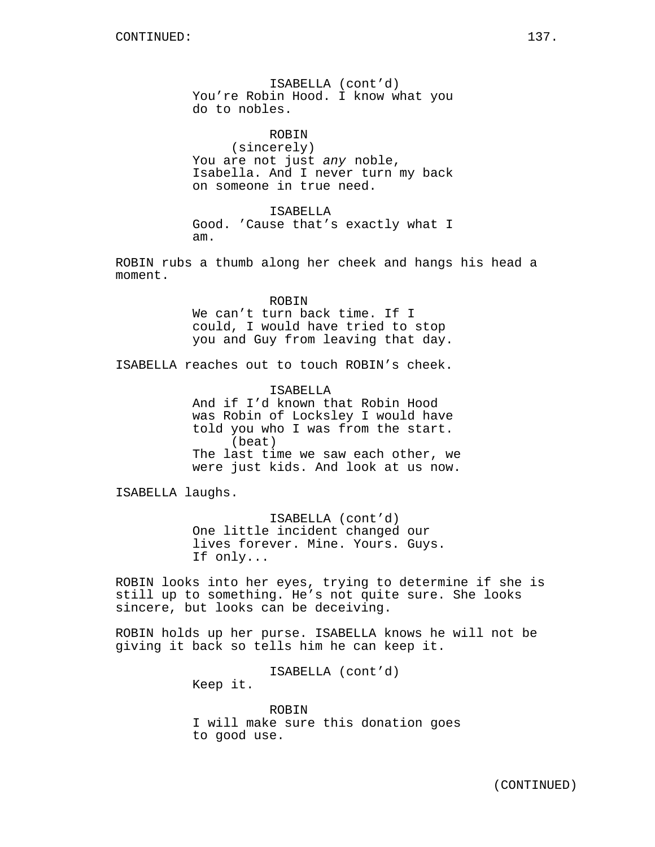ISABELLA (cont'd) You're Robin Hood. I know what you do to nobles.

ROBIN (sincerely) You are not just any noble, Isabella. And I never turn my back on someone in true need.

ISABELLA Good. 'Cause that's exactly what I am.

ROBIN rubs a thumb along her cheek and hangs his head a moment.

> ROBIN We can't turn back time. If I could, I would have tried to stop you and Guy from leaving that day.

ISABELLA reaches out to touch ROBIN's cheek.

ISABELLA And if I'd known that Robin Hood was Robin of Locksley I would have told you who I was from the start. (beat) The last time we saw each other, we were just kids. And look at us now.

ISABELLA laughs.

ISABELLA (cont'd) One little incident changed our lives forever. Mine. Yours. Guys. If only...

ROBIN looks into her eyes, trying to determine if she is still up to something. He's not quite sure. She looks sincere, but looks can be deceiving.

ROBIN holds up her purse. ISABELLA knows he will not be giving it back so tells him he can keep it.

ISABELLA (cont'd)

Keep it.

ROBIN I will make sure this donation goes to good use.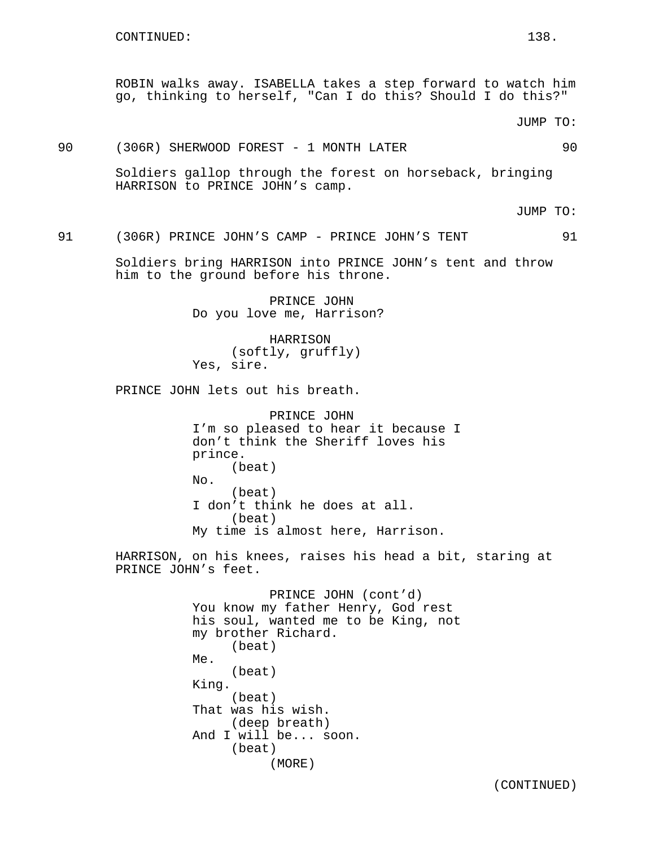ROBIN walks away. ISABELLA takes a step forward to watch him go, thinking to herself, "Can I do this? Should I do this?"

JUMP TO:

90 (306R) SHERWOOD FOREST - 1 MONTH LATER 90

Soldiers gallop through the forest on horseback, bringing HARRISON to PRINCE JOHN's camp.

JUMP TO:

91 (306R) PRINCE JOHN'S CAMP - PRINCE JOHN'S TENT 91

Soldiers bring HARRISON into PRINCE JOHN's tent and throw him to the ground before his throne.

> PRINCE JOHN Do you love me, Harrison?

HARRISON (softly, gruffly) Yes, sire.

PRINCE JOHN lets out his breath.

PRINCE JOHN I'm so pleased to hear it because I don't think the Sheriff loves his prince. (beat) No. (beat) I don't think he does at all. (beat) My time is almost here, Harrison.

HARRISON, on his knees, raises his head a bit, staring at PRINCE JOHN's feet.

> PRINCE JOHN (cont'd) You know my father Henry, God rest his soul, wanted me to be King, not my brother Richard. (beat) Me. (beat) King. (beat) That was his wish. (deep breath) And I will be... soon. (beat) (MORE)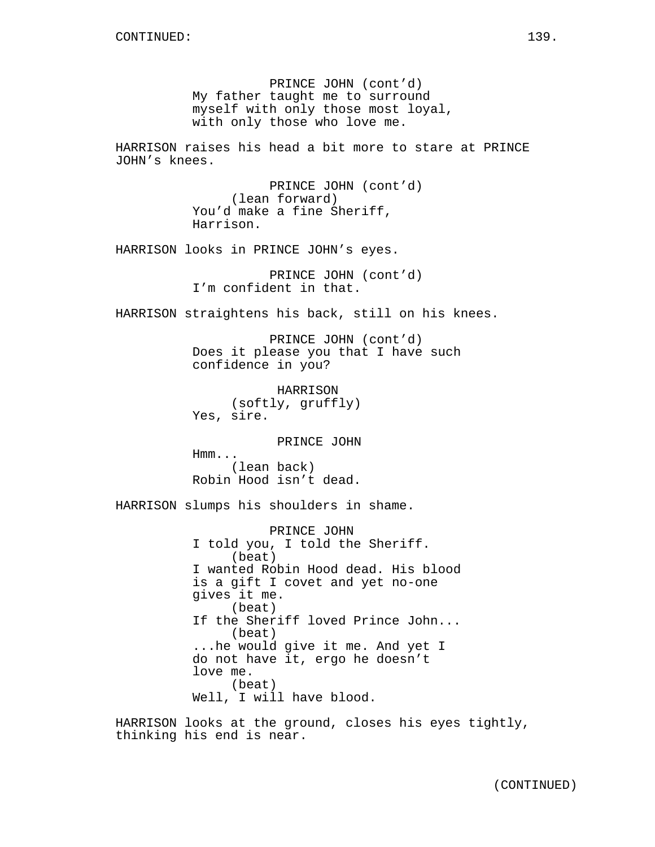PRINCE JOHN (cont'd) My father taught me to surround myself with only those most loyal, with only those who love me. HARRISON raises his head a bit more to stare at PRINCE JOHN's knees. PRINCE JOHN (cont'd) (lean forward) You'd make a fine Sheriff, Harrison. HARRISON looks in PRINCE JOHN's eyes. PRINCE JOHN (cont'd) I'm confident in that. HARRISON straightens his back, still on his knees. PRINCE JOHN (cont'd) Does it please you that I have such confidence in you? HARRISON (softly, gruffly) Yes, sire. PRINCE JOHN Hmm... (lean back) Robin Hood isn't dead. HARRISON slumps his shoulders in shame. PRINCE JOHN I told you, I told the Sheriff. (beat) I wanted Robin Hood dead. His blood is a gift I covet and yet no-one gives it me. (beat) If the Sheriff loved Prince John... (beat) ...he would give it me. And yet I do not have it, ergo he doesn't love me. (beat) Well, I will have blood. HARRISON looks at the ground, closes his eyes tightly, thinking his end is near.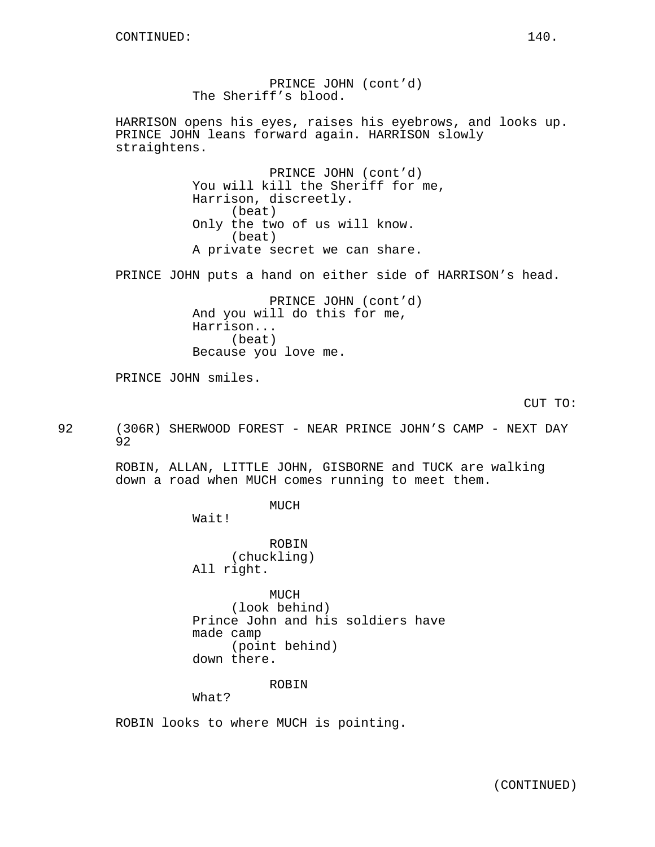PRINCE JOHN (cont'd) The Sheriff's blood. HARRISON opens his eyes, raises his eyebrows, and looks up. PRINCE JOHN leans forward again. HARRISON slowly straightens. PRINCE JOHN (cont'd) You will kill the Sheriff for me, Harrison, discreetly. (beat) Only the two of us will know. (beat) A private secret we can share. PRINCE JOHN puts a hand on either side of HARRISON's head. PRINCE JOHN (cont'd) And you will do this for me, Harrison... (beat) Because you love me. PRINCE JOHN smiles. CUT TO: 92 (306R) SHERWOOD FOREST - NEAR PRINCE JOHN'S CAMP - NEXT DAY 92 ROBIN, ALLAN, LITTLE JOHN, GISBORNE and TUCK are walking down a road when MUCH comes running to meet them. MUCH Wait! ROBIN (chuckling) All right. MUCH (look behind) Prince John and his soldiers have made camp (point behind) down there.

ROBIN

What?

ROBIN looks to where MUCH is pointing.

(CONTINUED)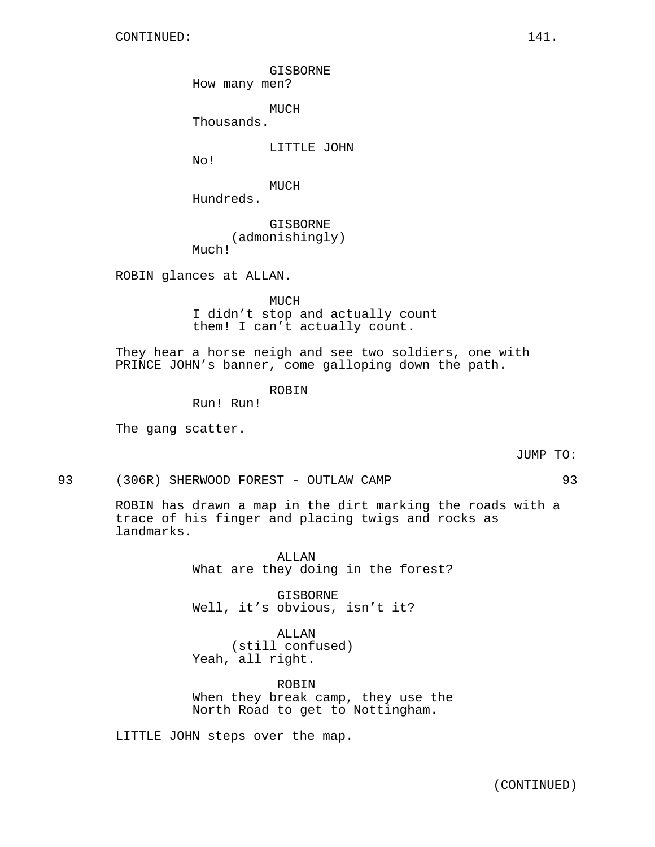GISBORNE

How many men?

MUCH

Thousands.

LITTLE JOHN

No!

MUCH

Hundreds.

GISBORNE (admonishingly) Much!

ROBIN glances at ALLAN.

MUCH I didn't stop and actually count them! I can't actually count.

They hear a horse neigh and see two soldiers, one with PRINCE JOHN's banner, come galloping down the path.

# ROBIN

Run! Run!

The gang scatter.

## JUMP TO:

93 (306R) SHERWOOD FOREST - OUTLAW CAMP 93

ROBIN has drawn a map in the dirt marking the roads with a trace of his finger and placing twigs and rocks as landmarks.

> ALLAN What are they doing in the forest?

GISBORNE Well, it's obvious, isn't it?

ALLAN (still confused) Yeah, all right.

ROBIN When they break camp, they use the North Road to get to Nottingham.

LITTLE JOHN steps over the map.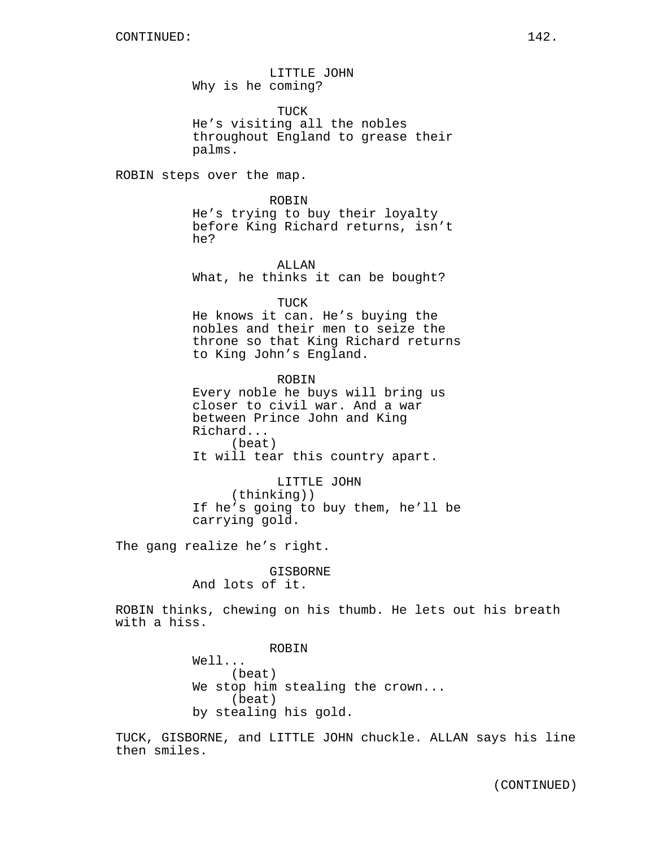LITTLE JOHN Why is he coming?

TUCK He's visiting all the nobles throughout England to grease their palms.

ROBIN steps over the map.

ROBIN He's trying to buy their loyalty before King Richard returns, isn't he?

ALLAN What, he thinks it can be bought?

TUCK He knows it can. He's buying the nobles and their men to seize the throne so that King Richard returns to King John's England.

ROBIN Every noble he buys will bring us closer to civil war. And a war between Prince John and King Richard... (beat) It will tear this country apart.

LITTLE JOHN (thinking)) If he's going to buy them, he'll be carrying gold.

The gang realize he's right.

GISBORNE And lots of it.

ROBIN thinks, chewing on his thumb. He lets out his breath with a hiss.

> ROBIN Well... (beat) We stop him stealing the crown... (beat) by stealing his gold.

TUCK, GISBORNE, and LITTLE JOHN chuckle. ALLAN says his line then smiles.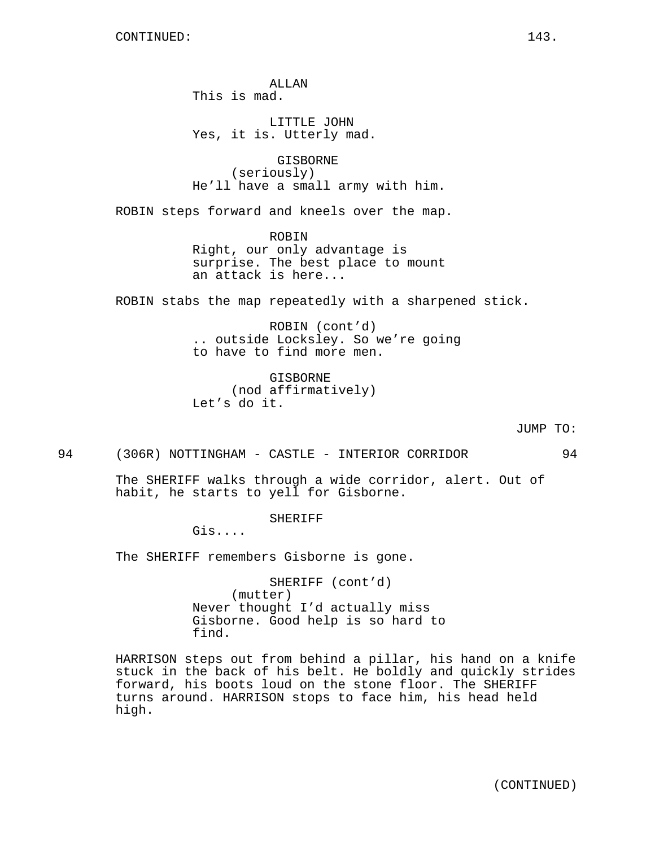ALLAN This is mad.

LITTLE JOHN Yes, it is. Utterly mad.

GISBORNE (seriously) He'll have a small army with him.

ROBIN steps forward and kneels over the map.

ROBIN Right, our only advantage is surprise. The best place to mount an attack is here...

ROBIN stabs the map repeatedly with a sharpened stick.

ROBIN (cont'd) .. outside Locksley. So we're going to have to find more men.

GISBORNE (nod affirmatively) Let's do it.

## JUMP TO:

94 (306R) NOTTINGHAM - CASTLE - INTERIOR CORRIDOR 94

The SHERIFF walks through a wide corridor, alert. Out of habit, he starts to yell for Gisborne.

SHERIFF

Gis....

The SHERIFF remembers Gisborne is gone.

SHERIFF (cont'd) (mutter) Never thought I'd actually miss Gisborne. Good help is so hard to find.

HARRISON steps out from behind a pillar, his hand on a knife stuck in the back of his belt. He boldly and quickly strides forward, his boots loud on the stone floor. The SHERIFF turns around. HARRISON stops to face him, his head held high.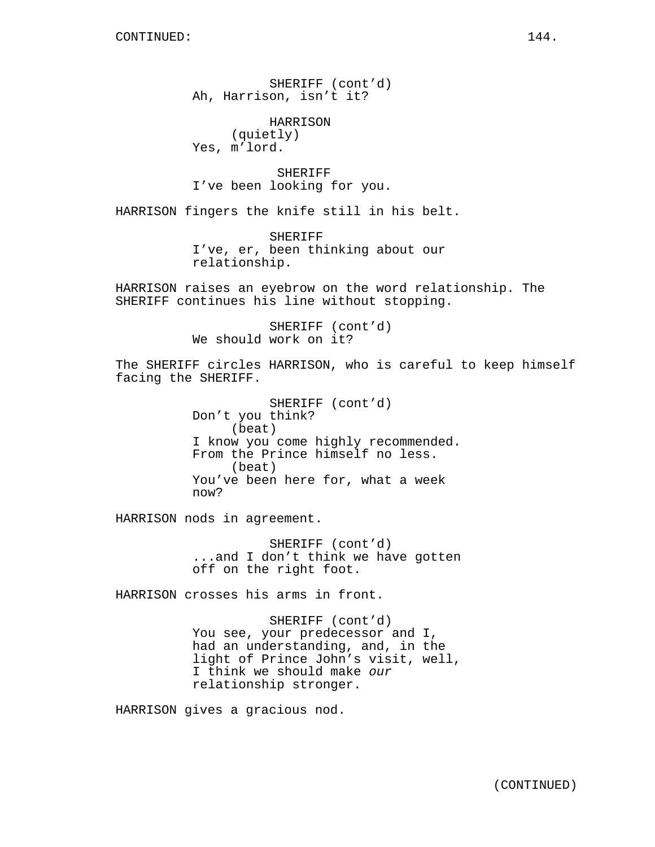SHERIFF (cont'd) Ah, Harrison, isn't it?

HARRISON (quietly) Yes, m'lord.

SHERIFF I've been looking for you.

HARRISON fingers the knife still in his belt.

SHERIFF I've, er, been thinking about our relationship.

HARRISON raises an eyebrow on the word relationship. The SHERIFF continues his line without stopping.

> SHERIFF (cont'd) We should work on it?

The SHERIFF circles HARRISON, who is careful to keep himself facing the SHERIFF.

> SHERIFF (cont'd) Don't you think? (beat) I know you come highly recommended. From the Prince himself no less. (beat) You've been here for, what a week now?

HARRISON nods in agreement.

SHERIFF (cont'd) ...and I don't think we have gotten off on the right foot.

HARRISON crosses his arms in front.

SHERIFF (cont'd) You see, your predecessor and I, had an understanding, and, in the light of Prince John's visit, well, I think we should make our relationship stronger.

HARRISON gives a gracious nod.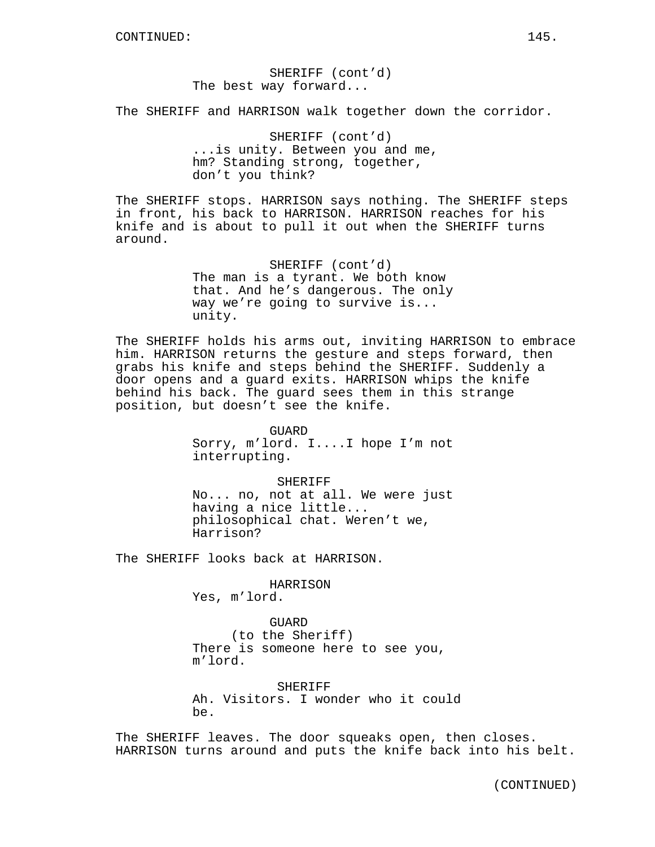## SHERIFF (cont'd) The best way forward...

The SHERIFF and HARRISON walk together down the corridor.

SHERIFF (cont'd) ...is unity. Between you and me, hm? Standing strong, together, don't you think?

The SHERIFF stops. HARRISON says nothing. The SHERIFF steps in front, his back to HARRISON. HARRISON reaches for his knife and is about to pull it out when the SHERIFF turns around.

> SHERIFF (cont'd) The man is a tyrant. We both know that. And he's dangerous. The only way we're going to survive is... unity.

The SHERIFF holds his arms out, inviting HARRISON to embrace him. HARRISON returns the gesture and steps forward, then grabs his knife and steps behind the SHERIFF. Suddenly a door opens and a guard exits. HARRISON whips the knife behind his back. The guard sees them in this strange position, but doesn't see the knife.

> GUARD Sorry, m'lord. I....I hope I'm not interrupting.

> > SHERIFF

No... no, not at all. We were just having a nice little... philosophical chat. Weren't we, Harrison?

The SHERIFF looks back at HARRISON.

#### HARRISON

Yes, m'lord.

GUARD (to the Sheriff) There is someone here to see you, m'lord.

SHERIFF Ah. Visitors. I wonder who it could be.

The SHERIFF leaves. The door squeaks open, then closes. HARRISON turns around and puts the knife back into his belt.

(CONTINUED)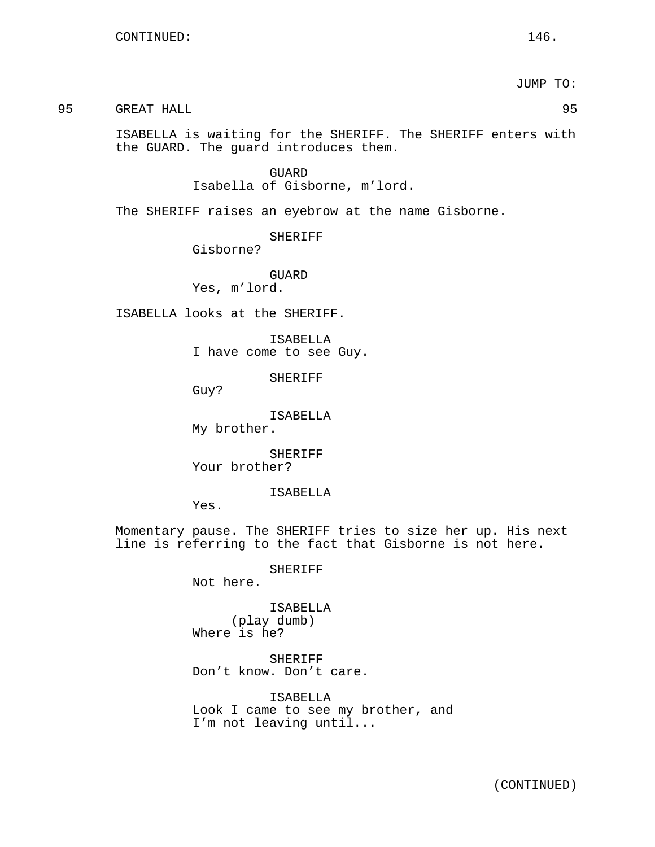JUMP TO:

95 GREAT HALL 95

ISABELLA is waiting for the SHERIFF. The SHERIFF enters with the GUARD. The guard introduces them.

> GUARD Isabella of Gisborne, m'lord.

The SHERIFF raises an eyebrow at the name Gisborne.

SHERIFF

Gisborne?

GUARD Yes, m'lord.

ISABELLA looks at the SHERIFF.

ISABELLA I have come to see Guy.

SHERIFF

Guy?

ISABELLA

My brother.

SHERIFF Your brother?

ISABELLA

Yes.

Momentary pause. The SHERIFF tries to size her up. His next line is referring to the fact that Gisborne is not here.

SHERIFF

Not here.

ISABELLA (play dumb) Where is he?

SHERIFF Don't know. Don't care.

ISABELLA Look I came to see my brother, and I'm not leaving until...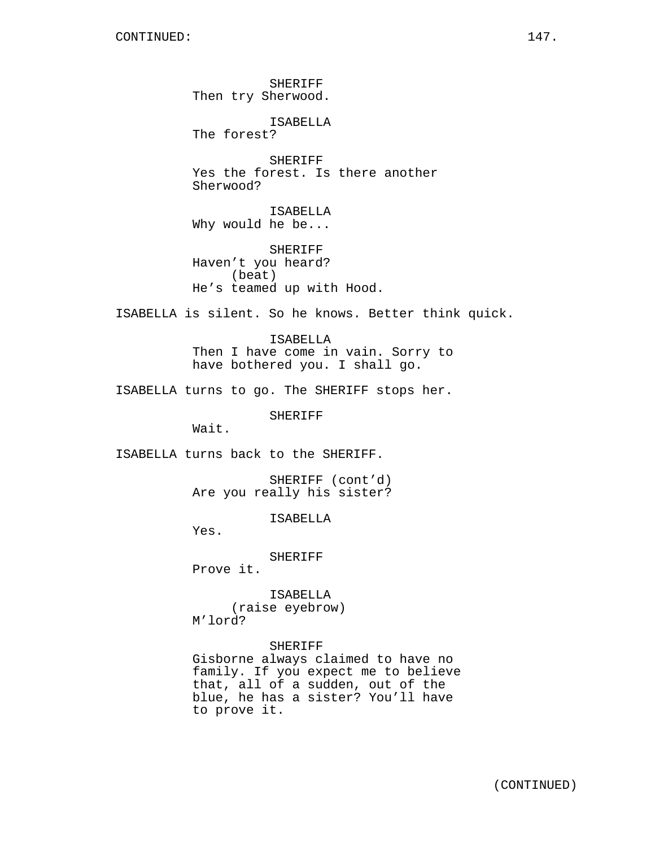SHERIFF Then try Sherwood. ISABELLA The forest? SHERIFF Yes the forest. Is there another Sherwood? ISABELLA Why would he be... SHERIFF Haven't you heard? (beat) He's teamed up with Hood. ISABELLA is silent. So he knows. Better think quick. ISABELLA Then I have come in vain. Sorry to have bothered you. I shall go. ISABELLA turns to go. The SHERIFF stops her. SHERIFF Wait. ISABELLA turns back to the SHERIFF. SHERIFF (cont'd) Are you really his sister? ISABELLA Yes. SHERIFF Prove it. ISABELLA (raise eyebrow) M'lord?

SHERIFF Gisborne always claimed to have no family. If you expect me to believe that, all of a sudden, out of the blue, he has a sister? You'll have to prove it.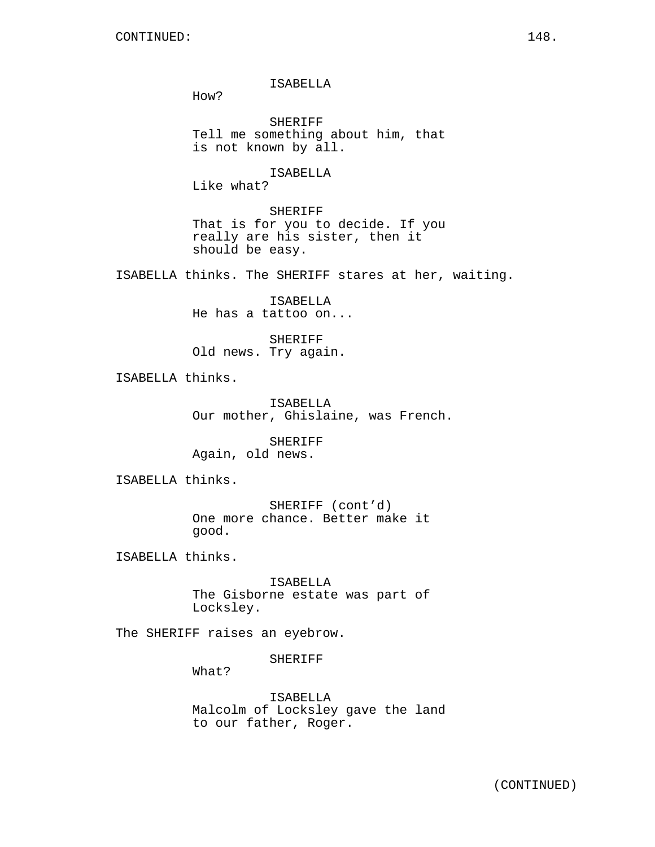ISABELLA

How?

SHERIFF Tell me something about him, that is not known by all.

ISABELLA

Like what?

SHERIFF That is for you to decide. If you really are his sister, then it should be easy.

ISABELLA thinks. The SHERIFF stares at her, waiting.

ISABELLA He has a tattoo on...

SHERIFF Old news. Try again.

ISABELLA thinks.

ISABELLA Our mother, Ghislaine, was French.

SHERIFF Again, old news.

ISABELLA thinks.

SHERIFF (cont'd) One more chance. Better make it good.

ISABELLA thinks.

ISABELLA The Gisborne estate was part of Locksley.

The SHERIFF raises an eyebrow.

SHERIFF

What?

ISABELLA Malcolm of Locksley gave the land to our father, Roger.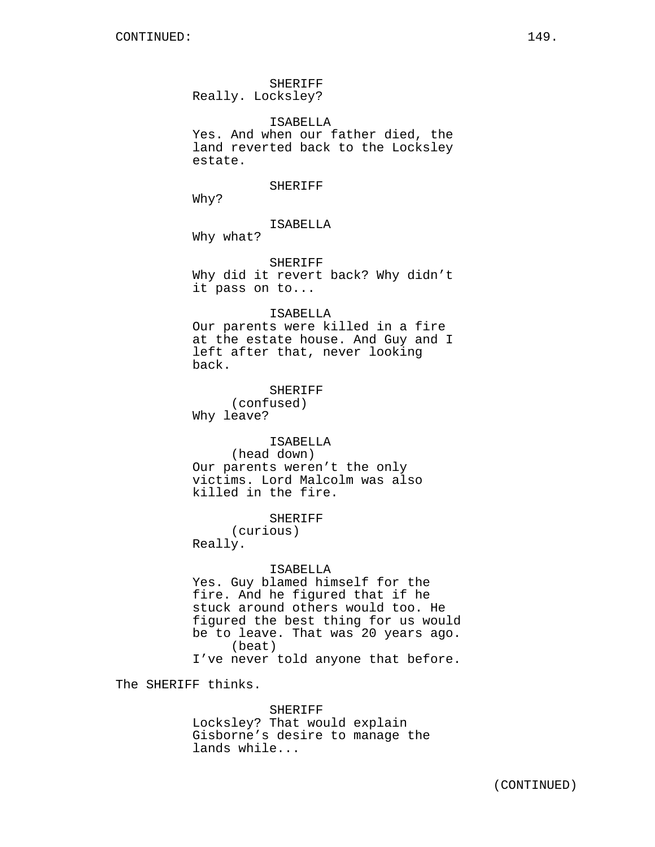SHERIFF Really. Locksley?

ISABELLA Yes. And when our father died, the land reverted back to the Locksley estate.

SHERIFF

Why?

ISABELLA

Why what?

SHERIFF Why did it revert back? Why didn't it pass on to...

#### ISABELLA

Our parents were killed in a fire at the estate house. And Guy and I left after that, never looking back.

SHERIFF (confused) Why leave?

ISABELLA (head down) Our parents weren't the only victims. Lord Malcolm was also killed in the fire.

SHERIFF

(curious) Really.

#### ISABELLA

Yes. Guy blamed himself for the fire. And he figured that if he stuck around others would too. He figured the best thing for us would be to leave. That was 20 years ago. (beat) I've never told anyone that before.

The SHERIFF thinks.

#### SHERIFF

Locksley? That would explain Gisborne's desire to manage the lands while...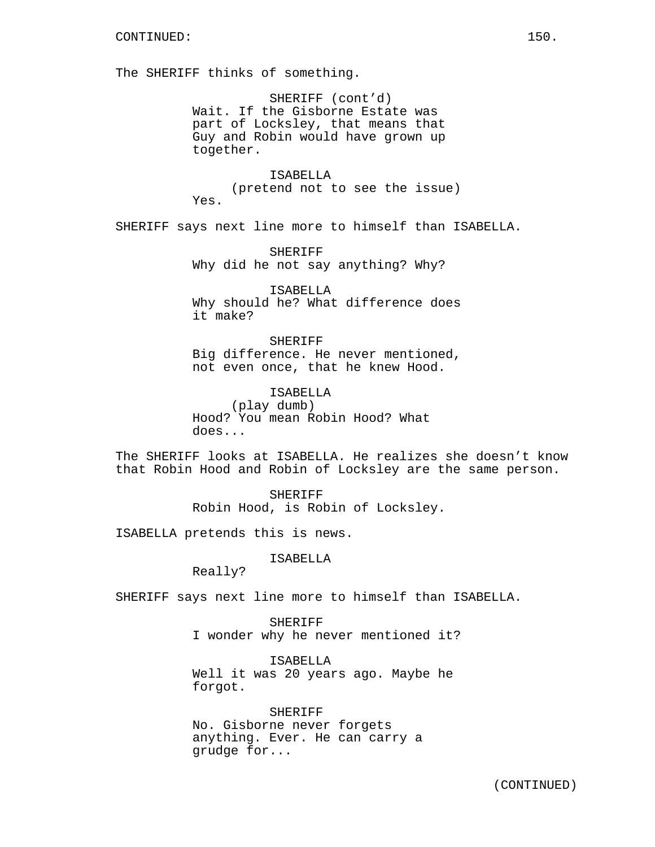The SHERIFF thinks of something.

SHERIFF (cont'd) Wait. If the Gisborne Estate was part of Locksley, that means that Guy and Robin would have grown up together.

ISABELLA (pretend not to see the issue) Yes.

SHERIFF says next line more to himself than ISABELLA.

SHERIFF Why did he not say anything? Why?

ISABELLA Why should he? What difference does it make?

SHERIFF Big difference. He never mentioned, not even once, that he knew Hood.

ISABELLA (play dumb) Hood? You mean Robin Hood? What does...

The SHERIFF looks at ISABELLA. He realizes she doesn't know that Robin Hood and Robin of Locksley are the same person.

> SHERIFF Robin Hood, is Robin of Locksley.

ISABELLA pretends this is news.

ISABELLA

Really?

SHERIFF says next line more to himself than ISABELLA.

SHERIFF I wonder why he never mentioned it?

ISABELLA Well it was 20 years ago. Maybe he forgot.

SHERIFF No. Gisborne never forgets anything. Ever. He can carry a grudge for...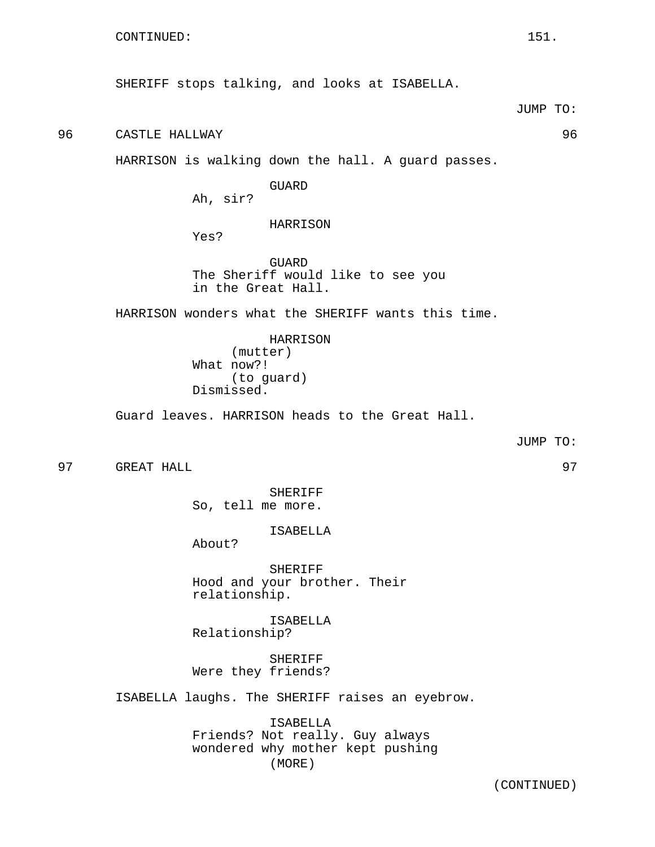96 CASTLE HALLWAY 96

HARRISON is walking down the hall. A guard passes.

GUARD Ah, sir?

HARRISON

Yes?

GUARD The Sheriff would like to see you in the Great Hall.

HARRISON wonders what the SHERIFF wants this time.

HARRISON (mutter) What now?! (to guard) Dismissed.

Guard leaves. HARRISON heads to the Great Hall.

JUMP TO:

97 GREAT HALL 97

SHERIFF So, tell me more.

ISABELLA

About?

SHERIFF Hood and your brother. Their relationship.

ISABELLA Relationship?

SHERIFF Were they friends?

ISABELLA laughs. The SHERIFF raises an eyebrow.

ISABELLA Friends? Not really. Guy always wondered why mother kept pushing (MORE)

(CONTINUED)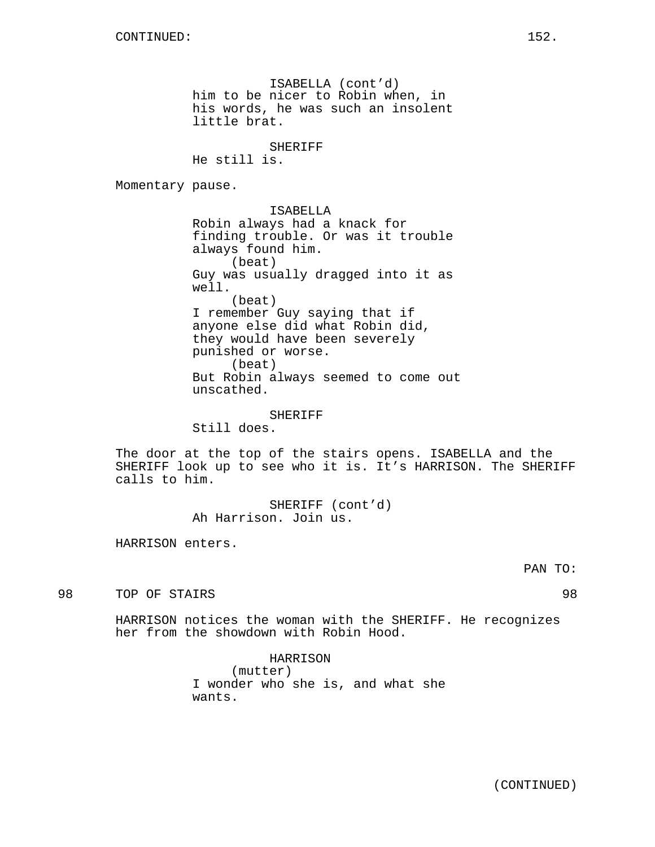ISABELLA (cont'd) him to be nicer to Robin when, in his words, he was such an insolent little brat.

SHERIFF

He still is.

Momentary pause.

ISABELLA Robin always had a knack for finding trouble. Or was it trouble always found him. (beat) Guy was usually dragged into it as well. (beat) I remember Guy saying that if anyone else did what Robin did, they would have been severely punished or worse. (beat) But Robin always seemed to come out unscathed.

SHERIFF

Still does.

The door at the top of the stairs opens. ISABELLA and the SHERIFF look up to see who it is. It's HARRISON. The SHERIFF calls to him.

> SHERIFF (cont'd) Ah Harrison. Join us.

HARRISON enters.

98 TOP OF STAIRS 98

HARRISON notices the woman with the SHERIFF. He recognizes her from the showdown with Robin Hood.

> HARRISON (mutter) I wonder who she is, and what she wants.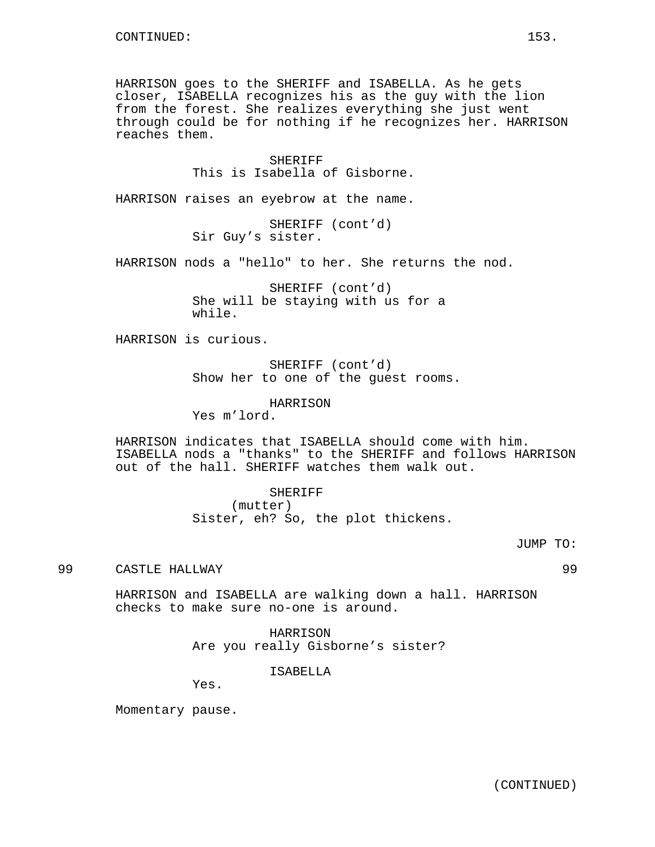HARRISON goes to the SHERIFF and ISABELLA. As he gets closer, ISABELLA recognizes his as the guy with the lion from the forest. She realizes everything she just went through could be for nothing if he recognizes her. HARRISON reaches them.

> SHERIFF This is Isabella of Gisborne.

HARRISON raises an eyebrow at the name.

SHERIFF (cont'd) Sir Guy's sister.

HARRISON nods a "hello" to her. She returns the nod.

SHERIFF (cont'd) She will be staying with us for a while.

HARRISON is curious.

SHERIFF (cont'd) Show her to one of the guest rooms.

HARRISON

Yes m'lord.

HARRISON indicates that ISABELLA should come with him. ISABELLA nods a "thanks" to the SHERIFF and follows HARRISON out of the hall. SHERIFF watches them walk out.

> SHERIFF (mutter) Sister, eh? So, the plot thickens.

99 CASTLE HALLWAY 99

HARRISON and ISABELLA are walking down a hall. HARRISON checks to make sure no-one is around.

> HARRISON Are you really Gisborne's sister?

> > ISABELLA

Yes.

Momentary pause.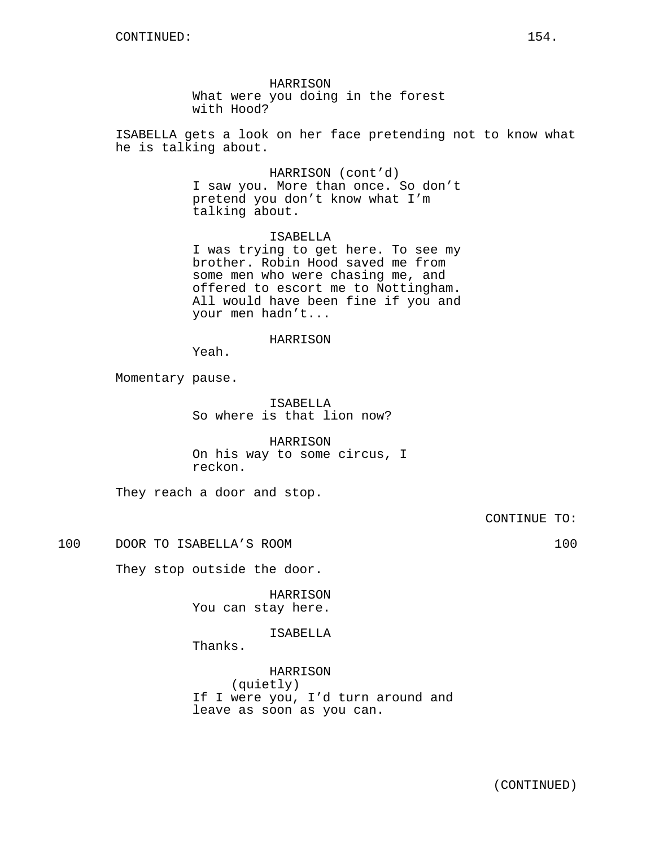HARRISON What were you doing in the forest with Hood?

ISABELLA gets a look on her face pretending not to know what he is talking about.

> HARRISON (cont'd) I saw you. More than once. So don't pretend you don't know what I'm talking about.

> ISABELLA I was trying to get here. To see my brother. Robin Hood saved me from some men who were chasing me, and offered to escort me to Nottingham. All would have been fine if you and your men hadn't...

#### HARRISON

Yeah.

Momentary pause.

ISABELLA So where is that lion now?

HARRISON On his way to some circus, I reckon.

They reach a door and stop.

CONTINUE TO:

100 DOOR TO ISABELLA'S ROOM 100

They stop outside the door.

HARRISON You can stay here.

ISABELLA

Thanks.

HARRISON (quietly) If I were you, I'd turn around and leave as soon as you can.

(CONTINUED)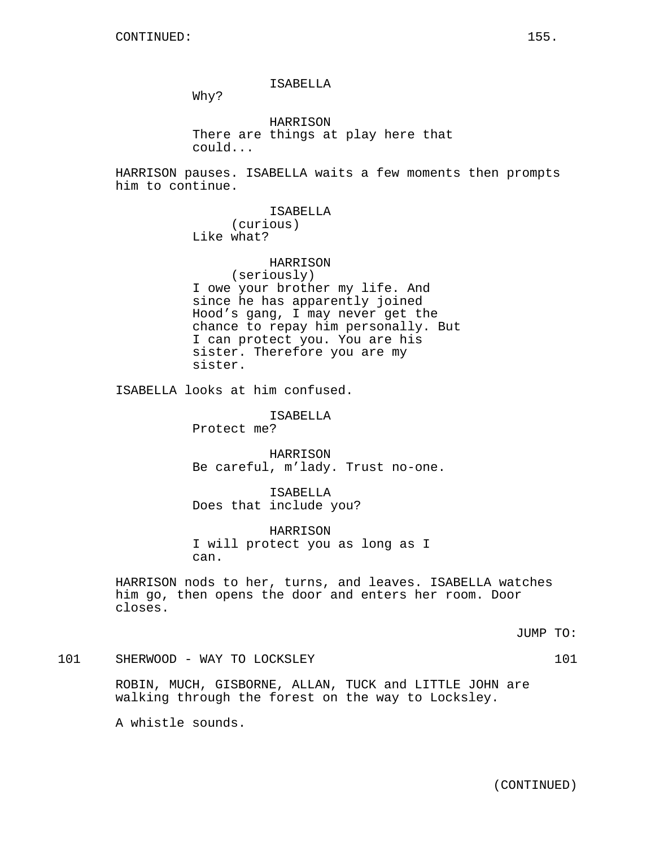## ISABELLA

Why?

HARRISON There are things at play here that could...

HARRISON pauses. ISABELLA waits a few moments then prompts him to continue.

> ISABELLA (curious) Like what?

> > HARRISON

(seriously) I owe your brother my life. And since he has apparently joined Hood's gang, I may never get the chance to repay him personally. But I can protect you. You are his sister. Therefore you are my

sister.

ISABELLA looks at him confused.

ISABELLA Protect me?

HARRISON Be careful, m'lady. Trust no-one.

ISABELLA Does that include you?

HARRISON I will protect you as long as I can.

HARRISON nods to her, turns, and leaves. ISABELLA watches him go, then opens the door and enters her room. Door closes.

JUMP TO:

101 SHERWOOD - WAY TO LOCKSLEY 101 101

ROBIN, MUCH, GISBORNE, ALLAN, TUCK and LITTLE JOHN are walking through the forest on the way to Locksley.

A whistle sounds.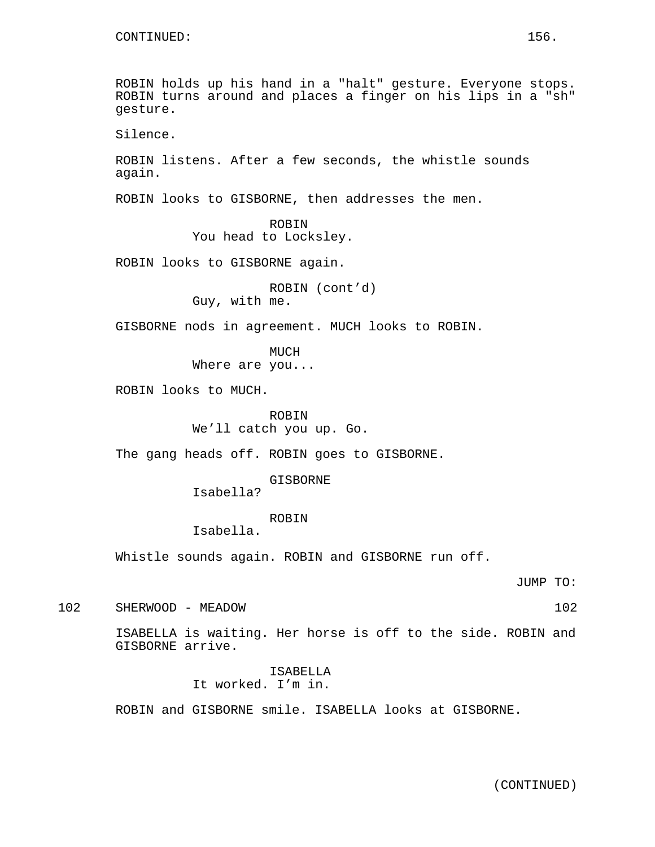ROBIN holds up his hand in a "halt" gesture. Everyone stops. ROBIN turns around and places a finger on his lips in a "sh" gesture. Silence. ROBIN listens. After a few seconds, the whistle sounds again. ROBIN looks to GISBORNE, then addresses the men. ROBIN You head to Locksley. ROBIN looks to GISBORNE again. ROBIN (cont'd) Guy, with me. GISBORNE nods in agreement. MUCH looks to ROBIN. MUCH Where are you... ROBIN looks to MUCH. ROBIN We'll catch you up. Go. The gang heads off. ROBIN goes to GISBORNE. GISBORNE Isabella? ROBIN Isabella. Whistle sounds again. ROBIN and GISBORNE run off. JUMP TO: 102 SHERWOOD - MEADOW 102 ISABELLA is waiting. Her horse is off to the side. ROBIN and GISBORNE arrive. ISABELLA It worked. I'm in.

ROBIN and GISBORNE smile. ISABELLA looks at GISBORNE.

(CONTINUED)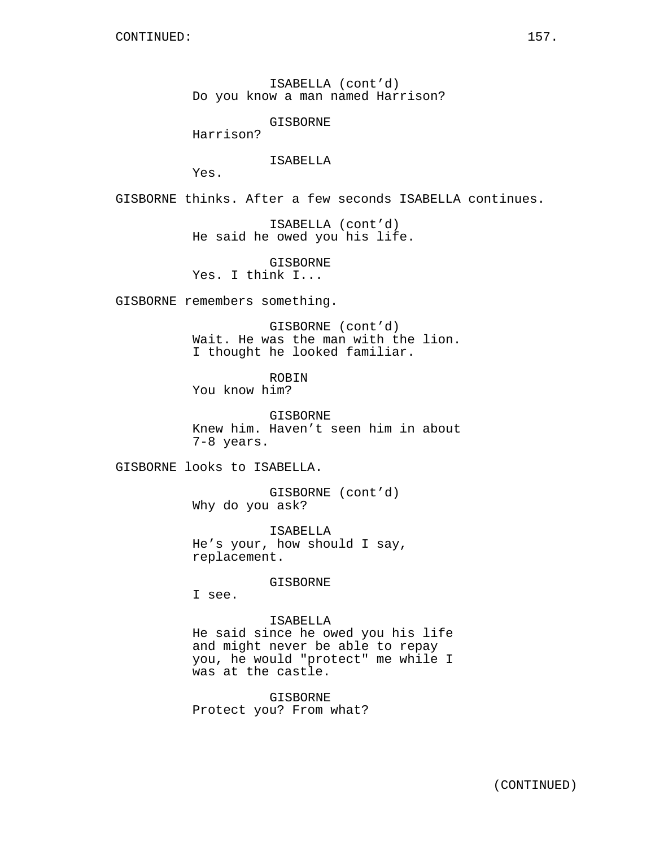ISABELLA (cont'd) Do you know a man named Harrison?

GISBORNE

Harrison?

ISABELLA

Yes.

GISBORNE thinks. After a few seconds ISABELLA continues.

ISABELLA (cont'd) He said he owed you his life.

GISBORNE

Yes. I think I...

GISBORNE remembers something.

GISBORNE (cont'd) Wait. He was the man with the lion. I thought he looked familiar.

ROBIN

You know him?

GISBORNE Knew him. Haven't seen him in about 7-8 years.

GISBORNE looks to ISABELLA.

GISBORNE (cont'd) Why do you ask?

ISABELLA He's your, how should I say, replacement.

GISBORNE

I see.

ISABELLA He said since he owed you his life and might never be able to repay you, he would "protect" me while I was at the castle.

GISBORNE Protect you? From what?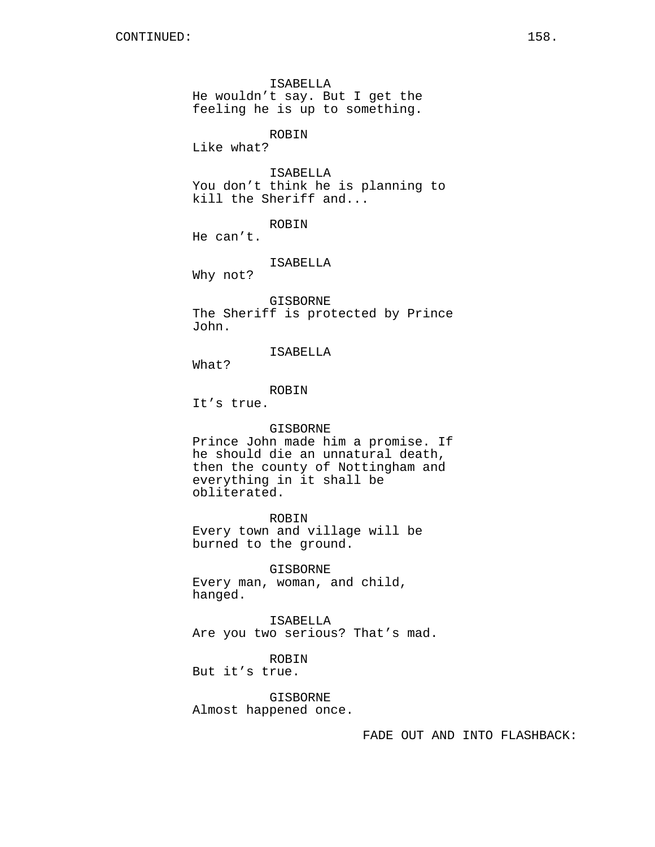ISABELLA He wouldn't say. But I get the feeling he is up to something. ROBIN Like what? ISABELLA You don't think he is planning to kill the Sheriff and... ROBIN He can't. ISABELLA Why not? GISBORNE The Sheriff is protected by Prince John. ISABELLA What? ROBIN It's true. GISBORNE Prince John made him a promise. If he should die an unnatural death, then the county of Nottingham and everything in it shall be obliterated. ROBIN Every town and village will be burned to the ground. GISBORNE Every man, woman, and child, hanged. ISABELLA Are you two serious? That's mad. ROBIN But it's true. GISBORNE

Almost happened once.

FADE OUT AND INTO FLASHBACK: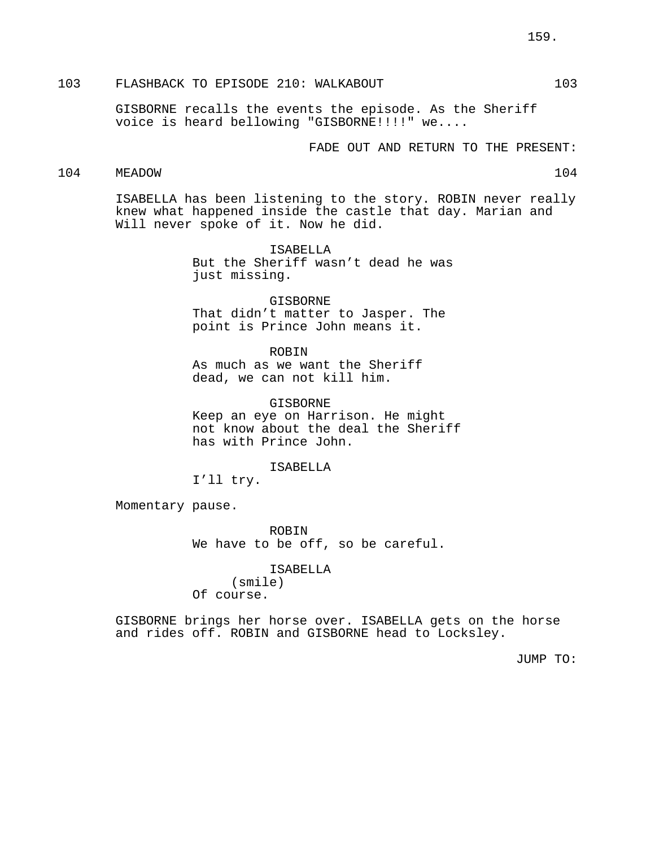# 103 FLASHBACK TO EPISODE 210: WALKABOUT 103

GISBORNE recalls the events the episode. As the Sheriff voice is heard bellowing "GISBORNE!!!!" we....

FADE OUT AND RETURN TO THE PRESENT:

# 104 MEADOW 104

ISABELLA has been listening to the story. ROBIN never really knew what happened inside the castle that day. Marian and Will never spoke of it. Now he did.

> ISABELLA But the Sheriff wasn't dead he was just missing.

GISBORNE That didn't matter to Jasper. The point is Prince John means it.

#### ROBIN

As much as we want the Sheriff dead, we can not kill him.

GISBORNE Keep an eye on Harrison. He might not know about the deal the Sheriff has with Prince John.

ISABELLA

I'll try.

Momentary pause.

ROBIN We have to be off, so be careful.

#### ISABELLA

(smile) Of course.

GISBORNE brings her horse over. ISABELLA gets on the horse and rides off. ROBIN and GISBORNE head to Locksley.

JUMP TO: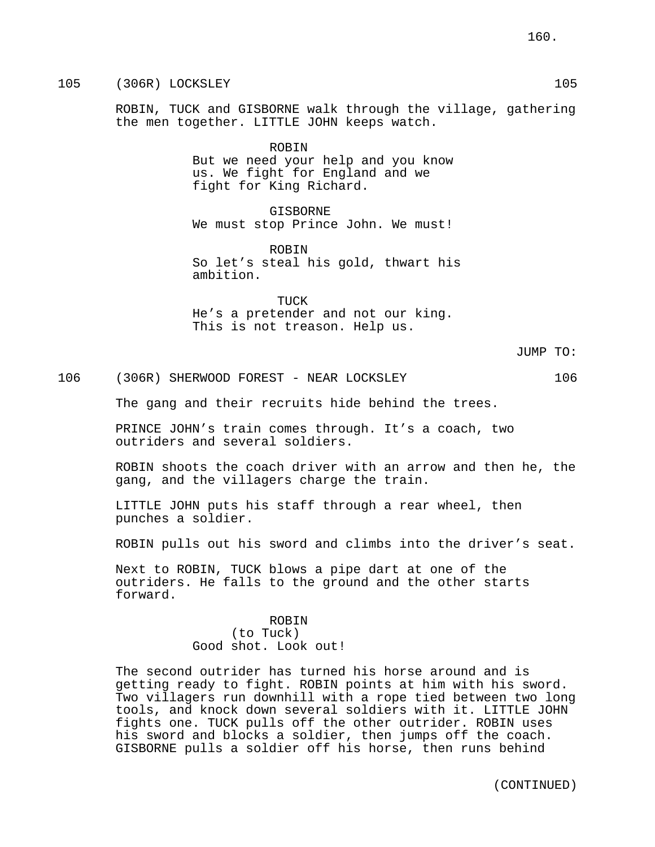105 (306R) LOCKSLEY 105

ROBIN, TUCK and GISBORNE walk through the village, gathering the men together. LITTLE JOHN keeps watch.

> ROBIN But we need your help and you know us. We fight for England and we fight for King Richard.

> GISBORNE We must stop Prince John. We must!

ROBIN So let's steal his gold, thwart his ambition.

TUCK He's a pretender and not our king.

This is not treason. Help us.

JUMP TO:

106 (306R) SHERWOOD FOREST - NEAR LOCKSLEY 106

The gang and their recruits hide behind the trees.

PRINCE JOHN's train comes through. It's a coach, two outriders and several soldiers.

ROBIN shoots the coach driver with an arrow and then he, the gang, and the villagers charge the train.

LITTLE JOHN puts his staff through a rear wheel, then punches a soldier.

ROBIN pulls out his sword and climbs into the driver's seat.

Next to ROBIN, TUCK blows a pipe dart at one of the outriders. He falls to the ground and the other starts forward.

#### ROBIN

(to Tuck) Good shot. Look out!

The second outrider has turned his horse around and is getting ready to fight. ROBIN points at him with his sword. Two villagers run downhill with a rope tied between two long tools, and knock down several soldiers with it. LITTLE JOHN fights one. TUCK pulls off the other outrider. ROBIN uses his sword and blocks a soldier, then jumps off the coach. GISBORNE pulls a soldier off his horse, then runs behind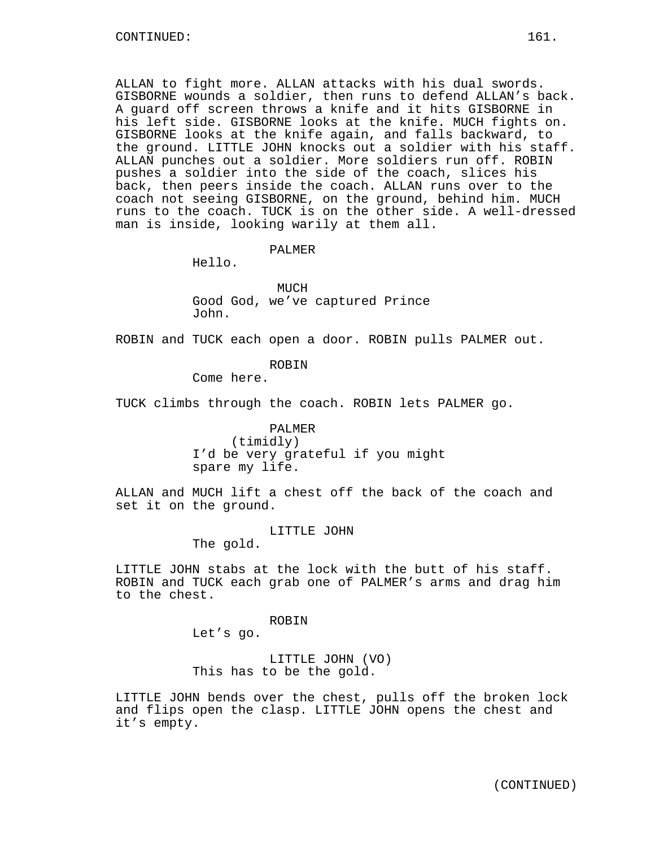ALLAN to fight more. ALLAN attacks with his dual swords. GISBORNE wounds a soldier, then runs to defend ALLAN's back. A guard off screen throws a knife and it hits GISBORNE in his left side. GISBORNE looks at the knife. MUCH fights on. GISBORNE looks at the knife again, and falls backward, to the ground. LITTLE JOHN knocks out a soldier with his staff. ALLAN punches out a soldier. More soldiers run off. ROBIN pushes a soldier into the side of the coach, slices his back, then peers inside the coach. ALLAN runs over to the coach not seeing GISBORNE, on the ground, behind him. MUCH runs to the coach. TUCK is on the other side. A well-dressed man is inside, looking warily at them all.

#### PALMER

Hello.

MUCH Good God, we've captured Prince John.

ROBIN and TUCK each open a door. ROBIN pulls PALMER out.

## ROBIN

Come here.

TUCK climbs through the coach. ROBIN lets PALMER go.

PALMER (timidly) I'd be very grateful if you might spare my life.

ALLAN and MUCH lift a chest off the back of the coach and set it on the ground.

LITTLE JOHN

The gold.

LITTLE JOHN stabs at the lock with the butt of his staff. ROBIN and TUCK each grab one of PALMER's arms and drag him to the chest.

#### ROBIN

Let's go.

LITTLE JOHN (VO) This has to be the gold.

LITTLE JOHN bends over the chest, pulls off the broken lock and flips open the clasp. LITTLE JOHN opens the chest and it's empty.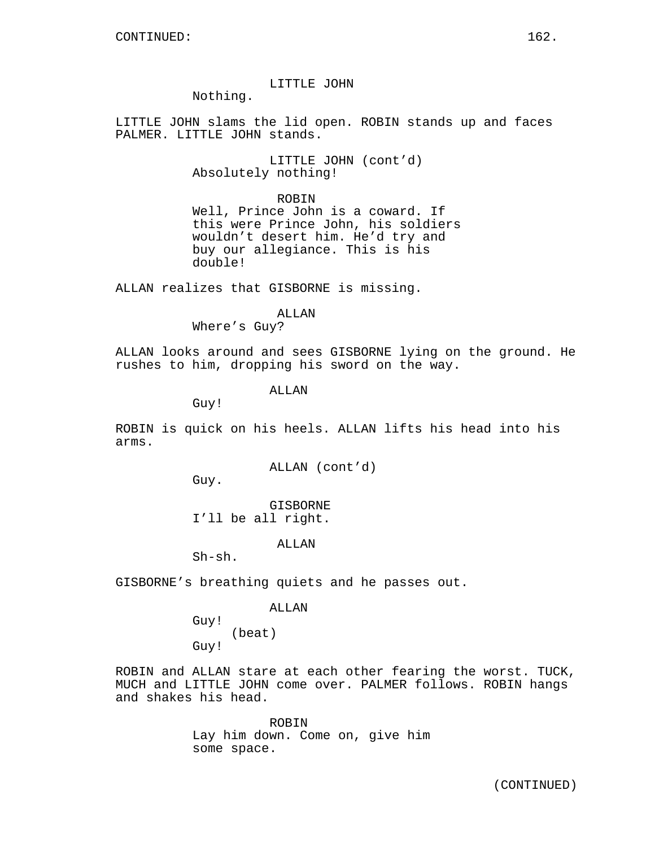LITTLE JOHN

Nothing.

LITTLE JOHN slams the lid open. ROBIN stands up and faces PALMER. LITTLE JOHN stands.

> LITTLE JOHN (cont'd) Absolutely nothing!

> > ROBIN

Well, Prince John is a coward. If this were Prince John, his soldiers wouldn't desert him. He'd try and buy our allegiance. This is his double!

ALLAN realizes that GISBORNE is missing.

#### ALLAN

Where's Guy?

ALLAN looks around and sees GISBORNE lying on the ground. He rushes to him, dropping his sword on the way.

**ALLAN** 

Guy!

ROBIN is quick on his heels. ALLAN lifts his head into his arms.

ALLAN (cont'd)

Guy.

GISBORNE I'll be all right.

ALLAN

Sh-sh.

GISBORNE's breathing quiets and he passes out.

#### ALLAN

Guy! (beat) Guy!

ROBIN and ALLAN stare at each other fearing the worst. TUCK, MUCH and LITTLE JOHN come over. PALMER follows. ROBIN hangs and shakes his head.

> ROBIN Lay him down. Come on, give him some space.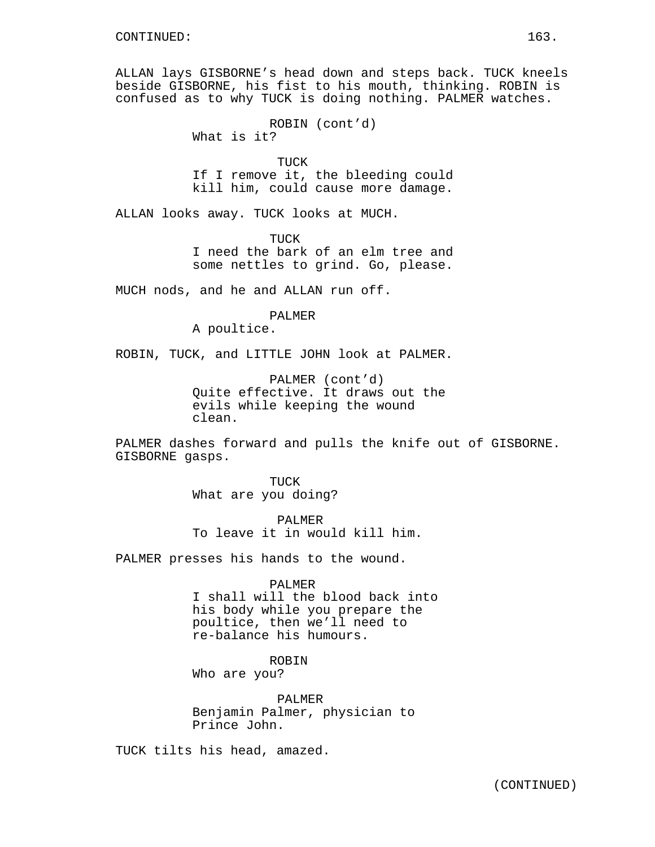ALLAN lays GISBORNE's head down and steps back. TUCK kneels beside GISBORNE, his fist to his mouth, thinking. ROBIN is confused as to why TUCK is doing nothing. PALMER watches.

> ROBIN (cont'd) What is it?

TUCK If I remove it, the bleeding could kill him, could cause more damage.

ALLAN looks away. TUCK looks at MUCH.

TUCK I need the bark of an elm tree and some nettles to grind. Go, please.

MUCH nods, and he and ALLAN run off.

PALMER

A poultice.

ROBIN, TUCK, and LITTLE JOHN look at PALMER.

PALMER (cont'd) Quite effective. It draws out the evils while keeping the wound clean.

PALMER dashes forward and pulls the knife out of GISBORNE. GISBORNE gasps.

> TUCK What are you doing?

PALMER To leave it in would kill him.

PALMER presses his hands to the wound.

PALMER

I shall will the blood back into his body while you prepare the poultice, then we'll need to re-balance his humours.

**ROBIN** 

Who are you?

PALMER Benjamin Palmer, physician to Prince John.

TUCK tilts his head, amazed.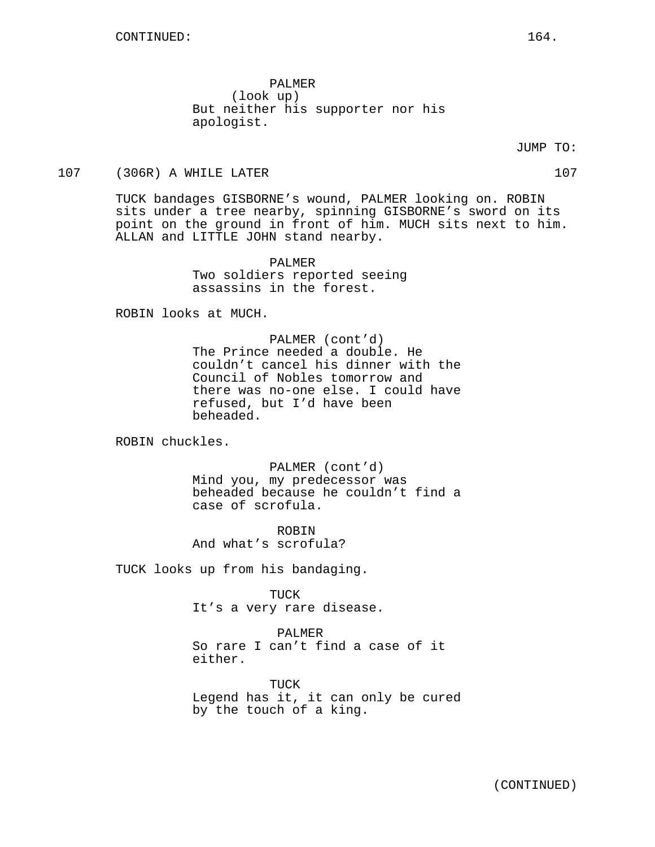PALMER (look up) But neither his supporter nor his apologist.

### JUMP TO:

#### 107 (306R) A WHILE LATER 107 (306R) A WHILE LATER

TUCK bandages GISBORNE's wound, PALMER looking on. ROBIN sits under a tree nearby, spinning GISBORNE's sword on its point on the ground in front of him. MUCH sits next to him. ALLAN and LITTLE JOHN stand nearby.

> PALMER Two soldiers reported seeing assassins in the forest.

ROBIN looks at MUCH.

PALMER (cont'd) The Prince needed a double. He couldn't cancel his dinner with the Council of Nobles tomorrow and there was no-one else. I could have refused, but I'd have been beheaded.

ROBIN chuckles.

PALMER (cont'd) Mind you, my predecessor was beheaded because he couldn't find a case of scrofula.

ROBIN And what's scrofula?

TUCK looks up from his bandaging.

TUCK It's a very rare disease.

PALMER So rare I can't find a case of it either.

TUCK Legend has it, it can only be cured by the touch of a king.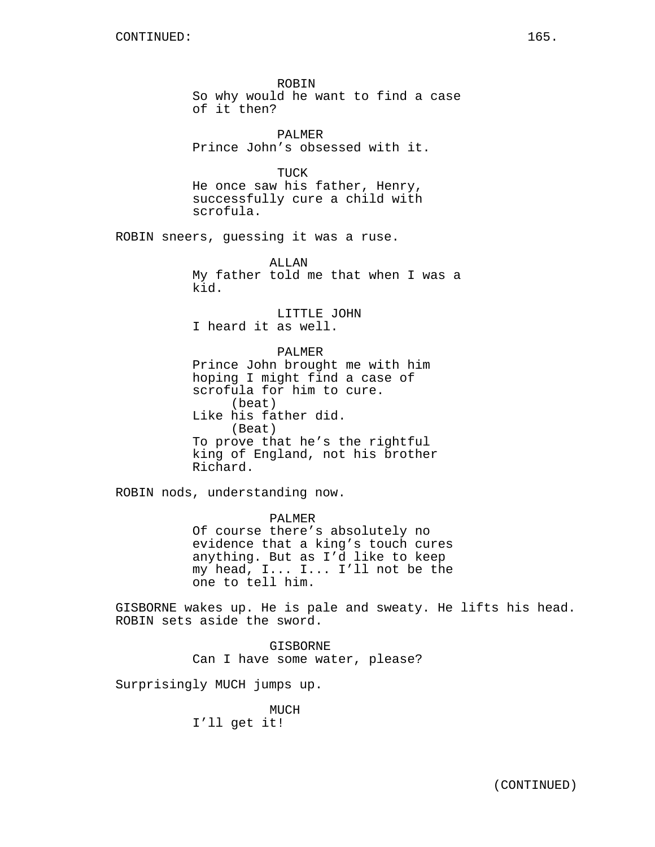ROBIN So why would he want to find a case of it then?

PALMER Prince John's obsessed with it.

TUCK He once saw his father, Henry, successfully cure a child with scrofula.

ROBIN sneers, guessing it was a ruse.

ALLAN My father told me that when I was a kid.

LITTLE JOHN I heard it as well.

PALMER Prince John brought me with him hoping I might find a case of scrofula for him to cure. (beat) Like his father did. (Beat) To prove that he's the rightful king of England, not his brother Richard.

ROBIN nods, understanding now.

PALMER Of course there's absolutely no evidence that a king's touch cures anything. But as I'd like to keep my head, I... I... I'll not be the one to tell him.

GISBORNE wakes up. He is pale and sweaty. He lifts his head. ROBIN sets aside the sword.

> GISBORNE Can I have some water, please?

Surprisingly MUCH jumps up.

MUCH I'll get it!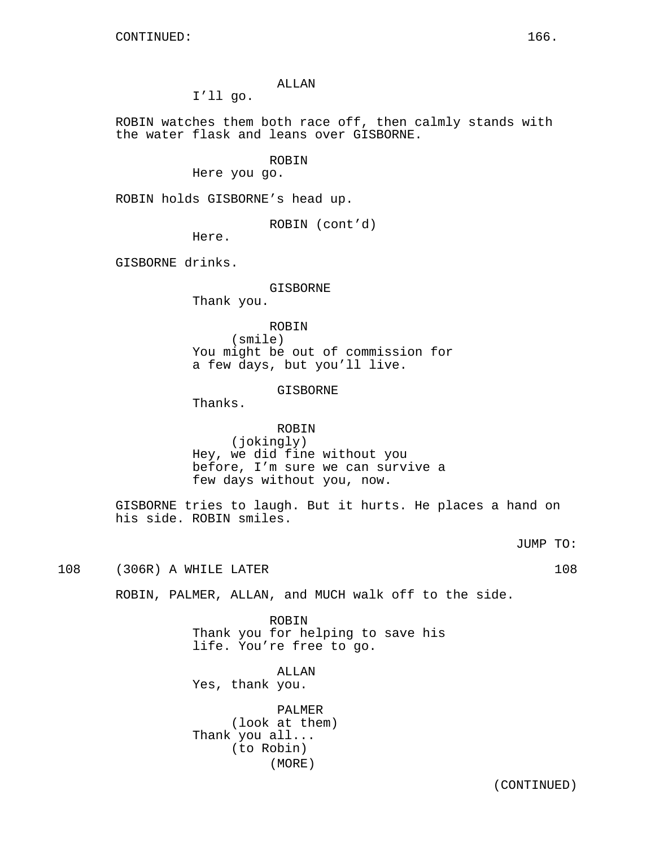## ALLAN

I'll go.

ROBIN watches them both race off, then calmly stands with the water flask and leans over GISBORNE.

ROBIN

Here you go.

ROBIN holds GISBORNE's head up.

ROBIN (cont'd)

Here.

GISBORNE drinks.

# GISBORNE

Thank you.

ROBIN (smile) You might be out of commission for a few days, but you'll live.

## GISBORNE

Thanks.

## ROBIN (jokingly) Hey, we did fine without you before, I'm sure we can survive a few days without you, now.

GISBORNE tries to laugh. But it hurts. He places a hand on his side. ROBIN smiles.

JUMP TO:

108 (306R) A WHILE LATER 108 (306R) A WHILE LATER

ROBIN, PALMER, ALLAN, and MUCH walk off to the side.

ROBIN Thank you for helping to save his life. You're free to go.

ALLAN Yes, thank you.

PALMER (look at them) Thank you all... (to Robin) (MORE)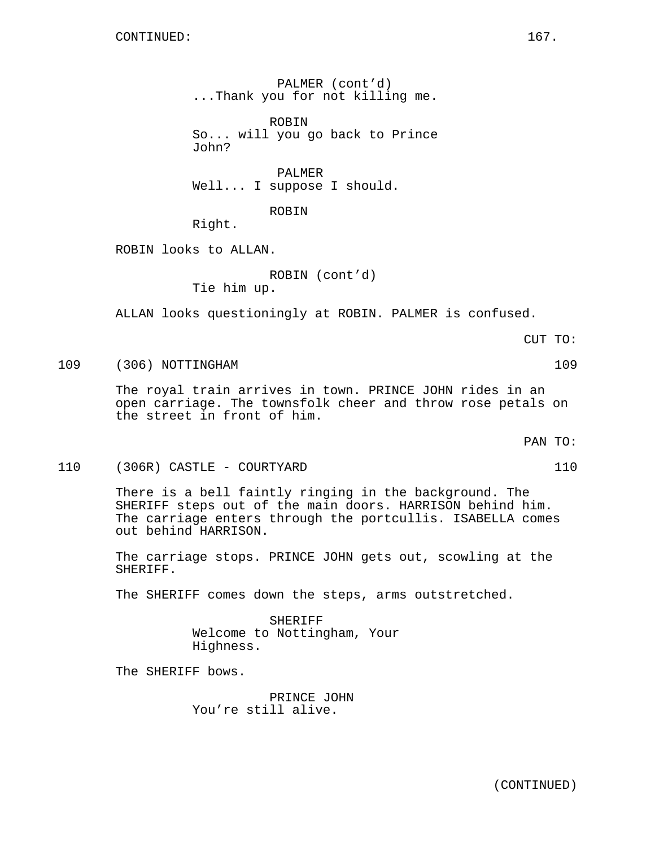PALMER (cont'd) ...Thank you for not killing me.

ROBIN So... will you go back to Prince John?

PALMER Well... I suppose I should.

ROBIN

Right.

ROBIN looks to ALLAN.

ROBIN (cont'd) Tie him up.

ALLAN looks questioningly at ROBIN. PALMER is confused.

CUT TO:

# 109 (306) NOTTINGHAM 109

The royal train arrives in town. PRINCE JOHN rides in an open carriage. The townsfolk cheer and throw rose petals on the street in front of him.

PAN TO:

### 110 (306R) CASTLE - COURTYARD 110

There is a bell faintly ringing in the background. The SHERIFF steps out of the main doors. HARRISON behind him. The carriage enters through the portcullis. ISABELLA comes out behind HARRISON.

The carriage stops. PRINCE JOHN gets out, scowling at the SHERIFF.

The SHERIFF comes down the steps, arms outstretched.

SHERIFF Welcome to Nottingham, Your Highness.

The SHERIFF bows.

PRINCE JOHN You're still alive.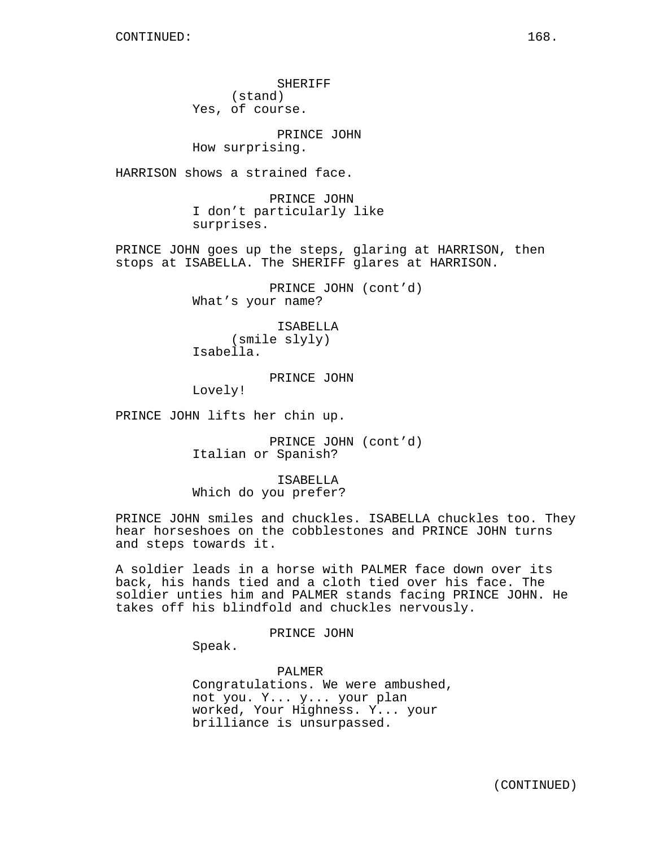SHERIFF (stand) Yes, of course.

PRINCE JOHN

How surprising.

HARRISON shows a strained face.

PRINCE JOHN I don't particularly like surprises.

PRINCE JOHN goes up the steps, glaring at HARRISON, then stops at ISABELLA. The SHERIFF glares at HARRISON.

> PRINCE JOHN (cont'd) What's your name?

ISABELLA (smile slyly) Isabella.

PRINCE JOHN

Lovely!

PRINCE JOHN lifts her chin up.

PRINCE JOHN (cont'd) Italian or Spanish?

ISABELLA Which do you prefer?

PRINCE JOHN smiles and chuckles. ISABELLA chuckles too. They hear horseshoes on the cobblestones and PRINCE JOHN turns and steps towards it.

A soldier leads in a horse with PALMER face down over its back, his hands tied and a cloth tied over his face. The soldier unties him and PALMER stands facing PRINCE JOHN. He takes off his blindfold and chuckles nervously.

PRINCE JOHN

Speak.

PALMER Congratulations. We were ambushed, not you. Y... y... your plan worked, Your Highness. Y... your brilliance is unsurpassed.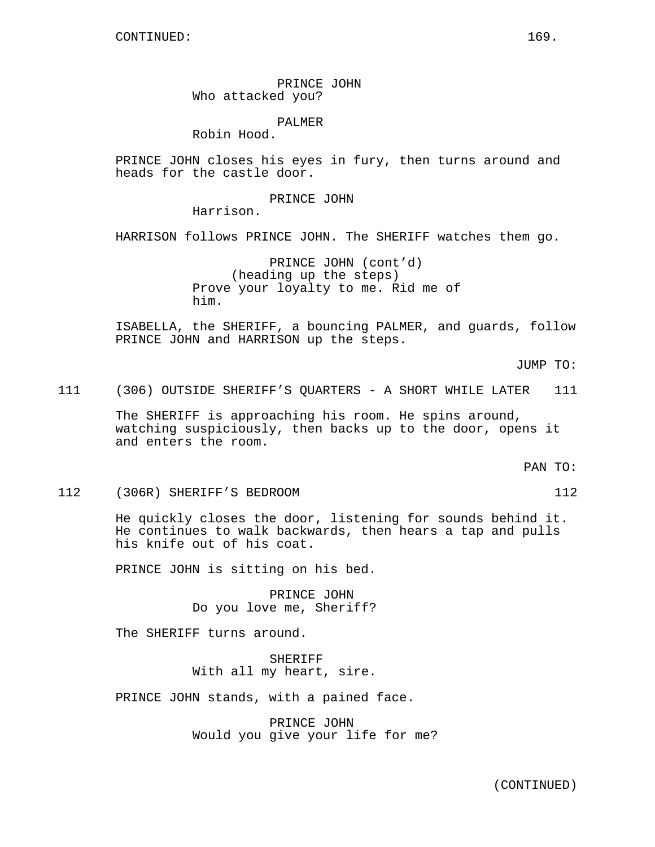PRINCE JOHN Who attacked you?

PALMER

Robin Hood.

PRINCE JOHN closes his eyes in fury, then turns around and heads for the castle door.

PRINCE JOHN

Harrison.

HARRISON follows PRINCE JOHN. The SHERIFF watches them go.

PRINCE JOHN (cont'd) (heading up the steps) Prove your loyalty to me. Rid me of him.

ISABELLA, the SHERIFF, a bouncing PALMER, and guards, follow PRINCE JOHN and HARRISON up the steps.

JUMP TO:

111 (306) OUTSIDE SHERIFF'S QUARTERS - A SHORT WHILE LATER 111

The SHERIFF is approaching his room. He spins around, watching suspiciously, then backs up to the door, opens it and enters the room.

PAN TO:

112 (306R) SHERIFF'S BEDROOM 112

He quickly closes the door, listening for sounds behind it. He continues to walk backwards, then hears a tap and pulls his knife out of his coat.

PRINCE JOHN is sitting on his bed.

PRINCE JOHN Do you love me, Sheriff?

The SHERIFF turns around.

SHERIFF With all my heart, sire.

PRINCE JOHN stands, with a pained face.

PRINCE JOHN Would you give your life for me?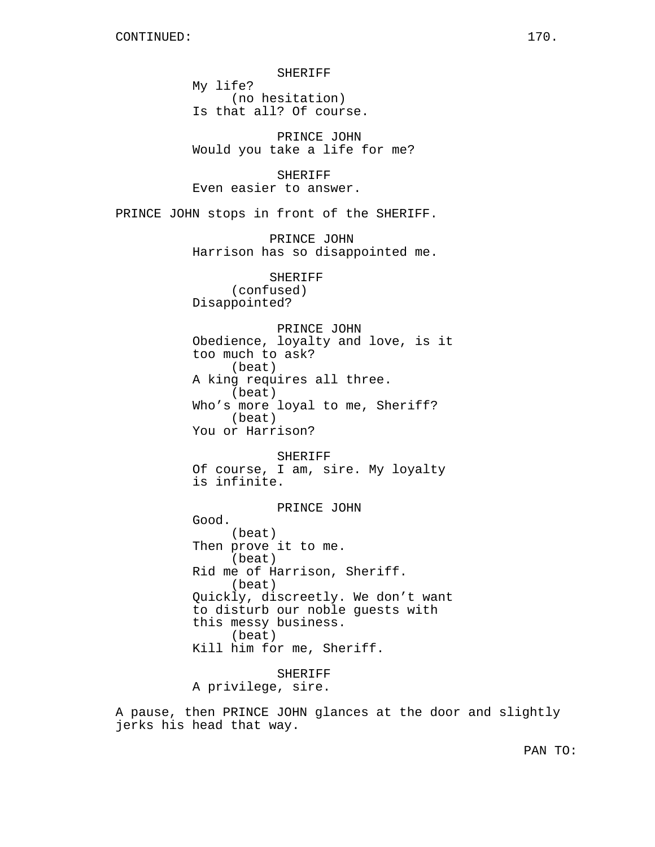SHERIFF My life? (no hesitation) Is that all? Of course. PRINCE JOHN Would you take a life for me? SHERIFF Even easier to answer. PRINCE JOHN stops in front of the SHERIFF. PRINCE JOHN Harrison has so disappointed me. SHERIFF (confused) Disappointed? PRINCE JOHN Obedience, loyalty and love, is it too much to ask? (beat) A king requires all three. (beat) Who's more loyal to me, Sheriff? (beat) You or Harrison? SHERIFF Of course, I am, sire. My loyalty is infinite. PRINCE JOHN Good. (beat) Then prove it to me. (beat) Rid me of Harrison, Sheriff. (beat) Quickly, discreetly. We don't want to disturb our noble guests with this messy business. (beat) Kill him for me, Sheriff. SHERIFF

A privilege, sire.

A pause, then PRINCE JOHN glances at the door and slightly jerks his head that way.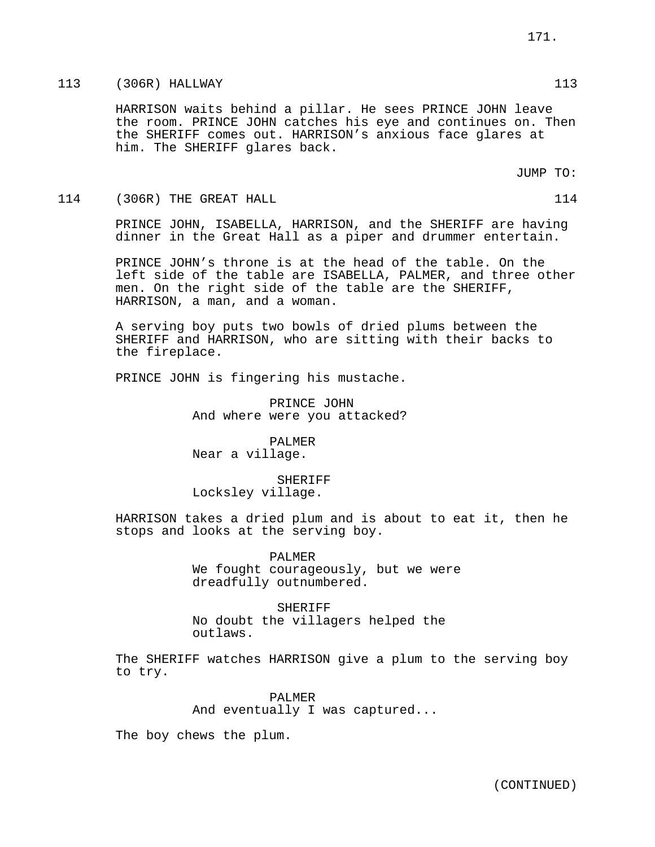HARRISON waits behind a pillar. He sees PRINCE JOHN leave the room. PRINCE JOHN catches his eye and continues on. Then the SHERIFF comes out. HARRISON's anxious face glares at him. The SHERIFF glares back.

JUMP TO:

114 (306R) THE GREAT HALL 114

PRINCE JOHN, ISABELLA, HARRISON, and the SHERIFF are having dinner in the Great Hall as a piper and drummer entertain.

PRINCE JOHN's throne is at the head of the table. On the left side of the table are ISABELLA, PALMER, and three other men. On the right side of the table are the SHERIFF, HARRISON, a man, and a woman.

A serving boy puts two bowls of dried plums between the SHERIFF and HARRISON, who are sitting with their backs to the fireplace.

PRINCE JOHN is fingering his mustache.

PRINCE JOHN And where were you attacked?

PALMER Near a village.

SHERIFF Locksley village.

HARRISON takes a dried plum and is about to eat it, then he stops and looks at the serving boy.

> PALMER We fought courageously, but we were dreadfully outnumbered.

**SHERIFF** No doubt the villagers helped the outlaws.

The SHERIFF watches HARRISON give a plum to the serving boy to try.

> PALMER And eventually I was captured...

The boy chews the plum.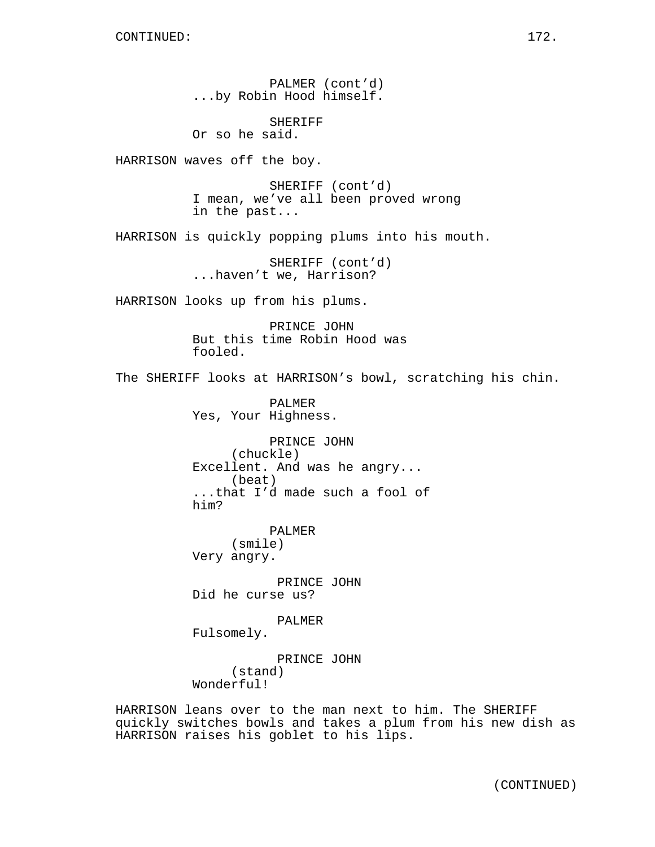PALMER (cont'd) ...by Robin Hood himself.

SHERIFF Or so he said.

HARRISON waves off the boy.

SHERIFF (cont'd) I mean, we've all been proved wrong in the past...

HARRISON is quickly popping plums into his mouth.

SHERIFF (cont'd) ...haven't we, Harrison?

HARRISON looks up from his plums.

PRINCE JOHN But this time Robin Hood was fooled.

The SHERIFF looks at HARRISON's bowl, scratching his chin.

PALMER Yes, Your Highness.

PRINCE JOHN (chuckle) Excellent. And was he angry... (beat) ...that I'd made such a fool of him?

PALMER (smile) Very angry.

PRINCE JOHN Did he curse us?

PALMER

Fulsomely.

PRINCE JOHN (stand) Wonderful!

HARRISON leans over to the man next to him. The SHERIFF quickly switches bowls and takes a plum from his new dish as HARRISON raises his goblet to his lips.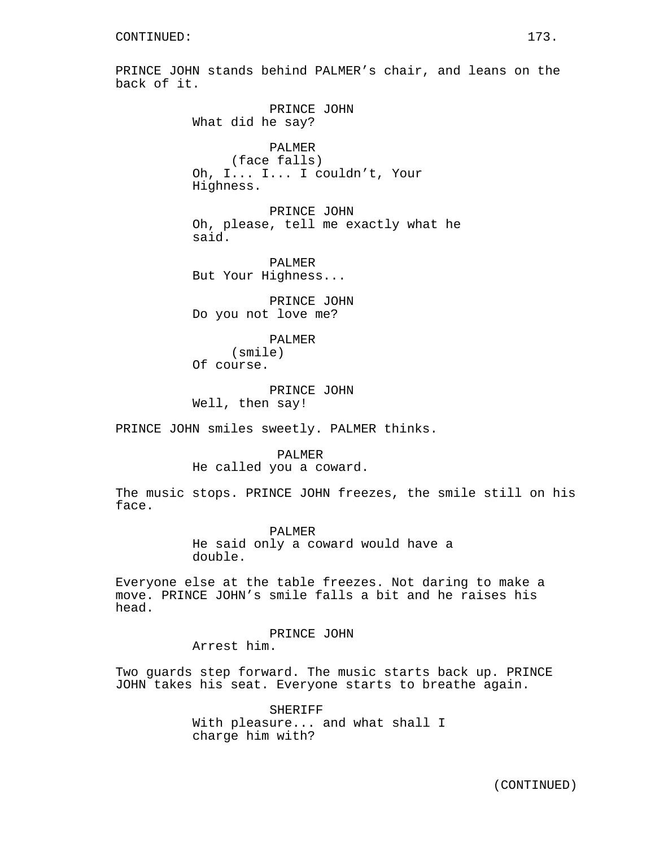PRINCE JOHN stands behind PALMER's chair, and leans on the back of it. PRINCE JOHN What did he say? PALMER (face falls) Oh, I... I... I couldn't, Your Highness. PRINCE JOHN Oh, please, tell me exactly what he said. PALMER But Your Highness... PRINCE JOHN Do you not love me? PALMER (smile) Of course. PRINCE JOHN Well, then say! PRINCE JOHN smiles sweetly. PALMER thinks. PALMER He called you a coward. The music stops. PRINCE JOHN freezes, the smile still on his face. PALMER He said only a coward would have a double. Everyone else at the table freezes. Not daring to make a move. PRINCE JOHN's smile falls a bit and he raises his head. PRINCE JOHN Arrest him. Two guards step forward. The music starts back up. PRINCE

> SHERIFF With pleasure... and what shall I charge him with?

JOHN takes his seat. Everyone starts to breathe again.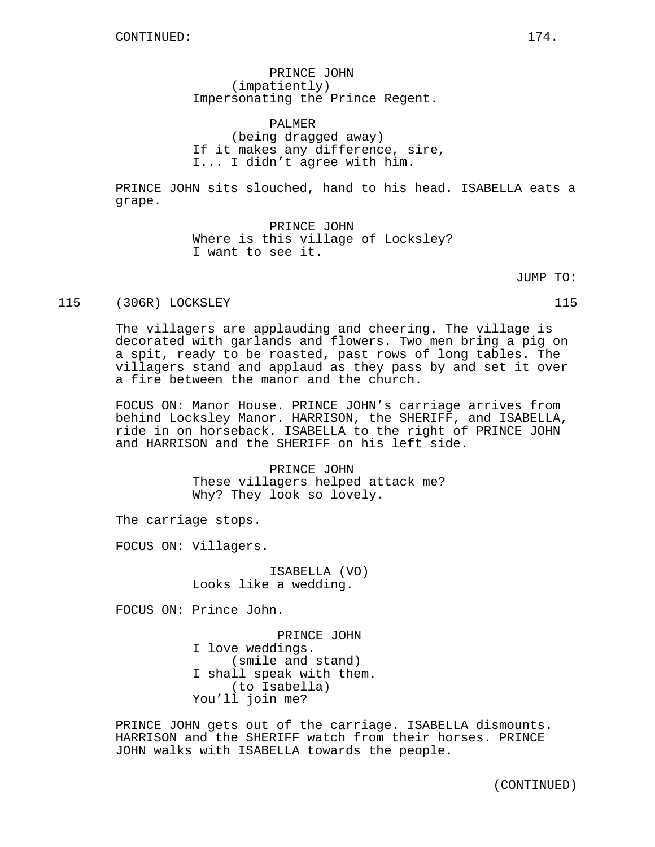PRINCE JOHN (impatiently) Impersonating the Prince Regent.

PALMER (being dragged away) If it makes any difference, sire, I... I didn't agree with him.

PRINCE JOHN sits slouched, hand to his head. ISABELLA eats a grape.

> PRINCE JOHN Where is this village of Locksley? I want to see it.

> > JUMP TO:

115 (306R) LOCKSLEY 115

The villagers are applauding and cheering. The village is decorated with garlands and flowers. Two men bring a pig on a spit, ready to be roasted, past rows of long tables. The villagers stand and applaud as they pass by and set it over a fire between the manor and the church.

FOCUS ON: Manor House. PRINCE JOHN's carriage arrives from behind Locksley Manor. HARRISON, the SHERIFF, and ISABELLA, ride in on horseback. ISABELLA to the right of PRINCE JOHN and HARRISON and the SHERIFF on his left side.

> PRINCE JOHN These villagers helped attack me? Why? They look so lovely.

The carriage stops.

FOCUS ON: Villagers.

ISABELLA (VO) Looks like a wedding.

FOCUS ON: Prince John.

PRINCE JOHN I love weddings. (smile and stand) I shall speak with them. (to Isabella) You'll join me?

PRINCE JOHN gets out of the carriage. ISABELLA dismounts. HARRISON and the SHERIFF watch from their horses. PRINCE JOHN walks with ISABELLA towards the people.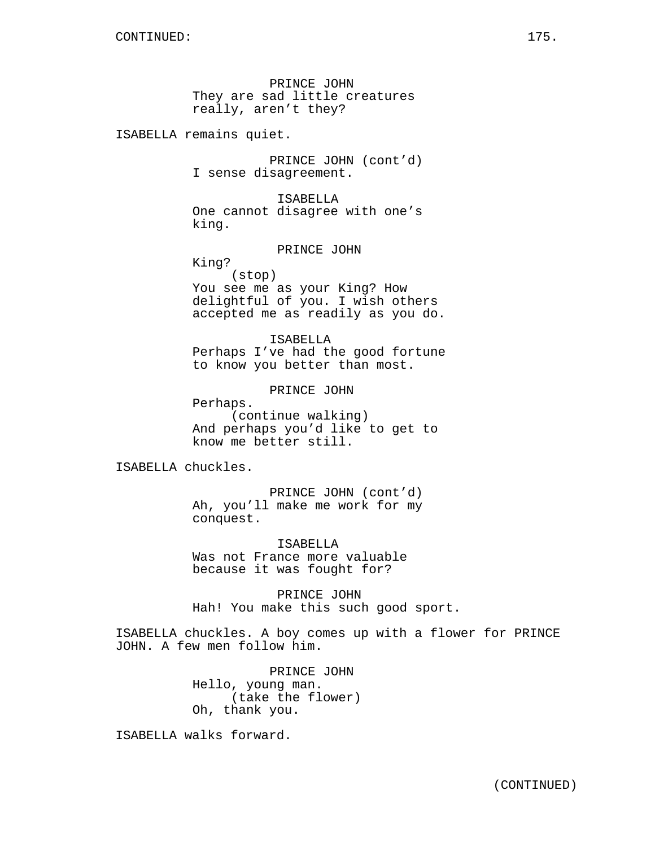PRINCE JOHN They are sad little creatures really, aren't they?

ISABELLA remains quiet.

PRINCE JOHN (cont'd) I sense disagreement.

ISABELLA One cannot disagree with one's king.

PRINCE JOHN

King? (stop) You see me as your King? How delightful of you. I wish others accepted me as readily as you do.

ISABELLA Perhaps I've had the good fortune to know you better than most.

PRINCE JOHN

Perhaps. (continue walking) And perhaps you'd like to get to know me better still.

ISABELLA chuckles.

PRINCE JOHN (cont'd) Ah, you'll make me work for my conquest.

ISABELLA Was not France more valuable because it was fought for?

PRINCE JOHN Hah! You make this such good sport.

ISABELLA chuckles. A boy comes up with a flower for PRINCE JOHN. A few men follow him.

> PRINCE JOHN Hello, young man. (take the flower) Oh, thank you.

ISABELLA walks forward.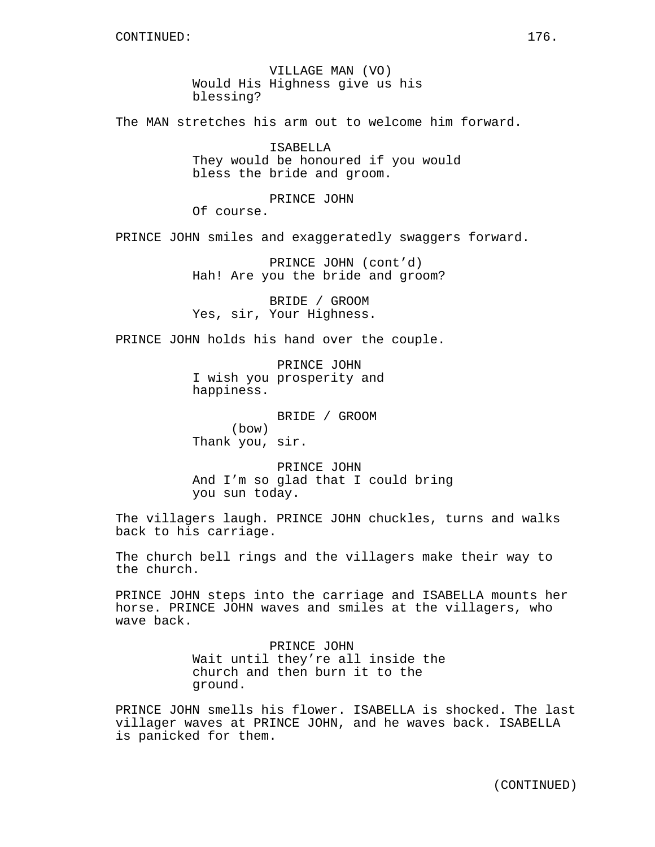VILLAGE MAN (VO) Would His Highness give us his blessing?

The MAN stretches his arm out to welcome him forward.

ISABELLA They would be honoured if you would bless the bride and groom.

PRINCE JOHN

Of course.

PRINCE JOHN smiles and exaggeratedly swaggers forward.

PRINCE JOHN (cont'd) Hah! Are you the bride and groom?

BRIDE / GROOM Yes, sir, Your Highness.

PRINCE JOHN holds his hand over the couple.

PRINCE JOHN I wish you prosperity and happiness.

BRIDE / GROOM (bow) Thank you, sir.

PRINCE JOHN And I'm so glad that I could bring you sun today.

The villagers laugh. PRINCE JOHN chuckles, turns and walks back to his carriage.

The church bell rings and the villagers make their way to the church.

PRINCE JOHN steps into the carriage and ISABELLA mounts her horse. PRINCE JOHN waves and smiles at the villagers, who wave back.

> PRINCE JOHN Wait until they're all inside the church and then burn it to the ground.

PRINCE JOHN smells his flower. ISABELLA is shocked. The last villager waves at PRINCE JOHN, and he waves back. ISABELLA is panicked for them.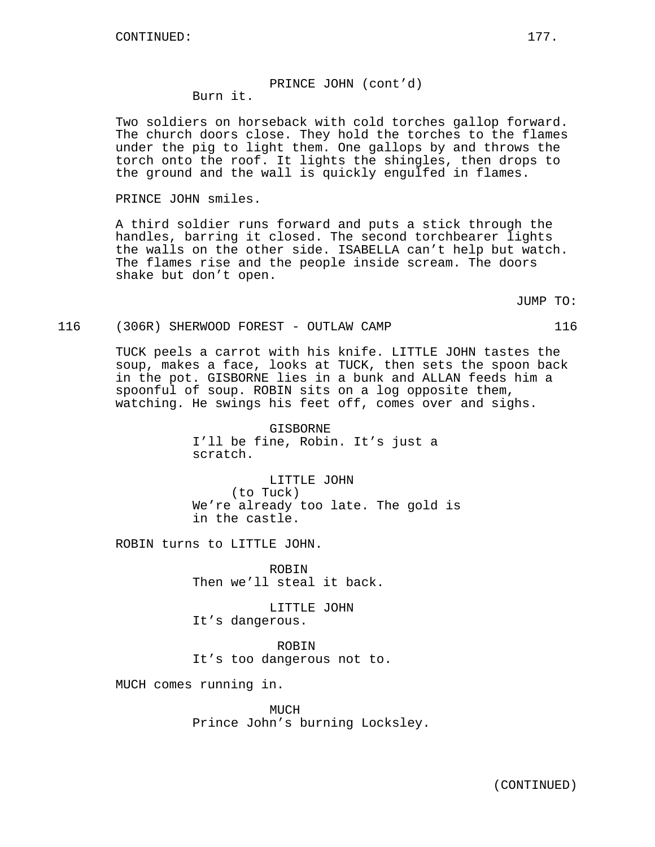#### PRINCE JOHN (cont'd) Burn it.

Two soldiers on horseback with cold torches gallop forward. The church doors close. They hold the torches to the flames under the pig to light them. One gallops by and throws the torch onto the roof. It lights the shingles, then drops to the ground and the wall is quickly engulfed in flames.

PRINCE JOHN smiles.

A third soldier runs forward and puts a stick through the handles, barring it closed. The second torchbearer lights the walls on the other side. ISABELLA can't help but watch. The flames rise and the people inside scream. The doors shake but don't open.

JUMP TO:

#### 116 (306R) SHERWOOD FOREST - OUTLAW CAMP 116

TUCK peels a carrot with his knife. LITTLE JOHN tastes the soup, makes a face, looks at TUCK, then sets the spoon back in the pot. GISBORNE lies in a bunk and ALLAN feeds him a spoonful of soup. ROBIN sits on a log opposite them, watching. He swings his feet off, comes over and sighs.

> GISBORNE I'll be fine, Robin. It's just a scratch.

LITTLE JOHN (to Tuck) We're already too late. The gold is in the castle.

ROBIN turns to LITTLE JOHN.

ROBIN Then we'll steal it back.

LITTLE JOHN It's dangerous.

ROBIN It's too dangerous not to.

MUCH comes running in.

MUCH Prince John's burning Locksley.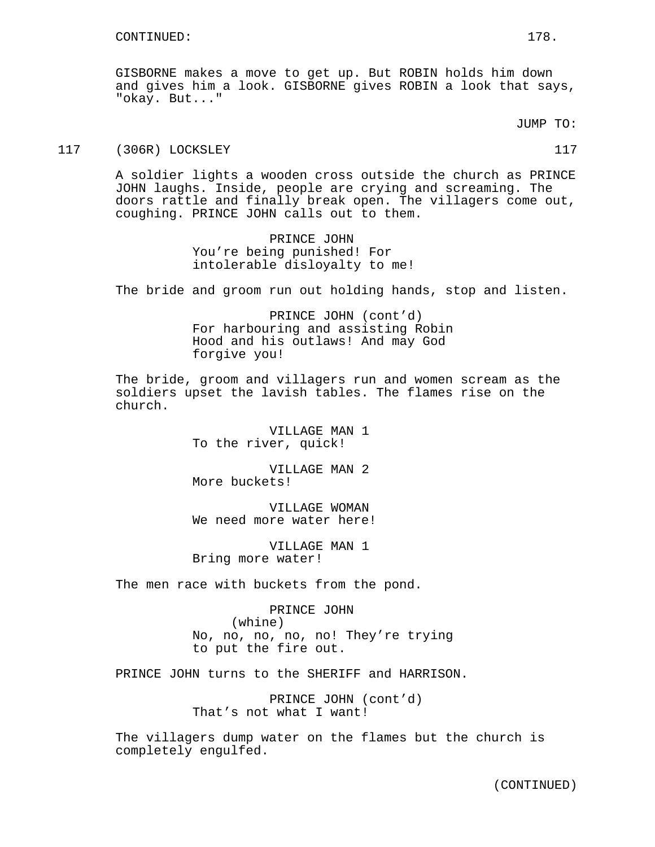GISBORNE makes a move to get up. But ROBIN holds him down and gives him a look. GISBORNE gives ROBIN a look that says, "okay. But..."

JUMP TO:

117 (306R) LOCKSLEY 117

A soldier lights a wooden cross outside the church as PRINCE JOHN laughs. Inside, people are crying and screaming. The doors rattle and finally break open. The villagers come out, coughing. PRINCE JOHN calls out to them.

> PRINCE JOHN You're being punished! For intolerable disloyalty to me!

The bride and groom run out holding hands, stop and listen.

PRINCE JOHN (cont'd) For harbouring and assisting Robin Hood and his outlaws! And may God forgive you!

The bride, groom and villagers run and women scream as the soldiers upset the lavish tables. The flames rise on the church.

> VILLAGE MAN 1 To the river, quick!

> VILLAGE MAN 2 More buckets!

VILLAGE WOMAN We need more water here!

VILLAGE MAN 1 Bring more water!

The men race with buckets from the pond.

PRINCE JOHN (whine) No, no, no, no, no! They're trying to put the fire out.

PRINCE JOHN turns to the SHERIFF and HARRISON.

PRINCE JOHN (cont'd) That's not what I want!

The villagers dump water on the flames but the church is completely engulfed.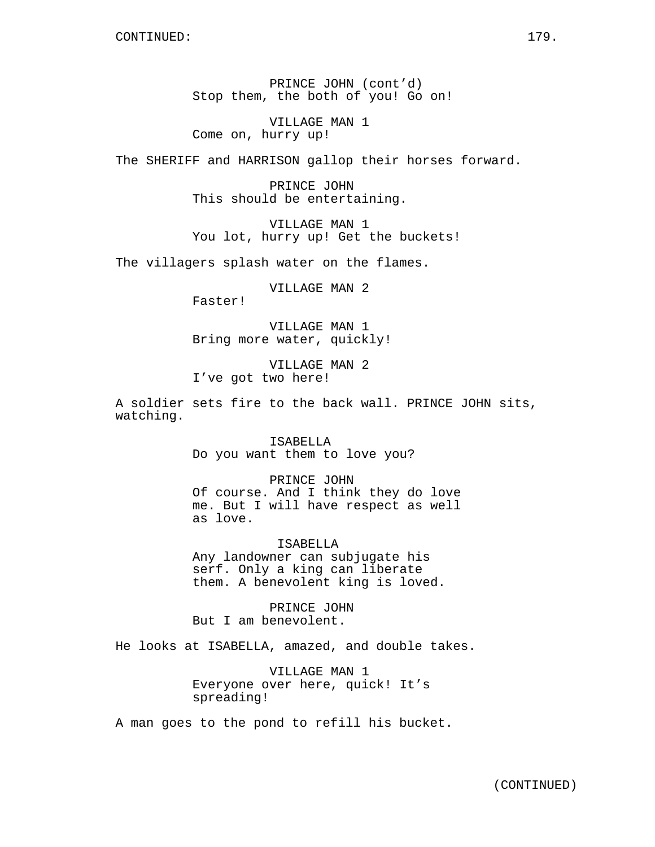PRINCE JOHN (cont'd) Stop them, the both of you! Go on!

VILLAGE MAN 1 Come on, hurry up!

The SHERIFF and HARRISON gallop their horses forward.

PRINCE JOHN This should be entertaining.

VILLAGE MAN 1 You lot, hurry up! Get the buckets!

The villagers splash water on the flames.

VILLAGE MAN 2

Faster!

VILLAGE MAN 1 Bring more water, quickly!

VILLAGE MAN 2 I've got two here!

A soldier sets fire to the back wall. PRINCE JOHN sits, watching.

> ISABELLA Do you want them to love you?

PRINCE JOHN Of course. And I think they do love me. But I will have respect as well as love.

ISABELLA Any landowner can subjugate his serf. Only a king can liberate them. A benevolent king is loved.

PRINCE JOHN But I am benevolent.

He looks at ISABELLA, amazed, and double takes.

VILLAGE MAN 1 Everyone over here, quick! It's spreading!

A man goes to the pond to refill his bucket.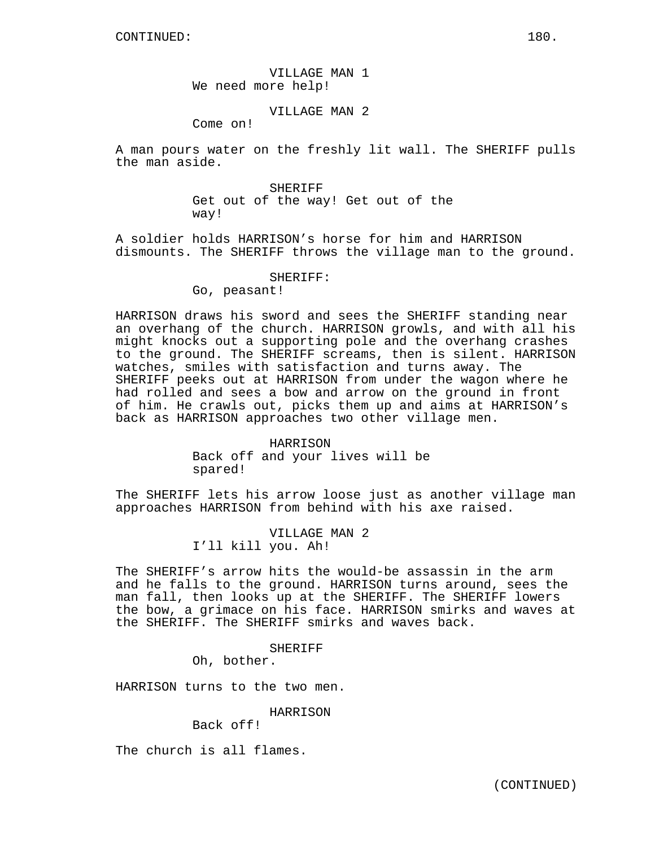VILLAGE MAN 1 We need more help!

# VILLAGE MAN 2

Come on!

A man pours water on the freshly lit wall. The SHERIFF pulls the man aside.

> SHERIFF Get out of the way! Get out of the way!

A soldier holds HARRISON's horse for him and HARRISON dismounts. The SHERIFF throws the village man to the ground.

#### SHERIFF:

Go, peasant!

HARRISON draws his sword and sees the SHERIFF standing near an overhang of the church. HARRISON growls, and with all his might knocks out a supporting pole and the overhang crashes to the ground. The SHERIFF screams, then is silent. HARRISON watches, smiles with satisfaction and turns away. The SHERIFF peeks out at HARRISON from under the wagon where he had rolled and sees a bow and arrow on the ground in front of him. He crawls out, picks them up and aims at HARRISON's back as HARRISON approaches two other village men.

# HARRISON

Back off and your lives will be spared!

The SHERIFF lets his arrow loose just as another village man approaches HARRISON from behind with his axe raised.

> VILLAGE MAN 2 I'll kill you. Ah!

The SHERIFF's arrow hits the would-be assassin in the arm and he falls to the ground. HARRISON turns around, sees the man fall, then looks up at the SHERIFF. The SHERIFF lowers the bow, a grimace on his face. HARRISON smirks and waves at the SHERIFF. The SHERIFF smirks and waves back.

#### SHERIFF

Oh, bother.

HARRISON turns to the two men.

# HARRISON

Back off!

The church is all flames.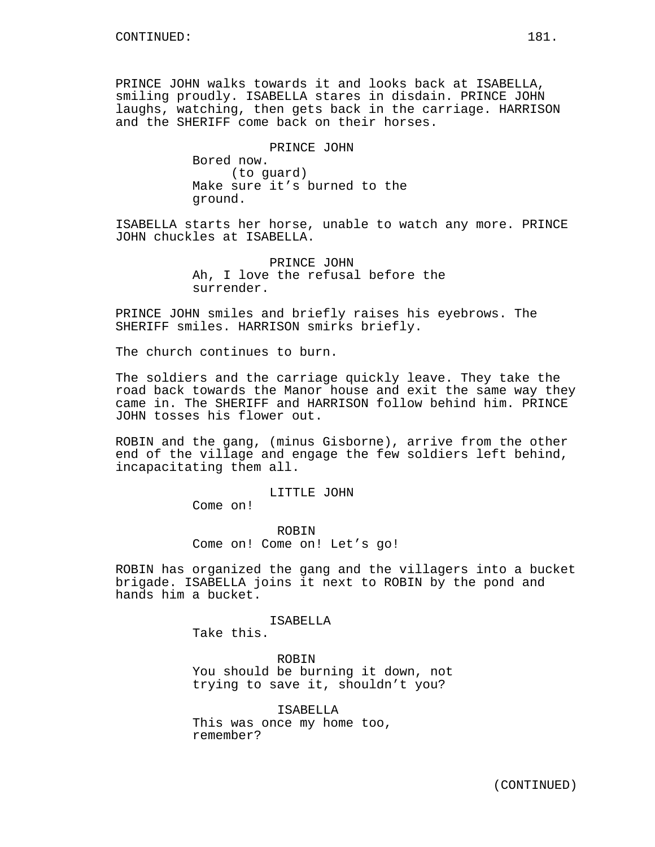PRINCE JOHN walks towards it and looks back at ISABELLA, smiling proudly. ISABELLA stares in disdain. PRINCE JOHN laughs, watching, then gets back in the carriage. HARRISON and the SHERIFF come back on their horses.

> PRINCE JOHN Bored now. (to guard) Make sure it's burned to the ground.

ISABELLA starts her horse, unable to watch any more. PRINCE JOHN chuckles at ISABELLA.

> PRINCE JOHN Ah, I love the refusal before the surrender.

PRINCE JOHN smiles and briefly raises his eyebrows. The SHERIFF smiles. HARRISON smirks briefly.

The church continues to burn.

The soldiers and the carriage quickly leave. They take the road back towards the Manor house and exit the same way they came in. The SHERIFF and HARRISON follow behind him. PRINCE JOHN tosses his flower out.

ROBIN and the gang, (minus Gisborne), arrive from the other end of the village and engage the few soldiers left behind, incapacitating them all.

LITTLE JOHN

Come on!

ROBIN Come on! Come on! Let's go!

ROBIN has organized the gang and the villagers into a bucket brigade. ISABELLA joins it next to ROBIN by the pond and hands him a bucket.

ISABELLA

Take this.

ROBIN You should be burning it down, not trying to save it, shouldn't you?

ISABELLA This was once my home too, remember?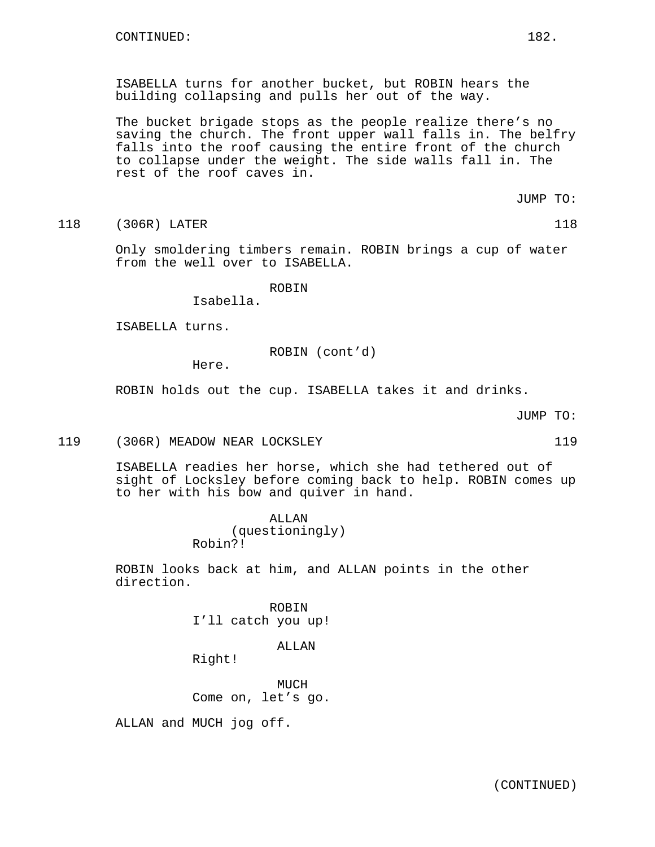ISABELLA turns for another bucket, but ROBIN hears the building collapsing and pulls her out of the way.

The bucket brigade stops as the people realize there's no saving the church. The front upper wall falls in. The belfry falls into the roof causing the entire front of the church to collapse under the weight. The side walls fall in. The rest of the roof caves in.

JUMP TO:

118 (306R) LATER 118 (1898)

Only smoldering timbers remain. ROBIN brings a cup of water from the well over to ISABELLA.

# ROBIN

Isabella.

ISABELLA turns.

ROBIN (cont'd)

Here.

ROBIN holds out the cup. ISABELLA takes it and drinks.

| JUMP |  |
|------|--|
|------|--|

119 (306R) MEADOW NEAR LOCKSLEY 119

ISABELLA readies her horse, which she had tethered out of sight of Locksley before coming back to help. ROBIN comes up to her with his bow and quiver in hand.

> ALLAN (questioningly) Robin?!

ROBIN looks back at him, and ALLAN points in the other direction.

> ROBIN I'll catch you up!

## ALLAN

Right!

MUCH Come on, let's go.

ALLAN and MUCH jog off.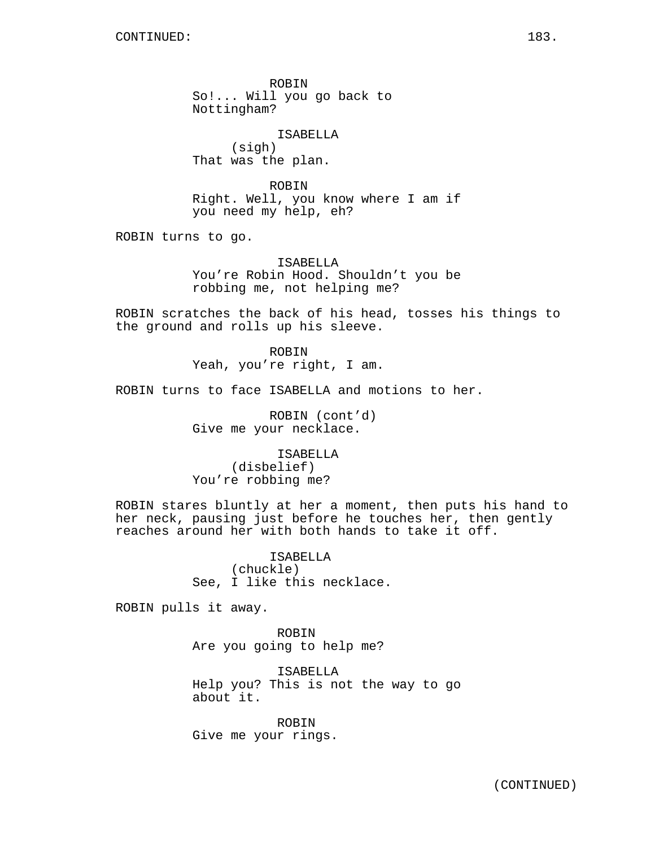ROBIN So!... Will you go back to Nottingham?

ISABELLA (sigh) That was the plan.

ROBIN Right. Well, you know where I am if you need my help, eh?

ROBIN turns to go.

ISABELLA You're Robin Hood. Shouldn't you be robbing me, not helping me?

ROBIN scratches the back of his head, tosses his things to the ground and rolls up his sleeve.

> ROBIN Yeah, you're right, I am.

ROBIN turns to face ISABELLA and motions to her.

ROBIN (cont'd) Give me your necklace.

ISABELLA (disbelief) You're robbing me?

ROBIN stares bluntly at her a moment, then puts his hand to her neck, pausing just before he touches her, then gently reaches around her with both hands to take it off.

> **TSABELLA** (chuckle) See, I like this necklace.

ROBIN pulls it away.

ROBIN Are you going to help me?

ISABELLA Help you? This is not the way to go about it.

ROBIN Give me your rings.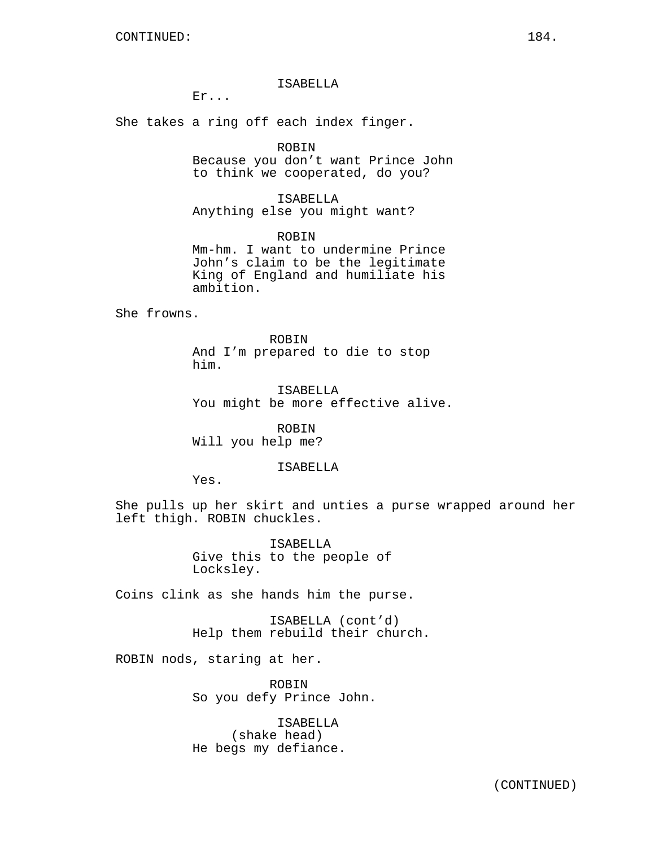# ISABELLA

Er...

She takes a ring off each index finger.

# ROBIN

Because you don't want Prince John to think we cooperated, do you?

ISABELLA Anything else you might want?

ROBIN Mm-hm. I want to undermine Prince John's claim to be the legitimate King of England and humiliate his ambition.

She frowns.

ROBIN And I'm prepared to die to stop him.

ISABELLA You might be more effective alive.

ROBIN Will you help me?

### ISABELLA

Yes.

She pulls up her skirt and unties a purse wrapped around her left thigh. ROBIN chuckles.

> ISABELLA Give this to the people of Locksley.

Coins clink as she hands him the purse.

ISABELLA (cont'd) Help them rebuild their church.

ROBIN nods, staring at her.

ROBIN So you defy Prince John.

ISABELLA (shake head) He begs my defiance.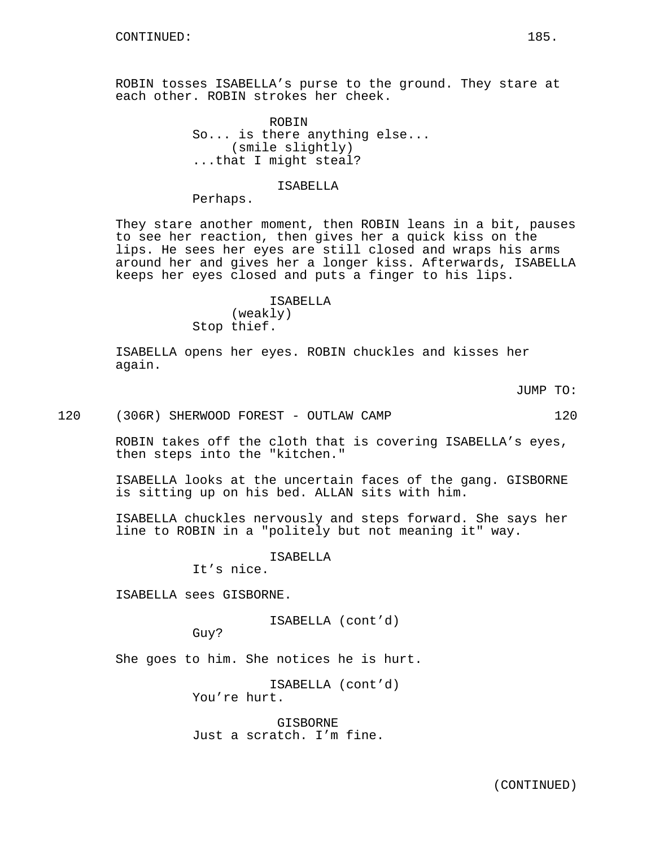ROBIN tosses ISABELLA's purse to the ground. They stare at each other. ROBIN strokes her cheek.

> ROBIN So... is there anything else... (smile slightly) ...that I might steal?

#### ISABELLA

Perhaps.

They stare another moment, then ROBIN leans in a bit, pauses to see her reaction, then gives her a quick kiss on the lips. He sees her eyes are still closed and wraps his arms around her and gives her a longer kiss. Afterwards, ISABELLA keeps her eyes closed and puts a finger to his lips.

# ISABELLA (weakly) Stop thief.

ISABELLA opens her eyes. ROBIN chuckles and kisses her again.

JUMP TO:

120 (306R) SHERWOOD FOREST - OUTLAW CAMP 120

ROBIN takes off the cloth that is covering ISABELLA's eyes, then steps into the "kitchen."

ISABELLA looks at the uncertain faces of the gang. GISBORNE is sitting up on his bed. ALLAN sits with him.

ISABELLA chuckles nervously and steps forward. She says her line to ROBIN in a "politely but not meaning it" way.

**TSABELLA** 

It's nice.

ISABELLA sees GISBORNE.

ISABELLA (cont'd)

Guy?

She goes to him. She notices he is hurt.

ISABELLA (cont'd) You're hurt.

GISBORNE Just a scratch. I'm fine.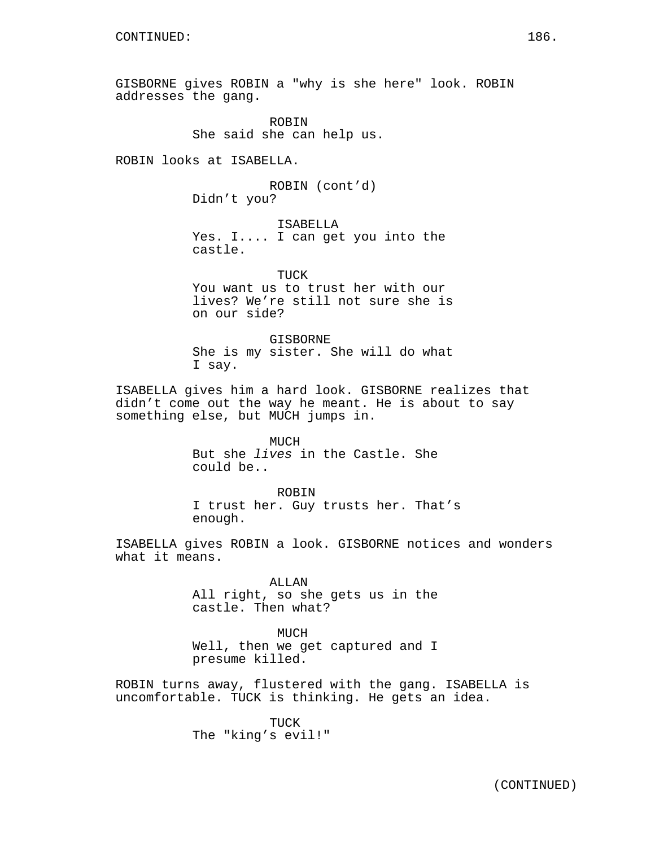GISBORNE gives ROBIN a "why is she here" look. ROBIN addresses the gang.

> ROBIN She said she can help us.

ROBIN looks at ISABELLA.

ROBIN (cont'd) Didn't you?

ISABELLA Yes. I.... I can get you into the castle.

TUCK You want us to trust her with our lives? We're still not sure she is on our side?

**GISBORNE** She is my sister. She will do what I say.

ISABELLA gives him a hard look. GISBORNE realizes that didn't come out the way he meant. He is about to say something else, but MUCH jumps in.

> MUCH But she lives in the Castle. She could be..

ROBIN I trust her. Guy trusts her. That's enough.

ISABELLA gives ROBIN a look. GISBORNE notices and wonders what it means.

> ALLAN All right, so she gets us in the castle. Then what?

> MUCH Well, then we get captured and I presume killed.

ROBIN turns away, flustered with the gang. ISABELLA is uncomfortable. TUCK is thinking. He gets an idea.

> TUCK The "king's evil!"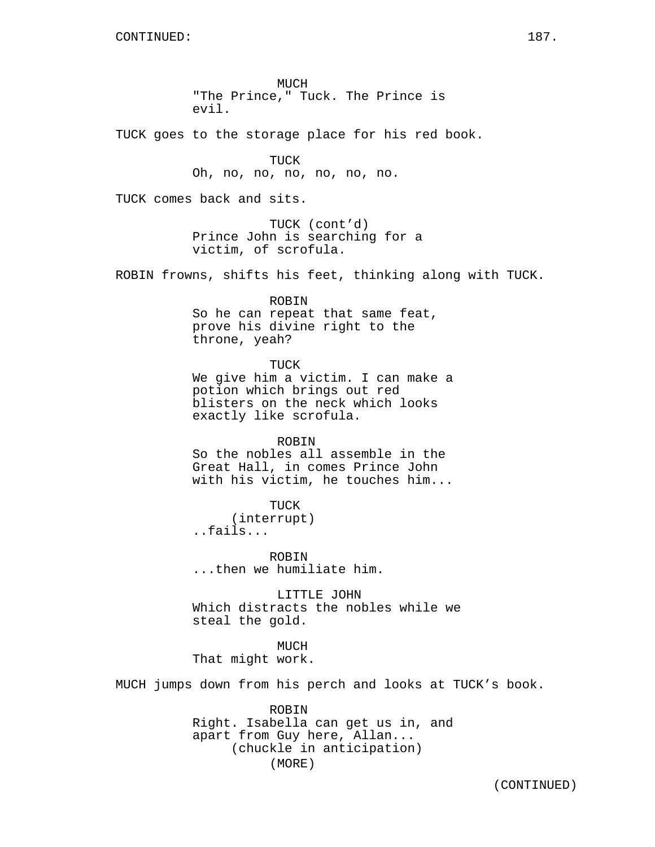MUCH "The Prince," Tuck. The Prince is evil.

TUCK goes to the storage place for his red book.

TUCK Oh, no, no, no, no, no, no.

TUCK comes back and sits.

TUCK (cont'd) Prince John is searching for a victim, of scrofula.

ROBIN frowns, shifts his feet, thinking along with TUCK.

ROBIN So he can repeat that same feat, prove his divine right to the throne, yeah?

TUCK We give him a victim. I can make a potion which brings out red blisters on the neck which looks exactly like scrofula.

ROBIN So the nobles all assemble in the Great Hall, in comes Prince John with his victim, he touches him...

TUCK (interrupt) ..fails...

ROBIN ...then we humiliate him.

LITTLE JOHN Which distracts the nobles while we steal the gold.

MUCH That might work.

MUCH jumps down from his perch and looks at TUCK's book.

ROBIN Right. Isabella can get us in, and apart from Guy here, Allan... (chuckle in anticipation) (MORE)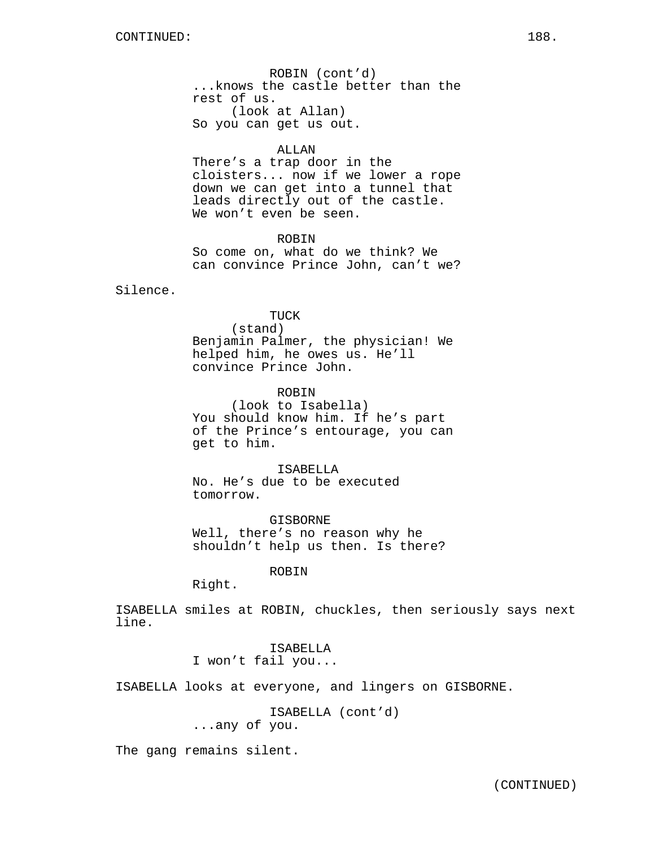ROBIN (cont'd) ...knows the castle better than the rest of us. (look at Allan) So you can get us out.

## ALLAN

There's a trap door in the cloisters... now if we lower a rope down we can get into a tunnel that leads directly out of the castle. We won't even be seen.

ROBIN

So come on, what do we think? We can convince Prince John, can't we?

Silence.

TUCK (stand) Benjamin Palmer, the physician! We helped him, he owes us. He'll convince Prince John.

ROBIN (look to Isabella) You should know him. If he's part of the Prince's entourage, you can get to him.

ISABELLA No. He's due to be executed tomorrow.

GISBORNE Well, there's no reason why he shouldn't help us then. Is there?

ROBIN

Right.

ISABELLA smiles at ROBIN, chuckles, then seriously says next line.

> ISABELLA I won't fail you...

ISABELLA looks at everyone, and lingers on GISBORNE.

ISABELLA (cont'd) ...any of you.

The gang remains silent.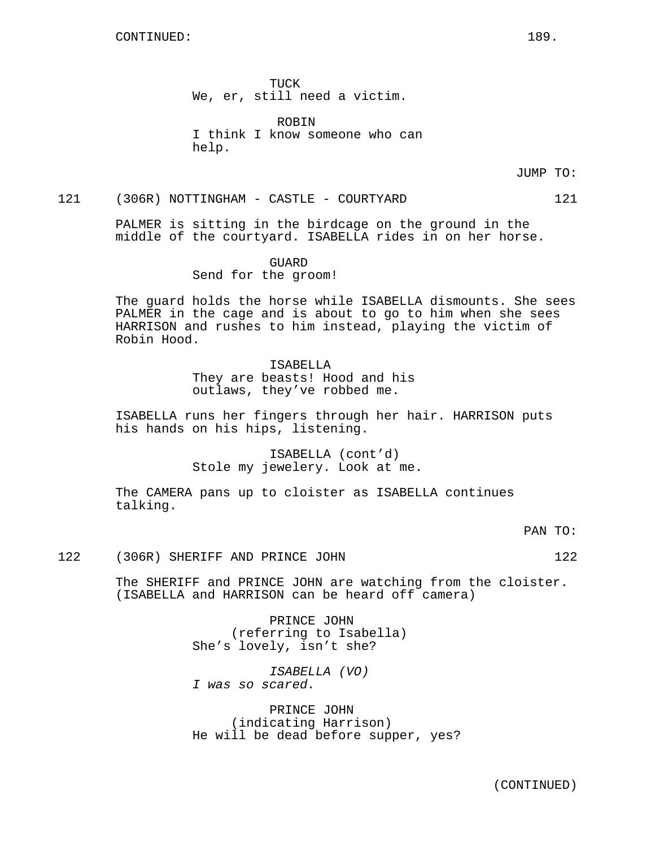TUCK We, er, still need a victim.

ROBIN I think I know someone who can help.

JUMP TO:

# 121 (306R) NOTTINGHAM - CASTLE - COURTYARD 121

PALMER is sitting in the birdcage on the ground in the middle of the courtyard. ISABELLA rides in on her horse.

GUARD

Send for the groom!

The guard holds the horse while ISABELLA dismounts. She sees PALMER in the cage and is about to go to him when she sees HARRISON and rushes to him instead, playing the victim of Robin Hood.

#### **TSABELLA**

They are beasts! Hood and his outlaws, they've robbed me.

ISABELLA runs her fingers through her hair. HARRISON puts his hands on his hips, listening.

> ISABELLA (cont'd) Stole my jewelery. Look at me.

The CAMERA pans up to cloister as ISABELLA continues talking.

PAN TO:

122 (306R) SHERIFF AND PRINCE JOHN 122

The SHERIFF and PRINCE JOHN are watching from the cloister. (ISABELLA and HARRISON can be heard off camera)

> PRINCE JOHN (referring to Isabella) She's lovely, isn't she?

ISABELLA (VO) I was so scared.

PRINCE JOHN (indicating Harrison) He will be dead before supper, yes?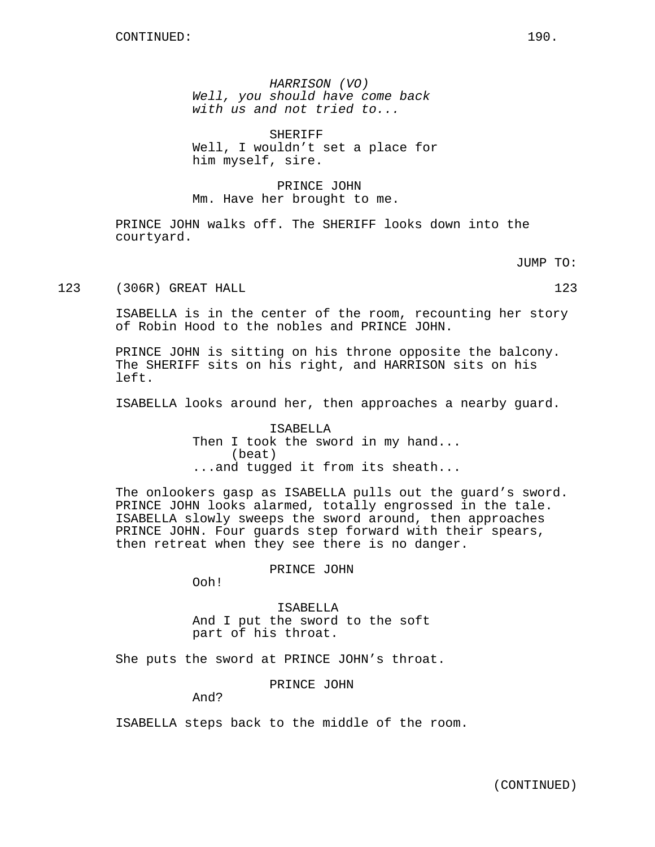HARRISON (VO) Well, you should have come back with us and not tried to...

SHERIFF Well, I wouldn't set a place for him myself, sire.

PRINCE JOHN Mm. Have her brought to me.

PRINCE JOHN walks off. The SHERIFF looks down into the courtyard.

JUMP TO:

123 (306R) GREAT HALL 123 (306R) 123

ISABELLA is in the center of the room, recounting her story of Robin Hood to the nobles and PRINCE JOHN.

PRINCE JOHN is sitting on his throne opposite the balcony. The SHERIFF sits on his right, and HARRISON sits on his left.

ISABELLA looks around her, then approaches a nearby guard.

ISABELLA Then I took the sword in my hand... (beat) ...and tugged it from its sheath...

The onlookers gasp as ISABELLA pulls out the guard's sword. PRINCE JOHN looks alarmed, totally engrossed in the tale. ISABELLA slowly sweeps the sword around, then approaches PRINCE JOHN. Four guards step forward with their spears, then retreat when they see there is no danger.

PRINCE JOHN

Ooh!

ISABELLA And I put the sword to the soft part of his throat.

She puts the sword at PRINCE JOHN's throat.

PRINCE JOHN

And?

ISABELLA steps back to the middle of the room.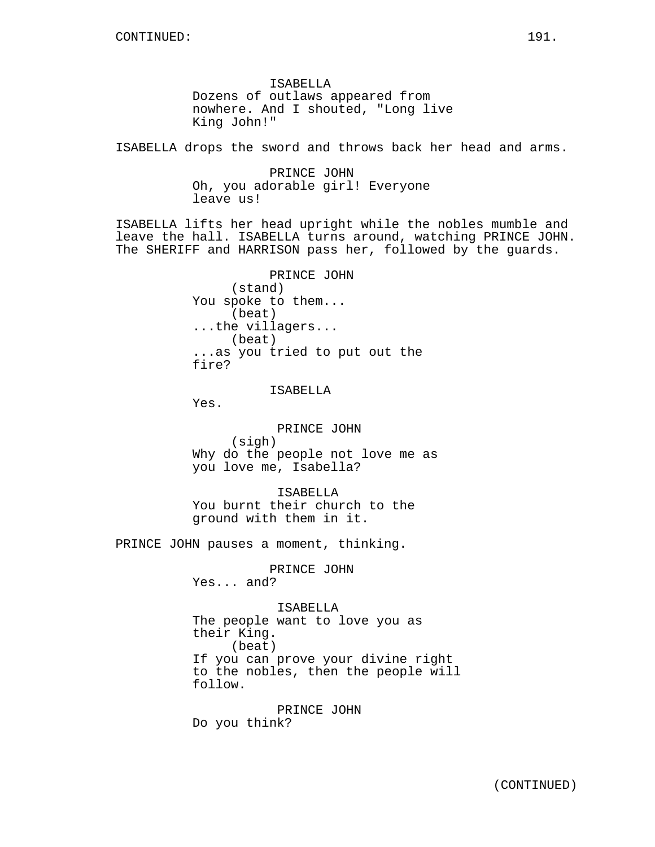ISABELLA Dozens of outlaws appeared from nowhere. And I shouted, "Long live King John!"

ISABELLA drops the sword and throws back her head and arms.

PRINCE JOHN Oh, you adorable girl! Everyone leave us!

ISABELLA lifts her head upright while the nobles mumble and leave the hall. ISABELLA turns around, watching PRINCE JOHN. The SHERIFF and HARRISON pass her, followed by the guards.

> PRINCE JOHN (stand) You spoke to them... (beat) ...the villagers... (beat) ...as you tried to put out the fire?

> > ISABELLA

Yes.

PRINCE JOHN (sigh) Why do the people not love me as you love me, Isabella?

ISABELLA You burnt their church to the ground with them in it.

PRINCE JOHN pauses a moment, thinking.

PRINCE JOHN Yes... and?

ISABELLA The people want to love you as their King. (beat) If you can prove your divine right to the nobles, then the people will follow.

PRINCE JOHN Do you think?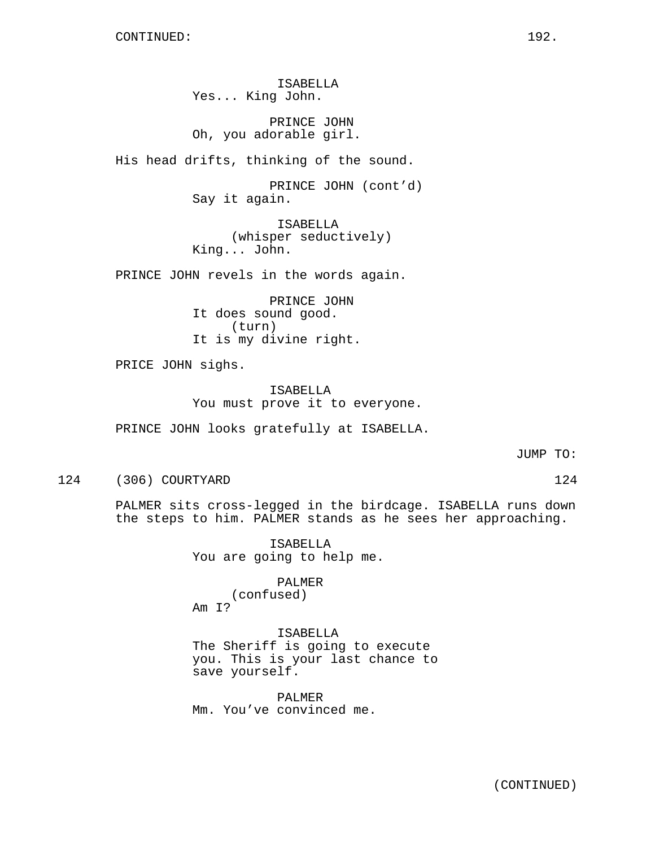ISABELLA Yes... King John.

PRINCE JOHN Oh, you adorable girl.

His head drifts, thinking of the sound.

PRINCE JOHN (cont'd) Say it again.

ISABELLA (whisper seductively) King... John.

PRINCE JOHN revels in the words again.

PRINCE JOHN It does sound good. (turn) It is my divine right.

PRICE JOHN sighs.

ISABELLA You must prove it to everyone.

PRINCE JOHN looks gratefully at ISABELLA.

JUMP TO:

124 (306) COURTYARD 124

PALMER sits cross-legged in the birdcage. ISABELLA runs down the steps to him. PALMER stands as he sees her approaching.

> ISABELLA You are going to help me.

PALMER (confused) Am I?

ISABELLA The Sheriff is going to execute you. This is your last chance to save yourself.

PALMER Mm. You've convinced me.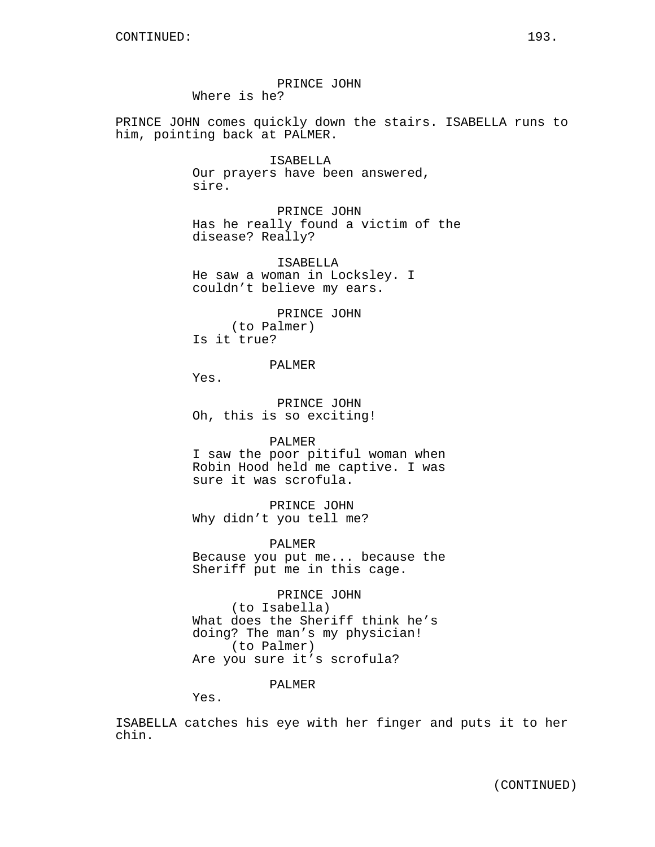PRINCE JOHN Where is he?

PRINCE JOHN comes quickly down the stairs. ISABELLA runs to him, pointing back at PALMER.

> ISABELLA Our prayers have been answered, sire.

PRINCE JOHN Has he really found a victim of the disease? Really?

ISABELLA He saw a woman in Locksley. I couldn't believe my ears.

PRINCE JOHN (to Palmer) Is it true?

PALMER

Yes.

PRINCE JOHN Oh, this is so exciting!

PALMER

I saw the poor pitiful woman when Robin Hood held me captive. I was sure it was scrofula.

PRINCE JOHN Why didn't you tell me?

PALMER

Because you put me... because the Sheriff put me in this cage.

PRINCE JOHN (to Isabella) What does the Sheriff think he's doing? The man's my physician! (to Palmer) Are you sure it's scrofula?

PALMER

Yes.

ISABELLA catches his eye with her finger and puts it to her chin.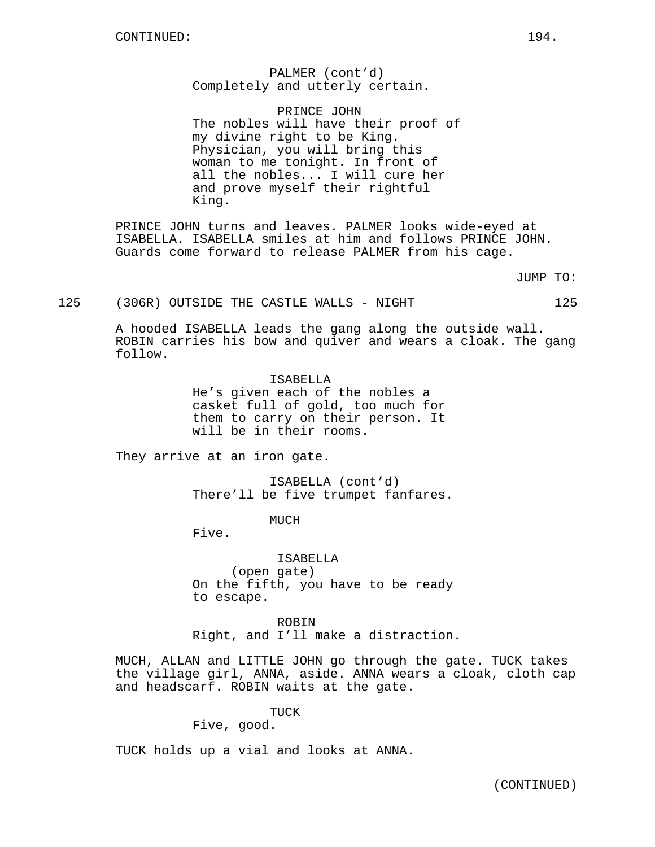PALMER (cont'd) Completely and utterly certain.

PRINCE JOHN The nobles will have their proof of my divine right to be King. Physician, you will bring this woman to me tonight. In front of all the nobles... I will cure her and prove myself their rightful King.

PRINCE JOHN turns and leaves. PALMER looks wide-eyed at ISABELLA. ISABELLA smiles at him and follows PRINCE JOHN. Guards come forward to release PALMER from his cage.

JUMP TO:

125 (306R) OUTSIDE THE CASTLE WALLS - NIGHT 125

A hooded ISABELLA leads the gang along the outside wall. ROBIN carries his bow and quiver and wears a cloak. The gang follow.

> ISABELLA He's given each of the nobles a casket full of gold, too much for them to carry on their person. It will be in their rooms.

They arrive at an iron gate.

ISABELLA (cont'd) There'll be five trumpet fanfares.

MUCH

Five.

ISABELLA (open gate) On the fifth, you have to be ready to escape.

ROBIN Right, and I'll make a distraction.

MUCH, ALLAN and LITTLE JOHN go through the gate. TUCK takes the village girl, ANNA, aside. ANNA wears a cloak, cloth cap and headscarf. ROBIN waits at the gate.

TUCK

Five, good.

TUCK holds up a vial and looks at ANNA.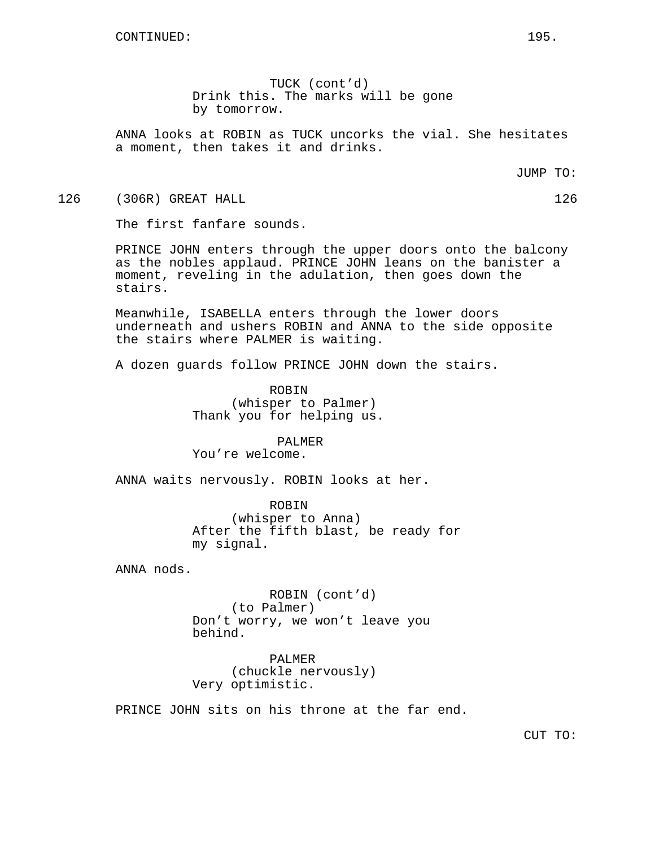TUCK (cont'd) Drink this. The marks will be gone by tomorrow.

ANNA looks at ROBIN as TUCK uncorks the vial. She hesitates a moment, then takes it and drinks.

JUMP TO:

126 (306R) GREAT HALL 126 (1998) 126

The first fanfare sounds.

PRINCE JOHN enters through the upper doors onto the balcony as the nobles applaud. PRINCE JOHN leans on the banister a moment, reveling in the adulation, then goes down the stairs.

Meanwhile, ISABELLA enters through the lower doors underneath and ushers ROBIN and ANNA to the side opposite the stairs where PALMER is waiting.

A dozen guards follow PRINCE JOHN down the stairs.

ROBIN (whisper to Palmer) Thank you for helping us.

#### PALMER You're welcome.

ANNA waits nervously. ROBIN looks at her.

ROBIN (whisper to Anna) After the fifth blast, be ready for my signal.

ANNA nods.

ROBIN (cont'd) (to Palmer) Don't worry, we won't leave you behind.

PALMER (chuckle nervously) Very optimistic.

PRINCE JOHN sits on his throne at the far end.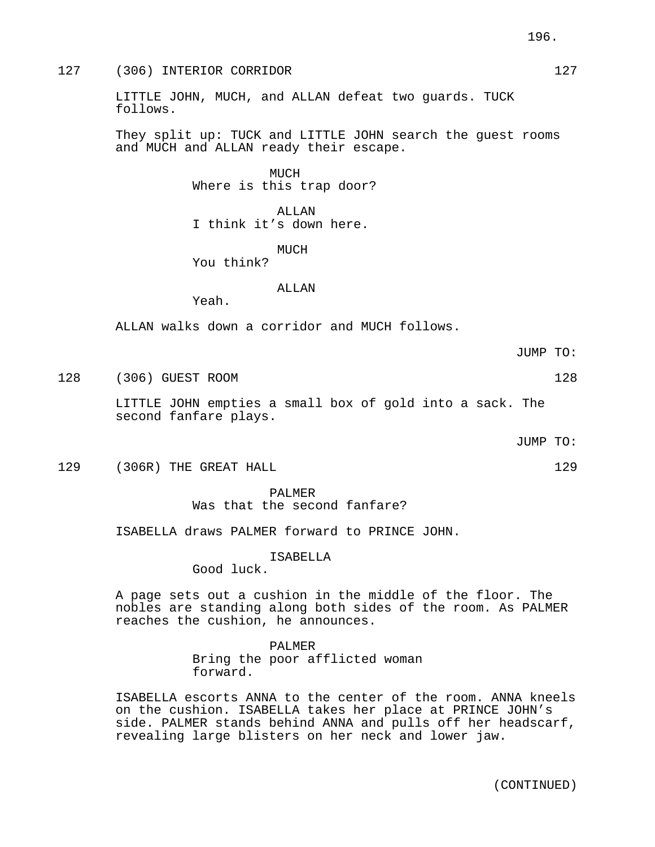LITTLE JOHN, MUCH, and ALLAN defeat two guards. TUCK follows.

They split up: TUCK and LITTLE JOHN search the guest rooms and MUCH and ALLAN ready their escape.

> MUCH Where is this trap door?

ALLAN I think it's down here.

MUCH

You think?

## ALLAN

Yeah.

ALLAN walks down a corridor and MUCH follows.

128 (306) GUEST ROOM 128

LITTLE JOHN empties a small box of gold into a sack. The second fanfare plays.

JUMP TO:

129 (306R) THE GREAT HALL 129 (306R)

# PALMER

Was that the second fanfare?

ISABELLA draws PALMER forward to PRINCE JOHN.

ISABELLA

Good luck.

A page sets out a cushion in the middle of the floor. The nobles are standing along both sides of the room. As PALMER reaches the cushion, he announces.

PALMER

Bring the poor afflicted woman forward.

ISABELLA escorts ANNA to the center of the room. ANNA kneels on the cushion. ISABELLA takes her place at PRINCE JOHN's side. PALMER stands behind ANNA and pulls off her headscarf, revealing large blisters on her neck and lower jaw.

JUMP TO: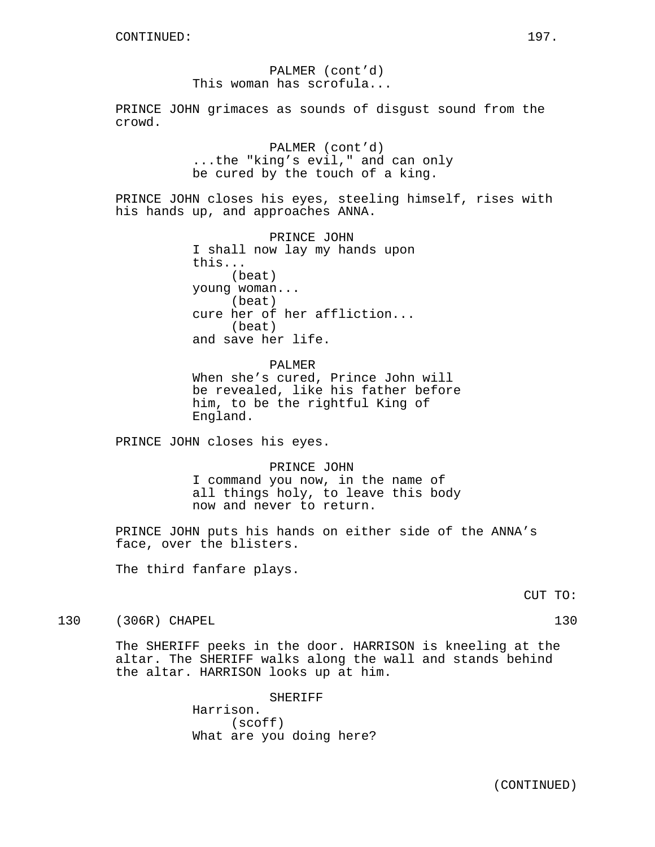PALMER (cont'd) This woman has scrofula...

PRINCE JOHN grimaces as sounds of disgust sound from the crowd.

> PALMER (cont'd) ...the "king's evil," and can only be cured by the touch of a king.

PRINCE JOHN closes his eyes, steeling himself, rises with his hands up, and approaches ANNA.

> PRINCE JOHN I shall now lay my hands upon this... (beat) young woman... (beat) cure her of her affliction... (beat) and save her life.

PALMER When she's cured, Prince John will be revealed, like his father before him, to be the rightful King of England.

PRINCE JOHN closes his eyes.

PRINCE JOHN I command you now, in the name of all things holy, to leave this body now and never to return.

PRINCE JOHN puts his hands on either side of the ANNA's face, over the blisters.

The third fanfare plays.

130 (306R) CHAPEL 130

The SHERIFF peeks in the door. HARRISON is kneeling at the altar. The SHERIFF walks along the wall and stands behind the altar. HARRISON looks up at him.

> SHERIFF Harrison. (scoff) What are you doing here?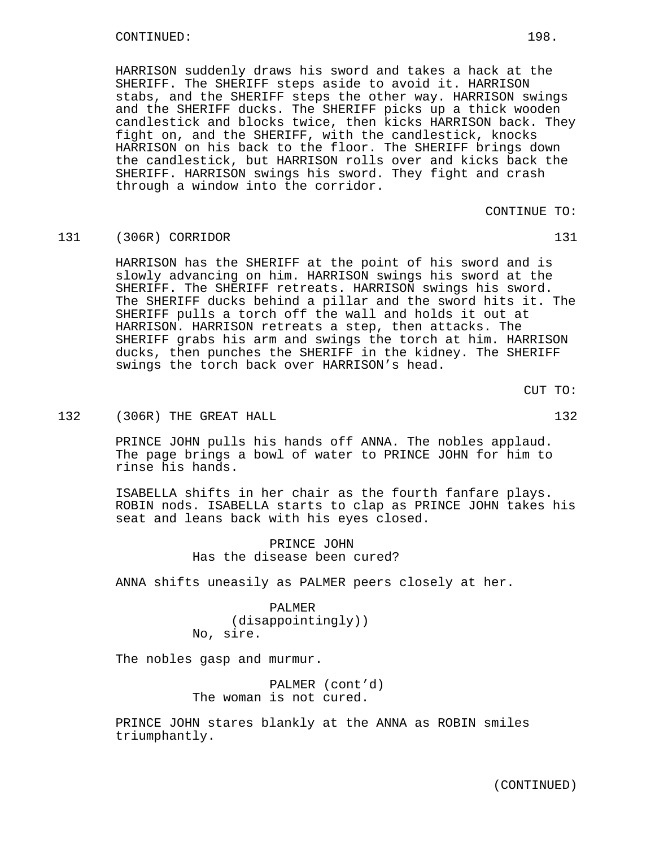HARRISON suddenly draws his sword and takes a hack at the SHERIFF. The SHERIFF steps aside to avoid it. HARRISON stabs, and the SHERIFF steps the other way. HARRISON swings and the SHERIFF ducks. The SHERIFF picks up a thick wooden candlestick and blocks twice, then kicks HARRISON back. They fight on, and the SHERIFF, with the candlestick, knocks HARRISON on his back to the floor. The SHERIFF brings down the candlestick, but HARRISON rolls over and kicks back the SHERIFF. HARRISON swings his sword. They fight and crash through a window into the corridor.

CONTINUE TO:

### 131 (306R) CORRIDOR 131

HARRISON has the SHERIFF at the point of his sword and is slowly advancing on him. HARRISON swings his sword at the SHERIFF. The SHERIFF retreats. HARRISON swings his sword. The SHERIFF ducks behind a pillar and the sword hits it. The SHERIFF pulls a torch off the wall and holds it out at HARRISON. HARRISON retreats a step, then attacks. The SHERIFF grabs his arm and swings the torch at him. HARRISON ducks, then punches the SHERIFF in the kidney. The SHERIFF swings the torch back over HARRISON's head.

CUT TO:

# 132 (306R) THE GREAT HALL 132 (306R)

PRINCE JOHN pulls his hands off ANNA. The nobles applaud. The page brings a bowl of water to PRINCE JOHN for him to rinse his hands.

ISABELLA shifts in her chair as the fourth fanfare plays. ROBIN nods. ISABELLA starts to clap as PRINCE JOHN takes his seat and leans back with his eyes closed.

> PRINCE JOHN Has the disease been cured?

ANNA shifts uneasily as PALMER peers closely at her.

PALMER (disappointingly)) No, sire.

The nobles gasp and murmur.

PALMER (cont'd) The woman is not cured.

PRINCE JOHN stares blankly at the ANNA as ROBIN smiles triumphantly.

(CONTINUED)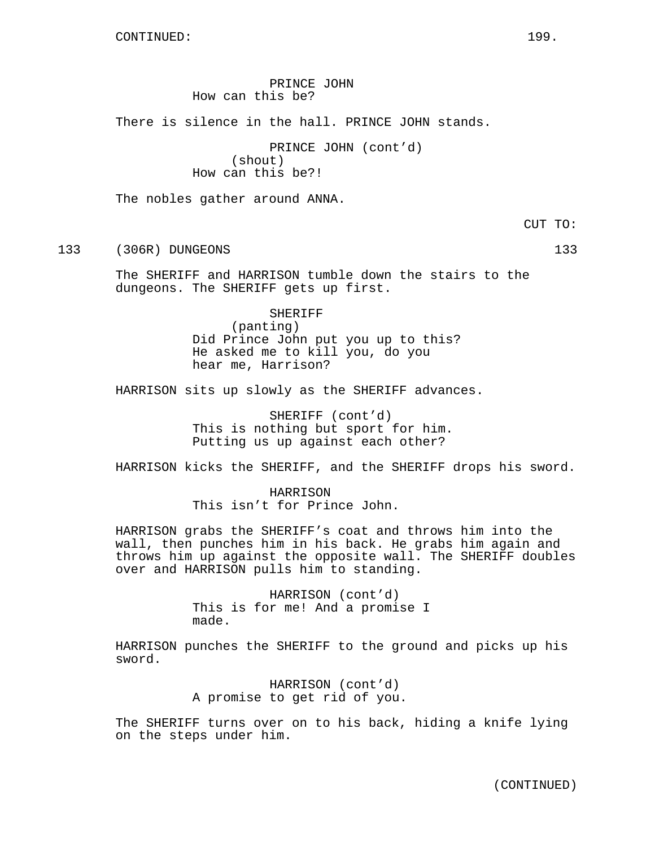PRINCE JOHN How can this be?

There is silence in the hall. PRINCE JOHN stands.

PRINCE JOHN (cont'd) (shout) How can this be?!

The nobles gather around ANNA.

CUT TO:

133 (306R) DUNGEONS 133

The SHERIFF and HARRISON tumble down the stairs to the dungeons. The SHERIFF gets up first.

SHERIFF

(panting) Did Prince John put you up to this? He asked me to kill you, do you hear me, Harrison?

HARRISON sits up slowly as the SHERIFF advances.

SHERIFF (cont'd) This is nothing but sport for him. Putting us up against each other?

HARRISON kicks the SHERIFF, and the SHERIFF drops his sword.

HARRISON This isn't for Prince John.

HARRISON grabs the SHERIFF's coat and throws him into the wall, then punches him in his back. He grabs him again and throws him up against the opposite wall. The SHERIFF doubles over and HARRISON pulls him to standing.

> HARRISON (cont'd) This is for me! And a promise I made.

HARRISON punches the SHERIFF to the ground and picks up his sword.

> HARRISON (cont'd) A promise to get rid of you.

The SHERIFF turns over on to his back, hiding a knife lying on the steps under him.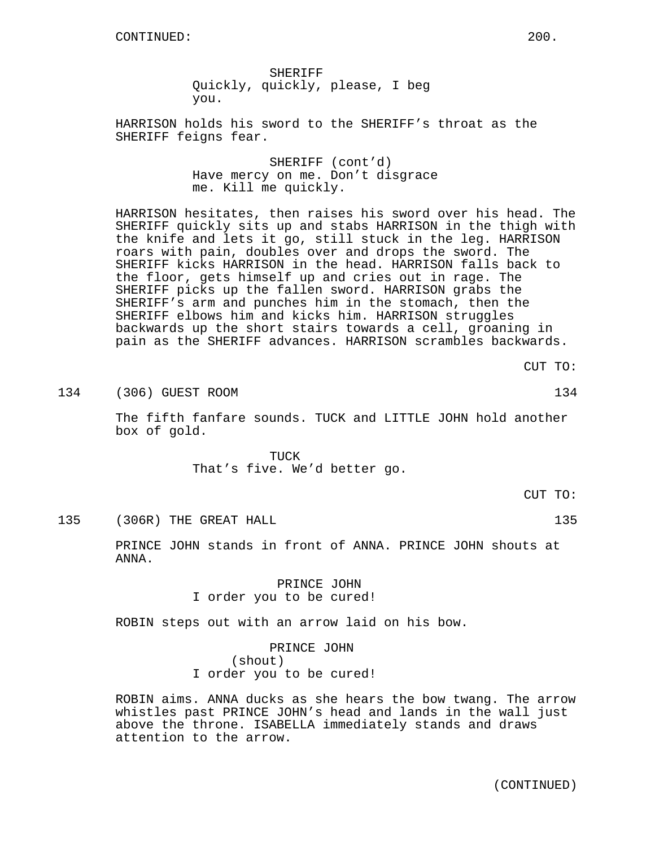SHERIFF Quickly, quickly, please, I beg you.

HARRISON holds his sword to the SHERIFF's throat as the SHERIFF feigns fear.

> SHERIFF (cont'd) Have mercy on me. Don't disgrace me. Kill me quickly.

HARRISON hesitates, then raises his sword over his head. The SHERIFF quickly sits up and stabs HARRISON in the thigh with the knife and lets it go, still stuck in the leg. HARRISON roars with pain, doubles over and drops the sword. The SHERIFF kicks HARRISON in the head. HARRISON falls back to the floor, gets himself up and cries out in rage. The SHERIFF picks up the fallen sword. HARRISON grabs the SHERIFF's arm and punches him in the stomach, then the SHERIFF elbows him and kicks him. HARRISON struggles backwards up the short stairs towards a cell, groaning in pain as the SHERIFF advances. HARRISON scrambles backwards.

134 (306) GUEST ROOM 134 (306) 134

The fifth fanfare sounds. TUCK and LITTLE JOHN hold another box of gold.

> TUCK That's five. We'd better go.

> > CUT TO:

135 (306R) THE GREAT HALL 135 (135)

PRINCE JOHN stands in front of ANNA. PRINCE JOHN shouts at ANNA.

> PRINCE JOHN I order you to be cured!

ROBIN steps out with an arrow laid on his bow.

PRINCE JOHN (shout) I order you to be cured!

ROBIN aims. ANNA ducks as she hears the bow twang. The arrow whistles past PRINCE JOHN's head and lands in the wall just above the throne. ISABELLA immediately stands and draws attention to the arrow.

CUT TO: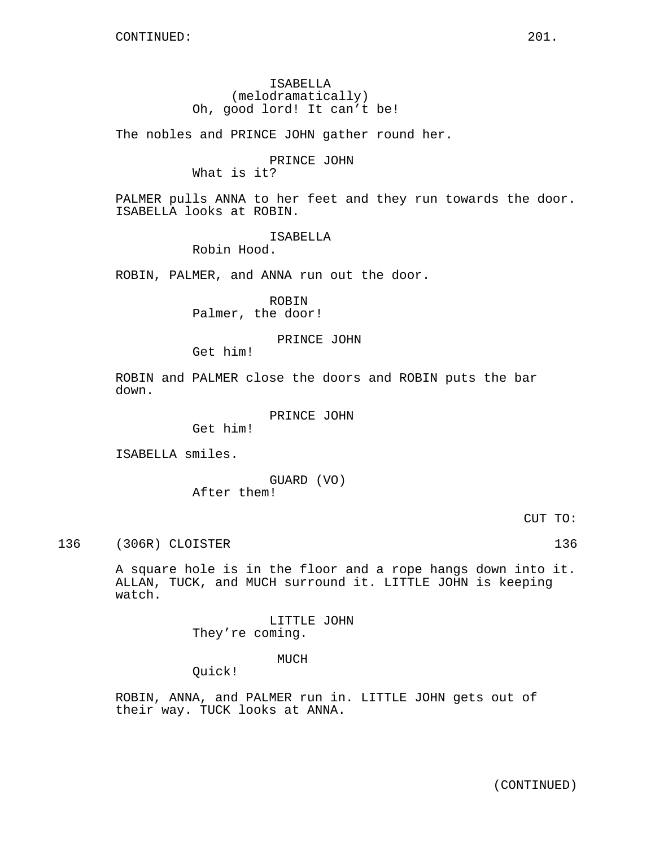# ISABELLA (melodramatically) Oh, good lord! It can't be!

The nobles and PRINCE JOHN gather round her.

# PRINCE JOHN

What is it?

PALMER pulls ANNA to her feet and they run towards the door. ISABELLA looks at ROBIN.

## ISABELLA

Robin Hood.

ROBIN, PALMER, and ANNA run out the door.

ROBIN Palmer, the door!

# PRINCE JOHN

Get him!

ROBIN and PALMER close the doors and ROBIN puts the bar down.

PRINCE JOHN

Get him!

ISABELLA smiles.

GUARD (VO) After them!

CUT TO:

136 (306R) CLOISTER 136 136

A square hole is in the floor and a rope hangs down into it. ALLAN, TUCK, and MUCH surround it. LITTLE JOHN is keeping watch.

> LITTLE JOHN They're coming.

# MUCH

Quick!

ROBIN, ANNA, and PALMER run in. LITTLE JOHN gets out of their way. TUCK looks at ANNA.

(CONTINUED)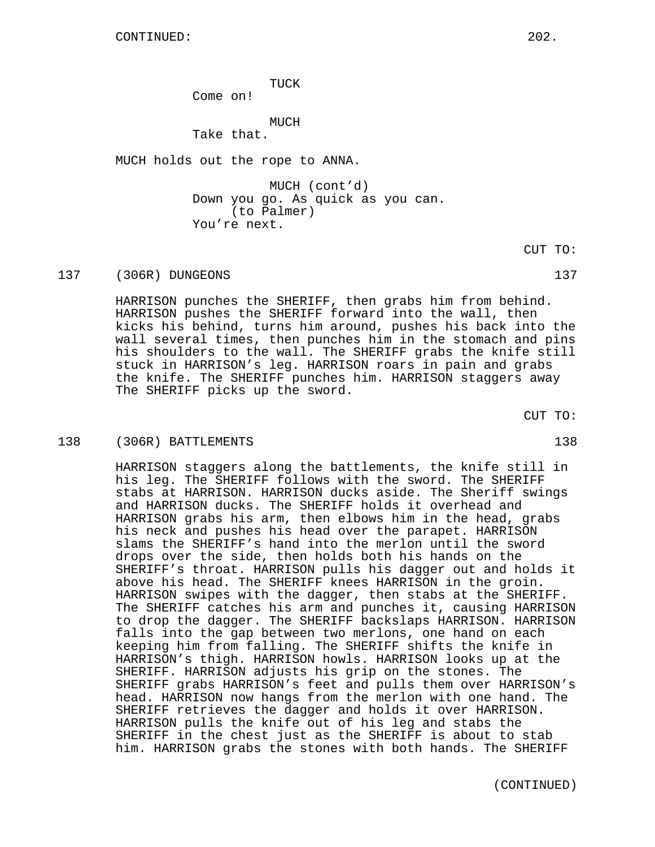TUCK

Come on!

MUCH

Take that.

MUCH holds out the rope to ANNA.

MUCH (cont'd) Down you go. As quick as you can. (to Palmer) You're next.

CUT TO:

137 (306R) DUNGEONS 137

HARRISON punches the SHERIFF, then grabs him from behind. HARRISON pushes the SHERIFF forward into the wall, then kicks his behind, turns him around, pushes his back into the wall several times, then punches him in the stomach and pins his shoulders to the wall. The SHERIFF grabs the knife still stuck in HARRISON's leg. HARRISON roars in pain and grabs the knife. The SHERIFF punches him. HARRISON staggers away The SHERIFF picks up the sword.

CUT TO:

#### 138 (306R) BATTLEMENTS 138

HARRISON staggers along the battlements, the knife still in his leg. The SHERIFF follows with the sword. The SHERIFF stabs at HARRISON. HARRISON ducks aside. The Sheriff swings and HARRISON ducks. The SHERIFF holds it overhead and HARRISON grabs his arm, then elbows him in the head, grabs his neck and pushes his head over the parapet. HARRISON slams the SHERIFF's hand into the merlon until the sword drops over the side, then holds both his hands on the SHERIFF's throat. HARRISON pulls his dagger out and holds it above his head. The SHERIFF knees HARRISON in the groin. HARRISON swipes with the dagger, then stabs at the SHERIFF. The SHERIFF catches his arm and punches it, causing HARRISON to drop the dagger. The SHERIFF backslaps HARRISON. HARRISON falls into the gap between two merlons, one hand on each keeping him from falling. The SHERIFF shifts the knife in HARRISON's thigh. HARRISON howls. HARRISON looks up at the SHERIFF. HARRISON adjusts his grip on the stones. The SHERIFF grabs HARRISON's feet and pulls them over HARRISON's head. HARRISON now hangs from the merlon with one hand. The SHERIFF retrieves the dagger and holds it over HARRISON. HARRISON pulls the knife out of his leg and stabs the SHERIFF in the chest just as the SHERIFF is about to stab him. HARRISON grabs the stones with both hands. The SHERIFF

(CONTINUED)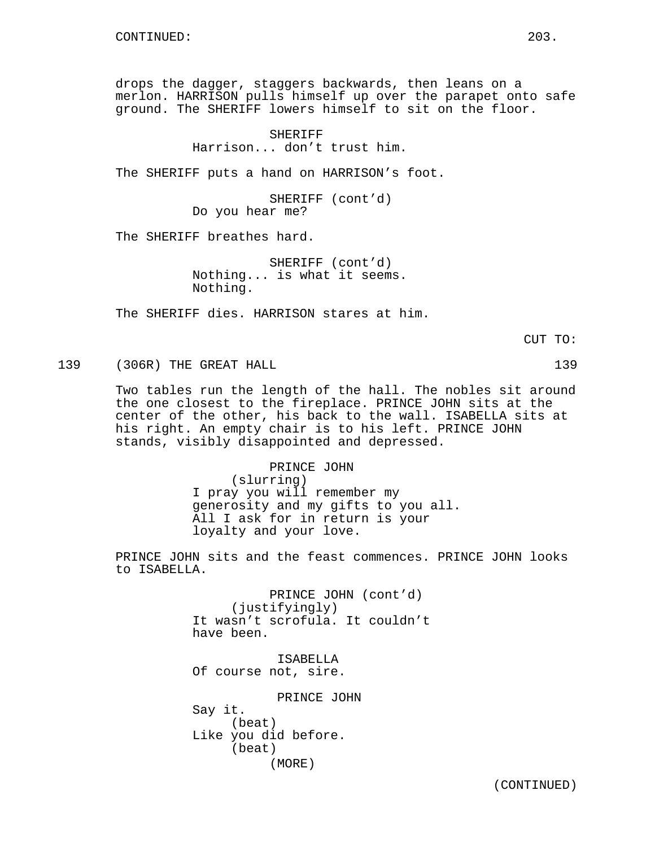drops the dagger, staggers backwards, then leans on a merlon. HARRISON pulls himself up over the parapet onto safe ground. The SHERIFF lowers himself to sit on the floor.

> SHERIFF Harrison... don't trust him.

The SHERIFF puts a hand on HARRISON's foot.

SHERIFF (cont'd) Do you hear me?

The SHERIFF breathes hard.

SHERIFF (cont'd) Nothing... is what it seems. Nothing.

The SHERIFF dies. HARRISON stares at him.

CUT TO:

139 (306R) THE GREAT HALL 139

Two tables run the length of the hall. The nobles sit around the one closest to the fireplace. PRINCE JOHN sits at the center of the other, his back to the wall. ISABELLA sits at his right. An empty chair is to his left. PRINCE JOHN stands, visibly disappointed and depressed.

> PRINCE JOHN (slurring) I pray you will remember my generosity and my gifts to you all. All I ask for in return is your loyalty and your love.

PRINCE JOHN sits and the feast commences. PRINCE JOHN looks to ISABELLA.

> PRINCE JOHN (cont'd) (justifyingly) It wasn't scrofula. It couldn't have been.

ISABELLA Of course not, sire.

PRINCE JOHN Say it. (beat) Like you did before. (beat) (MORE)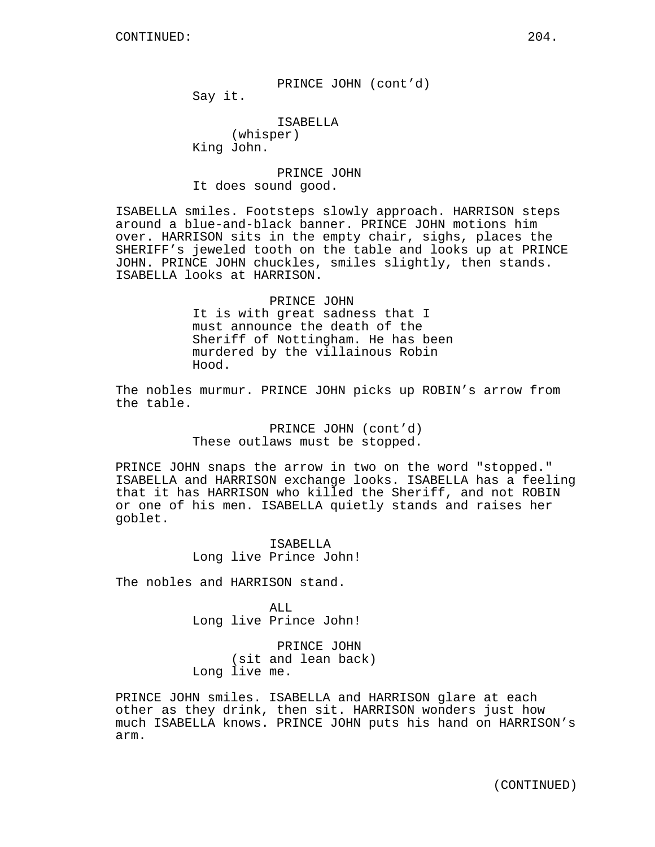PRINCE JOHN (cont'd)

Say it.

# ISABELLA

(whisper) King John.

# PRINCE JOHN It does sound good.

ISABELLA smiles. Footsteps slowly approach. HARRISON steps around a blue-and-black banner. PRINCE JOHN motions him over. HARRISON sits in the empty chair, sighs, places the SHERIFF's jeweled tooth on the table and looks up at PRINCE JOHN. PRINCE JOHN chuckles, smiles slightly, then stands. ISABELLA looks at HARRISON.

> PRINCE JOHN It is with great sadness that I must announce the death of the Sheriff of Nottingham. He has been murdered by the villainous Robin Hood.

The nobles murmur. PRINCE JOHN picks up ROBIN's arrow from the table.

> PRINCE JOHN (cont'd) These outlaws must be stopped.

PRINCE JOHN snaps the arrow in two on the word "stopped." ISABELLA and HARRISON exchange looks. ISABELLA has a feeling that it has HARRISON who killed the Sheriff, and not ROBIN or one of his men. ISABELLA quietly stands and raises her goblet.

> ISABELLA Long live Prince John!

The nobles and HARRISON stand.

ALL. Long live Prince John!

PRINCE JOHN (sit and lean back) Long live me.

PRINCE JOHN smiles. ISABELLA and HARRISON glare at each other as they drink, then sit. HARRISON wonders just how much ISABELLA knows. PRINCE JOHN puts his hand on HARRISON's arm.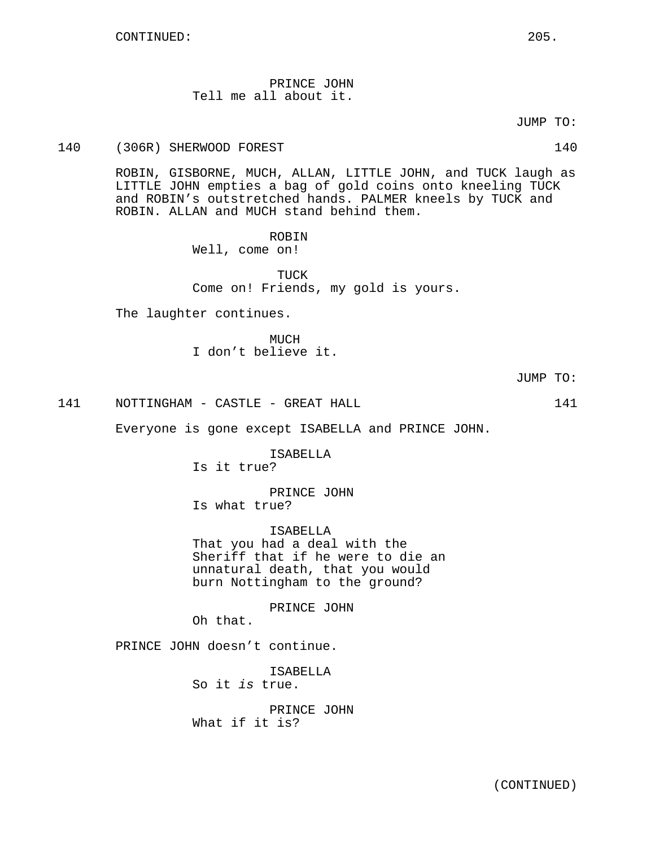PRINCE JOHN Tell me all about it.

JUMP TO:

140 (306R) SHERWOOD FOREST 140

ROBIN, GISBORNE, MUCH, ALLAN, LITTLE JOHN, and TUCK laugh as LITTLE JOHN empties a bag of gold coins onto kneeling TUCK and ROBIN's outstretched hands. PALMER kneels by TUCK and ROBIN. ALLAN and MUCH stand behind them.

ROBIN

Well, come on!

TUCK Come on! Friends, my gold is yours.

The laughter continues.

**MUCH** I don't believe it.

141 NOTTINGHAM - CASTLE - GREAT HALL 141

Everyone is gone except ISABELLA and PRINCE JOHN.

ISABELLA Is it true?

PRINCE JOHN Is what true?

ISABELLA That you had a deal with the Sheriff that if he were to die an unnatural death, that you would burn Nottingham to the ground?

PRINCE JOHN

Oh that.

PRINCE JOHN doesn't continue.

ISABELLA So it is true. PRINCE JOHN

What if it is?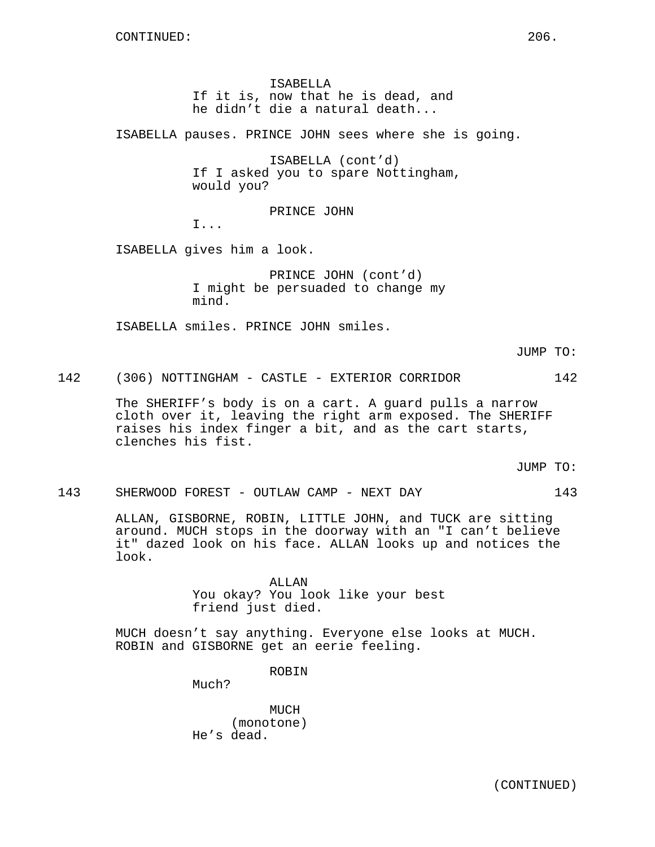ISABELLA If it is, now that he is dead, and he didn't die a natural death...

ISABELLA pauses. PRINCE JOHN sees where she is going.

ISABELLA (cont'd) If I asked you to spare Nottingham, would you?

PRINCE JOHN

I...

ISABELLA gives him a look.

PRINCE JOHN (cont'd) I might be persuaded to change my mind.

ISABELLA smiles. PRINCE JOHN smiles.

JUMP TO:

142 (306) NOTTINGHAM - CASTLE - EXTERIOR CORRIDOR 142

The SHERIFF's body is on a cart. A guard pulls a narrow cloth over it, leaving the right arm exposed. The SHERIFF raises his index finger a bit, and as the cart starts, clenches his fist.

JUMP TO:

143 SHERWOOD FOREST - OUTLAW CAMP - NEXT DAY 143

ALLAN, GISBORNE, ROBIN, LITTLE JOHN, and TUCK are sitting around. MUCH stops in the doorway with an "I can't believe it" dazed look on his face. ALLAN looks up and notices the look.

> ALLAN You okay? You look like your best friend just died.

MUCH doesn't say anything. Everyone else looks at MUCH. ROBIN and GISBORNE get an eerie feeling.

ROBIN

Much?

MUCH (monotone) He's dead.

(CONTINUED)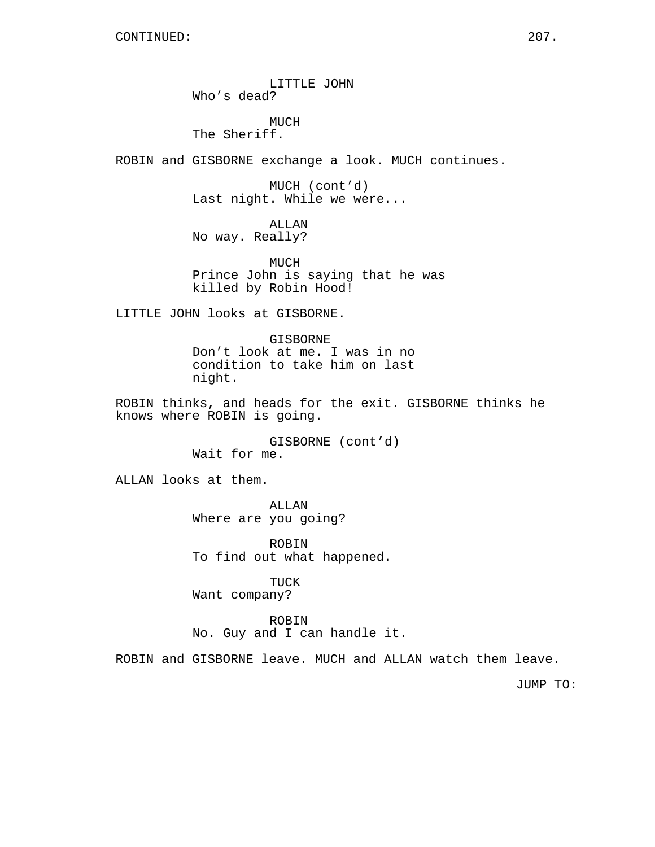LITTLE JOHN Who's dead?

MUCH The Sheriff.

ROBIN and GISBORNE exchange a look. MUCH continues.

MUCH (cont'd) Last night. While we were...

ALLAN No way. Really?

MUCH Prince John is saying that he was killed by Robin Hood!

LITTLE JOHN looks at GISBORNE.

GISBORNE Don't look at me. I was in no condition to take him on last night.

ROBIN thinks, and heads for the exit. GISBORNE thinks he knows where ROBIN is going.

> GISBORNE (cont'd) Wait for me.

ALLAN looks at them.

ALLAN Where are you going?

ROBIN To find out what happened.

TUCK Want company?

ROBIN No. Guy and I can handle it.

ROBIN and GISBORNE leave. MUCH and ALLAN watch them leave.

JUMP TO: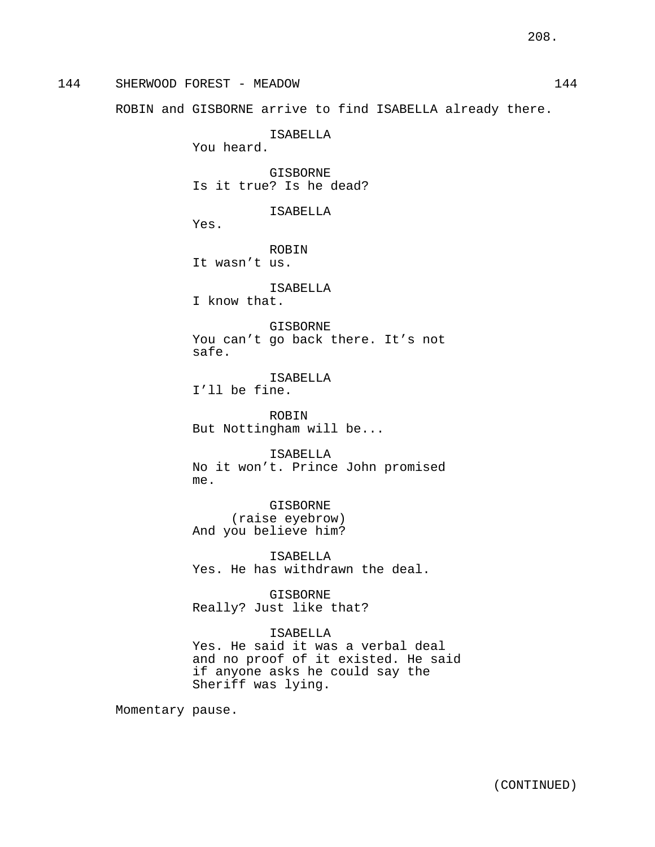144 SHERWOOD FOREST - MEADOW 144 ROBIN and GISBORNE arrive to find ISABELLA already there. ISABELLA You heard. GISBORNE Is it true? Is he dead? ISABELLA Yes. ROBIN It wasn't us. ISABELLA I know that. GISBORNE You can't go back there. It's not safe. ISABELLA I'll be fine. ROBIN But Nottingham will be... ISABELLA No it won't. Prince John promised me. GISBORNE (raise eyebrow) And you believe him? ISABELLA Yes. He has withdrawn the deal. GISBORNE Really? Just like that? ISABELLA Yes. He said it was a verbal deal and no proof of it existed. He said if anyone asks he could say the

Sheriff was lying.

Momentary pause.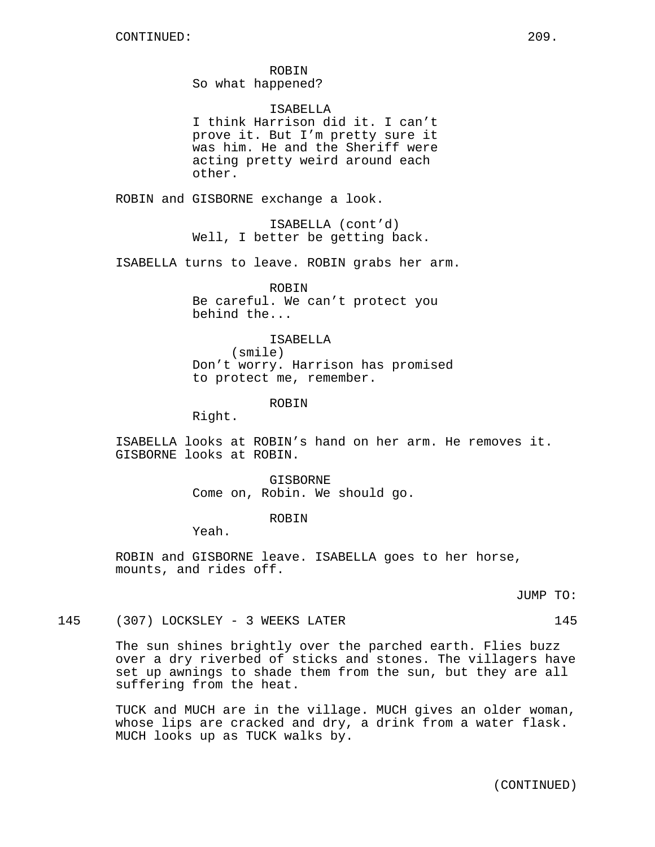ROBIN So what happened?

ISABELLA I think Harrison did it. I can't prove it. But I'm pretty sure it was him. He and the Sheriff were acting pretty weird around each other.

ROBIN and GISBORNE exchange a look.

ISABELLA (cont'd) Well, I better be getting back.

ISABELLA turns to leave. ROBIN grabs her arm.

ROBIN Be careful. We can't protect you behind the...

## ISABELLA

(smile) Don't worry. Harrison has promised to protect me, remember.

ROBIN

Right.

ISABELLA looks at ROBIN's hand on her arm. He removes it. GISBORNE looks at ROBIN.

> GISBORNE Come on, Robin. We should go.

> > ROBIN

Yeah.

ROBIN and GISBORNE leave. ISABELLA goes to her horse, mounts, and rides off.

JUMP TO:

145 (307) LOCKSLEY - 3 WEEKS LATER 145

The sun shines brightly over the parched earth. Flies buzz over a dry riverbed of sticks and stones. The villagers have set up awnings to shade them from the sun, but they are all suffering from the heat.

TUCK and MUCH are in the village. MUCH gives an older woman, whose lips are cracked and dry, a drink from a water flask. MUCH looks up as TUCK walks by.

(CONTINUED)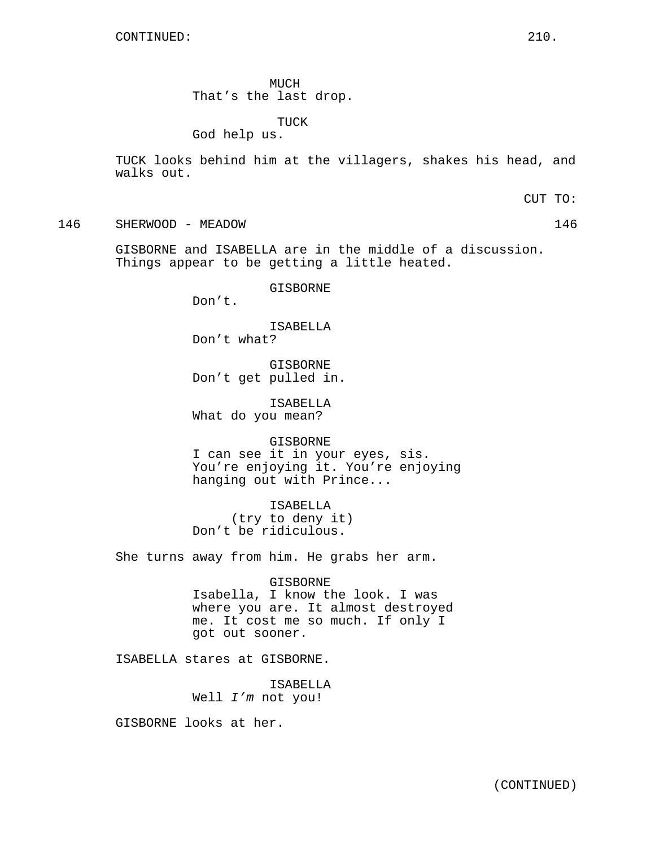MUCH That's the last drop.

TUCK

God help us.

TUCK looks behind him at the villagers, shakes his head, and walks out.

CUT TO:

146 SHERWOOD - MEADOW 146

GISBORNE and ISABELLA are in the middle of a discussion. Things appear to be getting a little heated.

GISBORNE

Don't.

ISABELLA Don't what?

GISBORNE Don't get pulled in.

ISABELLA What do you mean?

GISBORNE I can see it in your eyes, sis. You're enjoying it. You're enjoying hanging out with Prince...

ISABELLA (try to deny it) Don't be ridiculous.

She turns away from him. He grabs her arm.

GISBORNE Isabella, I know the look. I was where you are. It almost destroyed me. It cost me so much. If only I got out sooner.

ISABELLA stares at GISBORNE.

ISABELLA Well I'm not you!

GISBORNE looks at her.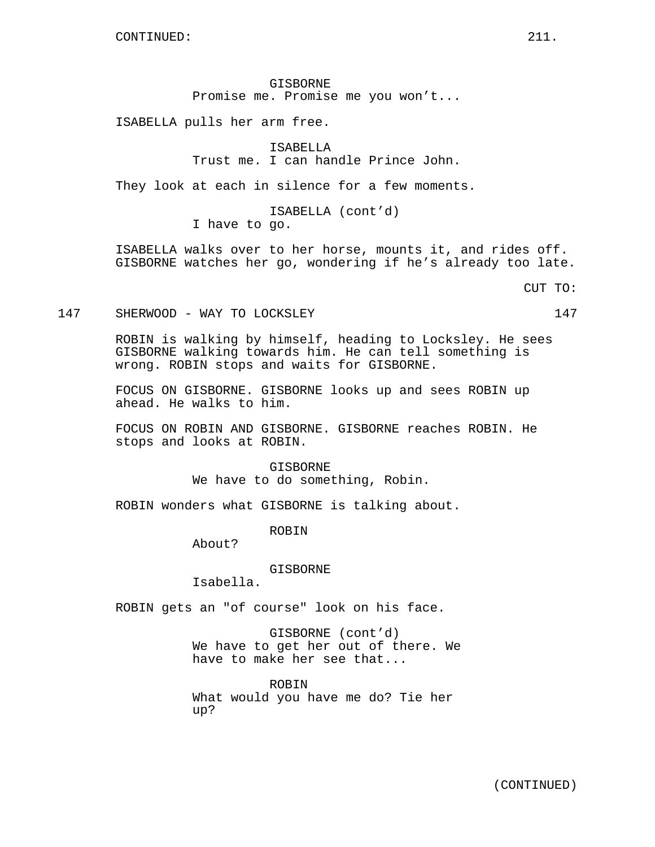GISBORNE Promise me. Promise me you won't...

ISABELLA pulls her arm free.

ISABELLA Trust me. I can handle Prince John.

They look at each in silence for a few moments.

ISABELLA (cont'd) I have to go.

ISABELLA walks over to her horse, mounts it, and rides off. GISBORNE watches her go, wondering if he's already too late.

CUT TO:

147 SHERWOOD - WAY TO LOCKSLEY 147

ROBIN is walking by himself, heading to Locksley. He sees GISBORNE walking towards him. He can tell something is wrong. ROBIN stops and waits for GISBORNE.

FOCUS ON GISBORNE. GISBORNE looks up and sees ROBIN up ahead. He walks to him.

FOCUS ON ROBIN AND GISBORNE. GISBORNE reaches ROBIN. He stops and looks at ROBIN.

> GISBORNE We have to do something, Robin.

ROBIN wonders what GISBORNE is talking about.

ROBIN

About?

GISBORNE

Isabella.

ROBIN gets an "of course" look on his face.

GISBORNE (cont'd) We have to get her out of there. We have to make her see that...

ROBIN What would you have me do? Tie her up?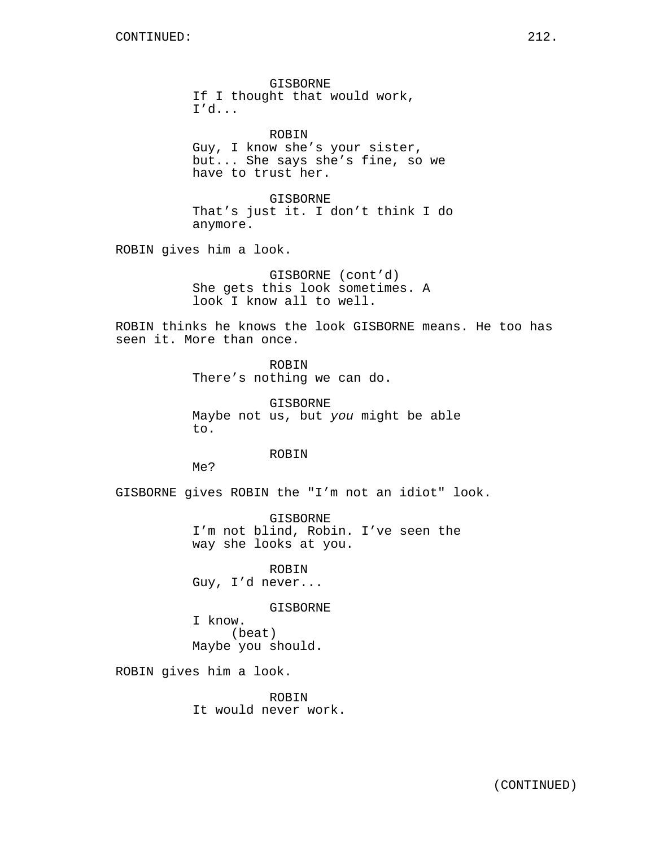GISBORNE If I thought that would work, I'd...

ROBIN Guy, I know she's your sister, but... She says she's fine, so we have to trust her.

GISBORNE That's just it. I don't think I do anymore.

ROBIN gives him a look.

GISBORNE (cont'd) She gets this look sometimes. A look I know all to well.

ROBIN thinks he knows the look GISBORNE means. He too has seen it. More than once.

> ROBIN There's nothing we can do.

GISBORNE Maybe not us, but you might be able to.

ROBIN

Me?

GISBORNE gives ROBIN the "I'm not an idiot" look.

GISBORNE I'm not blind, Robin. I've seen the way she looks at you.

ROBIN Guy, I'd never...

GISBORNE

I know. (beat) Maybe you should.

ROBIN gives him a look.

ROBIN It would never work.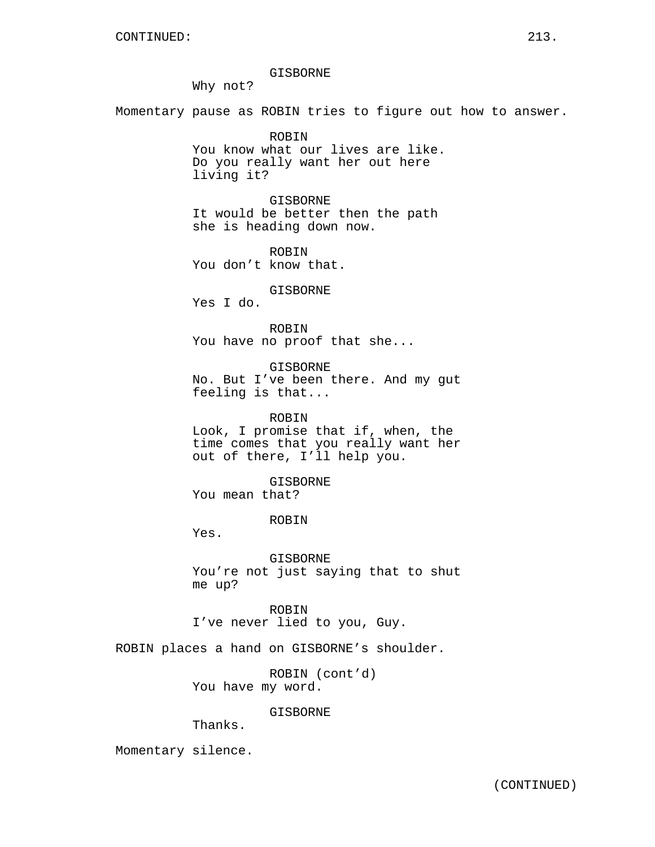#### GISBORNE

Why not?

Momentary pause as ROBIN tries to figure out how to answer.

ROBIN You know what our lives are like. Do you really want her out here living it?

GISBORNE It would be better then the path she is heading down now.

ROBIN You don't know that.

### GISBORNE

Yes I do.

ROBIN You have no proof that she...

GISBORNE No. But I've been there. And my gut feeling is that...

ROBIN Look, I promise that if, when, the time comes that you really want her out of there, I'll help you.

GISBORNE

You mean that?

### ROBIN

Yes.

GISBORNE You're not just saying that to shut me up?

ROBIN I've never lied to you, Guy.

ROBIN places a hand on GISBORNE's shoulder.

ROBIN (cont'd) You have my word.

# GISBORNE

Thanks.

Momentary silence.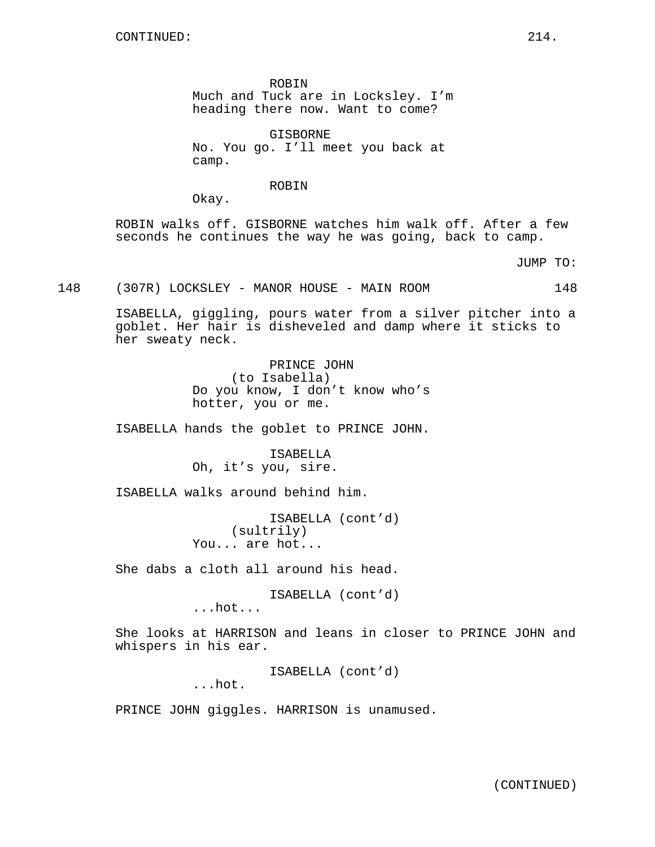ROBIN Much and Tuck are in Locksley. I'm heading there now. Want to come?

GISBORNE No. You go. I'll meet you back at camp.

ROBIN

Okay.

ROBIN walks off. GISBORNE watches him walk off. After a few seconds he continues the way he was going, back to camp.

JUMP TO:

148 (307R) LOCKSLEY - MANOR HOUSE - MAIN ROOM 148

ISABELLA, giggling, pours water from a silver pitcher into a goblet. Her hair is disheveled and damp where it sticks to her sweaty neck.

> PRINCE JOHN (to Isabella) Do you know, I don't know who's hotter, you or me.

ISABELLA hands the goblet to PRINCE JOHN.

ISABELLA Oh, it's you, sire.

ISABELLA walks around behind him.

ISABELLA (cont'd) (sultrily) You... are hot...

She dabs a cloth all around his head.

ISABELLA (cont'd)

...hot...

She looks at HARRISON and leans in closer to PRINCE JOHN and whispers in his ear.

ISABELLA (cont'd)

...hot.

PRINCE JOHN giggles. HARRISON is unamused.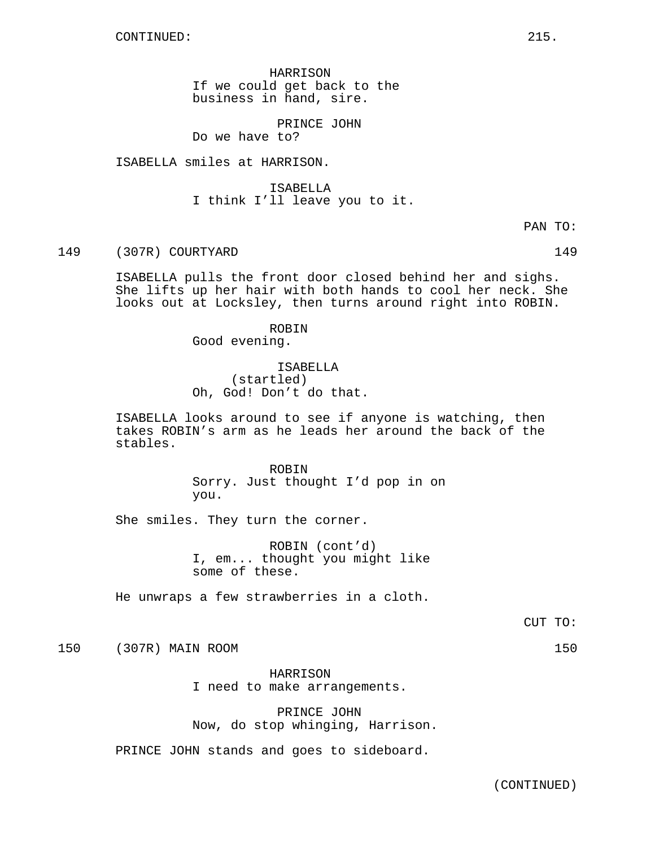HARRISON If we could get back to the business in hand, sire.

PRINCE JOHN Do we have to?

ISABELLA smiles at HARRISON.

ISABELLA I think I'll leave you to it.

PAN TO:

149 (307R) COURTYARD 149

ISABELLA pulls the front door closed behind her and sighs. She lifts up her hair with both hands to cool her neck. She looks out at Locksley, then turns around right into ROBIN.

> ROBIN Good evening.

ISABELLA (startled) Oh, God! Don't do that.

ISABELLA looks around to see if anyone is watching, then takes ROBIN's arm as he leads her around the back of the stables.

> ROBIN Sorry. Just thought I'd pop in on you.

She smiles. They turn the corner.

ROBIN (cont'd) I, em... thought you might like some of these.

He unwraps a few strawberries in a cloth.

CUT TO:

150 (307R) MAIN ROOM 150

HARRISON I need to make arrangements.

PRINCE JOHN Now, do stop whinging, Harrison.

PRINCE JOHN stands and goes to sideboard.

(CONTINUED)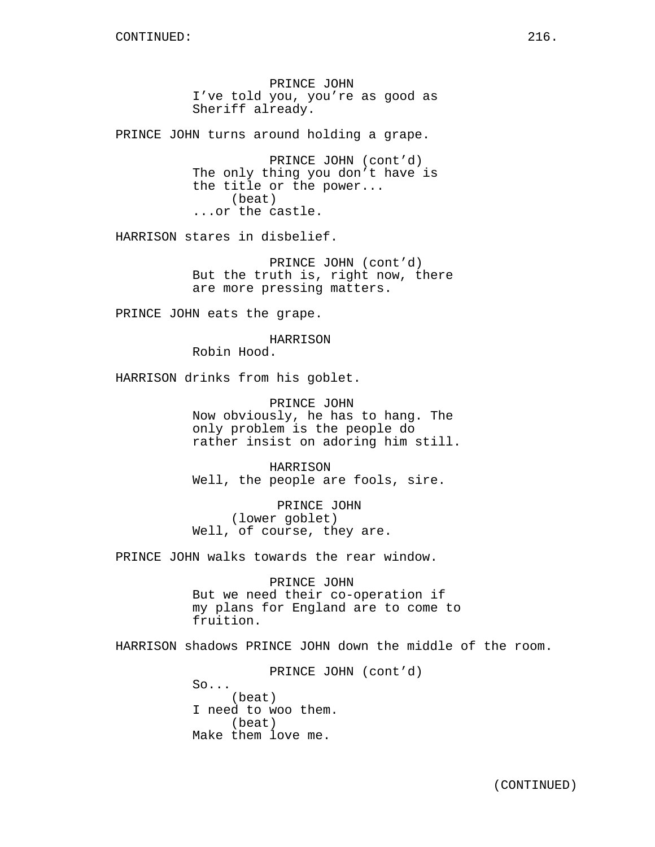PRINCE JOHN I've told you, you're as good as Sheriff already.

PRINCE JOHN turns around holding a grape.

PRINCE JOHN (cont'd) The only thing you don't have is the title or the power... (beat) ...or the castle.

HARRISON stares in disbelief.

PRINCE JOHN (cont'd) But the truth is, right now, there are more pressing matters.

PRINCE JOHN eats the grape.

HARRISON

Robin Hood.

HARRISON drinks from his goblet.

PRINCE JOHN Now obviously, he has to hang. The only problem is the people do rather insist on adoring him still.

HARRISON Well, the people are fools, sire.

PRINCE JOHN (lower goblet) Well, of course, they are.

PRINCE JOHN walks towards the rear window.

PRINCE JOHN But we need their co-operation if my plans for England are to come to fruition.

HARRISON shadows PRINCE JOHN down the middle of the room.

PRINCE JOHN (cont'd)  $So...$ (beat) I need to woo them. (beat) Make them love me.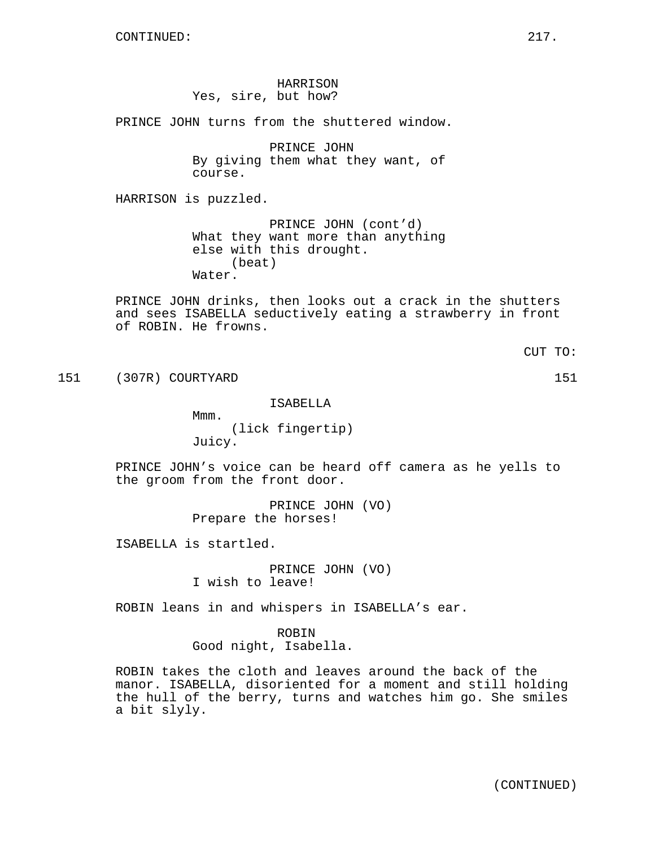HARRISON Yes, sire, but how?

PRINCE JOHN turns from the shuttered window.

PRINCE JOHN By giving them what they want, of course.

HARRISON is puzzled.

PRINCE JOHN (cont'd) What they want more than anything else with this drought. (beat) Water.

PRINCE JOHN drinks, then looks out a crack in the shutters and sees ISABELLA seductively eating a strawberry in front of ROBIN. He frowns.

CUT TO:

151 (307R) COURTYARD 151

ISABELLA

Mmm. (lick fingertip) Juicy.

PRINCE JOHN's voice can be heard off camera as he yells to the groom from the front door.

> PRINCE JOHN (VO) Prepare the horses!

ISABELLA is startled.

PRINCE JOHN (VO) I wish to leave!

ROBIN leans in and whispers in ISABELLA's ear.

ROBIN Good night, Isabella.

ROBIN takes the cloth and leaves around the back of the manor. ISABELLA, disoriented for a moment and still holding the hull of the berry, turns and watches him go. She smiles a bit slyly.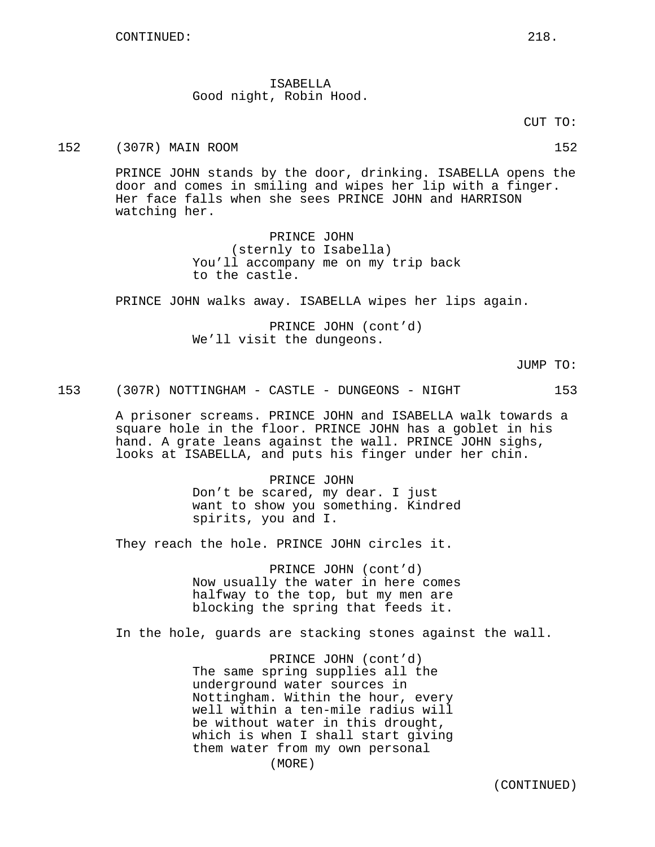ISABELLA Good night, Robin Hood.

CUT TO:

152 (307R) MAIN ROOM 152

PRINCE JOHN stands by the door, drinking. ISABELLA opens the door and comes in smiling and wipes her lip with a finger. Her face falls when she sees PRINCE JOHN and HARRISON watching her.

> PRINCE JOHN (sternly to Isabella) You'll accompany me on my trip back to the castle.

PRINCE JOHN walks away. ISABELLA wipes her lips again.

PRINCE JOHN (cont'd) We'll visit the dungeons.

JUMP TO:

153 (307R) NOTTINGHAM - CASTLE - DUNGEONS - NIGHT 153

A prisoner screams. PRINCE JOHN and ISABELLA walk towards a square hole in the floor. PRINCE JOHN has a goblet in his hand. A grate leans against the wall. PRINCE JOHN sighs, looks at ISABELLA, and puts his finger under her chin.

> PRINCE JOHN Don't be scared, my dear. I just want to show you something. Kindred spirits, you and I.

They reach the hole. PRINCE JOHN circles it.

PRINCE JOHN (cont'd) Now usually the water in here comes halfway to the top, but my men are blocking the spring that feeds it.

In the hole, guards are stacking stones against the wall.

PRINCE JOHN (cont'd) The same spring supplies all the underground water sources in Nottingham. Within the hour, every well within a ten-mile radius will be without water in this drought, which is when I shall start giving them water from my own personal (MORE)

(CONTINUED)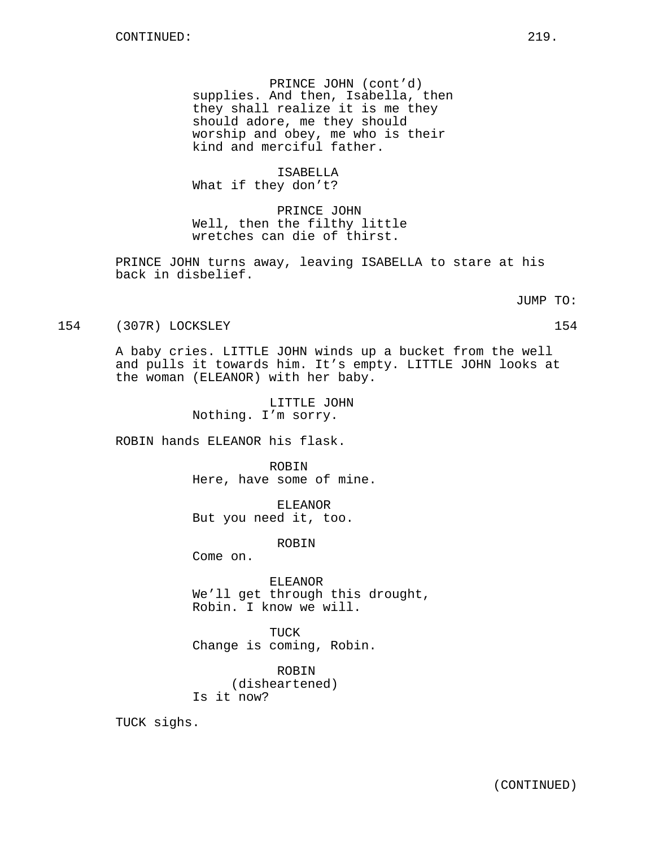PRINCE JOHN (cont'd) supplies. And then, Isabella, then they shall realize it is me they should adore, me they should worship and obey, me who is their kind and merciful father.

ISABELLA

What if they don't?

PRINCE JOHN Well, then the filthy little wretches can die of thirst.

PRINCE JOHN turns away, leaving ISABELLA to stare at his back in disbelief.

JUMP TO:

## 154 (307R) LOCKSLEY 154

A baby cries. LITTLE JOHN winds up a bucket from the well and pulls it towards him. It's empty. LITTLE JOHN looks at the woman (ELEANOR) with her baby.

> LITTLE JOHN Nothing. I'm sorry.

ROBIN hands ELEANOR his flask.

ROBIN Here, have some of mine.

ELEANOR But you need it, too.

ROBIN

Come on.

ELEANOR We'll get through this drought, Robin. I know we will.

TUCK Change is coming, Robin.

ROBIN (disheartened) Is it now?

TUCK sighs.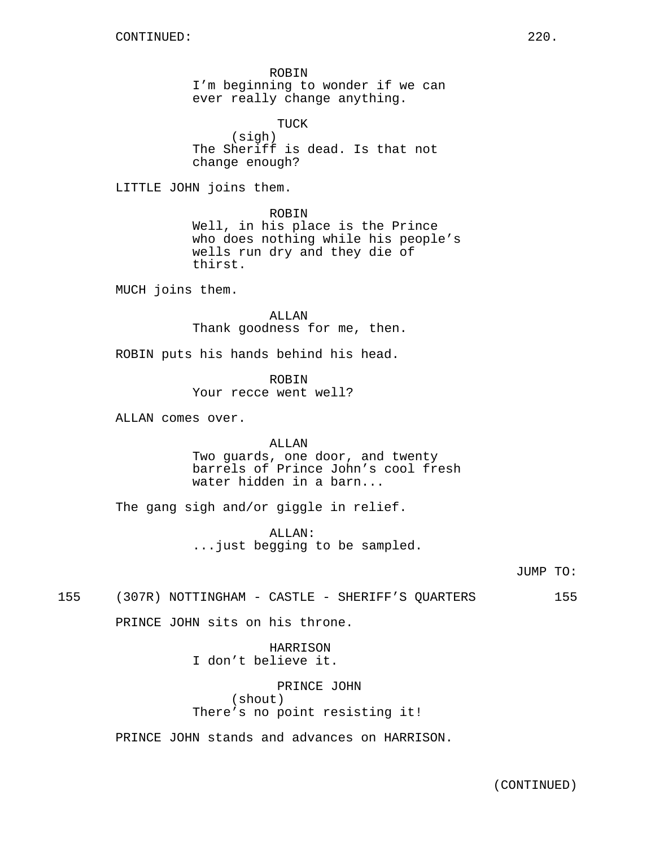ROBIN I'm beginning to wonder if we can ever really change anything.

TUCK (sigh) The Sheriff is dead. Is that not change enough?

LITTLE JOHN joins them.

ROBIN Well, in his place is the Prince who does nothing while his people's wells run dry and they die of thirst.

MUCH joins them.

ALLAN Thank goodness for me, then.

ROBIN puts his hands behind his head.

ROBIN Your recce went well?

ALLAN comes over.

ALLAN Two guards, one door, and twenty barrels of Prince John's cool fresh water hidden in a barn...

The gang sigh and/or giggle in relief.

ALLAN: ...just begging to be sampled.

JUMP TO:

155 (307R) NOTTINGHAM - CASTLE - SHERIFF'S QUARTERS 155

PRINCE JOHN sits on his throne.

HARRISON I don't believe it.

PRINCE JOHN (shout) There's no point resisting it!

PRINCE JOHN stands and advances on HARRISON.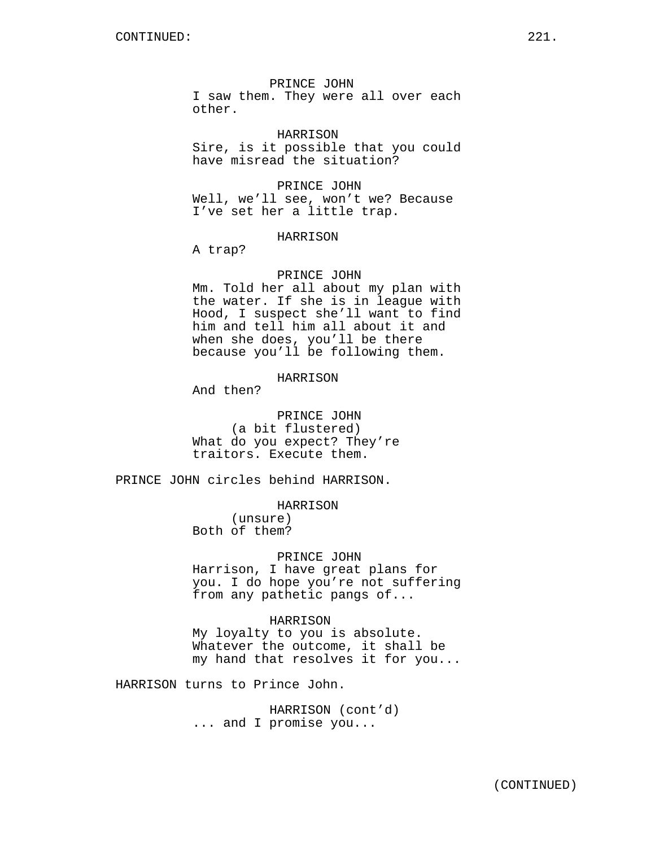PRINCE JOHN

I saw them. They were all over each other.

HARRISON Sire, is it possible that you could have misread the situation?

PRINCE JOHN Well, we'll see, won't we? Because I've set her a little trap.

#### HARRISON

A trap?

#### PRINCE JOHN

Mm. Told her all about my plan with the water. If she is in league with Hood, I suspect she'll want to find him and tell him all about it and when she does, you'll be there because you'll be following them.

#### HARRISON

And then?

PRINCE JOHN (a bit flustered) What do you expect? They're traitors. Execute them.

PRINCE JOHN circles behind HARRISON.

## HARRISON

(unsure) Both of them?

## PRINCE JOHN

Harrison, I have great plans for you. I do hope you're not suffering from any pathetic pangs of...

## HARRISON

My loyalty to you is absolute. Whatever the outcome, it shall be my hand that resolves it for you...

HARRISON turns to Prince John.

HARRISON (cont'd) ... and I promise you...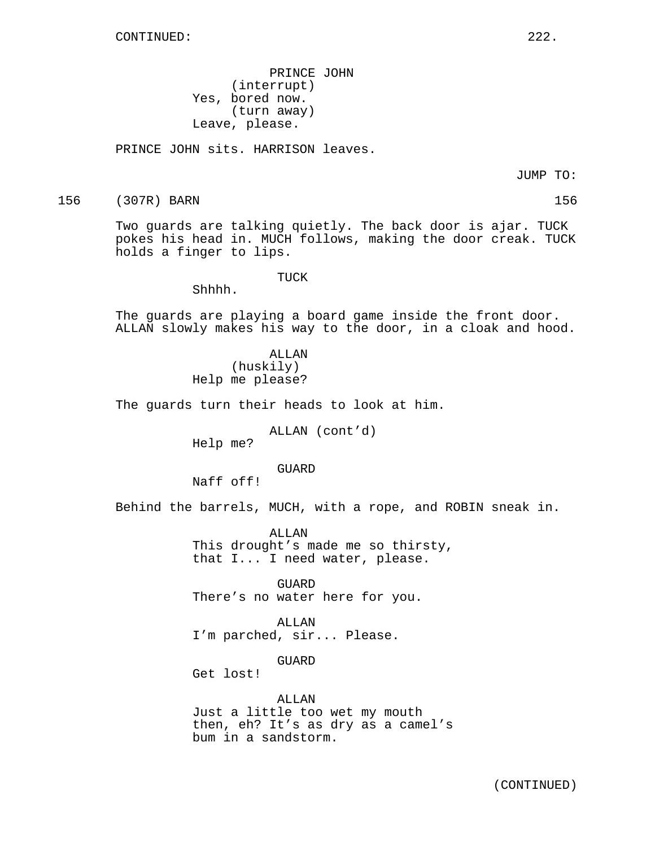PRINCE JOHN (interrupt) Yes, bored now. (turn away) Leave, please.

PRINCE JOHN sits. HARRISON leaves.

JUMP TO:

156 (307R) BARN 156

Two guards are talking quietly. The back door is ajar. TUCK pokes his head in. MUCH follows, making the door creak. TUCK holds a finger to lips.

TUCK

Shhhh.

The guards are playing a board game inside the front door. ALLAN slowly makes his way to the door, in a cloak and hood.

> ALLAN (huskily) Help me please?

The guards turn their heads to look at him.

ALLAN (cont'd)

Help me?

## GUARD

Naff off!

Behind the barrels, MUCH, with a rope, and ROBIN sneak in.

ALLAN This drought's made me so thirsty, that I... I need water, please.

GUARD There's no water here for you.

ALLAN I'm parched, sir... Please.

**GUARD** 

Get lost!

ALLAN Just a little too wet my mouth then, eh? It's as dry as a camel's bum in a sandstorm.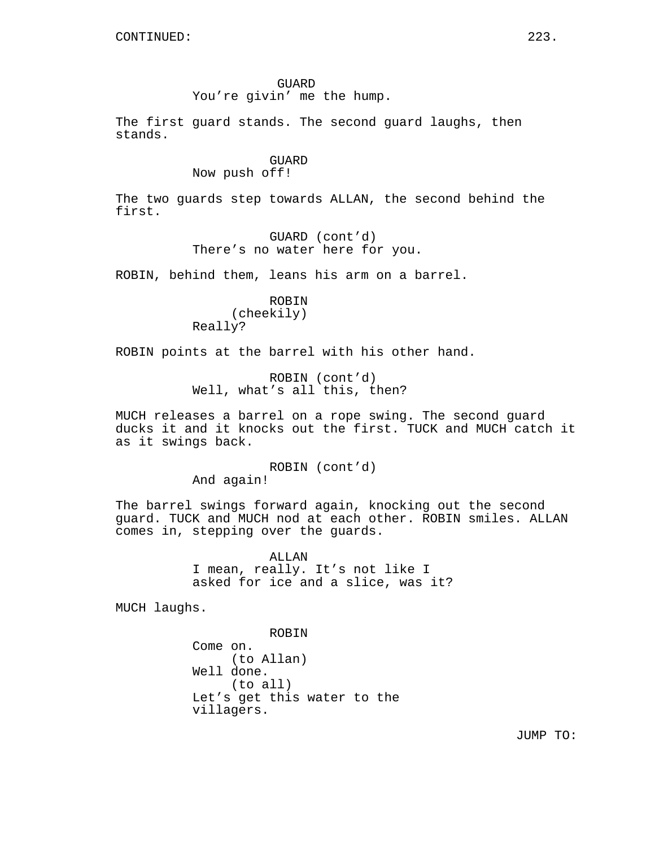GUARD

You're givin' me the hump.

The first guard stands. The second guard laughs, then stands.

## GUARD Now push off!

The two guards step towards ALLAN, the second behind the first.

> GUARD (cont'd) There's no water here for you.

ROBIN, behind them, leans his arm on a barrel.

ROBIN (cheekily) Really?

ROBIN points at the barrel with his other hand.

ROBIN (cont'd) Well, what's all this, then?

MUCH releases a barrel on a rope swing. The second guard ducks it and it knocks out the first. TUCK and MUCH catch it as it swings back.

ROBIN (cont'd)

And again!

The barrel swings forward again, knocking out the second guard. TUCK and MUCH nod at each other. ROBIN smiles. ALLAN comes in, stepping over the guards.

> ALLAN I mean, really. It's not like I asked for ice and a slice, was it?

MUCH laughs.

ROBIN Come on. (to Allan) Well done. (to all) Let's get this water to the villagers.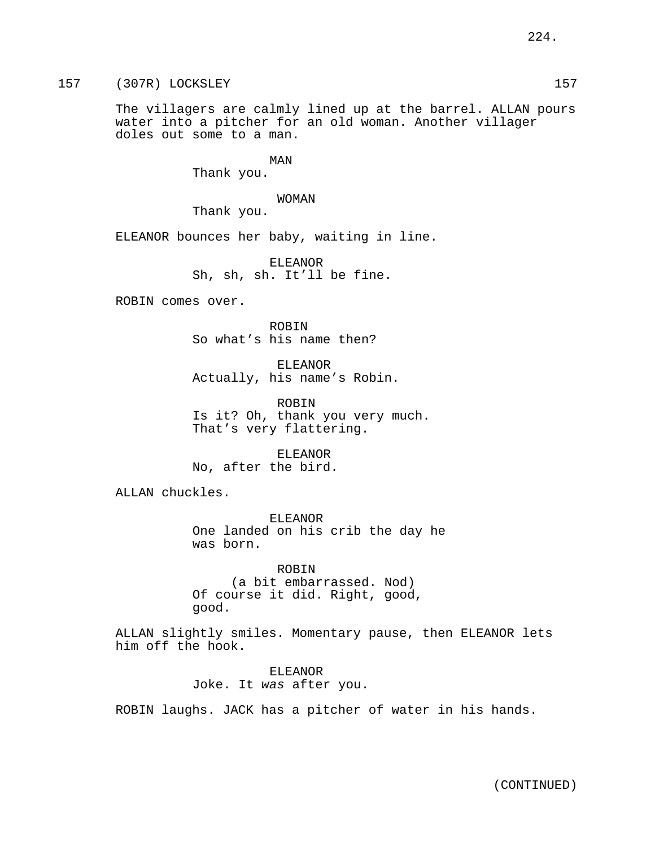The villagers are calmly lined up at the barrel. ALLAN pours water into a pitcher for an old woman. Another villager doles out some to a man.

MAN

Thank you.

WOMAN

Thank you.

ELEANOR bounces her baby, waiting in line.

ELEANOR Sh, sh, sh. It'll be fine.

ROBIN comes over.

ROBIN So what's his name then?

ELEANOR Actually, his name's Robin.

ROBIN Is it? Oh, thank you very much. That's very flattering.

ELEANOR No, after the bird.

ALLAN chuckles.

ELEANOR One landed on his crib the day he was born.

ROBIN (a bit embarrassed. Nod) Of course it did. Right, good, good.

ALLAN slightly smiles. Momentary pause, then ELEANOR lets him off the hook.

> ELEANOR Joke. It was after you.

ROBIN laughs. JACK has a pitcher of water in his hands.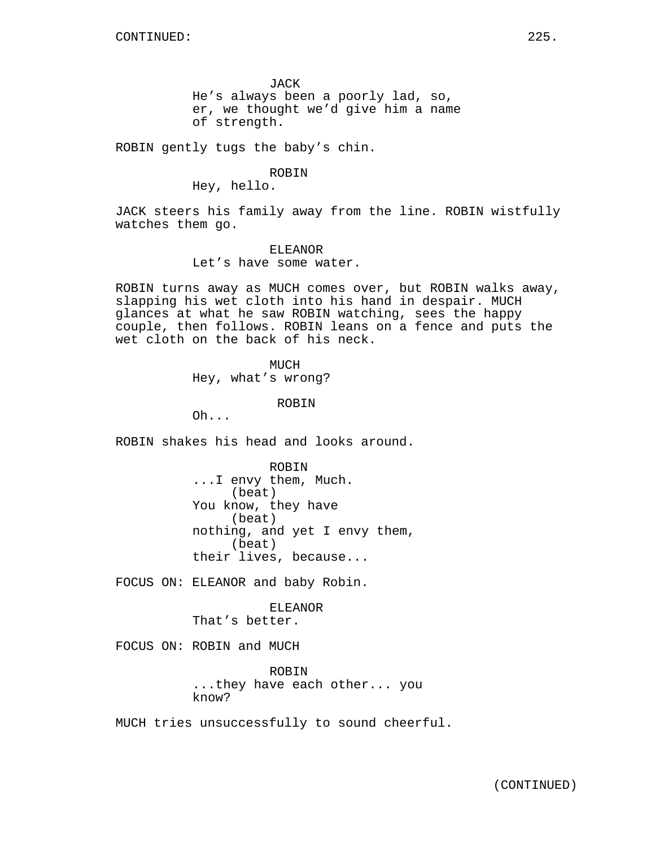JACK He's always been a poorly lad, so, er, we thought we'd give him a name of strength.

ROBIN gently tugs the baby's chin.

ROBIN

Hey, hello.

JACK steers his family away from the line. ROBIN wistfully watches them go.

> ELEANOR Let's have some water.

ROBIN turns away as MUCH comes over, but ROBIN walks away, slapping his wet cloth into his hand in despair. MUCH glances at what he saw ROBIN watching, sees the happy couple, then follows. ROBIN leans on a fence and puts the wet cloth on the back of his neck.

> MUCH Hey, what's wrong?

> > ROBIN

Oh...

ROBIN shakes his head and looks around.

ROBIN ...I envy them, Much. (beat) You know, they have (beat) nothing, and yet I envy them, (beat) their lives, because...

FOCUS ON: ELEANOR and baby Robin.

ELEANOR That's better.

FOCUS ON: ROBIN and MUCH

ROBIN ...they have each other... you know?

MUCH tries unsuccessfully to sound cheerful.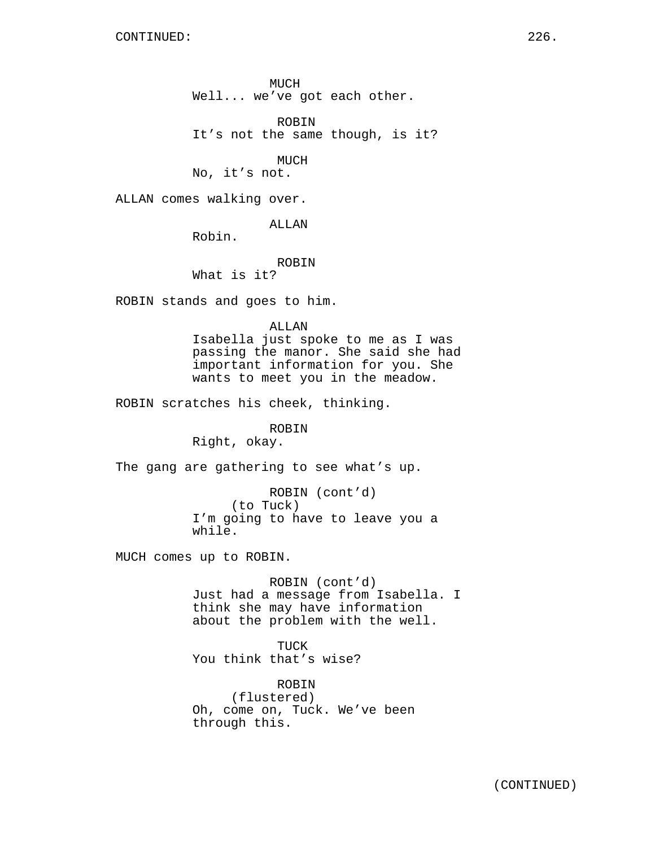MUCH Well... we've got each other.

ROBIN It's not the same though, is it?

MUCH

No, it's not.

ALLAN comes walking over.

ALLAN

Robin.

ROBIN

What is it?

ROBIN stands and goes to him.

ALLAN

Isabella just spoke to me as I was passing the manor. She said she had important information for you. She wants to meet you in the meadow.

ROBIN scratches his cheek, thinking.

ROBIN

Right, okay.

The gang are gathering to see what's up.

ROBIN (cont'd) (to Tuck) I'm going to have to leave you a while.

MUCH comes up to ROBIN.

ROBIN (cont'd) Just had a message from Isabella. I think she may have information about the problem with the well.

TUCK You think that's wise?

ROBIN (flustered) Oh, come on, Tuck. We've been through this.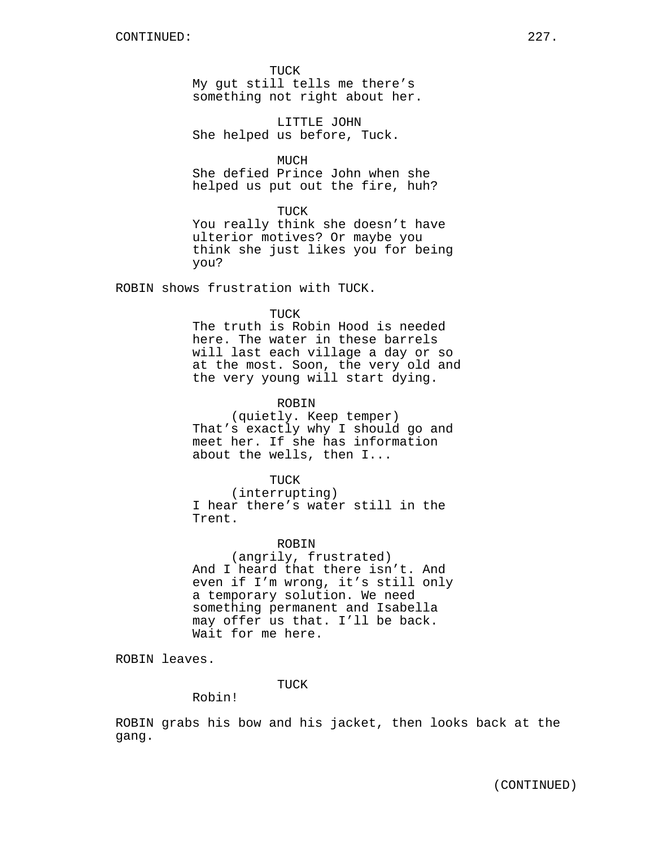TUCK My gut still tells me there's something not right about her.

LITTLE JOHN She helped us before, Tuck.

MUCH

She defied Prince John when she helped us put out the fire, huh?

TUCK

You really think she doesn't have ulterior motives? Or maybe you think she just likes you for being you?

ROBIN shows frustration with TUCK.

TUCK

The truth is Robin Hood is needed here. The water in these barrels will last each village a day or so at the most. Soon, the very old and the very young will start dying.

## ROBIN

(quietly. Keep temper) That's exactly why I should go and meet her. If she has information about the wells, then I...

TUCK

(interrupting) I hear there's water still in the Trent.

#### ROBIN

(angrily, frustrated) And I heard that there isn't. And even if I'm wrong, it's still only a temporary solution. We need something permanent and Isabella may offer us that. I'll be back. Wait for me here.

ROBIN leaves.

TUCK

Robin!

ROBIN grabs his bow and his jacket, then looks back at the gang.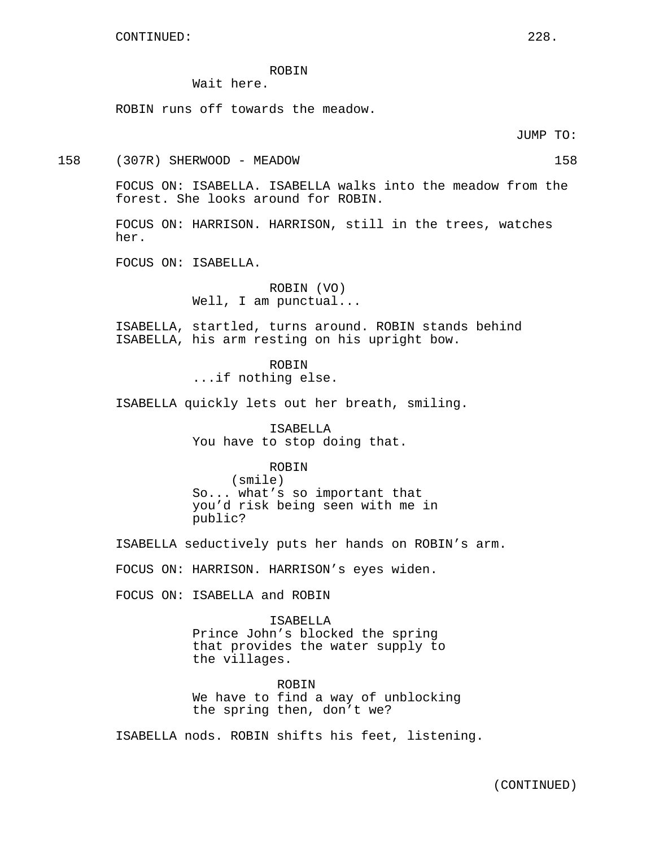# ROBIN

Wait here.

ROBIN runs off towards the meadow.

JUMP TO:

158 (307R) SHERWOOD - MEADOW 158

FOCUS ON: ISABELLA. ISABELLA walks into the meadow from the forest. She looks around for ROBIN.

FOCUS ON: HARRISON. HARRISON, still in the trees, watches her.

FOCUS ON: ISABELLA.

ROBIN (VO) Well, I am punctual...

ISABELLA, startled, turns around. ROBIN stands behind ISABELLA, his arm resting on his upright bow.

> ROBIN ...if nothing else.

ISABELLA quickly lets out her breath, smiling.

ISABELLA You have to stop doing that.

#### ROBIN

(smile) So... what's so important that you'd risk being seen with me in public?

ISABELLA seductively puts her hands on ROBIN's arm.

FOCUS ON: HARRISON. HARRISON's eyes widen.

FOCUS ON: ISABELLA and ROBIN

ISABELLA Prince John's blocked the spring that provides the water supply to the villages.

ROBIN We have to find a way of unblocking the spring then, don't we?

ISABELLA nods. ROBIN shifts his feet, listening.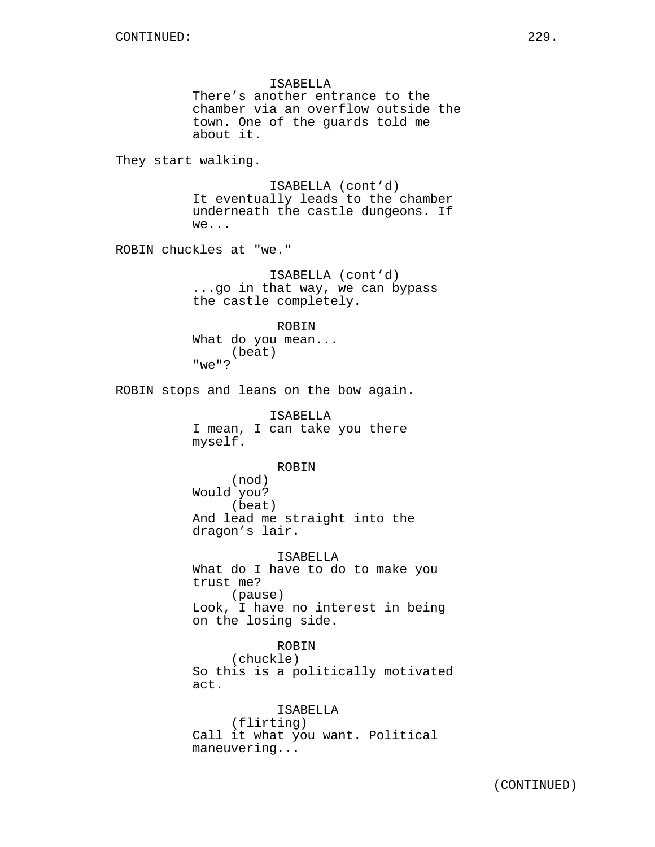ISABELLA There's another entrance to the chamber via an overflow outside the town. One of the guards told me about it. They start walking. ISABELLA (cont'd) It eventually leads to the chamber underneath the castle dungeons. If we... ROBIN chuckles at "we." ISABELLA (cont'd) ...go in that way, we can bypass the castle completely. ROBIN What do you mean... (beat) "we"? ROBIN stops and leans on the bow again. ISABELLA I mean, I can take you there myself. ROBIN (nod) Would you? (beat) And lead me straight into the dragon's lair. ISABELLA What do I have to do to make you trust me? (pause) Look, I have no interest in being on the losing side. ROBIN

(chuckle) So this is a politically motivated act.

ISABELLA (flirting) Call it what you want. Political maneuvering...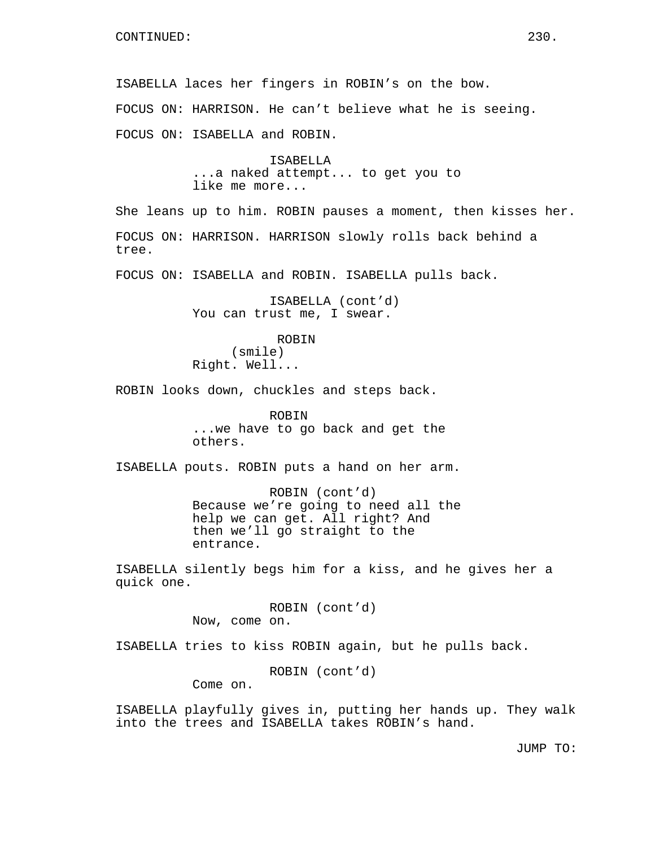ISABELLA laces her fingers in ROBIN's on the bow. FOCUS ON: HARRISON. He can't believe what he is seeing. FOCUS ON: ISABELLA and ROBIN. ISABELLA ...a naked attempt... to get you to like me more... She leans up to him. ROBIN pauses a moment, then kisses her. FOCUS ON: HARRISON. HARRISON slowly rolls back behind a tree. FOCUS ON: ISABELLA and ROBIN. ISABELLA pulls back. ISABELLA (cont'd) You can trust me, I swear. ROBIN (smile) Right. Well... ROBIN looks down, chuckles and steps back. ROBIN ...we have to go back and get the others. ISABELLA pouts. ROBIN puts a hand on her arm. ROBIN (cont'd) Because we're going to need all the help we can get. All right? And then we'll go straight to the entrance. ISABELLA silently begs him for a kiss, and he gives her a quick one. ROBIN (cont'd) Now, come on. ISABELLA tries to kiss ROBIN again, but he pulls back. ROBIN (cont'd) Come on.

ISABELLA playfully gives in, putting her hands up. They walk into the trees and ISABELLA takes ROBIN's hand.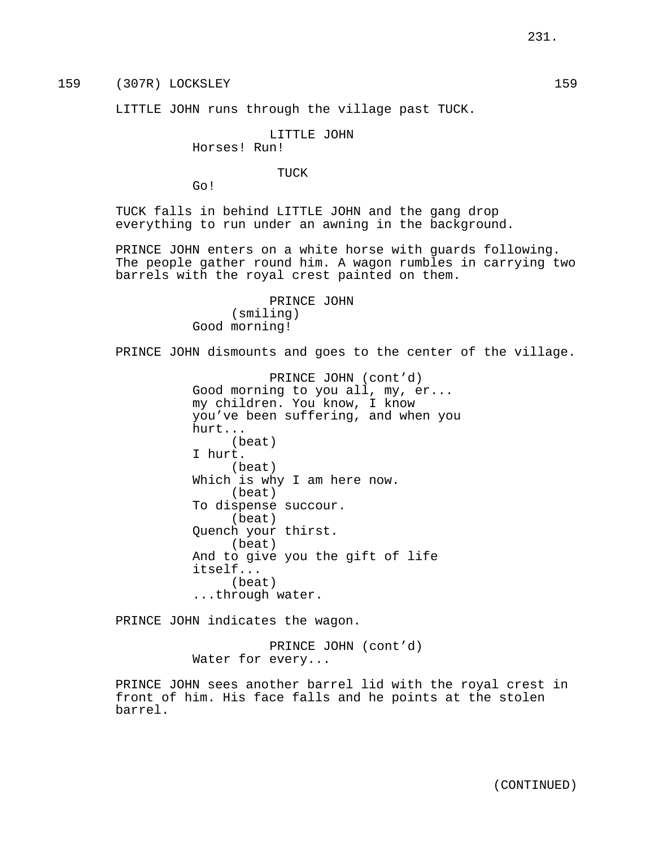159 (307R) LOCKSLEY 159

LITTLE JOHN runs through the village past TUCK.

## LITTLE JOHN

Horses! Run!

TUCK

Go!

TUCK falls in behind LITTLE JOHN and the gang drop everything to run under an awning in the background.

PRINCE JOHN enters on a white horse with guards following. The people gather round him. A wagon rumbles in carrying two barrels with the royal crest painted on them.

> PRINCE JOHN (smiling) Good morning!

PRINCE JOHN dismounts and goes to the center of the village.

PRINCE JOHN (cont'd) Good morning to you all, my, er... my children. You know, I know you've been suffering, and when you hurt... (beat) I hurt. (beat) Which is why I am here now. (beat) To dispense succour. (beat) Quench your thirst. (beat) And to give you the gift of life itself... (beat) ...through water.

PRINCE JOHN indicates the wagon.

PRINCE JOHN (cont'd) Water for every...

PRINCE JOHN sees another barrel lid with the royal crest in front of him. His face falls and he points at the stolen barrel.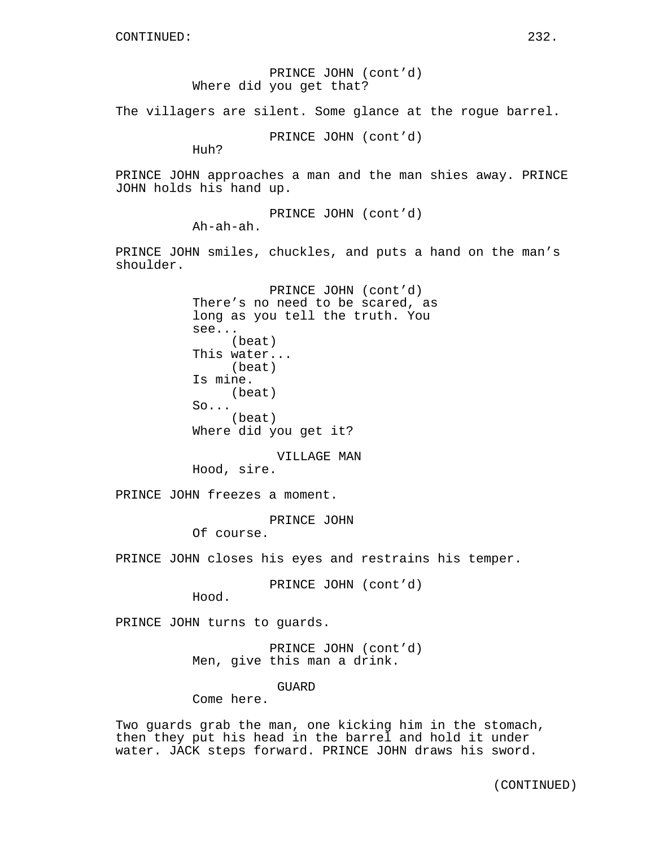PRINCE JOHN (cont'd) Where did you get that?

The villagers are silent. Some glance at the rogue barrel.

PRINCE JOHN (cont'd)

Huh?

PRINCE JOHN approaches a man and the man shies away. PRINCE JOHN holds his hand up.

> PRINCE JOHN (cont'd) Ah-ah-ah.

PRINCE JOHN smiles, chuckles, and puts a hand on the man's shoulder.

> PRINCE JOHN (cont'd) There's no need to be scared, as long as you tell the truth. You see... (beat) This water... (beat) Is mine. (beat) So... (beat) Where did you get it?

VILLAGE MAN Hood, sire.

PRINCE JOHN freezes a moment.

PRINCE JOHN

Of course.

PRINCE JOHN closes his eyes and restrains his temper.

PRINCE JOHN (cont'd)

Hood.

PRINCE JOHN turns to guards.

PRINCE JOHN (cont'd) Men, give this man a drink.

GUARD

Come here.

Two guards grab the man, one kicking him in the stomach, then they put his head in the barrel and hold it under water. JACK steps forward. PRINCE JOHN draws his sword.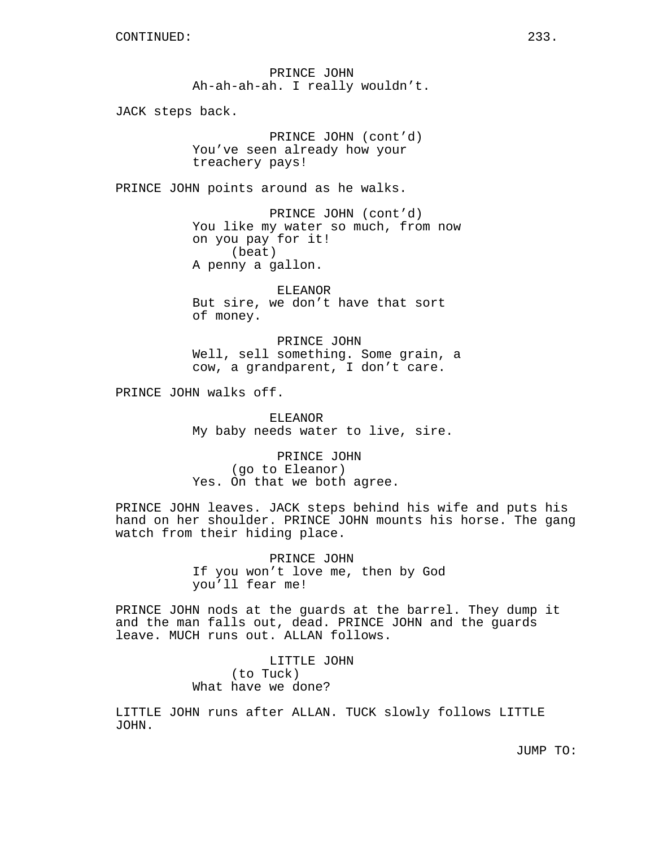PRINCE JOHN Ah-ah-ah-ah. I really wouldn't.

JACK steps back.

PRINCE JOHN (cont'd) You've seen already how your treachery pays!

PRINCE JOHN points around as he walks.

PRINCE JOHN (cont'd) You like my water so much, from now on you pay for it! (beat) A penny a gallon.

ELEANOR But sire, we don't have that sort of money.

PRINCE JOHN Well, sell something. Some grain, a cow, a grandparent, I don't care.

PRINCE JOHN walks off.

ELEANOR My baby needs water to live, sire.

PRINCE JOHN (go to Eleanor) Yes. On that we both agree.

PRINCE JOHN leaves. JACK steps behind his wife and puts his hand on her shoulder. PRINCE JOHN mounts his horse. The gang watch from their hiding place.

> PRINCE JOHN If you won't love me, then by God you'll fear me!

PRINCE JOHN nods at the guards at the barrel. They dump it and the man falls out, dead. PRINCE JOHN and the guards leave. MUCH runs out. ALLAN follows.

> LITTLE JOHN (to Tuck) What have we done?

LITTLE JOHN runs after ALLAN. TUCK slowly follows LITTLE JOHN.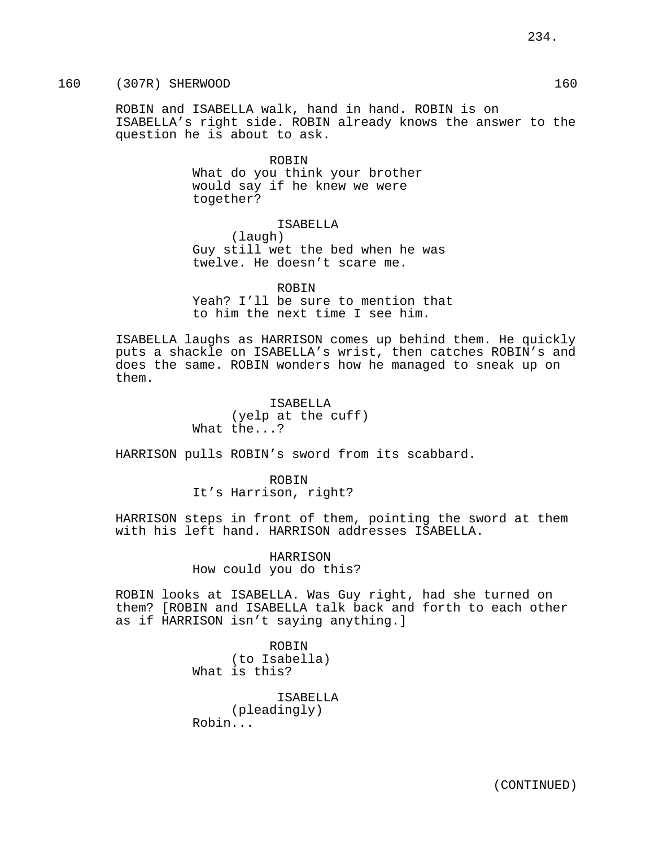160 (307R) SHERWOOD 160

ROBIN and ISABELLA walk, hand in hand. ROBIN is on ISABELLA's right side. ROBIN already knows the answer to the question he is about to ask.

> ROBIN What do you think your brother would say if he knew we were together?

> > ISABELLA

(laugh) Guy still wet the bed when he was twelve. He doesn't scare me.

ROBIN Yeah? I'll be sure to mention that to him the next time I see him.

ISABELLA laughs as HARRISON comes up behind them. He quickly puts a shackle on ISABELLA's wrist, then catches ROBIN's and does the same. ROBIN wonders how he managed to sneak up on them.

> ISABELLA (yelp at the cuff) What the...?

HARRISON pulls ROBIN's sword from its scabbard.

ROBIN It's Harrison, right?

HARRISON steps in front of them, pointing the sword at them with his left hand. HARRISON addresses ISABELLA.

> HARRISON How could you do this?

ROBIN looks at ISABELLA. Was Guy right, had she turned on them? [ROBIN and ISABELLA talk back and forth to each other as if HARRISON isn't saying anything.]

> ROBIN (to Isabella) What is this?

ISABELLA (pleadingly) Robin...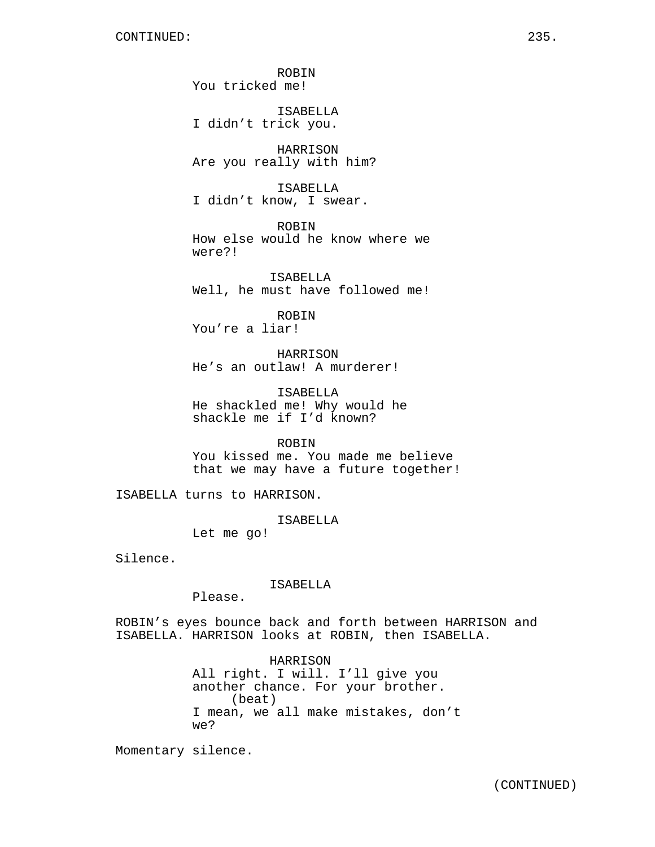ROBIN You tricked me!

ISABELLA I didn't trick you.

HARRISON Are you really with him?

ISABELLA I didn't know, I swear.

ROBIN How else would he know where we were?!

ISABELLA Well, he must have followed me!

ROBIN You're a liar!

HARRISON He's an outlaw! A murderer!

ISABELLA He shackled me! Why would he shackle me if I'd known?

ROBIN You kissed me. You made me believe that we may have a future together!

ISABELLA turns to HARRISON.

ISABELLA

Let me go!

Silence.

ISABELLA

Please.

ROBIN's eyes bounce back and forth between HARRISON and ISABELLA. HARRISON looks at ROBIN, then ISABELLA.

> HARRISON All right. I will. I'll give you another chance. For your brother. (beat) I mean, we all make mistakes, don't we?

Momentary silence.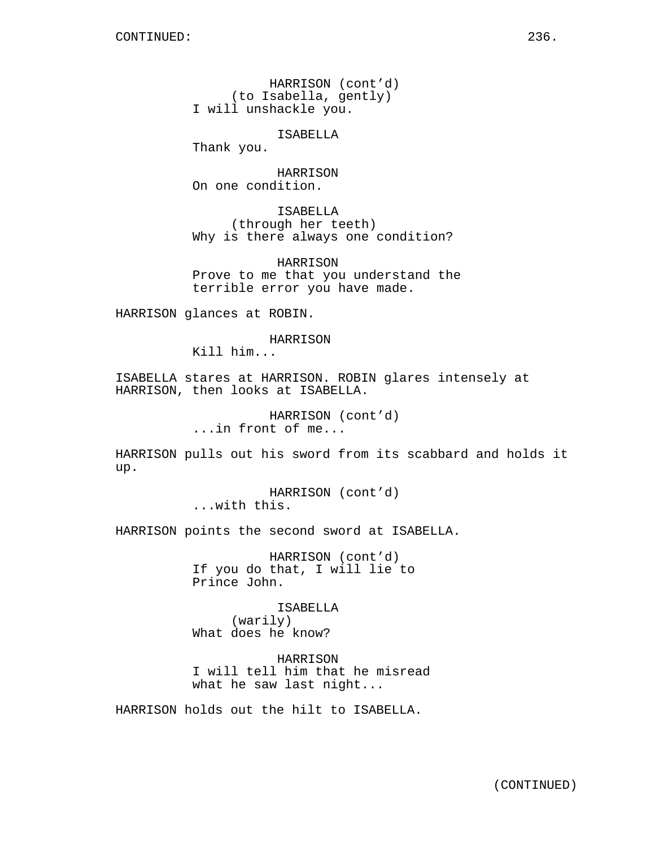HARRISON (cont'd) (to Isabella, gently) I will unshackle you.

ISABELLA

Thank you.

HARRISON On one condition.

ISABELLA (through her teeth) Why is there always one condition?

HARRISON Prove to me that you understand the terrible error you have made.

HARRISON glances at ROBIN.

HARRISON

Kill him...

ISABELLA stares at HARRISON. ROBIN glares intensely at HARRISON, then looks at ISABELLA.

> HARRISON (cont'd) ...in front of me...

HARRISON pulls out his sword from its scabbard and holds it up.

> HARRISON (cont'd) ...with this.

HARRISON points the second sword at ISABELLA.

HARRISON (cont'd) If you do that, I will lie to Prince John.

ISABELLA (warily) What does he know?

HARRISON I will tell him that he misread what he saw last night...

HARRISON holds out the hilt to ISABELLA.

(CONTINUED)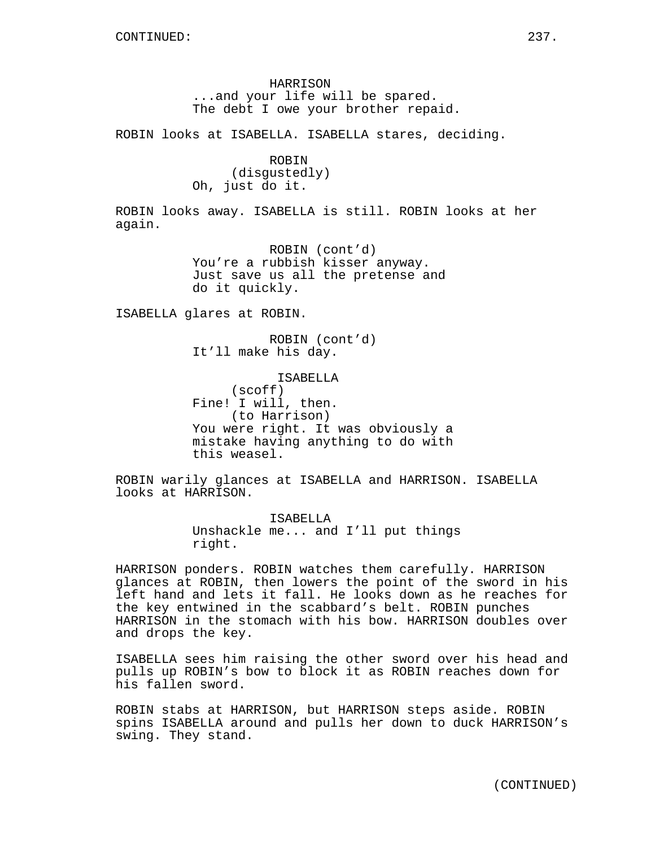HARRISON ...and your life will be spared. The debt I owe your brother repaid.

ROBIN looks at ISABELLA. ISABELLA stares, deciding.

ROBIN (disgustedly) Oh, just do it.

ROBIN looks away. ISABELLA is still. ROBIN looks at her again.

> ROBIN (cont'd) You're a rubbish kisser anyway. Just save us all the pretense and do it quickly.

ISABELLA glares at ROBIN.

ROBIN (cont'd) It'll make his day.

ISABELLA (scoff) Fine! I will, then. (to Harrison) You were right. It was obviously a mistake having anything to do with this weasel.

ROBIN warily glances at ISABELLA and HARRISON. ISABELLA looks at HARRISON.

> ISABELLA Unshackle me... and I'll put things right.

HARRISON ponders. ROBIN watches them carefully. HARRISON glances at ROBIN, then lowers the point of the sword in his left hand and lets it fall. He looks down as he reaches for the key entwined in the scabbard's belt. ROBIN punches HARRISON in the stomach with his bow. HARRISON doubles over and drops the key.

ISABELLA sees him raising the other sword over his head and pulls up ROBIN's bow to block it as ROBIN reaches down for his fallen sword.

ROBIN stabs at HARRISON, but HARRISON steps aside. ROBIN spins ISABELLA around and pulls her down to duck HARRISON's swing. They stand.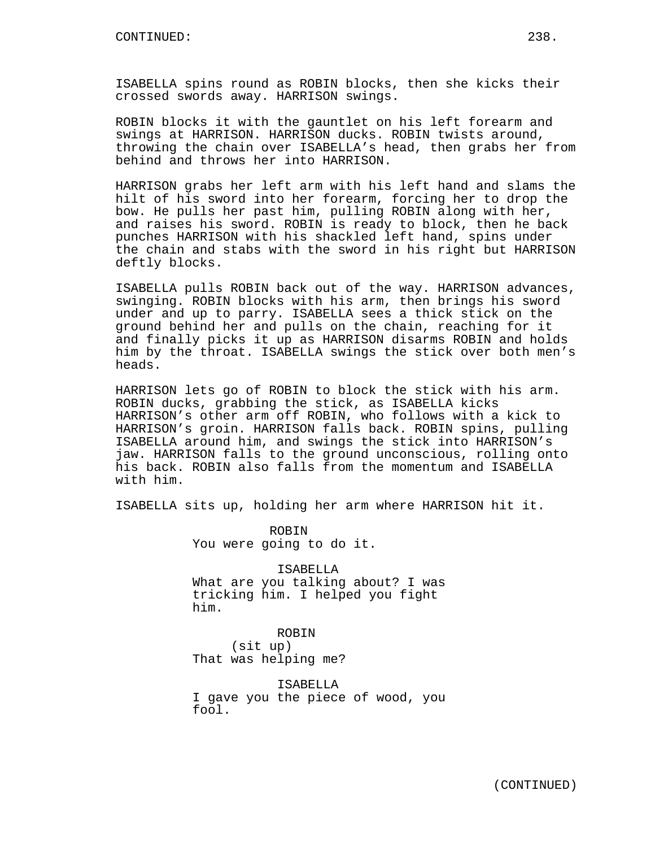ISABELLA spins round as ROBIN blocks, then she kicks their crossed swords away. HARRISON swings.

ROBIN blocks it with the gauntlet on his left forearm and swings at HARRISON. HARRISON ducks. ROBIN twists around, throwing the chain over ISABELLA's head, then grabs her from behind and throws her into HARRISON.

HARRISON grabs her left arm with his left hand and slams the hilt of his sword into her forearm, forcing her to drop the bow. He pulls her past him, pulling ROBIN along with her, and raises his sword. ROBIN is ready to block, then he back punches HARRISON with his shackled left hand, spins under the chain and stabs with the sword in his right but HARRISON deftly blocks.

ISABELLA pulls ROBIN back out of the way. HARRISON advances, swinging. ROBIN blocks with his arm, then brings his sword under and up to parry. ISABELLA sees a thick stick on the ground behind her and pulls on the chain, reaching for it and finally picks it up as HARRISON disarms ROBIN and holds him by the throat. ISABELLA swings the stick over both men's heads.

HARRISON lets go of ROBIN to block the stick with his arm. ROBIN ducks, grabbing the stick, as ISABELLA kicks HARRISON's other arm off ROBIN, who follows with a kick to HARRISON's groin. HARRISON falls back. ROBIN spins, pulling ISABELLA around him, and swings the stick into HARRISON's jaw. HARRISON falls to the ground unconscious, rolling onto his back. ROBIN also falls from the momentum and ISABELLA with him.

ISABELLA sits up, holding her arm where HARRISON hit it.

ROBIN You were going to do it.

ISABELLA What are you talking about? I was tricking him. I helped you fight him.

ROBIN (sit up) That was helping me?

ISABELLA I gave you the piece of wood, you fool.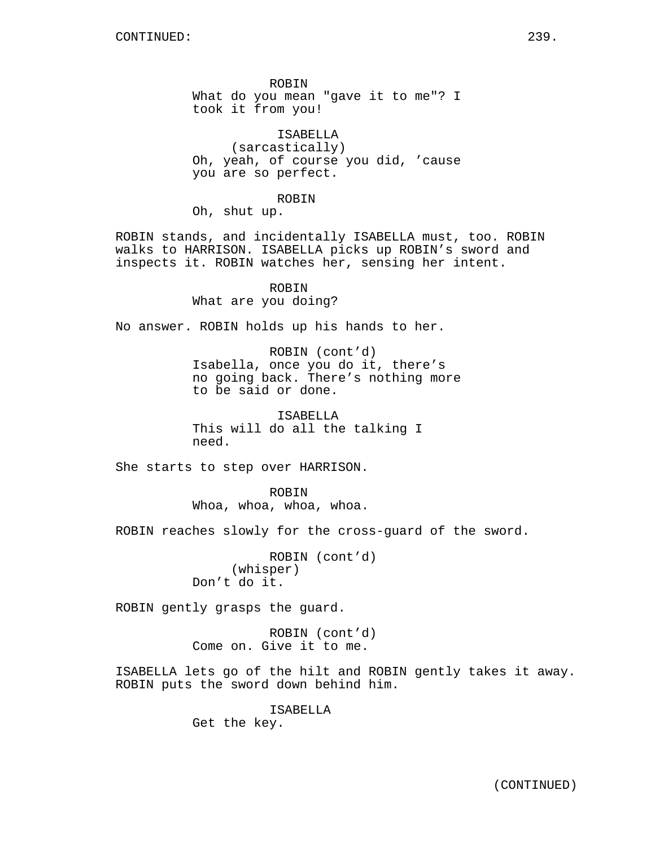ROBIN What do you mean "gave it to me"? I took it from you!

ISABELLA (sarcastically) Oh, yeah, of course you did, 'cause you are so perfect.

#### ROBIN

Oh, shut up.

ROBIN stands, and incidentally ISABELLA must, too. ROBIN walks to HARRISON. ISABELLA picks up ROBIN's sword and inspects it. ROBIN watches her, sensing her intent.

> ROBIN What are you doing?

No answer. ROBIN holds up his hands to her.

ROBIN (cont'd) Isabella, once you do it, there's no going back. There's nothing more to be said or done.

ISABELLA This will do all the talking I need.

She starts to step over HARRISON.

ROBIN Whoa, whoa, whoa, whoa.

ROBIN reaches slowly for the cross-guard of the sword.

ROBIN (cont'd) (whisper) Don't do it.

ROBIN gently grasps the guard.

ROBIN (cont'd) Come on. Give it to me.

ISABELLA lets go of the hilt and ROBIN gently takes it away. ROBIN puts the sword down behind him.

ISABELLA

Get the key.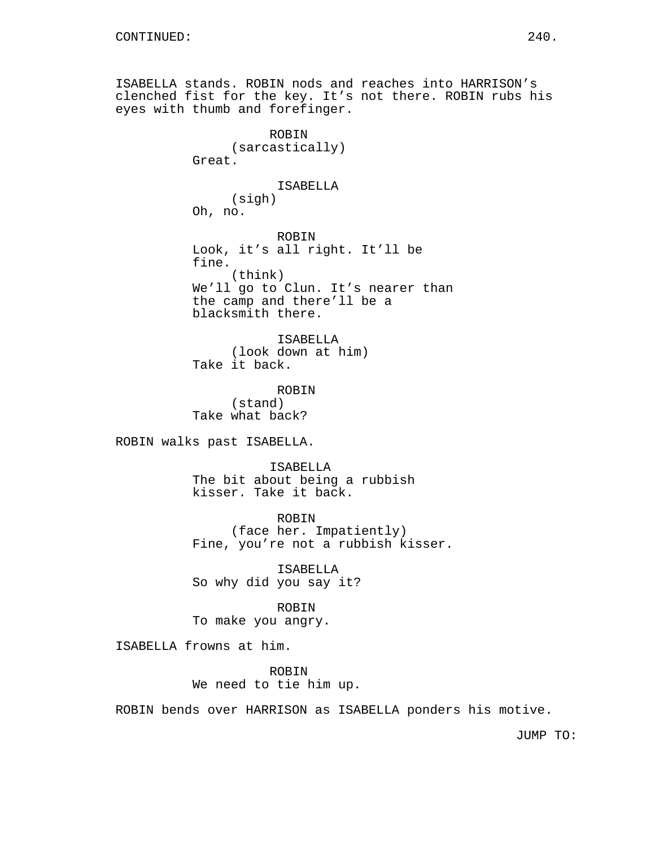ISABELLA stands. ROBIN nods and reaches into HARRISON's clenched fist for the key. It's not there. ROBIN rubs his eyes with thumb and forefinger. ROBIN (sarcastically) Great. ISABELLA (sigh) Oh, no. ROBIN Look, it's all right. It'll be fine. (think) We'll go to Clun. It's nearer than the camp and there'll be a blacksmith there. ISABELLA (look down at him) Take it back. ROBIN (stand) Take what back? ROBIN walks past ISABELLA. ISABELLA The bit about being a rubbish kisser. Take it back. ROBIN (face her. Impatiently) Fine, you're not a rubbish kisser. ISABELLA So why did you say it? ROBIN To make you angry. ISABELLA frowns at him. ROBIN

We need to tie him up.

ROBIN bends over HARRISON as ISABELLA ponders his motive.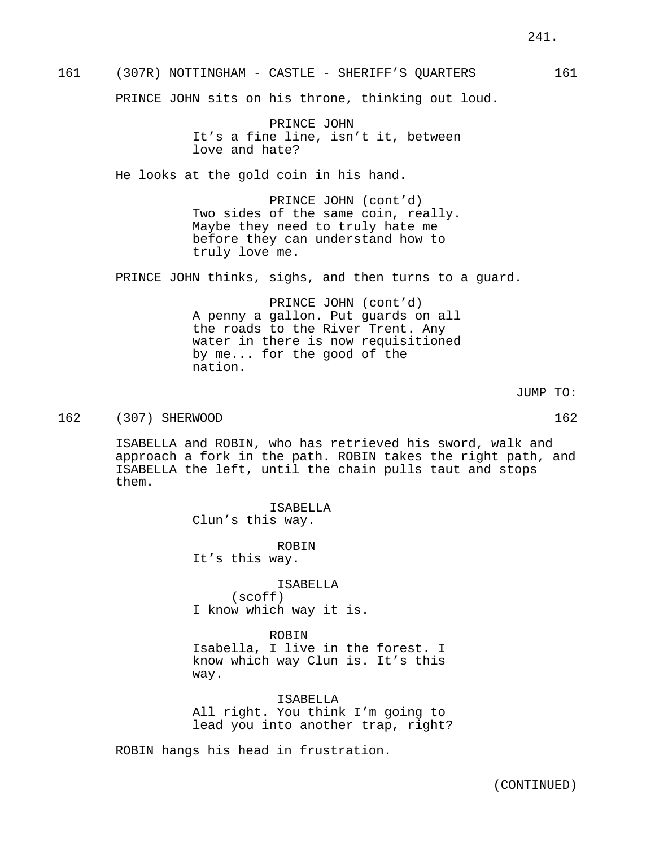PRINCE JOHN It's a fine line, isn't it, between love and hate?

He looks at the gold coin in his hand.

PRINCE JOHN (cont'd) Two sides of the same coin, really. Maybe they need to truly hate me before they can understand how to truly love me.

PRINCE JOHN thinks, sighs, and then turns to a guard.

PRINCE JOHN (cont'd) A penny a gallon. Put guards on all the roads to the River Trent. Any water in there is now requisitioned by me... for the good of the nation.

JUMP TO:

162 (307) SHERWOOD 162

ISABELLA and ROBIN, who has retrieved his sword, walk and approach a fork in the path. ROBIN takes the right path, and ISABELLA the left, until the chain pulls taut and stops them.

> ISABELLA Clun's this way.

ROBIN It's this way.

ISABELLA (scoff) I know which way it is.

ROBIN

Isabella, I live in the forest. I know which way Clun is. It's this way.

ISABELLA All right. You think I'm going to lead you into another trap, right?

ROBIN hangs his head in frustration.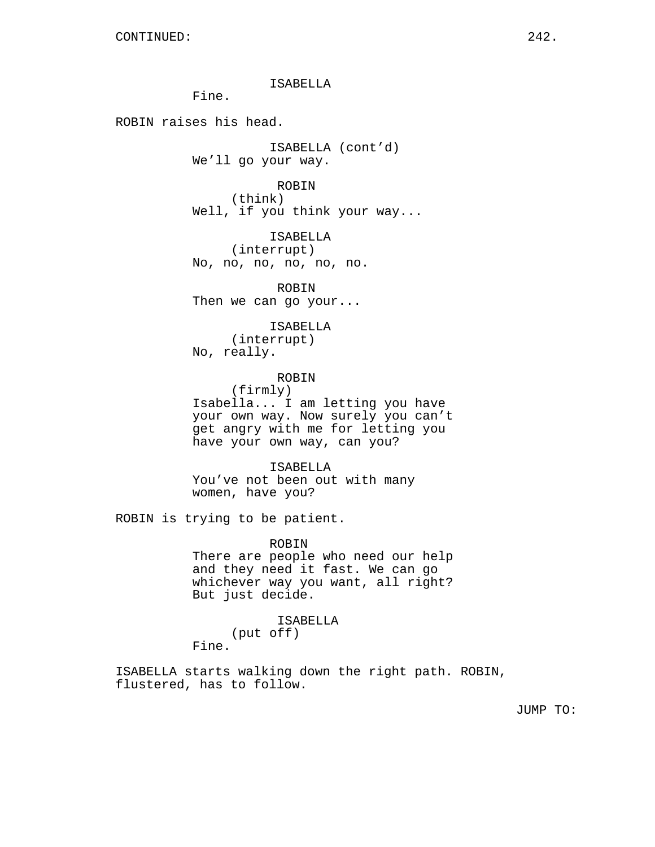ISABELLA

Fine.

ROBIN raises his head.

ISABELLA (cont'd) We'll go your way.

ROBIN (think) Well, if you think your way...

ISABELLA (interrupt) No, no, no, no, no, no.

ROBIN Then we can go your...

ISABELLA (interrupt) No, really.

ROBIN (firmly) Isabella... I am letting you have your own way. Now surely you can't get angry with me for letting you have your own way, can you?

ISABELLA You've not been out with many women, have you?

ROBIN is trying to be patient.

ROBIN

There are people who need our help and they need it fast. We can go whichever way you want, all right? But just decide.

ISABELLA

(put off) Fine.

ISABELLA starts walking down the right path. ROBIN, flustered, has to follow.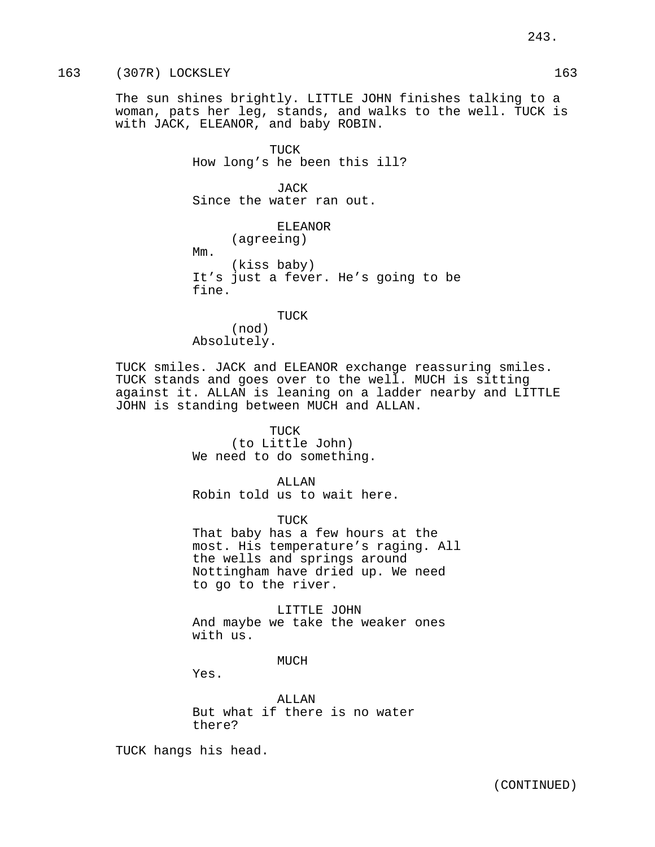## 163 (307R) LOCKSLEY 163

The sun shines brightly. LITTLE JOHN finishes talking to a woman, pats her leg, stands, and walks to the well. TUCK is with JACK, ELEANOR, and baby ROBIN.

> TUCK How long's he been this ill?

JACK Since the water ran out.

> ELEANOR (agreeing)

Mm.

(kiss baby) It's just a fever. He's going to be fine.

TUCK (nod) Absolutely.

TUCK smiles. JACK and ELEANOR exchange reassuring smiles. TUCK stands and goes over to the well. MUCH is sitting against it. ALLAN is leaning on a ladder nearby and LITTLE JOHN is standing between MUCH and ALLAN.

> TUCK (to Little John) We need to do something.

> > ALLAN

Robin told us to wait here.

TUCK

That baby has a few hours at the most. His temperature's raging. All the wells and springs around Nottingham have dried up. We need to go to the river.

LITTLE JOHN And maybe we take the weaker ones with us.

MUCH

Yes.

ALLAN But what if there is no water there?

TUCK hangs his head.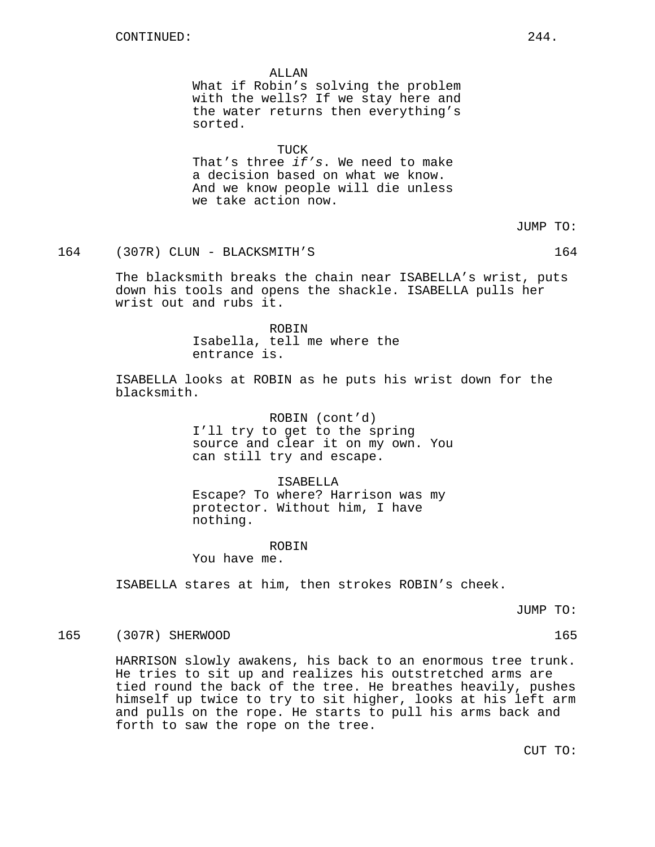ALLAN What if Robin's solving the problem with the wells? If we stay here and the water returns then everything's sorted.

TUCK That's three if's. We need to make a decision based on what we know. And we know people will die unless we take action now.

164 (307R) CLUN - BLACKSMITH'S 164

The blacksmith breaks the chain near ISABELLA's wrist, puts down his tools and opens the shackle. ISABELLA pulls her wrist out and rubs it.

> ROBIN Isabella, tell me where the entrance is.

ISABELLA looks at ROBIN as he puts his wrist down for the blacksmith.

> ROBIN (cont'd) I'll try to get to the spring source and clear it on my own. You can still try and escape.

ISABELLA Escape? To where? Harrison was my protector. Without him, I have nothing.

ROBIN

You have me.

ISABELLA stares at him, then strokes ROBIN's cheek.

JUMP TO:

## 165 (307R) SHERWOOD 165

HARRISON slowly awakens, his back to an enormous tree trunk. He tries to sit up and realizes his outstretched arms are tied round the back of the tree. He breathes heavily, pushes himself up twice to try to sit higher, looks at his left arm and pulls on the rope. He starts to pull his arms back and forth to saw the rope on the tree.

CUT TO: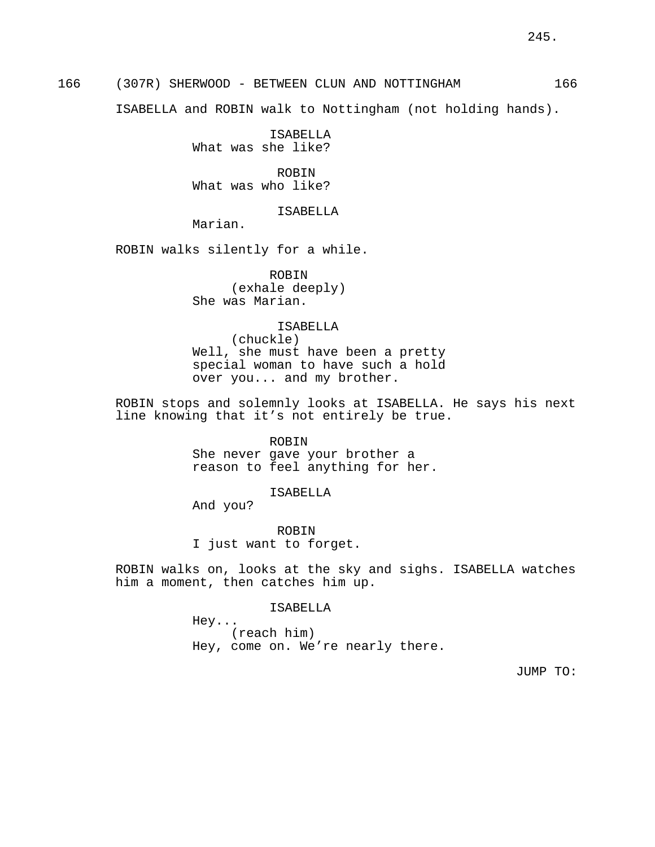ISABELLA and ROBIN walk to Nottingham (not holding hands).

ISABELLA What was she like?

ROBIN What was who like?

ISABELLA

Marian.

ROBIN walks silently for a while.

ROBIN (exhale deeply) She was Marian.

#### ISABELLA

(chuckle) Well, she must have been a pretty special woman to have such a hold over you... and my brother.

ROBIN stops and solemnly looks at ISABELLA. He says his next line knowing that it's not entirely be true.

> ROBIN She never gave your brother a reason to feel anything for her.

> > ISABELLA

And you?

ROBIN I just want to forget.

ROBIN walks on, looks at the sky and sighs. ISABELLA watches him a moment, then catches him up.

ISABELLA

Hey... (reach him) Hey, come on. We're nearly there.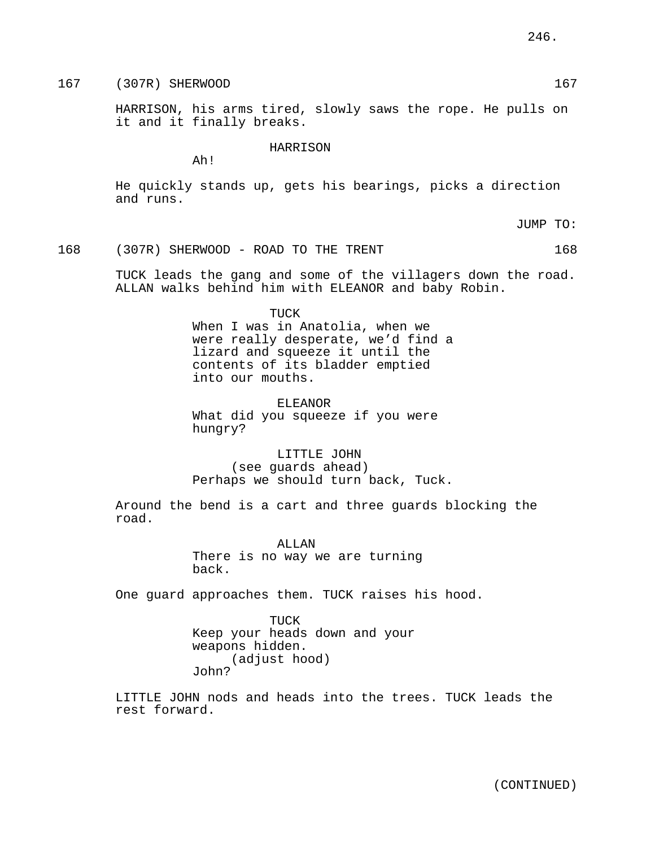167 (307R) SHERWOOD 167 (307R) SHERWOOD

HARRISON, his arms tired, slowly saws the rope. He pulls on it and it finally breaks.

HARRISON

Ah!

He quickly stands up, gets his bearings, picks a direction and runs.

JUMP TO:

168 (307R) SHERWOOD - ROAD TO THE TRENT 168

TUCK leads the gang and some of the villagers down the road. ALLAN walks behind him with ELEANOR and baby Robin.

TUCK

When I was in Anatolia, when we were really desperate, we'd find a lizard and squeeze it until the contents of its bladder emptied into our mouths.

ELEANOR What did you squeeze if you were hungry?

LITTLE JOHN (see guards ahead) Perhaps we should turn back, Tuck.

Around the bend is a cart and three guards blocking the road.

> ALLAN There is no way we are turning back.

One guard approaches them. TUCK raises his hood.

TUCK Keep your heads down and your weapons hidden. (adjust hood) John?

LITTLE JOHN nods and heads into the trees. TUCK leads the rest forward.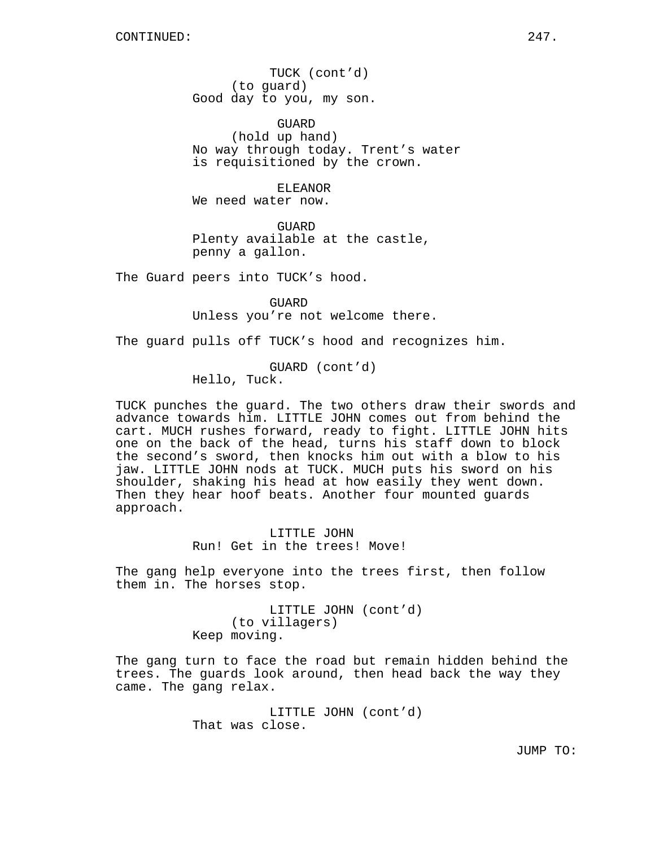TUCK (cont'd) (to guard) Good day to you, my son.

GUARD (hold up hand) No way through today. Trent's water is requisitioned by the crown.

ELEANOR We need water now.

**GUARD** Plenty available at the castle, penny a gallon.

The Guard peers into TUCK's hood.

**GUARD** Unless you're not welcome there.

The guard pulls off TUCK's hood and recognizes him.

GUARD (cont'd) Hello, Tuck.

TUCK punches the guard. The two others draw their swords and advance towards him. LITTLE JOHN comes out from behind the cart. MUCH rushes forward, ready to fight. LITTLE JOHN hits one on the back of the head, turns his staff down to block the second's sword, then knocks him out with a blow to his jaw. LITTLE JOHN nods at TUCK. MUCH puts his sword on his shoulder, shaking his head at how easily they went down. Then they hear hoof beats. Another four mounted guards approach.

> LITTLE JOHN Run! Get in the trees! Move!

The gang help everyone into the trees first, then follow them in. The horses stop.

> LITTLE JOHN (cont'd) (to villagers) Keep moving.

The gang turn to face the road but remain hidden behind the trees. The guards look around, then head back the way they came. The gang relax.

> LITTLE JOHN (cont'd) That was close.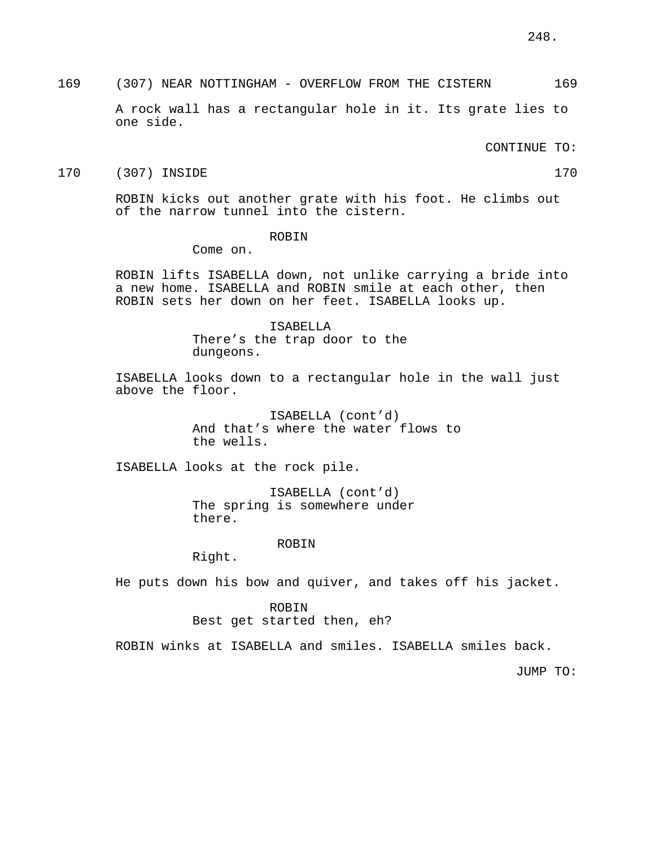169 (307) NEAR NOTTINGHAM - OVERFLOW FROM THE CISTERN 169

A rock wall has a rectangular hole in it. Its grate lies to one side.

CONTINUE TO:

#### 170 (307) INSIDE 170

ROBIN kicks out another grate with his foot. He climbs out of the narrow tunnel into the cistern.

#### ROBIN

Come on.

ROBIN lifts ISABELLA down, not unlike carrying a bride into a new home. ISABELLA and ROBIN smile at each other, then ROBIN sets her down on her feet. ISABELLA looks up.

#### ISABELLA

There's the trap door to the dungeons.

ISABELLA looks down to a rectangular hole in the wall just above the floor.

> ISABELLA (cont'd) And that's where the water flows to the wells.

ISABELLA looks at the rock pile.

ISABELLA (cont'd) The spring is somewhere under there.

#### ROBIN

Right.

He puts down his bow and quiver, and takes off his jacket.

#### ROBIN

Best get started then, eh?

ROBIN winks at ISABELLA and smiles. ISABELLA smiles back.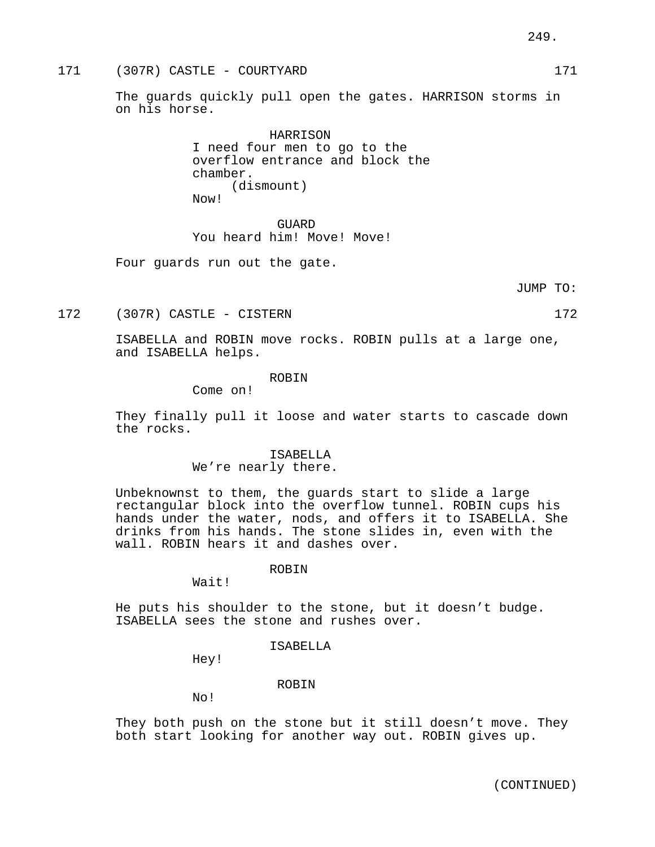The guards quickly pull open the gates. HARRISON storms in on his horse.

> HARRISON I need four men to go to the overflow entrance and block the chamber. (dismount) Now!

GUARD You heard him! Move! Move!

Four guards run out the gate.

JUMP TO:

172 (307R) CASTLE - CISTERN 172

ISABELLA and ROBIN move rocks. ROBIN pulls at a large one, and ISABELLA helps.

#### ROBIN

Come on!

They finally pull it loose and water starts to cascade down the rocks.

#### ISABELLA

We're nearly there.

Unbeknownst to them, the guards start to slide a large rectangular block into the overflow tunnel. ROBIN cups his hands under the water, nods, and offers it to ISABELLA. She drinks from his hands. The stone slides in, even with the wall. ROBIN hears it and dashes over.

#### ROBIN

Wait!

He puts his shoulder to the stone, but it doesn't budge. ISABELLA sees the stone and rushes over.

## ISABELLA

Hey!

#### ROBIN

No!

They both push on the stone but it still doesn't move. They both start looking for another way out. ROBIN gives up.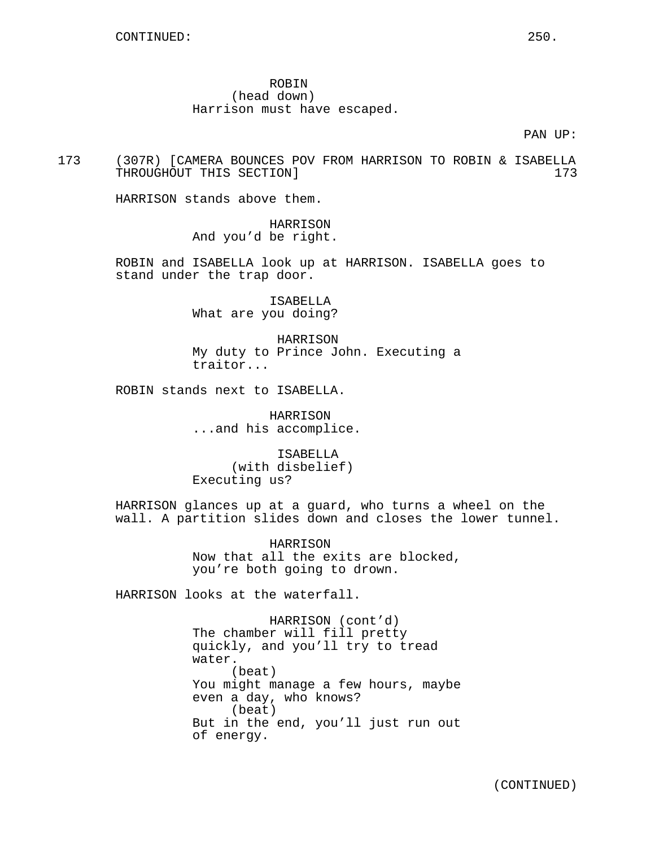## ROBIN (head down) Harrison must have escaped.

PAN UP:

173 (307R) [CAMERA BOUNCES POV FROM HARRISON TO ROBIN & ISABELLA THROUGHOUT THIS SECTION 1 2008 12:30 173

HARRISON stands above them.

HARRISON And you'd be right.

ROBIN and ISABELLA look up at HARRISON. ISABELLA goes to stand under the trap door.

> ISABELLA What are you doing?

HARRISON My duty to Prince John. Executing a traitor...

ROBIN stands next to ISABELLA.

HARRISON ...and his accomplice.

ISABELLA (with disbelief) Executing us?

HARRISON glances up at a guard, who turns a wheel on the wall. A partition slides down and closes the lower tunnel.

> HARRISON Now that all the exits are blocked, you're both going to drown.

HARRISON looks at the waterfall.

HARRISON (cont'd) The chamber will fill pretty quickly, and you'll try to tread water. (beat) You might manage a few hours, maybe even a day, who knows? (beat) But in the end, you'll just run out of energy.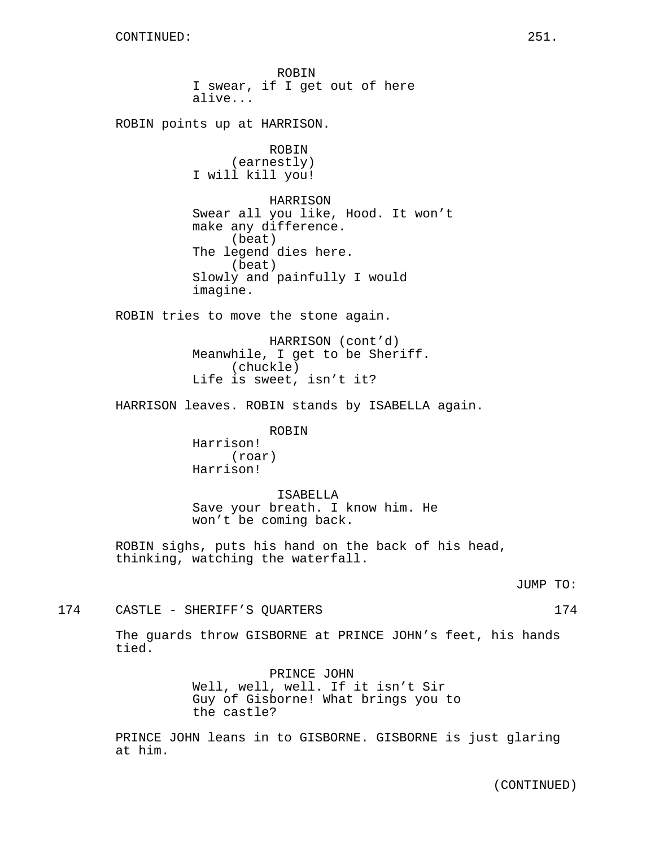ROBIN I swear, if I get out of here alive... ROBIN points up at HARRISON. ROBIN (earnestly) I will kill you! HARRISON Swear all you like, Hood. It won't make any difference. (beat) The legend dies here. (beat) Slowly and painfully I would imagine. ROBIN tries to move the stone again. HARRISON (cont'd) Meanwhile, I get to be Sheriff. (chuckle) Life is sweet, isn't it? HARRISON leaves. ROBIN stands by ISABELLA again. ROBIN Harrison! (roar) Harrison! ISABELLA Save your breath. I know him. He won't be coming back. ROBIN sighs, puts his hand on the back of his head, thinking, watching the waterfall. JUMP TO: 174 CASTLE - SHERIFF'S QUARTERS 174 The guards throw GISBORNE at PRINCE JOHN's feet, his hands tied. PRINCE JOHN Well, well, well. If it isn't Sir Guy of Gisborne! What brings you to

> PRINCE JOHN leans in to GISBORNE. GISBORNE is just glaring at him.

the castle?

(CONTINUED)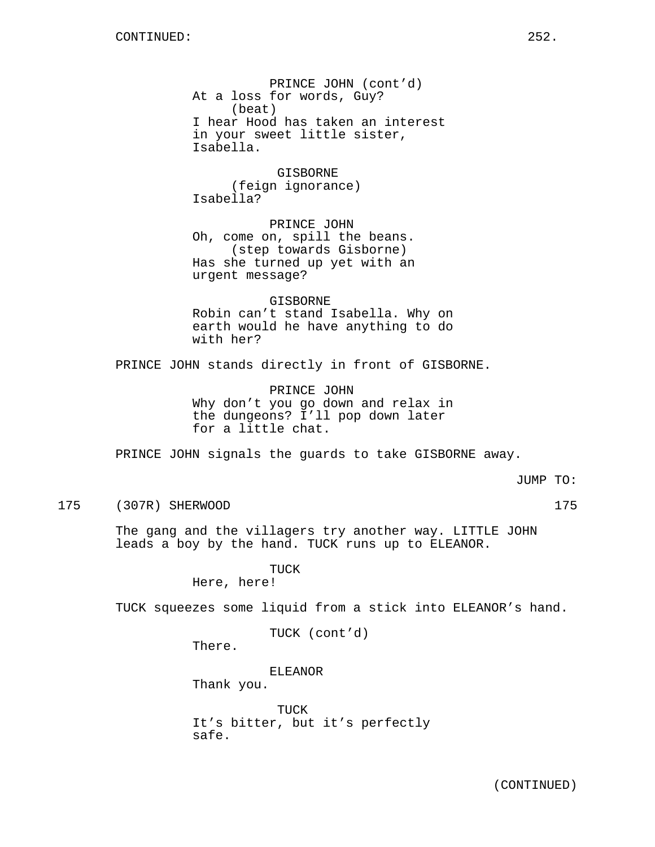PRINCE JOHN (cont'd) At a loss for words, Guy? (beat) I hear Hood has taken an interest in your sweet little sister, Isabella.

GISBORNE (feign ignorance) Isabella?

PRINCE JOHN Oh, come on, spill the beans. (step towards Gisborne) Has she turned up yet with an urgent message?

GISBORNE Robin can't stand Isabella. Why on earth would he have anything to do with her?

PRINCE JOHN stands directly in front of GISBORNE.

PRINCE JOHN Why don't you go down and relax in the dungeons? I'll pop down later for a little chat.

PRINCE JOHN signals the guards to take GISBORNE away.

JUMP TO:

#### 175 (307R) SHERWOOD 175

The gang and the villagers try another way. LITTLE JOHN leads a boy by the hand. TUCK runs up to ELEANOR.

> TUCK Here, here!

TUCK squeezes some liquid from a stick into ELEANOR's hand.

TUCK (cont'd)

There.

ELEANOR Thank you.

TUCK It's bitter, but it's perfectly safe.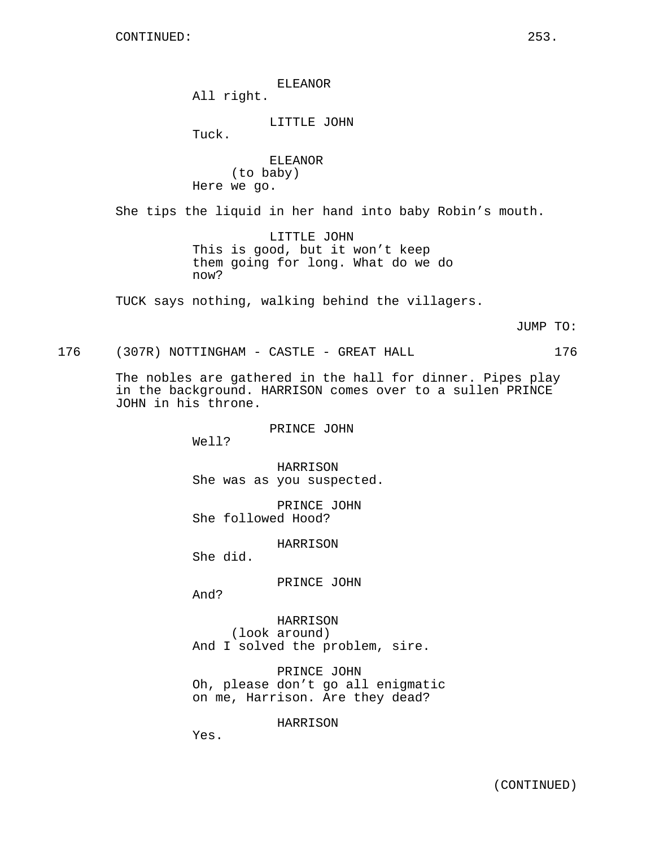ELEANOR

All right.

LITTLE JOHN

Tuck.

ELEANOR (to baby) Here we go.

She tips the liquid in her hand into baby Robin's mouth.

LITTLE JOHN This is good, but it won't keep them going for long. What do we do now?

TUCK says nothing, walking behind the villagers.

JUMP TO:

176 (307R) NOTTINGHAM - CASTLE - GREAT HALL 176

The nobles are gathered in the hall for dinner. Pipes play in the background. HARRISON comes over to a sullen PRINCE JOHN in his throne.

PRINCE JOHN

Well?

HARRISON She was as you suspected.

PRINCE JOHN She followed Hood?

HARRISON

She did.

PRINCE JOHN

And?

HARRISON (look around) And I solved the problem, sire.

PRINCE JOHN Oh, please don't go all enigmatic on me, Harrison. Are they dead?

HARRISON

Yes.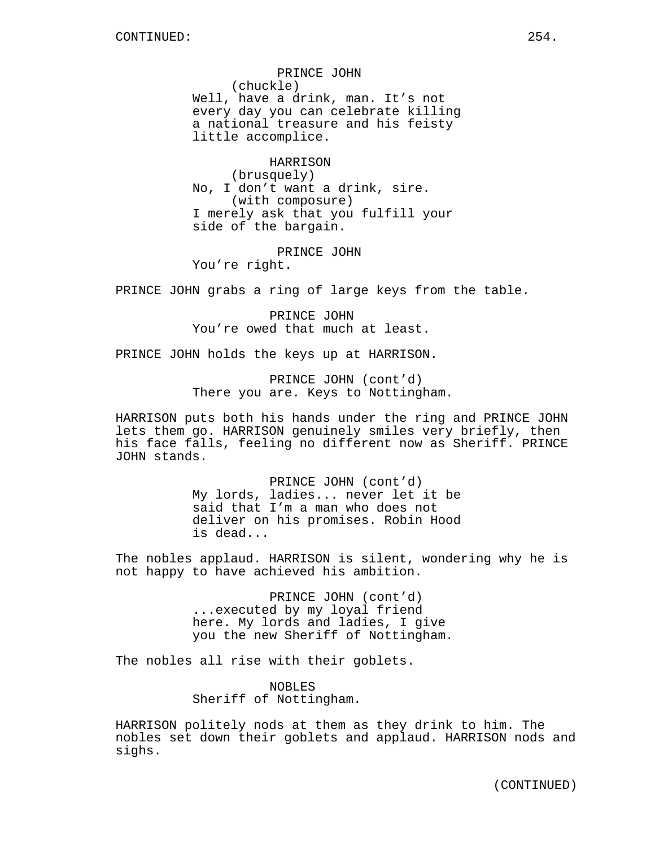PRINCE JOHN (chuckle) Well, have a drink, man. It's not every day you can celebrate killing a national treasure and his feisty little accomplice.

HARRISON (brusquely) No, I don't want a drink, sire. (with composure) I merely ask that you fulfill your side of the bargain.

PRINCE JOHN

You're right.

PRINCE JOHN grabs a ring of large keys from the table.

PRINCE JOHN You're owed that much at least.

PRINCE JOHN holds the keys up at HARRISON.

PRINCE JOHN (cont'd) There you are. Keys to Nottingham.

HARRISON puts both his hands under the ring and PRINCE JOHN lets them go. HARRISON genuinely smiles very briefly, then his face falls, feeling no different now as Sheriff. PRINCE JOHN stands.

> PRINCE JOHN (cont'd) My lords, ladies... never let it be said that I'm a man who does not deliver on his promises. Robin Hood is dead...

The nobles applaud. HARRISON is silent, wondering why he is not happy to have achieved his ambition.

> PRINCE JOHN (cont'd) ...executed by my loyal friend here. My lords and ladies, I give you the new Sheriff of Nottingham.

The nobles all rise with their goblets.

NOBLES Sheriff of Nottingham.

HARRISON politely nods at them as they drink to him. The nobles set down their goblets and applaud. HARRISON nods and sighs.

(CONTINUED)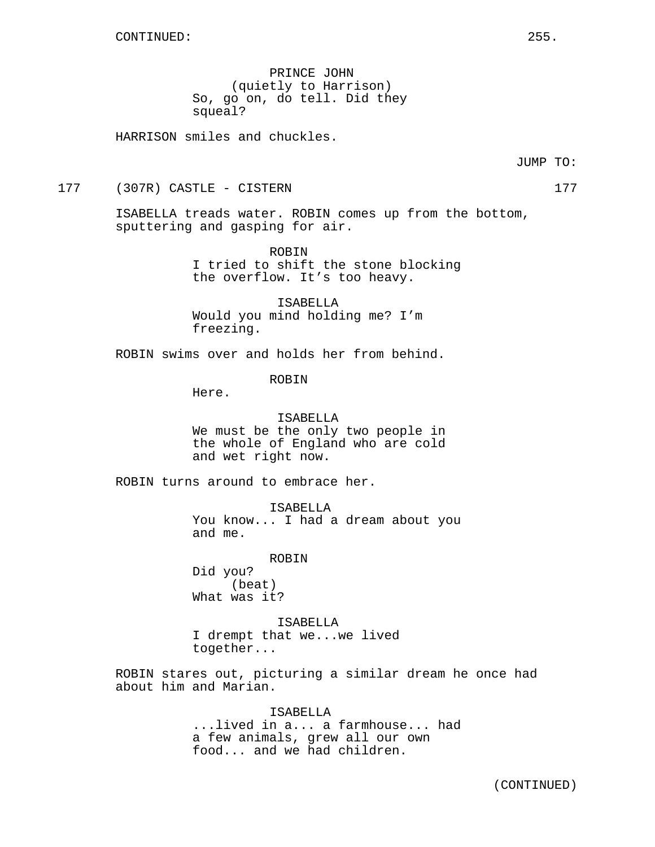PRINCE JOHN (quietly to Harrison) So, go on, do tell. Did they squeal?

HARRISON smiles and chuckles.

177 (307R) CASTLE - CISTERN 177

ISABELLA treads water. ROBIN comes up from the bottom, sputtering and gasping for air.

> ROBIN I tried to shift the stone blocking the overflow. It's too heavy.

ISABELLA Would you mind holding me? I'm freezing.

ROBIN swims over and holds her from behind.

ROBIN

Here.

ISABELLA We must be the only two people in the whole of England who are cold and wet right now.

ROBIN turns around to embrace her.

ISABELLA You know... I had a dream about you and me.

ROBIN Did you? (beat) What was it?

ISABELLA I drempt that we...we lived together...

ROBIN stares out, picturing a similar dream he once had about him and Marian.

> ISABELLA ...lived in a... a farmhouse... had a few animals, grew all our own food... and we had children.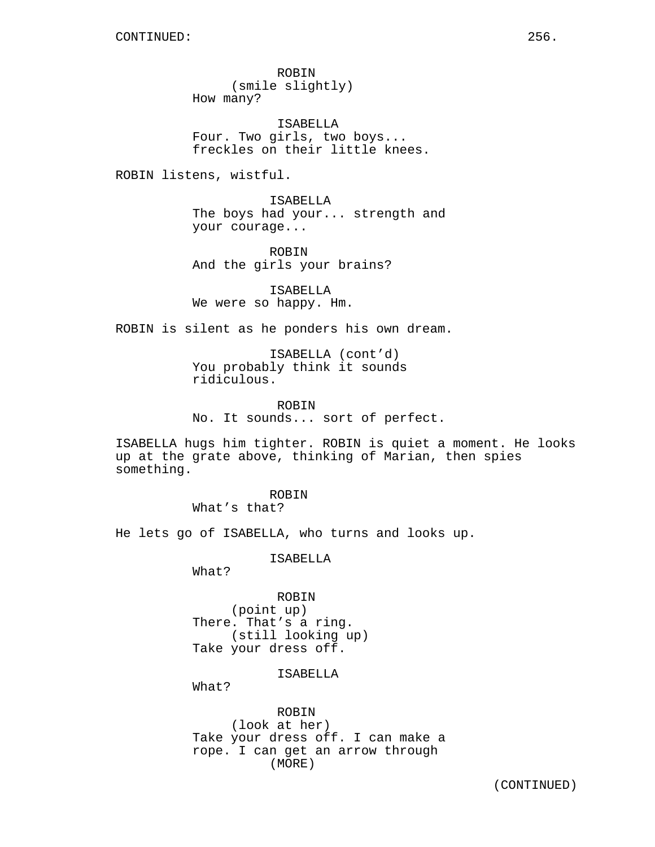ROBIN (smile slightly) How many?

ISABELLA Four. Two girls, two boys... freckles on their little knees.

ROBIN listens, wistful.

ISABELLA The boys had your... strength and your courage...

ROBIN And the girls your brains?

ISABELLA We were so happy. Hm.

ROBIN is silent as he ponders his own dream.

ISABELLA (cont'd) You probably think it sounds ridiculous.

ROBIN No. It sounds... sort of perfect.

ISABELLA hugs him tighter. ROBIN is quiet a moment. He looks up at the grate above, thinking of Marian, then spies something.

> ROBIN What's that?

He lets go of ISABELLA, who turns and looks up.

ISABELLA

What?

ROBIN (point up) There. That's a ring. (still looking up) Take your dress off.

ISABELLA

What?

ROBIN (look at her) Take your dress off. I can make a rope. I can get an arrow through (MORE)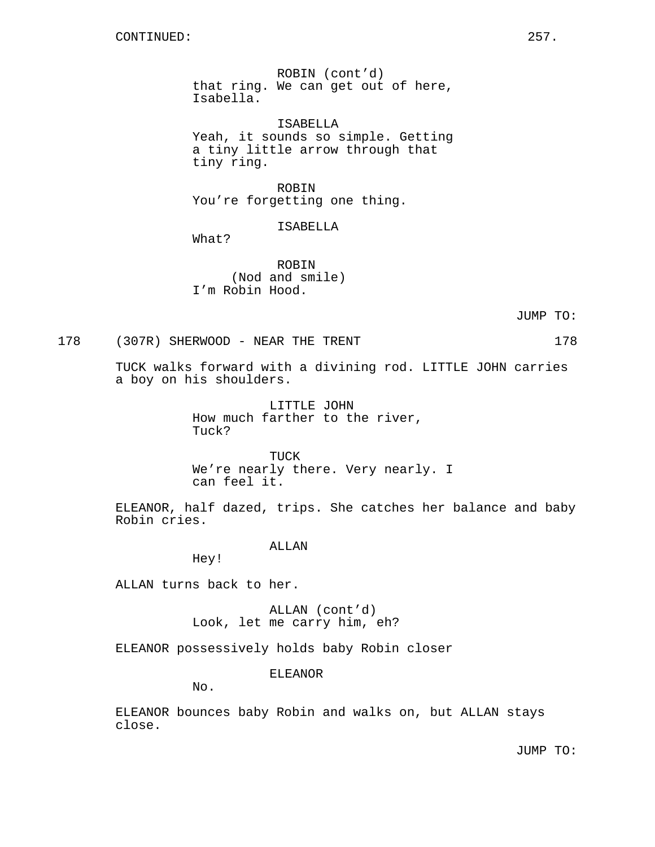ROBIN (cont'd) that ring. We can get out of here, Isabella.

ISABELLA Yeah, it sounds so simple. Getting a tiny little arrow through that tiny ring.

ROBIN You're forgetting one thing.

ISABELLA

What?

ROBIN (Nod and smile) I'm Robin Hood.

JUMP TO:

## 178 (307R) SHERWOOD - NEAR THE TRENT 178

TUCK walks forward with a divining rod. LITTLE JOHN carries a boy on his shoulders.

> LITTLE JOHN How much farther to the river, Tuck?

TUCK We're nearly there. Very nearly. I can feel it.

ELEANOR, half dazed, trips. She catches her balance and baby Robin cries.

# ALLAN

Hey!

ALLAN turns back to her.

ALLAN (cont'd) Look, let me carry him, eh?

ELEANOR possessively holds baby Robin closer

ELEANOR

No.

ELEANOR bounces baby Robin and walks on, but ALLAN stays close.

JUMP TO: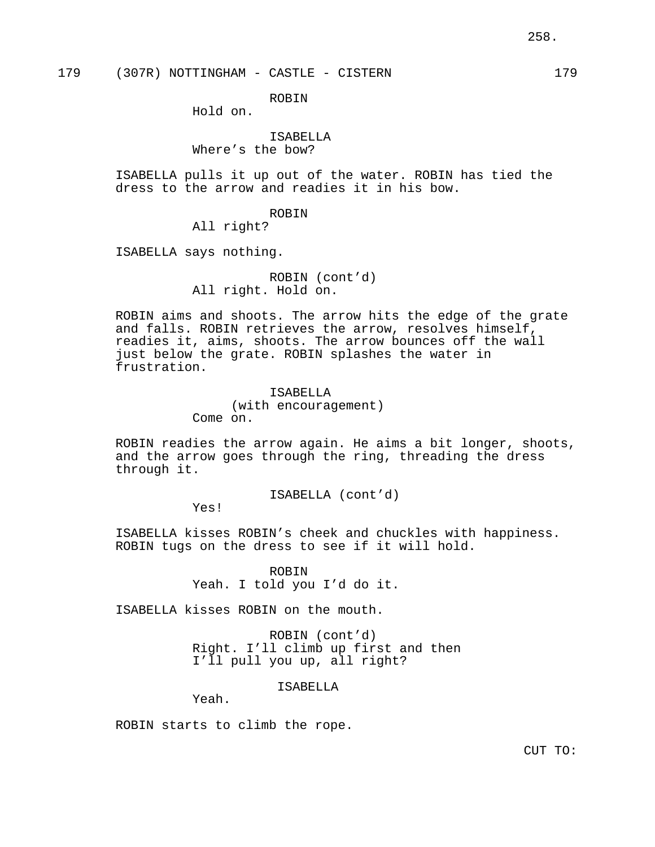ROBIN

Hold on.

# ISABELLA

Where's the bow?

ISABELLA pulls it up out of the water. ROBIN has tied the dress to the arrow and readies it in his bow.

#### ROBIN

All right?

ISABELLA says nothing.

# ROBIN (cont'd) All right. Hold on.

ROBIN aims and shoots. The arrow hits the edge of the grate and falls. ROBIN retrieves the arrow, resolves himself, readies it, aims, shoots. The arrow bounces off the wall just below the grate. ROBIN splashes the water in frustration.

> ISABELLA (with encouragement) Come on.

ROBIN readies the arrow again. He aims a bit longer, shoots, and the arrow goes through the ring, threading the dress through it.

ISABELLA (cont'd)

Yes!

ISABELLA kisses ROBIN's cheek and chuckles with happiness. ROBIN tugs on the dress to see if it will hold.

> ROBIN Yeah. I told you I'd do it.

ISABELLA kisses ROBIN on the mouth.

ROBIN (cont'd) Right. I'll climb up first and then I'll pull you up, all right?

ISABELLA

Yeah.

ROBIN starts to climb the rope.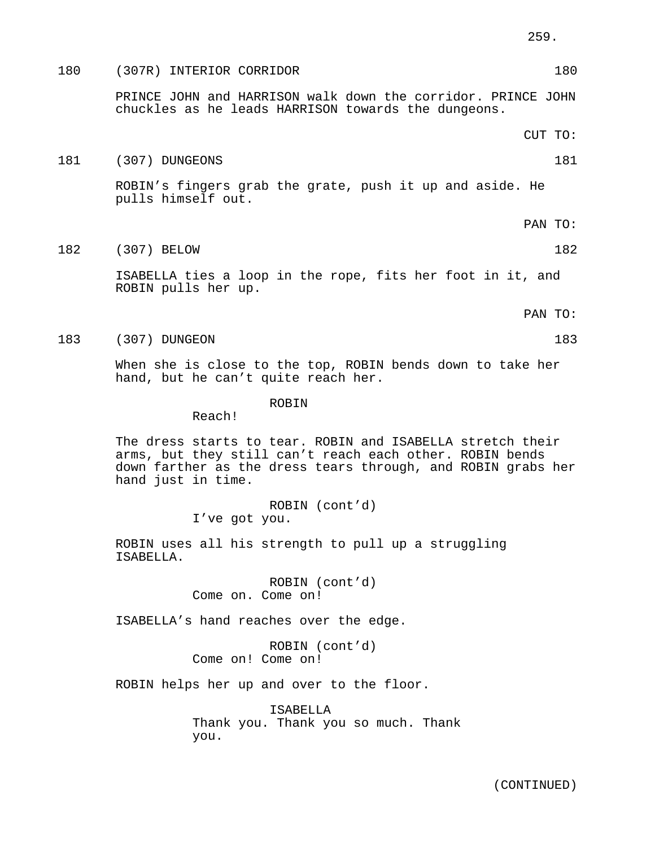# 180 (307R) INTERIOR CORRIDOR 180 PRINCE JOHN and HARRISON walk down the corridor. PRINCE JOHN chuckles as he leads HARRISON towards the dungeons. CUT TO:

# 181 (307) DUNGEONS 181

ROBIN's fingers grab the grate, push it up and aside. He pulls himself out.

- PAN TO:
- 182 (307) BELOW 182

ISABELLA ties a loop in the rope, fits her foot in it, and ROBIN pulls her up.

PAN TO:

183 (307) DUNGEON 183

When she is close to the top, ROBIN bends down to take her hand, but he can't quite reach her.

#### ROBIN

Reach!

The dress starts to tear. ROBIN and ISABELLA stretch their arms, but they still can't reach each other. ROBIN bends down farther as the dress tears through, and ROBIN grabs her hand just in time.

> ROBIN (cont'd) I've got you.

ROBIN uses all his strength to pull up a struggling ISABELLA.

> ROBIN (cont'd) Come on. Come on!

ISABELLA's hand reaches over the edge.

ROBIN (cont'd) Come on! Come on!

ROBIN helps her up and over to the floor.

ISABELLA Thank you. Thank you so much. Thank you.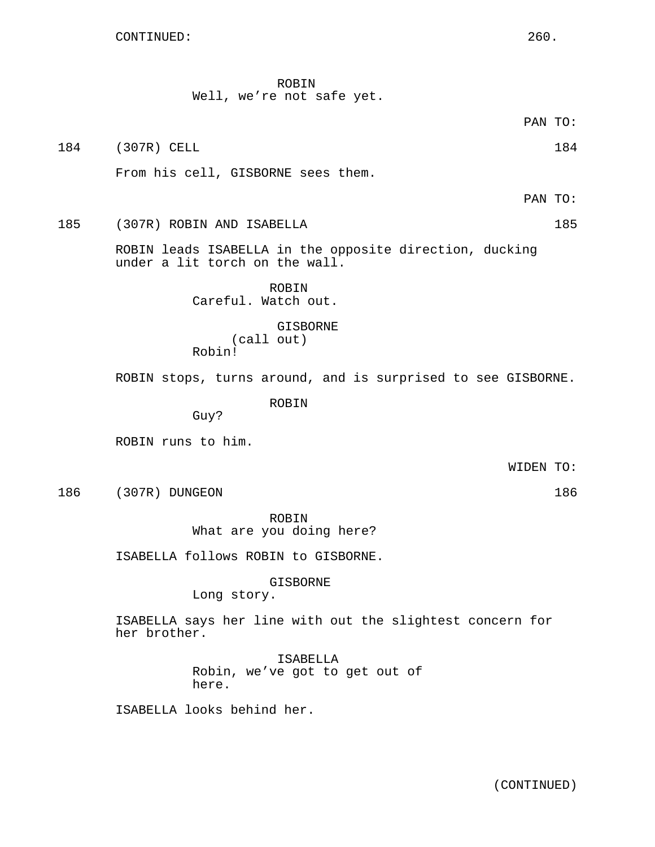Well, we're not safe yet. PAN TO: 184 (307R) CELL 184 (307R) 184 From his cell, GISBORNE sees them. PAN TO: 185 (307R) ROBIN AND ISABELLA 185 ROBIN leads ISABELLA in the opposite direction, ducking under a lit torch on the wall. ROBIN Careful. Watch out. GISBORNE (call out) Robin! ROBIN stops, turns around, and is surprised to see GISBORNE. ROBIN Guy? ROBIN runs to him. WIDEN TO: 186 (307R) DUNGEON 186 ROBIN What are you doing here? ISABELLA follows ROBIN to GISBORNE. GISBORNE Long story. ISABELLA says her line with out the slightest concern for her brother. ISABELLA

ROBIN

Robin, we've got to get out of here.

ISABELLA looks behind her.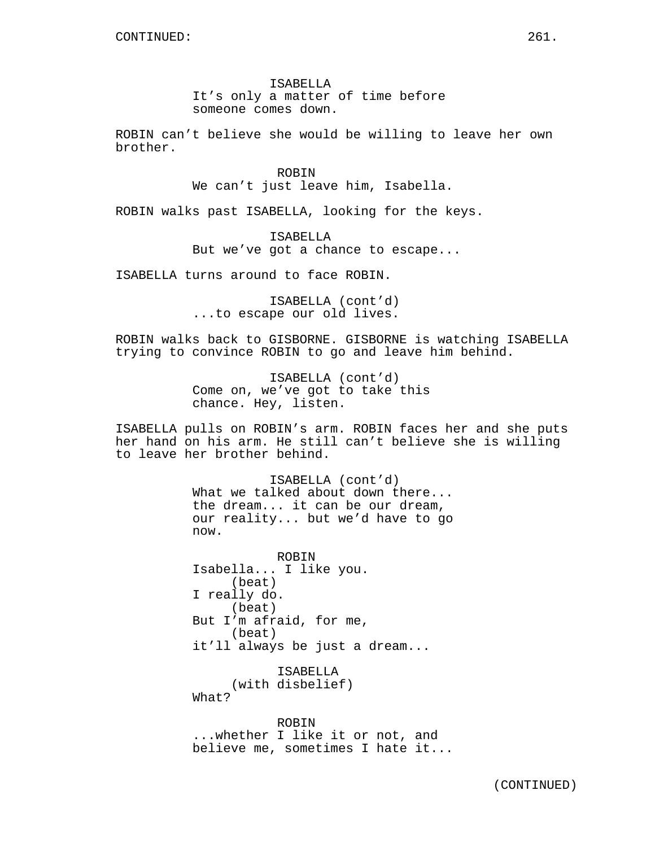ISABELLA It's only a matter of time before someone comes down.

ROBIN can't believe she would be willing to leave her own brother.

> ROBIN We can't just leave him, Isabella.

ROBIN walks past ISABELLA, looking for the keys.

ISABELLA But we've got a chance to escape...

ISABELLA turns around to face ROBIN.

ISABELLA (cont'd) ...to escape our old lives.

ROBIN walks back to GISBORNE. GISBORNE is watching ISABELLA trying to convince ROBIN to go and leave him behind.

> ISABELLA (cont'd) Come on, we've got to take this chance. Hey, listen.

ISABELLA pulls on ROBIN's arm. ROBIN faces her and she puts her hand on his arm. He still can't believe she is willing to leave her brother behind.

> ISABELLA (cont'd) What we talked about down there... the dream... it can be our dream, our reality... but we'd have to go now.

ROBIN Isabella... I like you. (beat) I really do. (beat) But I'm afraid, for me, (beat) it'll always be just a dream...

> ISABELLA (with disbelief)

What?

ROBIN ...whether I like it or not, and believe me, sometimes I hate it...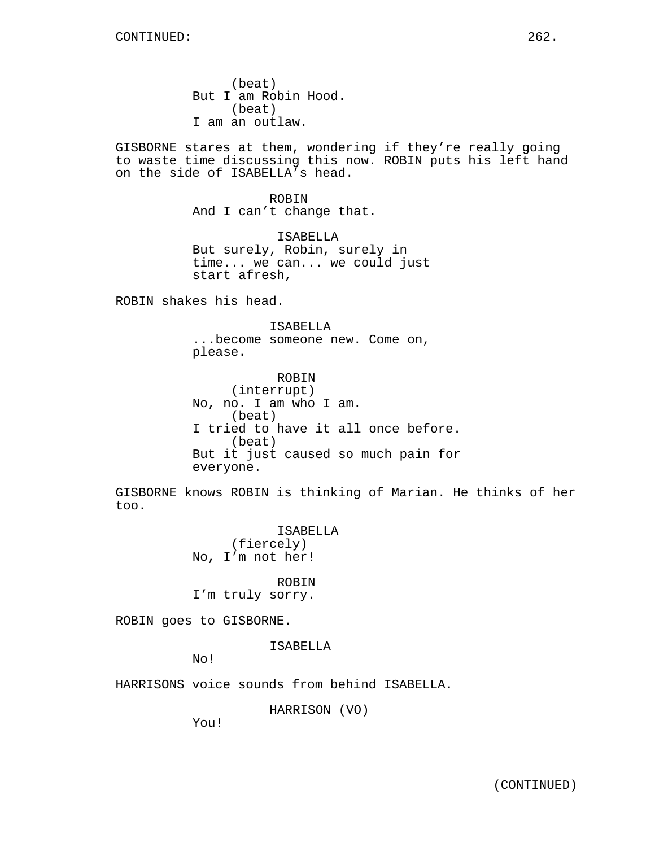(beat) But I am Robin Hood. (beat) I am an outlaw.

GISBORNE stares at them, wondering if they're really going to waste time discussing this now. ROBIN puts his left hand on the side of ISABELLA's head.

> ROBIN And I can't change that.

ISABELLA But surely, Robin, surely in time... we can... we could just start afresh,

ROBIN shakes his head.

ISABELLA ...become someone new. Come on, please.

ROBIN (interrupt) No, no. I am who I am. (beat) I tried to have it all once before. (beat) But it just caused so much pain for everyone.

GISBORNE knows ROBIN is thinking of Marian. He thinks of her too.

> ISABELLA (fiercely) No, I'm not her!

ROBIN I'm truly sorry.

ROBIN goes to GISBORNE.

ISABELLA

No!

HARRISONS voice sounds from behind ISABELLA.

HARRISON (VO)

You!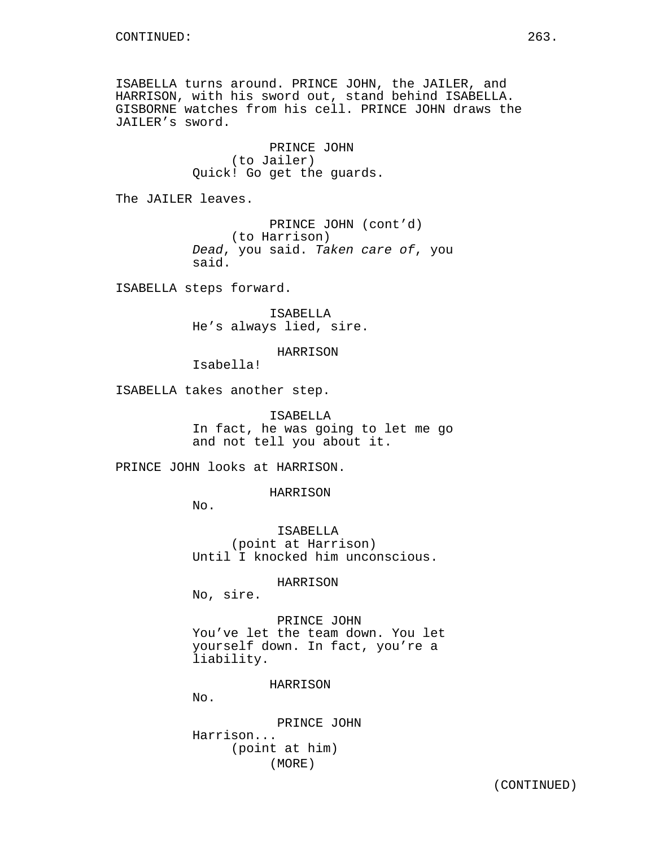ISABELLA turns around. PRINCE JOHN, the JAILER, and HARRISON, with his sword out, stand behind ISABELLA. GISBORNE watches from his cell. PRINCE JOHN draws the JAILER's sword.

> PRINCE JOHN (to Jailer) Quick! Go get the guards.

The JAILER leaves.

PRINCE JOHN (cont'd) (to Harrison) Dead, you said. Taken care of, you said.

ISABELLA steps forward.

ISABELLA He's always lied, sire.

HARRISON

Isabella!

ISABELLA takes another step.

ISABELLA In fact, he was going to let me go and not tell you about it.

PRINCE JOHN looks at HARRISON.

HARRISON

No.

ISABELLA (point at Harrison) Until I knocked him unconscious.

HARRISON

No, sire.

PRINCE JOHN You've let the team down. You let yourself down. In fact, you're a liability.

HARRISON

No.

PRINCE JOHN Harrison... (point at him) (MORE)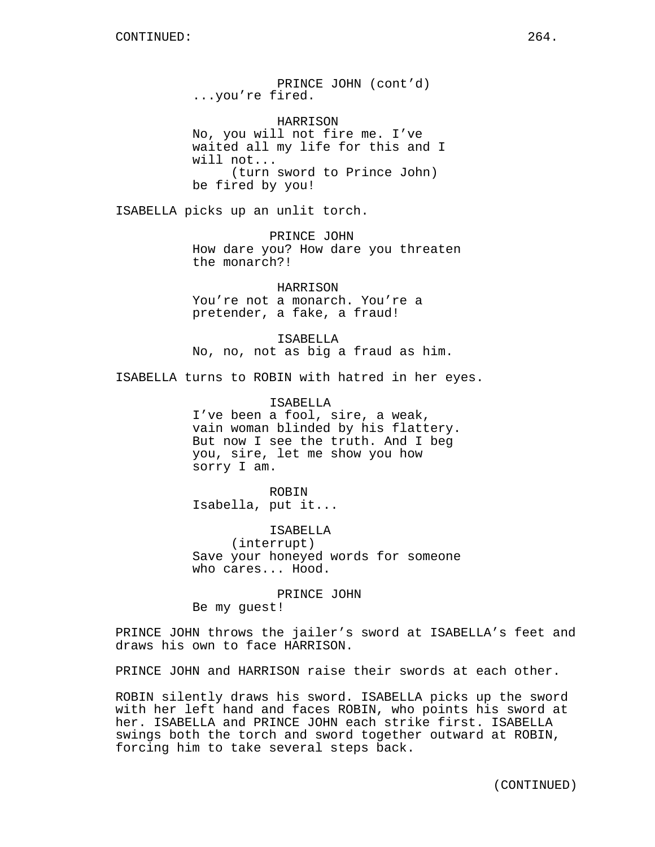PRINCE JOHN (cont'd) ...you're fired.

HARRISON No, you will not fire me. I've waited all my life for this and I will not... (turn sword to Prince John) be fired by you!

ISABELLA picks up an unlit torch.

PRINCE JOHN How dare you? How dare you threaten the monarch?!

HARRISON You're not a monarch. You're a pretender, a fake, a fraud!

ISABELLA No, no, not as big a fraud as him.

ISABELLA turns to ROBIN with hatred in her eyes.

ISABELLA I've been a fool, sire, a weak, vain woman blinded by his flattery. But now I see the truth. And I beg you, sire, let me show you how sorry I am.

ROBIN Isabella, put it...

ISABELLA (interrupt) Save your honeyed words for someone who cares... Hood.

PRINCE JOHN Be my guest!

PRINCE JOHN throws the jailer's sword at ISABELLA's feet and draws his own to face HARRISON.

PRINCE JOHN and HARRISON raise their swords at each other.

ROBIN silently draws his sword. ISABELLA picks up the sword with her left hand and faces ROBIN, who points his sword at her. ISABELLA and PRINCE JOHN each strike first. ISABELLA swings both the torch and sword together outward at ROBIN, forcing him to take several steps back.

(CONTINUED)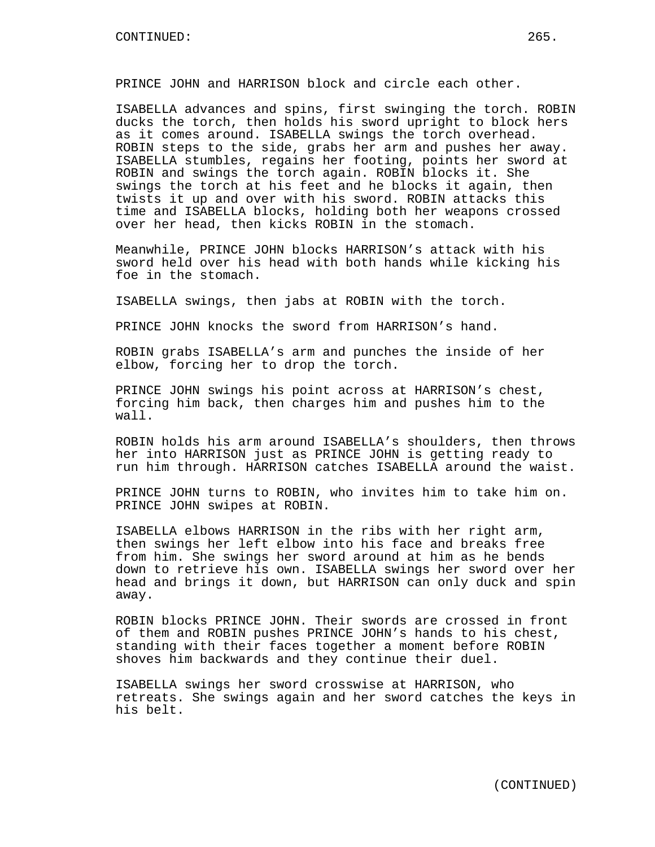PRINCE JOHN and HARRISON block and circle each other.

ISABELLA advances and spins, first swinging the torch. ROBIN ducks the torch, then holds his sword upright to block hers as it comes around. ISABELLA swings the torch overhead. ROBIN steps to the side, grabs her arm and pushes her away. ISABELLA stumbles, regains her footing, points her sword at ROBIN and swings the torch again. ROBIN blocks it. She swings the torch at his feet and he blocks it again, then twists it up and over with his sword. ROBIN attacks this time and ISABELLA blocks, holding both her weapons crossed over her head, then kicks ROBIN in the stomach.

Meanwhile, PRINCE JOHN blocks HARRISON's attack with his sword held over his head with both hands while kicking his foe in the stomach.

ISABELLA swings, then jabs at ROBIN with the torch.

PRINCE JOHN knocks the sword from HARRISON's hand.

ROBIN grabs ISABELLA's arm and punches the inside of her elbow, forcing her to drop the torch.

PRINCE JOHN swings his point across at HARRISON's chest, forcing him back, then charges him and pushes him to the wall.

ROBIN holds his arm around ISABELLA's shoulders, then throws her into HARRISON just as PRINCE JOHN is getting ready to run him through. HARRISON catches ISABELLA around the waist.

PRINCE JOHN turns to ROBIN, who invites him to take him on. PRINCE JOHN swipes at ROBIN.

ISABELLA elbows HARRISON in the ribs with her right arm, then swings her left elbow into his face and breaks free from him. She swings her sword around at him as he bends down to retrieve his own. ISABELLA swings her sword over her head and brings it down, but HARRISON can only duck and spin away.

ROBIN blocks PRINCE JOHN. Their swords are crossed in front of them and ROBIN pushes PRINCE JOHN's hands to his chest, standing with their faces together a moment before ROBIN shoves him backwards and they continue their duel.

ISABELLA swings her sword crosswise at HARRISON, who retreats. She swings again and her sword catches the keys in his belt.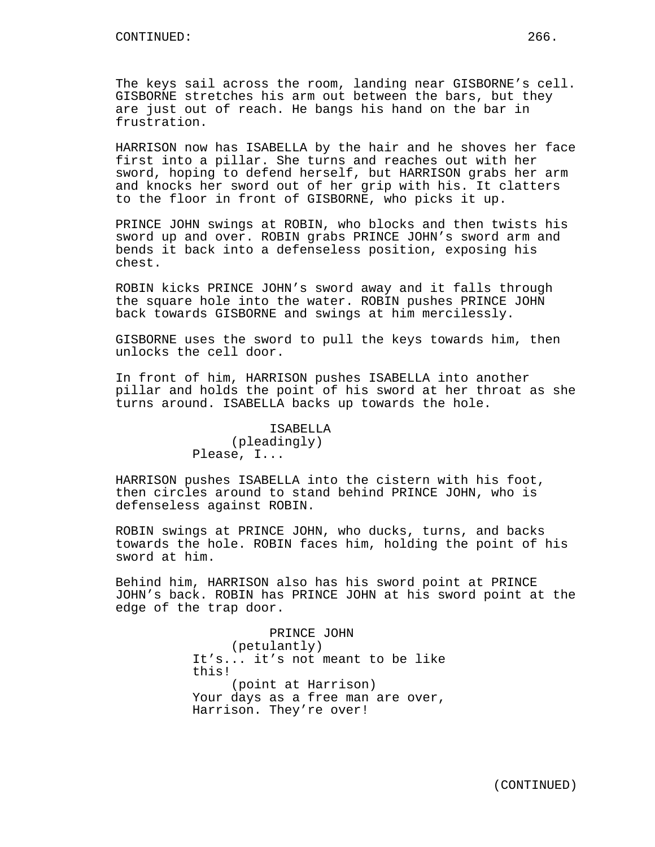The keys sail across the room, landing near GISBORNE's cell. GISBORNE stretches his arm out between the bars, but they are just out of reach. He bangs his hand on the bar in frustration.

HARRISON now has ISABELLA by the hair and he shoves her face first into a pillar. She turns and reaches out with her sword, hoping to defend herself, but HARRISON grabs her arm and knocks her sword out of her grip with his. It clatters to the floor in front of GISBORNE, who picks it up.

PRINCE JOHN swings at ROBIN, who blocks and then twists his sword up and over. ROBIN grabs PRINCE JOHN's sword arm and bends it back into a defenseless position, exposing his chest.

ROBIN kicks PRINCE JOHN's sword away and it falls through the square hole into the water. ROBIN pushes PRINCE JOHN back towards GISBORNE and swings at him mercilessly.

GISBORNE uses the sword to pull the keys towards him, then unlocks the cell door.

In front of him, HARRISON pushes ISABELLA into another pillar and holds the point of his sword at her throat as she turns around. ISABELLA backs up towards the hole.

## ISABELLA (pleadingly) Please, I...

HARRISON pushes ISABELLA into the cistern with his foot, then circles around to stand behind PRINCE JOHN, who is defenseless against ROBIN.

ROBIN swings at PRINCE JOHN, who ducks, turns, and backs towards the hole. ROBIN faces him, holding the point of his sword at him.

Behind him, HARRISON also has his sword point at PRINCE JOHN's back. ROBIN has PRINCE JOHN at his sword point at the edge of the trap door.

> PRINCE JOHN (petulantly) It's... it's not meant to be like this! (point at Harrison) Your days as a free man are over, Harrison. They're over!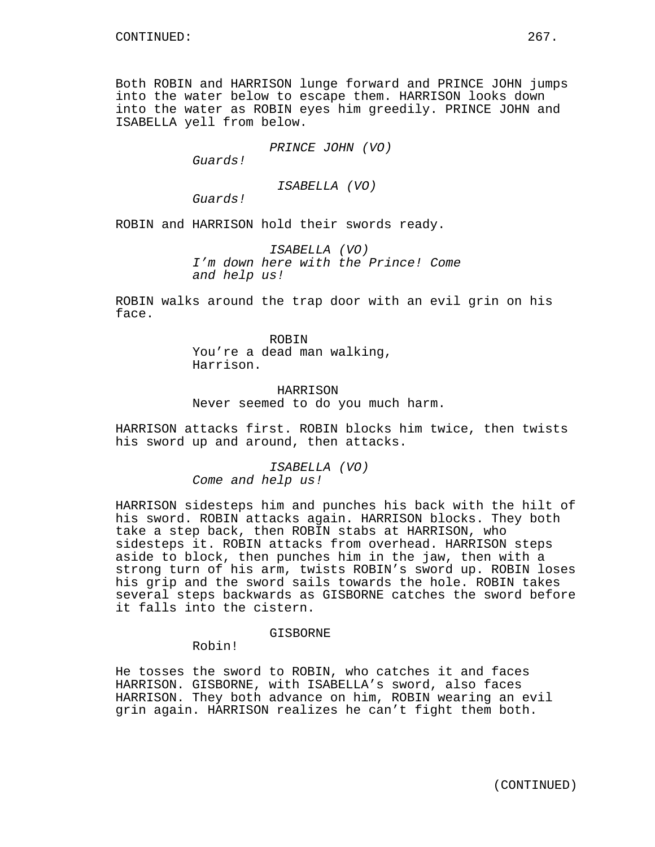Both ROBIN and HARRISON lunge forward and PRINCE JOHN jumps into the water below to escape them. HARRISON looks down into the water as ROBIN eyes him greedily. PRINCE JOHN and ISABELLA yell from below.

PRINCE JOHN (VO)

Guards!

ISABELLA (VO)

Guards!

ROBIN and HARRISON hold their swords ready.

ISABELLA (VO) I'm down here with the Prince! Come and help us!

ROBIN walks around the trap door with an evil grin on his face.

> ROBIN You're a dead man walking, Harrison.

HARRISON Never seemed to do you much harm.

HARRISON attacks first. ROBIN blocks him twice, then twists his sword up and around, then attacks.

> ISABELLA (VO) Come and help us!

HARRISON sidesteps him and punches his back with the hilt of his sword. ROBIN attacks again. HARRISON blocks. They both take a step back, then ROBIN stabs at HARRISON, who sidesteps it. ROBIN attacks from overhead. HARRISON steps aside to block, then punches him in the jaw, then with a strong turn of his arm, twists ROBIN's sword up. ROBIN loses his grip and the sword sails towards the hole. ROBIN takes several steps backwards as GISBORNE catches the sword before it falls into the cistern.

GISBORNE

Robin!

He tosses the sword to ROBIN, who catches it and faces HARRISON. GISBORNE, with ISABELLA's sword, also faces HARRISON. They both advance on him, ROBIN wearing an evil grin again. HARRISON realizes he can't fight them both.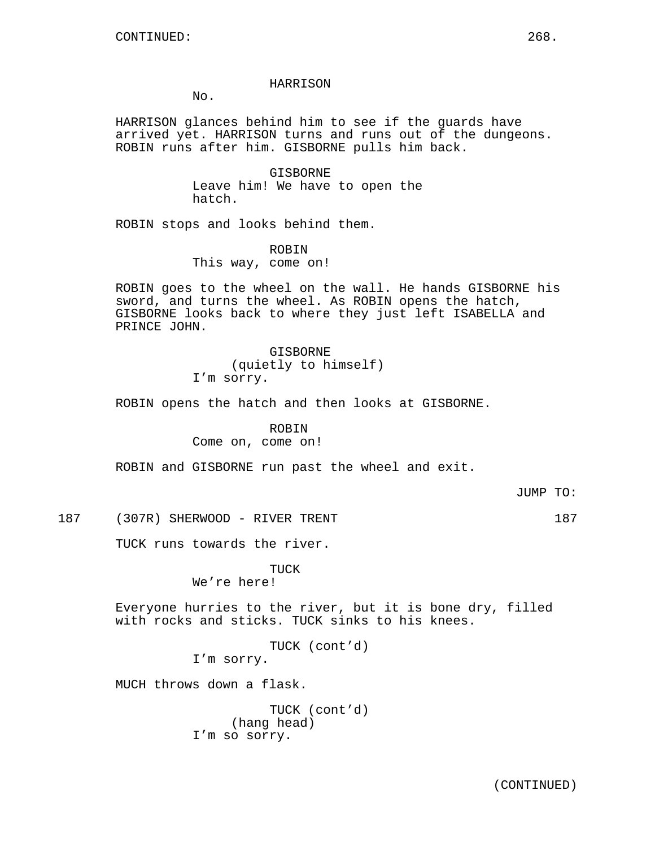### HARRISON

 $No.$ 

HARRISON glances behind him to see if the guards have arrived yet. HARRISON turns and runs out of the dungeons. ROBIN runs after him. GISBORNE pulls him back.

> GISBORNE Leave him! We have to open the hatch.

ROBIN stops and looks behind them.

ROBIN This way, come on!

ROBIN goes to the wheel on the wall. He hands GISBORNE his sword, and turns the wheel. As ROBIN opens the hatch, GISBORNE looks back to where they just left ISABELLA and PRINCE JOHN.

> GISBORNE (quietly to himself) I'm sorry.

ROBIN opens the hatch and then looks at GISBORNE.

#### ROBIN

Come on, come on!

ROBIN and GISBORNE run past the wheel and exit.

JUMP TO:

187 (307R) SHERWOOD - RIVER TRENT 187

TUCK runs towards the river.

TUCK We're here!

Everyone hurries to the river, but it is bone dry, filled with rocks and sticks. TUCK sinks to his knees.

> TUCK (cont'd) I'm sorry.

MUCH throws down a flask.

|  | TUCK (cont'd) |
|--|---------------|
|  | (hang head)   |
|  | I'm so sorry. |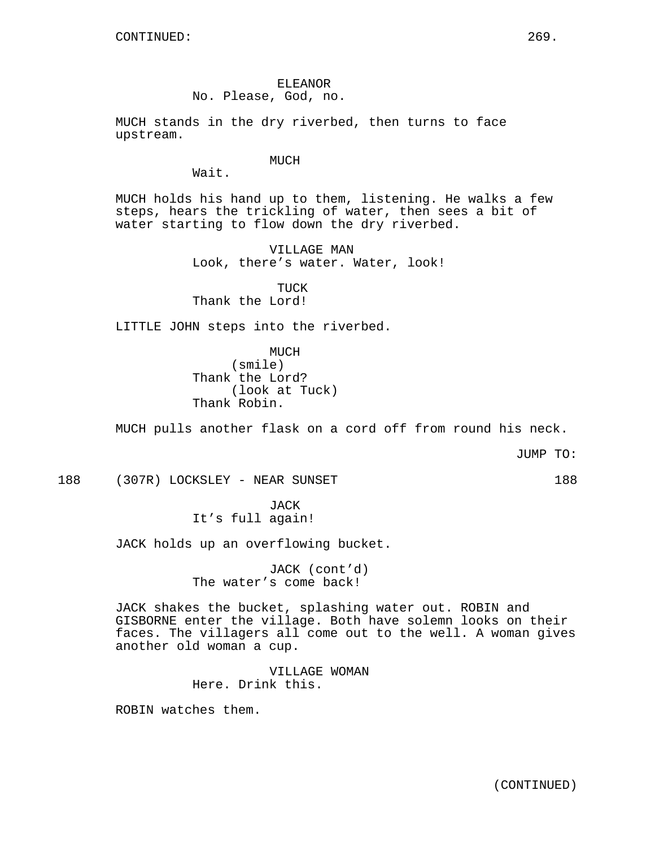ELEANOR No. Please, God, no.

MUCH stands in the dry riverbed, then turns to face upstream.

MUCH

Wait.

MUCH holds his hand up to them, listening. He walks a few steps, hears the trickling of water, then sees a bit of water starting to flow down the dry riverbed.

> VILLAGE MAN Look, there's water. Water, look!

TUCK Thank the Lord!

LITTLE JOHN steps into the riverbed.

MUCH (smile) Thank the Lord? (look at Tuck) Thank Robin.

MUCH pulls another flask on a cord off from round his neck.

JUMP TO:

188 (307R) LOCKSLEY - NEAR SUNSET 188

JACK It's full again!

JACK holds up an overflowing bucket.

JACK (cont'd) The water's come back!

JACK shakes the bucket, splashing water out. ROBIN and GISBORNE enter the village. Both have solemn looks on their faces. The villagers all come out to the well. A woman gives another old woman a cup.

> VILLAGE WOMAN Here. Drink this.

ROBIN watches them.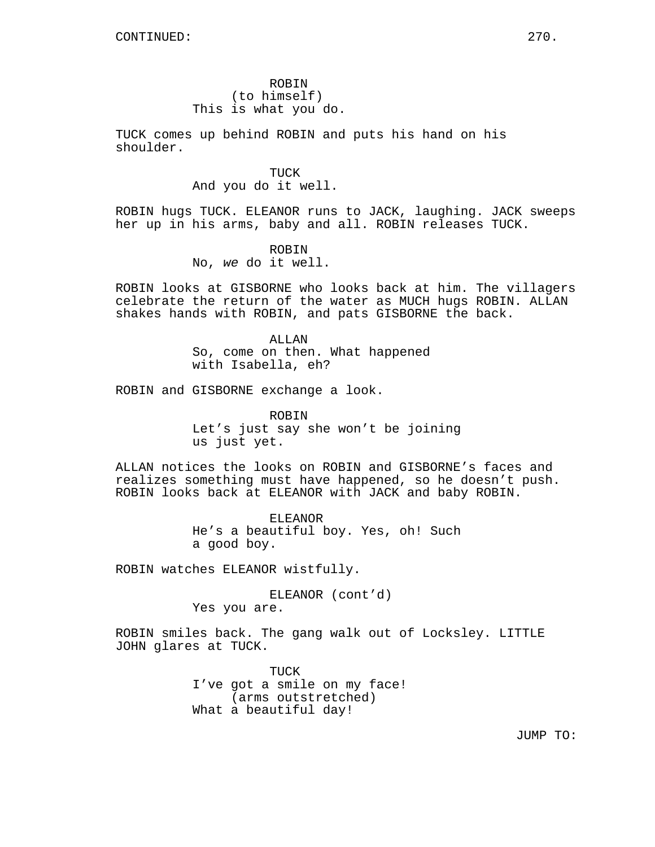ROBIN (to himself) This is what you do.

TUCK comes up behind ROBIN and puts his hand on his shoulder.

> TUCK And you do it well.

ROBIN hugs TUCK. ELEANOR runs to JACK, laughing. JACK sweeps her up in his arms, baby and all. ROBIN releases TUCK.

> ROBIN No, we do it well.

ROBIN looks at GISBORNE who looks back at him. The villagers celebrate the return of the water as MUCH hugs ROBIN. ALLAN shakes hands with ROBIN, and pats GISBORNE the back.

> ALLAN So, come on then. What happened with Isabella, eh?

ROBIN and GISBORNE exchange a look.

ROBIN Let's just say she won't be joining us just yet.

ALLAN notices the looks on ROBIN and GISBORNE's faces and realizes something must have happened, so he doesn't push. ROBIN looks back at ELEANOR with JACK and baby ROBIN.

> ELEANOR He's a beautiful boy. Yes, oh! Such a good boy.

ROBIN watches ELEANOR wistfully.

ELEANOR (cont'd) Yes you are.

ROBIN smiles back. The gang walk out of Locksley. LITTLE JOHN glares at TUCK.

> TUCK I've got a smile on my face! (arms outstretched) What a beautiful day!

> > JUMP TO: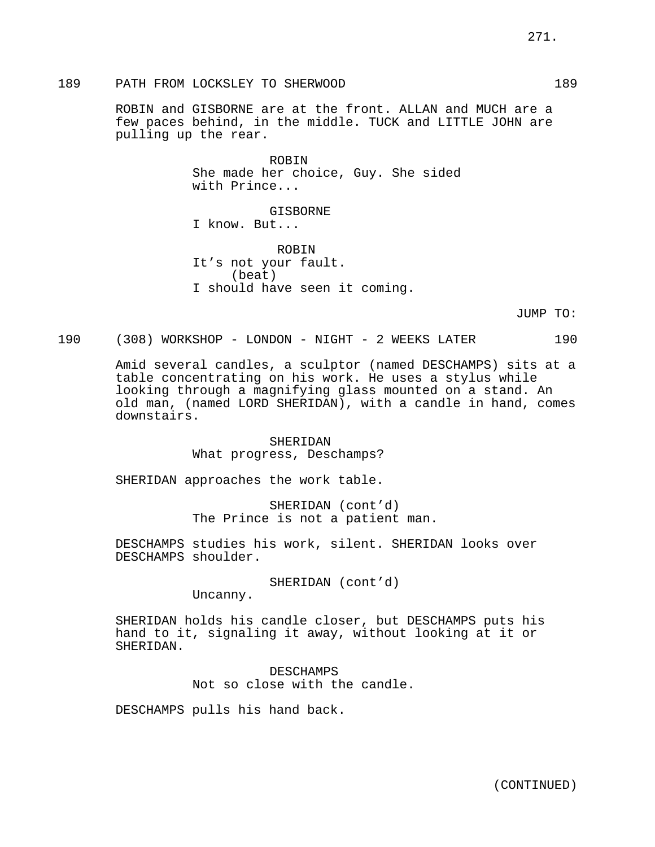189 PATH FROM LOCKSLEY TO SHERWOOD 189 2000 189

ROBIN and GISBORNE are at the front. ALLAN and MUCH are a few paces behind, in the middle. TUCK and LITTLE JOHN are pulling up the rear.

> ROBIN She made her choice, Guy. She sided with Prince...

GISBORNE I know. But...

ROBIN It's not your fault. (beat) I should have seen it coming.

JUMP TO:

190 (308) WORKSHOP - LONDON - NIGHT - 2 WEEKS LATER 190

Amid several candles, a sculptor (named DESCHAMPS) sits at a table concentrating on his work. He uses a stylus while looking through a magnifying glass mounted on a stand. An old man, (named LORD SHERIDAN), with a candle in hand, comes downstairs.

> SHERIDAN What progress, Deschamps?

SHERIDAN approaches the work table.

SHERIDAN (cont'd) The Prince is not a patient man.

DESCHAMPS studies his work, silent. SHERIDAN looks over DESCHAMPS shoulder.

SHERIDAN (cont'd)

Uncanny.

SHERIDAN holds his candle closer, but DESCHAMPS puts his hand to it, signaling it away, without looking at it or SHERIDAN.

> DESCHAMPS Not so close with the candle.

DESCHAMPS pulls his hand back.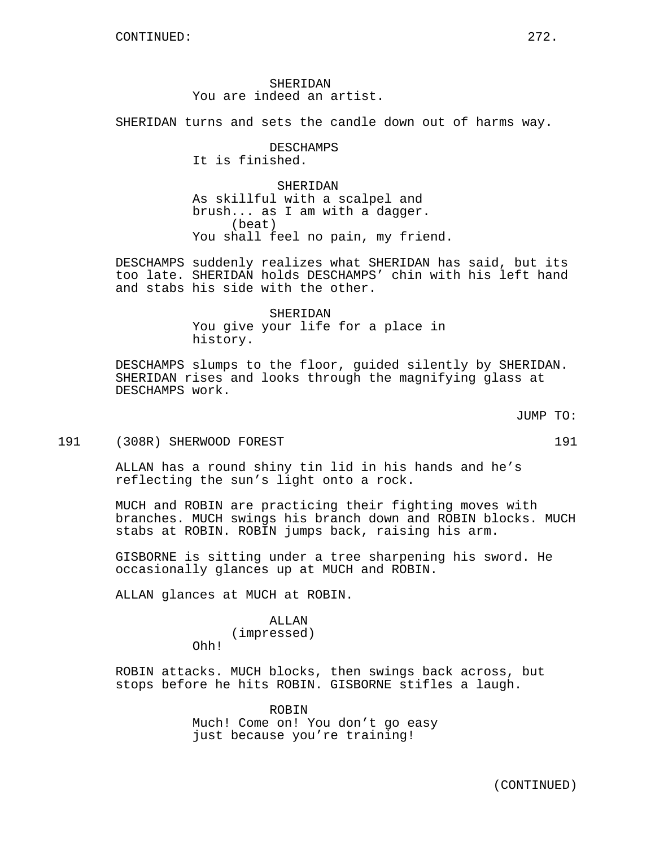SHERIDAN You are indeed an artist.

SHERIDAN turns and sets the candle down out of harms way.

DESCHAMPS It is finished.

SHERIDAN As skillful with a scalpel and brush... as I am with a dagger. (beat) You shall feel no pain, my friend.

DESCHAMPS suddenly realizes what SHERIDAN has said, but its too late. SHERIDAN holds DESCHAMPS' chin with his left hand and stabs his side with the other.

> SHERIDAN You give your life for a place in history.

DESCHAMPS slumps to the floor, guided silently by SHERIDAN. SHERIDAN rises and looks through the magnifying glass at DESCHAMPS work.

JUMP TO:

191 (308R) SHERWOOD FOREST 191

ALLAN has a round shiny tin lid in his hands and he's reflecting the sun's light onto a rock.

MUCH and ROBIN are practicing their fighting moves with branches. MUCH swings his branch down and ROBIN blocks. MUCH stabs at ROBIN. ROBIN jumps back, raising his arm.

GISBORNE is sitting under a tree sharpening his sword. He occasionally glances up at MUCH and ROBIN.

ALLAN glances at MUCH at ROBIN.

# ALLAN

(impressed) Ohh!

ROBIN attacks. MUCH blocks, then swings back across, but stops before he hits ROBIN. GISBORNE stifles a laugh.

> ROBIN Much! Come on! You don't go easy just because you're training!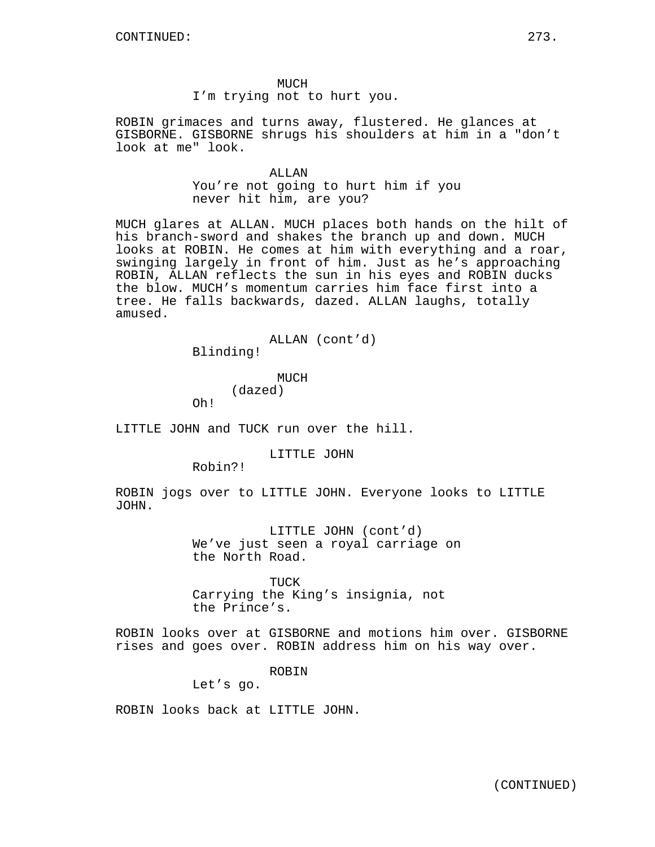MUCH

I'm trying not to hurt you.

ROBIN grimaces and turns away, flustered. He glances at GISBORNE. GISBORNE shrugs his shoulders at him in a "don't look at me" look.

> ALLAN You're not going to hurt him if you

never hit him, are you?

MUCH glares at ALLAN. MUCH places both hands on the hilt of his branch-sword and shakes the branch up and down. MUCH looks at ROBIN. He comes at him with everything and a roar, swinging largely in front of him. Just as he's approaching ROBIN, ALLAN reflects the sun in his eyes and ROBIN ducks the blow. MUCH's momentum carries him face first into a tree. He falls backwards, dazed. ALLAN laughs, totally amused.

ALLAN (cont'd)

Blinding!

MUCH (dazed)

Oh!

LITTLE JOHN and TUCK run over the hill.

LITTLE JOHN

Robin?!

ROBIN jogs over to LITTLE JOHN. Everyone looks to LITTLE JOHN.

> LITTLE JOHN (cont'd) We've just seen a royal carriage on the North Road.

TUCK Carrying the King's insignia, not the Prince's.

ROBIN looks over at GISBORNE and motions him over. GISBORNE rises and goes over. ROBIN address him on his way over.

ROBIN

Let's go.

ROBIN looks back at LITTLE JOHN.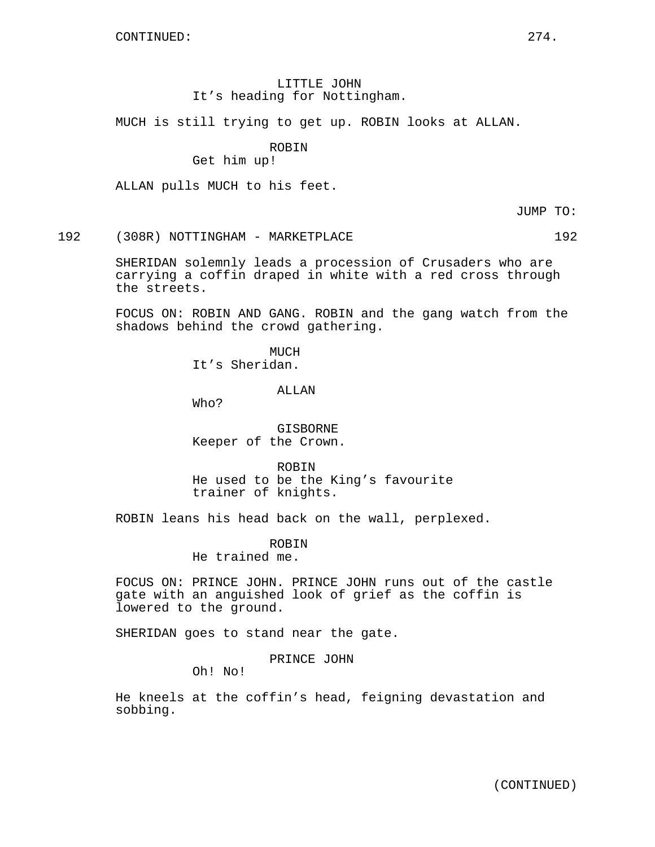# LITTLE JOHN It's heading for Nottingham.

MUCH is still trying to get up. ROBIN looks at ALLAN.

## ROBIN

# Get him up!

ALLAN pulls MUCH to his feet.

JUMP TO:

192 (308R) NOTTINGHAM - MARKETPLACE 192

SHERIDAN solemnly leads a procession of Crusaders who are carrying a coffin draped in white with a red cross through the streets.

FOCUS ON: ROBIN AND GANG. ROBIN and the gang watch from the shadows behind the crowd gathering.

> MUCH It's Sheridan.

> > ALLAN

Who?

GISBORNE Keeper of the Crown.

ROBIN He used to be the King's favourite trainer of knights.

ROBIN leans his head back on the wall, perplexed.

ROBIN

He trained me.

FOCUS ON: PRINCE JOHN. PRINCE JOHN runs out of the castle gate with an anguished look of grief as the coffin is lowered to the ground.

SHERIDAN goes to stand near the gate.

PRINCE JOHN

Oh! No!

He kneels at the coffin's head, feigning devastation and sobbing.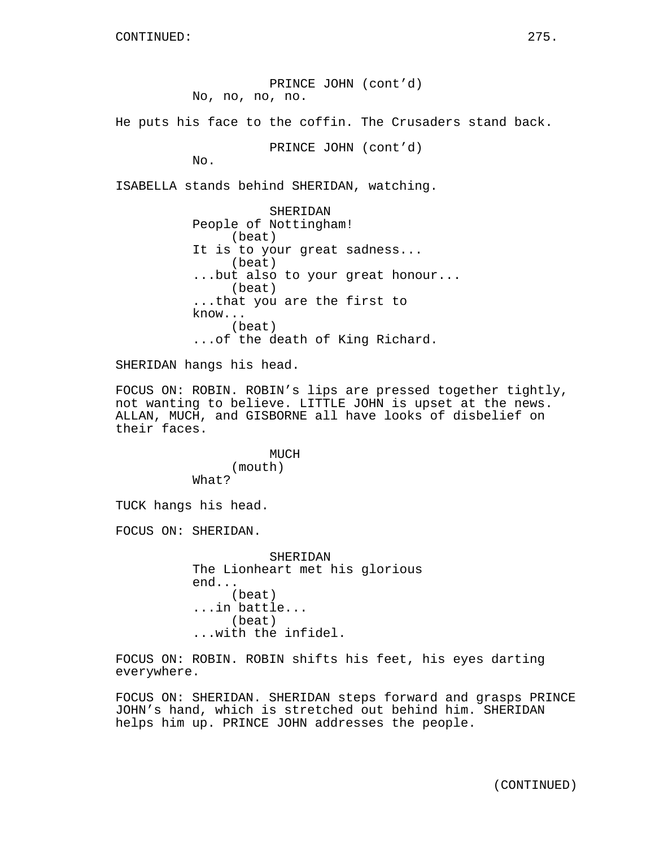PRINCE JOHN (cont'd) No, no, no, no.

He puts his face to the coffin. The Crusaders stand back.

PRINCE JOHN (cont'd)

No.

ISABELLA stands behind SHERIDAN, watching.

SHERIDAN People of Nottingham! (beat) It is to your great sadness... (beat) ...but also to your great honour... (beat) ...that you are the first to know... (beat) ...of the death of King Richard.

SHERIDAN hangs his head.

FOCUS ON: ROBIN. ROBIN's lips are pressed together tightly, not wanting to believe. LITTLE JOHN is upset at the news. ALLAN, MUCH, and GISBORNE all have looks of disbelief on their faces.

> MUCH (mouth) What?

TUCK hangs his head.

FOCUS ON: SHERIDAN.

SHERIDAN The Lionheart met his glorious end... (beat) ...in battle... (beat) ...with the infidel.

FOCUS ON: ROBIN. ROBIN shifts his feet, his eyes darting everywhere.

FOCUS ON: SHERIDAN. SHERIDAN steps forward and grasps PRINCE JOHN's hand, which is stretched out behind him. SHERIDAN helps him up. PRINCE JOHN addresses the people.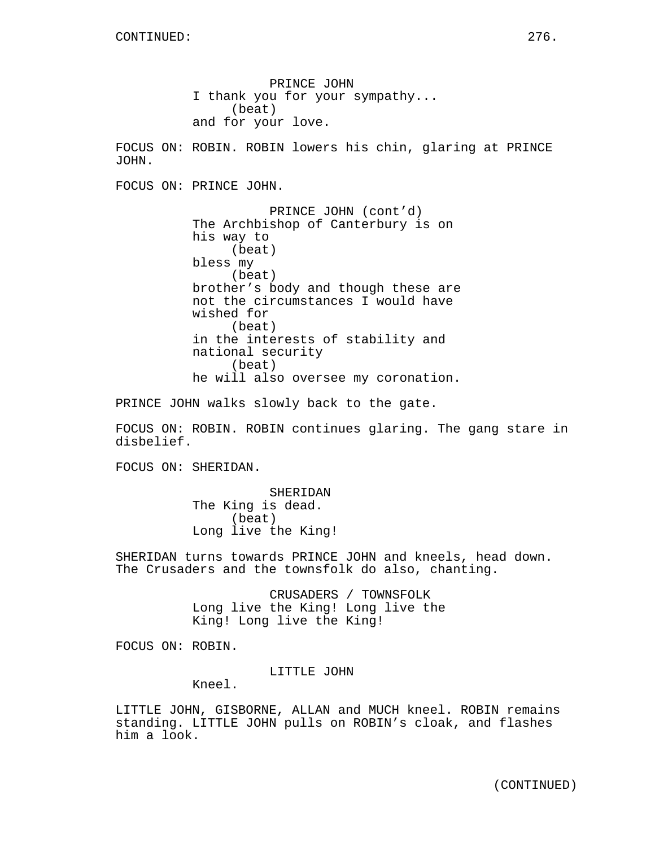PRINCE JOHN I thank you for your sympathy... (beat) and for your love. FOCUS ON: ROBIN. ROBIN lowers his chin, glaring at PRINCE JOHN. FOCUS ON: PRINCE JOHN. PRINCE JOHN (cont'd) The Archbishop of Canterbury is on his way to (beat) bless my (beat) brother's body and though these are not the circumstances I would have wished for (beat) in the interests of stability and national security (beat) he will also oversee my coronation.

PRINCE JOHN walks slowly back to the gate.

FOCUS ON: ROBIN. ROBIN continues glaring. The gang stare in disbelief.

FOCUS ON: SHERIDAN.

SHERIDAN The King is dead. (beat) Long live the King!

SHERIDAN turns towards PRINCE JOHN and kneels, head down. The Crusaders and the townsfolk do also, chanting.

> CRUSADERS / TOWNSFOLK Long live the King! Long live the King! Long live the King!

FOCUS ON: ROBIN.

LITTLE JOHN

Kneel.

LITTLE JOHN, GISBORNE, ALLAN and MUCH kneel. ROBIN remains standing. LITTLE JOHN pulls on ROBIN's cloak, and flashes him a look.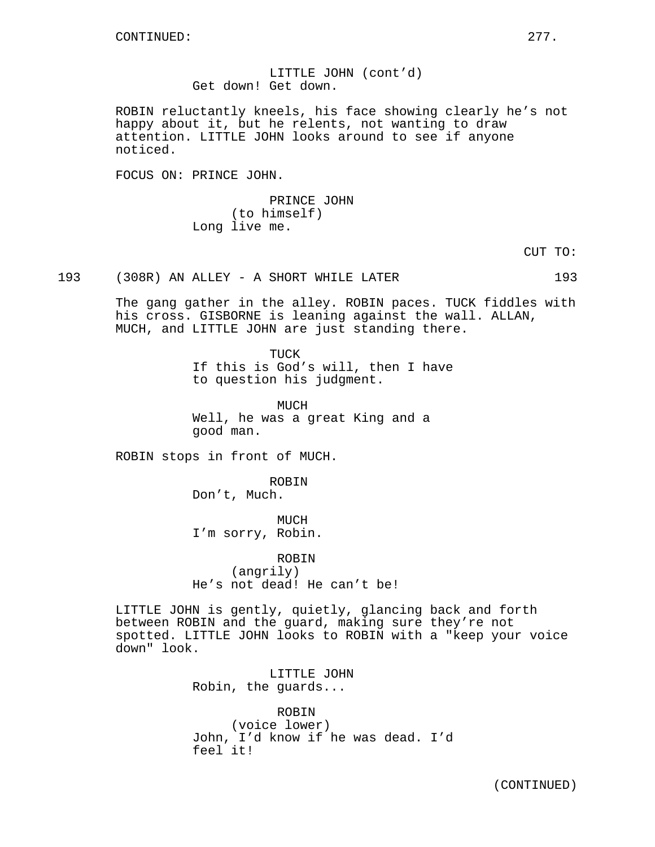LITTLE JOHN (cont'd) Get down! Get down.

ROBIN reluctantly kneels, his face showing clearly he's not happy about it, but he relents, not wanting to draw attention. LITTLE JOHN looks around to see if anyone noticed.

FOCUS ON: PRINCE JOHN.

PRINCE JOHN (to himself) Long live me.

CUT TO:

193 (308R) AN ALLEY - A SHORT WHILE LATER 193

The gang gather in the alley. ROBIN paces. TUCK fiddles with his cross. GISBORNE is leaning against the wall. ALLAN, MUCH, and LITTLE JOHN are just standing there.

> TUCK If this is God's will, then I have to question his judgment.

MUCH Well, he was a great King and a good man.

ROBIN stops in front of MUCH.

ROBIN

Don't, Much.

MUCH I'm sorry, Robin.

ROBIN (angrily) He's not dead! He can't be!

LITTLE JOHN is gently, quietly, glancing back and forth between ROBIN and the guard, making sure they're not spotted. LITTLE JOHN looks to ROBIN with a "keep your voice down" look.

> LITTLE JOHN Robin, the guards...

ROBIN (voice lower) John, I'd know if he was dead. I'd feel it!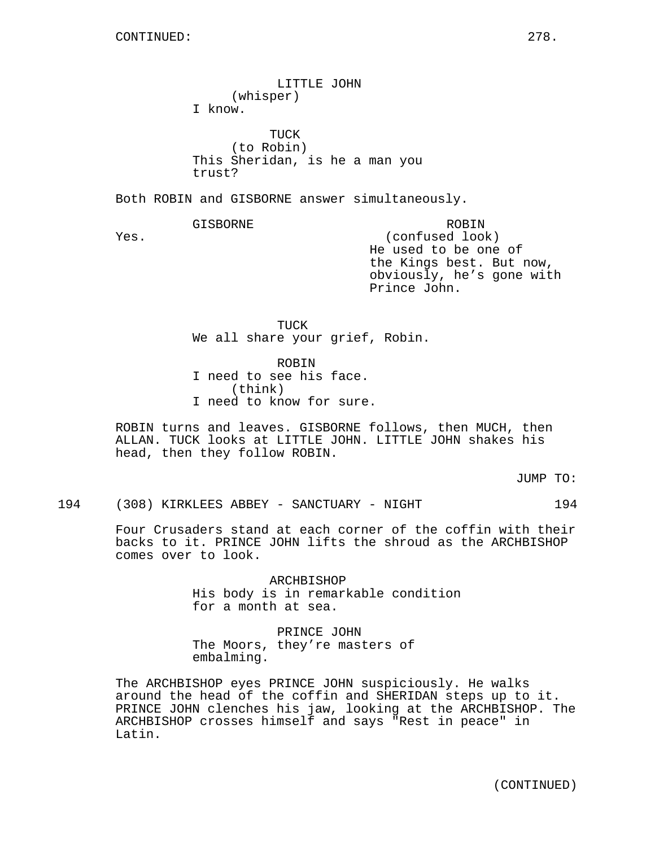LITTLE JOHN (whisper) I know. TUCK (to Robin) This Sheridan, is he a man you trust? Both ROBIN and GISBORNE answer simultaneously. GISBORNE Yes. ROBIN (confused look) He used to be one of the Kings best. But now, obviously, he's gone with Prince John. TUCK We all share your grief, Robin. ROBIN I need to see his face. (think)

I need to know for sure.

ROBIN turns and leaves. GISBORNE follows, then MUCH, then ALLAN. TUCK looks at LITTLE JOHN. LITTLE JOHN shakes his head, then they follow ROBIN.

JUMP TO:

194 (308) KIRKLEES ABBEY - SANCTUARY - NIGHT 194

Four Crusaders stand at each corner of the coffin with their backs to it. PRINCE JOHN lifts the shroud as the ARCHBISHOP comes over to look.

> ARCHBISHOP His body is in remarkable condition for a month at sea.

PRINCE JOHN The Moors, they're masters of embalming.

The ARCHBISHOP eyes PRINCE JOHN suspiciously. He walks around the head of the coffin and SHERIDAN steps up to it. PRINCE JOHN clenches his jaw, looking at the ARCHBISHOP. The ARCHBISHOP crosses himself and says "Rest in peace" in Latin.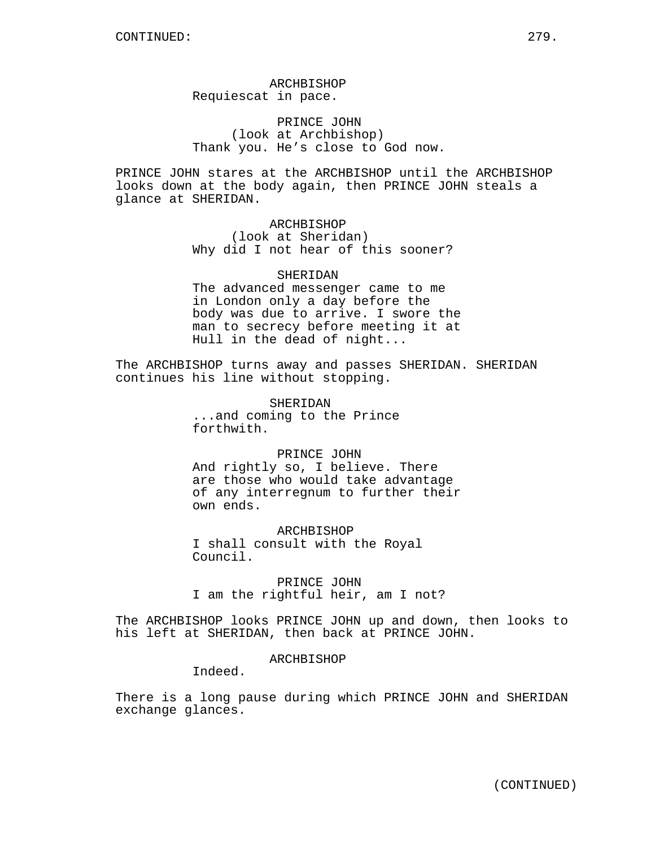# ARCHBISHOP Requiescat in pace.

PRINCE JOHN (look at Archbishop) Thank you. He's close to God now.

PRINCE JOHN stares at the ARCHBISHOP until the ARCHBISHOP looks down at the body again, then PRINCE JOHN steals a glance at SHERIDAN.

> ARCHBISHOP (look at Sheridan) Why did I not hear of this sooner?

SHERIDAN The advanced messenger came to me in London only a day before the body was due to arrive. I swore the man to secrecy before meeting it at Hull in the dead of night...

The ARCHBISHOP turns away and passes SHERIDAN. SHERIDAN continues his line without stopping.

> SHERIDAN ...and coming to the Prince forthwith.

PRINCE JOHN And rightly so, I believe. There are those who would take advantage of any interregnum to further their own ends.

ARCHBISHOP I shall consult with the Royal Council.

PRINCE JOHN I am the rightful heir, am I not?

The ARCHBISHOP looks PRINCE JOHN up and down, then looks to his left at SHERIDAN, then back at PRINCE JOHN.

ARCHBISHOP

Indeed.

There is a long pause during which PRINCE JOHN and SHERIDAN exchange glances.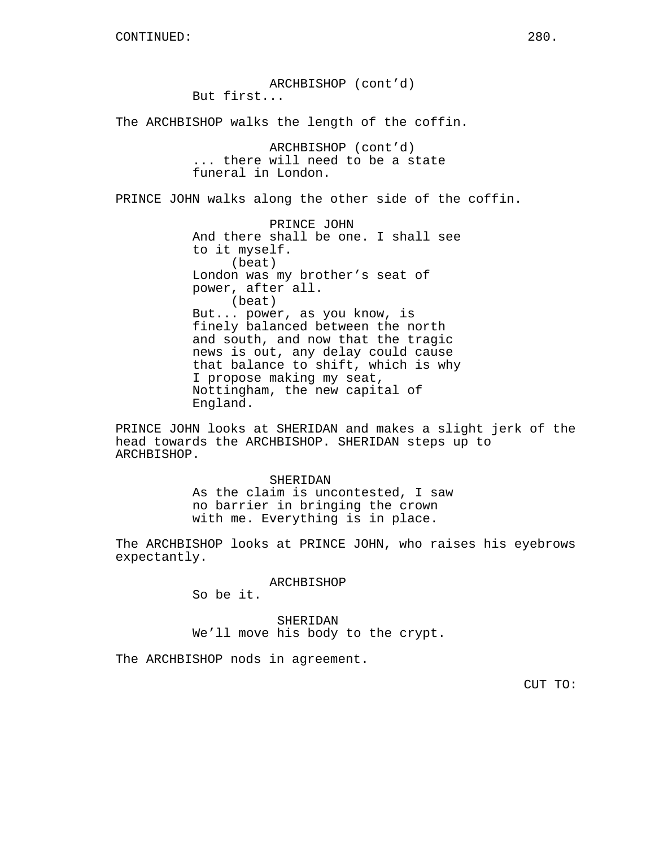ARCHBISHOP (cont'd) But first... The ARCHBISHOP walks the length of the coffin. ARCHBISHOP (cont'd) ... there will need to be a state funeral in London. PRINCE JOHN walks along the other side of the coffin. PRINCE JOHN And there shall be one. I shall see to it myself. (beat) London was my brother's seat of power, after all. (beat) But... power, as you know, is finely balanced between the north and south, and now that the tragic news is out, any delay could cause that balance to shift, which is why I propose making my seat, Nottingham, the new capital of England.

PRINCE JOHN looks at SHERIDAN and makes a slight jerk of the head towards the ARCHBISHOP. SHERIDAN steps up to ARCHBISHOP.

> SHERIDAN As the claim is uncontested, I saw no barrier in bringing the crown with me. Everything is in place.

The ARCHBISHOP looks at PRINCE JOHN, who raises his eyebrows expectantly.

#### ARCHBISHOP

So be it.

SHERIDAN We'll move his body to the crypt.

The ARCHBISHOP nods in agreement.

CUT TO: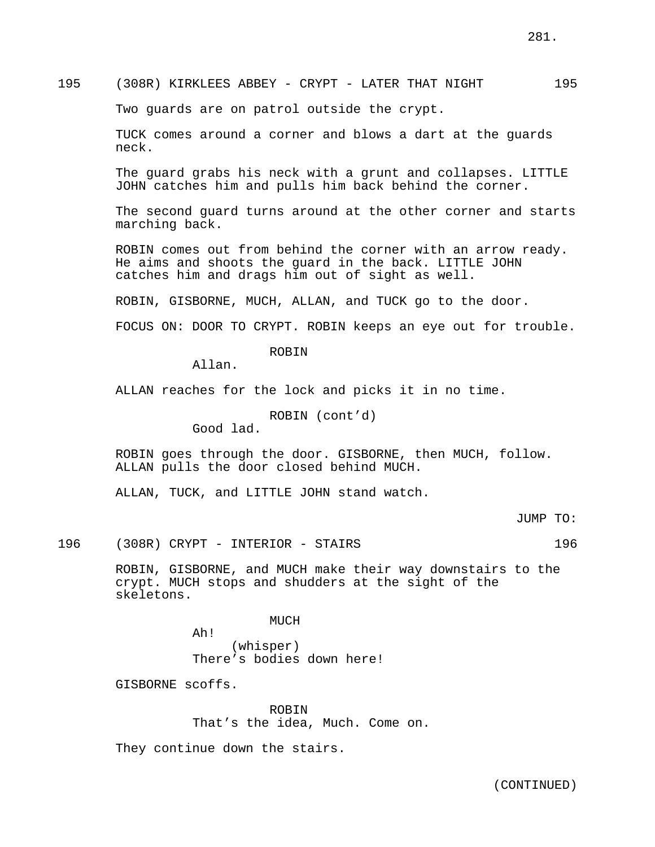# 195 (308R) KIRKLEES ABBEY - CRYPT - LATER THAT NIGHT 195

Two guards are on patrol outside the crypt.

TUCK comes around a corner and blows a dart at the guards neck.

The guard grabs his neck with a grunt and collapses. LITTLE JOHN catches him and pulls him back behind the corner.

The second guard turns around at the other corner and starts marching back.

ROBIN comes out from behind the corner with an arrow ready. He aims and shoots the guard in the back. LITTLE JOHN catches him and drags him out of sight as well.

ROBIN, GISBORNE, MUCH, ALLAN, and TUCK go to the door.

FOCUS ON: DOOR TO CRYPT. ROBIN keeps an eye out for trouble.

ROBIN

Allan.

ALLAN reaches for the lock and picks it in no time.

ROBIN (cont'd)

Good lad.

ROBIN goes through the door. GISBORNE, then MUCH, follow. ALLAN pulls the door closed behind MUCH.

ALLAN, TUCK, and LITTLE JOHN stand watch.

JUMP TO:

196 (308R) CRYPT - INTERIOR - STAIRS 196

ROBIN, GISBORNE, and MUCH make their way downstairs to the crypt. MUCH stops and shudders at the sight of the skeletons.

MUCH

Ah! (whisper) There's bodies down here!

GISBORNE scoffs.

ROBIN That's the idea, Much. Come on.

They continue down the stairs.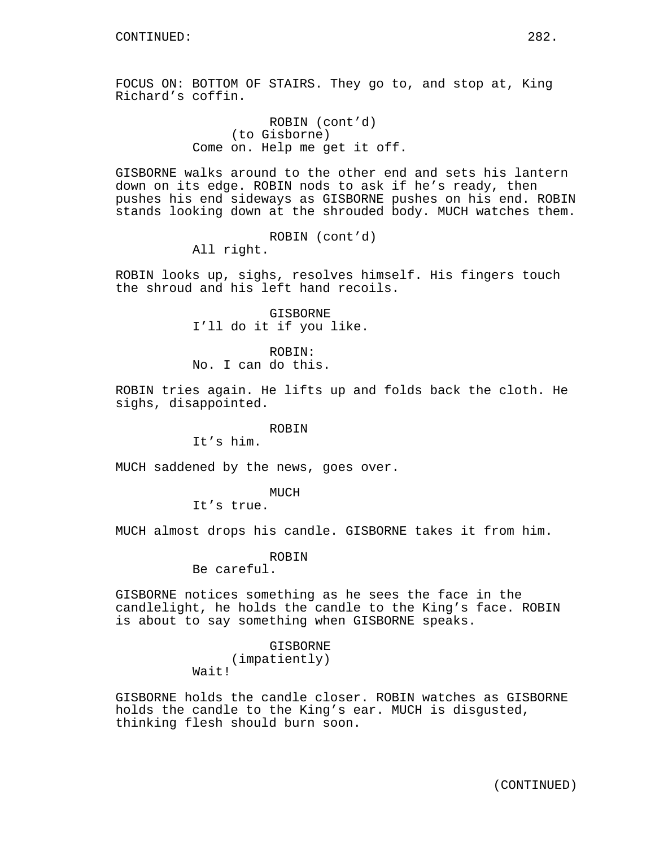FOCUS ON: BOTTOM OF STAIRS. They go to, and stop at, King Richard's coffin.

> ROBIN (cont'd) (to Gisborne) Come on. Help me get it off.

GISBORNE walks around to the other end and sets his lantern down on its edge. ROBIN nods to ask if he's ready, then pushes his end sideways as GISBORNE pushes on his end. ROBIN stands looking down at the shrouded body. MUCH watches them.

> ROBIN (cont'd) All right.

ROBIN looks up, sighs, resolves himself. His fingers touch the shroud and his left hand recoils.

> GISBORNE I'll do it if you like.

ROBIN: No. I can do this.

ROBIN tries again. He lifts up and folds back the cloth. He sighs, disappointed.

## ROBIN

It's him.

MUCH saddened by the news, goes over.

MUCH

It's true.

MUCH almost drops his candle. GISBORNE takes it from him.

ROBIN

Be careful.

GISBORNE notices something as he sees the face in the candlelight, he holds the candle to the King's face. ROBIN is about to say something when GISBORNE speaks.

> GISBORNE (impatiently) Wait!

GISBORNE holds the candle closer. ROBIN watches as GISBORNE holds the candle to the King's ear. MUCH is disgusted, thinking flesh should burn soon.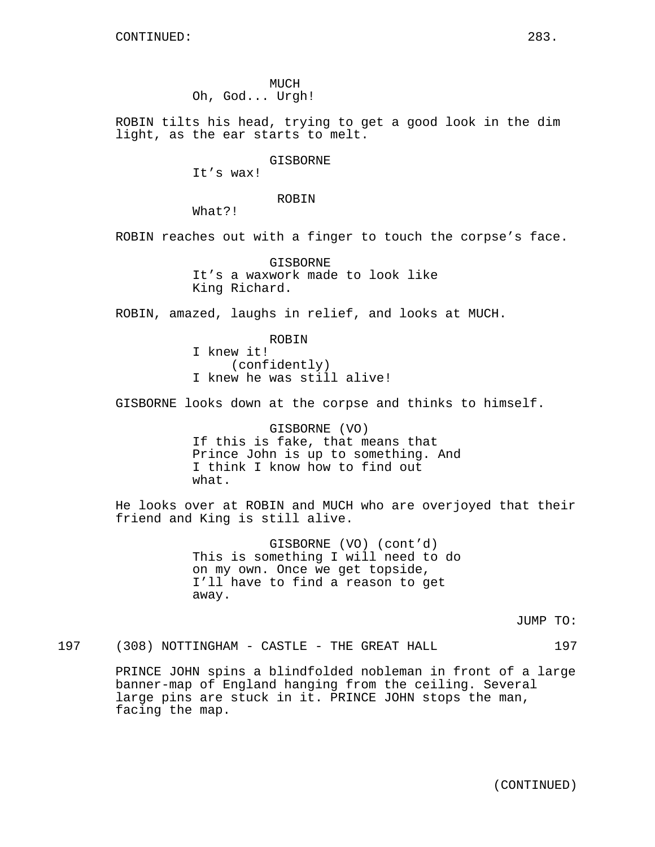MUCH Oh, God... Urgh!

ROBIN tilts his head, trying to get a good look in the dim light, as the ear starts to melt.

GISBORNE

It's wax!

ROBIN

What?!

ROBIN reaches out with a finger to touch the corpse's face.

GISBORNE It's a waxwork made to look like King Richard.

ROBIN, amazed, laughs in relief, and looks at MUCH.

ROBIN I knew it! (confidently) I knew he was still alive!

GISBORNE looks down at the corpse and thinks to himself.

GISBORNE (VO) If this is fake, that means that Prince John is up to something. And I think I know how to find out what.

He looks over at ROBIN and MUCH who are overjoyed that their friend and King is still alive.

> GISBORNE (VO) (cont'd) This is something I will need to do on my own. Once we get topside, I'll have to find a reason to get away.

> > JUMP TO:

197 (308) NOTTINGHAM - CASTLE - THE GREAT HALL 197

PRINCE JOHN spins a blindfolded nobleman in front of a large banner-map of England hanging from the ceiling. Several large pins are stuck in it. PRINCE JOHN stops the man, facing the map.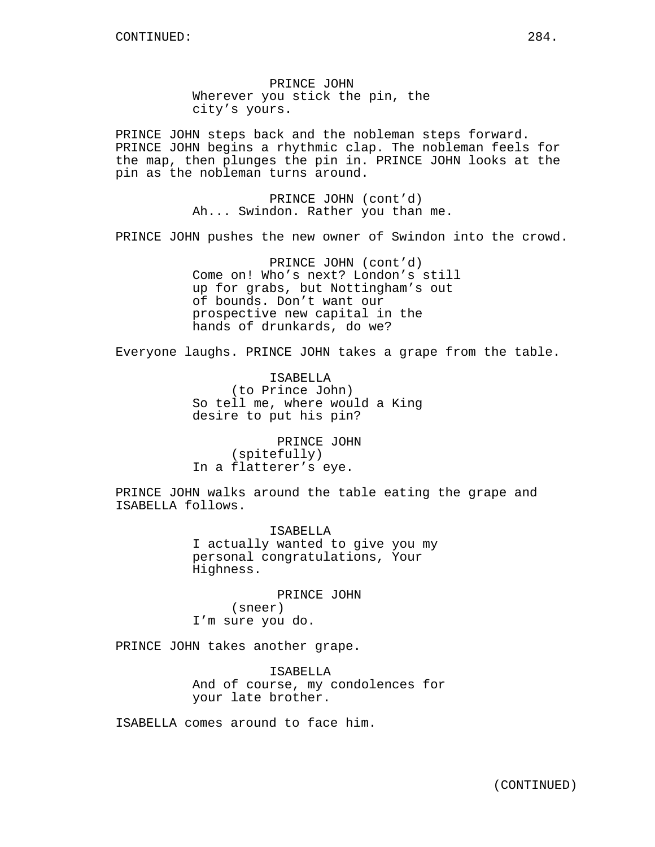PRINCE JOHN Wherever you stick the pin, the city's yours.

PRINCE JOHN steps back and the nobleman steps forward. PRINCE JOHN begins a rhythmic clap. The nobleman feels for the map, then plunges the pin in. PRINCE JOHN looks at the pin as the nobleman turns around.

> PRINCE JOHN (cont'd) Ah... Swindon. Rather you than me.

PRINCE JOHN pushes the new owner of Swindon into the crowd.

PRINCE JOHN (cont'd) Come on! Who's next? London's still up for grabs, but Nottingham's out of bounds. Don't want our prospective new capital in the hands of drunkards, do we?

Everyone laughs. PRINCE JOHN takes a grape from the table.

ISABELLA (to Prince John) So tell me, where would a King desire to put his pin?

PRINCE JOHN (spitefully) In a flatterer's eye.

PRINCE JOHN walks around the table eating the grape and ISABELLA follows.

> ISABELLA I actually wanted to give you my personal congratulations, Your Highness.

PRINCE JOHN (sneer) I'm sure you do.

PRINCE JOHN takes another grape.

ISABELLA And of course, my condolences for your late brother.

ISABELLA comes around to face him.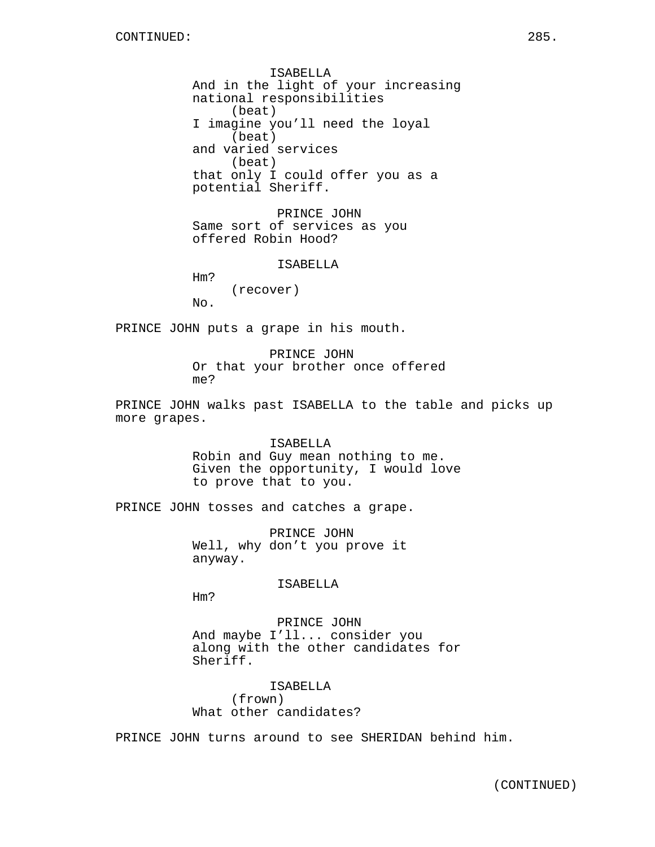ISABELLA And in the light of your increasing national responsibilities (beat) I imagine you'll need the loyal (beat) and varied services (beat) that only I could offer you as a potential Sheriff.

PRINCE JOHN Same sort of services as you offered Robin Hood?

ISABELLA

Hm? (recover) No.

PRINCE JOHN puts a grape in his mouth.

PRINCE JOHN Or that your brother once offered me?

PRINCE JOHN walks past ISABELLA to the table and picks up more grapes.

> **TSABELLA** Robin and Guy mean nothing to me. Given the opportunity, I would love to prove that to you.

PRINCE JOHN tosses and catches a grape.

PRINCE JOHN Well, why don't you prove it anyway.

ISABELLA

Hm?

PRINCE JOHN And maybe I'll... consider you along with the other candidates for Sheriff.

ISABELLA (frown) What other candidates?

PRINCE JOHN turns around to see SHERIDAN behind him.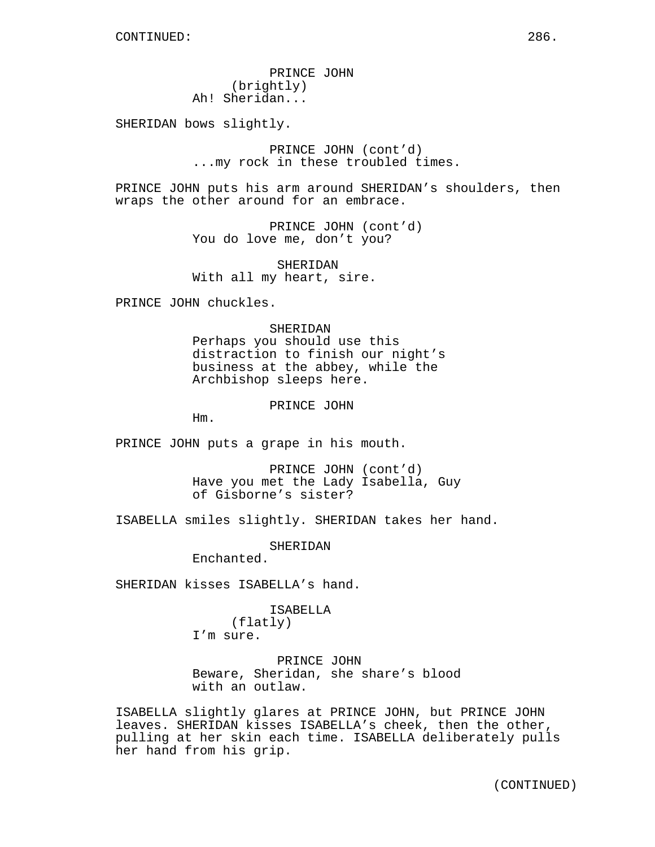PRINCE JOHN (brightly) Ah! Sheridan...

SHERIDAN bows slightly.

PRINCE JOHN (cont'd) ...my rock in these troubled times.

PRINCE JOHN puts his arm around SHERIDAN's shoulders, then wraps the other around for an embrace.

> PRINCE JOHN (cont'd) You do love me, don't you?

SHERIDAN With all my heart, sire.

PRINCE JOHN chuckles.

#### SHERIDAN

Perhaps you should use this distraction to finish our night's business at the abbey, while the Archbishop sleeps here.

PRINCE JOHN

Hm.

PRINCE JOHN puts a grape in his mouth.

PRINCE JOHN (cont'd) Have you met the Lady Isabella, Guy of Gisborne's sister?

ISABELLA smiles slightly. SHERIDAN takes her hand.

SHERIDAN

Enchanted.

SHERIDAN kisses ISABELLA's hand.

ISABELLA (flatly) I'm sure.

PRINCE JOHN Beware, Sheridan, she share's blood with an outlaw.

ISABELLA slightly glares at PRINCE JOHN, but PRINCE JOHN leaves. SHERIDAN kisses ISABELLA's cheek, then the other, pulling at her skin each time. ISABELLA deliberately pulls her hand from his grip.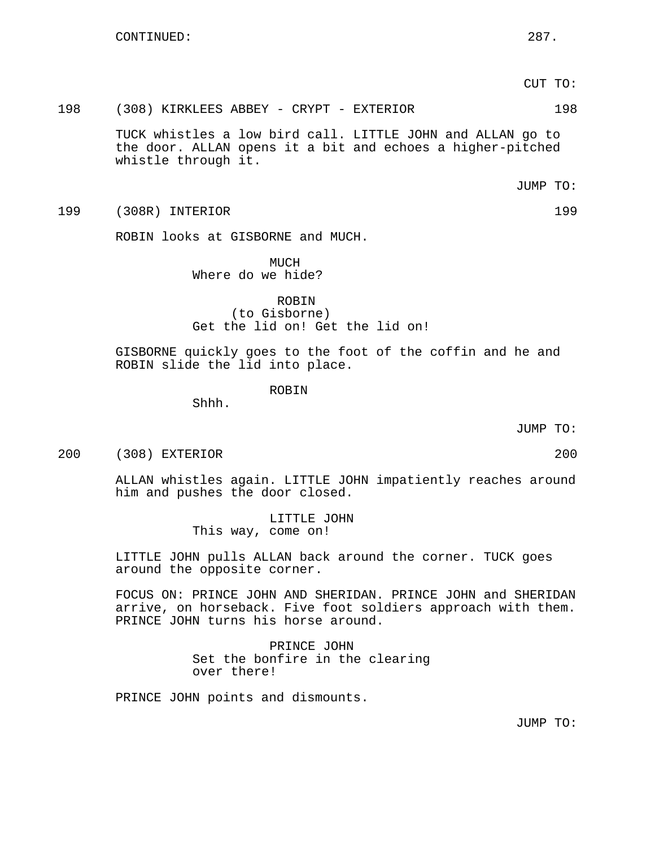CUT TO:

198 (308) KIRKLEES ABBEY - CRYPT - EXTERIOR 198

TUCK whistles a low bird call. LITTLE JOHN and ALLAN go to the door. ALLAN opens it a bit and echoes a higher-pitched whistle through it.

JUMP TO:

199 (308R) INTERIOR 199

ROBIN looks at GISBORNE and MUCH.

 $MUCH$ Where do we hide?

ROBIN (to Gisborne) Get the lid on! Get the lid on!

GISBORNE quickly goes to the foot of the coffin and he and ROBIN slide the lid into place.

ROBIN

Shhh.

JUMP TO:

200 (308) EXTERIOR 200

ALLAN whistles again. LITTLE JOHN impatiently reaches around him and pushes the door closed.

> LITTLE JOHN This way, come on!

LITTLE JOHN pulls ALLAN back around the corner. TUCK goes around the opposite corner.

FOCUS ON: PRINCE JOHN AND SHERIDAN. PRINCE JOHN and SHERIDAN arrive, on horseback. Five foot soldiers approach with them. PRINCE JOHN turns his horse around.

> PRINCE JOHN Set the bonfire in the clearing over there!

PRINCE JOHN points and dismounts.

JUMP TO: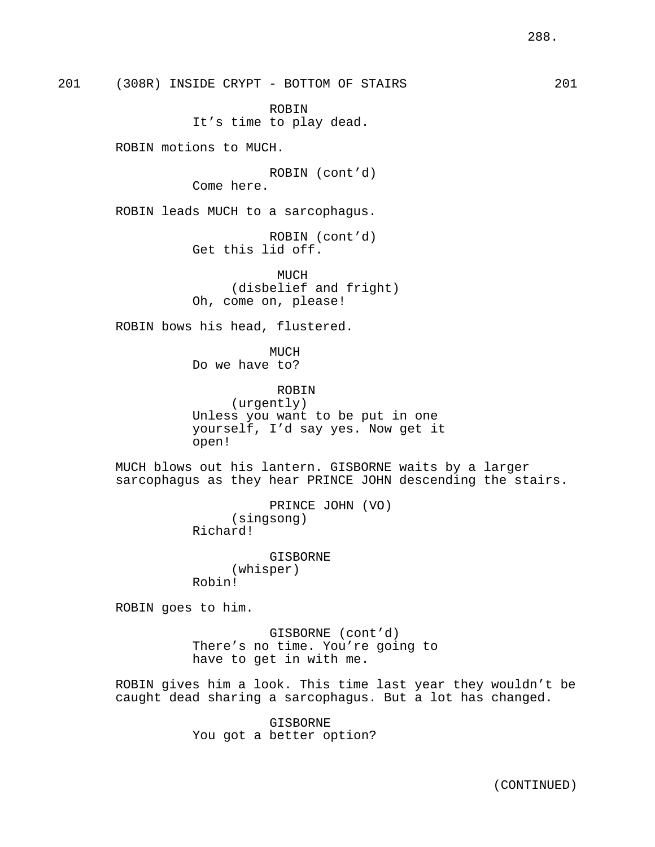201 (308R) INSIDE CRYPT - BOTTOM OF STAIRS 201

ROBIN It's time to play dead.

ROBIN motions to MUCH.

ROBIN (cont'd) Come here.

ROBIN leads MUCH to a sarcophagus.

ROBIN (cont'd) Get this lid off.

MUCH (disbelief and fright) Oh, come on, please!

ROBIN bows his head, flustered.

MUCH Do we have to?

ROBIN (urgently) Unless you want to be put in one yourself, I'd say yes. Now get it open!

MUCH blows out his lantern. GISBORNE waits by a larger sarcophagus as they hear PRINCE JOHN descending the stairs.

> PRINCE JOHN (VO) (singsong) Richard!

GISBORNE (whisper) Robin!

ROBIN goes to him.

GISBORNE (cont'd) There's no time. You're going to have to get in with me.

ROBIN gives him a look. This time last year they wouldn't be caught dead sharing a sarcophagus. But a lot has changed.

> GISBORNE You got a better option?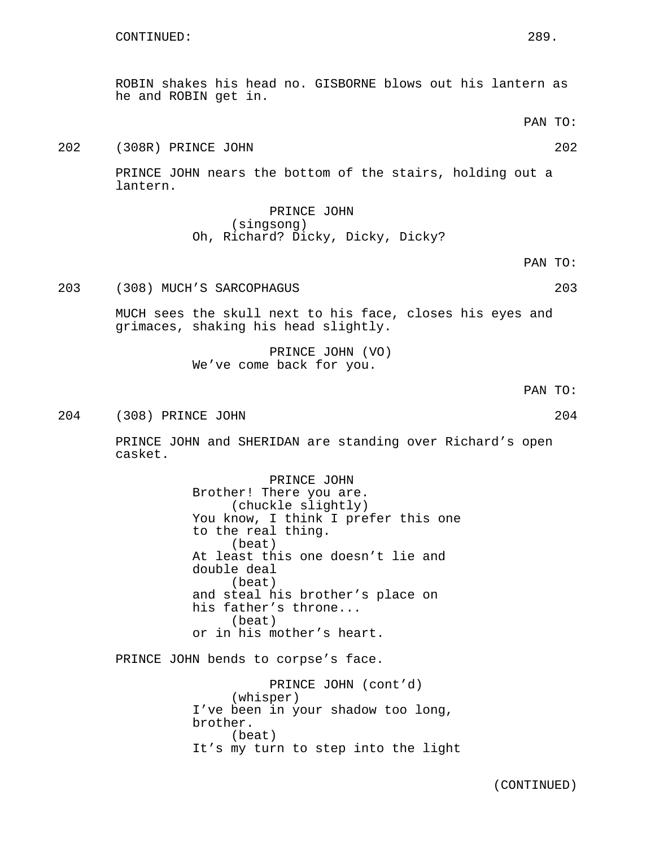ROBIN shakes his head no. GISBORNE blows out his lantern as he and ROBIN get in.

PAN TO:

202 (308R) PRINCE JOHN 202

PRINCE JOHN nears the bottom of the stairs, holding out a lantern.

> PRINCE JOHN (singsong) Oh, Richard? Dicky, Dicky, Dicky?

> > PAN TO:

203 (308) MUCH'S SARCOPHAGUS 203

MUCH sees the skull next to his face, closes his eyes and grimaces, shaking his head slightly.

> PRINCE JOHN (VO) We've come back for you.

> > PAN TO:

204 (308) PRINCE JOHN 204

PRINCE JOHN and SHERIDAN are standing over Richard's open casket.

> PRINCE JOHN Brother! There you are. (chuckle slightly) You know, I think I prefer this one to the real thing. (beat) At least this one doesn't lie and double deal (beat) and steal his brother's place on his father's throne... (beat) or in his mother's heart.

PRINCE JOHN bends to corpse's face.

PRINCE JOHN (cont'd) (whisper) I've been in your shadow too long, brother. (beat) It's my turn to step into the light

(CONTINUED)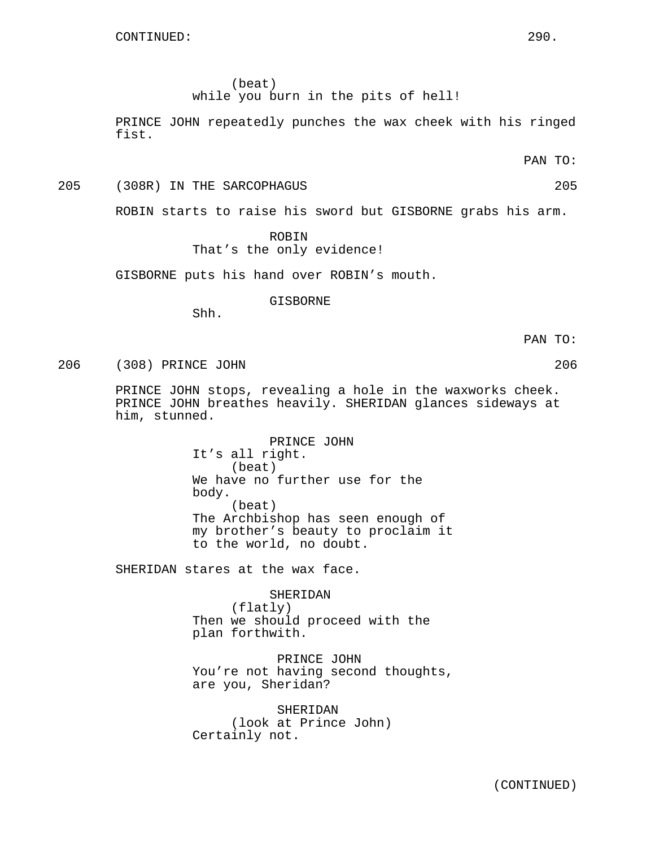(beat)

while you burn in the pits of hell!

PRINCE JOHN repeatedly punches the wax cheek with his ringed fist.

PAN TO:

205 (308R) IN THE SARCOPHAGUS 205

ROBIN starts to raise his sword but GISBORNE grabs his arm.

# ROBIN That's the only evidence!

GISBORNE puts his hand over ROBIN's mouth.

GISBORNE

Shh.

PAN TO:

206 (308) PRINCE JOHN 206

PRINCE JOHN stops, revealing a hole in the waxworks cheek. PRINCE JOHN breathes heavily. SHERIDAN glances sideways at him, stunned.

> PRINCE JOHN It's all right. (beat) We have no further use for the body. (beat) The Archbishop has seen enough of my brother's beauty to proclaim it to the world, no doubt.

SHERIDAN stares at the wax face.

SHERIDAN (flatly) Then we should proceed with the plan forthwith.

PRINCE JOHN You're not having second thoughts, are you, Sheridan?

SHERIDAN (look at Prince John) Certainly not.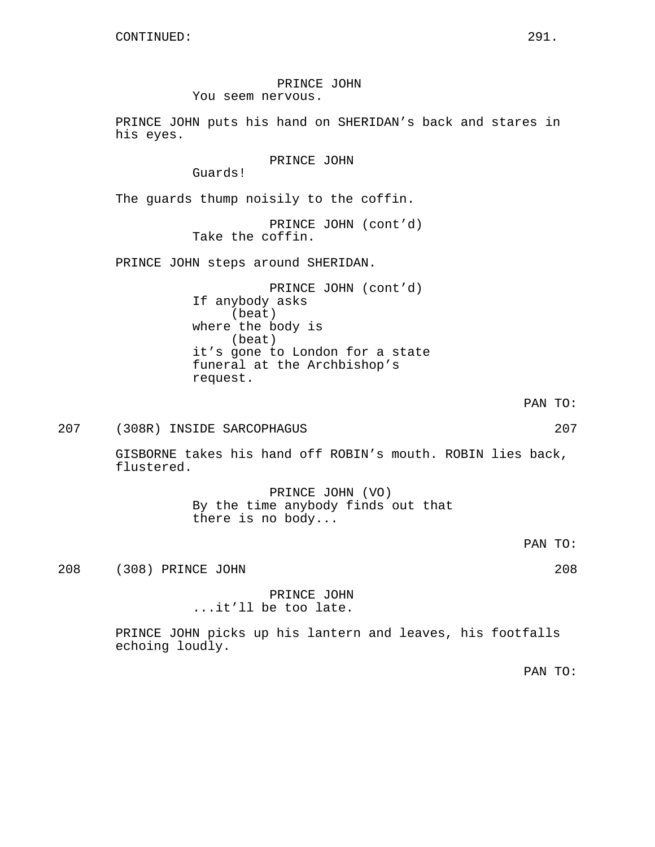PRINCE JOHN You seem nervous.

PRINCE JOHN puts his hand on SHERIDAN's back and stares in his eyes.

PRINCE JOHN

Guards!

The guards thump noisily to the coffin.

PRINCE JOHN (cont'd) Take the coffin.

PRINCE JOHN steps around SHERIDAN.

PRINCE JOHN (cont'd) If anybody asks (beat) where the body is (beat) it's gone to London for a state funeral at the Archbishop's request.

PAN TO:

# 207 (308R) INSIDE SARCOPHAGUS 207

GISBORNE takes his hand off ROBIN's mouth. ROBIN lies back, flustered.

> PRINCE JOHN (VO) By the time anybody finds out that there is no body...

> > PAN TO:

208 (308) PRINCE JOHN 208

PRINCE JOHN ...it'll be too late.

PRINCE JOHN picks up his lantern and leaves, his footfalls echoing loudly.

PAN TO: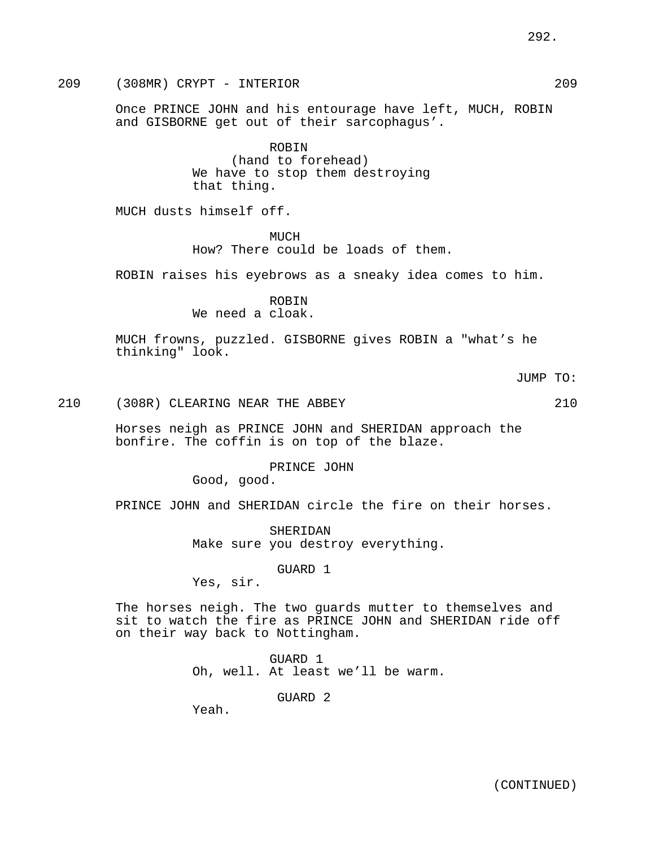209 (308MR) CRYPT - INTERIOR 209

Once PRINCE JOHN and his entourage have left, MUCH, ROBIN and GISBORNE get out of their sarcophagus'.

> ROBIN (hand to forehead) We have to stop them destroying that thing.

MUCH dusts himself off.

MUCH How? There could be loads of them.

ROBIN raises his eyebrows as a sneaky idea comes to him.

ROBIN We need a cloak.

MUCH frowns, puzzled. GISBORNE gives ROBIN a "what's he thinking" look.

JUMP TO:

```
210 (308R) CLEARING NEAR THE ABBEY 210
```
Horses neigh as PRINCE JOHN and SHERIDAN approach the bonfire. The coffin is on top of the blaze.

> PRINCE JOHN Good, good.

PRINCE JOHN and SHERIDAN circle the fire on their horses.

SHERIDAN Make sure you destroy everything.

GUARD 1

Yes, sir.

The horses neigh. The two guards mutter to themselves and sit to watch the fire as PRINCE JOHN and SHERIDAN ride off on their way back to Nottingham.

> GUARD 1 Oh, well. At least we'll be warm.

> > GUARD 2

Yeah.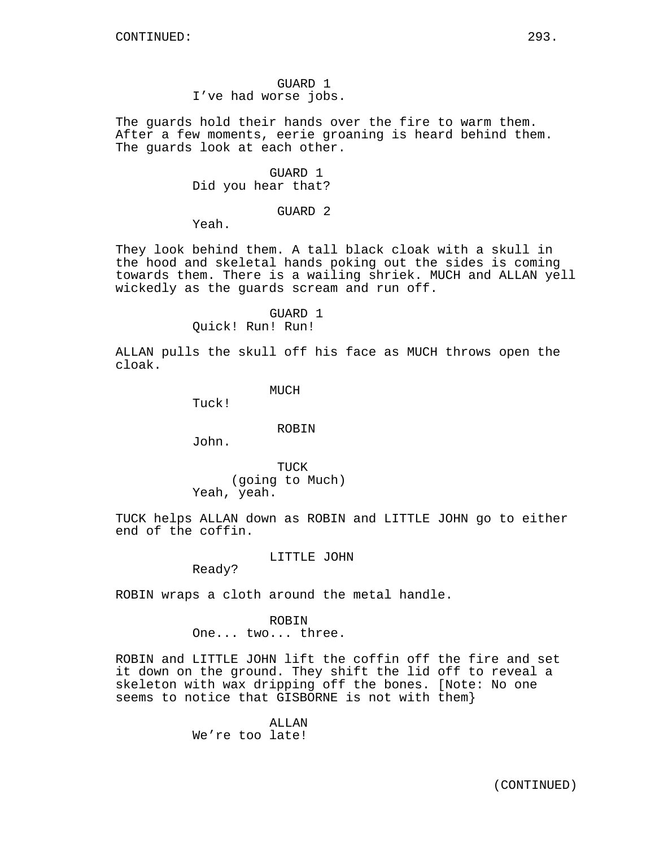The guards hold their hands over the fire to warm them. After a few moments, eerie groaning is heard behind them. The guards look at each other.

> GUARD 1 Did you hear that?

> > GUARD 2

Yeah.

They look behind them. A tall black cloak with a skull in the hood and skeletal hands poking out the sides is coming towards them. There is a wailing shriek. MUCH and ALLAN yell wickedly as the guards scream and run off.

GUARD 1

Quick! Run! Run!

ALLAN pulls the skull off his face as MUCH throws open the cloak.

**MUCH** 

Tuck!

## ROBIN

John.

TUCK (going to Much) Yeah, yeah.

TUCK helps ALLAN down as ROBIN and LITTLE JOHN go to either end of the coffin.

LITTLE JOHN

Ready?

ROBIN wraps a cloth around the metal handle.

ROBIN One... two... three.

ROBIN and LITTLE JOHN lift the coffin off the fire and set it down on the ground. They shift the lid off to reveal a skeleton with wax dripping off the bones. [Note: No one seems to notice that GISBORNE is not with them}

> ALLAN We're too late!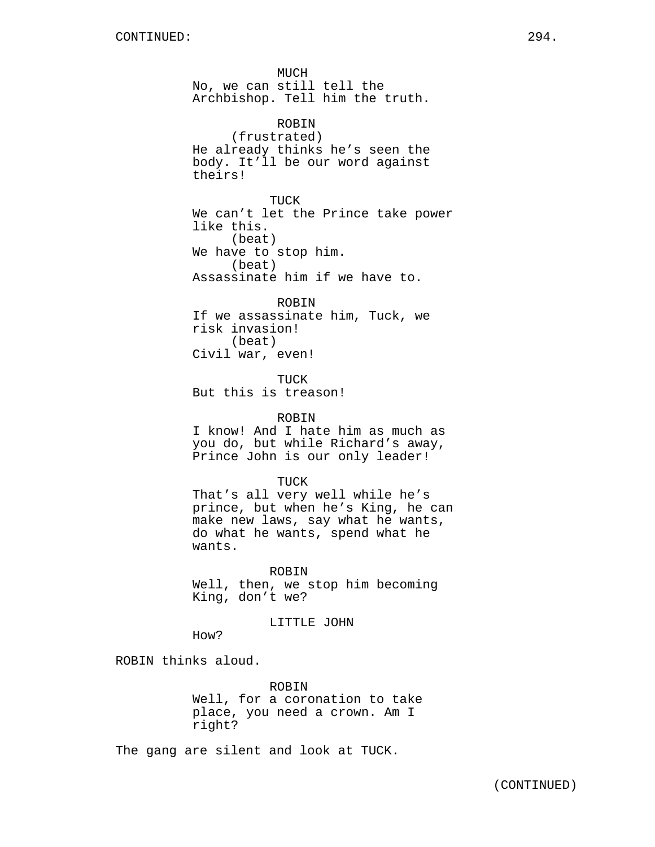MUCH No, we can still tell the Archbishop. Tell him the truth. ROBIN (frustrated) He already thinks he's seen the body. It'll be our word against theirs! TUCK We can't let the Prince take power like this. (beat) We have to stop him. (beat) Assassinate him if we have to. ROBIN

If we assassinate him, Tuck, we risk invasion! (beat) Civil war, even!

TUCK But this is treason!

#### ROBIN

I know! And I hate him as much as you do, but while Richard's away, Prince John is our only leader!

TUCK

That's all very well while he's prince, but when he's King, he can make new laws, say what he wants, do what he wants, spend what he wants.

ROBIN

Well, then, we stop him becoming King, don't we?

#### LITTLE JOHN

How?

ROBIN thinks aloud.

ROBIN Well, for a coronation to take place, you need a crown. Am I right?

The gang are silent and look at TUCK.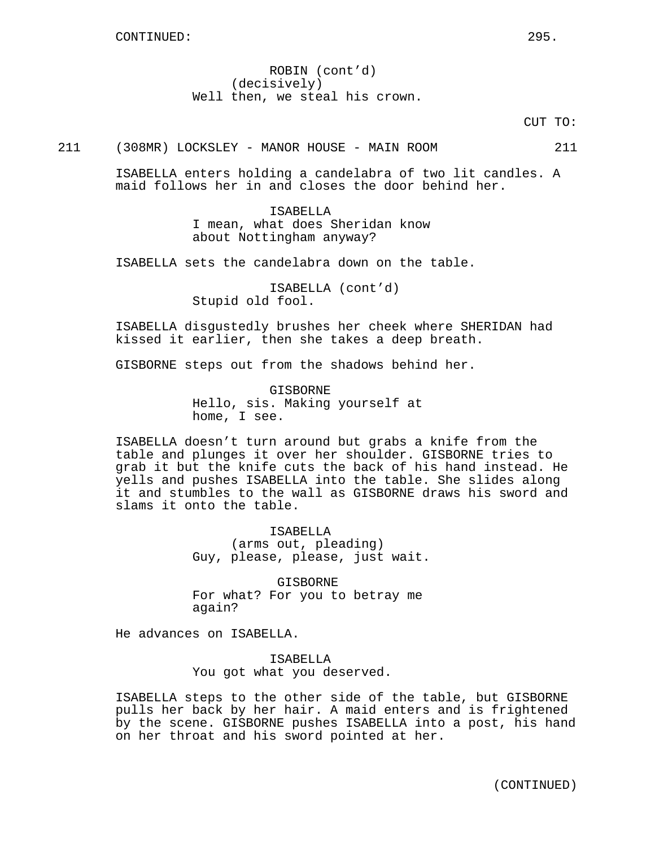ROBIN (cont'd) (decisively) Well then, we steal his crown.

CUT TO:

211 (308MR) LOCKSLEY - MANOR HOUSE - MAIN ROOM 211

ISABELLA enters holding a candelabra of two lit candles. A maid follows her in and closes the door behind her.

> ISABELLA I mean, what does Sheridan know about Nottingham anyway?

ISABELLA sets the candelabra down on the table.

ISABELLA (cont'd) Stupid old fool.

ISABELLA disgustedly brushes her cheek where SHERIDAN had kissed it earlier, then she takes a deep breath.

GISBORNE steps out from the shadows behind her.

**GISBORNE** Hello, sis. Making yourself at home, I see.

ISABELLA doesn't turn around but grabs a knife from the table and plunges it over her shoulder. GISBORNE tries to grab it but the knife cuts the back of his hand instead. He yells and pushes ISABELLA into the table. She slides along it and stumbles to the wall as GISBORNE draws his sword and slams it onto the table.

> ISABELLA (arms out, pleading) Guy, please, please, just wait.

GISBORNE For what? For you to betray me again?

He advances on ISABELLA.

ISABELLA You got what you deserved.

ISABELLA steps to the other side of the table, but GISBORNE pulls her back by her hair. A maid enters and is frightened by the scene. GISBORNE pushes ISABELLA into a post, his hand on her throat and his sword pointed at her.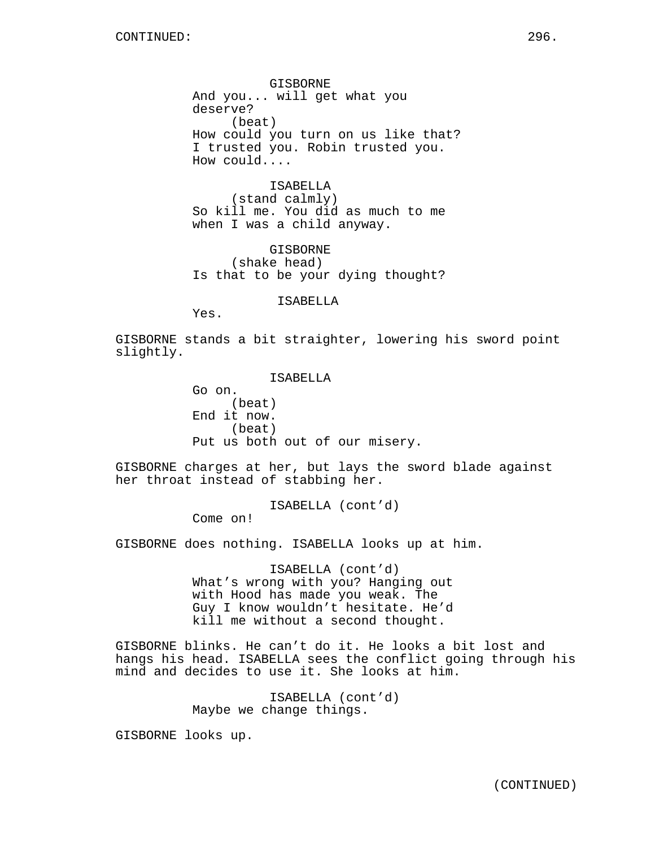GISBORNE And you... will get what you deserve? (beat) How could you turn on us like that? I trusted you. Robin trusted you. How could....

ISABELLA (stand calmly) So kill me. You did as much to me when I was a child anyway.

GISBORNE (shake head) Is that to be your dying thought?

ISABELLA

Yes.

GISBORNE stands a bit straighter, lowering his sword point slightly.

> ISABELLA Go on. (beat) End it now. (beat) Put us both out of our misery.

GISBORNE charges at her, but lays the sword blade against her throat instead of stabbing her.

ISABELLA (cont'd)

Come on!

GISBORNE does nothing. ISABELLA looks up at him.

ISABELLA (cont'd) What's wrong with you? Hanging out with Hood has made you weak. The Guy I know wouldn't hesitate. He'd kill me without a second thought.

GISBORNE blinks. He can't do it. He looks a bit lost and hangs his head. ISABELLA sees the conflict going through his mind and decides to use it. She looks at him.

> ISABELLA (cont'd) Maybe we change things.

GISBORNE looks up.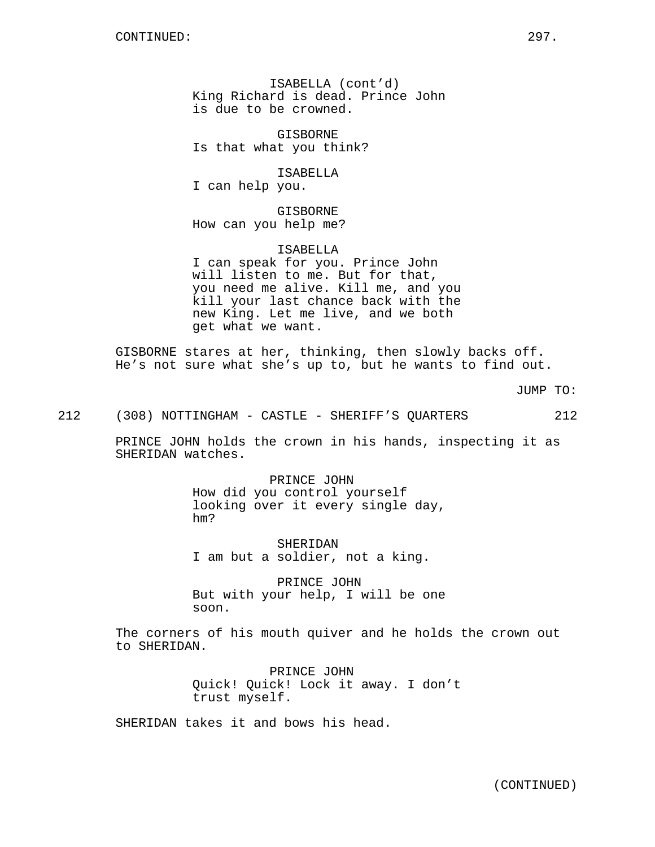ISABELLA (cont'd) King Richard is dead. Prince John is due to be crowned.

GISBORNE Is that what you think?

ISABELLA I can help you.

GISBORNE How can you help me?

ISABELLA I can speak for you. Prince John will listen to me. But for that, you need me alive. Kill me, and you kill your last chance back with the new King. Let me live, and we both get what we want.

GISBORNE stares at her, thinking, then slowly backs off. He's not sure what she's up to, but he wants to find out.

JUMP TO:

212 (308) NOTTINGHAM - CASTLE - SHERIFF'S QUARTERS 212

PRINCE JOHN holds the crown in his hands, inspecting it as SHERIDAN watches.

> PRINCE JOHN How did you control yourself looking over it every single day, hm?

SHERIDAN I am but a soldier, not a king.

PRINCE JOHN But with your help, I will be one soon.

The corners of his mouth quiver and he holds the crown out to SHERIDAN.

> PRINCE JOHN Quick! Quick! Lock it away. I don't trust myself.

SHERIDAN takes it and bows his head.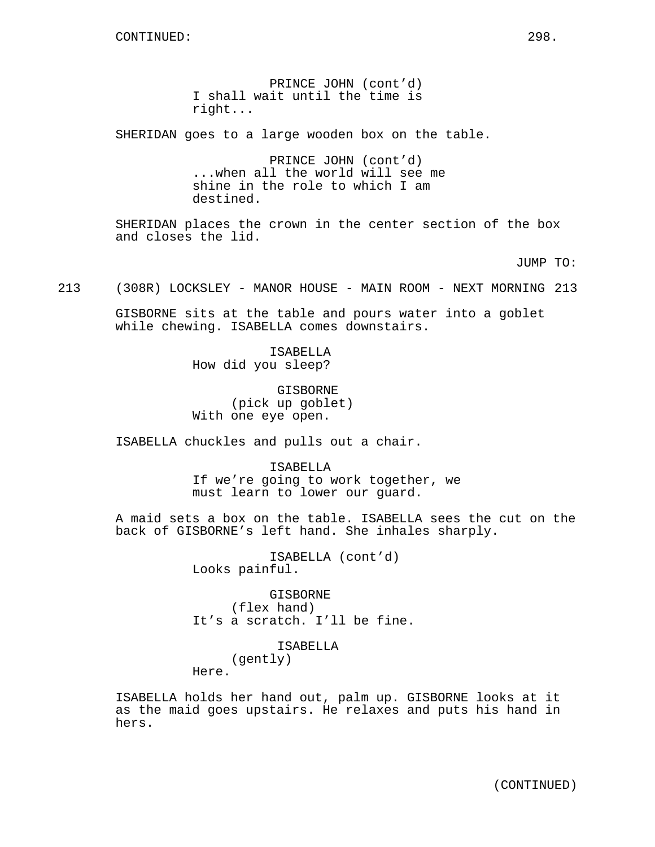PRINCE JOHN (cont'd) I shall wait until the time is right...

SHERIDAN goes to a large wooden box on the table.

PRINCE JOHN (cont'd) ...when all the world will see me shine in the role to which I am destined.

SHERIDAN places the crown in the center section of the box and closes the lid.

JUMP TO:

213 (308R) LOCKSLEY - MANOR HOUSE - MAIN ROOM - NEXT MORNING 213

GISBORNE sits at the table and pours water into a goblet while chewing. ISABELLA comes downstairs.

> ISABELLA How did you sleep?

GISBORNE (pick up goblet) With one eye open.

ISABELLA chuckles and pulls out a chair.

ISABELLA If we're going to work together, we must learn to lower our guard.

A maid sets a box on the table. ISABELLA sees the cut on the back of GISBORNE's left hand. She inhales sharply.

> ISABELLA (cont'd) Looks painful.

GISBORNE (flex hand) It's a scratch. I'll be fine.

> ISABELLA (gently)

Here.

ISABELLA holds her hand out, palm up. GISBORNE looks at it as the maid goes upstairs. He relaxes and puts his hand in hers.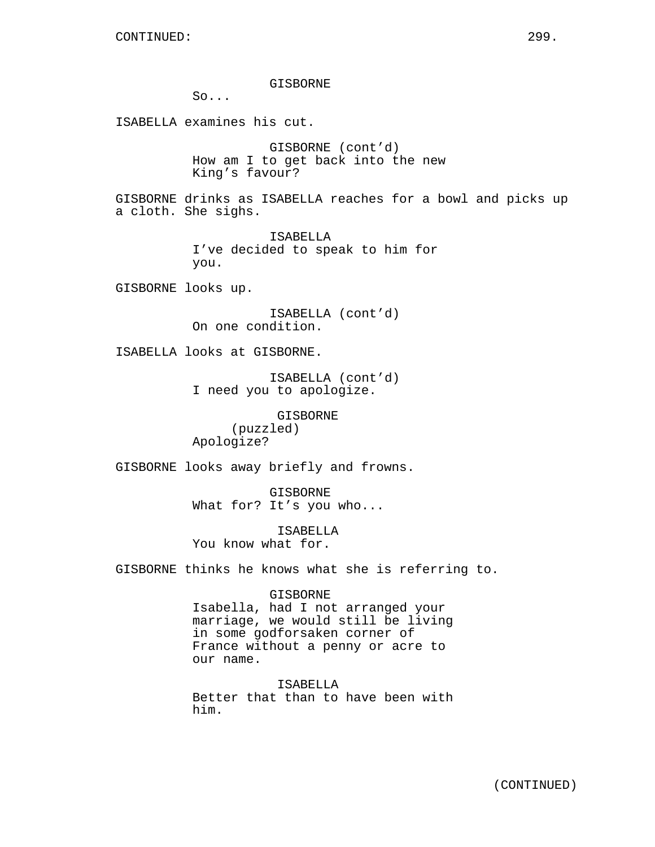GISBORNE

So...

ISABELLA examines his cut.

GISBORNE (cont'd) How am I to get back into the new King's favour?

GISBORNE drinks as ISABELLA reaches for a bowl and picks up a cloth. She sighs.

> ISABELLA I've decided to speak to him for you.

GISBORNE looks up.

ISABELLA (cont'd) On one condition.

ISABELLA looks at GISBORNE.

ISABELLA (cont'd) I need you to apologize.

GISBORNE (puzzled) Apologize?

GISBORNE looks away briefly and frowns.

GISBORNE What for? It's you who...

ISABELLA You know what for.

GISBORNE thinks he knows what she is referring to.

GISBORNE

Isabella, had I not arranged your marriage, we would still be living in some godforsaken corner of France without a penny or acre to our name.

ISABELLA Better that than to have been with him.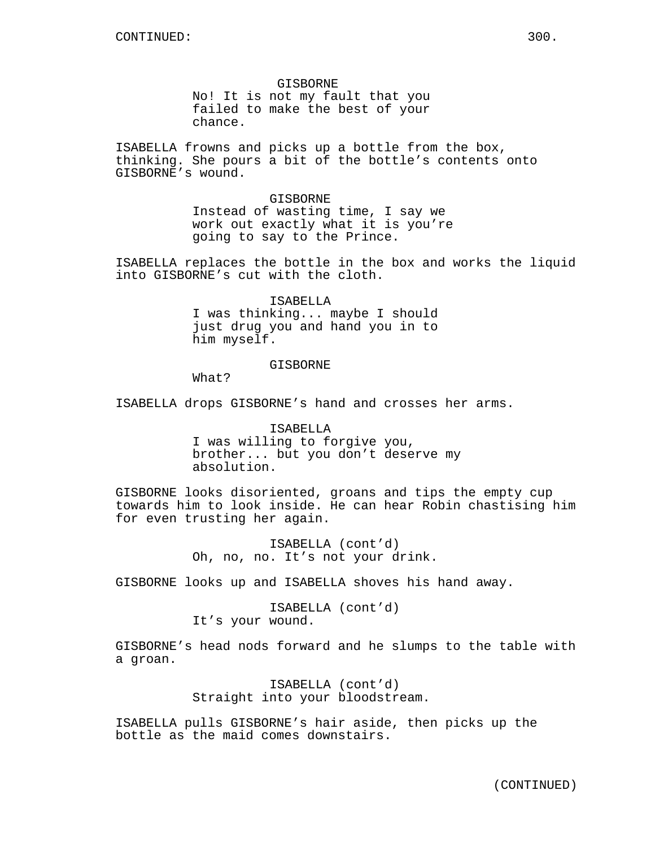GISBORNE No! It is not my fault that you failed to make the best of your chance.

ISABELLA frowns and picks up a bottle from the box, thinking. She pours a bit of the bottle's contents onto GISBORNE's wound.

> GISBORNE Instead of wasting time, I say we work out exactly what it is you're going to say to the Prince.

ISABELLA replaces the bottle in the box and works the liquid into GISBORNE's cut with the cloth.

> ISABELLA I was thinking... maybe I should just drug you and hand you in to him myself.

## **GISBORNE**

What?

ISABELLA drops GISBORNE's hand and crosses her arms.

ISABELLA I was willing to forgive you, brother... but you don't deserve my absolution.

GISBORNE looks disoriented, groans and tips the empty cup towards him to look inside. He can hear Robin chastising him for even trusting her again.

> ISABELLA (cont'd) Oh, no, no. It's not your drink.

GISBORNE looks up and ISABELLA shoves his hand away.

ISABELLA (cont'd) It's your wound.

GISBORNE's head nods forward and he slumps to the table with a groan.

> ISABELLA (cont'd) Straight into your bloodstream.

ISABELLA pulls GISBORNE's hair aside, then picks up the bottle as the maid comes downstairs.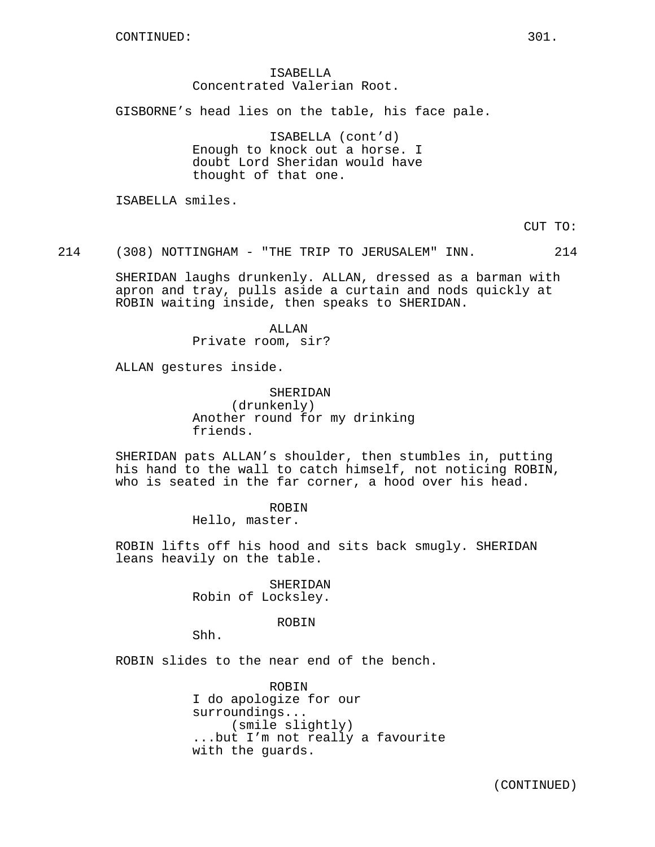## ISABELLA Concentrated Valerian Root.

GISBORNE's head lies on the table, his face pale.

ISABELLA (cont'd) Enough to knock out a horse. I doubt Lord Sheridan would have thought of that one.

ISABELLA smiles.

CUT TO:

214 (308) NOTTINGHAM - "THE TRIP TO JERUSALEM" INN. 214

SHERIDAN laughs drunkenly. ALLAN, dressed as a barman with apron and tray, pulls aside a curtain and nods quickly at ROBIN waiting inside, then speaks to SHERIDAN.

> ALLAN Private room, sir?

ALLAN gestures inside.

SHERIDAN (drunkenly) Another round for my drinking friends.

SHERIDAN pats ALLAN's shoulder, then stumbles in, putting his hand to the wall to catch himself, not noticing ROBIN, who is seated in the far corner, a hood over his head.

ROBIN

Hello, master.

ROBIN lifts off his hood and sits back smugly. SHERIDAN leans heavily on the table.

> SHERIDAN Robin of Locksley.

## ROBIN

Shh.

ROBIN slides to the near end of the bench.

ROBIN I do apologize for our surroundings... (smile slightly) ...but I'm not really a favourite with the guards.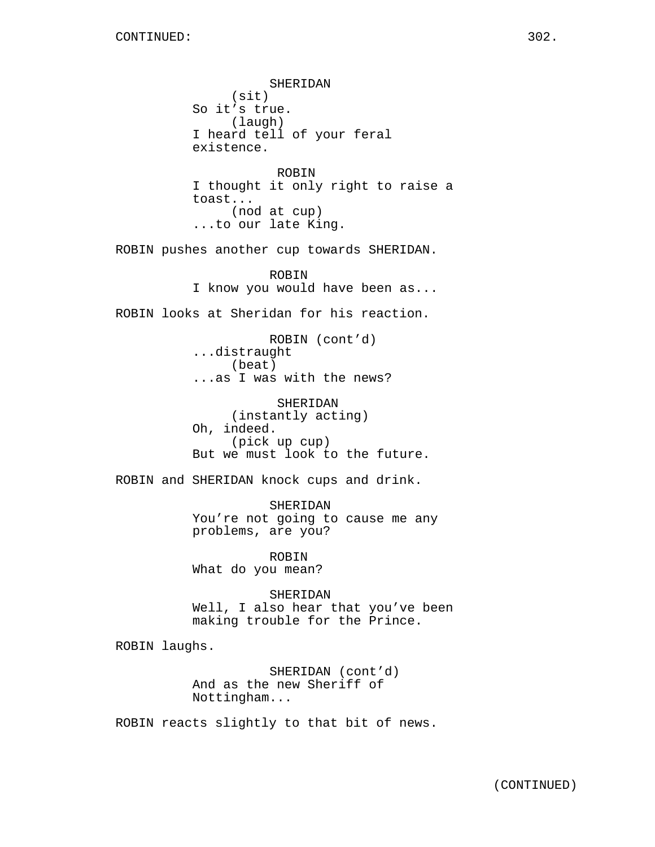SHERIDAN (sit) So it's true. (laugh) I heard tell of your feral existence. ROBIN I thought it only right to raise a toast... (nod at cup) ...to our late King. ROBIN pushes another cup towards SHERIDAN. ROBIN I know you would have been as... ROBIN looks at Sheridan for his reaction. ROBIN (cont'd) ...distraught (beat) ...as I was with the news? SHERIDAN (instantly acting) Oh, indeed. (pick up cup) But we must look to the future. ROBIN and SHERIDAN knock cups and drink. SHERIDAN You're not going to cause me any problems, are you? ROBIN What do you mean? SHERIDAN Well, I also hear that you've been making trouble for the Prince. ROBIN laughs. SHERIDAN (cont'd) And as the new Sheriff of Nottingham... ROBIN reacts slightly to that bit of news.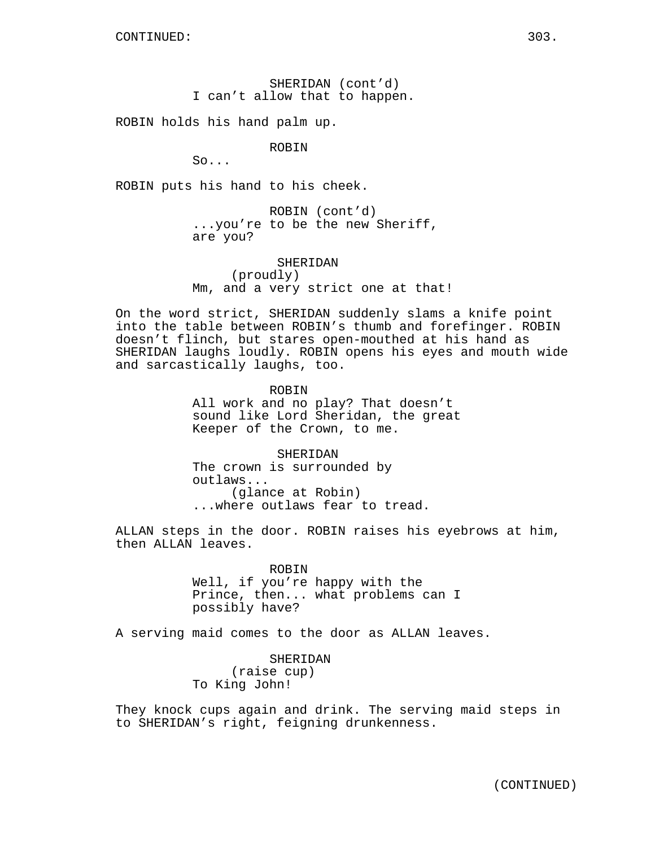SHERIDAN (cont'd) I can't allow that to happen.

ROBIN holds his hand palm up.

ROBIN

 $So.$ ...

ROBIN puts his hand to his cheek.

ROBIN (cont'd) ...you're to be the new Sheriff, are you?

SHERIDAN (proudly) Mm, and a very strict one at that!

On the word strict, SHERIDAN suddenly slams a knife point into the table between ROBIN's thumb and forefinger. ROBIN doesn't flinch, but stares open-mouthed at his hand as SHERIDAN laughs loudly. ROBIN opens his eyes and mouth wide and sarcastically laughs, too.

> ROBIN All work and no play? That doesn't sound like Lord Sheridan, the great Keeper of the Crown, to me.

SHERIDAN The crown is surrounded by outlaws... (glance at Robin) ...where outlaws fear to tread.

ALLAN steps in the door. ROBIN raises his eyebrows at him, then ALLAN leaves.

> ROBIN Well, if you're happy with the Prince, then... what problems can I possibly have?

A serving maid comes to the door as ALLAN leaves.

SHERIDAN (raise cup) To King John!

They knock cups again and drink. The serving maid steps in to SHERIDAN's right, feigning drunkenness.

(CONTINUED)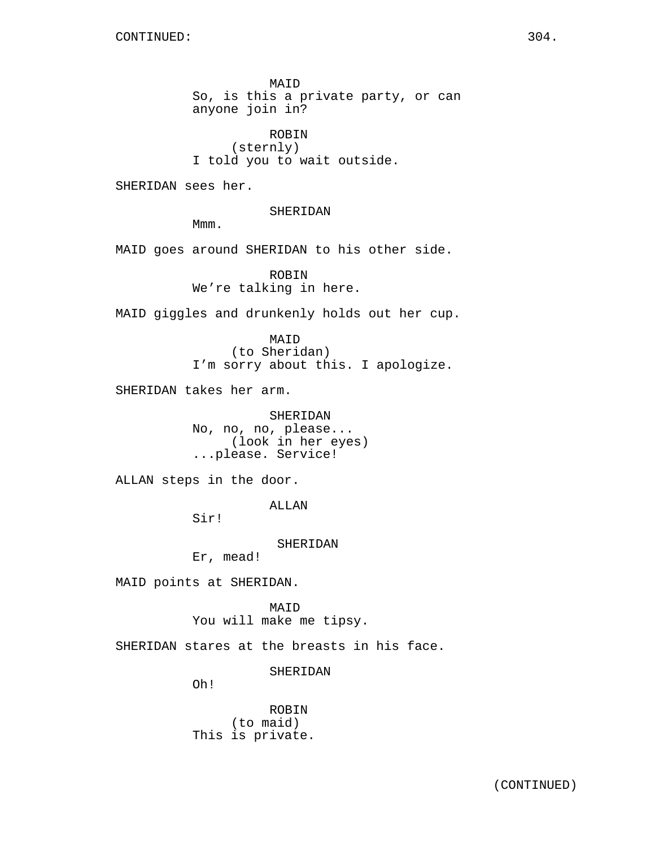MAID So, is this a private party, or can anyone join in?

ROBIN (sternly) I told you to wait outside.

SHERIDAN sees her.

SHERIDAN

Mmm.

MAID goes around SHERIDAN to his other side.

ROBIN We're talking in here.

MAID giggles and drunkenly holds out her cup.

MAID (to Sheridan) I'm sorry about this. I apologize.

SHERIDAN takes her arm.

SHERIDAN No, no, no, please... (look in her eyes) ...please. Service!

ALLAN steps in the door.

ALLAN

Sir!

SHERIDAN

Er, mead!

MAID points at SHERIDAN.

**MATD** You will make me tipsy.

SHERIDAN stares at the breasts in his face.

SHERIDAN

Oh!

ROBIN (to maid) This is private.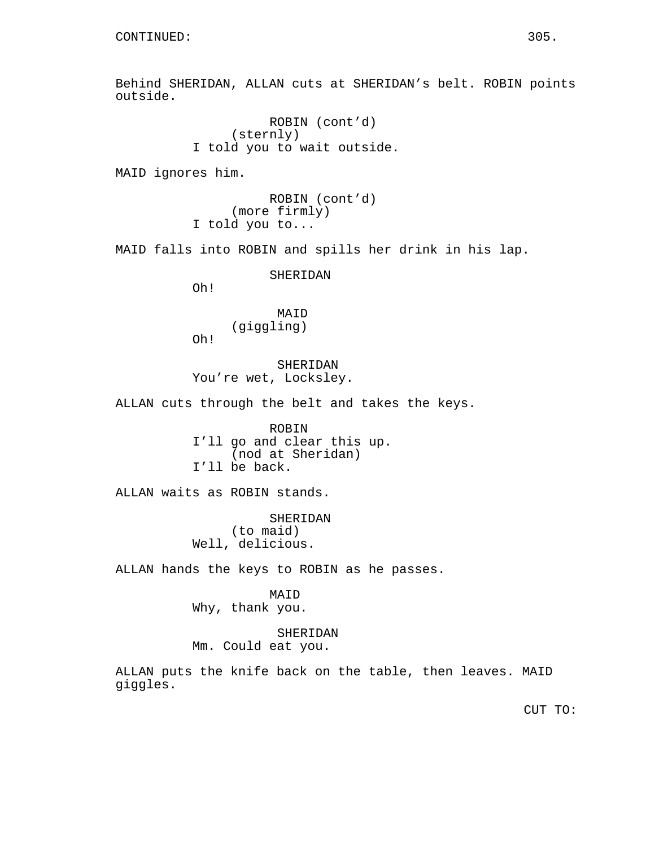Behind SHERIDAN, ALLAN cuts at SHERIDAN's belt. ROBIN points outside.

> ROBIN (cont'd) (sternly) I told you to wait outside.

MAID ignores him.

ROBIN (cont'd) (more firmly) I told you to...

MAID falls into ROBIN and spills her drink in his lap.

SHERIDAN

Oh!

Oh!

MAID (giggling)

SHERIDAN You're wet, Locksley.

ALLAN cuts through the belt and takes the keys.

ROBIN I'll go and clear this up. (nod at Sheridan) I'll be back.

ALLAN waits as ROBIN stands.

SHERIDAN (to maid) Well, delicious.

ALLAN hands the keys to ROBIN as he passes.

MAID Why, thank you.

SHERIDAN Mm. Could eat you.

ALLAN puts the knife back on the table, then leaves. MAID giggles.

CUT TO: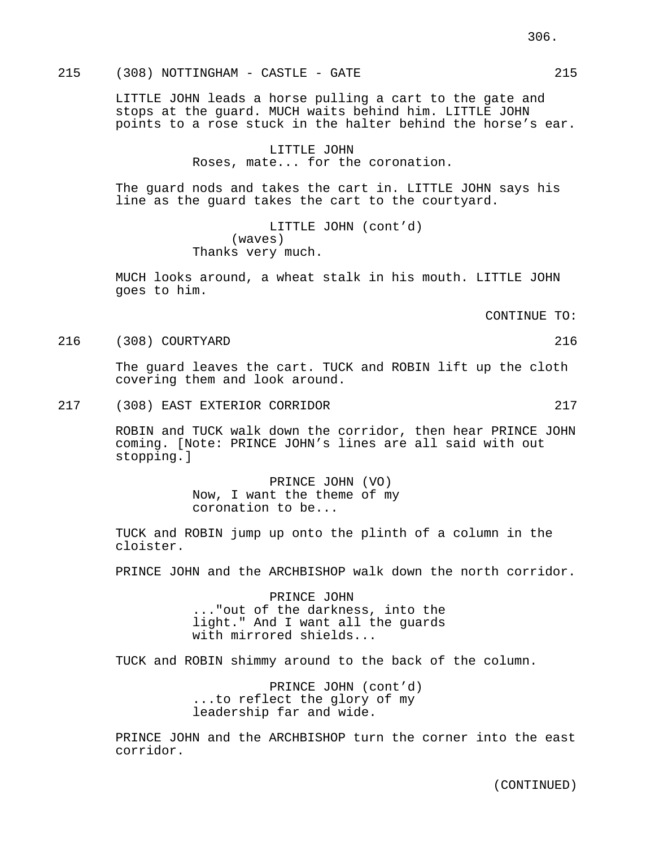215 (308) NOTTINGHAM - CASTLE - GATE 215

LITTLE JOHN leads a horse pulling a cart to the gate and stops at the guard. MUCH waits behind him. LITTLE JOHN points to a rose stuck in the halter behind the horse's ear.

> LITTLE JOHN Roses, mate... for the coronation.

The guard nods and takes the cart in. LITTLE JOHN says his line as the guard takes the cart to the courtyard.

> LITTLE JOHN (cont'd) (waves) Thanks very much.

MUCH looks around, a wheat stalk in his mouth. LITTLE JOHN goes to him.

CONTINUE TO:

216 (308) COURTYARD 216

The guard leaves the cart. TUCK and ROBIN lift up the cloth covering them and look around.

217 (308) EAST EXTERIOR CORRIDOR 217

ROBIN and TUCK walk down the corridor, then hear PRINCE JOHN coming. [Note: PRINCE JOHN's lines are all said with out stopping.]

> PRINCE JOHN (VO) Now, I want the theme of my coronation to be...

TUCK and ROBIN jump up onto the plinth of a column in the cloister.

PRINCE JOHN and the ARCHBISHOP walk down the north corridor.

PRINCE JOHN ..."out of the darkness, into the light." And I want all the guards with mirrored shields...

TUCK and ROBIN shimmy around to the back of the column.

PRINCE JOHN (cont'd) ...to reflect the glory of my leadership far and wide.

PRINCE JOHN and the ARCHBISHOP turn the corner into the east corridor.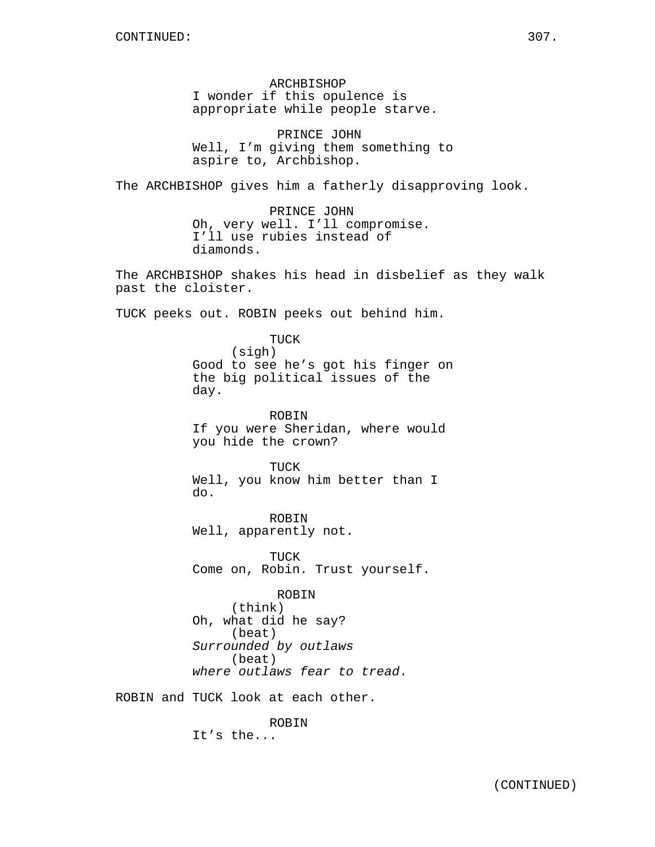ARCHBISHOP I wonder if this opulence is appropriate while people starve.

PRINCE JOHN Well, I'm giving them something to aspire to, Archbishop.

The ARCHBISHOP gives him a fatherly disapproving look.

PRINCE JOHN Oh, very well. I'll compromise. I'll use rubies instead of diamonds.

The ARCHBISHOP shakes his head in disbelief as they walk past the cloister.

TUCK peeks out. ROBIN peeks out behind him.

TUCK (sigh) Good to see he's got his finger on the big political issues of the day.

ROBIN If you were Sheridan, where would you hide the crown?

TUCK Well, you know him better than I do.

ROBIN Well, apparently not.

TUCK Come on, Robin. Trust yourself.

ROBIN (think) Oh, what did he say? (beat) Surrounded by outlaws (beat) where outlaws fear to tread.

ROBIN and TUCK look at each other.

ROBIN

It's the...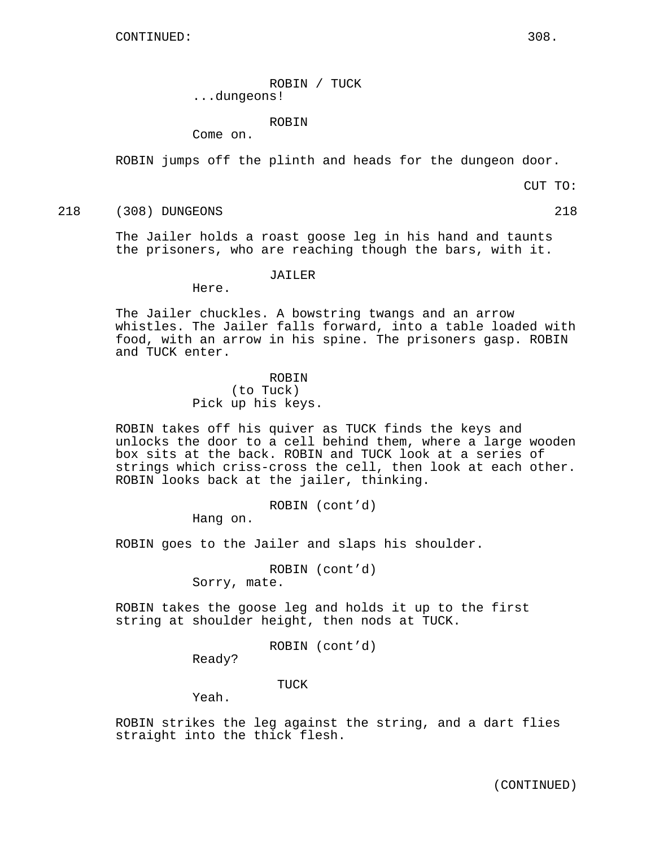ROBIN / TUCK ...dungeons!

ROBIN

Come on.

ROBIN jumps off the plinth and heads for the dungeon door.

CUT TO:

218 (308) DUNGEONS 218

The Jailer holds a roast goose leg in his hand and taunts the prisoners, who are reaching though the bars, with it.

JAILER

Here.

The Jailer chuckles. A bowstring twangs and an arrow whistles. The Jailer falls forward, into a table loaded with food, with an arrow in his spine. The prisoners gasp. ROBIN and TUCK enter.

## ROBIN

(to Tuck) Pick up his keys.

ROBIN takes off his quiver as TUCK finds the keys and unlocks the door to a cell behind them, where a large wooden box sits at the back. ROBIN and TUCK look at a series of strings which criss-cross the cell, then look at each other. ROBIN looks back at the jailer, thinking.

ROBIN (cont'd)

Hang on.

ROBIN goes to the Jailer and slaps his shoulder.

ROBIN (cont'd) Sorry, mate.

ROBIN takes the goose leg and holds it up to the first string at shoulder height, then nods at TUCK.

ROBIN (cont'd)

Ready?

TUCK

Yeah.

ROBIN strikes the leg against the string, and a dart flies straight into the thick flesh.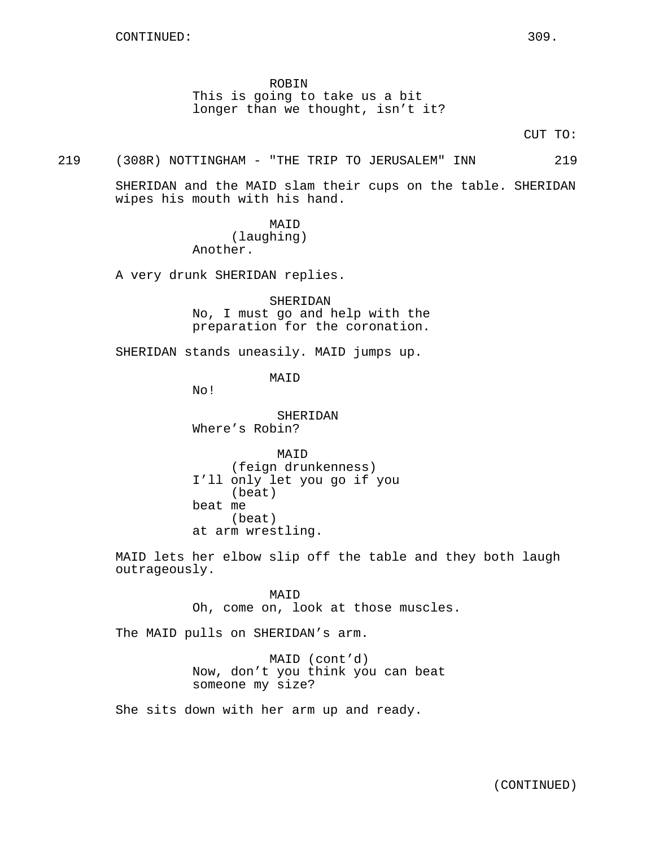ROBIN This is going to take us a bit longer than we thought, isn't it?

CUT TO:

#### 219 (308R) NOTTINGHAM - "THE TRIP TO JERUSALEM" INN 219

SHERIDAN and the MAID slam their cups on the table. SHERIDAN wipes his mouth with his hand.

> MAID (laughing) Another.

A very drunk SHERIDAN replies.

SHERIDAN No, I must go and help with the preparation for the coronation.

SHERIDAN stands uneasily. MAID jumps up.

MAID

No!

SHERIDAN Where's Robin?

MAID (feign drunkenness) I'll only let you go if you (beat) beat me (beat) at arm wrestling.

MAID lets her elbow slip off the table and they both laugh outrageously.

> MAID Oh, come on, look at those muscles.

The MAID pulls on SHERIDAN's arm.

MAID (cont'd) Now, don't you think you can beat someone my size?

She sits down with her arm up and ready.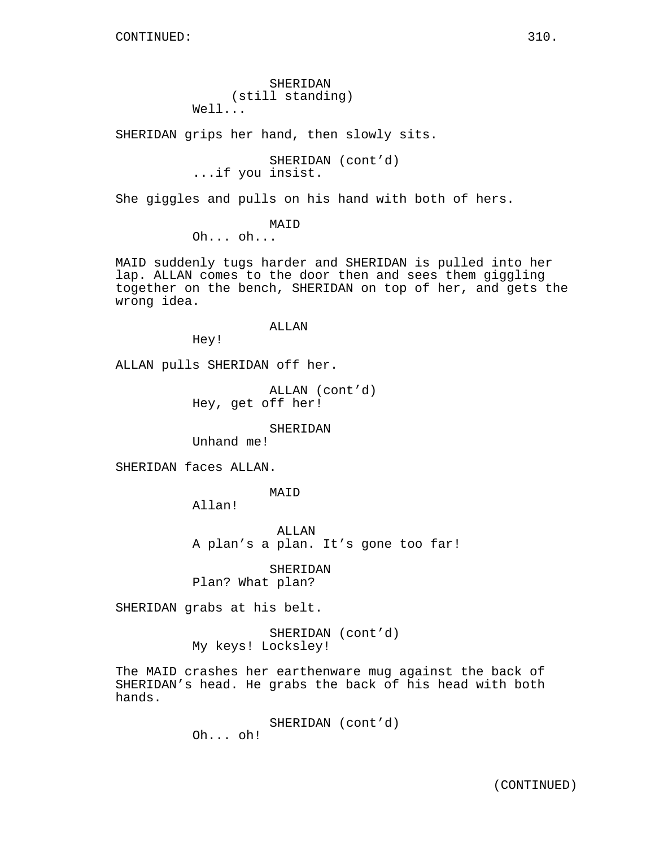SHERIDAN (still standing) Well...

SHERIDAN grips her hand, then slowly sits.

SHERIDAN (cont'd) ...if you insist.

She giggles and pulls on his hand with both of hers.

MAID

Oh... oh...

MAID suddenly tugs harder and SHERIDAN is pulled into her lap. ALLAN comes to the door then and sees them giggling together on the bench, SHERIDAN on top of her, and gets the wrong idea.

#### ALLAN

Hey!

ALLAN pulls SHERIDAN off her.

ALLAN (cont'd) Hey, get off her!

## SHERIDAN

Unhand me!

SHERIDAN faces ALLAN.

MAID

Allan!

ALLAN A plan's a plan. It's gone too far!

SHERIDAN Plan? What plan?

SHERIDAN grabs at his belt.

SHERIDAN (cont'd) My keys! Locksley!

The MAID crashes her earthenware mug against the back of SHERIDAN's head. He grabs the back of his head with both hands.

> SHERIDAN (cont'd) Oh... oh!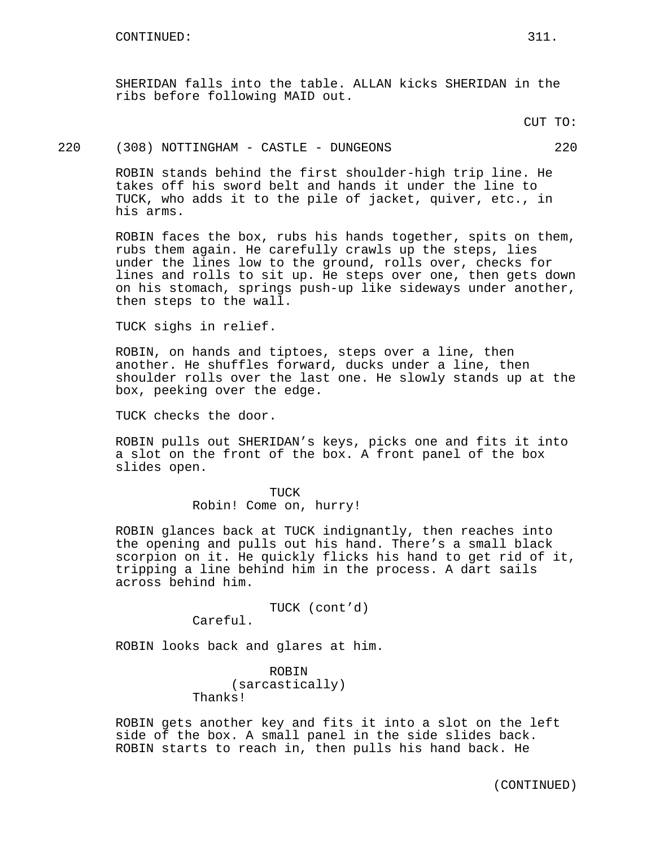SHERIDAN falls into the table. ALLAN kicks SHERIDAN in the ribs before following MAID out.

CUT TO:

#### 220 (308) NOTTINGHAM - CASTLE - DUNGEONS 220

ROBIN stands behind the first shoulder-high trip line. He takes off his sword belt and hands it under the line to TUCK, who adds it to the pile of jacket, quiver, etc., in his arms.

ROBIN faces the box, rubs his hands together, spits on them, rubs them again. He carefully crawls up the steps, lies under the lines low to the ground, rolls over, checks for lines and rolls to sit up. He steps over one, then gets down on his stomach, springs push-up like sideways under another, then steps to the wall.

TUCK sighs in relief.

ROBIN, on hands and tiptoes, steps over a line, then another. He shuffles forward, ducks under a line, then shoulder rolls over the last one. He slowly stands up at the box, peeking over the edge.

TUCK checks the door.

ROBIN pulls out SHERIDAN's keys, picks one and fits it into a slot on the front of the box. A front panel of the box slides open.

> TUCK Robin! Come on, hurry!

ROBIN glances back at TUCK indignantly, then reaches into the opening and pulls out his hand. There's a small black scorpion on it. He quickly flicks his hand to get rid of it, tripping a line behind him in the process. A dart sails across behind him.

TUCK (cont'd)

Careful.

ROBIN looks back and glares at him.

ROBIN (sarcastically) Thanks!

ROBIN gets another key and fits it into a slot on the left side of the box. A small panel in the side slides back. ROBIN starts to reach in, then pulls his hand back. He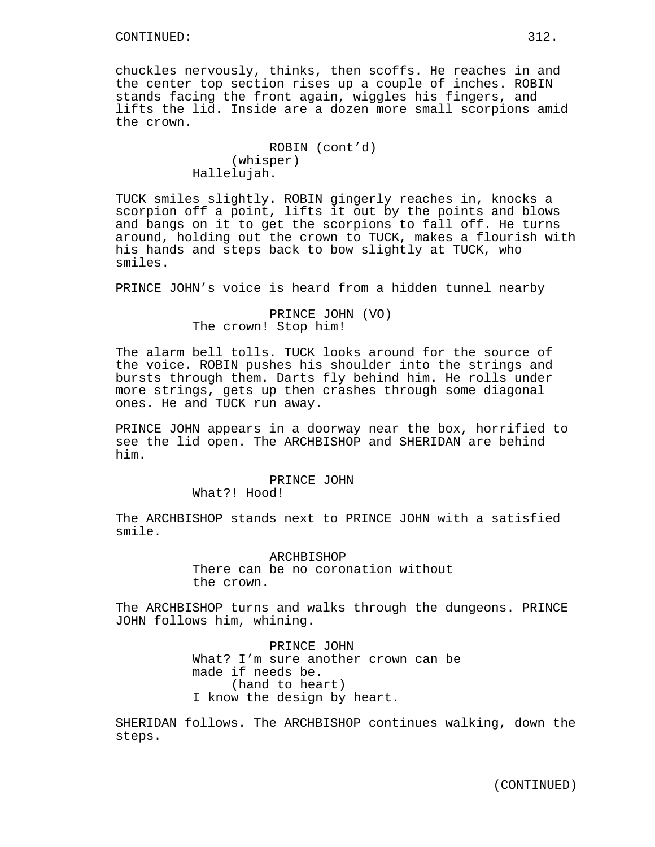chuckles nervously, thinks, then scoffs. He reaches in and the center top section rises up a couple of inches. ROBIN stands facing the front again, wiggles his fingers, and lifts the lid. Inside are a dozen more small scorpions amid the crown.

```
ROBIN (cont'd)
     (whisper)
Hallelujah.
```
TUCK smiles slightly. ROBIN gingerly reaches in, knocks a scorpion off a point, lifts it out by the points and blows and bangs on it to get the scorpions to fall off. He turns around, holding out the crown to TUCK, makes a flourish with his hands and steps back to bow slightly at TUCK, who smiles.

PRINCE JOHN's voice is heard from a hidden tunnel nearby

PRINCE JOHN (VO) The crown! Stop him!

The alarm bell tolls. TUCK looks around for the source of the voice. ROBIN pushes his shoulder into the strings and bursts through them. Darts fly behind him. He rolls under more strings, gets up then crashes through some diagonal ones. He and TUCK run away.

PRINCE JOHN appears in a doorway near the box, horrified to see the lid open. The ARCHBISHOP and SHERIDAN are behind him.

## PRINCE JOHN

What?! Hood!

The ARCHBISHOP stands next to PRINCE JOHN with a satisfied smile.

> ARCHBISHOP There can be no coronation without the crown.

The ARCHBISHOP turns and walks through the dungeons. PRINCE JOHN follows him, whining.

> PRINCE JOHN What? I'm sure another crown can be made if needs be. (hand to heart) I know the design by heart.

SHERIDAN follows. The ARCHBISHOP continues walking, down the steps.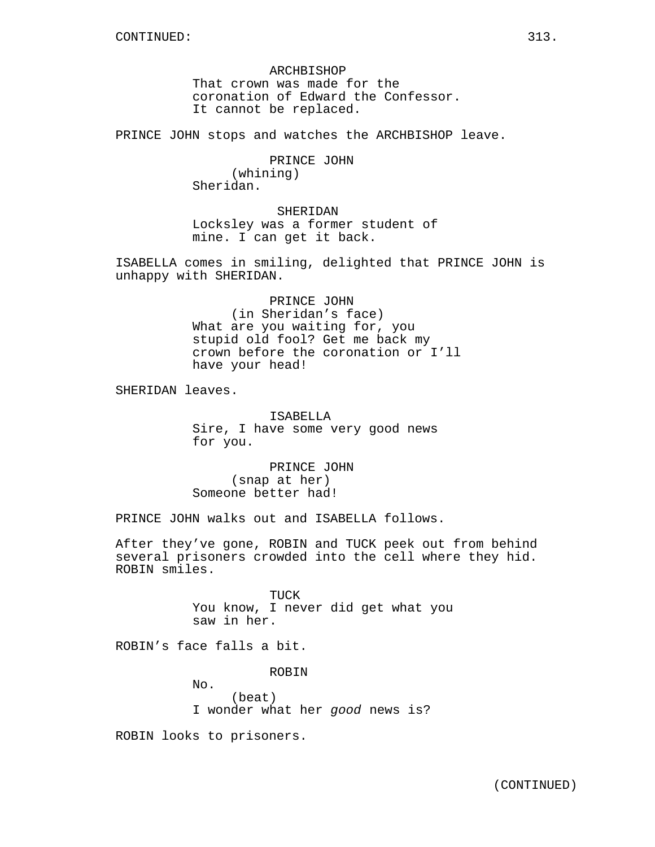ARCHBISHOP That crown was made for the coronation of Edward the Confessor. It cannot be replaced.

PRINCE JOHN stops and watches the ARCHBISHOP leave.

PRINCE JOHN (whining) Sheridan.

SHERIDAN Locksley was a former student of mine. I can get it back.

ISABELLA comes in smiling, delighted that PRINCE JOHN is unhappy with SHERIDAN.

> PRINCE JOHN (in Sheridan's face) What are you waiting for, you stupid old fool? Get me back my crown before the coronation or I'll have your head!

SHERIDAN leaves.

ISABELLA Sire, I have some very good news for you.

PRINCE JOHN (snap at her) Someone better had!

PRINCE JOHN walks out and ISABELLA follows.

After they've gone, ROBIN and TUCK peek out from behind several prisoners crowded into the cell where they hid. ROBIN smiles.

> TUCK You know, I never did get what you saw in her.

ROBIN's face falls a bit.

No.

ROBIN

(beat) I wonder what her good news is?

ROBIN looks to prisoners.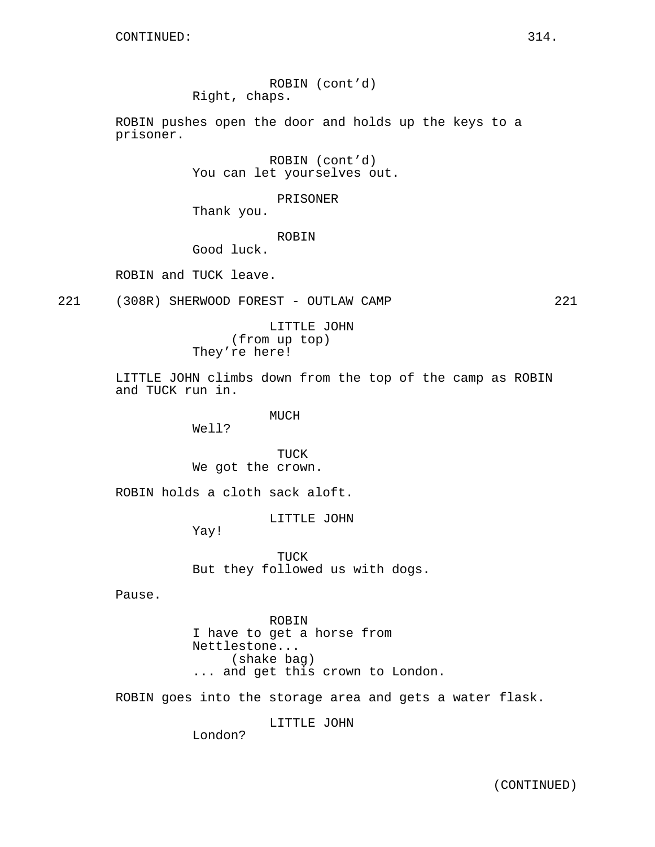ROBIN (cont'd) Right, chaps.

ROBIN pushes open the door and holds up the keys to a prisoner.

> ROBIN (cont'd) You can let yourselves out.

> > PRISONER

Thank you.

ROBIN

Good luck.

ROBIN and TUCK leave.

221 (308R) SHERWOOD FOREST - OUTLAW CAMP 221

LITTLE JOHN (from up top) They're here!

LITTLE JOHN climbs down from the top of the camp as ROBIN and TUCK run in.

MUCH

Well?

TUCK We got the crown.

ROBIN holds a cloth sack aloft.

LITTLE JOHN

Yay!

TUCK But they followed us with dogs.

Pause.

ROBIN I have to get a horse from Nettlestone... (shake bag) ... and get this crown to London.

ROBIN goes into the storage area and gets a water flask.

LITTLE JOHN

London?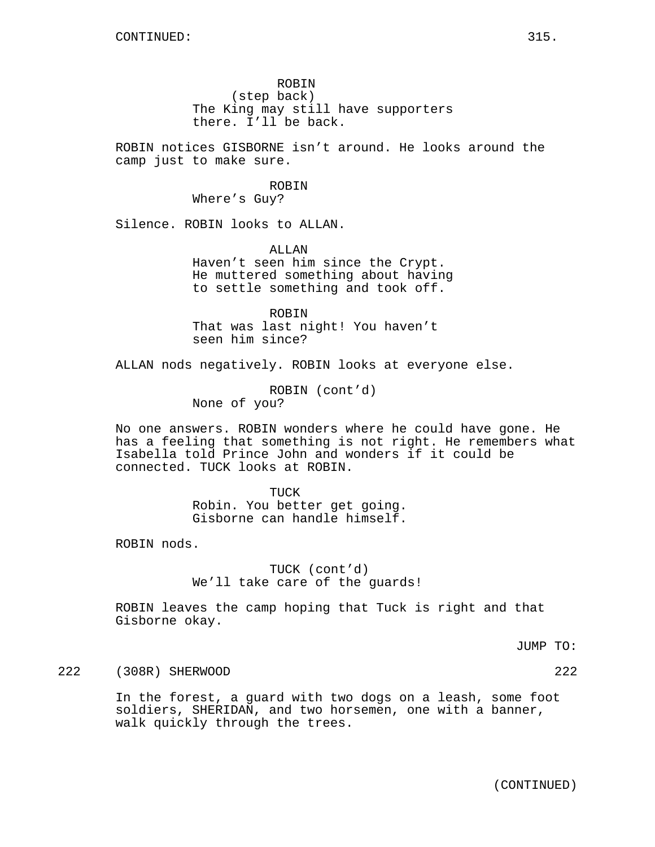ROBIN notices GISBORNE isn't around. He looks around the camp just to make sure.

# ROBIN

Where's Guy?

Silence. ROBIN looks to ALLAN.

ALLAN Haven't seen him since the Crypt. He muttered something about having to settle something and took off.

ROBIN That was last night! You haven't seen him since?

ALLAN nods negatively. ROBIN looks at everyone else.

ROBIN (cont'd) None of you?

No one answers. ROBIN wonders where he could have gone. He has a feeling that something is not right. He remembers what Isabella told Prince John and wonders if it could be connected. TUCK looks at ROBIN.

> TUCK Robin. You better get going. Gisborne can handle himself.

ROBIN nods.

TUCK (cont'd) We'll take care of the guards!

ROBIN leaves the camp hoping that Tuck is right and that Gisborne okay.

JUMP TO:

222 (308R) SHERWOOD 222

In the forest, a guard with two dogs on a leash, some foot soldiers, SHERIDAN, and two horsemen, one with a banner, walk quickly through the trees.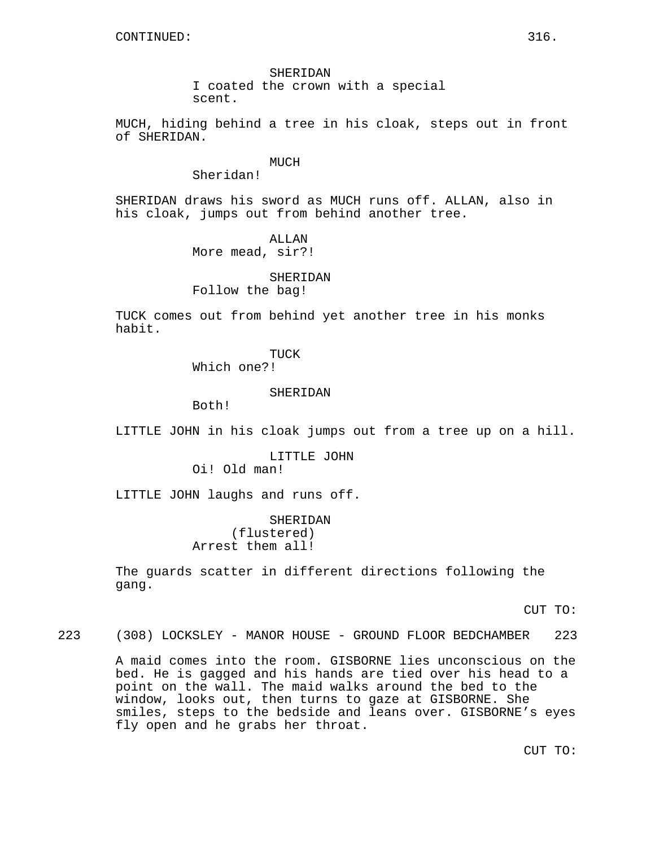SHERIDAN I coated the crown with a special scent.

MUCH, hiding behind a tree in his cloak, steps out in front of SHERIDAN.

#### MUCH

Sheridan!

SHERIDAN draws his sword as MUCH runs off. ALLAN, also in his cloak, jumps out from behind another tree.

> ALLAN More mead, sir?!

SHERIDAN Follow the bag!

TUCK comes out from behind yet another tree in his monks habit.

# TUCK

Which one?!

#### SHERIDAN

Both!

LITTLE JOHN in his cloak jumps out from a tree up on a hill.

LITTLE JOHN Oi! Old man!

LITTLE JOHN laughs and runs off.

SHERIDAN (flustered) Arrest them all!

The guards scatter in different directions following the gang.

CUT TO:

223 (308) LOCKSLEY - MANOR HOUSE - GROUND FLOOR BEDCHAMBER 223

A maid comes into the room. GISBORNE lies unconscious on the bed. He is gagged and his hands are tied over his head to a point on the wall. The maid walks around the bed to the window, looks out, then turns to gaze at GISBORNE. She smiles, steps to the bedside and leans over. GISBORNE's eyes fly open and he grabs her throat.

CUT TO: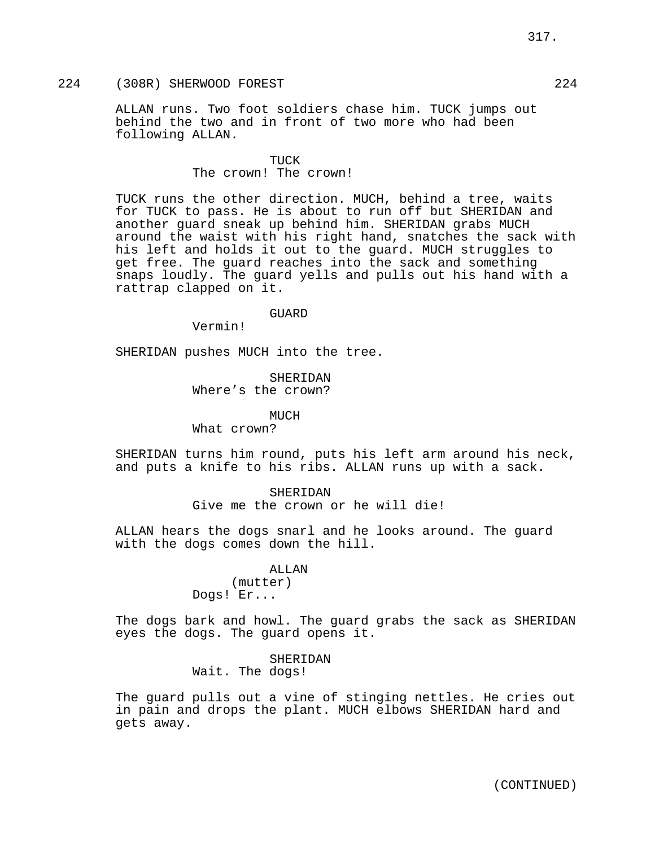# 224 (308R) SHERWOOD FOREST 224

ALLAN runs. Two foot soldiers chase him. TUCK jumps out behind the two and in front of two more who had been following ALLAN.

## TUCK The crown! The crown!

TUCK runs the other direction. MUCH, behind a tree, waits for TUCK to pass. He is about to run off but SHERIDAN and another guard sneak up behind him. SHERIDAN grabs MUCH around the waist with his right hand, snatches the sack with his left and holds it out to the guard. MUCH struggles to get free. The guard reaches into the sack and something snaps loudly. The guard yells and pulls out his hand with a rattrap clapped on it.

#### GUARD

Vermin!

SHERIDAN pushes MUCH into the tree.

SHERIDAN Where's the crown?

MUCH What crown?

SHERIDAN turns him round, puts his left arm around his neck, and puts a knife to his ribs. ALLAN runs up with a sack.

## SHERIDAN

Give me the crown or he will die!

ALLAN hears the dogs snarl and he looks around. The guard with the dogs comes down the hill.

#### ALLAN

(mutter) Dogs! Er...

The dogs bark and howl. The guard grabs the sack as SHERIDAN eyes the dogs. The guard opens it.

> SHERIDAN Wait. The dogs!

The guard pulls out a vine of stinging nettles. He cries out in pain and drops the plant. MUCH elbows SHERIDAN hard and gets away.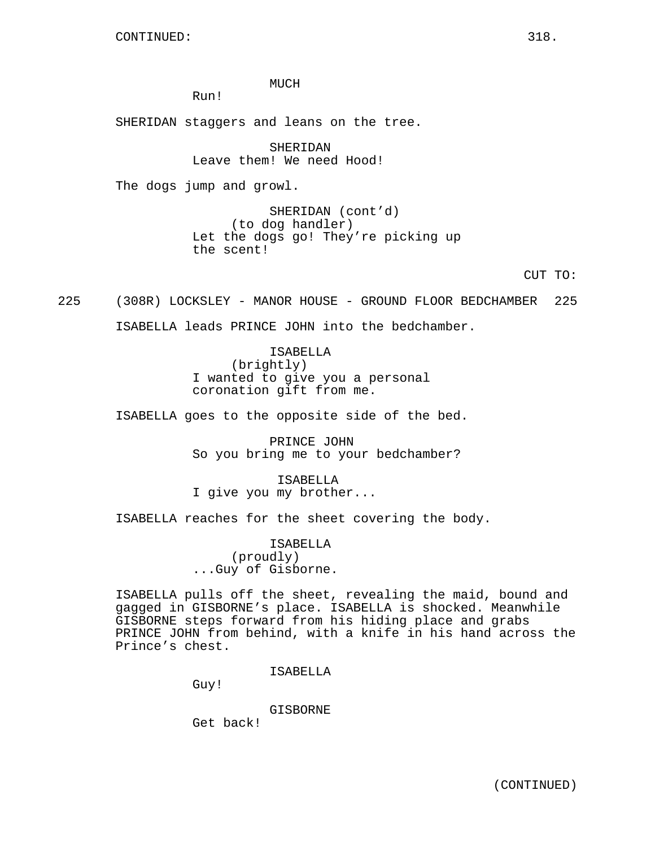MUCH

Run!

SHERIDAN staggers and leans on the tree.

SHERIDAN Leave them! We need Hood!

The dogs jump and growl.

SHERIDAN (cont'd) (to dog handler) Let the dogs go! They're picking up the scent!

CUT TO:

225 (308R) LOCKSLEY - MANOR HOUSE - GROUND FLOOR BEDCHAMBER 225 ISABELLA leads PRINCE JOHN into the bedchamber.

> ISABELLA (brightly) I wanted to give you a personal coronation gift from me.

ISABELLA goes to the opposite side of the bed.

PRINCE JOHN So you bring me to your bedchamber?

ISABELLA I give you my brother...

ISABELLA reaches for the sheet covering the body.

ISABELLA (proudly) ...Guy of Gisborne.

ISABELLA pulls off the sheet, revealing the maid, bound and gagged in GISBORNE's place. ISABELLA is shocked. Meanwhile GISBORNE steps forward from his hiding place and grabs PRINCE JOHN from behind, with a knife in his hand across the Prince's chest.

ISABELLA

Guy!

GISBORNE

Get back!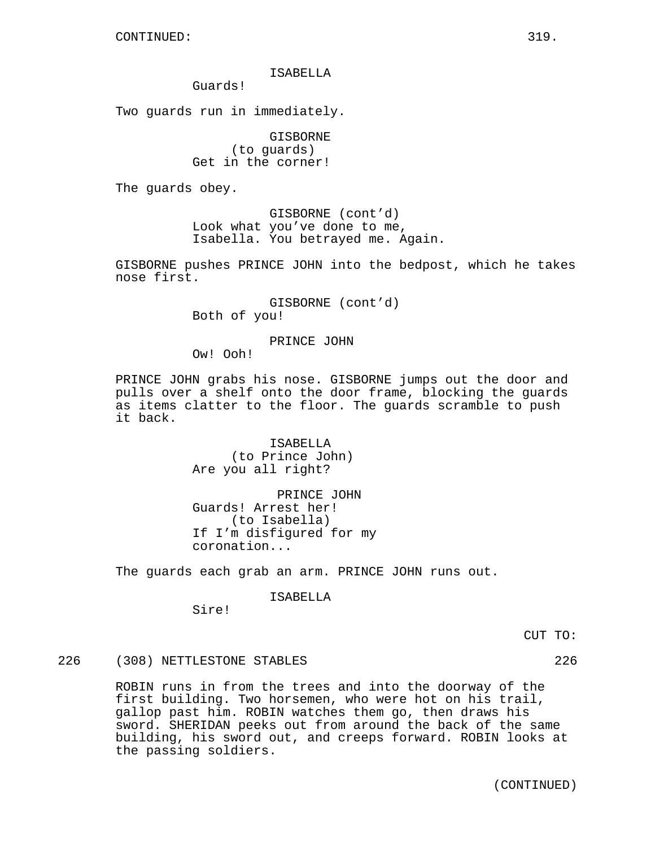## ISABELLA

Guards!

Two guards run in immediately.

GISBORNE (to guards) Get in the corner!

The guards obey.

GISBORNE (cont'd) Look what you've done to me, Isabella. You betrayed me. Again.

GISBORNE pushes PRINCE JOHN into the bedpost, which he takes nose first.

> GISBORNE (cont'd) Both of you!

## PRINCE JOHN

Ow! Ooh!

PRINCE JOHN grabs his nose. GISBORNE jumps out the door and pulls over a shelf onto the door frame, blocking the guards as items clatter to the floor. The guards scramble to push it back.

> ISABELLA (to Prince John) Are you all right?

PRINCE JOHN Guards! Arrest her! (to Isabella) If I'm disfigured for my coronation...

The guards each grab an arm. PRINCE JOHN runs out.

ISABELLA

Sire!

CUT TO:

226 (308) NETTLESTONE STABLES 226

ROBIN runs in from the trees and into the doorway of the first building. Two horsemen, who were hot on his trail, gallop past him. ROBIN watches them go, then draws his sword. SHERIDAN peeks out from around the back of the same building, his sword out, and creeps forward. ROBIN looks at the passing soldiers.

(CONTINUED)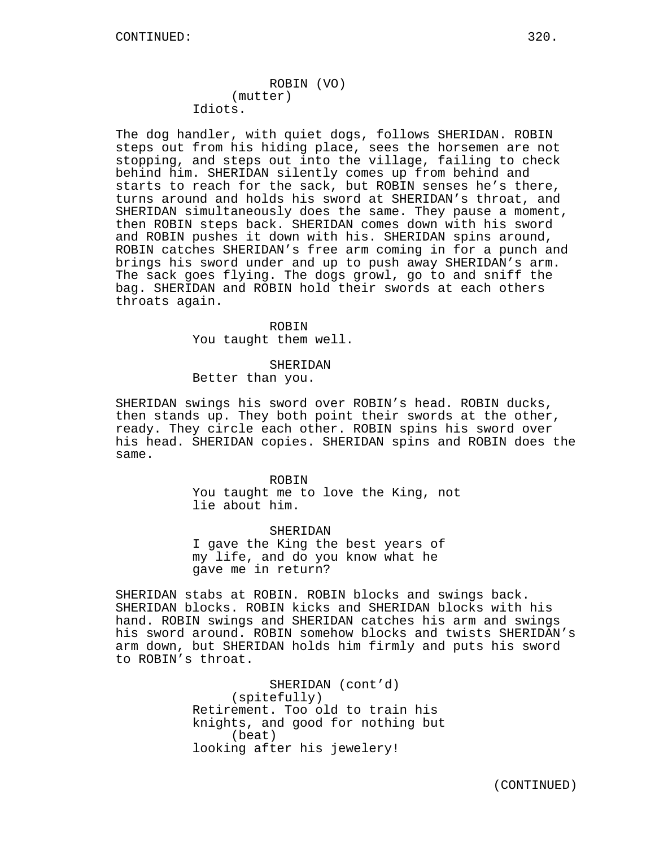# ROBIN (VO) (mutter) Idiots.

The dog handler, with quiet dogs, follows SHERIDAN. ROBIN steps out from his hiding place, sees the horsemen are not stopping, and steps out into the village, failing to check behind him. SHERIDAN silently comes up from behind and starts to reach for the sack, but ROBIN senses he's there, turns around and holds his sword at SHERIDAN's throat, and SHERIDAN simultaneously does the same. They pause a moment, then ROBIN steps back. SHERIDAN comes down with his sword and ROBIN pushes it down with his. SHERIDAN spins around, ROBIN catches SHERIDAN's free arm coming in for a punch and brings his sword under and up to push away SHERIDAN's arm. The sack goes flying. The dogs growl, go to and sniff the bag. SHERIDAN and ROBIN hold their swords at each others throats again.

#### ROBIN

You taught them well.

## SHERIDAN

Better than you.

SHERIDAN swings his sword over ROBIN's head. ROBIN ducks, then stands up. They both point their swords at the other, ready. They circle each other. ROBIN spins his sword over his head. SHERIDAN copies. SHERIDAN spins and ROBIN does the same.

> ROBIN You taught me to love the King, not lie about him.

SHERIDAN I gave the King the best years of my life, and do you know what he gave me in return?

SHERIDAN stabs at ROBIN. ROBIN blocks and swings back. SHERIDAN blocks. ROBIN kicks and SHERIDAN blocks with his hand. ROBIN swings and SHERIDAN catches his arm and swings his sword around. ROBIN somehow blocks and twists SHERIDAN's arm down, but SHERIDAN holds him firmly and puts his sword to ROBIN's throat.

> SHERIDAN (cont'd) (spitefully) Retirement. Too old to train his knights, and good for nothing but (beat) looking after his jewelery!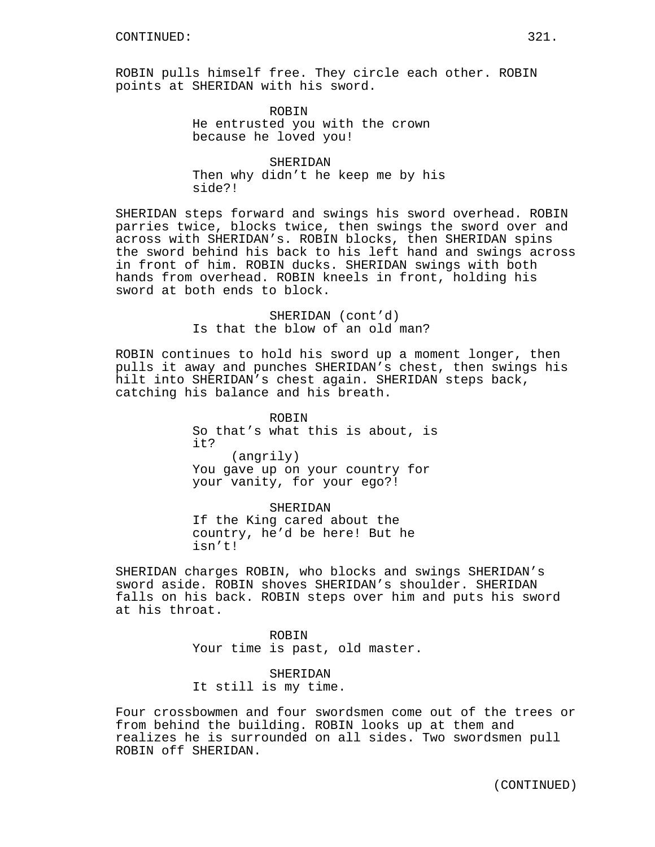ROBIN pulls himself free. They circle each other. ROBIN points at SHERIDAN with his sword.

> ROBIN He entrusted you with the crown because he loved you!

SHERIDAN Then why didn't he keep me by his side?!

SHERIDAN steps forward and swings his sword overhead. ROBIN parries twice, blocks twice, then swings the sword over and across with SHERIDAN's. ROBIN blocks, then SHERIDAN spins the sword behind his back to his left hand and swings across in front of him. ROBIN ducks. SHERIDAN swings with both hands from overhead. ROBIN kneels in front, holding his sword at both ends to block.

> SHERIDAN (cont'd) Is that the blow of an old man?

ROBIN continues to hold his sword up a moment longer, then pulls it away and punches SHERIDAN's chest, then swings his hilt into SHERIDAN's chest again. SHERIDAN steps back, catching his balance and his breath.

> ROBIN So that's what this is about, is it? (angrily) You gave up on your country for your vanity, for your ego?!

SHERIDAN If the King cared about the country, he'd be here! But he isn't!

SHERIDAN charges ROBIN, who blocks and swings SHERIDAN's sword aside. ROBIN shoves SHERIDAN's shoulder. SHERIDAN falls on his back. ROBIN steps over him and puts his sword at his throat.

> ROBIN Your time is past, old master.

SHERIDAN It still is my time.

Four crossbowmen and four swordsmen come out of the trees or from behind the building. ROBIN looks up at them and realizes he is surrounded on all sides. Two swordsmen pull ROBIN off SHERIDAN.

(CONTINUED)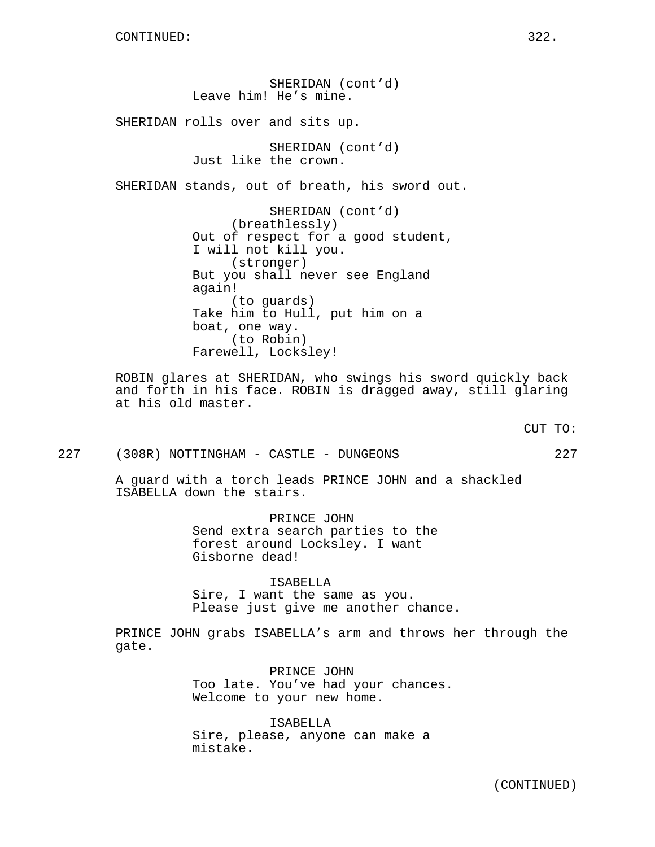SHERIDAN (cont'd) Leave him! He's mine. SHERIDAN rolls over and sits up. SHERIDAN (cont'd) Just like the crown. SHERIDAN stands, out of breath, his sword out. SHERIDAN (cont'd) (breathlessly) Out of respect for a good student, I will not kill you. (stronger) But you shall never see England again! (to guards) Take him to Hull, put him on a boat, one way. (to Robin) Farewell, Locksley!

ROBIN glares at SHERIDAN, who swings his sword quickly back and forth in his face. ROBIN is dragged away, still glaring at his old master.

CUT TO:

227 (308R) NOTTINGHAM - CASTLE - DUNGEONS 227

A guard with a torch leads PRINCE JOHN and a shackled ISABELLA down the stairs.

> PRINCE JOHN Send extra search parties to the forest around Locksley. I want Gisborne dead!

ISABELLA Sire, I want the same as you. Please just give me another chance.

PRINCE JOHN grabs ISABELLA's arm and throws her through the gate.

> PRINCE JOHN Too late. You've had your chances. Welcome to your new home.

ISABELLA Sire, please, anyone can make a mistake.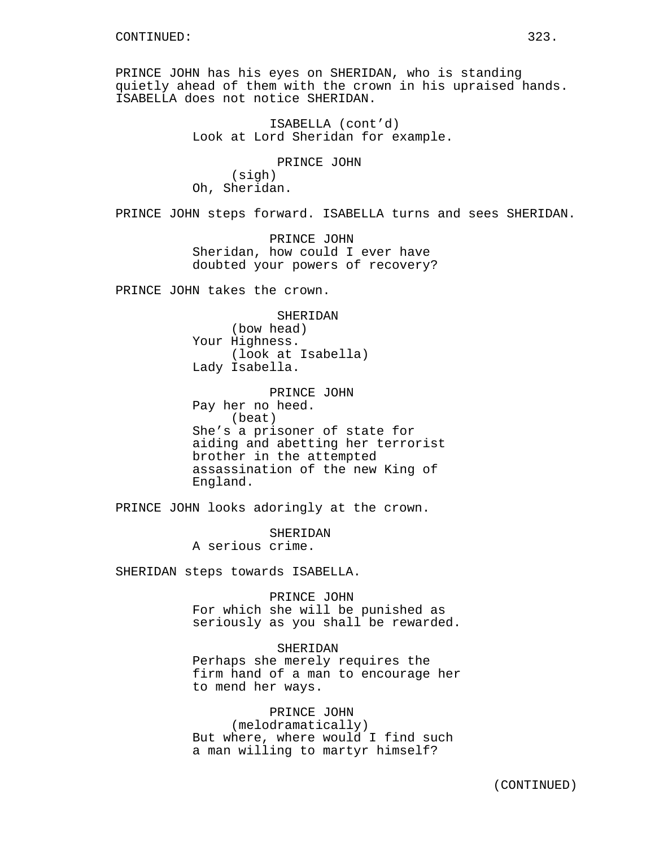PRINCE JOHN has his eyes on SHERIDAN, who is standing quietly ahead of them with the crown in his upraised hands. ISABELLA does not notice SHERIDAN.

> ISABELLA (cont'd) Look at Lord Sheridan for example.

PRINCE JOHN (sigh) Oh, Sheridan.

PRINCE JOHN steps forward. ISABELLA turns and sees SHERIDAN.

PRINCE JOHN Sheridan, how could I ever have doubted your powers of recovery?

PRINCE JOHN takes the crown.

SHERIDAN (bow head) Your Highness. (look at Isabella) Lady Isabella.

PRINCE JOHN Pay her no heed. (beat) She's a prisoner of state for aiding and abetting her terrorist brother in the attempted assassination of the new King of England.

PRINCE JOHN looks adoringly at the crown.

SHERIDAN A serious crime.

SHERIDAN steps towards ISABELLA.

PRINCE JOHN For which she will be punished as seriously as you shall be rewarded.

SHERIDAN Perhaps she merely requires the firm hand of a man to encourage her to mend her ways.

PRINCE JOHN (melodramatically) But where, where would I find such a man willing to martyr himself?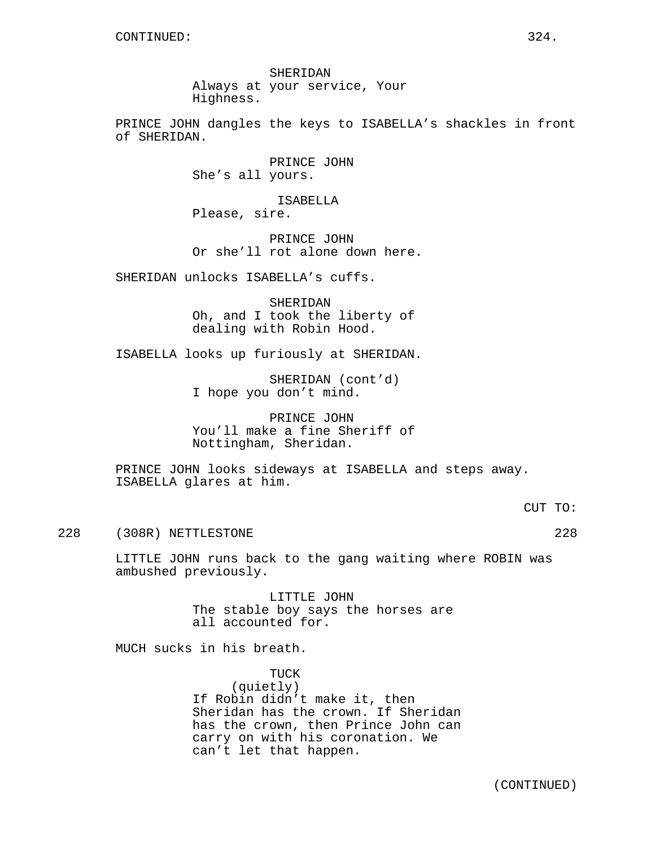SHERIDAN Always at your service, Your Highness.

PRINCE JOHN dangles the keys to ISABELLA's shackles in front of SHERIDAN.

> PRINCE JOHN She's all yours.

ISABELLA Please, sire.

PRINCE JOHN Or she'll rot alone down here.

SHERIDAN unlocks ISABELLA's cuffs.

SHERIDAN Oh, and I took the liberty of dealing with Robin Hood.

ISABELLA looks up furiously at SHERIDAN.

SHERIDAN (cont'd) I hope you don't mind.

PRINCE JOHN You'll make a fine Sheriff of Nottingham, Sheridan.

PRINCE JOHN looks sideways at ISABELLA and steps away. ISABELLA glares at him.

CUT TO:

228 (308R) NETTLESTONE 228

LITTLE JOHN runs back to the gang waiting where ROBIN was ambushed previously.

> LITTLE JOHN The stable boy says the horses are all accounted for.

MUCH sucks in his breath.

TUCK

(quietly) If Robin didn't make it, then Sheridan has the crown. If Sheridan has the crown, then Prince John can carry on with his coronation. We can't let that happen.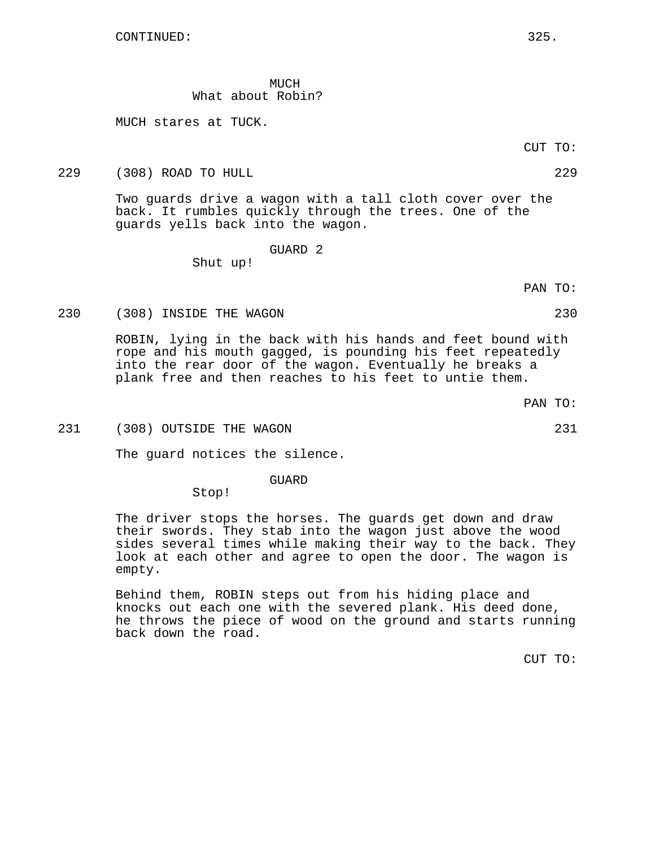MUCH What about Robin?

MUCH stares at TUCK.

229 (308) ROAD TO HULL 229

Two guards drive a wagon with a tall cloth cover over the back. It rumbles quickly through the trees. One of the guards yells back into the wagon.

GUARD 2

Shut up!

PAN TO:

#### 230 (308) INSIDE THE WAGON 230

ROBIN, lying in the back with his hands and feet bound with rope and his mouth gagged, is pounding his feet repeatedly into the rear door of the wagon. Eventually he breaks a plank free and then reaches to his feet to untie them.

231 (308) OUTSIDE THE WAGON 231 (231)

The guard notices the silence.

GUARD

Stop!

The driver stops the horses. The guards get down and draw their swords. They stab into the wagon just above the wood sides several times while making their way to the back. They look at each other and agree to open the door. The wagon is empty.

Behind them, ROBIN steps out from his hiding place and knocks out each one with the severed plank. His deed done, he throws the piece of wood on the ground and starts running back down the road.

CUT TO:

CUT TO:

PAN TO: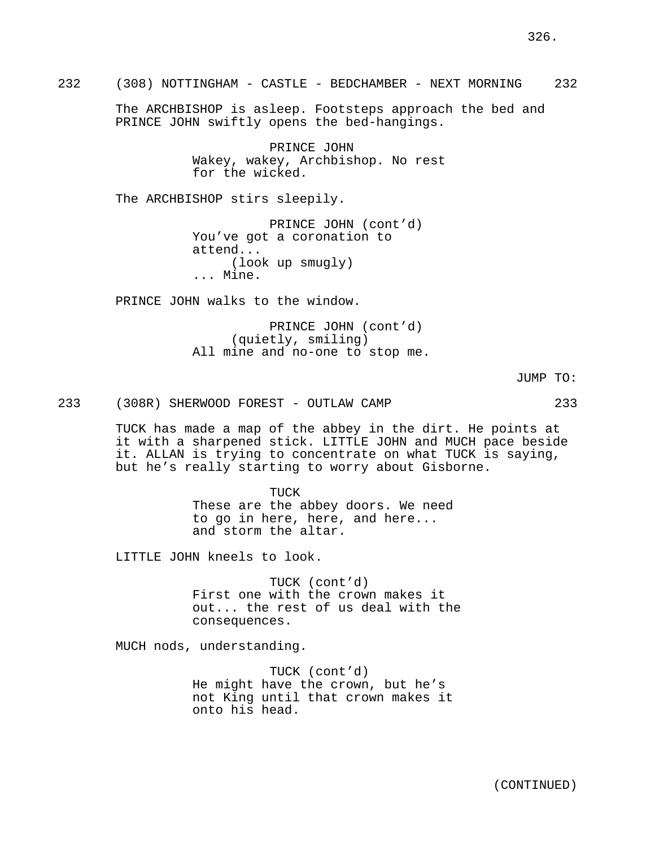The ARCHBISHOP is asleep. Footsteps approach the bed and PRINCE JOHN swiftly opens the bed-hangings.

> PRINCE JOHN Wakey, wakey, Archbishop. No rest for the wicked.

The ARCHBISHOP stirs sleepily.

PRINCE JOHN (cont'd) You've got a coronation to attend... (look up smugly) ... Mine.

PRINCE JOHN walks to the window.

PRINCE JOHN (cont'd) (quietly, smiling) All mine and no-one to stop me.

JUMP TO:

326.

233 (308R) SHERWOOD FOREST - OUTLAW CAMP 233

TUCK has made a map of the abbey in the dirt. He points at it with a sharpened stick. LITTLE JOHN and MUCH pace beside it. ALLAN is trying to concentrate on what TUCK is saying, but he's really starting to worry about Gisborne.

> TUCK These are the abbey doors. We need to go in here, here, and here... and storm the altar.

LITTLE JOHN kneels to look.

TUCK (cont'd) First one with the crown makes it out... the rest of us deal with the consequences.

MUCH nods, understanding.

TUCK (cont'd) He might have the crown, but he's not King until that crown makes it onto his head.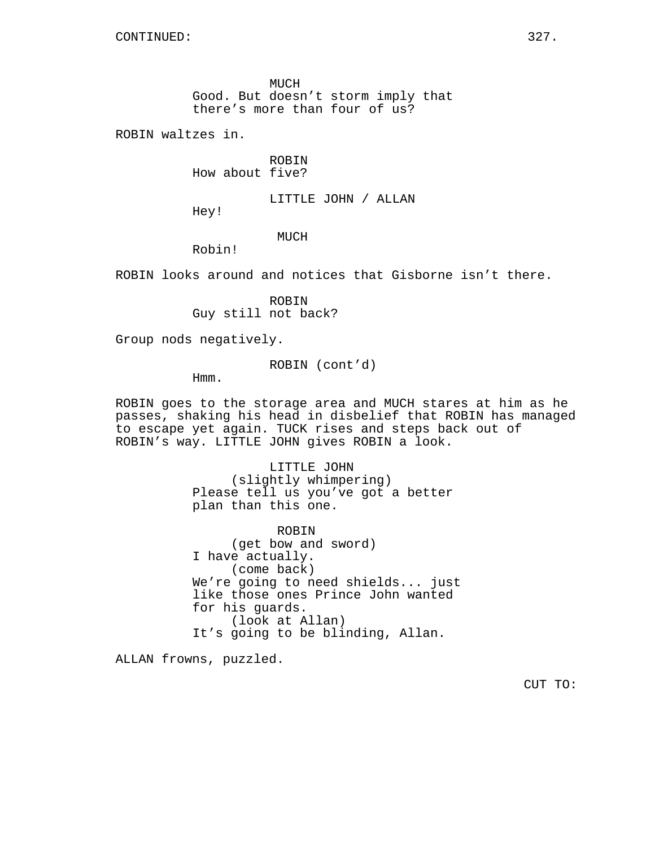MUCH Good. But doesn't storm imply that there's more than four of us?

ROBIN waltzes in.

ROBIN How about five?

LITTLE JOHN / ALLAN

Hey!

# MUCH

Robin!

ROBIN looks around and notices that Gisborne isn't there.

ROBIN Guy still not back?

Group nods negatively.

ROBIN (cont'd)

Hmm.

ROBIN goes to the storage area and MUCH stares at him as he passes, shaking his head in disbelief that ROBIN has managed to escape yet again. TUCK rises and steps back out of ROBIN's way. LITTLE JOHN gives ROBIN a look.

> LITTLE JOHN (slightly whimpering) Please tell us you've got a better plan than this one.

ROBIN (get bow and sword) I have actually. (come back) We're going to need shields... just like those ones Prince John wanted for his guards. (look at Allan) It's going to be blinding, Allan.

ALLAN frowns, puzzled.

CUT TO: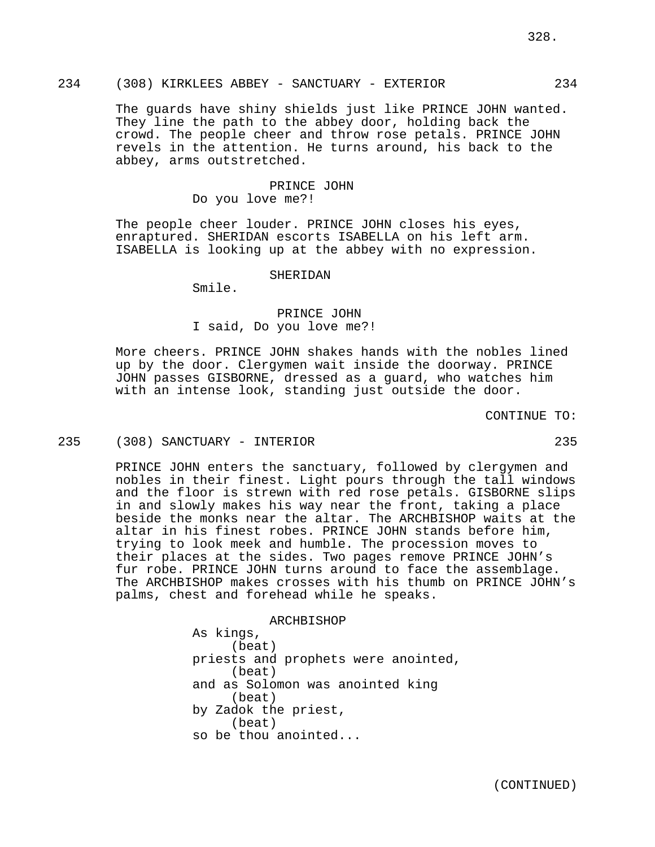The guards have shiny shields just like PRINCE JOHN wanted. They line the path to the abbey door, holding back the crowd. The people cheer and throw rose petals. PRINCE JOHN revels in the attention. He turns around, his back to the abbey, arms outstretched.

## PRINCE JOHN Do you love me?!

The people cheer louder. PRINCE JOHN closes his eyes, enraptured. SHERIDAN escorts ISABELLA on his left arm. ISABELLA is looking up at the abbey with no expression.

#### **SHERIDAN**

Smile.

# PRINCE JOHN I said, Do you love me?!

More cheers. PRINCE JOHN shakes hands with the nobles lined up by the door. Clergymen wait inside the doorway. PRINCE JOHN passes GISBORNE, dressed as a guard, who watches him with an intense look, standing just outside the door.

#### CONTINUE TO:

## 235 (308) SANCTUARY - INTERIOR 235

PRINCE JOHN enters the sanctuary, followed by clergymen and nobles in their finest. Light pours through the tall windows and the floor is strewn with red rose petals. GISBORNE slips in and slowly makes his way near the front, taking a place beside the monks near the altar. The ARCHBISHOP waits at the altar in his finest robes. PRINCE JOHN stands before him, trying to look meek and humble. The procession moves to their places at the sides. Two pages remove PRINCE JOHN's fur robe. PRINCE JOHN turns around to face the assemblage. The ARCHBISHOP makes crosses with his thumb on PRINCE JOHN's palms, chest and forehead while he speaks.

> ARCHBISHOP As kings, (beat) priests and prophets were anointed, (beat) and as Solomon was anointed king (beat) by Zadok the priest, (beat) so be thou anointed...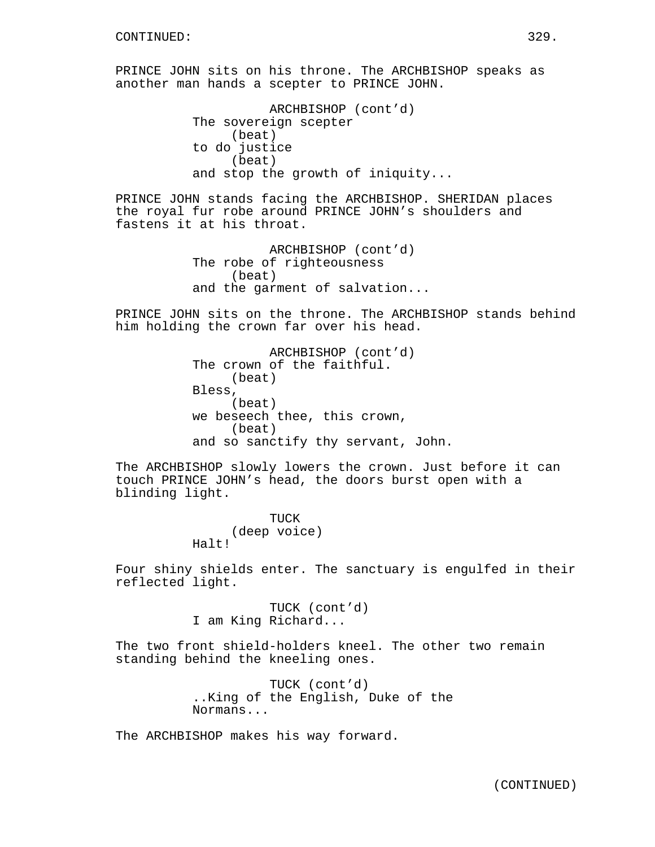PRINCE JOHN sits on his throne. The ARCHBISHOP speaks as another man hands a scepter to PRINCE JOHN.

```
ARCHBISHOP (cont'd)
The sovereign scepter
     (beat)
to do justice
    (beat)
and stop the growth of iniquity...
```
PRINCE JOHN stands facing the ARCHBISHOP. SHERIDAN places the royal fur robe around PRINCE JOHN's shoulders and fastens it at his throat.

```
ARCHBISHOP (cont'd)
The robe of righteousness
     (beat)
and the garment of salvation...
```
PRINCE JOHN sits on the throne. The ARCHBISHOP stands behind him holding the crown far over his head.

```
ARCHBISHOP (cont'd)
The crown of the faithful.
     (beat)
Bless,
     (beat)
we beseech thee, this crown,
     (beat)
and so sanctify thy servant, John.
```
The ARCHBISHOP slowly lowers the crown. Just before it can touch PRINCE JOHN's head, the doors burst open with a blinding light.

```
TUCK
     (deep voice)
Halt!
```
Four shiny shields enter. The sanctuary is engulfed in their reflected light.

> TUCK (cont'd) I am King Richard...

The two front shield-holders kneel. The other two remain standing behind the kneeling ones.

> TUCK (cont'd) ..King of the English, Duke of the Normans...

The ARCHBISHOP makes his way forward.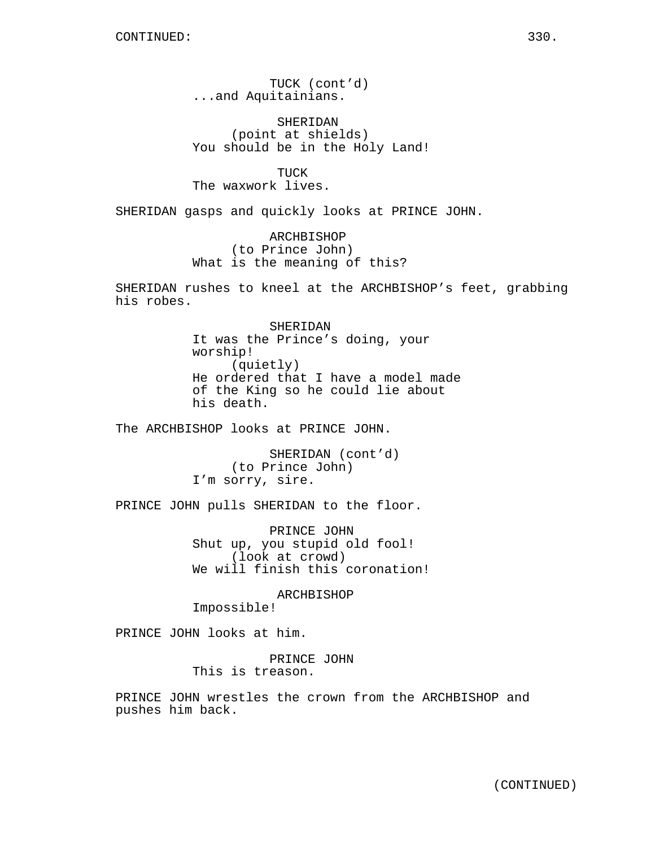TUCK (cont'd) ...and Aquitainians.

SHERIDAN (point at shields) You should be in the Holy Land!

TUCK The waxwork lives.

SHERIDAN gasps and quickly looks at PRINCE JOHN.

ARCHBISHOP (to Prince John) What is the meaning of this?

SHERIDAN rushes to kneel at the ARCHBISHOP's feet, grabbing his robes.

> SHERIDAN It was the Prince's doing, your worship! (quietly) He ordered that I have a model made of the King so he could lie about his death.

The ARCHBISHOP looks at PRINCE JOHN.

SHERIDAN (cont'd) (to Prince John) I'm sorry, sire.

PRINCE JOHN pulls SHERIDAN to the floor.

PRINCE JOHN Shut up, you stupid old fool! (look at crowd) We will finish this coronation!

ARCHBISHOP Impossible!

PRINCE JOHN looks at him.

PRINCE JOHN This is treason.

PRINCE JOHN wrestles the crown from the ARCHBISHOP and pushes him back.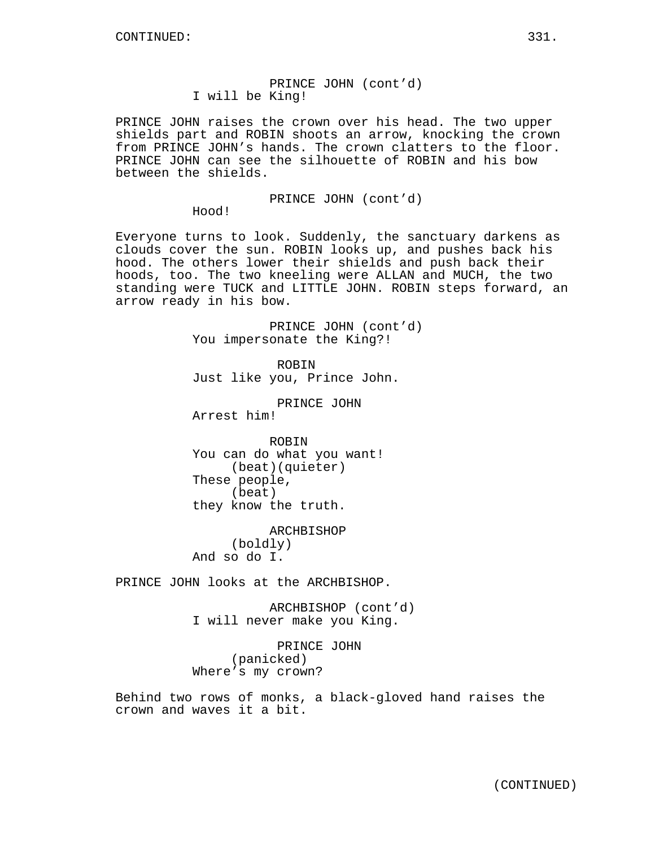PRINCE JOHN raises the crown over his head. The two upper shields part and ROBIN shoots an arrow, knocking the crown from PRINCE JOHN's hands. The crown clatters to the floor. PRINCE JOHN can see the silhouette of ROBIN and his bow between the shields.

PRINCE JOHN (cont'd)

Hood!

Everyone turns to look. Suddenly, the sanctuary darkens as clouds cover the sun. ROBIN looks up, and pushes back his hood. The others lower their shields and push back their hoods, too. The two kneeling were ALLAN and MUCH, the two standing were TUCK and LITTLE JOHN. ROBIN steps forward, an arrow ready in his bow.

> PRINCE JOHN (cont'd) You impersonate the King?!

ROBIN Just like you, Prince John.

PRINCE JOHN Arrest him!

ROBIN You can do what you want! (beat)(quieter) These people, (beat) they know the truth.

ARCHBISHOP (boldly) And so do I.

PRINCE JOHN looks at the ARCHBISHOP.

ARCHBISHOP (cont'd) I will never make you King.

PRINCE JOHN (panicked) Where's my crown?

Behind two rows of monks, a black-gloved hand raises the crown and waves it a bit.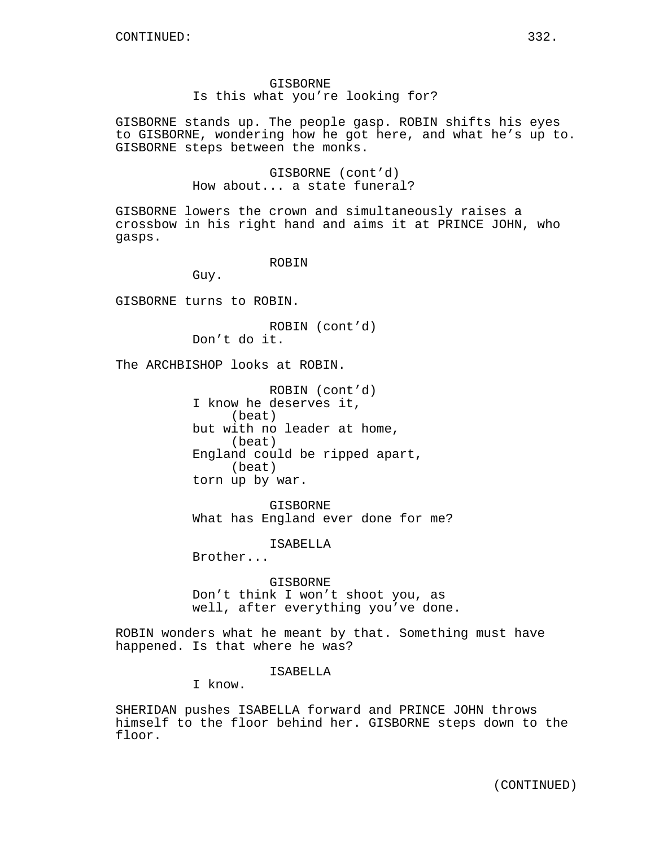GISBORNE stands up. The people gasp. ROBIN shifts his eyes to GISBORNE, wondering how he got here, and what he's up to. GISBORNE steps between the monks.

> GISBORNE (cont'd) How about... a state funeral?

GISBORNE lowers the crown and simultaneously raises a crossbow in his right hand and aims it at PRINCE JOHN, who gasps.

ROBIN

Guy.

GISBORNE turns to ROBIN.

ROBIN (cont'd) Don't do it.

The ARCHBISHOP looks at ROBIN.

ROBIN (cont'd) I know he deserves it, (beat) but with no leader at home, (beat) England could be ripped apart, (beat) torn up by war.

GISBORNE What has England ever done for me?

ISABELLA

Brother...

GISBORNE Don't think I won't shoot you, as well, after everything you've done.

ROBIN wonders what he meant by that. Something must have happened. Is that where he was?

ISABELLA

I know.

SHERIDAN pushes ISABELLA forward and PRINCE JOHN throws himself to the floor behind her. GISBORNE steps down to the floor.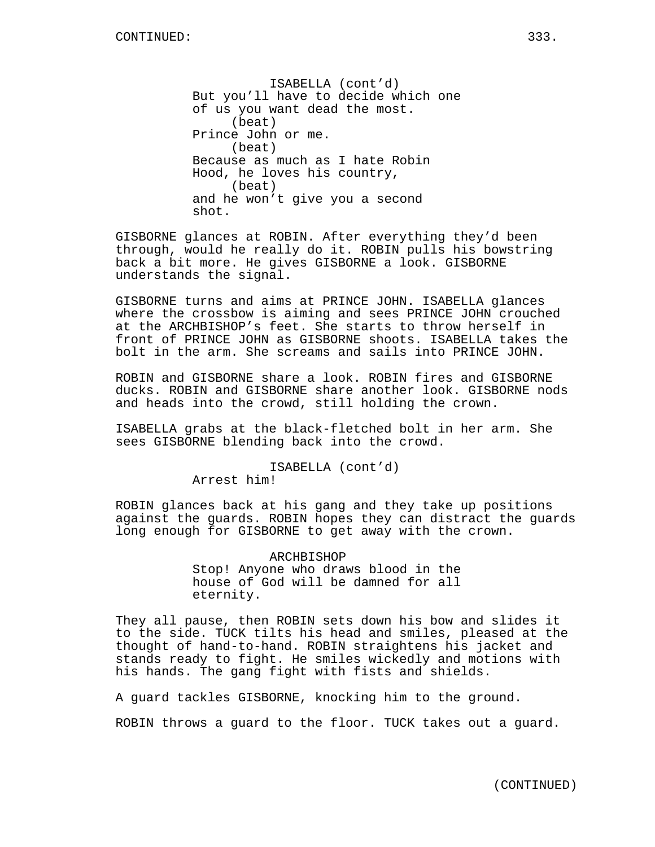ISABELLA (cont'd) But you'll have to decide which one of us you want dead the most. (beat) Prince John or me. (beat) Because as much as I hate Robin Hood, he loves his country, (beat) and he won't give you a second shot.

GISBORNE glances at ROBIN. After everything they'd been through, would he really do it. ROBIN pulls his bowstring back a bit more. He gives GISBORNE a look. GISBORNE understands the signal.

GISBORNE turns and aims at PRINCE JOHN. ISABELLA glances where the crossbow is aiming and sees PRINCE JOHN crouched at the ARCHBISHOP's feet. She starts to throw herself in front of PRINCE JOHN as GISBORNE shoots. ISABELLA takes the bolt in the arm. She screams and sails into PRINCE JOHN.

ROBIN and GISBORNE share a look. ROBIN fires and GISBORNE ducks. ROBIN and GISBORNE share another look. GISBORNE nods and heads into the crowd, still holding the crown.

ISABELLA grabs at the black-fletched bolt in her arm. She sees GISBORNE blending back into the crowd.

ISABELLA (cont'd)

Arrest him!

ROBIN glances back at his gang and they take up positions against the guards. ROBIN hopes they can distract the guards long enough for GISBORNE to get away with the crown.

> ARCHBISHOP Stop! Anyone who draws blood in the house of God will be damned for all eternity.

They all pause, then ROBIN sets down his bow and slides it to the side. TUCK tilts his head and smiles, pleased at the thought of hand-to-hand. ROBIN straightens his jacket and stands ready to fight. He smiles wickedly and motions with his hands. The gang fight with fists and shields.

A guard tackles GISBORNE, knocking him to the ground.

ROBIN throws a guard to the floor. TUCK takes out a guard.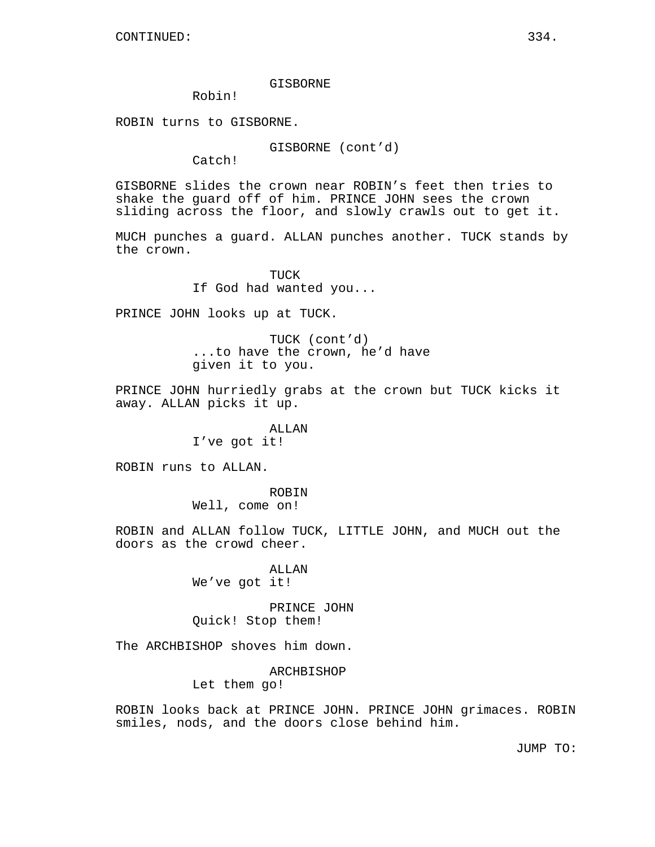## GISBORNE

Robin!

ROBIN turns to GISBORNE.

GISBORNE (cont'd)

Catch!

GISBORNE slides the crown near ROBIN's feet then tries to shake the guard off of him. PRINCE JOHN sees the crown sliding across the floor, and slowly crawls out to get it.

MUCH punches a guard. ALLAN punches another. TUCK stands by the crown.

> TUCK If God had wanted you...

PRINCE JOHN looks up at TUCK.

TUCK (cont'd) ...to have the crown, he'd have given it to you.

PRINCE JOHN hurriedly grabs at the crown but TUCK kicks it away. ALLAN picks it up.

> ALLAN I've got it!

ROBIN runs to ALLAN.

ROBIN Well, come on!

ROBIN and ALLAN follow TUCK, LITTLE JOHN, and MUCH out the doors as the crowd cheer.

> ALLAN We've got it!

PRINCE JOHN Quick! Stop them!

The ARCHBISHOP shoves him down.

ARCHBISHOP

Let them go!

ROBIN looks back at PRINCE JOHN. PRINCE JOHN grimaces. ROBIN smiles, nods, and the doors close behind him.

JUMP TO: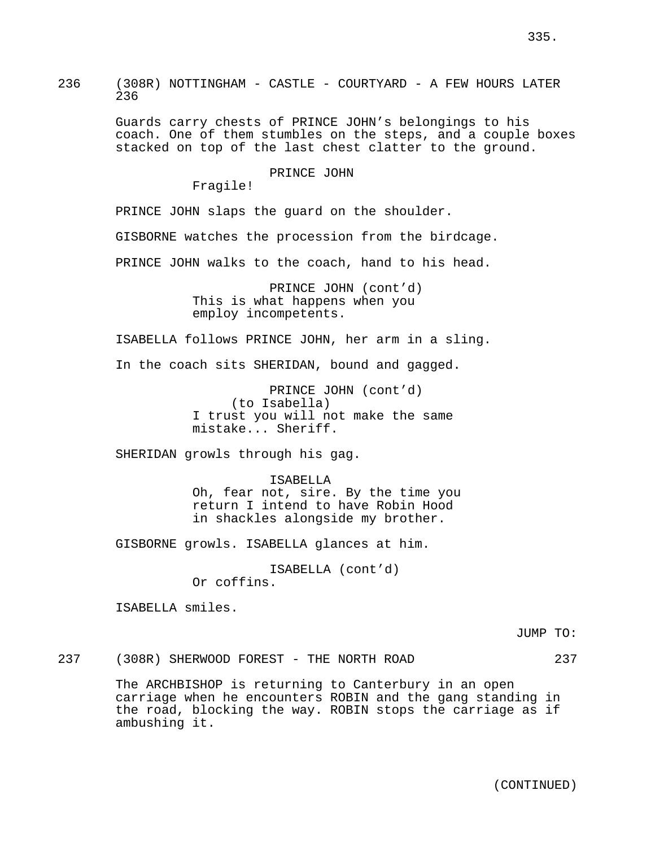236 (308R) NOTTINGHAM - CASTLE - COURTYARD - A FEW HOURS LATER 236

> Guards carry chests of PRINCE JOHN's belongings to his coach. One of them stumbles on the steps, and a couple boxes stacked on top of the last chest clatter to the ground.

> > PRINCE JOHN

Fragile!

PRINCE JOHN slaps the guard on the shoulder.

GISBORNE watches the procession from the birdcage.

PRINCE JOHN walks to the coach, hand to his head.

PRINCE JOHN (cont'd) This is what happens when you employ incompetents.

ISABELLA follows PRINCE JOHN, her arm in a sling.

In the coach sits SHERIDAN, bound and gagged.

PRINCE JOHN (cont'd) (to Isabella) I trust you will not make the same mistake... Sheriff.

SHERIDAN growls through his gag.

ISABELLA Oh, fear not, sire. By the time you return I intend to have Robin Hood in shackles alongside my brother.

GISBORNE growls. ISABELLA glances at him.

ISABELLA (cont'd) Or coffins.

ISABELLA smiles.

JUMP TO:

237 (308R) SHERWOOD FOREST - THE NORTH ROAD 237

The ARCHBISHOP is returning to Canterbury in an open carriage when he encounters ROBIN and the gang standing in the road, blocking the way. ROBIN stops the carriage as if ambushing it.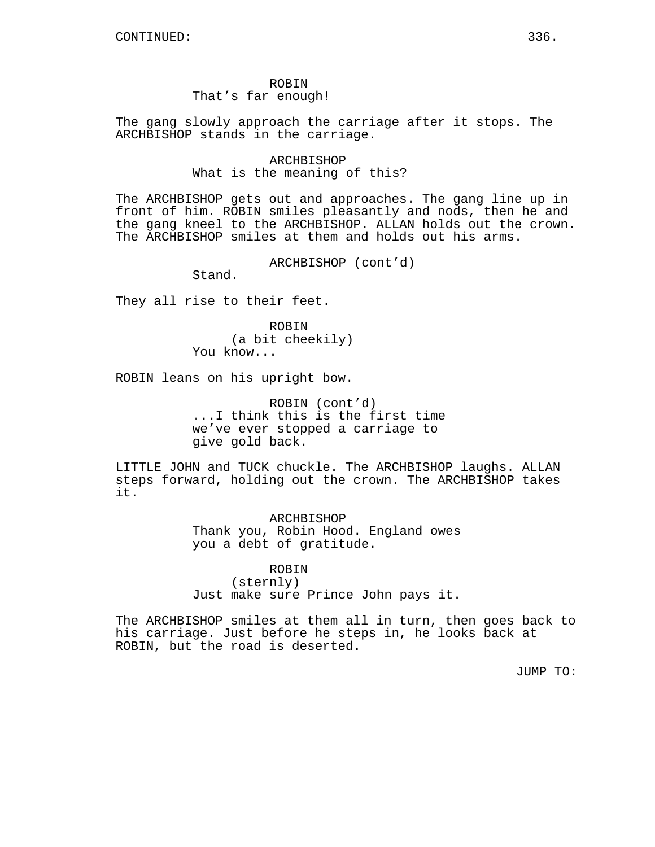## ROBIN That's far enough!

The gang slowly approach the carriage after it stops. The ARCHBISHOP stands in the carriage.

> ARCHBISHOP What is the meaning of this?

The ARCHBISHOP gets out and approaches. The gang line up in front of him. ROBIN smiles pleasantly and nods, then he and the gang kneel to the ARCHBISHOP. ALLAN holds out the crown. The ARCHBISHOP smiles at them and holds out his arms.

ARCHBISHOP (cont'd)

Stand.

They all rise to their feet.

ROBIN (a bit cheekily) You know...

ROBIN leans on his upright bow.

ROBIN (cont'd) ...I think this is the first time we've ever stopped a carriage to give gold back.

LITTLE JOHN and TUCK chuckle. The ARCHBISHOP laughs. ALLAN steps forward, holding out the crown. The ARCHBISHOP takes it.

> ARCHBISHOP Thank you, Robin Hood. England owes you a debt of gratitude.

> ROBIN (sternly) Just make sure Prince John pays it.

The ARCHBISHOP smiles at them all in turn, then goes back to his carriage. Just before he steps in, he looks back at ROBIN, but the road is deserted.

JUMP TO: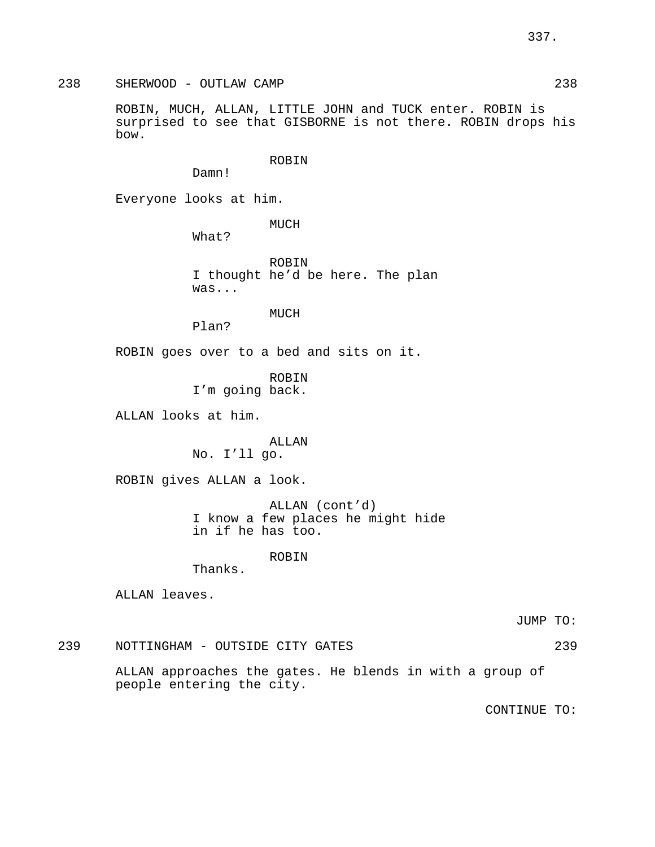238 SHERWOOD - OUTLAW CAMP 238

ROBIN, MUCH, ALLAN, LITTLE JOHN and TUCK enter. ROBIN is surprised to see that GISBORNE is not there. ROBIN drops his bow.

ROBIN

Damn!

Everyone looks at him.

MUCH

What?

ROBIN I thought he'd be here. The plan was...

MUCH

Plan?

ROBIN goes over to a bed and sits on it.

ROBIN

I'm going back.

ALLAN looks at him.

ALLAN

No. I'll go.

ROBIN gives ALLAN a look.

ALLAN (cont'd) I know a few places he might hide in if he has too.

# ROBIN

Thanks.

ALLAN leaves.

JUMP TO:

239 NOTTINGHAM - OUTSIDE CITY GATES 239

ALLAN approaches the gates. He blends in with a group of people entering the city.

CONTINUE TO: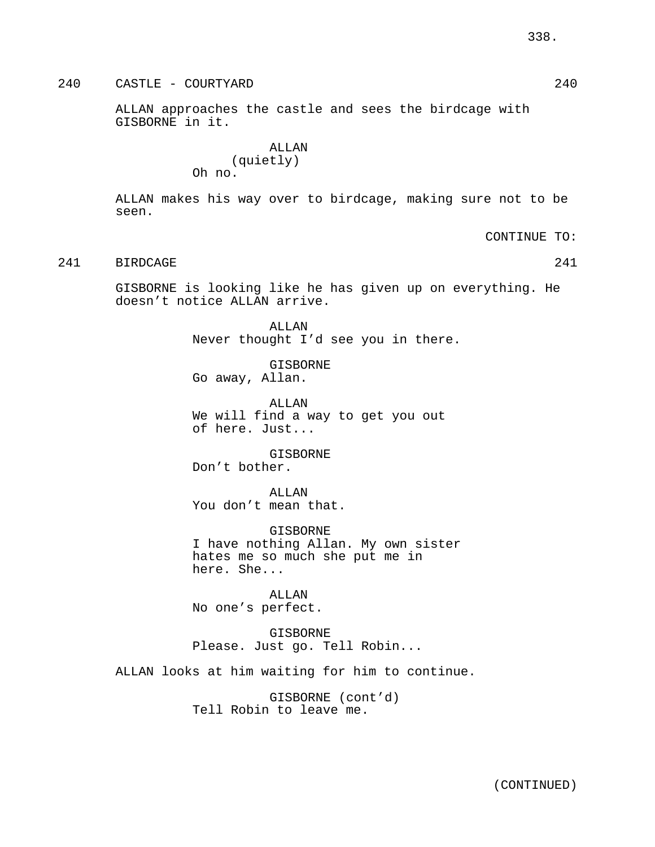240 CASTLE - COURTYARD 240

ALLAN approaches the castle and sees the birdcage with GISBORNE in it.

> ALLAN (quietly) Oh no.

ALLAN makes his way over to birdcage, making sure not to be seen.

CONTINUE TO:

# 241 BIRDCAGE 241

GISBORNE is looking like he has given up on everything. He doesn't notice ALLAN arrive.

> ALLAN Never thought I'd see you in there.

GISBORNE Go away, Allan.

ALLAN We will find a way to get you out of here. Just...

GISBORNE Don't bother.

ALLAN You don't mean that.

GISBORNE I have nothing Allan. My own sister hates me so much she put me in here. She...

ALLAN No one's perfect.

GISBORNE Please. Just go. Tell Robin...

ALLAN looks at him waiting for him to continue.

GISBORNE (cont'd) Tell Robin to leave me.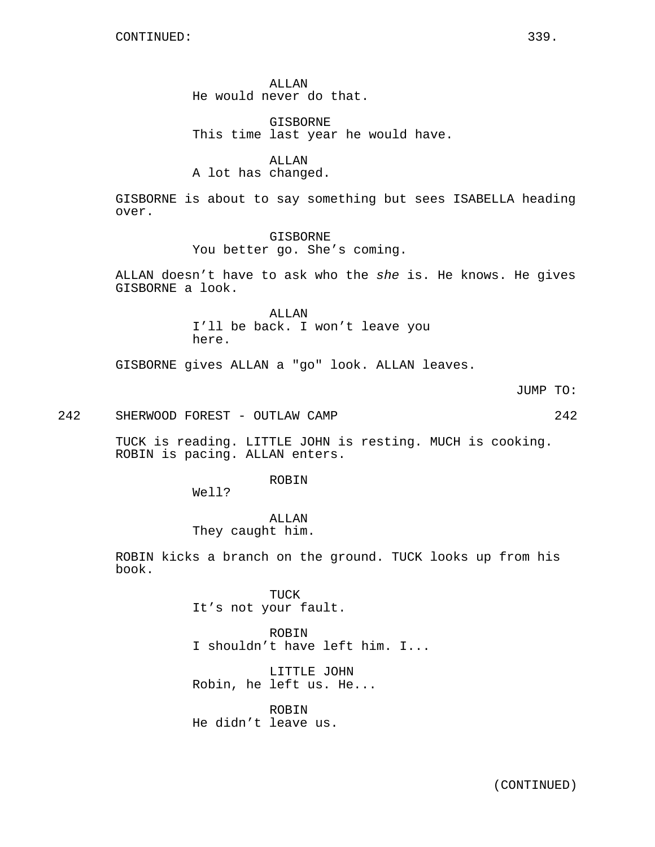ALLAN He would never do that.

GISBORNE This time last year he would have.

ALLAN A lot has changed.

GISBORNE is about to say something but sees ISABELLA heading over.

> GISBORNE You better go. She's coming.

ALLAN doesn't have to ask who the she is. He knows. He gives GISBORNE a look.

> ALLAN I'll be back. I won't leave you here.

GISBORNE gives ALLAN a "go" look. ALLAN leaves.

JUMP TO:

242 SHERWOOD FOREST - OUTLAW CAMP 242

TUCK is reading. LITTLE JOHN is resting. MUCH is cooking. ROBIN is pacing. ALLAN enters.

ROBIN

Well?

ALLAN They caught him.

ROBIN kicks a branch on the ground. TUCK looks up from his book.

> TUCK It's not your fault.

ROBIN I shouldn't have left him. I...

LITTLE JOHN Robin, he left us. He...

ROBIN He didn't leave us.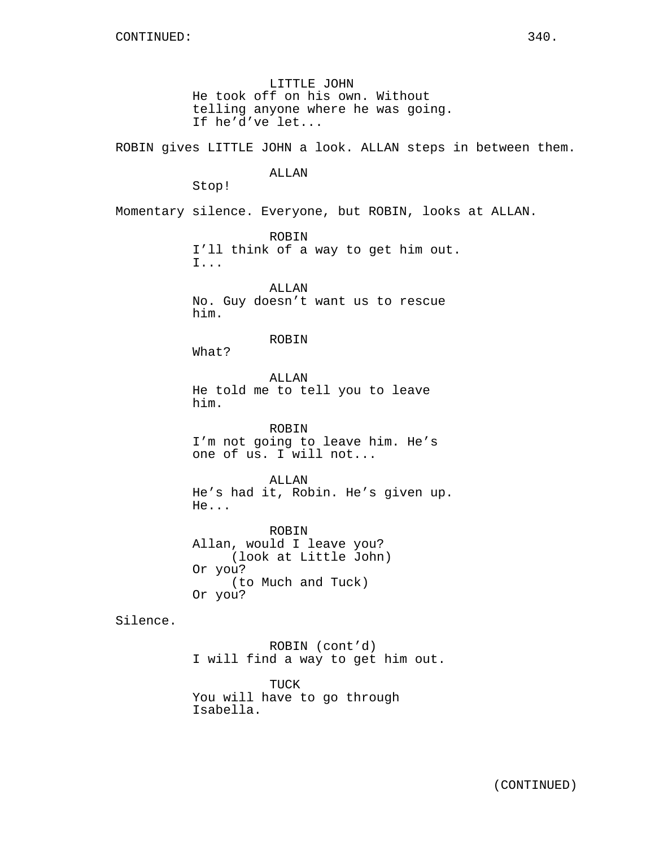LITTLE JOHN He took off on his own. Without telling anyone where he was going. If he'd've let...

ROBIN gives LITTLE JOHN a look. ALLAN steps in between them.

# ALLAN

Stop!

Momentary silence. Everyone, but ROBIN, looks at ALLAN.

ROBIN I'll think of a way to get him out. I...

ALLAN No. Guy doesn't want us to rescue him.

ROBIN

What?

ALLAN He told me to tell you to leave him.

ROBIN I'm not going to leave him. He's one of us. I will not...

ALLAN He's had it, Robin. He's given up. He...

ROBIN Allan, would I leave you? (look at Little John) Or you? (to Much and Tuck) Or you?

Silence.

ROBIN (cont'd) I will find a way to get him out.

TUCK You will have to go through Isabella.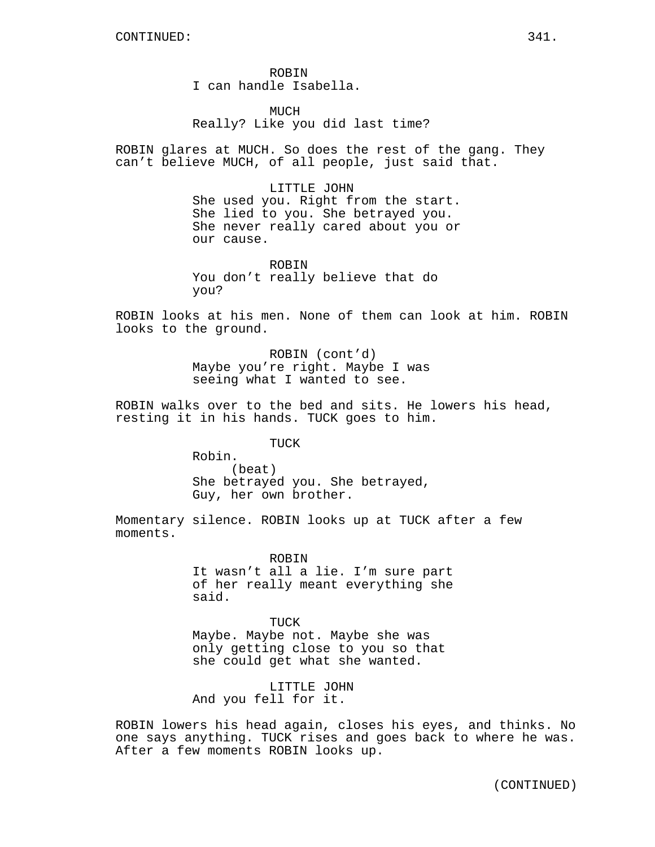ROBIN I can handle Isabella.

MUCH Really? Like you did last time?

ROBIN glares at MUCH. So does the rest of the gang. They can't believe MUCH, of all people, just said that.

> LITTLE JOHN She used you. Right from the start. She lied to you. She betrayed you. She never really cared about you or our cause.

ROBIN You don't really believe that do you?

ROBIN looks at his men. None of them can look at him. ROBIN looks to the ground.

> ROBIN (cont'd) Maybe you're right. Maybe I was seeing what I wanted to see.

ROBIN walks over to the bed and sits. He lowers his head, resting it in his hands. TUCK goes to him.

TUCK

Robin. (beat) She betrayed you. She betrayed, Guy, her own brother.

Momentary silence. ROBIN looks up at TUCK after a few moments.

> ROBIN It wasn't all a lie. I'm sure part of her really meant everything she said.

TUCK Maybe. Maybe not. Maybe she was only getting close to you so that she could get what she wanted.

LITTLE JOHN And you fell for it.

ROBIN lowers his head again, closes his eyes, and thinks. No one says anything. TUCK rises and goes back to where he was. After a few moments ROBIN looks up.

(CONTINUED)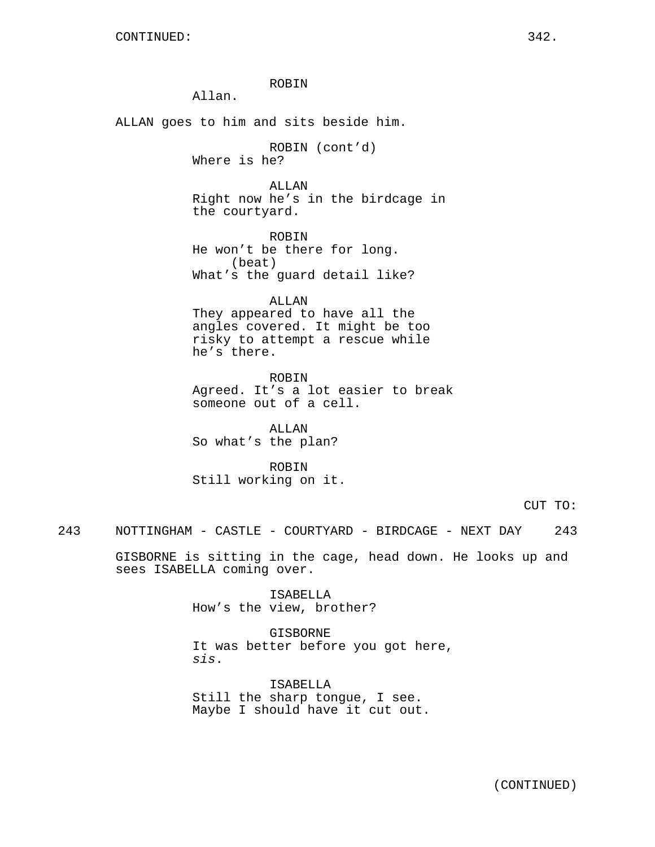ROBIN

Allan.

ALLAN goes to him and sits beside him.

ROBIN (cont'd) Where is he?

ALLAN Right now he's in the birdcage in the courtyard.

ROBIN He won't be there for long. (beat) What's the guard detail like?

ALLAN They appeared to have all the angles covered. It might be too risky to attempt a rescue while he's there.

ROBIN Agreed. It's a lot easier to break someone out of a cell.

ALLAN So what's the plan?

ROBIN Still working on it.

CUT TO:

243 NOTTINGHAM - CASTLE - COURTYARD - BIRDCAGE - NEXT DAY 243

GISBORNE is sitting in the cage, head down. He looks up and sees ISABELLA coming over.

> ISABELLA How's the view, brother?

GISBORNE It was better before you got here, sis.

ISABELLA Still the sharp tongue, I see. Maybe I should have it cut out.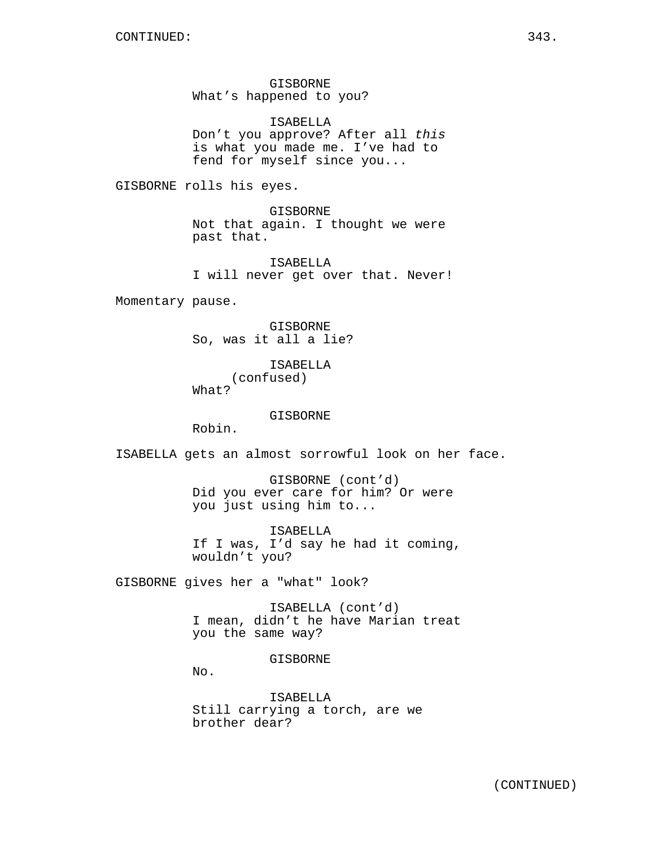GISBORNE What's happened to you?

ISABELLA Don't you approve? After all this is what you made me. I've had to fend for myself since you...

GISBORNE rolls his eyes.

GISBORNE Not that again. I thought we were past that.

ISABELLA I will never get over that. Never!

Momentary pause.

GISBORNE So, was it all a lie?

> ISABELLA (confused)

What?

GISBORNE

Robin.

ISABELLA gets an almost sorrowful look on her face.

GISBORNE (cont'd) Did you ever care for him? Or were you just using him to...

ISABELLA If I was, I'd say he had it coming, wouldn't you?

GISBORNE gives her a "what" look?

ISABELLA (cont'd) I mean, didn't he have Marian treat you the same way?

GISBORNE

No.

ISABELLA Still carrying a torch, are we brother dear?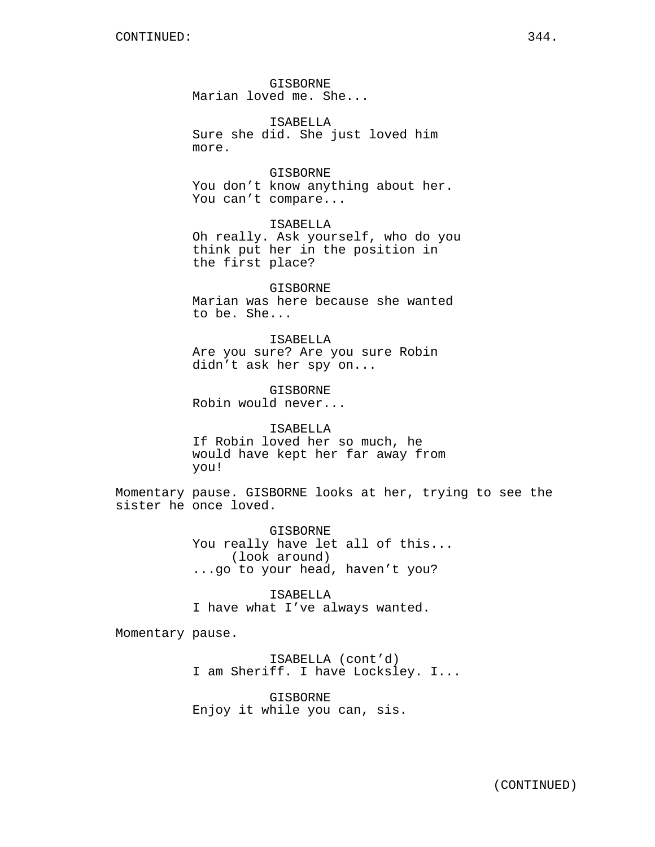GISBORNE Marian loved me. She...

ISABELLA Sure she did. She just loved him more.

GISBORNE You don't know anything about her. You can't compare...

ISABELLA Oh really. Ask yourself, who do you think put her in the position in the first place?

GISBORNE Marian was here because she wanted to be. She...

ISABELLA Are you sure? Are you sure Robin didn't ask her spy on...

GISBORNE Robin would never...

ISABELLA If Robin loved her so much, he would have kept her far away from you!

Momentary pause. GISBORNE looks at her, trying to see the sister he once loved.

> GISBORNE You really have let all of this... (look around) ...go to your head, haven't you?

ISABELLA I have what I've always wanted.

Momentary pause.

ISABELLA (cont'd) I am Sheriff. I have Locksley. I...

GISBORNE Enjoy it while you can, sis.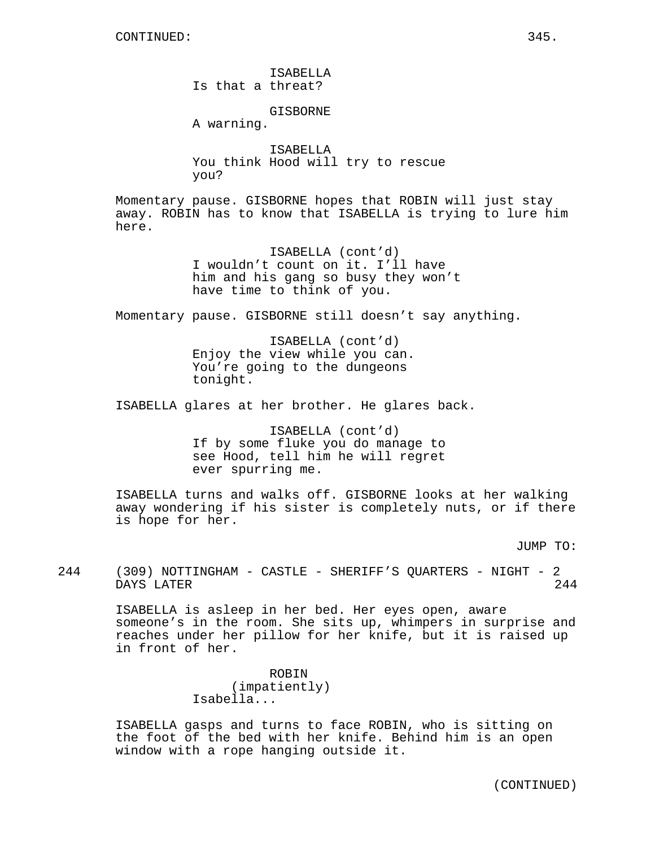ISABELLA Is that a threat?

GISBORNE

A warning.

ISABELLA You think Hood will try to rescue you?

Momentary pause. GISBORNE hopes that ROBIN will just stay away. ROBIN has to know that ISABELLA is trying to lure him here.

> ISABELLA (cont'd) I wouldn't count on it. I'll have him and his gang so busy they won't have time to think of you.

Momentary pause. GISBORNE still doesn't say anything.

ISABELLA (cont'd) Enjoy the view while you can. You're going to the dungeons tonight.

ISABELLA glares at her brother. He glares back.

ISABELLA (cont'd) If by some fluke you do manage to see Hood, tell him he will regret ever spurring me.

ISABELLA turns and walks off. GISBORNE looks at her walking away wondering if his sister is completely nuts, or if there is hope for her.

JUMP TO:

244 (309) NOTTINGHAM - CASTLE - SHERIFF'S QUARTERS - NIGHT - 2 DAYS LATER 244

> ISABELLA is asleep in her bed. Her eyes open, aware someone's in the room. She sits up, whimpers in surprise and reaches under her pillow for her knife, but it is raised up in front of her.

> > ROBIN (impatiently) Isabella...

ISABELLA gasps and turns to face ROBIN, who is sitting on the foot of the bed with her knife. Behind him is an open window with a rope hanging outside it.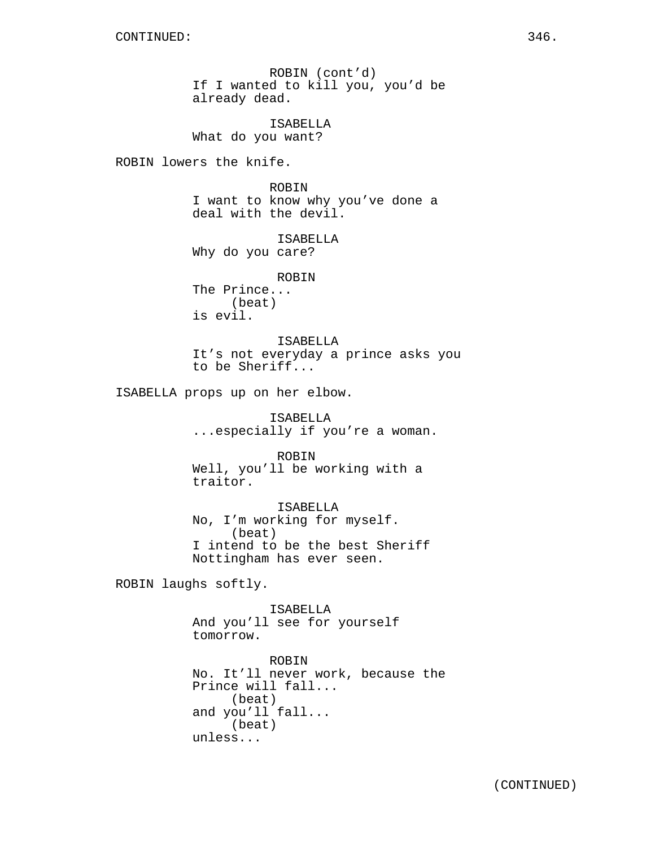ROBIN (cont'd) If I wanted to kill you, you'd be already dead.

ISABELLA What do you want?

ROBIN lowers the knife.

ROBIN I want to know why you've done a deal with the devil.

ISABELLA Why do you care?

ROBIN The Prince... (beat) is evil.

ISABELLA It's not everyday a prince asks you to be Sheriff...

ISABELLA props up on her elbow.

ISABELLA ...especially if you're a woman.

ROBIN Well, you'll be working with a traitor.

ISABELLA No, I'm working for myself. (beat) I intend to be the best Sheriff Nottingham has ever seen.

ROBIN laughs softly.

ISABELLA And you'll see for yourself tomorrow.

ROBIN No. It'll never work, because the Prince will fall... (beat) and you'll fall... (beat) unless...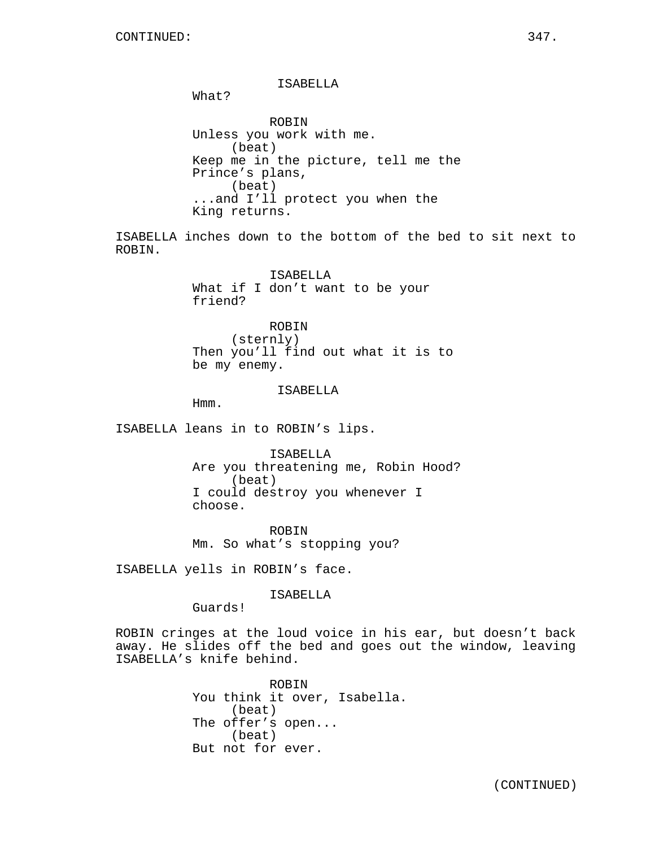ROBIN.

ISABELLA What? ROBIN Unless you work with me. (beat) Keep me in the picture, tell me the Prince's plans, (beat) ...and I'll protect you when the King returns. ISABELLA inches down to the bottom of the bed to sit next to ISABELLA

What if I don't want to be your friend?

ROBIN (sternly) Then you'll find out what it is to be my enemy.

#### ISABELLA

Hmm.

ISABELLA leans in to ROBIN's lips.

ISABELLA Are you threatening me, Robin Hood? (beat) I could destroy you whenever I choose.

ROBIN Mm. So what's stopping you?

ISABELLA yells in ROBIN's face.

ISABELLA

Guards!

ROBIN cringes at the loud voice in his ear, but doesn't back away. He slides off the bed and goes out the window, leaving ISABELLA's knife behind.

> ROBIN You think it over, Isabella. (beat) The offer's open... (beat) But not for ever.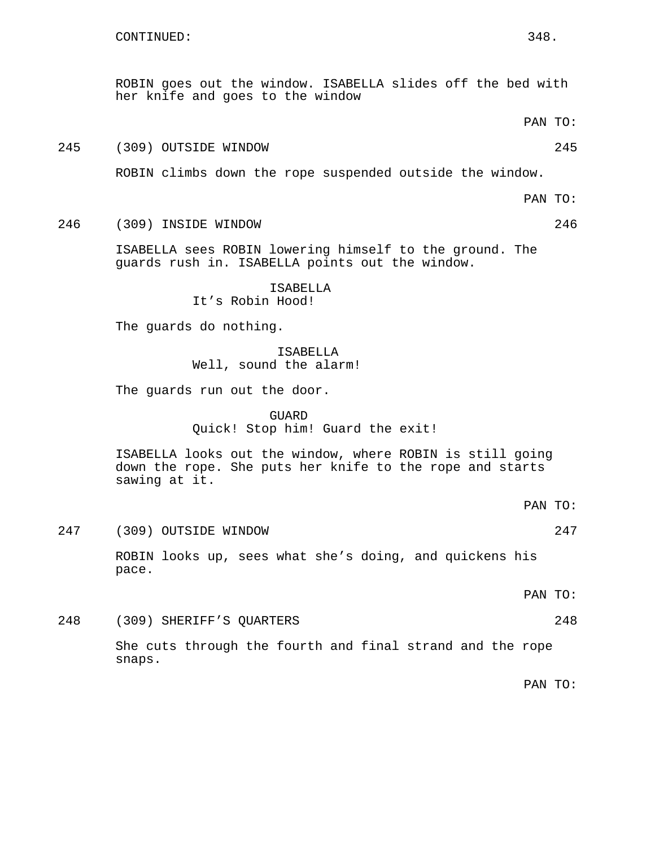her knife and goes to the window PAN TO: 245 (309) OUTSIDE WINDOW 245 ROBIN climbs down the rope suspended outside the window. PAN TO: 246 (309) INSIDE WINDOW 246 ISABELLA sees ROBIN lowering himself to the ground. The guards rush in. ISABELLA points out the window. ISABELLA It's Robin Hood! The guards do nothing. ISABELLA Well, sound the alarm! The guards run out the door. GUARD Quick! Stop him! Guard the exit! ISABELLA looks out the window, where ROBIN is still going down the rope. She puts her knife to the rope and starts sawing at it. PAN TO: 247 (309) OUTSIDE WINDOW 247 ROBIN looks up, sees what she's doing, and quickens his pace. PAN TO: 248 (309) SHERIFF'S QUARTERS 248 She cuts through the fourth and final strand and the rope snaps. PAN TO:

ROBIN goes out the window. ISABELLA slides off the bed with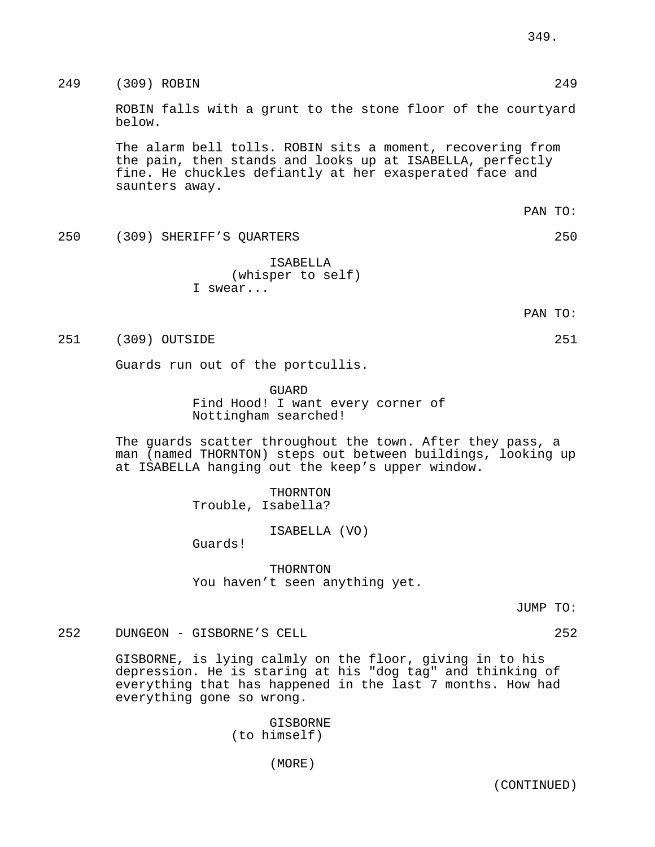249 (309) ROBIN 249

ROBIN falls with a grunt to the stone floor of the courtyard below.

The alarm bell tolls. ROBIN sits a moment, recovering from the pain, then stands and looks up at ISABELLA, perfectly fine. He chuckles defiantly at her exasperated face and saunters away.

250 (309) SHERIFF'S QUARTERS 250

ISABELLA (whisper to self) I swear...

PAN TO:

251 (309) OUTSIDE 251

Guards run out of the portcullis.

**GUARD** Find Hood! I want every corner of Nottingham searched!

The guards scatter throughout the town. After they pass, a man (named THORNTON) steps out between buildings, looking up at ISABELLA hanging out the keep's upper window.

> THORNTON Trouble, Isabella?

> > ISABELLA (VO)

Guards!

THORNTON You haven't seen anything yet.

JUMP TO:

252 DUNGEON - GISBORNE'S CELL 252

GISBORNE, is lying calmly on the floor, giving in to his depression. He is staring at his "dog tag" and thinking of everything that has happened in the last 7 months. How had everything gone so wrong.

> GISBORNE (to himself)

> > (MORE)

PAN TO: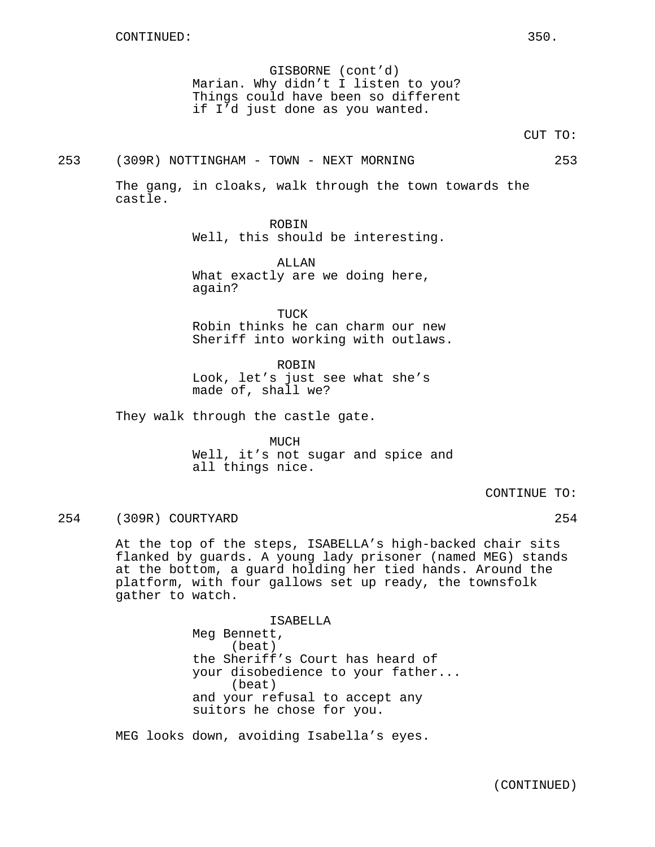GISBORNE (cont'd) Marian. Why didn't I listen to you? Things could have been so different if I'd just done as you wanted.

CUT TO:

253 (309R) NOTTINGHAM - TOWN - NEXT MORNING 253

The gang, in cloaks, walk through the town towards the castle.

> ROBIN Well, this should be interesting.

ALLAN What exactly are we doing here, again?

TUCK Robin thinks he can charm our new Sheriff into working with outlaws.

ROBIN Look, let's just see what she's made of, shall we?

They walk through the castle gate.

MUCH

Well, it's not sugar and spice and all things nice.

CONTINUE TO:

254 (309R) COURTYARD 254

At the top of the steps, ISABELLA's high-backed chair sits flanked by guards. A young lady prisoner (named MEG) stands at the bottom, a guard holding her tied hands. Around the platform, with four gallows set up ready, the townsfolk gather to watch.

> ISABELLA Meg Bennett, (beat) the Sheriff's Court has heard of your disobedience to your father... (beat) and your refusal to accept any suitors he chose for you.

MEG looks down, avoiding Isabella's eyes.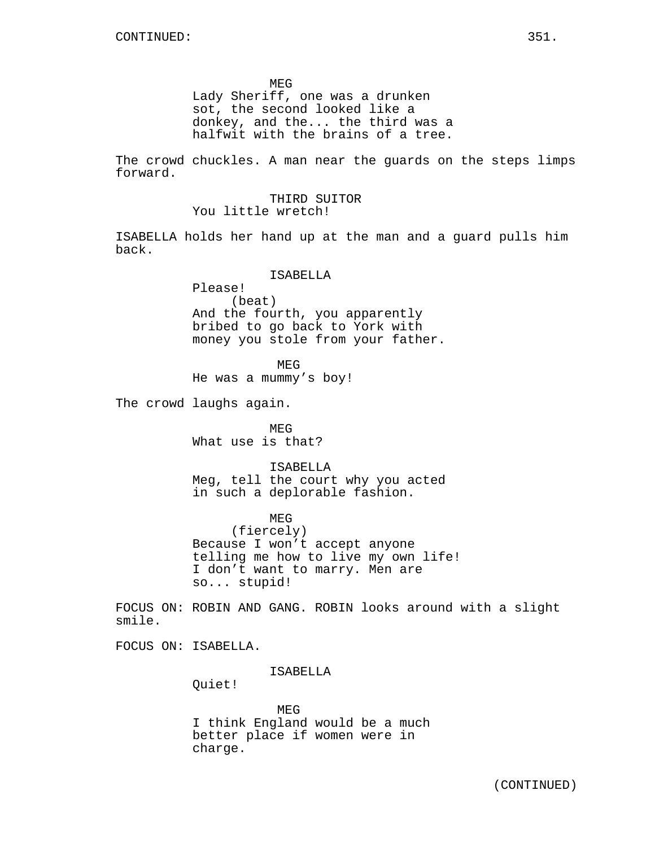MEG Lady Sheriff, one was a drunken sot, the second looked like a donkey, and the... the third was a halfwit with the brains of a tree.

The crowd chuckles. A man near the guards on the steps limps forward.

> THIRD SUITOR You little wretch!

ISABELLA holds her hand up at the man and a guard pulls him back.

ISABELLA

Please! (beat) And the fourth, you apparently bribed to go back to York with money you stole from your father.

MEG

He was a mummy's boy!

The crowd laughs again.

MEG What use is that?

ISABELLA Meg, tell the court why you acted in such a deplorable fashion.

MEG

(fiercely) Because I won't accept anyone telling me how to live my own life! I don't want to marry. Men are so... stupid!

FOCUS ON: ROBIN AND GANG. ROBIN looks around with a slight smile.

FOCUS ON: ISABELLA.

ISABELLA

Quiet!

MEG I think England would be a much better place if women were in charge.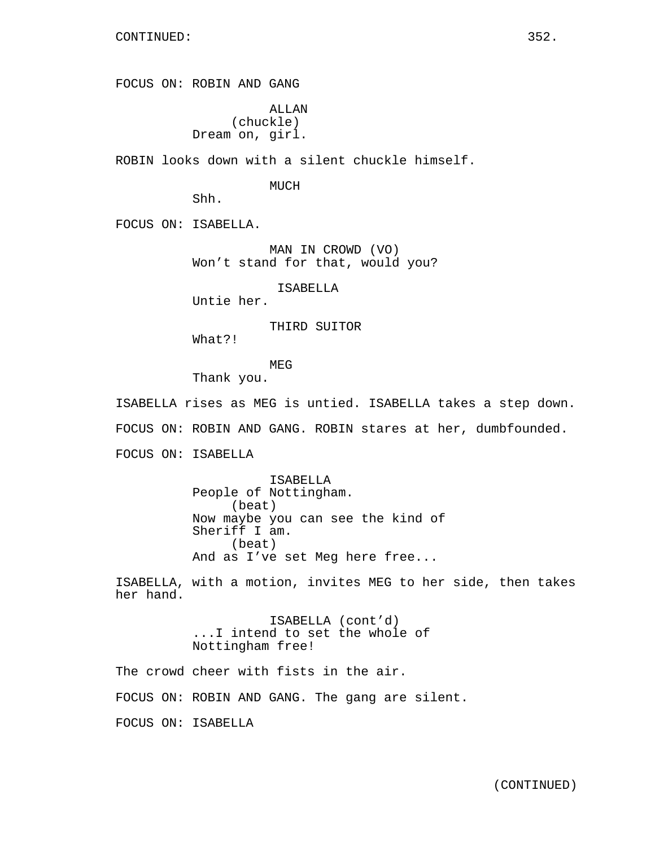FOCUS ON: ROBIN AND GANG

ALLAN (chuckle) Dream on, girl.

ROBIN looks down with a silent chuckle himself.

MUCH

Shh.

FOCUS ON: ISABELLA.

MAN IN CROWD (VO) Won't stand for that, would you?

ISABELLA

Untie her.

THIRD SUITOR

What?!

MEG

Thank you.

ISABELLA rises as MEG is untied. ISABELLA takes a step down. FOCUS ON: ROBIN AND GANG. ROBIN stares at her, dumbfounded. FOCUS ON: ISABELLA

> ISABELLA People of Nottingham. (beat) Now maybe you can see the kind of Sheriff I am. (beat) And as I've set Meg here free...

ISABELLA, with a motion, invites MEG to her side, then takes her hand.

> ISABELLA (cont'd) ...I intend to set the whole of Nottingham free!

The crowd cheer with fists in the air.

FOCUS ON: ROBIN AND GANG. The gang are silent.

FOCUS ON: ISABELLA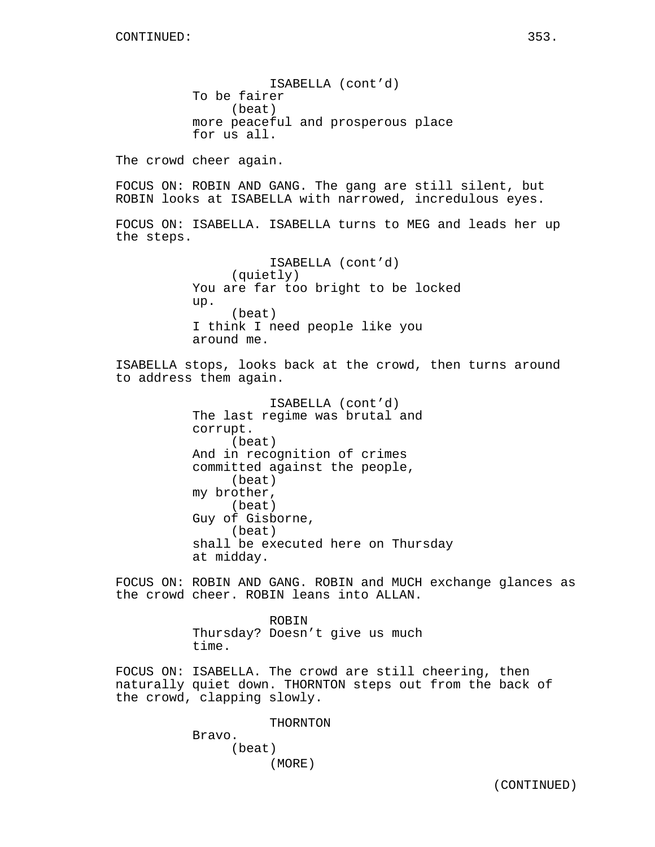ISABELLA (cont'd) To be fairer (beat) more peaceful and prosperous place for us all.

The crowd cheer again.

FOCUS ON: ROBIN AND GANG. The gang are still silent, but ROBIN looks at ISABELLA with narrowed, incredulous eyes.

FOCUS ON: ISABELLA. ISABELLA turns to MEG and leads her up the steps.

> ISABELLA (cont'd) (quietly) You are far too bright to be locked up. (beat) I think I need people like you around me.

ISABELLA stops, looks back at the crowd, then turns around to address them again.

> ISABELLA (cont'd) The last regime was brutal and corrupt. (beat) And in recognition of crimes committed against the people, (beat) my brother, (beat) Guy of Gisborne, (beat) shall be executed here on Thursday at midday.

FOCUS ON: ROBIN AND GANG. ROBIN and MUCH exchange glances as the crowd cheer. ROBIN leans into ALLAN.

> ROBIN Thursday? Doesn't give us much time.

FOCUS ON: ISABELLA. The crowd are still cheering, then naturally quiet down. THORNTON steps out from the back of the crowd, clapping slowly.

THORNTON

Bravo. (beat) (MORE)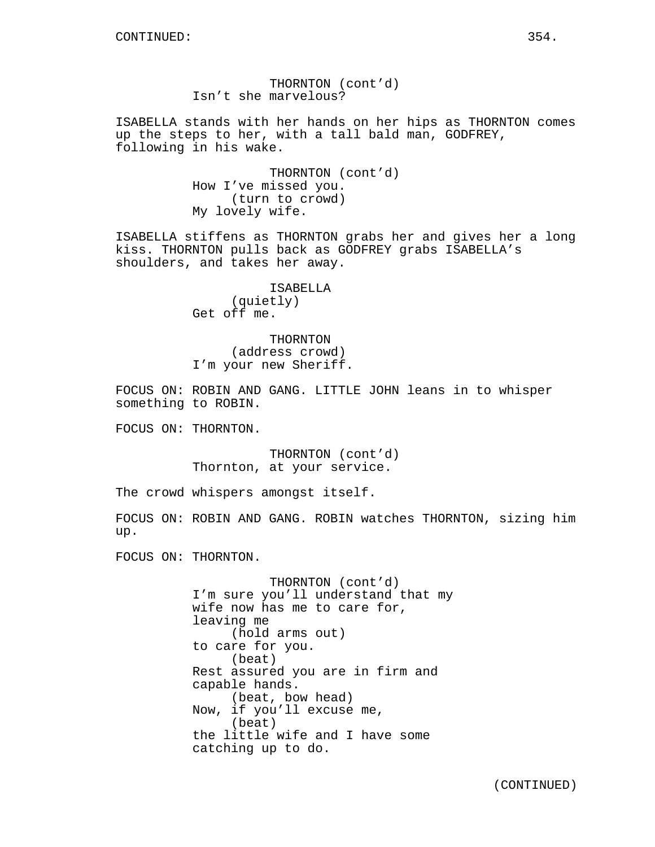THORNTON (cont'd) Isn't she marvelous?

ISABELLA stands with her hands on her hips as THORNTON comes up the steps to her, with a tall bald man, GODFREY, following in his wake.

> THORNTON (cont'd) How I've missed you. (turn to crowd) My lovely wife.

ISABELLA stiffens as THORNTON grabs her and gives her a long kiss. THORNTON pulls back as GODFREY grabs ISABELLA's shoulders, and takes her away.

> ISABELLA (quietly) Get off me.

THORNTON (address crowd) I'm your new Sheriff.

FOCUS ON: ROBIN AND GANG. LITTLE JOHN leans in to whisper something to ROBIN.

FOCUS ON: THORNTON.

THORNTON (cont'd) Thornton, at your service.

The crowd whispers amongst itself.

FOCUS ON: ROBIN AND GANG. ROBIN watches THORNTON, sizing him up.

FOCUS ON: THORNTON.

THORNTON (cont'd) I'm sure you'll understand that my wife now has me to care for, leaving me (hold arms out) to care for you. (beat) Rest assured you are in firm and capable hands. (beat, bow head) Now, if you'll excuse me, (beat) the little wife and I have some catching up to do.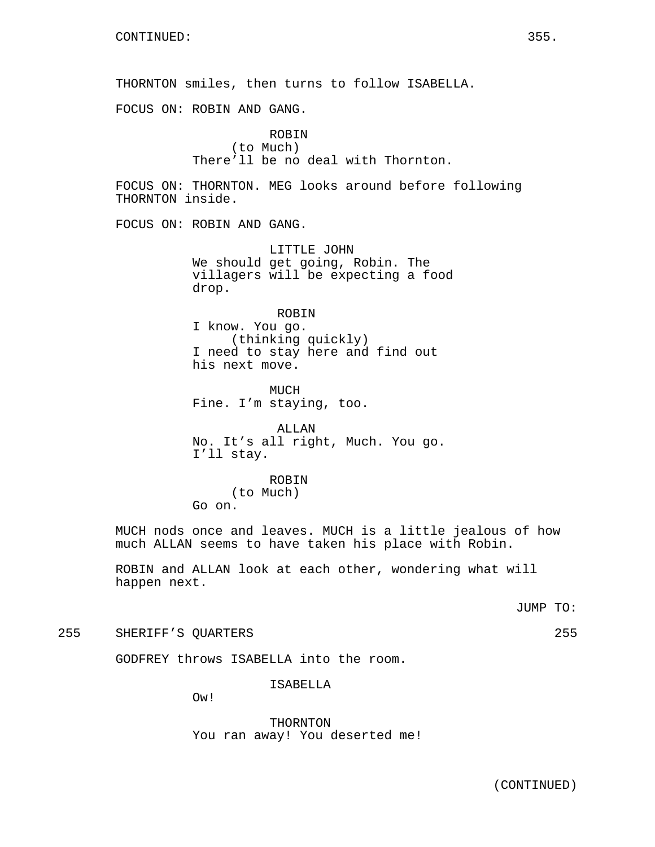THORNTON smiles, then turns to follow ISABELLA.

FOCUS ON: ROBIN AND GANG.

ROBIN (to Much) There'll be no deal with Thornton.

FOCUS ON: THORNTON. MEG looks around before following THORNTON inside.

FOCUS ON: ROBIN AND GANG.

LITTLE JOHN We should get going, Robin. The villagers will be expecting a food drop.

ROBIN

I know. You go. (thinking quickly) I need to stay here and find out his next move.

**MUCH** Fine. I'm staying, too.

ALLAN No. It's all right, Much. You go. I'll stay.

ROBIN (to Much) Go on.

MUCH nods once and leaves. MUCH is a little jealous of how much ALLAN seems to have taken his place with Robin.

ROBIN and ALLAN look at each other, wondering what will happen next.

JUMP TO:

255 SHERIFF'S QUARTERS 255

GODFREY throws ISABELLA into the room.

ISABELLA

Ow!

THORNTON You ran away! You deserted me!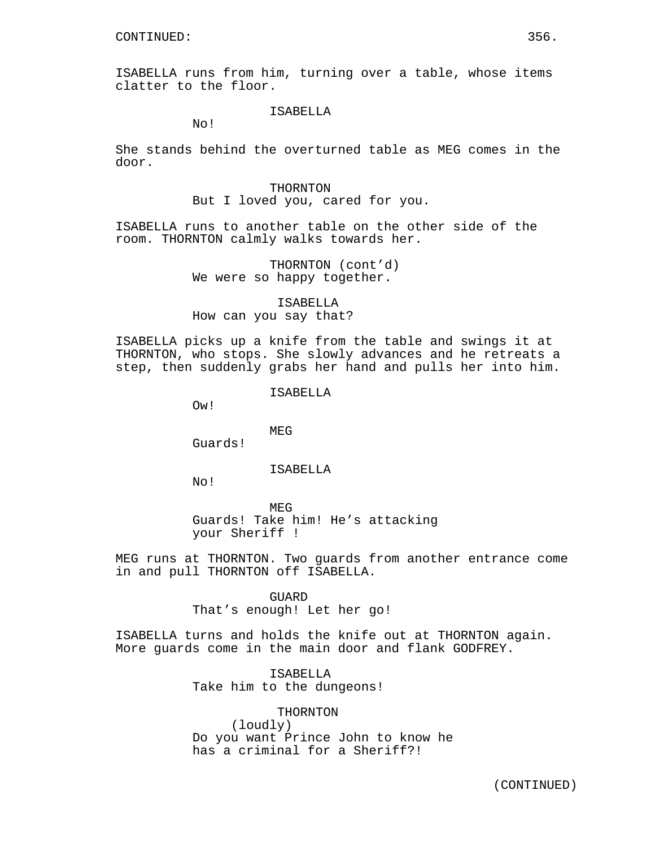ISABELLA runs from him, turning over a table, whose items clatter to the floor.

# ISABELLA

No!

She stands behind the overturned table as MEG comes in the door.

#### THORNTON

But I loved you, cared for you.

ISABELLA runs to another table on the other side of the room. THORNTON calmly walks towards her.

> THORNTON (cont'd) We were so happy together.

ISABELLA How can you say that?

ISABELLA picks up a knife from the table and swings it at THORNTON, who stops. She slowly advances and he retreats a step, then suddenly grabs her hand and pulls her into him.

ISABELLA

Ow!

MEG

Guards!

ISABELLA

No!

MEG Guards! Take him! He's attacking your Sheriff !

MEG runs at THORNTON. Two guards from another entrance come in and pull THORNTON off ISABELLA.

> GUARD That's enough! Let her go!

ISABELLA turns and holds the knife out at THORNTON again. More guards come in the main door and flank GODFREY.

> ISABELLA Take him to the dungeons!

THORNTON (loudly) Do you want Prince John to know he has a criminal for a Sheriff?!

(CONTINUED)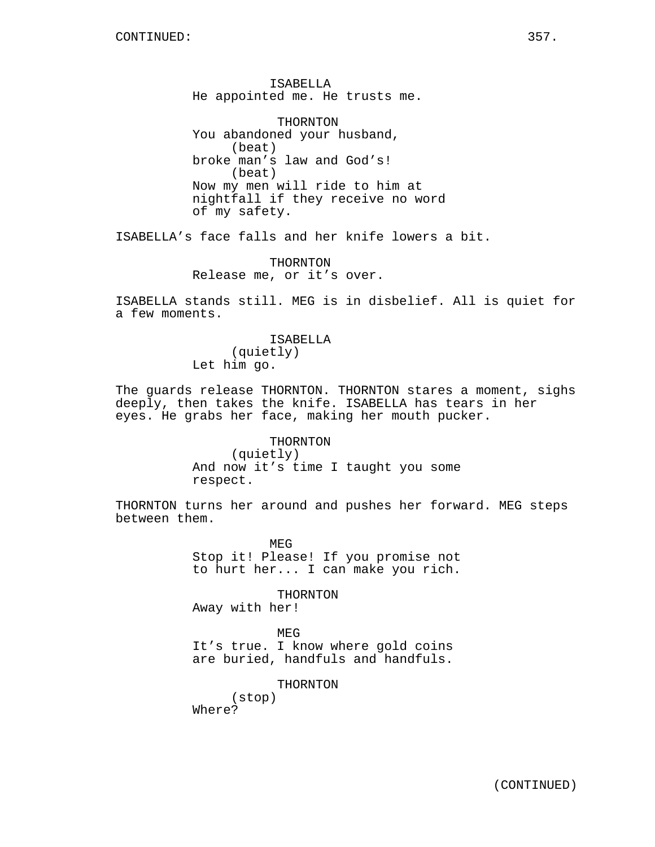ISABELLA He appointed me. He trusts me.

THORNTON You abandoned your husband, (beat) broke man's law and God's! (beat) Now my men will ride to him at nightfall if they receive no word of my safety.

ISABELLA's face falls and her knife lowers a bit.

THORNTON Release me, or it's over.

ISABELLA stands still. MEG is in disbelief. All is quiet for a few moments.

> ISABELLA (quietly) Let him go.

The guards release THORNTON. THORNTON stares a moment, sighs deeply, then takes the knife. ISABELLA has tears in her eyes. He grabs her face, making her mouth pucker.

> THORNTON (quietly) And now it's time I taught you some respect.

THORNTON turns her around and pushes her forward. MEG steps between them.

> MEG Stop it! Please! If you promise not to hurt her... I can make you rich.

THORNTON Away with her!

MEG

It's true. I know where gold coins are buried, handfuls and handfuls.

THORNTON

(stop) Where?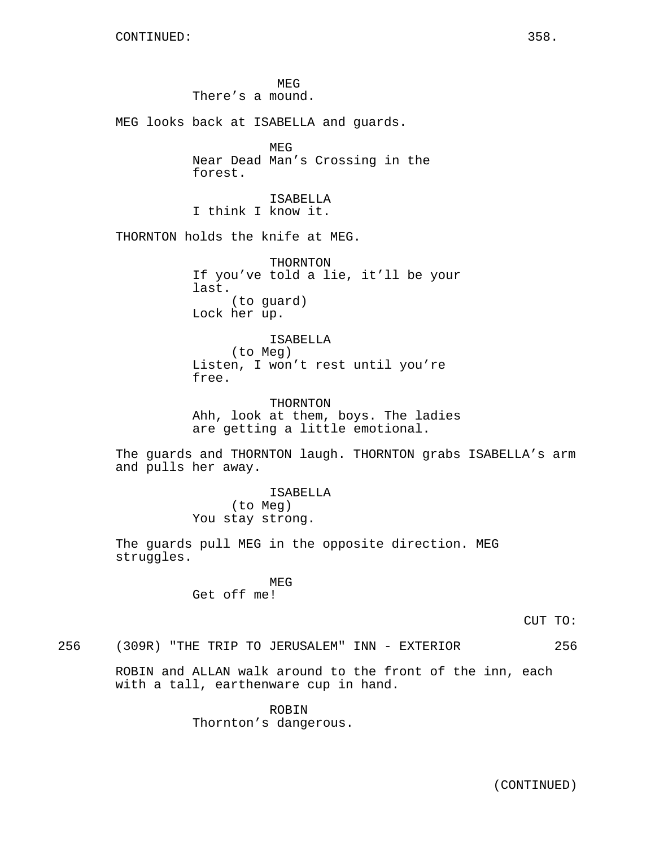MEG There's a mound. MEG looks back at ISABELLA and guards. MEG Near Dead Man's Crossing in the forest. ISABELLA I think I know it. THORNTON holds the knife at MEG. THORNTON If you've told a lie, it'll be your last. (to guard) Lock her up. ISABELLA (to Meg) Listen, I won't rest until you're free. THORNTON Ahh, look at them, boys. The ladies are getting a little emotional. The guards and THORNTON laugh. THORNTON grabs ISABELLA's arm and pulls her away. ISABELLA (to Meg) You stay strong. The guards pull MEG in the opposite direction. MEG struggles. MEG Get off me!

CUT TO:

256 (309R) "THE TRIP TO JERUSALEM" INN - EXTERIOR 256

ROBIN and ALLAN walk around to the front of the inn, each with a tall, earthenware cup in hand.

> ROBIN Thornton's dangerous.

(CONTINUED)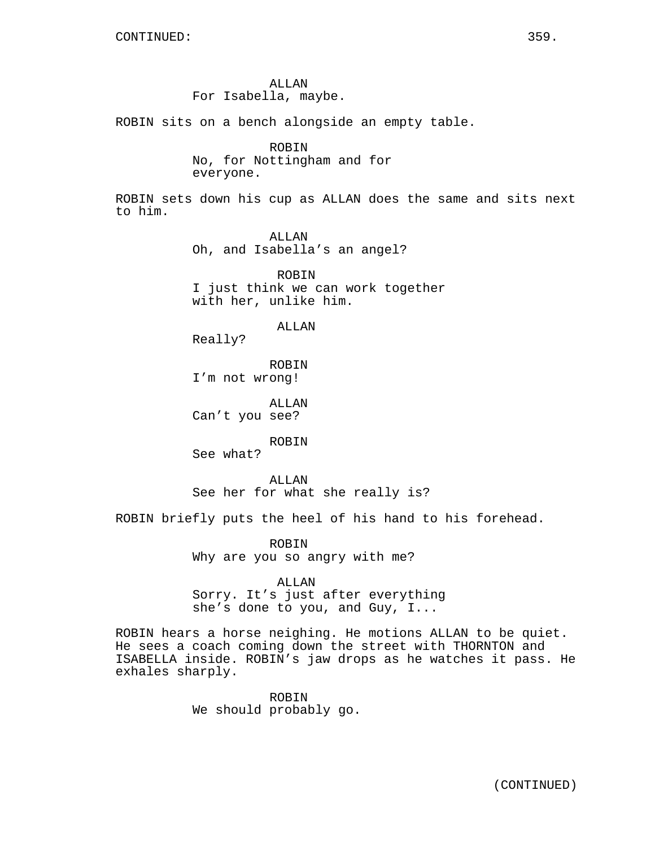ALLAN For Isabella, maybe.

ROBIN sits on a bench alongside an empty table.

ROBIN No, for Nottingham and for everyone.

ROBIN sets down his cup as ALLAN does the same and sits next to him.

> ALLAN Oh, and Isabella's an angel?

ROBIN I just think we can work together with her, unlike him.

ALLAN

Really?

ROBIN I'm not wrong!

ALLAN Can't you see?

ROBIN

See what?

ALLAN See her for what she really is?

ROBIN briefly puts the heel of his hand to his forehead.

ROBIN Why are you so angry with me?

ALLAN

Sorry. It's just after everything she's done to you, and Guy, I...

ROBIN hears a horse neighing. He motions ALLAN to be quiet. He sees a coach coming down the street with THORNTON and ISABELLA inside. ROBIN's jaw drops as he watches it pass. He exhales sharply.

> ROBIN We should probably go.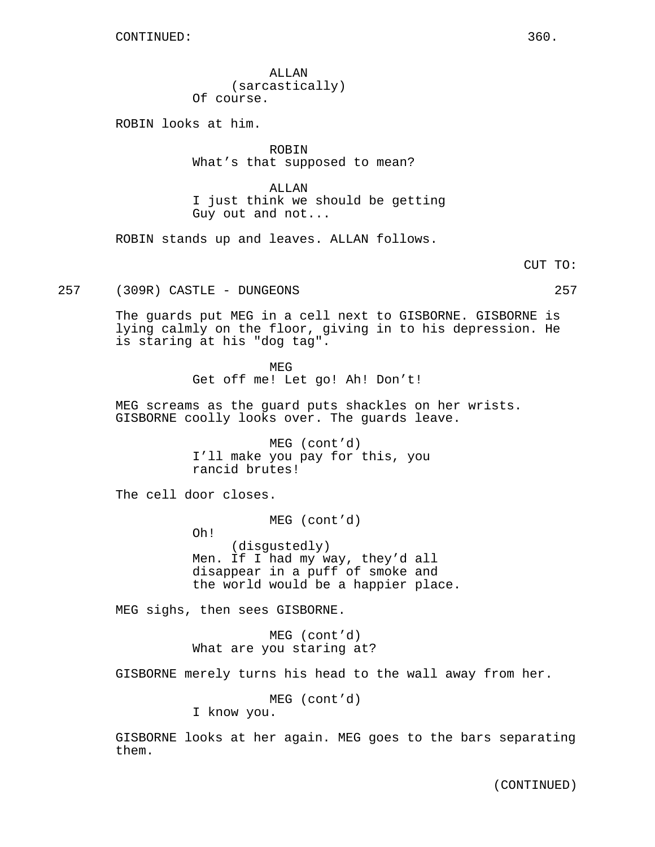ALLAN (sarcastically) Of course.

ROBIN looks at him.

ROBIN What's that supposed to mean?

ALLAN I just think we should be getting Guy out and not...

ROBIN stands up and leaves. ALLAN follows.

CUT TO:

257 (309R) CASTLE - DUNGEONS 257

The guards put MEG in a cell next to GISBORNE. GISBORNE is lying calmly on the floor, giving in to his depression. He is staring at his "dog tag".

> MEG Get off me! Let go! Ah! Don't!

MEG screams as the guard puts shackles on her wrists. GISBORNE coolly looks over. The guards leave.

> MEG (cont'd) I'll make you pay for this, you rancid brutes!

The cell door closes.

MEG (cont'd)

Oh!

(disgustedly) Men. If I had my way, they'd all disappear in a puff of smoke and the world would be a happier place.

MEG sighs, then sees GISBORNE.

MEG (cont'd) What are you staring at?

GISBORNE merely turns his head to the wall away from her.

MEG (cont'd)

I know you.

GISBORNE looks at her again. MEG goes to the bars separating them.

(CONTINUED)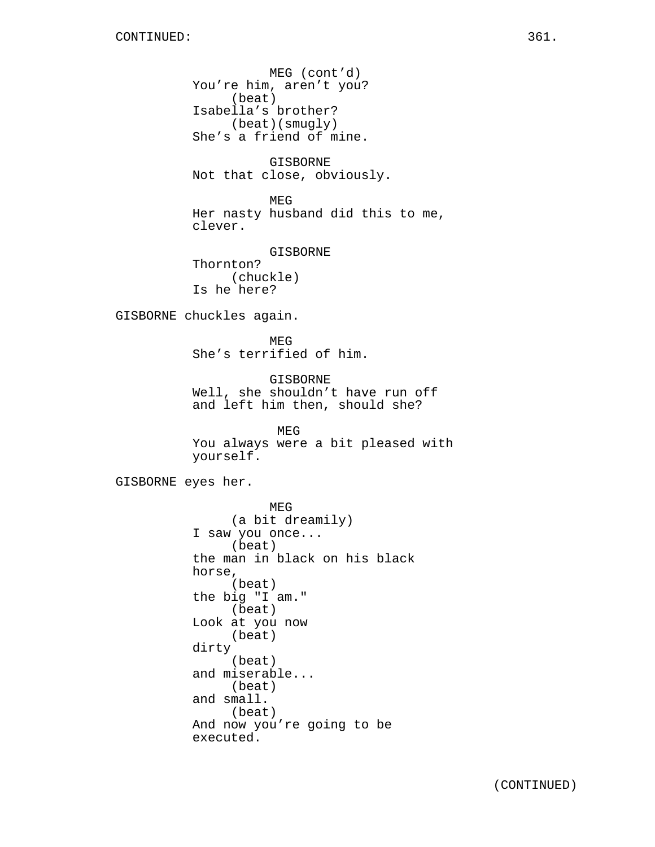MEG (cont'd) You're him, aren't you? (beat) Isabella's brother? (beat)(smugly) She's a friend of mine. GISBORNE Not that close, obviously. MEG Her nasty husband did this to me, clever. GISBORNE Thornton? (chuckle) Is he here? GISBORNE chuckles again. MEG She's terrified of him. GISBORNE Well, she shouldn't have run off and left him then, should she? MEG You always were a bit pleased with yourself. GISBORNE eyes her. MEG (a bit dreamily) I saw you once... (beat) the man in black on his black horse, (beat) the big "I am." (beat) Look at you now (beat) dirty (beat) and miserable... (beat) and small. (beat) And now you're going to be executed.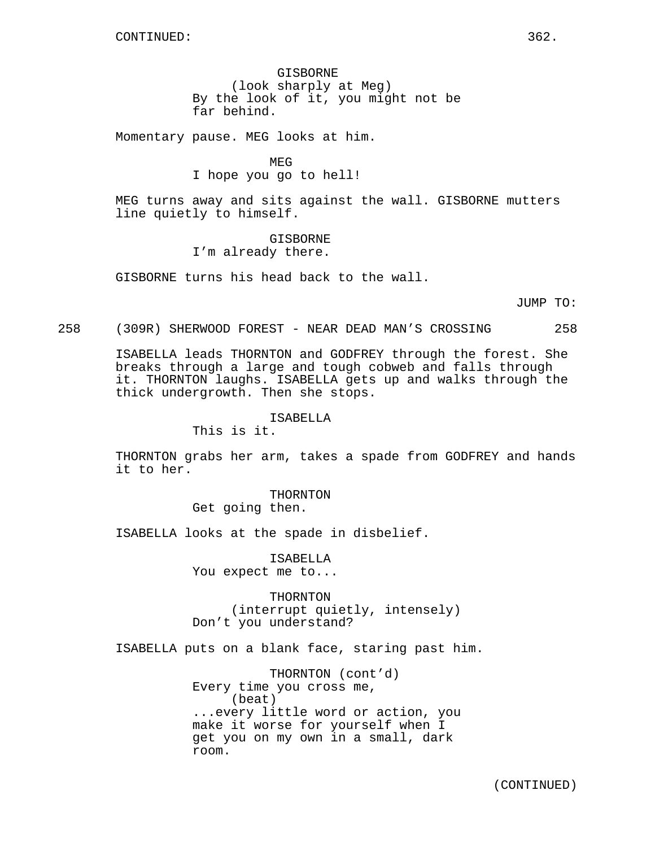GISBORNE (look sharply at Meg) By the look of it, you might not be far behind.

Momentary pause. MEG looks at him.

MEG I hope you go to hell!

MEG turns away and sits against the wall. GISBORNE mutters line quietly to himself.

> GISBORNE I'm already there.

GISBORNE turns his head back to the wall.

JUMP TO:

## 258 (309R) SHERWOOD FOREST - NEAR DEAD MAN'S CROSSING 258

ISABELLA leads THORNTON and GODFREY through the forest. She breaks through a large and tough cobweb and falls through it. THORNTON laughs. ISABELLA gets up and walks through the thick undergrowth. Then she stops.

ISABELLA

This is it.

THORNTON grabs her arm, takes a spade from GODFREY and hands it to her.

> THORNTON Get going then.

ISABELLA looks at the spade in disbelief.

ISABELLA You expect me to...

THORNTON (interrupt quietly, intensely) Don't you understand?

ISABELLA puts on a blank face, staring past him.

THORNTON (cont'd) Every time you cross me, (beat) ...every little word or action, you make it worse for yourself when I get you on my own in a small, dark room.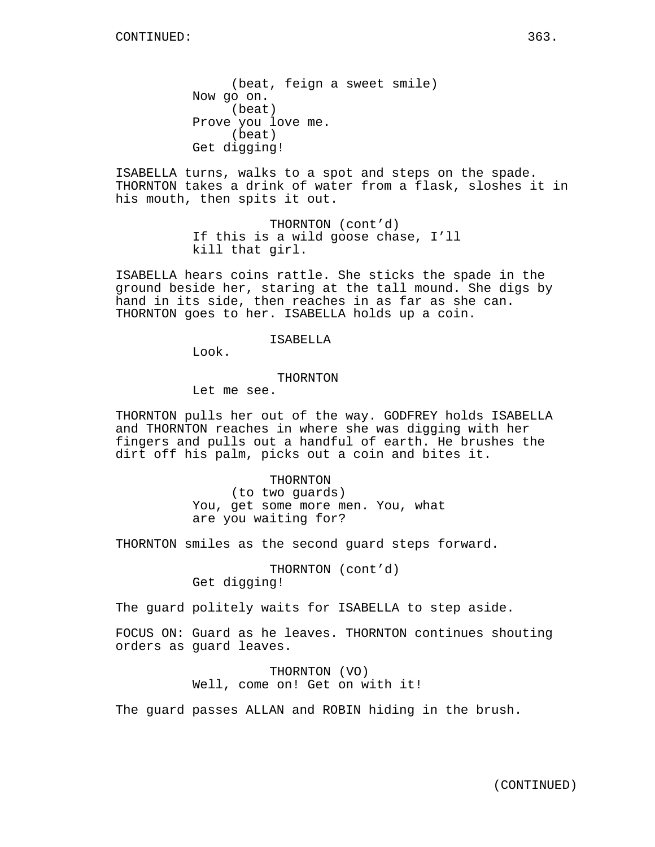(beat, feign a sweet smile) Now go on. (beat) Prove you love me. (beat) Get digging!

ISABELLA turns, walks to a spot and steps on the spade. THORNTON takes a drink of water from a flask, sloshes it in his mouth, then spits it out.

> THORNTON (cont'd) If this is a wild goose chase, I'll kill that girl.

ISABELLA hears coins rattle. She sticks the spade in the ground beside her, staring at the tall mound. She digs by hand in its side, then reaches in as far as she can. THORNTON goes to her. ISABELLA holds up a coin.

### ISABELLA

Look.

#### THORNTON

Let me see.

THORNTON pulls her out of the way. GODFREY holds ISABELLA and THORNTON reaches in where she was digging with her fingers and pulls out a handful of earth. He brushes the dirt off his palm, picks out a coin and bites it.

> THORNTON (to two guards) You, get some more men. You, what are you waiting for?

THORNTON smiles as the second guard steps forward.

THORNTON (cont'd) Get digging!

The guard politely waits for ISABELLA to step aside.

FOCUS ON: Guard as he leaves. THORNTON continues shouting orders as guard leaves.

> THORNTON (VO) Well, come on! Get on with it!

The guard passes ALLAN and ROBIN hiding in the brush.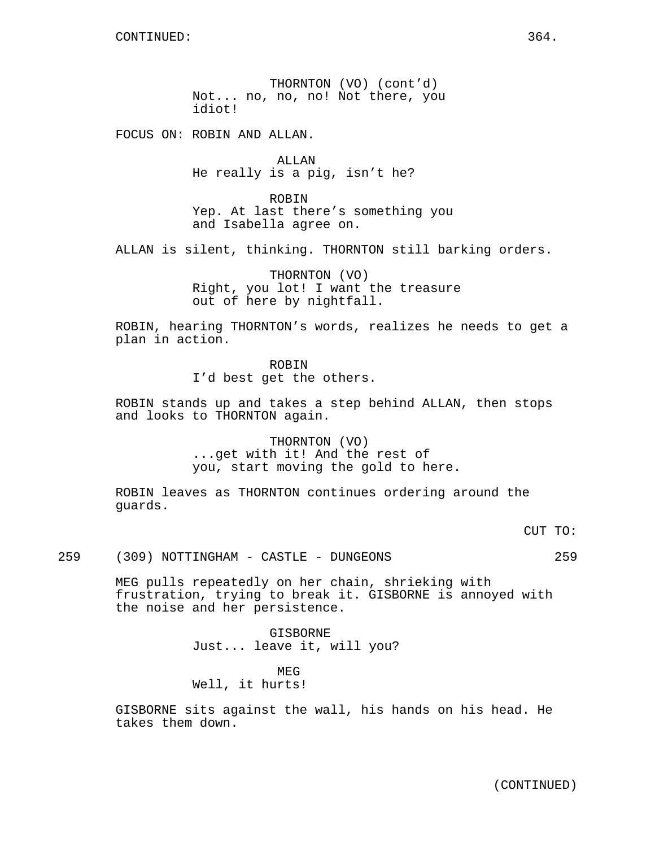THORNTON (VO) (cont'd) Not... no, no, no! Not there, you idiot!

FOCUS ON: ROBIN AND ALLAN.

ALLAN He really is a pig, isn't he?

ROBIN Yep. At last there's something you and Isabella agree on.

ALLAN is silent, thinking. THORNTON still barking orders.

THORNTON (VO) Right, you lot! I want the treasure out of here by nightfall.

ROBIN, hearing THORNTON's words, realizes he needs to get a plan in action.

ROBIN

I'd best get the others.

ROBIN stands up and takes a step behind ALLAN, then stops and looks to THORNTON again.

> THORNTON (VO) ...get with it! And the rest of you, start moving the gold to here.

ROBIN leaves as THORNTON continues ordering around the guards.

CUT TO:

259 (309) NOTTINGHAM - CASTLE - DUNGEONS 259

MEG pulls repeatedly on her chain, shrieking with frustration, trying to break it. GISBORNE is annoyed with the noise and her persistence.

> GISBORNE Just... leave it, will you?

MEG Well, it hurts!

GISBORNE sits against the wall, his hands on his head. He takes them down.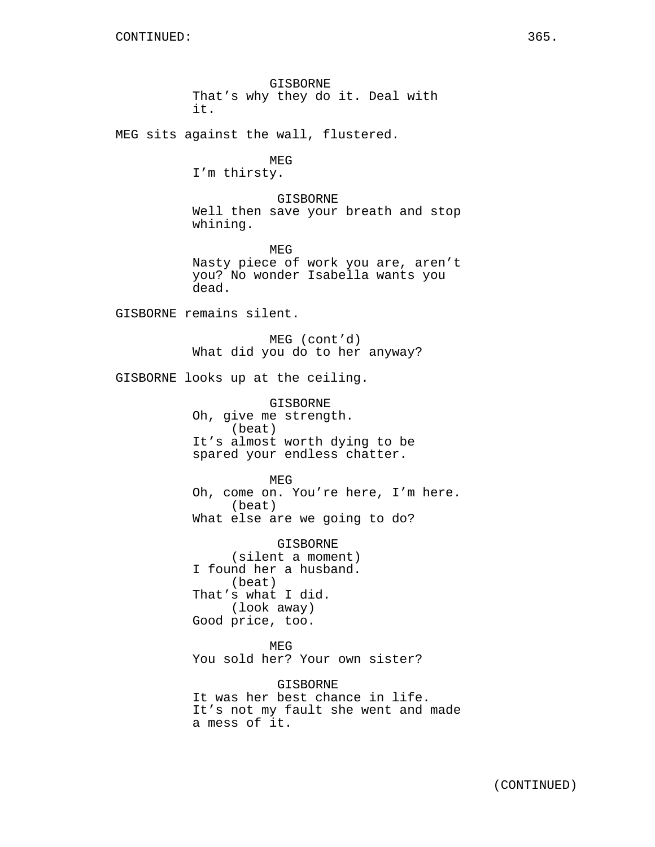GISBORNE That's why they do it. Deal with it. MEG sits against the wall, flustered. MEG I'm thirsty. GISBORNE Well then save your breath and stop whining. MEG Nasty piece of work you are, aren't you? No wonder Isabella wants you dead. GISBORNE remains silent. MEG (cont'd) What did you do to her anyway? GISBORNE looks up at the ceiling. GISBORNE Oh, give me strength. (beat) It's almost worth dying to be spared your endless chatter. MEG Oh, come on. You're here, I'm here. (beat) What else are we going to do? GISBORNE (silent a moment) I found her a husband. (beat) That's what I did. (look away) Good price, too. MEG You sold her? Your own sister? GISBORNE It was her best chance in life. It's not my fault she went and made a mess of it.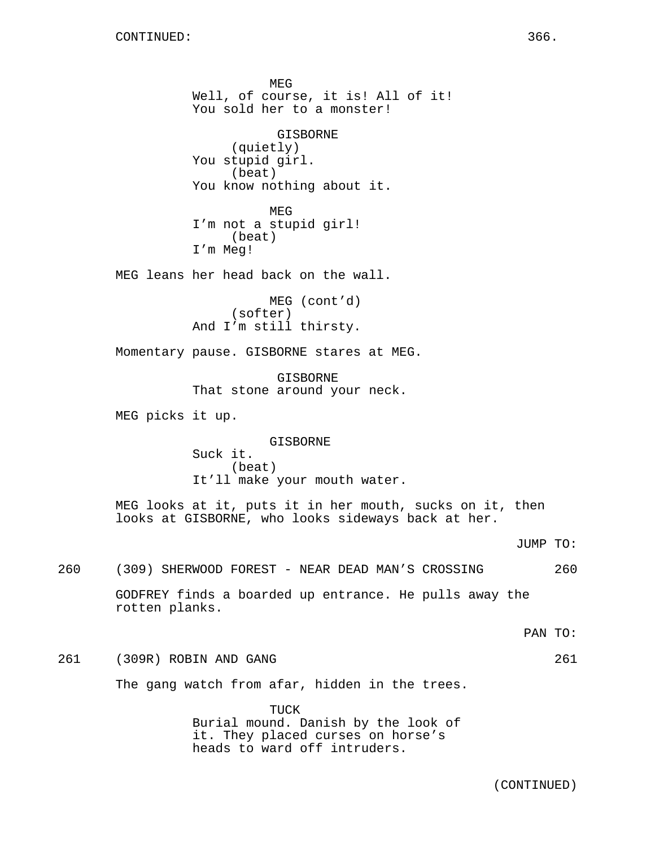MEG Well, of course, it is! All of it! You sold her to a monster! GISBORNE (quietly) You stupid girl. (beat) You know nothing about it. MEG I'm not a stupid girl! (beat) I'm Meg! MEG leans her head back on the wall. MEG (cont'd) (softer) And I'm still thirsty. Momentary pause. GISBORNE stares at MEG. GISBORNE That stone around your neck. MEG picks it up. GISBORNE Suck it. (beat) It'll make your mouth water. MEG looks at it, puts it in her mouth, sucks on it, then looks at GISBORNE, who looks sideways back at her. JUMP TO: 260 (309) SHERWOOD FOREST - NEAR DEAD MAN'S CROSSING 260 GODFREY finds a boarded up entrance. He pulls away the rotten planks. PAN TO: 261 (309R) ROBIN AND GANG 261 The gang watch from afar, hidden in the trees. TUCK Burial mound. Danish by the look of it. They placed curses on horse's heads to ward off intruders.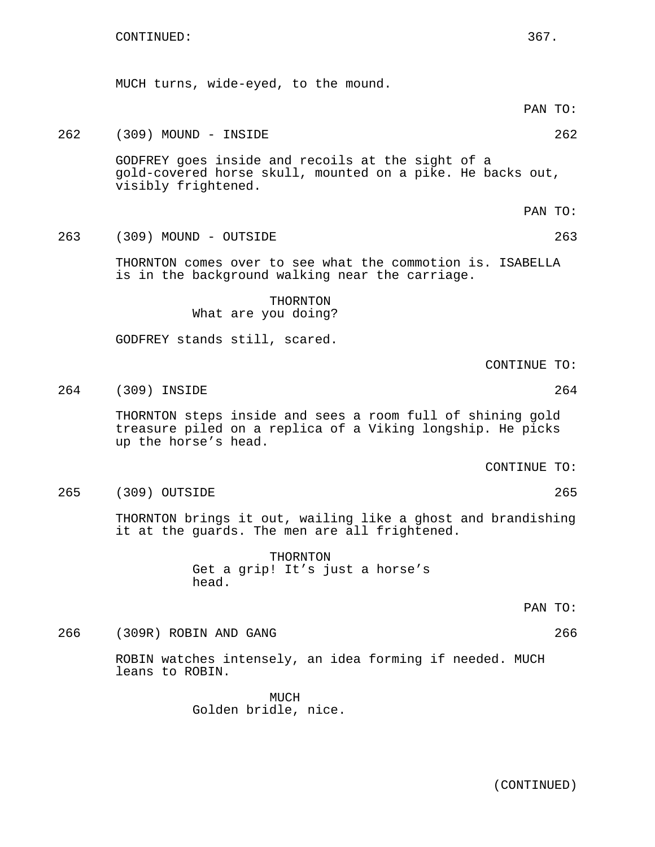MUCH turns, wide-eyed, to the mound. PAN TO: 262 (309) MOUND - INSIDE 262 GODFREY goes inside and recoils at the sight of a gold-covered horse skull, mounted on a pike. He backs out, visibly frightened. PAN TO: 263 (309) MOUND - OUTSIDE 263 THORNTON comes over to see what the commotion is. ISABELLA is in the background walking near the carriage. THORNTON What are you doing? GODFREY stands still, scared. CONTINUE TO: 264 (309) INSIDE 264 THORNTON steps inside and sees a room full of shining gold treasure piled on a replica of a Viking longship. He picks up the horse's head. CONTINUE TO: 265 (309) OUTSIDE 265 THORNTON brings it out, wailing like a ghost and brandishing it at the guards. The men are all frightened. THORNTON Get a grip! It's just a horse's head. PAN TO: 266 (309R) ROBIN AND GANG 266 ROBIN watches intensely, an idea forming if needed. MUCH leans to ROBIN.

> MICH Golden bridle, nice.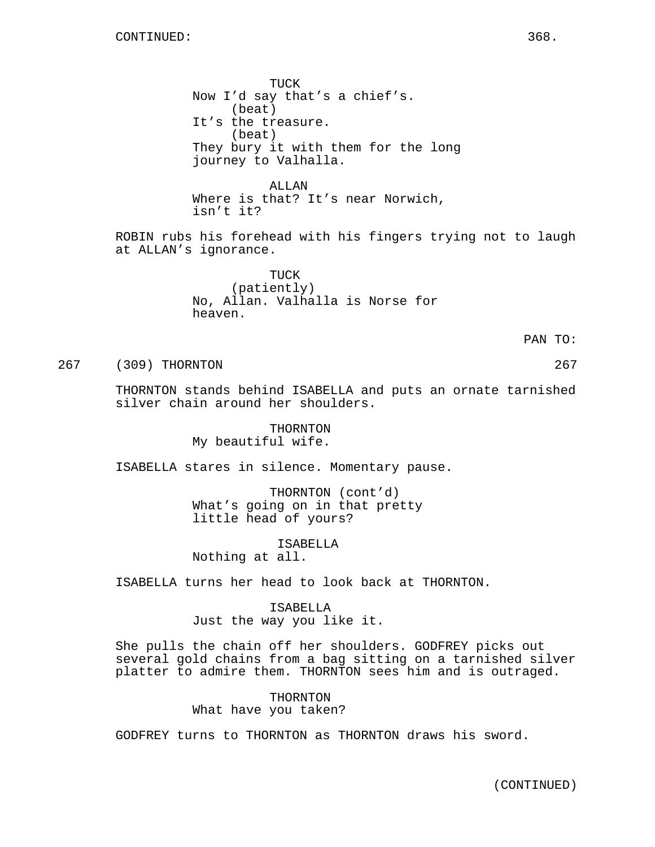TUCK Now I'd say that's a chief's. (beat) It's the treasure. (beat) They bury it with them for the long journey to Valhalla.

ALLAN Where is that? It's near Norwich, isn't it?

ROBIN rubs his forehead with his fingers trying not to laugh at ALLAN's ignorance.

> TUCK (patiently) No, Allan. Valhalla is Norse for heaven.

> > PAN TO:

267 (309) THORNTON 267

THORNTON stands behind ISABELLA and puts an ornate tarnished silver chain around her shoulders.

> THORNTON My beautiful wife.

ISABELLA stares in silence. Momentary pause.

THORNTON (cont'd) What's going on in that pretty little head of yours?

ISABELLA

Nothing at all.

ISABELLA turns her head to look back at THORNTON.

ISABELLA Just the way you like it.

She pulls the chain off her shoulders. GODFREY picks out several gold chains from a bag sitting on a tarnished silver platter to admire them. THORNTON sees him and is outraged.

> THORNTON What have you taken?

GODFREY turns to THORNTON as THORNTON draws his sword.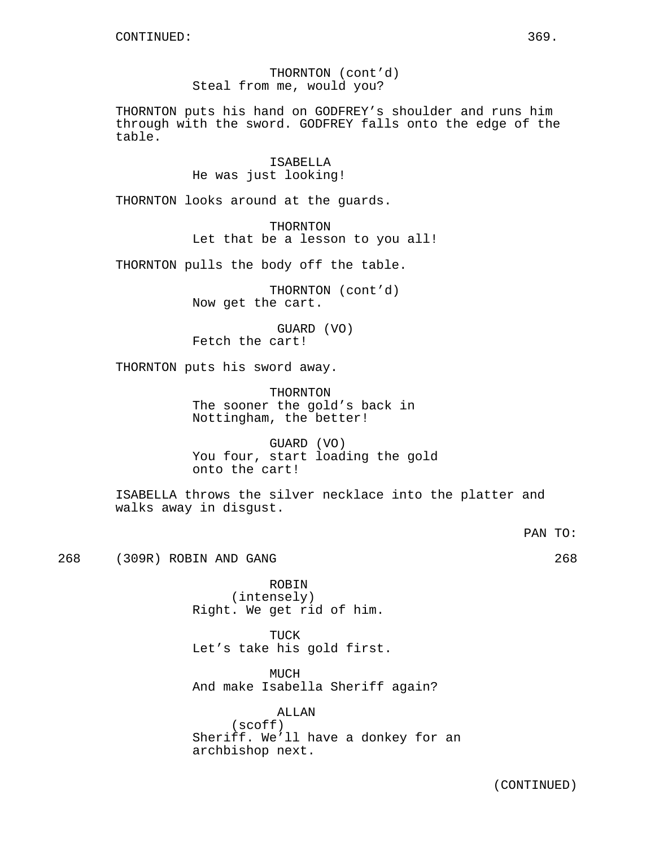THORNTON (cont'd) Steal from me, would you?

THORNTON puts his hand on GODFREY's shoulder and runs him through with the sword. GODFREY falls onto the edge of the table.

> ISABELLA He was just looking!

THORNTON looks around at the guards.

THORNTON Let that be a lesson to you all!

THORNTON pulls the body off the table.

THORNTON (cont'd) Now get the cart.

GUARD (VO) Fetch the cart!

THORNTON puts his sword away.

THORNTON The sooner the gold's back in Nottingham, the better!

GUARD (VO) You four, start loading the gold onto the cart!

ISABELLA throws the silver necklace into the platter and walks away in disgust.

PAN TO:

268 (309R) ROBIN AND GANG 268

ROBIN (intensely) Right. We get rid of him.

TUCK Let's take his gold first.

MUCH And make Isabella Sheriff again?

ALLAN (scoff) Sheriff. We'll have a donkey for an archbishop next.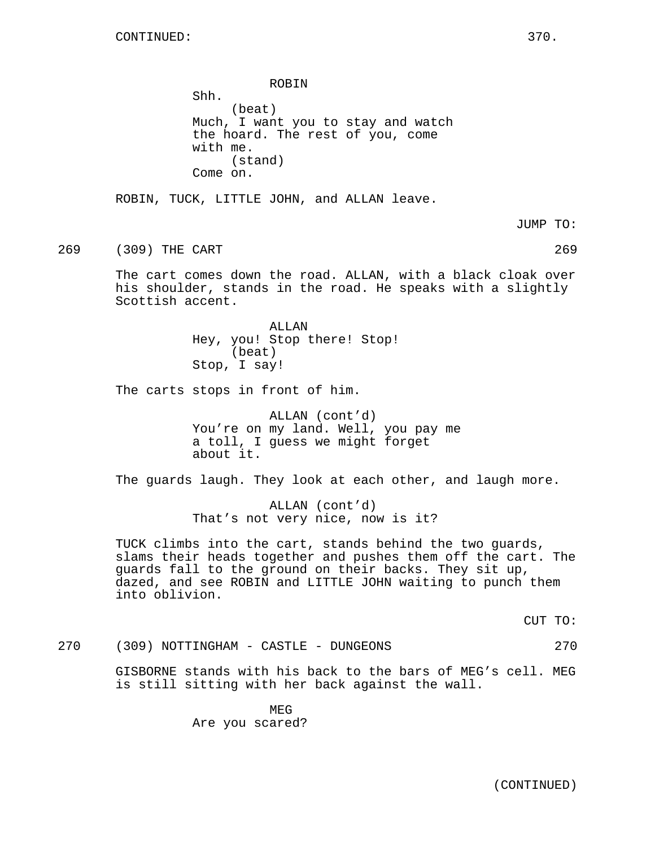ROBIN Shh. (beat) Much, I want you to stay and watch the hoard. The rest of you, come with me. (stand) Come on. ROBIN, TUCK, LITTLE JOHN, and ALLAN leave. JUMP TO: 269 (309) THE CART 269 The cart comes down the road. ALLAN, with a black cloak over his shoulder, stands in the road. He speaks with a slightly Scottish accent. ALLAN Hey, you! Stop there! Stop! (beat) Stop, I say! The carts stops in front of him. ALLAN (cont'd) You're on my land. Well, you pay me a toll, I guess we might forget about it. The guards laugh. They look at each other, and laugh more. ALLAN (cont'd) That's not very nice, now is it? TUCK climbs into the cart, stands behind the two guards, slams their heads together and pushes them off the cart. The guards fall to the ground on their backs. They sit up, dazed, and see ROBIN and LITTLE JOHN waiting to punch them into oblivion. CUT TO: 270 (309) NOTTINGHAM - CASTLE - DUNGEONS 270 GISBORNE stands with his back to the bars of MEG's cell. MEG is still sitting with her back against the wall.

> MEG Are you scared?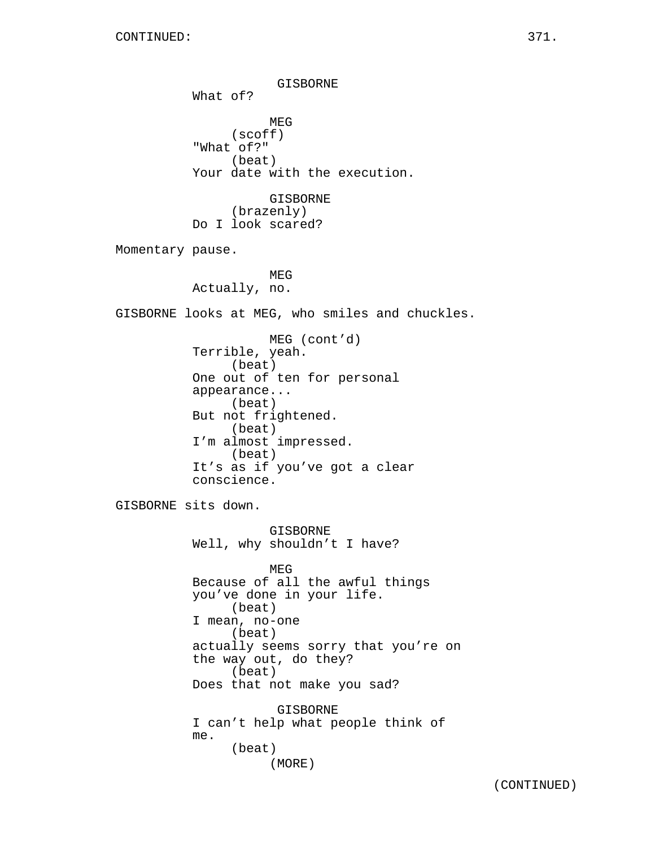GISBORNE What of? MEG (scoff) "What of?" (beat) Your date with the execution. GISBORNE (brazenly) Do I look scared? Momentary pause. MEG Actually, no. GISBORNE looks at MEG, who smiles and chuckles. MEG (cont'd) Terrible, yeah. (beat) One out of ten for personal appearance... (beat) But not frightened. (beat) I'm almost impressed. (beat) It's as if you've got a clear conscience. GISBORNE sits down. GISBORNE Well, why shouldn't I have? MEG Because of all the awful things you've done in your life. (beat) I mean, no-one (beat) actually seems sorry that you're on the way out, do they? (beat) Does that not make you sad? GISBORNE I can't help what people think of me. (beat) (MORE)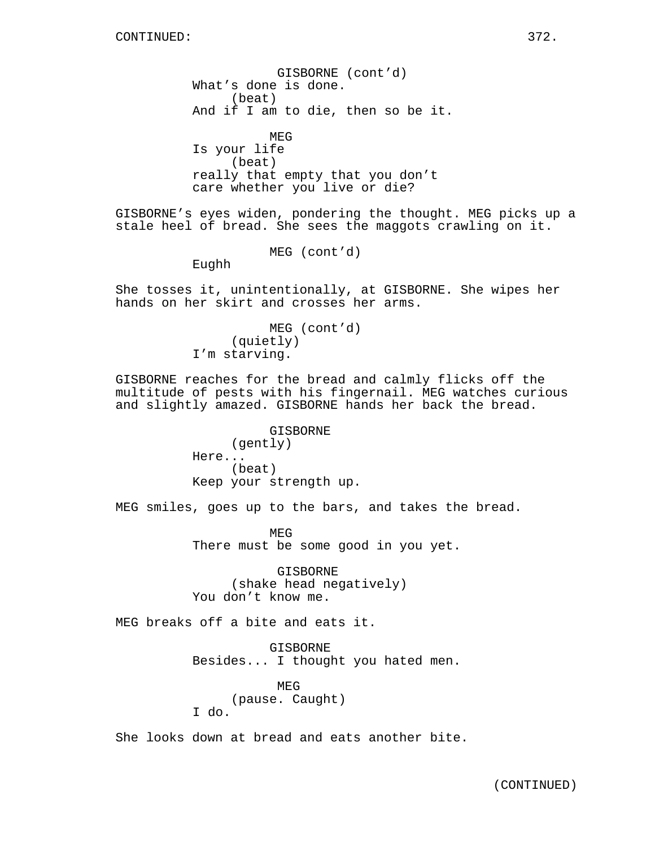GISBORNE (cont'd) What's done is done. (beat) And if I am to die, then so be it. MEG Is your life (beat) really that empty that you don't care whether you live or die? GISBORNE's eyes widen, pondering the thought. MEG picks up a stale heel of bread. She sees the maggots crawling on it. MEG (cont'd) Eughh She tosses it, unintentionally, at GISBORNE. She wipes her hands on her skirt and crosses her arms. MEG (cont'd) (quietly) I'm starving. GISBORNE reaches for the bread and calmly flicks off the multitude of pests with his fingernail. MEG watches curious and slightly amazed. GISBORNE hands her back the bread. GISBORNE (gently) Here... (beat) Keep your strength up. MEG smiles, goes up to the bars, and takes the bread. MEG There must be some good in you yet. GISBORNE (shake head negatively) You don't know me. MEG breaks off a bite and eats it. GISBORNE Besides... I thought you hated men. MEG (pause. Caught) I do.

She looks down at bread and eats another bite.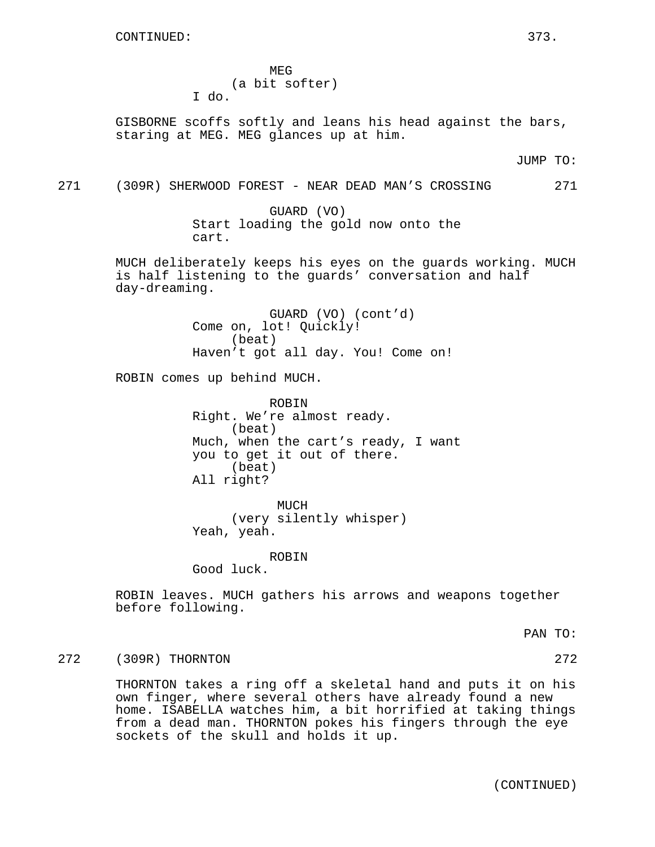MEG (a bit softer) I do.

GISBORNE scoffs softly and leans his head against the bars, staring at MEG. MEG glances up at him.

JUMP TO:

271 (309R) SHERWOOD FOREST - NEAR DEAD MAN'S CROSSING 271

GUARD (VO) Start loading the gold now onto the cart.

MUCH deliberately keeps his eyes on the guards working. MUCH is half listening to the guards' conversation and half day-dreaming.

> GUARD (VO) (cont'd) Come on, lot! Quickly! (beat) Haven't got all day. You! Come on!

ROBIN comes up behind MUCH.

ROBIN Right. We're almost ready. (beat) Much, when the cart's ready, I want you to get it out of there. (beat) All right?

MUCH (very silently whisper) Yeah, yeah.

**ROBIN** 

Good luck.

ROBIN leaves. MUCH gathers his arrows and weapons together before following.

PAN TO:

272 (309R) THORNTON 272

THORNTON takes a ring off a skeletal hand and puts it on his own finger, where several others have already found a new home. ISABELLA watches him, a bit horrified at taking things from a dead man. THORNTON pokes his fingers through the eye sockets of the skull and holds it up.

(CONTINUED)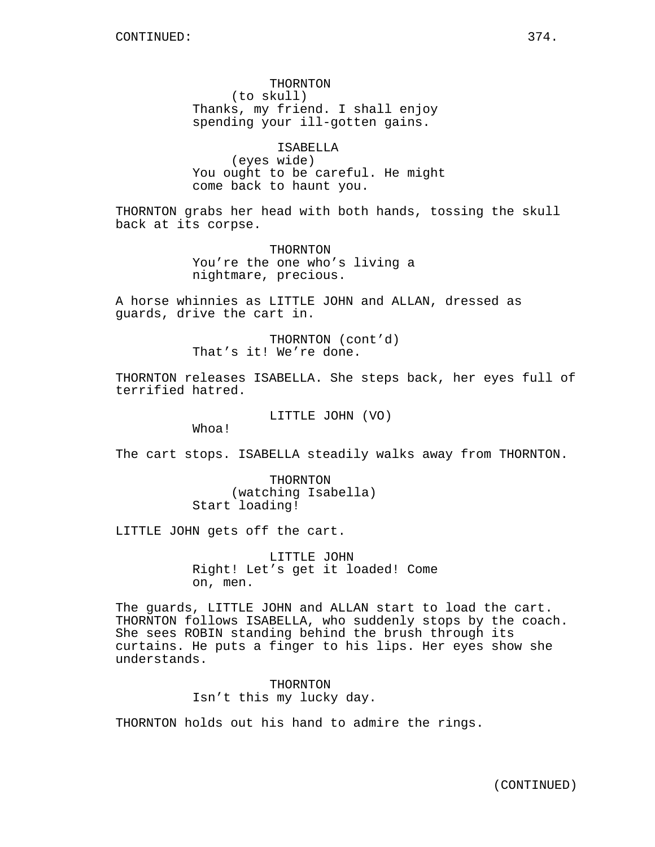THORNTON (to skull) Thanks, my friend. I shall enjoy spending your ill-gotten gains.

ISABELLA (eyes wide) You ought to be careful. He might come back to haunt you.

THORNTON grabs her head with both hands, tossing the skull back at its corpse.

> THORNTON You're the one who's living a nightmare, precious.

A horse whinnies as LITTLE JOHN and ALLAN, dressed as guards, drive the cart in.

> THORNTON (cont'd) That's it! We're done.

THORNTON releases ISABELLA. She steps back, her eyes full of terrified hatred.

LITTLE JOHN (VO)

Whoa!

The cart stops. ISABELLA steadily walks away from THORNTON.

THORNTON (watching Isabella) Start loading!

LITTLE JOHN gets off the cart.

LITTLE JOHN Right! Let's get it loaded! Come on, men.

The guards, LITTLE JOHN and ALLAN start to load the cart. THORNTON follows ISABELLA, who suddenly stops by the coach. She sees ROBIN standing behind the brush through its curtains. He puts a finger to his lips. Her eyes show she understands.

> THORNTON Isn't this my lucky day.

THORNTON holds out his hand to admire the rings.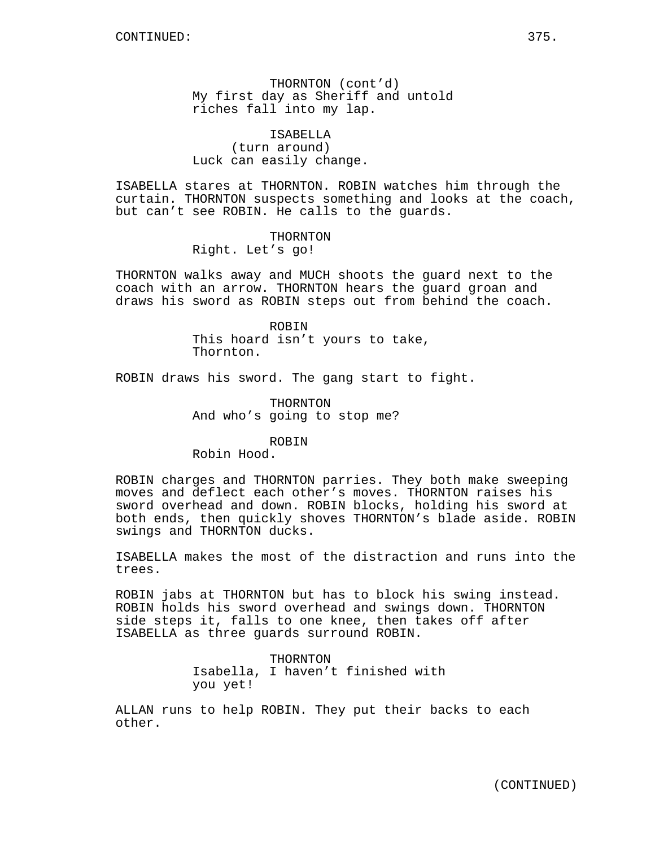THORNTON (cont'd) My first day as Sheriff and untold riches fall into my lap.

ISABELLA (turn around) Luck can easily change.

ISABELLA stares at THORNTON. ROBIN watches him through the curtain. THORNTON suspects something and looks at the coach, but can't see ROBIN. He calls to the guards.

### THORNTON

Right. Let's go!

THORNTON walks away and MUCH shoots the guard next to the coach with an arrow. THORNTON hears the guard groan and draws his sword as ROBIN steps out from behind the coach.

#### ROBIN

This hoard isn't yours to take, Thornton.

ROBIN draws his sword. The gang start to fight.

THORNTON And who's going to stop me?

### ROBIN

Robin Hood.

ROBIN charges and THORNTON parries. They both make sweeping moves and deflect each other's moves. THORNTON raises his sword overhead and down. ROBIN blocks, holding his sword at both ends, then quickly shoves THORNTON's blade aside. ROBIN swings and THORNTON ducks.

ISABELLA makes the most of the distraction and runs into the trees.

ROBIN jabs at THORNTON but has to block his swing instead. ROBIN holds his sword overhead and swings down. THORNTON side steps it, falls to one knee, then takes off after ISABELLA as three guards surround ROBIN.

> THORNTON Isabella, I haven't finished with you yet!

ALLAN runs to help ROBIN. They put their backs to each other.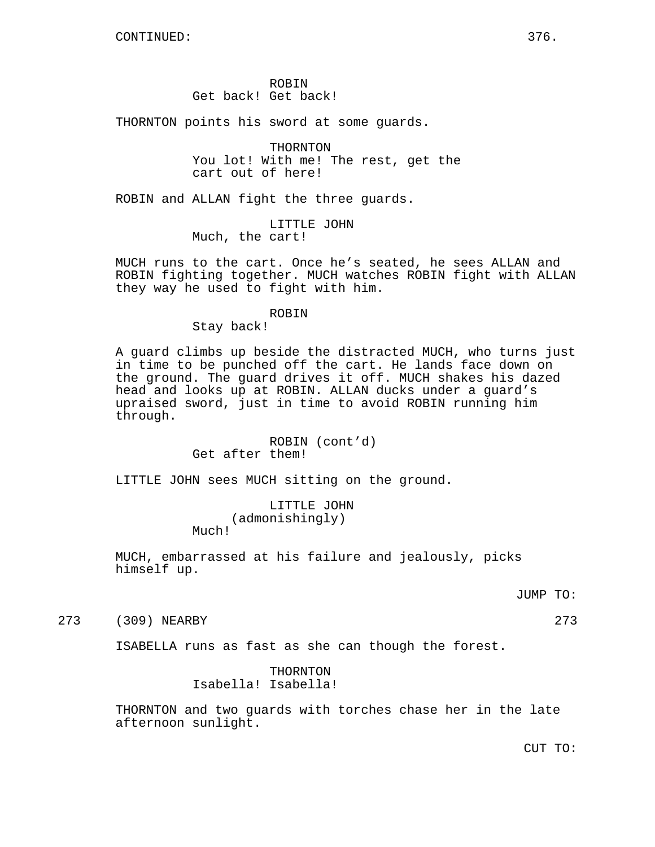ROBIN Get back! Get back!

THORNTON points his sword at some guards.

THORNTON You lot! With me! The rest, get the cart out of here!

ROBIN and ALLAN fight the three guards.

LITTLE JOHN Much, the cart!

MUCH runs to the cart. Once he's seated, he sees ALLAN and ROBIN fighting together. MUCH watches ROBIN fight with ALLAN they way he used to fight with him.

#### ROBIN

Stay back!

A guard climbs up beside the distracted MUCH, who turns just in time to be punched off the cart. He lands face down on the ground. The guard drives it off. MUCH shakes his dazed head and looks up at ROBIN. ALLAN ducks under a guard's upraised sword, just in time to avoid ROBIN running him through.

# ROBIN (cont'd) Get after them!

LITTLE JOHN sees MUCH sitting on the ground.

LITTLE JOHN (admonishingly)

Much!

MUCH, embarrassed at his failure and jealously, picks himself up.

JUMP TO:

273 (309) NEARBY 273

ISABELLA runs as fast as she can though the forest.

THORNTON Isabella! Isabella!

THORNTON and two guards with torches chase her in the late afternoon sunlight.

CUT TO: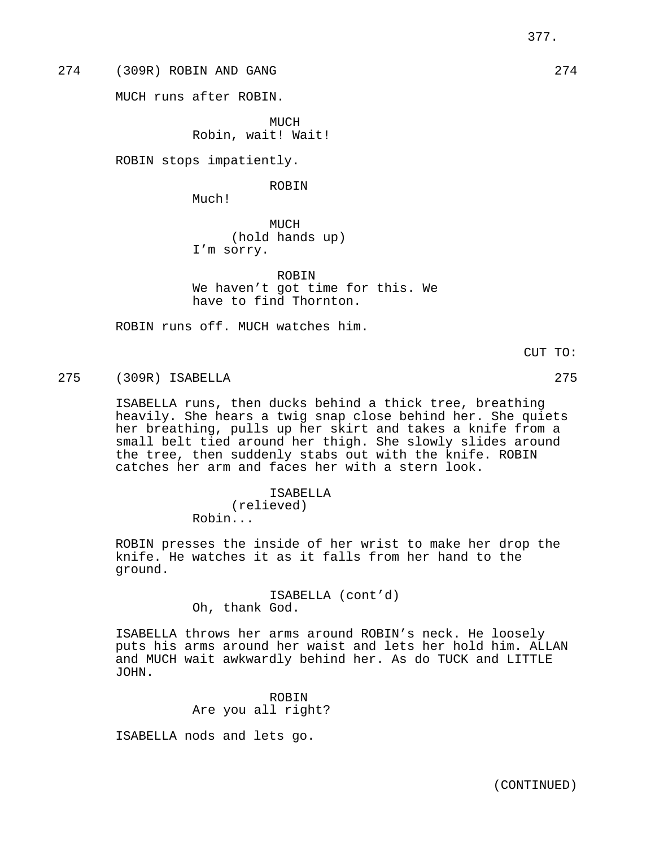274 (309R) ROBIN AND GANG 274

MUCH runs after ROBIN.

MUCH Robin, wait! Wait!

ROBIN stops impatiently.

ROBIN

Much!

MUCH (hold hands up) I'm sorry.

ROBIN We haven't got time for this. We have to find Thornton.

ROBIN runs off. MUCH watches him.

275 (309R) ISABELLA 275

ISABELLA runs, then ducks behind a thick tree, breathing heavily. She hears a twig snap close behind her. She quiets her breathing, pulls up her skirt and takes a knife from a small belt tied around her thigh. She slowly slides around the tree, then suddenly stabs out with the knife. ROBIN catches her arm and faces her with a stern look.

> ISABELLA (relieved) Robin...

ROBIN presses the inside of her wrist to make her drop the knife. He watches it as it falls from her hand to the ground.

> ISABELLA (cont'd) Oh, thank God.

ISABELLA throws her arms around ROBIN's neck. He loosely puts his arms around her waist and lets her hold him. ALLAN and MUCH wait awkwardly behind her. As do TUCK and LITTLE JOHN.

> ROBIN Are you all right?

ISABELLA nods and lets go.

CUT TO: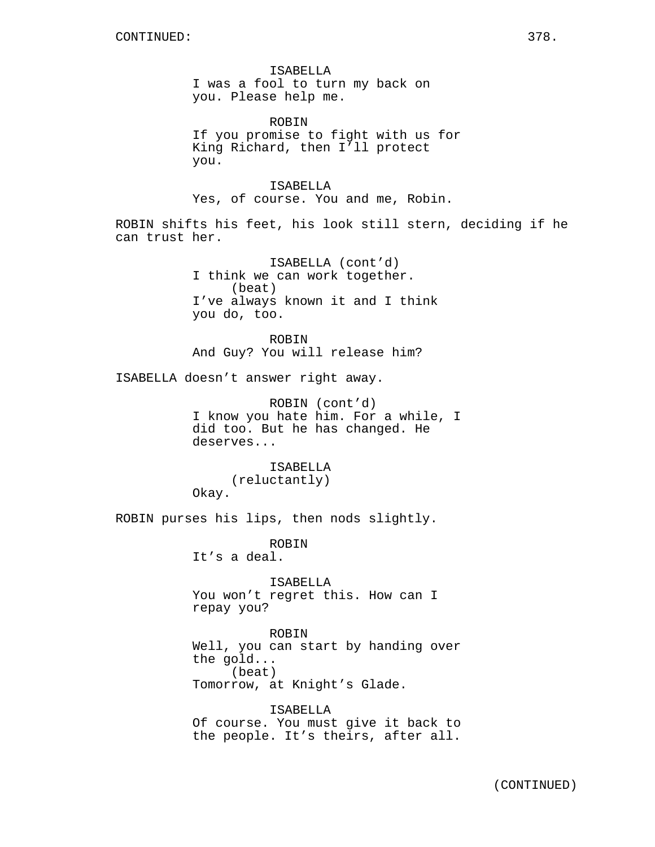ISABELLA I was a fool to turn my back on you. Please help me.

ROBIN If you promise to fight with us for King Richard, then I'll protect you.

ISABELLA Yes, of course. You and me, Robin.

ROBIN shifts his feet, his look still stern, deciding if he can trust her.

> ISABELLA (cont'd) I think we can work together. (beat) I've always known it and I think you do, too.

**ROBIN** And Guy? You will release him?

ISABELLA doesn't answer right away.

ROBIN (cont'd) I know you hate him. For a while, I did too. But he has changed. He deserves...

ISABELLA (reluctantly) Okay.

ROBIN purses his lips, then nods slightly.

ROBIN It's a deal.

ISABELLA You won't regret this. How can I repay you?

ROBIN Well, you can start by handing over the gold... (beat) Tomorrow, at Knight's Glade.

ISABELLA Of course. You must give it back to the people. It's theirs, after all.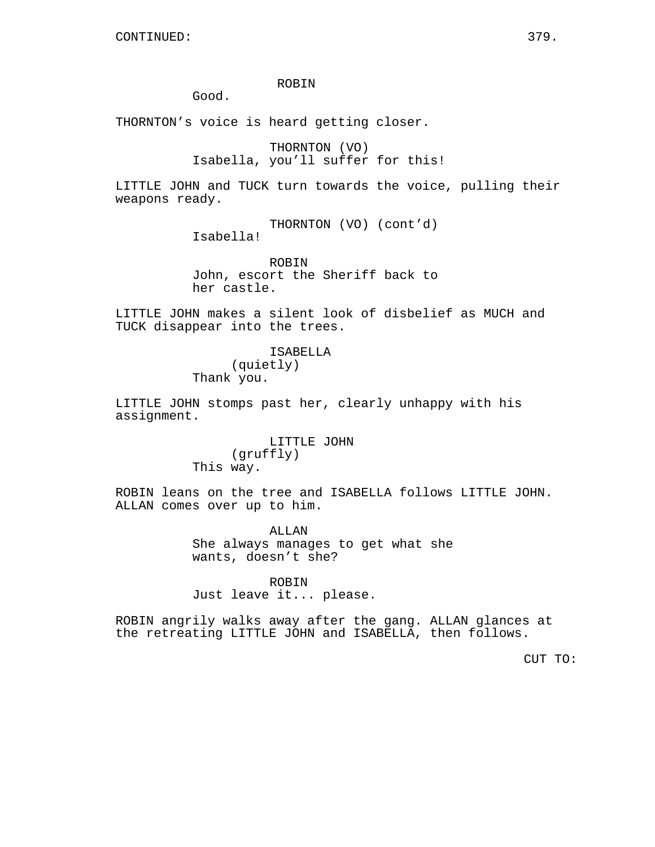## ROBIN

Good.

THORNTON's voice is heard getting closer.

THORNTON (VO) Isabella, you'll suffer for this!

LITTLE JOHN and TUCK turn towards the voice, pulling their weapons ready.

> THORNTON (VO) (cont'd) Isabella!

> ROBIN John, escort the Sheriff back to her castle.

LITTLE JOHN makes a silent look of disbelief as MUCH and TUCK disappear into the trees.

> ISABELLA (quietly) Thank you.

LITTLE JOHN stomps past her, clearly unhappy with his assignment.

> LITTLE JOHN (gruffly) This way.

ROBIN leans on the tree and ISABELLA follows LITTLE JOHN. ALLAN comes over up to him.

> ALLAN She always manages to get what she wants, doesn't she?

ROBIN Just leave it... please.

ROBIN angrily walks away after the gang. ALLAN glances at the retreating LITTLE JOHN and ISABELLA, then follows.

CUT TO: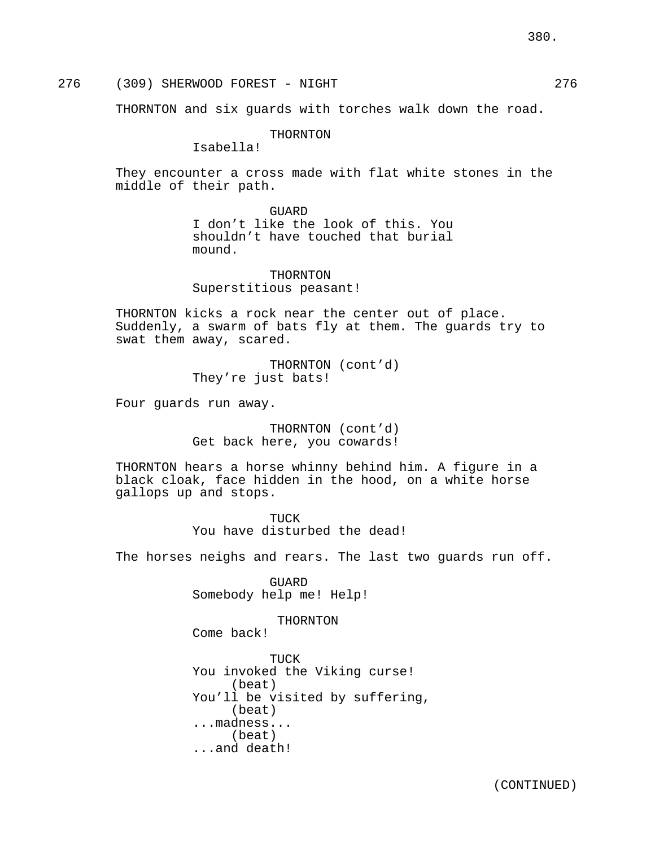276 (309) SHERWOOD FOREST - NIGHT 276

THORNTON and six guards with torches walk down the road.

THORNTON

Isabella!

They encounter a cross made with flat white stones in the middle of their path.

## GUARD

I don't like the look of this. You shouldn't have touched that burial mound.

THORNTON Superstitious peasant!

THORNTON kicks a rock near the center out of place. Suddenly, a swarm of bats fly at them. The guards try to swat them away, scared.

> THORNTON (cont'd) They're just bats!

Four guards run away.

THORNTON (cont'd) Get back here, you cowards!

THORNTON hears a horse whinny behind him. A figure in a black cloak, face hidden in the hood, on a white horse gallops up and stops.

> TUCK You have disturbed the dead!

The horses neighs and rears. The last two guards run off.

GUARD Somebody help me! Help!

THORNTON

Come back!

TUCK You invoked the Viking curse! (beat) You'll be visited by suffering, (beat) ...madness... (beat) ...and death!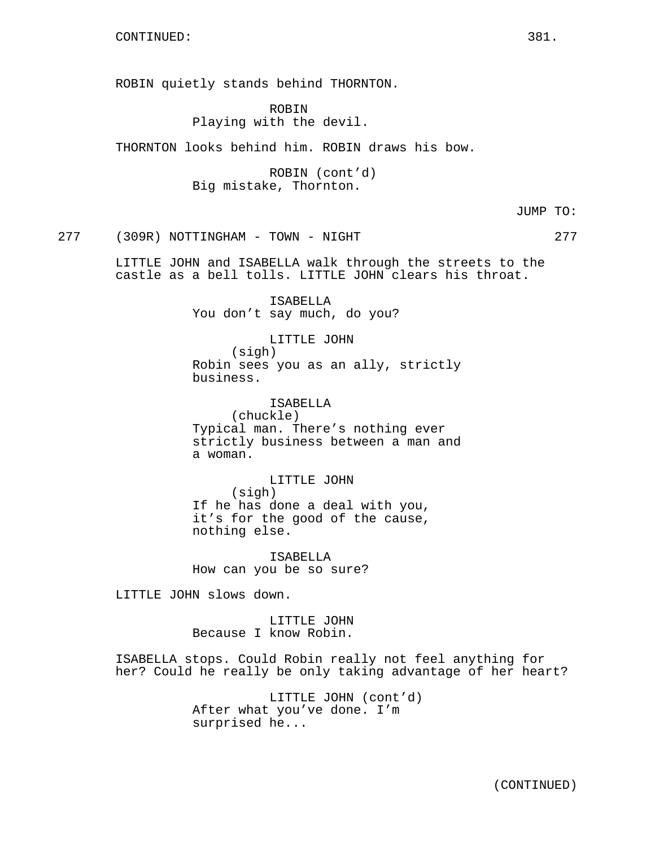ROBIN quietly stands behind THORNTON.

ROBIN Playing with the devil.

THORNTON looks behind him. ROBIN draws his bow.

ROBIN (cont'd) Big mistake, Thornton.

JUMP TO:

277 (309R) NOTTINGHAM - TOWN - NIGHT 277

LITTLE JOHN and ISABELLA walk through the streets to the castle as a bell tolls. LITTLE JOHN clears his throat.

> ISABELLA You don't say much, do you?

LITTLE JOHN (sigh) Robin sees you as an ally, strictly business.

ISABELLA (chuckle) Typical man. There's nothing ever strictly business between a man and a woman.

LITTLE JOHN (sigh) If he has done a deal with you, it's for the good of the cause, nothing else.

ISABELLA How can you be so sure?

LITTLE JOHN slows down.

LITTLE JOHN Because I know Robin.

ISABELLA stops. Could Robin really not feel anything for her? Could he really be only taking advantage of her heart?

> LITTLE JOHN (cont'd) After what you've done. I'm surprised he...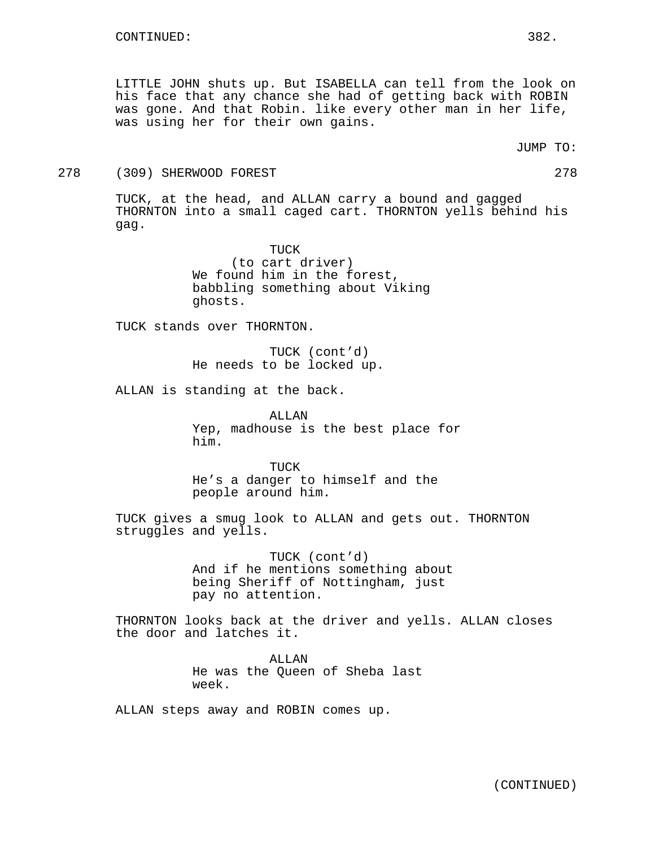LITTLE JOHN shuts up. But ISABELLA can tell from the look on his face that any chance she had of getting back with ROBIN was gone. And that Robin. like every other man in her life, was using her for their own gains.

JUMP TO:

#### 278 (309) SHERWOOD FOREST 278

TUCK, at the head, and ALLAN carry a bound and gagged THORNTON into a small caged cart. THORNTON yells behind his gag.

> TUCK (to cart driver) We found him in the forest, babbling something about Viking ghosts.

TUCK stands over THORNTON.

TUCK (cont'd) He needs to be locked up.

ALLAN is standing at the back.

ALLAN Yep, madhouse is the best place for him.

TUCK He's a danger to himself and the people around him.

TUCK gives a smug look to ALLAN and gets out. THORNTON struggles and yells.

> TUCK (cont'd) And if he mentions something about being Sheriff of Nottingham, just pay no attention.

THORNTON looks back at the driver and yells. ALLAN closes the door and latches it.

> ALLAN He was the Queen of Sheba last week.

ALLAN steps away and ROBIN comes up.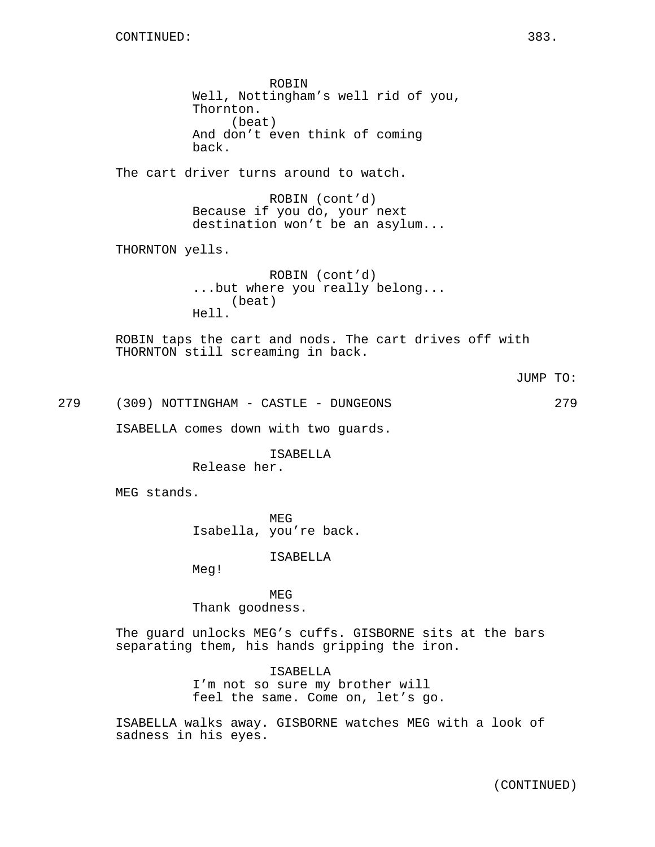ROBIN Well, Nottingham's well rid of you, Thornton. (beat) And don't even think of coming back. The cart driver turns around to watch. ROBIN (cont'd) Because if you do, your next destination won't be an asylum... THORNTON yells. ROBIN (cont'd) ...but where you really belong... (beat) Hell. ROBIN taps the cart and nods. The cart drives off with THORNTON still screaming in back. JUMP TO: 279 (309) NOTTINGHAM - CASTLE - DUNGEONS 279 ISABELLA comes down with two guards. ISABELLA Release her. MEG stands. MEG Isabella, you're back. ISABELLA Meg! MEG Thank goodness.

> The guard unlocks MEG's cuffs. GISBORNE sits at the bars separating them, his hands gripping the iron.

> > ISABELLA I'm not so sure my brother will feel the same. Come on, let's go.

ISABELLA walks away. GISBORNE watches MEG with a look of sadness in his eyes.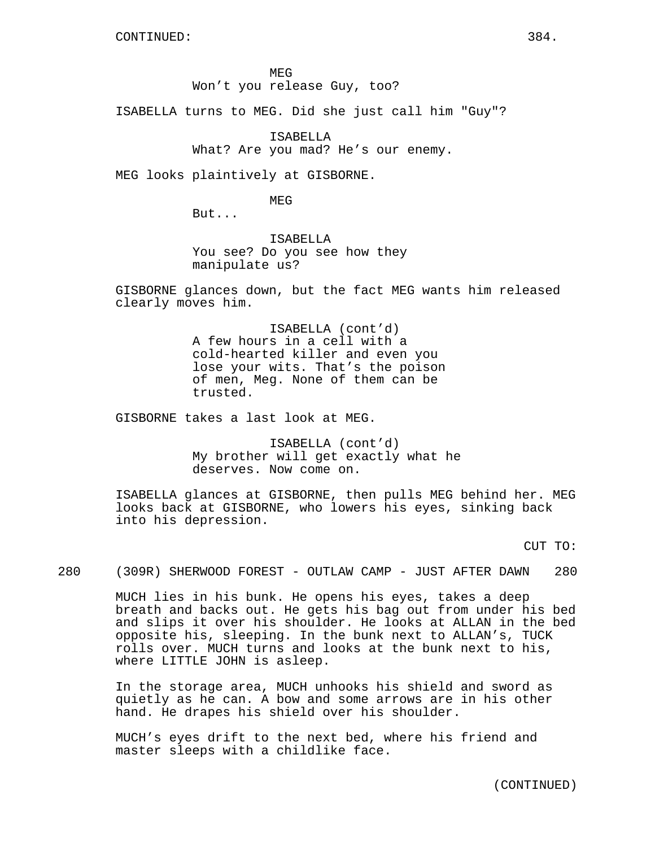MEG Won't you release Guy, too?

ISABELLA turns to MEG. Did she just call him "Guy"?

ISABELLA What? Are you mad? He's our enemy.

MEG looks plaintively at GISBORNE.

MEG

But...

ISABELLA You see? Do you see how they manipulate us?

GISBORNE glances down, but the fact MEG wants him released clearly moves him.

> ISABELLA (cont'd) A few hours in a cell with a cold-hearted killer and even you lose your wits. That's the poison of men, Meg. None of them can be trusted.

GISBORNE takes a last look at MEG.

ISABELLA (cont'd) My brother will get exactly what he deserves. Now come on.

ISABELLA glances at GISBORNE, then pulls MEG behind her. MEG looks back at GISBORNE, who lowers his eyes, sinking back into his depression.

CUT TO:

280 (309R) SHERWOOD FOREST - OUTLAW CAMP - JUST AFTER DAWN 280

MUCH lies in his bunk. He opens his eyes, takes a deep breath and backs out. He gets his bag out from under his bed and slips it over his shoulder. He looks at ALLAN in the bed opposite his, sleeping. In the bunk next to ALLAN's, TUCK rolls over. MUCH turns and looks at the bunk next to his, where LITTLE JOHN is asleep.

In the storage area, MUCH unhooks his shield and sword as quietly as he can. A bow and some arrows are in his other hand. He drapes his shield over his shoulder.

MUCH's eyes drift to the next bed, where his friend and master sleeps with a childlike face.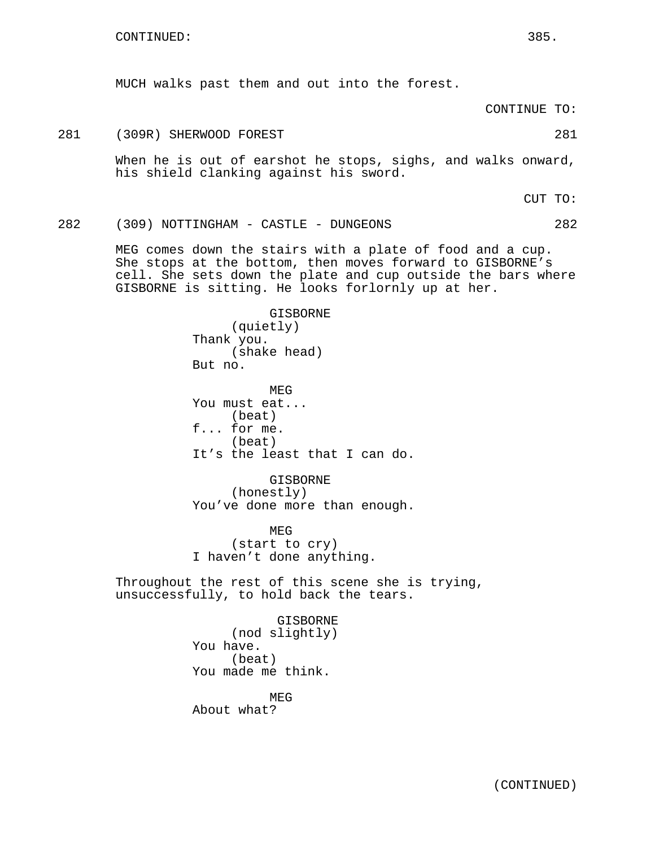MUCH walks past them and out into the forest.

CONTINUE TO:

# 281 (309R) SHERWOOD FOREST 281

When he is out of earshot he stops, sighs, and walks onward, his shield clanking against his sword.

CUT TO:

282 (309) NOTTINGHAM - CASTLE - DUNGEONS 282

MEG comes down the stairs with a plate of food and a cup. She stops at the bottom, then moves forward to GISBORNE's cell. She sets down the plate and cup outside the bars where GISBORNE is sitting. He looks forlornly up at her.

> GISBORNE (quietly) Thank you. (shake head) But no.

MEG You must eat... (beat) f... for me. (beat) It's the least that I can do.

GISBORNE (honestly) You've done more than enough.

MEG (start to cry) I haven't done anything.

Throughout the rest of this scene she is trying, unsuccessfully, to hold back the tears.

> GISBORNE (nod slightly) You have. (beat) You made me think.

MEG About what?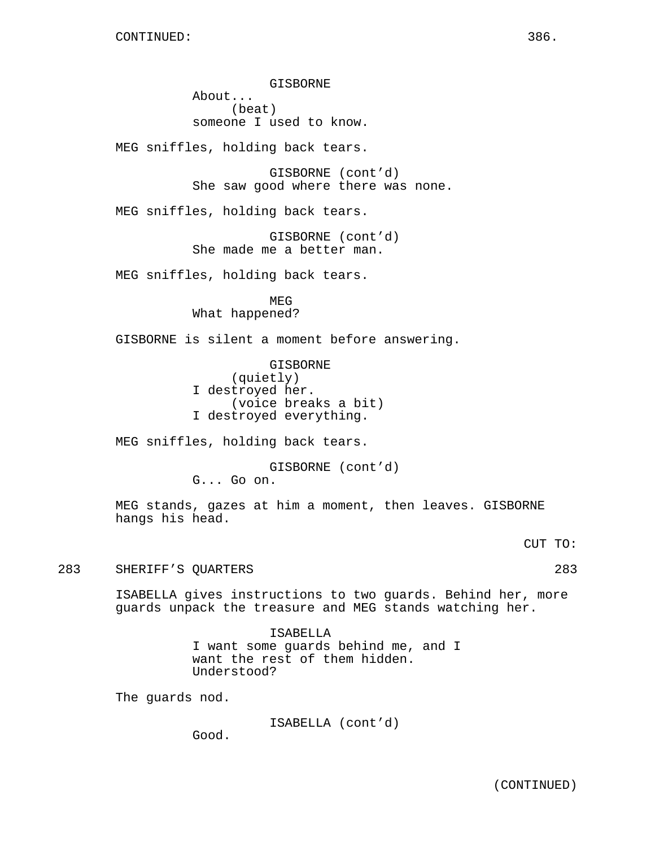GISBORNE About... (beat) someone I used to know.

MEG sniffles, holding back tears.

GISBORNE (cont'd) She saw good where there was none.

MEG sniffles, holding back tears.

GISBORNE (cont'd) She made me a better man.

MEG sniffles, holding back tears.

MEG What happened?

GISBORNE is silent a moment before answering.

GISBORNE (quietly) I destroyed her. (voice breaks a bit) I destroyed everything.

MEG sniffles, holding back tears.

GISBORNE (cont'd) G... Go on.

MEG stands, gazes at him a moment, then leaves. GISBORNE hangs his head.

CUT TO:

283 SHERIFF'S QUARTERS 283

ISABELLA gives instructions to two guards. Behind her, more guards unpack the treasure and MEG stands watching her.

> ISABELLA I want some guards behind me, and I want the rest of them hidden. Understood?

The guards nod.

ISABELLA (cont'd)

Good.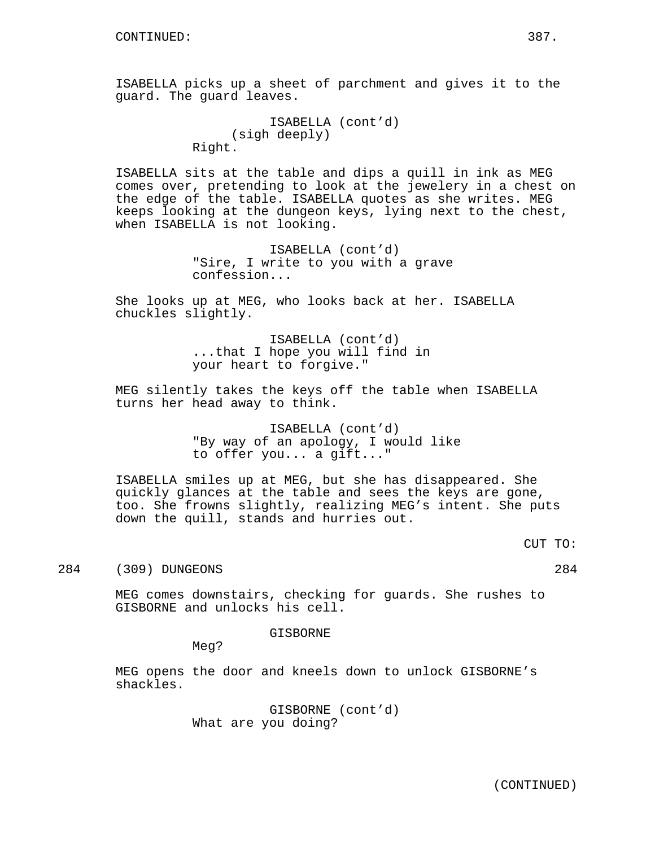ISABELLA picks up a sheet of parchment and gives it to the guard. The guard leaves.

```
ISABELLA (cont'd)
     (sigh deeply)
Right.
```
ISABELLA sits at the table and dips a quill in ink as MEG comes over, pretending to look at the jewelery in a chest on the edge of the table. ISABELLA quotes as she writes. MEG keeps looking at the dungeon keys, lying next to the chest, when ISABELLA is not looking.

> ISABELLA (cont'd) "Sire, I write to you with a grave confession...

She looks up at MEG, who looks back at her. ISABELLA chuckles slightly.

> ISABELLA (cont'd) ...that I hope you will find in your heart to forgive."

MEG silently takes the keys off the table when ISABELLA turns her head away to think.

> ISABELLA (cont'd) "By way of an apology, I would like to offer you... a gift..."

ISABELLA smiles up at MEG, but she has disappeared. She quickly glances at the table and sees the keys are gone, too. She frowns slightly, realizing MEG's intent. She puts down the quill, stands and hurries out.

CUT TO:

284 (309) DUNGEONS 284

MEG comes downstairs, checking for guards. She rushes to GISBORNE and unlocks his cell.

GISBORNE

Meg?

MEG opens the door and kneels down to unlock GISBORNE's shackles.

> GISBORNE (cont'd) What are you doing?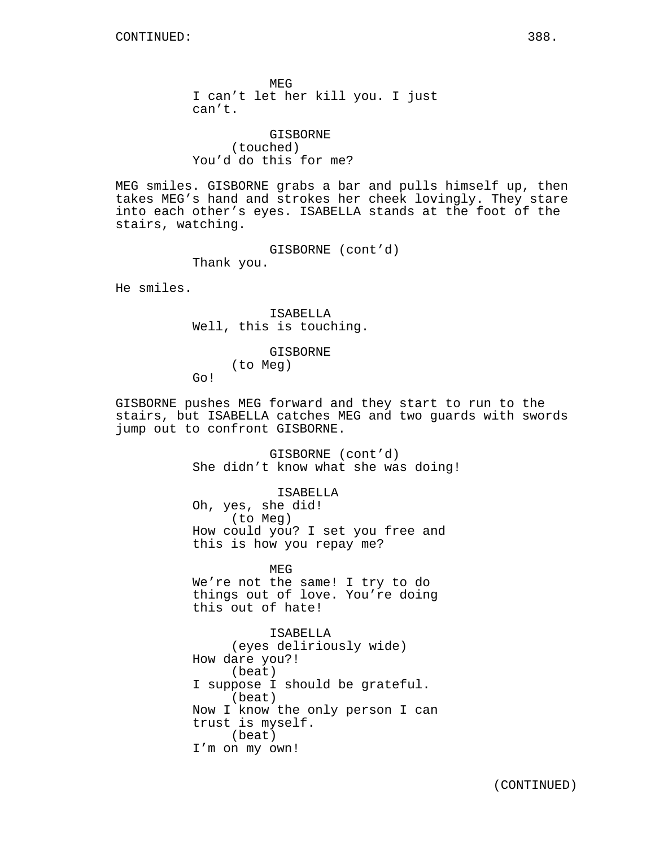MEG I can't let her kill you. I just can't.

GISBORNE (touched) You'd do this for me?

MEG smiles. GISBORNE grabs a bar and pulls himself up, then takes MEG's hand and strokes her cheek lovingly. They stare into each other's eyes. ISABELLA stands at the foot of the stairs, watching.

> GISBORNE (cont'd) Thank you.

He smiles.

ISABELLA Well, this is touching.

> GISBORNE (to Meg)

Go!

GISBORNE pushes MEG forward and they start to run to the stairs, but ISABELLA catches MEG and two guards with swords jump out to confront GISBORNE.

> GISBORNE (cont'd) She didn't know what she was doing!

ISABELLA Oh, yes, she did! (to Meg) How could you? I set you free and this is how you repay me?

MEG We're not the same! I try to do things out of love. You're doing this out of hate!

ISABELLA (eyes deliriously wide) How dare you?! (beat) I suppose I should be grateful. (beat) Now I know the only person I can trust is myself. (beat) I'm on my own!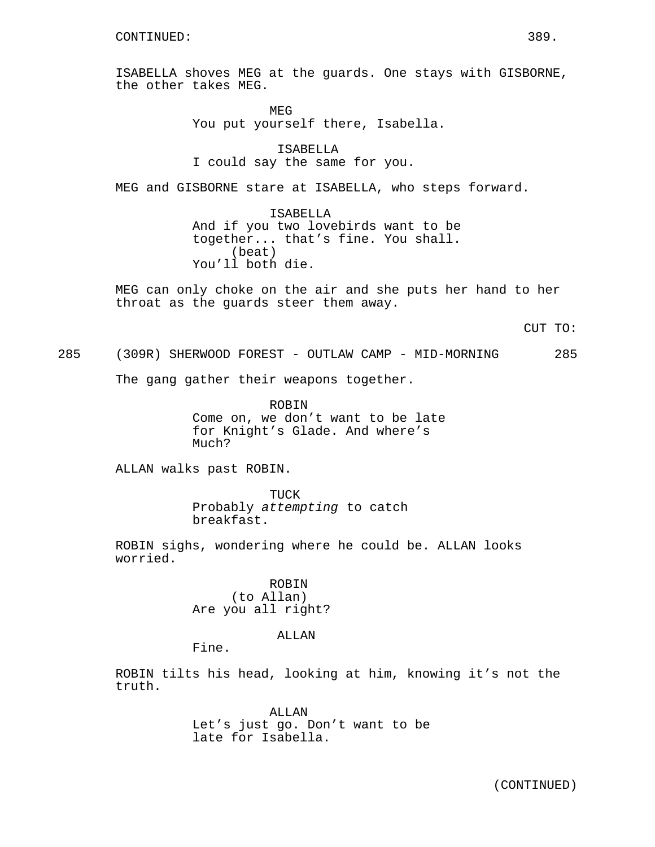ISABELLA shoves MEG at the guards. One stays with GISBORNE, the other takes MEG.

> MEG You put yourself there, Isabella.

ISABELLA I could say the same for you.

MEG and GISBORNE stare at ISABELLA, who steps forward.

ISABELLA And if you two lovebirds want to be together... that's fine. You shall. (beat) You'll both die.

MEG can only choke on the air and she puts her hand to her throat as the guards steer them away.

CUT TO:

285 (309R) SHERWOOD FOREST - OUTLAW CAMP - MID-MORNING 285

The gang gather their weapons together.

ROBIN Come on, we don't want to be late for Knight's Glade. And where's Much?

ALLAN walks past ROBIN.

TUCK Probably attempting to catch breakfast.

ROBIN sighs, wondering where he could be. ALLAN looks worried.

> ROBIN (to Allan) Are you all right?

> > ALLAN

Fine.

ROBIN tilts his head, looking at him, knowing it's not the truth.

> ALLAN Let's just go. Don't want to be late for Isabella.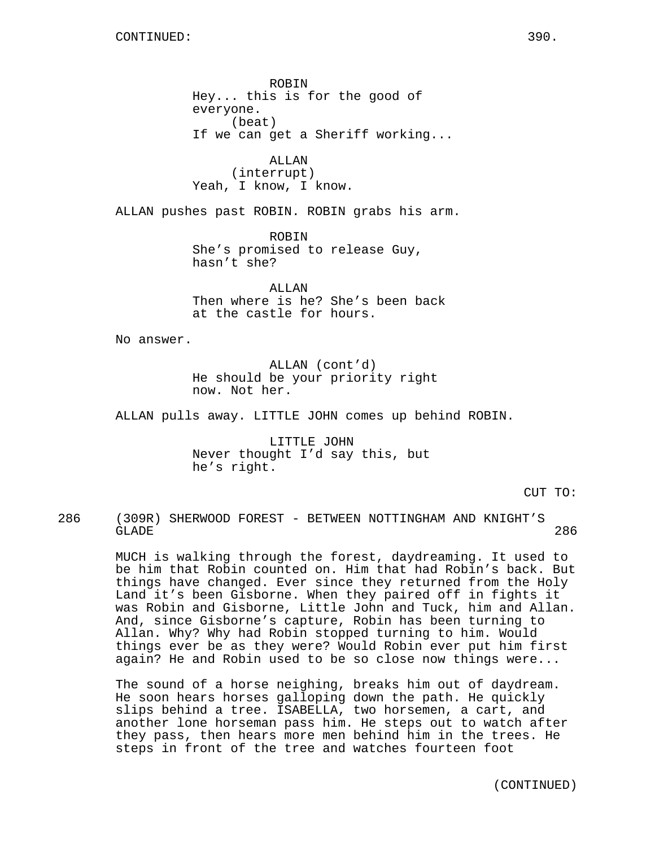ROBIN Hey... this is for the good of everyone. (beat) If we can get a Sheriff working...

ALLAN (interrupt) Yeah, I know, I know.

ALLAN pushes past ROBIN. ROBIN grabs his arm.

ROBIN She's promised to release Guy, hasn't she?

ALLAN Then where is he? She's been back at the castle for hours.

No answer.

ALLAN (cont'd) He should be your priority right now. Not her.

ALLAN pulls away. LITTLE JOHN comes up behind ROBIN.

LITTLE JOHN Never thought I'd say this, but he's right.

CUT TO:

286 (309R) SHERWOOD FOREST - BETWEEN NOTTINGHAM AND KNIGHT'S GLADE 286

> MUCH is walking through the forest, daydreaming. It used to be him that Robin counted on. Him that had Robin's back. But things have changed. Ever since they returned from the Holy Land it's been Gisborne. When they paired off in fights it was Robin and Gisborne, Little John and Tuck, him and Allan. And, since Gisborne's capture, Robin has been turning to Allan. Why? Why had Robin stopped turning to him. Would things ever be as they were? Would Robin ever put him first again? He and Robin used to be so close now things were...

The sound of a horse neighing, breaks him out of daydream. He soon hears horses galloping down the path. He quickly slips behind a tree. ISABELLA, two horsemen, a cart, and another lone horseman pass him. He steps out to watch after they pass, then hears more men behind him in the trees. He steps in front of the tree and watches fourteen foot

(CONTINUED)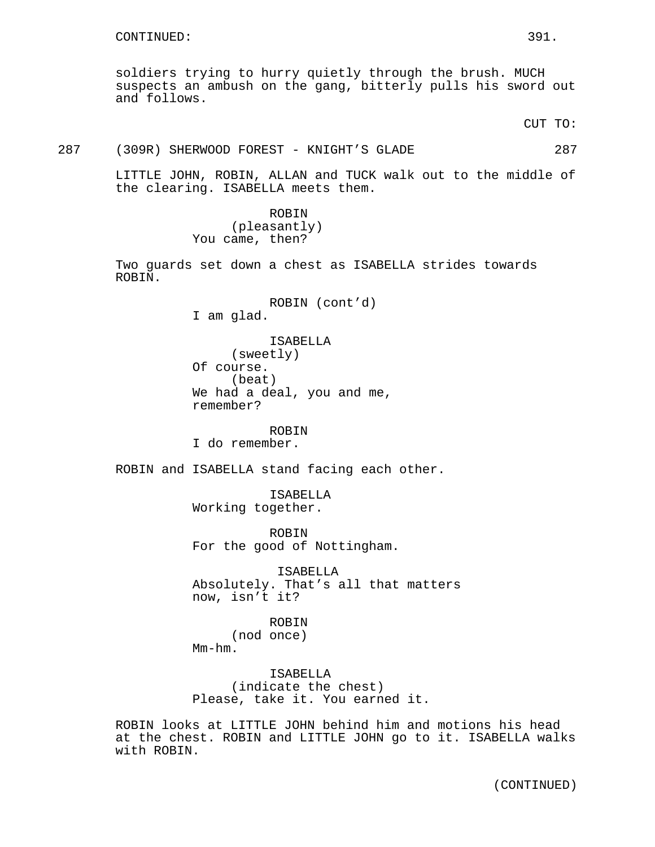soldiers trying to hurry quietly through the brush. MUCH suspects an ambush on the gang, bitterly pulls his sword out and follows.

CUT TO:

#### 287 (309R) SHERWOOD FOREST - KNIGHT'S GLADE 287

LITTLE JOHN, ROBIN, ALLAN and TUCK walk out to the middle of the clearing. ISABELLA meets them.

> ROBIN (pleasantly) You came, then?

Two guards set down a chest as ISABELLA strides towards ROBIN.

> ROBIN (cont'd) I am glad. ISABELLA (sweetly) Of course. (beat) We had a deal, you and me, remember?

ROBIN I do remember.

ROBIN and ISABELLA stand facing each other.

ISABELLA Working together.

ROBIN For the good of Nottingham.

ISABELLA Absolutely. That's all that matters now, isn't it?

ROBIN (nod once) Mm-hm.

ISABELLA (indicate the chest) Please, take it. You earned it.

ROBIN looks at LITTLE JOHN behind him and motions his head at the chest. ROBIN and LITTLE JOHN go to it. ISABELLA walks with ROBIN.

(CONTINUED)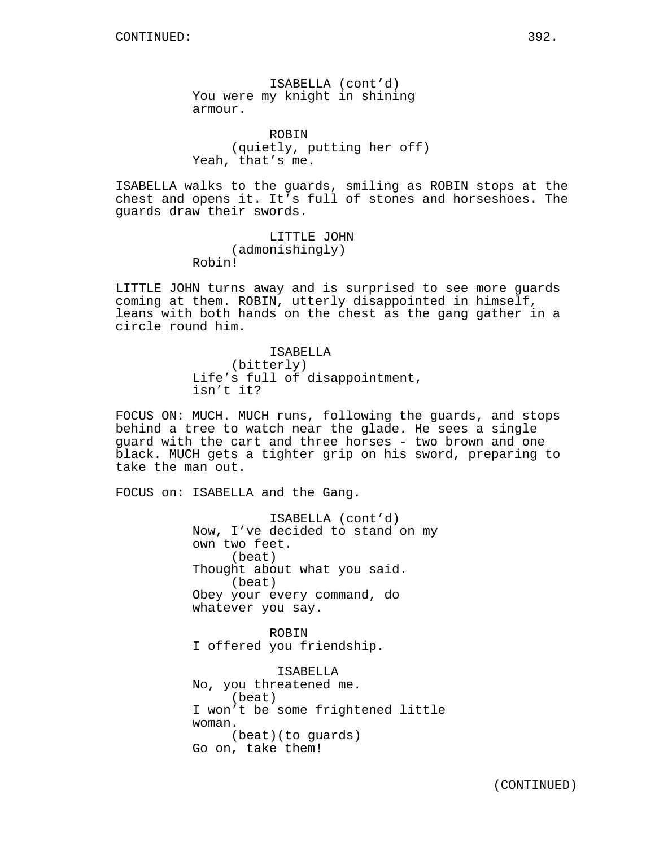ISABELLA (cont'd) You were my knight in shining armour.

ROBIN (quietly, putting her off) Yeah, that's me.

ISABELLA walks to the guards, smiling as ROBIN stops at the chest and opens it. It's full of stones and horseshoes. The guards draw their swords.

> LITTLE JOHN (admonishingly) Robin!

LITTLE JOHN turns away and is surprised to see more guards coming at them. ROBIN, utterly disappointed in himself, leans with both hands on the chest as the gang gather in a circle round him.

> ISABELLA (bitterly) Life's full of disappointment, isn't it?

FOCUS ON: MUCH. MUCH runs, following the guards, and stops behind a tree to watch near the glade. He sees a single guard with the cart and three horses - two brown and one black. MUCH gets a tighter grip on his sword, preparing to take the man out.

FOCUS on: ISABELLA and the Gang.

ISABELLA (cont'd) Now, I've decided to stand on my own two feet. (beat) Thought about what you said. (beat) Obey your every command, do whatever you say.

ROBIN I offered you friendship.

ISABELLA No, you threatened me. (beat) I won't be some frightened little woman. (beat)(to guards) Go on, take them!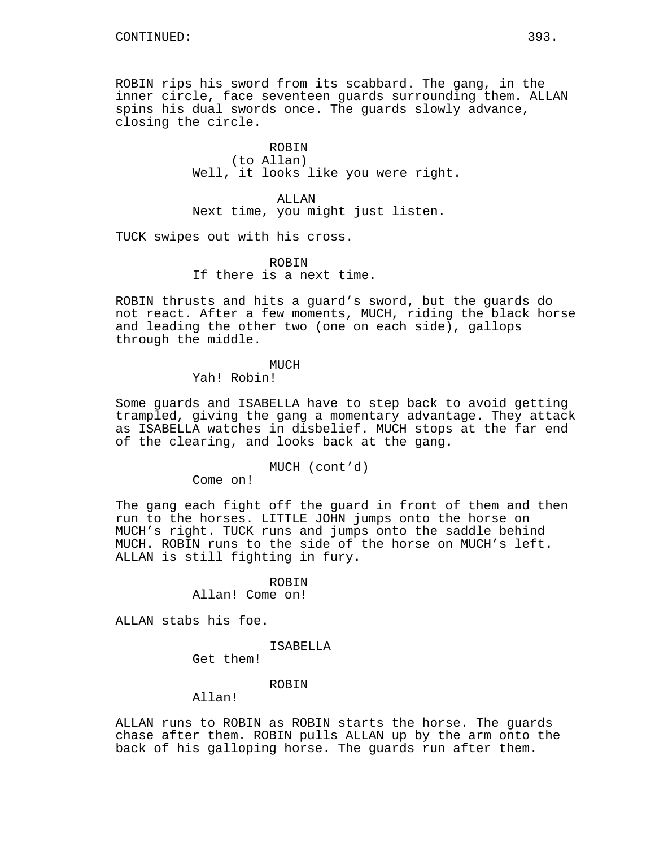ROBIN rips his sword from its scabbard. The gang, in the inner circle, face seventeen guards surrounding them. ALLAN spins his dual swords once. The guards slowly advance, closing the circle.

> ROBIN (to Allan) Well, it looks like you were right.

ALLAN Next time, you might just listen.

TUCK swipes out with his cross.

ROBIN If there is a next time.

ROBIN thrusts and hits a guard's sword, but the guards do not react. After a few moments, MUCH, riding the black horse and leading the other two (one on each side), gallops through the middle.

## MUCH

Yah! Robin!

Some guards and ISABELLA have to step back to avoid getting trampled, giving the gang a momentary advantage. They attack as ISABELLA watches in disbelief. MUCH stops at the far end of the clearing, and looks back at the gang.

## MUCH (cont'd)

Come on!

The gang each fight off the guard in front of them and then run to the horses. LITTLE JOHN jumps onto the horse on MUCH's right. TUCK runs and jumps onto the saddle behind MUCH. ROBIN runs to the side of the horse on MUCH's left. ALLAN is still fighting in fury.

ROBIN

Allan! Come on!

ALLAN stabs his foe.

### ISABELLA

Get them!

## ROBIN

# Allan!

ALLAN runs to ROBIN as ROBIN starts the horse. The guards chase after them. ROBIN pulls ALLAN up by the arm onto the back of his galloping horse. The guards run after them.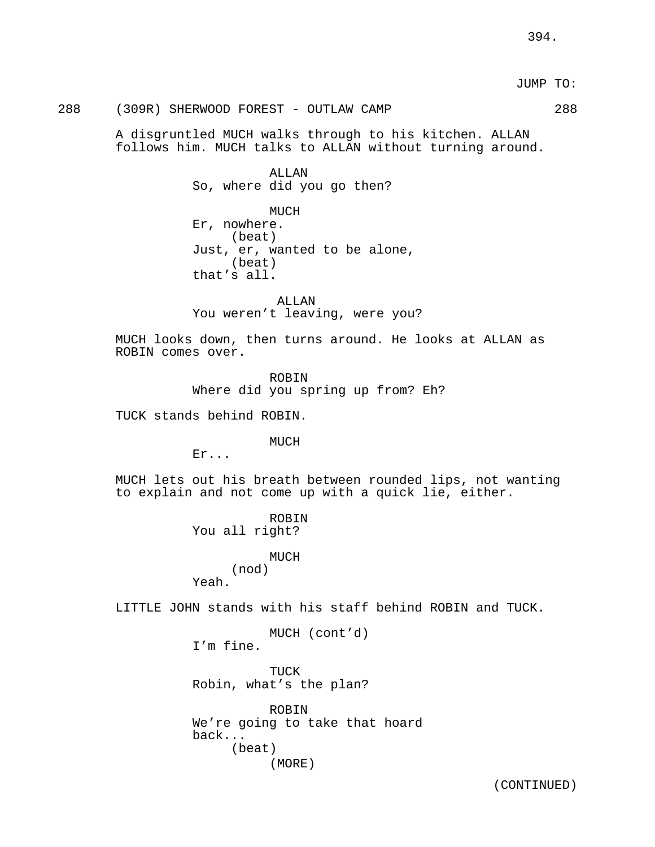## 288 (309R) SHERWOOD FOREST - OUTLAW CAMP 288

A disgruntled MUCH walks through to his kitchen. ALLAN follows him. MUCH talks to ALLAN without turning around.

> **ALLAN** So, where did you go then?

MUCH Er, nowhere. (beat) Just, er, wanted to be alone, (beat) that's all.

ALLAN You weren't leaving, were you?

MUCH looks down, then turns around. He looks at ALLAN as ROBIN comes over.

> ROBIN Where did you spring up from? Eh?

TUCK stands behind ROBIN.

MUCH

Er...

MUCH lets out his breath between rounded lips, not wanting to explain and not come up with a quick lie, either.

> ROBIN You all right?

MUCH (nod) Yeah.

LITTLE JOHN stands with his staff behind ROBIN and TUCK.

MUCH (cont'd)

I'm fine.

TUCK Robin, what's the plan?

ROBIN We're going to take that hoard back... (beat) (MORE)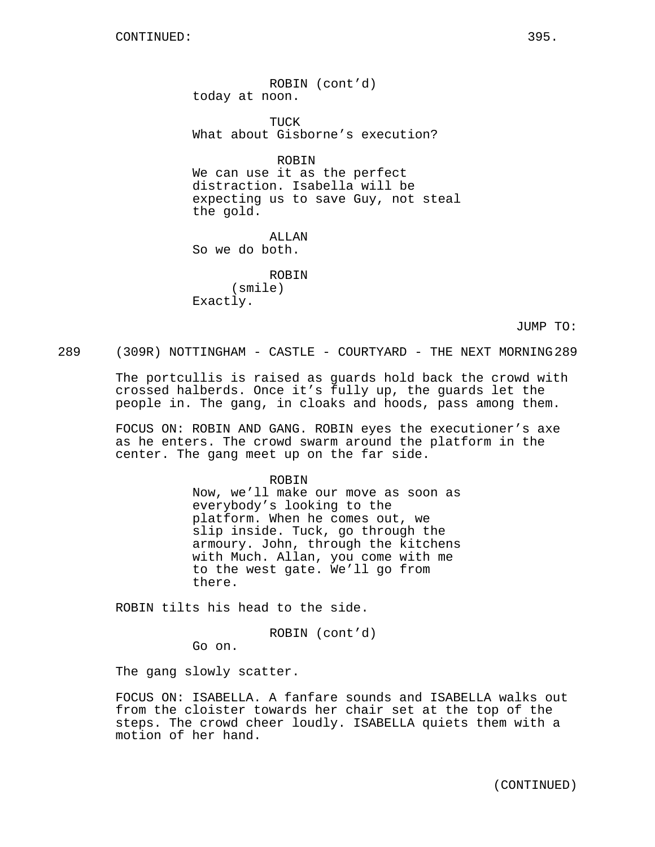ROBIN (cont'd) today at noon.

TUCK What about Gisborne's execution?

ROBIN We can use it as the perfect distraction. Isabella will be expecting us to save Guy, not steal the gold.

ALLAN So we do both.

ROBIN (smile) Exactly.

JUMP TO:

289 (309R) NOTTINGHAM - CASTLE - COURTYARD - THE NEXT MORNING 289

The portcullis is raised as guards hold back the crowd with crossed halberds. Once it's fully up, the guards let the people in. The gang, in cloaks and hoods, pass among them.

FOCUS ON: ROBIN AND GANG. ROBIN eyes the executioner's axe as he enters. The crowd swarm around the platform in the center. The gang meet up on the far side.

> ROBIN Now, we'll make our move as soon as everybody's looking to the platform. When he comes out, we slip inside. Tuck, go through the armoury. John, through the kitchens with Much. Allan, you come with me to the west gate. We'll go from there.

ROBIN tilts his head to the side.

ROBIN (cont'd)

Go on.

The gang slowly scatter.

FOCUS ON: ISABELLA. A fanfare sounds and ISABELLA walks out from the cloister towards her chair set at the top of the steps. The crowd cheer loudly. ISABELLA quiets them with a motion of her hand.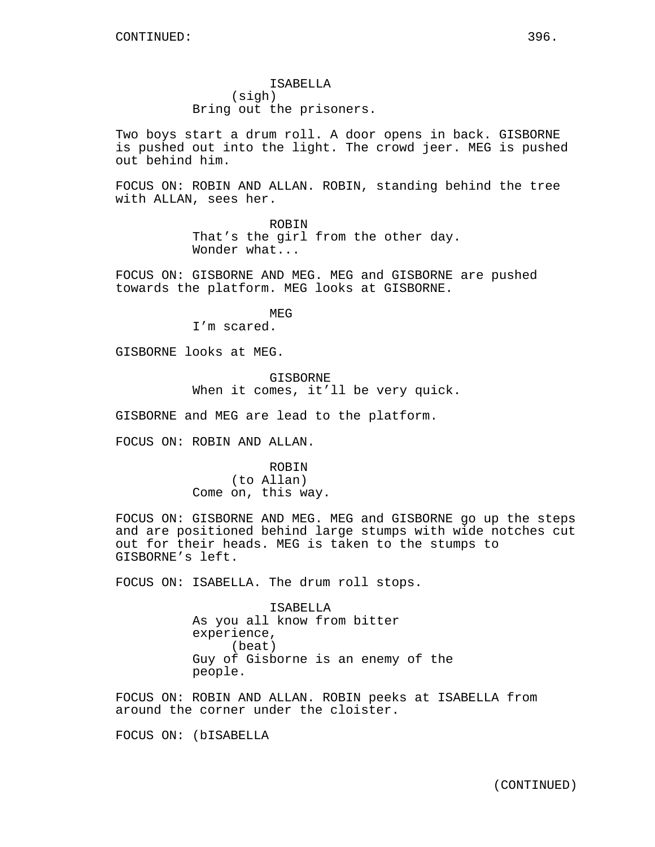ISABELLA (sigh) Bring out the prisoners.

Two boys start a drum roll. A door opens in back. GISBORNE is pushed out into the light. The crowd jeer. MEG is pushed out behind him.

FOCUS ON: ROBIN AND ALLAN. ROBIN, standing behind the tree with ALLAN, sees her.

> ROBIN That's the girl from the other day. Wonder what...

FOCUS ON: GISBORNE AND MEG. MEG and GISBORNE are pushed towards the platform. MEG looks at GISBORNE.

> MEG I'm scared.

GISBORNE looks at MEG.

GISBORNE When it comes, it'll be very quick.

GISBORNE and MEG are lead to the platform.

FOCUS ON: ROBIN AND ALLAN.

ROBIN (to Allan) Come on, this way.

FOCUS ON: GISBORNE AND MEG. MEG and GISBORNE go up the steps and are positioned behind large stumps with wide notches cut out for their heads. MEG is taken to the stumps to GISBORNE's left.

FOCUS ON: ISABELLA. The drum roll stops.

ISABELLA As you all know from bitter experience, (beat) Guy of Gisborne is an enemy of the people.

FOCUS ON: ROBIN AND ALLAN. ROBIN peeks at ISABELLA from around the corner under the cloister.

FOCUS ON: (bISABELLA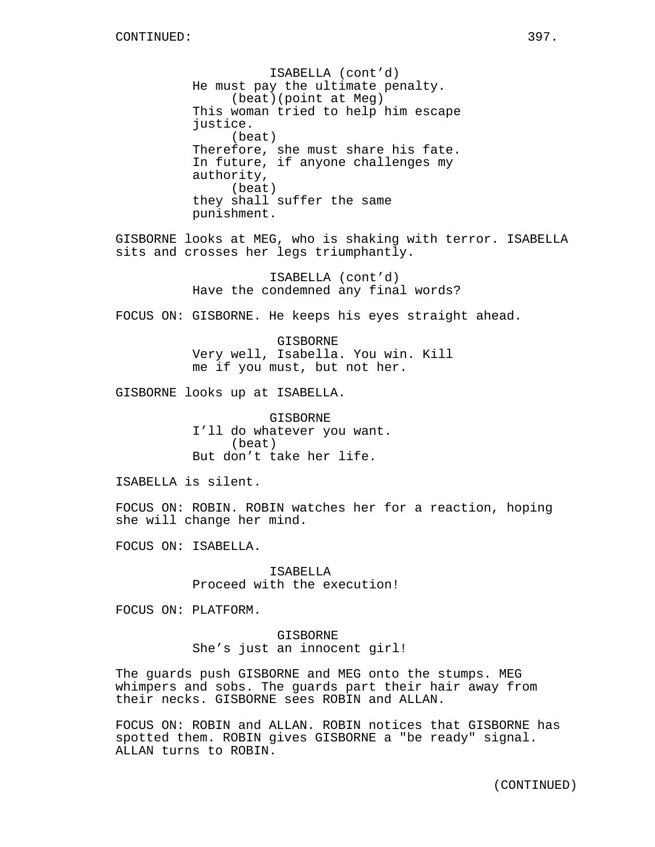ISABELLA (cont'd) He must pay the ultimate penalty. (beat)(point at Meg) This woman tried to help him escape justice. (beat) Therefore, she must share his fate. In future, if anyone challenges my authority, (beat) they shall suffer the same punishment. GISBORNE looks at MEG, who is shaking with terror. ISABELLA sits and crosses her legs triumphantly. ISABELLA (cont'd) Have the condemned any final words? FOCUS ON: GISBORNE. He keeps his eyes straight ahead. GISBORNE Very well, Isabella. You win. Kill me if you must, but not her. GISBORNE looks up at ISABELLA. GISBORNE I'll do whatever you want. (beat) But don't take her life. ISABELLA is silent. FOCUS ON: ROBIN. ROBIN watches her for a reaction, hoping she will change her mind. FOCUS ON: ISABELLA. ISABELLA Proceed with the execution! FOCUS ON: PLATFORM. GISBORNE She's just an innocent girl!

The guards push GISBORNE and MEG onto the stumps. MEG whimpers and sobs. The guards part their hair away from their necks. GISBORNE sees ROBIN and ALLAN.

FOCUS ON: ROBIN and ALLAN. ROBIN notices that GISBORNE has spotted them. ROBIN gives GISBORNE a "be ready" signal. ALLAN turns to ROBIN.

(CONTINUED)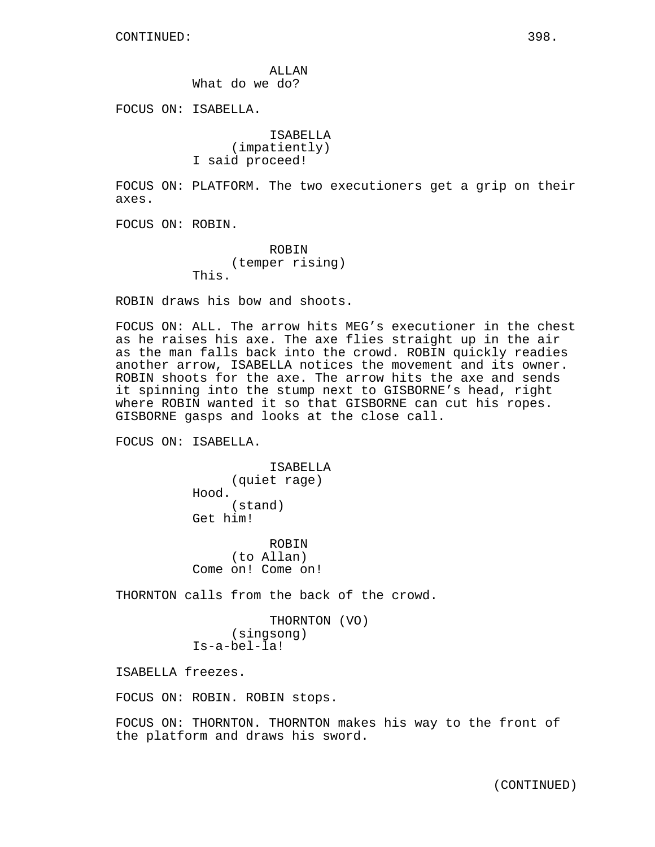ALLAN What do we do?

FOCUS ON: ISABELLA.

ISABELLA (impatiently) I said proceed!

FOCUS ON: PLATFORM. The two executioners get a grip on their axes.

FOCUS ON: ROBIN.

ROBIN (temper rising) This.

ROBIN draws his bow and shoots.

FOCUS ON: ALL. The arrow hits MEG's executioner in the chest as he raises his axe. The axe flies straight up in the air as the man falls back into the crowd. ROBIN quickly readies another arrow, ISABELLA notices the movement and its owner. ROBIN shoots for the axe. The arrow hits the axe and sends it spinning into the stump next to GISBORNE's head, right where ROBIN wanted it so that GISBORNE can cut his ropes. GISBORNE gasps and looks at the close call.

FOCUS ON: ISABELLA.

ISABELLA (quiet rage) Hood. (stand) Get him!

ROBIN (to Allan) Come on! Come on!

THORNTON calls from the back of the crowd.

```
THORNTON (VO)
     (singsong)
Is-a-bel-la!
```
ISABELLA freezes.

FOCUS ON: ROBIN. ROBIN stops.

FOCUS ON: THORNTON. THORNTON makes his way to the front of the platform and draws his sword.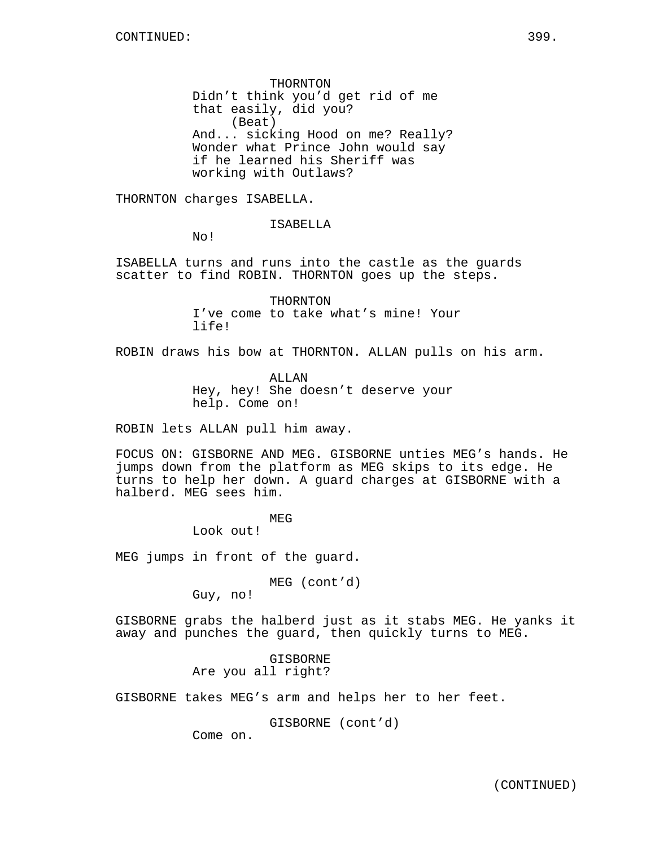THORNTON Didn't think you'd get rid of me that easily, did you? (Beat) And... sicking Hood on me? Really? Wonder what Prince John would say if he learned his Sheriff was working with Outlaws?

THORNTON charges ISABELLA.

ISABELLA

No!

ISABELLA turns and runs into the castle as the guards scatter to find ROBIN. THORNTON goes up the steps.

> THORNTON I've come to take what's mine! Your life!

ROBIN draws his bow at THORNTON. ALLAN pulls on his arm.

ALLAN Hey, hey! She doesn't deserve your help. Come on!

ROBIN lets ALLAN pull him away.

FOCUS ON: GISBORNE AND MEG. GISBORNE unties MEG's hands. He jumps down from the platform as MEG skips to its edge. He turns to help her down. A guard charges at GISBORNE with a halberd. MEG sees him.

MEG

Look out!

MEG jumps in front of the guard.

MEG (cont'd)

Guy, no!

GISBORNE grabs the halberd just as it stabs MEG. He yanks it away and punches the guard, then quickly turns to MEG.

> GISBORNE Are you all right?

GISBORNE takes MEG's arm and helps her to her feet.

GISBORNE (cont'd)

Come on.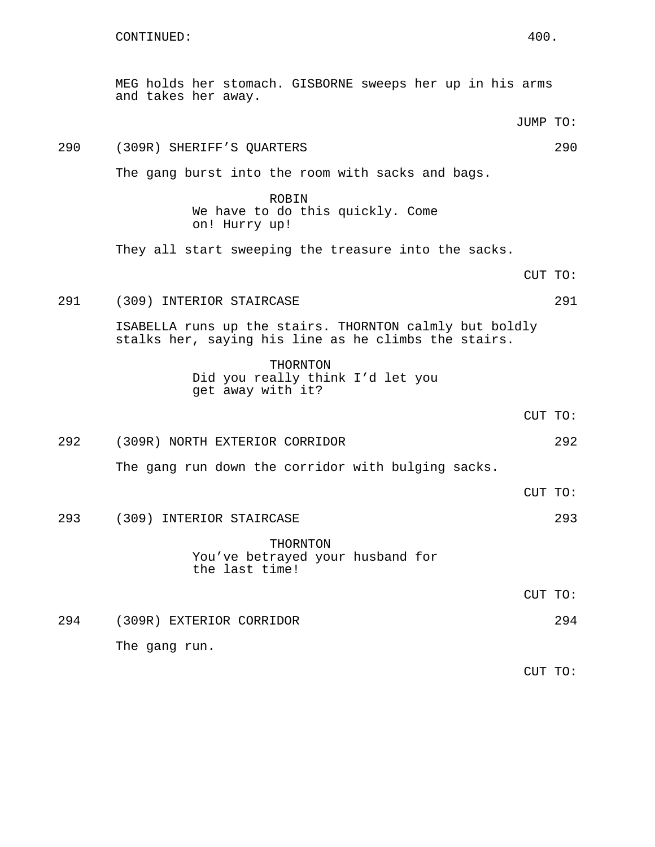MEG holds her stomach. GISBORNE sweeps her up in his arms and takes her away.

290 (309R) SHERIFF'S QUARTERS 290

The gang burst into the room with sacks and bags.

- ROBIN We have to do this quickly. Come on! Hurry up! They all start sweeping the treasure into the sacks. CUT TO: 291 (309) INTERIOR STAIRCASE 291 ISABELLA runs up the stairs. THORNTON calmly but boldly stalks her, saying his line as he climbs the stairs. THORNTON Did you really think I'd let you get away with it? CUT TO: 292 (309R) NORTH EXTERIOR CORRIDOR 292 The gang run down the corridor with bulging sacks. CUT TO: 293 (309) INTERIOR STAIRCASE 293 THORNTON You've betrayed your husband for the last time! CUT TO:
- 294 (309R) EXTERIOR CORRIDOR 294 The gang run.

CUT TO:

JUMP TO: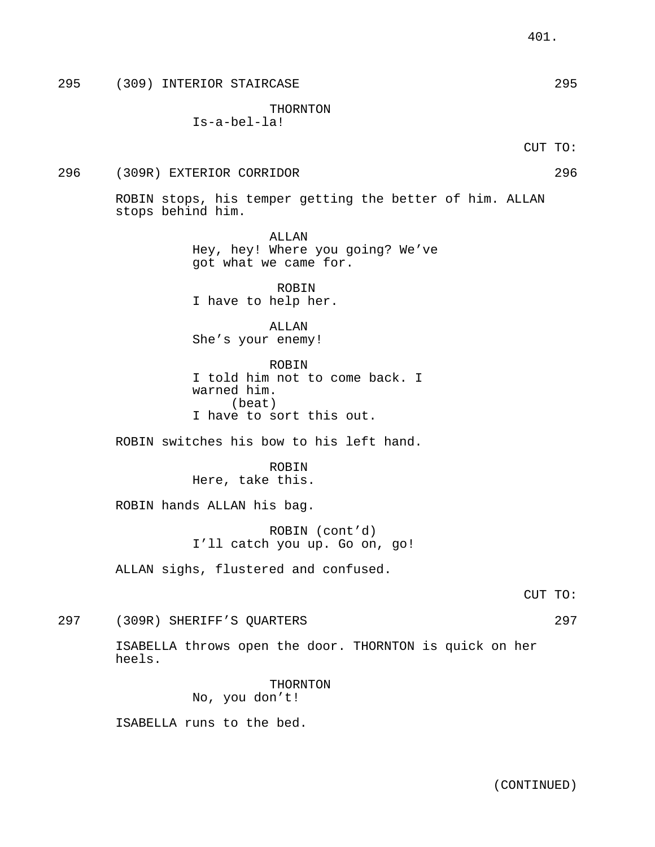295 (309) INTERIOR STAIRCASE 295

THORNTON

Is-a-bel-la!

CUT TO:

296 (309R) EXTERIOR CORRIDOR 296

ROBIN stops, his temper getting the better of him. ALLAN stops behind him.

> ALLAN Hey, hey! Where you going? We've got what we came for.

ROBIN I have to help her.

ALLAN She's your enemy!

ROBIN I told him not to come back. I warned him. (beat) I have to sort this out.

ROBIN switches his bow to his left hand.

ROBIN Here, take this.

ROBIN hands ALLAN his bag.

ROBIN (cont'd) I'll catch you up. Go on, go!

ALLAN sighs, flustered and confused.

297 (309R) SHERIFF'S QUARTERS 297

ISABELLA throws open the door. THORNTON is quick on her heels.

> THORNTON No, you don't!

ISABELLA runs to the bed.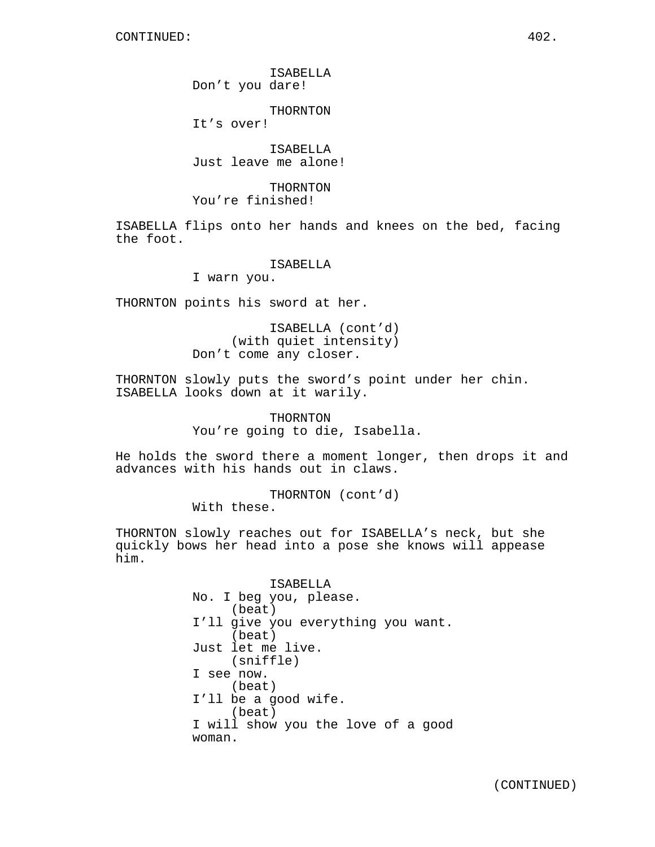ISABELLA Don't you dare!

THORNTON

It's over!

ISABELLA Just leave me alone!

THORNTON You're finished!

ISABELLA flips onto her hands and knees on the bed, facing the foot.

#### ISABELLA

I warn you.

THORNTON points his sword at her.

ISABELLA (cont'd) (with quiet intensity) Don't come any closer.

THORNTON slowly puts the sword's point under her chin. ISABELLA looks down at it warily.

> THORNTON You're going to die, Isabella.

He holds the sword there a moment longer, then drops it and advances with his hands out in claws.

> THORNTON (cont'd) With these.

THORNTON slowly reaches out for ISABELLA's neck, but she quickly bows her head into a pose she knows will appease him.

> ISABELLA No. I beg you, please. (beat) I'll give you everything you want. (beat) Just let me live. (sniffle) I see now. (beat) I'll be a good wife. (beat) I will show you the love of a good woman.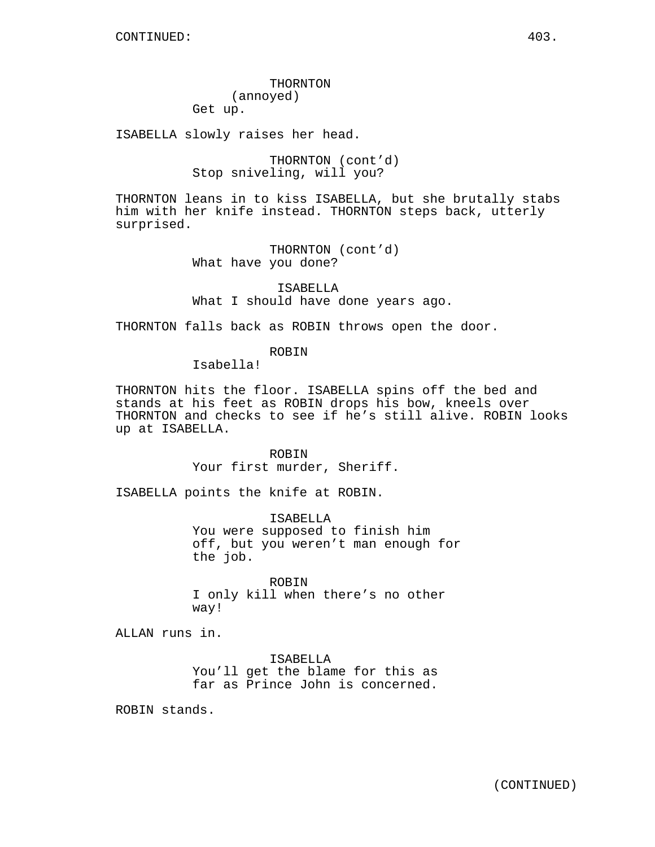THORNTON (annoyed)

Get up.

ISABELLA slowly raises her head.

THORNTON (cont'd) Stop sniveling, will you?

THORNTON leans in to kiss ISABELLA, but she brutally stabs him with her knife instead. THORNTON steps back, utterly surprised.

> THORNTON (cont'd) What have you done?

ISABELLA What I should have done years ago.

THORNTON falls back as ROBIN throws open the door.

ROBIN

Isabella!

THORNTON hits the floor. ISABELLA spins off the bed and stands at his feet as ROBIN drops his bow, kneels over THORNTON and checks to see if he's still alive. ROBIN looks up at ISABELLA.

> ROBIN Your first murder, Sheriff.

ISABELLA points the knife at ROBIN.

ISABELLA You were supposed to finish him off, but you weren't man enough for the job.

ROBIN I only kill when there's no other way!

ALLAN runs in.

ISABELLA You'll get the blame for this as far as Prince John is concerned.

ROBIN stands.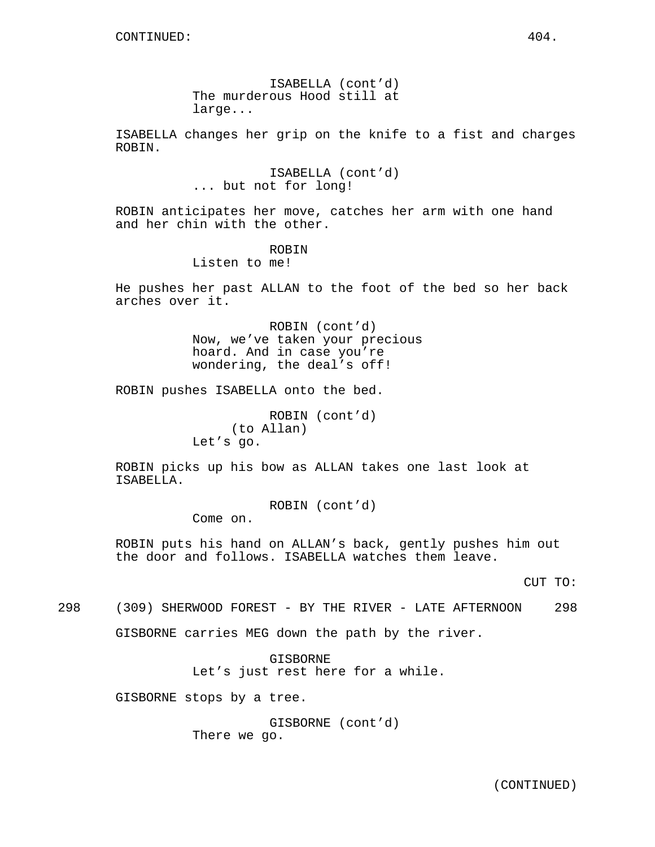ISABELLA (cont'd) The murderous Hood still at large...

ISABELLA changes her grip on the knife to a fist and charges ROBIN.

> ISABELLA (cont'd) ... but not for long!

ROBIN anticipates her move, catches her arm with one hand and her chin with the other.

## ROBIN

Listen to me!

He pushes her past ALLAN to the foot of the bed so her back arches over it.

> ROBIN (cont'd) Now, we've taken your precious hoard. And in case you're wondering, the deal's off!

ROBIN pushes ISABELLA onto the bed.

ROBIN (cont'd) (to Allan) Let's go.

ROBIN picks up his bow as ALLAN takes one last look at ISABELLA.

ROBIN (cont'd)

Come on.

ROBIN puts his hand on ALLAN's back, gently pushes him out the door and follows. ISABELLA watches them leave.

CUT TO:

298 (309) SHERWOOD FOREST - BY THE RIVER - LATE AFTERNOON 298

GISBORNE carries MEG down the path by the river.

GISBORNE Let's just rest here for a while.

GISBORNE stops by a tree.

GISBORNE (cont'd) There we go.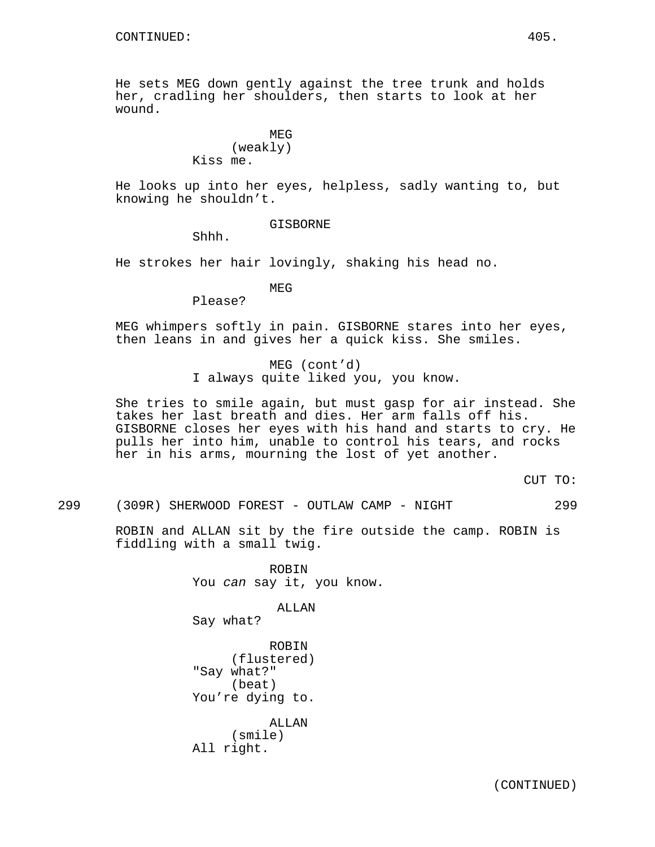He sets MEG down gently against the tree trunk and holds her, cradling her shoulders, then starts to look at her wound.

#### MEG (weakly) Kiss me.

He looks up into her eyes, helpless, sadly wanting to, but knowing he shouldn't.

GISBORNE

Shhh.

He strokes her hair lovingly, shaking his head no.

MEG

Please?

MEG whimpers softly in pain. GISBORNE stares into her eyes, then leans in and gives her a quick kiss. She smiles.

> MEG (cont'd) I always quite liked you, you know.

She tries to smile again, but must gasp for air instead. She takes her last breath and dies. Her arm falls off his. GISBORNE closes her eyes with his hand and starts to cry. He pulls her into him, unable to control his tears, and rocks her in his arms, mourning the lost of yet another.

CUT TO:

299 (309R) SHERWOOD FOREST - OUTLAW CAMP - NIGHT 299

ROBIN and ALLAN sit by the fire outside the camp. ROBIN is fiddling with a small twig.

> ROBIN You can say it, you know.

> > ALLAN

Say what?

ROBIN (flustered) "Say what?" (beat) You're dying to.

ALLAN (smile) All right.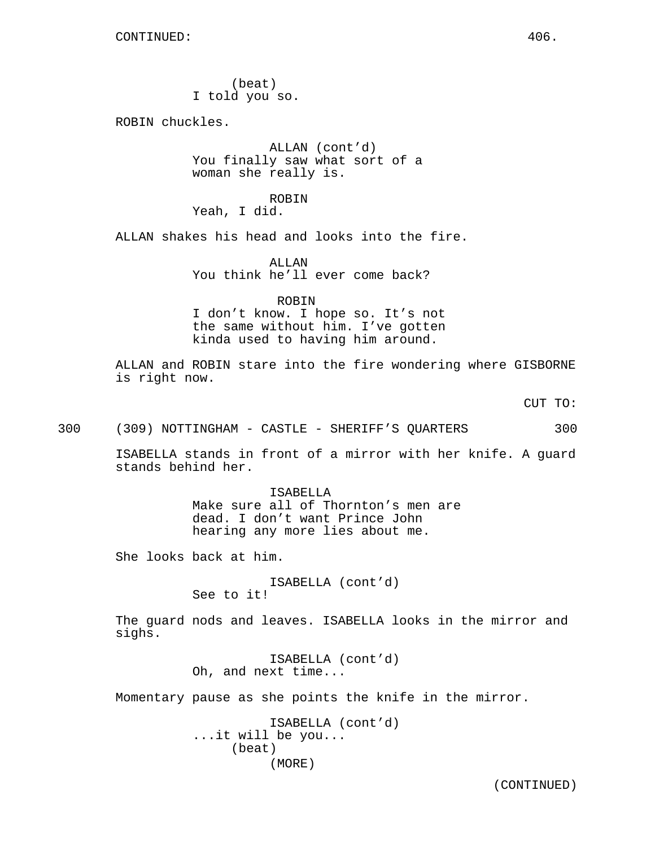(beat) I told you so.

ROBIN chuckles.

ALLAN (cont'd) You finally saw what sort of a woman she really is.

ROBIN

Yeah, I did.

ALLAN shakes his head and looks into the fire.

ALLAN You think he'll ever come back?

ROBIN

I don't know. I hope so. It's not the same without him. I've gotten kinda used to having him around.

ALLAN and ROBIN stare into the fire wondering where GISBORNE is right now.

CUT TO:

300 (309) NOTTINGHAM - CASTLE - SHERIFF'S QUARTERS 300

ISABELLA stands in front of a mirror with her knife. A guard stands behind her.

> ISABELLA Make sure all of Thornton's men are dead. I don't want Prince John hearing any more lies about me.

She looks back at him.

ISABELLA (cont'd) See to it!

The guard nods and leaves. ISABELLA looks in the mirror and sighs.

> ISABELLA (cont'd) Oh, and next time...

Momentary pause as she points the knife in the mirror.

ISABELLA (cont'd) ...it will be you... (beat) (MORE)

(CONTINUED)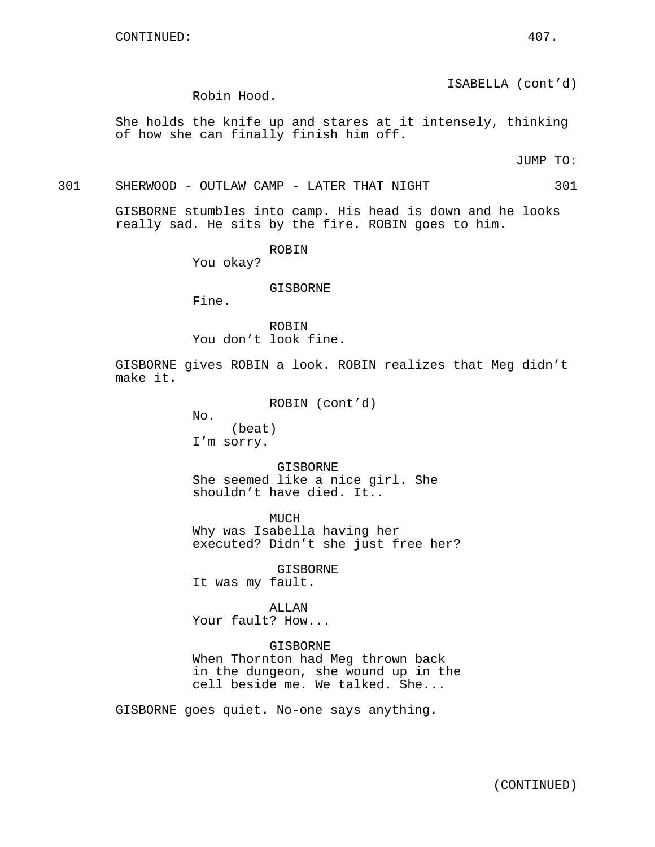ISABELLA (cont'd)

Robin Hood.

She holds the knife up and stares at it intensely, thinking of how she can finally finish him off.

JUMP TO:

301 SHERWOOD - OUTLAW CAMP - LATER THAT NIGHT 301

GISBORNE stumbles into camp. His head is down and he looks really sad. He sits by the fire. ROBIN goes to him.

ROBIN

You okay?

## GISBORNE

Fine.

ROBIN You don't look fine.

GISBORNE gives ROBIN a look. ROBIN realizes that Meg didn't make it.

ROBIN (cont'd)

No.

(beat) I'm sorry.

GISBORNE She seemed like a nice girl. She shouldn't have died. It..

MUCH Why was Isabella having her executed? Didn't she just free her?

GISBORNE

It was my fault.

## ALLAN

Your fault? How...

#### GISBORNE

When Thornton had Meg thrown back in the dungeon, she wound up in the cell beside me. We talked. She...

GISBORNE goes quiet. No-one says anything.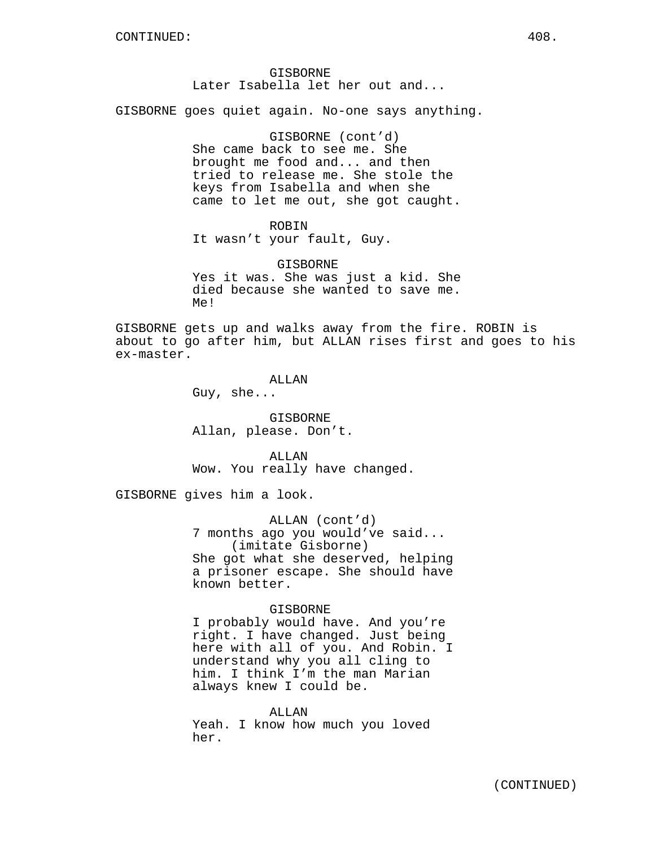## GISBORNE Later Isabella let her out and...

GISBORNE goes quiet again. No-one says anything.

GISBORNE (cont'd) She came back to see me. She brought me food and... and then tried to release me. She stole the keys from Isabella and when she came to let me out, she got caught.

## ROBIN

It wasn't your fault, Guy.

GISBORNE Yes it was. She was just a kid. She died because she wanted to save me. Me!

GISBORNE gets up and walks away from the fire. ROBIN is about to go after him, but ALLAN rises first and goes to his ex-master.

#### ALLAN

Guy, she...

GISBORNE Allan, please. Don't.

ALLAN Wow. You really have changed.

GISBORNE gives him a look.

ALLAN (cont'd) 7 months ago you would've said... (imitate Gisborne) She got what she deserved, helping a prisoner escape. She should have known better.

#### GISBORNE

I probably would have. And you're right. I have changed. Just being here with all of you. And Robin. I understand why you all cling to him. I think I'm the man Marian always knew I could be.

ALLAN Yeah. I know how much you loved her.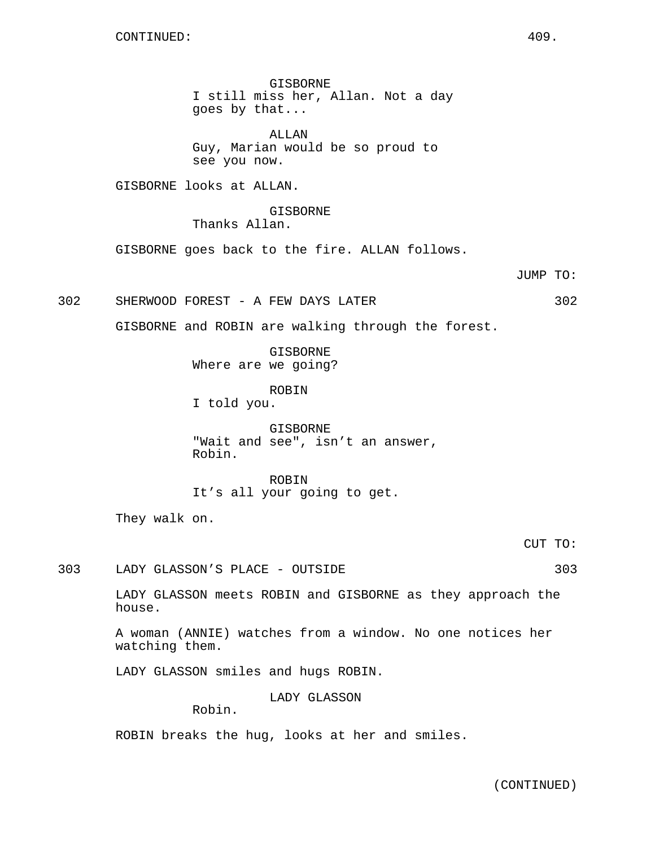GISBORNE I still miss her, Allan. Not a day goes by that...

ALLAN Guy, Marian would be so proud to see you now.

GISBORNE looks at ALLAN.

GISBORNE Thanks Allan.

GISBORNE goes back to the fire. ALLAN follows.

JUMP TO:

302 SHERWOOD FOREST - A FEW DAYS LATER 302

GISBORNE and ROBIN are walking through the forest.

GISBORNE Where are we going?

ROBIN I told you.

GISBORNE "Wait and see", isn't an answer, Robin.

ROBIN It's all your going to get.

They walk on.

CUT TO:

303 LADY GLASSON'S PLACE - OUTSIDE 303

LADY GLASSON meets ROBIN and GISBORNE as they approach the house.

A woman (ANNIE) watches from a window. No one notices her watching them.

LADY GLASSON smiles and hugs ROBIN.

LADY GLASSON

Robin.

ROBIN breaks the hug, looks at her and smiles.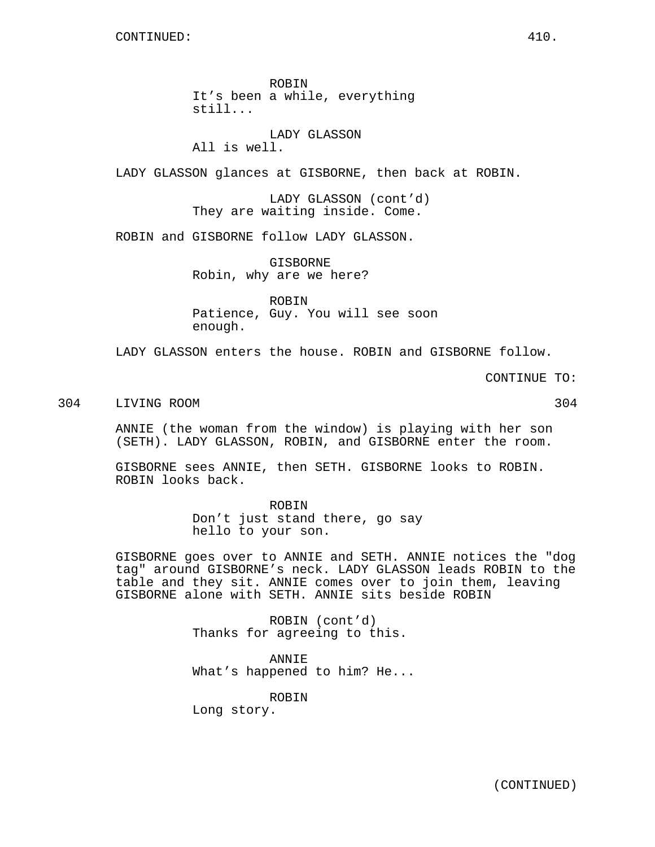still... LADY GLASSON

All is well.

LADY GLASSON glances at GISBORNE, then back at ROBIN.

LADY GLASSON (cont'd) They are waiting inside. Come.

ROBIN and GISBORNE follow LADY GLASSON.

GISBORNE Robin, why are we here?

ROBIN It's been a while, everything

ROBIN Patience, Guy. You will see soon enough.

LADY GLASSON enters the house. ROBIN and GISBORNE follow.

CONTINUE TO:

### 304 LIVING ROOM 304

ANNIE (the woman from the window) is playing with her son (SETH). LADY GLASSON, ROBIN, and GISBORNE enter the room.

GISBORNE sees ANNIE, then SETH. GISBORNE looks to ROBIN. ROBIN looks back.

> ROBIN Don't just stand there, go say hello to your son.

GISBORNE goes over to ANNIE and SETH. ANNIE notices the "dog tag" around GISBORNE's neck. LADY GLASSON leads ROBIN to the table and they sit. ANNIE comes over to join them, leaving GISBORNE alone with SETH. ANNIE sits beside ROBIN

> ROBIN (cont'd) Thanks for agreeing to this.

ANNIE What's happened to him? He...

ROBIN

Long story.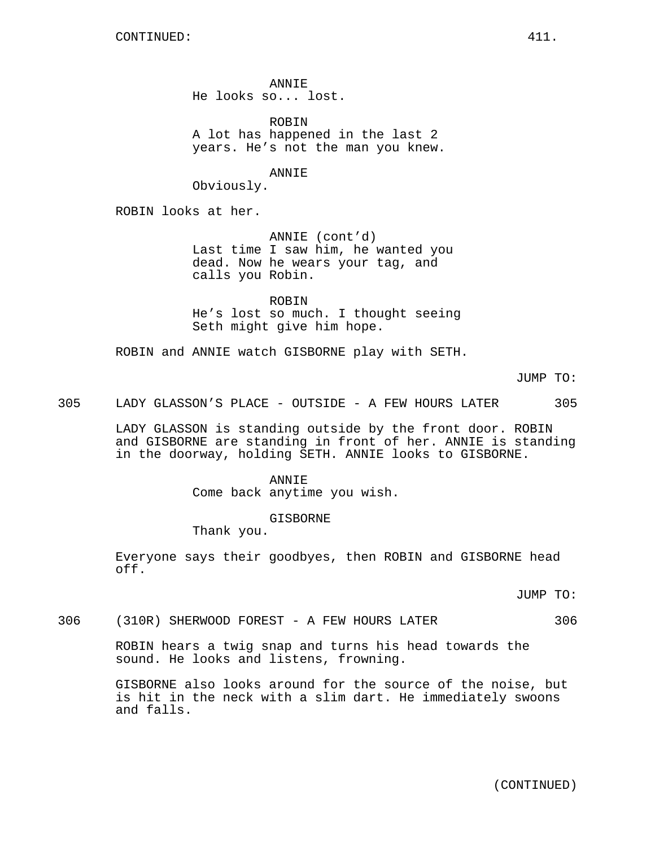ANNIE He looks so... lost.

ROBIN A lot has happened in the last 2 years. He's not the man you knew.

ANNIE

Obviously.

ROBIN looks at her.

ANNIE (cont'd) Last time I saw him, he wanted you dead. Now he wears your tag, and calls you Robin.

ROBIN He's lost so much. I thought seeing Seth might give him hope.

ROBIN and ANNIE watch GISBORNE play with SETH.

JUMP TO:

305 LADY GLASSON'S PLACE - OUTSIDE - A FEW HOURS LATER 305

LADY GLASSON is standing outside by the front door. ROBIN and GISBORNE are standing in front of her. ANNIE is standing in the doorway, holding SETH. ANNIE looks to GISBORNE.

> ANNIE Come back anytime you wish.

> > GISBORNE

Thank you.

Everyone says their goodbyes, then ROBIN and GISBORNE head off.

JUMP TO:

306 (310R) SHERWOOD FOREST - A FEW HOURS LATER 306

ROBIN hears a twig snap and turns his head towards the sound. He looks and listens, frowning.

GISBORNE also looks around for the source of the noise, but is hit in the neck with a slim dart. He immediately swoons and falls.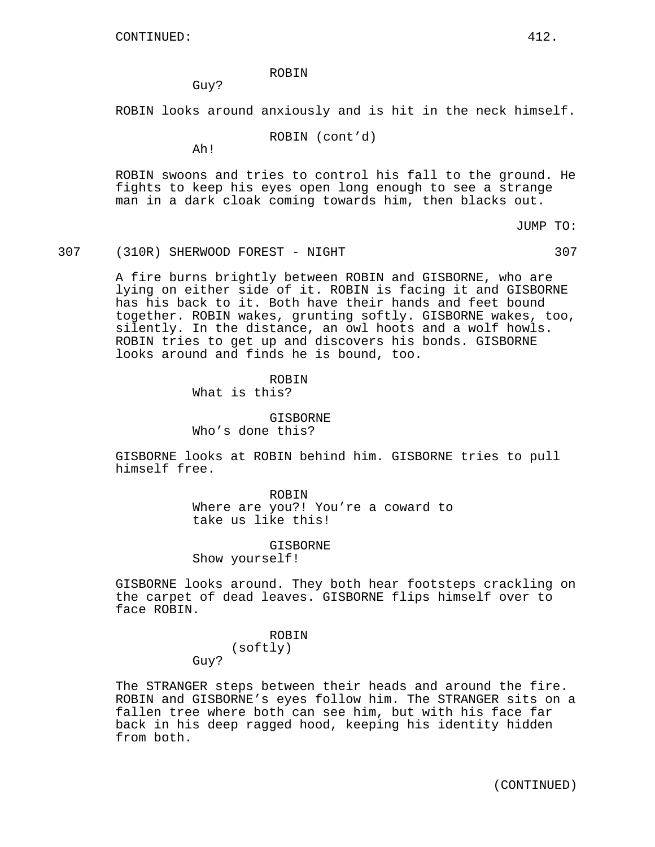ROBIN

Guy?

ROBIN looks around anxiously and is hit in the neck himself.

ROBIN (cont'd)

Ah!

ROBIN swoons and tries to control his fall to the ground. He fights to keep his eyes open long enough to see a strange man in a dark cloak coming towards him, then blacks out.

JUMP TO:

307 (310R) SHERWOOD FOREST - NIGHT 307

A fire burns brightly between ROBIN and GISBORNE, who are lying on either side of it. ROBIN is facing it and GISBORNE has his back to it. Both have their hands and feet bound together. ROBIN wakes, grunting softly. GISBORNE wakes, too, silently. In the distance, an owl hoots and a wolf howls. ROBIN tries to get up and discovers his bonds. GISBORNE looks around and finds he is bound, too.

**ROBIN** 

What is this?

GISBORNE Who's done this?

GISBORNE looks at ROBIN behind him. GISBORNE tries to pull himself free.

> ROBIN Where are you?! You're a coward to take us like this!

GISBORNE Show yourself!

GISBORNE looks around. They both hear footsteps crackling on the carpet of dead leaves. GISBORNE flips himself over to face ROBIN.

> ROBIN (softly) Guy?

The STRANGER steps between their heads and around the fire. ROBIN and GISBORNE's eyes follow him. The STRANGER sits on a fallen tree where both can see him, but with his face far back in his deep ragged hood, keeping his identity hidden from both.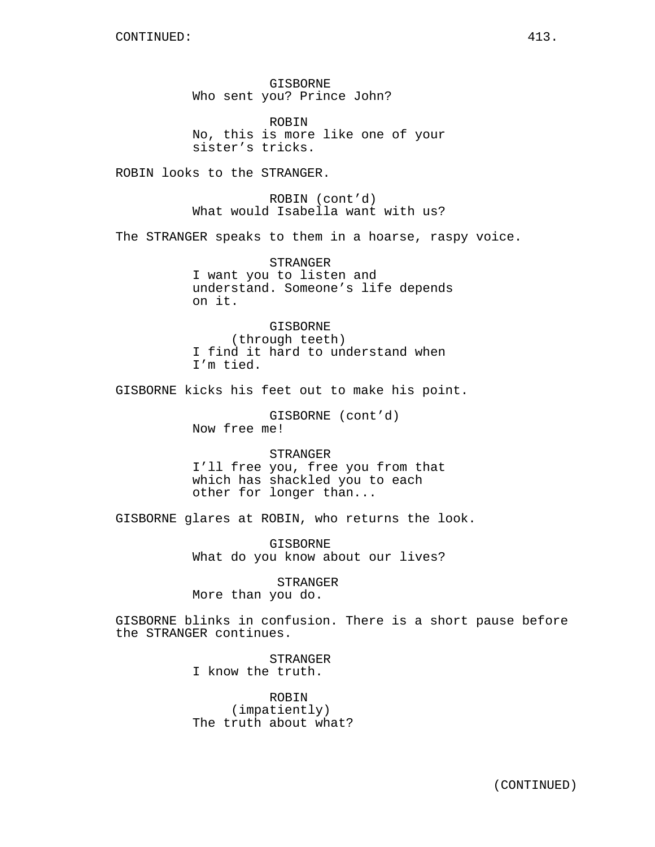GISBORNE Who sent you? Prince John?

ROBIN No, this is more like one of your sister's tricks.

ROBIN looks to the STRANGER.

ROBIN (cont'd) What would Isabella want with us?

The STRANGER speaks to them in a hoarse, raspy voice.

STRANGER I want you to listen and understand. Someone's life depends on it.

GISBORNE (through teeth) I find it hard to understand when I'm tied.

GISBORNE kicks his feet out to make his point.

GISBORNE (cont'd) Now free me!

STRANGER I'll free you, free you from that which has shackled you to each other for longer than...

GISBORNE glares at ROBIN, who returns the look.

GISBORNE What do you know about our lives?

STRANGER More than you do.

GISBORNE blinks in confusion. There is a short pause before the STRANGER continues.

> STRANGER I know the truth.

ROBIN (impatiently) The truth about what?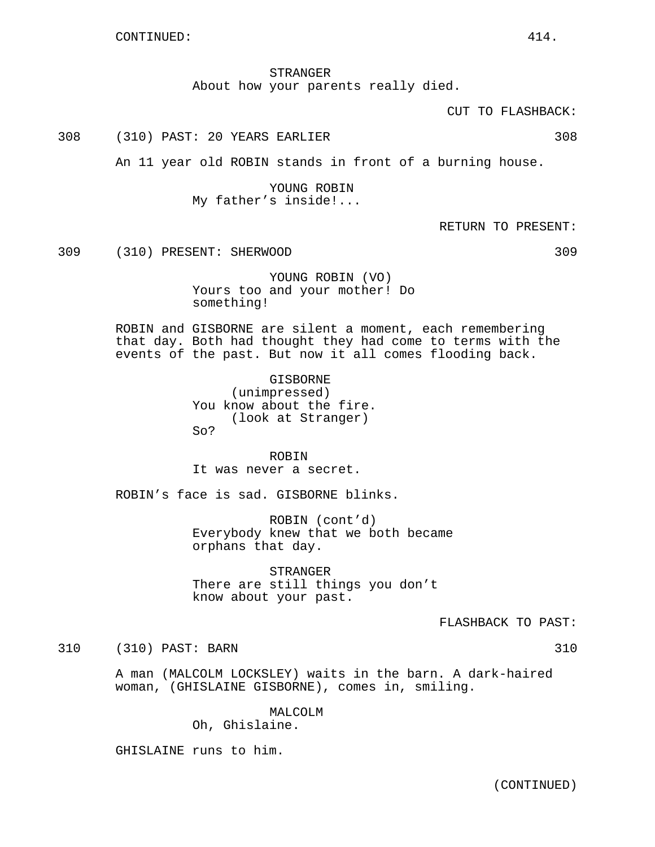STRANGER About how your parents really died.

CUT TO FLASHBACK:

308 (310) PAST: 20 YEARS EARLIER 308

An 11 year old ROBIN stands in front of a burning house.

YOUNG ROBIN My father's inside!...

RETURN TO PRESENT:

309 (310) PRESENT: SHERWOOD 309

YOUNG ROBIN (VO) Yours too and your mother! Do something!

ROBIN and GISBORNE are silent a moment, each remembering that day. Both had thought they had come to terms with the events of the past. But now it all comes flooding back.

> GISBORNE (unimpressed) You know about the fire. (look at Stranger) So?

ROBIN It was never a secret.

ROBIN's face is sad. GISBORNE blinks.

ROBIN (cont'd) Everybody knew that we both became orphans that day.

STRANGER There are still things you don't know about your past.

FLASHBACK TO PAST:

310 (310) PAST: BARN 310

A man (MALCOLM LOCKSLEY) waits in the barn. A dark-haired woman, (GHISLAINE GISBORNE), comes in, smiling.

> MALCOLM Oh, Ghislaine.

GHISLAINE runs to him.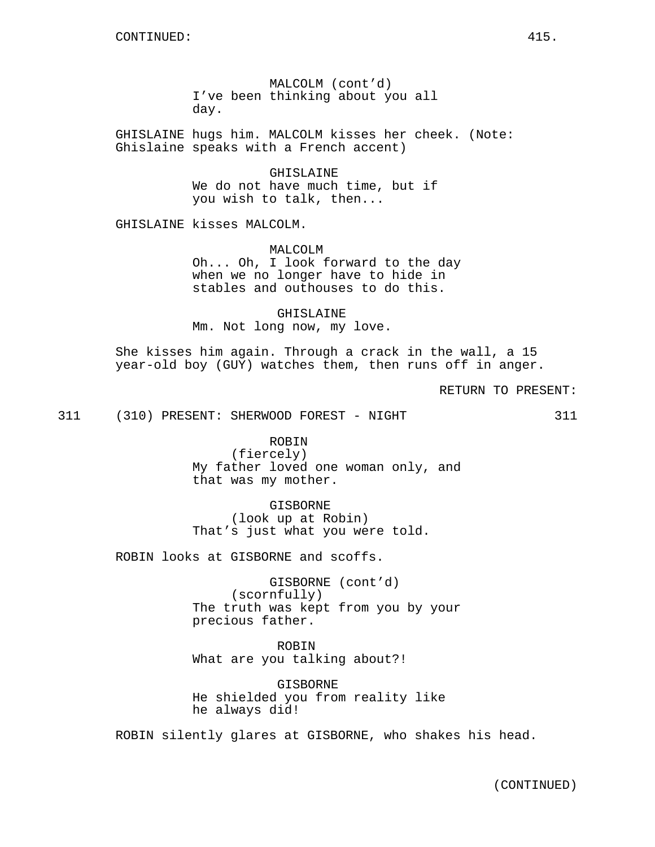MALCOLM (cont'd) I've been thinking about you all day.

GHISLAINE hugs him. MALCOLM kisses her cheek. (Note: Ghislaine speaks with a French accent)

> GHISLAINE We do not have much time, but if you wish to talk, then...

GHISLAINE kisses MALCOLM.

MALCOLM Oh... Oh, I look forward to the day when we no longer have to hide in stables and outhouses to do this.

GHISLAINE Mm. Not long now, my love.

She kisses him again. Through a crack in the wall, a 15 year-old boy (GUY) watches them, then runs off in anger.

RETURN TO PRESENT:

311 (310) PRESENT: SHERWOOD FOREST - NIGHT 311

ROBIN (fiercely) My father loved one woman only, and that was my mother.

GISBORNE (look up at Robin) That's just what you were told.

ROBIN looks at GISBORNE and scoffs.

GISBORNE (cont'd) (scornfully) The truth was kept from you by your precious father.

ROBIN What are you talking about?!

GISBORNE He shielded you from reality like he always did!

ROBIN silently glares at GISBORNE, who shakes his head.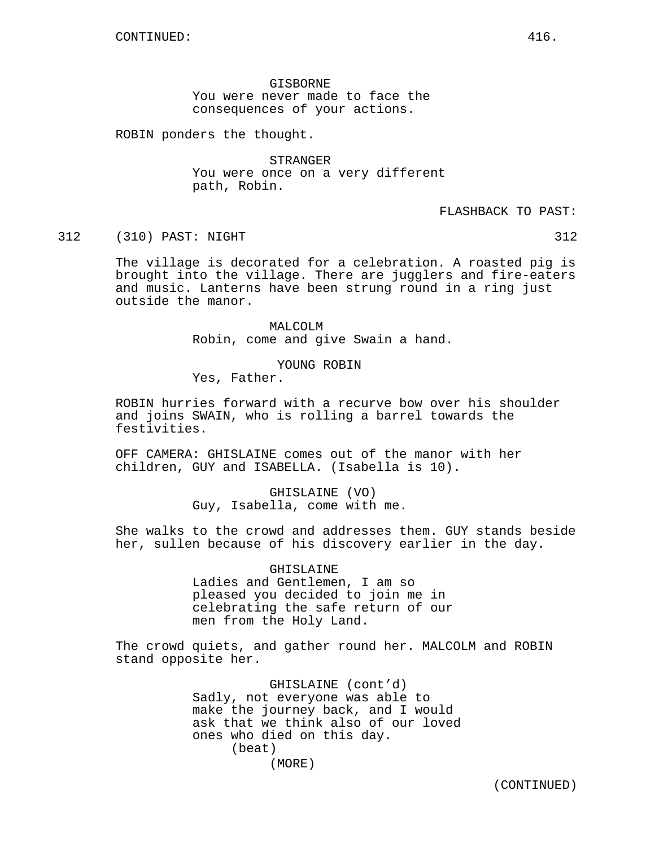GISBORNE You were never made to face the consequences of your actions.

ROBIN ponders the thought.

STRANGER You were once on a very different path, Robin.

FLASHBACK TO PAST:

#### 312 (310) PAST: NIGHT 312

The village is decorated for a celebration. A roasted pig is brought into the village. There are jugglers and fire-eaters and music. Lanterns have been strung round in a ring just outside the manor.

> MALCOLM Robin, come and give Swain a hand.

> > YOUNG ROBIN

Yes, Father.

ROBIN hurries forward with a recurve bow over his shoulder and joins SWAIN, who is rolling a barrel towards the festivities.

OFF CAMERA: GHISLAINE comes out of the manor with her children, GUY and ISABELLA. (Isabella is 10).

> GHISLAINE (VO) Guy, Isabella, come with me.

She walks to the crowd and addresses them. GUY stands beside her, sullen because of his discovery earlier in the day.

> GHISLAINE Ladies and Gentlemen, I am so pleased you decided to join me in celebrating the safe return of our men from the Holy Land.

The crowd quiets, and gather round her. MALCOLM and ROBIN stand opposite her.

> GHISLAINE (cont'd) Sadly, not everyone was able to make the journey back, and I would ask that we think also of our loved ones who died on this day. (beat) (MORE)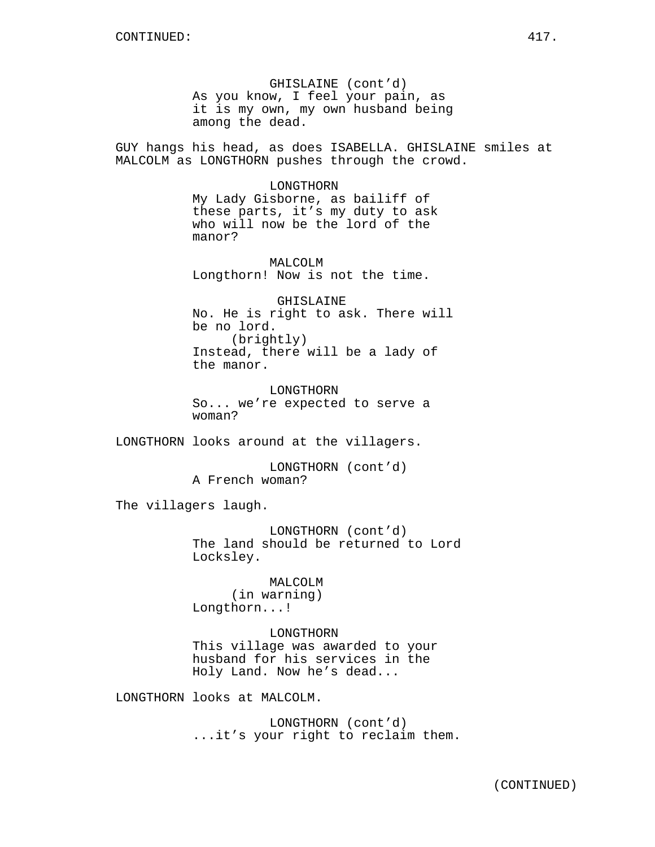GHISLAINE (cont'd) As you know, I feel your pain, as it is my own, my own husband being among the dead.

GUY hangs his head, as does ISABELLA. GHISLAINE smiles at MALCOLM as LONGTHORN pushes through the crowd.

LONGTHORN

My Lady Gisborne, as bailiff of these parts, it's my duty to ask who will now be the lord of the manor?

MALCOLM Longthorn! Now is not the time.

GHISLAINE No. He is right to ask. There will be no lord. (brightly) Instead, there will be a lady of the manor.

LONGTHORN So... we're expected to serve a woman?

LONGTHORN looks around at the villagers.

LONGTHORN (cont'd) A French woman?

The villagers laugh.

LONGTHORN (cont'd) The land should be returned to Lord Locksley.

MALCOLM (in warning) Longthorn...!

LONGTHORN This village was awarded to your husband for his services in the

Holy Land. Now he's dead...

LONGTHORN looks at MALCOLM.

LONGTHORN (cont'd) ...it's your right to reclaim them.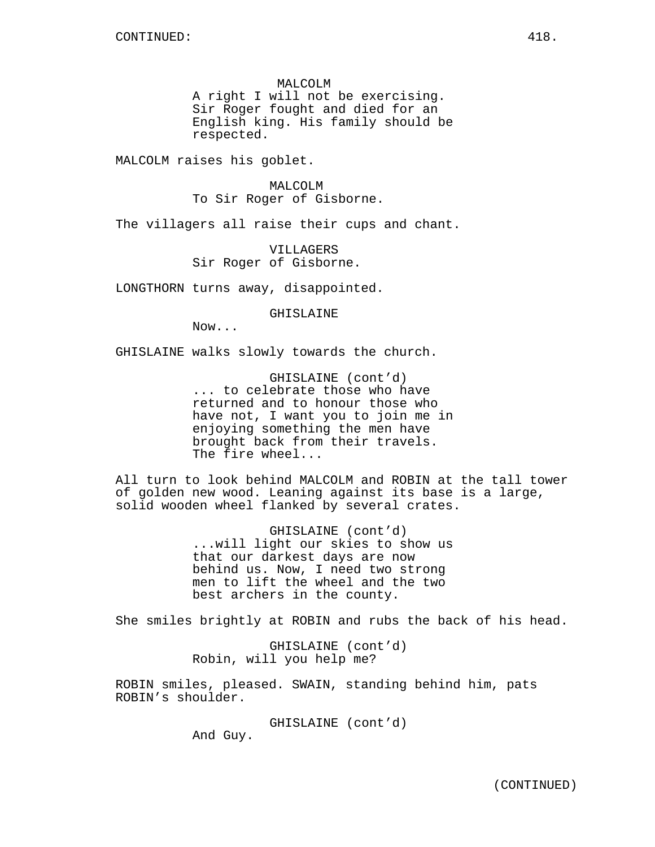MALCOLM

A right I will not be exercising. Sir Roger fought and died for an English king. His family should be respected.

MALCOLM raises his goblet.

MALCOLM To Sir Roger of Gisborne.

The villagers all raise their cups and chant.

VILLAGERS Sir Roger of Gisborne.

LONGTHORN turns away, disappointed.

GHISLAINE

Now...

GHISLAINE walks slowly towards the church.

GHISLAINE (cont'd) ... to celebrate those who have returned and to honour those who have not, I want you to join me in enjoying something the men have brought back from their travels. The fire wheel...

All turn to look behind MALCOLM and ROBIN at the tall tower of golden new wood. Leaning against its base is a large, solid wooden wheel flanked by several crates.

> GHISLAINE (cont'd) ...will light our skies to show us that our darkest days are now behind us. Now, I need two strong men to lift the wheel and the two best archers in the county.

She smiles brightly at ROBIN and rubs the back of his head.

GHISLAINE (cont'd) Robin, will you help me?

ROBIN smiles, pleased. SWAIN, standing behind him, pats ROBIN's shoulder.

GHISLAINE (cont'd)

And Guy.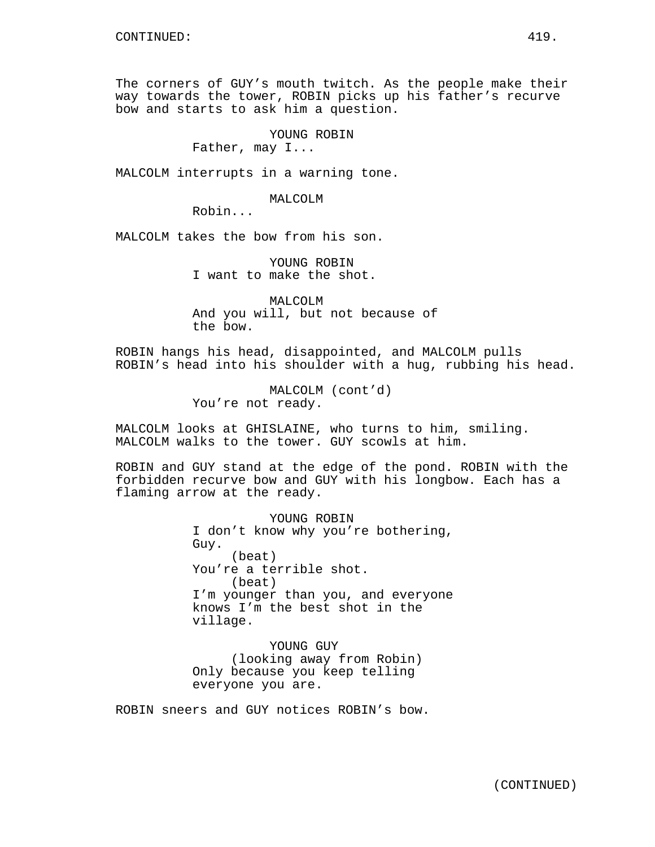The corners of GUY's mouth twitch. As the people make their way towards the tower, ROBIN picks up his father's recurve bow and starts to ask him a question.

YOUNG ROBIN

Father, may I...

MALCOLM interrupts in a warning tone.

MALCOLM

Robin...

MALCOLM takes the bow from his son.

YOUNG ROBIN I want to make the shot.

MALCOLM And you will, but not because of the bow.

ROBIN hangs his head, disappointed, and MALCOLM pulls ROBIN's head into his shoulder with a hug, rubbing his head.

> MALCOLM (cont'd) You're not ready.

MALCOLM looks at GHISLAINE, who turns to him, smiling. MALCOLM walks to the tower. GUY scowls at him.

ROBIN and GUY stand at the edge of the pond. ROBIN with the forbidden recurve bow and GUY with his longbow. Each has a flaming arrow at the ready.

> YOUNG ROBIN I don't know why you're bothering, Guy. (beat) You're a terrible shot. (beat) I'm younger than you, and everyone knows I'm the best shot in the village.

YOUNG GUY (looking away from Robin) Only because you keep telling everyone you are.

ROBIN sneers and GUY notices ROBIN's bow.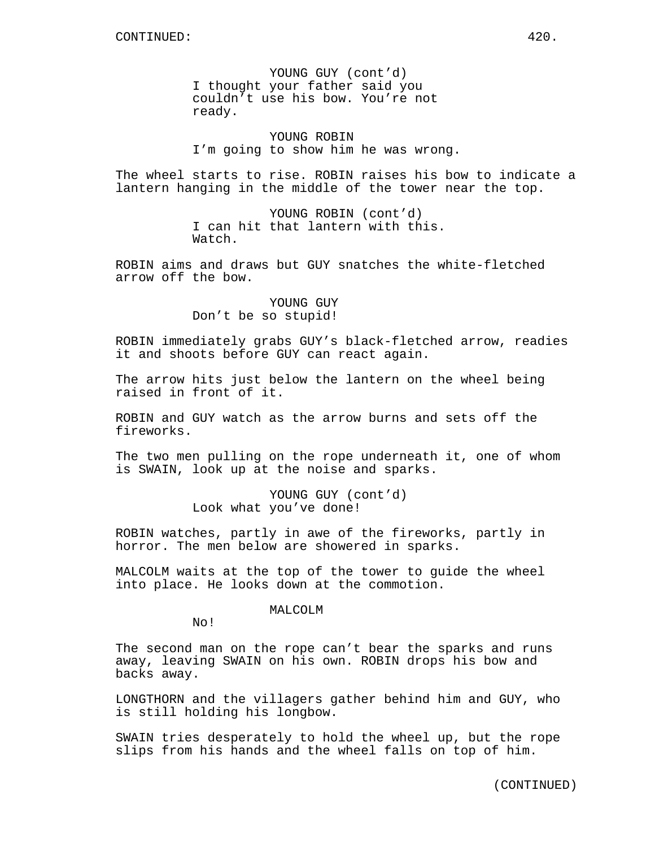YOUNG GUY (cont'd) I thought your father said you couldn't use his bow. You're not ready.

YOUNG ROBIN I'm going to show him he was wrong.

The wheel starts to rise. ROBIN raises his bow to indicate a lantern hanging in the middle of the tower near the top.

> YOUNG ROBIN (cont'd) I can hit that lantern with this. Watch.

ROBIN aims and draws but GUY snatches the white-fletched arrow off the bow.

> YOUNG GUY Don't be so stupid!

ROBIN immediately grabs GUY's black-fletched arrow, readies it and shoots before GUY can react again.

The arrow hits just below the lantern on the wheel being raised in front of it.

ROBIN and GUY watch as the arrow burns and sets off the fireworks.

The two men pulling on the rope underneath it, one of whom is SWAIN, look up at the noise and sparks.

> YOUNG GUY (cont'd) Look what you've done!

ROBIN watches, partly in awe of the fireworks, partly in horror. The men below are showered in sparks.

MALCOLM waits at the top of the tower to guide the wheel into place. He looks down at the commotion.

MALCOLM

No!

The second man on the rope can't bear the sparks and runs away, leaving SWAIN on his own. ROBIN drops his bow and backs away.

LONGTHORN and the villagers gather behind him and GUY, who is still holding his longbow.

SWAIN tries desperately to hold the wheel up, but the rope slips from his hands and the wheel falls on top of him.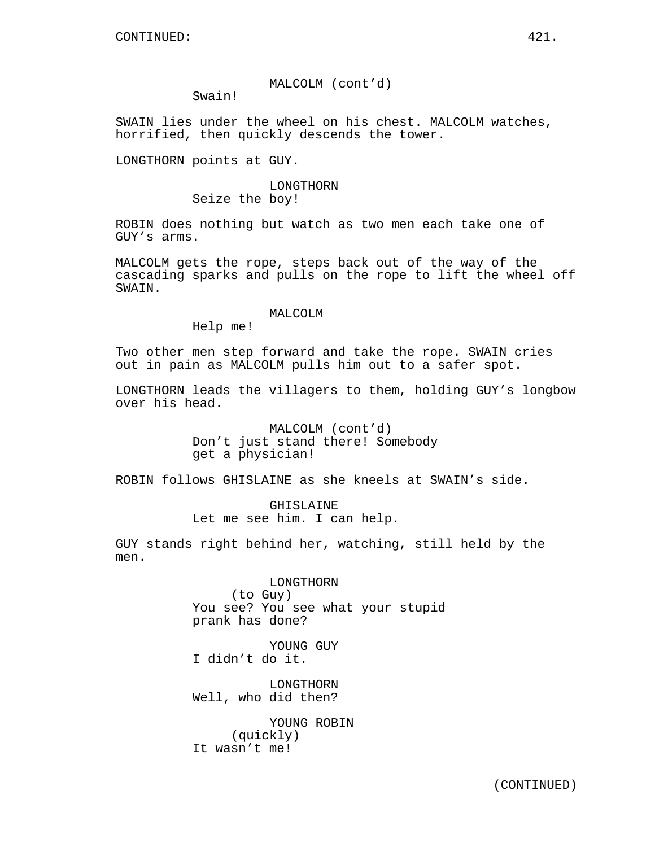## MALCOLM (cont'd)

Swain!

SWAIN lies under the wheel on his chest. MALCOLM watches, horrified, then quickly descends the tower.

LONGTHORN points at GUY.

## LONGTHORN Seize the boy!

ROBIN does nothing but watch as two men each take one of GUY's arms.

MALCOLM gets the rope, steps back out of the way of the cascading sparks and pulls on the rope to lift the wheel off SWAIN.

#### MALCOLM

Help me!

Two other men step forward and take the rope. SWAIN cries out in pain as MALCOLM pulls him out to a safer spot.

LONGTHORN leads the villagers to them, holding GUY's longbow over his head.

> MALCOLM (cont'd) Don't just stand there! Somebody get a physician!

ROBIN follows GHISLAINE as she kneels at SWAIN's side.

GHISLAINE Let me see him. I can help.

GUY stands right behind her, watching, still held by the men.

> LONGTHORN (to Guy) You see? You see what your stupid prank has done?

YOUNG GUY I didn't do it.

LONGTHORN Well, who did then?

YOUNG ROBIN (quickly) It wasn't me!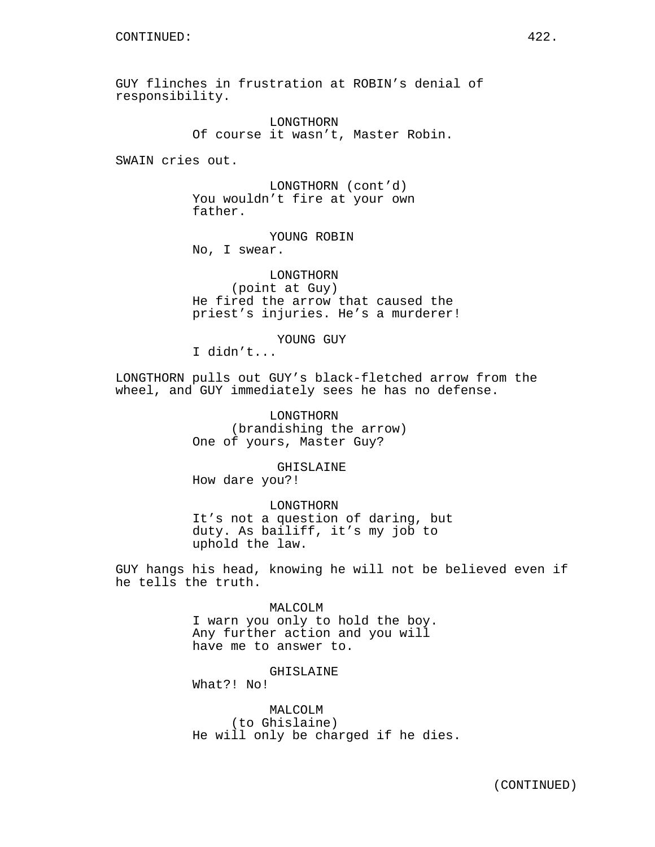GUY flinches in frustration at ROBIN's denial of responsibility.

> LONGTHORN Of course it wasn't, Master Robin.

SWAIN cries out.

LONGTHORN (cont'd) You wouldn't fire at your own father.

YOUNG ROBIN No, I swear.

LONGTHORN (point at Guy) He fired the arrow that caused the priest's injuries. He's a murderer!

YOUNG GUY

I didn't...

LONGTHORN pulls out GUY's black-fletched arrow from the wheel, and GUY immediately sees he has no defense.

> LONGTHORN (brandishing the arrow) One of yours, Master Guy?

> > GHISLAINE

How dare you?!

LONGTHORN It's not a question of daring, but duty. As bailiff, it's my job to uphold the law.

GUY hangs his head, knowing he will not be believed even if he tells the truth.

> MALCOLM I warn you only to hold the boy. Any further action and you will have me to answer to.

GHISLAINE What?! No!

MALCOLM (to Ghislaine) He will only be charged if he dies.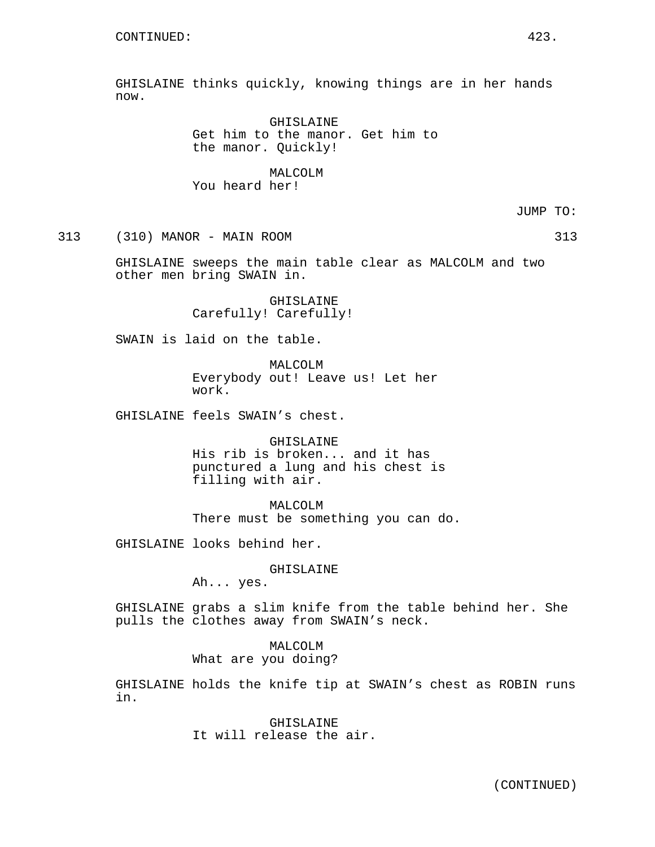GHISLAINE thinks quickly, knowing things are in her hands now.

> GHISLAINE Get him to the manor. Get him to the manor. Quickly!

MALCOLM You heard her!

JUMP TO:

313 (310) MANOR - MAIN ROOM 313

GHISLAINE sweeps the main table clear as MALCOLM and two other men bring SWAIN in.

> GHISLAINE Carefully! Carefully!

SWAIN is laid on the table.

MALCOLM Everybody out! Leave us! Let her work.

GHISLAINE feels SWAIN's chest.

GHISLAINE His rib is broken... and it has punctured a lung and his chest is filling with air.

MALCOLM There must be something you can do.

GHISLAINE looks behind her.

GHISLAINE

Ah... yes.

GHISLAINE grabs a slim knife from the table behind her. She pulls the clothes away from SWAIN's neck.

## MALCOLM

What are you doing?

GHISLAINE holds the knife tip at SWAIN's chest as ROBIN runs in.

> GHISLAINE It will release the air.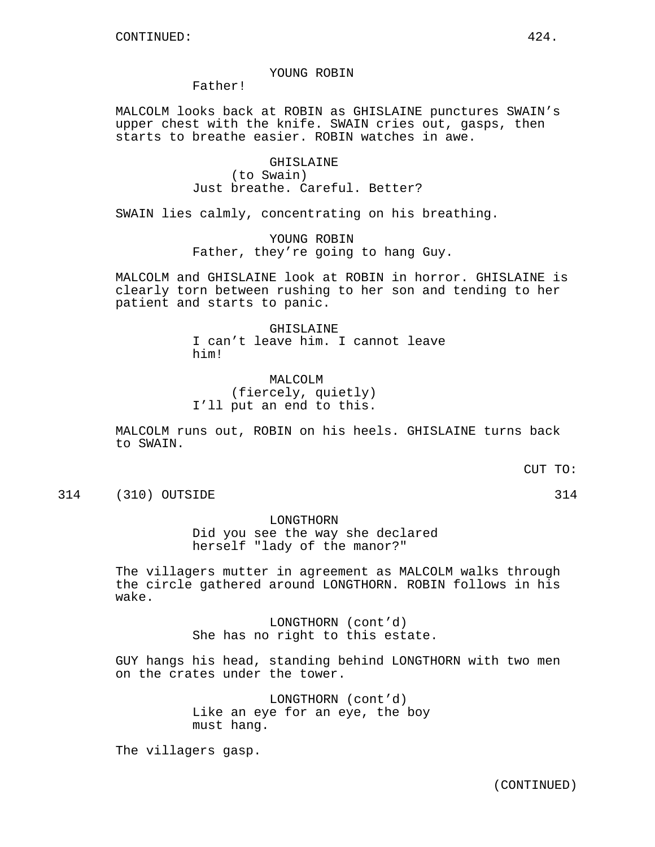#### YOUNG ROBIN

Father!

MALCOLM looks back at ROBIN as GHISLAINE punctures SWAIN's upper chest with the knife. SWAIN cries out, gasps, then starts to breathe easier. ROBIN watches in awe.

> GHISLAINE (to Swain) Just breathe. Careful. Better?

SWAIN lies calmly, concentrating on his breathing.

YOUNG ROBIN Father, they're going to hang Guy.

MALCOLM and GHISLAINE look at ROBIN in horror. GHISLAINE is clearly torn between rushing to her son and tending to her patient and starts to panic.

#### GHISLAINE

I can't leave him. I cannot leave him!

MALCOLM (fiercely, quietly) I'll put an end to this.

MALCOLM runs out, ROBIN on his heels. GHISLAINE turns back to SWAIN.

CUT TO:

314 (310) OUTSIDE 314

LONGTHORN

Did you see the way she declared herself "lady of the manor?"

The villagers mutter in agreement as MALCOLM walks through the circle gathered around LONGTHORN. ROBIN follows in his wake.

> LONGTHORN (cont'd) She has no right to this estate.

GUY hangs his head, standing behind LONGTHORN with two men on the crates under the tower.

> LONGTHORN (cont'd) Like an eye for an eye, the boy must hang.

The villagers gasp.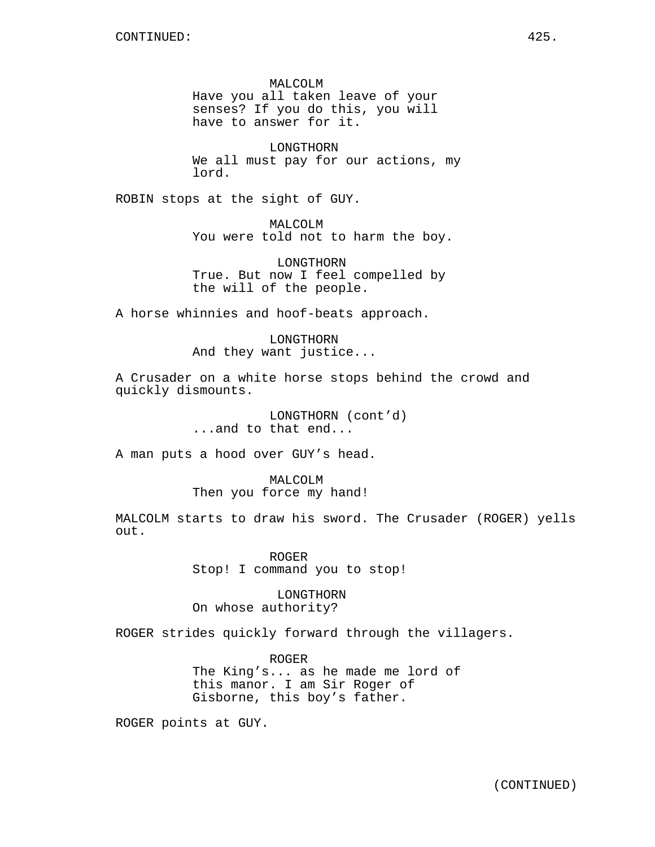MALCOLM Have you all taken leave of your senses? If you do this, you will have to answer for it.

LONGTHORN We all must pay for our actions, my lord.

ROBIN stops at the sight of GUY.

MALCOLM You were told not to harm the boy.

LONGTHORN True. But now I feel compelled by the will of the people.

A horse whinnies and hoof-beats approach.

LONGTHORN And they want justice...

A Crusader on a white horse stops behind the crowd and quickly dismounts.

> LONGTHORN (cont'd) ...and to that end...

A man puts a hood over GUY's head.

MALCOLM Then you force my hand!

MALCOLM starts to draw his sword. The Crusader (ROGER) yells out.

> ROGER Stop! I command you to stop!

LONGTHORN On whose authority?

ROGER strides quickly forward through the villagers.

ROGER The King's... as he made me lord of this manor. I am Sir Roger of Gisborne, this boy's father.

ROGER points at GUY.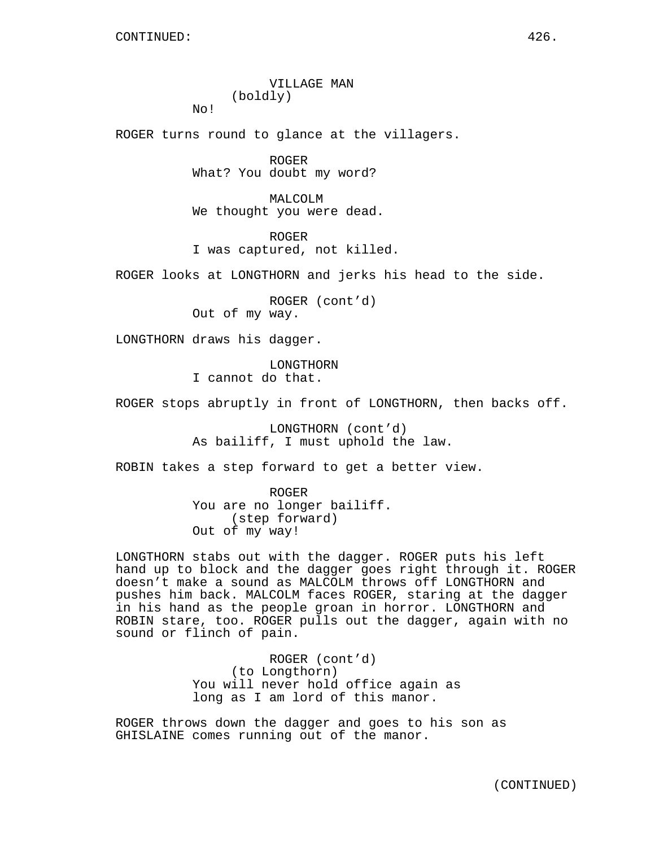# VILLAGE MAN (boldly)

ROGER turns round to glance at the villagers.

ROGER What? You doubt my word?

MALCOLM We thought you were dead.

ROGER I was captured, not killed.

ROGER looks at LONGTHORN and jerks his head to the side.

ROGER (cont'd) Out of my way.

LONGTHORN draws his dagger.

No!

LONGTHORN I cannot do that.

ROGER stops abruptly in front of LONGTHORN, then backs off.

LONGTHORN (cont'd) As bailiff, I must uphold the law.

ROBIN takes a step forward to get a better view.

ROGER You are no longer bailiff. (step forward) Out of my way!

LONGTHORN stabs out with the dagger. ROGER puts his left hand up to block and the dagger goes right through it. ROGER doesn't make a sound as MALCOLM throws off LONGTHORN and pushes him back. MALCOLM faces ROGER, staring at the dagger in his hand as the people groan in horror. LONGTHORN and ROBIN stare, too. ROGER pulls out the dagger, again with no sound or flinch of pain.

> ROGER (cont'd) (to Longthorn) You will never hold office again as long as I am lord of this manor.

ROGER throws down the dagger and goes to his son as GHISLAINE comes running out of the manor.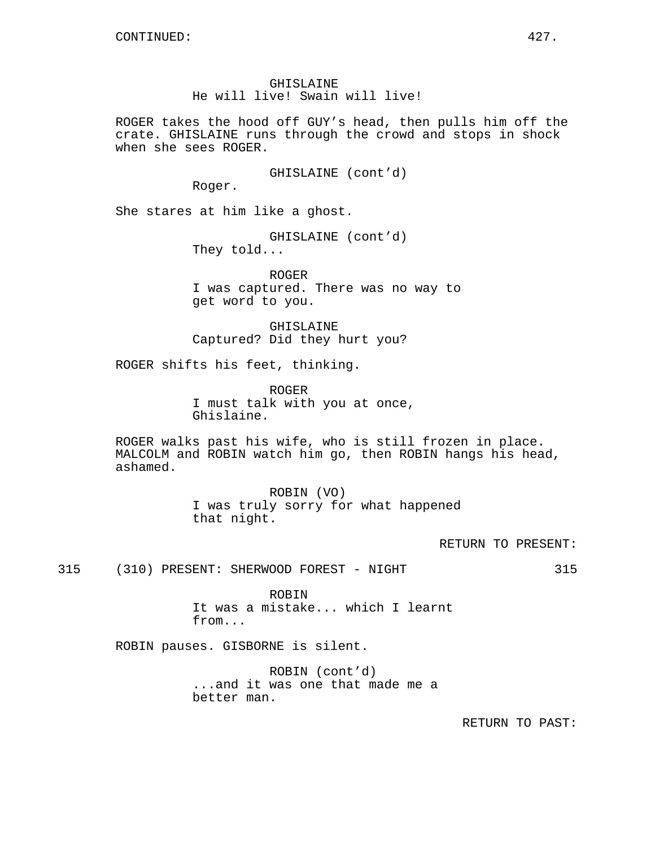ROGER takes the hood off GUY's head, then pulls him off the crate. GHISLAINE runs through the crowd and stops in shock when she sees ROGER.

GHISLAINE (cont'd)

Roger.

She stares at him like a ghost.

GHISLAINE (cont'd) They told...

ROGER I was captured. There was no way to get word to you.

GHISLAINE Captured? Did they hurt you?

ROGER shifts his feet, thinking.

ROGER I must talk with you at once, Ghislaine.

ROGER walks past his wife, who is still frozen in place. MALCOLM and ROBIN watch him go, then ROBIN hangs his head, ashamed.

> ROBIN (VO) I was truly sorry for what happened that night.

> > RETURN TO PRESENT:

315 (310) PRESENT: SHERWOOD FOREST - NIGHT 315

ROBIN It was a mistake... which I learnt from...

ROBIN pauses. GISBORNE is silent.

ROBIN (cont'd) ...and it was one that made me a better man.

RETURN TO PAST: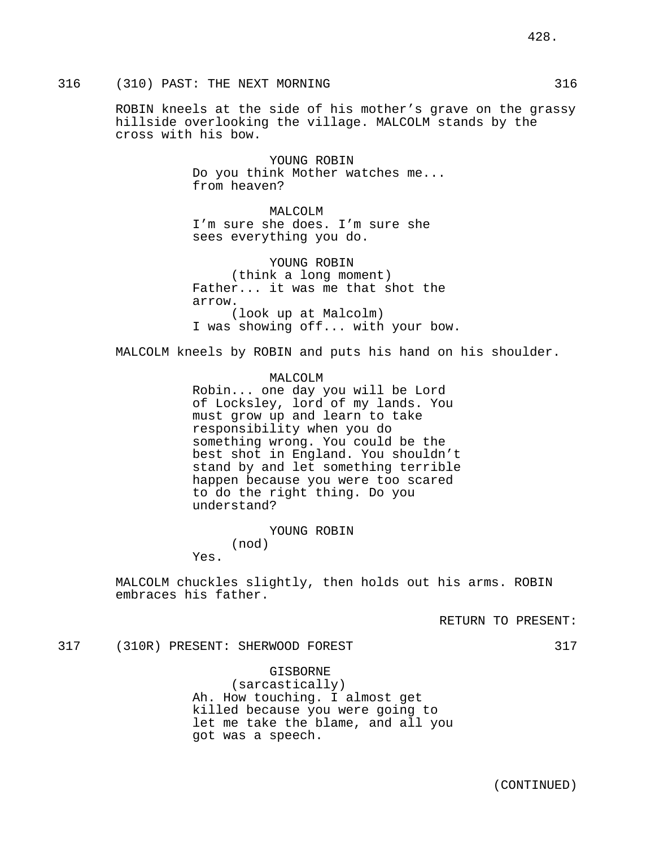## 316 (310) PAST: THE NEXT MORNING 316

ROBIN kneels at the side of his mother's grave on the grassy hillside overlooking the village. MALCOLM stands by the cross with his bow.

> YOUNG ROBIN Do you think Mother watches me... from heaven?

MALCOLM I'm sure she does. I'm sure she sees everything you do.

YOUNG ROBIN (think a long moment) Father... it was me that shot the arrow. (look up at Malcolm) I was showing off... with your bow.

MALCOLM kneels by ROBIN and puts his hand on his shoulder.

## MALCOLM Robin... one day you will be Lord of Locksley, lord of my lands. You must grow up and learn to take responsibility when you do something wrong. You could be the best shot in England. You shouldn't stand by and let something terrible happen because you were too scared to do the right thing. Do you understand?

YOUNG ROBIN

(nod) Yes.

MALCOLM chuckles slightly, then holds out his arms. ROBIN embraces his father.

RETURN TO PRESENT:

#### 317 (310R) PRESENT: SHERWOOD FOREST 317

GISBORNE (sarcastically) Ah. How touching. I almost get killed because you were going to let me take the blame, and all you got was a speech.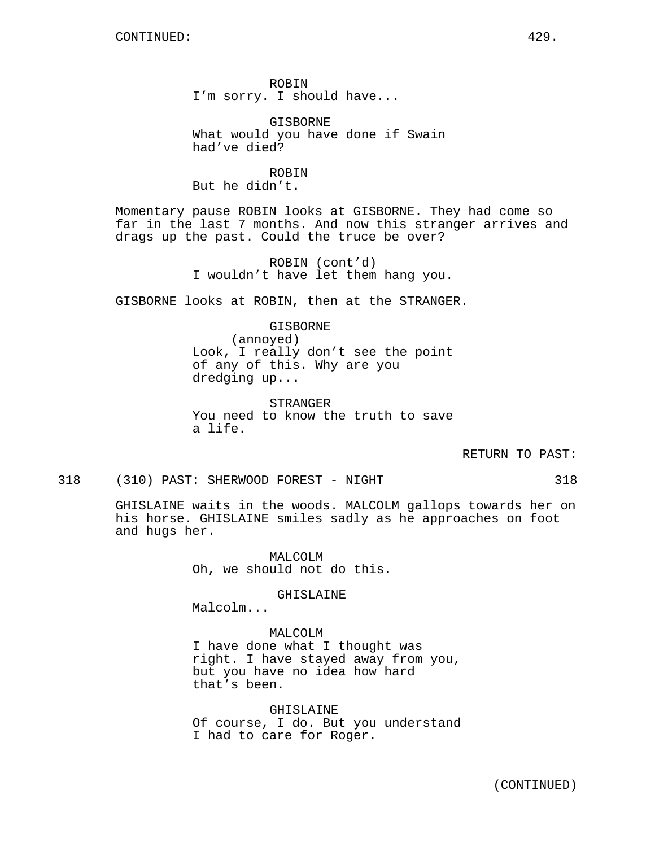ROBIN I'm sorry. I should have...

GISBORNE What would you have done if Swain had've died?

ROBIN But he didn't.

Momentary pause ROBIN looks at GISBORNE. They had come so far in the last 7 months. And now this stranger arrives and drags up the past. Could the truce be over?

> ROBIN (cont'd) I wouldn't have let them hang you.

GISBORNE looks at ROBIN, then at the STRANGER.

GISBORNE (annoyed) Look, I really don't see the point of any of this. Why are you dredging up...

STRANGER You need to know the truth to save a life.

RETURN TO PAST:

318 (310) PAST: SHERWOOD FOREST - NIGHT 318

GHISLAINE waits in the woods. MALCOLM gallops towards her on his horse. GHISLAINE smiles sadly as he approaches on foot and hugs her.

> MALCOLM Oh, we should not do this.

> > GHISLAINE

Malcolm...

MALCOLM

I have done what I thought was right. I have stayed away from you, but you have no idea how hard that's been.

GHISLAINE Of course, I do. But you understand I had to care for Roger.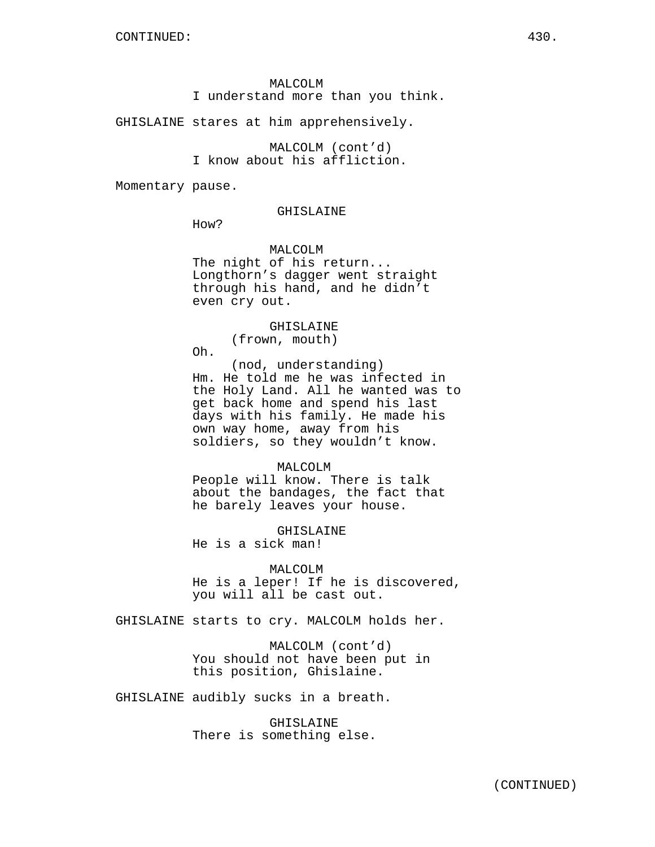## MALCOLM

I understand more than you think.

#### GHISLAINE stares at him apprehensively.

MALCOLM (cont'd) I know about his affliction.

Momentary pause.

### GHISLAINE

How?

MALCOLM The night of his return... Longthorn's dagger went straight through his hand, and he didn't even cry out.

## GHISLAINE

(frown, mouth)

Oh.

(nod, understanding) Hm. He told me he was infected in the Holy Land. All he wanted was to get back home and spend his last days with his family. He made his own way home, away from his soldiers, so they wouldn't know.

#### MALCOLM

People will know. There is talk about the bandages, the fact that he barely leaves your house.

GHISLAINE

He is a sick man!

#### MALCOLM

He is a leper! If he is discovered, you will all be cast out.

GHISLAINE starts to cry. MALCOLM holds her.

MALCOLM (cont'd) You should not have been put in this position, Ghislaine.

GHISLAINE audibly sucks in a breath.

GHISLAINE There is something else.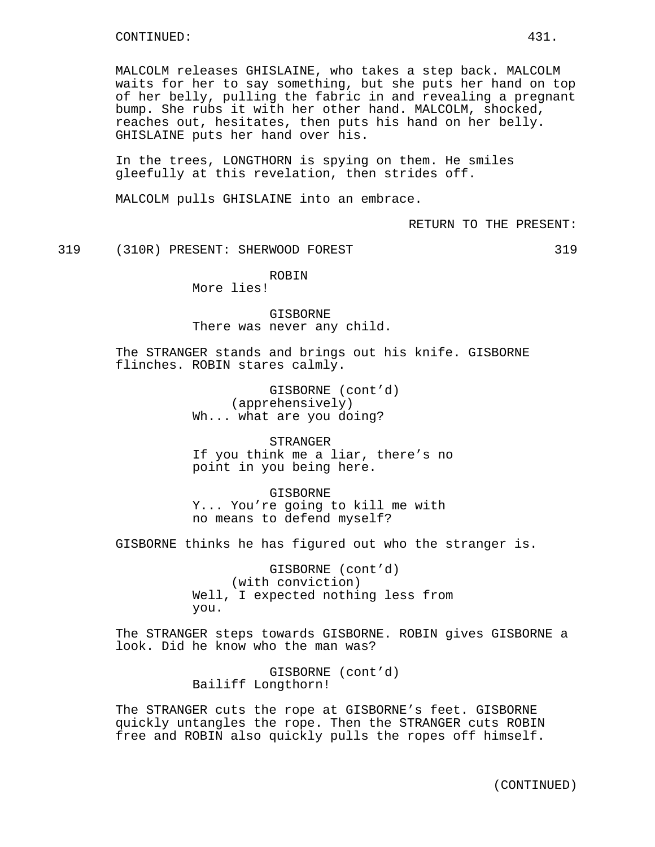MALCOLM releases GHISLAINE, who takes a step back. MALCOLM waits for her to say something, but she puts her hand on top of her belly, pulling the fabric in and revealing a pregnant bump. She rubs it with her other hand. MALCOLM, shocked, reaches out, hesitates, then puts his hand on her belly. GHISLAINE puts her hand over his.

In the trees, LONGTHORN is spying on them. He smiles gleefully at this revelation, then strides off.

MALCOLM pulls GHISLAINE into an embrace.

RETURN TO THE PRESENT:

319 (310R) PRESENT: SHERWOOD FOREST 319

ROBIN

More lies!

GISBORNE There was never any child.

The STRANGER stands and brings out his knife. GISBORNE flinches. ROBIN stares calmly.

> GISBORNE (cont'd) (apprehensively) Wh... what are you doing?

STRANGER If you think me a liar, there's no point in you being here.

GISBORNE Y... You're going to kill me with no means to defend myself?

GISBORNE thinks he has figured out who the stranger is.

GISBORNE (cont'd) (with conviction) Well, I expected nothing less from you.

The STRANGER steps towards GISBORNE. ROBIN gives GISBORNE a look. Did he know who the man was?

> GISBORNE (cont'd) Bailiff Longthorn!

The STRANGER cuts the rope at GISBORNE's feet. GISBORNE quickly untangles the rope. Then the STRANGER cuts ROBIN free and ROBIN also quickly pulls the ropes off himself.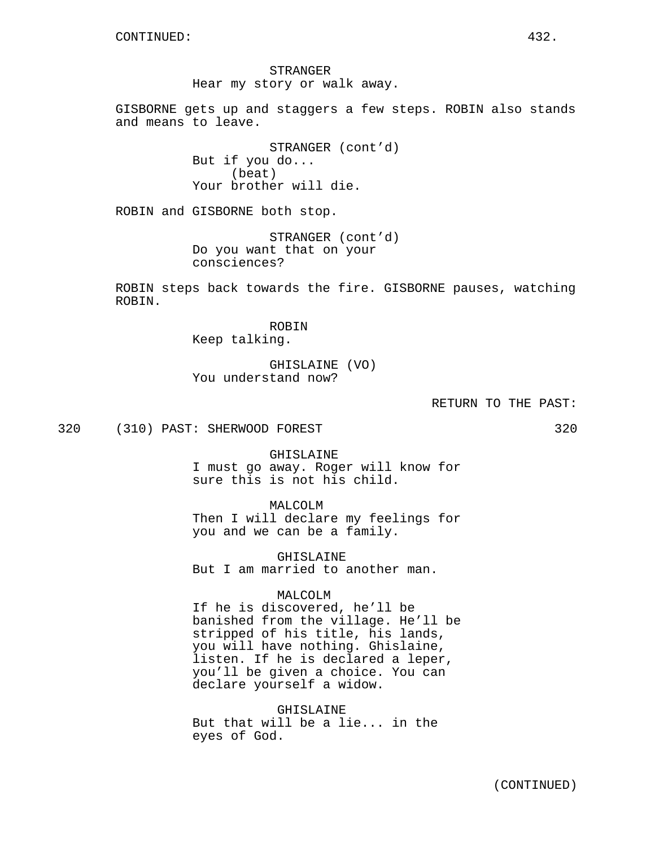STRANGER Hear my story or walk away.

GISBORNE gets up and staggers a few steps. ROBIN also stands and means to leave.

> STRANGER (cont'd) But if you do... (beat) Your brother will die.

ROBIN and GISBORNE both stop.

STRANGER (cont'd) Do you want that on your consciences?

ROBIN steps back towards the fire. GISBORNE pauses, watching ROBIN.

> ROBIN Keep talking.

GHISLAINE (VO) You understand now?

RETURN TO THE PAST:

320 (310) PAST: SHERWOOD FOREST 320

GHISLAINE I must go away. Roger will know for sure this is not his child.

MALCOLM Then I will declare my feelings for you and we can be a family.

GHISLAINE But I am married to another man.

MALCOLM

If he is discovered, he'll be banished from the village. He'll be stripped of his title, his lands, you will have nothing. Ghislaine, listen. If he is declared a leper, you'll be given a choice. You can declare yourself a widow.

GHISLAINE But that will be a lie... in the eyes of God.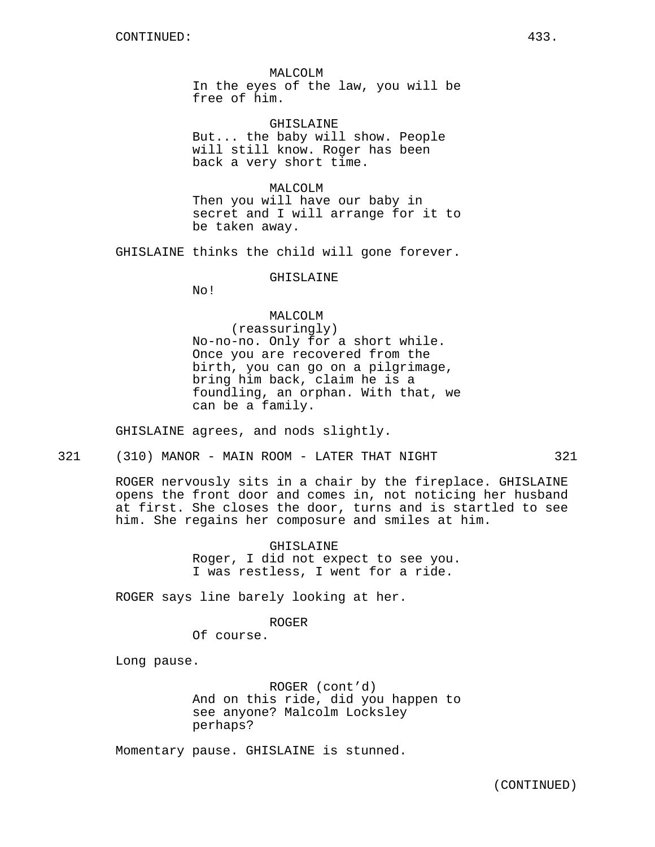MALCOLM In the eyes of the law, you will be free of him.

GHISLAINE But... the baby will show. People will still know. Roger has been back a very short time.

MALCOLM Then you will have our baby in secret and I will arrange for it to be taken away.

GHISLAINE thinks the child will gone forever.

### GHISLAINE

No!

# MALCOLM

(reassuringly) No-no-no. Only for a short while. Once you are recovered from the birth, you can go on a pilgrimage, bring him back, claim he is a foundling, an orphan. With that, we can be a family.

GHISLAINE agrees, and nods slightly.

321 (310) MANOR - MAIN ROOM - LATER THAT NIGHT 321

ROGER nervously sits in a chair by the fireplace. GHISLAINE opens the front door and comes in, not noticing her husband at first. She closes the door, turns and is startled to see him. She regains her composure and smiles at him.

> GHISLAINE Roger, I did not expect to see you. I was restless, I went for a ride.

ROGER says line barely looking at her.

ROGER

Of course.

Long pause.

ROGER (cont'd) And on this ride, did you happen to see anyone? Malcolm Locksley perhaps?

Momentary pause. GHISLAINE is stunned.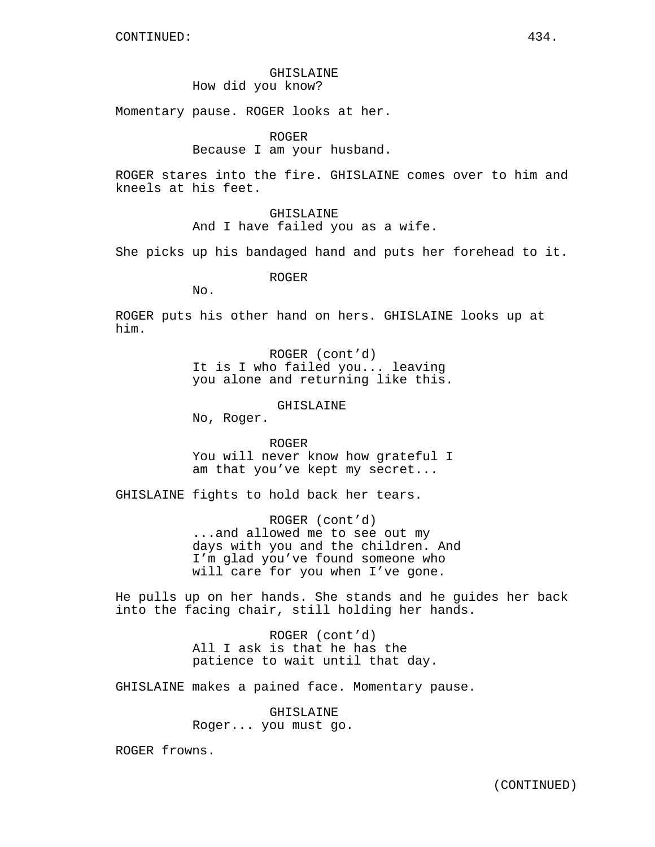### GHISLAINE How did you know?

Momentary pause. ROGER looks at her.

ROGER

Because I am your husband.

ROGER stares into the fire. GHISLAINE comes over to him and kneels at his feet.

> GHISLAINE And I have failed you as a wife.

She picks up his bandaged hand and puts her forehead to it.

ROGER

 $No.$ 

ROGER puts his other hand on hers. GHISLAINE looks up at him.

> ROGER (cont'd) It is I who failed you... leaving you alone and returning like this.

> > GHISLAINE

No, Roger.

ROGER You will never know how grateful I am that you've kept my secret...

GHISLAINE fights to hold back her tears.

ROGER (cont'd) ...and allowed me to see out my days with you and the children. And I'm glad you've found someone who will care for you when I've gone.

He pulls up on her hands. She stands and he guides her back into the facing chair, still holding her hands.

> ROGER (cont'd) All I ask is that he has the patience to wait until that day.

GHISLAINE makes a pained face. Momentary pause.

GHISLAINE Roger... you must go.

ROGER frowns.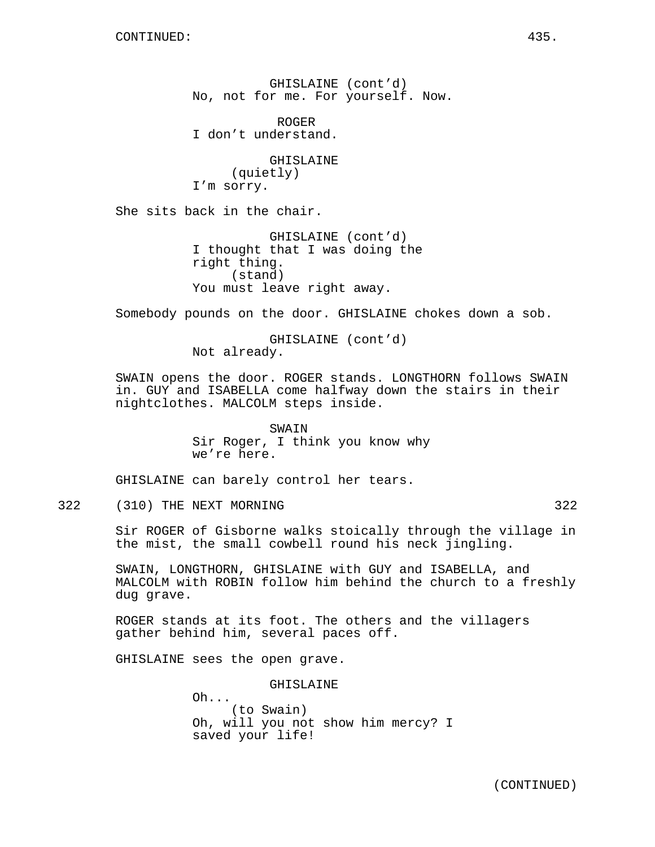GHISLAINE (cont'd) No, not for me. For yourself. Now.

ROGER I don't understand.

GHISLAINE (quietly) I'm sorry.

She sits back in the chair.

GHISLAINE (cont'd) I thought that I was doing the right thing. (stand) You must leave right away.

Somebody pounds on the door. GHISLAINE chokes down a sob.

GHISLAINE (cont'd) Not already.

SWAIN opens the door. ROGER stands. LONGTHORN follows SWAIN in. GUY and ISABELLA come halfway down the stairs in their nightclothes. MALCOLM steps inside.

> SWAIN Sir Roger, I think you know why we're here.

GHISLAINE can barely control her tears.

322 (310) THE NEXT MORNING 322

Sir ROGER of Gisborne walks stoically through the village in the mist, the small cowbell round his neck jingling.

SWAIN, LONGTHORN, GHISLAINE with GUY and ISABELLA, and MALCOLM with ROBIN follow him behind the church to a freshly dug grave.

ROGER stands at its foot. The others and the villagers gather behind him, several paces off.

GHISLAINE sees the open grave.

GHISLAINE

Oh... (to Swain) Oh, will you not show him mercy? I saved your life!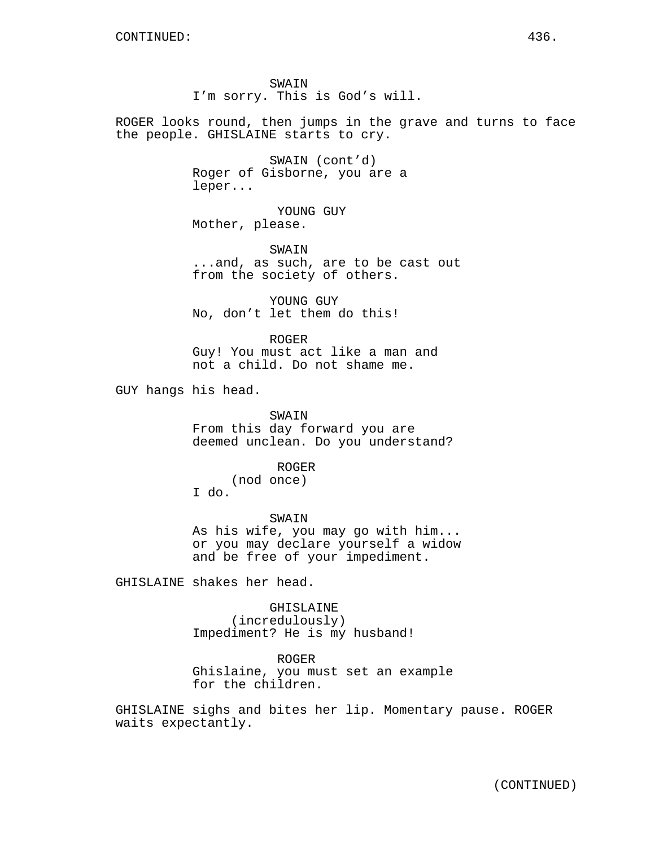ROGER looks round, then jumps in the grave and turns to face the people. GHISLAINE starts to cry.

> SWAIN (cont'd) Roger of Gisborne, you are a leper...

YOUNG GUY Mother, please.

SWAIN ...and, as such, are to be cast out from the society of others.

YOUNG GUY No, don't let them do this!

ROGER Guy! You must act like a man and not a child. Do not shame me.

GUY hangs his head.

SWAIN From this day forward you are deemed unclean. Do you understand?

### ROGER

(nod once)

I do.

SWAIN As his wife, you may go with him... or you may declare yourself a widow and be free of your impediment.

GHISLAINE shakes her head.

#### GHISLAINE

(incredulously) Impediment? He is my husband!

#### ROGER

Ghislaine, you must set an example for the children.

GHISLAINE sighs and bites her lip. Momentary pause. ROGER waits expectantly.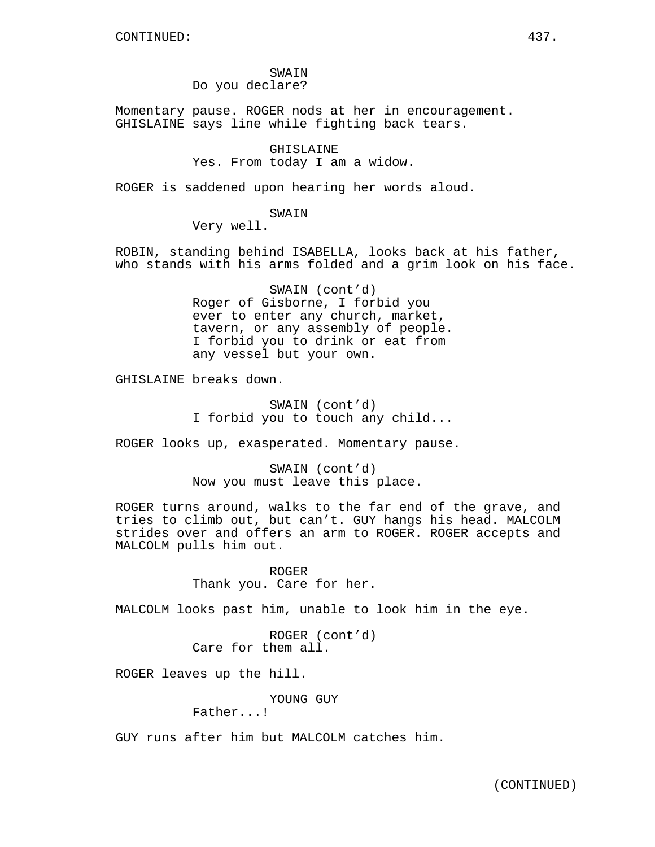SWAIN Do you declare?

Momentary pause. ROGER nods at her in encouragement. GHISLAINE says line while fighting back tears.

GHISLAINE

Yes. From today I am a widow.

ROGER is saddened upon hearing her words aloud.

SWAIN

Very well.

ROBIN, standing behind ISABELLA, looks back at his father, who stands with his arms folded and a grim look on his face.

> SWAIN (cont'd) Roger of Gisborne, I forbid you ever to enter any church, market, tavern, or any assembly of people. I forbid you to drink or eat from any vessel but your own.

GHISLAINE breaks down.

SWAIN (cont'd) I forbid you to touch any child...

ROGER looks up, exasperated. Momentary pause.

SWAIN (cont'd) Now you must leave this place.

ROGER turns around, walks to the far end of the grave, and tries to climb out, but can't. GUY hangs his head. MALCOLM strides over and offers an arm to ROGER. ROGER accepts and MALCOLM pulls him out.

> ROGER Thank you. Care for her.

MALCOLM looks past him, unable to look him in the eye.

ROGER (cont'd) Care for them all.

ROGER leaves up the hill.

YOUNG GUY

Father...!

GUY runs after him but MALCOLM catches him.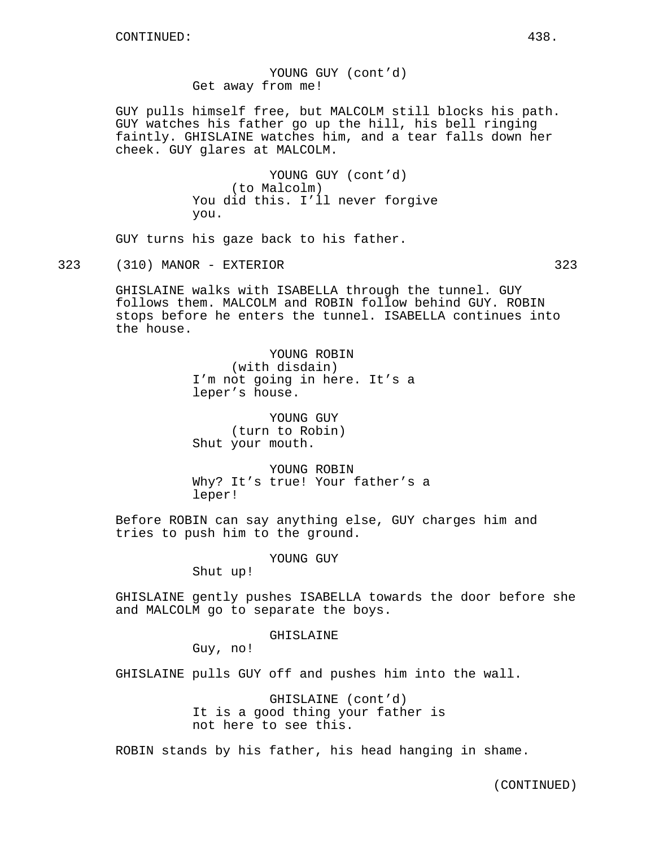YOUNG GUY (cont'd) Get away from me!

GUY pulls himself free, but MALCOLM still blocks his path. GUY watches his father go up the hill, his bell ringing faintly. GHISLAINE watches him, and a tear falls down her cheek. GUY glares at MALCOLM.

> YOUNG GUY (cont'd) (to Malcolm) You did this. I'll never forgive you.

GUY turns his gaze back to his father.

323 (310) MANOR - EXTERIOR 323

GHISLAINE walks with ISABELLA through the tunnel. GUY follows them. MALCOLM and ROBIN follow behind GUY. ROBIN stops before he enters the tunnel. ISABELLA continues into the house.

> YOUNG ROBIN (with disdain) I'm not going in here. It's a leper's house.

YOUNG GUY (turn to Robin) Shut your mouth.

YOUNG ROBIN Why? It's true! Your father's a leper!

Before ROBIN can say anything else, GUY charges him and tries to push him to the ground.

YOUNG GUY

Shut up!

GHISLAINE gently pushes ISABELLA towards the door before she and MALCOLM go to separate the boys.

GHISLAINE

Guy, no!

GHISLAINE pulls GUY off and pushes him into the wall.

GHISLAINE (cont'd) It is a good thing your father is not here to see this.

ROBIN stands by his father, his head hanging in shame.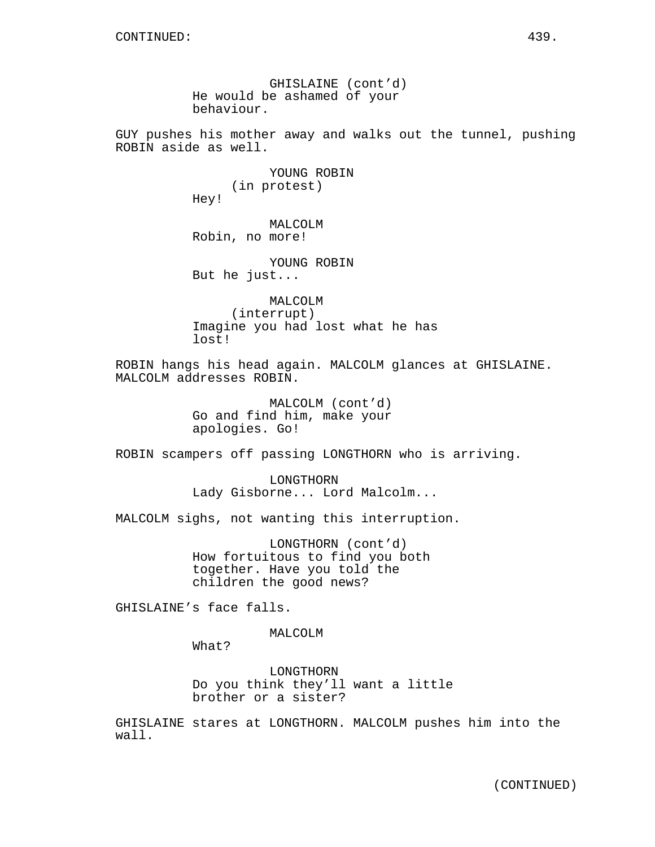GHISLAINE (cont'd) He would be ashamed of your behaviour.

GUY pushes his mother away and walks out the tunnel, pushing ROBIN aside as well.

> YOUNG ROBIN (in protest) Hey!

MALCOLM Robin, no more!

YOUNG ROBIN But he just...

MALCOLM (interrupt) Imagine you had lost what he has lost!

ROBIN hangs his head again. MALCOLM glances at GHISLAINE. MALCOLM addresses ROBIN.

> MALCOLM (cont'd) Go and find him, make your apologies. Go!

ROBIN scampers off passing LONGTHORN who is arriving.

LONGTHORN Lady Gisborne... Lord Malcolm...

MALCOLM sighs, not wanting this interruption.

LONGTHORN (cont'd) How fortuitous to find you both together. Have you told the children the good news?

GHISLAINE's face falls.

MALCOLM

What?

LONGTHORN Do you think they'll want a little brother or a sister?

GHISLAINE stares at LONGTHORN. MALCOLM pushes him into the wall.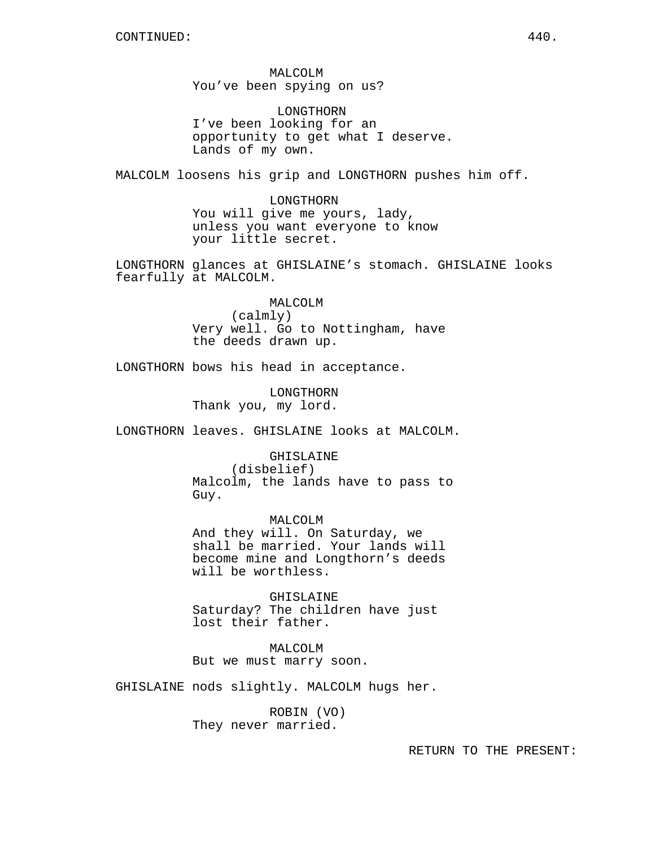MALCOLM You've been spying on us?

LONGTHORN I've been looking for an opportunity to get what I deserve. Lands of my own.

MALCOLM loosens his grip and LONGTHORN pushes him off.

LONGTHORN You will give me yours, lady, unless you want everyone to know your little secret.

LONGTHORN glances at GHISLAINE's stomach. GHISLAINE looks fearfully at MALCOLM.

#### MALCOLM

(calmly) Very well. Go to Nottingham, have the deeds drawn up.

LONGTHORN bows his head in acceptance.

LONGTHORN Thank you, my lord.

LONGTHORN leaves. GHISLAINE looks at MALCOLM.

GHISLAINE

(disbelief) Malcolm, the lands have to pass to Guy.

MALCOLM And they will. On Saturday, we shall be married. Your lands will become mine and Longthorn's deeds will be worthless.

GHISLAINE Saturday? The children have just lost their father.

MALCOLM But we must marry soon.

GHISLAINE nods slightly. MALCOLM hugs her.

ROBIN (VO) They never married.

RETURN TO THE PRESENT: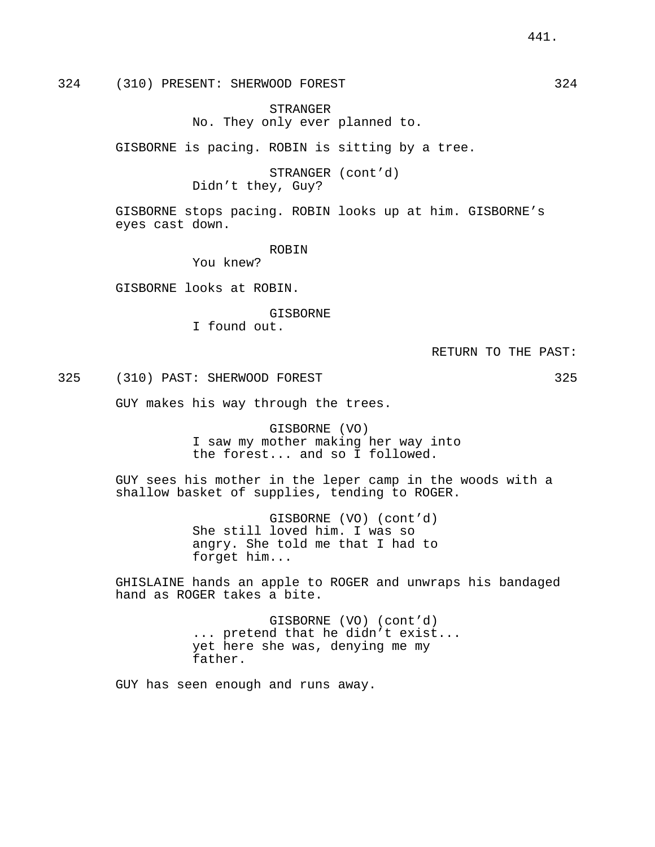STRANGER No. They only ever planned to.

GISBORNE is pacing. ROBIN is sitting by a tree.

STRANGER (cont'd) Didn't they, Guy?

GISBORNE stops pacing. ROBIN looks up at him. GISBORNE's eyes cast down.

ROBIN

You knew?

GISBORNE looks at ROBIN.

GISBORNE

I found out.

RETURN TO THE PAST:

325 (310) PAST: SHERWOOD FOREST 325

GUY makes his way through the trees.

GISBORNE (VO) I saw my mother making her way into the forest... and so I followed.

GUY sees his mother in the leper camp in the woods with a shallow basket of supplies, tending to ROGER.

> GISBORNE (VO) (cont'd) She still loved him. I was so angry. She told me that I had to forget him...

GHISLAINE hands an apple to ROGER and unwraps his bandaged hand as ROGER takes a bite.

> GISBORNE (VO) (cont'd) ... pretend that he didn't exist... yet here she was, denying me my father.

GUY has seen enough and runs away.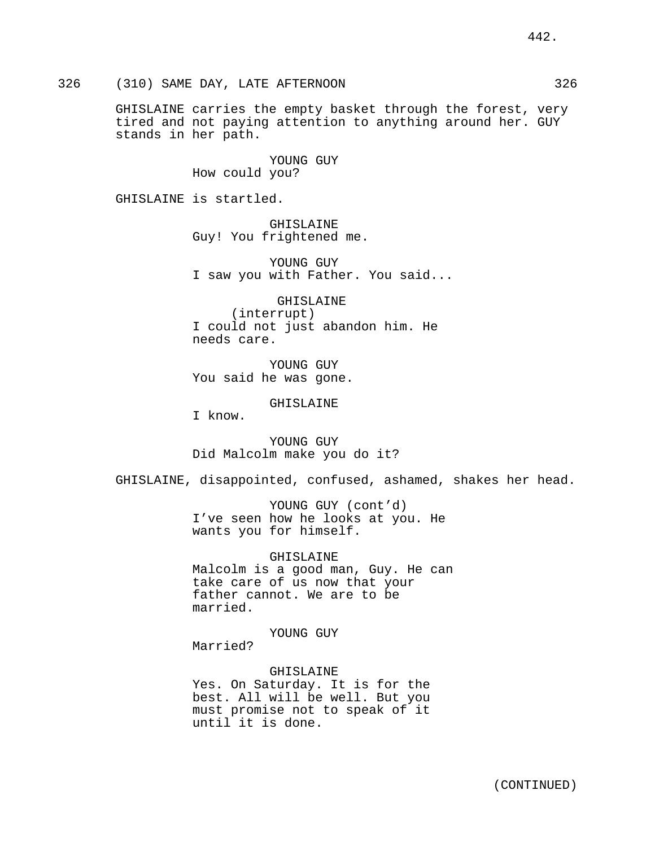326 (310) SAME DAY, LATE AFTERNOON 326

GHISLAINE carries the empty basket through the forest, very tired and not paying attention to anything around her. GUY stands in her path.

> YOUNG GUY How could you?

GHISLAINE is startled.

GHISLAINE Guy! You frightened me.

YOUNG GUY I saw you with Father. You said...

GHISLAINE (interrupt) I could not just abandon him. He needs care.

YOUNG GUY You said he was gone.

GHISLAINE

I know.

YOUNG GUY Did Malcolm make you do it?

GHISLAINE, disappointed, confused, ashamed, shakes her head.

YOUNG GUY (cont'd) I've seen how he looks at you. He wants you for himself.

GHISLAINE Malcolm is a good man, Guy. He can take care of us now that your father cannot. We are to be married.

YOUNG GUY

Married?

GHISLAINE Yes. On Saturday. It is for the best. All will be well. But you must promise not to speak of it until it is done.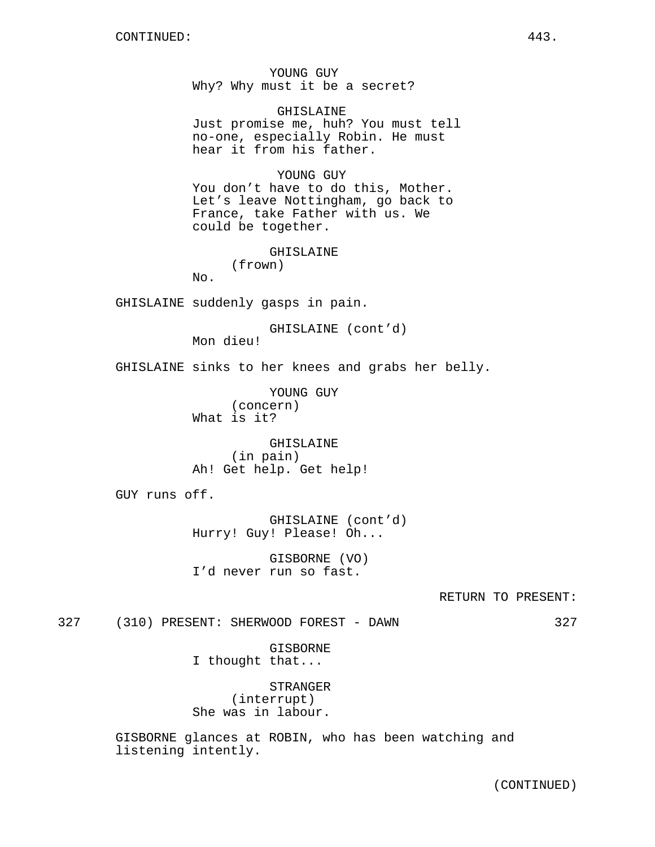YOUNG GUY Why? Why must it be a secret?

GHISLAINE Just promise me, huh? You must tell no-one, especially Robin. He must hear it from his father.

YOUNG GUY You don't have to do this, Mother. Let's leave Nottingham, go back to France, take Father with us. We could be together.

# GHISLAINE

(frown)

No.

GHISLAINE suddenly gasps in pain.

GHISLAINE (cont'd) Mon dieu!

GHISLAINE sinks to her knees and grabs her belly.

YOUNG GUY (concern) What is it?

GHISLAINE (in pain) Ah! Get help. Get help!

GUY runs off.

GHISLAINE (cont'd) Hurry! Guy! Please! Oh...

GISBORNE (VO) I'd never run so fast.

327 (310) PRESENT: SHERWOOD FOREST - DAWN 327

GISBORNE I thought that...

STRANGER (interrupt) She was in labour.

GISBORNE glances at ROBIN, who has been watching and listening intently.

(CONTINUED)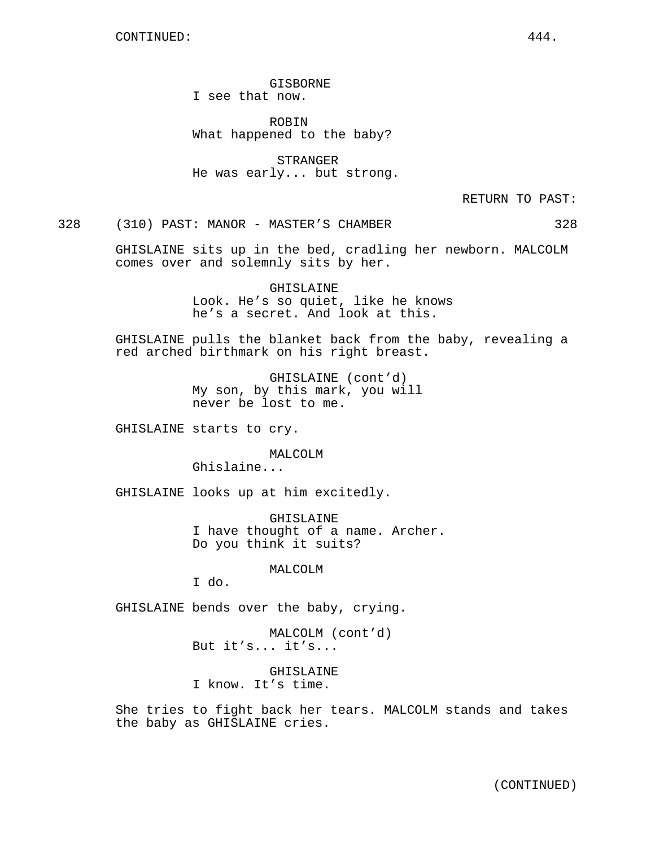GISBORNE I see that now.

ROBIN What happened to the baby?

STRANGER He was early... but strong.

RETURN TO PAST:

328 (310) PAST: MANOR - MASTER'S CHAMBER 328

GHISLAINE sits up in the bed, cradling her newborn. MALCOLM comes over and solemnly sits by her.

> GHISLAINE Look. He's so quiet, like he knows he's a secret. And look at this.

GHISLAINE pulls the blanket back from the baby, revealing a red arched birthmark on his right breast.

> GHISLAINE (cont'd) My son, by this mark, you will never be lost to me.

GHISLAINE starts to cry.

MALCOLM Ghislaine...

GHISLAINE looks up at him excitedly.

GHISLAINE I have thought of a name. Archer. Do you think it suits?

MALCOLM

I do.

GHISLAINE bends over the baby, crying.

MALCOLM (cont'd) But it's... it's...

GHISLAINE I know. It's time.

She tries to fight back her tears. MALCOLM stands and takes the baby as GHISLAINE cries.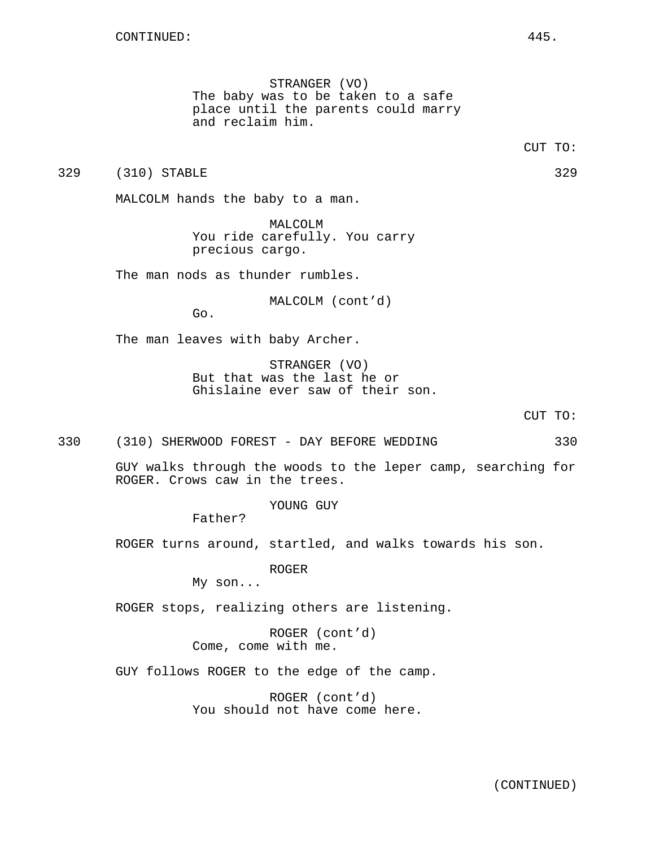STRANGER (VO) The baby was to be taken to a safe place until the parents could marry and reclaim him.

329 (310) STABLE 329 (329)

MALCOLM hands the baby to a man.

MALCOLM You ride carefully. You carry precious cargo.

The man nods as thunder rumbles.

MALCOLM (cont'd)

Go.

The man leaves with baby Archer.

STRANGER (VO) But that was the last he or Ghislaine ever saw of their son.

CUT TO:

330 (310) SHERWOOD FOREST - DAY BEFORE WEDDING 330

GUY walks through the woods to the leper camp, searching for ROGER. Crows caw in the trees.

YOUNG GUY

Father?

ROGER turns around, startled, and walks towards his son.

ROGER

My son...

ROGER stops, realizing others are listening.

ROGER (cont'd) Come, come with me.

GUY follows ROGER to the edge of the camp.

ROGER (cont'd) You should not have come here.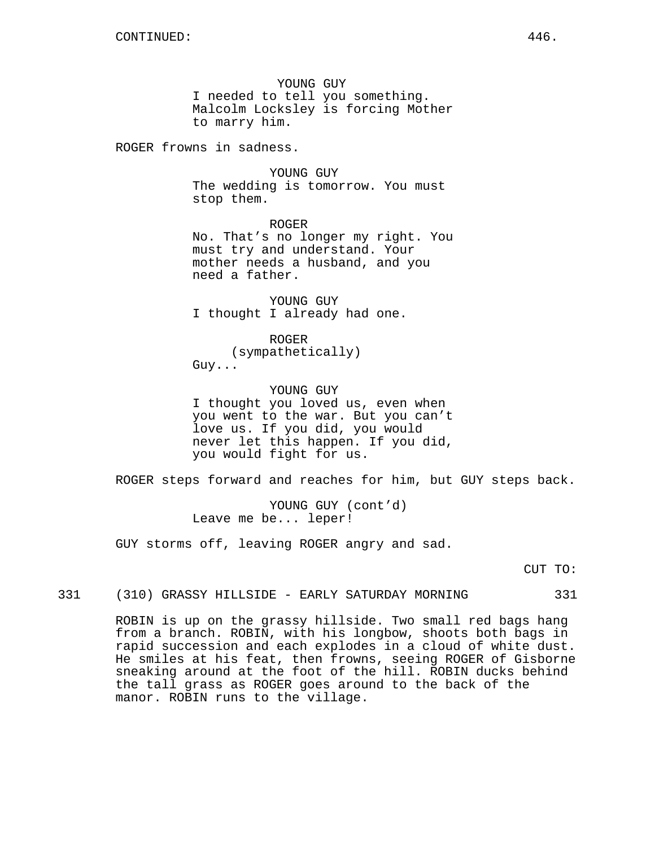YOUNG GUY I needed to tell you something. Malcolm Locksley is forcing Mother to marry him.

ROGER frowns in sadness.

YOUNG GUY The wedding is tomorrow. You must stop them.

ROGER No. That's no longer my right. You must try and understand. Your mother needs a husband, and you need a father.

YOUNG GUY I thought I already had one.

ROGER (sympathetically) Guy...

YOUNG GUY I thought you loved us, even when you went to the war. But you can't love us. If you did, you would never let this happen. If you did, you would fight for us.

ROGER steps forward and reaches for him, but GUY steps back.

YOUNG GUY (cont'd) Leave me be... leper!

GUY storms off, leaving ROGER angry and sad.

CUT TO:

331 (310) GRASSY HILLSIDE - EARLY SATURDAY MORNING 331

ROBIN is up on the grassy hillside. Two small red bags hang from a branch. ROBIN, with his longbow, shoots both bags in rapid succession and each explodes in a cloud of white dust. He smiles at his feat, then frowns, seeing ROGER of Gisborne sneaking around at the foot of the hill. ROBIN ducks behind the tall grass as ROGER goes around to the back of the manor. ROBIN runs to the village.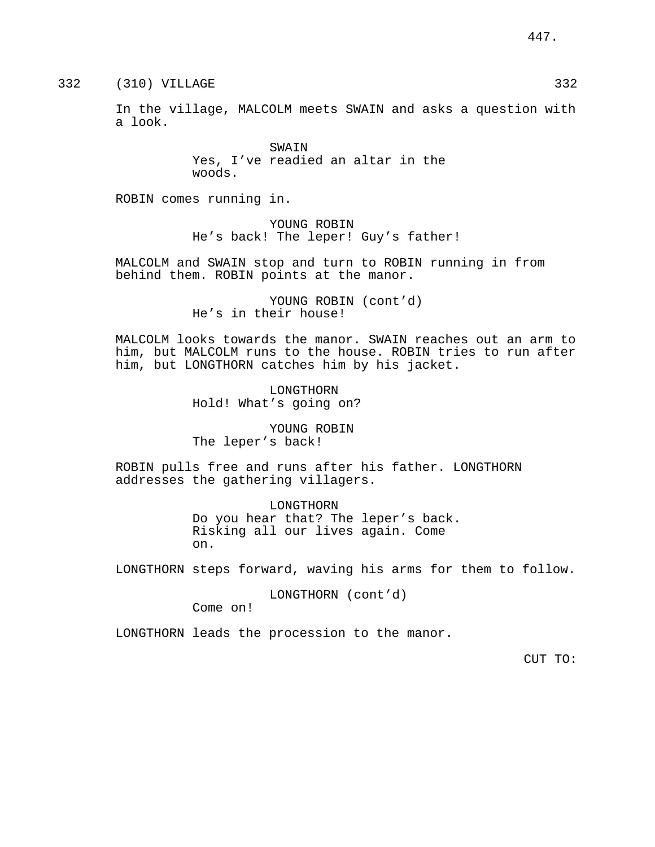332 (310) VILLAGE 332

In the village, MALCOLM meets SWAIN and asks a question with a look.

> SWAIN Yes, I've readied an altar in the woods.

ROBIN comes running in.

YOUNG ROBIN He's back! The leper! Guy's father!

MALCOLM and SWAIN stop and turn to ROBIN running in from behind them. ROBIN points at the manor.

> YOUNG ROBIN (cont'd) He's in their house!

MALCOLM looks towards the manor. SWAIN reaches out an arm to him, but MALCOLM runs to the house. ROBIN tries to run after him, but LONGTHORN catches him by his jacket.

> LONGTHORN Hold! What's going on?

YOUNG ROBIN The leper's back!

ROBIN pulls free and runs after his father. LONGTHORN addresses the gathering villagers.

> LONGTHORN Do you hear that? The leper's back. Risking all our lives again. Come on.

LONGTHORN steps forward, waving his arms for them to follow.

LONGTHORN (cont'd)

Come on!

LONGTHORN leads the procession to the manor.

CUT TO: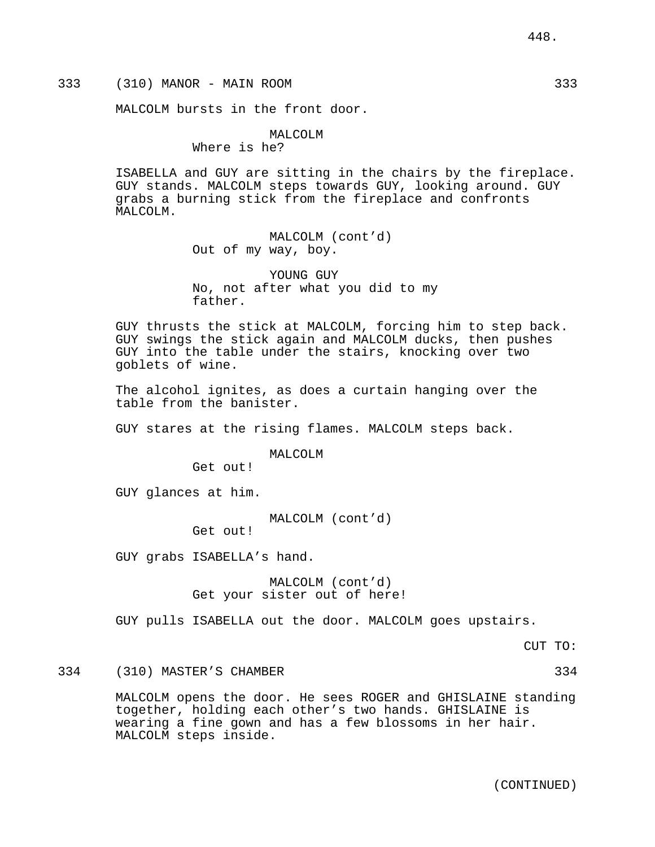# 333 (310) MANOR - MAIN ROOM 333

MALCOLM bursts in the front door.

# MALCOLM

Where is he?

ISABELLA and GUY are sitting in the chairs by the fireplace. GUY stands. MALCOLM steps towards GUY, looking around. GUY grabs a burning stick from the fireplace and confronts MALCOLM.

> MALCOLM (cont'd) Out of my way, boy.

YOUNG GUY No, not after what you did to my father.

GUY thrusts the stick at MALCOLM, forcing him to step back. GUY swings the stick again and MALCOLM ducks, then pushes GUY into the table under the stairs, knocking over two goblets of wine.

The alcohol ignites, as does a curtain hanging over the table from the banister.

GUY stares at the rising flames. MALCOLM steps back.

MALCOLM

Get out!

GUY glances at him.

MALCOLM (cont'd)

Get out!

GUY grabs ISABELLA's hand.

MALCOLM (cont'd) Get your sister out of here!

GUY pulls ISABELLA out the door. MALCOLM goes upstairs.

CUT TO:

334 (310) MASTER'S CHAMBER 334

MALCOLM opens the door. He sees ROGER and GHISLAINE standing together, holding each other's two hands. GHISLAINE is wearing a fine gown and has a few blossoms in her hair. MALCOLM steps inside.

(CONTINUED)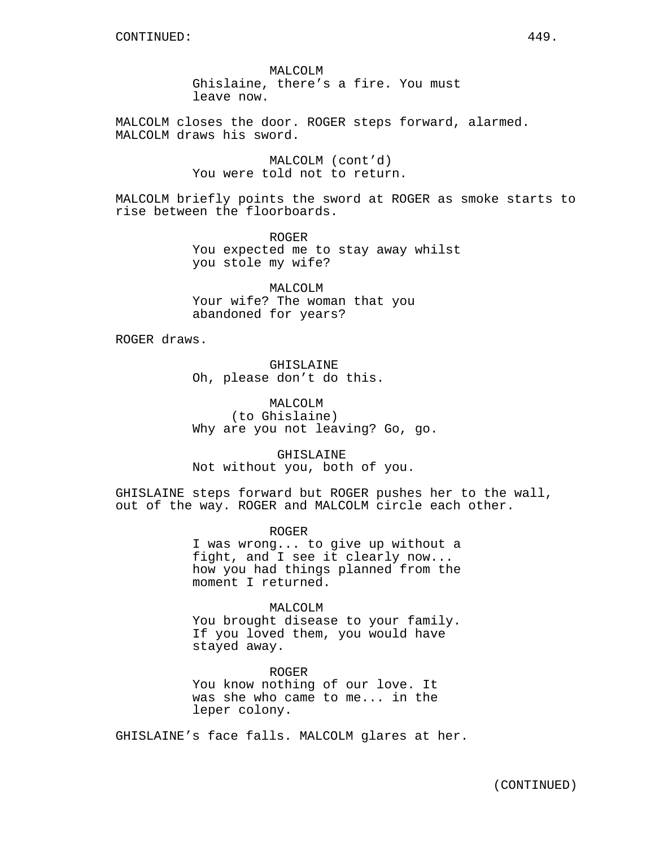MALCOLM Ghislaine, there's a fire. You must leave now.

MALCOLM closes the door. ROGER steps forward, alarmed. MALCOLM draws his sword.

> MALCOLM (cont'd) You were told not to return.

MALCOLM briefly points the sword at ROGER as smoke starts to rise between the floorboards.

> ROGER You expected me to stay away whilst you stole my wife?

MALCOLM Your wife? The woman that you abandoned for years?

ROGER draws.

GHISLAINE Oh, please don't do this.

MALCOLM (to Ghislaine) Why are you not leaving? Go, go.

GHISLAINE Not without you, both of you.

GHISLAINE steps forward but ROGER pushes her to the wall, out of the way. ROGER and MALCOLM circle each other.

> ROGER I was wrong... to give up without a fight, and I see it clearly now... how you had things planned from the moment I returned.

MALCOLM You brought disease to your family. If you loved them, you would have stayed away.

ROGER You know nothing of our love. It was she who came to me... in the leper colony.

GHISLAINE's face falls. MALCOLM glares at her.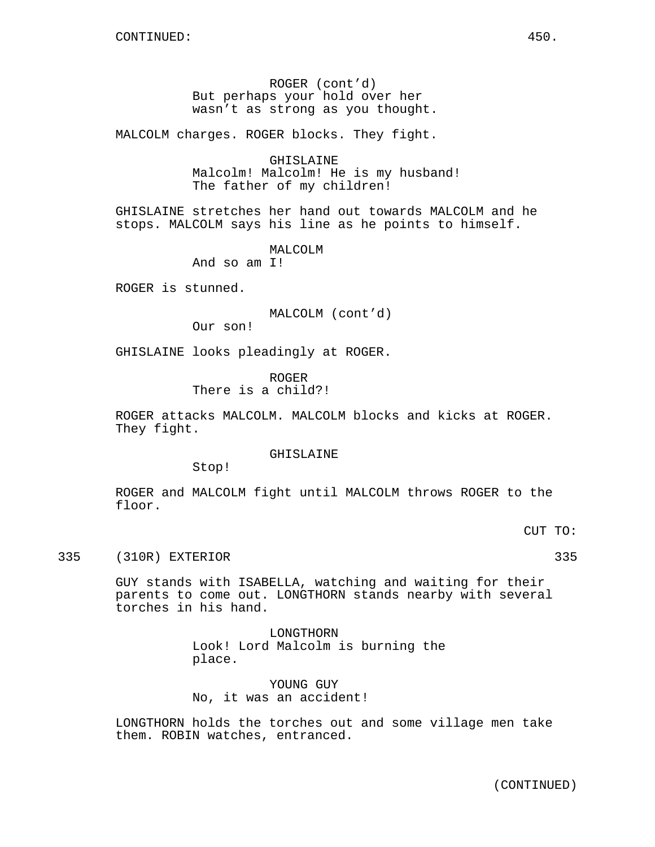ROGER (cont'd) But perhaps your hold over her wasn't as strong as you thought.

MALCOLM charges. ROGER blocks. They fight.

GHISLAINE Malcolm! Malcolm! He is my husband! The father of my children!

GHISLAINE stretches her hand out towards MALCOLM and he stops. MALCOLM says his line as he points to himself.

> MALCOLM And so am I!

ROGER is stunned.

MALCOLM (cont'd)

Our son!

GHISLAINE looks pleadingly at ROGER.

ROGER There is a child?!

ROGER attacks MALCOLM. MALCOLM blocks and kicks at ROGER. They fight.

GHISLAINE

Stop!

ROGER and MALCOLM fight until MALCOLM throws ROGER to the floor.

CUT TO:

335 (310R) EXTERIOR 335

GUY stands with ISABELLA, watching and waiting for their parents to come out. LONGTHORN stands nearby with several torches in his hand.

> LONGTHORN Look! Lord Malcolm is burning the place.

YOUNG GUY No, it was an accident!

LONGTHORN holds the torches out and some village men take them. ROBIN watches, entranced.

(CONTINUED)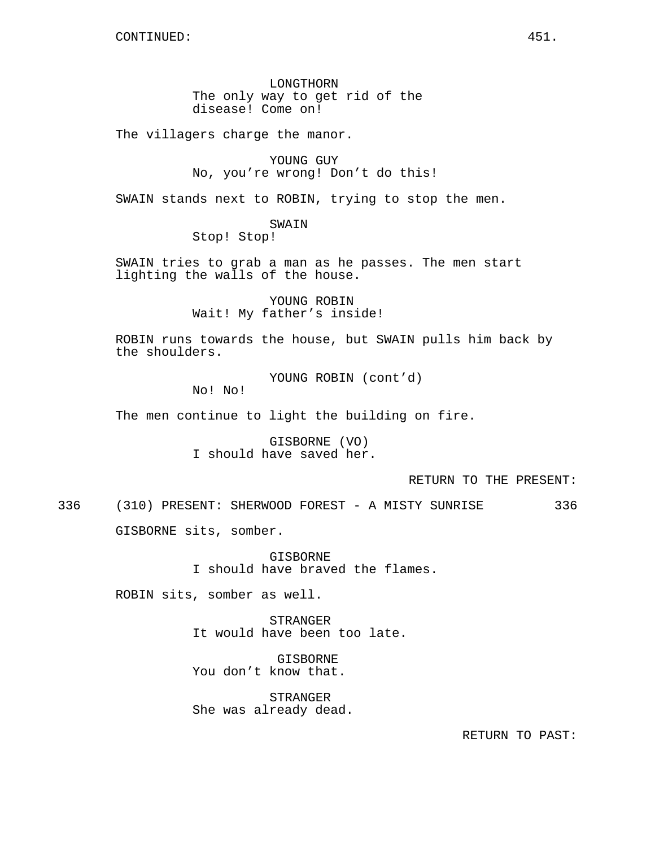LONGTHORN The only way to get rid of the disease! Come on!

The villagers charge the manor.

YOUNG GUY No, you're wrong! Don't do this!

SWAIN stands next to ROBIN, trying to stop the men.

SWAIN

Stop! Stop!

SWAIN tries to grab a man as he passes. The men start lighting the walls of the house.

> YOUNG ROBIN Wait! My father's inside!

ROBIN runs towards the house, but SWAIN pulls him back by the shoulders.

YOUNG ROBIN (cont'd)

No! No!

The men continue to light the building on fire.

GISBORNE (VO) I should have saved her.

RETURN TO THE PRESENT:

336 (310) PRESENT: SHERWOOD FOREST - A MISTY SUNRISE 336

GISBORNE sits, somber.

**GISBORNE** I should have braved the flames.

ROBIN sits, somber as well.

STRANGER It would have been too late.

GISBORNE You don't know that.

STRANGER She was already dead.

RETURN TO PAST: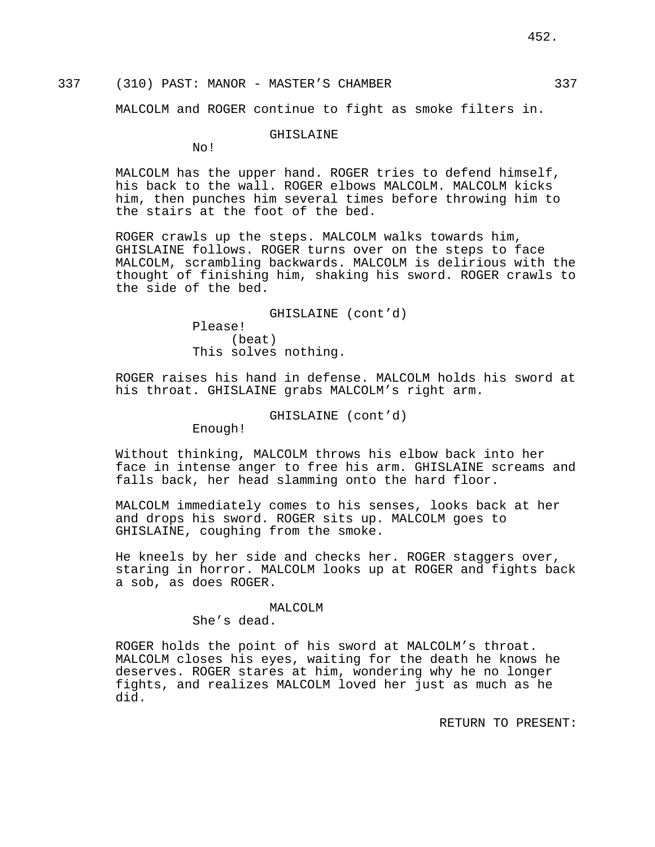# 337 (310) PAST: MANOR - MASTER'S CHAMBER 337

MALCOLM and ROGER continue to fight as smoke filters in.

### GHISLAINE

No!

MALCOLM has the upper hand. ROGER tries to defend himself, his back to the wall. ROGER elbows MALCOLM. MALCOLM kicks him, then punches him several times before throwing him to the stairs at the foot of the bed.

ROGER crawls up the steps. MALCOLM walks towards him, GHISLAINE follows. ROGER turns over on the steps to face MALCOLM, scrambling backwards. MALCOLM is delirious with the thought of finishing him, shaking his sword. ROGER crawls to the side of the bed.

> GHISLAINE (cont'd) Please! (beat) This solves nothing.

ROGER raises his hand in defense. MALCOLM holds his sword at his throat. GHISLAINE grabs MALCOLM's right arm.

GHISLAINE (cont'd)

Enough!

Without thinking, MALCOLM throws his elbow back into her face in intense anger to free his arm. GHISLAINE screams and falls back, her head slamming onto the hard floor.

MALCOLM immediately comes to his senses, looks back at her and drops his sword. ROGER sits up. MALCOLM goes to GHISLAINE, coughing from the smoke.

He kneels by her side and checks her. ROGER staggers over, staring in horror. MALCOLM looks up at ROGER and fights back a sob, as does ROGER.

#### MALCOLM

She's dead.

ROGER holds the point of his sword at MALCOLM's throat. MALCOLM closes his eyes, waiting for the death he knows he deserves. ROGER stares at him, wondering why he no longer fights, and realizes MALCOLM loved her just as much as he did.

RETURN TO PRESENT: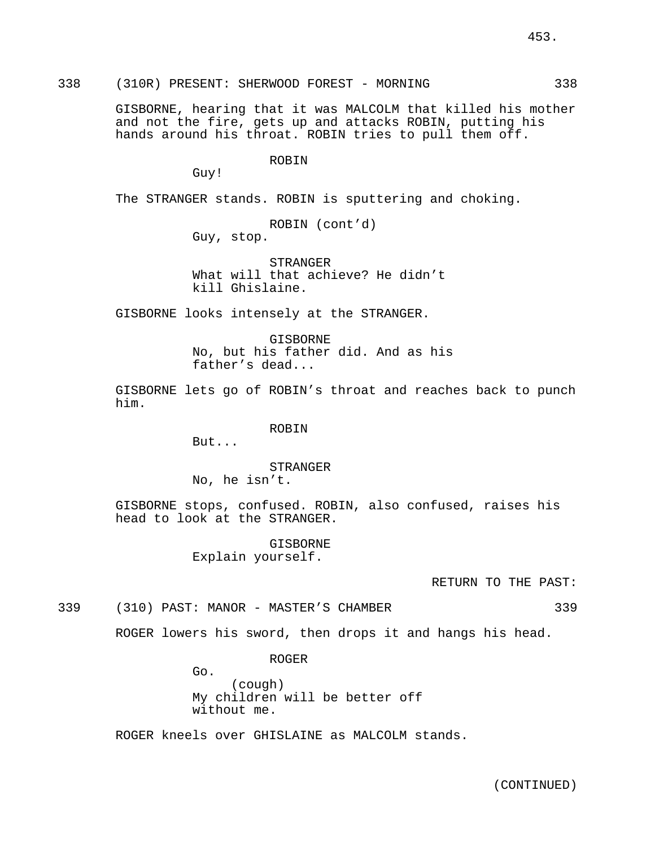453.

338 (310R) PRESENT: SHERWOOD FOREST - MORNING 338

GISBORNE, hearing that it was MALCOLM that killed his mother and not the fire, gets up and attacks ROBIN, putting his hands around his throat. ROBIN tries to pull them off.

ROBIN

Guy!

The STRANGER stands. ROBIN is sputtering and choking.

```
ROBIN (cont'd)
Guy, stop.
```
STRANGER What will that achieve? He didn't kill Ghislaine.

GISBORNE looks intensely at the STRANGER.

**GISBORNE** No, but his father did. And as his father's dead...

GISBORNE lets go of ROBIN's throat and reaches back to punch him.

### ROBIN

But...

### STRANGER

No, he isn't.

GISBORNE stops, confused. ROBIN, also confused, raises his head to look at the STRANGER.

> GISBORNE Explain yourself.

> > RETURN TO THE PAST:

339 (310) PAST: MANOR - MASTER'S CHAMBER 339

ROGER lowers his sword, then drops it and hangs his head.

ROGER

Go. (cough) My children will be better off without me.

ROGER kneels over GHISLAINE as MALCOLM stands.

(CONTINUED)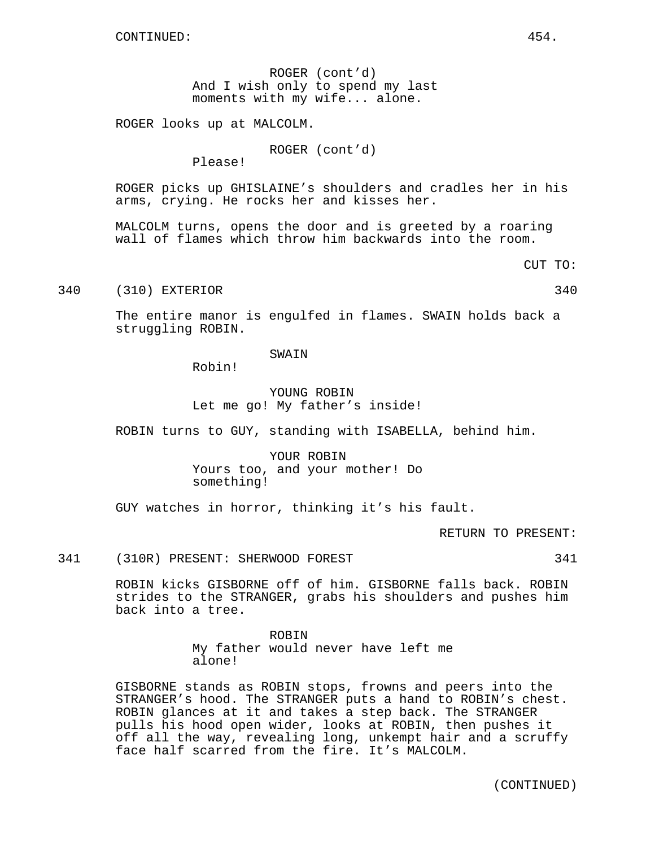ROGER (cont'd) And I wish only to spend my last moments with my wife... alone.

ROGER looks up at MALCOLM.

ROGER (cont'd)

Please!

ROGER picks up GHISLAINE's shoulders and cradles her in his arms, crying. He rocks her and kisses her.

MALCOLM turns, opens the door and is greeted by a roaring wall of flames which throw him backwards into the room.

CUT TO:

340 (310) EXTERIOR 340

The entire manor is engulfed in flames. SWAIN holds back a struggling ROBIN.

#### SWAIN

Robin!

# YOUNG ROBIN Let me go! My father's inside!

ROBIN turns to GUY, standing with ISABELLA, behind him.

YOUR ROBIN Yours too, and your mother! Do something!

GUY watches in horror, thinking it's his fault.

RETURN TO PRESENT:

341 (310R) PRESENT: SHERWOOD FOREST 341

ROBIN kicks GISBORNE off of him. GISBORNE falls back. ROBIN strides to the STRANGER, grabs his shoulders and pushes him back into a tree.

> ROBIN My father would never have left me alone!

GISBORNE stands as ROBIN stops, frowns and peers into the STRANGER's hood. The STRANGER puts a hand to ROBIN's chest. ROBIN glances at it and takes a step back. The STRANGER pulls his hood open wider, looks at ROBIN, then pushes it off all the way, revealing long, unkempt hair and a scruffy face half scarred from the fire. It's MALCOLM.

(CONTINUED)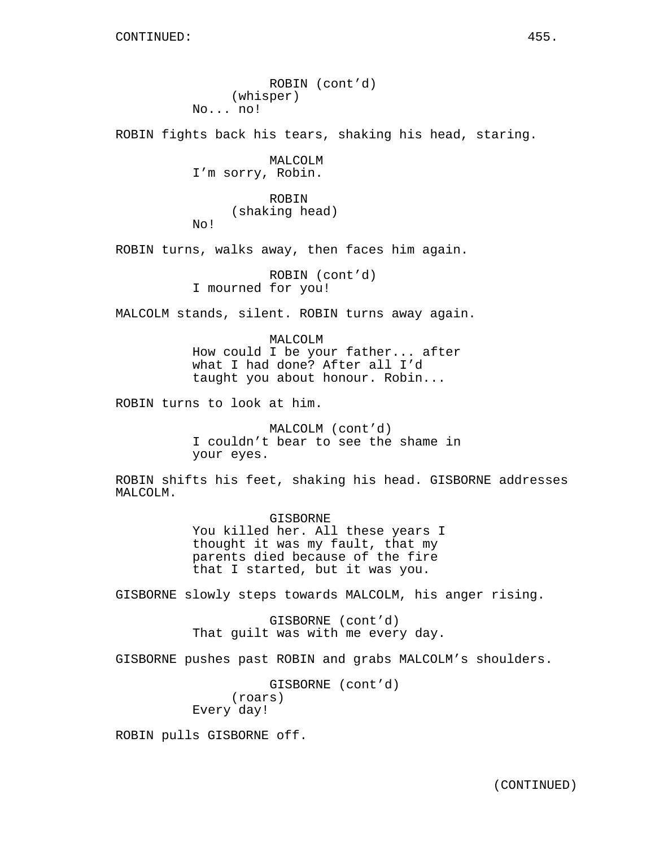ROBIN (cont'd) (whisper) No... no! ROBIN fights back his tears, shaking his head, staring. MALCOLM I'm sorry, Robin. ROBIN (shaking head) No! ROBIN turns, walks away, then faces him again. ROBIN (cont'd) I mourned for you! MALCOLM stands, silent. ROBIN turns away again. MALCOLM How could I be your father... after what I had done? After all I'd taught you about honour. Robin... ROBIN turns to look at him. MALCOLM (cont'd) I couldn't bear to see the shame in your eyes. ROBIN shifts his feet, shaking his head. GISBORNE addresses MALCOLM. GISBORNE You killed her. All these years I thought it was my fault, that my parents died because of the fire that I started, but it was you. GISBORNE slowly steps towards MALCOLM, his anger rising. GISBORNE (cont'd) That guilt was with me every day. GISBORNE pushes past ROBIN and grabs MALCOLM's shoulders. GISBORNE (cont'd) (roars) Every day!

ROBIN pulls GISBORNE off.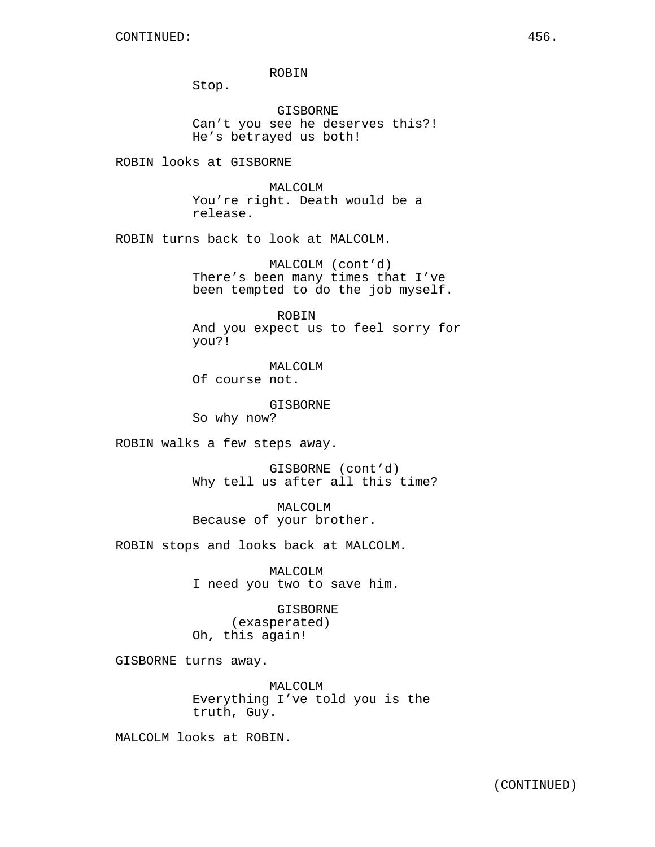ROBIN

Stop.

GISBORNE Can't you see he deserves this?! He's betrayed us both!

ROBIN looks at GISBORNE

MALCOLM You're right. Death would be a release.

ROBIN turns back to look at MALCOLM.

MALCOLM (cont'd) There's been many times that I've been tempted to do the job myself.

ROBIN And you expect us to feel sorry for you?!

MALCOLM Of course not.

GISBORNE So why now?

ROBIN walks a few steps away.

GISBORNE (cont'd) Why tell us after all this time?

MALCOLM Because of your brother.

ROBIN stops and looks back at MALCOLM.

MALCOLM I need you two to save him.

GISBORNE (exasperated) Oh, this again!

GISBORNE turns away.

MALCOLM Everything I've told you is the truth, Guy.

MALCOLM looks at ROBIN.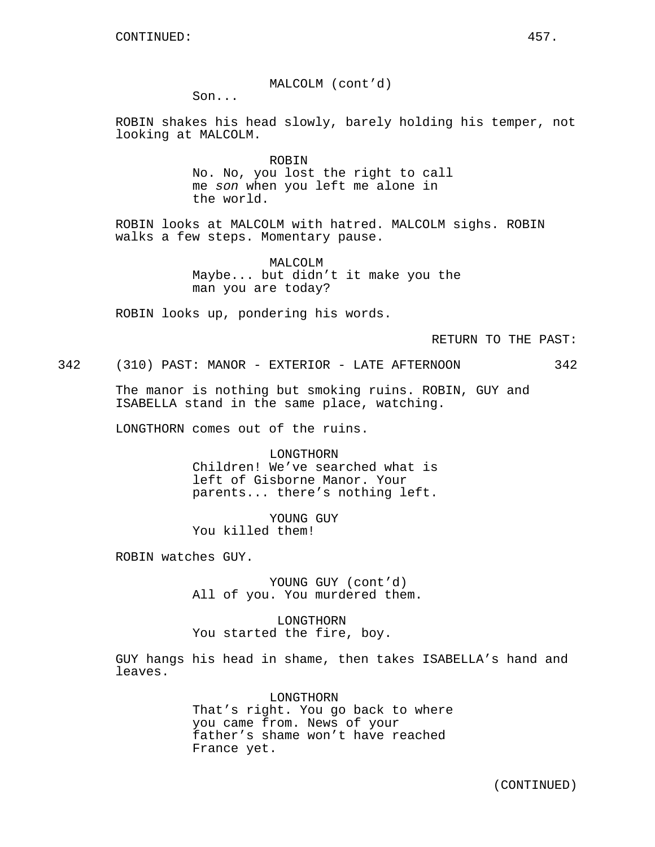MALCOLM (cont'd)

Son...

ROBIN shakes his head slowly, barely holding his temper, not looking at MALCOLM.

> ROBIN No. No, you lost the right to call me son when you left me alone in the world.

ROBIN looks at MALCOLM with hatred. MALCOLM sighs. ROBIN walks a few steps. Momentary pause.

> MALCOLM Maybe... but didn't it make you the man you are today?

ROBIN looks up, pondering his words.

RETURN TO THE PAST:

342 (310) PAST: MANOR - EXTERIOR - LATE AFTERNOON 342

The manor is nothing but smoking ruins. ROBIN, GUY and ISABELLA stand in the same place, watching.

LONGTHORN comes out of the ruins.

LONGTHORN Children! We've searched what is left of Gisborne Manor. Your parents... there's nothing left.

YOUNG GUY You killed them!

ROBIN watches GUY.

YOUNG GUY (cont'd) All of you. You murdered them.

LONGTHORN You started the fire, boy.

GUY hangs his head in shame, then takes ISABELLA's hand and leaves.

> LONGTHORN That's right. You go back to where you came from. News of your father's shame won't have reached France yet.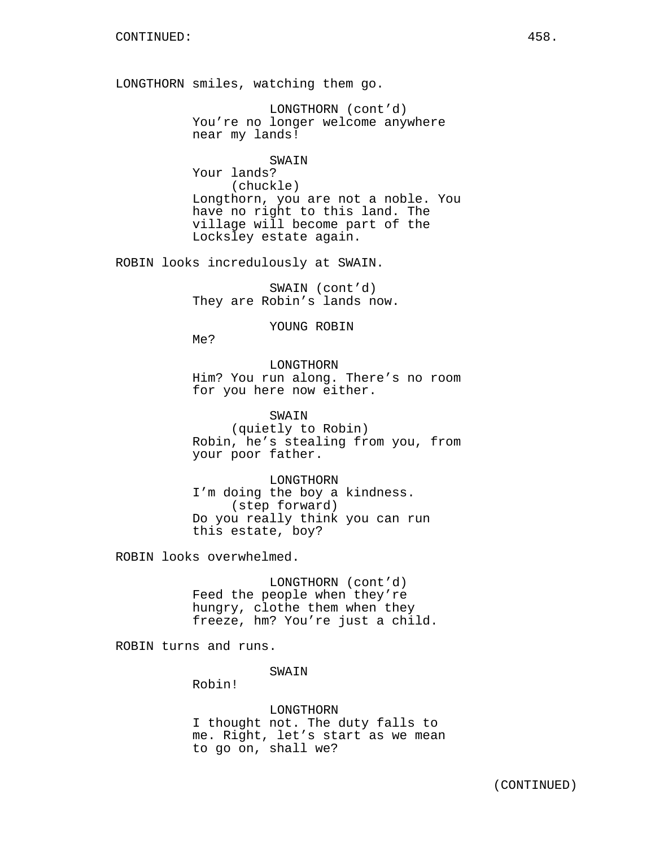LONGTHORN smiles, watching them go.

LONGTHORN (cont'd) You're no longer welcome anywhere near my lands!

SWAIN

Your lands? (chuckle) Longthorn, you are not a noble. You have no right to this land. The village will become part of the Locksley estate again.

ROBIN looks incredulously at SWAIN.

SWAIN (cont'd) They are Robin's lands now.

YOUNG ROBIN

Me?

LONGTHORN Him? You run along. There's no room for you here now either.

SWAIN (quietly to Robin) Robin, he's stealing from you, from your poor father.

LONGTHORN I'm doing the boy a kindness. (step forward) Do you really think you can run this estate, boy?

ROBIN looks overwhelmed.

LONGTHORN (cont'd) Feed the people when they're hungry, clothe them when they freeze, hm? You're just a child.

ROBIN turns and runs.

SWAIN

Robin!

#### LONGTHORN

I thought not. The duty falls to me. Right, let's start as we mean to go on, shall we?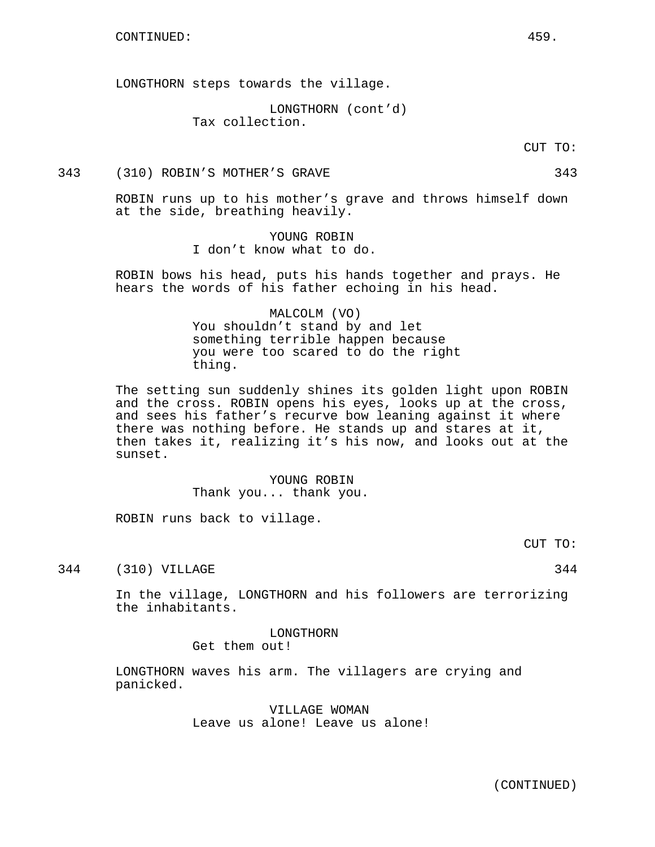LONGTHORN steps towards the village.

LONGTHORN (cont'd) Tax collection.

CUT TO:

### 343 (310) ROBIN'S MOTHER'S GRAVE 343

ROBIN runs up to his mother's grave and throws himself down at the side, breathing heavily.

> YOUNG ROBIN I don't know what to do.

ROBIN bows his head, puts his hands together and prays. He hears the words of his father echoing in his head.

# MALCOLM (VO) You shouldn't stand by and let something terrible happen because you were too scared to do the right thing.

The setting sun suddenly shines its golden light upon ROBIN and the cross. ROBIN opens his eyes, looks up at the cross, and sees his father's recurve bow leaning against it where there was nothing before. He stands up and stares at it, then takes it, realizing it's his now, and looks out at the sunset.

> YOUNG ROBIN Thank you... thank you.

ROBIN runs back to village.

CUT TO:

344 (310) VILLAGE 344

In the village, LONGTHORN and his followers are terrorizing the inhabitants.

> LONGTHORN Get them out!

LONGTHORN waves his arm. The villagers are crying and panicked.

> VILLAGE WOMAN Leave us alone! Leave us alone!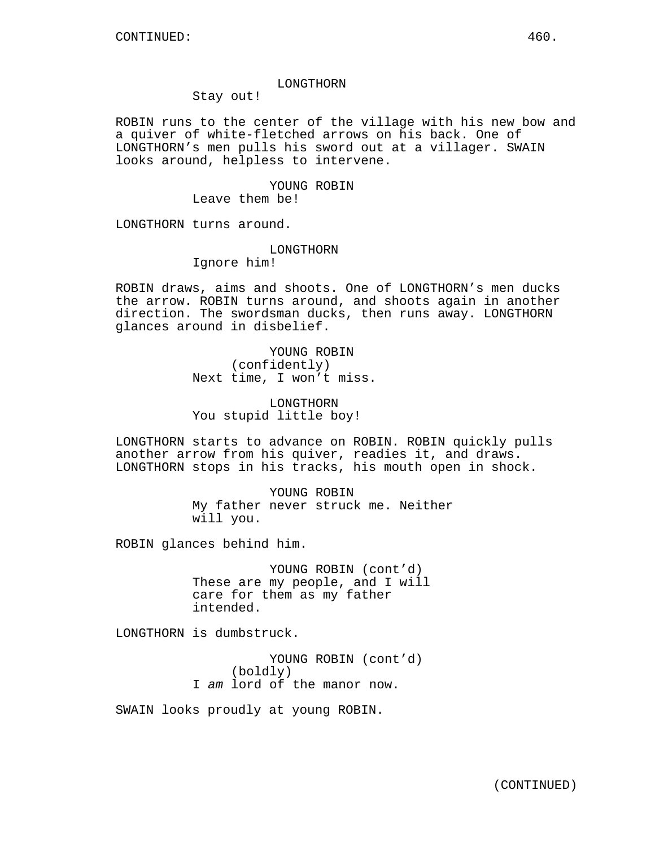#### LONGTHORN

Stay out!

ROBIN runs to the center of the village with his new bow and a quiver of white-fletched arrows on his back. One of LONGTHORN's men pulls his sword out at a villager. SWAIN looks around, helpless to intervene.

> YOUNG ROBIN Leave them be!

LONGTHORN turns around.

### LONGTHORN

Ignore him!

ROBIN draws, aims and shoots. One of LONGTHORN's men ducks the arrow. ROBIN turns around, and shoots again in another direction. The swordsman ducks, then runs away. LONGTHORN glances around in disbelief.

> YOUNG ROBIN (confidently) Next time, I won't miss.

LONGTHORN You stupid little boy!

LONGTHORN starts to advance on ROBIN. ROBIN quickly pulls another arrow from his quiver, readies it, and draws. LONGTHORN stops in his tracks, his mouth open in shock.

> YOUNG ROBIN My father never struck me. Neither will you.

ROBIN glances behind him.

YOUNG ROBIN (cont'd) These are my people, and I will care for them as my father intended.

LONGTHORN is dumbstruck.

YOUNG ROBIN (cont'd) (boldly) I am lord of the manor now.

SWAIN looks proudly at young ROBIN.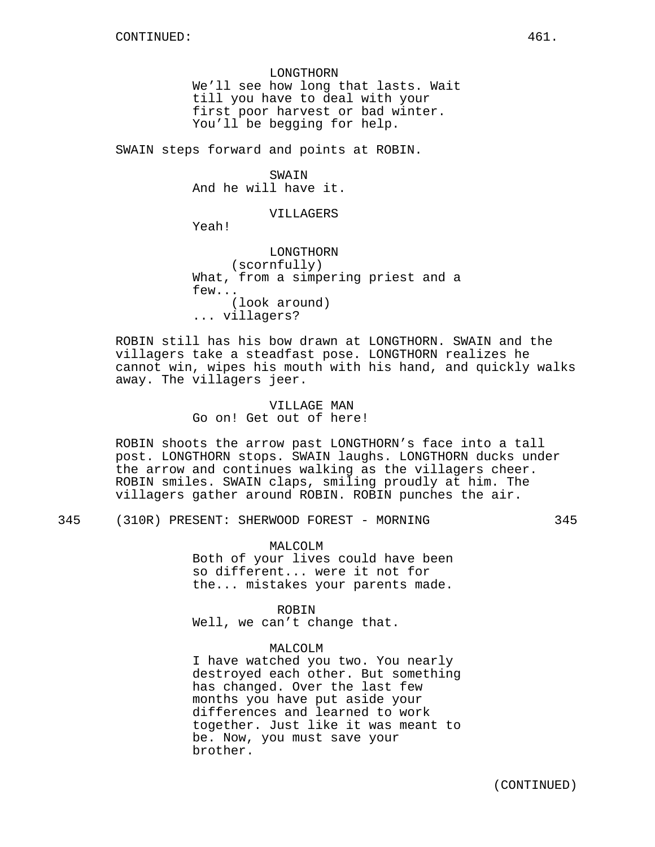LONGTHORN We'll see how long that lasts. Wait till you have to deal with your first poor harvest or bad winter. You'll be begging for help.

SWAIN steps forward and points at ROBIN.

SWAIN And he will have it.

VILLAGERS

Yeah!

LONGTHORN (scornfully) What, from a simpering priest and a few... (look around) ... villagers?

ROBIN still has his bow drawn at LONGTHORN. SWAIN and the villagers take a steadfast pose. LONGTHORN realizes he cannot win, wipes his mouth with his hand, and quickly walks away. The villagers jeer.

> VILLAGE MAN Go on! Get out of here!

ROBIN shoots the arrow past LONGTHORN's face into a tall post. LONGTHORN stops. SWAIN laughs. LONGTHORN ducks under the arrow and continues walking as the villagers cheer. ROBIN smiles. SWAIN claps, smiling proudly at him. The villagers gather around ROBIN. ROBIN punches the air.

345 (310R) PRESENT: SHERWOOD FOREST - MORNING 345

MALCOLM

Both of your lives could have been so different... were it not for the... mistakes your parents made.

ROBIN Well, we can't change that.

### MALCOLM

I have watched you two. You nearly destroyed each other. But something has changed. Over the last few months you have put aside your differences and learned to work together. Just like it was meant to be. Now, you must save your brother.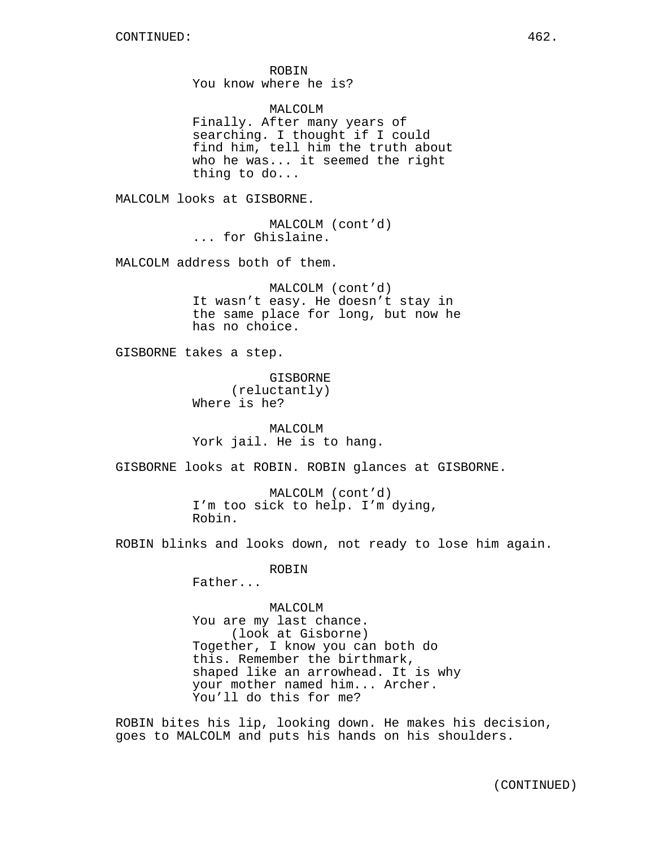ROBIN You know where he is?

MALCOLM Finally. After many years of searching. I thought if I could find him, tell him the truth about who he was... it seemed the right thing to do...

MALCOLM looks at GISBORNE.

MALCOLM (cont'd) ... for Ghislaine.

MALCOLM address both of them.

MALCOLM (cont'd) It wasn't easy. He doesn't stay in the same place for long, but now he has no choice.

GISBORNE takes a step.

GISBORNE (reluctantly) Where is he?

MALCOLM York jail. He is to hang.

GISBORNE looks at ROBIN. ROBIN glances at GISBORNE.

MALCOLM (cont'd) I'm too sick to help. I'm dying, Robin.

ROBIN blinks and looks down, not ready to lose him again.

ROBIN

Father...

MALCOLM You are my last chance. (look at Gisborne) Together, I know you can both do this. Remember the birthmark, shaped like an arrowhead. It is why your mother named him... Archer. You'll do this for me?

ROBIN bites his lip, looking down. He makes his decision, goes to MALCOLM and puts his hands on his shoulders.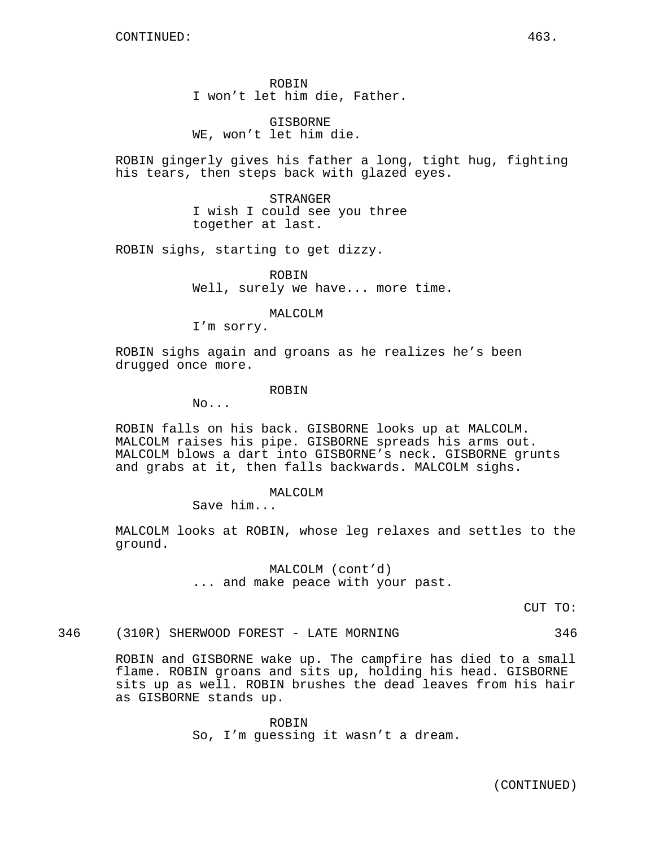ROBIN I won't let him die, Father.

**GISBORNE** WE, won't let him die.

ROBIN gingerly gives his father a long, tight hug, fighting his tears, then steps back with glazed eyes.

> STRANGER I wish I could see you three together at last.

ROBIN sighs, starting to get dizzy.

ROBIN Well, surely we have... more time.

MALCOLM

I'm sorry.

ROBIN sighs again and groans as he realizes he's been drugged once more.

### ROBIN

No...

ROBIN falls on his back. GISBORNE looks up at MALCOLM. MALCOLM raises his pipe. GISBORNE spreads his arms out. MALCOLM blows a dart into GISBORNE's neck. GISBORNE grunts and grabs at it, then falls backwards. MALCOLM sighs.

MALCOLM

Save him...

MALCOLM looks at ROBIN, whose leg relaxes and settles to the ground.

> MALCOLM (cont'd) ... and make peace with your past.

> > CUT TO:

346 (310R) SHERWOOD FOREST - LATE MORNING 346

ROBIN and GISBORNE wake up. The campfire has died to a small flame. ROBIN groans and sits up, holding his head. GISBORNE sits up as well. ROBIN brushes the dead leaves from his hair as GISBORNE stands up.

> ROBIN So, I'm guessing it wasn't a dream.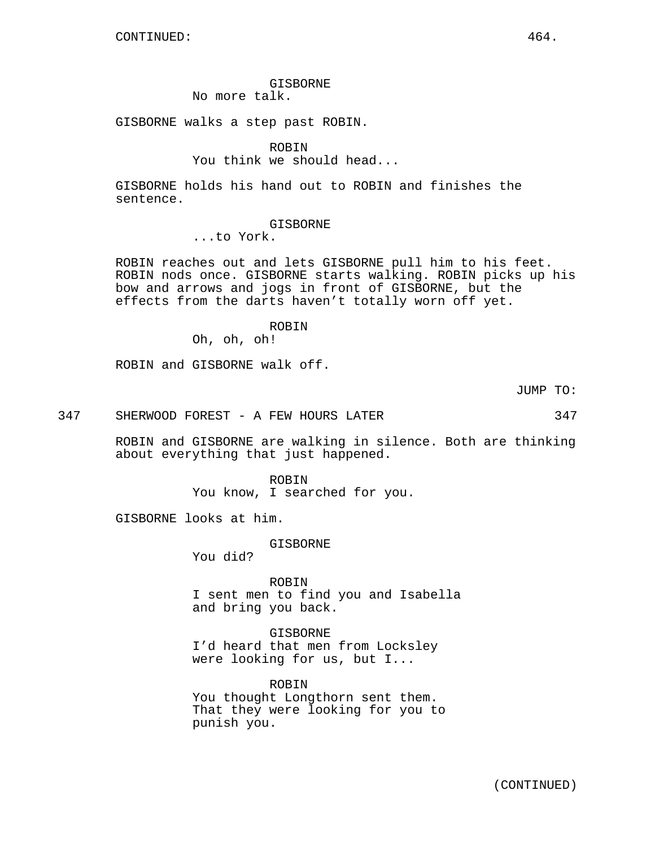GISBORNE

No more talk.

GISBORNE walks a step past ROBIN.

ROBIN You think we should head...

GISBORNE holds his hand out to ROBIN and finishes the sentence.

GISBORNE

...to York.

ROBIN reaches out and lets GISBORNE pull him to his feet. ROBIN nods once. GISBORNE starts walking. ROBIN picks up his bow and arrows and jogs in front of GISBORNE, but the effects from the darts haven't totally worn off yet.

ROBIN

Oh, oh, oh!

ROBIN and GISBORNE walk off.

JUMP TO:

347 SHERWOOD FOREST - A FEW HOURS LATER 347

ROBIN and GISBORNE are walking in silence. Both are thinking about everything that just happened.

> ROBIN You know, I searched for you.

GISBORNE looks at him.

GISBORNE

You did?

ROBIN I sent men to find you and Isabella and bring you back.

GISBORNE I'd heard that men from Locksley were looking for us, but I...

ROBIN You thought Longthorn sent them. That they were looking for you to punish you.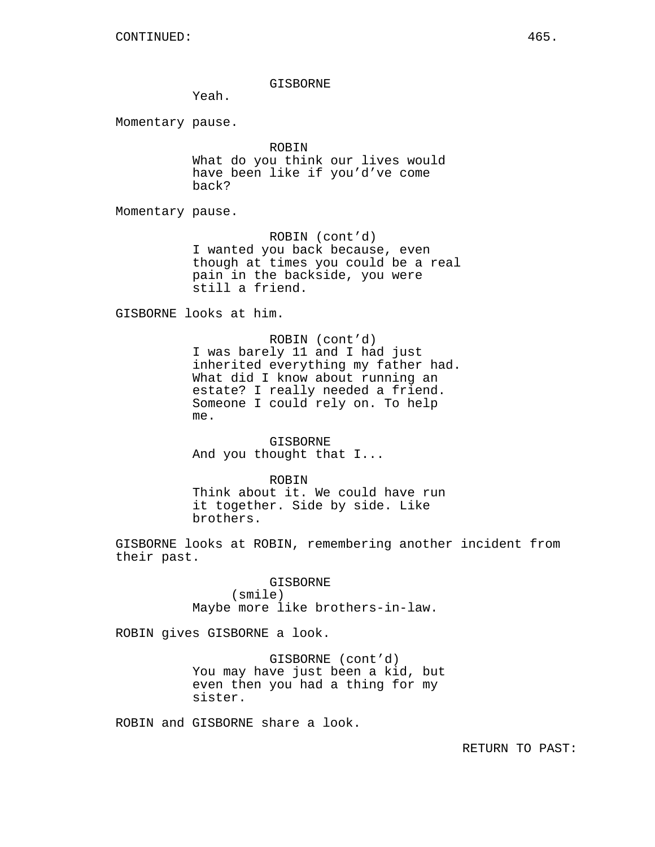#### GISBORNE

Yeah.

Momentary pause.

ROBIN What do you think our lives would have been like if you'd've come back?

Momentary pause.

ROBIN (cont'd) I wanted you back because, even though at times you could be a real pain in the backside, you were still a friend.

GISBORNE looks at him.

ROBIN (cont'd) I was barely 11 and I had just inherited everything my father had. What did I know about running an estate? I really needed a friend. Someone I could rely on. To help me.

GISBORNE And you thought that I...

ROBIN Think about it. We could have run it together. Side by side. Like brothers.

GISBORNE looks at ROBIN, remembering another incident from their past.

> GISBORNE (smile) Maybe more like brothers-in-law.

ROBIN gives GISBORNE a look.

GISBORNE (cont'd) You may have just been a kid, but even then you had a thing for my sister.

ROBIN and GISBORNE share a look.

RETURN TO PAST: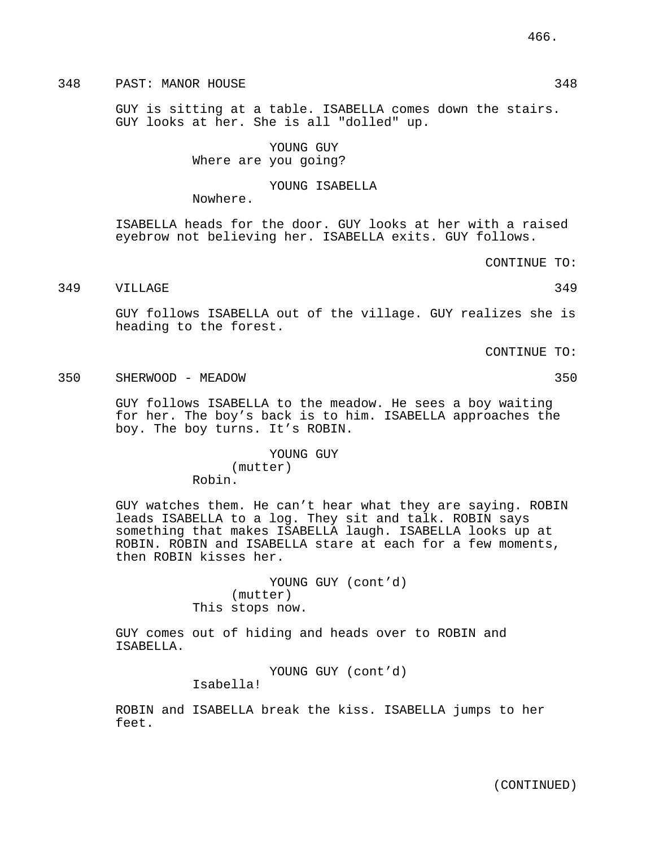# 348 PAST: MANOR HOUSE 348 348

GUY is sitting at a table. ISABELLA comes down the stairs. GUY looks at her. She is all "dolled" up.

> YOUNG GUY Where are you going?

#### YOUNG ISABELLA

Nowhere.

Robin.

ISABELLA heads for the door. GUY looks at her with a raised eyebrow not believing her. ISABELLA exits. GUY follows.

CONTINUE TO:

349 VILLAGE 349

GUY follows ISABELLA out of the village. GUY realizes she is heading to the forest.

CONTINUE TO:

350 SHERWOOD - MEADOW 350

GUY follows ISABELLA to the meadow. He sees a boy waiting for her. The boy's back is to him. ISABELLA approaches the boy. The boy turns. It's ROBIN.

> YOUNG GUY (mutter)

GUY watches them. He can't hear what they are saying. ROBIN leads ISABELLA to a log. They sit and talk. ROBIN says something that makes ISABELLA laugh. ISABELLA looks up at ROBIN. ROBIN and ISABELLA stare at each for a few moments, then ROBIN kisses her.

> YOUNG GUY (cont'd) (mutter) This stops now.

GUY comes out of hiding and heads over to ROBIN and ISABELLA.

> YOUNG GUY (cont'd) Isabella!

ROBIN and ISABELLA break the kiss. ISABELLA jumps to her feet.

(CONTINUED)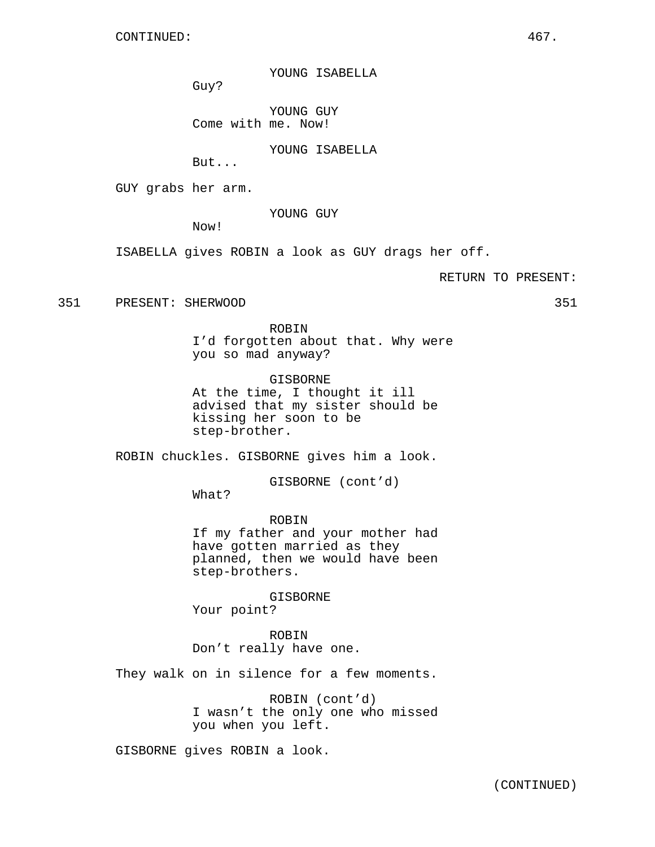YOUNG ISABELLA

Guy?

YOUNG GUY Come with me. Now!

YOUNG ISABELLA

But...

GUY grabs her arm.

YOUNG GUY

Now!

ISABELLA gives ROBIN a look as GUY drags her off.

RETURN TO PRESENT:

351 PRESENT: SHERWOOD 351

ROBIN I'd forgotten about that. Why were you so mad anyway?

GISBORNE At the time, I thought it ill advised that my sister should be kissing her soon to be step-brother.

ROBIN chuckles. GISBORNE gives him a look.

GISBORNE (cont'd)

What?

ROBIN If my father and your mother had have gotten married as they planned, then we would have been step-brothers.

GISBORNE Your point?

ROBIN Don't really have one.

They walk on in silence for a few moments.

ROBIN (cont'd) I wasn't the only one who missed you when you left.

GISBORNE gives ROBIN a look.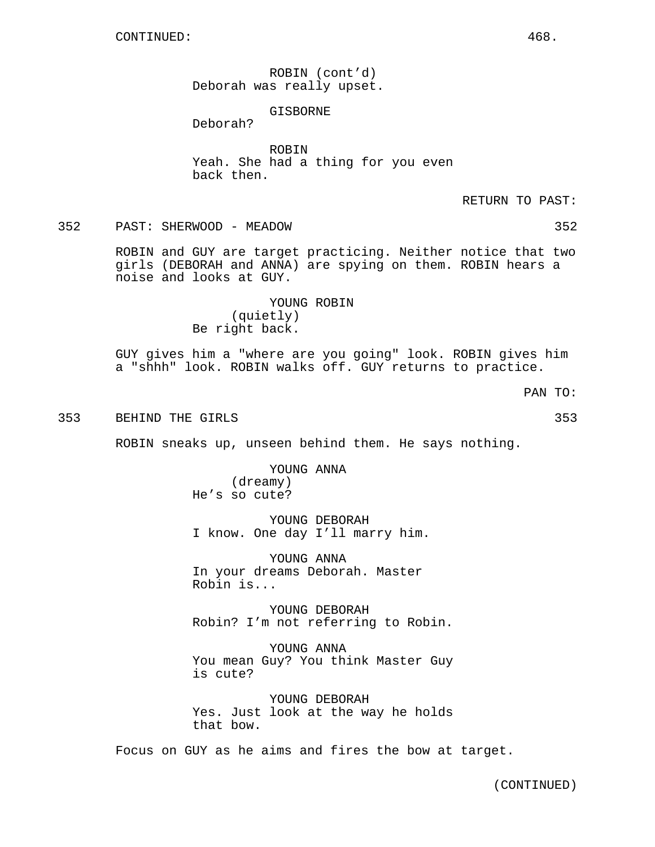ROBIN (cont'd) Deborah was really upset.

## GISBORNE

Deborah?

ROBIN Yeah. She had a thing for you even back then.

RETURN TO PAST:

352 PAST: SHERWOOD - MEADOW 352

ROBIN and GUY are target practicing. Neither notice that two girls (DEBORAH and ANNA) are spying on them. ROBIN hears a noise and looks at GUY.

> YOUNG ROBIN (quietly) Be right back.

GUY gives him a "where are you going" look. ROBIN gives him a "shhh" look. ROBIN walks off. GUY returns to practice.

PAN TO:

353 BEHIND THE GIRLS 353

ROBIN sneaks up, unseen behind them. He says nothing.

YOUNG ANNA (dreamy) He's so cute?

YOUNG DEBORAH I know. One day I'll marry him.

YOUNG ANNA In your dreams Deborah. Master Robin is...

YOUNG DEBORAH Robin? I'm not referring to Robin.

YOUNG ANNA You mean Guy? You think Master Guy is cute?

YOUNG DEBORAH Yes. Just look at the way he holds that bow.

Focus on GUY as he aims and fires the bow at target.

(CONTINUED)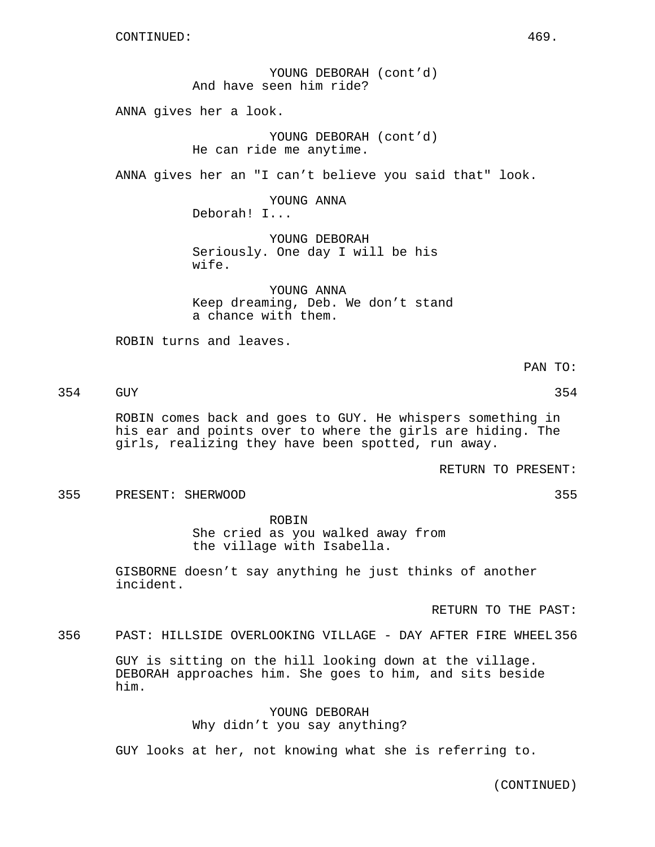CONTINUED: 469.

YOUNG DEBORAH (cont'd) And have seen him ride?

ANNA gives her a look.

YOUNG DEBORAH (cont'd) He can ride me anytime.

ANNA gives her an "I can't believe you said that" look.

YOUNG ANNA Deborah! I...

YOUNG DEBORAH Seriously. One day I will be his wife.

YOUNG ANNA Keep dreaming, Deb. We don't stand a chance with them.

ROBIN turns and leaves.

PAN TO:

354 GUY 354

ROBIN comes back and goes to GUY. He whispers something in his ear and points over to where the girls are hiding. The girls, realizing they have been spotted, run away.

RETURN TO PRESENT:

355 PRESENT: SHERWOOD 355

ROBIN She cried as you walked away from the village with Isabella.

GISBORNE doesn't say anything he just thinks of another incident.

RETURN TO THE PAST:

356 PAST: HILLSIDE OVERLOOKING VILLAGE - DAY AFTER FIRE WHEEL 356

GUY is sitting on the hill looking down at the village. DEBORAH approaches him. She goes to him, and sits beside him.

> YOUNG DEBORAH Why didn't you say anything?

GUY looks at her, not knowing what she is referring to.

(CONTINUED)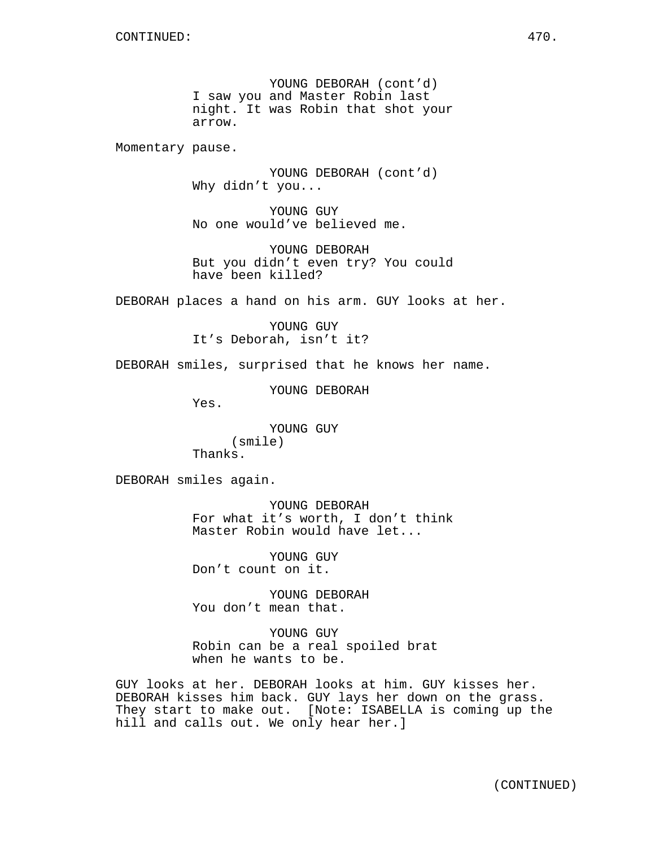YOUNG DEBORAH (cont'd) I saw you and Master Robin last night. It was Robin that shot your arrow.

Momentary pause.

YOUNG DEBORAH (cont'd) Why didn't you...

YOUNG GUY No one would've believed me.

YOUNG DEBORAH But you didn't even try? You could have been killed?

DEBORAH places a hand on his arm. GUY looks at her.

YOUNG GUY It's Deborah, isn't it?

DEBORAH smiles, surprised that he knows her name.

YOUNG DEBORAH

Yes.

YOUNG GUY (smile) Thanks.

DEBORAH smiles again.

YOUNG DEBORAH For what it's worth, I don't think Master Robin would have let...

YOUNG GUY Don't count on it.

YOUNG DEBORAH You don't mean that.

YOUNG GUY Robin can be a real spoiled brat when he wants to be.

GUY looks at her. DEBORAH looks at him. GUY kisses her. DEBORAH kisses him back. GUY lays her down on the grass. They start to make out. [Note: ISABELLA is coming up the hill and calls out. We only hear her.]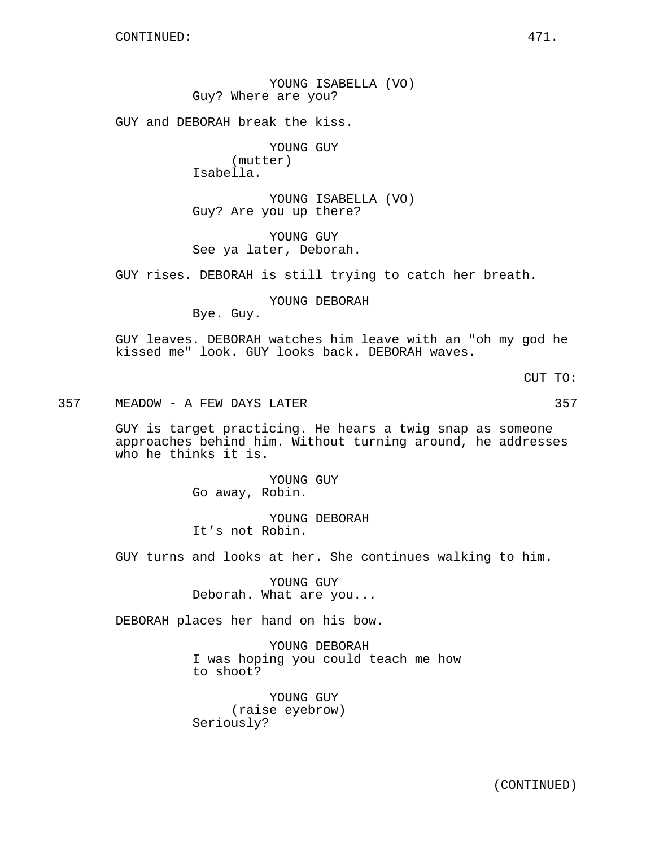YOUNG ISABELLA (VO) Guy? Where are you?

GUY and DEBORAH break the kiss.

YOUNG GUY (mutter) Isabella.

YOUNG ISABELLA (VO) Guy? Are you up there?

YOUNG GUY See ya later, Deborah.

GUY rises. DEBORAH is still trying to catch her breath.

YOUNG DEBORAH

Bye. Guy.

GUY leaves. DEBORAH watches him leave with an "oh my god he kissed me" look. GUY looks back. DEBORAH waves.

CUT TO:

357 MEADOW - A FEW DAYS LATER 357

GUY is target practicing. He hears a twig snap as someone approaches behind him. Without turning around, he addresses who he thinks it is.

> YOUNG GUY Go away, Robin.

YOUNG DEBORAH It's not Robin.

GUY turns and looks at her. She continues walking to him.

YOUNG GUY Deborah. What are you...

DEBORAH places her hand on his bow.

YOUNG DEBORAH I was hoping you could teach me how to shoot?

YOUNG GUY (raise eyebrow) Seriously?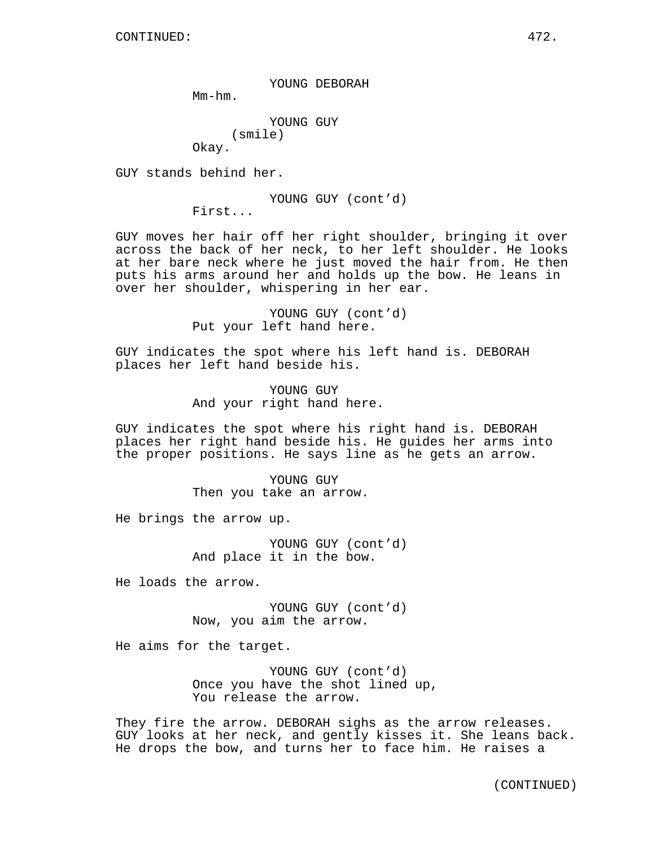YOUNG DEBORAH

Mm-hm.

YOUNG GUY (smile) Okay.

GUY stands behind her.

YOUNG GUY (cont'd)

First...

GUY moves her hair off her right shoulder, bringing it over across the back of her neck, to her left shoulder. He looks at her bare neck where he just moved the hair from. He then puts his arms around her and holds up the bow. He leans in over her shoulder, whispering in her ear.

> YOUNG GUY (cont'd) Put your left hand here.

GUY indicates the spot where his left hand is. DEBORAH places her left hand beside his.

> YOUNG GUY And your right hand here.

GUY indicates the spot where his right hand is. DEBORAH places her right hand beside his. He guides her arms into the proper positions. He says line as he gets an arrow.

> YOUNG GUY Then you take an arrow.

He brings the arrow up.

YOUNG GUY (cont'd) And place it in the bow.

He loads the arrow.

YOUNG GUY (cont'd) Now, you aim the arrow.

He aims for the target.

YOUNG GUY (cont'd) Once you have the shot lined up, You release the arrow.

They fire the arrow. DEBORAH sighs as the arrow releases. GUY looks at her neck, and gently kisses it. She leans back. He drops the bow, and turns her to face him. He raises a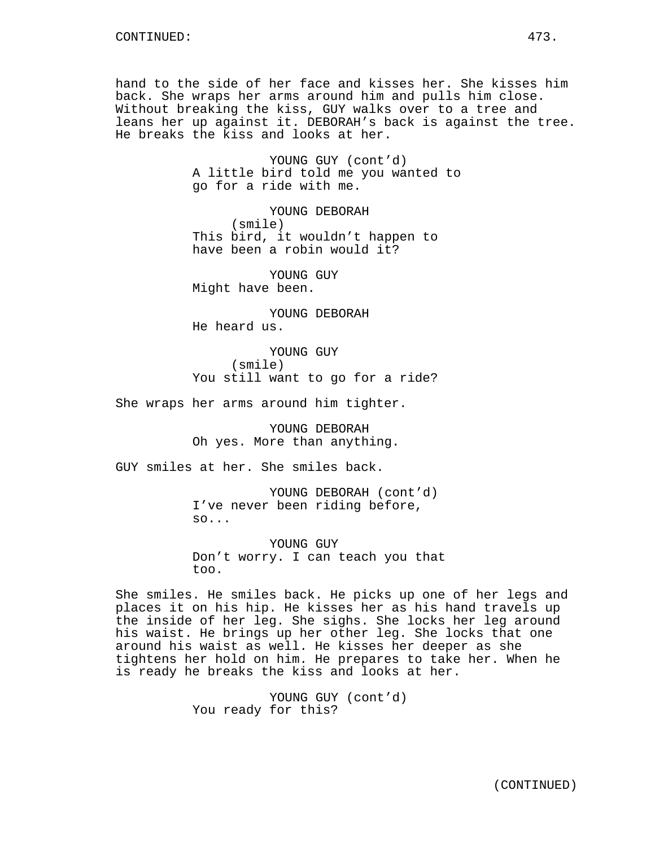hand to the side of her face and kisses her. She kisses him back. She wraps her arms around him and pulls him close. Without breaking the kiss, GUY walks over to a tree and leans her up against it. DEBORAH's back is against the tree. He breaks the kiss and looks at her.

> YOUNG GUY (cont'd) A little bird told me you wanted to go for a ride with me.

YOUNG DEBORAH (smile) This bird, it wouldn't happen to have been a robin would it?

YOUNG GUY Might have been.

YOUNG DEBORAH He heard us.

YOUNG GUY (smile) You still want to go for a ride?

She wraps her arms around him tighter.

YOUNG DEBORAH Oh yes. More than anything.

GUY smiles at her. She smiles back.

YOUNG DEBORAH (cont'd) I've never been riding before, so...

YOUNG GUY Don't worry. I can teach you that too.

She smiles. He smiles back. He picks up one of her legs and places it on his hip. He kisses her as his hand travels up the inside of her leg. She sighs. She locks her leg around his waist. He brings up her other leg. She locks that one around his waist as well. He kisses her deeper as she tightens her hold on him. He prepares to take her. When he is ready he breaks the kiss and looks at her.

> YOUNG GUY (cont'd) You ready for this?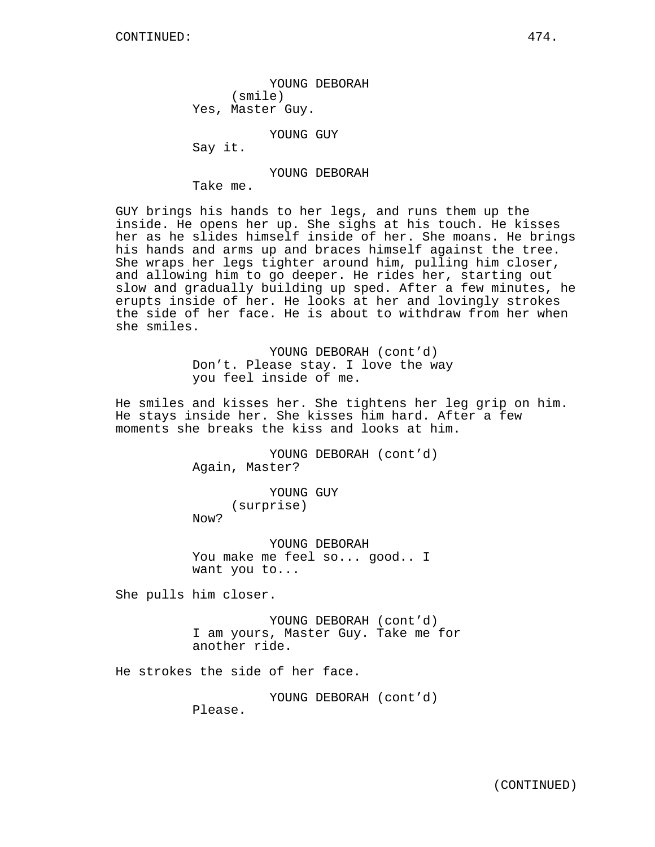YOUNG DEBORAH (smile) Yes, Master Guy.

YOUNG GUY

Say it.

YOUNG DEBORAH

Take me.

GUY brings his hands to her legs, and runs them up the inside. He opens her up. She sighs at his touch. He kisses her as he slides himself inside of her. She moans. He brings his hands and arms up and braces himself against the tree. She wraps her legs tighter around him, pulling him closer, and allowing him to go deeper. He rides her, starting out slow and gradually building up sped. After a few minutes, he erupts inside of her. He looks at her and lovingly strokes the side of her face. He is about to withdraw from her when she smiles.

> YOUNG DEBORAH (cont'd) Don't. Please stay. I love the way you feel inside of me.

He smiles and kisses her. She tightens her leg grip on him. He stays inside her. She kisses him hard. After a few moments she breaks the kiss and looks at him.

> YOUNG DEBORAH (cont'd) Again, Master?

YOUNG GUY (surprise) Now?

YOUNG DEBORAH You make me feel so... good.. I want you to...

She pulls him closer.

YOUNG DEBORAH (cont'd) I am yours, Master Guy. Take me for another ride.

He strokes the side of her face.

YOUNG DEBORAH (cont'd)

Please.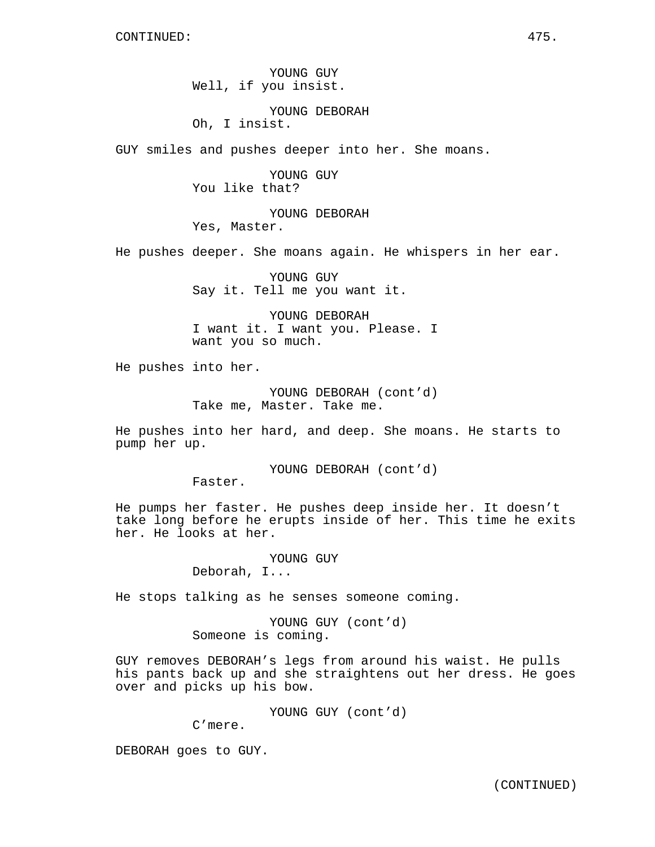YOUNG GUY Well, if you insist.

YOUNG DEBORAH Oh, I insist.

GUY smiles and pushes deeper into her. She moans.

YOUNG GUY You like that?

YOUNG DEBORAH Yes, Master.

He pushes deeper. She moans again. He whispers in her ear.

YOUNG GUY Say it. Tell me you want it.

YOUNG DEBORAH I want it. I want you. Please. I want you so much.

He pushes into her.

YOUNG DEBORAH (cont'd) Take me, Master. Take me.

He pushes into her hard, and deep. She moans. He starts to pump her up.

> YOUNG DEBORAH (cont'd) Faster.

He pumps her faster. He pushes deep inside her. It doesn't take long before he erupts inside of her. This time he exits her. He looks at her.

> YOUNG GUY Deborah, I...

He stops talking as he senses someone coming.

YOUNG GUY (cont'd) Someone is coming.

GUY removes DEBORAH's legs from around his waist. He pulls his pants back up and she straightens out her dress. He goes over and picks up his bow.

YOUNG GUY (cont'd)

C'mere.

DEBORAH goes to GUY.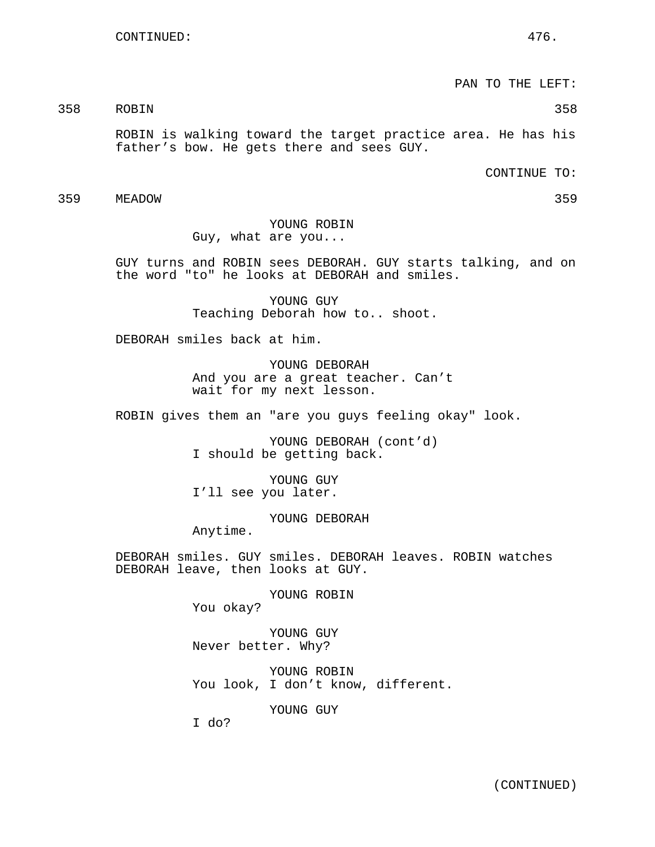PAN TO THE LEFT:

358 ROBIN 358

ROBIN is walking toward the target practice area. He has his father's bow. He gets there and sees GUY.

CONTINUE TO:

359 MEADOW 359

YOUNG ROBIN Guy, what are you...

GUY turns and ROBIN sees DEBORAH. GUY starts talking, and on the word "to" he looks at DEBORAH and smiles.

> YOUNG GUY Teaching Deborah how to.. shoot.

DEBORAH smiles back at him.

YOUNG DEBORAH And you are a great teacher. Can't wait for my next lesson.

ROBIN gives them an "are you guys feeling okay" look.

YOUNG DEBORAH (cont'd) I should be getting back.

YOUNG GUY I'll see you later.

YOUNG DEBORAH

Anytime.

DEBORAH smiles. GUY smiles. DEBORAH leaves. ROBIN watches DEBORAH leave, then looks at GUY.

YOUNG ROBIN

You okay?

YOUNG GUY Never better. Why?

YOUNG ROBIN You look, I don't know, different.

YOUNG GUY

I do?

(CONTINUED)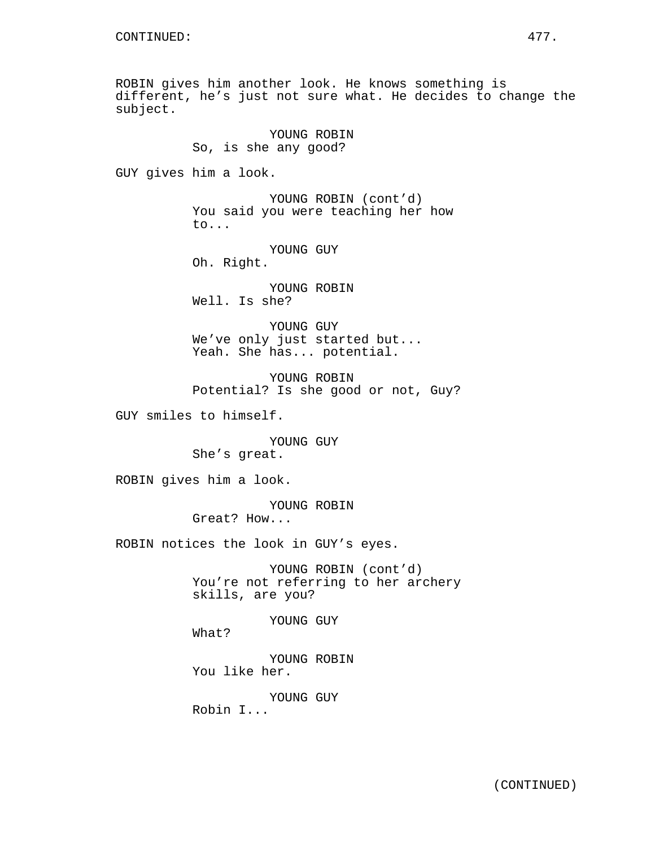ROBIN gives him another look. He knows something is different, he's just not sure what. He decides to change the subject.

YOUNG ROBIN So, is she any good? GUY gives him a look. YOUNG ROBIN (cont'd) You said you were teaching her how to... YOUNG GUY Oh. Right. YOUNG ROBIN Well. Is she? YOUNG GUY We've only just started but... Yeah. She has... potential. YOUNG ROBIN Potential? Is she good or not, Guy? GUY smiles to himself. YOUNG GUY She's great. ROBIN gives him a look. YOUNG ROBIN Great? How... ROBIN notices the look in GUY's eyes. YOUNG ROBIN (cont'd) You're not referring to her archery skills, are you? YOUNG GUY What? YOUNG ROBIN You like her.

> YOUNG GUY Robin I...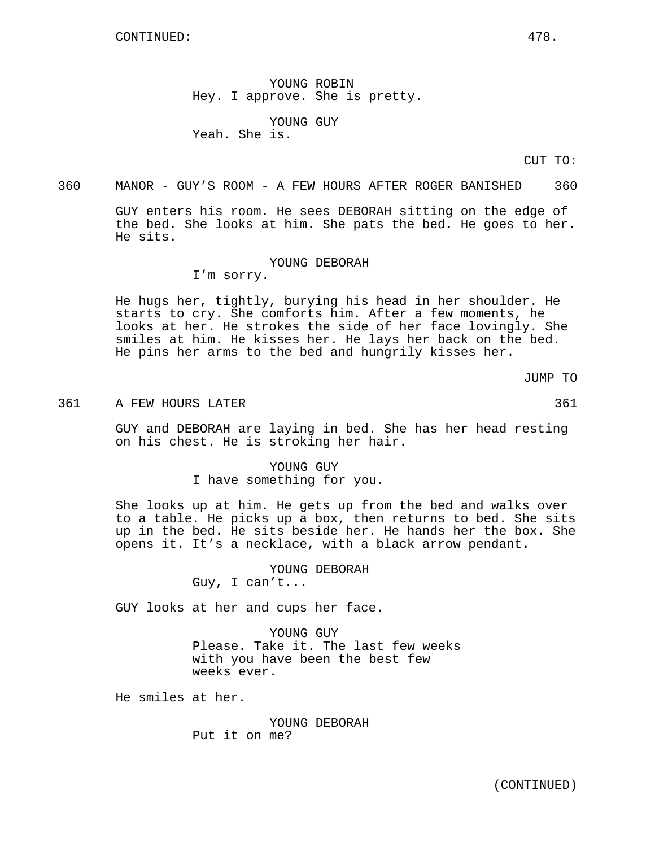YOUNG ROBIN Hey. I approve. She is pretty.

YOUNG GUY Yeah. She is.

CUT TO:

360 MANOR - GUY'S ROOM - A FEW HOURS AFTER ROGER BANISHED 360

GUY enters his room. He sees DEBORAH sitting on the edge of the bed. She looks at him. She pats the bed. He goes to her. He sits.

#### YOUNG DEBORAH

I'm sorry.

He hugs her, tightly, burying his head in her shoulder. He starts to cry. She comforts him. After a few moments, he looks at her. He strokes the side of her face lovingly. She smiles at him. He kisses her. He lays her back on the bed. He pins her arms to the bed and hungrily kisses her.

JUMP TO

361 A FEW HOURS LATER 361

GUY and DEBORAH are laying in bed. She has her head resting on his chest. He is stroking her hair.

> YOUNG GUY I have something for you.

She looks up at him. He gets up from the bed and walks over to a table. He picks up a box, then returns to bed. She sits up in the bed. He sits beside her. He hands her the box. She opens it. It's a necklace, with a black arrow pendant.

> YOUNG DEBORAH Guy, I can't...

GUY looks at her and cups her face.

YOUNG GUY Please. Take it. The last few weeks with you have been the best few weeks ever.

He smiles at her.

YOUNG DEBORAH Put it on me?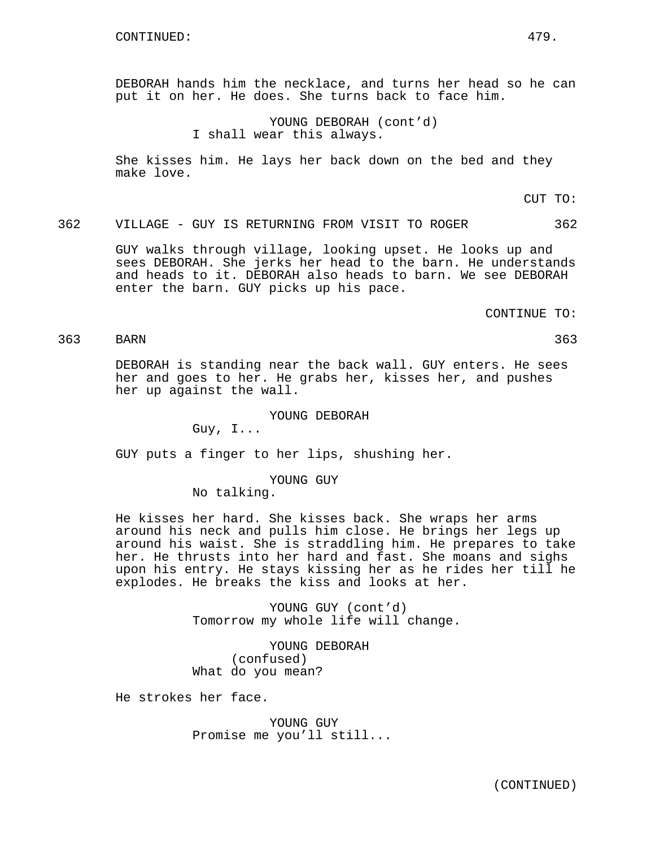DEBORAH hands him the necklace, and turns her head so he can put it on her. He does. She turns back to face him.

> YOUNG DEBORAH (cont'd) I shall wear this always.

She kisses him. He lays her back down on the bed and they make love.

CUT TO:

362 VILLAGE - GUY IS RETURNING FROM VISIT TO ROGER 362

GUY walks through village, looking upset. He looks up and sees DEBORAH. She jerks her head to the barn. He understands and heads to it. DEBORAH also heads to barn. We see DEBORAH enter the barn. GUY picks up his pace.

CONTINUE TO:

# 363 BARN 363

DEBORAH is standing near the back wall. GUY enters. He sees her and goes to her. He grabs her, kisses her, and pushes her up against the wall.

YOUNG DEBORAH

Guy, I...

GUY puts a finger to her lips, shushing her.

YOUNG GUY

No talking.

He kisses her hard. She kisses back. She wraps her arms around his neck and pulls him close. He brings her legs up around his waist. She is straddling him. He prepares to take her. He thrusts into her hard and fast. She moans and sighs upon his entry. He stays kissing her as he rides her till he explodes. He breaks the kiss and looks at her.

> YOUNG GUY (cont'd) Tomorrow my whole life will change.

YOUNG DEBORAH (confused) What do you mean?

He strokes her face.

YOUNG GUY Promise me you'll still...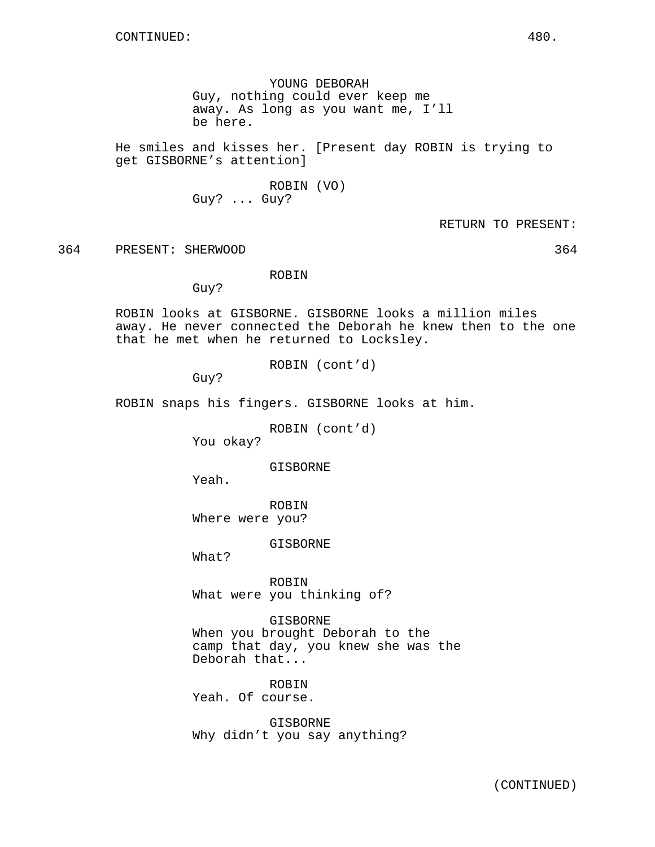YOUNG DEBORAH Guy, nothing could ever keep me away. As long as you want me, I'll be here.

He smiles and kisses her. [Present day ROBIN is trying to get GISBORNE's attention]

> ROBIN (VO) Guy? ... Guy?

> > RETURN TO PRESENT:

364 PRESENT: SHERWOOD 364

ROBIN

Guy?

ROBIN looks at GISBORNE. GISBORNE looks a million miles away. He never connected the Deborah he knew then to the one that he met when he returned to Locksley.

ROBIN (cont'd)

Guy?

ROBIN snaps his fingers. GISBORNE looks at him.

ROBIN (cont'd)

You okay?

GISBORNE

Yeah.

ROBIN Where were you?

GISBORNE

What?

ROBIN What were you thinking of?

GISBORNE When you brought Deborah to the camp that day, you knew she was the Deborah that...

ROBIN Yeah. Of course.

GISBORNE Why didn't you say anything?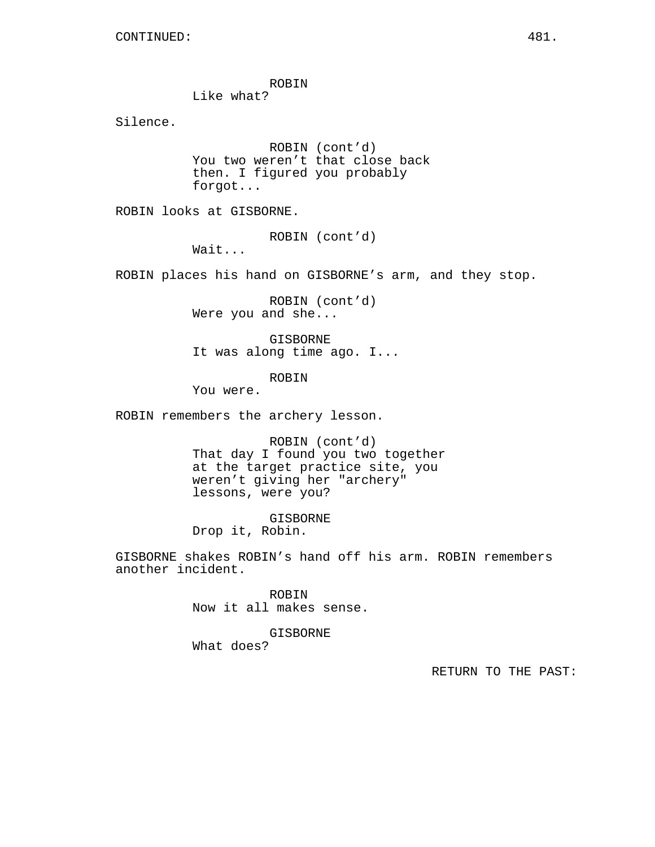ROBIN

Like what?

Silence.

ROBIN (cont'd) You two weren't that close back then. I figured you probably forgot...

ROBIN looks at GISBORNE.

ROBIN (cont'd)

Wait...

ROBIN places his hand on GISBORNE's arm, and they stop.

ROBIN (cont'd) Were you and she...

GISBORNE It was along time ago. I...

ROBIN

You were.

ROBIN remembers the archery lesson.

ROBIN (cont'd) That day I found you two together at the target practice site, you weren't giving her "archery" lessons, were you?

GISBORNE Drop it, Robin.

GISBORNE shakes ROBIN's hand off his arm. ROBIN remembers another incident.

> ROBIN Now it all makes sense.

GISBORNE What does?

RETURN TO THE PAST: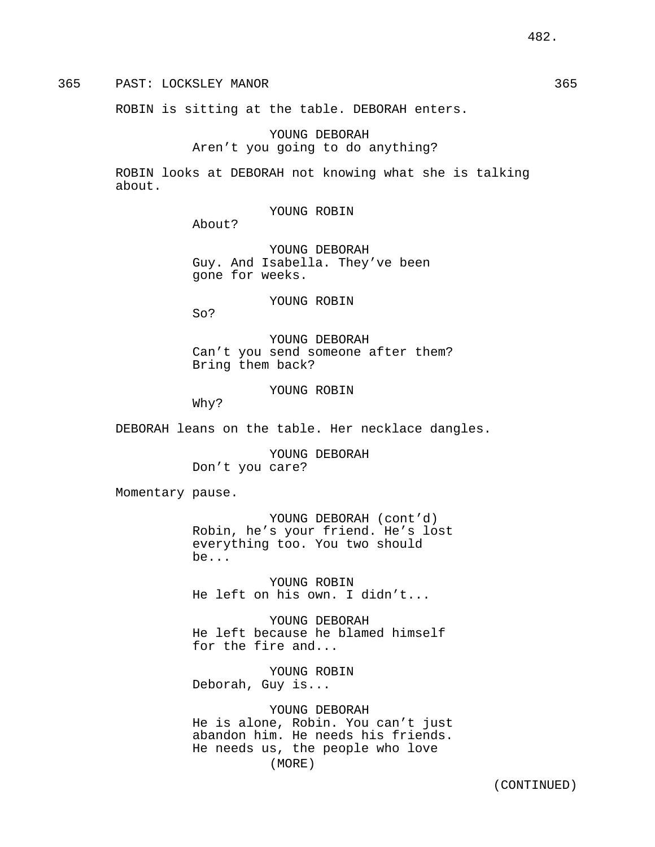365 PAST: LOCKSLEY MANOR 365

ROBIN is sitting at the table. DEBORAH enters.

YOUNG DEBORAH Aren't you going to do anything?

ROBIN looks at DEBORAH not knowing what she is talking about.

YOUNG ROBIN

About?

YOUNG DEBORAH Guy. And Isabella. They've been gone for weeks.

YOUNG ROBIN

So?

YOUNG DEBORAH Can't you send someone after them? Bring them back?

YOUNG ROBIN

Why?

DEBORAH leans on the table. Her necklace dangles.

YOUNG DEBORAH Don't you care?

Momentary pause.

YOUNG DEBORAH (cont'd) Robin, he's your friend. He's lost everything too. You two should be...

YOUNG ROBIN He left on his own. I didn't...

YOUNG DEBORAH He left because he blamed himself for the fire and...

YOUNG ROBIN Deborah, Guy is...

YOUNG DEBORAH He is alone, Robin. You can't just abandon him. He needs his friends. He needs us, the people who love (MORE)

(CONTINUED)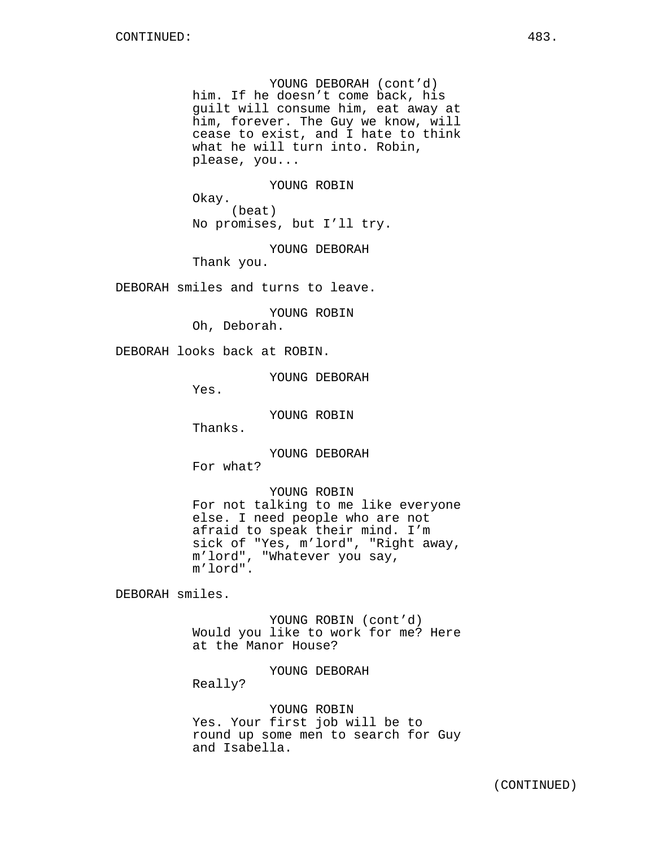YOUNG DEBORAH (cont'd) him. If he doesn't come back, his guilt will consume him, eat away at him, forever. The Guy we know, will cease to exist, and I hate to think what he will turn into. Robin, please, you...

YOUNG ROBIN

(beat) No promises, but I'll try.

YOUNG DEBORAH

Thank you.

Okay.

DEBORAH smiles and turns to leave.

YOUNG ROBIN Oh, Deborah.

DEBORAH looks back at ROBIN.

YOUNG DEBORAH

Yes.

YOUNG ROBIN

Thanks.

YOUNG DEBORAH For what?

YOUNG ROBIN For not talking to me like everyone else. I need people who are not afraid to speak their mind. I'm sick of "Yes, m'lord", "Right away, m'lord", "Whatever you say, m'lord".

DEBORAH smiles.

YOUNG ROBIN (cont'd) Would you like to work for me? Here at the Manor House?

YOUNG DEBORAH

Really?

YOUNG ROBIN Yes. Your first job will be to round up some men to search for Guy and Isabella.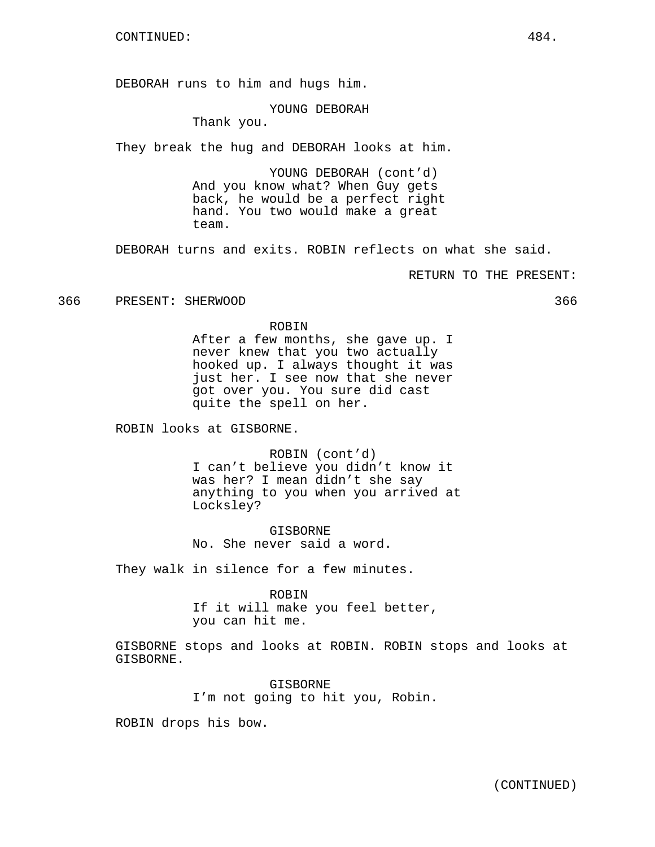DEBORAH runs to him and hugs him.

YOUNG DEBORAH

Thank you.

They break the hug and DEBORAH looks at him.

YOUNG DEBORAH (cont'd) And you know what? When Guy gets back, he would be a perfect right hand. You two would make a great team.

DEBORAH turns and exits. ROBIN reflects on what she said.

RETURN TO THE PRESENT:

366 PRESENT: SHERWOOD 366

#### ROBIN

After a few months, she gave up. I never knew that you two actually hooked up. I always thought it was just her. I see now that she never got over you. You sure did cast quite the spell on her.

ROBIN looks at GISBORNE.

ROBIN (cont'd) I can't believe you didn't know it was her? I mean didn't she say anything to you when you arrived at Locksley?

GISBORNE No. She never said a word.

They walk in silence for a few minutes.

ROBIN If it will make you feel better, you can hit me.

GISBORNE stops and looks at ROBIN. ROBIN stops and looks at GISBORNE.

> GISBORNE I'm not going to hit you, Robin.

ROBIN drops his bow.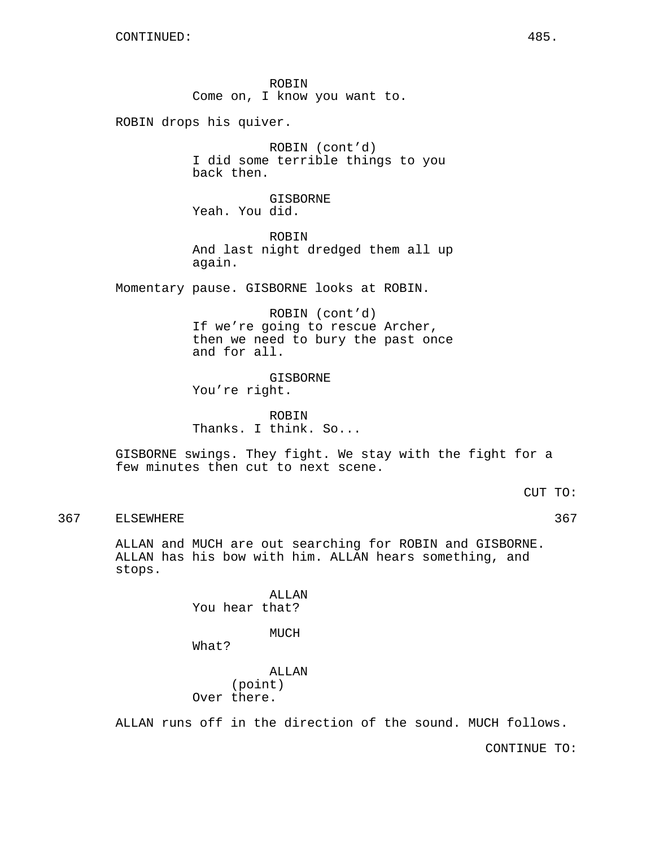ROBIN Come on, I know you want to.

ROBIN drops his quiver.

ROBIN (cont'd) I did some terrible things to you back then.

GISBORNE Yeah. You did.

ROBIN And last night dredged them all up again.

Momentary pause. GISBORNE looks at ROBIN.

ROBIN (cont'd) If we're going to rescue Archer, then we need to bury the past once and for all.

GISBORNE You're right.

ROBIN Thanks. I think. So...

GISBORNE swings. They fight. We stay with the fight for a few minutes then cut to next scene.

CUT TO:

367 ELSEWHERE 367 STEER SERVICES AND THE SERVICES SERVICES AND STEERING ASSAULT AND STEERING ASSAULT AND STEERING ASSAULT AND STEERING ASSAULT AND STEERING ASSAULT AND STEERING ASSAULT AND STEERING ASSAULT. THE STEERING OF

ALLAN and MUCH are out searching for ROBIN and GISBORNE. ALLAN has his bow with him. ALLAN hears something, and stops.

> ALLAN You hear that?

> > MUCH

What?

ALLAN (point) Over there.

ALLAN runs off in the direction of the sound. MUCH follows.

CONTINUE TO: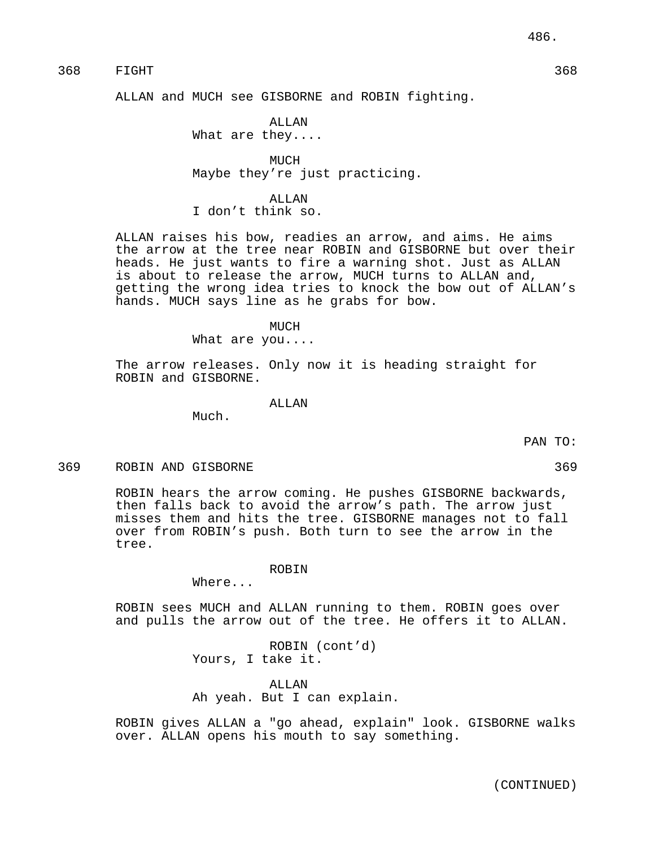ALLAN and MUCH see GISBORNE and ROBIN fighting.

ALLAN What are they....

MUCH Maybe they're just practicing.

ALLAN

I don't think so.

ALLAN raises his bow, readies an arrow, and aims. He aims the arrow at the tree near ROBIN and GISBORNE but over their heads. He just wants to fire a warning shot. Just as ALLAN is about to release the arrow, MUCH turns to ALLAN and, getting the wrong idea tries to knock the bow out of ALLAN's hands. MUCH says line as he grabs for bow.

#### MUCH

What are you....

The arrow releases. Only now it is heading straight for ROBIN and GISBORNE.

ALLAN

Much.

PAN TO:

#### 369 ROBIN AND GISBORNE 369

ROBIN hears the arrow coming. He pushes GISBORNE backwards, then falls back to avoid the arrow's path. The arrow just misses them and hits the tree. GISBORNE manages not to fall over from ROBIN's push. Both turn to see the arrow in the tree.

#### ROBIN

Where...

ROBIN sees MUCH and ALLAN running to them. ROBIN goes over and pulls the arrow out of the tree. He offers it to ALLAN.

> ROBIN (cont'd) Yours, I take it.

ALLAN Ah yeah. But I can explain.

ROBIN gives ALLAN a "go ahead, explain" look. GISBORNE walks over. ALLAN opens his mouth to say something.

(CONTINUED)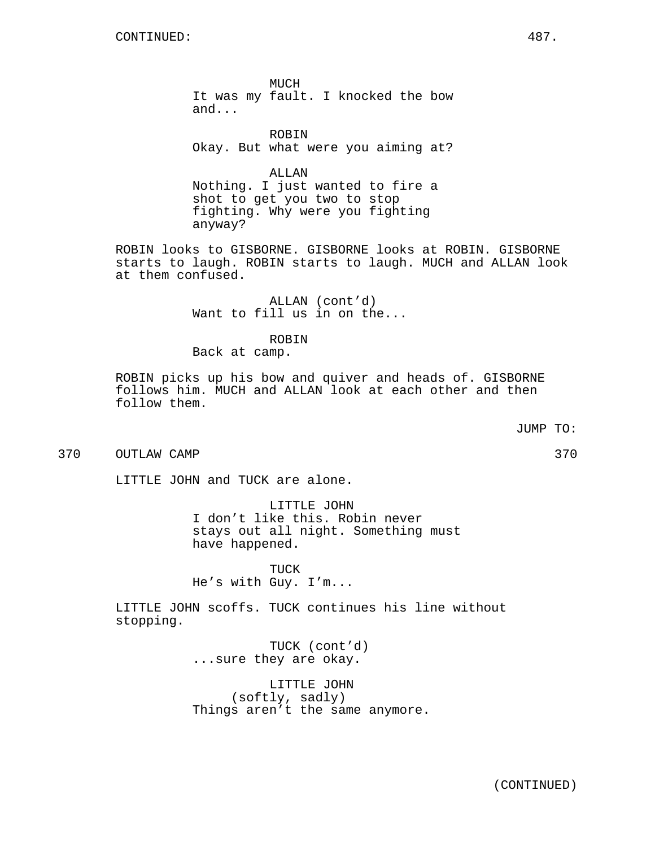MUCH It was my fault. I knocked the bow and...

ROBIN Okay. But what were you aiming at?

ALLAN Nothing. I just wanted to fire a shot to get you two to stop fighting. Why were you fighting anyway?

ROBIN looks to GISBORNE. GISBORNE looks at ROBIN. GISBORNE starts to laugh. ROBIN starts to laugh. MUCH and ALLAN look at them confused.

> ALLAN (cont'd) Want to fill us in on the...

## ROBIN

Back at camp.

ROBIN picks up his bow and quiver and heads of. GISBORNE follows him. MUCH and ALLAN look at each other and then follow them.

370 OUTLAW CAMP 370

LITTLE JOHN and TUCK are alone.

LITTLE JOHN I don't like this. Robin never stays out all night. Something must have happened.

TUCK He's with Guy. I'm...

LITTLE JOHN scoffs. TUCK continues his line without stopping.

> TUCK (cont'd) ...sure they are okay.

LITTLE JOHN (softly, sadly) Things aren't the same anymore.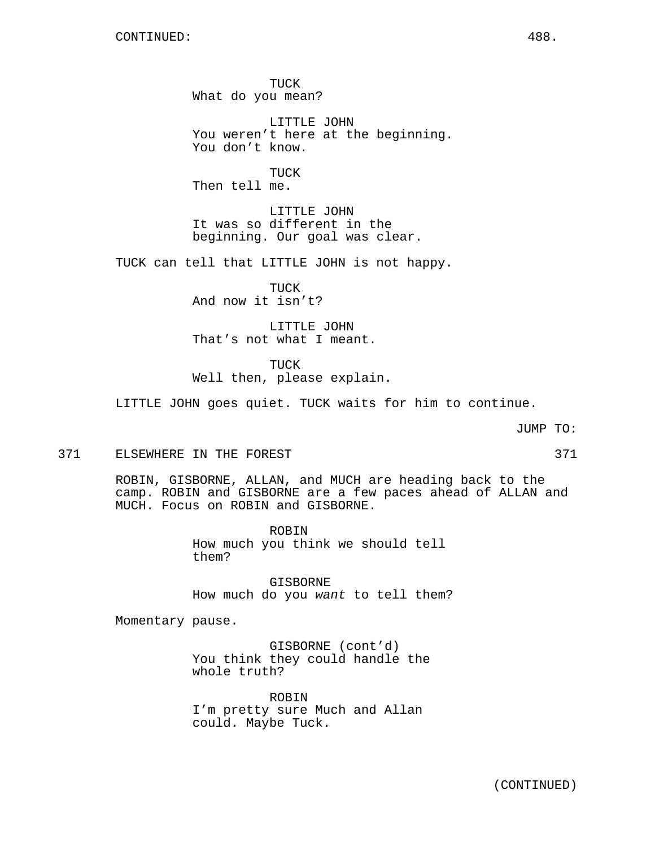TUCK What do you mean?

LITTLE JOHN You weren't here at the beginning. You don't know.

TUCK Then tell me.

LITTLE JOHN It was so different in the beginning. Our goal was clear.

TUCK can tell that LITTLE JOHN is not happy.

TUCK And now it isn't?

LITTLE JOHN That's not what I meant.

TUCK Well then, please explain.

LITTLE JOHN goes quiet. TUCK waits for him to continue.

JUMP TO:

#### 371 ELSEWHERE IN THE FOREST 371 SERVICE SERVICE STATES AND THE STATE STATES AND THE STATES STATES AND STATES AND THE STATES AND STATES AND STATES AND STATES AND STATES AND STATES AND STATES AND STATES AND STATES AND STATES

ROBIN, GISBORNE, ALLAN, and MUCH are heading back to the camp. ROBIN and GISBORNE are a few paces ahead of ALLAN and MUCH. Focus on ROBIN and GISBORNE.

> ROBIN How much you think we should tell them?

GISBORNE How much do you want to tell them?

Momentary pause.

GISBORNE (cont'd) You think they could handle the whole truth?

ROBIN I'm pretty sure Much and Allan could. Maybe Tuck.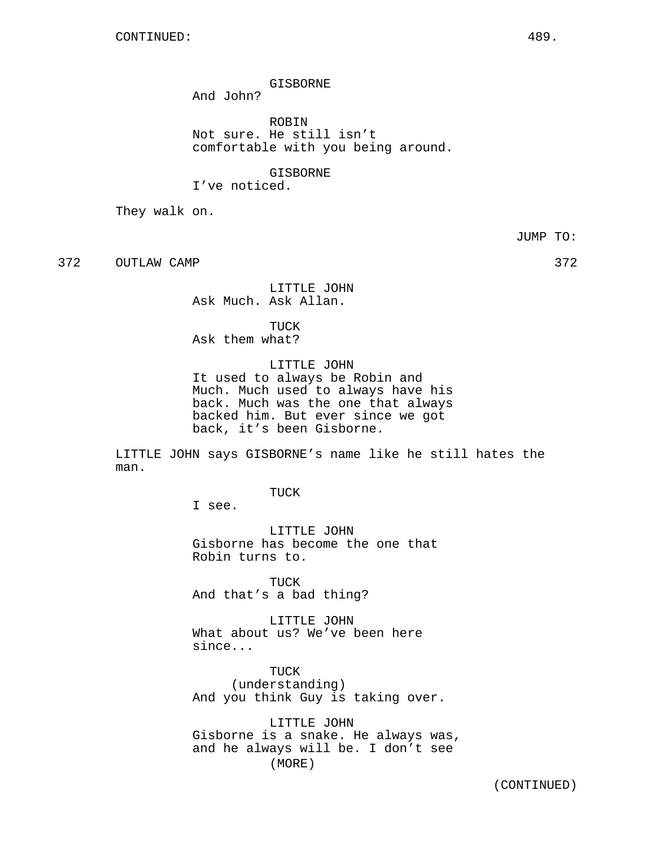GISBORNE

And John?

ROBIN Not sure. He still isn't comfortable with you being around.

GISBORNE I've noticed.

They walk on.

JUMP TO:

372 OUTLAW CAMP 372

LITTLE JOHN Ask Much. Ask Allan.

TUCK Ask them what?

LITTLE JOHN It used to always be Robin and Much. Much used to always have his back. Much was the one that always backed him. But ever since we got back, it's been Gisborne.

LITTLE JOHN says GISBORNE's name like he still hates the man.

TUCK

I see.

LITTLE JOHN Gisborne has become the one that Robin turns to.

TUCK And that's a bad thing?

LITTLE JOHN What about us? We've been here since...

TUCK (understanding) And you think Guy is taking over.

LITTLE JOHN Gisborne is a snake. He always was, and he always will be. I don't see (MORE)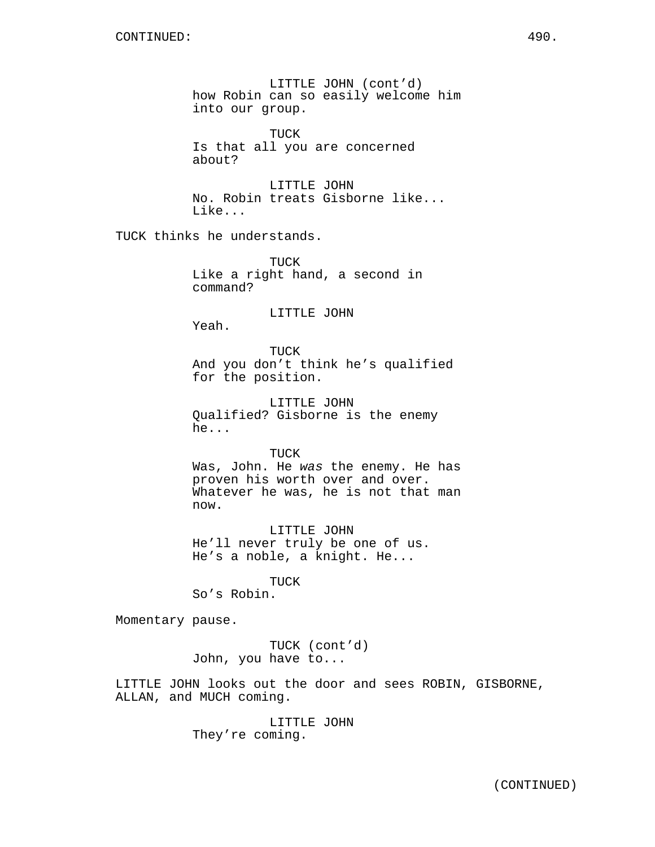LITTLE JOHN (cont'd) how Robin can so easily welcome him into our group.

TUCK Is that all you are concerned about?

LITTLE JOHN No. Robin treats Gisborne like... Like...

TUCK thinks he understands.

TUCK Like a right hand, a second in command?

## LITTLE JOHN

Yeah.

TUCK And you don't think he's qualified for the position.

LITTLE JOHN Qualified? Gisborne is the enemy he...

TUCK Was, John. He was the enemy. He has proven his worth over and over. Whatever he was, he is not that man now.

LITTLE JOHN He'll never truly be one of us. He's a noble, a knight. He...

TUCK So's Robin.

Momentary pause.

TUCK (cont'd) John, you have to...

LITTLE JOHN looks out the door and sees ROBIN, GISBORNE, ALLAN, and MUCH coming.

> LITTLE JOHN They're coming.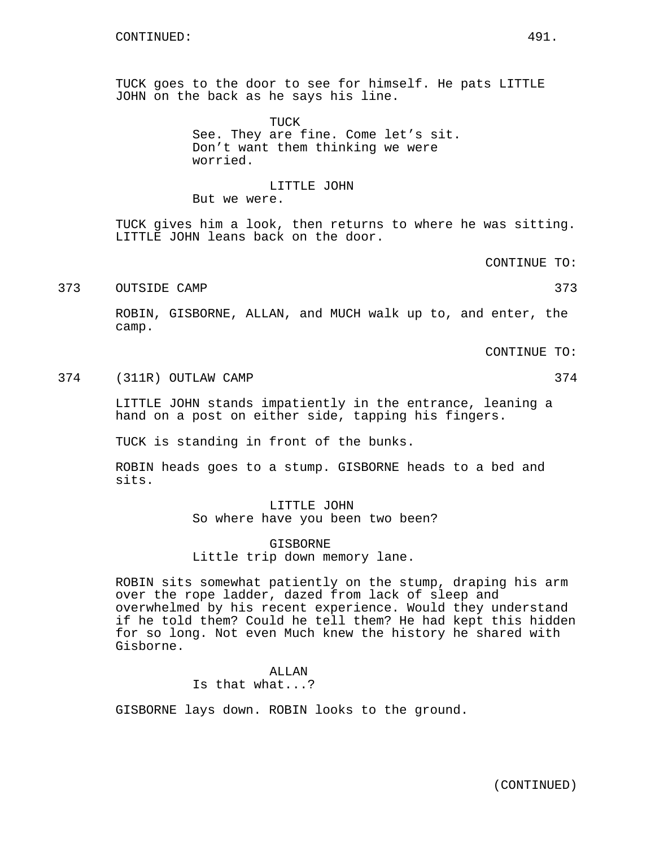TUCK goes to the door to see for himself. He pats LITTLE JOHN on the back as he says his line.

> TUCK See. They are fine. Come let's sit. Don't want them thinking we were worried.

# LITTLE JOHN

But we were.

TUCK gives him a look, then returns to where he was sitting. LITTLE JOHN leans back on the door.

CONTINUE TO:

373 OUTSIDE CAMP 373 373

ROBIN, GISBORNE, ALLAN, and MUCH walk up to, and enter, the camp.

CONTINUE TO:

374 (311R) OUTLAW CAMP 374 (311R)

LITTLE JOHN stands impatiently in the entrance, leaning a hand on a post on either side, tapping his fingers.

TUCK is standing in front of the bunks.

ROBIN heads goes to a stump. GISBORNE heads to a bed and sits.

> LITTLE JOHN So where have you been two been?

GISBORNE Little trip down memory lane.

ROBIN sits somewhat patiently on the stump, draping his arm over the rope ladder, dazed from lack of sleep and overwhelmed by his recent experience. Would they understand if he told them? Could he tell them? He had kept this hidden for so long. Not even Much knew the history he shared with Gisborne.

> ALLAN Is that what...?

GISBORNE lays down. ROBIN looks to the ground.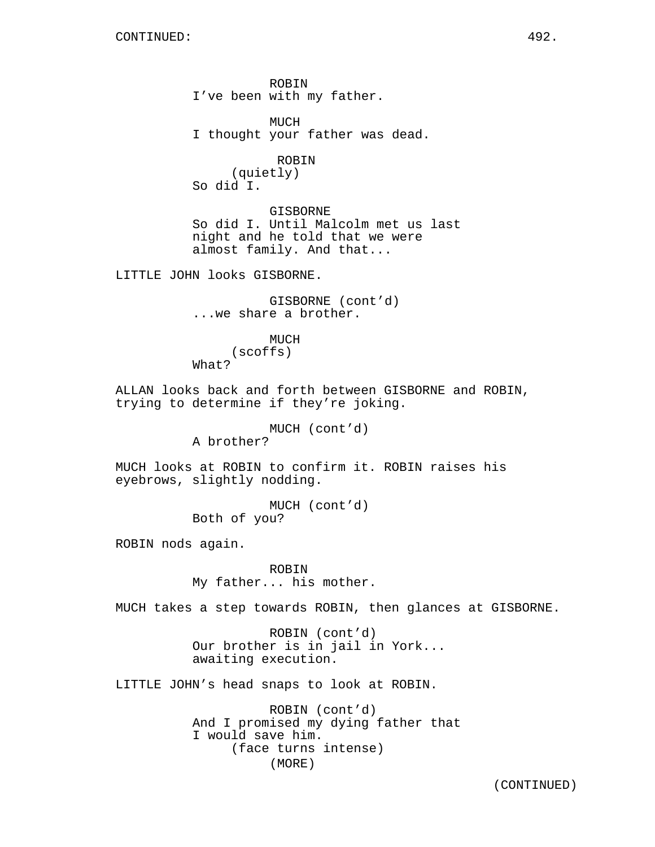ROBIN I've been with my father.

MUCH I thought your father was dead.

# ROBIN

(quietly) So did I.

GISBORNE So did I. Until Malcolm met us last night and he told that we were almost family. And that...

LITTLE JOHN looks GISBORNE.

GISBORNE (cont'd) ...we share a brother.

**MUCH** (scoffs) What?

ALLAN looks back and forth between GISBORNE and ROBIN, trying to determine if they're joking.

MUCH (cont'd)

A brother?

MUCH looks at ROBIN to confirm it. ROBIN raises his eyebrows, slightly nodding.

> MUCH (cont'd) Both of you?

ROBIN nods again.

ROBIN My father... his mother.

MUCH takes a step towards ROBIN, then glances at GISBORNE.

ROBIN (cont'd) Our brother is in jail in York... awaiting execution.

LITTLE JOHN's head snaps to look at ROBIN.

ROBIN (cont'd) And I promised my dying father that I would save him. (face turns intense) (MORE)

(CONTINUED)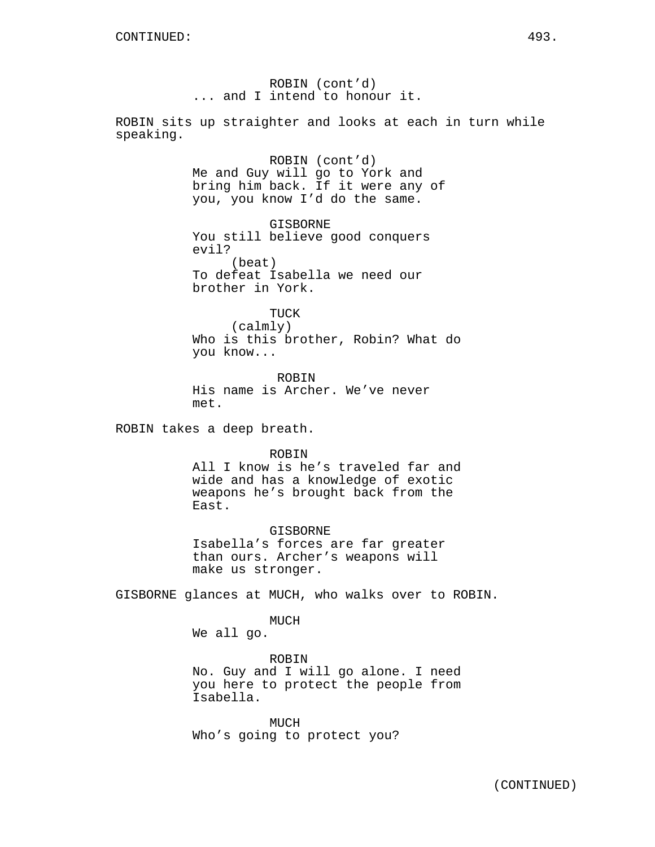ROBIN (cont'd) ... and I intend to honour it.

ROBIN sits up straighter and looks at each in turn while speaking.

> ROBIN (cont'd) Me and Guy will go to York and bring him back. If it were any of you, you know I'd do the same.

GISBORNE You still believe good conquers evil? (beat) To defeat Isabella we need our brother in York.

TUCK (calmly) Who is this brother, Robin? What do you know...

ROBIN His name is Archer. We've never met.

ROBIN takes a deep breath.

ROBIN

All I know is he's traveled far and wide and has a knowledge of exotic weapons he's brought back from the East.

GISBORNE Isabella's forces are far greater than ours. Archer's weapons will make us stronger.

GISBORNE glances at MUCH, who walks over to ROBIN.

MUCH

We all go.

ROBIN No. Guy and I will go alone. I need you here to protect the people from Isabella.

MUCH Who's going to protect you?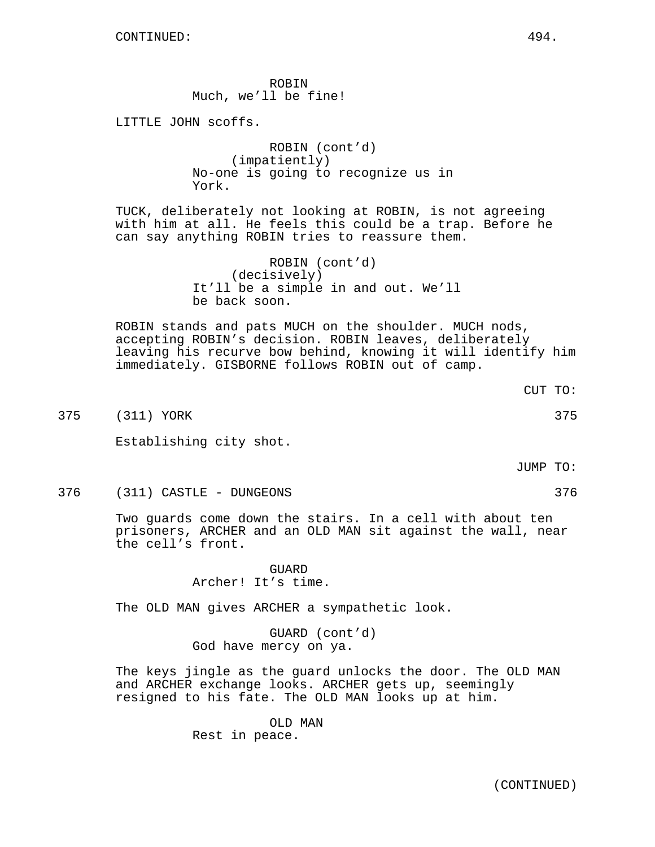ROBIN Much, we'll be fine!

LITTLE JOHN scoffs.

ROBIN (cont'd) (impatiently) No-one is going to recognize us in York.

TUCK, deliberately not looking at ROBIN, is not agreeing with him at all. He feels this could be a trap. Before he can say anything ROBIN tries to reassure them.

> ROBIN (cont'd) (decisively) It'll be a simple in and out. We'll be back soon.

ROBIN stands and pats MUCH on the shoulder. MUCH nods, accepting ROBIN's decision. ROBIN leaves, deliberately leaving his recurve bow behind, knowing it will identify him immediately. GISBORNE follows ROBIN out of camp.

375 (311) YORK 375

Establishing city shot.

JUMP TO:

CUT TO:

376 (311) CASTLE - DUNGEONS 376

Two guards come down the stairs. In a cell with about ten prisoners, ARCHER and an OLD MAN sit against the wall, near the cell's front.

> GUARD Archer! It's time.

The OLD MAN gives ARCHER a sympathetic look.

GUARD (cont'd) God have mercy on ya.

The keys jingle as the guard unlocks the door. The OLD MAN and ARCHER exchange looks. ARCHER gets up, seemingly resigned to his fate. The OLD MAN looks up at him.

> OLD MAN Rest in peace.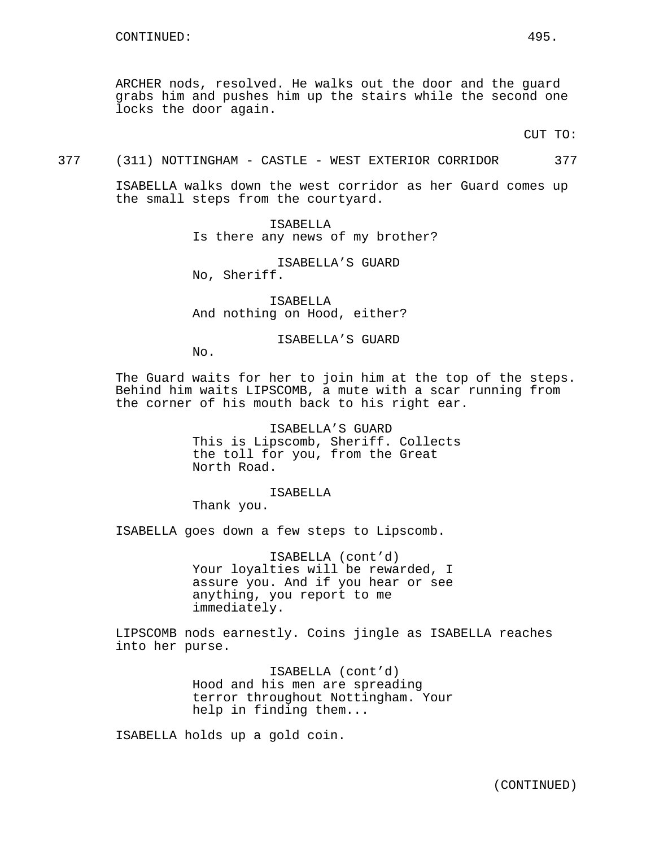ARCHER nods, resolved. He walks out the door and the guard grabs him and pushes him up the stairs while the second one locks the door again.

CUT TO:

377 (311) NOTTINGHAM - CASTLE - WEST EXTERIOR CORRIDOR 377

ISABELLA walks down the west corridor as her Guard comes up the small steps from the courtyard.

> ISABELLA Is there any news of my brother?

ISABELLA'S GUARD No, Sheriff.

ISABELLA And nothing on Hood, either?

ISABELLA'S GUARD

No.

The Guard waits for her to join him at the top of the steps. Behind him waits LIPSCOMB, a mute with a scar running from the corner of his mouth back to his right ear.

> ISABELLA'S GUARD This is Lipscomb, Sheriff. Collects the toll for you, from the Great North Road.

> > ISABELLA

Thank you.

ISABELLA goes down a few steps to Lipscomb.

ISABELLA (cont'd) Your loyalties will be rewarded, I assure you. And if you hear or see anything, you report to me immediately.

LIPSCOMB nods earnestly. Coins jingle as ISABELLA reaches into her purse.

> ISABELLA (cont'd) Hood and his men are spreading terror throughout Nottingham. Your help in finding them...

ISABELLA holds up a gold coin.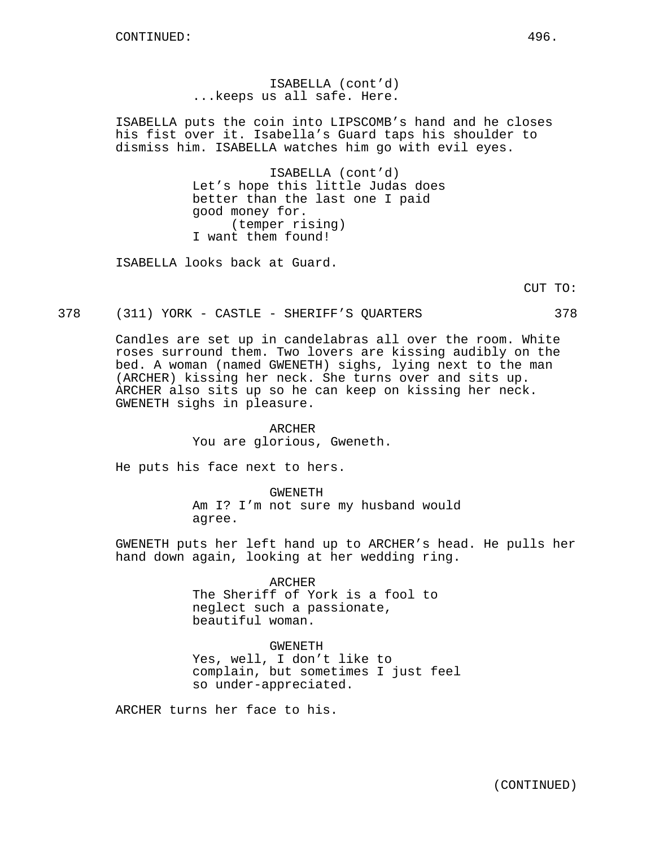ISABELLA (cont'd) ...keeps us all safe. Here.

ISABELLA puts the coin into LIPSCOMB's hand and he closes his fist over it. Isabella's Guard taps his shoulder to dismiss him. ISABELLA watches him go with evil eyes.

> ISABELLA (cont'd) Let's hope this little Judas does better than the last one I paid good money for. (temper rising) I want them found!

ISABELLA looks back at Guard.

CUT TO:

378 (311) YORK - CASTLE - SHERIFF'S QUARTERS 378

Candles are set up in candelabras all over the room. White roses surround them. Two lovers are kissing audibly on the bed. A woman (named GWENETH) sighs, lying next to the man (ARCHER) kissing her neck. She turns over and sits up. ARCHER also sits up so he can keep on kissing her neck. GWENETH sighs in pleasure.

> ARCHER You are glorious, Gweneth.

He puts his face next to hers.

GWENETH Am I? I'm not sure my husband would agree.

GWENETH puts her left hand up to ARCHER's head. He pulls her hand down again, looking at her wedding ring.

#### ARCHER

The Sheriff of York is a fool to neglect such a passionate, beautiful woman.

## GWENETH

Yes, well, I don't like to complain, but sometimes I just feel so under-appreciated.

ARCHER turns her face to his.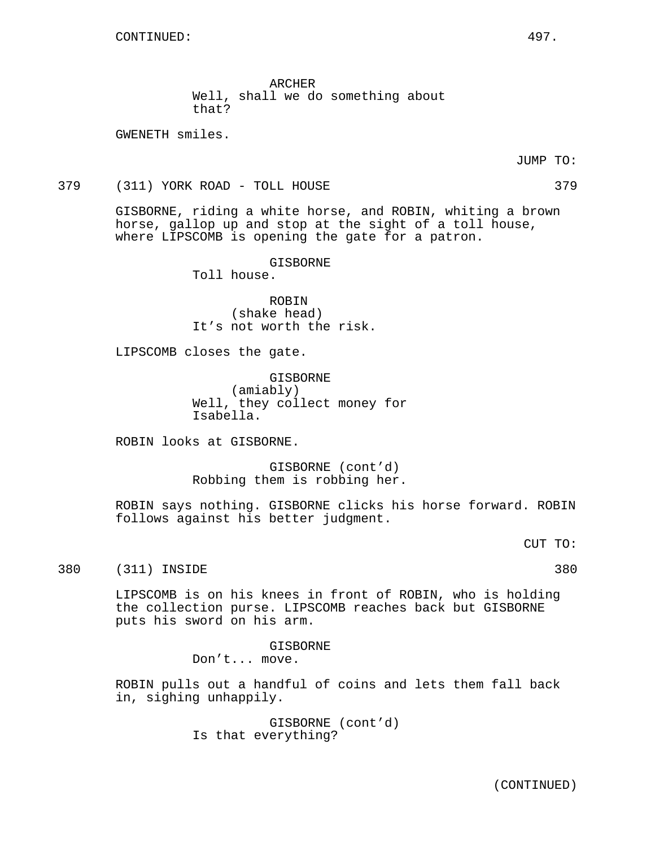ARCHER Well, shall we do something about that?

GWENETH smiles.

JUMP TO:

379 (311) YORK ROAD - TOLL HOUSE 379

GISBORNE, riding a white horse, and ROBIN, whiting a brown horse, gallop up and stop at the sight of a toll house, where LIPSCOMB is opening the gate for a patron.

GISBORNE

Toll house.

ROBIN (shake head) It's not worth the risk.

LIPSCOMB closes the gate.

GISBORNE (amiably) Well, they collect money for Isabella.

ROBIN looks at GISBORNE.

GISBORNE (cont'd) Robbing them is robbing her.

ROBIN says nothing. GISBORNE clicks his horse forward. ROBIN follows against his better judgment.

CUT TO:

380 (311) INSIDE 380

LIPSCOMB is on his knees in front of ROBIN, who is holding the collection purse. LIPSCOMB reaches back but GISBORNE puts his sword on his arm.

> GISBORNE Don't... move.

ROBIN pulls out a handful of coins and lets them fall back in, sighing unhappily.

> GISBORNE (cont'd) Is that everything?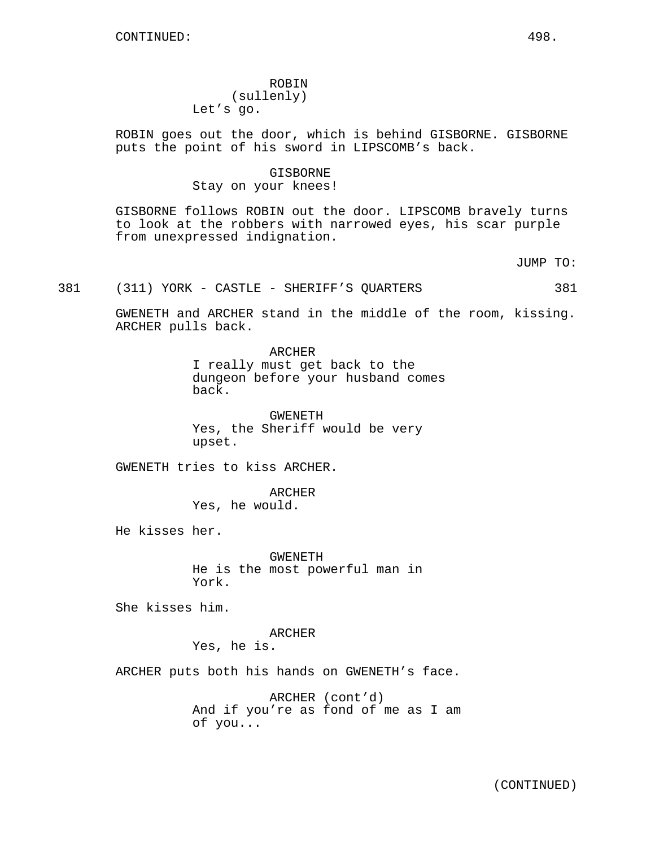# ROBIN (sullenly) Let's go.

ROBIN goes out the door, which is behind GISBORNE. GISBORNE puts the point of his sword in LIPSCOMB's back.

#### GISBORNE

## Stay on your knees!

GISBORNE follows ROBIN out the door. LIPSCOMB bravely turns to look at the robbers with narrowed eyes, his scar purple from unexpressed indignation.

JUMP TO:

## 381 (311) YORK - CASTLE - SHERIFF'S QUARTERS 381

GWENETH and ARCHER stand in the middle of the room, kissing. ARCHER pulls back.

> ARCHER I really must get back to the dungeon before your husband comes back.

GWENETH Yes, the Sheriff would be very upset.

GWENETH tries to kiss ARCHER.

ARCHER Yes, he would.

He kisses her.

GWENETH He is the most powerful man in York.

She kisses him.

ARCHER Yes, he is.

ARCHER puts both his hands on GWENETH's face.

ARCHER (cont'd) And if you're as fond of me as I am of you...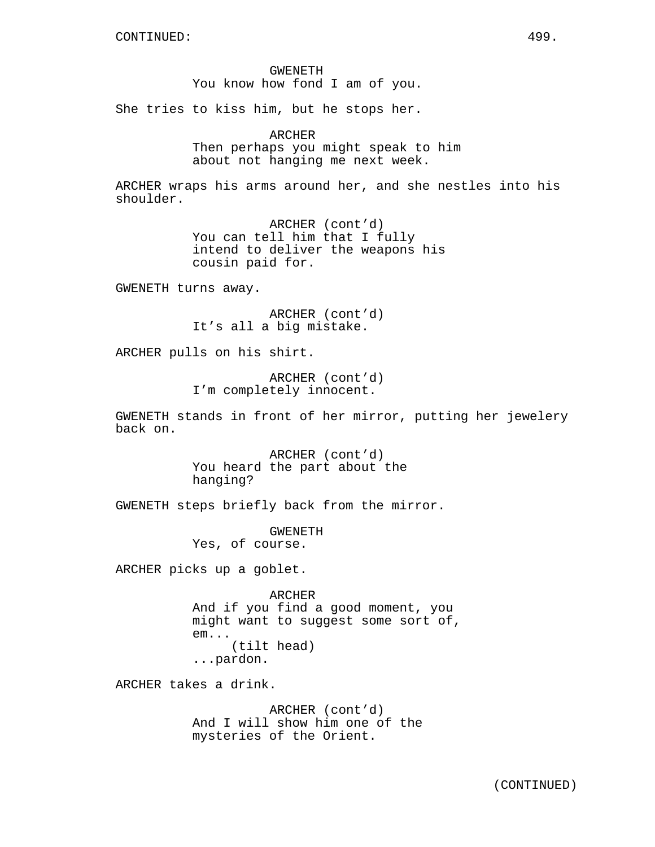GWENETH You know how fond I am of you.

She tries to kiss him, but he stops her.

ARCHER Then perhaps you might speak to him about not hanging me next week.

ARCHER wraps his arms around her, and she nestles into his shoulder.

> ARCHER (cont'd) You can tell him that I fully intend to deliver the weapons his cousin paid for.

GWENETH turns away.

ARCHER (cont'd) It's all a big mistake.

ARCHER pulls on his shirt.

ARCHER (cont'd) I'm completely innocent.

GWENETH stands in front of her mirror, putting her jewelery back on.

> ARCHER (cont'd) You heard the part about the hanging?

GWENETH steps briefly back from the mirror.

GWENETH Yes, of course.

ARCHER picks up a goblet.

ARCHER And if you find a good moment, you might want to suggest some sort of, em... (tilt head) ...pardon.

ARCHER takes a drink.

ARCHER (cont'd) And I will show him one of the mysteries of the Orient.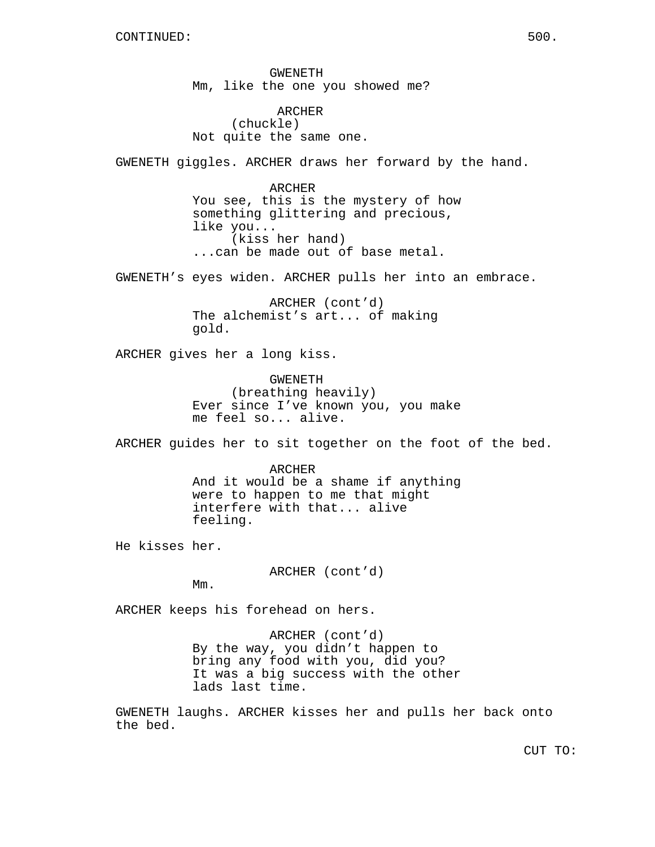GWENETH Mm, like the one you showed me?

ARCHER (chuckle) Not quite the same one.

GWENETH giggles. ARCHER draws her forward by the hand.

ARCHER You see, this is the mystery of how something glittering and precious, like you... (kiss her hand) ...can be made out of base metal.

GWENETH's eyes widen. ARCHER pulls her into an embrace.

ARCHER (cont'd) The alchemist's art... of making gold.

ARCHER gives her a long kiss.

GWENETH (breathing heavily) Ever since I've known you, you make me feel so... alive.

ARCHER guides her to sit together on the foot of the bed.

ARCHER And it would be a shame if anything were to happen to me that might interfere with that... alive feeling.

He kisses her.

ARCHER (cont'd)

Mm.

ARCHER keeps his forehead on hers.

ARCHER (cont'd) By the way, you didn't happen to bring any food with you, did you? It was a big success with the other lads last time.

GWENETH laughs. ARCHER kisses her and pulls her back onto the bed.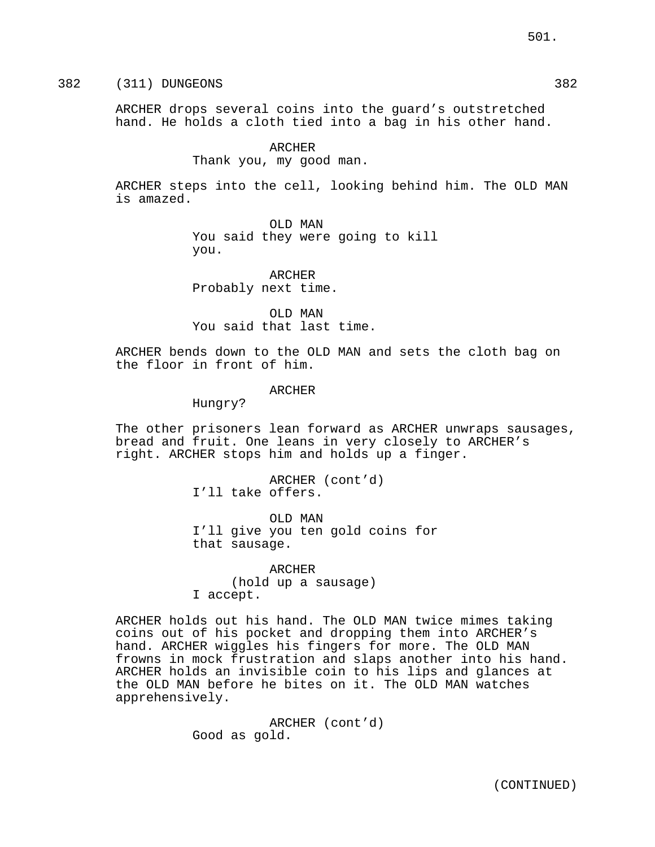382 (311) DUNGEONS 382

ARCHER drops several coins into the guard's outstretched hand. He holds a cloth tied into a bag in his other hand.

**ARCHER** 

Thank you, my good man.

ARCHER steps into the cell, looking behind him. The OLD MAN is amazed.

> OLD MAN You said they were going to kill you.

ARCHER Probably next time.

OLD MAN You said that last time.

ARCHER bends down to the OLD MAN and sets the cloth bag on the floor in front of him.

**ARCHER** 

Hungry?

The other prisoners lean forward as ARCHER unwraps sausages, bread and fruit. One leans in very closely to ARCHER's right. ARCHER stops him and holds up a finger.

> ARCHER (cont'd) I'll take offers.

OLD MAN I'll give you ten gold coins for that sausage.

ARCHER (hold up a sausage) I accept.

ARCHER holds out his hand. The OLD MAN twice mimes taking coins out of his pocket and dropping them into ARCHER's hand. ARCHER wiggles his fingers for more. The OLD MAN frowns in mock frustration and slaps another into his hand. ARCHER holds an invisible coin to his lips and glances at the OLD MAN before he bites on it. The OLD MAN watches apprehensively.

> ARCHER (cont'd) Good as gold.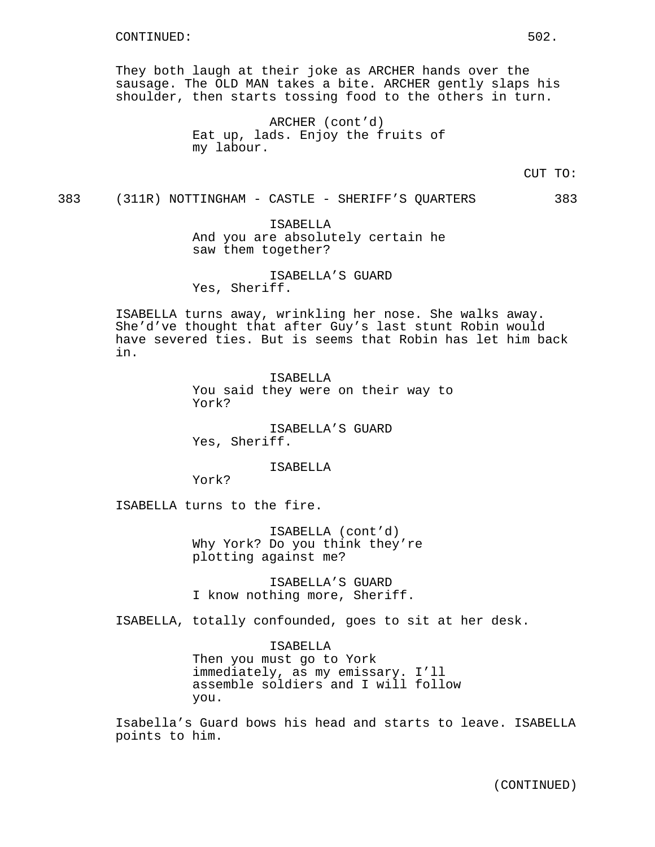They both laugh at their joke as ARCHER hands over the sausage. The OLD MAN takes a bite. ARCHER gently slaps his shoulder, then starts tossing food to the others in turn.

> ARCHER (cont'd) Eat up, lads. Enjoy the fruits of my labour.

> > CUT TO:

383 (311R) NOTTINGHAM - CASTLE - SHERIFF'S QUARTERS 383

ISABELLA And you are absolutely certain he saw them together?

ISABELLA'S GUARD Yes, Sheriff.

ISABELLA turns away, wrinkling her nose. She walks away. She'd've thought that after Guy's last stunt Robin would have severed ties. But is seems that Robin has let him back in.

> ISABELLA You said they were on their way to York?

ISABELLA'S GUARD Yes, Sheriff.

ISABELLA

York?

ISABELLA turns to the fire.

ISABELLA (cont'd) Why York? Do you think they're plotting against me?

ISABELLA'S GUARD I know nothing more, Sheriff.

ISABELLA, totally confounded, goes to sit at her desk.

ISABELLA Then you must go to York immediately, as my emissary. I'll assemble soldiers and I will follow you.

Isabella's Guard bows his head and starts to leave. ISABELLA points to him.

(CONTINUED)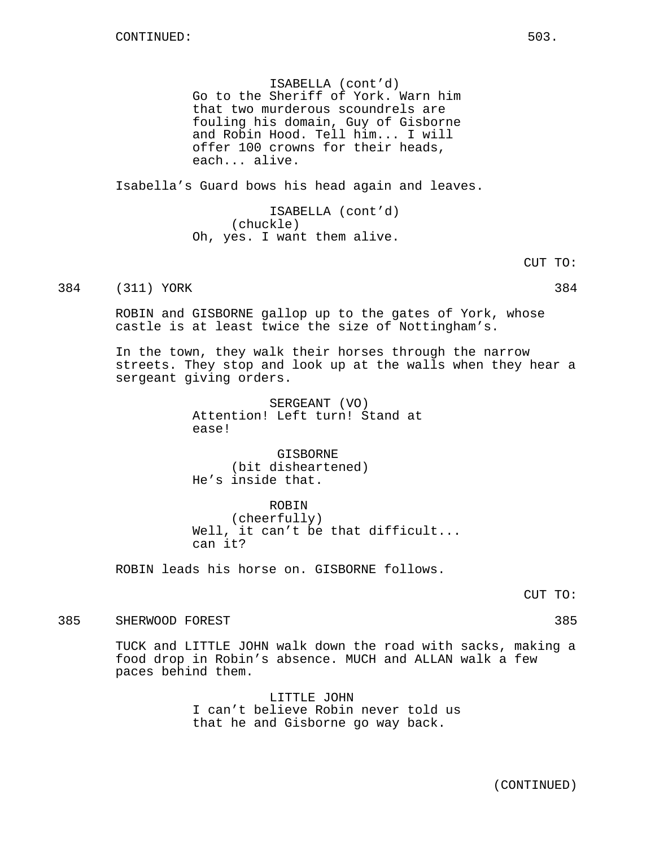ISABELLA (cont'd) Go to the Sheriff of York. Warn him that two murderous scoundrels are fouling his domain, Guy of Gisborne and Robin Hood. Tell him... I will offer 100 crowns for their heads, each... alive.

Isabella's Guard bows his head again and leaves.

ISABELLA (cont'd) (chuckle) Oh, yes. I want them alive.

384 (311) YORK 384 384

ROBIN and GISBORNE gallop up to the gates of York, whose castle is at least twice the size of Nottingham's.

In the town, they walk their horses through the narrow streets. They stop and look up at the walls when they hear a sergeant giving orders.

> SERGEANT (VO) Attention! Left turn! Stand at ease!

GISBORNE (bit disheartened) He's inside that.

ROBIN (cheerfully) Well, it can't be that difficult... can it?

ROBIN leads his horse on. GISBORNE follows.

CUT TO:

385 SHERWOOD FOREST 385

TUCK and LITTLE JOHN walk down the road with sacks, making a food drop in Robin's absence. MUCH and ALLAN walk a few paces behind them.

> LITTLE JOHN I can't believe Robin never told us that he and Gisborne go way back.

> > (CONTINUED)

CUT TO: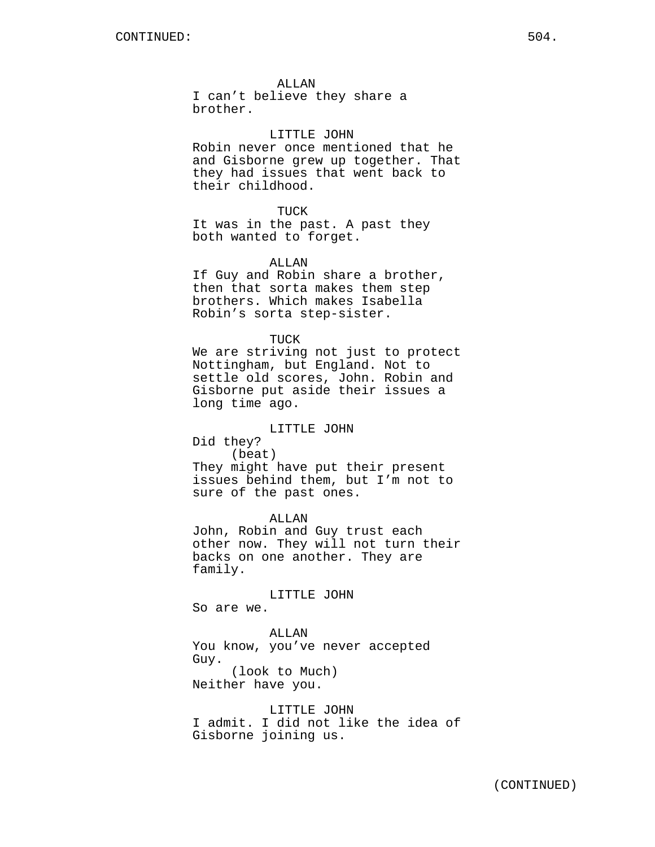#### ALLAN

I can't believe they share a brother.

#### LITTLE JOHN

Robin never once mentioned that he and Gisborne grew up together. That they had issues that went back to their childhood.

#### TUCK

It was in the past. A past they both wanted to forget.

#### ALLAN

If Guy and Robin share a brother, then that sorta makes them step brothers. Which makes Isabella Robin's sorta step-sister.

#### TUCK

We are striving not just to protect Nottingham, but England. Not to settle old scores, John. Robin and Gisborne put aside their issues a long time ago.

## LITTLE JOHN

Did they? (beat) They might have put their present issues behind them, but I'm not to sure of the past ones.

ALLAN

John, Robin and Guy trust each other now. They will not turn their backs on one another. They are family.

# LITTLE JOHN

So are we.

ALLAN You know, you've never accepted Guy. (look to Much) Neither have you.

LITTLE JOHN I admit. I did not like the idea of Gisborne joining us.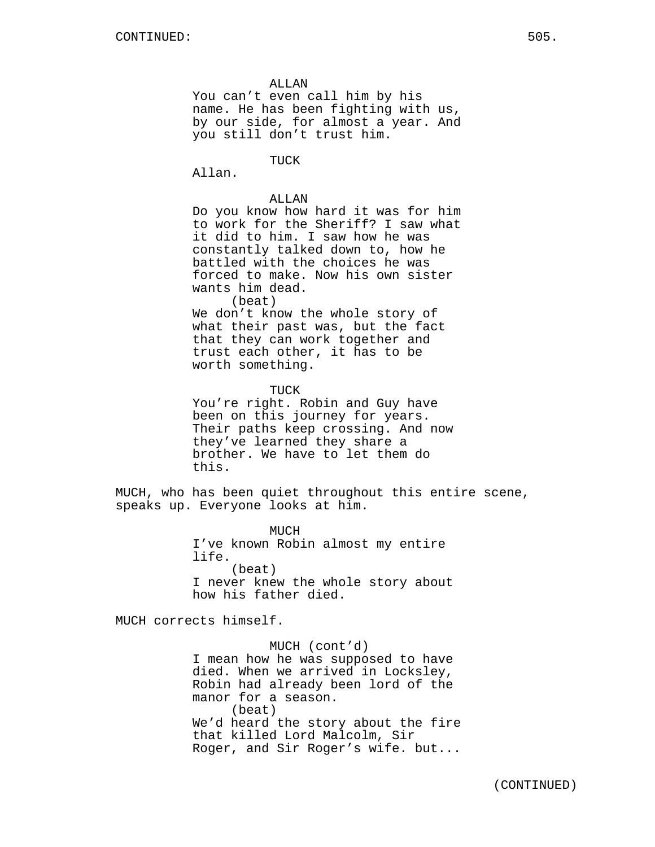ALLAN

You can't even call him by his name. He has been fighting with us, by our side, for almost a year. And you still don't trust him.

TUCK

Allan.

## ALLAN

Do you know how hard it was for him to work for the Sheriff? I saw what it did to him. I saw how he was constantly talked down to, how he battled with the choices he was forced to make. Now his own sister wants him dead.

(beat)

We don't know the whole story of what their past was, but the fact that they can work together and trust each other, it has to be worth something.

**TUCK** 

You're right. Robin and Guy have been on this journey for years. Their paths keep crossing. And now they've learned they share a brother. We have to let them do this.

MUCH, who has been quiet throughout this entire scene, speaks up. Everyone looks at him.

> MUCH I've known Robin almost my entire life. (beat) I never knew the whole story about how his father died.

MUCH corrects himself.

MUCH (cont'd) I mean how he was supposed to have died. When we arrived in Locksley, Robin had already been lord of the manor for a season. (beat) We'd heard the story about the fire that killed Lord Malcolm, Sir Roger, and Sir Roger's wife. but...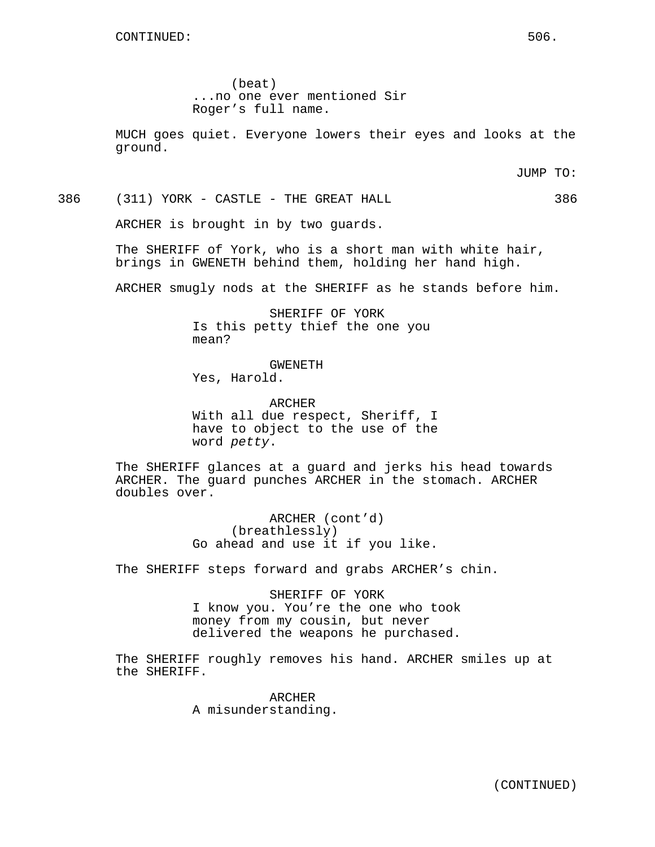(beat) ...no one ever mentioned Sir Roger's full name.

MUCH goes quiet. Everyone lowers their eyes and looks at the ground.

JUMP TO:

386 (311) YORK - CASTLE - THE GREAT HALL 386

ARCHER is brought in by two guards.

The SHERIFF of York, who is a short man with white hair, brings in GWENETH behind them, holding her hand high.

ARCHER smugly nods at the SHERIFF as he stands before him.

SHERIFF OF YORK Is this petty thief the one you mean?

GWENETH Yes, Harold.

ARCHER With all due respect, Sheriff, I have to object to the use of the word petty.

The SHERIFF glances at a guard and jerks his head towards ARCHER. The guard punches ARCHER in the stomach. ARCHER doubles over.

> ARCHER (cont'd) (breathlessly) Go ahead and use it if you like.

The SHERIFF steps forward and grabs ARCHER's chin.

SHERIFF OF YORK I know you. You're the one who took money from my cousin, but never delivered the weapons he purchased.

The SHERIFF roughly removes his hand. ARCHER smiles up at the SHERIFF.

> ARCHER A misunderstanding.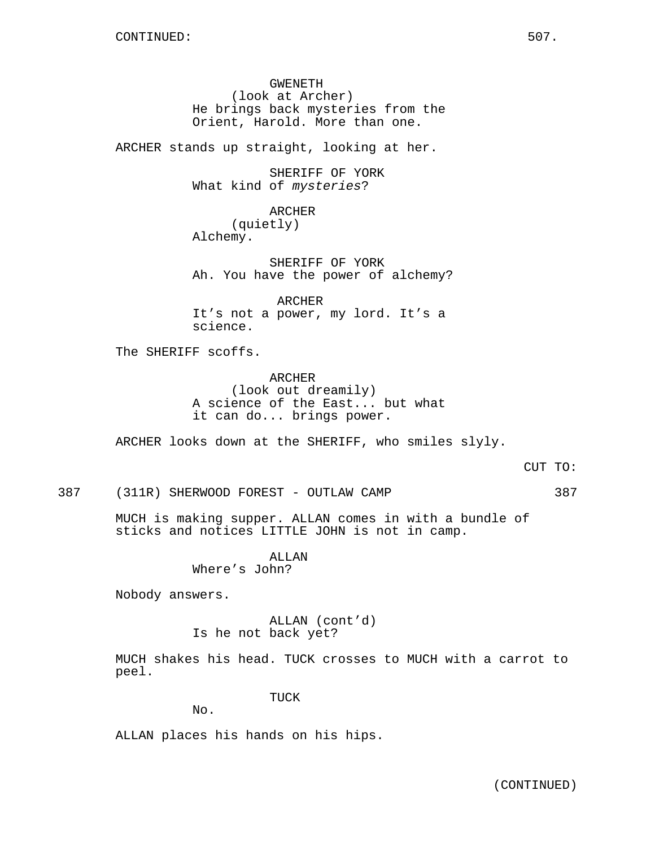GWENETH (look at Archer) He brings back mysteries from the Orient, Harold. More than one.

ARCHER stands up straight, looking at her.

SHERIFF OF YORK What kind of mysteries?

ARCHER (quietly) Alchemy.

SHERIFF OF YORK Ah. You have the power of alchemy?

ARCHER It's not a power, my lord. It's a science.

The SHERIFF scoffs.

ARCHER (look out dreamily) A science of the East... but what it can do... brings power.

ARCHER looks down at the SHERIFF, who smiles slyly.

387 (311R) SHERWOOD FOREST - OUTLAW CAMP 387

MUCH is making supper. ALLAN comes in with a bundle of sticks and notices LITTLE JOHN is not in camp.

> ALLAN Where's John?

Nobody answers.

ALLAN (cont'd) Is he not back yet?

MUCH shakes his head. TUCK crosses to MUCH with a carrot to peel.

TUCK

No.

ALLAN places his hands on his hips.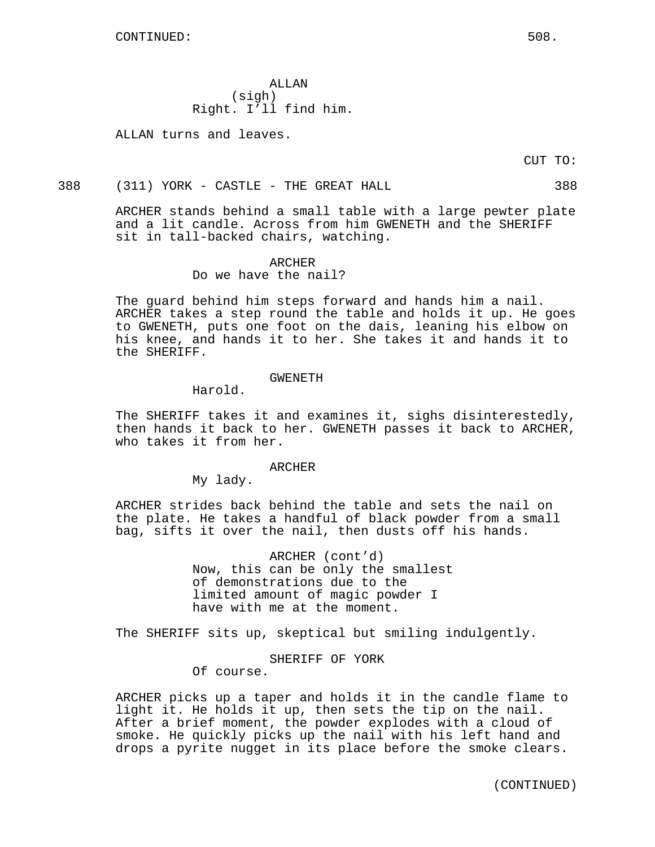ALLAN (sigh) Right. I'll find him.

ALLAN turns and leaves.

CUT TO:

#### 388 (311) YORK - CASTLE - THE GREAT HALL 388

ARCHER stands behind a small table with a large pewter plate and a lit candle. Across from him GWENETH and the SHERIFF sit in tall-backed chairs, watching.

#### ARCHER

Do we have the nail?

The guard behind him steps forward and hands him a nail. ARCHER takes a step round the table and holds it up. He goes to GWENETH, puts one foot on the dais, leaning his elbow on his knee, and hands it to her. She takes it and hands it to the SHERIFF.

#### GWENETH

Harold.

The SHERIFF takes it and examines it, sighs disinterestedly, then hands it back to her. GWENETH passes it back to ARCHER, who takes it from her.

#### ARCHER

My lady.

ARCHER strides back behind the table and sets the nail on the plate. He takes a handful of black powder from a small bag, sifts it over the nail, then dusts off his hands.

> ARCHER (cont'd) Now, this can be only the smallest of demonstrations due to the limited amount of magic powder I have with me at the moment.

The SHERIFF sits up, skeptical but smiling indulgently.

SHERIFF OF YORK

Of course.

ARCHER picks up a taper and holds it in the candle flame to light it. He holds it up, then sets the tip on the nail. After a brief moment, the powder explodes with a cloud of smoke. He quickly picks up the nail with his left hand and drops a pyrite nugget in its place before the smoke clears.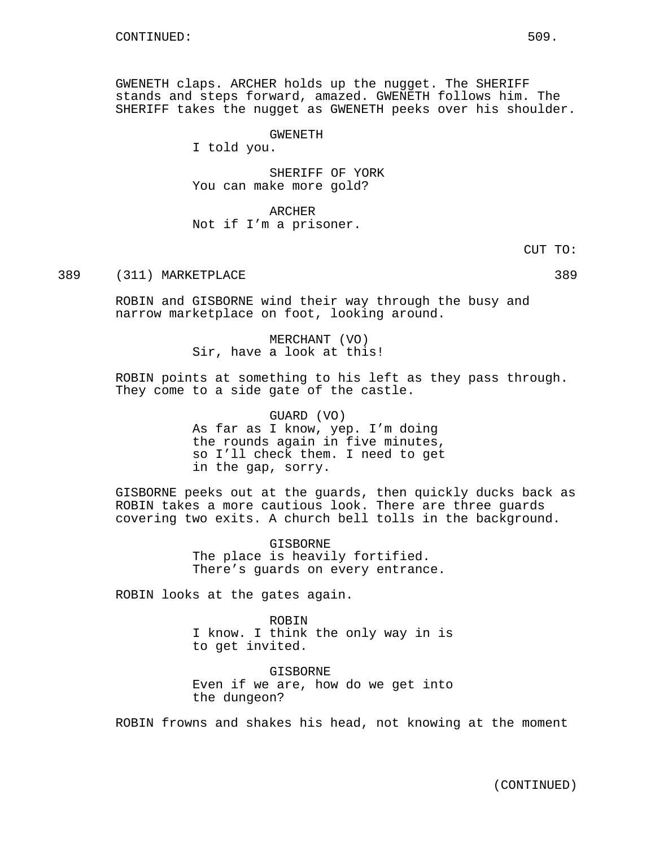GWENETH claps. ARCHER holds up the nugget. The SHERIFF stands and steps forward, amazed. GWENETH follows him. The SHERIFF takes the nugget as GWENETH peeks over his shoulder.

GWENETH

I told you.

SHERIFF OF YORK You can make more gold?

ARCHER Not if I'm a prisoner.

CUT TO:

389 (311) MARKETPLACE 389

ROBIN and GISBORNE wind their way through the busy and narrow marketplace on foot, looking around.

> MERCHANT (VO) Sir, have a look at this!

ROBIN points at something to his left as they pass through. They come to a side gate of the castle.

> GUARD (VO) As far as I know, yep. I'm doing the rounds again in five minutes, so I'll check them. I need to get in the gap, sorry.

GISBORNE peeks out at the guards, then quickly ducks back as ROBIN takes a more cautious look. There are three guards covering two exits. A church bell tolls in the background.

> GISBORNE The place is heavily fortified. There's guards on every entrance.

ROBIN looks at the gates again.

ROBIN I know. I think the only way in is to get invited.

GISBORNE Even if we are, how do we get into the dungeon?

ROBIN frowns and shakes his head, not knowing at the moment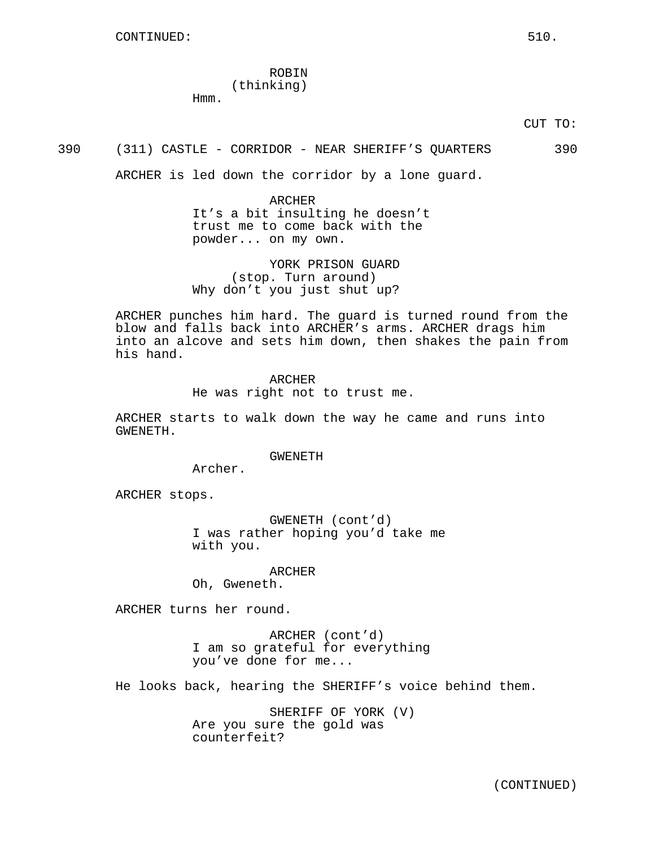ROBIN (thinking)

Hmm.

### 390 (311) CASTLE - CORRIDOR - NEAR SHERIFF'S QUARTERS 390

ARCHER is led down the corridor by a lone guard.

ARCHER It's a bit insulting he doesn't trust me to come back with the powder... on my own.

YORK PRISON GUARD (stop. Turn around) Why don't you just shut up?

ARCHER punches him hard. The guard is turned round from the blow and falls back into ARCHER's arms. ARCHER drags him into an alcove and sets him down, then shakes the pain from his hand.

> ARCHER He was right not to trust me.

ARCHER starts to walk down the way he came and runs into GWENETH.

GWENETH

Archer.

ARCHER stops.

GWENETH (cont'd) I was rather hoping you'd take me with you.

ARCHER

Oh, Gweneth.

ARCHER turns her round.

ARCHER (cont'd) I am so grateful for everything you've done for me...

He looks back, hearing the SHERIFF's voice behind them.

SHERIFF OF YORK (V) Are you sure the gold was counterfeit?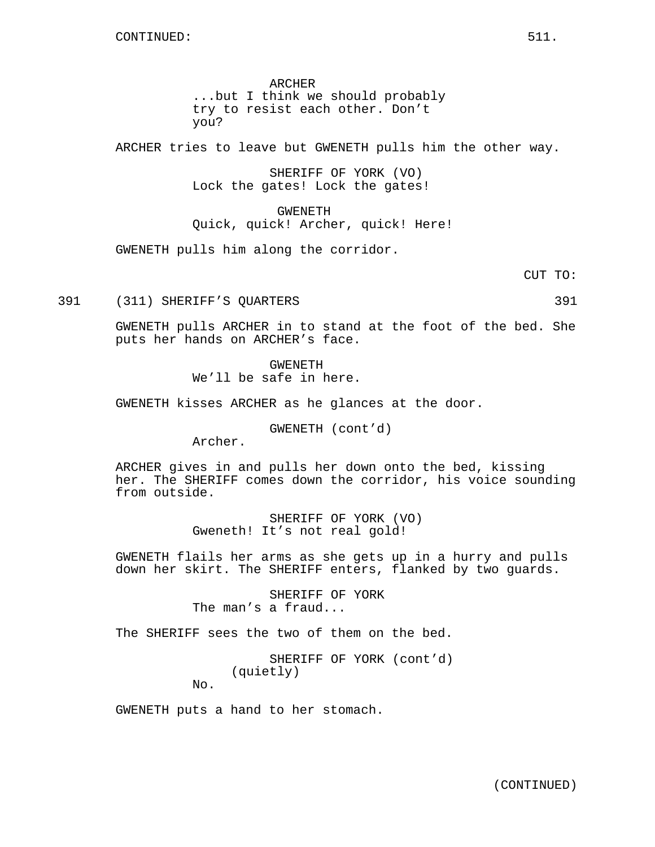ARCHER ...but I think we should probably try to resist each other. Don't you?

ARCHER tries to leave but GWENETH pulls him the other way.

SHERIFF OF YORK (VO) Lock the gates! Lock the gates!

GWENETH Quick, quick! Archer, quick! Here!

GWENETH pulls him along the corridor.

CUT TO:

391 (311) SHERIFF'S QUARTERS 391

GWENETH pulls ARCHER in to stand at the foot of the bed. She puts her hands on ARCHER's face.

> GWENETH We'll be safe in here.

GWENETH kisses ARCHER as he glances at the door.

GWENETH (cont'd)

Archer.

ARCHER gives in and pulls her down onto the bed, kissing her. The SHERIFF comes down the corridor, his voice sounding from outside.

> SHERIFF OF YORK (VO) Gweneth! It's not real gold!

GWENETH flails her arms as she gets up in a hurry and pulls down her skirt. The SHERIFF enters, flanked by two guards.

> SHERIFF OF YORK The man's a fraud...

The SHERIFF sees the two of them on the bed.

SHERIFF OF YORK (cont'd) (quietly)

No.

GWENETH puts a hand to her stomach.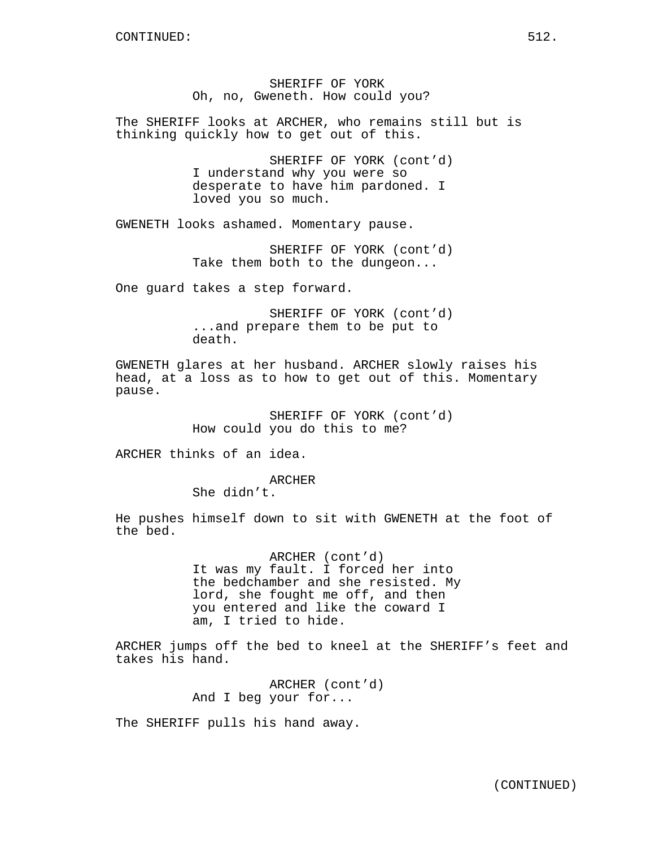SHERIFF OF YORK Oh, no, Gweneth. How could you?

The SHERIFF looks at ARCHER, who remains still but is thinking quickly how to get out of this.

> SHERIFF OF YORK (cont'd) I understand why you were so desperate to have him pardoned. I loved you so much.

GWENETH looks ashamed. Momentary pause.

SHERIFF OF YORK (cont'd) Take them both to the dungeon...

One guard takes a step forward.

SHERIFF OF YORK (cont'd) ...and prepare them to be put to death.

GWENETH glares at her husband. ARCHER slowly raises his head, at a loss as to how to get out of this. Momentary pause.

> SHERIFF OF YORK (cont'd) How could you do this to me?

ARCHER thinks of an idea.

ARCHER

She didn't.

He pushes himself down to sit with GWENETH at the foot of the bed.

> ARCHER (cont'd) It was my fault. I forced her into the bedchamber and she resisted. My lord, she fought me off, and then you entered and like the coward I am, I tried to hide.

ARCHER jumps off the bed to kneel at the SHERIFF's feet and takes his hand.

> ARCHER (cont'd) And I beg your for...

The SHERIFF pulls his hand away.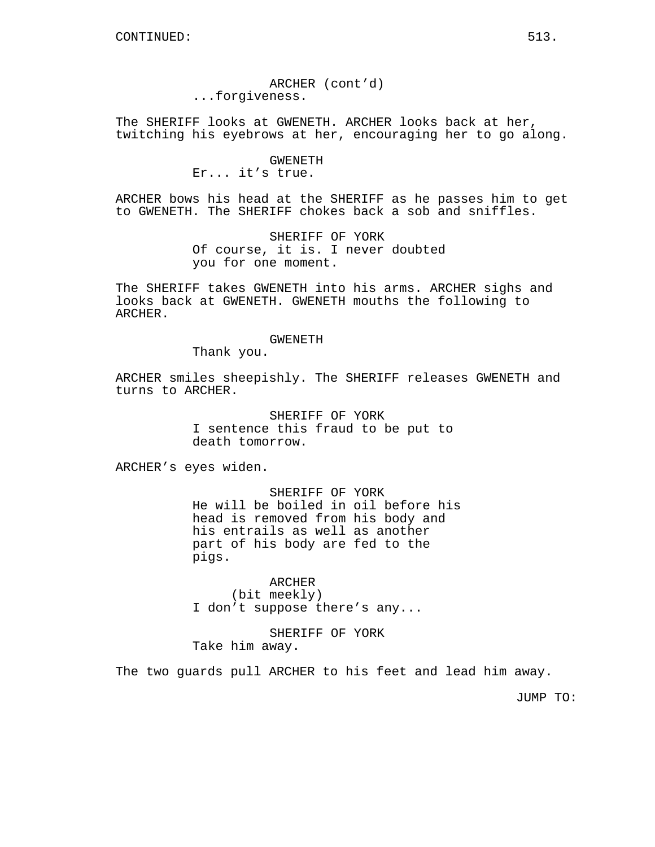ARCHER (cont'd) ...forgiveness.

The SHERIFF looks at GWENETH. ARCHER looks back at her, twitching his eyebrows at her, encouraging her to go along.

## GWENETH

Er... it's true.

ARCHER bows his head at the SHERIFF as he passes him to get to GWENETH. The SHERIFF chokes back a sob and sniffles.

> SHERIFF OF YORK Of course, it is. I never doubted you for one moment.

The SHERIFF takes GWENETH into his arms. ARCHER sighs and looks back at GWENETH. GWENETH mouths the following to ARCHER.

#### GWENETH

Thank you.

ARCHER smiles sheepishly. The SHERIFF releases GWENETH and turns to ARCHER.

> SHERIFF OF YORK I sentence this fraud to be put to death tomorrow.

ARCHER's eyes widen.

SHERIFF OF YORK He will be boiled in oil before his head is removed from his body and his entrails as well as another part of his body are fed to the pigs.

ARCHER (bit meekly) I don't suppose there's any...

SHERIFF OF YORK Take him away.

The two guards pull ARCHER to his feet and lead him away.

JUMP TO: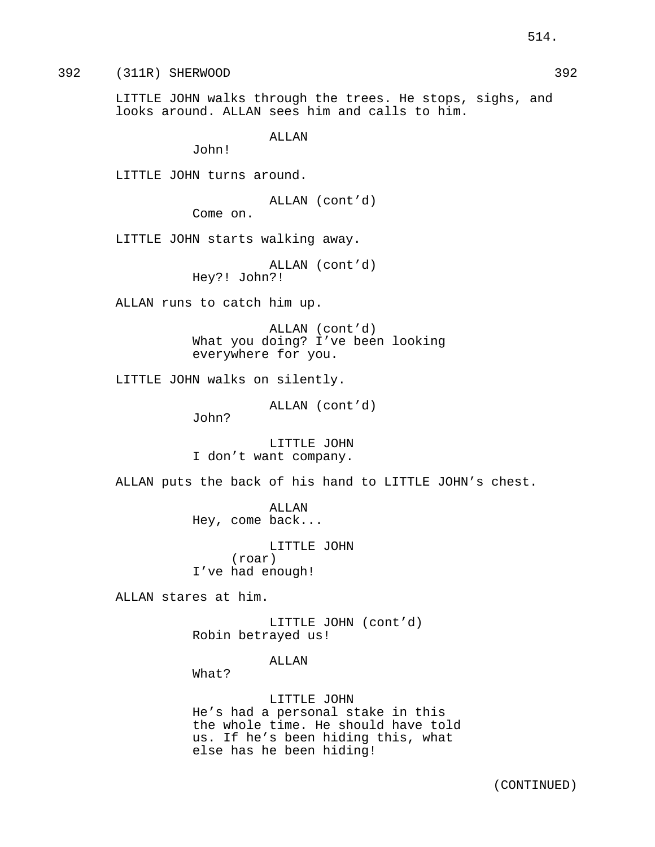392 (311R) SHERWOOD 392

LITTLE JOHN walks through the trees. He stops, sighs, and looks around. ALLAN sees him and calls to him.

ALLAN

John!

LITTLE JOHN turns around.

ALLAN (cont'd)

Come on.

LITTLE JOHN starts walking away.

ALLAN (cont'd) Hey?! John?!

ALLAN runs to catch him up.

ALLAN (cont'd) What you doing? I've been looking everywhere for you.

LITTLE JOHN walks on silently.

ALLAN (cont'd)

John?

LITTLE JOHN I don't want company.

ALLAN puts the back of his hand to LITTLE JOHN's chest.

ALLAN Hey, come back...

LITTLE JOHN (roar) I've had enough!

ALLAN stares at him.

LITTLE JOHN (cont'd) Robin betrayed us!

### ALLAN

What?

LITTLE JOHN He's had a personal stake in this the whole time. He should have told us. If he's been hiding this, what else has he been hiding!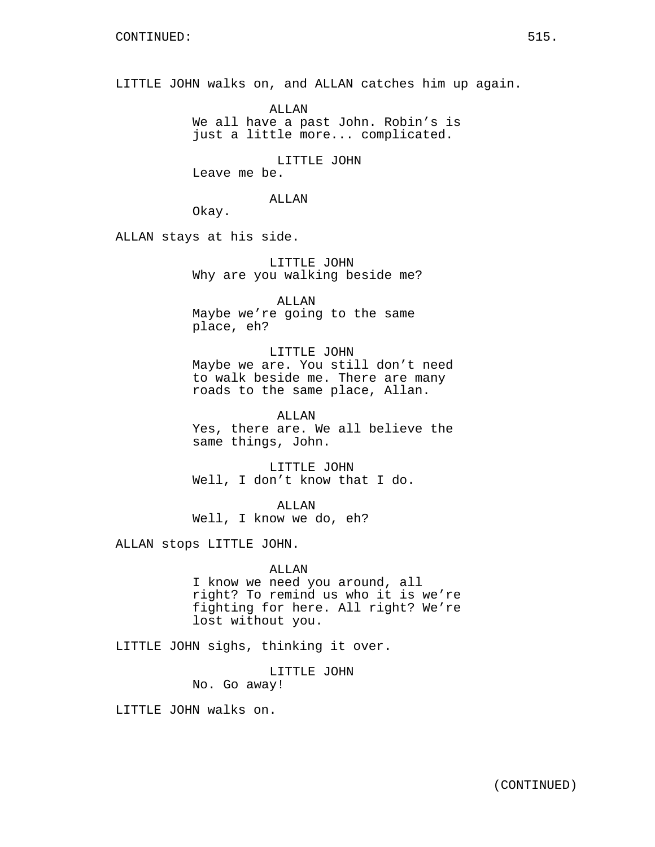LITTLE JOHN walks on, and ALLAN catches him up again.

ALLAN We all have a past John. Robin's is just a little more... complicated.

LITTLE JOHN

Leave me be.

### ALLAN

Okay.

ALLAN stays at his side.

LITTLE JOHN Why are you walking beside me?

ALLAN Maybe we're going to the same place, eh?

## LITTLE JOHN

Maybe we are. You still don't need to walk beside me. There are many roads to the same place, Allan.

ALLAN Yes, there are. We all believe the same things, John.

LITTLE JOHN Well, I don't know that I do.

ALLAN Well, I know we do, eh?

ALLAN stops LITTLE JOHN.

### ALLAN

I know we need you around, all right? To remind us who it is we're fighting for here. All right? We're lost without you.

LITTLE JOHN sighs, thinking it over.

LITTLE JOHN No. Go away!

LITTLE JOHN walks on.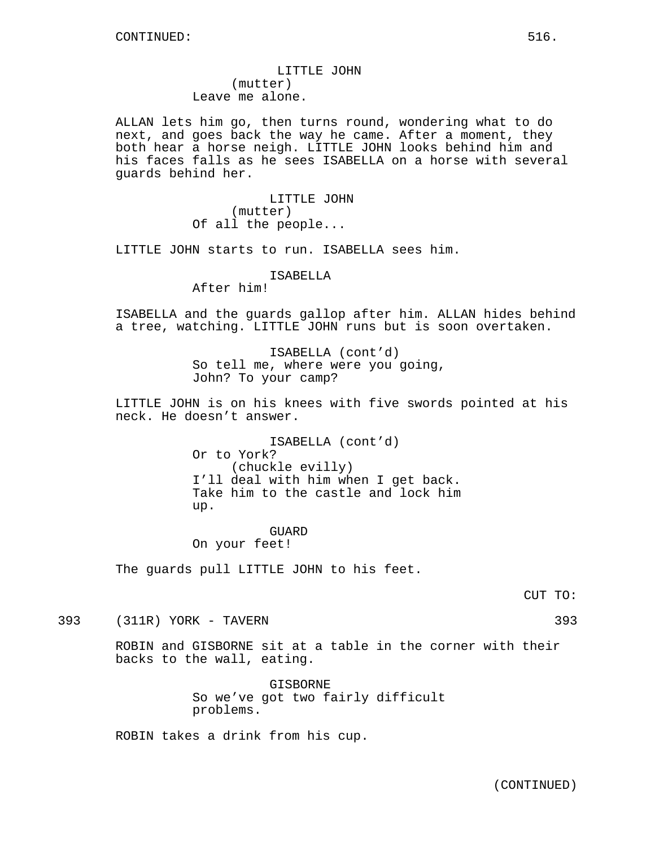LITTLE JOHN (mutter) Leave me alone.

ALLAN lets him go, then turns round, wondering what to do next, and goes back the way he came. After a moment, they both hear a horse neigh. LITTLE JOHN looks behind him and his faces falls as he sees ISABELLA on a horse with several guards behind her.

> LITTLE JOHN (mutter) Of all the people...

LITTLE JOHN starts to run. ISABELLA sees him.

ISABELLA

After him!

ISABELLA and the guards gallop after him. ALLAN hides behind a tree, watching. LITTLE JOHN runs but is soon overtaken.

> ISABELLA (cont'd) So tell me, where were you going, John? To your camp?

LITTLE JOHN is on his knees with five swords pointed at his neck. He doesn't answer.

> ISABELLA (cont'd) Or to York? (chuckle evilly) I'll deal with him when I get back. Take him to the castle and lock him up.

GUARD On your feet!

The guards pull LITTLE JOHN to his feet.

CUT TO:

393 (311R) YORK - TAVERN 393

ROBIN and GISBORNE sit at a table in the corner with their backs to the wall, eating.

> GISBORNE So we've got two fairly difficult problems.

ROBIN takes a drink from his cup.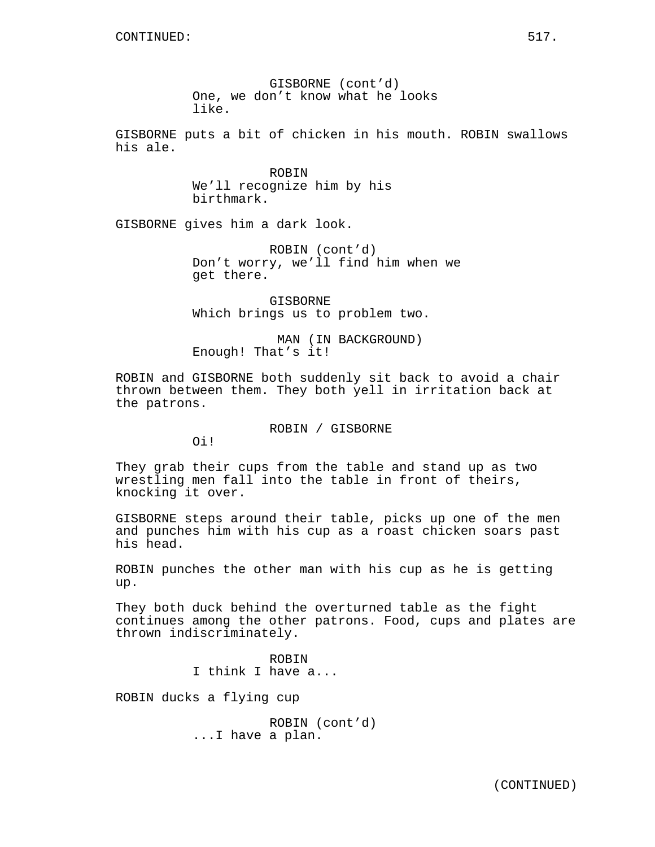GISBORNE (cont'd) One, we don't know what he looks like.

GISBORNE puts a bit of chicken in his mouth. ROBIN swallows his ale.

> ROBIN We'll recognize him by his birthmark.

GISBORNE gives him a dark look.

ROBIN (cont'd) Don't worry, we'll find him when we get there.

GISBORNE Which brings us to problem two.

MAN (IN BACKGROUND) Enough! That's it!

ROBIN and GISBORNE both suddenly sit back to avoid a chair thrown between them. They both yell in irritation back at the patrons.

ROBIN / GISBORNE

Oi!

They grab their cups from the table and stand up as two wrestling men fall into the table in front of theirs, knocking it over.

GISBORNE steps around their table, picks up one of the men and punches him with his cup as a roast chicken soars past his head.

ROBIN punches the other man with his cup as he is getting up.

They both duck behind the overturned table as the fight continues among the other patrons. Food, cups and plates are thrown indiscriminately.

> ROBIN I think I have a...

ROBIN ducks a flying cup

ROBIN (cont'd) ...I have a plan.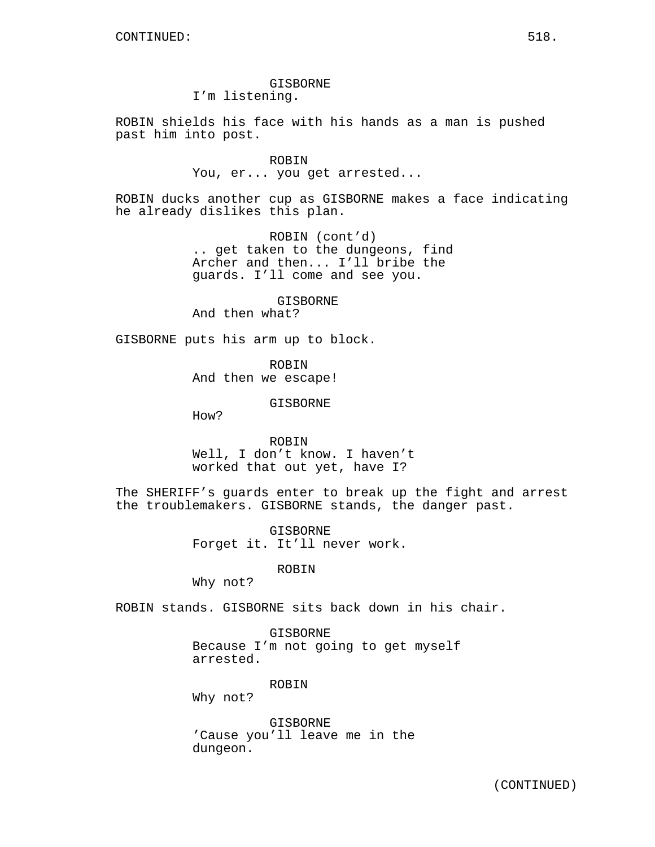GISBORNE I'm listening.

ROBIN shields his face with his hands as a man is pushed past him into post.

> ROBIN You, er... you get arrested...

ROBIN ducks another cup as GISBORNE makes a face indicating he already dislikes this plan.

> ROBIN (cont'd) .. get taken to the dungeons, find Archer and then... I'll bribe the guards. I'll come and see you.

> > GISBORNE

And then what?

GISBORNE puts his arm up to block.

ROBIN And then we escape!

GISBORNE

How?

ROBIN Well, I don't know. I haven't worked that out yet, have I?

The SHERIFF's guards enter to break up the fight and arrest the troublemakers. GISBORNE stands, the danger past.

> GISBORNE Forget it. It'll never work.

> > ROBIN

Why not?

ROBIN stands. GISBORNE sits back down in his chair.

GISBORNE Because I'm not going to get myself arrested.

ROBIN

Why not?

GISBORNE 'Cause you'll leave me in the dungeon.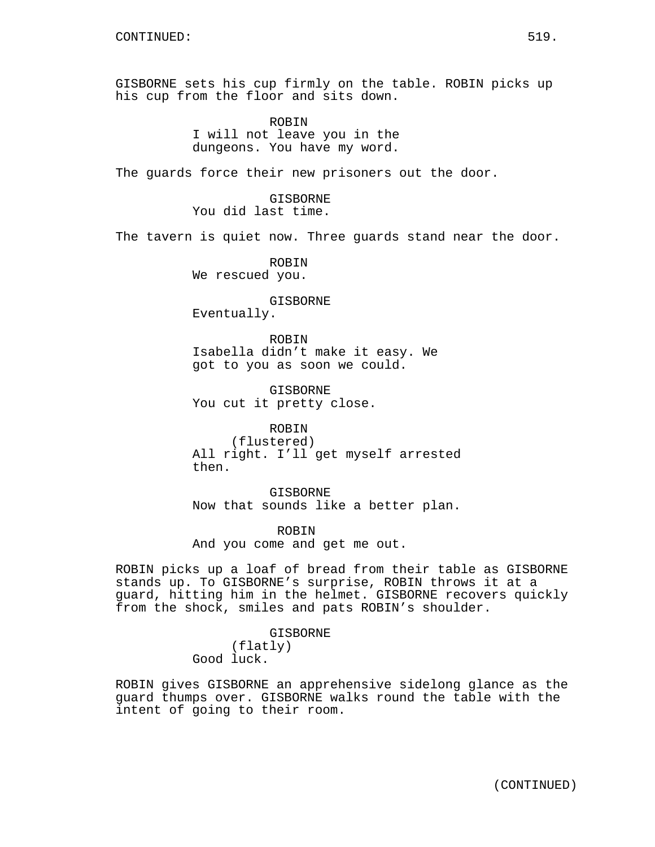GISBORNE sets his cup firmly on the table. ROBIN picks up his cup from the floor and sits down.

> ROBIN I will not leave you in the dungeons. You have my word.

The guards force their new prisoners out the door.

GISBORNE You did last time.

The tavern is quiet now. Three guards stand near the door.

ROBIN We rescued you.

GISBORNE

Eventually.

ROBIN Isabella didn't make it easy. We got to you as soon we could.

**GISBORNE** You cut it pretty close.

ROBIN (flustered) All right. I'll get myself arrested then.

GISBORNE Now that sounds like a better plan.

ROBIN And you come and get me out.

ROBIN picks up a loaf of bread from their table as GISBORNE stands up. To GISBORNE's surprise, ROBIN throws it at a guard, hitting him in the helmet. GISBORNE recovers quickly from the shock, smiles and pats ROBIN's shoulder.

> GISBORNE (flatly) Good luck.

ROBIN gives GISBORNE an apprehensive sidelong glance as the guard thumps over. GISBORNE walks round the table with the intent of going to their room.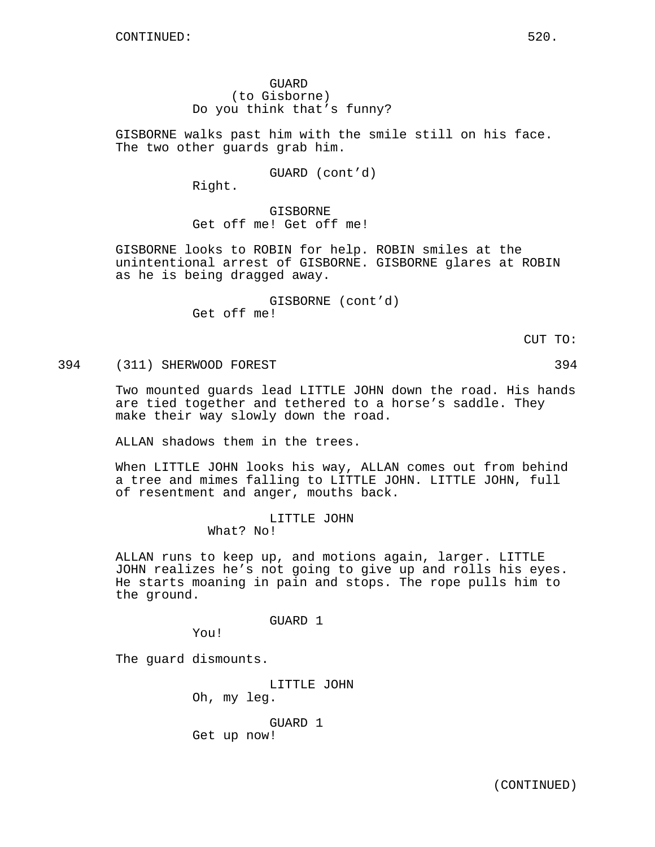GUARD (to Gisborne) Do you think that's funny?

GISBORNE walks past him with the smile still on his face. The two other guards grab him.

GUARD (cont'd)

Right.

GISBORNE Get off me! Get off me!

GISBORNE looks to ROBIN for help. ROBIN smiles at the unintentional arrest of GISBORNE. GISBORNE glares at ROBIN as he is being dragged away.

> GISBORNE (cont'd) Get off me!

> > CUT TO:

394 (311) SHERWOOD FOREST 394

Two mounted guards lead LITTLE JOHN down the road. His hands are tied together and tethered to a horse's saddle. They make their way slowly down the road.

ALLAN shadows them in the trees.

When LITTLE JOHN looks his way, ALLAN comes out from behind a tree and mimes falling to LITTLE JOHN. LITTLE JOHN, full of resentment and anger, mouths back.

> LITTLE JOHN What? No!

ALLAN runs to keep up, and motions again, larger. LITTLE JOHN realizes he's not going to give up and rolls his eyes. He starts moaning in pain and stops. The rope pulls him to the ground.

GUARD 1

You!

The guard dismounts.

LITTLE JOHN Oh, my leg. GUARD 1 Get up now!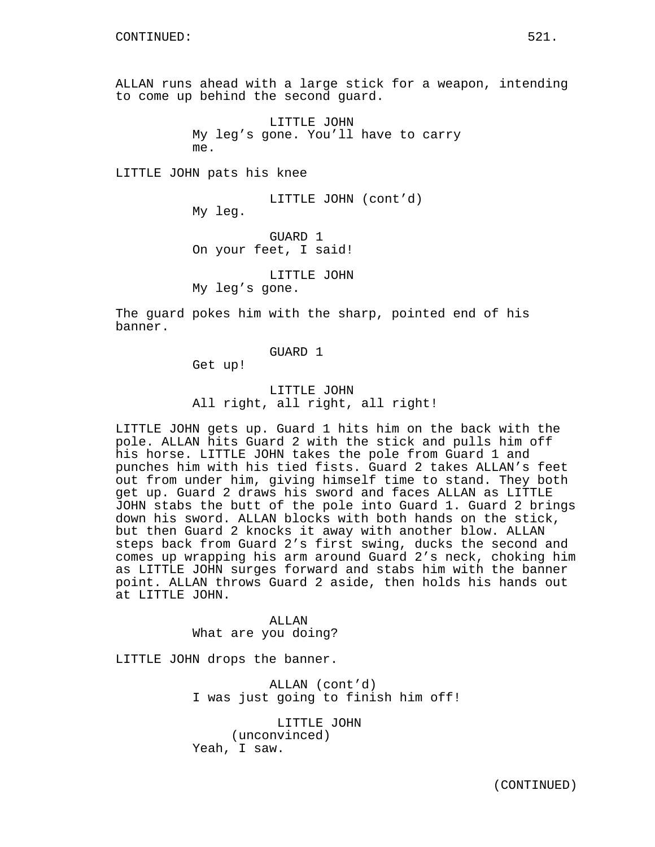ALLAN runs ahead with a large stick for a weapon, intending to come up behind the second guard.

> LITTLE JOHN My leg's gone. You'll have to carry me.

LITTLE JOHN pats his knee

LITTLE JOHN (cont'd) My leg.

GUARD 1 On your feet, I said!

LITTLE JOHN

My leg's gone.

The guard pokes him with the sharp, pointed end of his banner.

GUARD 1

Get up!

## LITTLE JOHN All right, all right, all right!

LITTLE JOHN gets up. Guard 1 hits him on the back with the pole. ALLAN hits Guard 2 with the stick and pulls him off his horse. LITTLE JOHN takes the pole from Guard 1 and punches him with his tied fists. Guard 2 takes ALLAN's feet out from under him, giving himself time to stand. They both get up. Guard 2 draws his sword and faces ALLAN as LITTLE JOHN stabs the butt of the pole into Guard 1. Guard 2 brings down his sword. ALLAN blocks with both hands on the stick, but then Guard 2 knocks it away with another blow. ALLAN steps back from Guard 2's first swing, ducks the second and comes up wrapping his arm around Guard 2's neck, choking him as LITTLE JOHN surges forward and stabs him with the banner point. ALLAN throws Guard 2 aside, then holds his hands out at LITTLE JOHN.

> ALLAN What are you doing?

LITTLE JOHN drops the banner.

ALLAN (cont'd) I was just going to finish him off!

LITTLE JOHN (unconvinced) Yeah, I saw.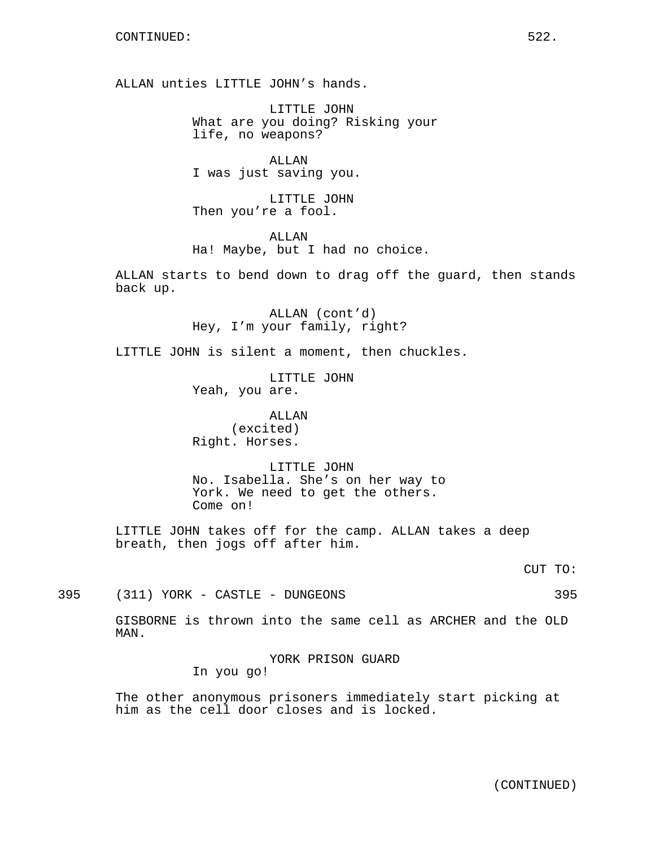ALLAN unties LITTLE JOHN's hands.

LITTLE JOHN What are you doing? Risking your life, no weapons?

ALLAN I was just saving you.

LITTLE JOHN Then you're a fool.

ALLAN Ha! Maybe, but I had no choice.

ALLAN starts to bend down to drag off the guard, then stands back up.

> ALLAN (cont'd) Hey, I'm your family, right?

LITTLE JOHN is silent a moment, then chuckles.

LITTLE JOHN Yeah, you are.

ALLAN (excited) Right. Horses.

LITTLE JOHN No. Isabella. She's on her way to York. We need to get the others. Come on!

LITTLE JOHN takes off for the camp. ALLAN takes a deep breath, then jogs off after him.

CUT TO:

395 (311) YORK - CASTLE - DUNGEONS 395

GISBORNE is thrown into the same cell as ARCHER and the OLD MAN.

> YORK PRISON GUARD In you go!

The other anonymous prisoners immediately start picking at him as the cell door closes and is locked.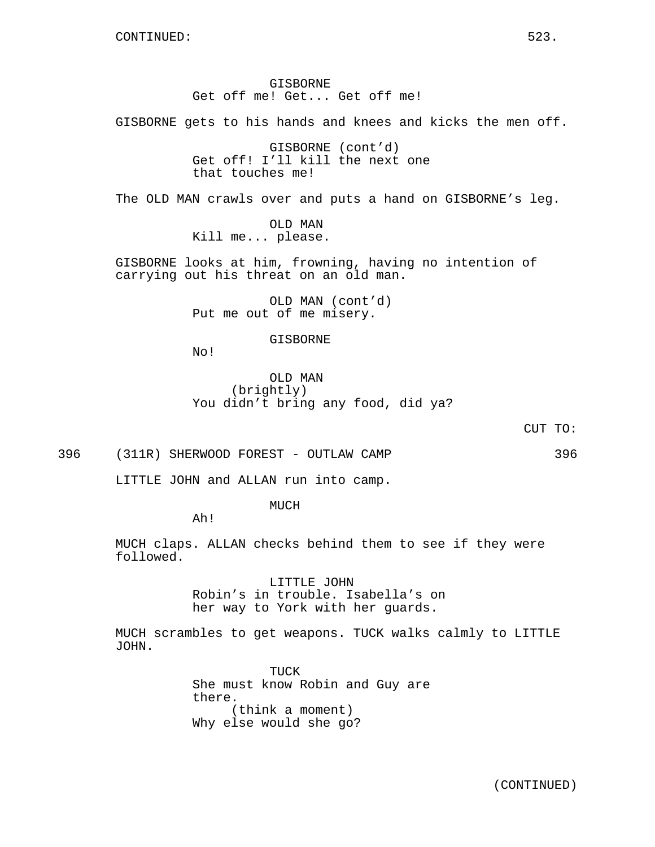GISBORNE Get off me! Get... Get off me!

GISBORNE gets to his hands and knees and kicks the men off.

GISBORNE (cont'd) Get off! I'll kill the next one that touches me!

The OLD MAN crawls over and puts a hand on GISBORNE's leg.

OLD MAN Kill me... please.

GISBORNE looks at him, frowning, having no intention of carrying out his threat on an old man.

> OLD MAN (cont'd) Put me out of me misery.

> > GISBORNE

No!

OLD MAN (brightly) You didn't bring any food, did ya?

CUT TO:

396 (311R) SHERWOOD FOREST - OUTLAW CAMP 396

LITTLE JOHN and ALLAN run into camp.

MUCH

Ah!

MUCH claps. ALLAN checks behind them to see if they were followed.

> LITTLE JOHN Robin's in trouble. Isabella's on her way to York with her guards.

MUCH scrambles to get weapons. TUCK walks calmly to LITTLE JOHN.

> TUCK She must know Robin and Guy are there. (think a moment) Why else would she go?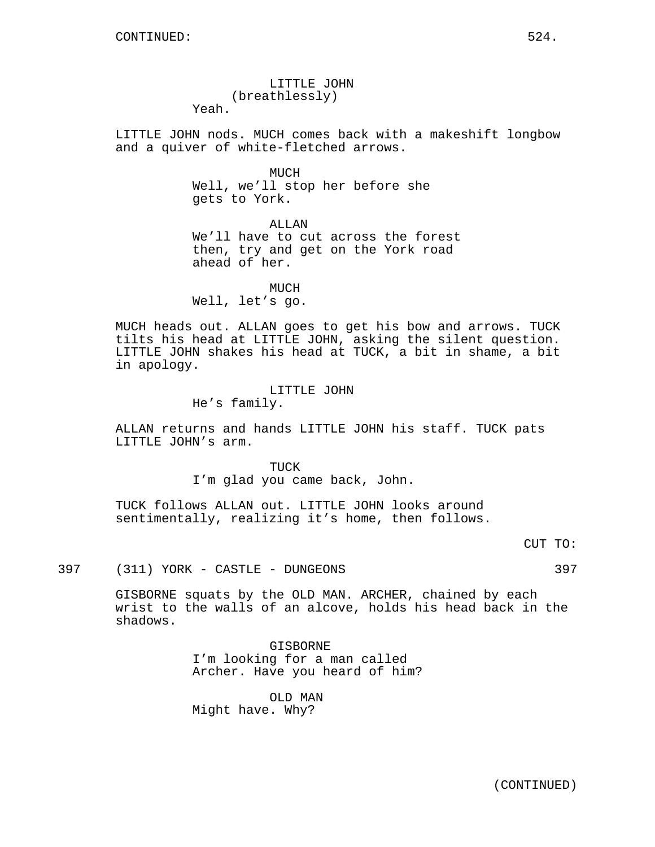LITTLE JOHN (breathlessly) Yeah.

LITTLE JOHN nods. MUCH comes back with a makeshift longbow and a quiver of white-fletched arrows.

> MUCH Well, we'll stop her before she gets to York.

ALLAN We'll have to cut across the forest then, try and get on the York road ahead of her.

MUCH Well, let's go.

MUCH heads out. ALLAN goes to get his bow and arrows. TUCK tilts his head at LITTLE JOHN, asking the silent question. LITTLE JOHN shakes his head at TUCK, a bit in shame, a bit in apology.

> LITTLE JOHN He's family.

ALLAN returns and hands LITTLE JOHN his staff. TUCK pats LITTLE JOHN's arm.

> TIJCK I'm glad you came back, John.

TUCK follows ALLAN out. LITTLE JOHN looks around sentimentally, realizing it's home, then follows.

CUT TO:

397 (311) YORK - CASTLE - DUNGEONS 397

GISBORNE squats by the OLD MAN. ARCHER, chained by each wrist to the walls of an alcove, holds his head back in the shadows.

> GISBORNE I'm looking for a man called Archer. Have you heard of him?

OLD MAN Might have. Why?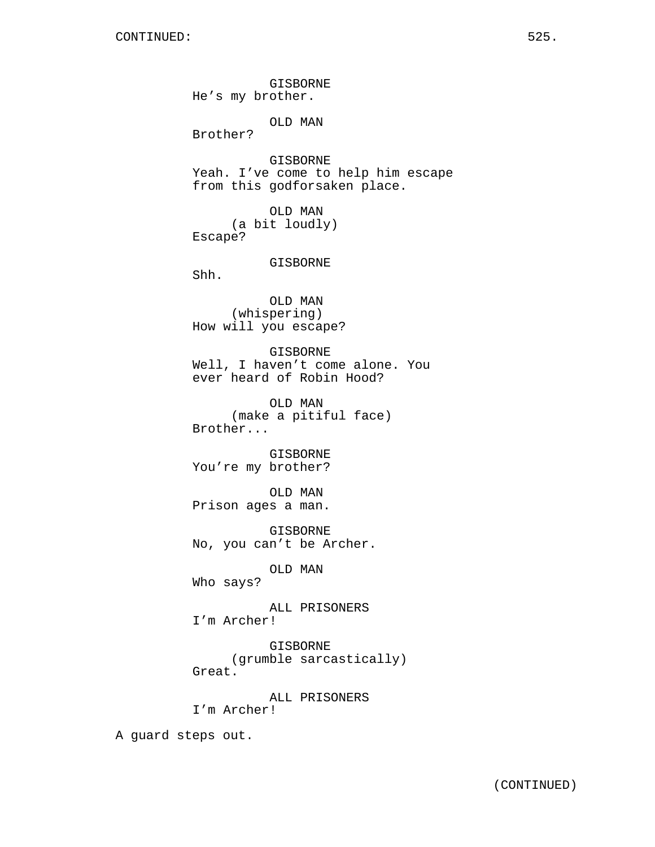GISBORNE He's my brother. OLD MAN Brother? GISBORNE Yeah. I've come to help him escape from this godforsaken place. OLD MAN (a bit loudly) Escape? GISBORNE Shh. OLD MAN (whispering) How will you escape? GISBORNE Well, I haven't come alone. You ever heard of Robin Hood? OLD MAN (make a pitiful face) Brother... GISBORNE You're my brother? OLD MAN Prison ages a man. GISBORNE No, you can't be Archer. OLD MAN Who says? ALL PRISONERS I'm Archer! GISBORNE (grumble sarcastically) Great. ALL PRISONERS I'm Archer! A guard steps out.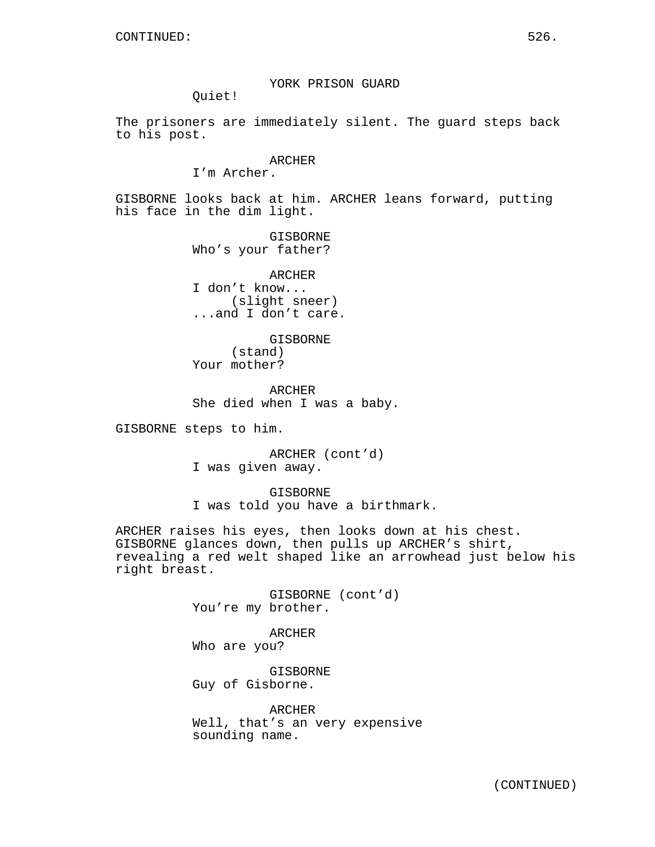YORK PRISON GUARD

Quiet!

The prisoners are immediately silent. The guard steps back to his post.

## ARCHER

I'm Archer.

GISBORNE looks back at him. ARCHER leans forward, putting his face in the dim light.

> GISBORNE Who's your father?

ARCHER I don't know... (slight sneer) ...and I don't care.

GISBORNE (stand) Your mother?

ARCHER She died when I was a baby.

GISBORNE steps to him.

ARCHER (cont'd) I was given away.

GISBORNE I was told you have a birthmark.

ARCHER raises his eyes, then looks down at his chest. GISBORNE glances down, then pulls up ARCHER's shirt, revealing a red welt shaped like an arrowhead just below his right breast.

> GISBORNE (cont'd) You're my brother.

ARCHER Who are you?

GISBORNE Guy of Gisborne.

ARCHER Well, that's an very expensive sounding name.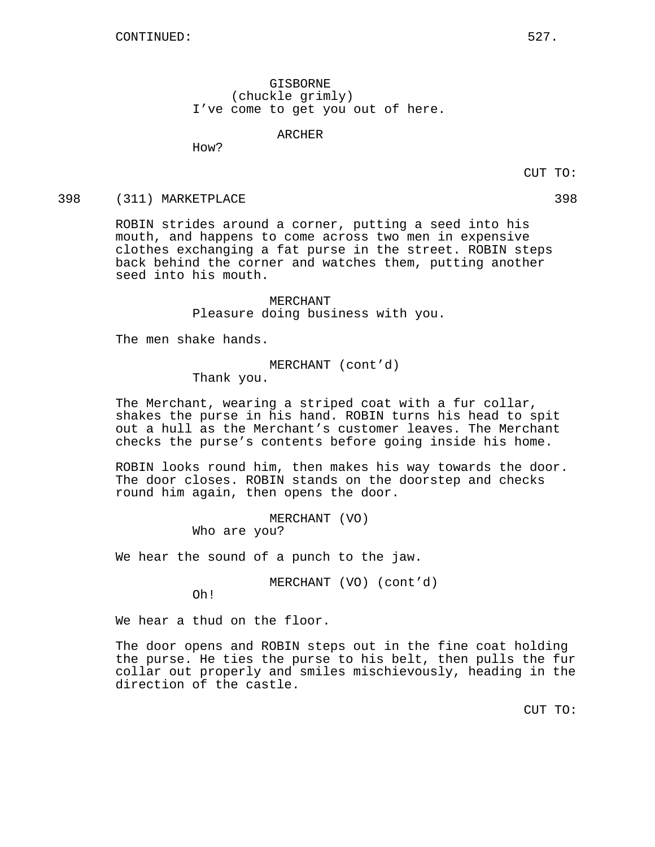GISBORNE (chuckle grimly) I've come to get you out of here.

#### ARCHER

How?

CUT TO:

### 398 (311) MARKETPLACE 398

ROBIN strides around a corner, putting a seed into his mouth, and happens to come across two men in expensive clothes exchanging a fat purse in the street. ROBIN steps back behind the corner and watches them, putting another seed into his mouth.

> MERCHANT Pleasure doing business with you.

The men shake hands.

MERCHANT (cont'd)

Thank you.

The Merchant, wearing a striped coat with a fur collar, shakes the purse in his hand. ROBIN turns his head to spit out a hull as the Merchant's customer leaves. The Merchant checks the purse's contents before going inside his home.

ROBIN looks round him, then makes his way towards the door. The door closes. ROBIN stands on the doorstep and checks round him again, then opens the door.

> MERCHANT (VO) Who are you?

We hear the sound of a punch to the jaw.

MERCHANT (VO) (cont'd)

Oh!

We hear a thud on the floor.

The door opens and ROBIN steps out in the fine coat holding the purse. He ties the purse to his belt, then pulls the fur collar out properly and smiles mischievously, heading in the direction of the castle.

CUT TO: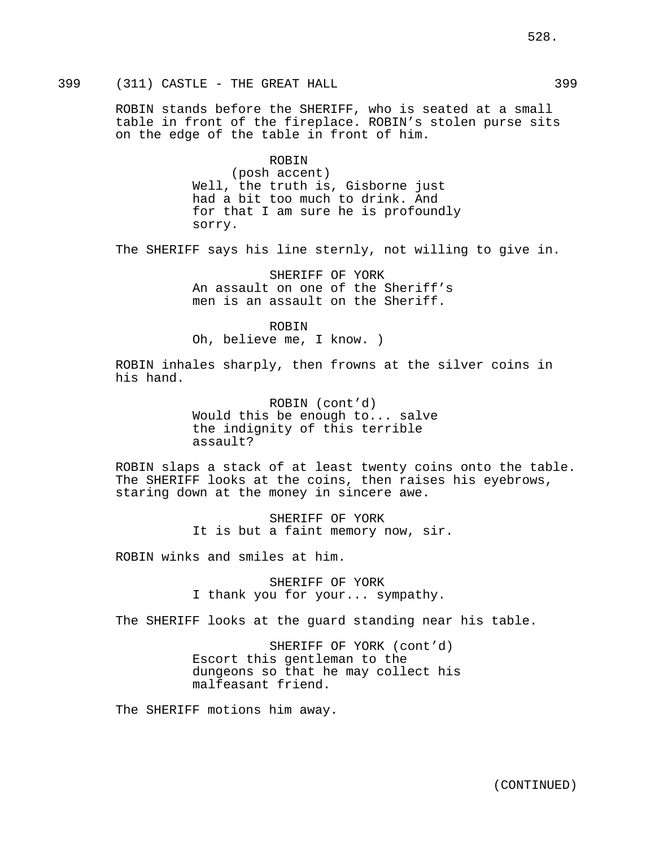ROBIN stands before the SHERIFF, who is seated at a small table in front of the fireplace. ROBIN's stolen purse sits on the edge of the table in front of him.

> ROBIN (posh accent) Well, the truth is, Gisborne just had a bit too much to drink. And for that I am sure he is profoundly sorry.

The SHERIFF says his line sternly, not willing to give in.

SHERIFF OF YORK An assault on one of the Sheriff's men is an assault on the Sheriff.

ROBIN Oh, believe me, I know. )

ROBIN inhales sharply, then frowns at the silver coins in his hand.

> ROBIN (cont'd) Would this be enough to... salve the indignity of this terrible assault?

ROBIN slaps a stack of at least twenty coins onto the table. The SHERIFF looks at the coins, then raises his eyebrows, staring down at the money in sincere awe.

> SHERIFF OF YORK It is but a faint memory now, sir.

ROBIN winks and smiles at him.

SHERIFF OF YORK I thank you for your... sympathy.

The SHERIFF looks at the guard standing near his table.

SHERIFF OF YORK (cont'd) Escort this gentleman to the dungeons so that he may collect his malfeasant friend.

The SHERIFF motions him away.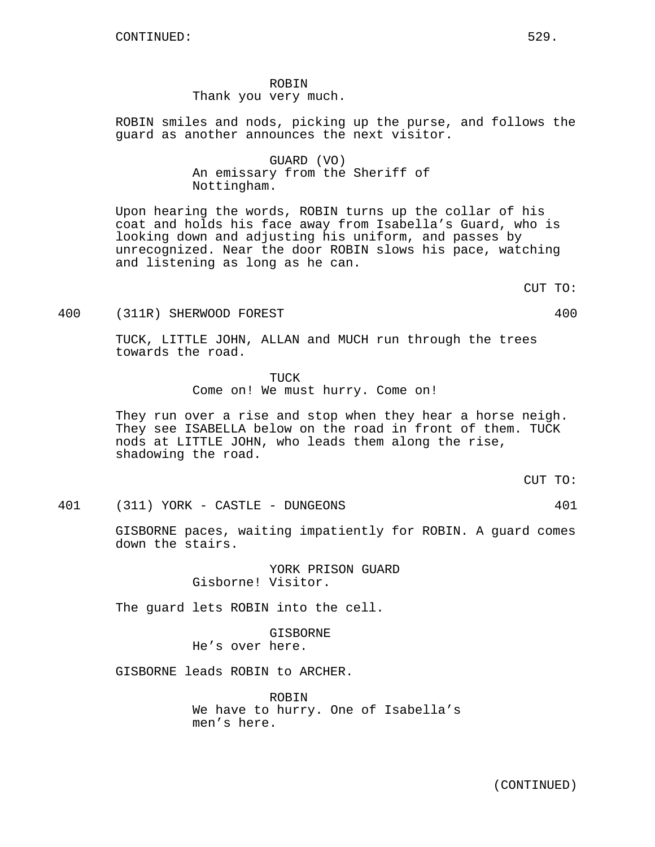ROBIN Thank you very much.

ROBIN smiles and nods, picking up the purse, and follows the guard as another announces the next visitor.

> GUARD (VO) An emissary from the Sheriff of Nottingham.

Upon hearing the words, ROBIN turns up the collar of his coat and holds his face away from Isabella's Guard, who is looking down and adjusting his uniform, and passes by unrecognized. Near the door ROBIN slows his pace, watching and listening as long as he can.

CUT TO:

400 (311R) SHERWOOD FOREST 400

TUCK, LITTLE JOHN, ALLAN and MUCH run through the trees towards the road.

> TUCK Come on! We must hurry. Come on!

They run over a rise and stop when they hear a horse neigh. They see ISABELLA below on the road in front of them. TUCK nods at LITTLE JOHN, who leads them along the rise, shadowing the road.

CUT TO:

401 (311) YORK - CASTLE - DUNGEONS 401

GISBORNE paces, waiting impatiently for ROBIN. A guard comes down the stairs.

> YORK PRISON GUARD Gisborne! Visitor.

The guard lets ROBIN into the cell.

GISBORNE He's over here.

GISBORNE leads ROBIN to ARCHER.

ROBIN We have to hurry. One of Isabella's men's here.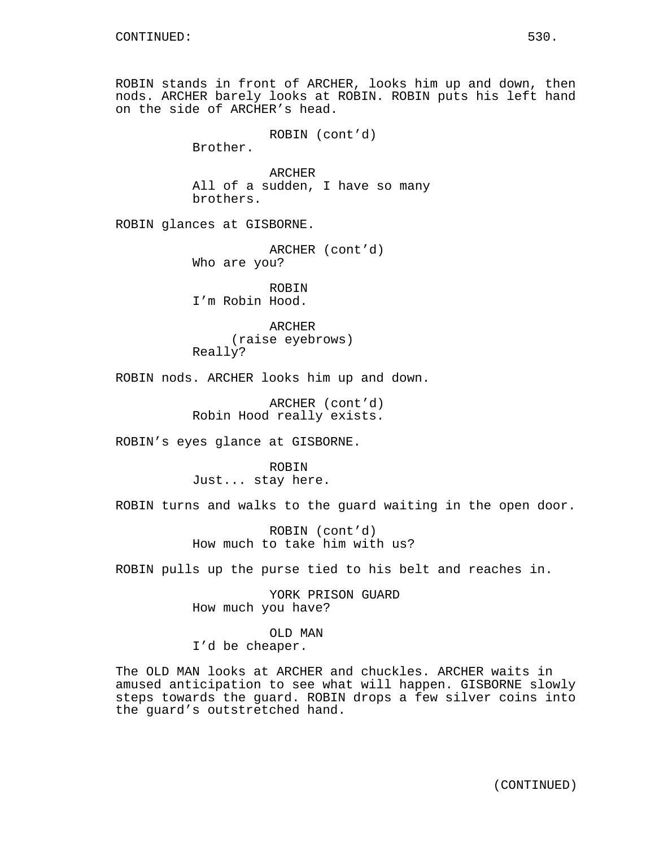ROBIN stands in front of ARCHER, looks him up and down, then nods. ARCHER barely looks at ROBIN. ROBIN puts his left hand on the side of ARCHER's head.

```
ROBIN (cont'd)
```
Brother.

**ARCHER** All of a sudden, I have so many brothers.

ROBIN glances at GISBORNE.

ARCHER (cont'd) Who are you?

ROBIN I'm Robin Hood.

ARCHER (raise eyebrows) Really?

ROBIN nods. ARCHER looks him up and down.

ARCHER (cont'd) Robin Hood really exists.

ROBIN's eyes glance at GISBORNE.

ROBIN Just... stay here.

ROBIN turns and walks to the guard waiting in the open door.

ROBIN (cont'd) How much to take him with us?

ROBIN pulls up the purse tied to his belt and reaches in.

YORK PRISON GUARD How much you have?

OLD MAN I'd be cheaper.

The OLD MAN looks at ARCHER and chuckles. ARCHER waits in amused anticipation to see what will happen. GISBORNE slowly steps towards the guard. ROBIN drops a few silver coins into the guard's outstretched hand.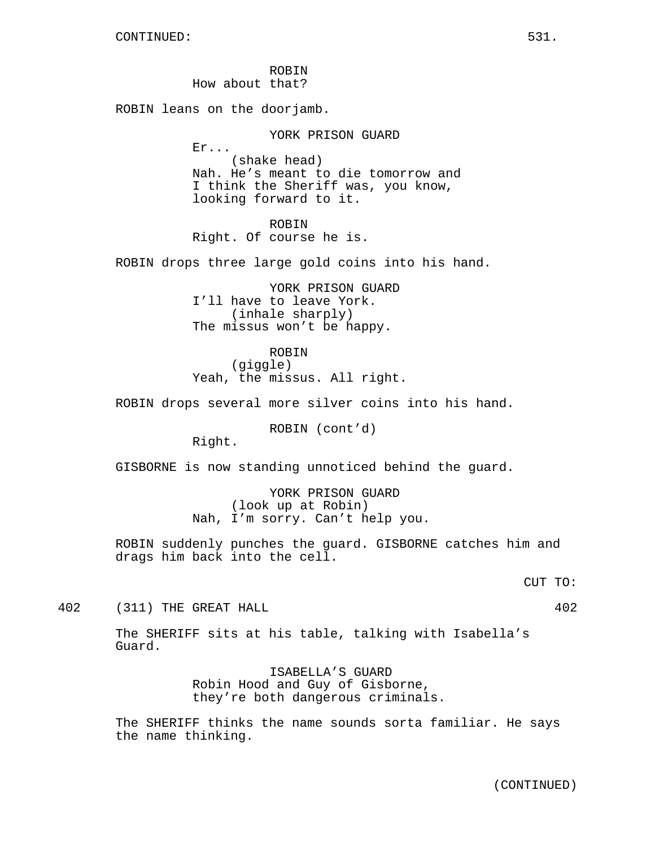ROBIN How about that?

ROBIN leans on the doorjamb.

Er...

YORK PRISON GUARD

(shake head) Nah. He's meant to die tomorrow and I think the Sheriff was, you know, looking forward to it.

ROBIN Right. Of course he is.

ROBIN drops three large gold coins into his hand.

YORK PRISON GUARD I'll have to leave York. (inhale sharply) The missus won't be happy.

ROBIN (giggle) Yeah, the missus. All right.

ROBIN drops several more silver coins into his hand.

ROBIN (cont'd)

Right.

GISBORNE is now standing unnoticed behind the guard.

YORK PRISON GUARD (look up at Robin) Nah, I'm sorry. Can't help you.

ROBIN suddenly punches the guard. GISBORNE catches him and drags him back into the cell.

CUT TO:

402 (311) THE GREAT HALL 402

The SHERIFF sits at his table, talking with Isabella's Guard.

> ISABELLA'S GUARD Robin Hood and Guy of Gisborne, they're both dangerous criminals.

The SHERIFF thinks the name sounds sorta familiar. He says the name thinking.

(CONTINUED)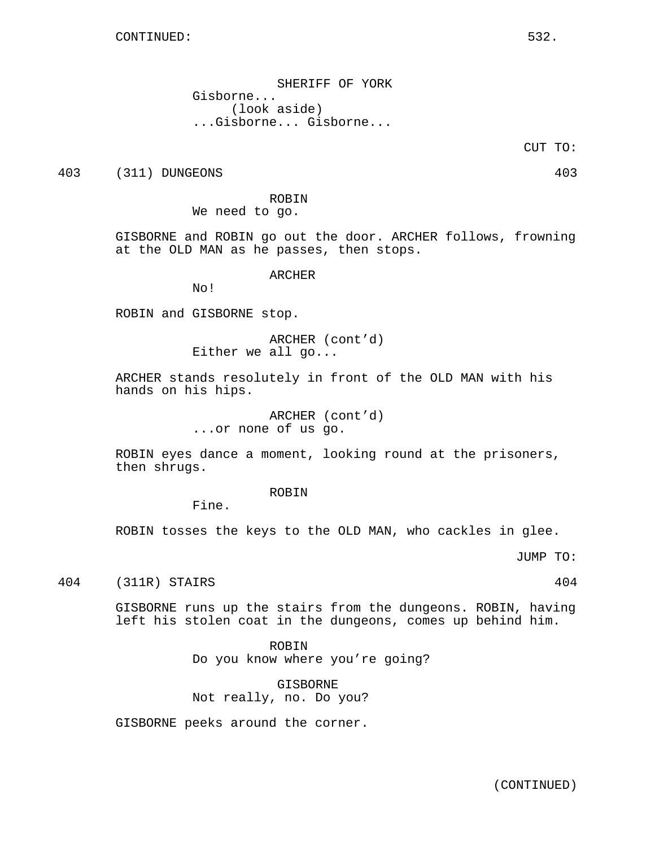SHERIFF OF YORK Gisborne... (look aside) ...Gisborne... Gisborne...

CUT TO:

403 (311) DUNGEONS 403

ROBIN We need to go.

GISBORNE and ROBIN go out the door. ARCHER follows, frowning at the OLD MAN as he passes, then stops.

ARCHER

No!

ROBIN and GISBORNE stop.

ARCHER (cont'd) Either we all go...

ARCHER stands resolutely in front of the OLD MAN with his hands on his hips.

> ARCHER (cont'd) ...or none of us go.

ROBIN eyes dance a moment, looking round at the prisoners, then shrugs.

ROBIN

Fine.

ROBIN tosses the keys to the OLD MAN, who cackles in glee.

JUMP TO:

404 (311R) STAIRS 404

GISBORNE runs up the stairs from the dungeons. ROBIN, having left his stolen coat in the dungeons, comes up behind him.

ROBIN

Do you know where you're going?

GISBORNE Not really, no. Do you?

GISBORNE peeks around the corner.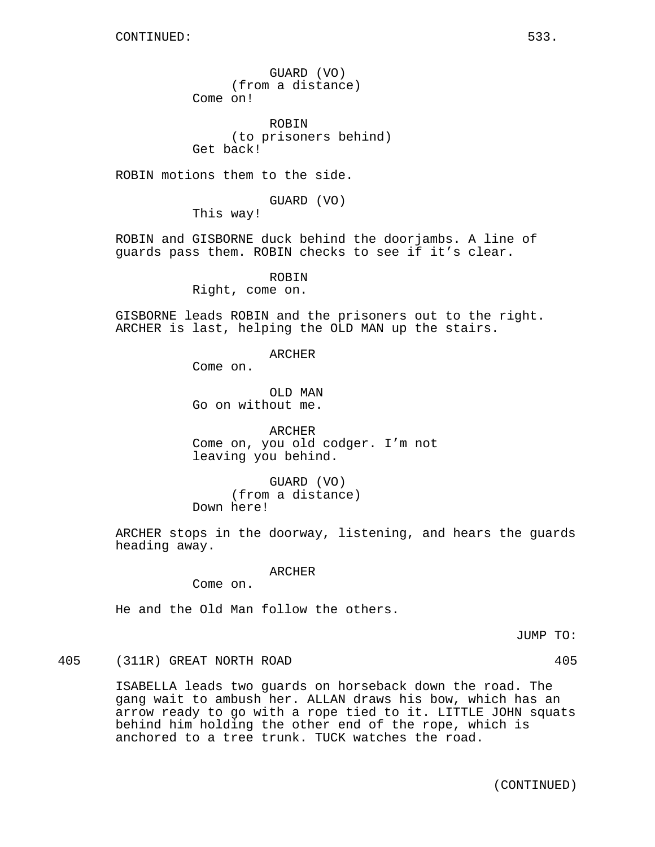GUARD (VO) (from a distance) Come on!

ROBIN (to prisoners behind) Get back!

ROBIN motions them to the side.

GUARD (VO)

This way!

ROBIN and GISBORNE duck behind the doorjambs. A line of guards pass them. ROBIN checks to see if it's clear.

> ROBIN Right, come on.

GISBORNE leads ROBIN and the prisoners out to the right. ARCHER is last, helping the OLD MAN up the stairs.

ARCHER

Come on.

OLD MAN Go on without me.

ARCHER Come on, you old codger. I'm not leaving you behind.

GUARD (VO) (from a distance) Down here!

ARCHER stops in the doorway, listening, and hears the guards heading away.

ARCHER

Come on.

He and the Old Man follow the others.

JUMP TO:

405 (311R) GREAT NORTH ROAD 405

ISABELLA leads two guards on horseback down the road. The gang wait to ambush her. ALLAN draws his bow, which has an arrow ready to go with a rope tied to it. LITTLE JOHN squats behind him holding the other end of the rope, which is anchored to a tree trunk. TUCK watches the road.

(CONTINUED)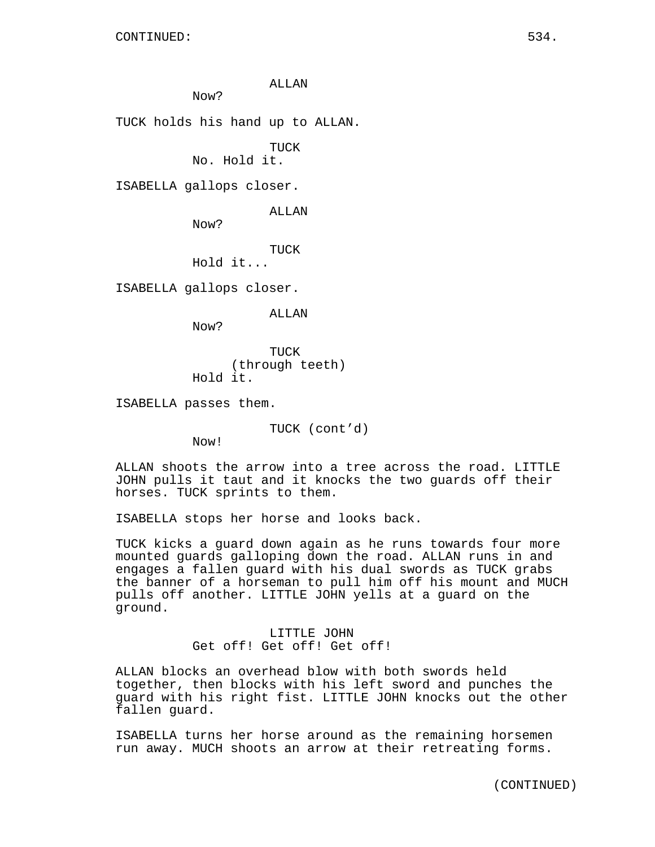ALLAN

Now?

TUCK holds his hand up to ALLAN.

TUCK

No. Hold it.

ISABELLA gallops closer.

ALLAN

Now?

TUCK

Hold it...

ISABELLA gallops closer.

ALLAN

Now?

TUCK (through teeth) Hold it.

ISABELLA passes them.

TUCK (cont'd)

Now!

ALLAN shoots the arrow into a tree across the road. LITTLE JOHN pulls it taut and it knocks the two guards off their horses. TUCK sprints to them.

ISABELLA stops her horse and looks back.

TUCK kicks a guard down again as he runs towards four more mounted guards galloping down the road. ALLAN runs in and engages a fallen guard with his dual swords as TUCK grabs the banner of a horseman to pull him off his mount and MUCH pulls off another. LITTLE JOHN yells at a guard on the ground.

> LITTLE JOHN Get off! Get off! Get off!

ALLAN blocks an overhead blow with both swords held together, then blocks with his left sword and punches the guard with his right fist. LITTLE JOHN knocks out the other fallen guard.

ISABELLA turns her horse around as the remaining horsemen run away. MUCH shoots an arrow at their retreating forms.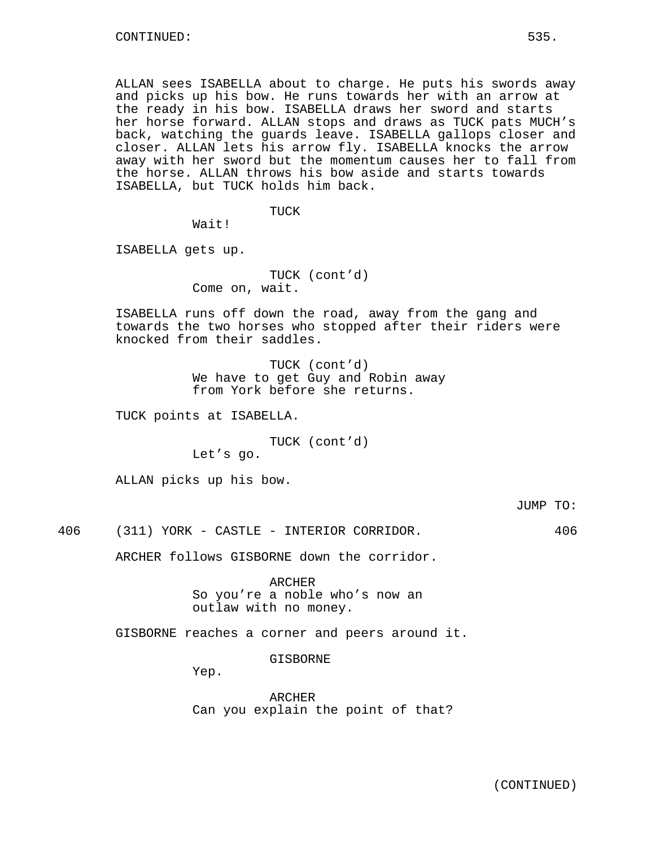ALLAN sees ISABELLA about to charge. He puts his swords away and picks up his bow. He runs towards her with an arrow at the ready in his bow. ISABELLA draws her sword and starts her horse forward. ALLAN stops and draws as TUCK pats MUCH's back, watching the guards leave. ISABELLA gallops closer and closer. ALLAN lets his arrow fly. ISABELLA knocks the arrow away with her sword but the momentum causes her to fall from the horse. ALLAN throws his bow aside and starts towards ISABELLA, but TUCK holds him back.

TUCK

Wait!

ISABELLA gets up.

TUCK (cont'd) Come on, wait.

ISABELLA runs off down the road, away from the gang and towards the two horses who stopped after their riders were knocked from their saddles.

> TUCK (cont'd) We have to get Guy and Robin away from York before she returns.

TUCK points at ISABELLA.

TUCK (cont'd)

Let's go.

ALLAN picks up his bow.

JUMP TO:

406 (311) YORK - CASTLE - INTERIOR CORRIDOR. 406

ARCHER follows GISBORNE down the corridor.

ARCHER So you're a noble who's now an outlaw with no money.

GISBORNE reaches a corner and peers around it.

GISBORNE

Yep.

ARCHER Can you explain the point of that?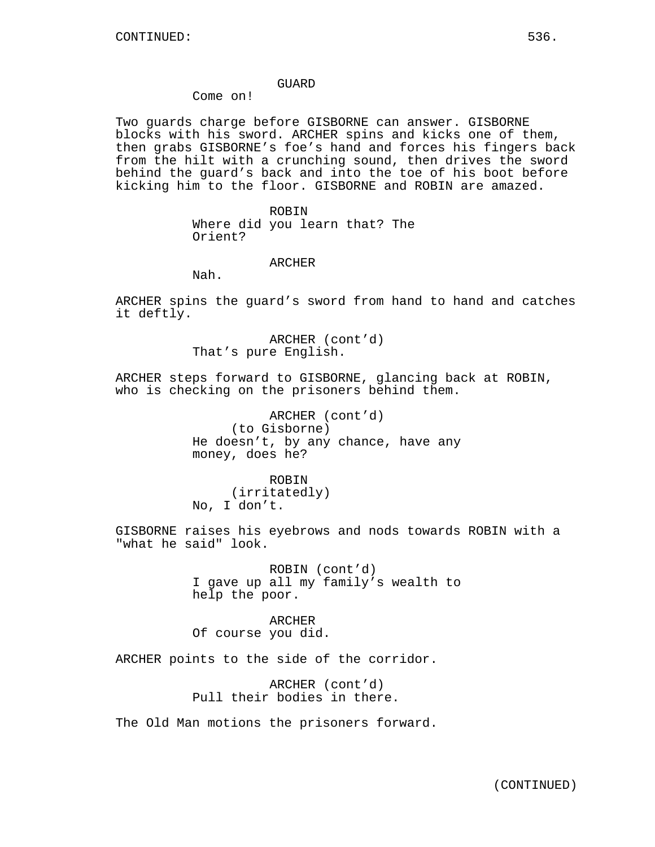### GUARD

## Come on!

Two guards charge before GISBORNE can answer. GISBORNE blocks with his sword. ARCHER spins and kicks one of them, then grabs GISBORNE's foe's hand and forces his fingers back from the hilt with a crunching sound, then drives the sword behind the guard's back and into the toe of his boot before kicking him to the floor. GISBORNE and ROBIN are amazed.

> ROBIN Where did you learn that? The Orient?

> > ARCHER

Nah.

ARCHER spins the guard's sword from hand to hand and catches it deftly.

> ARCHER (cont'd) That's pure English.

ARCHER steps forward to GISBORNE, glancing back at ROBIN, who is checking on the prisoners behind them.

> ARCHER (cont'd) (to Gisborne) He doesn't, by any chance, have any money, does he?

ROBIN (irritatedly) No, I don't.

GISBORNE raises his eyebrows and nods towards ROBIN with a "what he said" look.

> ROBIN (cont'd) I gave up all my family's wealth to help the poor.

ARCHER Of course you did.

ARCHER points to the side of the corridor.

ARCHER (cont'd) Pull their bodies in there.

The Old Man motions the prisoners forward.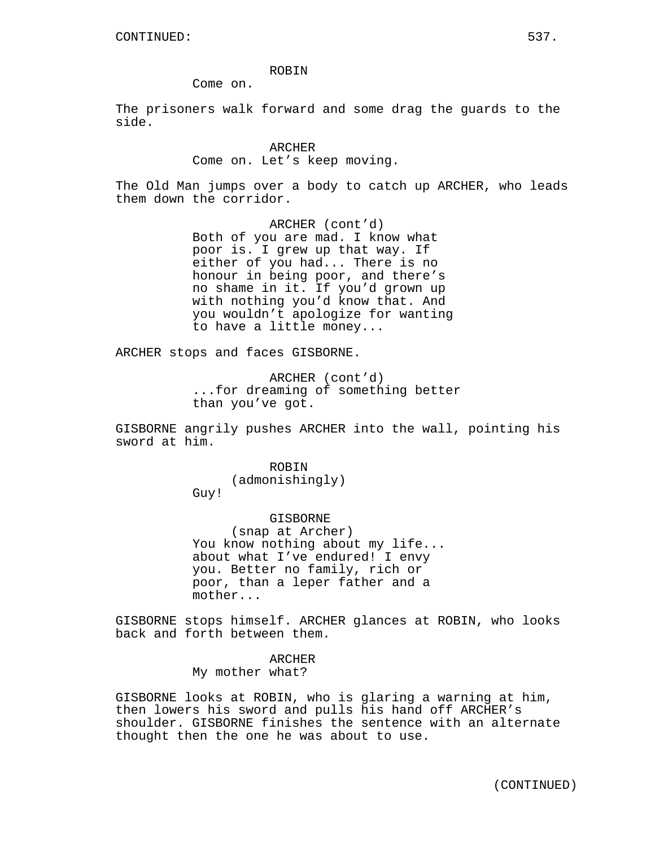Come on.

The prisoners walk forward and some drag the guards to the side.

> ARCHER Come on. Let's keep moving.

The Old Man jumps over a body to catch up ARCHER, who leads them down the corridor.

> ARCHER (cont'd) Both of you are mad. I know what poor is. I grew up that way. If either of you had... There is no honour in being poor, and there's no shame in it. If you'd grown up with nothing you'd know that. And you wouldn't apologize for wanting to have a little money...

ARCHER stops and faces GISBORNE.

ARCHER (cont'd) ...for dreaming of something better than you've got.

GISBORNE angrily pushes ARCHER into the wall, pointing his sword at him.

> ROBIN (admonishingly) Guy!

GISBORNE (snap at Archer) You know nothing about my life... about what I've endured! I envy you. Better no family, rich or poor, than a leper father and a mother...

GISBORNE stops himself. ARCHER glances at ROBIN, who looks back and forth between them.

> ARCHER My mother what?

GISBORNE looks at ROBIN, who is glaring a warning at him, then lowers his sword and pulls his hand off ARCHER's shoulder. GISBORNE finishes the sentence with an alternate thought then the one he was about to use.

(CONTINUED)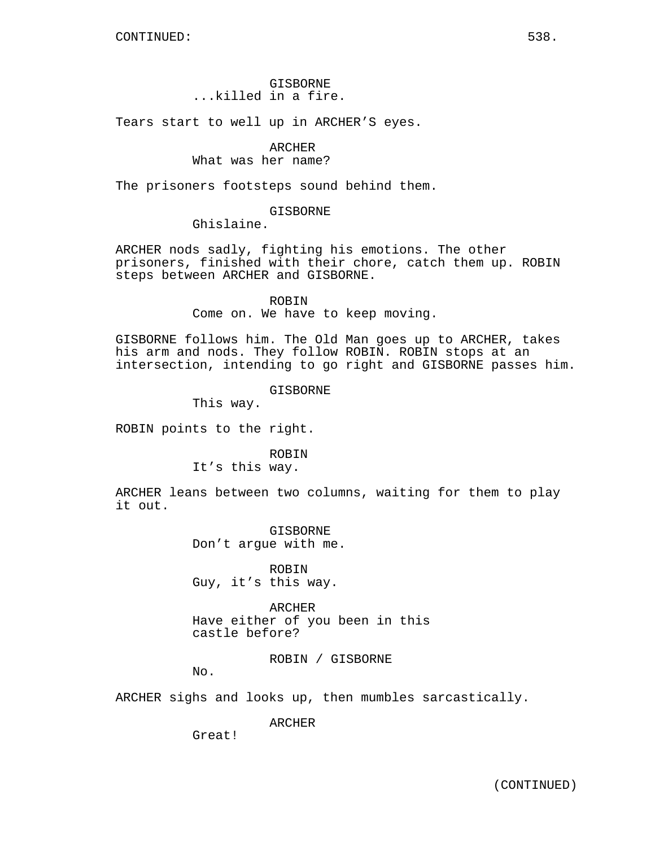## GISBORNE ...killed in a fire.

Tears start to well up in ARCHER'S eyes.

## ARCHER

#### What was her name?

The prisoners footsteps sound behind them.

### GISBORNE

Ghislaine.

ARCHER nods sadly, fighting his emotions. The other prisoners, finished with their chore, catch them up. ROBIN steps between ARCHER and GISBORNE.

> ROBIN Come on. We have to keep moving.

GISBORNE follows him. The Old Man goes up to ARCHER, takes his arm and nods. They follow ROBIN. ROBIN stops at an intersection, intending to go right and GISBORNE passes him.

GISBORNE

This way.

ROBIN points to the right.

ROBIN

It's this way.

ARCHER leans between two columns, waiting for them to play it out.

> GISBORNE Don't argue with me.

ROBIN Guy, it's this way.

ARCHER Have either of you been in this castle before?

ROBIN / GISBORNE

No.

ARCHER sighs and looks up, then mumbles sarcastically.

ARCHER

Great!

(CONTINUED)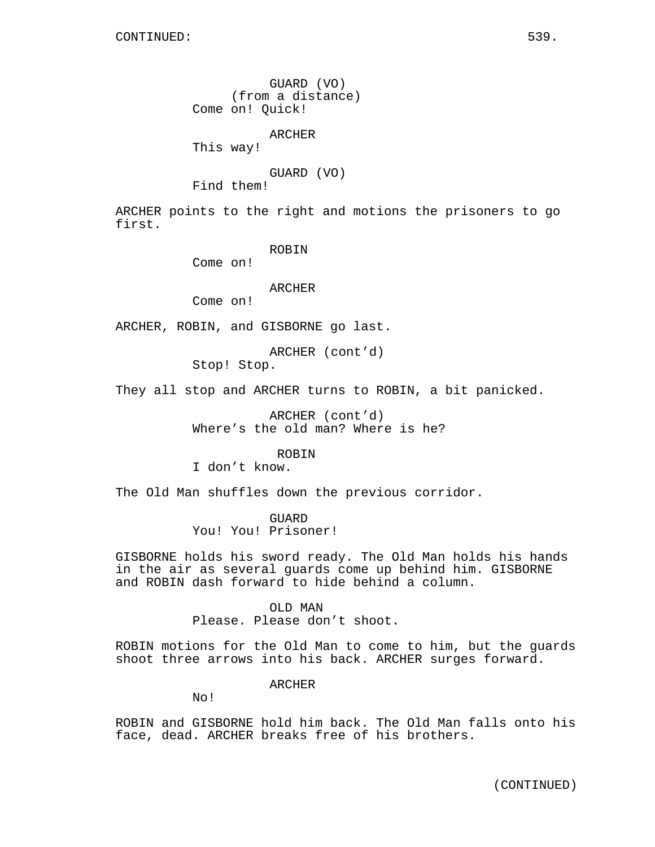GUARD (VO) (from a distance) Come on! Quick!

ARCHER

This way!

GUARD (VO)

Find them!

ARCHER points to the right and motions the prisoners to go first.

ROBIN

Come on!

## ARCHER

Come on!

ARCHER, ROBIN, and GISBORNE go last.

ARCHER (cont'd) Stop! Stop.

They all stop and ARCHER turns to ROBIN, a bit panicked.

ARCHER (cont'd) Where's the old man? Where is he?

ROBIN

I don't know.

The Old Man shuffles down the previous corridor.

GUARD You! You! Prisoner!

GISBORNE holds his sword ready. The Old Man holds his hands in the air as several guards come up behind him. GISBORNE and ROBIN dash forward to hide behind a column.

OLD MAN

Please. Please don't shoot.

ROBIN motions for the Old Man to come to him, but the guards shoot three arrows into his back. ARCHER surges forward.

ARCHER

No!

ROBIN and GISBORNE hold him back. The Old Man falls onto his face, dead. ARCHER breaks free of his brothers.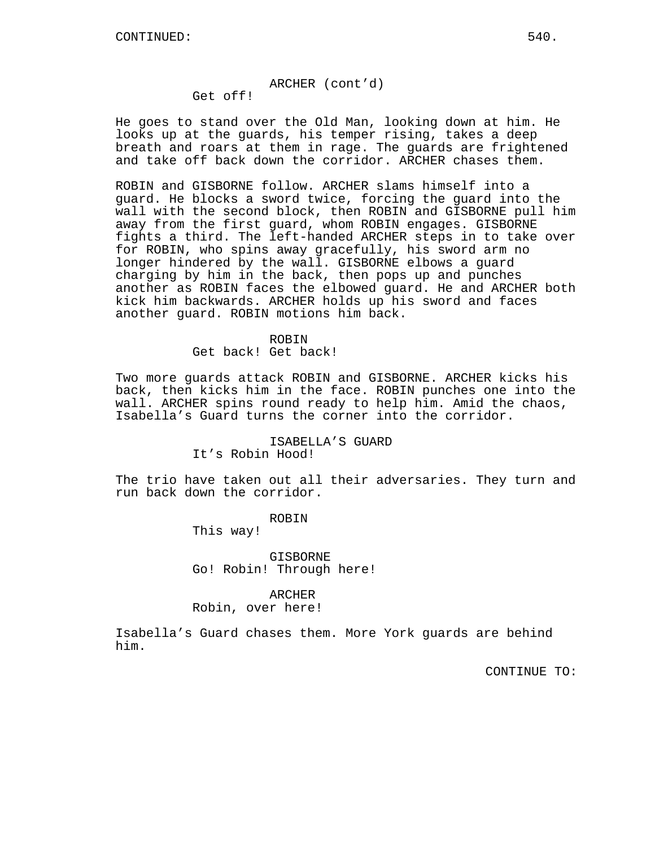### ARCHER (cont'd)

Get off!

He goes to stand over the Old Man, looking down at him. He looks up at the guards, his temper rising, takes a deep breath and roars at them in rage. The guards are frightened and take off back down the corridor. ARCHER chases them.

ROBIN and GISBORNE follow. ARCHER slams himself into a guard. He blocks a sword twice, forcing the guard into the wall with the second block, then ROBIN and GISBORNE pull him away from the first guard, whom ROBIN engages. GISBORNE fights a third. The left-handed ARCHER steps in to take over for ROBIN, who spins away gracefully, his sword arm no longer hindered by the wall. GISBORNE elbows a guard charging by him in the back, then pops up and punches another as ROBIN faces the elbowed guard. He and ARCHER both kick him backwards. ARCHER holds up his sword and faces another guard. ROBIN motions him back.

#### ROBIN

Get back! Get back!

Two more guards attack ROBIN and GISBORNE. ARCHER kicks his back, then kicks him in the face. ROBIN punches one into the wall. ARCHER spins round ready to help him. Amid the chaos, Isabella's Guard turns the corner into the corridor.

# ISABELLA'S GUARD It's Robin Hood!

The trio have taken out all their adversaries. They turn and run back down the corridor.

#### ROBIN

This way!

GISBORNE Go! Robin! Through here!

#### ARCHER

#### Robin, over here!

Isabella's Guard chases them. More York guards are behind him.

CONTINUE TO: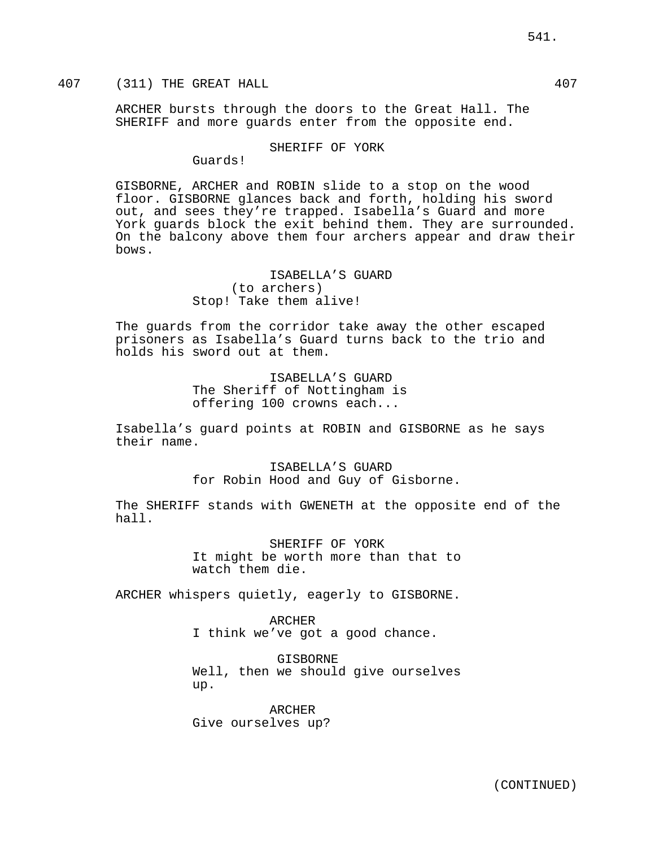# 407 (311) THE GREAT HALL 407

ARCHER bursts through the doors to the Great Hall. The SHERIFF and more guards enter from the opposite end.

### SHERIFF OF YORK

Guards!

GISBORNE, ARCHER and ROBIN slide to a stop on the wood floor. GISBORNE glances back and forth, holding his sword out, and sees they're trapped. Isabella's Guard and more York guards block the exit behind them. They are surrounded. On the balcony above them four archers appear and draw their bows.

> ISABELLA'S GUARD (to archers) Stop! Take them alive!

The guards from the corridor take away the other escaped prisoners as Isabella's Guard turns back to the trio and holds his sword out at them.

> ISABELLA'S GUARD The Sheriff of Nottingham is offering 100 crowns each...

Isabella's guard points at ROBIN and GISBORNE as he says their name.

> ISABELLA'S GUARD for Robin Hood and Guy of Gisborne.

The SHERIFF stands with GWENETH at the opposite end of the hall.

> SHERIFF OF YORK It might be worth more than that to watch them die.

ARCHER whispers quietly, eagerly to GISBORNE.

ARCHER I think we've got a good chance.

GISBORNE Well, then we should give ourselves up.

ARCHER Give ourselves up?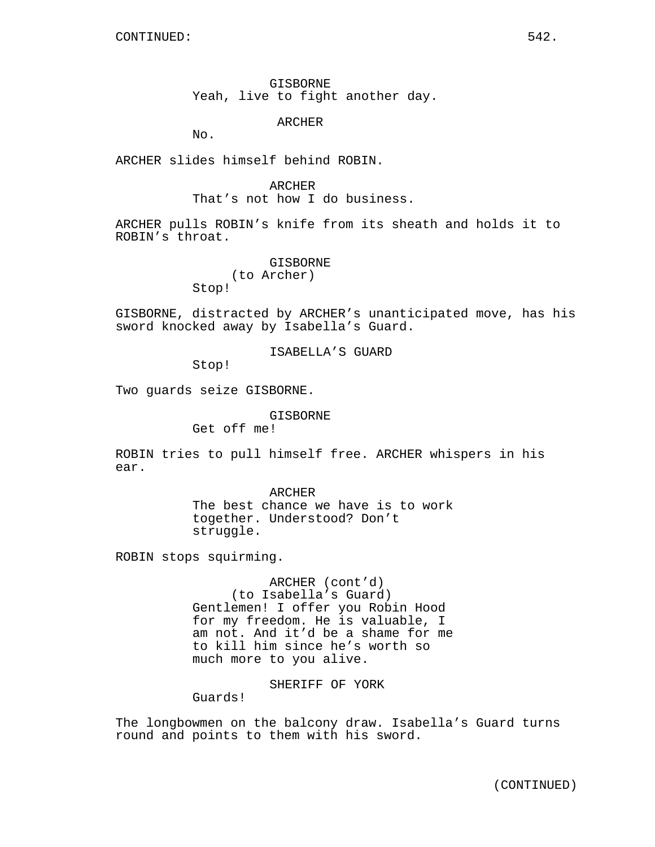GISBORNE Yeah, live to fight another day.

ARCHER

No.

ARCHER slides himself behind ROBIN.

#### ARCHER

That's not how I do business.

ARCHER pulls ROBIN's knife from its sheath and holds it to ROBIN's throat.

> GISBORNE (to Archer) Stop!

GISBORNE, distracted by ARCHER's unanticipated move, has his sword knocked away by Isabella's Guard.

ISABELLA'S GUARD

Stop!

Two guards seize GISBORNE.

GISBORNE

Get off me!

ROBIN tries to pull himself free. ARCHER whispers in his ear.

> ARCHER The best chance we have is to work together. Understood? Don't struggle.

ROBIN stops squirming.

ARCHER (cont'd) (to Isabella's Guard) Gentlemen! I offer you Robin Hood for my freedom. He is valuable, I am not. And it'd be a shame for me to kill him since he's worth so much more to you alive.

SHERIFF OF YORK

Guards!

The longbowmen on the balcony draw. Isabella's Guard turns round and points to them with his sword.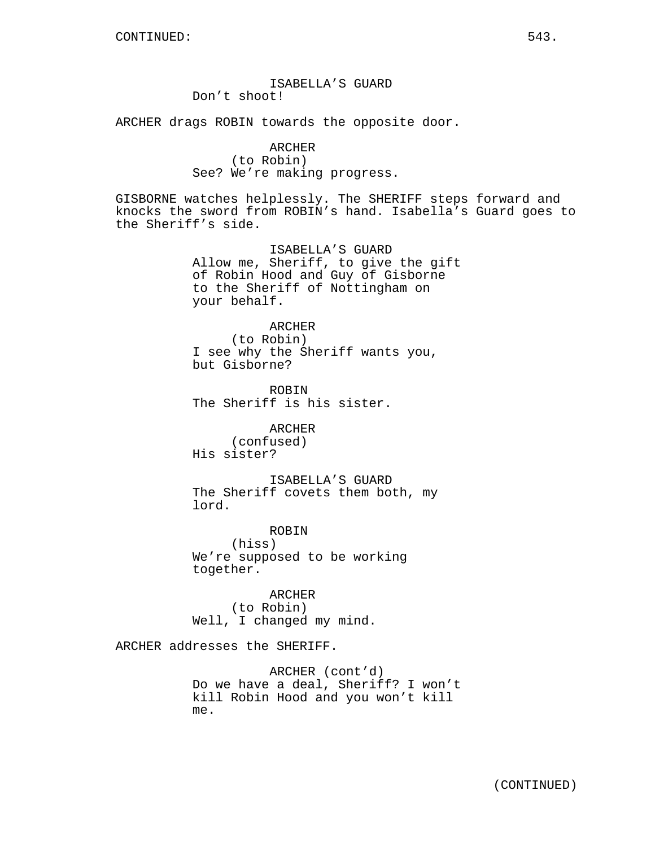# ISABELLA'S GUARD Don't shoot!

ARCHER drags ROBIN towards the opposite door.

ARCHER (to Robin) See? We're making progress.

GISBORNE watches helplessly. The SHERIFF steps forward and knocks the sword from ROBIN's hand. Isabella's Guard goes to the Sheriff's side.

> ISABELLA'S GUARD Allow me, Sheriff, to give the gift of Robin Hood and Guy of Gisborne to the Sheriff of Nottingham on your behalf.

ARCHER (to Robin) I see why the Sheriff wants you, but Gisborne?

ROBIN The Sheriff is his sister.

ARCHER (confused) His sister?

ISABELLA'S GUARD The Sheriff covets them both, my lord.

ROBIN (hiss) We're supposed to be working together.

ARCHER (to Robin) Well, I changed my mind.

ARCHER addresses the SHERIFF.

ARCHER (cont'd) Do we have a deal, Sheriff? I won't kill Robin Hood and you won't kill me.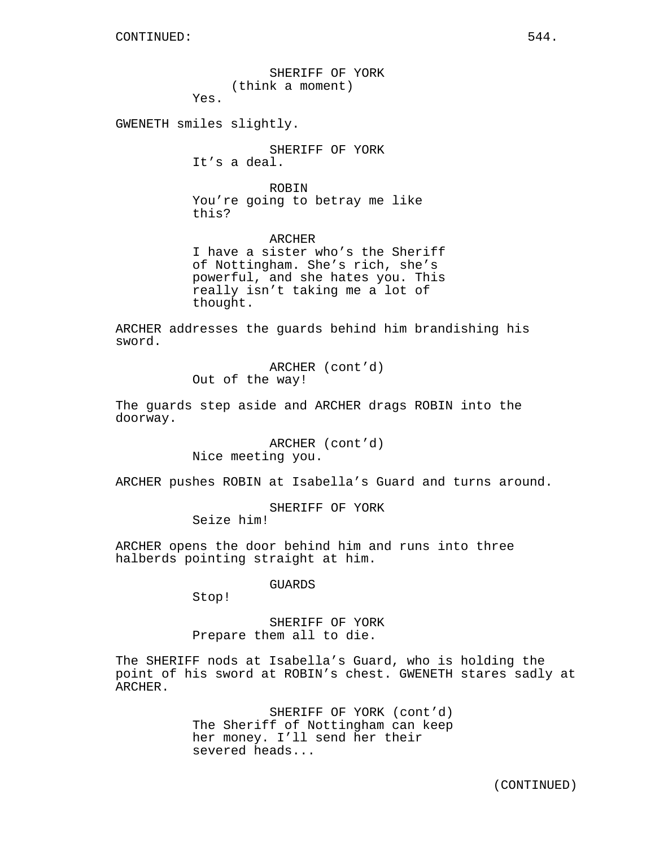SHERIFF OF YORK (think a moment)

Yes.

GWENETH smiles slightly.

SHERIFF OF YORK It's a deal.

ROBIN You're going to betray me like this?

ARCHER I have a sister who's the Sheriff of Nottingham. She's rich, she's powerful, and she hates you. This really isn't taking me a lot of thought.

ARCHER addresses the guards behind him brandishing his sword.

> ARCHER (cont'd) Out of the way!

The guards step aside and ARCHER drags ROBIN into the doorway.

> ARCHER (cont'd) Nice meeting you.

ARCHER pushes ROBIN at Isabella's Guard and turns around.

SHERIFF OF YORK Seize him!

ARCHER opens the door behind him and runs into three halberds pointing straight at him.

GUARDS

Stop!

SHERIFF OF YORK Prepare them all to die.

The SHERIFF nods at Isabella's Guard, who is holding the point of his sword at ROBIN's chest. GWENETH stares sadly at ARCHER.

> SHERIFF OF YORK (cont'd) The Sheriff of Nottingham can keep her money. I'll send her their severed heads...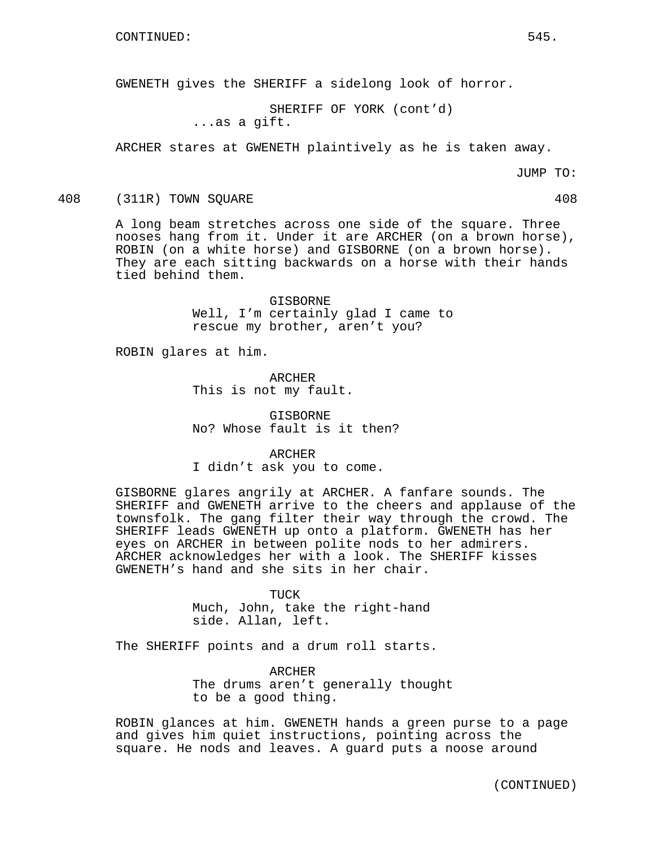GWENETH gives the SHERIFF a sidelong look of horror.

SHERIFF OF YORK (cont'd) ...as a gift.

ARCHER stares at GWENETH plaintively as he is taken away.

JUMP TO:

408 (311R) TOWN SQUARE 408

A long beam stretches across one side of the square. Three nooses hang from it. Under it are ARCHER (on a brown horse), ROBIN (on a white horse) and GISBORNE (on a brown horse). They are each sitting backwards on a horse with their hands tied behind them.

> GISBORNE Well, I'm certainly glad I came to rescue my brother, aren't you?

ROBIN glares at him.

ARCHER This is not my fault.

GISBORNE No? Whose fault is it then?

ARCHER I didn't ask you to come.

GISBORNE glares angrily at ARCHER. A fanfare sounds. The SHERIFF and GWENETH arrive to the cheers and applause of the townsfolk. The gang filter their way through the crowd. The SHERIFF leads GWENETH up onto a platform. GWENETH has her eyes on ARCHER in between polite nods to her admirers. ARCHER acknowledges her with a look. The SHERIFF kisses GWENETH's hand and she sits in her chair.

> TUCK Much, John, take the right-hand side. Allan, left.

The SHERIFF points and a drum roll starts.

ARCHER The drums aren't generally thought to be a good thing.

ROBIN glances at him. GWENETH hands a green purse to a page and gives him quiet instructions, pointing across the square. He nods and leaves. A guard puts a noose around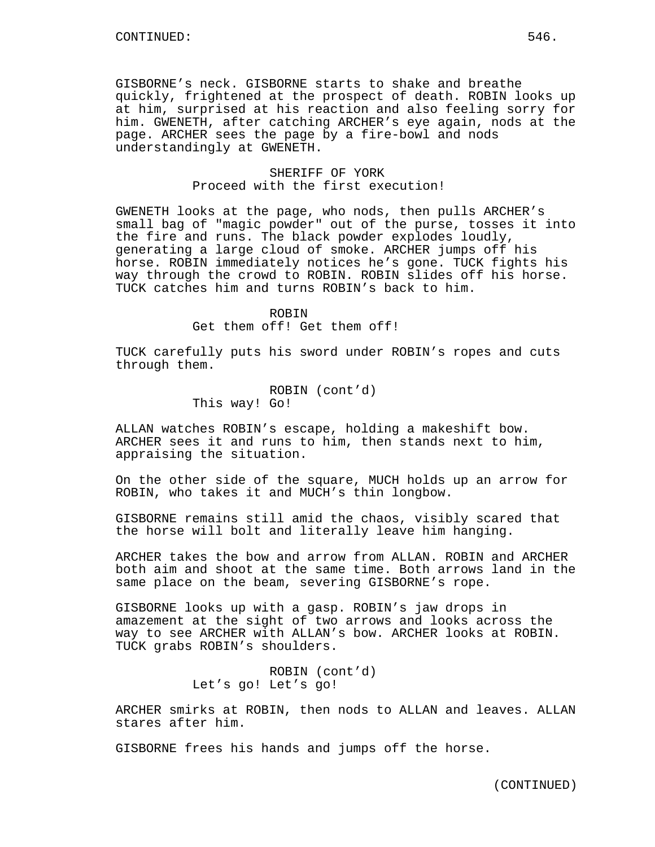GISBORNE's neck. GISBORNE starts to shake and breathe quickly, frightened at the prospect of death. ROBIN looks up at him, surprised at his reaction and also feeling sorry for him. GWENETH, after catching ARCHER's eye again, nods at the page. ARCHER sees the page by a fire-bowl and nods understandingly at GWENETH.

# SHERIFF OF YORK Proceed with the first execution!

GWENETH looks at the page, who nods, then pulls ARCHER's small bag of "magic powder" out of the purse, tosses it into the fire and runs. The black powder explodes loudly, generating a large cloud of smoke. ARCHER jumps off his horse. ROBIN immediately notices he's gone. TUCK fights his way through the crowd to ROBIN. ROBIN slides off his horse. TUCK catches him and turns ROBIN's back to him.

ROBIN

Get them off! Get them off!

TUCK carefully puts his sword under ROBIN's ropes and cuts through them.

> ROBIN (cont'd) This way! Go!

ALLAN watches ROBIN's escape, holding a makeshift bow. ARCHER sees it and runs to him, then stands next to him, appraising the situation.

On the other side of the square, MUCH holds up an arrow for ROBIN, who takes it and MUCH's thin longbow.

GISBORNE remains still amid the chaos, visibly scared that the horse will bolt and literally leave him hanging.

ARCHER takes the bow and arrow from ALLAN. ROBIN and ARCHER both aim and shoot at the same time. Both arrows land in the same place on the beam, severing GISBORNE's rope.

GISBORNE looks up with a gasp. ROBIN's jaw drops in amazement at the sight of two arrows and looks across the way to see ARCHER with ALLAN's bow. ARCHER looks at ROBIN. TUCK grabs ROBIN's shoulders.

> ROBIN (cont'd) Let's go! Let's go!

ARCHER smirks at ROBIN, then nods to ALLAN and leaves. ALLAN stares after him.

GISBORNE frees his hands and jumps off the horse.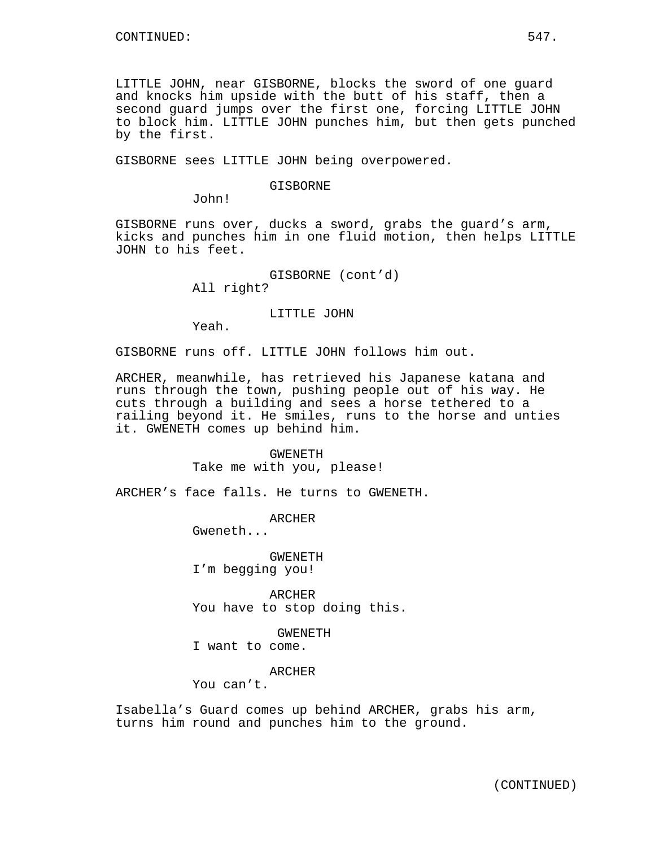LITTLE JOHN, near GISBORNE, blocks the sword of one guard and knocks him upside with the butt of his staff, then a second guard jumps over the first one, forcing LITTLE JOHN to block him. LITTLE JOHN punches him, but then gets punched by the first.

GISBORNE sees LITTLE JOHN being overpowered.

#### GISBORNE

John!

GISBORNE runs over, ducks a sword, grabs the guard's arm, kicks and punches him in one fluid motion, then helps LITTLE JOHN to his feet.

> GISBORNE (cont'd) All right?

> > LITTLE JOHN

Yeah.

GISBORNE runs off. LITTLE JOHN follows him out.

ARCHER, meanwhile, has retrieved his Japanese katana and runs through the town, pushing people out of his way. He cuts through a building and sees a horse tethered to a railing beyond it. He smiles, runs to the horse and unties it. GWENETH comes up behind him.

> GWENETH Take me with you, please!

ARCHER's face falls. He turns to GWENETH.

ARCHER Gweneth...

GWENETH I'm begging you!

ARCHER You have to stop doing this.

GWENETH

I want to come.

ARCHER

You can't.

Isabella's Guard comes up behind ARCHER, grabs his arm, turns him round and punches him to the ground.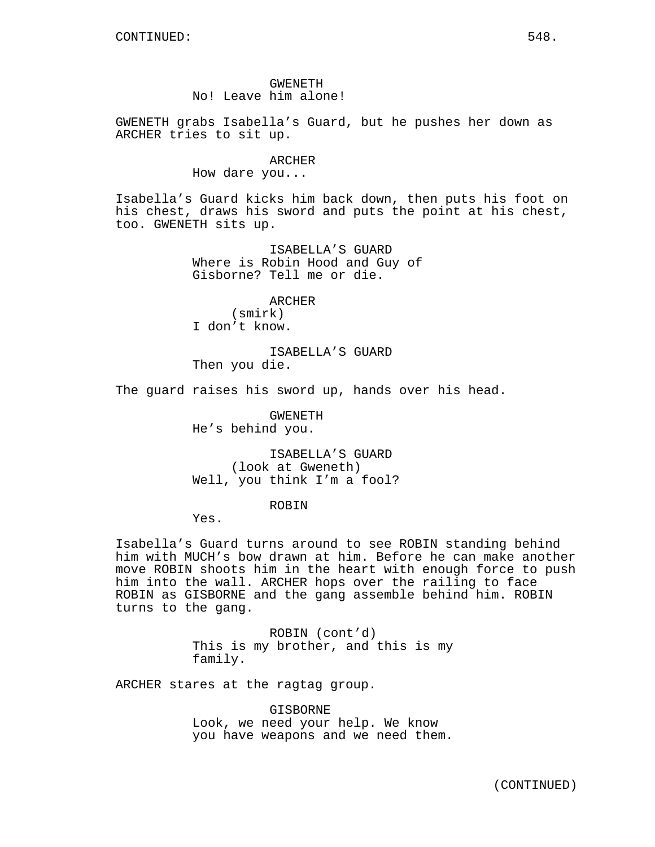GWENETH No! Leave him alone!

GWENETH grabs Isabella's Guard, but he pushes her down as ARCHER tries to sit up.

#### ARCHER

How dare you...

Isabella's Guard kicks him back down, then puts his foot on his chest, draws his sword and puts the point at his chest, too. GWENETH sits up.

> ISABELLA'S GUARD Where is Robin Hood and Guy of Gisborne? Tell me or die.

ARCHER (smirk) I don't know.

ISABELLA'S GUARD Then you die.

The guard raises his sword up, hands over his head.

GWENETH He's behind you.

ISABELLA'S GUARD (look at Gweneth) Well, you think I'm a fool?

#### ROBIN

Yes.

Isabella's Guard turns around to see ROBIN standing behind him with MUCH's bow drawn at him. Before he can make another move ROBIN shoots him in the heart with enough force to push him into the wall. ARCHER hops over the railing to face ROBIN as GISBORNE and the gang assemble behind him. ROBIN turns to the gang.

> ROBIN (cont'd) This is my brother, and this is my family.

ARCHER stares at the ragtag group.

GISBORNE Look, we need your help. We know you have weapons and we need them.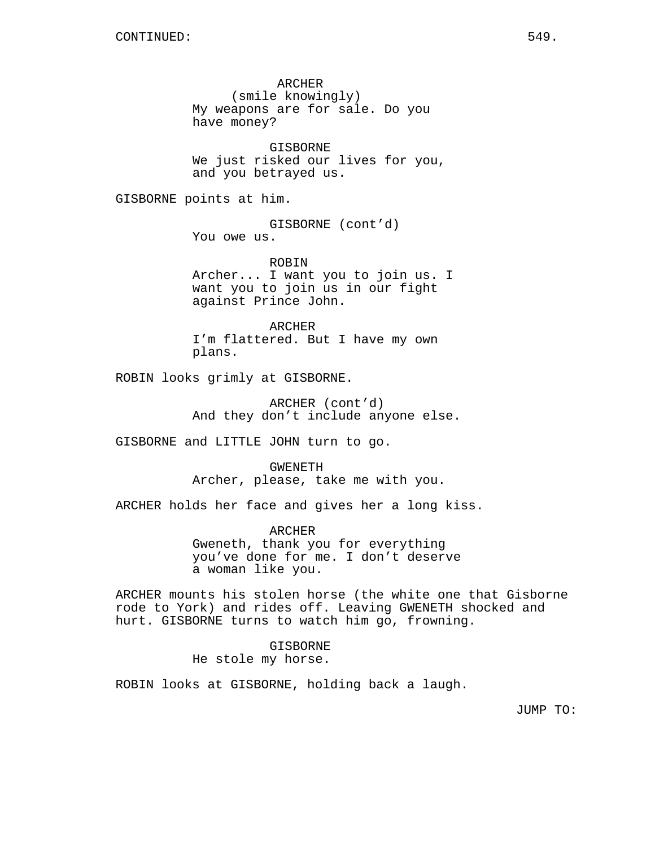ARCHER (smile knowingly) My weapons are for sale. Do you have money?

GISBORNE We just risked our lives for you, and you betrayed us.

GISBORNE points at him.

GISBORNE (cont'd) You owe us.

ROBIN Archer... I want you to join us. I want you to join us in our fight against Prince John.

ARCHER I'm flattered. But I have my own plans.

ROBIN looks grimly at GISBORNE.

ARCHER (cont'd) And they don't include anyone else.

GISBORNE and LITTLE JOHN turn to go.

GWENETH Archer, please, take me with you.

ARCHER holds her face and gives her a long kiss.

ARCHER Gweneth, thank you for everything you've done for me. I don't deserve a woman like you.

ARCHER mounts his stolen horse (the white one that Gisborne rode to York) and rides off. Leaving GWENETH shocked and hurt. GISBORNE turns to watch him go, frowning.

> GISBORNE He stole my horse.

ROBIN looks at GISBORNE, holding back a laugh.

JUMP TO: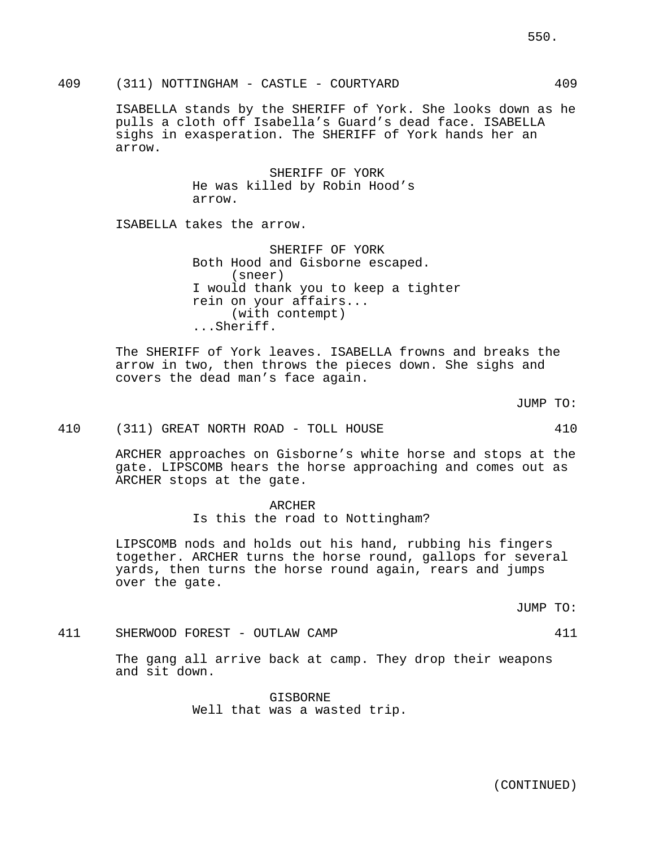# 409 (311) NOTTINGHAM - CASTLE - COURTYARD 409

ISABELLA stands by the SHERIFF of York. She looks down as he pulls a cloth off Isabella's Guard's dead face. ISABELLA sighs in exasperation. The SHERIFF of York hands her an arrow.

> SHERIFF OF YORK He was killed by Robin Hood's arrow.

ISABELLA takes the arrow.

SHERIFF OF YORK Both Hood and Gisborne escaped. (sneer) I would thank you to keep a tighter rein on your affairs... (with contempt) ...Sheriff.

The SHERIFF of York leaves. ISABELLA frowns and breaks the arrow in two, then throws the pieces down. She sighs and covers the dead man's face again.

JUMP TO:

410 (311) GREAT NORTH ROAD - TOLL HOUSE 410

ARCHER approaches on Gisborne's white horse and stops at the gate. LIPSCOMB hears the horse approaching and comes out as ARCHER stops at the gate.

#### ARCHER

Is this the road to Nottingham?

LIPSCOMB nods and holds out his hand, rubbing his fingers together. ARCHER turns the horse round, gallops for several yards, then turns the horse round again, rears and jumps over the gate.

JUMP TO:

411 SHERWOOD FOREST - OUTLAW CAMP 411

The gang all arrive back at camp. They drop their weapons and sit down.

> GISBORNE Well that was a wasted trip.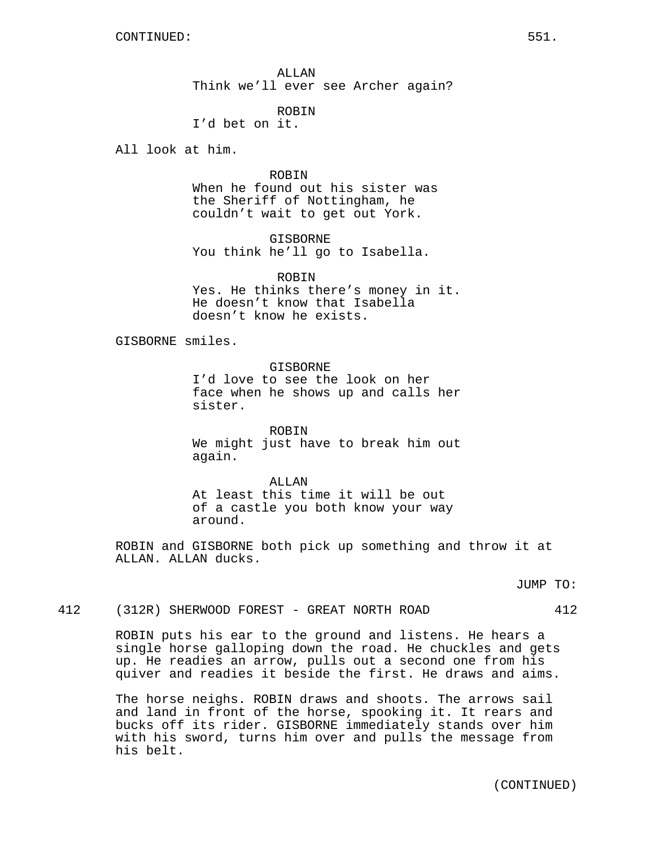ALLAN Think we'll ever see Archer again?

ROBIN

I'd bet on it.

All look at him.

ROBIN

When he found out his sister was the Sheriff of Nottingham, he couldn't wait to get out York.

GISBORNE You think he'll go to Isabella.

ROBIN

Yes. He thinks there's money in it. He doesn't know that Isabella doesn't know he exists.

GISBORNE smiles.

GISBORNE

I'd love to see the look on her face when he shows up and calls her sister.

ROBIN We might just have to break him out again.

ALLAN At least this time it will be out of a castle you both know your way around.

ROBIN and GISBORNE both pick up something and throw it at ALLAN. ALLAN ducks.

JUMP TO:

412 (312R) SHERWOOD FOREST - GREAT NORTH ROAD 412

ROBIN puts his ear to the ground and listens. He hears a single horse galloping down the road. He chuckles and gets up. He readies an arrow, pulls out a second one from his quiver and readies it beside the first. He draws and aims.

The horse neighs. ROBIN draws and shoots. The arrows sail and land in front of the horse, spooking it. It rears and bucks off its rider. GISBORNE immediately stands over him with his sword, turns him over and pulls the message from his belt.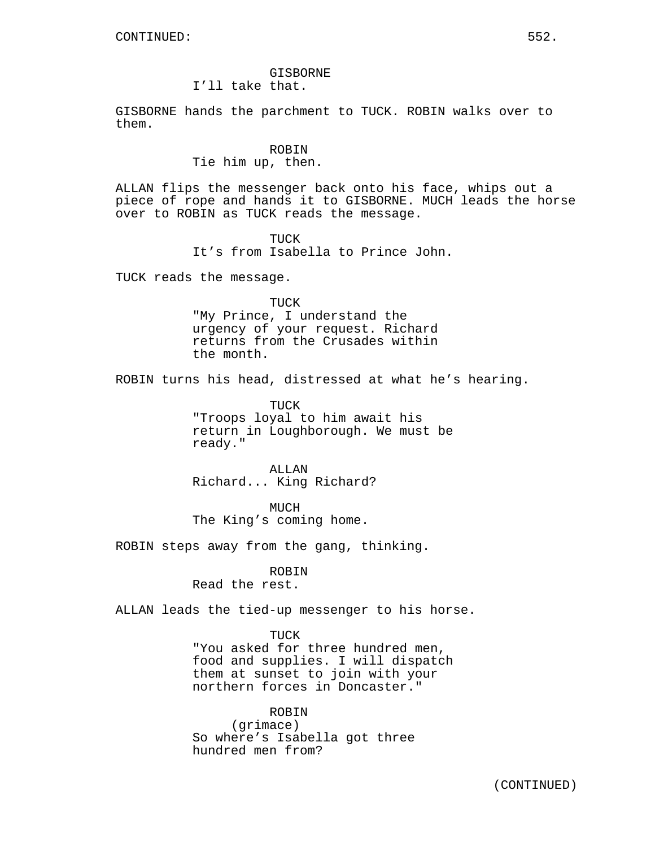# GISBORNE

I'll take that.

GISBORNE hands the parchment to TUCK. ROBIN walks over to them.

#### ROBIN

#### Tie him up, then.

ALLAN flips the messenger back onto his face, whips out a piece of rope and hands it to GISBORNE. MUCH leads the horse over to ROBIN as TUCK reads the message.

> TUCK It's from Isabella to Prince John.

TUCK reads the message.

TUCK "My Prince, I understand the urgency of your request. Richard returns from the Crusades within the month.

ROBIN turns his head, distressed at what he's hearing.

TUCK "Troops loyal to him await his return in Loughborough. We must be ready."

ALLAN Richard... King Richard?

MUCH The King's coming home.

ROBIN steps away from the gang, thinking.

#### ROBIN

Read the rest.

ALLAN leads the tied-up messenger to his horse.

#### TUCK

"You asked for three hundred men, food and supplies. I will dispatch them at sunset to join with your northern forces in Doncaster."

ROBIN (grimace) So where's Isabella got three hundred men from?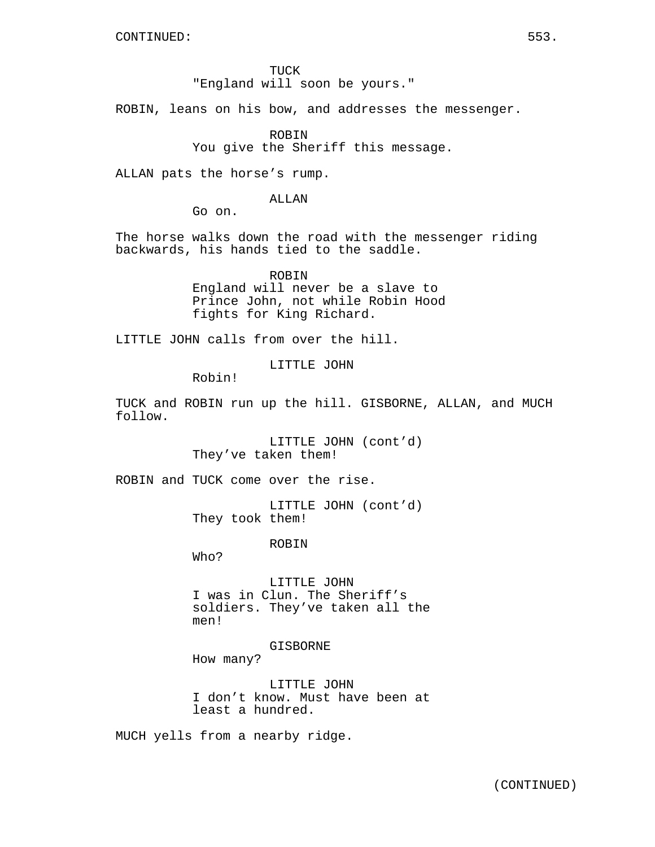TUCK "England will soon be yours."

ROBIN, leans on his bow, and addresses the messenger.

ROBIN You give the Sheriff this message.

ALLAN pats the horse's rump.

ALLAN

Go on.

The horse walks down the road with the messenger riding backwards, his hands tied to the saddle.

> ROBIN England will never be a slave to Prince John, not while Robin Hood fights for King Richard.

LITTLE JOHN calls from over the hill.

LITTLE JOHN

Robin!

TUCK and ROBIN run up the hill. GISBORNE, ALLAN, and MUCH follow.

> LITTLE JOHN (cont'd) They've taken them!

ROBIN and TUCK come over the rise.

LITTLE JOHN (cont'd) They took them!

ROBIN

Who?

LITTLE JOHN I was in Clun. The Sheriff's soldiers. They've taken all the men!

GISBORNE

How many?

LITTLE JOHN I don't know. Must have been at least a hundred.

MUCH yells from a nearby ridge.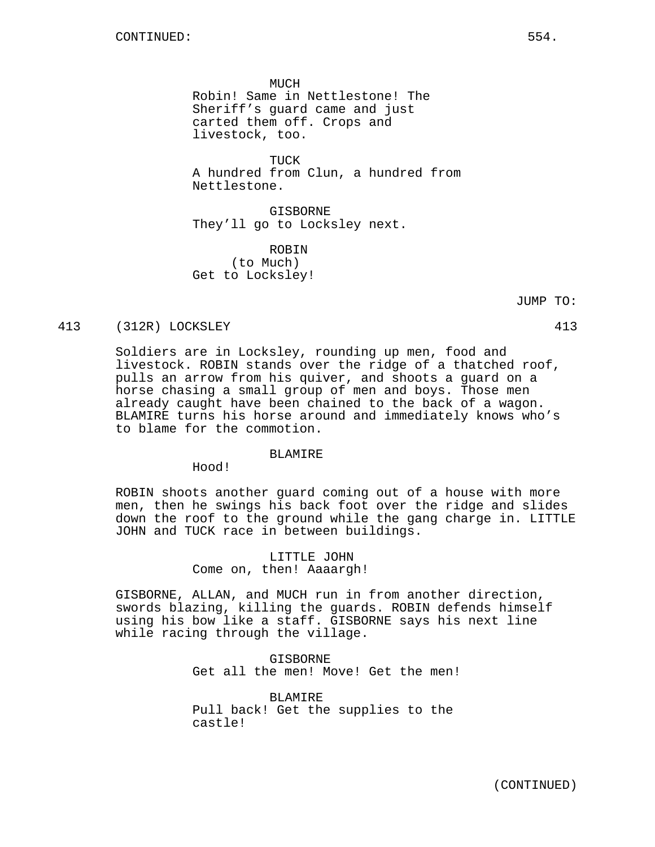**MUCH** Robin! Same in Nettlestone! The Sheriff's guard came and just carted them off. Crops and livestock, too.

TUCK A hundred from Clun, a hundred from Nettlestone.

GISBORNE They'll go to Locksley next.

ROBIN (to Much) Get to Locksley!

JUMP TO:

#### 413 (312R) LOCKSLEY 413

Soldiers are in Locksley, rounding up men, food and livestock. ROBIN stands over the ridge of a thatched roof, pulls an arrow from his quiver, and shoots a guard on a horse chasing a small group of men and boys. Those men already caught have been chained to the back of a wagon. BLAMIRE turns his horse around and immediately knows who's to blame for the commotion.

#### BLAMIRE

Hood!

ROBIN shoots another guard coming out of a house with more men, then he swings his back foot over the ridge and slides down the roof to the ground while the gang charge in. LITTLE JOHN and TUCK race in between buildings.

> LITTLE JOHN Come on, then! Aaaargh!

GISBORNE, ALLAN, and MUCH run in from another direction, swords blazing, killing the guards. ROBIN defends himself using his bow like a staff. GISBORNE says his next line while racing through the village.

> GISBORNE Get all the men! Move! Get the men!

BLAMIRE Pull back! Get the supplies to the castle!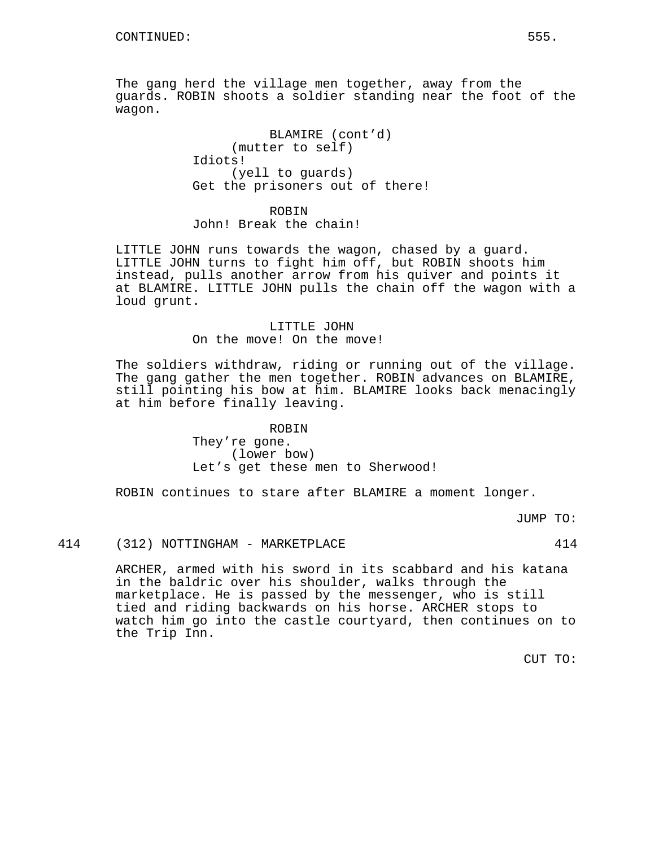The gang herd the village men together, away from the guards. ROBIN shoots a soldier standing near the foot of the wagon.

> BLAMIRE (cont'd) (mutter to self) Idiots! (yell to guards) Get the prisoners out of there!

ROBIN John! Break the chain!

LITTLE JOHN runs towards the wagon, chased by a guard. LITTLE JOHN turns to fight him off, but ROBIN shoots him instead, pulls another arrow from his quiver and points it at BLAMIRE. LITTLE JOHN pulls the chain off the wagon with a loud grunt.

# LITTLE JOHN On the move! On the move!

The soldiers withdraw, riding or running out of the village. The gang gather the men together. ROBIN advances on BLAMIRE, still pointing his bow at him. BLAMIRE looks back menacingly at him before finally leaving.

> ROBIN They're gone. (lower bow) Let's get these men to Sherwood!

ROBIN continues to stare after BLAMIRE a moment longer.

JUMP TO:

# 414 (312) NOTTINGHAM - MARKETPLACE 414

ARCHER, armed with his sword in its scabbard and his katana in the baldric over his shoulder, walks through the marketplace. He is passed by the messenger, who is still tied and riding backwards on his horse. ARCHER stops to watch him go into the castle courtyard, then continues on to the Trip Inn.

CUT TO: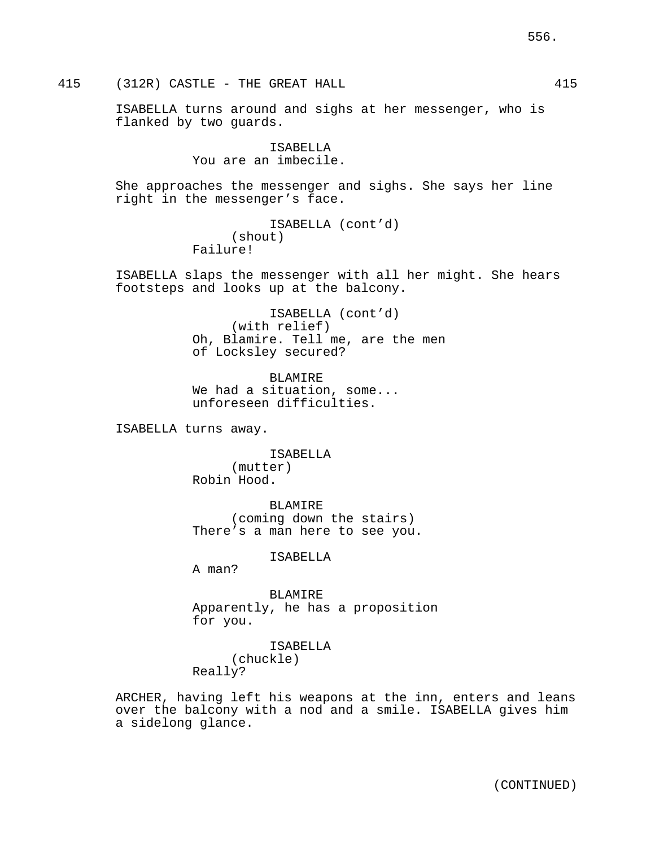415 (312R) CASTLE - THE GREAT HALL 415

ISABELLA turns around and sighs at her messenger, who is flanked by two guards.

> ISABELLA You are an imbecile.

She approaches the messenger and sighs. She says her line right in the messenger's face.

```
ISABELLA (cont'd)
     (shout)
Failure!
```
ISABELLA slaps the messenger with all her might. She hears footsteps and looks up at the balcony.

> ISABELLA (cont'd) (with relief) Oh, Blamire. Tell me, are the men of Locksley secured?

BLAMIRE We had a situation, some... unforeseen difficulties.

ISABELLA turns away.

ISABELLA (mutter) Robin Hood.

BLAMIRE (coming down the stairs) There's a man here to see you.

ISABELLA

A man?

BLAMIRE Apparently, he has a proposition for you.

> ISABELLA (chuckle)

Really?

ARCHER, having left his weapons at the inn, enters and leans over the balcony with a nod and a smile. ISABELLA gives him a sidelong glance.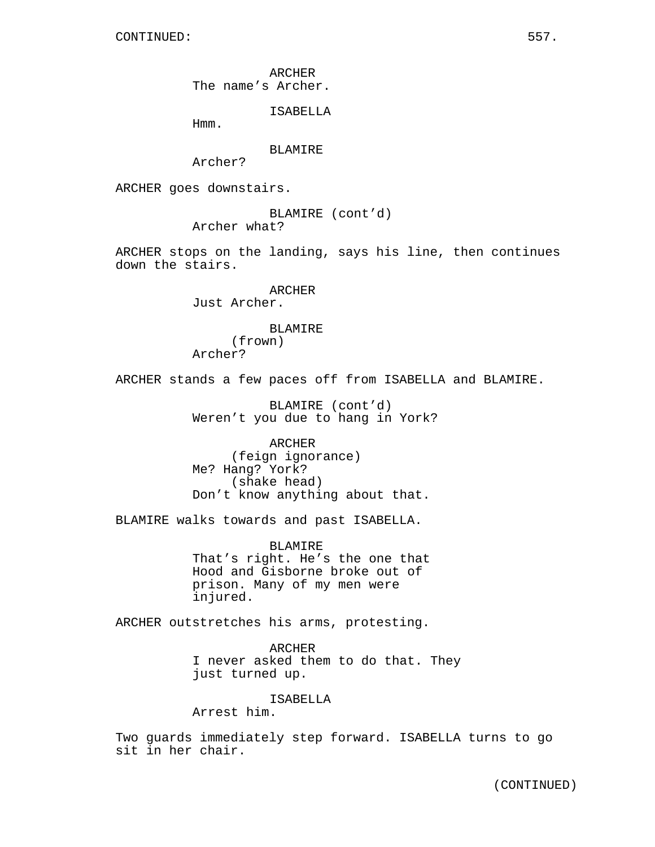ARCHER The name's Archer.

ISABELLA

Hmm.

#### BLAMIRE

Archer?

ARCHER goes downstairs.

BLAMIRE (cont'd) Archer what?

ARCHER stops on the landing, says his line, then continues down the stairs.

> **ARCHER** Just Archer.

# BLAMIRE

(frown) Archer?

ARCHER stands a few paces off from ISABELLA and BLAMIRE.

BLAMIRE (cont'd) Weren't you due to hang in York?

ARCHER (feign ignorance) Me? Hang? York? (shake head) Don't know anything about that.

BLAMIRE walks towards and past ISABELLA.

BLAMIRE That's right. He's the one that Hood and Gisborne broke out of prison. Many of my men were injured.

ARCHER outstretches his arms, protesting.

ARCHER I never asked them to do that. They just turned up.

ISABELLA

Arrest him.

Two guards immediately step forward. ISABELLA turns to go sit in her chair.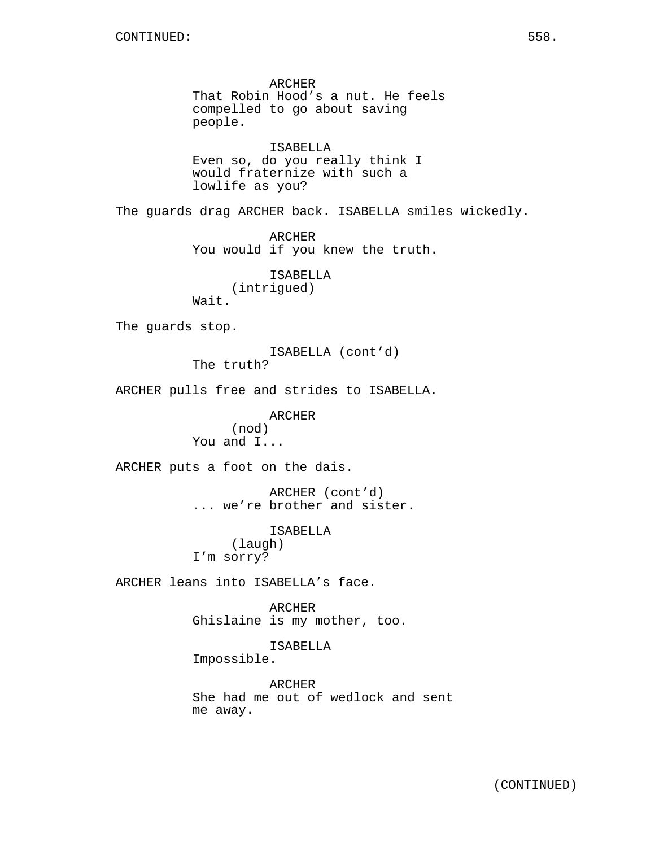ARCHER That Robin Hood's a nut. He feels compelled to go about saving people. ISABELLA

Even so, do you really think I would fraternize with such a lowlife as you?

The guards drag ARCHER back. ISABELLA smiles wickedly.

ARCHER You would if you knew the truth.

ISABELLA (intrigued) Wait.

The guards stop.

ISABELLA (cont'd)

The truth?

ARCHER pulls free and strides to ISABELLA.

ARCHER (nod) You and I...

ARCHER puts a foot on the dais.

ARCHER (cont'd) ... we're brother and sister.

> ISABELLA (laugh)

I'm sorry?

ARCHER leans into ISABELLA's face.

ARCHER Ghislaine is my mother, too.

ISABELLA Impossible.

ARCHER She had me out of wedlock and sent me away.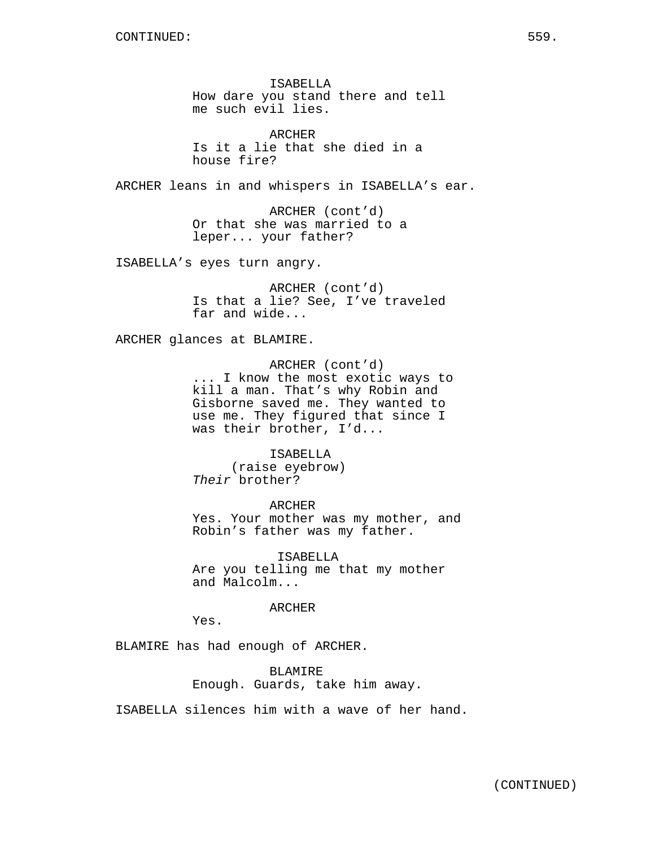ISABELLA How dare you stand there and tell me such evil lies.

ARCHER Is it a lie that she died in a house fire?

ARCHER leans in and whispers in ISABELLA's ear.

ARCHER (cont'd) Or that she was married to a leper... your father?

ISABELLA's eyes turn angry.

ARCHER (cont'd) Is that a lie? See, I've traveled far and wide...

ARCHER glances at BLAMIRE.

ARCHER (cont'd) ... I know the most exotic ways to kill a man. That's why Robin and Gisborne saved me. They wanted to use me. They figured that since I was their brother, I'd...

ISABELLA (raise eyebrow) Their brother?

ARCHER Yes. Your mother was my mother, and Robin's father was my father.

ISABELLA Are you telling me that my mother and Malcolm...

ARCHER

Yes.

BLAMIRE has had enough of ARCHER.

BLAMIRE Enough. Guards, take him away.

ISABELLA silences him with a wave of her hand.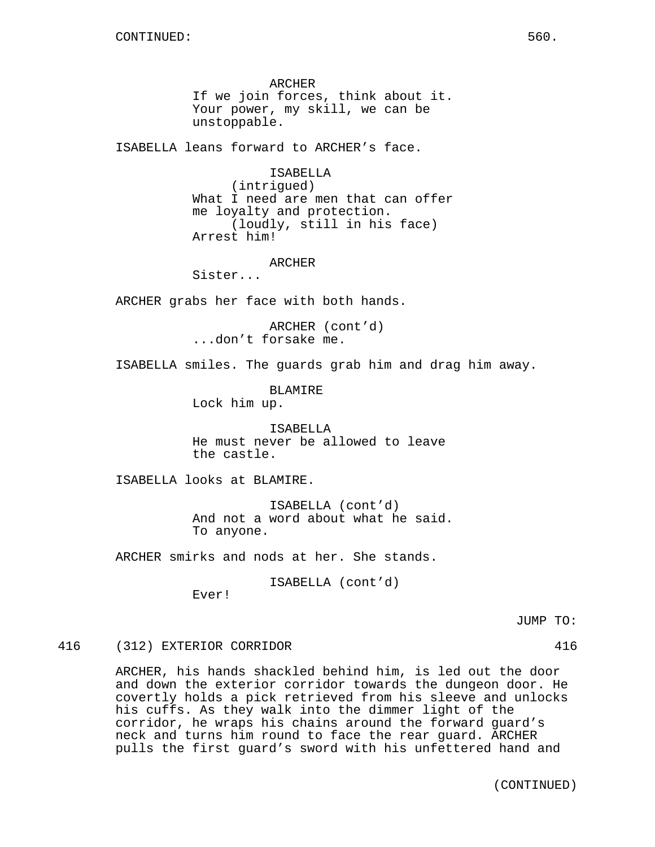ARCHER If we join forces, think about it. Your power, my skill, we can be unstoppable.

ISABELLA leans forward to ARCHER's face.

ISABELLA (intrigued) What I need are men that can offer me loyalty and protection. (loudly, still in his face) Arrest him!

ARCHER

Sister...

ARCHER grabs her face with both hands.

ARCHER (cont'd) ...don't forsake me.

ISABELLA smiles. The guards grab him and drag him away.

BLAMIRE Lock him up.

ISABELLA He must never be allowed to leave the castle.

ISABELLA looks at BLAMIRE.

ISABELLA (cont'd) And not a word about what he said. To anyone.

ARCHER smirks and nods at her. She stands.

ISABELLA (cont'd)

Ever!

JUMP TO:

#### 416 (312) EXTERIOR CORRIDOR 416

ARCHER, his hands shackled behind him, is led out the door and down the exterior corridor towards the dungeon door. He covertly holds a pick retrieved from his sleeve and unlocks his cuffs. As they walk into the dimmer light of the corridor, he wraps his chains around the forward guard's neck and turns him round to face the rear guard. ARCHER pulls the first guard's sword with his unfettered hand and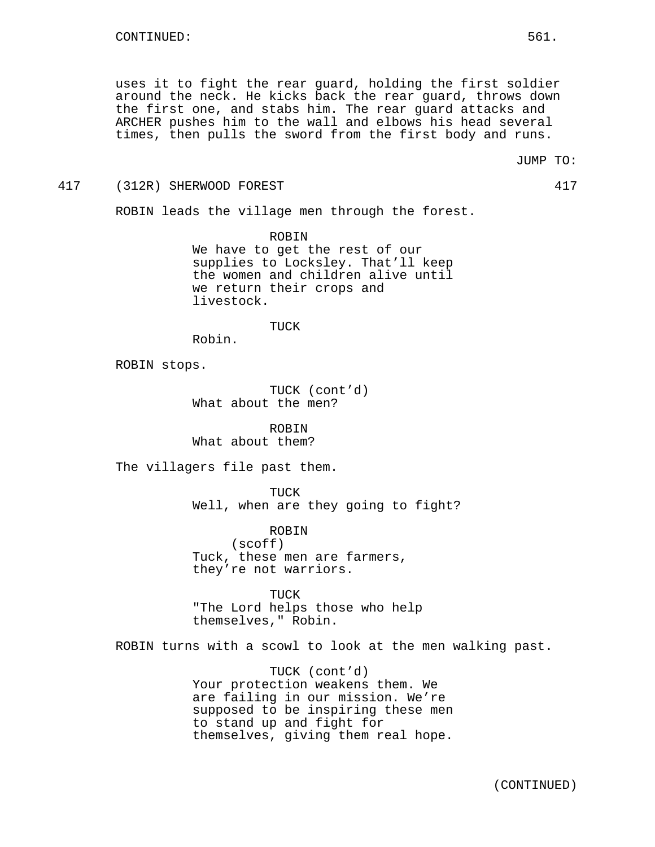uses it to fight the rear guard, holding the first soldier around the neck. He kicks back the rear guard, throws down the first one, and stabs him. The rear guard attacks and ARCHER pushes him to the wall and elbows his head several times, then pulls the sword from the first body and runs.

417 (312R) SHERWOOD FOREST 417

ROBIN leads the village men through the forest.

ROBIN We have to get the rest of our supplies to Locksley. That'll keep the women and children alive until we return their crops and livestock.

#### TUCK

Robin.

ROBIN stops.

TUCK (cont'd) What about the men?

ROBIN What about them?

The villagers file past them.

TUCK Well, when are they going to fight?

ROBIN (scoff) Tuck, these men are farmers, they're not warriors.

TUCK "The Lord helps those who help themselves," Robin.

ROBIN turns with a scowl to look at the men walking past.

TUCK (cont'd) Your protection weakens them. We are failing in our mission. We're supposed to be inspiring these men to stand up and fight for themselves, giving them real hope.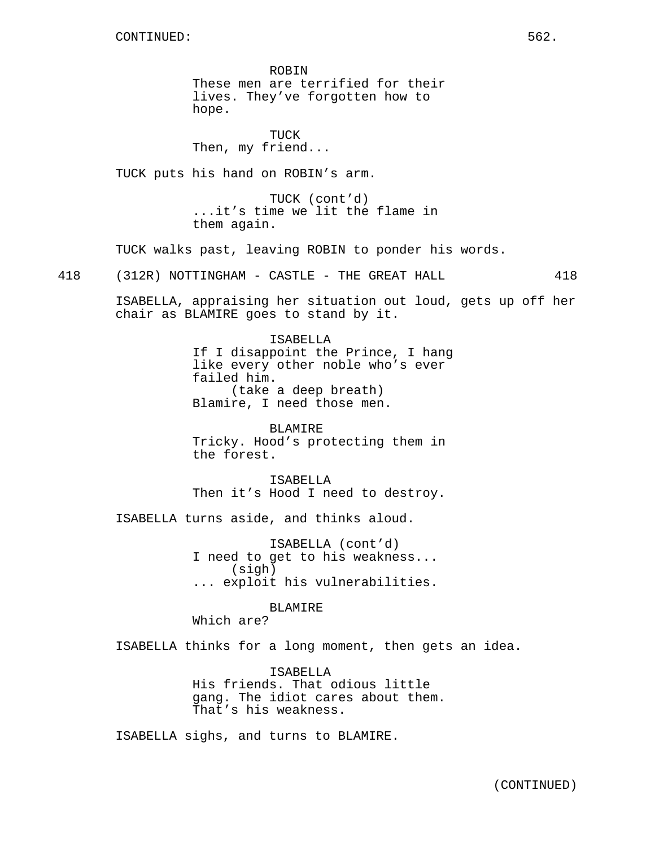ROBIN These men are terrified for their lives. They've forgotten how to hope.

TUCK Then, my friend...

TUCK puts his hand on ROBIN's arm.

TUCK (cont'd) ...it's time we lit the flame in them again.

TUCK walks past, leaving ROBIN to ponder his words.

418 (312R) NOTTINGHAM - CASTLE - THE GREAT HALL 418

ISABELLA, appraising her situation out loud, gets up off her chair as BLAMIRE goes to stand by it.

> ISABELLA If I disappoint the Prince, I hang like every other noble who's ever failed him. (take a deep breath) Blamire, I need those men.

BLAMIRE Tricky. Hood's protecting them in the forest.

ISABELLA Then it's Hood I need to destroy.

ISABELLA turns aside, and thinks aloud.

ISABELLA (cont'd) I need to get to his weakness... (sigh) ... exploit his vulnerabilities.

BLAMIRE

Which are?

ISABELLA thinks for a long moment, then gets an idea.

ISABELLA His friends. That odious little gang. The idiot cares about them. That's his weakness.

ISABELLA sighs, and turns to BLAMIRE.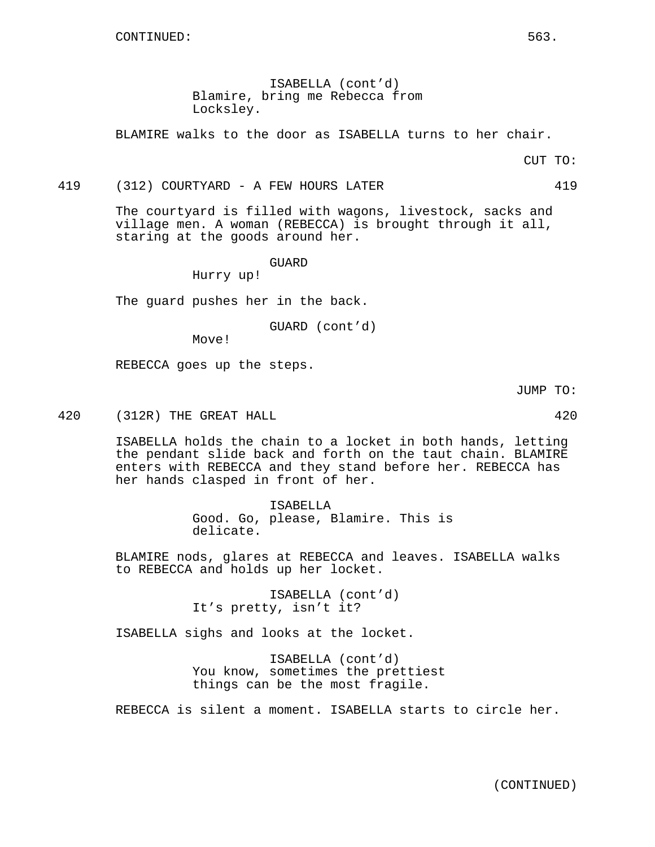ISABELLA (cont'd) Blamire, bring me Rebecca from Locksley.

BLAMIRE walks to the door as ISABELLA turns to her chair.

CUT TO:

#### 419 (312) COURTYARD - A FEW HOURS LATER 419

The courtyard is filled with wagons, livestock, sacks and village men. A woman (REBECCA) is brought through it all, staring at the goods around her.

GUARD

Hurry up!

The guard pushes her in the back.

GUARD (cont'd)

Move!

REBECCA goes up the steps.

JUMP TO:

420 (312R) THE GREAT HALL 420 420

ISABELLA holds the chain to a locket in both hands, letting the pendant slide back and forth on the taut chain. BLAMIRE enters with REBECCA and they stand before her. REBECCA has her hands clasped in front of her.

> ISABELLA Good. Go, please, Blamire. This is delicate.

BLAMIRE nods, glares at REBECCA and leaves. ISABELLA walks to REBECCA and holds up her locket.

> ISABELLA (cont'd) It's pretty, isn't it?

ISABELLA sighs and looks at the locket.

ISABELLA (cont'd) You know, sometimes the prettiest things can be the most fragile.

REBECCA is silent a moment. ISABELLA starts to circle her.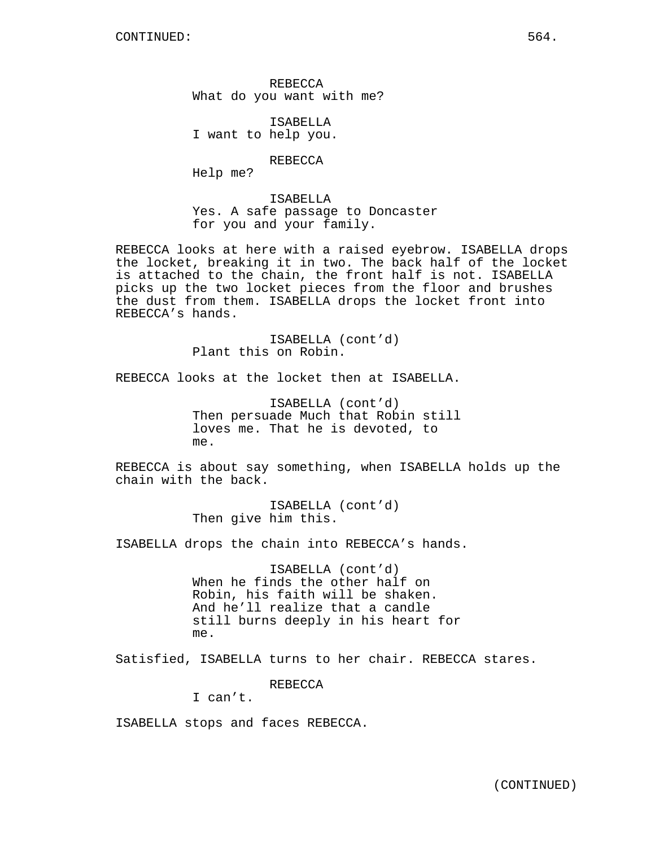REBECCA What do you want with me?

ISABELLA I want to help you.

REBECCA

Help me?

ISABELLA Yes. A safe passage to Doncaster for you and your family.

REBECCA looks at here with a raised eyebrow. ISABELLA drops the locket, breaking it in two. The back half of the locket is attached to the chain, the front half is not. ISABELLA picks up the two locket pieces from the floor and brushes the dust from them. ISABELLA drops the locket front into REBECCA's hands.

> ISABELLA (cont'd) Plant this on Robin.

REBECCA looks at the locket then at ISABELLA.

ISABELLA (cont'd) Then persuade Much that Robin still loves me. That he is devoted, to me.

REBECCA is about say something, when ISABELLA holds up the chain with the back.

> ISABELLA (cont'd) Then give him this.

ISABELLA drops the chain into REBECCA's hands.

ISABELLA (cont'd) When he finds the other half on Robin, his faith will be shaken. And he'll realize that a candle still burns deeply in his heart for me.

Satisfied, ISABELLA turns to her chair. REBECCA stares.

REBECCA

I can't.

ISABELLA stops and faces REBECCA.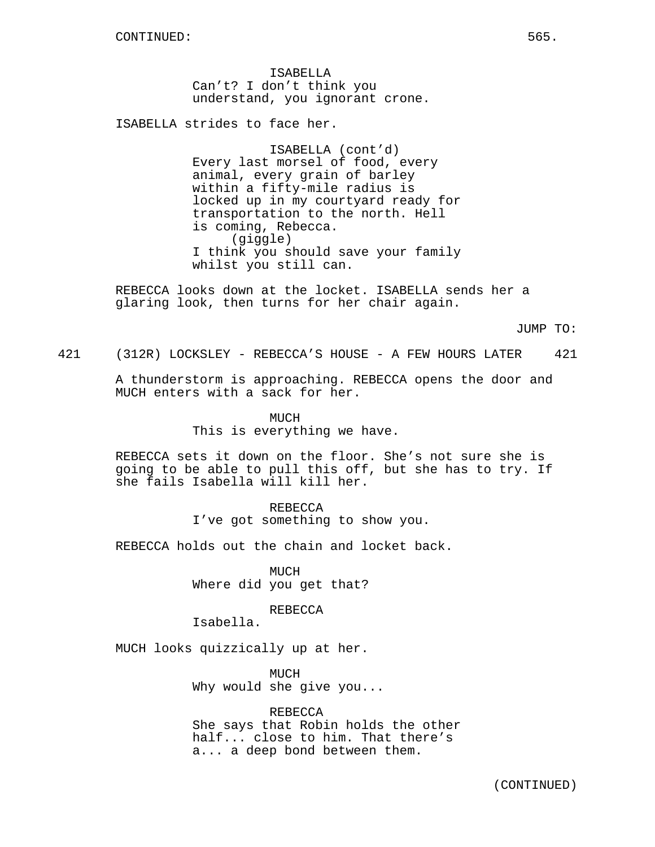ISABELLA Can't? I don't think you understand, you ignorant crone.

ISABELLA strides to face her.

ISABELLA (cont'd) Every last morsel of food, every animal, every grain of barley within a fifty-mile radius is locked up in my courtyard ready for transportation to the north. Hell is coming, Rebecca. (giggle) I think you should save your family whilst you still can.

REBECCA looks down at the locket. ISABELLA sends her a glaring look, then turns for her chair again.

JUMP TO:

421 (312R) LOCKSLEY - REBECCA'S HOUSE - A FEW HOURS LATER 421

A thunderstorm is approaching. REBECCA opens the door and MUCH enters with a sack for her.

> MICH This is everything we have.

REBECCA sets it down on the floor. She's not sure she is going to be able to pull this off, but she has to try. If she fails Isabella will kill her.

> **REBECCA** I've got something to show you.

REBECCA holds out the chain and locket back.

MUCH Where did you get that?

REBECCA

Isabella.

MUCH looks quizzically up at her.

MUCH Why would she give you...

REBECCA She says that Robin holds the other half... close to him. That there's a... a deep bond between them.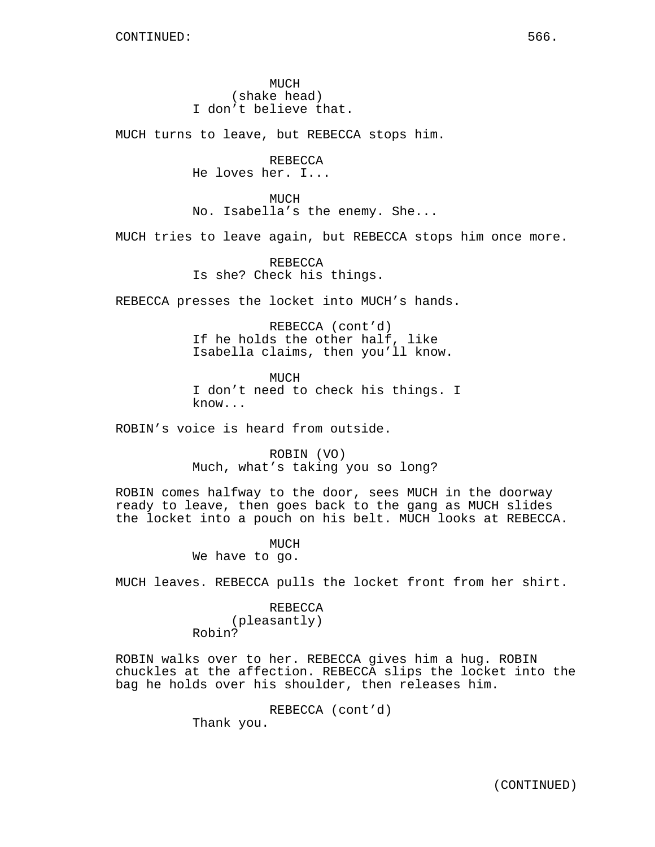MUCH (shake head) I don't believe that.

MUCH turns to leave, but REBECCA stops him.

REBECCA He loves her. I...

MUCH No. Isabella's the enemy. She...

MUCH tries to leave again, but REBECCA stops him once more.

REBECCA Is she? Check his things.

REBECCA presses the locket into MUCH's hands.

REBECCA (cont'd) If he holds the other half, like Isabella claims, then you'll know.

MUCH I don't need to check his things. I know...

ROBIN's voice is heard from outside.

ROBIN (VO) Much, what's taking you so long?

ROBIN comes halfway to the door, sees MUCH in the doorway ready to leave, then goes back to the gang as MUCH slides the locket into a pouch on his belt. MUCH looks at REBECCA.

> MUCH We have to go.

MUCH leaves. REBECCA pulls the locket front from her shirt.

# REBECCA (pleasantly)

Robin?

ROBIN walks over to her. REBECCA gives him a hug. ROBIN chuckles at the affection. REBECCA slips the locket into the bag he holds over his shoulder, then releases him.

> REBECCA (cont'd) Thank you.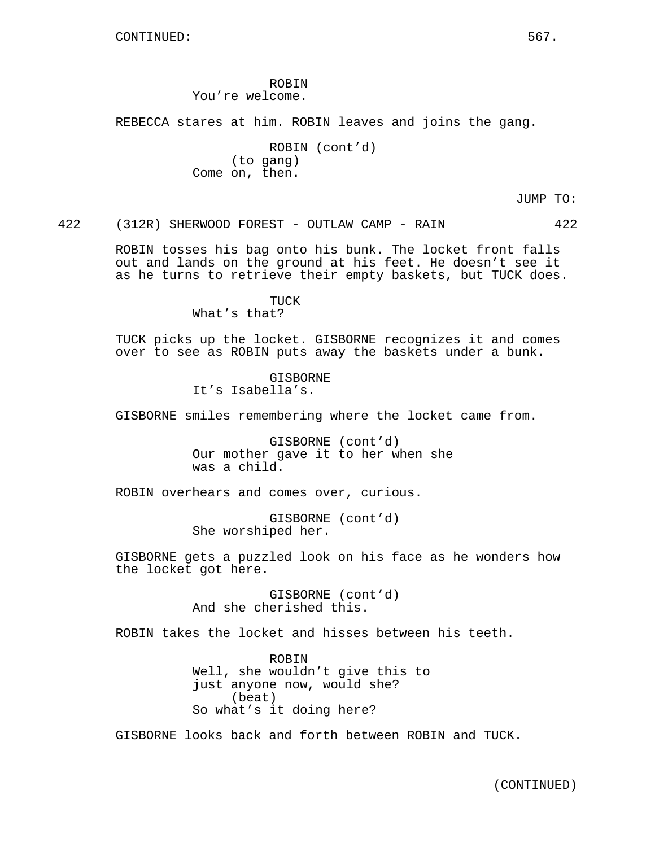ROBIN You're welcome.

REBECCA stares at him. ROBIN leaves and joins the gang.

ROBIN (cont'd) (to gang) Come on, then.

JUMP TO:

422 (312R) SHERWOOD FOREST - OUTLAW CAMP - RAIN 422

ROBIN tosses his bag onto his bunk. The locket front falls out and lands on the ground at his feet. He doesn't see it as he turns to retrieve their empty baskets, but TUCK does.

> TUCK What's that?

TUCK picks up the locket. GISBORNE recognizes it and comes over to see as ROBIN puts away the baskets under a bunk.

> GISBORNE It's Isabella's.

GISBORNE smiles remembering where the locket came from.

GISBORNE (cont'd) Our mother gave it to her when she was a child.

ROBIN overhears and comes over, curious.

GISBORNE (cont'd) She worshiped her.

GISBORNE gets a puzzled look on his face as he wonders how the locket got here.

> GISBORNE (cont'd) And she cherished this.

ROBIN takes the locket and hisses between his teeth.

ROBIN Well, she wouldn't give this to just anyone now, would she? (beat) So what's it doing here?

GISBORNE looks back and forth between ROBIN and TUCK.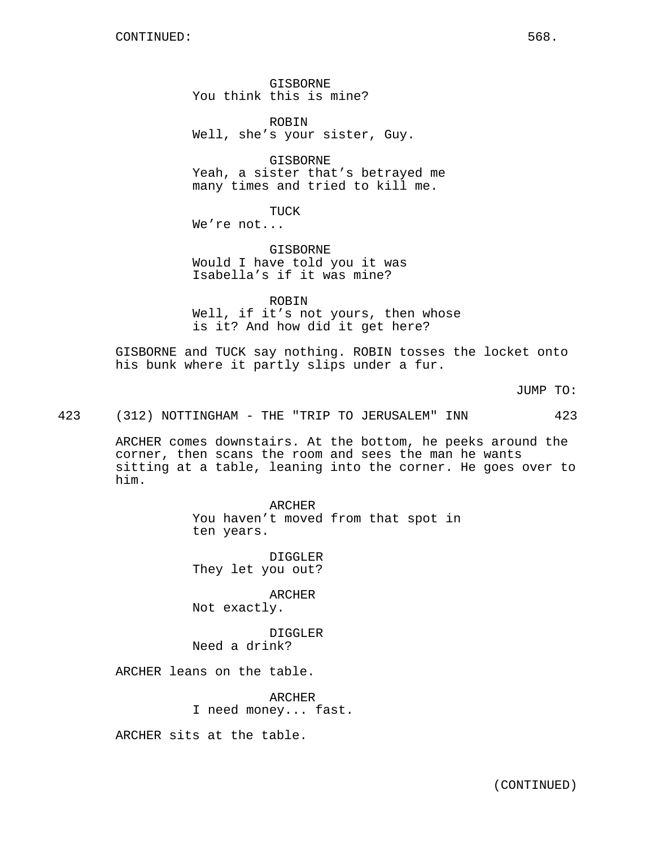GISBORNE You think this is mine?

ROBIN Well, she's your sister, Guy.

GISBORNE Yeah, a sister that's betrayed me many times and tried to kill me.

TUCK

We're not...

GISBORNE Would I have told you it was Isabella's if it was mine?

ROBIN Well, if it's not yours, then whose is it? And how did it get here?

GISBORNE and TUCK say nothing. ROBIN tosses the locket onto his bunk where it partly slips under a fur.

JUMP TO:

423 (312) NOTTINGHAM - THE "TRIP TO JERUSALEM" INN 423

ARCHER comes downstairs. At the bottom, he peeks around the corner, then scans the room and sees the man he wants sitting at a table, leaning into the corner. He goes over to him.

> ARCHER You haven't moved from that spot in ten years.

DIGGLER They let you out?

ARCHER Not exactly.

DIGGLER Need a drink?

ARCHER leans on the table.

ARCHER I need money... fast.

ARCHER sits at the table.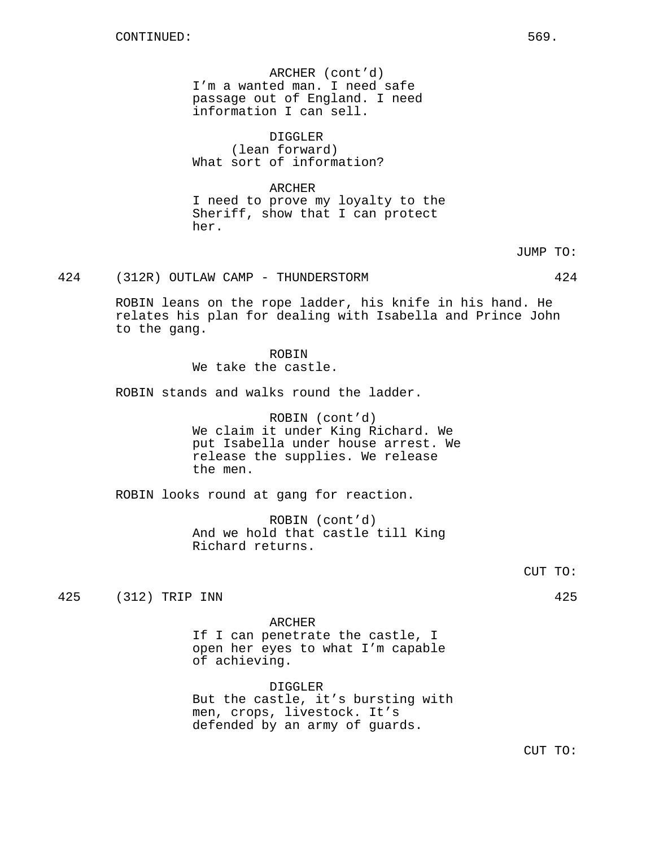ARCHER (cont'd) I'm a wanted man. I need safe passage out of England. I need information I can sell.

DIGGLER (lean forward) What sort of information?

# ARCHER

I need to prove my loyalty to the Sheriff, show that I can protect her.

JUMP TO:

424 (312R) OUTLAW CAMP - THUNDERSTORM 424

ROBIN leans on the rope ladder, his knife in his hand. He relates his plan for dealing with Isabella and Prince John to the gang.

> ROBIN We take the castle.

ROBIN stands and walks round the ladder.

ROBIN (cont'd) We claim it under King Richard. We put Isabella under house arrest. We release the supplies. We release the men.

ROBIN looks round at gang for reaction.

ROBIN (cont'd) And we hold that castle till King Richard returns.

CUT TO:

425 (312) TRIP INN 425

ARCHER If I can penetrate the castle, I open her eyes to what I'm capable of achieving.

DIGGLER But the castle, it's bursting with men, crops, livestock. It's defended by an army of guards.

CUT TO: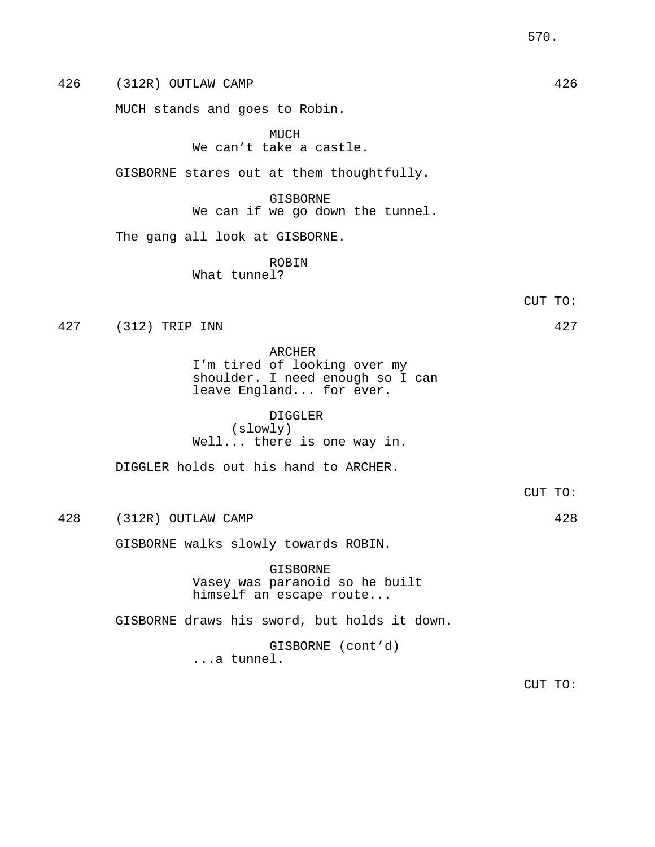426 (312R) OUTLAW CAMP 426 MUCH stands and goes to Robin. MUCH We can't take a castle. GISBORNE stares out at them thoughtfully. GISBORNE We can if we go down the tunnel. The gang all look at GISBORNE. ROBIN What tunnel? CUT TO: 427 (312) TRIP INN 427 ARCHER I'm tired of looking over my shoulder. I need enough so I can leave England... for ever. DIGGLER (slowly) Well... there is one way in. DIGGLER holds out his hand to ARCHER. CUT TO: 428 (312R) OUTLAW CAMP 428 GISBORNE walks slowly towards ROBIN. GISBORNE Vasey was paranoid so he built himself an escape route... GISBORNE draws his sword, but holds it down. GISBORNE (cont'd) ...a tunnel.

CUT TO: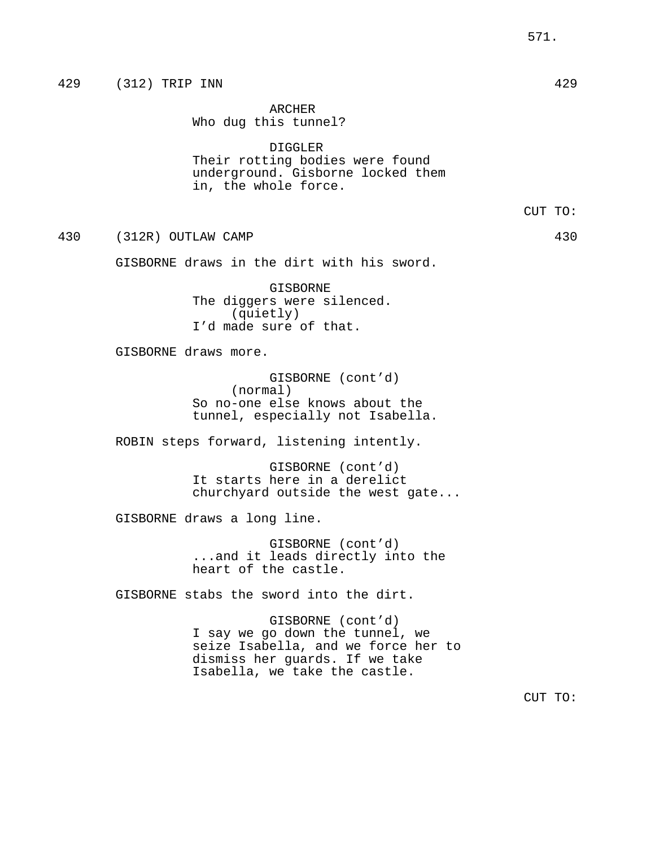|     | 429 (312) TRIP INN                                                                                                                                             | 429     |
|-----|----------------------------------------------------------------------------------------------------------------------------------------------------------------|---------|
|     | ARCHER<br>Who dug this tunnel?                                                                                                                                 |         |
|     | <b>DIGGLER</b><br>Their rotting bodies were found<br>underground. Gisborne locked them<br>in, the whole force.                                                 |         |
|     |                                                                                                                                                                | CUT TO: |
| 430 | (312R) OUTLAW CAMP                                                                                                                                             | 430     |
|     | GISBORNE draws in the dirt with his sword.                                                                                                                     |         |
|     | GISBORNE<br>The diggers were silenced.<br>(quietly)<br>I'd made sure of that.                                                                                  |         |
|     | GISBORNE draws more.                                                                                                                                           |         |
|     | GISBORNE (cont'd)<br>(normal)<br>So no-one else knows about the<br>tunnel, especially not Isabella.                                                            |         |
|     | ROBIN steps forward, listening intently.                                                                                                                       |         |
|     | GISBORNE (cont'd)<br>It starts here in a derelict<br>churchyard outside the west gate                                                                          |         |
|     | GISBORNE draws a long line.                                                                                                                                    |         |
|     | GISBORNE (cont'd)<br>and it leads directly into the<br>heart of the castle.                                                                                    |         |
|     | GISBORNE stabs the sword into the dirt.                                                                                                                        |         |
|     | GISBORNE (cont'd)<br>I say we go down the tunnel, we<br>seize Isabella, and we force her to<br>dismiss her guards. If we take<br>Isabella, we take the castle. |         |
|     |                                                                                                                                                                | CUT TO: |
|     |                                                                                                                                                                |         |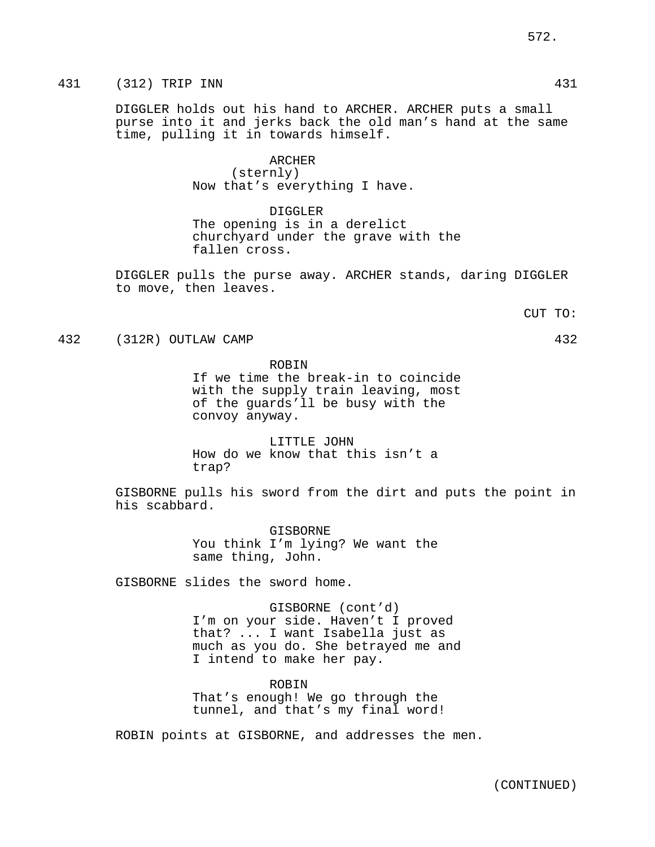DIGGLER holds out his hand to ARCHER. ARCHER puts a small purse into it and jerks back the old man's hand at the same time, pulling it in towards himself.

# ARCHER (sternly)

Now that's everything I have.

DIGGLER The opening is in a derelict churchyard under the grave with the fallen cross.

DIGGLER pulls the purse away. ARCHER stands, daring DIGGLER to move, then leaves.

CUT TO:

432 (312R) OUTLAW CAMP 432

ROBIN

If we time the break-in to coincide with the supply train leaving, most of the guards'll be busy with the convoy anyway.

LITTLE JOHN How do we know that this isn't a trap?

GISBORNE pulls his sword from the dirt and puts the point in his scabbard.

> GISBORNE You think I'm lying? We want the same thing, John.

GISBORNE slides the sword home.

GISBORNE (cont'd) I'm on your side. Haven't I proved that? ... I want Isabella just as much as you do. She betrayed me and I intend to make her pay.

ROBIN That's enough! We go through the tunnel, and that's my final word!

ROBIN points at GISBORNE, and addresses the men.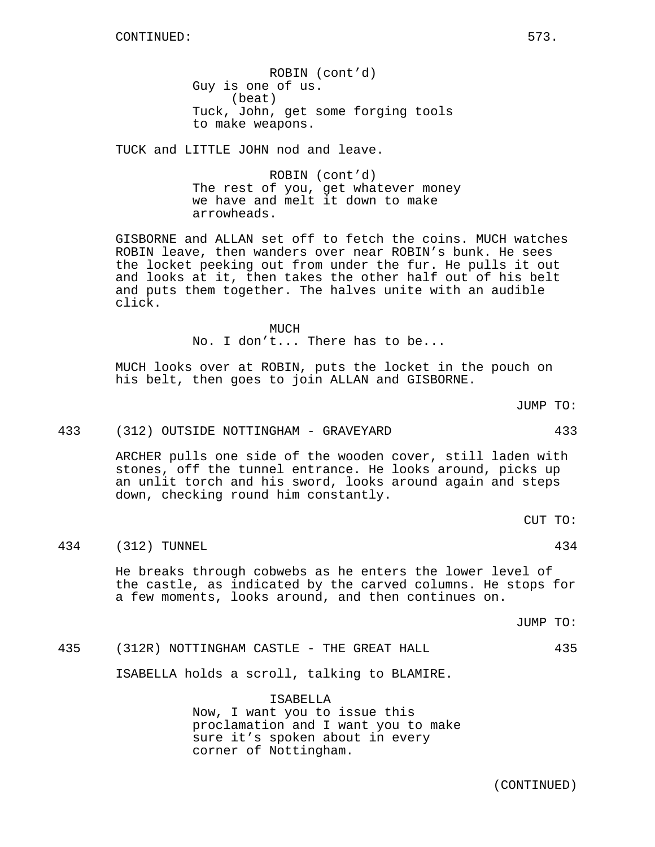ROBIN (cont'd) Guy is one of us. (beat) Tuck, John, get some forging tools to make weapons.

TUCK and LITTLE JOHN nod and leave.

ROBIN (cont'd) The rest of you, get whatever money we have and melt it down to make arrowheads.

GISBORNE and ALLAN set off to fetch the coins. MUCH watches ROBIN leave, then wanders over near ROBIN's bunk. He sees the locket peeking out from under the fur. He pulls it out and looks at it, then takes the other half out of his belt and puts them together. The halves unite with an audible click.

MUCH

No. I don't... There has to be...

MUCH looks over at ROBIN, puts the locket in the pouch on his belt, then goes to join ALLAN and GISBORNE.

JUMP TO:

#### 433 (312) OUTSIDE NOTTINGHAM - GRAVEYARD 433

ARCHER pulls one side of the wooden cover, still laden with stones, off the tunnel entrance. He looks around, picks up an unlit torch and his sword, looks around again and steps down, checking round him constantly.

CUT TO:

434 (312) TUNNEL 434

He breaks through cobwebs as he enters the lower level of the castle, as indicated by the carved columns. He stops for a few moments, looks around, and then continues on.

JUMP TO:

435 (312R) NOTTINGHAM CASTLE - THE GREAT HALL 435

ISABELLA holds a scroll, talking to BLAMIRE.

ISABELLA Now, I want you to issue this proclamation and I want you to make sure it's spoken about in every corner of Nottingham.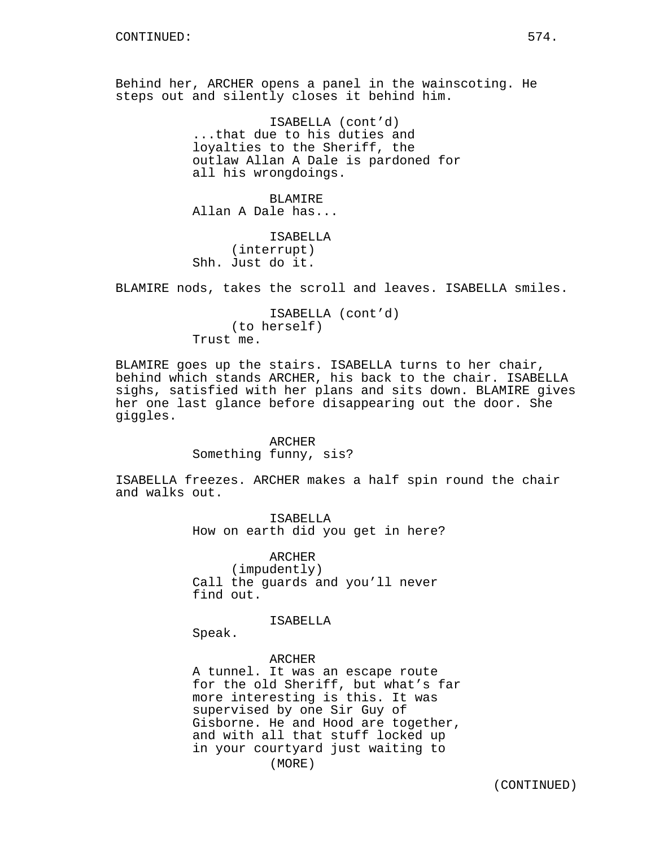Behind her, ARCHER opens a panel in the wainscoting. He steps out and silently closes it behind him.

> ISABELLA (cont'd) ...that due to his duties and loyalties to the Sheriff, the outlaw Allan A Dale is pardoned for all his wrongdoings.

BLAMIRE Allan A Dale has...

ISABELLA (interrupt) Shh. Just do it.

BLAMIRE nods, takes the scroll and leaves. ISABELLA smiles.

ISABELLA (cont'd) (to herself) Trust me.

BLAMIRE goes up the stairs. ISABELLA turns to her chair, behind which stands ARCHER, his back to the chair. ISABELLA sighs, satisfied with her plans and sits down. BLAMIRE gives her one last glance before disappearing out the door. She giggles.

> ARCHER Something funny, sis?

ISABELLA freezes. ARCHER makes a half spin round the chair and walks out.

> ISABELLA How on earth did you get in here?

ARCHER (impudently) Call the guards and you'll never find out.

ISABELLA

Speak.

ARCHER A tunnel. It was an escape route for the old Sheriff, but what's far more interesting is this. It was supervised by one Sir Guy of Gisborne. He and Hood are together, and with all that stuff locked up in your courtyard just waiting to (MORE)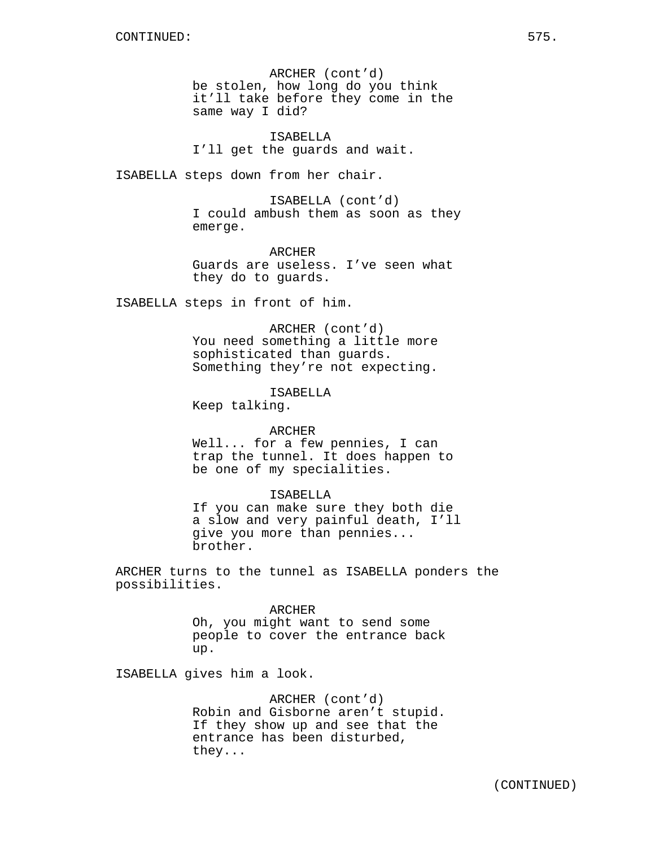ARCHER (cont'd) be stolen, how long do you think it'll take before they come in the same way I did?

ISABELLA I'll get the guards and wait.

ISABELLA steps down from her chair.

ISABELLA (cont'd) I could ambush them as soon as they emerge.

**ARCHER** Guards are useless. I've seen what they do to guards.

ISABELLA steps in front of him.

ARCHER (cont'd)

You need something a little more sophisticated than guards. Something they're not expecting.

ISABELLA Keep talking.

#### ARCHER

Well... for a few pennies, I can trap the tunnel. It does happen to be one of my specialities.

#### ISABELLA

If you can make sure they both die a slow and very painful death, I'll give you more than pennies... brother.

ARCHER turns to the tunnel as ISABELLA ponders the possibilities.

#### ARCHER

Oh, you might want to send some people to cover the entrance back up.

ISABELLA gives him a look.

ARCHER (cont'd) Robin and Gisborne aren't stupid. If they show up and see that the entrance has been disturbed, they...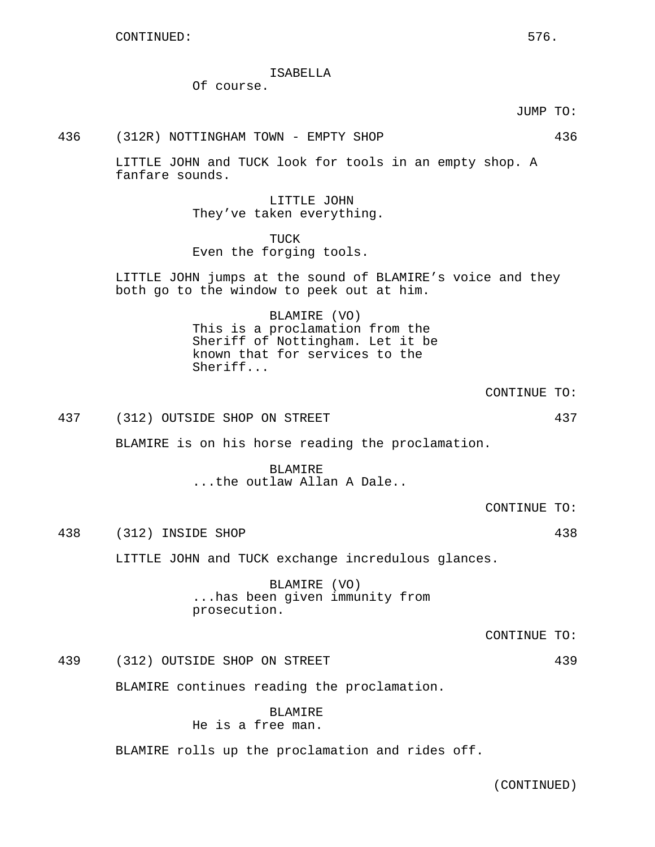## ISABELLA

Of course.

JUMP TO:

436 (312R) NOTTINGHAM TOWN - EMPTY SHOP 436

LITTLE JOHN and TUCK look for tools in an empty shop. A fanfare sounds.

> LITTLE JOHN They've taken everything.

## TUCK Even the forging tools.

LITTLE JOHN jumps at the sound of BLAMIRE's voice and they both go to the window to peek out at him.

> BLAMIRE (VO) This is a proclamation from the Sheriff of Nottingham. Let it be known that for services to the Sheriff...

> > CONTINUE TO:

437 (312) OUTSIDE SHOP ON STREET 437

BLAMIRE is on his horse reading the proclamation.

BLAMIRE ...the outlaw Allan A Dale..

CONTINUE TO:

438 (312) INSIDE SHOP 438

LITTLE JOHN and TUCK exchange incredulous glances.

BLAMIRE (VO) ...has been given immunity from prosecution.

CONTINUE TO:

439 (312) OUTSIDE SHOP ON STREET 439

BLAMIRE continues reading the proclamation.

BLAMIRE He is a free man.

BLAMIRE rolls up the proclamation and rides off.

(CONTINUED)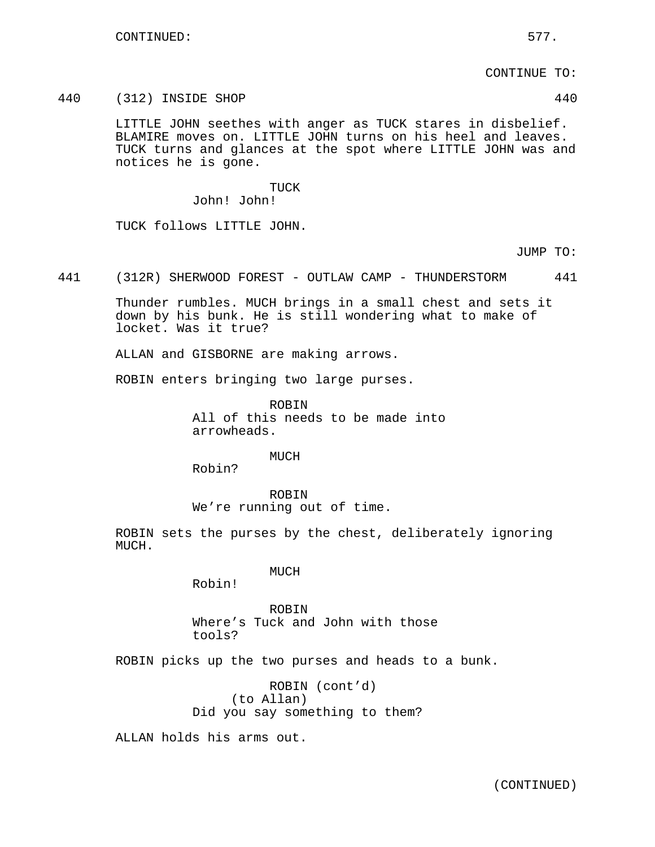CONTINUE TO:

#### 440 (312) INSIDE SHOP 440

LITTLE JOHN seethes with anger as TUCK stares in disbelief. BLAMIRE moves on. LITTLE JOHN turns on his heel and leaves. TUCK turns and glances at the spot where LITTLE JOHN was and notices he is gone.

## TUCK John! John!

TUCK follows LITTLE JOHN.

JUMP TO:

441 (312R) SHERWOOD FOREST - OUTLAW CAMP - THUNDERSTORM 441

Thunder rumbles. MUCH brings in a small chest and sets it down by his bunk. He is still wondering what to make of locket. Was it true?

ALLAN and GISBORNE are making arrows.

ROBIN enters bringing two large purses.

ROBIN All of this needs to be made into arrowheads.

MUCH

Robin?

ROBIN We're running out of time.

ROBIN sets the purses by the chest, deliberately ignoring MUCH.

MUCH

Robin!

ROBIN Where's Tuck and John with those tools?

ROBIN picks up the two purses and heads to a bunk.

ROBIN (cont'd) (to Allan) Did you say something to them?

ALLAN holds his arms out.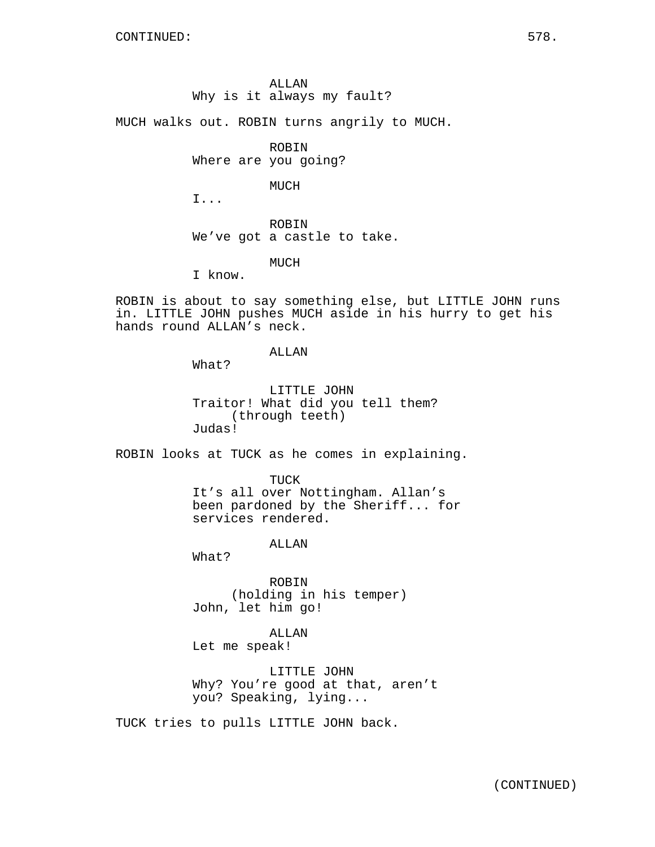# ALLAN Why is it always my fault?

MUCH walks out. ROBIN turns angrily to MUCH.

ROBIN

Where are you going?

MUCH

I...

ROBIN We've got a castle to take.

MUCH

I know.

ROBIN is about to say something else, but LITTLE JOHN runs in. LITTLE JOHN pushes MUCH aside in his hurry to get his hands round ALLAN's neck.

ALLAN

What?

LITTLE JOHN Traitor! What did you tell them? (through teeth) Judas!

ROBIN looks at TUCK as he comes in explaining.

TUCK It's all over Nottingham. Allan's been pardoned by the Sheriff... for services rendered.

ALLAN

What?

ROBIN (holding in his temper) John, let him go!

ALLAN Let me speak!

LITTLE JOHN Why? You're good at that, aren't you? Speaking, lying...

TUCK tries to pulls LITTLE JOHN back.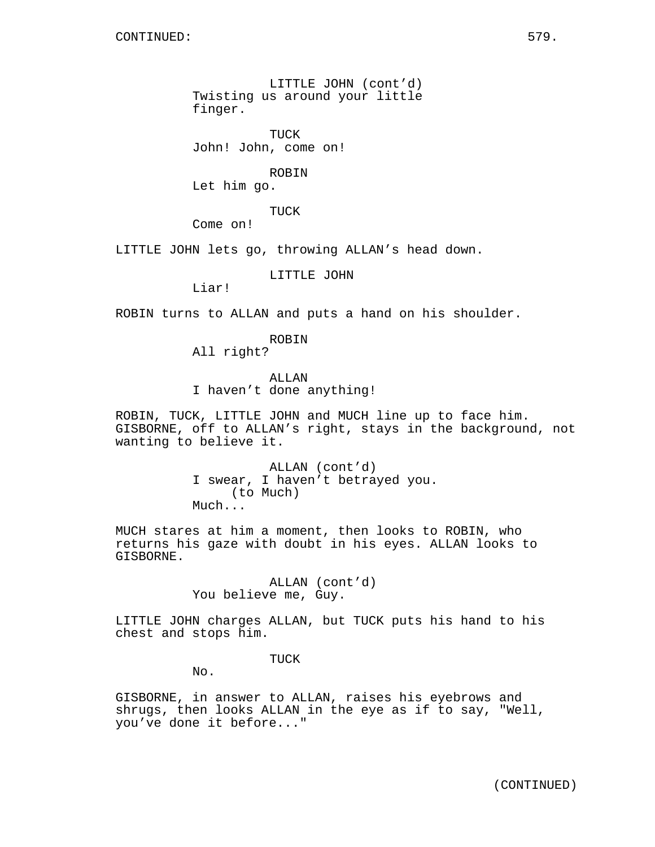LITTLE JOHN (cont'd) Twisting us around your little finger.

TUCK John! John, come on!

ROBIN

Let him go.

TUCK

Come on!

LITTLE JOHN lets go, throwing ALLAN's head down.

LITTLE JOHN

Liar!

ROBIN turns to ALLAN and puts a hand on his shoulder.

ROBIN

All right?

ALLAN I haven't done anything!

ROBIN, TUCK, LITTLE JOHN and MUCH line up to face him. GISBORNE, off to ALLAN's right, stays in the background, not wanting to believe it.

> ALLAN (cont'd) I swear, I haven't betrayed you. (to Much) Much...

MUCH stares at him a moment, then looks to ROBIN, who returns his gaze with doubt in his eyes. ALLAN looks to GISBORNE.

> ALLAN (cont'd) You believe me, Guy.

LITTLE JOHN charges ALLAN, but TUCK puts his hand to his chest and stops him.

TUCK

No.

GISBORNE, in answer to ALLAN, raises his eyebrows and shrugs, then looks ALLAN in the eye as if to say, "Well, you've done it before..."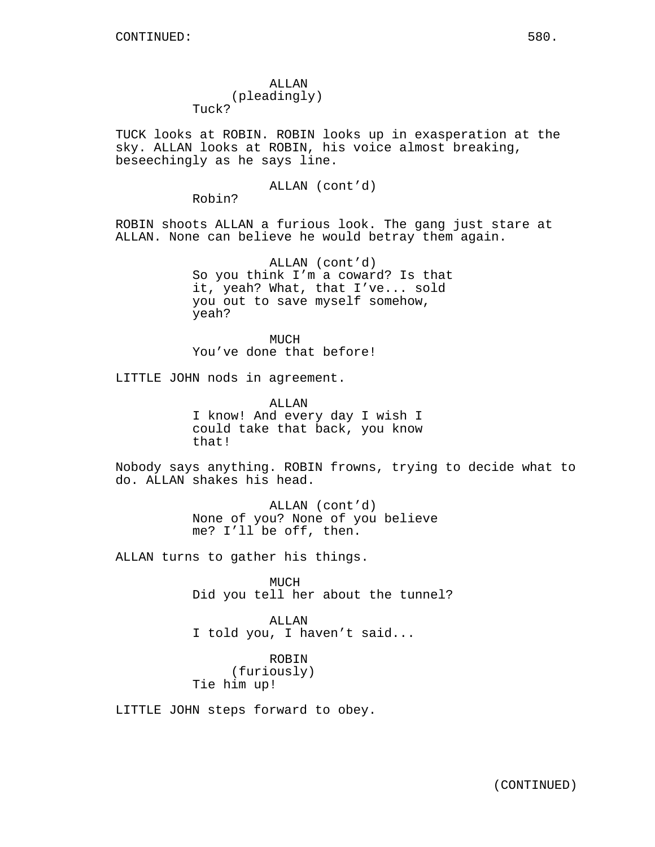ALLAN (pleadingly) Tuck?

TUCK looks at ROBIN. ROBIN looks up in exasperation at the sky. ALLAN looks at ROBIN, his voice almost breaking, beseechingly as he says line.

ALLAN (cont'd)

Robin?

ROBIN shoots ALLAN a furious look. The gang just stare at ALLAN. None can believe he would betray them again.

> ALLAN (cont'd) So you think I'm a coward? Is that it, yeah? What, that I've... sold you out to save myself somehow, yeah?

**MUCH** You've done that before!

LITTLE JOHN nods in agreement.

ALLAN I know! And every day I wish I could take that back, you know that!

Nobody says anything. ROBIN frowns, trying to decide what to do. ALLAN shakes his head.

> ALLAN (cont'd) None of you? None of you believe me? I'll be off, then.

ALLAN turns to gather his things.

MUCH Did you tell her about the tunnel?

ALLAN I told you, I haven't said...

ROBIN (furiously) Tie him up!

LITTLE JOHN steps forward to obey.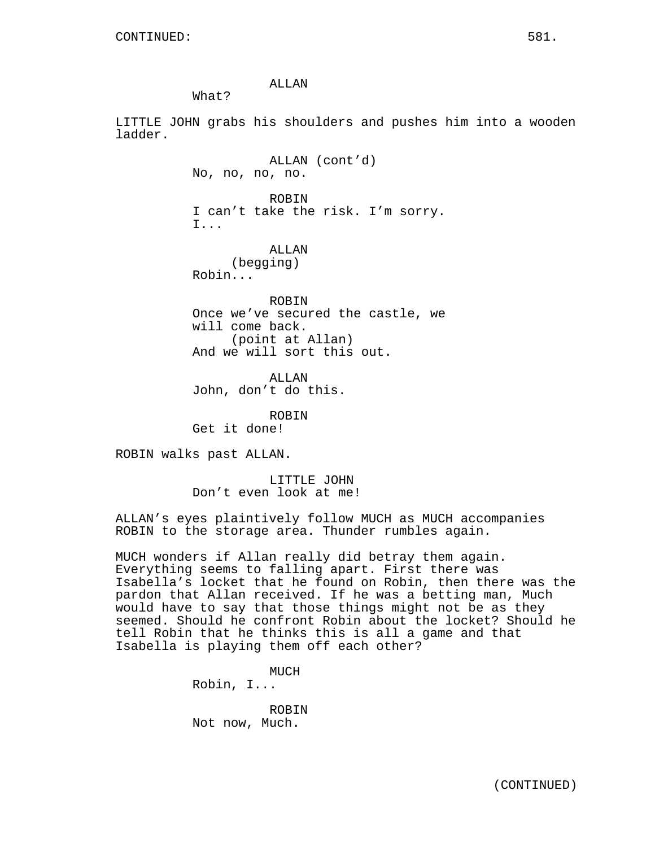ALLAN

What?

LITTLE JOHN grabs his shoulders and pushes him into a wooden ladder.

> ALLAN (cont'd) No, no, no, no. ROBIN I can't take the risk. I'm sorry. I... ALLAN (begging) Robin... ROBIN Once we've secured the castle, we will come back. (point at Allan)

And we will sort this out.

ALLAN John, don't do this.

ROBIN Get it done!

ROBIN walks past ALLAN.

LITTLE JOHN Don't even look at me!

ALLAN's eyes plaintively follow MUCH as MUCH accompanies ROBIN to the storage area. Thunder rumbles again.

MUCH wonders if Allan really did betray them again. Everything seems to falling apart. First there was Isabella's locket that he found on Robin, then there was the pardon that Allan received. If he was a betting man, Much would have to say that those things might not be as they seemed. Should he confront Robin about the locket? Should he tell Robin that he thinks this is all a game and that Isabella is playing them off each other?

> MUCH Robin, I... ROBIN

Not now, Much.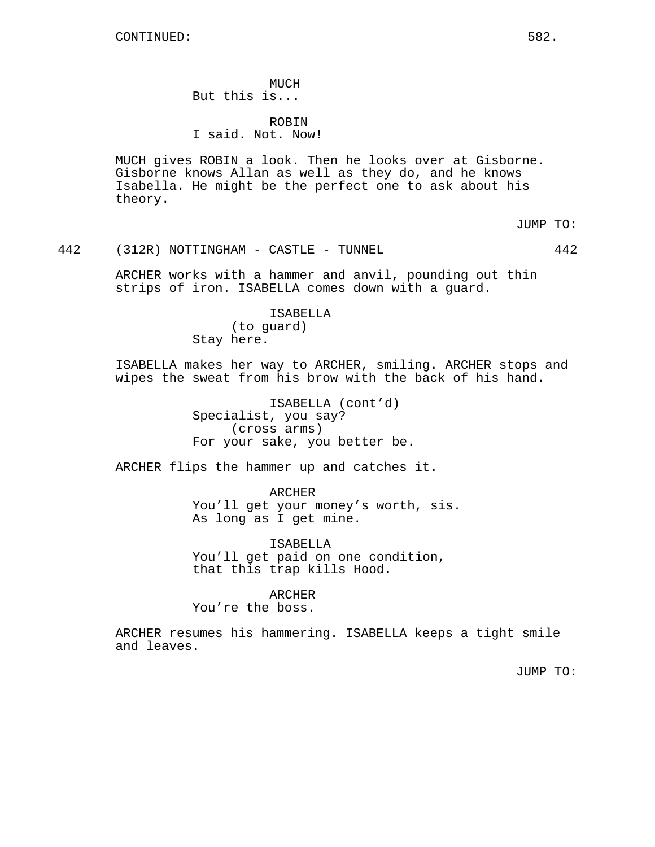MUCH But this is...

ROBIN I said. Not. Now!

MUCH gives ROBIN a look. Then he looks over at Gisborne. Gisborne knows Allan as well as they do, and he knows Isabella. He might be the perfect one to ask about his theory.

JUMP TO:

442 (312R) NOTTINGHAM - CASTLE - TUNNEL 442

ARCHER works with a hammer and anvil, pounding out thin strips of iron. ISABELLA comes down with a guard.

> ISABELLA (to guard) Stay here.

ISABELLA makes her way to ARCHER, smiling. ARCHER stops and wipes the sweat from his brow with the back of his hand.

> ISABELLA (cont'd) Specialist, you say? (cross arms) For your sake, you better be.

ARCHER flips the hammer up and catches it.

ARCHER You'll get your money's worth, sis. As long as I get mine.

ISABELLA You'll get paid on one condition, that this trap kills Hood.

ARCHER You're the boss.

ARCHER resumes his hammering. ISABELLA keeps a tight smile and leaves.

JUMP TO: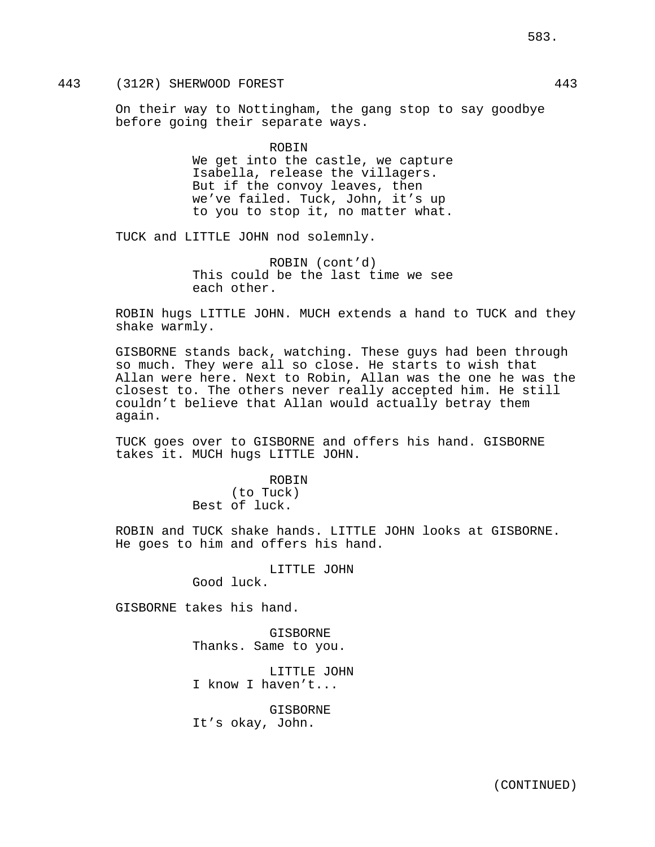# 443 (312R) SHERWOOD FOREST 443

On their way to Nottingham, the gang stop to say goodbye before going their separate ways.

> ROBIN We get into the castle, we capture Isabella, release the villagers. But if the convoy leaves, then we've failed. Tuck, John, it's up to you to stop it, no matter what.

TUCK and LITTLE JOHN nod solemnly.

ROBIN (cont'd) This could be the last time we see each other.

ROBIN hugs LITTLE JOHN. MUCH extends a hand to TUCK and they shake warmly.

GISBORNE stands back, watching. These guys had been through so much. They were all so close. He starts to wish that Allan were here. Next to Robin, Allan was the one he was the closest to. The others never really accepted him. He still couldn't believe that Allan would actually betray them again.

TUCK goes over to GISBORNE and offers his hand. GISBORNE takes it. MUCH hugs LITTLE JOHN.

> ROBIN (to Tuck) Best of luck.

ROBIN and TUCK shake hands. LITTLE JOHN looks at GISBORNE. He goes to him and offers his hand.

LITTLE JOHN

Good luck.

GISBORNE takes his hand.

GISBORNE Thanks. Same to you.

LITTLE JOHN I know I haven't...

GISBORNE It's okay, John.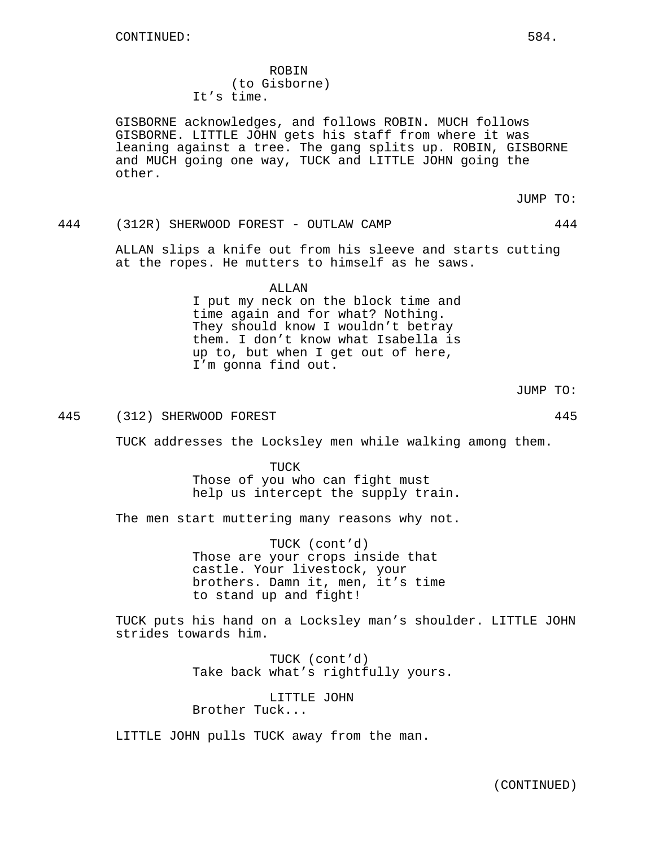ROBIN (to Gisborne) It's time.

GISBORNE acknowledges, and follows ROBIN. MUCH follows GISBORNE. LITTLE JOHN gets his staff from where it was leaning against a tree. The gang splits up. ROBIN, GISBORNE and MUCH going one way, TUCK and LITTLE JOHN going the other.

JUMP TO:

444 (312R) SHERWOOD FOREST - OUTLAW CAMP 444

ALLAN slips a knife out from his sleeve and starts cutting at the ropes. He mutters to himself as he saws.

> ALLAN I put my neck on the block time and time again and for what? Nothing. They should know I wouldn't betray them. I don't know what Isabella is up to, but when I get out of here, I'm gonna find out.

> > JUMP TO:

445 (312) SHERWOOD FOREST 445

TUCK addresses the Locksley men while walking among them.

TUCK Those of you who can fight must help us intercept the supply train.

The men start muttering many reasons why not.

TUCK (cont'd) Those are your crops inside that castle. Your livestock, your brothers. Damn it, men, it's time to stand up and fight!

TUCK puts his hand on a Locksley man's shoulder. LITTLE JOHN strides towards him.

> TUCK (cont'd) Take back what's rightfully yours.

LITTLE JOHN Brother Tuck...

LITTLE JOHN pulls TUCK away from the man.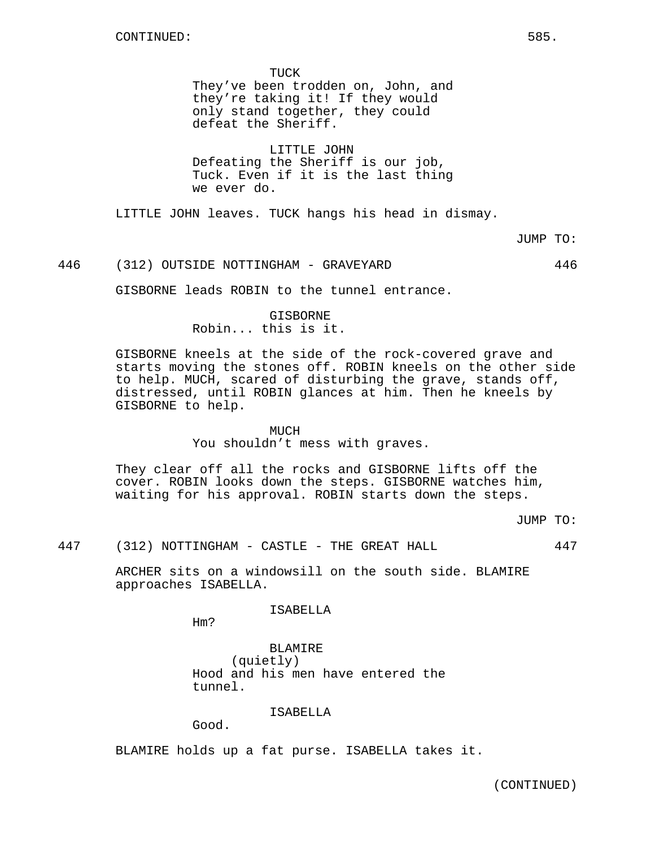TUCK They've been trodden on, John, and they're taking it! If they would only stand together, they could defeat the Sheriff.

LITTLE JOHN Defeating the Sheriff is our job, Tuck. Even if it is the last thing we ever do.

LITTLE JOHN leaves. TUCK hangs his head in dismay.

JUMP TO:

## 446 (312) OUTSIDE NOTTINGHAM - GRAVEYARD 446

GISBORNE leads ROBIN to the tunnel entrance.

GISBORNE Robin... this is it.

GISBORNE kneels at the side of the rock-covered grave and starts moving the stones off. ROBIN kneels on the other side to help. MUCH, scared of disturbing the grave, stands off, distressed, until ROBIN glances at him. Then he kneels by GISBORNE to help.

#### MUCH

You shouldn't mess with graves.

They clear off all the rocks and GISBORNE lifts off the cover. ROBIN looks down the steps. GISBORNE watches him, waiting for his approval. ROBIN starts down the steps.

JUMP TO:

447 (312) NOTTINGHAM - CASTLE - THE GREAT HALL 447

ARCHER sits on a windowsill on the south side. BLAMIRE approaches ISABELLA.

ISABELLA

Hm?

BLAMIRE (quietly) Hood and his men have entered the tunnel.

ISABELLA

Good.

BLAMIRE holds up a fat purse. ISABELLA takes it.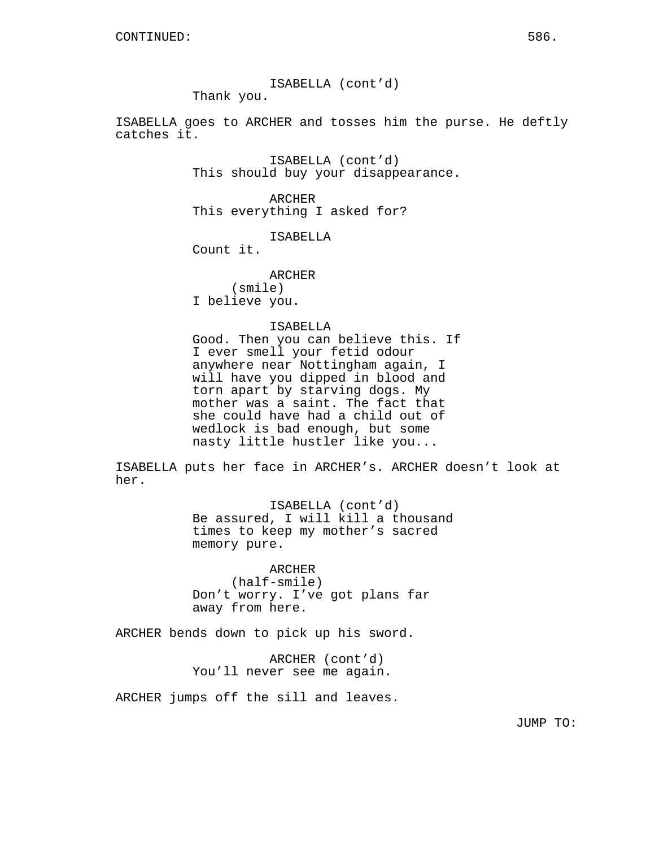ISABELLA (cont'd)

Thank you.

ISABELLA goes to ARCHER and tosses him the purse. He deftly catches it.

> ISABELLA (cont'd) This should buy your disappearance.

ARCHER This everything I asked for?

ISABELLA

Count it.

ARCHER (smile) I believe you.

# ISABELLA

Good. Then you can believe this. If I ever smell your fetid odour anywhere near Nottingham again, I will have you dipped in blood and torn apart by starving dogs. My mother was a saint. The fact that she could have had a child out of wedlock is bad enough, but some nasty little hustler like you...

ISABELLA puts her face in ARCHER's. ARCHER doesn't look at her.

> ISABELLA (cont'd) Be assured, I will kill a thousand times to keep my mother's sacred memory pure.

ARCHER (half-smile) Don't worry. I've got plans far away from here.

ARCHER bends down to pick up his sword.

ARCHER (cont'd) You'll never see me again.

ARCHER jumps off the sill and leaves.

JUMP TO: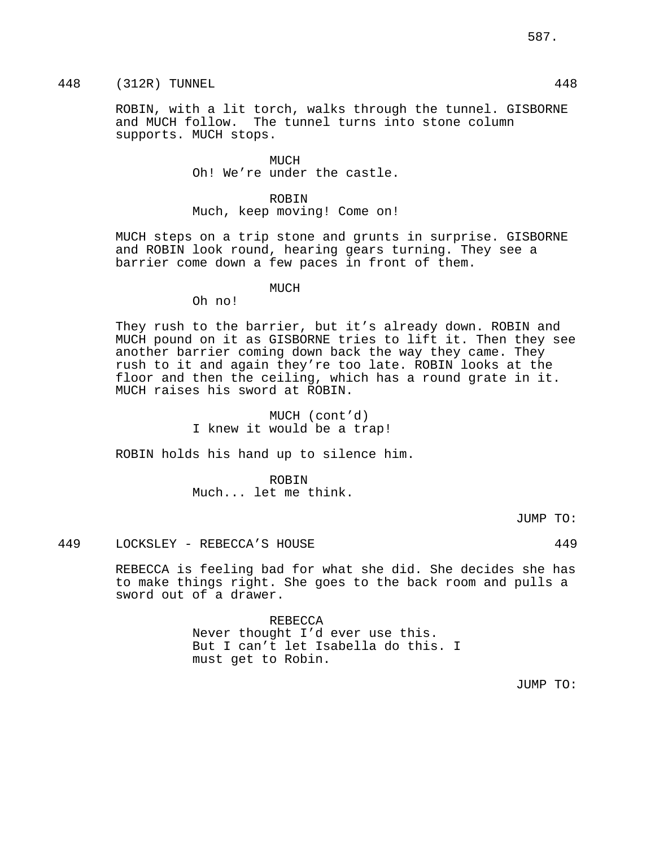# 448 (312R) TUNNEL 448

ROBIN, with a lit torch, walks through the tunnel. GISBORNE and MUCH follow. The tunnel turns into stone column supports. MUCH stops.

> MUCH Oh! We're under the castle.

> ROBIN Much, keep moving! Come on!

MUCH steps on a trip stone and grunts in surprise. GISBORNE and ROBIN look round, hearing gears turning. They see a barrier come down a few paces in front of them.

# MUCH

Oh no!

They rush to the barrier, but it's already down. ROBIN and MUCH pound on it as GISBORNE tries to lift it. Then they see another barrier coming down back the way they came. They rush to it and again they're too late. ROBIN looks at the floor and then the ceiling, which has a round grate in it. MUCH raises his sword at ROBIN.

> MUCH (cont'd) I knew it would be a trap!

ROBIN holds his hand up to silence him.

ROBIN Much... let me think.

JUMP TO:

# 449 LOCKSLEY - REBECCA'S HOUSE 449

REBECCA is feeling bad for what she did. She decides she has to make things right. She goes to the back room and pulls a sword out of a drawer.

> REBECCA Never thought I'd ever use this. But I can't let Isabella do this. I must get to Robin.

JUMP TO: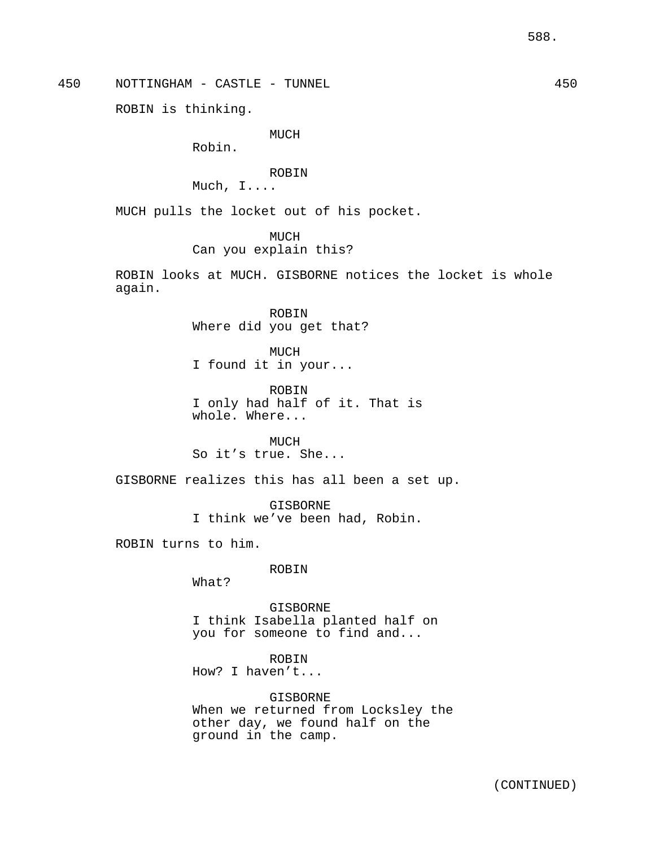450 NOTTINGHAM - CASTLE - TUNNEL 450

ROBIN is thinking.

MUCH

Robin.

ROBIN

Much, I....

MUCH pulls the locket out of his pocket.

MUCH

Can you explain this?

ROBIN looks at MUCH. GISBORNE notices the locket is whole again.

> ROBIN Where did you get that?

MUCH I found it in your...

ROBIN I only had half of it. That is whole. Where...

MUCH So it's true. She...

GISBORNE realizes this has all been a set up.

GISBORNE I think we've been had, Robin.

ROBIN turns to him.

ROBIN

What?

GISBORNE I think Isabella planted half on you for someone to find and...

ROBIN How? I haven't...

GISBORNE When we returned from Locksley the other day, we found half on the ground in the camp.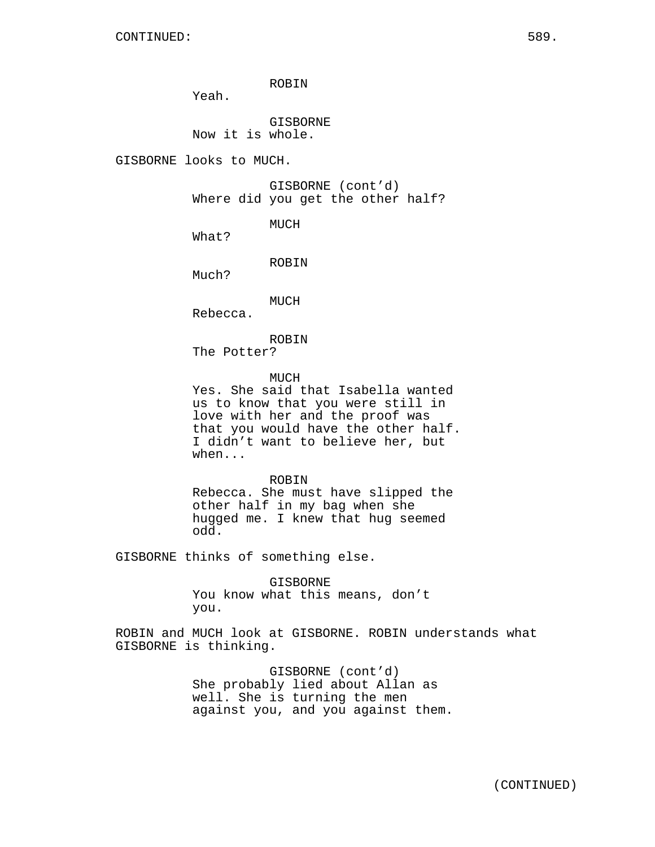ROBIN

Yeah.

GISBORNE Now it is whole.

GISBORNE looks to MUCH.

GISBORNE (cont'd) Where did you get the other half?

MUCH

What?

ROBIN

Much?

MUCH

Rebecca.

ROBIN

The Potter?

MUCH

Yes. She said that Isabella wanted us to know that you were still in love with her and the proof was that you would have the other half. I didn't want to believe her, but when...

ROBIN

Rebecca. She must have slipped the other half in my bag when she hugged me. I knew that hug seemed odd.

GISBORNE thinks of something else.

GISBORNE You know what this means, don't you.

ROBIN and MUCH look at GISBORNE. ROBIN understands what GISBORNE is thinking.

> GISBORNE (cont'd) She probably lied about Allan as well. She is turning the men against you, and you against them.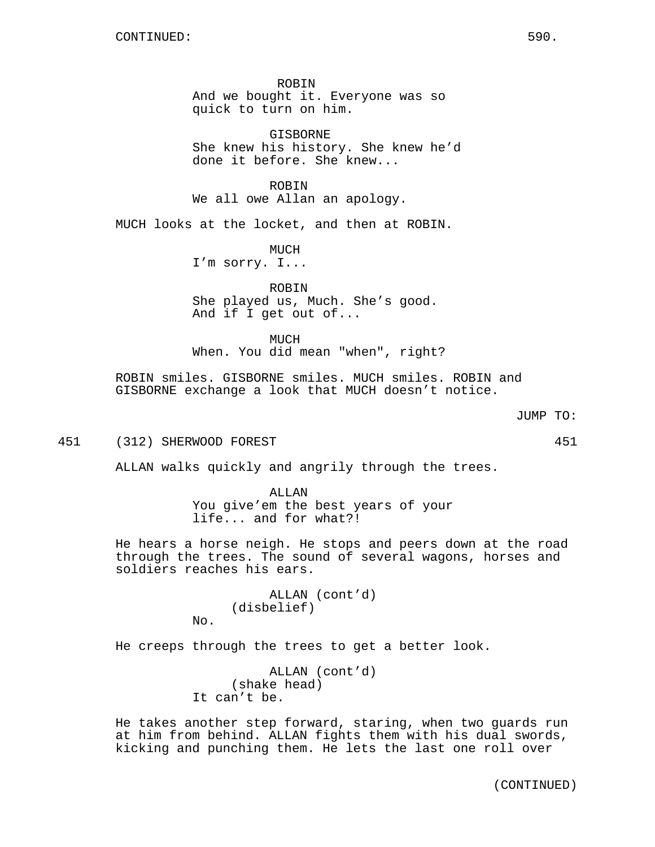ROBIN And we bought it. Everyone was so quick to turn on him.

GISBORNE She knew his history. She knew he'd done it before. She knew...

ROBIN We all owe Allan an apology.

MUCH looks at the locket, and then at ROBIN.

MUCH I'm sorry. I...

ROBIN She played us, Much. She's good. And if I get out of...

MUCH When. You did mean "when", right?

ROBIN smiles. GISBORNE smiles. MUCH smiles. ROBIN and GISBORNE exchange a look that MUCH doesn't notice.

```
JUMP TO:
```
451 (312) SHERWOOD FOREST 451

No.

ALLAN walks quickly and angrily through the trees.

ALLAN You give'em the best years of your life... and for what?!

He hears a horse neigh. He stops and peers down at the road through the trees. The sound of several wagons, horses and soldiers reaches his ears.

> ALLAN (cont'd) (disbelief)

He creeps through the trees to get a better look.

ALLAN (cont'd) (shake head) It can't be.

He takes another step forward, staring, when two guards run at him from behind. ALLAN fights them with his dual swords, kicking and punching them. He lets the last one roll over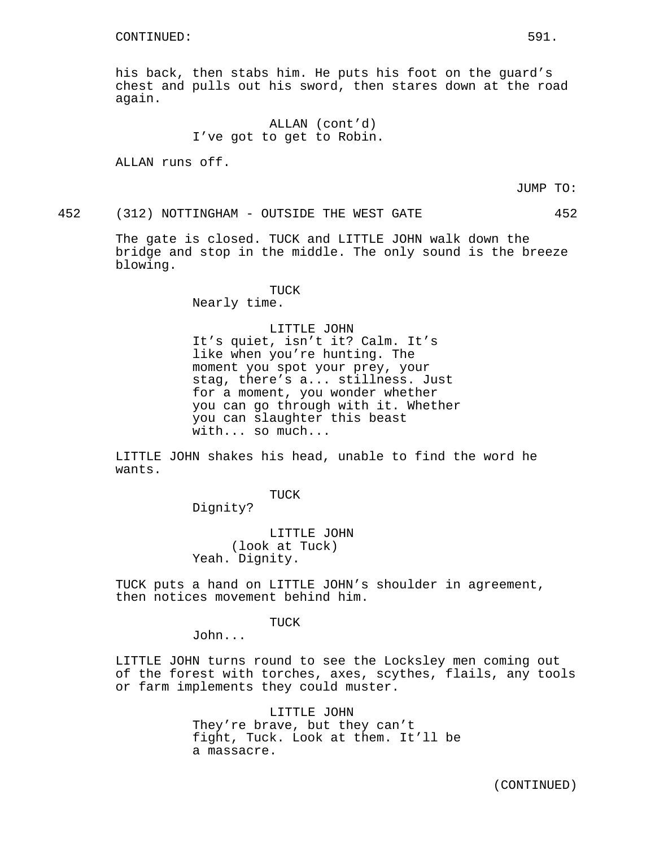his back, then stabs him. He puts his foot on the guard's chest and pulls out his sword, then stares down at the road again.

> ALLAN (cont'd) I've got to get to Robin.

ALLAN runs off.

JUMP TO:

452 (312) NOTTINGHAM - OUTSIDE THE WEST GATE 452

The gate is closed. TUCK and LITTLE JOHN walk down the bridge and stop in the middle. The only sound is the breeze blowing.

> TUCK Nearly time.

#### LITTLE JOHN

It's quiet, isn't it? Calm. It's like when you're hunting. The moment you spot your prey, your stag, there's a... stillness. Just for a moment, you wonder whether you can go through with it. Whether you can slaughter this beast with... so much...

LITTLE JOHN shakes his head, unable to find the word he wants.

TUCK

Dignity?

LITTLE JOHN (look at Tuck) Yeah. Dignity.

TUCK puts a hand on LITTLE JOHN's shoulder in agreement, then notices movement behind him.

TUCK

John...

LITTLE JOHN turns round to see the Locksley men coming out of the forest with torches, axes, scythes, flails, any tools or farm implements they could muster.

> LITTLE JOHN They're brave, but they can't fight, Tuck. Look at them. It'll be a massacre.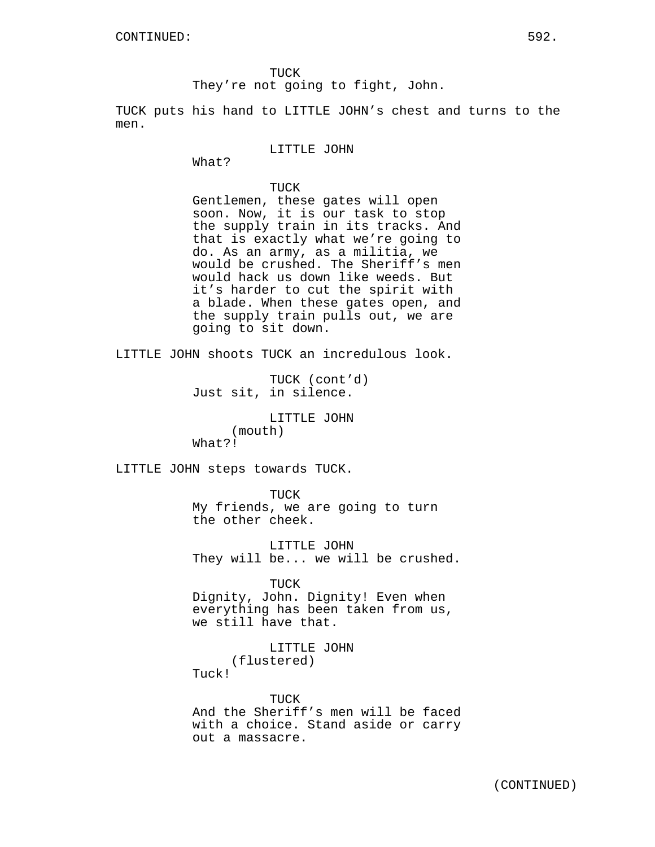TUCK

They're not going to fight, John.

TUCK puts his hand to LITTLE JOHN's chest and turns to the men.

### LITTLE JOHN

What?

# TUCK

Gentlemen, these gates will open soon. Now, it is our task to stop the supply train in its tracks. And that is exactly what we're going to do. As an army, as a militia, we would be crushed. The Sheriff's men would hack us down like weeds. But it's harder to cut the spirit with a blade. When these gates open, and the supply train pulls out, we are going to sit down.

LITTLE JOHN shoots TUCK an incredulous look.

TUCK (cont'd) Just sit, in silence.

LITTLE JOHN (mouth) What?!

LITTLE JOHN steps towards TUCK.

TUCK My friends, we are going to turn the other cheek.

LITTLE JOHN They will be... we will be crushed.

TUCK

Dignity, John. Dignity! Even when everything has been taken from us, we still have that.

> LITTLE JOHN (flustered)

Tuck!

TUCK And the Sheriff's men will be faced with a choice. Stand aside or carry out a massacre.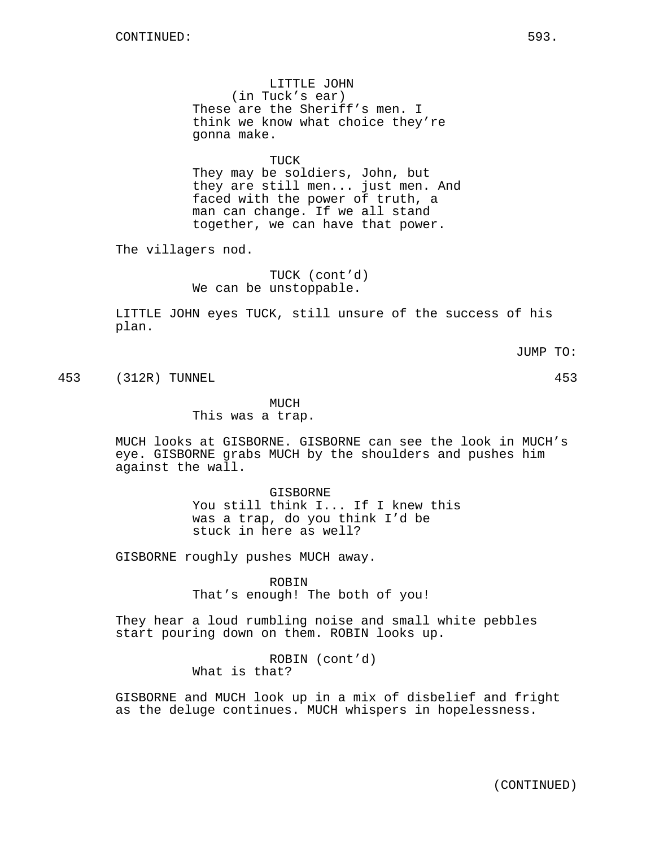LITTLE JOHN (in Tuck's ear) These are the Sheriff's men. I think we know what choice they're gonna make.

TUCK

They may be soldiers, John, but they are still men... just men. And faced with the power of truth, a man can change. If we all stand together, we can have that power.

The villagers nod.

TUCK (cont'd) We can be unstoppable.

LITTLE JOHN eyes TUCK, still unsure of the success of his plan.

JUMP TO:

453 (312R) TUNNEL 453

MUCH

This was a trap.

MUCH looks at GISBORNE. GISBORNE can see the look in MUCH's eye. GISBORNE grabs MUCH by the shoulders and pushes him against the wall.

> GISBORNE You still think I... If I knew this was a trap, do you think I'd be stuck in here as well?

GISBORNE roughly pushes MUCH away.

ROBIN That's enough! The both of you!

They hear a loud rumbling noise and small white pebbles start pouring down on them. ROBIN looks up.

> ROBIN (cont'd) What is that?

GISBORNE and MUCH look up in a mix of disbelief and fright as the deluge continues. MUCH whispers in hopelessness.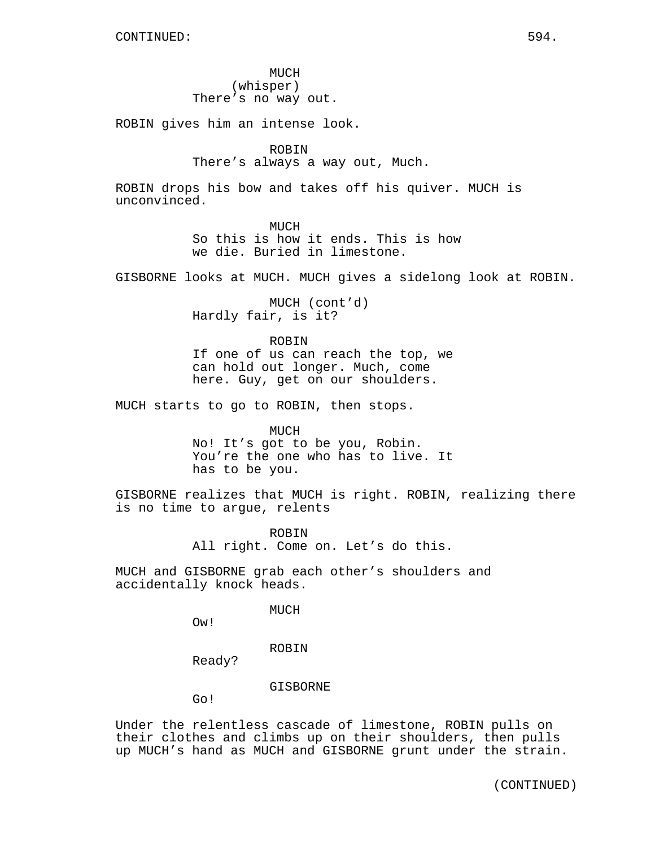MUCH (whisper) There's no way out.

ROBIN gives him an intense look.

# ROBIN

There's always a way out, Much.

ROBIN drops his bow and takes off his quiver. MUCH is unconvinced.

> **MUCH** So this is how it ends. This is how we die. Buried in limestone.

GISBORNE looks at MUCH. MUCH gives a sidelong look at ROBIN.

MUCH (cont'd) Hardly fair, is it?

ROBIN If one of us can reach the top, we can hold out longer. Much, come here. Guy, get on our shoulders.

MUCH starts to go to ROBIN, then stops.

MUCH No! It's got to be you, Robin. You're the one who has to live. It has to be you.

GISBORNE realizes that MUCH is right. ROBIN, realizing there is no time to argue, relents

> ROBIN All right. Come on. Let's do this.

MUCH and GISBORNE grab each other's shoulders and accidentally knock heads.

MUCH

Ow!

ROBIN

Ready?

GISBORNE

Go!

Under the relentless cascade of limestone, ROBIN pulls on their clothes and climbs up on their shoulders, then pulls up MUCH's hand as MUCH and GISBORNE grunt under the strain.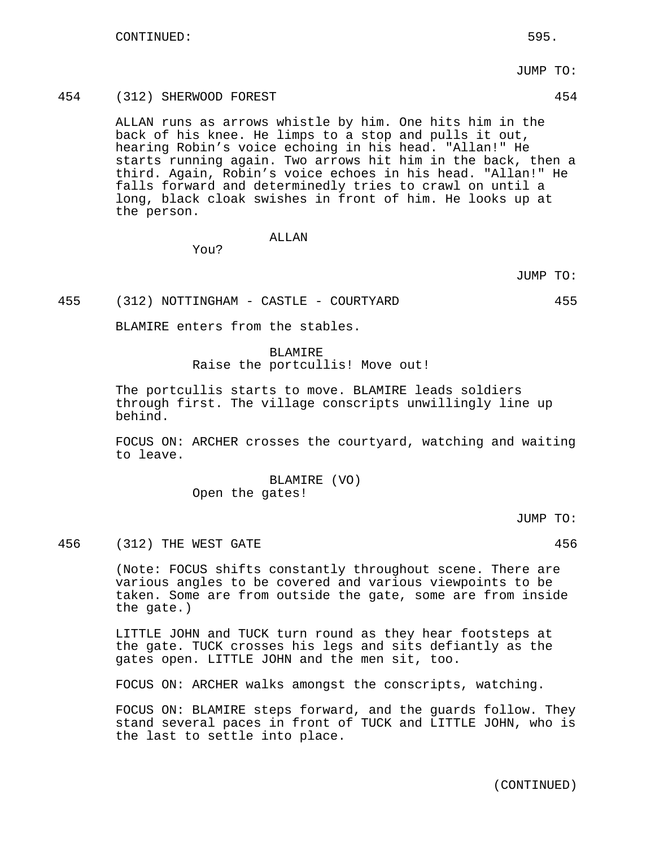JUMP TO:

# 454 (312) SHERWOOD FOREST 454

ALLAN runs as arrows whistle by him. One hits him in the back of his knee. He limps to a stop and pulls it out, hearing Robin's voice echoing in his head. "Allan!" He starts running again. Two arrows hit him in the back, then a third. Again, Robin's voice echoes in his head. "Allan!" He falls forward and determinedly tries to crawl on until a long, black cloak swishes in front of him. He looks up at the person.

# ALLAN

You?

JUMP TO:

455 (312) NOTTINGHAM - CASTLE - COURTYARD 455

BLAMIRE enters from the stables.

## BLAMIRE

Raise the portcullis! Move out!

The portcullis starts to move. BLAMIRE leads soldiers through first. The village conscripts unwillingly line up behind.

FOCUS ON: ARCHER crosses the courtyard, watching and waiting to leave.

> BLAMIRE (VO) Open the gates!

> > JUMP TO:

456 (312) THE WEST GATE 456

(Note: FOCUS shifts constantly throughout scene. There are various angles to be covered and various viewpoints to be taken. Some are from outside the gate, some are from inside the gate.)

LITTLE JOHN and TUCK turn round as they hear footsteps at the gate. TUCK crosses his legs and sits defiantly as the gates open. LITTLE JOHN and the men sit, too.

FOCUS ON: ARCHER walks amongst the conscripts, watching.

FOCUS ON: BLAMIRE steps forward, and the guards follow. They stand several paces in front of TUCK and LITTLE JOHN, who is the last to settle into place.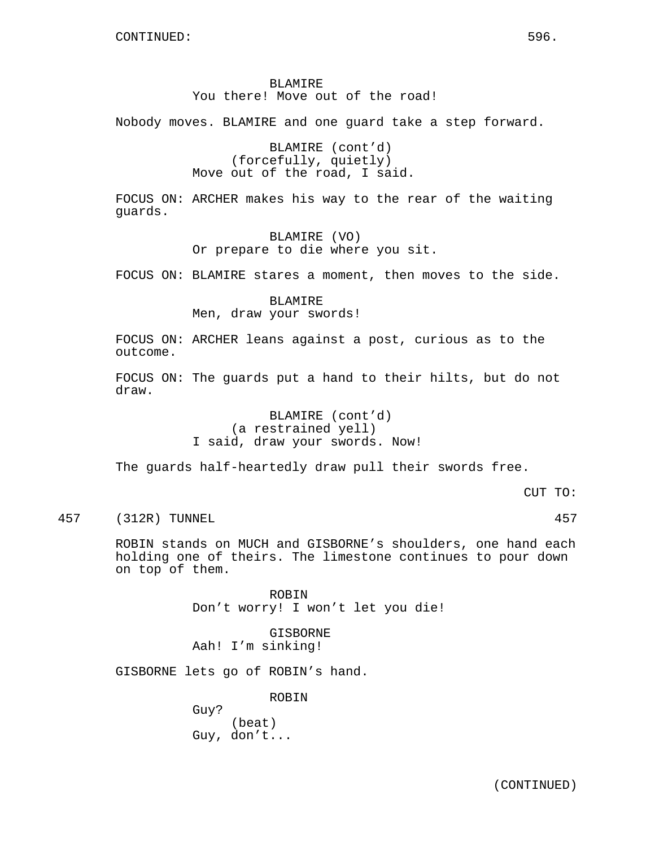# BLAMIRE You there! Move out of the road!

Nobody moves. BLAMIRE and one guard take a step forward.

BLAMIRE (cont'd) (forcefully, quietly) Move out of the road, I said.

FOCUS ON: ARCHER makes his way to the rear of the waiting guards.

> BLAMIRE (VO) Or prepare to die where you sit.

FOCUS ON: BLAMIRE stares a moment, then moves to the side.

BLAMIRE Men, draw your swords!

FOCUS ON: ARCHER leans against a post, curious as to the outcome.

FOCUS ON: The guards put a hand to their hilts, but do not draw.

> BLAMIRE (cont'd) (a restrained yell) I said, draw your swords. Now!

The guards half-heartedly draw pull their swords free.

CUT TO:

457 (312R) TUNNEL 457

ROBIN stands on MUCH and GISBORNE's shoulders, one hand each holding one of theirs. The limestone continues to pour down on top of them.

> ROBIN Don't worry! I won't let you die!

GISBORNE Aah! I'm sinking!

GISBORNE lets go of ROBIN's hand.

ROBIN

Guy? (beat) Guy, don't...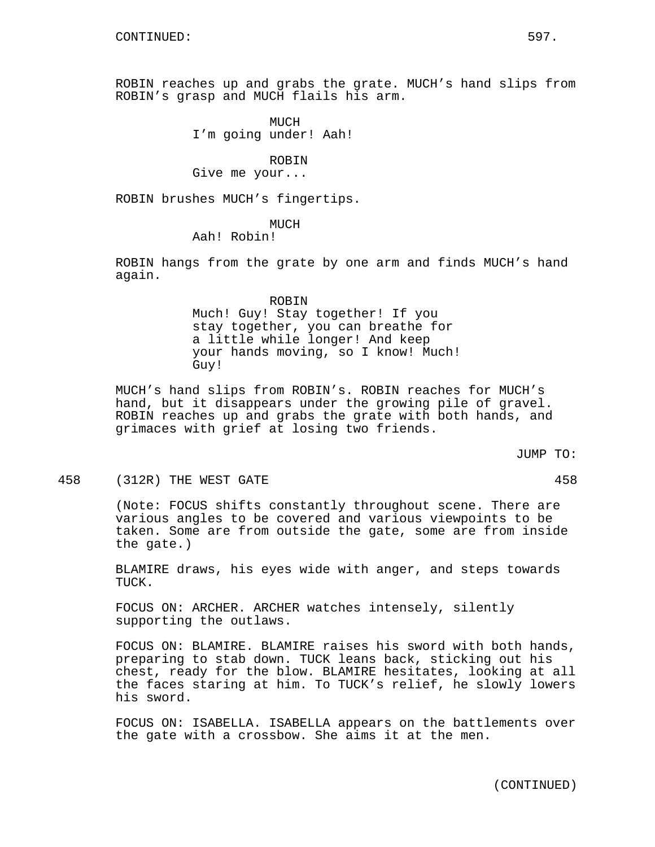ROBIN reaches up and grabs the grate. MUCH's hand slips from ROBIN's grasp and MUCH flails his arm.

> MUCH I'm going under! Aah!

#### ROBIN

Give me your...

ROBIN brushes MUCH's fingertips.

## MUCH

# Aah! Robin!

ROBIN hangs from the grate by one arm and finds MUCH's hand again.

> ROBIN Much! Guy! Stay together! If you stay together, you can breathe for a little while longer! And keep your hands moving, so I know! Much! Guy!

MUCH's hand slips from ROBIN's. ROBIN reaches for MUCH's hand, but it disappears under the growing pile of gravel. ROBIN reaches up and grabs the grate with both hands, and grimaces with grief at losing two friends.

JUMP TO:

458 (312R) THE WEST GATE 458

(Note: FOCUS shifts constantly throughout scene. There are various angles to be covered and various viewpoints to be taken. Some are from outside the gate, some are from inside the gate.)

BLAMIRE draws, his eyes wide with anger, and steps towards TUCK.

FOCUS ON: ARCHER. ARCHER watches intensely, silently supporting the outlaws.

FOCUS ON: BLAMIRE. BLAMIRE raises his sword with both hands, preparing to stab down. TUCK leans back, sticking out his chest, ready for the blow. BLAMIRE hesitates, looking at all the faces staring at him. To TUCK's relief, he slowly lowers his sword.

FOCUS ON: ISABELLA. ISABELLA appears on the battlements over the gate with a crossbow. She aims it at the men.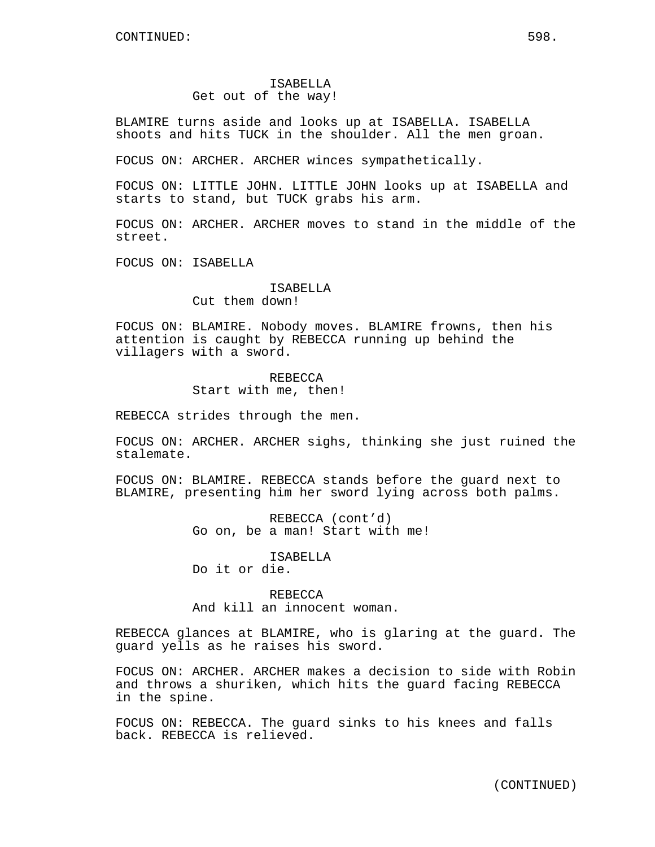# ISABELLA Get out of the way!

BLAMIRE turns aside and looks up at ISABELLA. ISABELLA shoots and hits TUCK in the shoulder. All the men groan.

FOCUS ON: ARCHER. ARCHER winces sympathetically.

FOCUS ON: LITTLE JOHN. LITTLE JOHN looks up at ISABELLA and starts to stand, but TUCK grabs his arm.

FOCUS ON: ARCHER. ARCHER moves to stand in the middle of the street.

FOCUS ON: ISABELLA

# ISABELLA

Cut them down!

FOCUS ON: BLAMIRE. Nobody moves. BLAMIRE frowns, then his attention is caught by REBECCA running up behind the villagers with a sword.

> REBECCA Start with me, then!

REBECCA strides through the men.

FOCUS ON: ARCHER. ARCHER sighs, thinking she just ruined the stalemate.

FOCUS ON: BLAMIRE. REBECCA stands before the guard next to BLAMIRE, presenting him her sword lying across both palms.

> REBECCA (cont'd) Go on, be a man! Start with me!

ISABELLA Do it or die.

REBECCA And kill an innocent woman.

REBECCA glances at BLAMIRE, who is glaring at the guard. The guard yells as he raises his sword.

FOCUS ON: ARCHER. ARCHER makes a decision to side with Robin and throws a shuriken, which hits the guard facing REBECCA in the spine.

FOCUS ON: REBECCA. The guard sinks to his knees and falls back. REBECCA is relieved.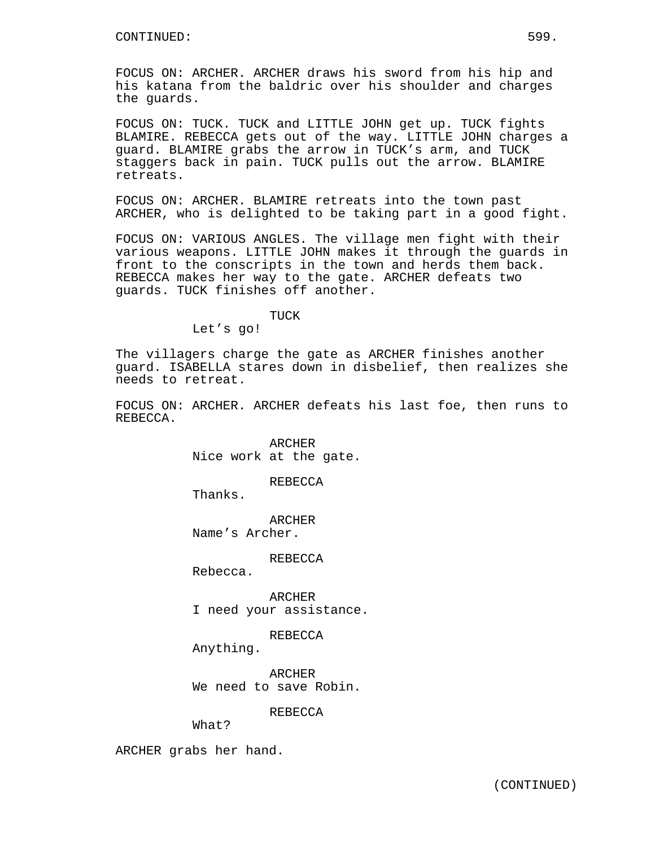FOCUS ON: ARCHER. ARCHER draws his sword from his hip and his katana from the baldric over his shoulder and charges the guards.

FOCUS ON: TUCK. TUCK and LITTLE JOHN get up. TUCK fights BLAMIRE. REBECCA gets out of the way. LITTLE JOHN charges a guard. BLAMIRE grabs the arrow in TUCK's arm, and TUCK staggers back in pain. TUCK pulls out the arrow. BLAMIRE retreats.

FOCUS ON: ARCHER. BLAMIRE retreats into the town past ARCHER, who is delighted to be taking part in a good fight.

FOCUS ON: VARIOUS ANGLES. The village men fight with their various weapons. LITTLE JOHN makes it through the guards in front to the conscripts in the town and herds them back. REBECCA makes her way to the gate. ARCHER defeats two guards. TUCK finishes off another.

TUCK

Let's go!

The villagers charge the gate as ARCHER finishes another guard. ISABELLA stares down in disbelief, then realizes she needs to retreat.

FOCUS ON: ARCHER. ARCHER defeats his last foe, then runs to REBECCA.

> ARCHER Nice work at the gate.

> > REBECCA

Thanks.

**ARCHER** Name's Archer.

REBECCA

Rebecca.

ARCHER I need your assistance.

REBECCA

Anything.

ARCHER We need to save Robin.

**REBECCA** 

What?

ARCHER grabs her hand.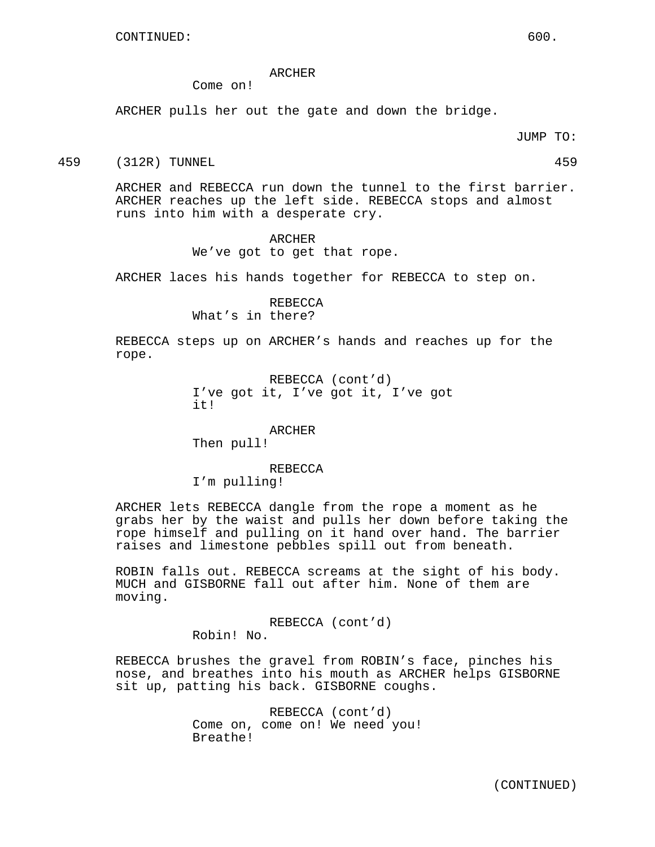## ARCHER

Come on!

ARCHER pulls her out the gate and down the bridge.

JUMP TO:

459 (312R) TUNNEL 459

ARCHER and REBECCA run down the tunnel to the first barrier. ARCHER reaches up the left side. REBECCA stops and almost runs into him with a desperate cry.

#### ARCHER

We've got to get that rope.

ARCHER laces his hands together for REBECCA to step on.

REBECCA What's in there?

REBECCA steps up on ARCHER's hands and reaches up for the rope.

> REBECCA (cont'd) I've got it, I've got it, I've got it!

> > ARCHER

Then pull!

REBECCA I'm pulling!

ARCHER lets REBECCA dangle from the rope a moment as he grabs her by the waist and pulls her down before taking the rope himself and pulling on it hand over hand. The barrier raises and limestone pebbles spill out from beneath.

ROBIN falls out. REBECCA screams at the sight of his body. MUCH and GISBORNE fall out after him. None of them are moving.

REBECCA (cont'd)

Robin! No.

REBECCA brushes the gravel from ROBIN's face, pinches his nose, and breathes into his mouth as ARCHER helps GISBORNE sit up, patting his back. GISBORNE coughs.

> REBECCA (cont'd) Come on, come on! We need you! Breathe!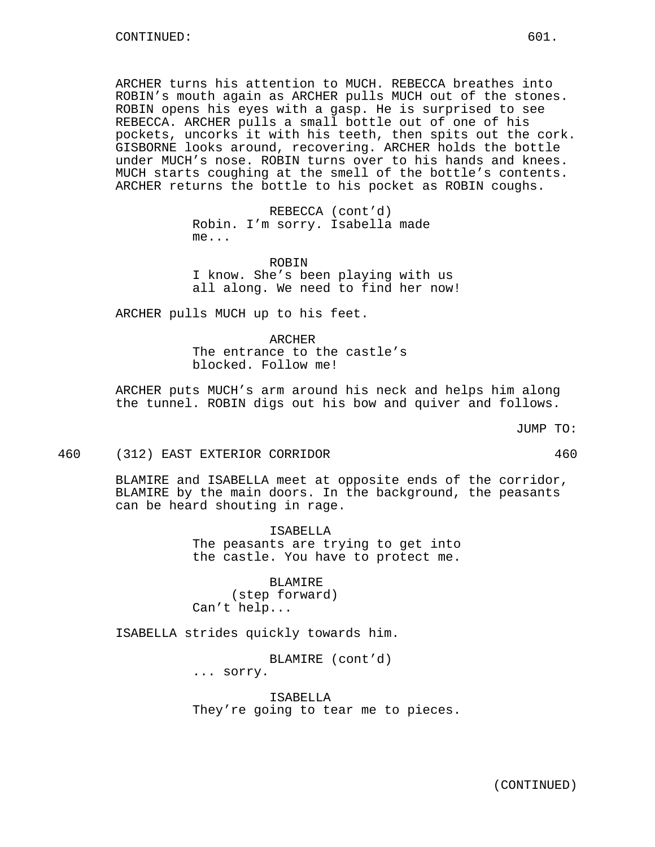ARCHER turns his attention to MUCH. REBECCA breathes into ROBIN's mouth again as ARCHER pulls MUCH out of the stones. ROBIN opens his eyes with a gasp. He is surprised to see REBECCA. ARCHER pulls a small bottle out of one of his pockets, uncorks it with his teeth, then spits out the cork. GISBORNE looks around, recovering. ARCHER holds the bottle under MUCH's nose. ROBIN turns over to his hands and knees. MUCH starts coughing at the smell of the bottle's contents. ARCHER returns the bottle to his pocket as ROBIN coughs.

> REBECCA (cont'd) Robin. I'm sorry. Isabella made me...

**ROBIN** I know. She's been playing with us all along. We need to find her now!

ARCHER pulls MUCH up to his feet.

ARCHER The entrance to the castle's blocked. Follow me!

ARCHER puts MUCH's arm around his neck and helps him along the tunnel. ROBIN digs out his bow and quiver and follows.

JUMP TO:

460 (312) EAST EXTERIOR CORRIDOR 460

BLAMIRE and ISABELLA meet at opposite ends of the corridor, BLAMIRE by the main doors. In the background, the peasants can be heard shouting in rage.

> ISABELLA The peasants are trying to get into the castle. You have to protect me.

BLAMIRE (step forward) Can't help...

ISABELLA strides quickly towards him.

BLAMIRE (cont'd) ... sorry.

ISABELLA They're going to tear me to pieces.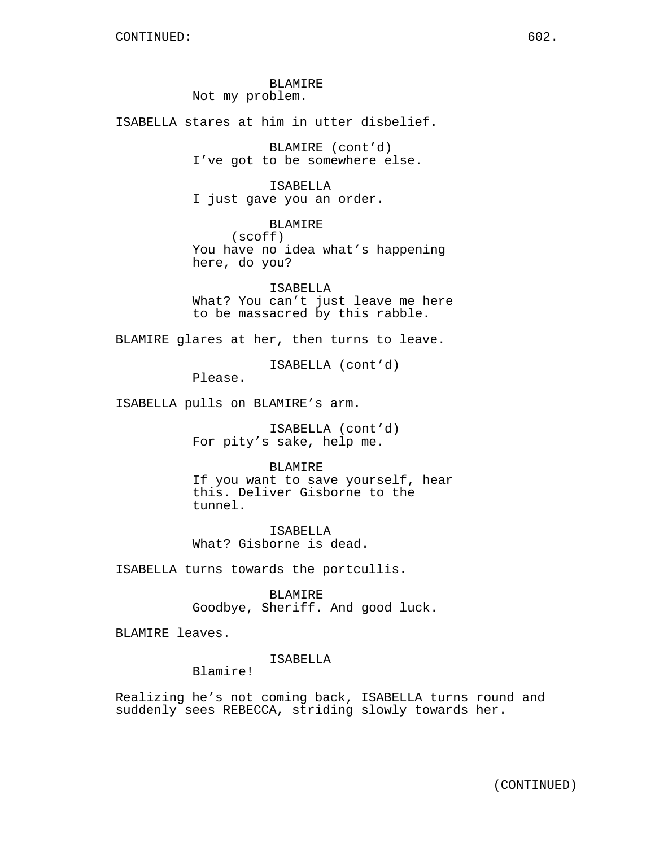BLAMIRE Not my problem.

ISABELLA stares at him in utter disbelief.

BLAMIRE (cont'd) I've got to be somewhere else.

ISABELLA I just gave you an order.

BLAMIRE (scoff) You have no idea what's happening here, do you?

ISABELLA What? You can't just leave me here to be massacred by this rabble.

BLAMIRE glares at her, then turns to leave.

ISABELLA (cont'd)

Please.

ISABELLA pulls on BLAMIRE's arm.

ISABELLA (cont'd) For pity's sake, help me.

BLAMIRE If you want to save yourself, hear this. Deliver Gisborne to the tunnel.

ISABELLA What? Gisborne is dead.

ISABELLA turns towards the portcullis.

BLAMIRE Goodbye, Sheriff. And good luck.

BLAMIRE leaves.

ISABELLA

Blamire!

Realizing he's not coming back, ISABELLA turns round and suddenly sees REBECCA, striding slowly towards her.

(CONTINUED)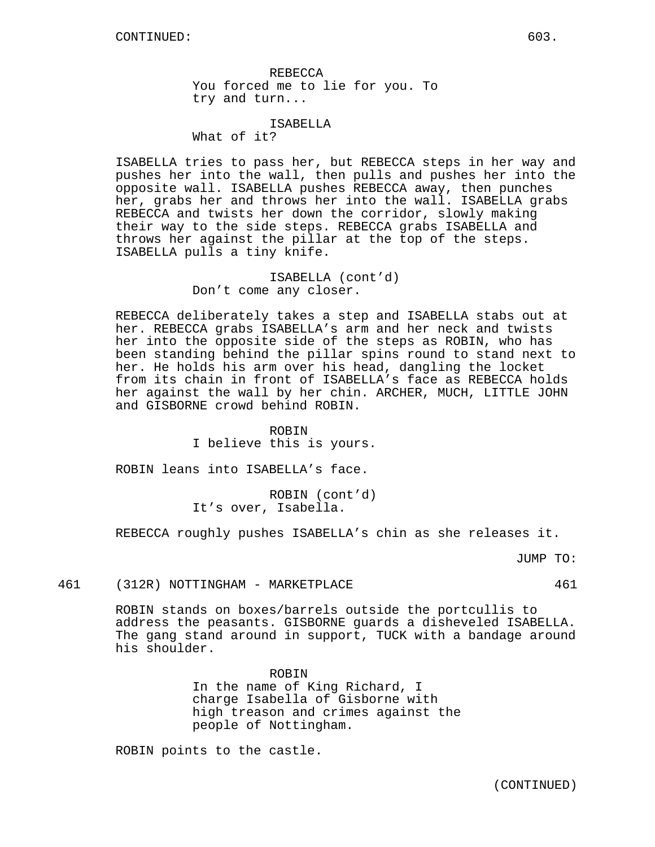REBECCA You forced me to lie for you. To try and turn...

ISABELLA What of it?

ISABELLA tries to pass her, but REBECCA steps in her way and pushes her into the wall, then pulls and pushes her into the opposite wall. ISABELLA pushes REBECCA away, then punches her, grabs her and throws her into the wall. ISABELLA grabs REBECCA and twists her down the corridor, slowly making their way to the side steps. REBECCA grabs ISABELLA and throws her against the pillar at the top of the steps. ISABELLA pulls a tiny knife.

> ISABELLA (cont'd) Don't come any closer.

REBECCA deliberately takes a step and ISABELLA stabs out at her. REBECCA grabs ISABELLA's arm and her neck and twists her into the opposite side of the steps as ROBIN, who has been standing behind the pillar spins round to stand next to her. He holds his arm over his head, dangling the locket from its chain in front of ISABELLA's face as REBECCA holds her against the wall by her chin. ARCHER, MUCH, LITTLE JOHN and GISBORNE crowd behind ROBIN.

> ROBIN I believe this is yours.

ROBIN leans into ISABELLA's face.

ROBIN (cont'd) It's over, Isabella.

REBECCA roughly pushes ISABELLA's chin as she releases it.

JUMP TO:

## 461 (312R) NOTTINGHAM - MARKETPLACE 461

ROBIN stands on boxes/barrels outside the portcullis to address the peasants. GISBORNE guards a disheveled ISABELLA. The gang stand around in support, TUCK with a bandage around his shoulder.

> ROBIN In the name of King Richard, I charge Isabella of Gisborne with high treason and crimes against the people of Nottingham.

ROBIN points to the castle.

(CONTINUED)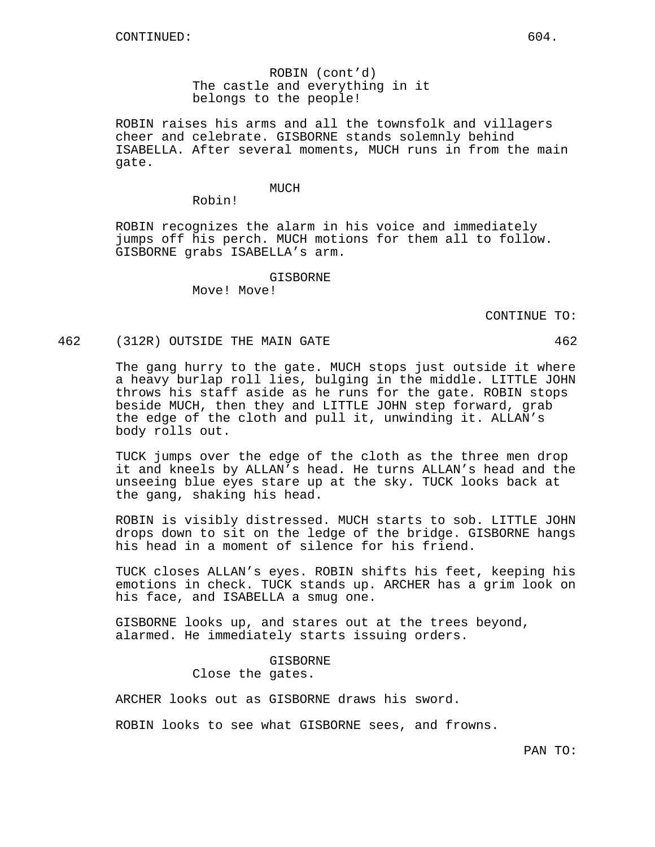ROBIN (cont'd) The castle and everything in it belongs to the people!

ROBIN raises his arms and all the townsfolk and villagers cheer and celebrate. GISBORNE stands solemnly behind ISABELLA. After several moments, MUCH runs in from the main gate.

#### MUCH

Robin!

ROBIN recognizes the alarm in his voice and immediately jumps off his perch. MUCH motions for them all to follow. GISBORNE grabs ISABELLA's arm.

#### GISBORNE

Move! Move!

CONTINUE TO:

#### 462 (312R) OUTSIDE THE MAIN GATE 462

The gang hurry to the gate. MUCH stops just outside it where a heavy burlap roll lies, bulging in the middle. LITTLE JOHN throws his staff aside as he runs for the gate. ROBIN stops beside MUCH, then they and LITTLE JOHN step forward, grab the edge of the cloth and pull it, unwinding it. ALLAN's body rolls out.

TUCK jumps over the edge of the cloth as the three men drop it and kneels by ALLAN's head. He turns ALLAN's head and the unseeing blue eyes stare up at the sky. TUCK looks back at the gang, shaking his head.

ROBIN is visibly distressed. MUCH starts to sob. LITTLE JOHN drops down to sit on the ledge of the bridge. GISBORNE hangs his head in a moment of silence for his friend.

TUCK closes ALLAN's eyes. ROBIN shifts his feet, keeping his emotions in check. TUCK stands up. ARCHER has a grim look on his face, and ISABELLA a smug one.

GISBORNE looks up, and stares out at the trees beyond, alarmed. He immediately starts issuing orders.

# GISBORNE Close the gates.

ARCHER looks out as GISBORNE draws his sword.

ROBIN looks to see what GISBORNE sees, and frowns.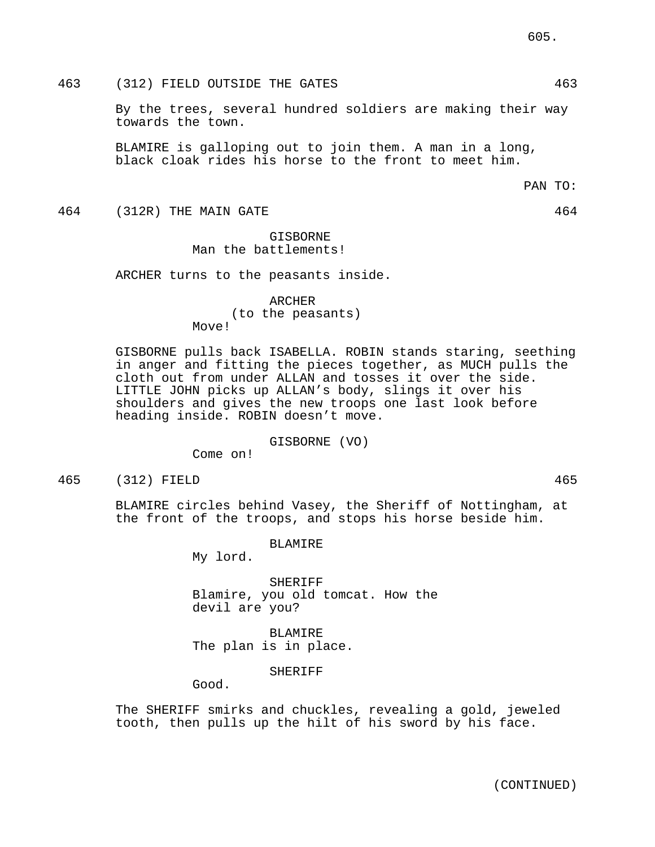# 463 (312) FIELD OUTSIDE THE GATES 463

By the trees, several hundred soldiers are making their way towards the town.

BLAMIRE is galloping out to join them. A man in a long, black cloak rides his horse to the front to meet him.

464 (312R) THE MAIN GATE 464

# GISBORNE Man the battlements!

ARCHER turns to the peasants inside.

ARCHER (to the peasants) Move!

GISBORNE pulls back ISABELLA. ROBIN stands staring, seething in anger and fitting the pieces together, as MUCH pulls the cloth out from under ALLAN and tosses it over the side. LITTLE JOHN picks up ALLAN's body, slings it over his shoulders and gives the new troops one last look before heading inside. ROBIN doesn't move.

GISBORNE (VO)

Come on!

465 (312) FIELD 465

BLAMIRE circles behind Vasey, the Sheriff of Nottingham, at the front of the troops, and stops his horse beside him.

BLAMIRE

My lord.

SHERIFF Blamire, you old tomcat. How the devil are you?

BLAMIRE The plan is in place.

SHERIFF

Good.

The SHERIFF smirks and chuckles, revealing a gold, jeweled tooth, then pulls up the hilt of his sword by his face.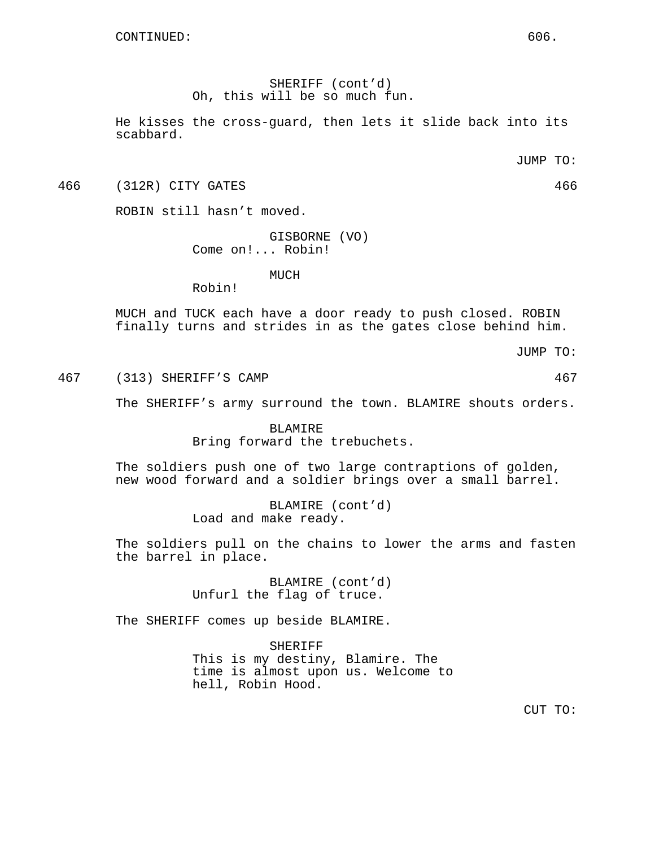SHERIFF (cont'd) Oh, this will be so much fun.

He kisses the cross-guard, then lets it slide back into its scabbard.

JUMP TO:

466 (312R) CITY GATES 466

ROBIN still hasn't moved.

GISBORNE (VO) Come on!... Robin!

MUCH

Robin!

MUCH and TUCK each have a door ready to push closed. ROBIN finally turns and strides in as the gates close behind him.

JUMP TO:

467 (313) SHERIFF'S CAMP 467

The SHERIFF's army surround the town. BLAMIRE shouts orders.

BLAMIRE Bring forward the trebuchets.

The soldiers push one of two large contraptions of golden, new wood forward and a soldier brings over a small barrel.

> BLAMIRE (cont'd) Load and make ready.

The soldiers pull on the chains to lower the arms and fasten the barrel in place.

> BLAMIRE (cont'd) Unfurl the flag of truce.

The SHERIFF comes up beside BLAMIRE.

SHERIFF This is my destiny, Blamire. The time is almost upon us. Welcome to hell, Robin Hood.

CUT TO: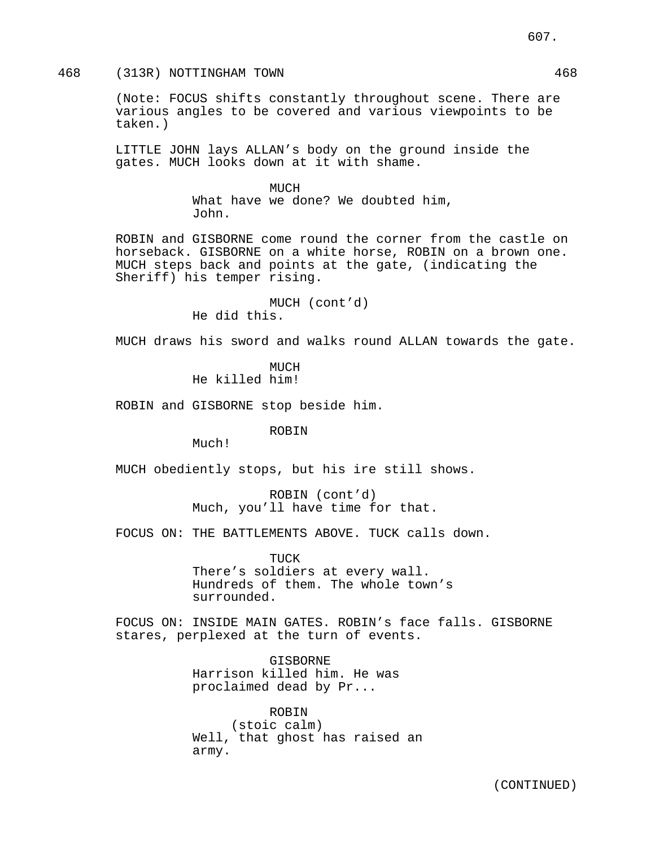(Note: FOCUS shifts constantly throughout scene. There are various angles to be covered and various viewpoints to be taken.)

LITTLE JOHN lays ALLAN's body on the ground inside the gates. MUCH looks down at it with shame.

## MUCH

What have we done? We doubted him, John.

ROBIN and GISBORNE come round the corner from the castle on horseback. GISBORNE on a white horse, ROBIN on a brown one. MUCH steps back and points at the gate, (indicating the Sheriff) his temper rising.

> MUCH (cont'd) He did this.

MUCH draws his sword and walks round ALLAN towards the gate.

MUCH He killed him!

ROBIN and GISBORNE stop beside him.

ROBIN

Much!

MUCH obediently stops, but his ire still shows.

ROBIN (cont'd) Much, you'll have time for that.

FOCUS ON: THE BATTLEMENTS ABOVE. TUCK calls down.

TUCK There's soldiers at every wall. Hundreds of them. The whole town's surrounded.

FOCUS ON: INSIDE MAIN GATES. ROBIN's face falls. GISBORNE stares, perplexed at the turn of events.

> GISBORNE Harrison killed him. He was proclaimed dead by Pr...

ROBIN (stoic calm) Well, that ghost has raised an army.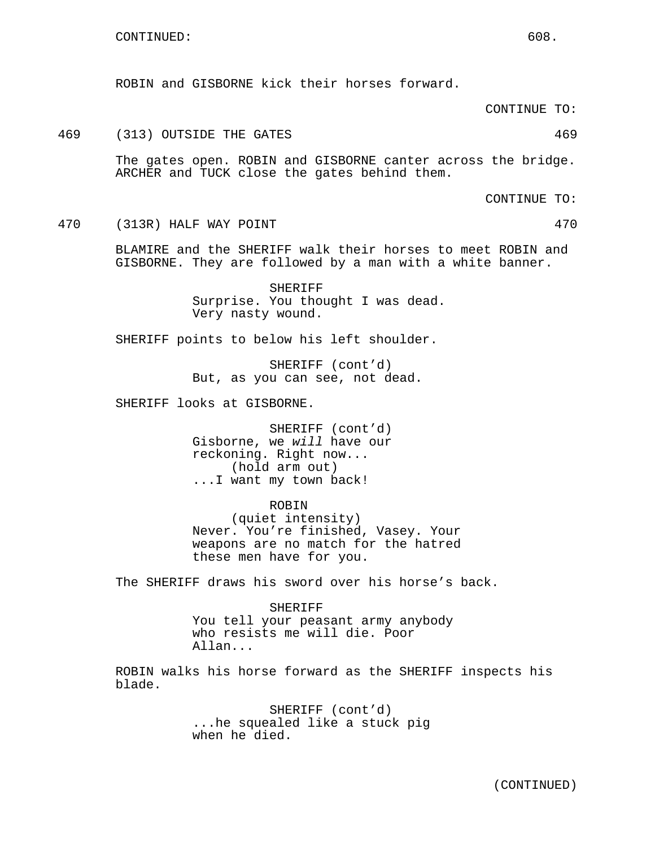ROBIN and GISBORNE kick their horses forward.

CONTINUE TO:

# 469 (313) OUTSIDE THE GATES 469

The gates open. ROBIN and GISBORNE canter across the bridge. ARCHER and TUCK close the gates behind them.

CONTINUE TO:

470 (313R) HALF WAY POINT 470

BLAMIRE and the SHERIFF walk their horses to meet ROBIN and GISBORNE. They are followed by a man with a white banner.

> SHERIFF Surprise. You thought I was dead. Very nasty wound.

SHERIFF points to below his left shoulder.

SHERIFF (cont'd) But, as you can see, not dead.

SHERIFF looks at GISBORNE.

SHERIFF (cont'd) Gisborne, we will have our reckoning. Right now... (hold arm out) ...I want my town back!

ROBIN

(quiet intensity) Never. You're finished, Vasey. Your weapons are no match for the hatred these men have for you.

The SHERIFF draws his sword over his horse's back.

SHERIFF You tell your peasant army anybody who resists me will die. Poor Allan...

ROBIN walks his horse forward as the SHERIFF inspects his blade.

> SHERIFF (cont'd) ...he squealed like a stuck pig when he died.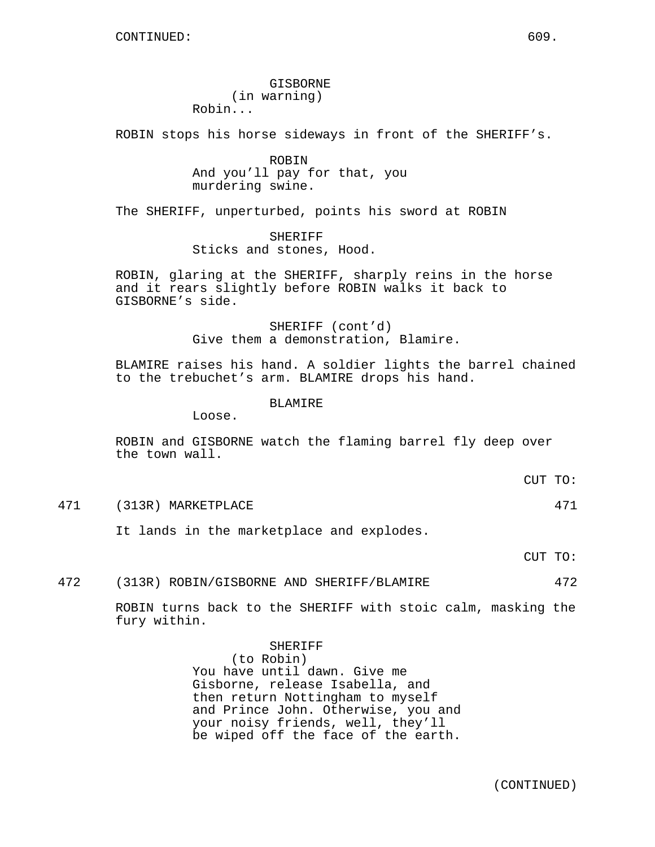GISBORNE (in warning) Robin...

ROBIN stops his horse sideways in front of the SHERIFF's.

ROBIN And you'll pay for that, you murdering swine.

The SHERIFF, unperturbed, points his sword at ROBIN

SHERIFF Sticks and stones, Hood.

ROBIN, glaring at the SHERIFF, sharply reins in the horse and it rears slightly before ROBIN walks it back to GISBORNE's side.

> SHERIFF (cont'd) Give them a demonstration, Blamire.

BLAMIRE raises his hand. A soldier lights the barrel chained to the trebuchet's arm. BLAMIRE drops his hand.

BLAMIRE

Loose.

ROBIN and GISBORNE watch the flaming barrel fly deep over the town wall.

CUT TO:

471 (313R) MARKETPLACE 471

It lands in the marketplace and explodes.

CUT TO:

472 (313R) ROBIN/GISBORNE AND SHERIFF/BLAMIRE 472

ROBIN turns back to the SHERIFF with stoic calm, masking the fury within.

> SHERIFF (to Robin) You have until dawn. Give me Gisborne, release Isabella, and then return Nottingham to myself and Prince John. Otherwise, you and your noisy friends, well, they'll be wiped off the face of the earth.

> > (CONTINUED)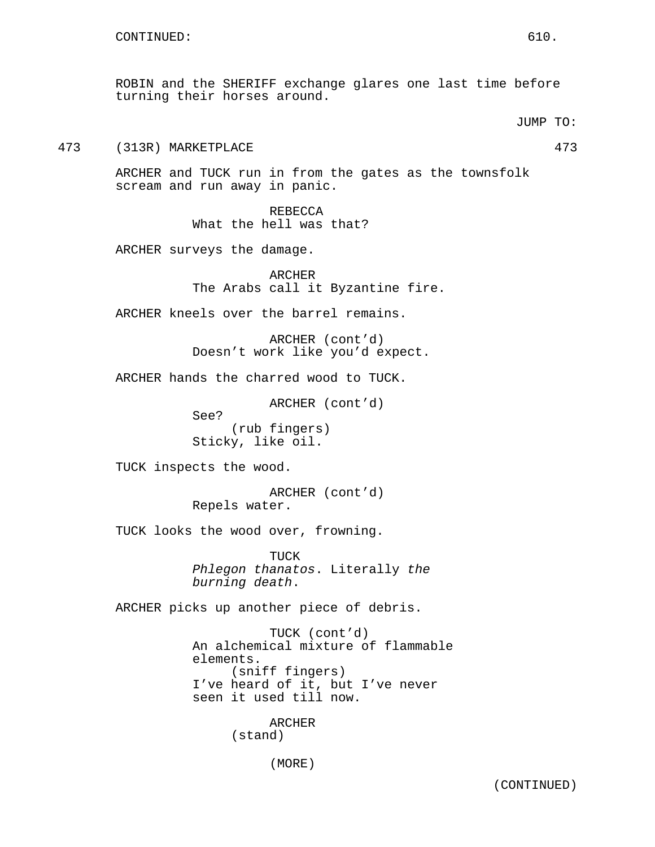473 (313R) MARKETPLACE 473

ARCHER and TUCK run in from the gates as the townsfolk scream and run away in panic.

> REBECCA What the hell was that?

ARCHER surveys the damage.

ARCHER The Arabs call it Byzantine fire.

ARCHER kneels over the barrel remains.

ARCHER (cont'd) Doesn't work like you'd expect.

ARCHER hands the charred wood to TUCK.

ARCHER (cont'd)

See?

(rub fingers) Sticky, like oil.

TUCK inspects the wood.

ARCHER (cont'd) Repels water.

TUCK looks the wood over, frowning.

TUCK Phlegon thanatos. Literally the burning death.

ARCHER picks up another piece of debris.

TUCK (cont'd) An alchemical mixture of flammable elements. (sniff fingers) I've heard of it, but I've never seen it used till now.

> ARCHER (stand)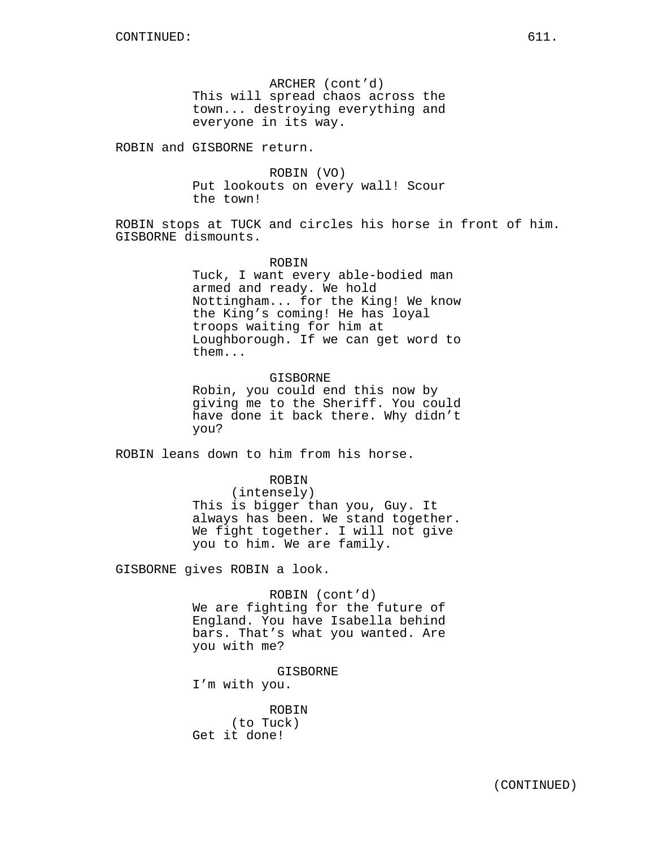ARCHER (cont'd) This will spread chaos across the town... destroying everything and everyone in its way.

ROBIN and GISBORNE return.

ROBIN (VO) Put lookouts on every wall! Scour the town!

ROBIN stops at TUCK and circles his horse in front of him. GISBORNE dismounts.

#### **ROBIN**

Tuck, I want every able-bodied man armed and ready. We hold Nottingham... for the King! We know the King's coming! He has loyal troops waiting for him at Loughborough. If we can get word to them...

## GISBORNE

Robin, you could end this now by giving me to the Sheriff. You could have done it back there. Why didn't you?

ROBIN leans down to him from his horse.

#### ROBIN

(intensely) This is bigger than you, Guy. It always has been. We stand together. We fight together. I will not give you to him. We are family.

GISBORNE gives ROBIN a look.

ROBIN (cont'd) We are fighting for the future of England. You have Isabella behind bars. That's what you wanted. Are you with me?

GISBORNE I'm with you.

ROBIN (to Tuck) Get it done!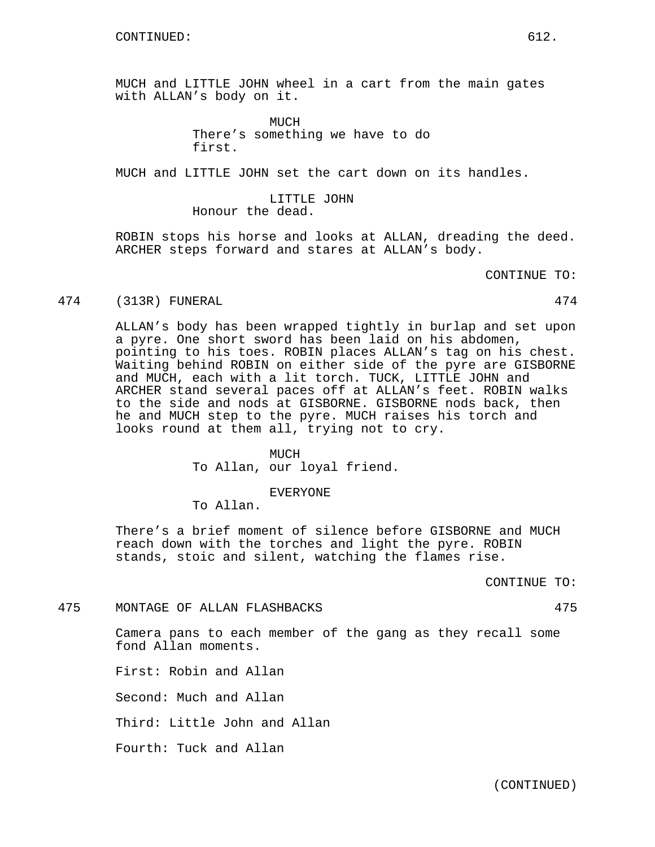MUCH and LITTLE JOHN wheel in a cart from the main gates with ALLAN's body on it.

> **MUCH** There's something we have to do first.

MUCH and LITTLE JOHN set the cart down on its handles.

LITTLE JOHN Honour the dead.

ROBIN stops his horse and looks at ALLAN, dreading the deed. ARCHER steps forward and stares at ALLAN's body.

CONTINUE TO:

#### 474 (313R) FUNERAL 474

ALLAN's body has been wrapped tightly in burlap and set upon a pyre. One short sword has been laid on his abdomen, pointing to his toes. ROBIN places ALLAN's tag on his chest. Waiting behind ROBIN on either side of the pyre are GISBORNE and MUCH, each with a lit torch. TUCK, LITTLE JOHN and ARCHER stand several paces off at ALLAN's feet. ROBIN walks to the side and nods at GISBORNE. GISBORNE nods back, then he and MUCH step to the pyre. MUCH raises his torch and looks round at them all, trying not to cry.

## MUCH

To Allan, our loyal friend.

EVERYONE

To Allan.

There's a brief moment of silence before GISBORNE and MUCH reach down with the torches and light the pyre. ROBIN stands, stoic and silent, watching the flames rise.

CONTINUE TO:

475 MONTAGE OF ALLAN FLASHBACKS 475

Camera pans to each member of the gang as they recall some fond Allan moments.

First: Robin and Allan

Second: Much and Allan

Third: Little John and Allan

Fourth: Tuck and Allan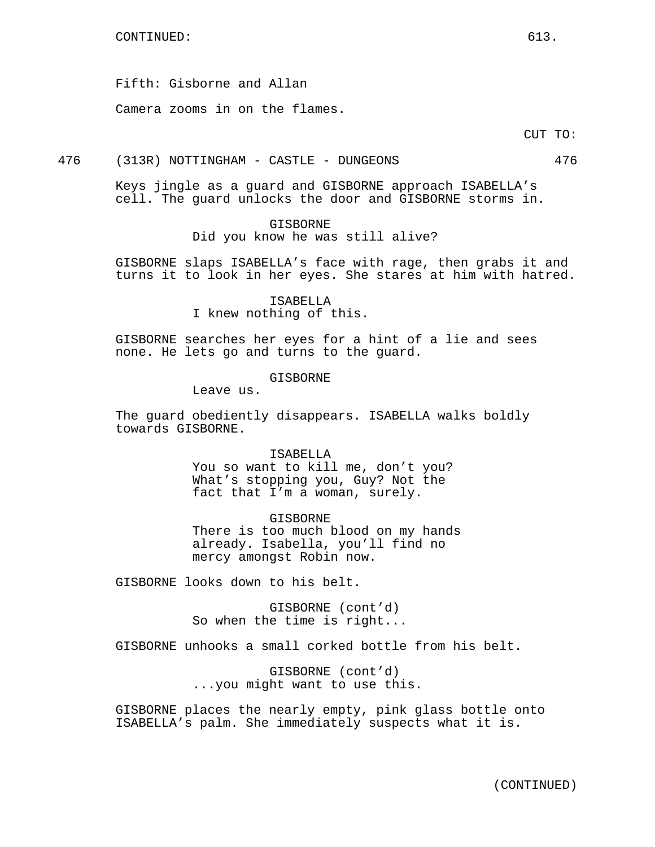Fifth: Gisborne and Allan

Camera zooms in on the flames.

CUT TO:

476 (313R) NOTTINGHAM - CASTLE - DUNGEONS 476

Keys jingle as a guard and GISBORNE approach ISABELLA's cell. The guard unlocks the door and GISBORNE storms in.

### GISBORNE

Did you know he was still alive?

GISBORNE slaps ISABELLA's face with rage, then grabs it and turns it to look in her eyes. She stares at him with hatred.

> ISABELLA I knew nothing of this.

GISBORNE searches her eyes for a hint of a lie and sees none. He lets go and turns to the guard.

GISBORNE

Leave us.

The guard obediently disappears. ISABELLA walks boldly towards GISBORNE.

## ISABELLA

You so want to kill me, don't you? What's stopping you, Guy? Not the fact that I'm a woman, surely.

GISBORNE There is too much blood on my hands already. Isabella, you'll find no mercy amongst Robin now.

GISBORNE looks down to his belt.

GISBORNE (cont'd) So when the time is right...

GISBORNE unhooks a small corked bottle from his belt.

GISBORNE (cont'd) ...you might want to use this.

GISBORNE places the nearly empty, pink glass bottle onto ISABELLA's palm. She immediately suspects what it is.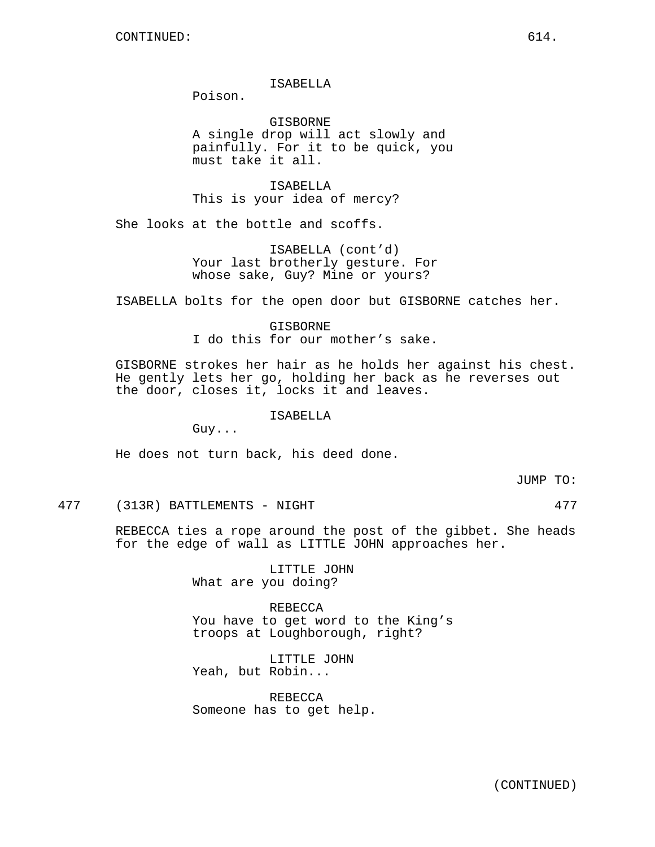### ISABELLA

Poison.

**GISBORNE** A single drop will act slowly and painfully. For it to be quick, you must take it all.

ISABELLA This is your idea of mercy?

She looks at the bottle and scoffs.

ISABELLA (cont'd) Your last brotherly gesture. For whose sake, Guy? Mine or yours?

ISABELLA bolts for the open door but GISBORNE catches her.

GISBORNE I do this for our mother's sake.

GISBORNE strokes her hair as he holds her against his chest. He gently lets her go, holding her back as he reverses out the door, closes it, locks it and leaves.

ISABELLA

Guy...

He does not turn back, his deed done.

JUMP TO:

477 (313R) BATTLEMENTS - NIGHT 477

REBECCA ties a rope around the post of the gibbet. She heads for the edge of wall as LITTLE JOHN approaches her.

> LITTLE JOHN What are you doing?

REBECCA You have to get word to the King's troops at Loughborough, right?

LITTLE JOHN Yeah, but Robin...

REBECCA Someone has to get help.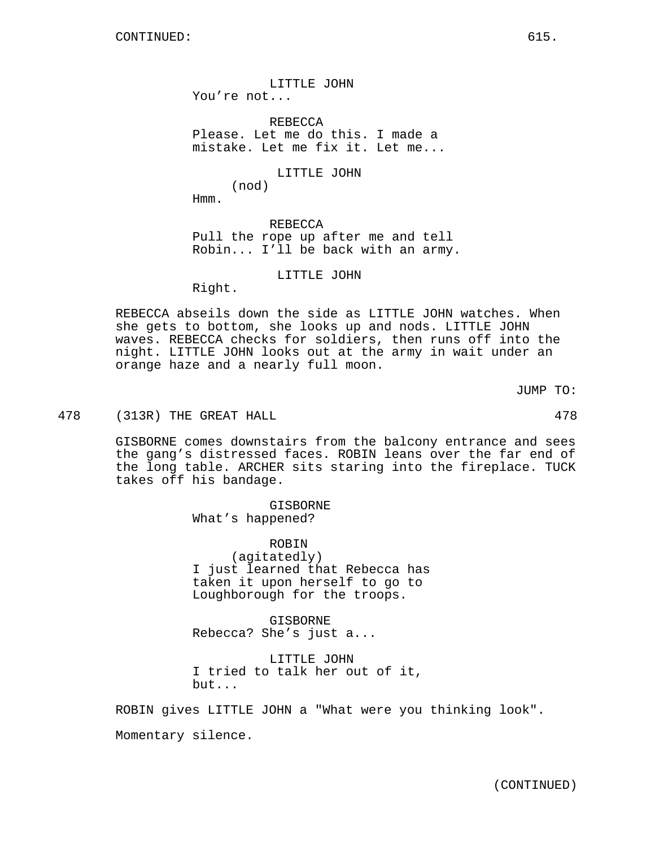LITTLE JOHN You're not...

REBECCA Please. Let me do this. I made a mistake. Let me fix it. Let me...

LITTLE JOHN

Hmm.

(nod)

REBECCA Pull the rope up after me and tell Robin... I'll be back with an army.

LITTLE JOHN

Right.

REBECCA abseils down the side as LITTLE JOHN watches. When she gets to bottom, she looks up and nods. LITTLE JOHN waves. REBECCA checks for soldiers, then runs off into the night. LITTLE JOHN looks out at the army in wait under an orange haze and a nearly full moon.

JUMP TO:

# 478 (313R) THE GREAT HALL 478

GISBORNE comes downstairs from the balcony entrance and sees the gang's distressed faces. ROBIN leans over the far end of the long table. ARCHER sits staring into the fireplace. TUCK takes off his bandage.

> GISBORNE What's happened?

ROBIN (agitatedly) I just learned that Rebecca has taken it upon herself to go to Loughborough for the troops.

GISBORNE Rebecca? She's just a...

LITTLE JOHN I tried to talk her out of it, but...

ROBIN gives LITTLE JOHN a "What were you thinking look".

Momentary silence.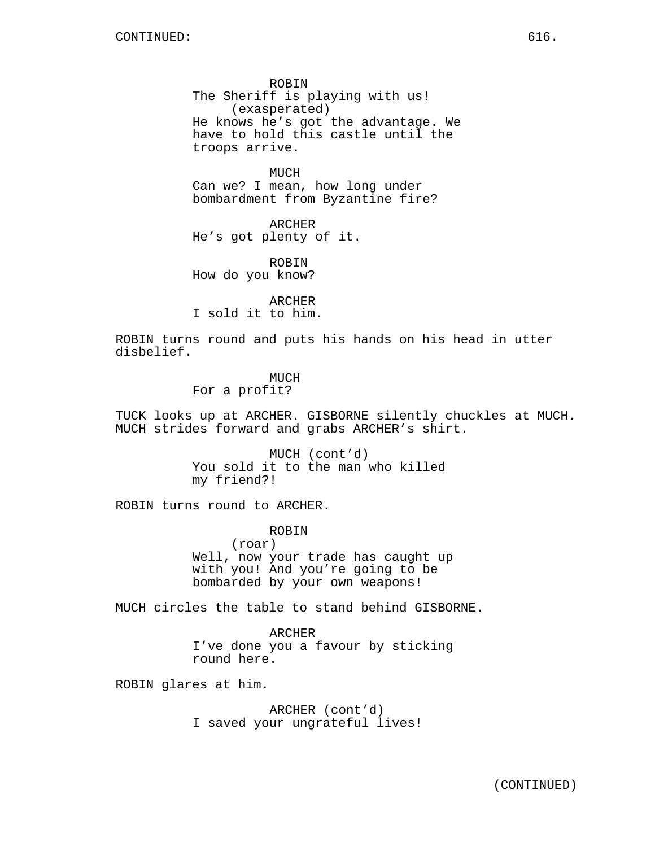ROBIN The Sheriff is playing with us! (exasperated) He knows he's got the advantage. We have to hold this castle until the troops arrive.

MUCH Can we? I mean, how long under bombardment from Byzantine fire?

ARCHER He's got plenty of it.

ROBIN How do you know?

ARCHER I sold it to him.

ROBIN turns round and puts his hands on his head in utter disbelief.

MUCH

For a profit?

TUCK looks up at ARCHER. GISBORNE silently chuckles at MUCH. MUCH strides forward and grabs ARCHER's shirt.

> MUCH (cont'd) You sold it to the man who killed my friend?!

ROBIN turns round to ARCHER.

ROBIN

(roar) Well, now your trade has caught up with you! And you're going to be bombarded by your own weapons!

MUCH circles the table to stand behind GISBORNE.

ARCHER I've done you a favour by sticking round here.

ROBIN glares at him.

ARCHER (cont'd) I saved your ungrateful lives!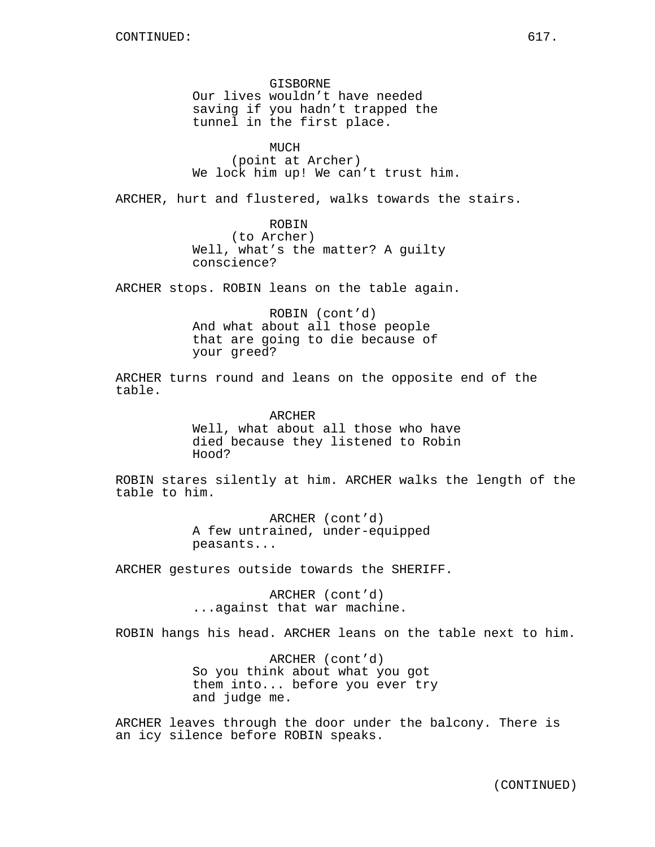GISBORNE Our lives wouldn't have needed saving if you hadn't trapped the tunnel in the first place.

MUCH (point at Archer) We lock him up! We can't trust him.

ARCHER, hurt and flustered, walks towards the stairs.

ROBIN (to Archer) Well, what's the matter? A guilty conscience?

ARCHER stops. ROBIN leans on the table again.

ROBIN (cont'd) And what about all those people that are going to die because of your greed?

ARCHER turns round and leans on the opposite end of the table.

> ARCHER Well, what about all those who have died because they listened to Robin Hood?

ROBIN stares silently at him. ARCHER walks the length of the table to him.

> ARCHER (cont'd) A few untrained, under-equipped peasants...

ARCHER gestures outside towards the SHERIFF.

ARCHER (cont'd) ...against that war machine.

ROBIN hangs his head. ARCHER leans on the table next to him.

ARCHER (cont'd) So you think about what you got them into... before you ever try and judge me.

ARCHER leaves through the door under the balcony. There is an icy silence before ROBIN speaks.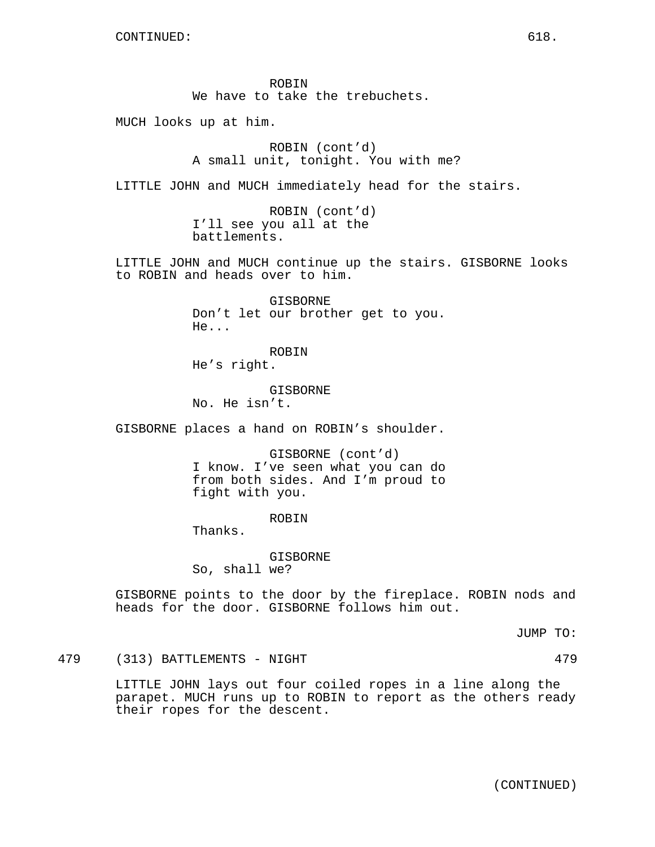ROBIN We have to take the trebuchets.

MUCH looks up at him.

ROBIN (cont'd) A small unit, tonight. You with me?

LITTLE JOHN and MUCH immediately head for the stairs.

ROBIN (cont'd) I'll see you all at the battlements.

LITTLE JOHN and MUCH continue up the stairs. GISBORNE looks to ROBIN and heads over to him.

> GISBORNE Don't let our brother get to you. He...

ROBIN He's right.

GISBORNE No. He isn't.

GISBORNE places a hand on ROBIN's shoulder.

GISBORNE (cont'd) I know. I've seen what you can do from both sides. And I'm proud to fight with you.

ROBIN

Thanks.

GISBORNE So, shall we?

GISBORNE points to the door by the fireplace. ROBIN nods and heads for the door. GISBORNE follows him out.

JUMP TO:

479 (313) BATTLEMENTS - NIGHT 479

LITTLE JOHN lays out four coiled ropes in a line along the parapet. MUCH runs up to ROBIN to report as the others ready their ropes for the descent.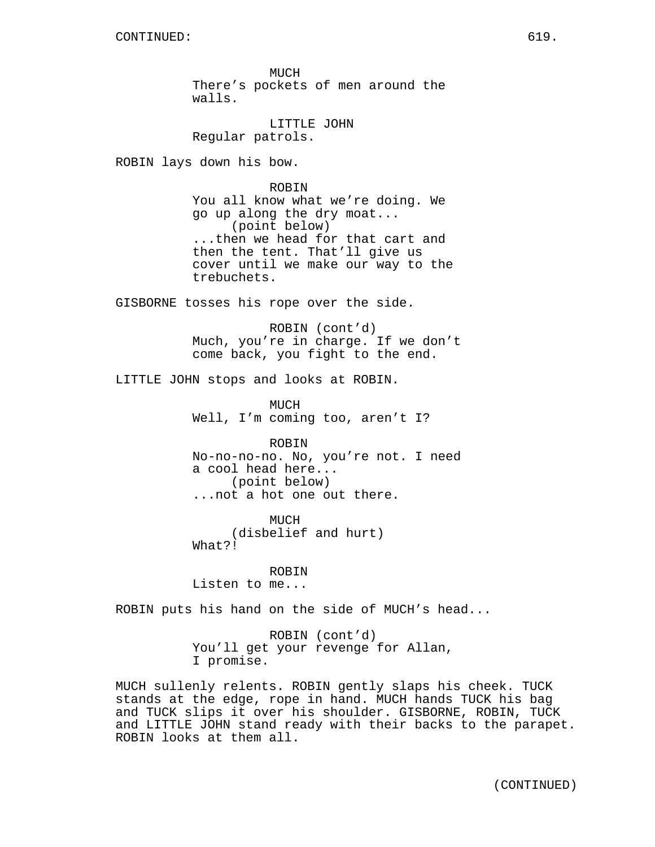MUCH There's pockets of men around the walls.

LITTLE JOHN Regular patrols.

ROBIN lays down his bow.

ROBIN You all know what we're doing. We go up along the dry moat... (point below) ...then we head for that cart and then the tent. That'll give us cover until we make our way to the trebuchets.

GISBORNE tosses his rope over the side.

ROBIN (cont'd) Much, you're in charge. If we don't come back, you fight to the end.

LITTLE JOHN stops and looks at ROBIN.

MUCH Well, I'm coming too, aren't I?

ROBIN No-no-no-no. No, you're not. I need a cool head here... (point below) ...not a hot one out there.

MUCH (disbelief and hurt) What?!

ROBIN Listen to me...

ROBIN puts his hand on the side of MUCH's head...

ROBIN (cont'd) You'll get your revenge for Allan, I promise.

MUCH sullenly relents. ROBIN gently slaps his cheek. TUCK stands at the edge, rope in hand. MUCH hands TUCK his bag and TUCK slips it over his shoulder. GISBORNE, ROBIN, TUCK and LITTLE JOHN stand ready with their backs to the parapet. ROBIN looks at them all.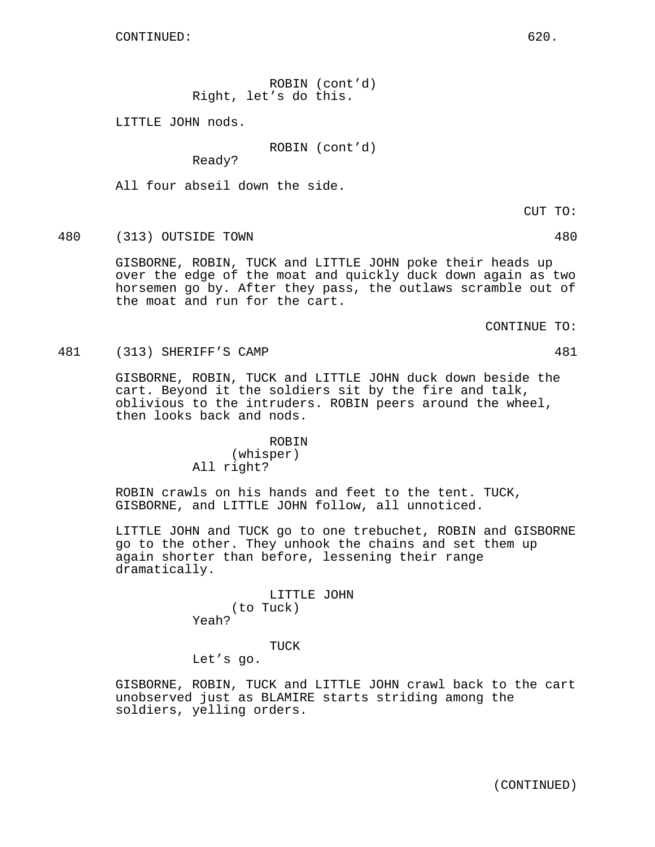ROBIN (cont'd) Right, let's do this.

LITTLE JOHN nods.

ROBIN (cont'd)

Ready?

All four abseil down the side.

480 (313) OUTSIDE TOWN 480

GISBORNE, ROBIN, TUCK and LITTLE JOHN poke their heads up over the edge of the moat and quickly duck down again as two horsemen go by. After they pass, the outlaws scramble out of the moat and run for the cart.

CONTINUE TO:

481 (313) SHERIFF'S CAMP 481

GISBORNE, ROBIN, TUCK and LITTLE JOHN duck down beside the cart. Beyond it the soldiers sit by the fire and talk, oblivious to the intruders. ROBIN peers around the wheel, then looks back and nods.

## ROBIN

(whisper) All right?

ROBIN crawls on his hands and feet to the tent. TUCK, GISBORNE, and LITTLE JOHN follow, all unnoticed.

LITTLE JOHN and TUCK go to one trebuchet, ROBIN and GISBORNE go to the other. They unhook the chains and set them up again shorter than before, lessening their range dramatically.

> LITTLE JOHN (to Tuck) Yeah?

### TUCK

Let's go.

GISBORNE, ROBIN, TUCK and LITTLE JOHN crawl back to the cart unobserved just as BLAMIRE starts striding among the soldiers, yelling orders.

CUT TO: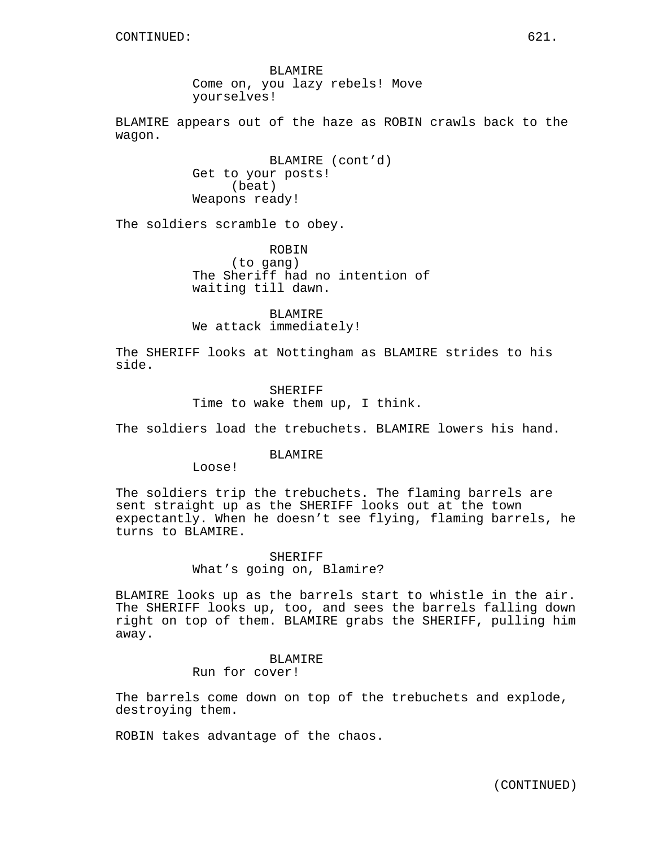BLAMIRE Come on, you lazy rebels! Move yourselves!

BLAMIRE appears out of the haze as ROBIN crawls back to the wagon.

> BLAMIRE (cont'd) Get to your posts! (beat) Weapons ready!

The soldiers scramble to obey.

ROBIN (to gang) The Sheriff had no intention of waiting till dawn.

BLAMIRE We attack immediately!

The SHERIFF looks at Nottingham as BLAMIRE strides to his side.

> SHERIFF Time to wake them up, I think.

The soldiers load the trebuchets. BLAMIRE lowers his hand.

### BLAMIRE

Loose!

The soldiers trip the trebuchets. The flaming barrels are sent straight up as the SHERIFF looks out at the town expectantly. When he doesn't see flying, flaming barrels, he turns to BLAMIRE.

# **SHERIFF** What's going on, Blamire?

BLAMIRE looks up as the barrels start to whistle in the air. The SHERIFF looks up, too, and sees the barrels falling down right on top of them. BLAMIRE grabs the SHERIFF, pulling him away.

# BLAMIRE

Run for cover!

The barrels come down on top of the trebuchets and explode, destroying them.

ROBIN takes advantage of the chaos.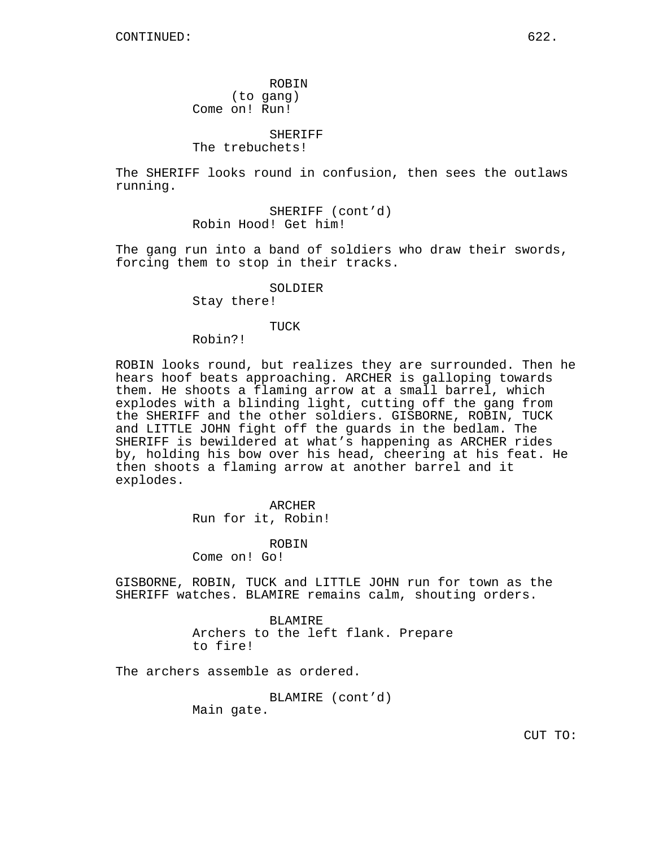ROBIN (to gang) Come on! Run!

SHERIFF

The trebuchets!

The SHERIFF looks round in confusion, then sees the outlaws running.

> SHERIFF (cont'd) Robin Hood! Get him!

The gang run into a band of soldiers who draw their swords, forcing them to stop in their tracks.

# SOLDIER

Stay there!

#### TUCK

Robin?!

ROBIN looks round, but realizes they are surrounded. Then he hears hoof beats approaching. ARCHER is galloping towards them. He shoots a flaming arrow at a small barrel, which explodes with a blinding light, cutting off the gang from the SHERIFF and the other soldiers. GISBORNE, ROBIN, TUCK and LITTLE JOHN fight off the guards in the bedlam. The SHERIFF is bewildered at what's happening as ARCHER rides by, holding his bow over his head, cheering at his feat. He then shoots a flaming arrow at another barrel and it explodes.

> ARCHER Run for it, Robin!

> > ROBIN

Come on! Go!

GISBORNE, ROBIN, TUCK and LITTLE JOHN run for town as the SHERIFF watches. BLAMIRE remains calm, shouting orders.

> BLAMIRE Archers to the left flank. Prepare to fire!

The archers assemble as ordered.

BLAMIRE (cont'd)

Main gate.

CUT TO: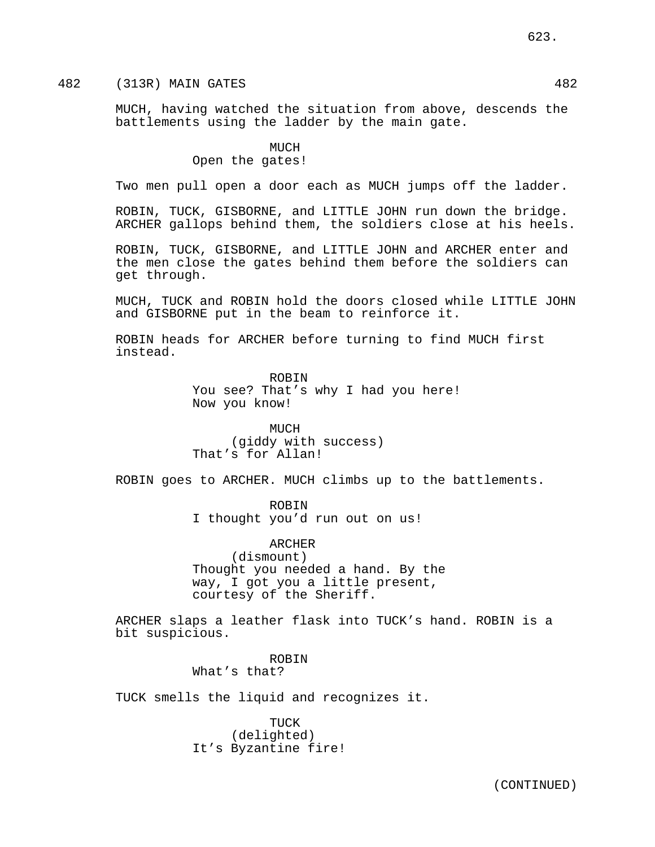MUCH, having watched the situation from above, descends the battlements using the ladder by the main gate.

> MUCH Open the gates!

Two men pull open a door each as MUCH jumps off the ladder.

ROBIN, TUCK, GISBORNE, and LITTLE JOHN run down the bridge. ARCHER gallops behind them, the soldiers close at his heels.

ROBIN, TUCK, GISBORNE, and LITTLE JOHN and ARCHER enter and the men close the gates behind them before the soldiers can get through.

MUCH, TUCK and ROBIN hold the doors closed while LITTLE JOHN and GISBORNE put in the beam to reinforce it.

ROBIN heads for ARCHER before turning to find MUCH first instead.

> ROBIN You see? That's why I had you here! Now you know!

MUCH (giddy with success) That's for Allan!

ROBIN goes to ARCHER. MUCH climbs up to the battlements.

ROBIN I thought you'd run out on us!

ARCHER (dismount) Thought you needed a hand. By the way, I got you a little present, courtesy of the Sheriff.

ARCHER slaps a leather flask into TUCK's hand. ROBIN is a bit suspicious.

> ROBIN What's that?

TUCK smells the liquid and recognizes it.

TUCK (delighted) It's Byzantine fire!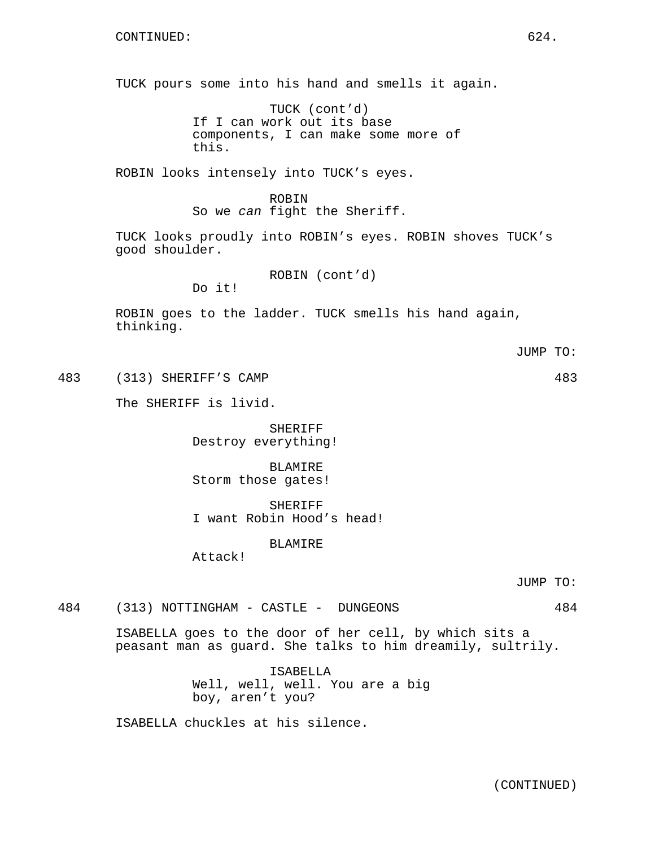TUCK pours some into his hand and smells it again.

TUCK (cont'd) If I can work out its base components, I can make some more of this.

ROBIN looks intensely into TUCK's eyes.

ROBIN So we can fight the Sheriff.

TUCK looks proudly into ROBIN's eyes. ROBIN shoves TUCK's good shoulder.

ROBIN (cont'd)

Do it!

ROBIN goes to the ladder. TUCK smells his hand again, thinking.

483 (313) SHERIFF'S CAMP 483

The SHERIFF is livid.

SHERIFF Destroy everything!

BLAMIRE Storm those gates!

SHERIFF I want Robin Hood's head!

BLAMIRE

Attack!

JUMP TO:

484 (313) NOTTINGHAM - CASTLE - DUNGEONS 484

ISABELLA goes to the door of her cell, by which sits a peasant man as guard. She talks to him dreamily, sultrily.

> ISABELLA Well, well, well. You are a big boy, aren't you?

ISABELLA chuckles at his silence.

JUMP TO: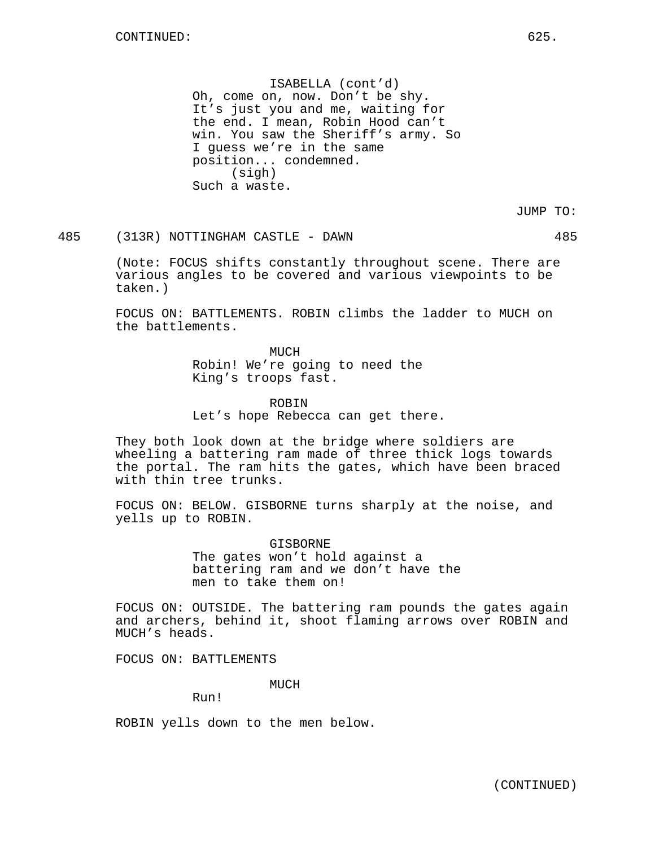ISABELLA (cont'd) Oh, come on, now. Don't be shy. It's just you and me, waiting for the end. I mean, Robin Hood can't win. You saw the Sheriff's army. So I guess we're in the same position... condemned. (sigh) Such a waste.

JUMP TO:

485 (313R) NOTTINGHAM CASTLE - DAWN 485

(Note: FOCUS shifts constantly throughout scene. There are various angles to be covered and various viewpoints to be taken.)

FOCUS ON: BATTLEMENTS. ROBIN climbs the ladder to MUCH on the battlements.

> MUCH Robin! We're going to need the King's troops fast.

ROBIN Let's hope Rebecca can get there.

They both look down at the bridge where soldiers are wheeling a battering ram made of three thick logs towards the portal. The ram hits the gates, which have been braced with thin tree trunks.

FOCUS ON: BELOW. GISBORNE turns sharply at the noise, and yells up to ROBIN.

> GISBORNE The gates won't hold against a battering ram and we don't have the men to take them on!

FOCUS ON: OUTSIDE. The battering ram pounds the gates again and archers, behind it, shoot flaming arrows over ROBIN and MUCH's heads.

FOCUS ON: BATTLEMENTS

MUCH

Run!

ROBIN yells down to the men below.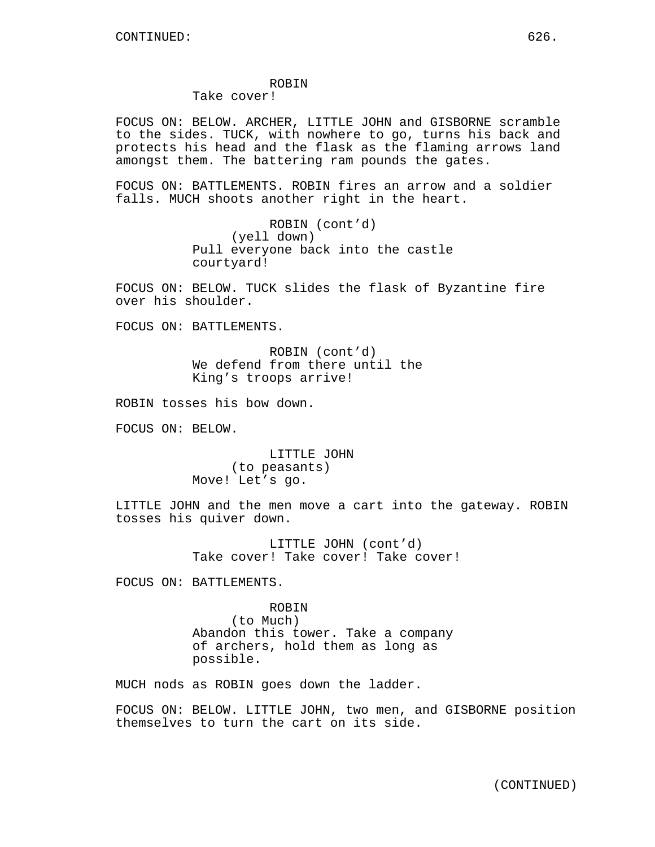## ROBIN

# Take cover!

FOCUS ON: BELOW. ARCHER, LITTLE JOHN and GISBORNE scramble to the sides. TUCK, with nowhere to go, turns his back and protects his head and the flask as the flaming arrows land amongst them. The battering ram pounds the gates.

FOCUS ON: BATTLEMENTS. ROBIN fires an arrow and a soldier falls. MUCH shoots another right in the heart.

> ROBIN (cont'd) (yell down) Pull everyone back into the castle courtyard!

FOCUS ON: BELOW. TUCK slides the flask of Byzantine fire over his shoulder.

FOCUS ON: BATTLEMENTS.

ROBIN (cont'd) We defend from there until the King's troops arrive!

ROBIN tosses his bow down.

FOCUS ON: BELOW.

LITTLE JOHN (to peasants) Move! Let's go.

LITTLE JOHN and the men move a cart into the gateway. ROBIN tosses his quiver down.

> LITTLE JOHN (cont'd) Take cover! Take cover! Take cover!

FOCUS ON: BATTLEMENTS.

ROBIN (to Much) Abandon this tower. Take a company of archers, hold them as long as possible.

MUCH nods as ROBIN goes down the ladder.

FOCUS ON: BELOW. LITTLE JOHN, two men, and GISBORNE position themselves to turn the cart on its side.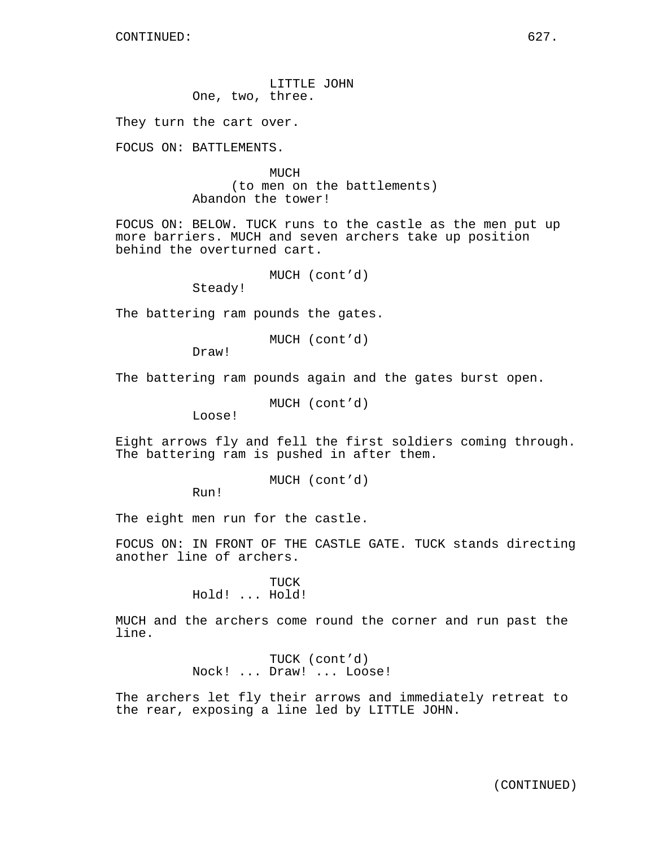LITTLE JOHN One, two, three.

They turn the cart over.

FOCUS ON: BATTLEMENTS.

**MUCH** (to men on the battlements) Abandon the tower!

FOCUS ON: BELOW. TUCK runs to the castle as the men put up more barriers. MUCH and seven archers take up position behind the overturned cart.

MUCH (cont'd)

Steady!

The battering ram pounds the gates.

MUCH (cont'd)

Draw!

The battering ram pounds again and the gates burst open.

MUCH (cont'd)

Loose!

Eight arrows fly and fell the first soldiers coming through. The battering ram is pushed in after them.

MUCH (cont'd)

Run!

The eight men run for the castle.

FOCUS ON: IN FRONT OF THE CASTLE GATE. TUCK stands directing another line of archers.

> TUCK Hold! ... Hold!

MUCH and the archers come round the corner and run past the line.

> TUCK (cont'd) Nock! ... Draw! ... Loose!

The archers let fly their arrows and immediately retreat to the rear, exposing a line led by LITTLE JOHN.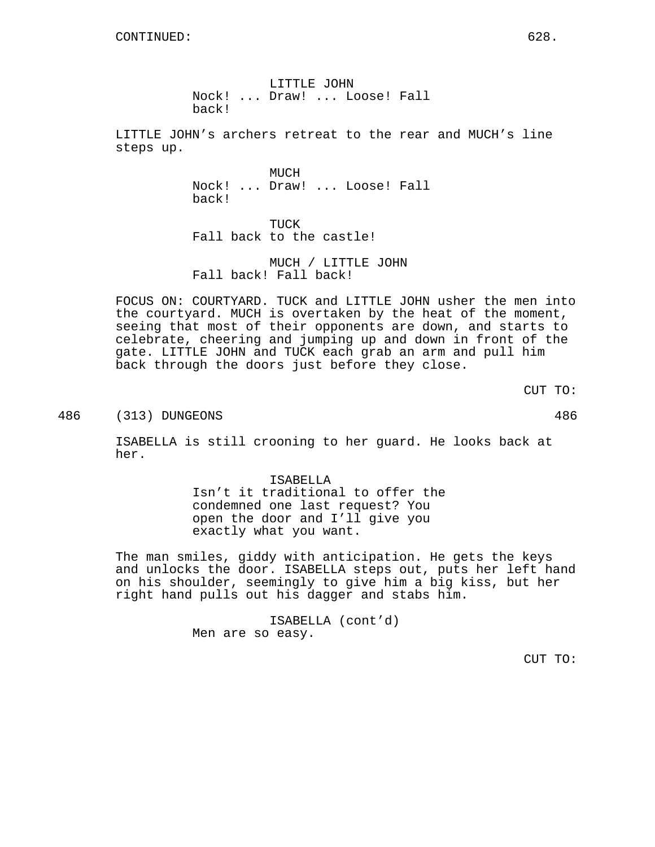LITTLE JOHN Nock! ... Draw! ... Loose! Fall back!

LITTLE JOHN's archers retreat to the rear and MUCH's line steps up.

> **MUCH** Nock! ... Draw! ... Loose! Fall back!

TUCK Fall back to the castle!

MUCH / LITTLE JOHN Fall back! Fall back!

FOCUS ON: COURTYARD. TUCK and LITTLE JOHN usher the men into the courtyard. MUCH is overtaken by the heat of the moment, seeing that most of their opponents are down, and starts to celebrate, cheering and jumping up and down in front of the gate. LITTLE JOHN and TUCK each grab an arm and pull him back through the doors just before they close.

CUT TO:

486 (313) DUNGEONS 486

ISABELLA is still crooning to her guard. He looks back at her.

> ISABELLA Isn't it traditional to offer the condemned one last request? You open the door and I'll give you exactly what you want.

The man smiles, giddy with anticipation. He gets the keys and unlocks the door. ISABELLA steps out, puts her left hand on his shoulder, seemingly to give him a big kiss, but her right hand pulls out his dagger and stabs him.

> ISABELLA (cont'd) Men are so easy.

> > CUT TO: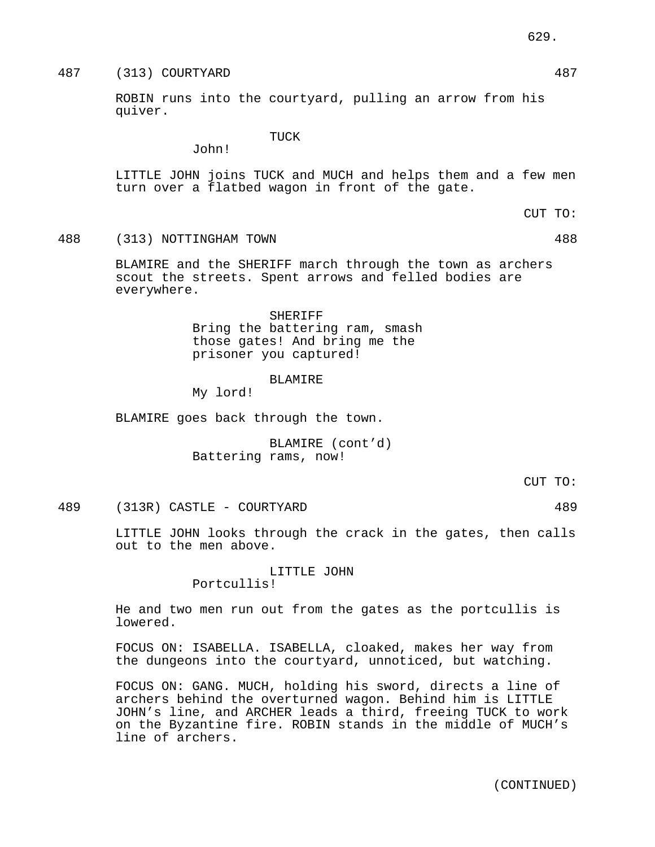ROBIN runs into the courtyard, pulling an arrow from his quiver.

TUCK

LITTLE JOHN joins TUCK and MUCH and helps them and a few men turn over a flatbed wagon in front of the gate.

488 (313) NOTTINGHAM TOWN 488

John!

BLAMIRE and the SHERIFF march through the town as archers scout the streets. Spent arrows and felled bodies are everywhere.

> SHERIFF Bring the battering ram, smash those gates! And bring me the prisoner you captured!

#### BLAMIRE

My lord!

BLAMIRE goes back through the town.

BLAMIRE (cont'd) Battering rams, now!

CUT TO:

489 (313R) CASTLE - COURTYARD 489

LITTLE JOHN looks through the crack in the gates, then calls out to the men above.

> LITTLE JOHN Portcullis!

He and two men run out from the gates as the portcullis is lowered.

FOCUS ON: ISABELLA. ISABELLA, cloaked, makes her way from the dungeons into the courtyard, unnoticed, but watching.

FOCUS ON: GANG. MUCH, holding his sword, directs a line of archers behind the overturned wagon. Behind him is LITTLE JOHN's line, and ARCHER leads a third, freeing TUCK to work on the Byzantine fire. ROBIN stands in the middle of MUCH's line of archers.

629.

CUT TO: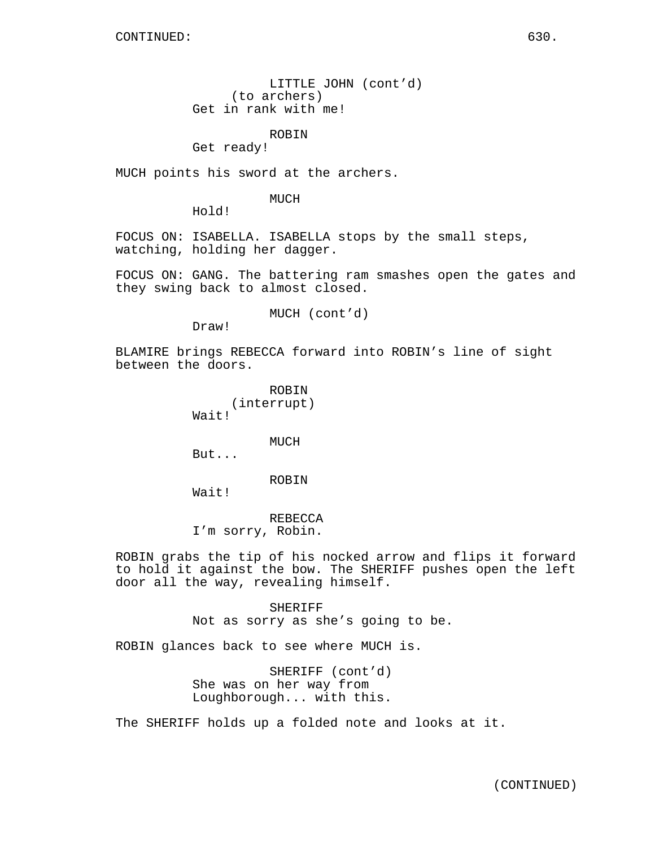LITTLE JOHN (cont'd) (to archers) Get in rank with me!

ROBIN

Get ready!

MUCH points his sword at the archers.

MUCH

Hold!

FOCUS ON: ISABELLA. ISABELLA stops by the small steps, watching, holding her dagger.

FOCUS ON: GANG. The battering ram smashes open the gates and they swing back to almost closed.

MUCH (cont'd)

Draw!

BLAMIRE brings REBECCA forward into ROBIN's line of sight between the doors.

> ROBIN (interrupt) Wait!

> > MUCH

But...

### ROBIN

Wait!

REBECCA I'm sorry, Robin.

ROBIN grabs the tip of his nocked arrow and flips it forward to hold it against the bow. The SHERIFF pushes open the left door all the way, revealing himself.

> SHERIFF Not as sorry as she's going to be.

ROBIN glances back to see where MUCH is.

SHERIFF (cont'd) She was on her way from Loughborough... with this.

The SHERIFF holds up a folded note and looks at it.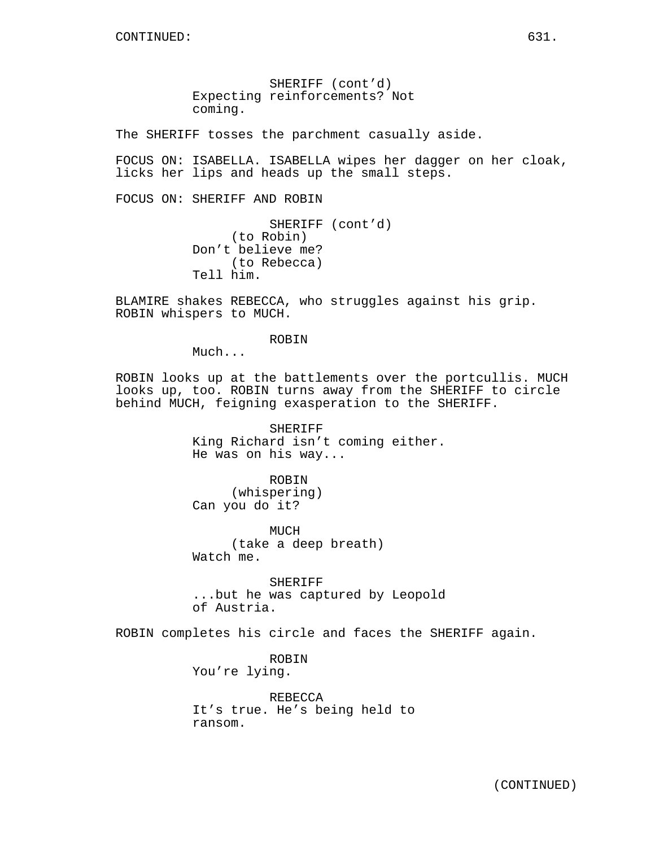SHERIFF (cont'd)

Expecting reinforcements? Not coming.

The SHERIFF tosses the parchment casually aside.

FOCUS ON: ISABELLA. ISABELLA wipes her dagger on her cloak, licks her lips and heads up the small steps.

FOCUS ON: SHERIFF AND ROBIN

SHERIFF (cont'd) (to Robin) Don't believe me? (to Rebecca) Tell him.

BLAMIRE shakes REBECCA, who struggles against his grip. ROBIN whispers to MUCH.

ROBIN

Much...

ROBIN looks up at the battlements over the portcullis. MUCH looks up, too. ROBIN turns away from the SHERIFF to circle behind MUCH, feigning exasperation to the SHERIFF.

> SHERIFF King Richard isn't coming either. He was on his way...

ROBIN (whispering) Can you do it?

MUCH (take a deep breath) Watch me.

SHERIFF ...but he was captured by Leopold of Austria.

ROBIN completes his circle and faces the SHERIFF again.

ROBIN You're lying.

REBECCA It's true. He's being held to ransom.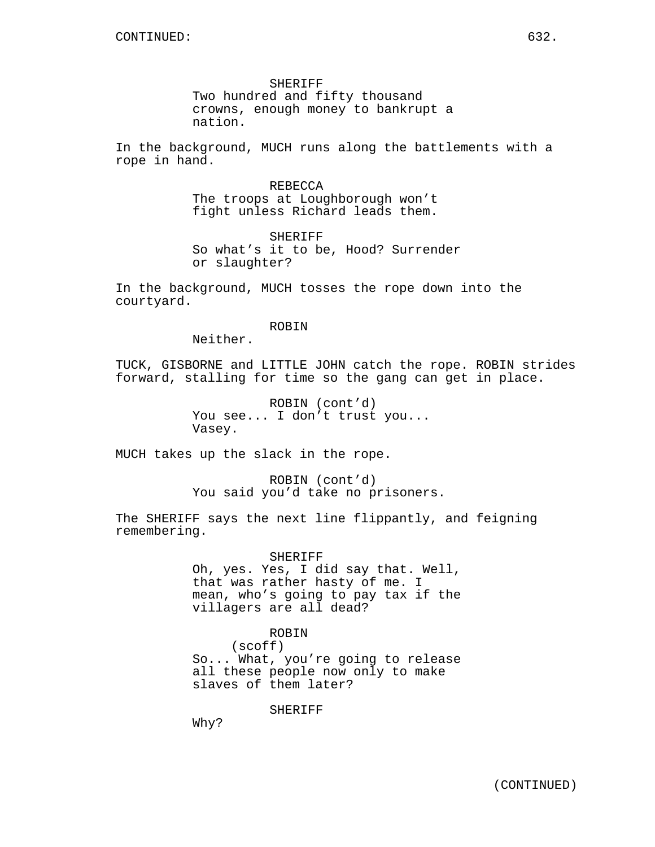SHERIFF Two hundred and fifty thousand crowns, enough money to bankrupt a nation.

In the background, MUCH runs along the battlements with a rope in hand.

> REBECCA The troops at Loughborough won't fight unless Richard leads them.

SHERIFF So what's it to be, Hood? Surrender or slaughter?

In the background, MUCH tosses the rope down into the courtyard.

#### ROBIN

Neither.

TUCK, GISBORNE and LITTLE JOHN catch the rope. ROBIN strides forward, stalling for time so the gang can get in place.

> ROBIN (cont'd) You see... I don't trust you... Vasey.

MUCH takes up the slack in the rope.

ROBIN (cont'd) You said you'd take no prisoners.

The SHERIFF says the next line flippantly, and feigning remembering.

> SHERIFF Oh, yes. Yes, I did say that. Well, that was rather hasty of me. I mean, who's going to pay tax if the villagers are all dead?

> ROBIN (scoff) So... What, you're going to release all these people now only to make slaves of them later?

> > SHERIFF

Why?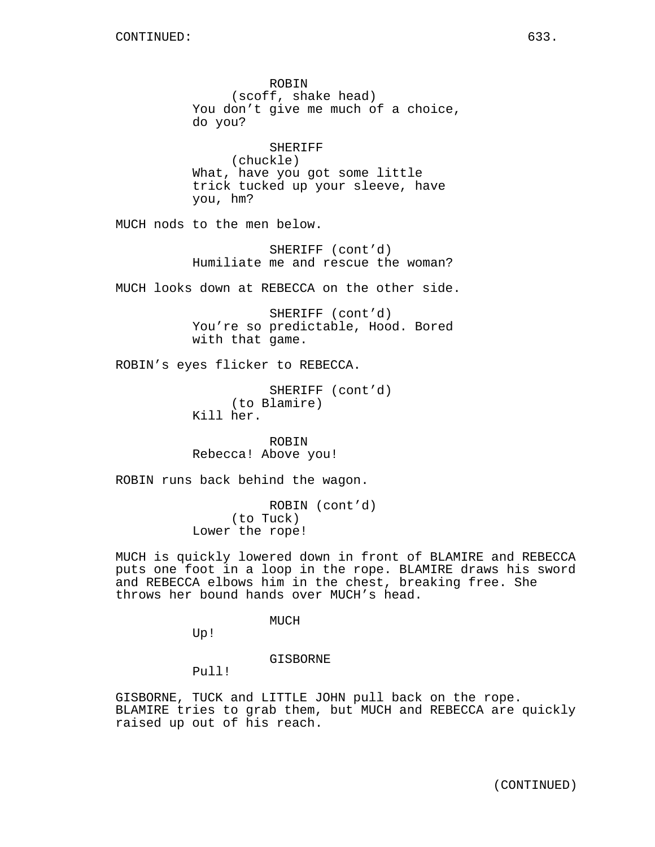ROBIN (scoff, shake head) You don't give me much of a choice, do you? SHERIFF (chuckle) What, have you got some little trick tucked up your sleeve, have you, hm? MUCH nods to the men below. SHERIFF (cont'd) Humiliate me and rescue the woman? MUCH looks down at REBECCA on the other side. SHERIFF (cont'd) You're so predictable, Hood. Bored with that game. ROBIN's eyes flicker to REBECCA. SHERIFF (cont'd) (to Blamire) Kill her. ROBIN Rebecca! Above you! ROBIN runs back behind the wagon. ROBIN (cont'd) (to Tuck) Lower the rope! MUCH is quickly lowered down in front of BLAMIRE and REBECCA puts one foot in a loop in the rope. BLAMIRE draws his sword and REBECCA elbows him in the chest, breaking free. She throws her bound hands over MUCH's head. MUCH

Up!

GISBORNE

Pull!

GISBORNE, TUCK and LITTLE JOHN pull back on the rope. BLAMIRE tries to grab them, but MUCH and REBECCA are quickly raised up out of his reach.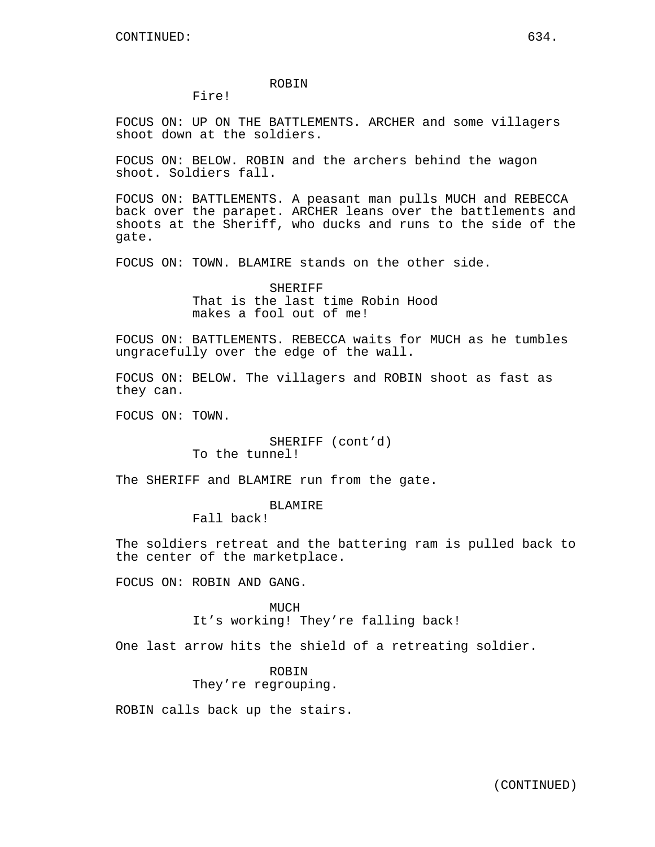#### ROBIN

#### Fire!

FOCUS ON: UP ON THE BATTLEMENTS. ARCHER and some villagers shoot down at the soldiers.

FOCUS ON: BELOW. ROBIN and the archers behind the wagon shoot. Soldiers fall.

FOCUS ON: BATTLEMENTS. A peasant man pulls MUCH and REBECCA back over the parapet. ARCHER leans over the battlements and shoots at the Sheriff, who ducks and runs to the side of the gate.

FOCUS ON: TOWN. BLAMIRE stands on the other side.

SHERIFF That is the last time Robin Hood makes a fool out of me!

FOCUS ON: BATTLEMENTS. REBECCA waits for MUCH as he tumbles ungracefully over the edge of the wall.

FOCUS ON: BELOW. The villagers and ROBIN shoot as fast as they can.

FOCUS ON: TOWN.

SHERIFF (cont'd) To the tunnel!

The SHERIFF and BLAMIRE run from the gate.

## BLAMIRE

Fall back!

The soldiers retreat and the battering ram is pulled back to the center of the marketplace.

FOCUS ON: ROBIN AND GANG.

MUCH It's working! They're falling back!

One last arrow hits the shield of a retreating soldier.

ROBIN They're regrouping.

ROBIN calls back up the stairs.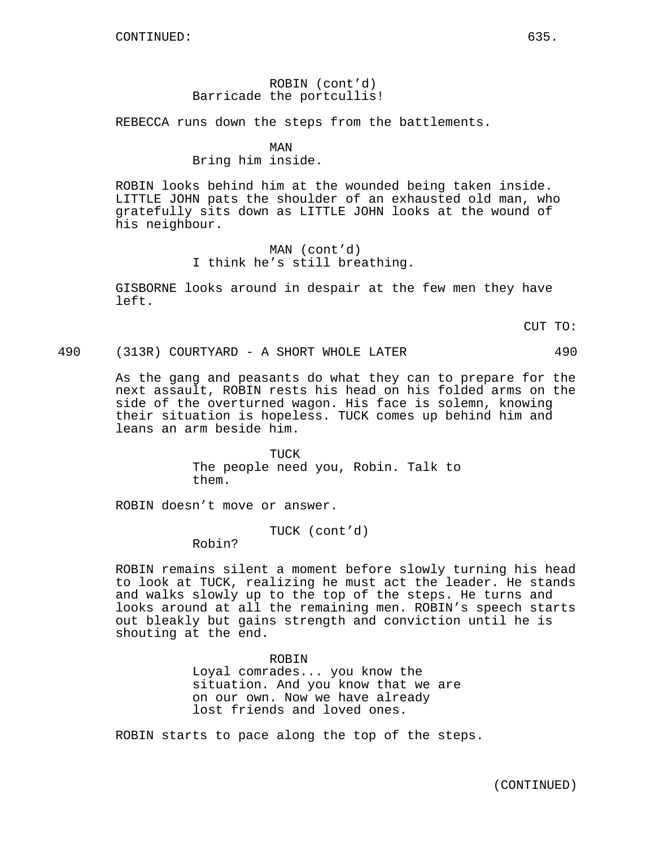# ROBIN (cont'd) Barricade the portcullis!

REBECCA runs down the steps from the battlements.

### MAN

### Bring him inside.

ROBIN looks behind him at the wounded being taken inside. LITTLE JOHN pats the shoulder of an exhausted old man, who gratefully sits down as LITTLE JOHN looks at the wound of his neighbour.

> MAN (cont'd) I think he's still breathing.

GISBORNE looks around in despair at the few men they have left.

CUT TO:

## 490 (313R) COURTYARD - A SHORT WHOLE LATER 490

As the gang and peasants do what they can to prepare for the next assault, ROBIN rests his head on his folded arms on the side of the overturned wagon. His face is solemn, knowing their situation is hopeless. TUCK comes up behind him and leans an arm beside him.

> TUCK The people need you, Robin. Talk to them.

ROBIN doesn't move or answer.

TUCK (cont'd)

Robin?

ROBIN remains silent a moment before slowly turning his head to look at TUCK, realizing he must act the leader. He stands and walks slowly up to the top of the steps. He turns and looks around at all the remaining men. ROBIN's speech starts out bleakly but gains strength and conviction until he is shouting at the end.

> ROBIN Loyal comrades... you know the situation. And you know that we are on our own. Now we have already lost friends and loved ones.

ROBIN starts to pace along the top of the steps.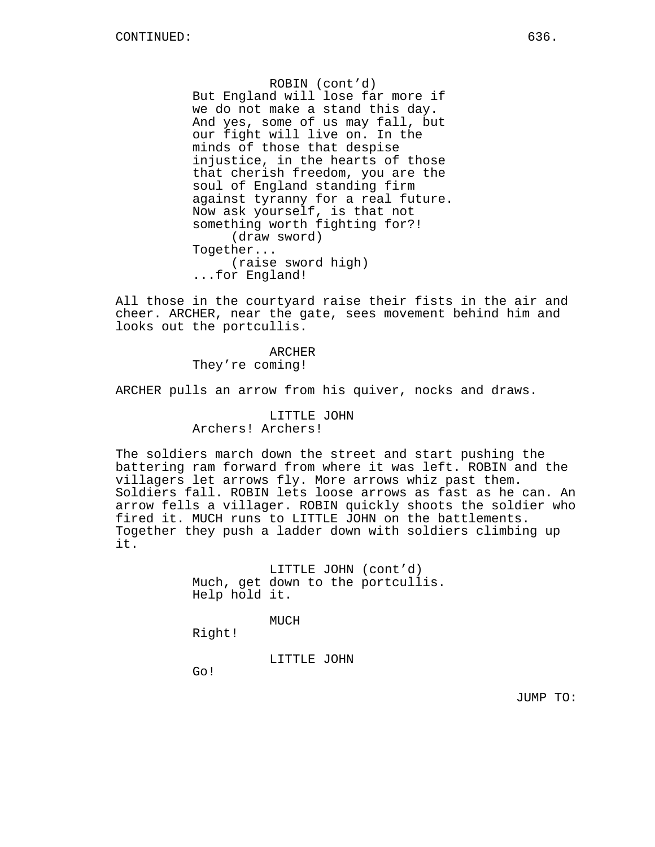ROBIN (cont'd) But England will lose far more if we do not make a stand this day. And yes, some of us may fall, but our fight will live on. In the minds of those that despise injustice, in the hearts of those that cherish freedom, you are the soul of England standing firm against tyranny for a real future. Now ask yourself, is that not something worth fighting for?! (draw sword) Together... (raise sword high) ...for England!

All those in the courtyard raise their fists in the air and cheer. ARCHER, near the gate, sees movement behind him and looks out the portcullis.

> ARCHER They're coming!

ARCHER pulls an arrow from his quiver, nocks and draws.

# LITTLE JOHN Archers! Archers!

The soldiers march down the street and start pushing the battering ram forward from where it was left. ROBIN and the villagers let arrows fly. More arrows whiz past them. Soldiers fall. ROBIN lets loose arrows as fast as he can. An arrow fells a villager. ROBIN quickly shoots the soldier who fired it. MUCH runs to LITTLE JOHN on the battlements. Together they push a ladder down with soldiers climbing up it.

> LITTLE JOHN (cont'd) Much, get down to the portcullis. Help hold it.

> > MUCH

Right!

LITTLE JOHN

Go!

JUMP TO: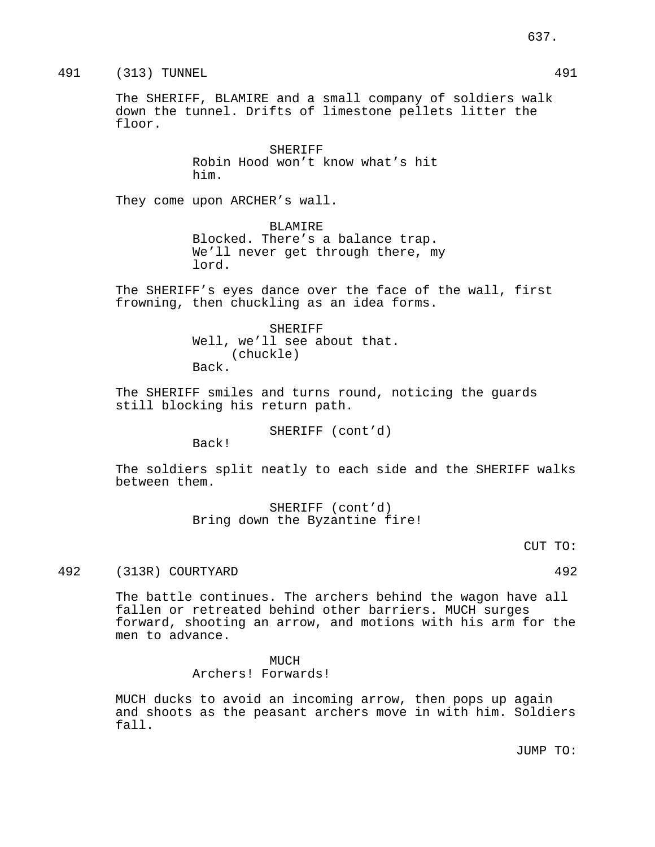The SHERIFF, BLAMIRE and a small company of soldiers walk down the tunnel. Drifts of limestone pellets litter the floor.

> SHERIFF Robin Hood won't know what's hit him.

They come upon ARCHER's wall.

BLAMIRE Blocked. There's a balance trap. We'll never get through there, my lord.

The SHERIFF's eyes dance over the face of the wall, first frowning, then chuckling as an idea forms.

> SHERIFF Well, we'll see about that. (chuckle) Back.

The SHERIFF smiles and turns round, noticing the guards still blocking his return path.

SHERIFF (cont'd)

Back!

The soldiers split neatly to each side and the SHERIFF walks between them.

> SHERIFF (cont'd) Bring down the Byzantine fire!

> > CUT TO:

492 (313R) COURTYARD 492

The battle continues. The archers behind the wagon have all fallen or retreated behind other barriers. MUCH surges forward, shooting an arrow, and motions with his arm for the men to advance.

### **MUCH**

Archers! Forwards!

MUCH ducks to avoid an incoming arrow, then pops up again and shoots as the peasant archers move in with him. Soldiers fall.

JUMP TO: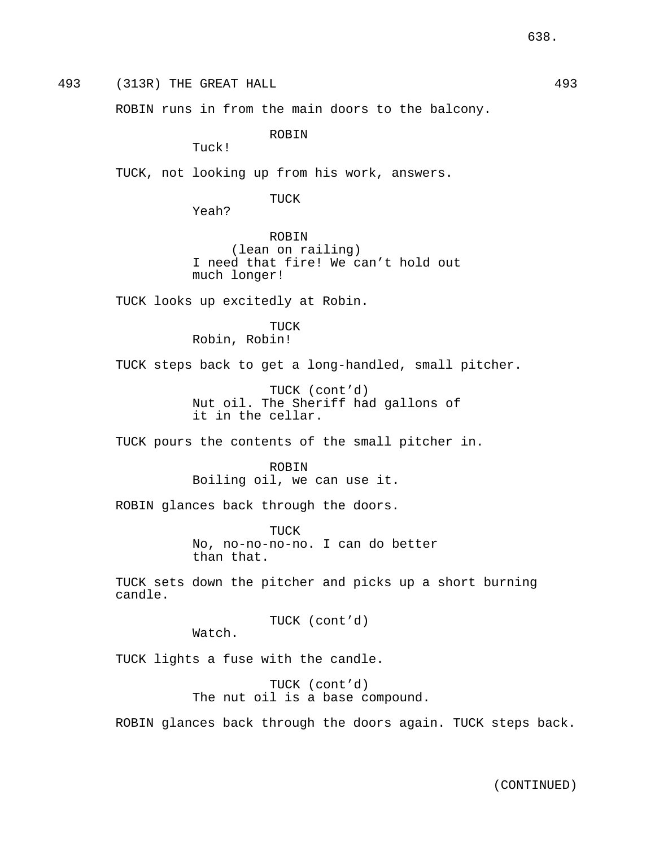493 (313R) THE GREAT HALL 493

ROBIN runs in from the main doors to the balcony.

ROBIN

Tuck!

TUCK, not looking up from his work, answers.

TUCK

Yeah?

ROBIN (lean on railing) I need that fire! We can't hold out much longer!

TUCK looks up excitedly at Robin.

TUCK Robin, Robin!

TUCK steps back to get a long-handled, small pitcher.

TUCK (cont'd) Nut oil. The Sheriff had gallons of it in the cellar.

TUCK pours the contents of the small pitcher in.

**ROBIN** Boiling oil, we can use it.

ROBIN glances back through the doors.

TUCK No, no-no-no-no. I can do better than that.

TUCK sets down the pitcher and picks up a short burning candle.

TUCK (cont'd)

Watch.

TUCK lights a fuse with the candle.

TUCK (cont'd) The nut oil is a base compound.

ROBIN glances back through the doors again. TUCK steps back.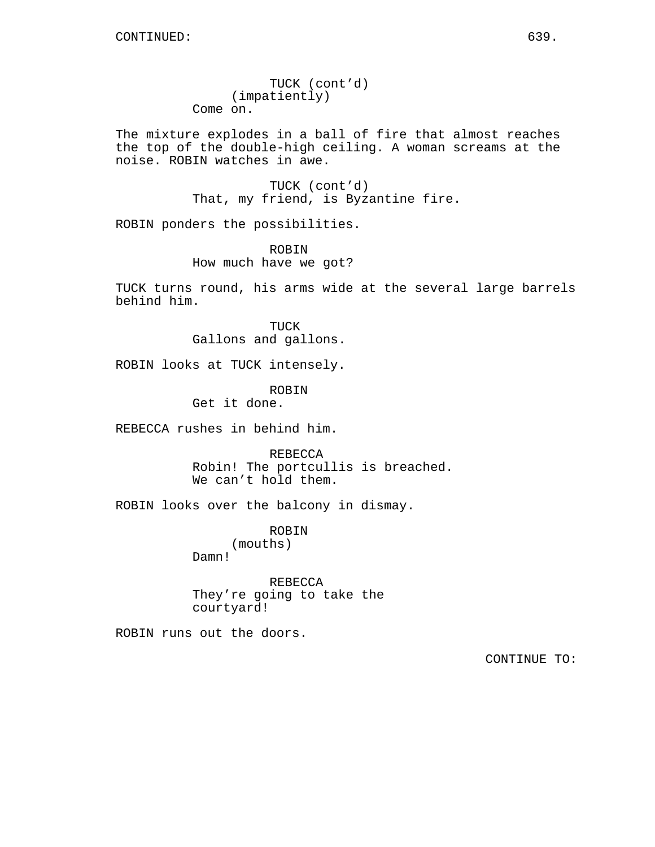TUCK (cont'd) (impatiently) Come on.

The mixture explodes in a ball of fire that almost reaches the top of the double-high ceiling. A woman screams at the noise. ROBIN watches in awe.

> TUCK (cont'd) That, my friend, is Byzantine fire.

ROBIN ponders the possibilities.

ROBIN How much have we got?

TUCK turns round, his arms wide at the several large barrels behind him.

> TUCK Gallons and gallons.

ROBIN looks at TUCK intensely.

ROBIN

Get it done.

REBECCA rushes in behind him.

REBECCA Robin! The portcullis is breached. We can't hold them.

ROBIN looks over the balcony in dismay.

ROBIN (mouths)

Damn!

REBECCA They're going to take the courtyard!

ROBIN runs out the doors.

CONTINUE TO: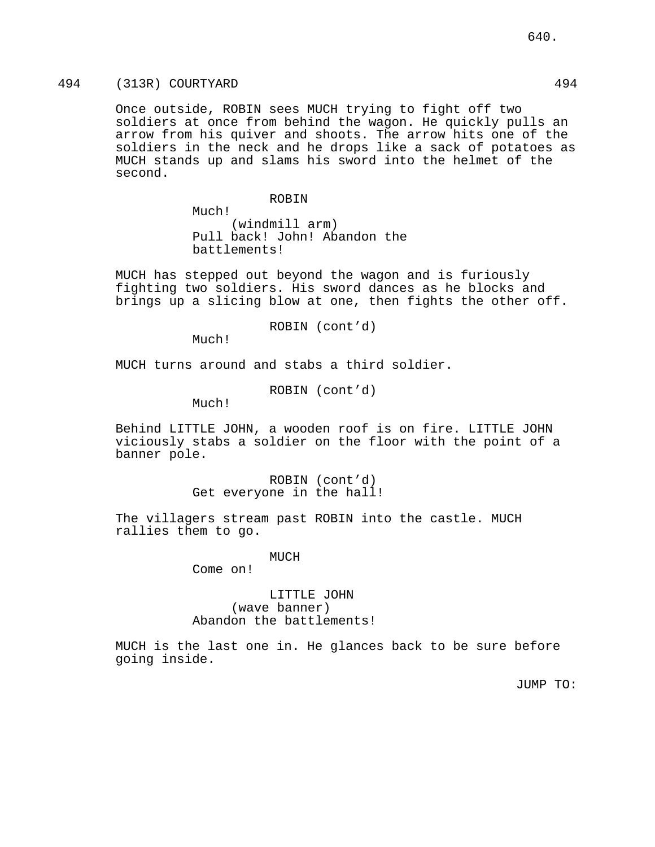# 494 (313R) COURTYARD 494

Once outside, ROBIN sees MUCH trying to fight off two soldiers at once from behind the wagon. He quickly pulls an arrow from his quiver and shoots. The arrow hits one of the soldiers in the neck and he drops like a sack of potatoes as MUCH stands up and slams his sword into the helmet of the second.

ROBIN

Much! (windmill arm) Pull back! John! Abandon the battlements!

MUCH has stepped out beyond the wagon and is furiously fighting two soldiers. His sword dances as he blocks and brings up a slicing blow at one, then fights the other off.

ROBIN (cont'd)

Much!

MUCH turns around and stabs a third soldier.

ROBIN (cont'd)

Much!

Behind LITTLE JOHN, a wooden roof is on fire. LITTLE JOHN viciously stabs a soldier on the floor with the point of a banner pole.

> ROBIN (cont'd) Get everyone in the hall!

The villagers stream past ROBIN into the castle. MUCH rallies them to go.

MUCH

Come on!

## LITTLE JOHN (wave banner) Abandon the battlements!

MUCH is the last one in. He glances back to be sure before going inside.

JUMP TO: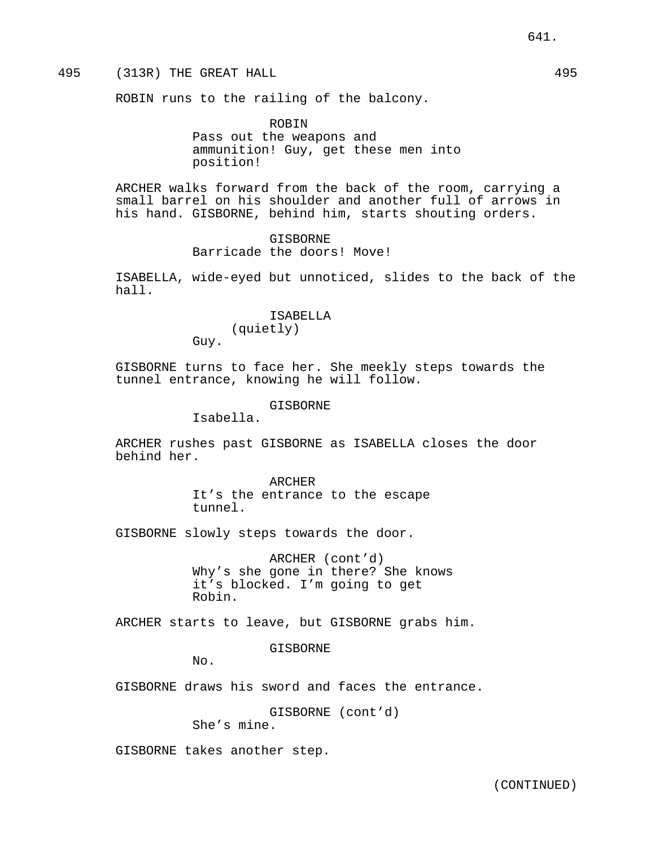# 495 (313R) THE GREAT HALL 495

ROBIN runs to the railing of the balcony.

ROBIN Pass out the weapons and ammunition! Guy, get these men into position!

ARCHER walks forward from the back of the room, carrying a small barrel on his shoulder and another full of arrows in his hand. GISBORNE, behind him, starts shouting orders.

> GISBORNE Barricade the doors! Move!

ISABELLA, wide-eyed but unnoticed, slides to the back of the hall.

> ISABELLA (quietly)

Guy.

GISBORNE turns to face her. She meekly steps towards the tunnel entrance, knowing he will follow.

GISBORNE

Isabella.

ARCHER rushes past GISBORNE as ISABELLA closes the door behind her.

> ARCHER It's the entrance to the escape tunnel.

GISBORNE slowly steps towards the door.

ARCHER (cont'd) Why's she gone in there? She knows it's blocked. I'm going to get Robin.

ARCHER starts to leave, but GISBORNE grabs him.

GISBORNE

 $N_{\Omega}$ .

GISBORNE draws his sword and faces the entrance.

GISBORNE (cont'd) She's mine.

GISBORNE takes another step.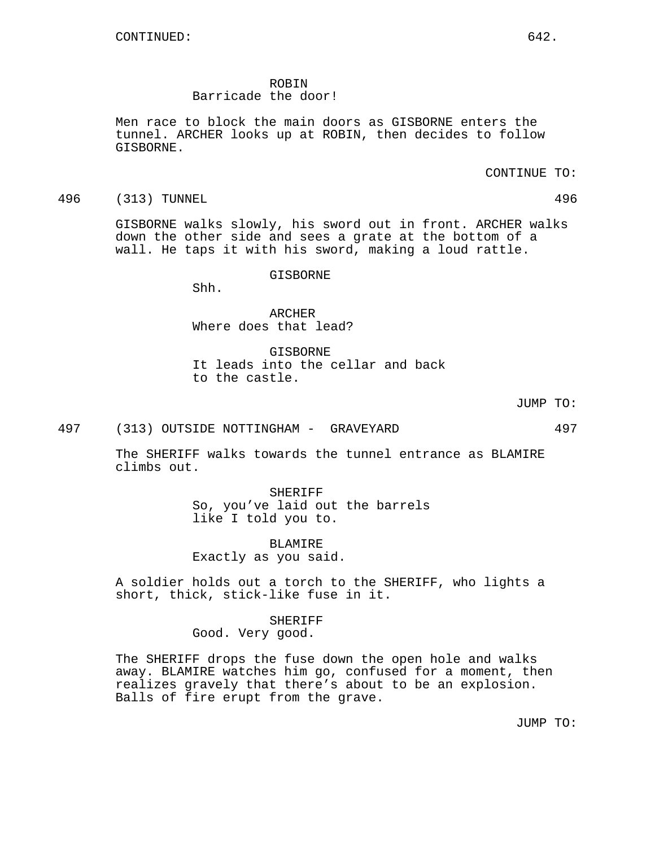ROBIN

# Barricade the door!

Men race to block the main doors as GISBORNE enters the tunnel. ARCHER looks up at ROBIN, then decides to follow GISBORNE.

CONTINUE TO:

496 (313) TUNNEL 496

GISBORNE walks slowly, his sword out in front. ARCHER walks down the other side and sees a grate at the bottom of a wall. He taps it with his sword, making a loud rattle.

GISBORNE

Shh.

ARCHER Where does that lead?

GISBORNE It leads into the cellar and back to the castle.

JUMP TO:

497 (313) OUTSIDE NOTTINGHAM - GRAVEYARD 497

The SHERIFF walks towards the tunnel entrance as BLAMIRE climbs out.

> SHERIFF So, you've laid out the barrels like I told you to.

> > BLAMIRE

Exactly as you said.

A soldier holds out a torch to the SHERIFF, who lights a short, thick, stick-like fuse in it.

> SHERIFF Good. Very good.

The SHERIFF drops the fuse down the open hole and walks away. BLAMIRE watches him go, confused for a moment, then realizes gravely that there's about to be an explosion. Balls of fire erupt from the grave.

JUMP TO: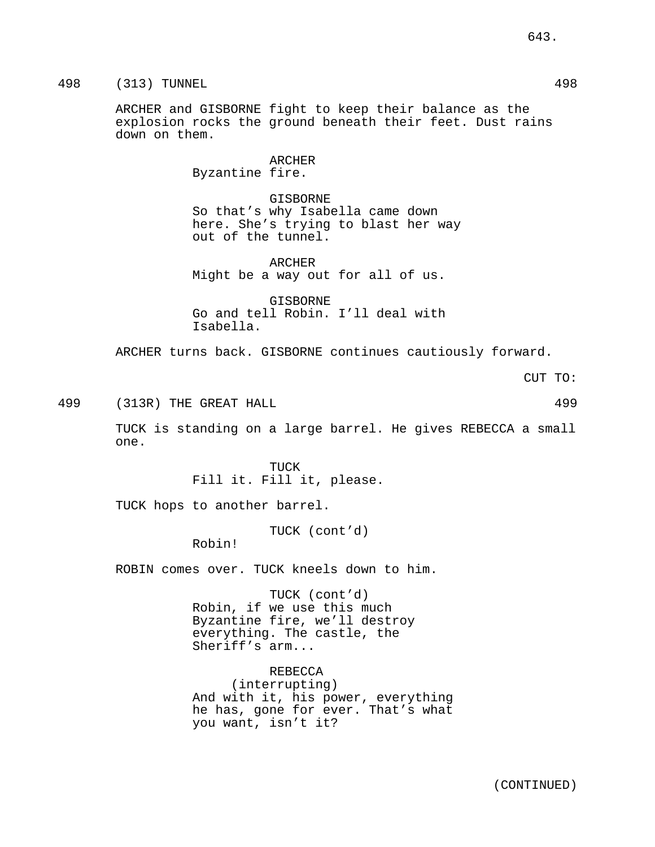498 (313) TUNNEL 498

ARCHER and GISBORNE fight to keep their balance as the explosion rocks the ground beneath their feet. Dust rains down on them.

> ARCHER Byzantine fire.

GISBORNE So that's why Isabella came down here. She's trying to blast her way out of the tunnel.

ARCHER Might be a way out for all of us.

GISBORNE Go and tell Robin. I'll deal with Isabella.

ARCHER turns back. GISBORNE continues cautiously forward.

CUT TO:

499 (313R) THE GREAT HALL 499

TUCK is standing on a large barrel. He gives REBECCA a small one.

> TUCK Fill it. Fill it, please.

TUCK hops to another barrel.

TUCK (cont'd)

Robin!

ROBIN comes over. TUCK kneels down to him.

TUCK (cont'd) Robin, if we use this much Byzantine fire, we'll destroy everything. The castle, the Sheriff's arm...

REBECCA (interrupting) And with it, his power, everything he has, gone for ever. That's what you want, isn't it?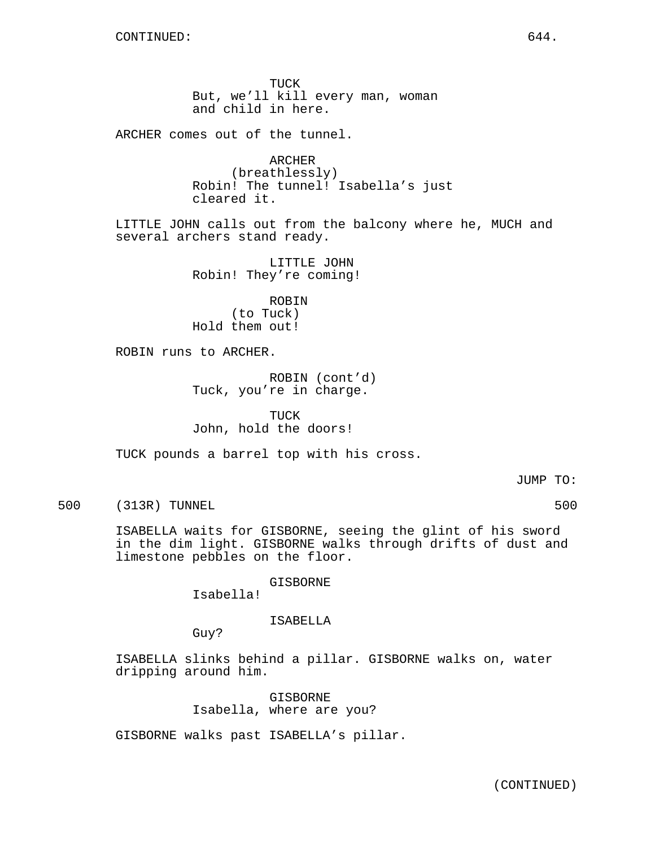TUCK But, we'll kill every man, woman and child in here.

ARCHER comes out of the tunnel.

ARCHER (breathlessly) Robin! The tunnel! Isabella's just cleared it.

LITTLE JOHN calls out from the balcony where he, MUCH and several archers stand ready.

> LITTLE JOHN Robin! They're coming!

ROBIN (to Tuck) Hold them out!

ROBIN runs to ARCHER.

ROBIN (cont'd) Tuck, you're in charge.

TUCK John, hold the doors!

TUCK pounds a barrel top with his cross.

JUMP TO:

500 (313R) TUNNEL 500

ISABELLA waits for GISBORNE, seeing the glint of his sword in the dim light. GISBORNE walks through drifts of dust and limestone pebbles on the floor.

GISBORNE

Isabella!

#### ISABELLA

Guy?

ISABELLA slinks behind a pillar. GISBORNE walks on, water dripping around him.

> GISBORNE Isabella, where are you?

GISBORNE walks past ISABELLA's pillar.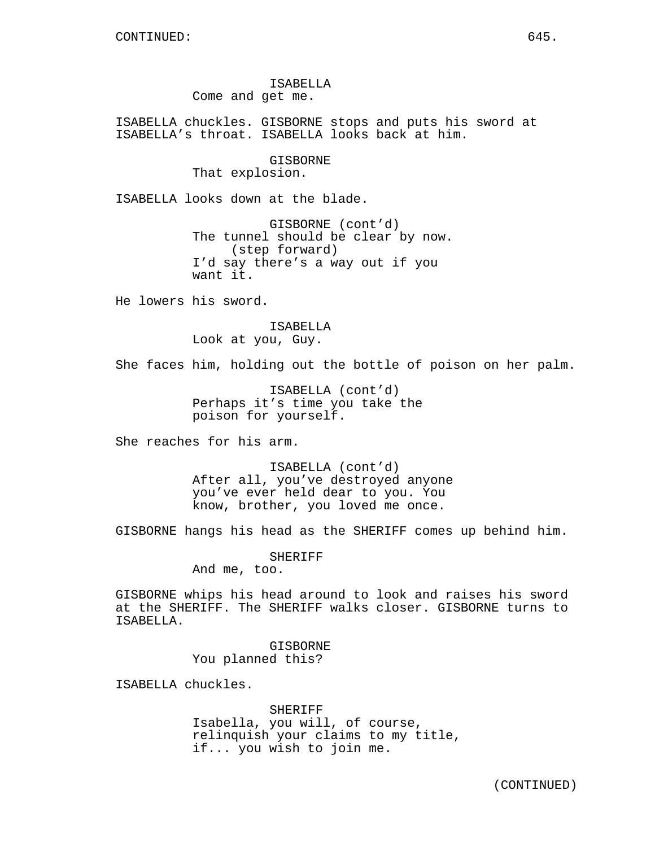ISABELLA Come and get me.

ISABELLA chuckles. GISBORNE stops and puts his sword at ISABELLA's throat. ISABELLA looks back at him.

> GISBORNE That explosion.

ISABELLA looks down at the blade.

GISBORNE (cont'd) The tunnel should be clear by now. (step forward) I'd say there's a way out if you want it.

He lowers his sword.

# ISABELLA Look at you, Guy.

She faces him, holding out the bottle of poison on her palm.

ISABELLA (cont'd) Perhaps it's time you take the poison for yourself.

She reaches for his arm.

ISABELLA (cont'd) After all, you've destroyed anyone you've ever held dear to you. You know, brother, you loved me once.

GISBORNE hangs his head as the SHERIFF comes up behind him.

SHERIFF And me, too.

GISBORNE whips his head around to look and raises his sword at the SHERIFF. The SHERIFF walks closer. GISBORNE turns to ISABELLA.

> GISBORNE You planned this?

ISABELLA chuckles.

SHERIFF Isabella, you will, of course, relinquish your claims to my title, if... you wish to join me.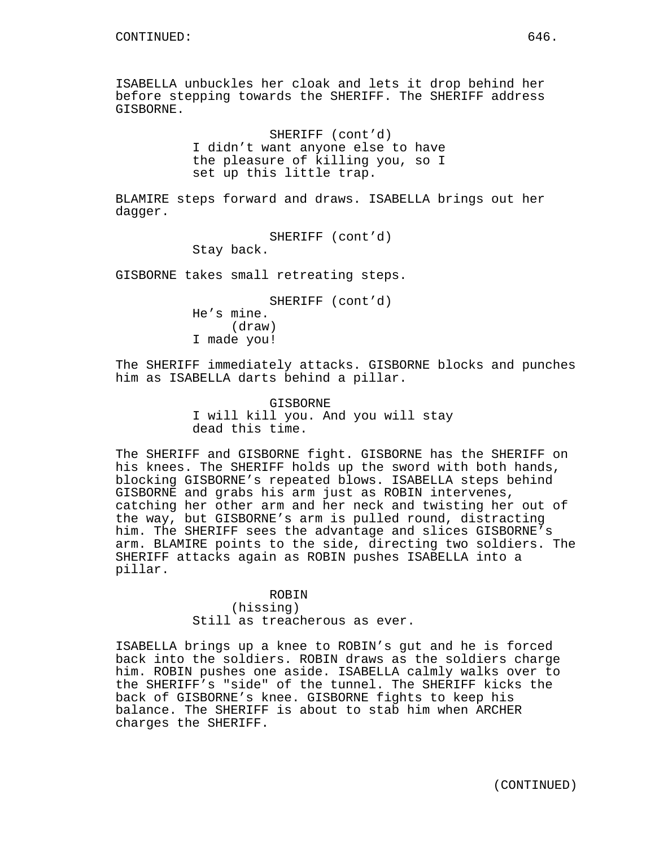ISABELLA unbuckles her cloak and lets it drop behind her before stepping towards the SHERIFF. The SHERIFF address GISBORNE.

> SHERIFF (cont'd) I didn't want anyone else to have the pleasure of killing you, so I set up this little trap.

BLAMIRE steps forward and draws. ISABELLA brings out her dagger.

> SHERIFF (cont'd) Stay back.

GISBORNE takes small retreating steps.

SHERIFF (cont'd) He's mine. (draw) I made you!

The SHERIFF immediately attacks. GISBORNE blocks and punches him as ISABELLA darts behind a pillar.

> GISBORNE I will kill you. And you will stay dead this time.

The SHERIFF and GISBORNE fight. GISBORNE has the SHERIFF on his knees. The SHERIFF holds up the sword with both hands, blocking GISBORNE's repeated blows. ISABELLA steps behind GISBORNE and grabs his arm just as ROBIN intervenes, catching her other arm and her neck and twisting her out of the way, but GISBORNE's arm is pulled round, distracting him. The SHERIFF sees the advantage and slices GISBORNE's arm. BLAMIRE points to the side, directing two soldiers. The SHERIFF attacks again as ROBIN pushes ISABELLA into a pillar.

> ROBIN (hissing) Still as treacherous as ever.

ISABELLA brings up a knee to ROBIN's gut and he is forced back into the soldiers. ROBIN draws as the soldiers charge him. ROBIN pushes one aside. ISABELLA calmly walks over to the SHERIFF's "side" of the tunnel. The SHERIFF kicks the back of GISBORNE's knee. GISBORNE fights to keep his balance. The SHERIFF is about to stab him when ARCHER charges the SHERIFF.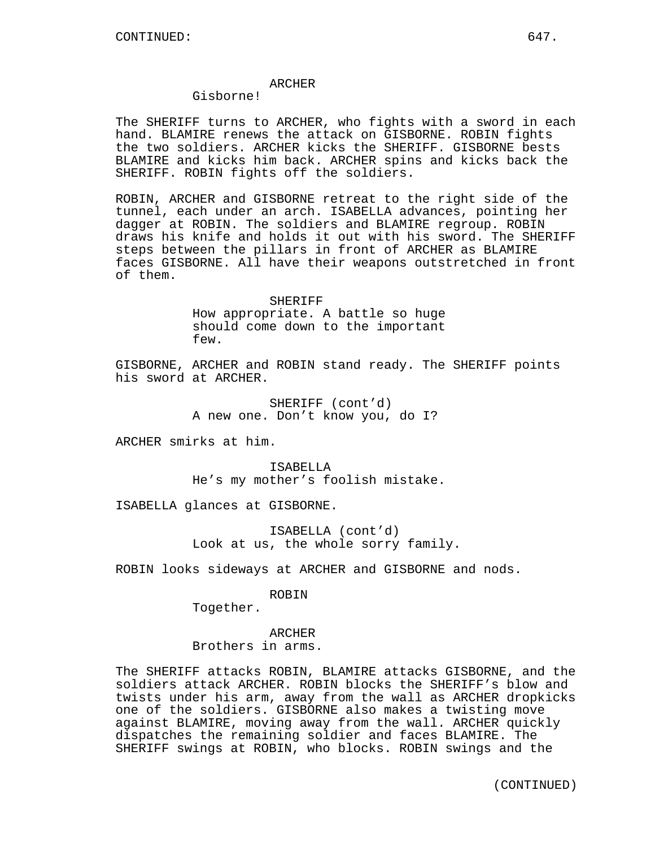### ARCHER

# Gisborne!

The SHERIFF turns to ARCHER, who fights with a sword in each hand. BLAMIRE renews the attack on GISBORNE. ROBIN fights the two soldiers. ARCHER kicks the SHERIFF. GISBORNE bests BLAMIRE and kicks him back. ARCHER spins and kicks back the SHERIFF. ROBIN fights off the soldiers.

ROBIN, ARCHER and GISBORNE retreat to the right side of the tunnel, each under an arch. ISABELLA advances, pointing her dagger at ROBIN. The soldiers and BLAMIRE regroup. ROBIN draws his knife and holds it out with his sword. The SHERIFF steps between the pillars in front of ARCHER as BLAMIRE faces GISBORNE. All have their weapons outstretched in front of them.

> SHERIFF How appropriate. A battle so huge should come down to the important few.

GISBORNE, ARCHER and ROBIN stand ready. The SHERIFF points his sword at ARCHER.

> SHERIFF (cont'd) A new one. Don't know you, do I?

ARCHER smirks at him.

ISABELLA He's my mother's foolish mistake.

ISABELLA glances at GISBORNE.

ISABELLA (cont'd) Look at us, the whole sorry family.

ROBIN looks sideways at ARCHER and GISBORNE and nods.

ROBIN

Together.

ARCHER Brothers in arms.

The SHERIFF attacks ROBIN, BLAMIRE attacks GISBORNE, and the soldiers attack ARCHER. ROBIN blocks the SHERIFF's blow and twists under his arm, away from the wall as ARCHER dropkicks one of the soldiers. GISBORNE also makes a twisting move against BLAMIRE, moving away from the wall. ARCHER quickly dispatches the remaining soldier and faces BLAMIRE. The SHERIFF swings at ROBIN, who blocks. ROBIN swings and the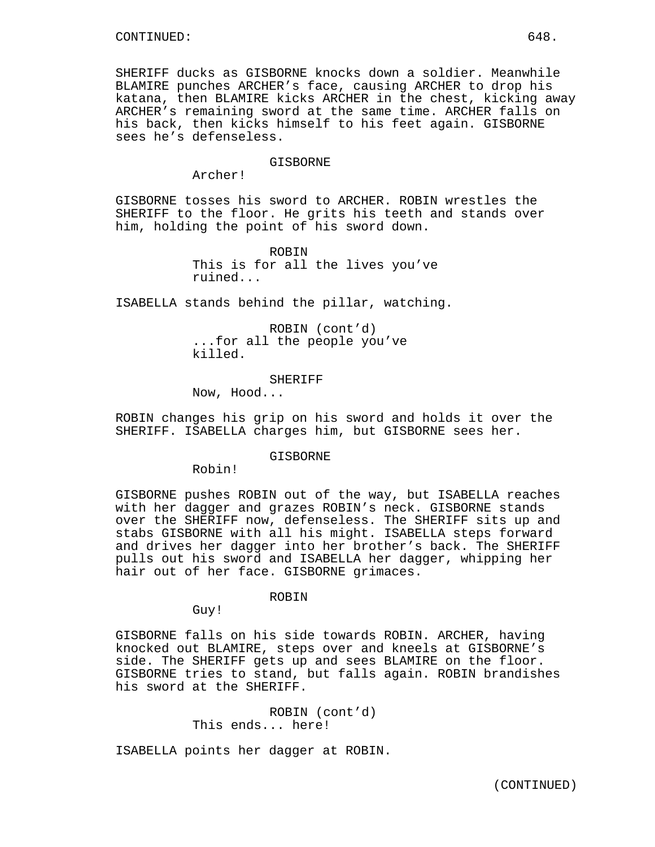SHERIFF ducks as GISBORNE knocks down a soldier. Meanwhile BLAMIRE punches ARCHER's face, causing ARCHER to drop his katana, then BLAMIRE kicks ARCHER in the chest, kicking away ARCHER's remaining sword at the same time. ARCHER falls on his back, then kicks himself to his feet again. GISBORNE sees he's defenseless.

#### GISBORNE

Archer!

GISBORNE tosses his sword to ARCHER. ROBIN wrestles the SHERIFF to the floor. He grits his teeth and stands over him, holding the point of his sword down.

> ROBIN This is for all the lives you've ruined...

ISABELLA stands behind the pillar, watching.

ROBIN (cont'd) ...for all the people you've killed.

SHERIFF

Now, Hood...

ROBIN changes his grip on his sword and holds it over the SHERIFF. ISABELLA charges him, but GISBORNE sees her.

GISBORNE

Robin!

GISBORNE pushes ROBIN out of the way, but ISABELLA reaches with her dagger and grazes ROBIN's neck. GISBORNE stands over the SHERIFF now, defenseless. The SHERIFF sits up and stabs GISBORNE with all his might. ISABELLA steps forward and drives her dagger into her brother's back. The SHERIFF pulls out his sword and ISABELLA her dagger, whipping her hair out of her face. GISBORNE grimaces.

ROBIN

Guy!

GISBORNE falls on his side towards ROBIN. ARCHER, having knocked out BLAMIRE, steps over and kneels at GISBORNE's side. The SHERIFF gets up and sees BLAMIRE on the floor. GISBORNE tries to stand, but falls again. ROBIN brandishes his sword at the SHERIFF.

> ROBIN (cont'd) This ends... here!

ISABELLA points her dagger at ROBIN.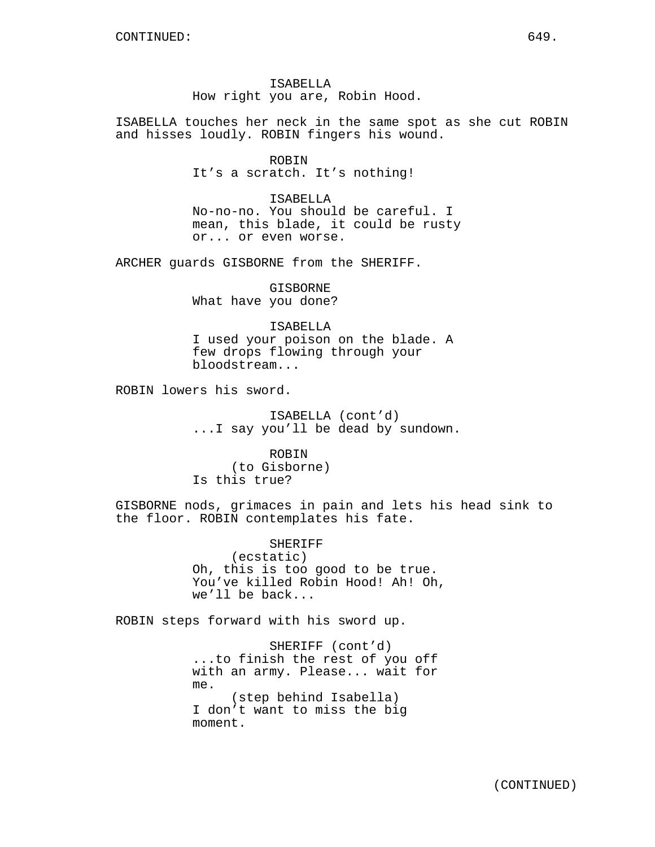ISABELLA How right you are, Robin Hood.

ISABELLA touches her neck in the same spot as she cut ROBIN and hisses loudly. ROBIN fingers his wound.

> ROBIN It's a scratch. It's nothing!

ISABELLA No-no-no. You should be careful. I mean, this blade, it could be rusty or... or even worse.

ARCHER guards GISBORNE from the SHERIFF.

GISBORNE What have you done?

ISABELLA I used your poison on the blade. A few drops flowing through your bloodstream...

ROBIN lowers his sword.

ISABELLA (cont'd) ...I say you'll be dead by sundown.

ROBIN (to Gisborne) Is this true?

GISBORNE nods, grimaces in pain and lets his head sink to the floor. ROBIN contemplates his fate.

> SHERIFF (ecstatic) Oh, this is too good to be true. You've killed Robin Hood! Ah! Oh, we'll be back...

ROBIN steps forward with his sword up.

SHERIFF (cont'd) ...to finish the rest of you off with an army. Please... wait for me. (step behind Isabella) I don't want to miss the big moment.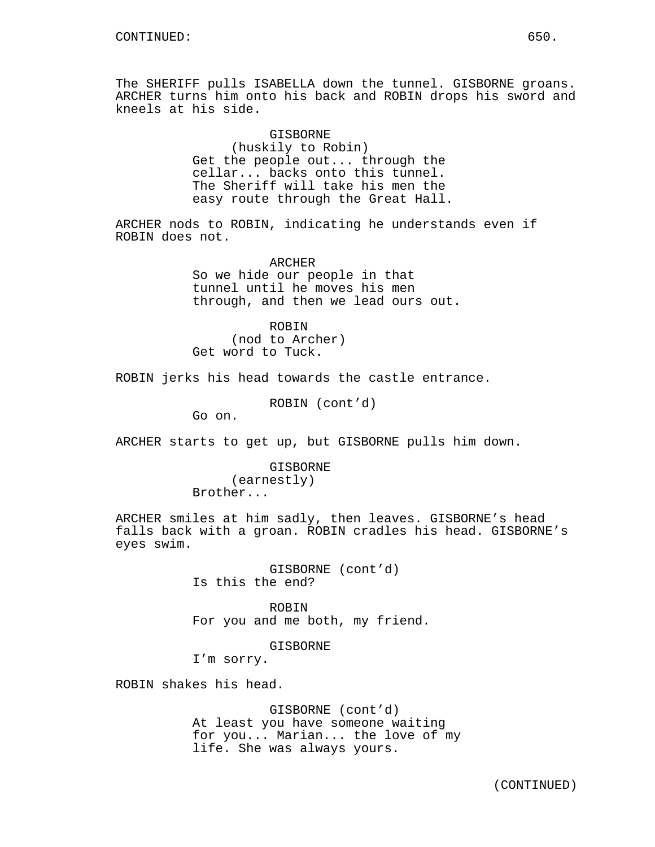The SHERIFF pulls ISABELLA down the tunnel. GISBORNE groans. ARCHER turns him onto his back and ROBIN drops his sword and kneels at his side.

> GISBORNE (huskily to Robin) Get the people out... through the cellar... backs onto this tunnel. The Sheriff will take his men the easy route through the Great Hall.

ARCHER nods to ROBIN, indicating he understands even if ROBIN does not.

> ARCHER So we hide our people in that tunnel until he moves his men through, and then we lead ours out.

ROBIN (nod to Archer) Get word to Tuck.

ROBIN jerks his head towards the castle entrance.

ROBIN (cont'd)

Go on.

ARCHER starts to get up, but GISBORNE pulls him down.

GISBORNE (earnestly) Brother...

ARCHER smiles at him sadly, then leaves. GISBORNE's head falls back with a groan. ROBIN cradles his head. GISBORNE's eyes swim.

> GISBORNE (cont'd) Is this the end?

ROBIN For you and me both, my friend.

GISBORNE

I'm sorry.

ROBIN shakes his head.

GISBORNE (cont'd) At least you have someone waiting for you... Marian... the love of my life. She was always yours.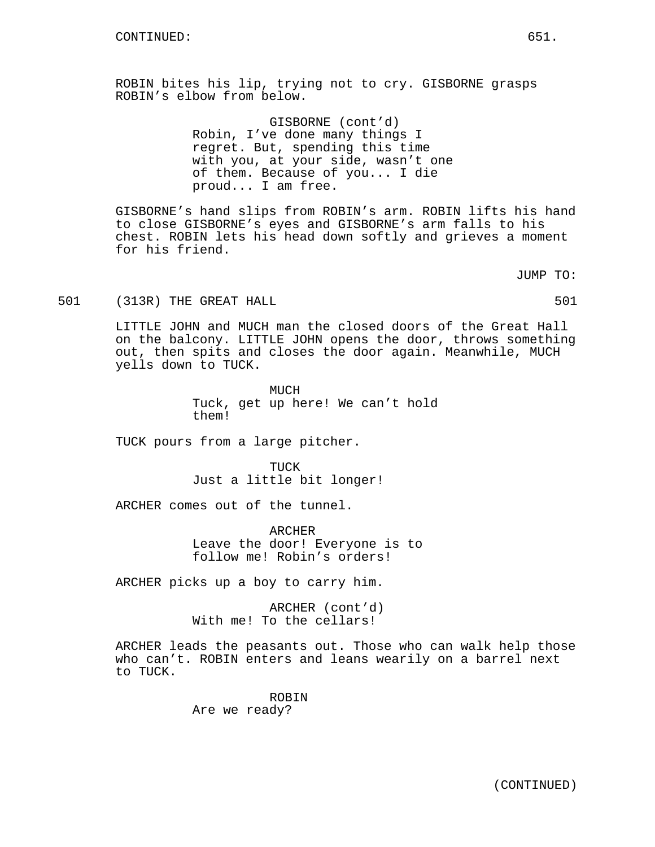ROBIN bites his lip, trying not to cry. GISBORNE grasps ROBIN's elbow from below.

> GISBORNE (cont'd) Robin, I've done many things I regret. But, spending this time with you, at your side, wasn't one of them. Because of you... I die proud... I am free.

GISBORNE's hand slips from ROBIN's arm. ROBIN lifts his hand to close GISBORNE's eyes and GISBORNE's arm falls to his chest. ROBIN lets his head down softly and grieves a moment for his friend.

JUMP TO:

501 (313R) THE GREAT HALL 501 (501)

LITTLE JOHN and MUCH man the closed doors of the Great Hall on the balcony. LITTLE JOHN opens the door, throws something out, then spits and closes the door again. Meanwhile, MUCH yells down to TUCK.

> MUCH Tuck, get up here! We can't hold them!

TUCK pours from a large pitcher.

TUCK Just a little bit longer!

ARCHER comes out of the tunnel.

ARCHER Leave the door! Everyone is to follow me! Robin's orders!

ARCHER picks up a boy to carry him.

ARCHER (cont'd) With me! To the cellars!

ARCHER leads the peasants out. Those who can walk help those who can't. ROBIN enters and leans wearily on a barrel next to TUCK.

> ROBIN Are we ready?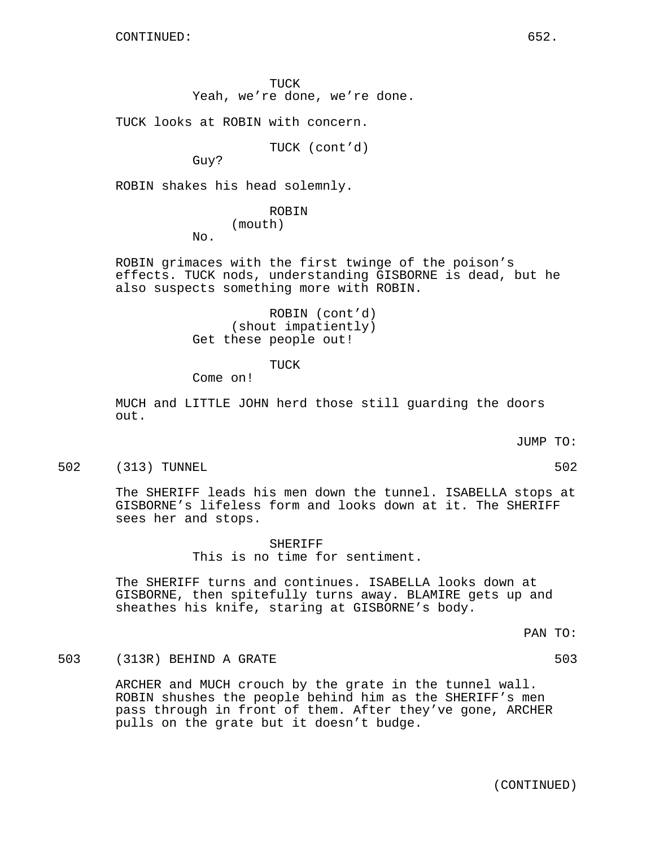TUCK Yeah, we're done, we're done.

TUCK looks at ROBIN with concern.

TUCK (cont'd)

Guy?

ROBIN shakes his head solemnly.

## ROBIN (mouth)

No.

ROBIN grimaces with the first twinge of the poison's effects. TUCK nods, understanding GISBORNE is dead, but he also suspects something more with ROBIN.

> ROBIN (cont'd) (shout impatiently) Get these people out!

> > TUCK

Come on!

MUCH and LITTLE JOHN herd those still guarding the doors out.

JUMP TO:

502 (313) TUNNEL 502

The SHERIFF leads his men down the tunnel. ISABELLA stops at GISBORNE's lifeless form and looks down at it. The SHERIFF sees her and stops.

> SHERIFF This is no time for sentiment.

The SHERIFF turns and continues. ISABELLA looks down at GISBORNE, then spitefully turns away. BLAMIRE gets up and sheathes his knife, staring at GISBORNE's body.

PAN TO:

503 (313R) BEHIND A GRATE 503

ARCHER and MUCH crouch by the grate in the tunnel wall. ROBIN shushes the people behind him as the SHERIFF's men pass through in front of them. After they've gone, ARCHER pulls on the grate but it doesn't budge.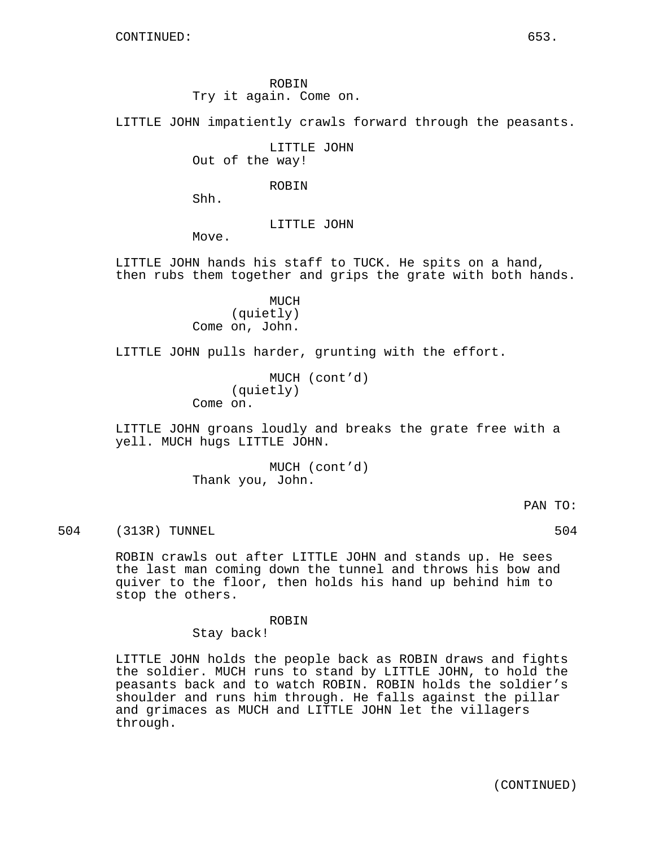ROBIN Try it again. Come on.

LITTLE JOHN impatiently crawls forward through the peasants.

LITTLE JOHN Out of the way!

ROBIN

Shh.

LITTLE JOHN

Move.

LITTLE JOHN hands his staff to TUCK. He spits on a hand, then rubs them together and grips the grate with both hands.

> MUCH (quietly) Come on, John.

LITTLE JOHN pulls harder, grunting with the effort.

MUCH (cont'd) (quietly) Come on.

LITTLE JOHN groans loudly and breaks the grate free with a yell. MUCH hugs LITTLE JOHN.

> MUCH (cont'd) Thank you, John.

> > PAN TO:

504 (313R) TUNNEL 504

ROBIN crawls out after LITTLE JOHN and stands up. He sees the last man coming down the tunnel and throws his bow and quiver to the floor, then holds his hand up behind him to stop the others.

ROBIN

Stay back!

LITTLE JOHN holds the people back as ROBIN draws and fights the soldier. MUCH runs to stand by LITTLE JOHN, to hold the peasants back and to watch ROBIN. ROBIN holds the soldier's shoulder and runs him through. He falls against the pillar and grimaces as MUCH and LITTLE JOHN let the villagers through.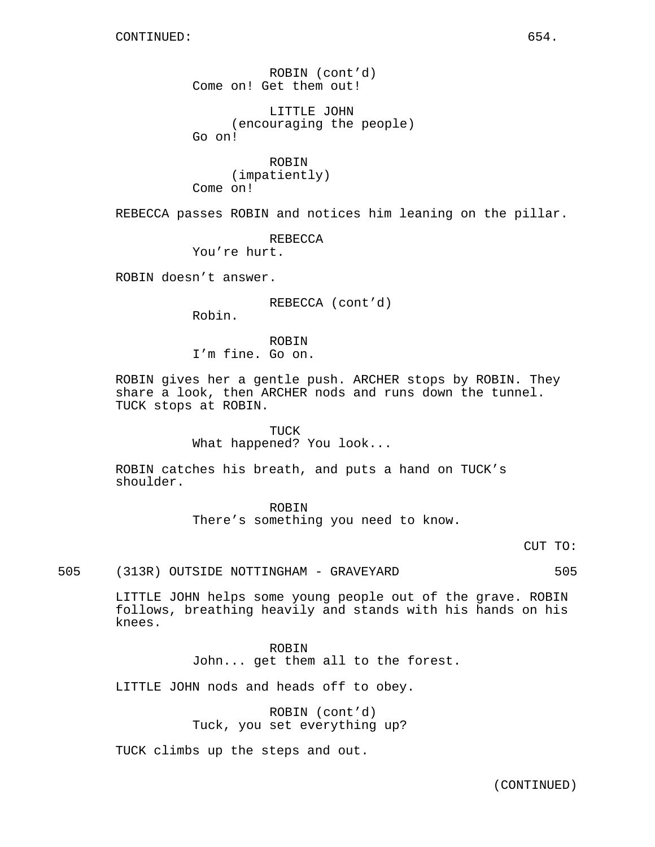ROBIN (cont'd) Come on! Get them out!

LITTLE JOHN (encouraging the people) Go on!

ROBIN (impatiently) Come on!

REBECCA passes ROBIN and notices him leaning on the pillar.

REBECCA You're hurt.

ROBIN doesn't answer.

REBECCA (cont'd)

Robin.

ROBIN I'm fine. Go on.

ROBIN gives her a gentle push. ARCHER stops by ROBIN. They share a look, then ARCHER nods and runs down the tunnel. TUCK stops at ROBIN.

> TUCK What happened? You look...

ROBIN catches his breath, and puts a hand on TUCK's shoulder.

> ROBIN There's something you need to know.

> > CUT TO:

505 (313R) OUTSIDE NOTTINGHAM - GRAVEYARD 505

LITTLE JOHN helps some young people out of the grave. ROBIN follows, breathing heavily and stands with his hands on his knees.

> ROBIN John... get them all to the forest.

LITTLE JOHN nods and heads off to obey.

ROBIN (cont'd) Tuck, you set everything up?

TUCK climbs up the steps and out.

(CONTINUED)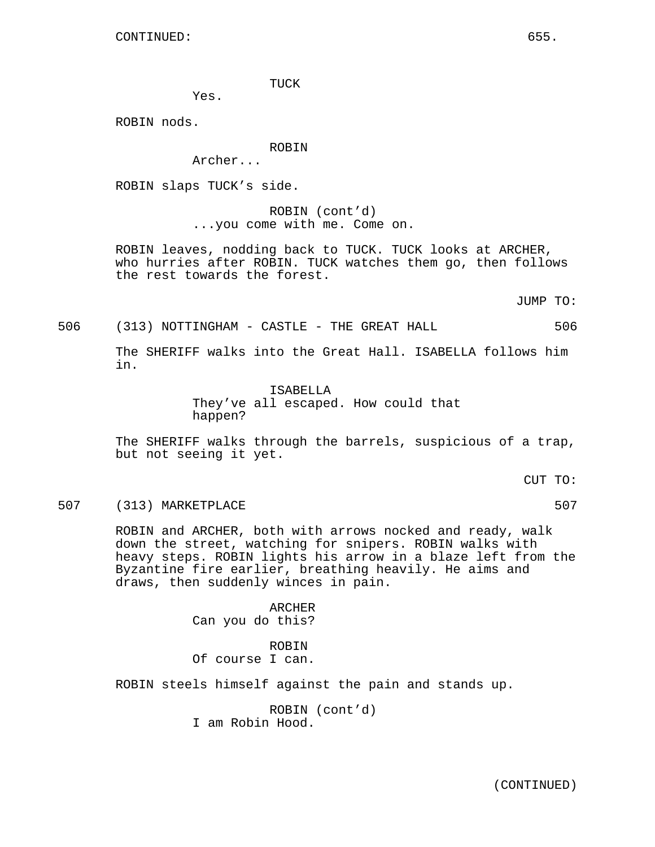TUCK

Yes.

ROBIN nods.

ROBIN

Archer...

ROBIN slaps TUCK's side.

ROBIN (cont'd) ...you come with me. Come on.

ROBIN leaves, nodding back to TUCK. TUCK looks at ARCHER, who hurries after ROBIN. TUCK watches them go, then follows the rest towards the forest.

JUMP TO:

506 (313) NOTTINGHAM - CASTLE - THE GREAT HALL 506

The SHERIFF walks into the Great Hall. ISABELLA follows him in.

> ISABELLA They've all escaped. How could that happen?

The SHERIFF walks through the barrels, suspicious of a trap, but not seeing it yet.

CUT TO:

507 (313) MARKETPLACE 507

ROBIN and ARCHER, both with arrows nocked and ready, walk down the street, watching for snipers. ROBIN walks with heavy steps. ROBIN lights his arrow in a blaze left from the Byzantine fire earlier, breathing heavily. He aims and draws, then suddenly winces in pain.

> **ARCHER** Can you do this?

ROBIN Of course I can.

ROBIN steels himself against the pain and stands up.

ROBIN (cont'd) I am Robin Hood.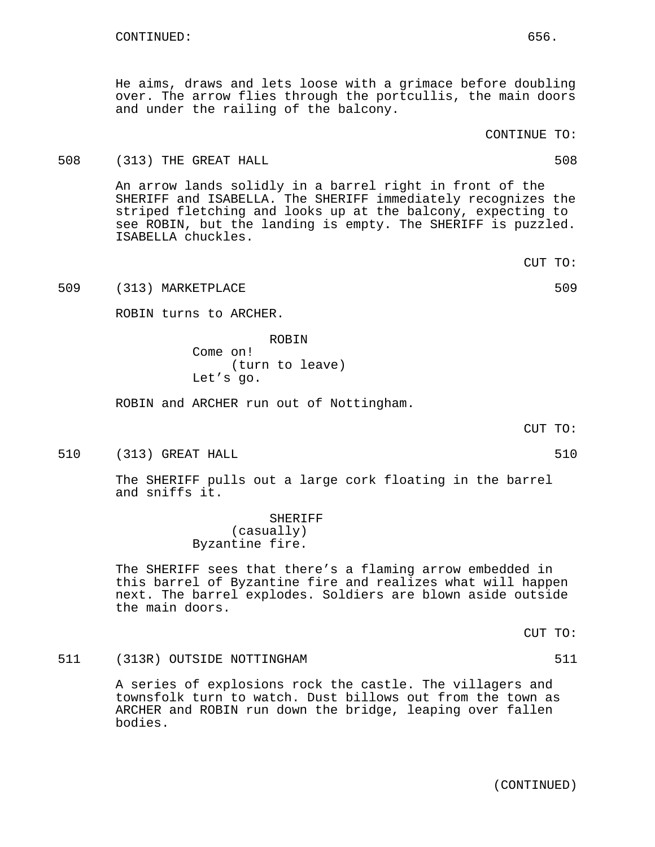He aims, draws and lets loose with a grimace before doubling over. The arrow flies through the portcullis, the main doors and under the railing of the balcony.

# CONTINUE TO:

## 508 (313) THE GREAT HALL 508

An arrow lands solidly in a barrel right in front of the SHERIFF and ISABELLA. The SHERIFF immediately recognizes the striped fletching and looks up at the balcony, expecting to see ROBIN, but the landing is empty. The SHERIFF is puzzled. ISABELLA chuckles.

509 (313) MARKETPLACE 509

ROBIN turns to ARCHER.

ROBIN Come on! (turn to leave) Let's go.

ROBIN and ARCHER run out of Nottingham.

CUT TO:

510 (313) GREAT HALL 510

The SHERIFF pulls out a large cork floating in the barrel and sniffs it.

> SHERIFF (casually) Byzantine fire.

The SHERIFF sees that there's a flaming arrow embedded in this barrel of Byzantine fire and realizes what will happen next. The barrel explodes. Soldiers are blown aside outside the main doors.

CUT TO:

511 (313R) OUTSIDE NOTTINGHAM 511

A series of explosions rock the castle. The villagers and townsfolk turn to watch. Dust billows out from the town as ARCHER and ROBIN run down the bridge, leaping over fallen bodies.

CUT TO: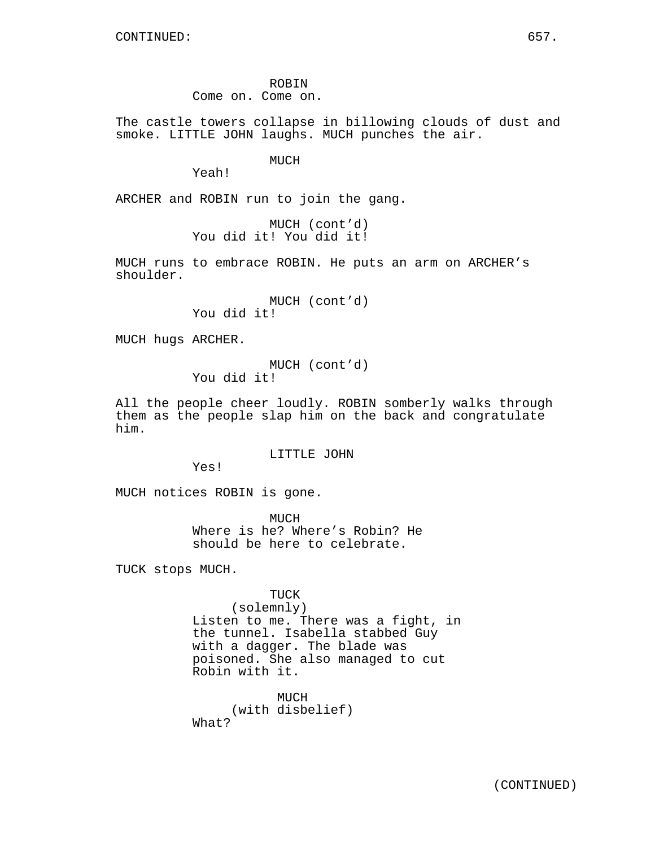ROBIN

Come on. Come on.

The castle towers collapse in billowing clouds of dust and smoke. LITTLE JOHN laughs. MUCH punches the air.

MUCH

Yeah!

ARCHER and ROBIN run to join the gang.

MUCH (cont'd) You did it! You did it!

MUCH runs to embrace ROBIN. He puts an arm on ARCHER's shoulder.

> MUCH (cont'd) You did it!

MUCH hugs ARCHER.

MUCH (cont'd) You did it!

All the people cheer loudly. ROBIN somberly walks through them as the people slap him on the back and congratulate him.

LITTLE JOHN

Yes!

MUCH notices ROBIN is gone.

MUCH Where is he? Where's Robin? He should be here to celebrate.

TUCK stops MUCH.

TUCK (solemnly) Listen to me. There was a fight, in the tunnel. Isabella stabbed Guy with a dagger. The blade was poisoned. She also managed to cut Robin with it.

MUCH (with disbelief) What?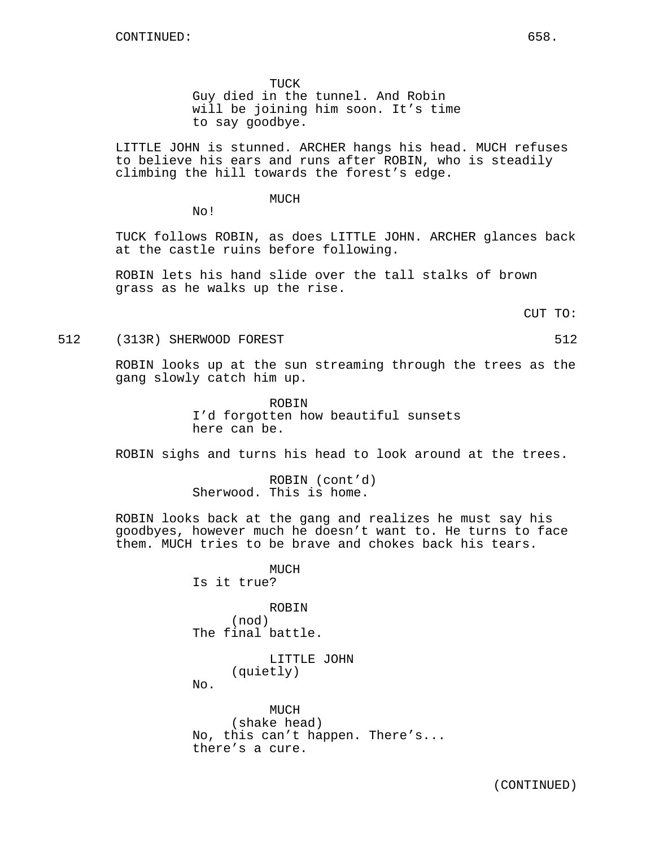TUCK

Guy died in the tunnel. And Robin will be joining him soon. It's time to say goodbye.

LITTLE JOHN is stunned. ARCHER hangs his head. MUCH refuses to believe his ears and runs after ROBIN, who is steadily climbing the hill towards the forest's edge.

MUCH

No!

TUCK follows ROBIN, as does LITTLE JOHN. ARCHER glances back at the castle ruins before following.

ROBIN lets his hand slide over the tall stalks of brown grass as he walks up the rise.

CUT TO:

512 (313R) SHERWOOD FOREST 512

ROBIN looks up at the sun streaming through the trees as the gang slowly catch him up.

> ROBIN I'd forgotten how beautiful sunsets here can be.

ROBIN sighs and turns his head to look around at the trees.

ROBIN (cont'd) Sherwood. This is home.

ROBIN looks back at the gang and realizes he must say his goodbyes, however much he doesn't want to. He turns to face them. MUCH tries to be brave and chokes back his tears.

> MUCH Is it true?

ROBIN (nod) The final battle.

> LITTLE JOHN (quietly)

No.

MUCH (shake head) No, this can't happen. There's... there's a cure.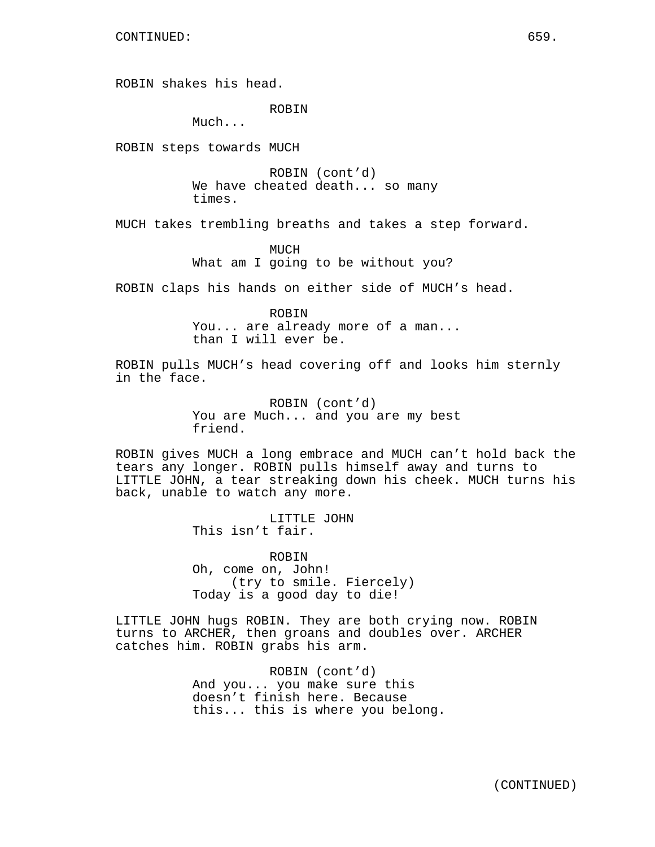ROBIN shakes his head.

ROBIN

Much...

ROBIN steps towards MUCH

ROBIN (cont'd) We have cheated death... so many times.

MUCH takes trembling breaths and takes a step forward.

MUCH What am I going to be without you?

ROBIN claps his hands on either side of MUCH's head.

ROBIN You... are already more of a man... than I will ever be.

ROBIN pulls MUCH's head covering off and looks him sternly in the face.

> ROBIN (cont'd) You are Much... and you are my best friend.

ROBIN gives MUCH a long embrace and MUCH can't hold back the tears any longer. ROBIN pulls himself away and turns to LITTLE JOHN, a tear streaking down his cheek. MUCH turns his back, unable to watch any more.

> LITTLE JOHN This isn't fair.

ROBIN Oh, come on, John! (try to smile. Fiercely) Today is a good day to die!

LITTLE JOHN hugs ROBIN. They are both crying now. ROBIN turns to ARCHER, then groans and doubles over. ARCHER catches him. ROBIN grabs his arm.

> ROBIN (cont'd) And you... you make sure this doesn't finish here. Because this... this is where you belong.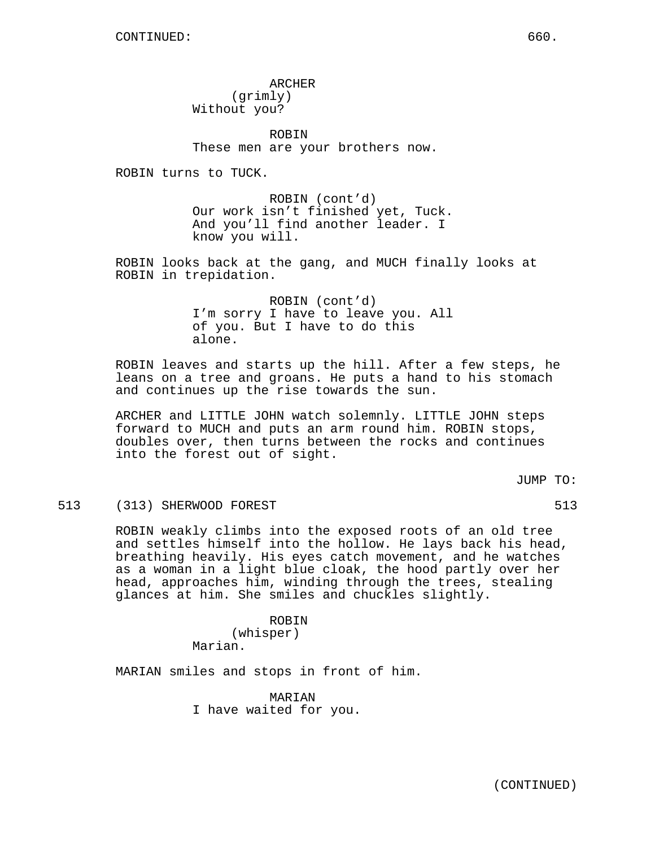ARCHER (grimly) Without you?

ROBIN These men are your brothers now.

ROBIN turns to TUCK.

ROBIN (cont'd) Our work isn't finished yet, Tuck. And you'll find another leader. I know you will.

ROBIN looks back at the gang, and MUCH finally looks at ROBIN in trepidation.

> ROBIN (cont'd) I'm sorry I have to leave you. All of you. But I have to do this alone.

ROBIN leaves and starts up the hill. After a few steps, he leans on a tree and groans. He puts a hand to his stomach and continues up the rise towards the sun.

ARCHER and LITTLE JOHN watch solemnly. LITTLE JOHN steps forward to MUCH and puts an arm round him. ROBIN stops, doubles over, then turns between the rocks and continues into the forest out of sight.

JUMP TO:

513 (313) SHERWOOD FOREST 513

ROBIN weakly climbs into the exposed roots of an old tree and settles himself into the hollow. He lays back his head, breathing heavily. His eyes catch movement, and he watches as a woman in a light blue cloak, the hood partly over her head, approaches him, winding through the trees, stealing glances at him. She smiles and chuckles slightly.

> ROBIN (whisper) Marian.

MARIAN smiles and stops in front of him.

MARIAN I have waited for you.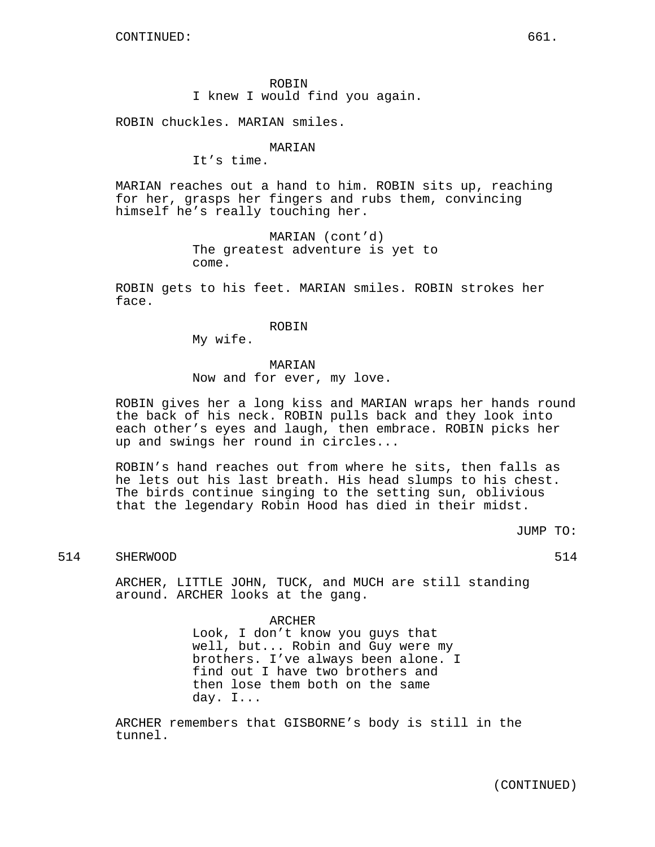ROBIN I knew I would find you again.

ROBIN chuckles. MARIAN smiles.

# **MARTAN**

It's time.

MARIAN reaches out a hand to him. ROBIN sits up, reaching for her, grasps her fingers and rubs them, convincing himself he's really touching her.

> MARIAN (cont'd) The greatest adventure is yet to come.

ROBIN gets to his feet. MARIAN smiles. ROBIN strokes her face.

#### ROBIN

My wife.

### **MARIAN**

Now and for ever, my love.

ROBIN gives her a long kiss and MARIAN wraps her hands round the back of his neck. ROBIN pulls back and they look into each other's eyes and laugh, then embrace. ROBIN picks her up and swings her round in circles...

ROBIN's hand reaches out from where he sits, then falls as he lets out his last breath. His head slumps to his chest. The birds continue singing to the setting sun, oblivious that the legendary Robin Hood has died in their midst.

JUMP TO:

# 514 SHERWOOD 514

ARCHER, LITTLE JOHN, TUCK, and MUCH are still standing around. ARCHER looks at the gang.

> ARCHER Look, I don't know you guys that well, but... Robin and Guy were my brothers. I've always been alone. I find out I have two brothers and then lose them both on the same day. I...

ARCHER remembers that GISBORNE's body is still in the tunnel.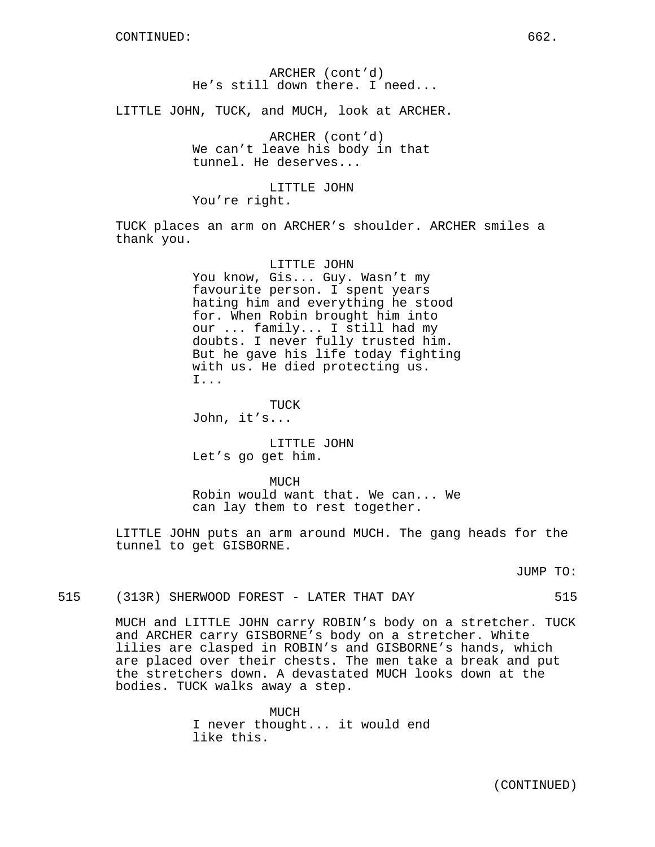# ARCHER (cont'd) He's still down there. I need...

LITTLE JOHN, TUCK, and MUCH, look at ARCHER.

ARCHER (cont'd) We can't leave his body in that tunnel. He deserves...

LITTLE JOHN You're right.

TUCK places an arm on ARCHER's shoulder. ARCHER smiles a thank you.

# LITTLE JOHN

You know, Gis... Guy. Wasn't my favourite person. I spent years hating him and everything he stood for. When Robin brought him into our ... family... I still had my doubts. I never fully trusted him. But he gave his life today fighting with us. He died protecting us. I...

TUCK John, it's...

LITTLE JOHN Let's go get him.

MUCH Robin would want that. We can... We can lay them to rest together.

LITTLE JOHN puts an arm around MUCH. The gang heads for the tunnel to get GISBORNE.

JUMP TO:

## 515 (313R) SHERWOOD FOREST - LATER THAT DAY 515

MUCH and LITTLE JOHN carry ROBIN's body on a stretcher. TUCK and ARCHER carry GISBORNE's body on a stretcher. White lilies are clasped in ROBIN's and GISBORNE's hands, which are placed over their chests. The men take a break and put the stretchers down. A devastated MUCH looks down at the bodies. TUCK walks away a step.

> MUCH I never thought... it would end like this.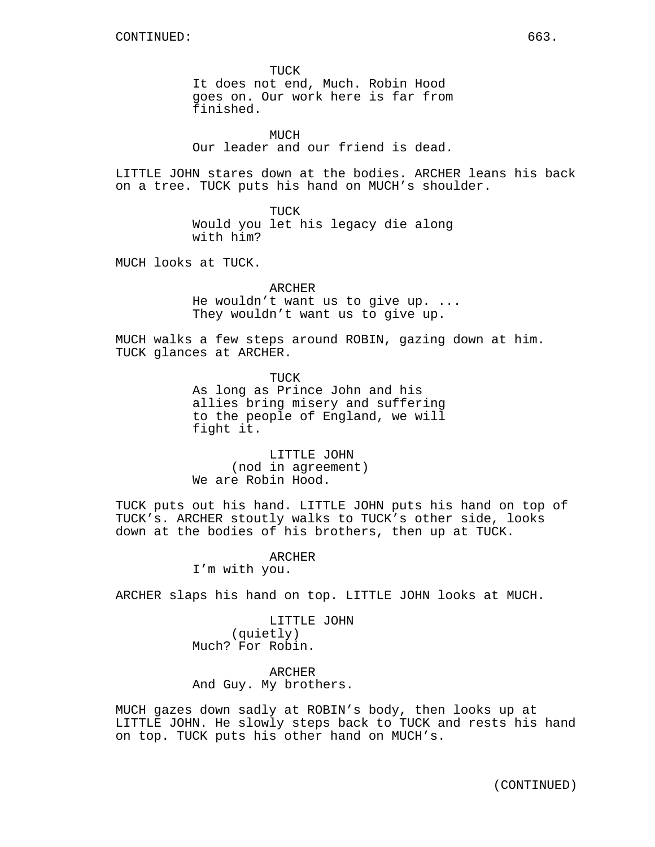TUCK It does not end, Much. Robin Hood goes on. Our work here is far from finished.

MUCH Our leader and our friend is dead.

LITTLE JOHN stares down at the bodies. ARCHER leans his back on a tree. TUCK puts his hand on MUCH's shoulder.

> TUCK Would you let his legacy die along with him?

MUCH looks at TUCK.

ARCHER He wouldn't want us to give up. ... They wouldn't want us to give up.

MUCH walks a few steps around ROBIN, gazing down at him. TUCK glances at ARCHER.

> TUCK As long as Prince John and his allies bring misery and suffering to the people of England, we will fight it.

LITTLE JOHN (nod in agreement) We are Robin Hood.

TUCK puts out his hand. LITTLE JOHN puts his hand on top of TUCK's. ARCHER stoutly walks to TUCK's other side, looks down at the bodies of his brothers, then up at TUCK.

> ARCHER I'm with you.

ARCHER slaps his hand on top. LITTLE JOHN looks at MUCH.

LITTLE JOHN (quietly) Much? For Robin.

ARCHER And Guy. My brothers.

MUCH gazes down sadly at ROBIN's body, then looks up at LITTLE JOHN. He slowly steps back to TUCK and rests his hand on top. TUCK puts his other hand on MUCH's.